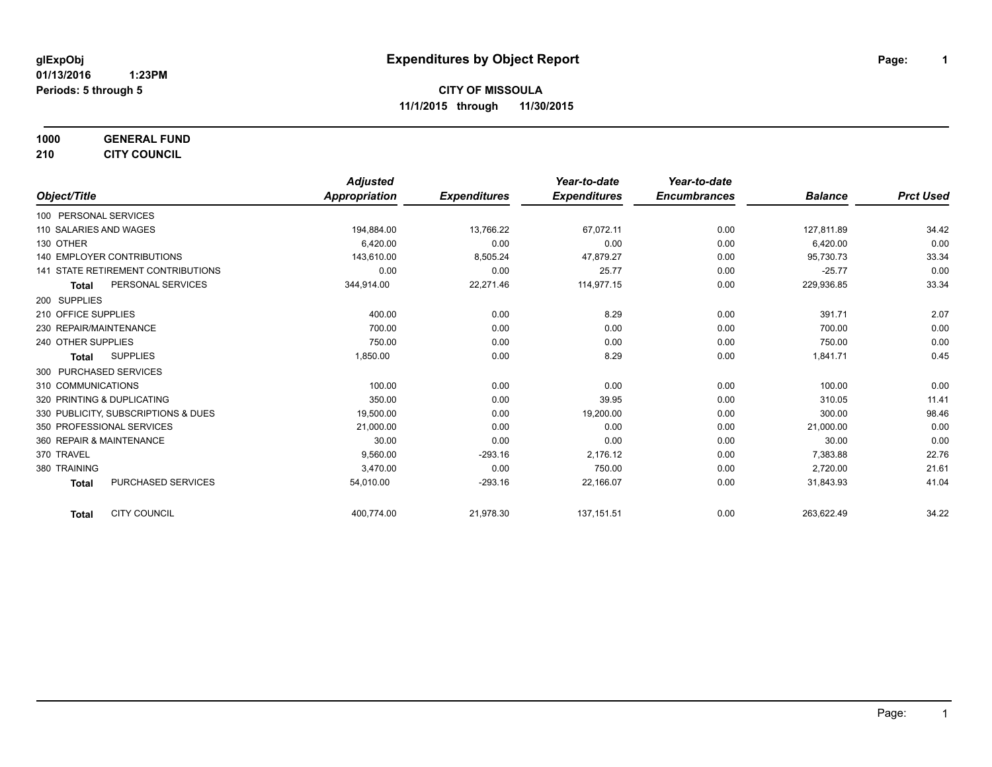**1000 GENERAL FUND 210 CITY COUNCIL**

*Object/Title Adjusted Appropriation Expenditures Year-to-date Expenditures Year-to-date Encumbrances Balance Prct Used* 100 PERSONAL SERVICES 110 SALARIES AND WAGES 194,884.00 13,766.22 67,072.11 0.00 127,811.89 34.42 130 OTHER 6,420.00 0.00 0.00 0.00 6,420.00 0.00 140 EMPLOYER CONTRIBUTIONS 133.34 2010 143,610.00 143,610.00 8,505.24 47,879.27 2010 10:00 95,730.73 33.34 0.00 141 STATE RETIREMENT CONTRIBUTIONS 0.00 0.00 0.00 0.00 0.00 0.00 25.77 0.00 0.00 25.77 0.00 25.77 0.00 **Total** PERSONAL SERVICES 344,914.00 22,271.46 114,977.15 0.00 229,936.85 33.34 200 SUPPLIES 210 OFFICE SUPPLIES 400.00 0.00 8.29 0.00 391.71 2.07 230 REPAIR/MAINTENANCE 700.00 0.00 0.00 0.00 700.00 0.00 240 OTHER SUPPLIES 750.00 0.00 0.00 0.00 750.00 0.00 **Total** SUPPLIES 1,850.00 0.00 8.29 0.00 1,841.71 0.45 300 PURCHASED SERVICES 310 COMMUNICATIONS 100.00 0.00 0.00 0.00 100.00 0.00 320 PRINTING & DUPLICATING CONTROL CONTROL 250.00 39.95 0.00 39.95 0.00 39.95 0.00 310.05 310.05 11.41 330 PUBLICITY, SUBSCRIPTIONS & DUES 19,500.00 0.00 19,200.00 0.00 300.00 98.46 350 PROFESSIONAL SERVICES 21,000.00 0.00 0.00 0.00 21,000.00 0.00 360 REPAIR & MAINTENANCE 30.00 0.00 0.00 0.00 30.00 0.00 370 TRAVEL 9,560.00 -293.16 2,176.12 0.00 7,383.88 22.76 380 TRAINING 3,470.00 750.00 0.00 2,720.00 21.61 **Total** PURCHASED SERVICES 64,010.00 54,010.00 -293.16 22,166.07 22,166.07 0.00 31,843.93 41.04 **Total** CITY COUNCIL 400,774.00 21,978.30 137,151.51 0.00 263,622.49 34.22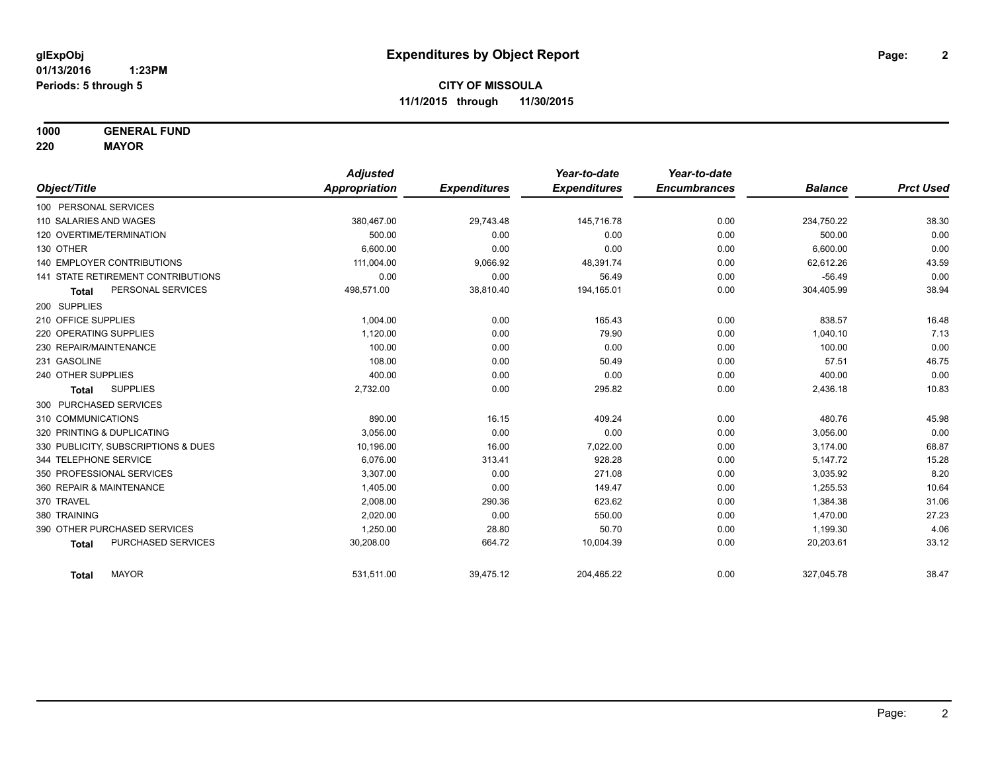**1000 GENERAL FUND**

**220 MAYOR**

|                                           | <b>Adjusted</b> |                     | Year-to-date        | Year-to-date        |                |                  |
|-------------------------------------------|-----------------|---------------------|---------------------|---------------------|----------------|------------------|
| Object/Title                              | Appropriation   | <b>Expenditures</b> | <b>Expenditures</b> | <b>Encumbrances</b> | <b>Balance</b> | <b>Prct Used</b> |
| 100 PERSONAL SERVICES                     |                 |                     |                     |                     |                |                  |
| 110 SALARIES AND WAGES                    | 380,467.00      | 29,743.48           | 145,716.78          | 0.00                | 234,750.22     | 38.30            |
| 120 OVERTIME/TERMINATION                  | 500.00          | 0.00                | 0.00                | 0.00                | 500.00         | 0.00             |
| 130 OTHER                                 | 6.600.00        | 0.00                | 0.00                | 0.00                | 6,600.00       | 0.00             |
| <b>140 EMPLOYER CONTRIBUTIONS</b>         | 111,004.00      | 9,066.92            | 48.391.74           | 0.00                | 62,612.26      | 43.59            |
| <b>141 STATE RETIREMENT CONTRIBUTIONS</b> | 0.00            | 0.00                | 56.49               | 0.00                | $-56.49$       | 0.00             |
| PERSONAL SERVICES<br><b>Total</b>         | 498,571.00      | 38,810.40           | 194,165.01          | 0.00                | 304,405.99     | 38.94            |
| 200 SUPPLIES                              |                 |                     |                     |                     |                |                  |
| 210 OFFICE SUPPLIES                       | 1,004.00        | 0.00                | 165.43              | 0.00                | 838.57         | 16.48            |
| 220 OPERATING SUPPLIES                    | 1,120.00        | 0.00                | 79.90               | 0.00                | 1,040.10       | 7.13             |
| 230 REPAIR/MAINTENANCE                    | 100.00          | 0.00                | 0.00                | 0.00                | 100.00         | 0.00             |
| 231 GASOLINE                              | 108.00          | 0.00                | 50.49               | 0.00                | 57.51          | 46.75            |
| 240 OTHER SUPPLIES                        | 400.00          | 0.00                | 0.00                | 0.00                | 400.00         | 0.00             |
| <b>SUPPLIES</b><br>Total                  | 2,732.00        | 0.00                | 295.82              | 0.00                | 2,436.18       | 10.83            |
| 300 PURCHASED SERVICES                    |                 |                     |                     |                     |                |                  |
| 310 COMMUNICATIONS                        | 890.00          | 16.15               | 409.24              | 0.00                | 480.76         | 45.98            |
| 320 PRINTING & DUPLICATING                | 3,056.00        | 0.00                | 0.00                | 0.00                | 3,056.00       | 0.00             |
| 330 PUBLICITY, SUBSCRIPTIONS & DUES       | 10,196.00       | 16.00               | 7,022.00            | 0.00                | 3,174.00       | 68.87            |
| 344 TELEPHONE SERVICE                     | 6.076.00        | 313.41              | 928.28              | 0.00                | 5,147.72       | 15.28            |
| 350 PROFESSIONAL SERVICES                 | 3,307.00        | 0.00                | 271.08              | 0.00                | 3,035.92       | 8.20             |
| 360 REPAIR & MAINTENANCE                  | 1,405.00        | 0.00                | 149.47              | 0.00                | 1,255.53       | 10.64            |
| 370 TRAVEL                                | 2,008.00        | 290.36              | 623.62              | 0.00                | 1,384.38       | 31.06            |
| 380 TRAINING                              | 2,020.00        | 0.00                | 550.00              | 0.00                | 1,470.00       | 27.23            |
| 390 OTHER PURCHASED SERVICES              | 1,250.00        | 28.80               | 50.70               | 0.00                | 1,199.30       | 4.06             |
| PURCHASED SERVICES<br><b>Total</b>        | 30,208.00       | 664.72              | 10,004.39           | 0.00                | 20,203.61      | 33.12            |
| <b>MAYOR</b><br><b>Total</b>              | 531,511.00      | 39,475.12           | 204,465.22          | 0.00                | 327,045.78     | 38.47            |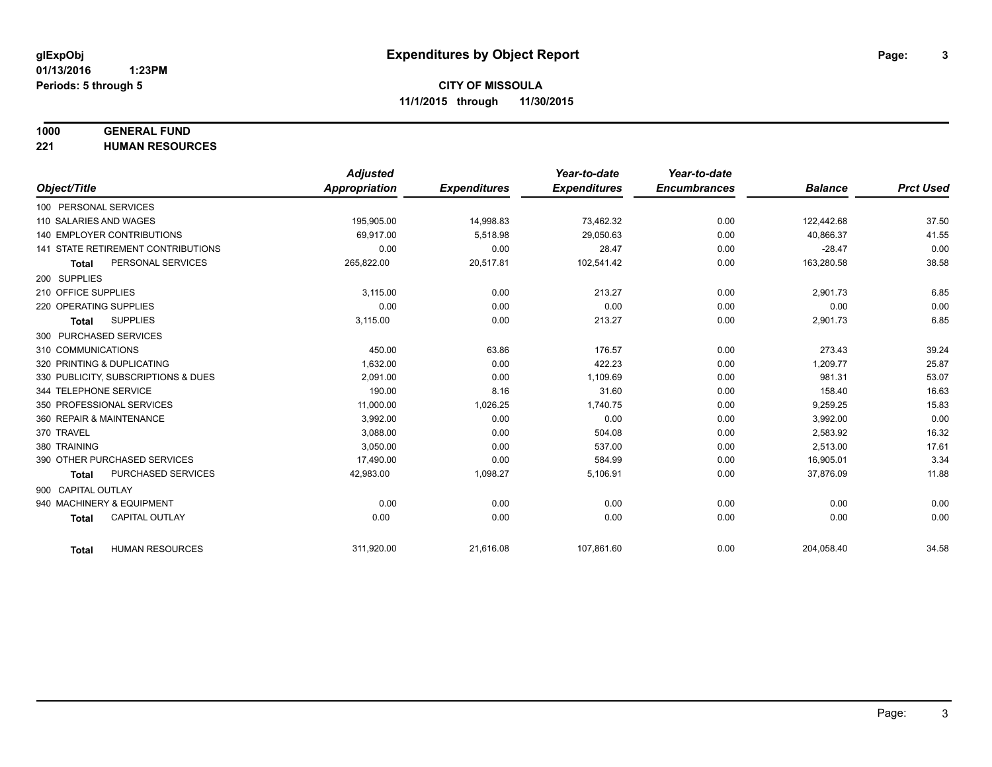## **1000 GENERAL FUND**

**221 HUMAN RESOURCES**

|                              |                                           | <b>Adjusted</b>      |                     | Year-to-date        | Year-to-date        |                |                  |
|------------------------------|-------------------------------------------|----------------------|---------------------|---------------------|---------------------|----------------|------------------|
| Object/Title                 |                                           | <b>Appropriation</b> | <b>Expenditures</b> | <b>Expenditures</b> | <b>Encumbrances</b> | <b>Balance</b> | <b>Prct Used</b> |
| 100 PERSONAL SERVICES        |                                           |                      |                     |                     |                     |                |                  |
| 110 SALARIES AND WAGES       |                                           | 195,905.00           | 14,998.83           | 73,462.32           | 0.00                | 122,442.68     | 37.50            |
| 140 EMPLOYER CONTRIBUTIONS   |                                           | 69.917.00            | 5,518.98            | 29,050.63           | 0.00                | 40,866.37      | 41.55            |
|                              | <b>141 STATE RETIREMENT CONTRIBUTIONS</b> | 0.00                 | 0.00                | 28.47               | 0.00                | $-28.47$       | 0.00             |
| <b>Total</b>                 | PERSONAL SERVICES                         | 265,822.00           | 20,517.81           | 102,541.42          | 0.00                | 163,280.58     | 38.58            |
| 200 SUPPLIES                 |                                           |                      |                     |                     |                     |                |                  |
| 210 OFFICE SUPPLIES          |                                           | 3,115.00             | 0.00                | 213.27              | 0.00                | 2,901.73       | 6.85             |
| 220 OPERATING SUPPLIES       |                                           | 0.00                 | 0.00                | 0.00                | 0.00                | 0.00           | 0.00             |
| <b>Total</b>                 | <b>SUPPLIES</b>                           | 3,115.00             | 0.00                | 213.27              | 0.00                | 2,901.73       | 6.85             |
| 300 PURCHASED SERVICES       |                                           |                      |                     |                     |                     |                |                  |
| 310 COMMUNICATIONS           |                                           | 450.00               | 63.86               | 176.57              | 0.00                | 273.43         | 39.24            |
| 320 PRINTING & DUPLICATING   |                                           | 1,632.00             | 0.00                | 422.23              | 0.00                | 1,209.77       | 25.87            |
|                              | 330 PUBLICITY, SUBSCRIPTIONS & DUES       | 2,091.00             | 0.00                | 1,109.69            | 0.00                | 981.31         | 53.07            |
| 344 TELEPHONE SERVICE        |                                           | 190.00               | 8.16                | 31.60               | 0.00                | 158.40         | 16.63            |
| 350 PROFESSIONAL SERVICES    |                                           | 11,000.00            | 1,026.25            | 1,740.75            | 0.00                | 9,259.25       | 15.83            |
| 360 REPAIR & MAINTENANCE     |                                           | 3,992.00             | 0.00                | 0.00                | 0.00                | 3,992.00       | 0.00             |
| 370 TRAVEL                   |                                           | 3,088.00             | 0.00                | 504.08              | 0.00                | 2,583.92       | 16.32            |
| 380 TRAINING                 |                                           | 3.050.00             | 0.00                | 537.00              | 0.00                | 2,513.00       | 17.61            |
| 390 OTHER PURCHASED SERVICES |                                           | 17,490.00            | 0.00                | 584.99              | 0.00                | 16,905.01      | 3.34             |
| <b>Total</b>                 | PURCHASED SERVICES                        | 42,983.00            | 1,098.27            | 5,106.91            | 0.00                | 37,876.09      | 11.88            |
| 900 CAPITAL OUTLAY           |                                           |                      |                     |                     |                     |                |                  |
| 940 MACHINERY & EQUIPMENT    |                                           | 0.00                 | 0.00                | 0.00                | 0.00                | 0.00           | 0.00             |
| <b>Total</b>                 | <b>CAPITAL OUTLAY</b>                     | 0.00                 | 0.00                | 0.00                | 0.00                | 0.00           | 0.00             |
|                              |                                           |                      |                     |                     |                     |                |                  |
| <b>Total</b>                 | <b>HUMAN RESOURCES</b>                    | 311,920.00           | 21,616.08           | 107,861.60          | 0.00                | 204,058.40     | 34.58            |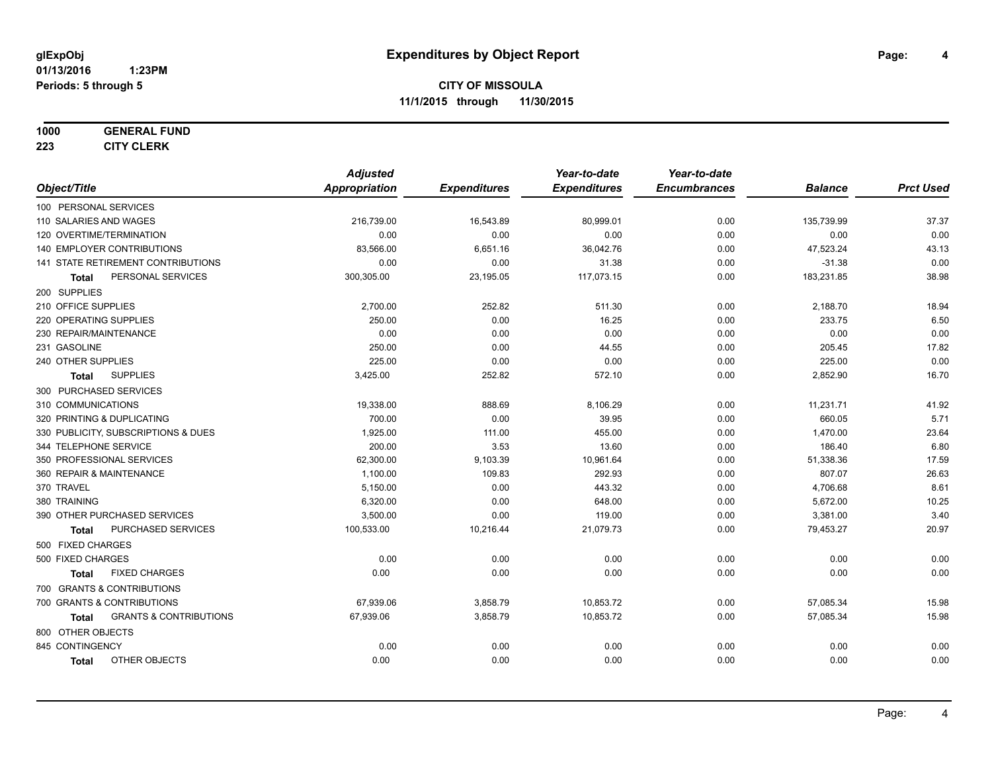#### **1000 GENERAL FUND**

**223 CITY CLERK**

|                                            | <b>Adjusted</b>      |                     | Year-to-date        | Year-to-date        |                |                  |
|--------------------------------------------|----------------------|---------------------|---------------------|---------------------|----------------|------------------|
| Object/Title                               | <b>Appropriation</b> | <b>Expenditures</b> | <b>Expenditures</b> | <b>Encumbrances</b> | <b>Balance</b> | <b>Prct Used</b> |
| 100 PERSONAL SERVICES                      |                      |                     |                     |                     |                |                  |
| 110 SALARIES AND WAGES                     | 216,739.00           | 16,543.89           | 80,999.01           | 0.00                | 135,739.99     | 37.37            |
| 120 OVERTIME/TERMINATION                   | 0.00                 | 0.00                | 0.00                | 0.00                | 0.00           | 0.00             |
| 140 EMPLOYER CONTRIBUTIONS                 | 83,566.00            | 6,651.16            | 36,042.76           | 0.00                | 47,523.24      | 43.13            |
| 141 STATE RETIREMENT CONTRIBUTIONS         | 0.00                 | 0.00                | 31.38               | 0.00                | $-31.38$       | 0.00             |
| PERSONAL SERVICES<br>Total                 | 300,305.00           | 23,195.05           | 117,073.15          | 0.00                | 183,231.85     | 38.98            |
| 200 SUPPLIES                               |                      |                     |                     |                     |                |                  |
| 210 OFFICE SUPPLIES                        | 2,700.00             | 252.82              | 511.30              | 0.00                | 2,188.70       | 18.94            |
| 220 OPERATING SUPPLIES                     | 250.00               | 0.00                | 16.25               | 0.00                | 233.75         | 6.50             |
| 230 REPAIR/MAINTENANCE                     | 0.00                 | 0.00                | 0.00                | 0.00                | 0.00           | 0.00             |
| 231 GASOLINE                               | 250.00               | 0.00                | 44.55               | 0.00                | 205.45         | 17.82            |
| 240 OTHER SUPPLIES                         | 225.00               | 0.00                | 0.00                | 0.00                | 225.00         | 0.00             |
| <b>SUPPLIES</b><br><b>Total</b>            | 3,425.00             | 252.82              | 572.10              | 0.00                | 2,852.90       | 16.70            |
| 300 PURCHASED SERVICES                     |                      |                     |                     |                     |                |                  |
| 310 COMMUNICATIONS                         | 19,338.00            | 888.69              | 8,106.29            | 0.00                | 11,231.71      | 41.92            |
| 320 PRINTING & DUPLICATING                 | 700.00               | 0.00                | 39.95               | 0.00                | 660.05         | 5.71             |
| 330 PUBLICITY, SUBSCRIPTIONS & DUES        | 1,925.00             | 111.00              | 455.00              | 0.00                | 1,470.00       | 23.64            |
| 344 TELEPHONE SERVICE                      | 200.00               | 3.53                | 13.60               | 0.00                | 186.40         | 6.80             |
| 350 PROFESSIONAL SERVICES                  | 62,300.00            | 9,103.39            | 10,961.64           | 0.00                | 51,338.36      | 17.59            |
| 360 REPAIR & MAINTENANCE                   | 1,100.00             | 109.83              | 292.93              | 0.00                | 807.07         | 26.63            |
| 370 TRAVEL                                 | 5,150.00             | 0.00                | 443.32              | 0.00                | 4,706.68       | 8.61             |
| 380 TRAINING                               | 6,320.00             | 0.00                | 648.00              | 0.00                | 5,672.00       | 10.25            |
| 390 OTHER PURCHASED SERVICES               | 3,500.00             | 0.00                | 119.00              | 0.00                | 3,381.00       | 3.40             |
| PURCHASED SERVICES<br><b>Total</b>         | 100,533.00           | 10,216.44           | 21,079.73           | 0.00                | 79,453.27      | 20.97            |
| 500 FIXED CHARGES                          |                      |                     |                     |                     |                |                  |
| 500 FIXED CHARGES                          | 0.00                 | 0.00                | 0.00                | 0.00                | 0.00           | 0.00             |
| <b>FIXED CHARGES</b><br><b>Total</b>       | 0.00                 | 0.00                | 0.00                | 0.00                | 0.00           | 0.00             |
| 700 GRANTS & CONTRIBUTIONS                 |                      |                     |                     |                     |                |                  |
| 700 GRANTS & CONTRIBUTIONS                 | 67,939.06            | 3,858.79            | 10,853.72           | 0.00                | 57,085.34      | 15.98            |
| <b>GRANTS &amp; CONTRIBUTIONS</b><br>Total | 67,939.06            | 3,858.79            | 10,853.72           | 0.00                | 57,085.34      | 15.98            |
| 800 OTHER OBJECTS                          |                      |                     |                     |                     |                |                  |
| 845 CONTINGENCY                            | 0.00                 | 0.00                | 0.00                | 0.00                | 0.00           | 0.00             |
| OTHER OBJECTS<br><b>Total</b>              | 0.00                 | 0.00                | 0.00                | 0.00                | 0.00           | 0.00             |
|                                            |                      |                     |                     |                     |                |                  |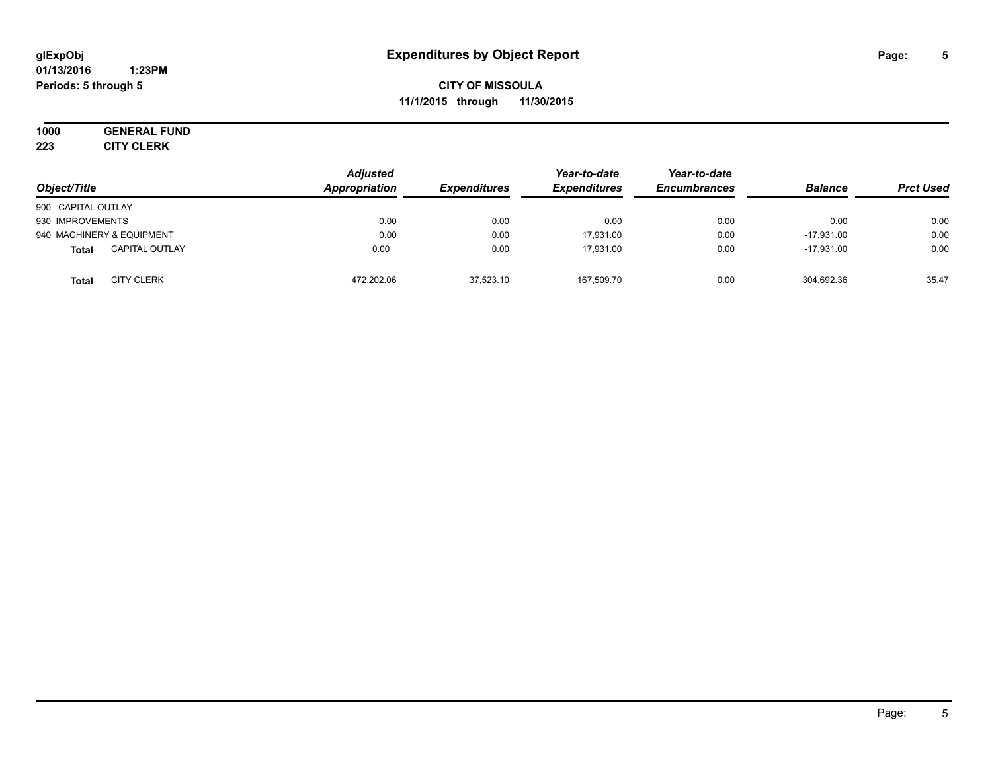#### **01/13/2016 1:23PM Periods: 5 through 5**

## **CITY OF MISSOULA 11/1/2015 through 11/30/2015**

# **1000 GENERAL FUND**

**223 CITY CLERK**

| Object/Title                          | <b>Adjusted</b><br>Appropriation | <b>Expenditures</b> | Year-to-date<br><b>Expenditures</b> | Year-to-date<br><b>Encumbrances</b> | <b>Balance</b> | <b>Prct Used</b> |
|---------------------------------------|----------------------------------|---------------------|-------------------------------------|-------------------------------------|----------------|------------------|
| 900 CAPITAL OUTLAY                    |                                  |                     |                                     |                                     |                |                  |
| 930 IMPROVEMENTS                      | 0.00                             | 0.00                | 0.00                                | 0.00                                | 0.00           | 0.00             |
| 940 MACHINERY & EQUIPMENT             | 0.00                             | 0.00                | 17.931.00                           | 0.00                                | $-17.931.00$   | 0.00             |
| <b>CAPITAL OUTLAY</b><br><b>Total</b> | 0.00                             | 0.00                | 17.931.00                           | 0.00                                | $-17.931.00$   | 0.00             |
| <b>CITY CLERK</b><br>Total            | 472,202.06                       | 37,523.10           | 167,509.70                          | 0.00                                | 304,692.36     | 35.47            |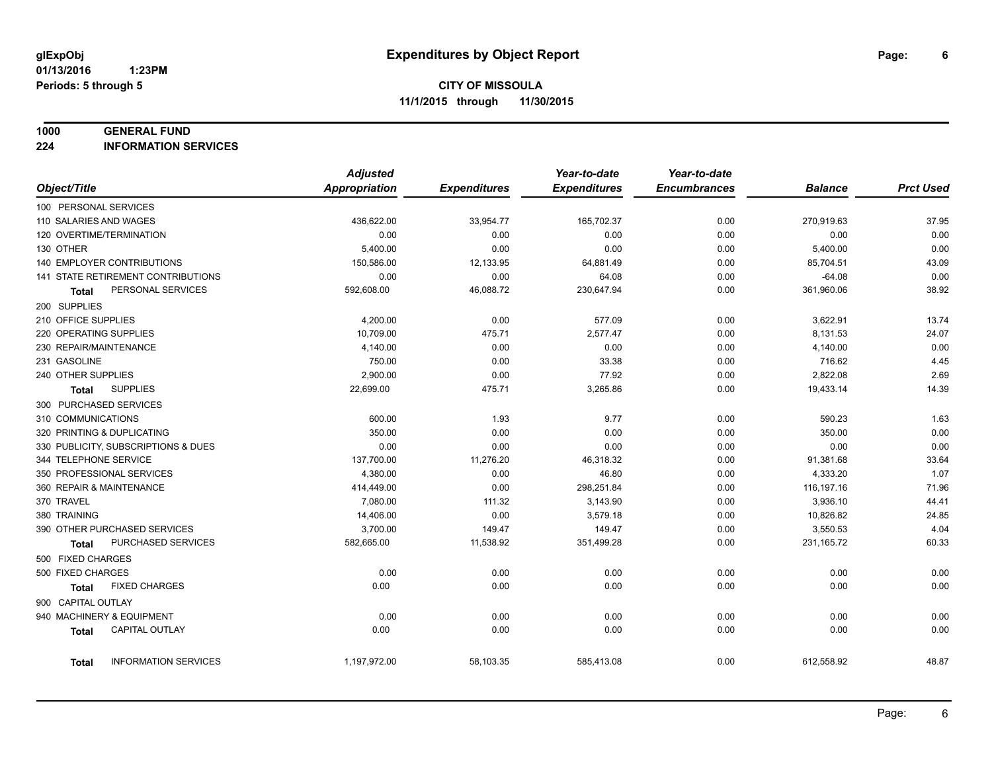#### **1000 GENERAL FUND**

**224 INFORMATION SERVICES**

|                                       | <b>Adjusted</b>      |                     | Year-to-date        | Year-to-date        |                |                  |
|---------------------------------------|----------------------|---------------------|---------------------|---------------------|----------------|------------------|
| Object/Title                          | <b>Appropriation</b> | <b>Expenditures</b> | <b>Expenditures</b> | <b>Encumbrances</b> | <b>Balance</b> | <b>Prct Used</b> |
| 100 PERSONAL SERVICES                 |                      |                     |                     |                     |                |                  |
| 110 SALARIES AND WAGES                | 436,622.00           | 33,954.77           | 165,702.37          | 0.00                | 270,919.63     | 37.95            |
| 120 OVERTIME/TERMINATION              | 0.00                 | 0.00                | 0.00                | 0.00                | 0.00           | 0.00             |
| 130 OTHER                             | 5,400.00             | 0.00                | 0.00                | 0.00                | 5,400.00       | 0.00             |
| 140 EMPLOYER CONTRIBUTIONS            | 150,586.00           | 12,133.95           | 64,881.49           | 0.00                | 85,704.51      | 43.09            |
| 141 STATE RETIREMENT CONTRIBUTIONS    | 0.00                 | 0.00                | 64.08               | 0.00                | $-64.08$       | 0.00             |
| PERSONAL SERVICES<br>Total            | 592,608.00           | 46,088.72           | 230,647.94          | 0.00                | 361,960.06     | 38.92            |
| 200 SUPPLIES                          |                      |                     |                     |                     |                |                  |
| 210 OFFICE SUPPLIES                   | 4,200.00             | 0.00                | 577.09              | 0.00                | 3,622.91       | 13.74            |
| 220 OPERATING SUPPLIES                | 10,709.00            | 475.71              | 2,577.47            | 0.00                | 8,131.53       | 24.07            |
| 230 REPAIR/MAINTENANCE                | 4,140.00             | 0.00                | 0.00                | 0.00                | 4,140.00       | 0.00             |
| 231 GASOLINE                          | 750.00               | 0.00                | 33.38               | 0.00                | 716.62         | 4.45             |
| 240 OTHER SUPPLIES                    | 2,900.00             | 0.00                | 77.92               | 0.00                | 2,822.08       | 2.69             |
| <b>SUPPLIES</b><br><b>Total</b>       | 22,699.00            | 475.71              | 3,265.86            | 0.00                | 19,433.14      | 14.39            |
| 300 PURCHASED SERVICES                |                      |                     |                     |                     |                |                  |
| 310 COMMUNICATIONS                    | 600.00               | 1.93                | 9.77                | 0.00                | 590.23         | 1.63             |
| 320 PRINTING & DUPLICATING            | 350.00               | 0.00                | 0.00                | 0.00                | 350.00         | 0.00             |
| 330 PUBLICITY, SUBSCRIPTIONS & DUES   | 0.00                 | 0.00                | 0.00                | 0.00                | 0.00           | 0.00             |
| 344 TELEPHONE SERVICE                 | 137,700.00           | 11,276.20           | 46,318.32           | 0.00                | 91,381.68      | 33.64            |
| 350 PROFESSIONAL SERVICES             | 4,380.00             | 0.00                | 46.80               | 0.00                | 4,333.20       | 1.07             |
| 360 REPAIR & MAINTENANCE              | 414,449.00           | 0.00                | 298,251.84          | 0.00                | 116,197.16     | 71.96            |
| 370 TRAVEL                            | 7,080.00             | 111.32              | 3,143.90            | 0.00                | 3,936.10       | 44.41            |
| 380 TRAINING                          | 14,406.00            | 0.00                | 3,579.18            | 0.00                | 10,826.82      | 24.85            |
| 390 OTHER PURCHASED SERVICES          | 3,700.00             | 149.47              | 149.47              | 0.00                | 3,550.53       | 4.04             |
| PURCHASED SERVICES<br><b>Total</b>    | 582,665.00           | 11,538.92           | 351,499.28          | 0.00                | 231, 165.72    | 60.33            |
| 500 FIXED CHARGES                     |                      |                     |                     |                     |                |                  |
| 500 FIXED CHARGES                     | 0.00                 | 0.00                | 0.00                | 0.00                | 0.00           | 0.00             |
| <b>FIXED CHARGES</b><br>Total         | 0.00                 | 0.00                | 0.00                | 0.00                | 0.00           | 0.00             |
| 900 CAPITAL OUTLAY                    |                      |                     |                     |                     |                |                  |
| 940 MACHINERY & EQUIPMENT             | 0.00                 | 0.00                | 0.00                | 0.00                | 0.00           | 0.00             |
| <b>CAPITAL OUTLAY</b><br><b>Total</b> | 0.00                 | 0.00                | 0.00                | 0.00                | 0.00           | 0.00             |
|                                       |                      |                     |                     |                     |                |                  |
| <b>INFORMATION SERVICES</b><br>Total  | 1,197,972.00         | 58,103.35           | 585,413.08          | 0.00                | 612,558.92     | 48.87            |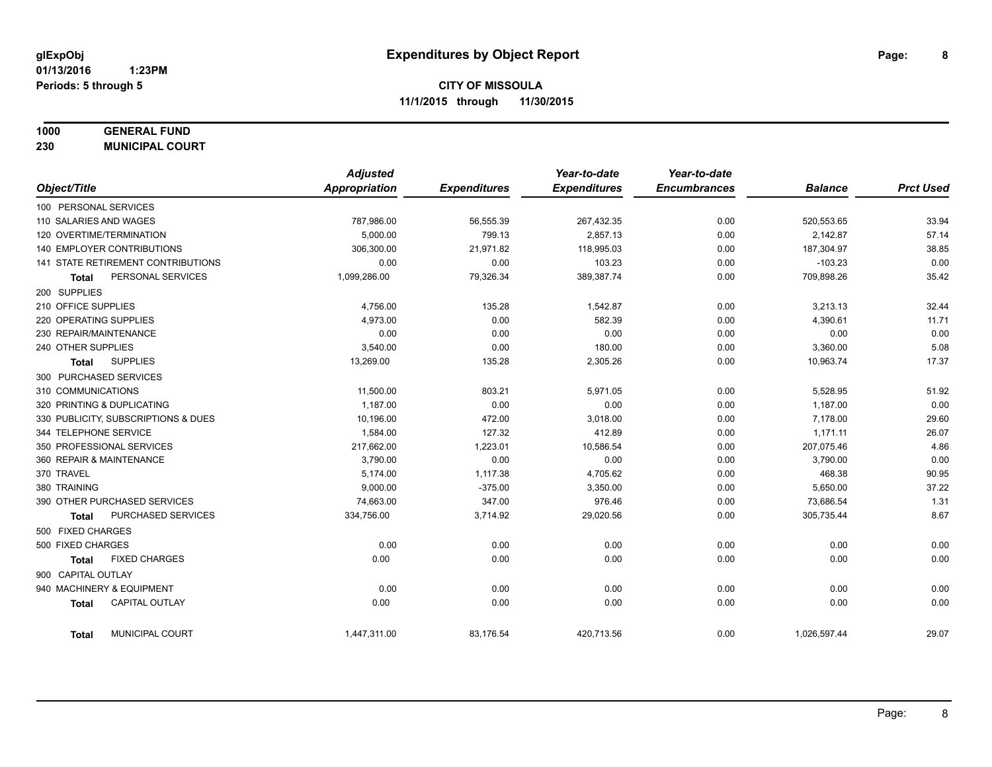## **1000 GENERAL FUND**

**230 MUNICIPAL COURT**

|                                           | <b>Adjusted</b> |                     | Year-to-date        | Year-to-date        |                |                  |
|-------------------------------------------|-----------------|---------------------|---------------------|---------------------|----------------|------------------|
| Object/Title                              | Appropriation   | <b>Expenditures</b> | <b>Expenditures</b> | <b>Encumbrances</b> | <b>Balance</b> | <b>Prct Used</b> |
| 100 PERSONAL SERVICES                     |                 |                     |                     |                     |                |                  |
| 110 SALARIES AND WAGES                    | 787,986.00      | 56,555.39           | 267,432.35          | 0.00                | 520,553.65     | 33.94            |
| 120 OVERTIME/TERMINATION                  | 5,000.00        | 799.13              | 2,857.13            | 0.00                | 2,142.87       | 57.14            |
| 140 EMPLOYER CONTRIBUTIONS                | 306,300.00      | 21,971.82           | 118,995.03          | 0.00                | 187,304.97     | 38.85            |
| <b>141 STATE RETIREMENT CONTRIBUTIONS</b> | 0.00            | 0.00                | 103.23              | 0.00                | $-103.23$      | 0.00             |
| PERSONAL SERVICES<br><b>Total</b>         | 1,099,286.00    | 79,326.34           | 389,387.74          | 0.00                | 709,898.26     | 35.42            |
| 200 SUPPLIES                              |                 |                     |                     |                     |                |                  |
| 210 OFFICE SUPPLIES                       | 4,756.00        | 135.28              | 1,542.87            | 0.00                | 3,213.13       | 32.44            |
| 220 OPERATING SUPPLIES                    | 4,973.00        | 0.00                | 582.39              | 0.00                | 4,390.61       | 11.71            |
| 230 REPAIR/MAINTENANCE                    | 0.00            | 0.00                | 0.00                | 0.00                | 0.00           | 0.00             |
| 240 OTHER SUPPLIES                        | 3,540.00        | 0.00                | 180.00              | 0.00                | 3,360.00       | 5.08             |
| <b>SUPPLIES</b><br><b>Total</b>           | 13,269.00       | 135.28              | 2,305.26            | 0.00                | 10,963.74      | 17.37            |
| 300 PURCHASED SERVICES                    |                 |                     |                     |                     |                |                  |
| 310 COMMUNICATIONS                        | 11,500.00       | 803.21              | 5,971.05            | 0.00                | 5,528.95       | 51.92            |
| 320 PRINTING & DUPLICATING                | 1,187.00        | 0.00                | 0.00                | 0.00                | 1,187.00       | 0.00             |
| 330 PUBLICITY, SUBSCRIPTIONS & DUES       | 10.196.00       | 472.00              | 3,018.00            | 0.00                | 7,178.00       | 29.60            |
| 344 TELEPHONE SERVICE                     | 1,584.00        | 127.32              | 412.89              | 0.00                | 1,171.11       | 26.07            |
| 350 PROFESSIONAL SERVICES                 | 217,662.00      | 1,223.01            | 10,586.54           | 0.00                | 207,075.46     | 4.86             |
| 360 REPAIR & MAINTENANCE                  | 3,790.00        | 0.00                | 0.00                | 0.00                | 3,790.00       | 0.00             |
| 370 TRAVEL                                | 5,174.00        | 1,117.38            | 4,705.62            | 0.00                | 468.38         | 90.95            |
| 380 TRAINING                              | 9,000.00        | $-375.00$           | 3,350.00            | 0.00                | 5,650.00       | 37.22            |
| 390 OTHER PURCHASED SERVICES              | 74,663.00       | 347.00              | 976.46              | 0.00                | 73,686.54      | 1.31             |
| <b>PURCHASED SERVICES</b><br><b>Total</b> | 334,756.00      | 3,714.92            | 29,020.56           | 0.00                | 305,735.44     | 8.67             |
| 500 FIXED CHARGES                         |                 |                     |                     |                     |                |                  |
| 500 FIXED CHARGES                         | 0.00            | 0.00                | 0.00                | 0.00                | 0.00           | 0.00             |
| <b>FIXED CHARGES</b><br><b>Total</b>      | 0.00            | 0.00                | 0.00                | 0.00                | 0.00           | 0.00             |
| 900 CAPITAL OUTLAY                        |                 |                     |                     |                     |                |                  |
| 940 MACHINERY & EQUIPMENT                 | 0.00            | 0.00                | 0.00                | 0.00                | 0.00           | 0.00             |
| <b>CAPITAL OUTLAY</b><br><b>Total</b>     | 0.00            | 0.00                | 0.00                | 0.00                | 0.00           | 0.00             |
| MUNICIPAL COURT<br><b>Total</b>           | 1,447,311.00    | 83,176.54           | 420,713.56          | 0.00                | 1,026,597.44   | 29.07            |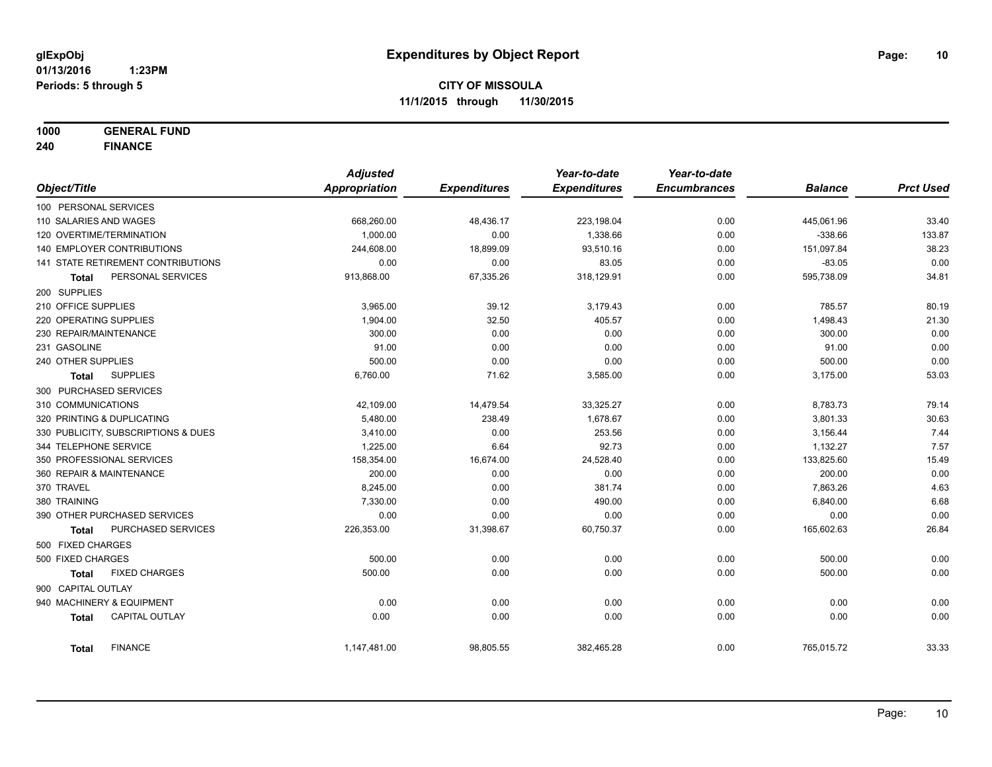**1000 GENERAL FUND**

**240 FINANCE**

|                        |                                     | <b>Adjusted</b>      |                     | Year-to-date        | Year-to-date        |                |                  |
|------------------------|-------------------------------------|----------------------|---------------------|---------------------|---------------------|----------------|------------------|
| Object/Title           |                                     | <b>Appropriation</b> | <b>Expenditures</b> | <b>Expenditures</b> | <b>Encumbrances</b> | <b>Balance</b> | <b>Prct Used</b> |
| 100 PERSONAL SERVICES  |                                     |                      |                     |                     |                     |                |                  |
| 110 SALARIES AND WAGES |                                     | 668,260.00           | 48,436.17           | 223,198.04          | 0.00                | 445,061.96     | 33.40            |
|                        | 120 OVERTIME/TERMINATION            | 1,000.00             | 0.00                | 1,338.66            | 0.00                | $-338.66$      | 133.87           |
|                        | 140 EMPLOYER CONTRIBUTIONS          | 244,608.00           | 18,899.09           | 93,510.16           | 0.00                | 151,097.84     | 38.23            |
|                        | 141 STATE RETIREMENT CONTRIBUTIONS  | 0.00                 | 0.00                | 83.05               | 0.00                | $-83.05$       | 0.00             |
| Total                  | PERSONAL SERVICES                   | 913,868.00           | 67,335.26           | 318,129.91          | 0.00                | 595,738.09     | 34.81            |
| 200 SUPPLIES           |                                     |                      |                     |                     |                     |                |                  |
| 210 OFFICE SUPPLIES    |                                     | 3,965.00             | 39.12               | 3,179.43            | 0.00                | 785.57         | 80.19            |
| 220 OPERATING SUPPLIES |                                     | 1,904.00             | 32.50               | 405.57              | 0.00                | 1,498.43       | 21.30            |
| 230 REPAIR/MAINTENANCE |                                     | 300.00               | 0.00                | 0.00                | 0.00                | 300.00         | 0.00             |
| 231 GASOLINE           |                                     | 91.00                | 0.00                | 0.00                | 0.00                | 91.00          | 0.00             |
| 240 OTHER SUPPLIES     |                                     | 500.00               | 0.00                | 0.00                | 0.00                | 500.00         | 0.00             |
| <b>Total</b>           | <b>SUPPLIES</b>                     | 6,760.00             | 71.62               | 3,585.00            | 0.00                | 3,175.00       | 53.03            |
|                        | 300 PURCHASED SERVICES              |                      |                     |                     |                     |                |                  |
| 310 COMMUNICATIONS     |                                     | 42,109.00            | 14,479.54           | 33,325.27           | 0.00                | 8,783.73       | 79.14            |
|                        | 320 PRINTING & DUPLICATING          | 5,480.00             | 238.49              | 1,678.67            | 0.00                | 3,801.33       | 30.63            |
|                        | 330 PUBLICITY, SUBSCRIPTIONS & DUES | 3,410.00             | 0.00                | 253.56              | 0.00                | 3,156.44       | 7.44             |
| 344 TELEPHONE SERVICE  |                                     | 1,225.00             | 6.64                | 92.73               | 0.00                | 1,132.27       | 7.57             |
|                        | 350 PROFESSIONAL SERVICES           | 158,354.00           | 16,674.00           | 24,528.40           | 0.00                | 133,825.60     | 15.49            |
|                        | 360 REPAIR & MAINTENANCE            | 200.00               | 0.00                | 0.00                | 0.00                | 200.00         | 0.00             |
| 370 TRAVEL             |                                     | 8,245.00             | 0.00                | 381.74              | 0.00                | 7,863.26       | 4.63             |
| 380 TRAINING           |                                     | 7,330.00             | 0.00                | 490.00              | 0.00                | 6,840.00       | 6.68             |
|                        | 390 OTHER PURCHASED SERVICES        | 0.00                 | 0.00                | 0.00                | 0.00                | 0.00           | 0.00             |
| Total                  | PURCHASED SERVICES                  | 226,353.00           | 31,398.67           | 60,750.37           | 0.00                | 165,602.63     | 26.84            |
| 500 FIXED CHARGES      |                                     |                      |                     |                     |                     |                |                  |
| 500 FIXED CHARGES      |                                     | 500.00               | 0.00                | 0.00                | 0.00                | 500.00         | 0.00             |
| Total                  | <b>FIXED CHARGES</b>                | 500.00               | 0.00                | 0.00                | 0.00                | 500.00         | 0.00             |
| 900 CAPITAL OUTLAY     |                                     |                      |                     |                     |                     |                |                  |
|                        | 940 MACHINERY & EQUIPMENT           | 0.00                 | 0.00                | 0.00                | 0.00                | 0.00           | 0.00             |
| <b>Total</b>           | <b>CAPITAL OUTLAY</b>               | 0.00                 | 0.00                | 0.00                | 0.00                | 0.00           | 0.00             |
| Total                  | <b>FINANCE</b>                      | 1,147,481.00         | 98,805.55           | 382,465.28          | 0.00                | 765,015.72     | 33.33            |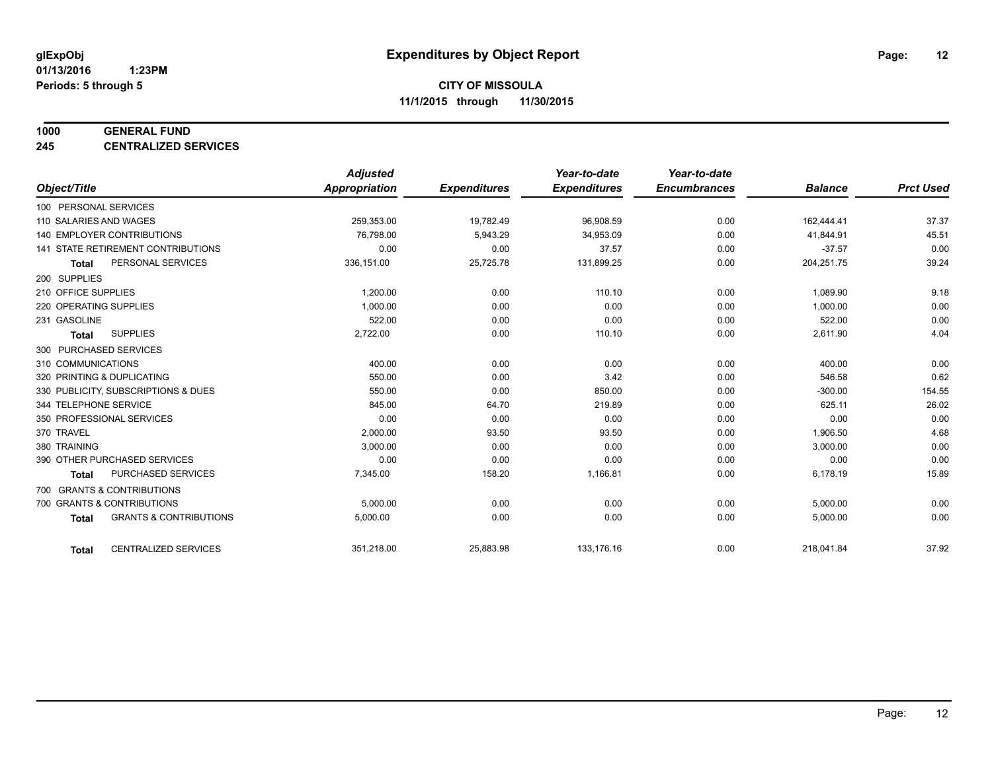#### **1000 GENERAL FUND**

**245 CENTRALIZED SERVICES**

|                                                   | <b>Adjusted</b>      |                     | Year-to-date        | Year-to-date        |                |                  |
|---------------------------------------------------|----------------------|---------------------|---------------------|---------------------|----------------|------------------|
| Object/Title                                      | <b>Appropriation</b> | <b>Expenditures</b> | <b>Expenditures</b> | <b>Encumbrances</b> | <b>Balance</b> | <b>Prct Used</b> |
| 100 PERSONAL SERVICES                             |                      |                     |                     |                     |                |                  |
| 110 SALARIES AND WAGES                            | 259,353.00           | 19,782.49           | 96,908.59           | 0.00                | 162,444.41     | 37.37            |
| 140 EMPLOYER CONTRIBUTIONS                        | 76,798.00            | 5,943.29            | 34,953.09           | 0.00                | 41,844.91      | 45.51            |
| 141 STATE RETIREMENT CONTRIBUTIONS                | 0.00                 | 0.00                | 37.57               | 0.00                | $-37.57$       | 0.00             |
| PERSONAL SERVICES<br><b>Total</b>                 | 336,151.00           | 25,725.78           | 131,899.25          | 0.00                | 204,251.75     | 39.24            |
| 200 SUPPLIES                                      |                      |                     |                     |                     |                |                  |
| 210 OFFICE SUPPLIES                               | 1,200.00             | 0.00                | 110.10              | 0.00                | 1,089.90       | 9.18             |
| 220 OPERATING SUPPLIES                            | 1.000.00             | 0.00                | 0.00                | 0.00                | 1,000.00       | 0.00             |
| 231 GASOLINE                                      | 522.00               | 0.00                | 0.00                | 0.00                | 522.00         | 0.00             |
| <b>SUPPLIES</b><br><b>Total</b>                   | 2,722.00             | 0.00                | 110.10              | 0.00                | 2,611.90       | 4.04             |
| 300 PURCHASED SERVICES                            |                      |                     |                     |                     |                |                  |
| 310 COMMUNICATIONS                                | 400.00               | 0.00                | 0.00                | 0.00                | 400.00         | 0.00             |
| 320 PRINTING & DUPLICATING                        | 550.00               | 0.00                | 3.42                | 0.00                | 546.58         | 0.62             |
| 330 PUBLICITY, SUBSCRIPTIONS & DUES               | 550.00               | 0.00                | 850.00              | 0.00                | $-300.00$      | 154.55           |
| 344 TELEPHONE SERVICE                             | 845.00               | 64.70               | 219.89              | 0.00                | 625.11         | 26.02            |
| 350 PROFESSIONAL SERVICES                         | 0.00                 | 0.00                | 0.00                | 0.00                | 0.00           | 0.00             |
| 370 TRAVEL                                        | 2,000.00             | 93.50               | 93.50               | 0.00                | 1,906.50       | 4.68             |
| 380 TRAINING                                      | 3,000.00             | 0.00                | 0.00                | 0.00                | 3,000.00       | 0.00             |
| 390 OTHER PURCHASED SERVICES                      | 0.00                 | 0.00                | 0.00                | 0.00                | 0.00           | 0.00             |
| <b>PURCHASED SERVICES</b><br><b>Total</b>         | 7,345.00             | 158.20              | 1,166.81            | 0.00                | 6,178.19       | 15.89            |
| 700 GRANTS & CONTRIBUTIONS                        |                      |                     |                     |                     |                |                  |
| 700 GRANTS & CONTRIBUTIONS                        | 5,000.00             | 0.00                | 0.00                | 0.00                | 5,000.00       | 0.00             |
| <b>GRANTS &amp; CONTRIBUTIONS</b><br><b>Total</b> | 5,000.00             | 0.00                | 0.00                | 0.00                | 5,000.00       | 0.00             |
|                                                   |                      |                     |                     |                     |                |                  |
| <b>CENTRALIZED SERVICES</b><br><b>Total</b>       | 351,218.00           | 25,883.98           | 133,176.16          | 0.00                | 218,041.84     | 37.92            |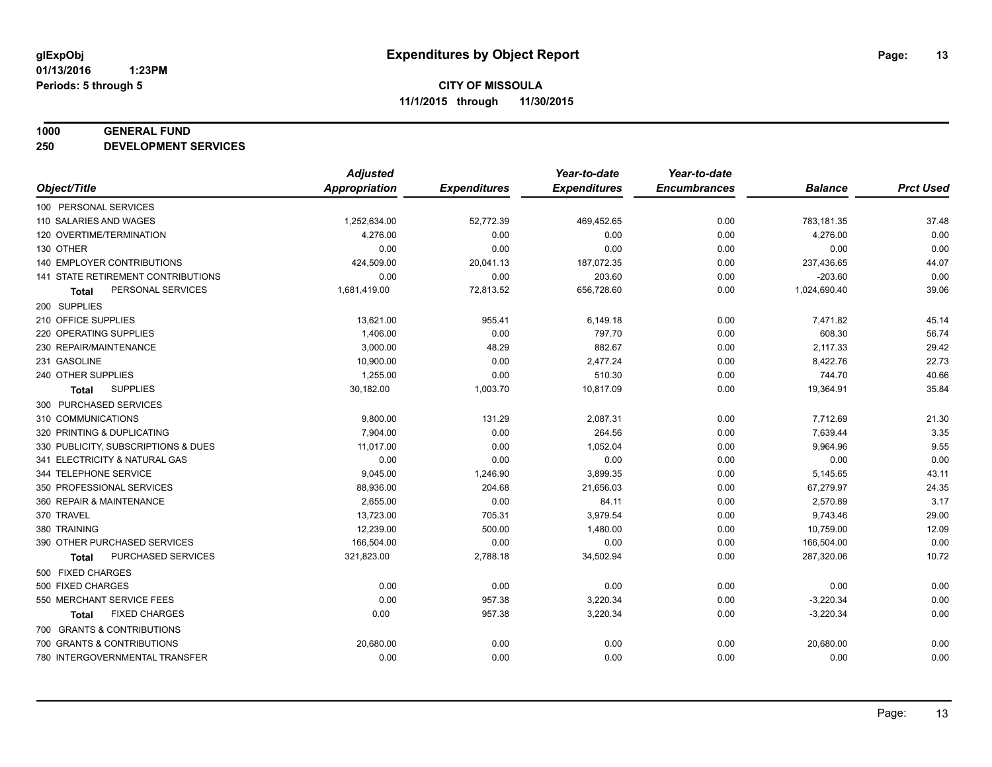#### **1000 GENERAL FUND**

**250 DEVELOPMENT SERVICES**

|                                      | <b>Adjusted</b>      |                     | Year-to-date        | Year-to-date        |                |                  |
|--------------------------------------|----------------------|---------------------|---------------------|---------------------|----------------|------------------|
| Object/Title                         | <b>Appropriation</b> | <b>Expenditures</b> | <b>Expenditures</b> | <b>Encumbrances</b> | <b>Balance</b> | <b>Prct Used</b> |
| 100 PERSONAL SERVICES                |                      |                     |                     |                     |                |                  |
| 110 SALARIES AND WAGES               | 1,252,634.00         | 52,772.39           | 469,452.65          | 0.00                | 783,181.35     | 37.48            |
| 120 OVERTIME/TERMINATION             | 4,276.00             | 0.00                | 0.00                | 0.00                | 4,276.00       | 0.00             |
| 130 OTHER                            | 0.00                 | 0.00                | 0.00                | 0.00                | 0.00           | 0.00             |
| 140 EMPLOYER CONTRIBUTIONS           | 424,509.00           | 20,041.13           | 187,072.35          | 0.00                | 237,436.65     | 44.07            |
| 141 STATE RETIREMENT CONTRIBUTIONS   | 0.00                 | 0.00                | 203.60              | 0.00                | $-203.60$      | 0.00             |
| PERSONAL SERVICES<br><b>Total</b>    | 1,681,419.00         | 72,813.52           | 656,728.60          | 0.00                | 1,024,690.40   | 39.06            |
| 200 SUPPLIES                         |                      |                     |                     |                     |                |                  |
| 210 OFFICE SUPPLIES                  | 13,621.00            | 955.41              | 6,149.18            | 0.00                | 7,471.82       | 45.14            |
| 220 OPERATING SUPPLIES               | 1,406.00             | 0.00                | 797.70              | 0.00                | 608.30         | 56.74            |
| 230 REPAIR/MAINTENANCE               | 3,000.00             | 48.29               | 882.67              | 0.00                | 2,117.33       | 29.42            |
| 231 GASOLINE                         | 10,900.00            | 0.00                | 2,477.24            | 0.00                | 8,422.76       | 22.73            |
| 240 OTHER SUPPLIES                   | 1,255.00             | 0.00                | 510.30              | 0.00                | 744.70         | 40.66            |
| <b>SUPPLIES</b><br><b>Total</b>      | 30,182.00            | 1,003.70            | 10,817.09           | 0.00                | 19,364.91      | 35.84            |
| 300 PURCHASED SERVICES               |                      |                     |                     |                     |                |                  |
| 310 COMMUNICATIONS                   | 9,800.00             | 131.29              | 2,087.31            | 0.00                | 7,712.69       | 21.30            |
| 320 PRINTING & DUPLICATING           | 7,904.00             | 0.00                | 264.56              | 0.00                | 7,639.44       | 3.35             |
| 330 PUBLICITY, SUBSCRIPTIONS & DUES  | 11,017.00            | 0.00                | 1,052.04            | 0.00                | 9,964.96       | 9.55             |
| 341 ELECTRICITY & NATURAL GAS        | 0.00                 | 0.00                | 0.00                | 0.00                | 0.00           | 0.00             |
| 344 TELEPHONE SERVICE                | 9,045.00             | 1,246.90            | 3,899.35            | 0.00                | 5,145.65       | 43.11            |
| 350 PROFESSIONAL SERVICES            | 88,936.00            | 204.68              | 21,656.03           | 0.00                | 67,279.97      | 24.35            |
| 360 REPAIR & MAINTENANCE             | 2,655.00             | 0.00                | 84.11               | 0.00                | 2,570.89       | 3.17             |
| 370 TRAVEL                           | 13,723.00            | 705.31              | 3,979.54            | 0.00                | 9,743.46       | 29.00            |
| 380 TRAINING                         | 12,239.00            | 500.00              | 1,480.00            | 0.00                | 10,759.00      | 12.09            |
| 390 OTHER PURCHASED SERVICES         | 166,504.00           | 0.00                | 0.00                | 0.00                | 166,504.00     | 0.00             |
| PURCHASED SERVICES<br><b>Total</b>   | 321,823.00           | 2,788.18            | 34,502.94           | 0.00                | 287,320.06     | 10.72            |
| 500 FIXED CHARGES                    |                      |                     |                     |                     |                |                  |
| 500 FIXED CHARGES                    | 0.00                 | 0.00                | 0.00                | 0.00                | 0.00           | 0.00             |
| 550 MERCHANT SERVICE FEES            | 0.00                 | 957.38              | 3,220.34            | 0.00                | $-3,220.34$    | 0.00             |
| <b>FIXED CHARGES</b><br><b>Total</b> | 0.00                 | 957.38              | 3,220.34            | 0.00                | $-3,220.34$    | 0.00             |
| 700 GRANTS & CONTRIBUTIONS           |                      |                     |                     |                     |                |                  |
| 700 GRANTS & CONTRIBUTIONS           | 20,680.00            | 0.00                | 0.00                | 0.00                | 20,680.00      | 0.00             |
| 780 INTERGOVERNMENTAL TRANSFER       | 0.00                 | 0.00                | 0.00                | 0.00                | 0.00           | 0.00             |
|                                      |                      |                     |                     |                     |                |                  |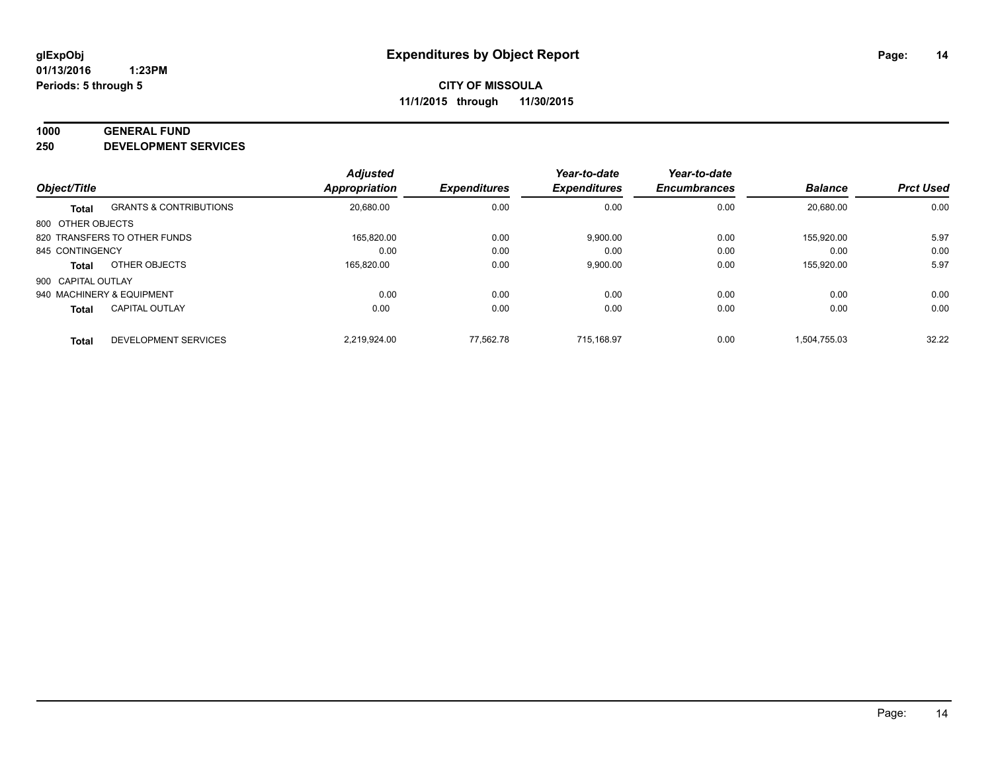#### **1000 GENERAL FUND**

**250 DEVELOPMENT SERVICES**

|                    |                                   | <b>Adjusted</b> |                     | Year-to-date        | Year-to-date        |                |                  |
|--------------------|-----------------------------------|-----------------|---------------------|---------------------|---------------------|----------------|------------------|
| Object/Title       |                                   | Appropriation   | <b>Expenditures</b> | <b>Expenditures</b> | <b>Encumbrances</b> | <b>Balance</b> | <b>Prct Used</b> |
| <b>Total</b>       | <b>GRANTS &amp; CONTRIBUTIONS</b> | 20,680.00       | 0.00                | 0.00                | 0.00                | 20.680.00      | 0.00             |
| 800 OTHER OBJECTS  |                                   |                 |                     |                     |                     |                |                  |
|                    | 820 TRANSFERS TO OTHER FUNDS      | 165.820.00      | 0.00                | 9,900.00            | 0.00                | 155.920.00     | 5.97             |
| 845 CONTINGENCY    |                                   | 0.00            | 0.00                | 0.00                | 0.00                | 0.00           | 0.00             |
| <b>Total</b>       | OTHER OBJECTS                     | 165,820.00      | 0.00                | 9,900.00            | 0.00                | 155,920.00     | 5.97             |
| 900 CAPITAL OUTLAY |                                   |                 |                     |                     |                     |                |                  |
|                    | 940 MACHINERY & EQUIPMENT         | 0.00            | 0.00                | 0.00                | 0.00                | 0.00           | 0.00             |
| <b>Total</b>       | <b>CAPITAL OUTLAY</b>             | 0.00            | 0.00                | 0.00                | 0.00                | 0.00           | 0.00             |
| <b>Total</b>       | DEVELOPMENT SERVICES              | 2.219.924.00    | 77.562.78           | 715.168.97          | 0.00                | 1.504.755.03   | 32.22            |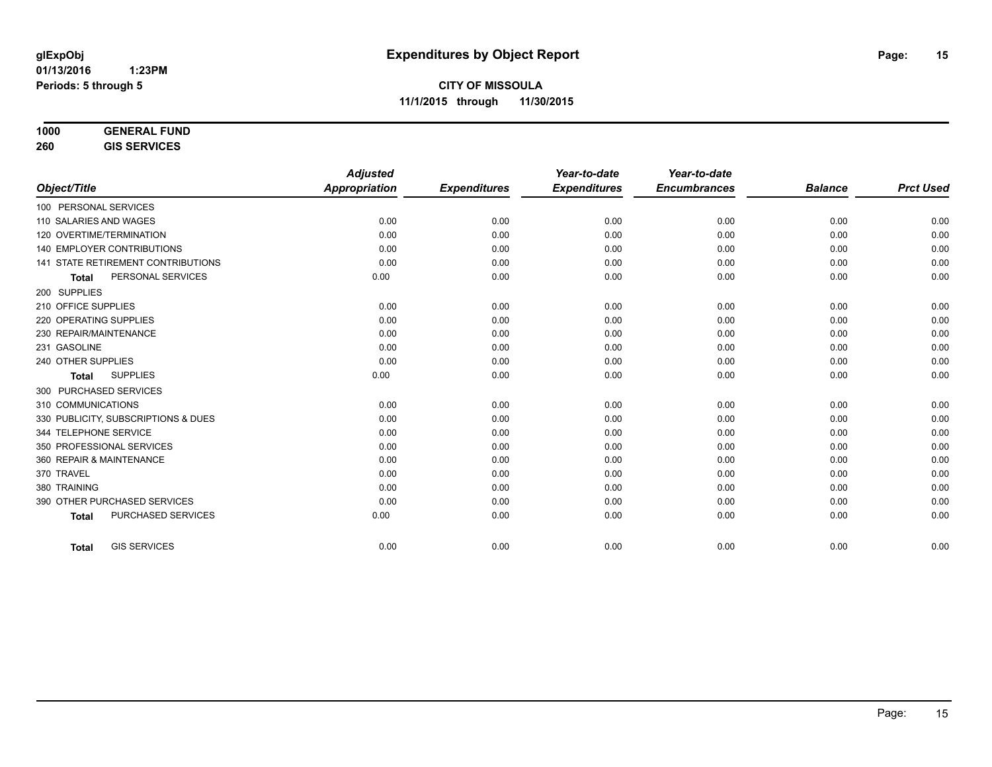| 1000    | <b>GENERAL FUND</b> |
|---------|---------------------|
| $- - -$ |                     |

**260 GIS SERVICES**

|                                           | <b>Adjusted</b>      |                     | Year-to-date        | Year-to-date        |                |                  |
|-------------------------------------------|----------------------|---------------------|---------------------|---------------------|----------------|------------------|
| Object/Title                              | <b>Appropriation</b> | <b>Expenditures</b> | <b>Expenditures</b> | <b>Encumbrances</b> | <b>Balance</b> | <b>Prct Used</b> |
| 100 PERSONAL SERVICES                     |                      |                     |                     |                     |                |                  |
| 110 SALARIES AND WAGES                    | 0.00                 | 0.00                | 0.00                | 0.00                | 0.00           | 0.00             |
| 120 OVERTIME/TERMINATION                  | 0.00                 | 0.00                | 0.00                | 0.00                | 0.00           | 0.00             |
| 140 EMPLOYER CONTRIBUTIONS                | 0.00                 | 0.00                | 0.00                | 0.00                | 0.00           | 0.00             |
| 141 STATE RETIREMENT CONTRIBUTIONS        | 0.00                 | 0.00                | 0.00                | 0.00                | 0.00           | 0.00             |
| PERSONAL SERVICES<br><b>Total</b>         | 0.00                 | 0.00                | 0.00                | 0.00                | 0.00           | 0.00             |
| 200 SUPPLIES                              |                      |                     |                     |                     |                |                  |
| 210 OFFICE SUPPLIES                       | 0.00                 | 0.00                | 0.00                | 0.00                | 0.00           | 0.00             |
| 220 OPERATING SUPPLIES                    | 0.00                 | 0.00                | 0.00                | 0.00                | 0.00           | 0.00             |
| 230 REPAIR/MAINTENANCE                    | 0.00                 | 0.00                | 0.00                | 0.00                | 0.00           | 0.00             |
| 231 GASOLINE                              | 0.00                 | 0.00                | 0.00                | 0.00                | 0.00           | 0.00             |
| 240 OTHER SUPPLIES                        | 0.00                 | 0.00                | 0.00                | 0.00                | 0.00           | 0.00             |
| <b>SUPPLIES</b><br><b>Total</b>           | 0.00                 | 0.00                | 0.00                | 0.00                | 0.00           | 0.00             |
| 300 PURCHASED SERVICES                    |                      |                     |                     |                     |                |                  |
| 310 COMMUNICATIONS                        | 0.00                 | 0.00                | 0.00                | 0.00                | 0.00           | 0.00             |
| 330 PUBLICITY, SUBSCRIPTIONS & DUES       | 0.00                 | 0.00                | 0.00                | 0.00                | 0.00           | 0.00             |
| 344 TELEPHONE SERVICE                     | 0.00                 | 0.00                | 0.00                | 0.00                | 0.00           | 0.00             |
| 350 PROFESSIONAL SERVICES                 | 0.00                 | 0.00                | 0.00                | 0.00                | 0.00           | 0.00             |
| 360 REPAIR & MAINTENANCE                  | 0.00                 | 0.00                | 0.00                | 0.00                | 0.00           | 0.00             |
| 370 TRAVEL                                | 0.00                 | 0.00                | 0.00                | 0.00                | 0.00           | 0.00             |
| 380 TRAINING                              | 0.00                 | 0.00                | 0.00                | 0.00                | 0.00           | 0.00             |
| 390 OTHER PURCHASED SERVICES              | 0.00                 | 0.00                | 0.00                | 0.00                | 0.00           | 0.00             |
| <b>PURCHASED SERVICES</b><br><b>Total</b> | 0.00                 | 0.00                | 0.00                | 0.00                | 0.00           | 0.00             |
|                                           |                      |                     |                     |                     |                |                  |
| <b>GIS SERVICES</b><br><b>Total</b>       | 0.00                 | 0.00                | 0.00                | 0.00                | 0.00           | 0.00             |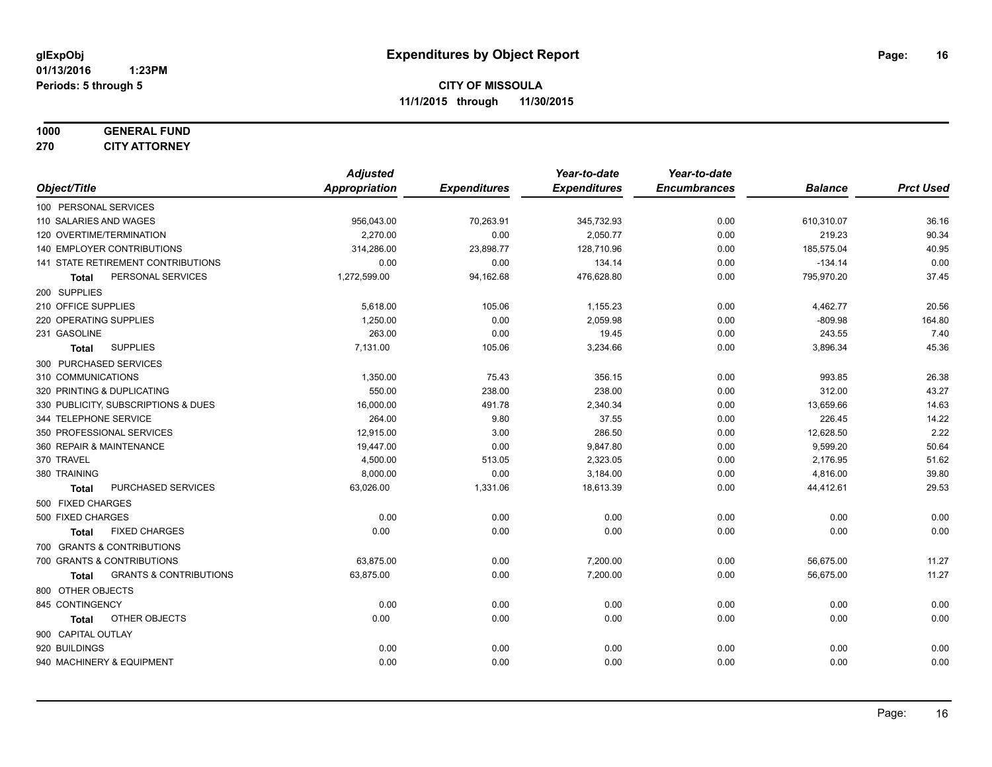#### **1000 GENERAL FUND 270 CITY ATTORNEY**

|               |                                                   | <b>Adjusted</b> |                     | Year-to-date        | Year-to-date        |                |                  |
|---------------|---------------------------------------------------|-----------------|---------------------|---------------------|---------------------|----------------|------------------|
| Object/Title  |                                                   | Appropriation   | <b>Expenditures</b> | <b>Expenditures</b> | <b>Encumbrances</b> | <b>Balance</b> | <b>Prct Used</b> |
|               | 100 PERSONAL SERVICES                             |                 |                     |                     |                     |                |                  |
|               | 110 SALARIES AND WAGES                            | 956,043.00      | 70,263.91           | 345,732.93          | 0.00                | 610,310.07     | 36.16            |
|               | 120 OVERTIME/TERMINATION                          | 2,270.00        | 0.00                | 2,050.77            | 0.00                | 219.23         | 90.34            |
|               | <b>140 EMPLOYER CONTRIBUTIONS</b>                 | 314,286.00      | 23,898.77           | 128,710.96          | 0.00                | 185,575.04     | 40.95            |
|               | 141 STATE RETIREMENT CONTRIBUTIONS                | 0.00            | 0.00                | 134.14              | 0.00                | $-134.14$      | 0.00             |
|               | PERSONAL SERVICES<br>Total                        | 1,272,599.00    | 94,162.68           | 476,628.80          | 0.00                | 795,970.20     | 37.45            |
| 200 SUPPLIES  |                                                   |                 |                     |                     |                     |                |                  |
|               | 210 OFFICE SUPPLIES                               | 5,618.00        | 105.06              | 1,155.23            | 0.00                | 4,462.77       | 20.56            |
|               | 220 OPERATING SUPPLIES                            | 1,250.00        | 0.00                | 2,059.98            | 0.00                | $-809.98$      | 164.80           |
| 231 GASOLINE  |                                                   | 263.00          | 0.00                | 19.45               | 0.00                | 243.55         | 7.40             |
|               | <b>SUPPLIES</b><br><b>Total</b>                   | 7,131.00        | 105.06              | 3,234.66            | 0.00                | 3,896.34       | 45.36            |
|               | 300 PURCHASED SERVICES                            |                 |                     |                     |                     |                |                  |
|               | 310 COMMUNICATIONS                                | 1,350.00        | 75.43               | 356.15              | 0.00                | 993.85         | 26.38            |
|               | 320 PRINTING & DUPLICATING                        | 550.00          | 238.00              | 238.00              | 0.00                | 312.00         | 43.27            |
|               | 330 PUBLICITY, SUBSCRIPTIONS & DUES               | 16,000.00       | 491.78              | 2,340.34            | 0.00                | 13,659.66      | 14.63            |
|               | 344 TELEPHONE SERVICE                             | 264.00          | 9.80                | 37.55               | 0.00                | 226.45         | 14.22            |
|               | 350 PROFESSIONAL SERVICES                         | 12,915.00       | 3.00                | 286.50              | 0.00                | 12,628.50      | 2.22             |
|               | 360 REPAIR & MAINTENANCE                          | 19,447.00       | 0.00                | 9,847.80            | 0.00                | 9,599.20       | 50.64            |
| 370 TRAVEL    |                                                   | 4,500.00        | 513.05              | 2,323.05            | 0.00                | 2,176.95       | 51.62            |
| 380 TRAINING  |                                                   | 8,000.00        | 0.00                | 3,184.00            | 0.00                | 4,816.00       | 39.80            |
|               | PURCHASED SERVICES<br><b>Total</b>                | 63,026.00       | 1,331.06            | 18,613.39           | 0.00                | 44,412.61      | 29.53            |
|               | 500 FIXED CHARGES                                 |                 |                     |                     |                     |                |                  |
|               | 500 FIXED CHARGES                                 | 0.00            | 0.00                | 0.00                | 0.00                | 0.00           | 0.00             |
|               | <b>FIXED CHARGES</b><br><b>Total</b>              | 0.00            | 0.00                | 0.00                | 0.00                | 0.00           | 0.00             |
|               | 700 GRANTS & CONTRIBUTIONS                        |                 |                     |                     |                     |                |                  |
|               | 700 GRANTS & CONTRIBUTIONS                        | 63,875.00       | 0.00                | 7,200.00            | 0.00                | 56,675.00      | 11.27            |
|               | <b>GRANTS &amp; CONTRIBUTIONS</b><br><b>Total</b> | 63,875.00       | 0.00                | 7,200.00            | 0.00                | 56,675.00      | 11.27            |
|               | 800 OTHER OBJECTS                                 |                 |                     |                     |                     |                |                  |
|               | 845 CONTINGENCY                                   | 0.00            | 0.00                | 0.00                | 0.00                | 0.00           | 0.00             |
|               | OTHER OBJECTS<br><b>Total</b>                     | 0.00            | 0.00                | 0.00                | 0.00                | 0.00           | 0.00             |
|               | 900 CAPITAL OUTLAY                                |                 |                     |                     |                     |                |                  |
| 920 BUILDINGS |                                                   | 0.00            | 0.00                | 0.00                | 0.00                | 0.00           | 0.00             |
|               | 940 MACHINERY & EQUIPMENT                         | 0.00            | 0.00                | 0.00                | 0.00                | 0.00           | 0.00             |
|               |                                                   |                 |                     |                     |                     |                |                  |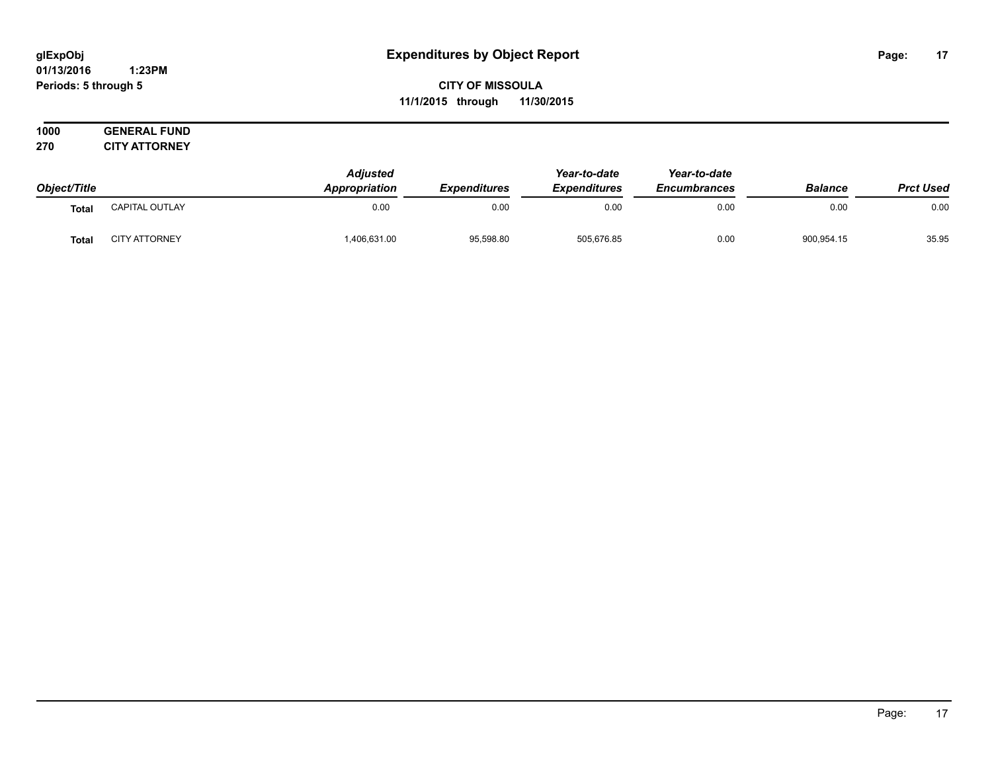#### **01/13/2016 1:23PM Periods: 5 through 5**

**CITY OF MISSOULA 11/1/2015 through 11/30/2015**

|              |                       | <b>Adjusted</b>      | <b>Expenditures</b> | Year-to-date        | Year-to-date<br><b>Encumbrances</b> |                |                  |
|--------------|-----------------------|----------------------|---------------------|---------------------|-------------------------------------|----------------|------------------|
| Object/Title |                       | <b>Appropriation</b> |                     | <b>Expenditures</b> |                                     | <b>Balance</b> | <b>Prct Used</b> |
| <b>Total</b> | <b>CAPITAL OUTLAY</b> | 0.00                 | 0.00                | 0.00                | 0.00                                | 0.00           | 0.00             |
| <b>Total</b> | <b>CITY ATTORNEY</b>  | 406,631.00           | 95,598.80           | 505,676.85          | 0.00                                | 900,954.15     | 35.95            |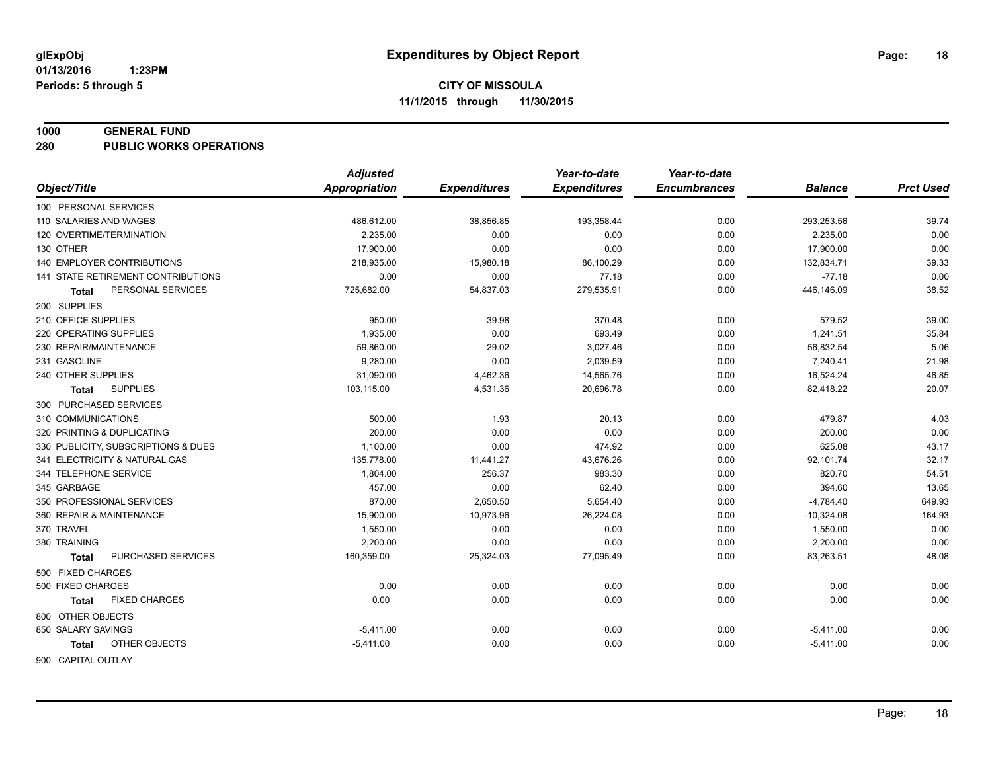#### **1000 GENERAL FUND**

**280 PUBLIC WORKS OPERATIONS**

| <b>Appropriation</b><br>Object/Title<br><b>Expenditures</b><br><b>Expenditures</b><br><b>Encumbrances</b><br><b>Balance</b> | <b>Prct Used</b> |
|-----------------------------------------------------------------------------------------------------------------------------|------------------|
|                                                                                                                             |                  |
| 100 PERSONAL SERVICES                                                                                                       |                  |
| 0.00<br>110 SALARIES AND WAGES<br>486,612.00<br>38,856.85<br>193,358.44<br>293,253.56                                       | 39.74            |
| 120 OVERTIME/TERMINATION<br>2.235.00<br>0.00<br>0.00<br>0.00<br>2,235.00                                                    | 0.00             |
| 130 OTHER<br>17,900.00<br>0.00<br>0.00<br>0.00<br>17,900.00                                                                 | 0.00             |
| <b>140 EMPLOYER CONTRIBUTIONS</b><br>218,935.00<br>15,980.18<br>86,100.29<br>0.00<br>132,834.71                             | 39.33            |
| 141 STATE RETIREMENT CONTRIBUTIONS<br>0.00<br>0.00<br>77.18<br>0.00                                                         | 0.00<br>$-77.18$ |
| 54,837.03<br>446,146.09<br>PERSONAL SERVICES<br>725,682.00<br>279,535.91<br>0.00<br>Total                                   | 38.52            |
| 200 SUPPLIES                                                                                                                |                  |
| 210 OFFICE SUPPLIES<br>950.00<br>39.98<br>370.48<br>0.00                                                                    | 579.52<br>39.00  |
| 220 OPERATING SUPPLIES<br>1,935.00<br>0.00<br>693.49<br>0.00<br>1,241.51                                                    | 35.84            |
| 59,860.00<br>230 REPAIR/MAINTENANCE<br>29.02<br>3,027.46<br>0.00<br>56,832.54                                               | 5.06             |
| 231 GASOLINE<br>9,280.00<br>0.00<br>2,039.59<br>0.00<br>7,240.41                                                            | 21.98            |
| 31,090.00<br>16,524.24<br>240 OTHER SUPPLIES<br>4,462.36<br>14,565.76<br>0.00                                               | 46.85            |
| <b>SUPPLIES</b><br>103,115.00<br>4,531.36<br>20,696.78<br>0.00<br>82,418.22<br>Total                                        | 20.07            |
| 300 PURCHASED SERVICES                                                                                                      |                  |
| 500.00<br>1.93<br>310 COMMUNICATIONS<br>20.13<br>0.00                                                                       | 4.03<br>479.87   |
| 200.00<br>0.00<br>0.00<br>320 PRINTING & DUPLICATING<br>0.00                                                                | 0.00<br>200.00   |
| 0.00<br>330 PUBLICITY, SUBSCRIPTIONS & DUES<br>1,100.00<br>474.92<br>0.00                                                   | 43.17<br>625.08  |
| 341 ELECTRICITY & NATURAL GAS<br>135,778.00<br>11,441.27<br>43,676.26<br>0.00<br>92,101.74                                  | 32.17            |
| 256.37<br>344 TELEPHONE SERVICE<br>1,804.00<br>983.30<br>0.00                                                               | 54.51<br>820.70  |
| 457.00<br>0.00<br>345 GARBAGE<br>62.40<br>0.00                                                                              | 13.65<br>394.60  |
| 350 PROFESSIONAL SERVICES<br>870.00<br>2,650.50<br>5,654.40<br>0.00<br>$-4,784.40$                                          | 649.93           |
| 360 REPAIR & MAINTENANCE<br>15,900.00<br>10,973.96<br>26,224.08<br>0.00<br>$-10,324.08$                                     | 164.93           |
| 370 TRAVEL<br>1,550.00<br>0.00<br>0.00<br>0.00<br>1,550.00                                                                  | 0.00             |
| 380 TRAINING<br>2,200.00<br>0.00<br>0.00<br>0.00<br>2,200.00                                                                | 0.00             |
| PURCHASED SERVICES<br>160,359.00<br>83,263.51<br>25,324.03<br>77,095.49<br>0.00<br><b>Total</b>                             | 48.08            |
| 500 FIXED CHARGES                                                                                                           |                  |
| 0.00<br>500 FIXED CHARGES<br>0.00<br>0.00<br>0.00                                                                           | 0.00<br>0.00     |
| <b>FIXED CHARGES</b><br>0.00<br>0.00<br>0.00<br>0.00<br>Total                                                               | 0.00<br>0.00     |
| 800 OTHER OBJECTS                                                                                                           |                  |
| 850 SALARY SAVINGS<br>$-5,411.00$<br>0.00<br>0.00<br>0.00<br>$-5,411.00$                                                    | 0.00             |
| OTHER OBJECTS<br>0.00<br>0.00<br>0.00<br>$-5,411.00$<br>$-5,411.00$<br>Total                                                | 0.00             |
| 900 CAPITAL OUTLAY                                                                                                          |                  |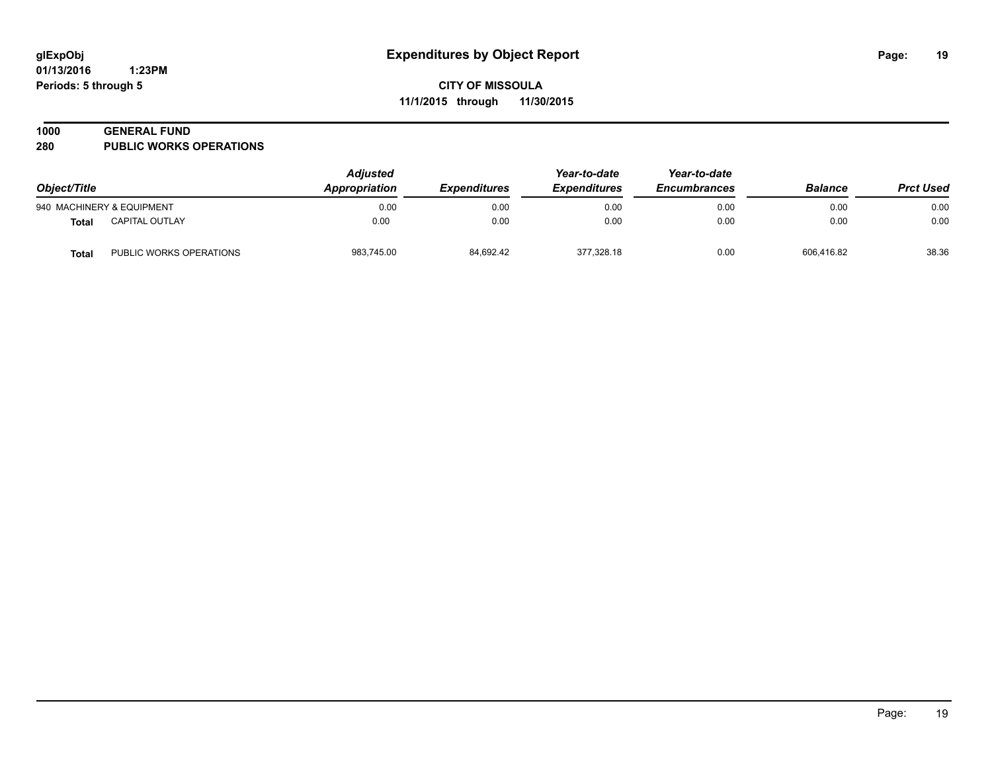## **1000 GENERAL FUND**

**280 PUBLIC WORKS OPERATIONS**

| Object/Title |                           | <b>Adjusted</b><br>Appropriation<br><i><b>Expenditures</b></i> | Year-to-date<br><b>Expenditures</b> | Year-to-date<br><b>Encumbrances</b> | <b>Balance</b> | <b>Prct Used</b> |       |
|--------------|---------------------------|----------------------------------------------------------------|-------------------------------------|-------------------------------------|----------------|------------------|-------|
|              | 940 MACHINERY & EQUIPMENT | 0.00                                                           | 0.00                                | 0.00                                | 0.00           | 0.00             | 0.00  |
| Total        | <b>CAPITAL OUTLAY</b>     | 0.00                                                           | 0.00                                | 0.00                                | 0.00           | 0.00             | 0.00  |
| <b>Total</b> | PUBLIC WORKS OPERATIONS   | 983,745.00                                                     | 84,692.42                           | 377.328.18                          | 0.00           | 606.416.82       | 38.36 |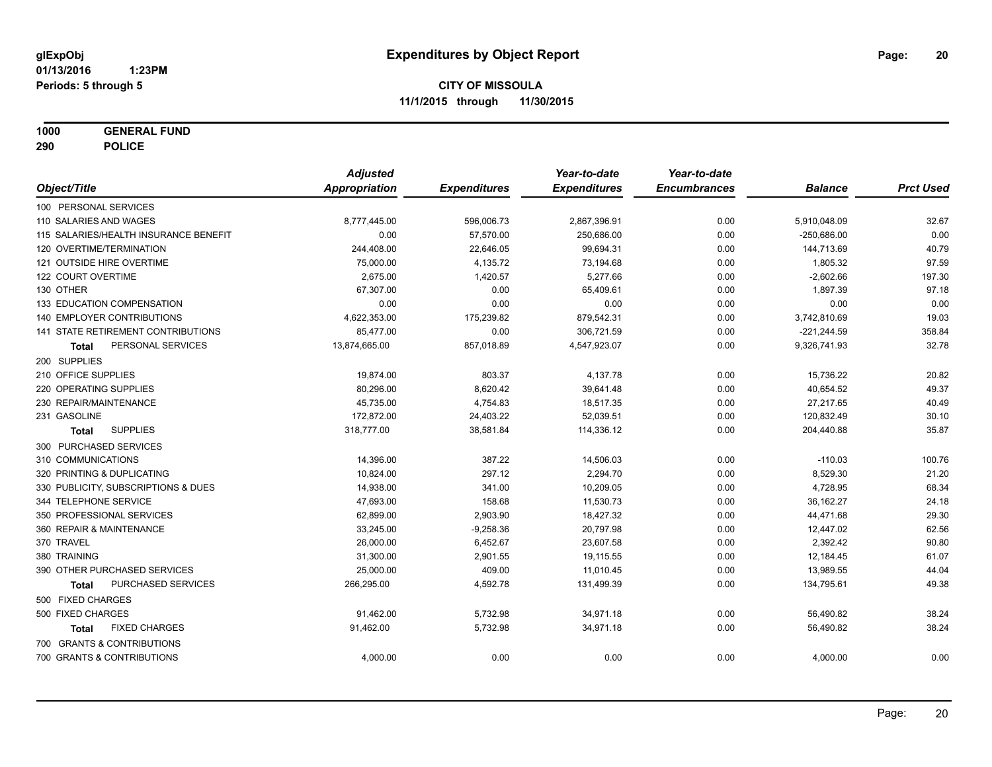**1000 GENERAL FUND**

**290 POLICE**

|                                       | <b>Adjusted</b>      |                     | Year-to-date        | Year-to-date        |                |                  |
|---------------------------------------|----------------------|---------------------|---------------------|---------------------|----------------|------------------|
| Object/Title                          | <b>Appropriation</b> | <b>Expenditures</b> | <b>Expenditures</b> | <b>Encumbrances</b> | <b>Balance</b> | <b>Prct Used</b> |
| 100 PERSONAL SERVICES                 |                      |                     |                     |                     |                |                  |
| 110 SALARIES AND WAGES                | 8,777,445.00         | 596,006.73          | 2,867,396.91        | 0.00                | 5,910,048.09   | 32.67            |
| 115 SALARIES/HEALTH INSURANCE BENEFIT | 0.00                 | 57,570.00           | 250,686.00          | 0.00                | $-250,686.00$  | 0.00             |
| 120 OVERTIME/TERMINATION              | 244,408.00           | 22,646.05           | 99,694.31           | 0.00                | 144,713.69     | 40.79            |
| 121 OUTSIDE HIRE OVERTIME             | 75,000.00            | 4,135.72            | 73,194.68           | 0.00                | 1,805.32       | 97.59            |
| 122 COURT OVERTIME                    | 2.675.00             | 1,420.57            | 5.277.66            | 0.00                | $-2,602.66$    | 197.30           |
| 130 OTHER                             | 67,307.00            | 0.00                | 65,409.61           | 0.00                | 1,897.39       | 97.18            |
| 133 EDUCATION COMPENSATION            | 0.00                 | 0.00                | 0.00                | 0.00                | 0.00           | 0.00             |
| <b>140 EMPLOYER CONTRIBUTIONS</b>     | 4,622,353.00         | 175,239.82          | 879,542.31          | 0.00                | 3,742,810.69   | 19.03            |
| 141 STATE RETIREMENT CONTRIBUTIONS    | 85,477.00            | 0.00                | 306,721.59          | 0.00                | $-221,244.59$  | 358.84           |
| PERSONAL SERVICES<br><b>Total</b>     | 13,874,665.00        | 857,018.89          | 4,547,923.07        | 0.00                | 9,326,741.93   | 32.78            |
| 200 SUPPLIES                          |                      |                     |                     |                     |                |                  |
| 210 OFFICE SUPPLIES                   | 19,874.00            | 803.37              | 4,137.78            | 0.00                | 15,736.22      | 20.82            |
| 220 OPERATING SUPPLIES                | 80,296.00            | 8,620.42            | 39,641.48           | 0.00                | 40,654.52      | 49.37            |
| 230 REPAIR/MAINTENANCE                | 45,735.00            | 4,754.83            | 18,517.35           | 0.00                | 27,217.65      | 40.49            |
| 231 GASOLINE                          | 172,872.00           | 24,403.22           | 52,039.51           | 0.00                | 120,832.49     | 30.10            |
| <b>SUPPLIES</b><br><b>Total</b>       | 318,777.00           | 38,581.84           | 114,336.12          | 0.00                | 204,440.88     | 35.87            |
| 300 PURCHASED SERVICES                |                      |                     |                     |                     |                |                  |
| 310 COMMUNICATIONS                    | 14,396.00            | 387.22              | 14,506.03           | 0.00                | $-110.03$      | 100.76           |
| 320 PRINTING & DUPLICATING            | 10,824.00            | 297.12              | 2,294.70            | 0.00                | 8,529.30       | 21.20            |
| 330 PUBLICITY, SUBSCRIPTIONS & DUES   | 14,938.00            | 341.00              | 10,209.05           | 0.00                | 4,728.95       | 68.34            |
| 344 TELEPHONE SERVICE                 | 47,693.00            | 158.68              | 11,530.73           | 0.00                | 36,162.27      | 24.18            |
| 350 PROFESSIONAL SERVICES             | 62,899.00            | 2,903.90            | 18,427.32           | 0.00                | 44,471.68      | 29.30            |
| 360 REPAIR & MAINTENANCE              | 33,245.00            | $-9,258.36$         | 20,797.98           | 0.00                | 12,447.02      | 62.56            |
| 370 TRAVEL                            | 26,000.00            | 6,452.67            | 23,607.58           | 0.00                | 2,392.42       | 90.80            |
| 380 TRAINING                          | 31,300.00            | 2,901.55            | 19,115.55           | 0.00                | 12,184.45      | 61.07            |
| 390 OTHER PURCHASED SERVICES          | 25,000.00            | 409.00              | 11,010.45           | 0.00                | 13,989.55      | 44.04            |
| PURCHASED SERVICES<br><b>Total</b>    | 266,295.00           | 4,592.78            | 131,499.39          | 0.00                | 134,795.61     | 49.38            |
| 500 FIXED CHARGES                     |                      |                     |                     |                     |                |                  |
| 500 FIXED CHARGES                     | 91,462.00            | 5,732.98            | 34,971.18           | 0.00                | 56,490.82      | 38.24            |
| <b>FIXED CHARGES</b><br>Total         | 91,462.00            | 5,732.98            | 34,971.18           | 0.00                | 56,490.82      | 38.24            |
| 700 GRANTS & CONTRIBUTIONS            |                      |                     |                     |                     |                |                  |
| 700 GRANTS & CONTRIBUTIONS            | 4,000.00             | 0.00                | 0.00                | 0.00                | 4,000.00       | 0.00             |
|                                       |                      |                     |                     |                     |                |                  |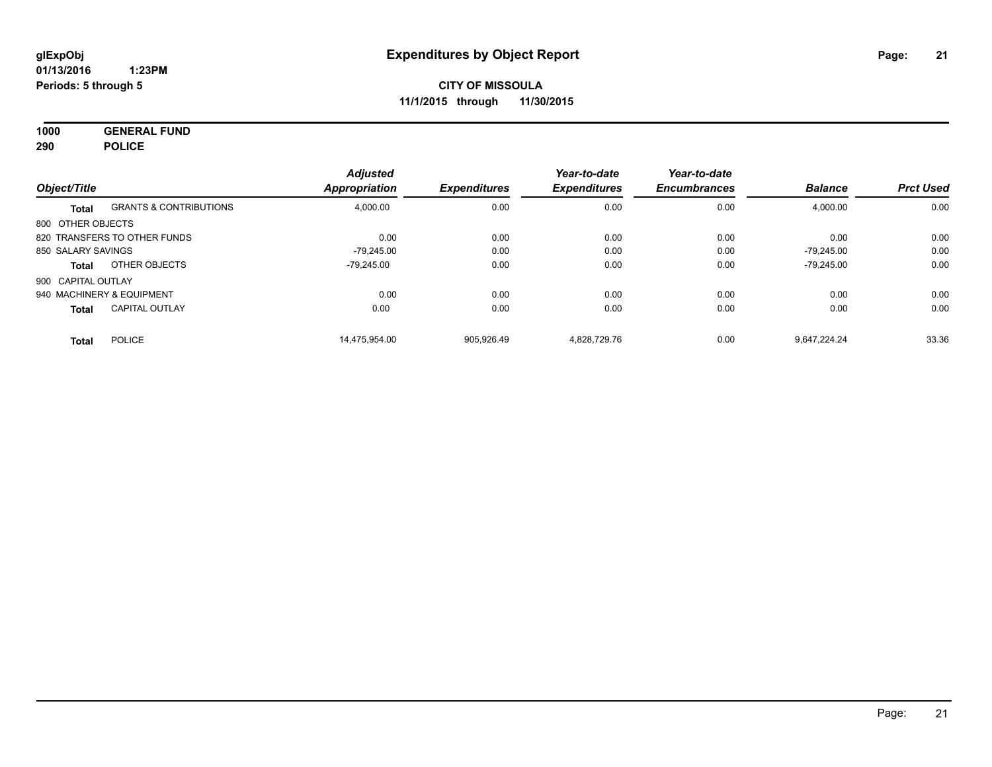**1000 GENERAL FUND 290 POLICE**

| Object/Title       |                                   | <b>Adjusted</b><br><b>Appropriation</b> | <b>Expenditures</b> | Year-to-date<br><b>Expenditures</b> | Year-to-date<br><b>Encumbrances</b> | <b>Balance</b> | <b>Prct Used</b> |
|--------------------|-----------------------------------|-----------------------------------------|---------------------|-------------------------------------|-------------------------------------|----------------|------------------|
|                    |                                   |                                         |                     |                                     |                                     |                |                  |
| <b>Total</b>       | <b>GRANTS &amp; CONTRIBUTIONS</b> | 4,000.00                                | 0.00                | 0.00                                | 0.00                                | 4,000.00       | 0.00             |
| 800 OTHER OBJECTS  |                                   |                                         |                     |                                     |                                     |                |                  |
|                    | 820 TRANSFERS TO OTHER FUNDS      | 0.00                                    | 0.00                | 0.00                                | 0.00                                | 0.00           | 0.00             |
| 850 SALARY SAVINGS |                                   | $-79.245.00$                            | 0.00                | 0.00                                | 0.00                                | $-79.245.00$   | 0.00             |
| <b>Total</b>       | OTHER OBJECTS                     | -79.245.00                              | 0.00                | 0.00                                | 0.00                                | $-79,245.00$   | 0.00             |
| 900 CAPITAL OUTLAY |                                   |                                         |                     |                                     |                                     |                |                  |
|                    | 940 MACHINERY & EQUIPMENT         | 0.00                                    | 0.00                | 0.00                                | 0.00                                | 0.00           | 0.00             |
| <b>Total</b>       | <b>CAPITAL OUTLAY</b>             | 0.00                                    | 0.00                | 0.00                                | 0.00                                | 0.00           | 0.00             |
| <b>Total</b>       | <b>POLICE</b>                     | 14.475.954.00                           | 905.926.49          | 4.828.729.76                        | 0.00                                | 9.647.224.24   | 33.36            |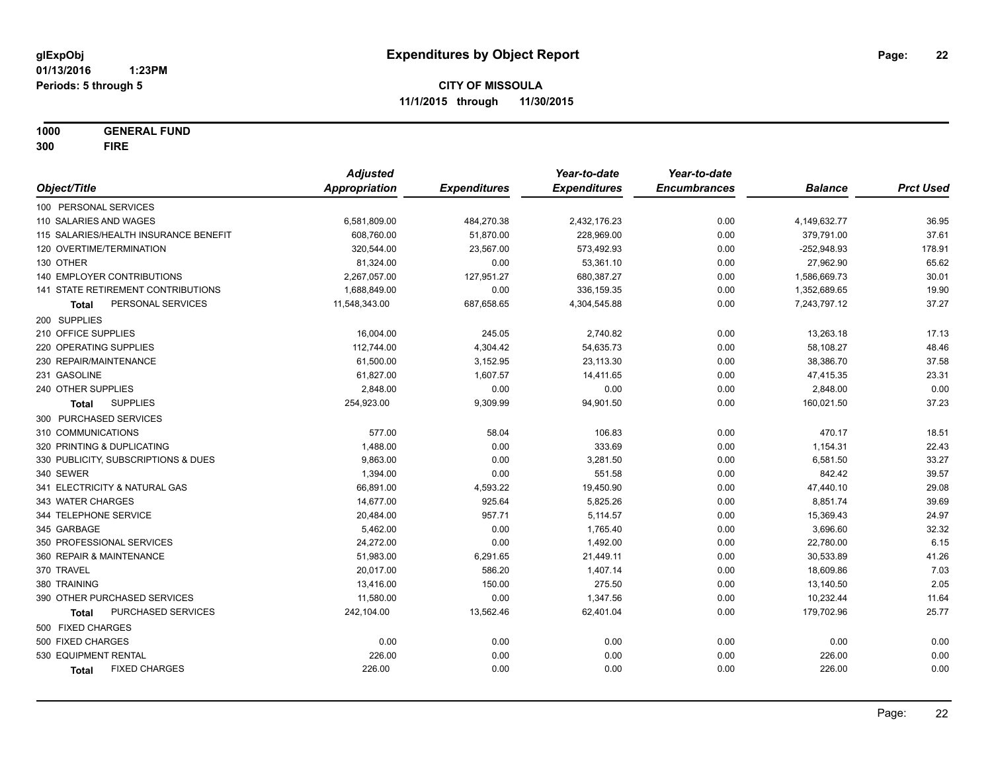**1000 GENERAL FUND 300 FIRE**

|                                       | <b>Adjusted</b>      |                     | Year-to-date        | Year-to-date        |                |                  |
|---------------------------------------|----------------------|---------------------|---------------------|---------------------|----------------|------------------|
| Object/Title                          | <b>Appropriation</b> | <b>Expenditures</b> | <b>Expenditures</b> | <b>Encumbrances</b> | <b>Balance</b> | <b>Prct Used</b> |
| 100 PERSONAL SERVICES                 |                      |                     |                     |                     |                |                  |
| 110 SALARIES AND WAGES                | 6,581,809.00         | 484,270.38          | 2,432,176.23        | 0.00                | 4,149,632.77   | 36.95            |
| 115 SALARIES/HEALTH INSURANCE BENEFIT | 608,760.00           | 51,870.00           | 228,969.00          | 0.00                | 379,791.00     | 37.61            |
| 120 OVERTIME/TERMINATION              | 320,544.00           | 23,567.00           | 573,492.93          | 0.00                | $-252,948.93$  | 178.91           |
| 130 OTHER                             | 81,324.00            | 0.00                | 53,361.10           | 0.00                | 27,962.90      | 65.62            |
| 140 EMPLOYER CONTRIBUTIONS            | 2,267,057.00         | 127,951.27          | 680,387.27          | 0.00                | 1,586,669.73   | 30.01            |
| 141 STATE RETIREMENT CONTRIBUTIONS    | 1,688,849.00         | 0.00                | 336,159.35          | 0.00                | 1,352,689.65   | 19.90            |
| PERSONAL SERVICES<br>Total            | 11,548,343.00        | 687,658.65          | 4,304,545.88        | 0.00                | 7,243,797.12   | 37.27            |
| 200 SUPPLIES                          |                      |                     |                     |                     |                |                  |
| 210 OFFICE SUPPLIES                   | 16,004.00            | 245.05              | 2,740.82            | 0.00                | 13,263.18      | 17.13            |
| 220 OPERATING SUPPLIES                | 112,744.00           | 4,304.42            | 54,635.73           | 0.00                | 58,108.27      | 48.46            |
| 230 REPAIR/MAINTENANCE                | 61,500.00            | 3,152.95            | 23,113.30           | 0.00                | 38,386.70      | 37.58            |
| 231 GASOLINE                          | 61,827.00            | 1,607.57            | 14,411.65           | 0.00                | 47,415.35      | 23.31            |
| 240 OTHER SUPPLIES                    | 2,848.00             | 0.00                | 0.00                | 0.00                | 2,848.00       | 0.00             |
| <b>SUPPLIES</b><br>Total              | 254,923.00           | 9,309.99            | 94,901.50           | 0.00                | 160,021.50     | 37.23            |
| 300 PURCHASED SERVICES                |                      |                     |                     |                     |                |                  |
| 310 COMMUNICATIONS                    | 577.00               | 58.04               | 106.83              | 0.00                | 470.17         | 18.51            |
| 320 PRINTING & DUPLICATING            | 1,488.00             | 0.00                | 333.69              | 0.00                | 1,154.31       | 22.43            |
| 330 PUBLICITY, SUBSCRIPTIONS & DUES   | 9,863.00             | 0.00                | 3,281.50            | 0.00                | 6,581.50       | 33.27            |
| 340 SEWER                             | 1,394.00             | 0.00                | 551.58              | 0.00                | 842.42         | 39.57            |
| 341 ELECTRICITY & NATURAL GAS         | 66,891.00            | 4,593.22            | 19,450.90           | 0.00                | 47,440.10      | 29.08            |
| 343 WATER CHARGES                     | 14,677.00            | 925.64              | 5,825.26            | 0.00                | 8,851.74       | 39.69            |
| 344 TELEPHONE SERVICE                 | 20,484.00            | 957.71              | 5,114.57            | 0.00                | 15,369.43      | 24.97            |
| 345 GARBAGE                           | 5,462.00             | 0.00                | 1,765.40            | 0.00                | 3,696.60       | 32.32            |
| 350 PROFESSIONAL SERVICES             | 24,272.00            | 0.00                | 1,492.00            | 0.00                | 22,780.00      | 6.15             |
| 360 REPAIR & MAINTENANCE              | 51,983.00            | 6,291.65            | 21,449.11           | 0.00                | 30,533.89      | 41.26            |
| 370 TRAVEL                            | 20,017.00            | 586.20              | 1,407.14            | 0.00                | 18,609.86      | 7.03             |
| 380 TRAINING                          | 13,416.00            | 150.00              | 275.50              | 0.00                | 13,140.50      | 2.05             |
| 390 OTHER PURCHASED SERVICES          | 11,580.00            | 0.00                | 1,347.56            | 0.00                | 10,232.44      | 11.64            |
| PURCHASED SERVICES<br><b>Total</b>    | 242,104.00           | 13,562.46           | 62,401.04           | 0.00                | 179,702.96     | 25.77            |
| 500 FIXED CHARGES                     |                      |                     |                     |                     |                |                  |
| 500 FIXED CHARGES                     | 0.00                 | 0.00                | 0.00                | 0.00                | 0.00           | 0.00             |
| 530 EQUIPMENT RENTAL                  | 226.00               | 0.00                | 0.00                | 0.00                | 226.00         | 0.00             |
| <b>FIXED CHARGES</b><br>Total         | 226.00               | 0.00                | 0.00                | 0.00                | 226.00         | 0.00             |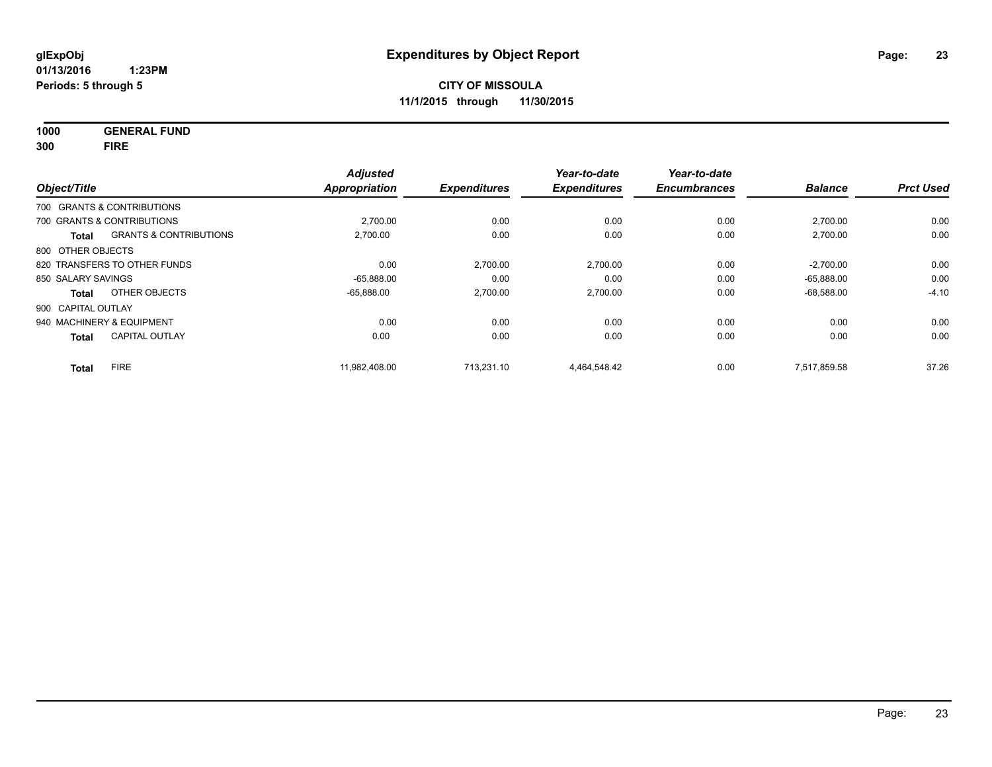**1000 GENERAL FUND 300 FIRE**

| Object/Title       |                                   | <b>Adjusted</b><br><b>Appropriation</b> | <b>Expenditures</b> | Year-to-date<br><b>Expenditures</b> | Year-to-date<br><b>Encumbrances</b> | <b>Balance</b> | <b>Prct Used</b> |
|--------------------|-----------------------------------|-----------------------------------------|---------------------|-------------------------------------|-------------------------------------|----------------|------------------|
|                    | 700 GRANTS & CONTRIBUTIONS        |                                         |                     |                                     |                                     |                |                  |
|                    | 700 GRANTS & CONTRIBUTIONS        | 2,700.00                                | 0.00                | 0.00                                | 0.00                                | 2,700.00       | 0.00             |
| <b>Total</b>       | <b>GRANTS &amp; CONTRIBUTIONS</b> | 2.700.00                                | 0.00                | 0.00                                | 0.00                                | 2,700.00       | 0.00             |
| 800 OTHER OBJECTS  |                                   |                                         |                     |                                     |                                     |                |                  |
|                    | 820 TRANSFERS TO OTHER FUNDS      | 0.00                                    | 2,700.00            | 2,700.00                            | 0.00                                | $-2,700.00$    | 0.00             |
| 850 SALARY SAVINGS |                                   | $-65,888.00$                            | 0.00                | 0.00                                | 0.00                                | $-65.888.00$   | 0.00             |
| Total              | OTHER OBJECTS                     | $-65.888.00$                            | 2,700.00            | 2,700.00                            | 0.00                                | $-68,588.00$   | $-4.10$          |
| 900 CAPITAL OUTLAY |                                   |                                         |                     |                                     |                                     |                |                  |
|                    | 940 MACHINERY & EQUIPMENT         | 0.00                                    | 0.00                | 0.00                                | 0.00                                | 0.00           | 0.00             |
| <b>Total</b>       | <b>CAPITAL OUTLAY</b>             | 0.00                                    | 0.00                | 0.00                                | 0.00                                | 0.00           | 0.00             |
| <b>Total</b>       | <b>FIRE</b>                       | 11.982.408.00                           | 713.231.10          | 4.464.548.42                        | 0.00                                | 7.517.859.58   | 37.26            |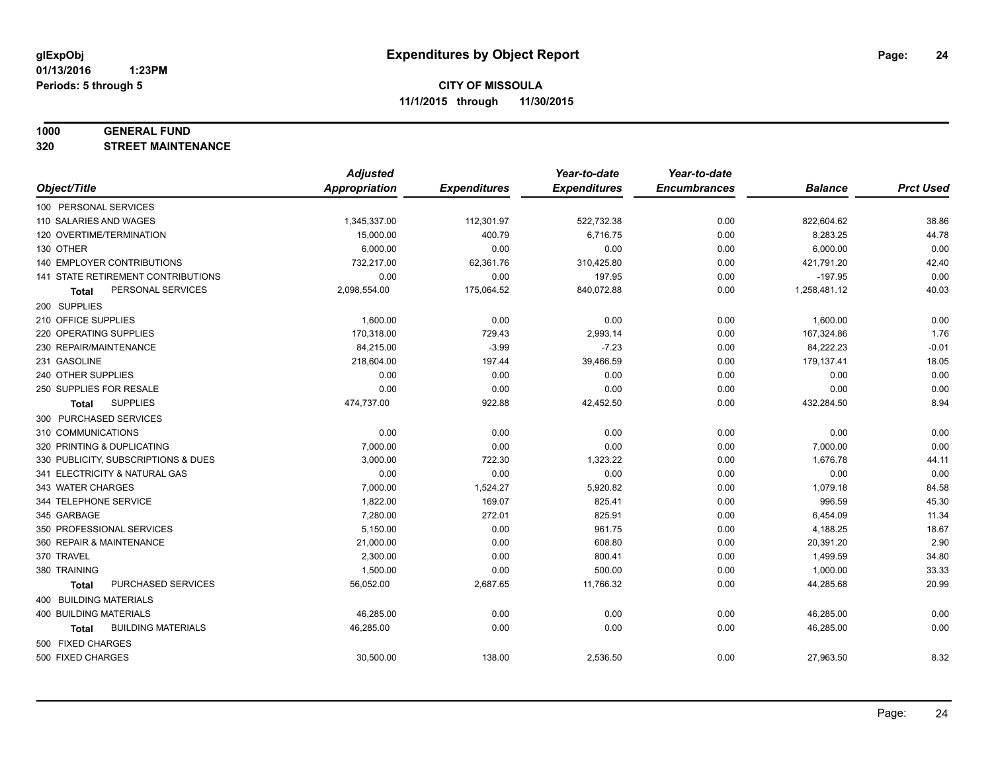#### **1000 GENERAL FUND**

**320 STREET MAINTENANCE**

|                                     | <b>Adjusted</b>      |                     | Year-to-date        | Year-to-date        |                |                  |
|-------------------------------------|----------------------|---------------------|---------------------|---------------------|----------------|------------------|
| Object/Title                        | <b>Appropriation</b> | <b>Expenditures</b> | <b>Expenditures</b> | <b>Encumbrances</b> | <b>Balance</b> | <b>Prct Used</b> |
| 100 PERSONAL SERVICES               |                      |                     |                     |                     |                |                  |
| 110 SALARIES AND WAGES              | 1,345,337.00         | 112,301.97          | 522,732.38          | 0.00                | 822,604.62     | 38.86            |
| 120 OVERTIME/TERMINATION            | 15,000.00            | 400.79              | 6,716.75            | 0.00                | 8,283.25       | 44.78            |
| 130 OTHER                           | 6,000.00             | 0.00                | 0.00                | 0.00                | 6,000.00       | 0.00             |
| 140 EMPLOYER CONTRIBUTIONS          | 732,217.00           | 62,361.76           | 310,425.80          | 0.00                | 421,791.20     | 42.40            |
| 141 STATE RETIREMENT CONTRIBUTIONS  | 0.00                 | 0.00                | 197.95              | 0.00                | $-197.95$      | 0.00             |
| PERSONAL SERVICES<br>Total          | 2,098,554.00         | 175,064.52          | 840,072.88          | 0.00                | 1,258,481.12   | 40.03            |
| 200 SUPPLIES                        |                      |                     |                     |                     |                |                  |
| 210 OFFICE SUPPLIES                 | 1,600.00             | 0.00                | 0.00                | 0.00                | 1,600.00       | 0.00             |
| 220 OPERATING SUPPLIES              | 170,318.00           | 729.43              | 2,993.14            | 0.00                | 167,324.86     | 1.76             |
| 230 REPAIR/MAINTENANCE              | 84,215.00            | $-3.99$             | $-7.23$             | 0.00                | 84,222.23      | $-0.01$          |
| 231 GASOLINE                        | 218,604.00           | 197.44              | 39,466.59           | 0.00                | 179,137.41     | 18.05            |
| 240 OTHER SUPPLIES                  | 0.00                 | 0.00                | 0.00                | 0.00                | 0.00           | 0.00             |
| 250 SUPPLIES FOR RESALE             | 0.00                 | 0.00                | 0.00                | 0.00                | 0.00           | 0.00             |
| <b>SUPPLIES</b><br><b>Total</b>     | 474,737.00           | 922.88              | 42,452.50           | 0.00                | 432,284.50     | 8.94             |
| 300 PURCHASED SERVICES              |                      |                     |                     |                     |                |                  |
| 310 COMMUNICATIONS                  | 0.00                 | 0.00                | 0.00                | 0.00                | 0.00           | 0.00             |
| 320 PRINTING & DUPLICATING          | 7,000.00             | 0.00                | 0.00                | 0.00                | 7,000.00       | 0.00             |
| 330 PUBLICITY, SUBSCRIPTIONS & DUES | 3,000.00             | 722.30              | 1,323.22            | 0.00                | 1,676.78       | 44.11            |
| 341 ELECTRICITY & NATURAL GAS       | 0.00                 | 0.00                | 0.00                | 0.00                | 0.00           | 0.00             |
| 343 WATER CHARGES                   | 7,000.00             | 1,524.27            | 5,920.82            | 0.00                | 1,079.18       | 84.58            |
| 344 TELEPHONE SERVICE               | 1,822.00             | 169.07              | 825.41              | 0.00                | 996.59         | 45.30            |
| 345 GARBAGE                         | 7,280.00             | 272.01              | 825.91              | 0.00                | 6,454.09       | 11.34            |
| 350 PROFESSIONAL SERVICES           | 5,150.00             | 0.00                | 961.75              | 0.00                | 4,188.25       | 18.67            |
| 360 REPAIR & MAINTENANCE            | 21,000.00            | 0.00                | 608.80              | 0.00                | 20,391.20      | 2.90             |
| 370 TRAVEL                          | 2,300.00             | 0.00                | 800.41              | 0.00                | 1,499.59       | 34.80            |
| 380 TRAINING                        | 1,500.00             | 0.00                | 500.00              | 0.00                | 1,000.00       | 33.33            |
| PURCHASED SERVICES<br><b>Total</b>  | 56,052.00            | 2,687.65            | 11,766.32           | 0.00                | 44,285.68      | 20.99            |
| 400 BUILDING MATERIALS              |                      |                     |                     |                     |                |                  |
| 400 BUILDING MATERIALS              | 46,285.00            | 0.00                | 0.00                | 0.00                | 46,285.00      | 0.00             |
| <b>BUILDING MATERIALS</b><br>Total  | 46,285.00            | 0.00                | 0.00                | 0.00                | 46,285.00      | 0.00             |
| 500 FIXED CHARGES                   |                      |                     |                     |                     |                |                  |
| 500 FIXED CHARGES                   | 30,500.00            | 138.00              | 2,536.50            | 0.00                | 27,963.50      | 8.32             |
|                                     |                      |                     |                     |                     |                |                  |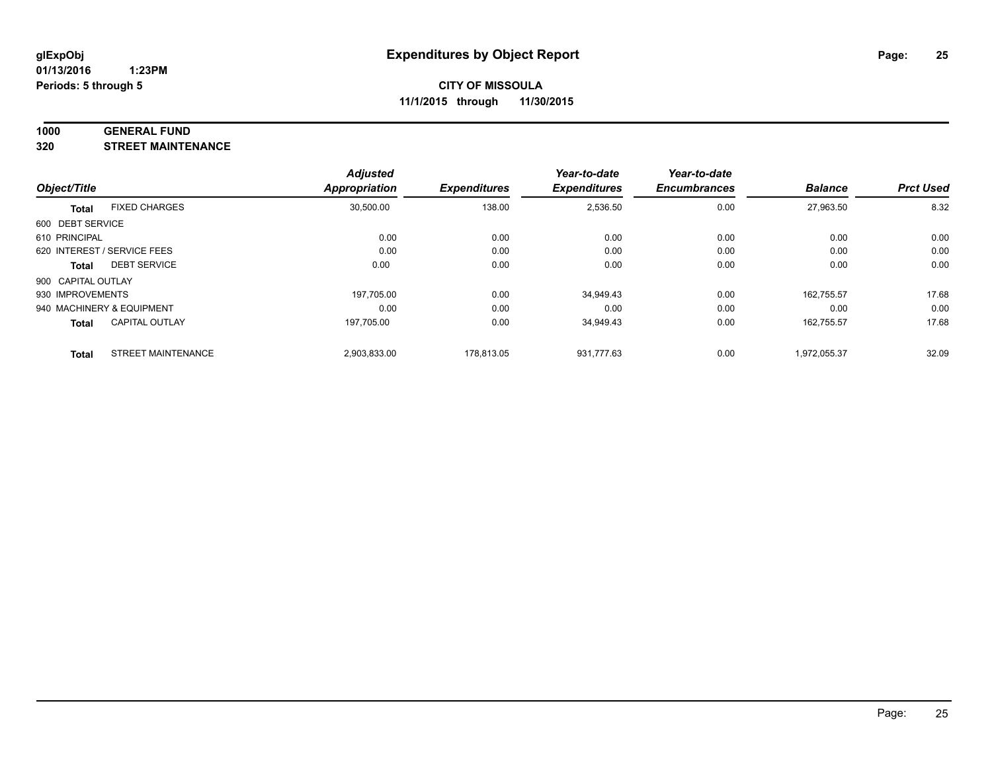#### **1000 GENERAL FUND**

**320 STREET MAINTENANCE**

|                    |                             | <b>Adjusted</b> |                     | Year-to-date        | Year-to-date        |                |                  |
|--------------------|-----------------------------|-----------------|---------------------|---------------------|---------------------|----------------|------------------|
| Object/Title       |                             | Appropriation   | <b>Expenditures</b> | <b>Expenditures</b> | <b>Encumbrances</b> | <b>Balance</b> | <b>Prct Used</b> |
| <b>Total</b>       | <b>FIXED CHARGES</b>        | 30,500.00       | 138.00              | 2,536.50            | 0.00                | 27,963.50      | 8.32             |
| 600 DEBT SERVICE   |                             |                 |                     |                     |                     |                |                  |
| 610 PRINCIPAL      |                             | 0.00            | 0.00                | 0.00                | 0.00                | 0.00           | 0.00             |
|                    | 620 INTEREST / SERVICE FEES | 0.00            | 0.00                | 0.00                | 0.00                | 0.00           | 0.00             |
| Total              | <b>DEBT SERVICE</b>         | 0.00            | 0.00                | 0.00                | 0.00                | 0.00           | 0.00             |
| 900 CAPITAL OUTLAY |                             |                 |                     |                     |                     |                |                  |
| 930 IMPROVEMENTS   |                             | 197,705.00      | 0.00                | 34,949.43           | 0.00                | 162.755.57     | 17.68            |
|                    | 940 MACHINERY & EQUIPMENT   | 0.00            | 0.00                | 0.00                | 0.00                | 0.00           | 0.00             |
| <b>Total</b>       | <b>CAPITAL OUTLAY</b>       | 197,705.00      | 0.00                | 34,949.43           | 0.00                | 162.755.57     | 17.68            |
| <b>Total</b>       | <b>STREET MAINTENANCE</b>   | 2,903,833.00    | 178.813.05          | 931.777.63          | 0.00                | 1.972.055.37   | 32.09            |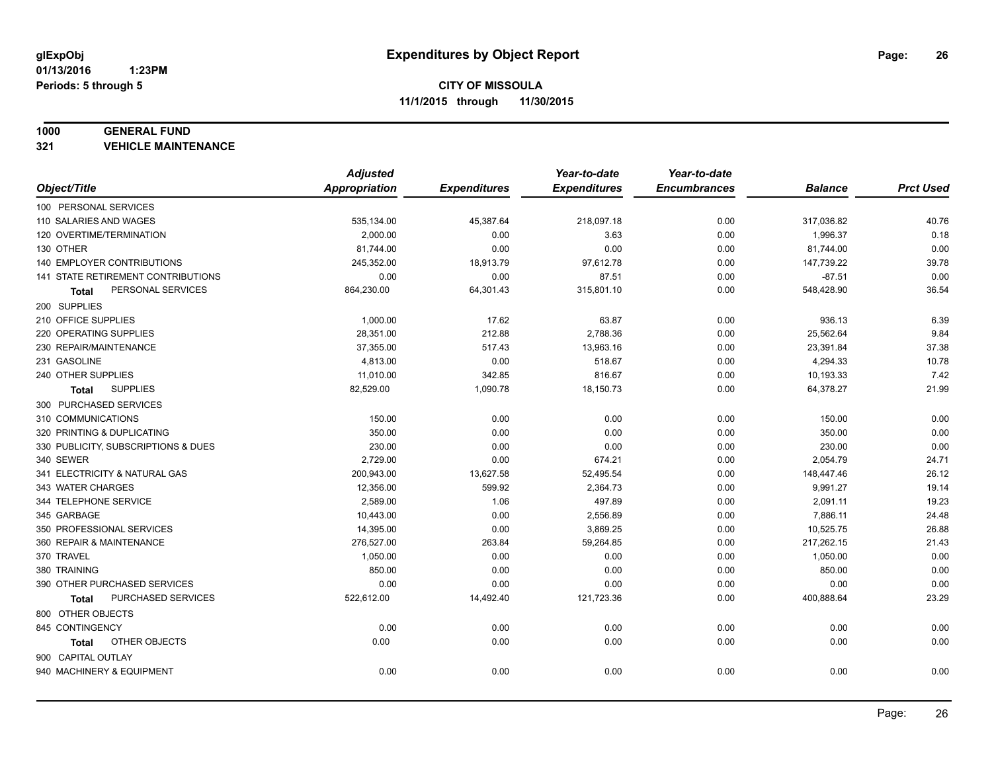#### **1000 GENERAL FUND**

**321 VEHICLE MAINTENANCE**

|                                           | <b>Adjusted</b> |                     | Year-to-date        | Year-to-date        |                |                  |
|-------------------------------------------|-----------------|---------------------|---------------------|---------------------|----------------|------------------|
| Object/Title                              | Appropriation   | <b>Expenditures</b> | <b>Expenditures</b> | <b>Encumbrances</b> | <b>Balance</b> | <b>Prct Used</b> |
| 100 PERSONAL SERVICES                     |                 |                     |                     |                     |                |                  |
| 110 SALARIES AND WAGES                    | 535,134.00      | 45,387.64           | 218,097.18          | 0.00                | 317,036.82     | 40.76            |
| 120 OVERTIME/TERMINATION                  | 2,000.00        | 0.00                | 3.63                | 0.00                | 1,996.37       | 0.18             |
| 130 OTHER                                 | 81,744.00       | 0.00                | 0.00                | 0.00                | 81,744.00      | 0.00             |
| <b>140 EMPLOYER CONTRIBUTIONS</b>         | 245,352.00      | 18,913.79           | 97,612.78           | 0.00                | 147,739.22     | 39.78            |
| <b>141 STATE RETIREMENT CONTRIBUTIONS</b> | 0.00            | 0.00                | 87.51               | 0.00                | $-87.51$       | 0.00             |
| PERSONAL SERVICES<br>Total                | 864,230.00      | 64,301.43           | 315,801.10          | 0.00                | 548,428.90     | 36.54            |
| 200 SUPPLIES                              |                 |                     |                     |                     |                |                  |
| 210 OFFICE SUPPLIES                       | 1,000.00        | 17.62               | 63.87               | 0.00                | 936.13         | 6.39             |
| 220 OPERATING SUPPLIES                    | 28,351.00       | 212.88              | 2,788.36            | 0.00                | 25,562.64      | 9.84             |
| 230 REPAIR/MAINTENANCE                    | 37,355.00       | 517.43              | 13,963.16           | 0.00                | 23,391.84      | 37.38            |
| 231 GASOLINE                              | 4,813.00        | 0.00                | 518.67              | 0.00                | 4,294.33       | 10.78            |
| 240 OTHER SUPPLIES                        | 11,010.00       | 342.85              | 816.67              | 0.00                | 10,193.33      | 7.42             |
| <b>SUPPLIES</b><br>Total                  | 82,529.00       | 1,090.78            | 18,150.73           | 0.00                | 64,378.27      | 21.99            |
| 300 PURCHASED SERVICES                    |                 |                     |                     |                     |                |                  |
| 310 COMMUNICATIONS                        | 150.00          | 0.00                | 0.00                | 0.00                | 150.00         | 0.00             |
| 320 PRINTING & DUPLICATING                | 350.00          | 0.00                | 0.00                | 0.00                | 350.00         | 0.00             |
| 330 PUBLICITY, SUBSCRIPTIONS & DUES       | 230.00          | 0.00                | 0.00                | 0.00                | 230.00         | 0.00             |
| 340 SEWER                                 | 2,729.00        | 0.00                | 674.21              | 0.00                | 2,054.79       | 24.71            |
| 341 ELECTRICITY & NATURAL GAS             | 200,943.00      | 13,627.58           | 52,495.54           | 0.00                | 148,447.46     | 26.12            |
| 343 WATER CHARGES                         | 12,356.00       | 599.92              | 2,364.73            | 0.00                | 9,991.27       | 19.14            |
| 344 TELEPHONE SERVICE                     | 2,589.00        | 1.06                | 497.89              | 0.00                | 2,091.11       | 19.23            |
| 345 GARBAGE                               | 10,443.00       | 0.00                | 2,556.89            | 0.00                | 7,886.11       | 24.48            |
| 350 PROFESSIONAL SERVICES                 | 14,395.00       | 0.00                | 3,869.25            | 0.00                | 10,525.75      | 26.88            |
| 360 REPAIR & MAINTENANCE                  | 276,527.00      | 263.84              | 59,264.85           | 0.00                | 217,262.15     | 21.43            |
| 370 TRAVEL                                | 1,050.00        | 0.00                | 0.00                | 0.00                | 1,050.00       | 0.00             |
| 380 TRAINING                              | 850.00          | 0.00                | 0.00                | 0.00                | 850.00         | 0.00             |
| 390 OTHER PURCHASED SERVICES              | 0.00            | 0.00                | 0.00                | 0.00                | 0.00           | 0.00             |
| PURCHASED SERVICES<br>Total               | 522,612.00      | 14,492.40           | 121,723.36          | 0.00                | 400,888.64     | 23.29            |
| 800 OTHER OBJECTS                         |                 |                     |                     |                     |                |                  |
| 845 CONTINGENCY                           | 0.00            | 0.00                | 0.00                | 0.00                | 0.00           | 0.00             |
| OTHER OBJECTS<br>Total                    | 0.00            | 0.00                | 0.00                | 0.00                | 0.00           | 0.00             |
| 900 CAPITAL OUTLAY                        |                 |                     |                     |                     |                |                  |
| 940 MACHINERY & EQUIPMENT                 | 0.00            | 0.00                | 0.00                | 0.00                | 0.00           | 0.00             |
|                                           |                 |                     |                     |                     |                |                  |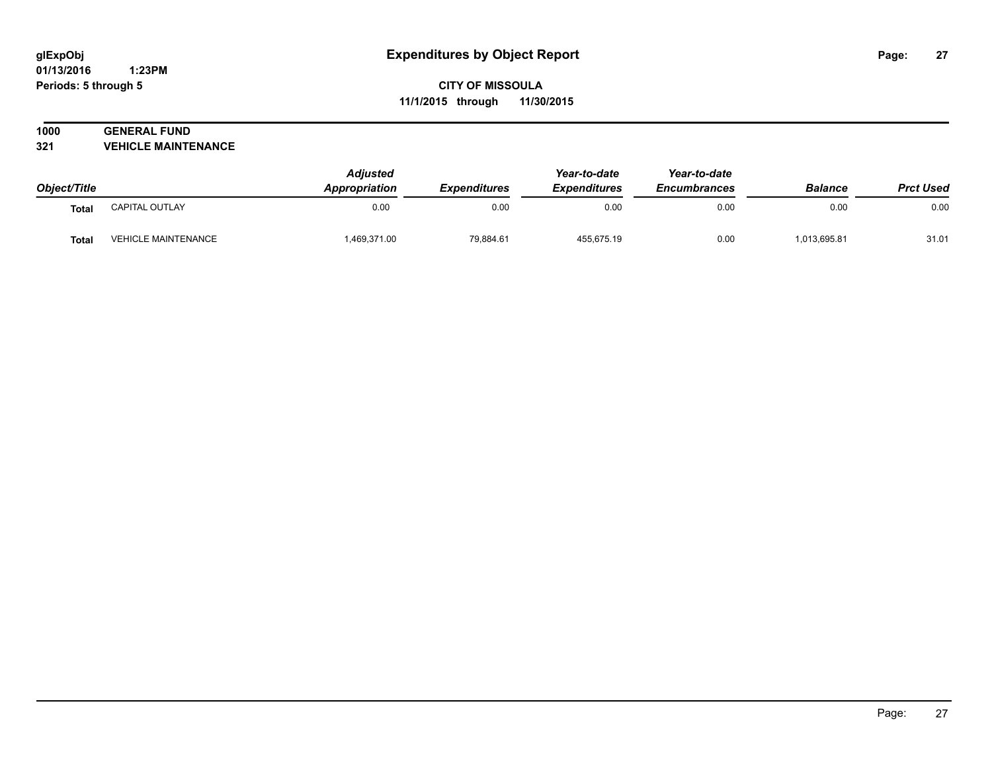#### **01/13/2016 1:23PM Periods: 5 through 5**

**CITY OF MISSOULA 11/1/2015 through 11/30/2015**

# **1000 GENERAL FUND**

**321 VEHICLE MAINTENANCE**

| Object/Title |                            | <b>Adjusted</b><br>Appropriation |           | Year-to-date<br><b>Expenditures</b><br><b>Expenditures</b> | Year-to-date<br><b>Encumbrances</b> | <b>Balance</b> | <b>Prct Used</b> |
|--------------|----------------------------|----------------------------------|-----------|------------------------------------------------------------|-------------------------------------|----------------|------------------|
|              |                            |                                  |           |                                                            |                                     |                |                  |
| Total        | CAPITAL OUTLAY             | 0.00                             | 0.00      | 0.00                                                       | 0.00                                | 0.00           | 0.00             |
| <b>Total</b> | <b>VEHICLE MAINTENANCE</b> | 1,469,371.00                     | 79,884.61 | 455,675.19                                                 | 0.00                                | 1,013,695.81   | 31.01            |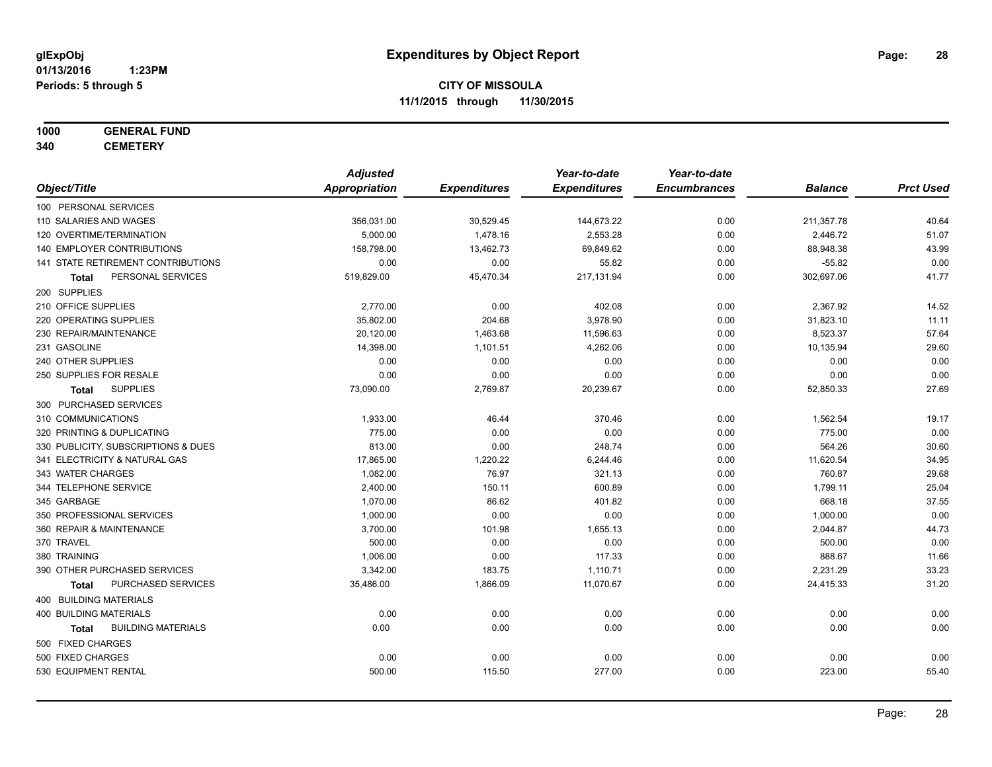# **1000 GENERAL FUND**

**340 CEMETERY**

|                                           | <b>Adjusted</b>      |                     | Year-to-date        | Year-to-date        |                |                  |
|-------------------------------------------|----------------------|---------------------|---------------------|---------------------|----------------|------------------|
| Object/Title                              | <b>Appropriation</b> | <b>Expenditures</b> | <b>Expenditures</b> | <b>Encumbrances</b> | <b>Balance</b> | <b>Prct Used</b> |
| 100 PERSONAL SERVICES                     |                      |                     |                     |                     |                |                  |
| 110 SALARIES AND WAGES                    | 356,031.00           | 30,529.45           | 144,673.22          | 0.00                | 211,357.78     | 40.64            |
| 120 OVERTIME/TERMINATION                  | 5,000.00             | 1,478.16            | 2,553.28            | 0.00                | 2,446.72       | 51.07            |
| <b>140 EMPLOYER CONTRIBUTIONS</b>         | 158,798.00           | 13,462.73           | 69,849.62           | 0.00                | 88,948.38      | 43.99            |
| 141 STATE RETIREMENT CONTRIBUTIONS        | 0.00                 | 0.00                | 55.82               | 0.00                | $-55.82$       | 0.00             |
| PERSONAL SERVICES<br>Total                | 519,829.00           | 45,470.34           | 217,131.94          | 0.00                | 302,697.06     | 41.77            |
| 200 SUPPLIES                              |                      |                     |                     |                     |                |                  |
| 210 OFFICE SUPPLIES                       | 2,770.00             | 0.00                | 402.08              | 0.00                | 2,367.92       | 14.52            |
| 220 OPERATING SUPPLIES                    | 35,802.00            | 204.68              | 3,978.90            | 0.00                | 31,823.10      | 11.11            |
| 230 REPAIR/MAINTENANCE                    | 20,120.00            | 1,463.68            | 11,596.63           | 0.00                | 8,523.37       | 57.64            |
| 231 GASOLINE                              | 14,398.00            | 1,101.51            | 4,262.06            | 0.00                | 10,135.94      | 29.60            |
| 240 OTHER SUPPLIES                        | 0.00                 | 0.00                | 0.00                | 0.00                | 0.00           | 0.00             |
| 250 SUPPLIES FOR RESALE                   | 0.00                 | 0.00                | 0.00                | 0.00                | 0.00           | 0.00             |
| <b>SUPPLIES</b><br>Total                  | 73,090.00            | 2,769.87            | 20,239.67           | 0.00                | 52,850.33      | 27.69            |
| 300 PURCHASED SERVICES                    |                      |                     |                     |                     |                |                  |
| 310 COMMUNICATIONS                        | 1,933.00             | 46.44               | 370.46              | 0.00                | 1,562.54       | 19.17            |
| 320 PRINTING & DUPLICATING                | 775.00               | 0.00                | 0.00                | 0.00                | 775.00         | 0.00             |
| 330 PUBLICITY, SUBSCRIPTIONS & DUES       | 813.00               | 0.00                | 248.74              | 0.00                | 564.26         | 30.60            |
| 341 ELECTRICITY & NATURAL GAS             | 17,865.00            | 1,220.22            | 6,244.46            | 0.00                | 11,620.54      | 34.95            |
| 343 WATER CHARGES                         | 1,082.00             | 76.97               | 321.13              | 0.00                | 760.87         | 29.68            |
| 344 TELEPHONE SERVICE                     | 2,400.00             | 150.11              | 600.89              | 0.00                | 1,799.11       | 25.04            |
| 345 GARBAGE                               | 1,070.00             | 86.62               | 401.82              | 0.00                | 668.18         | 37.55            |
| 350 PROFESSIONAL SERVICES                 | 1,000.00             | 0.00                | 0.00                | 0.00                | 1,000.00       | 0.00             |
| 360 REPAIR & MAINTENANCE                  | 3,700.00             | 101.98              | 1,655.13            | 0.00                | 2,044.87       | 44.73            |
| 370 TRAVEL                                | 500.00               | 0.00                | 0.00                | 0.00                | 500.00         | 0.00             |
| 380 TRAINING                              | 1,006.00             | 0.00                | 117.33              | 0.00                | 888.67         | 11.66            |
| 390 OTHER PURCHASED SERVICES              | 3,342.00             | 183.75              | 1,110.71            | 0.00                | 2,231.29       | 33.23            |
| <b>PURCHASED SERVICES</b><br>Total        | 35,486.00            | 1,866.09            | 11,070.67           | 0.00                | 24,415.33      | 31.20            |
| <b>400 BUILDING MATERIALS</b>             |                      |                     |                     |                     |                |                  |
| <b>400 BUILDING MATERIALS</b>             | 0.00                 | 0.00                | 0.00                | 0.00                | 0.00           | 0.00             |
| <b>BUILDING MATERIALS</b><br><b>Total</b> | 0.00                 | 0.00                | 0.00                | 0.00                | 0.00           | 0.00             |
| 500 FIXED CHARGES                         |                      |                     |                     |                     |                |                  |
| 500 FIXED CHARGES                         | 0.00                 | 0.00                | 0.00                | 0.00                | 0.00           | 0.00             |
| 530 EQUIPMENT RENTAL                      | 500.00               | 115.50              | 277.00              | 0.00                | 223.00         | 55.40            |
|                                           |                      |                     |                     |                     |                |                  |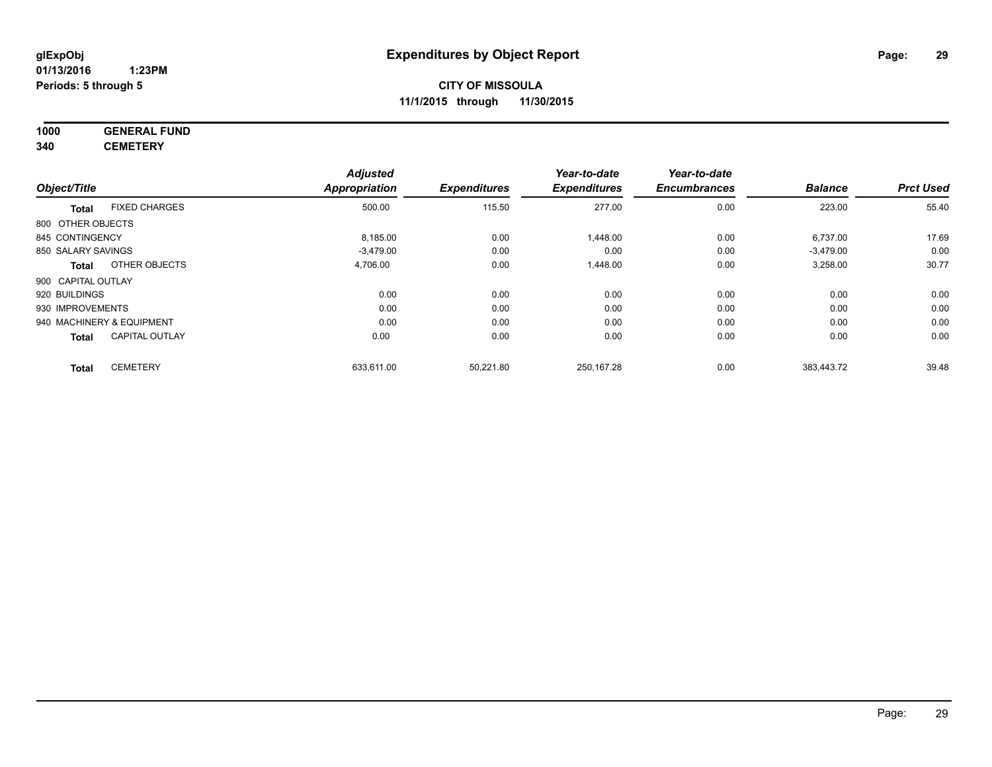#### **1000 GENERAL FUND 340 CEMETERY**

|                           |                       | <b>Adjusted</b>      |                     | Year-to-date        | Year-to-date        |                |                  |
|---------------------------|-----------------------|----------------------|---------------------|---------------------|---------------------|----------------|------------------|
| Object/Title              |                       | <b>Appropriation</b> | <b>Expenditures</b> | <b>Expenditures</b> | <b>Encumbrances</b> | <b>Balance</b> | <b>Prct Used</b> |
| <b>Total</b>              | <b>FIXED CHARGES</b>  | 500.00               | 115.50              | 277.00              | 0.00                | 223.00         | 55.40            |
| 800 OTHER OBJECTS         |                       |                      |                     |                     |                     |                |                  |
| 845 CONTINGENCY           |                       | 8,185.00             | 0.00                | 1,448.00            | 0.00                | 6,737.00       | 17.69            |
| 850 SALARY SAVINGS        |                       | $-3,479.00$          | 0.00                | 0.00                | 0.00                | $-3,479.00$    | 0.00             |
| <b>Total</b>              | OTHER OBJECTS         | 4,706.00             | 0.00                | 1,448.00            | 0.00                | 3,258.00       | 30.77            |
| 900 CAPITAL OUTLAY        |                       |                      |                     |                     |                     |                |                  |
| 920 BUILDINGS             |                       | 0.00                 | 0.00                | 0.00                | 0.00                | 0.00           | 0.00             |
| 930 IMPROVEMENTS          |                       | 0.00                 | 0.00                | 0.00                | 0.00                | 0.00           | 0.00             |
| 940 MACHINERY & EQUIPMENT |                       | 0.00                 | 0.00                | 0.00                | 0.00                | 0.00           | 0.00             |
| <b>Total</b>              | <b>CAPITAL OUTLAY</b> | 0.00                 | 0.00                | 0.00                | 0.00                | 0.00           | 0.00             |
| <b>Total</b>              | <b>CEMETERY</b>       | 633,611.00           | 50,221.80           | 250,167.28          | 0.00                | 383,443.72     | 39.48            |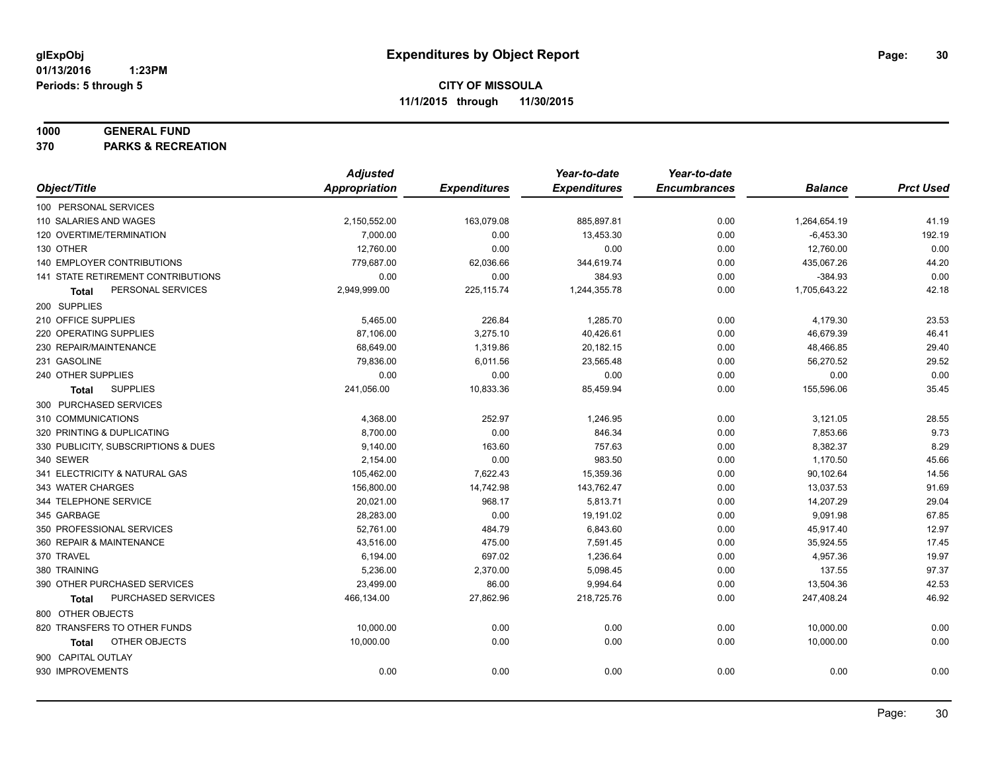#### **1000 GENERAL FUND**

**370 PARKS & RECREATION**

|                                     | <b>Adjusted</b>      |                     | Year-to-date        | Year-to-date        |                |                  |
|-------------------------------------|----------------------|---------------------|---------------------|---------------------|----------------|------------------|
| Object/Title                        | <b>Appropriation</b> | <b>Expenditures</b> | <b>Expenditures</b> | <b>Encumbrances</b> | <b>Balance</b> | <b>Prct Used</b> |
| 100 PERSONAL SERVICES               |                      |                     |                     |                     |                |                  |
| 110 SALARIES AND WAGES              | 2,150,552.00         | 163,079.08          | 885,897.81          | 0.00                | 1,264,654.19   | 41.19            |
| 120 OVERTIME/TERMINATION            | 7,000.00             | 0.00                | 13,453.30           | 0.00                | $-6,453.30$    | 192.19           |
| 130 OTHER                           | 12,760.00            | 0.00                | 0.00                | 0.00                | 12,760.00      | 0.00             |
| 140 EMPLOYER CONTRIBUTIONS          | 779,687.00           | 62,036.66           | 344,619.74          | 0.00                | 435,067.26     | 44.20            |
| 141 STATE RETIREMENT CONTRIBUTIONS  | 0.00                 | 0.00                | 384.93              | 0.00                | $-384.93$      | 0.00             |
| PERSONAL SERVICES<br>Total          | 2,949,999.00         | 225, 115.74         | 1,244,355.78        | 0.00                | 1,705,643.22   | 42.18            |
| 200 SUPPLIES                        |                      |                     |                     |                     |                |                  |
| 210 OFFICE SUPPLIES                 | 5,465.00             | 226.84              | 1,285.70            | 0.00                | 4,179.30       | 23.53            |
| 220 OPERATING SUPPLIES              | 87,106.00            | 3,275.10            | 40,426.61           | 0.00                | 46,679.39      | 46.41            |
| 230 REPAIR/MAINTENANCE              | 68,649.00            | 1,319.86            | 20,182.15           | 0.00                | 48,466.85      | 29.40            |
| 231 GASOLINE                        | 79,836.00            | 6,011.56            | 23,565.48           | 0.00                | 56,270.52      | 29.52            |
| 240 OTHER SUPPLIES                  | 0.00                 | 0.00                | 0.00                | 0.00                | 0.00           | 0.00             |
| <b>SUPPLIES</b><br><b>Total</b>     | 241,056.00           | 10,833.36           | 85,459.94           | 0.00                | 155,596.06     | 35.45            |
| 300 PURCHASED SERVICES              |                      |                     |                     |                     |                |                  |
| 310 COMMUNICATIONS                  | 4,368.00             | 252.97              | 1,246.95            | 0.00                | 3,121.05       | 28.55            |
| 320 PRINTING & DUPLICATING          | 8,700.00             | 0.00                | 846.34              | 0.00                | 7,853.66       | 9.73             |
| 330 PUBLICITY, SUBSCRIPTIONS & DUES | 9,140.00             | 163.60              | 757.63              | 0.00                | 8,382.37       | 8.29             |
| 340 SEWER                           | 2,154.00             | 0.00                | 983.50              | 0.00                | 1,170.50       | 45.66            |
| 341 ELECTRICITY & NATURAL GAS       | 105,462.00           | 7,622.43            | 15,359.36           | 0.00                | 90,102.64      | 14.56            |
| 343 WATER CHARGES                   | 156,800.00           | 14,742.98           | 143,762.47          | 0.00                | 13,037.53      | 91.69            |
| 344 TELEPHONE SERVICE               | 20,021.00            | 968.17              | 5,813.71            | 0.00                | 14,207.29      | 29.04            |
| 345 GARBAGE                         | 28,283.00            | 0.00                | 19,191.02           | 0.00                | 9,091.98       | 67.85            |
| 350 PROFESSIONAL SERVICES           | 52,761.00            | 484.79              | 6,843.60            | 0.00                | 45,917.40      | 12.97            |
| 360 REPAIR & MAINTENANCE            | 43,516.00            | 475.00              | 7,591.45            | 0.00                | 35,924.55      | 17.45            |
| 370 TRAVEL                          | 6,194.00             | 697.02              | 1,236.64            | 0.00                | 4,957.36       | 19.97            |
| 380 TRAINING                        | 5,236.00             | 2,370.00            | 5,098.45            | 0.00                | 137.55         | 97.37            |
| 390 OTHER PURCHASED SERVICES        | 23,499.00            | 86.00               | 9,994.64            | 0.00                | 13,504.36      | 42.53            |
| PURCHASED SERVICES<br><b>Total</b>  | 466,134.00           | 27,862.96           | 218,725.76          | 0.00                | 247,408.24     | 46.92            |
| 800 OTHER OBJECTS                   |                      |                     |                     |                     |                |                  |
| 820 TRANSFERS TO OTHER FUNDS        | 10,000.00            | 0.00                | 0.00                | 0.00                | 10,000.00      | 0.00             |
| OTHER OBJECTS<br><b>Total</b>       | 10,000.00            | 0.00                | 0.00                | 0.00                | 10,000.00      | 0.00             |
| 900 CAPITAL OUTLAY                  |                      |                     |                     |                     |                |                  |
| 930 IMPROVEMENTS                    | 0.00                 | 0.00                | 0.00                | 0.00                | 0.00           | 0.00             |
|                                     |                      |                     |                     |                     |                |                  |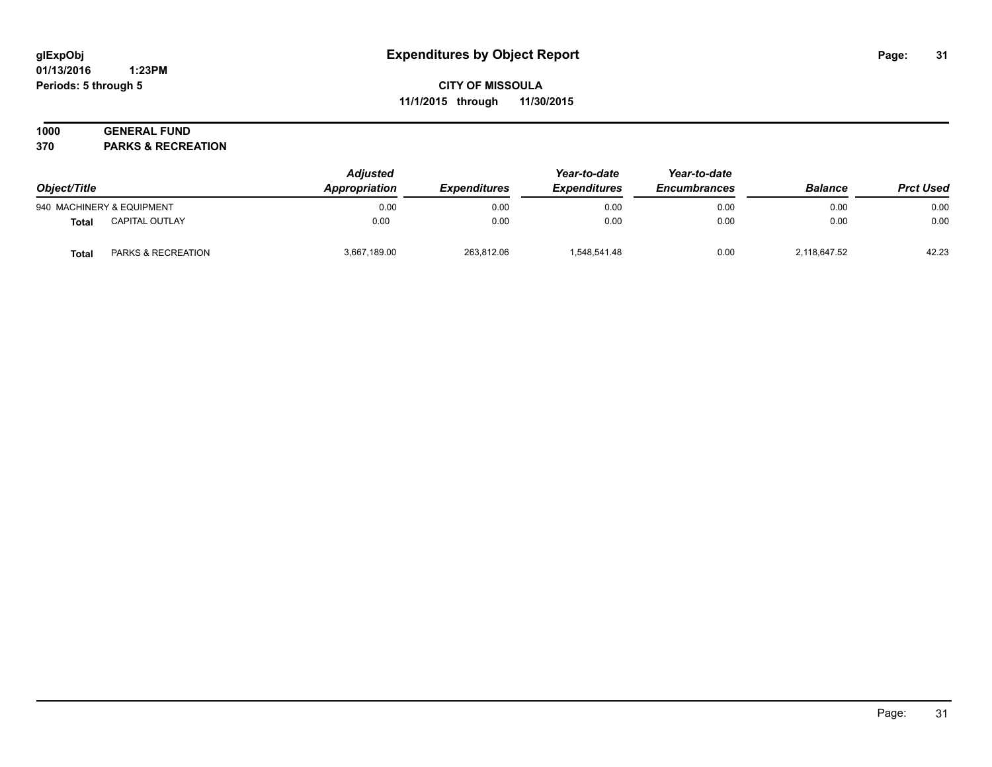#### **01/13/2016 1:23PM Periods: 5 through 5**

## **CITY OF MISSOULA 11/1/2015 through 11/30/2015**

## **1000 GENERAL FUND**

**370 PARKS & RECREATION**

| Object/Title |                           | <b>Adjusted</b><br>Appropriation | <i><b>Expenditures</b></i> | Year-to-date<br><b>Expenditures</b> | Year-to-date<br><b>Encumbrances</b> | <b>Balance</b> | <b>Prct Used</b> |
|--------------|---------------------------|----------------------------------|----------------------------|-------------------------------------|-------------------------------------|----------------|------------------|
|              | 940 MACHINERY & EQUIPMENT | 0.00                             | 0.00                       | 0.00                                | 0.00                                | 0.00           | 0.00             |
| <b>Total</b> | <b>CAPITAL OUTLAY</b>     | 0.00                             | 0.00                       | 0.00                                | 0.00                                | 0.00           | 0.00             |
| <b>Total</b> | PARKS & RECREATION        | 3,667,189.00                     | 263,812.06                 | 1,548,541.48                        | 0.00                                | 2,118,647.52   | 42.23            |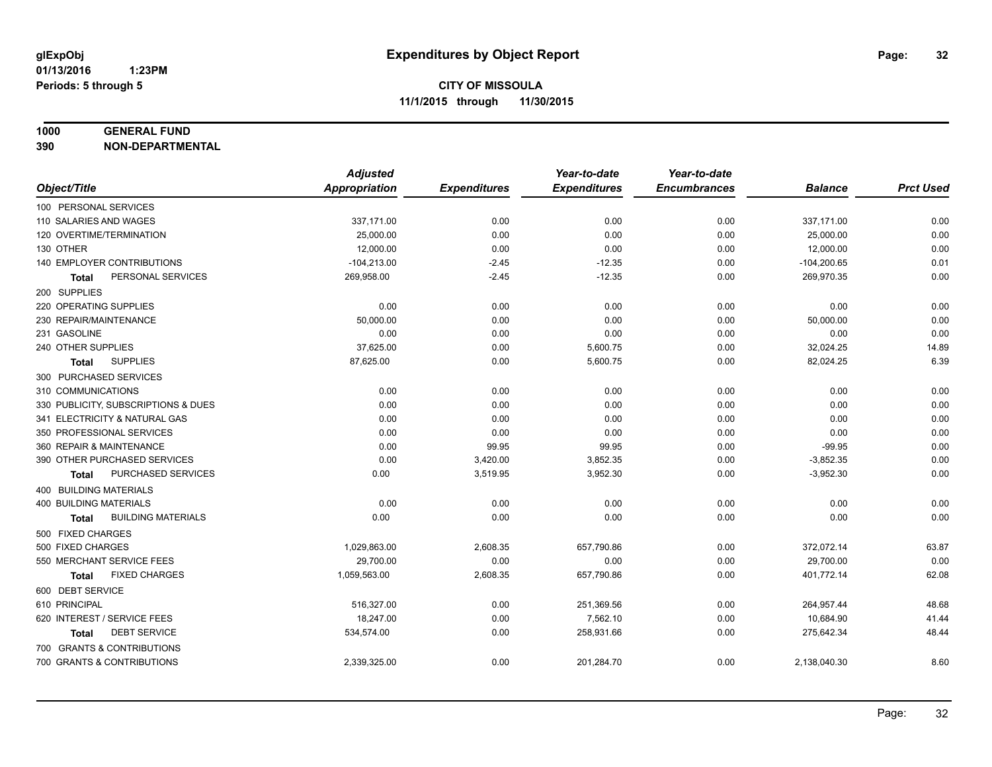#### **1000 GENERAL FUND**

**390 NON-DEPARTMENTAL**

|                                      | <b>Adjusted</b> |                     | Year-to-date        | Year-to-date        |                |                  |
|--------------------------------------|-----------------|---------------------|---------------------|---------------------|----------------|------------------|
| Object/Title                         | Appropriation   | <b>Expenditures</b> | <b>Expenditures</b> | <b>Encumbrances</b> | <b>Balance</b> | <b>Prct Used</b> |
| 100 PERSONAL SERVICES                |                 |                     |                     |                     |                |                  |
| 110 SALARIES AND WAGES               | 337,171.00      | 0.00                | 0.00                | 0.00                | 337,171.00     | 0.00             |
| 120 OVERTIME/TERMINATION             | 25,000.00       | 0.00                | 0.00                | 0.00                | 25,000.00      | 0.00             |
| 130 OTHER                            | 12,000.00       | 0.00                | 0.00                | 0.00                | 12,000.00      | 0.00             |
| 140 EMPLOYER CONTRIBUTIONS           | $-104,213.00$   | $-2.45$             | $-12.35$            | 0.00                | $-104,200.65$  | 0.01             |
| PERSONAL SERVICES<br><b>Total</b>    | 269,958.00      | $-2.45$             | $-12.35$            | 0.00                | 269,970.35     | 0.00             |
| 200 SUPPLIES                         |                 |                     |                     |                     |                |                  |
| 220 OPERATING SUPPLIES               | 0.00            | 0.00                | 0.00                | 0.00                | 0.00           | 0.00             |
| 230 REPAIR/MAINTENANCE               | 50,000.00       | 0.00                | 0.00                | 0.00                | 50,000.00      | 0.00             |
| 231 GASOLINE                         | 0.00            | 0.00                | 0.00                | 0.00                | 0.00           | 0.00             |
| 240 OTHER SUPPLIES                   | 37,625.00       | 0.00                | 5,600.75            | 0.00                | 32,024.25      | 14.89            |
| <b>SUPPLIES</b><br>Total             | 87,625.00       | 0.00                | 5,600.75            | 0.00                | 82,024.25      | 6.39             |
| 300 PURCHASED SERVICES               |                 |                     |                     |                     |                |                  |
| 310 COMMUNICATIONS                   | 0.00            | 0.00                | 0.00                | 0.00                | 0.00           | 0.00             |
| 330 PUBLICITY, SUBSCRIPTIONS & DUES  | 0.00            | 0.00                | 0.00                | 0.00                | 0.00           | 0.00             |
| 341 ELECTRICITY & NATURAL GAS        | 0.00            | 0.00                | 0.00                | 0.00                | 0.00           | 0.00             |
| 350 PROFESSIONAL SERVICES            | 0.00            | 0.00                | 0.00                | 0.00                | 0.00           | 0.00             |
| 360 REPAIR & MAINTENANCE             | 0.00            | 99.95               | 99.95               | 0.00                | $-99.95$       | 0.00             |
| 390 OTHER PURCHASED SERVICES         | 0.00            | 3,420.00            | 3,852.35            | 0.00                | $-3,852.35$    | 0.00             |
| PURCHASED SERVICES<br>Total          | 0.00            | 3,519.95            | 3,952.30            | 0.00                | $-3,952.30$    | 0.00             |
| 400 BUILDING MATERIALS               |                 |                     |                     |                     |                |                  |
| 400 BUILDING MATERIALS               | 0.00            | 0.00                | 0.00                | 0.00                | 0.00           | 0.00             |
| <b>BUILDING MATERIALS</b><br>Total   | 0.00            | 0.00                | 0.00                | 0.00                | 0.00           | 0.00             |
| 500 FIXED CHARGES                    |                 |                     |                     |                     |                |                  |
| 500 FIXED CHARGES                    | 1,029,863.00    | 2,608.35            | 657,790.86          | 0.00                | 372,072.14     | 63.87            |
| 550 MERCHANT SERVICE FEES            | 29,700.00       | 0.00                | 0.00                | 0.00                | 29,700.00      | 0.00             |
| <b>FIXED CHARGES</b><br><b>Total</b> | 1,059,563.00    | 2,608.35            | 657,790.86          | 0.00                | 401,772.14     | 62.08            |
| 600 DEBT SERVICE                     |                 |                     |                     |                     |                |                  |
| 610 PRINCIPAL                        | 516,327.00      | 0.00                | 251,369.56          | 0.00                | 264,957.44     | 48.68            |
| 620 INTEREST / SERVICE FEES          | 18,247.00       | 0.00                | 7,562.10            | 0.00                | 10,684.90      | 41.44            |
| <b>DEBT SERVICE</b><br><b>Total</b>  | 534,574.00      | 0.00                | 258,931.66          | 0.00                | 275,642.34     | 48.44            |
| 700 GRANTS & CONTRIBUTIONS           |                 |                     |                     |                     |                |                  |
| 700 GRANTS & CONTRIBUTIONS           | 2,339,325.00    | 0.00                | 201,284.70          | 0.00                | 2,138,040.30   | 8.60             |
|                                      |                 |                     |                     |                     |                |                  |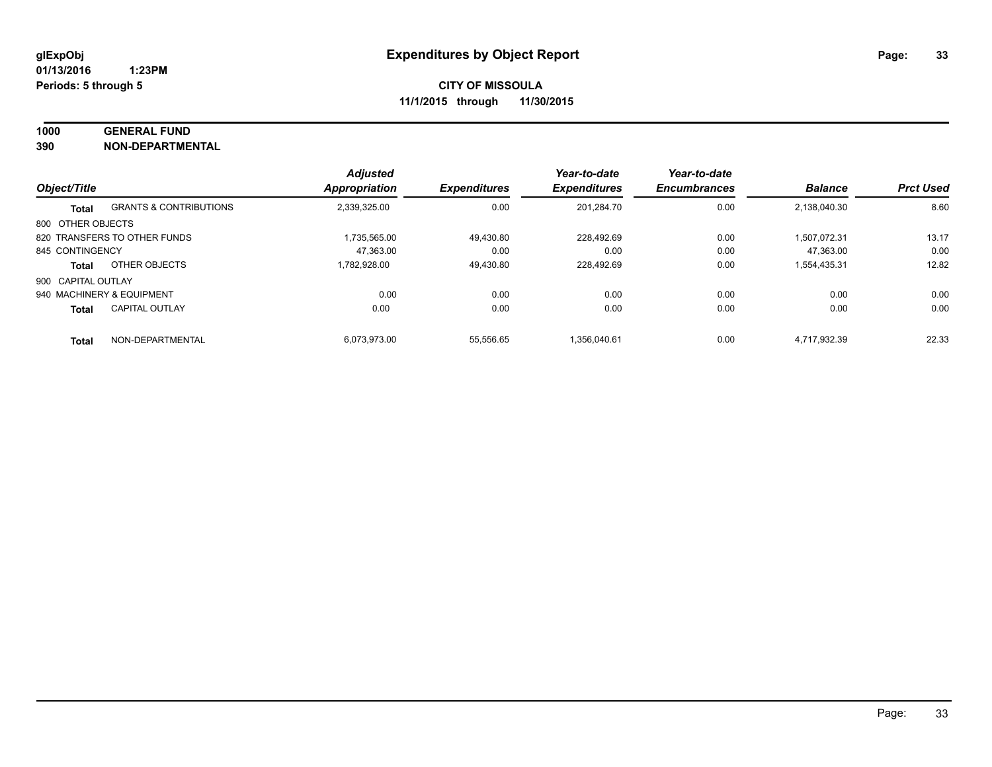## **1000 GENERAL FUND**

**390 NON-DEPARTMENTAL**

| Object/Title       |                                   | <b>Adjusted</b><br><b>Appropriation</b> | <b>Expenditures</b> | Year-to-date<br><b>Expenditures</b> | Year-to-date<br><b>Encumbrances</b> | <b>Balance</b> | <b>Prct Used</b> |
|--------------------|-----------------------------------|-----------------------------------------|---------------------|-------------------------------------|-------------------------------------|----------------|------------------|
|                    |                                   |                                         |                     |                                     |                                     |                |                  |
| <b>Total</b>       | <b>GRANTS &amp; CONTRIBUTIONS</b> | 2,339,325.00                            | 0.00                | 201,284.70                          | 0.00                                | 2,138,040.30   | 8.60             |
| 800 OTHER OBJECTS  |                                   |                                         |                     |                                     |                                     |                |                  |
|                    | 820 TRANSFERS TO OTHER FUNDS      | 1.735.565.00                            | 49,430.80           | 228.492.69                          | 0.00                                | 1.507.072.31   | 13.17            |
| 845 CONTINGENCY    |                                   | 47.363.00                               | 0.00                | 0.00                                | 0.00                                | 47.363.00      | 0.00             |
| <b>Total</b>       | OTHER OBJECTS                     | 1.782.928.00                            | 49.430.80           | 228.492.69                          | 0.00                                | 1,554,435.31   | 12.82            |
| 900 CAPITAL OUTLAY |                                   |                                         |                     |                                     |                                     |                |                  |
|                    | 940 MACHINERY & EQUIPMENT         | 0.00                                    | 0.00                | 0.00                                | 0.00                                | 0.00           | 0.00             |
| <b>Total</b>       | <b>CAPITAL OUTLAY</b>             | 0.00                                    | 0.00                | 0.00                                | 0.00                                | 0.00           | 0.00             |
| <b>Total</b>       | NON-DEPARTMENTAL                  | 6.073.973.00                            | 55.556.65           | 1.356.040.61                        | 0.00                                | 4.717.932.39   | 22.33            |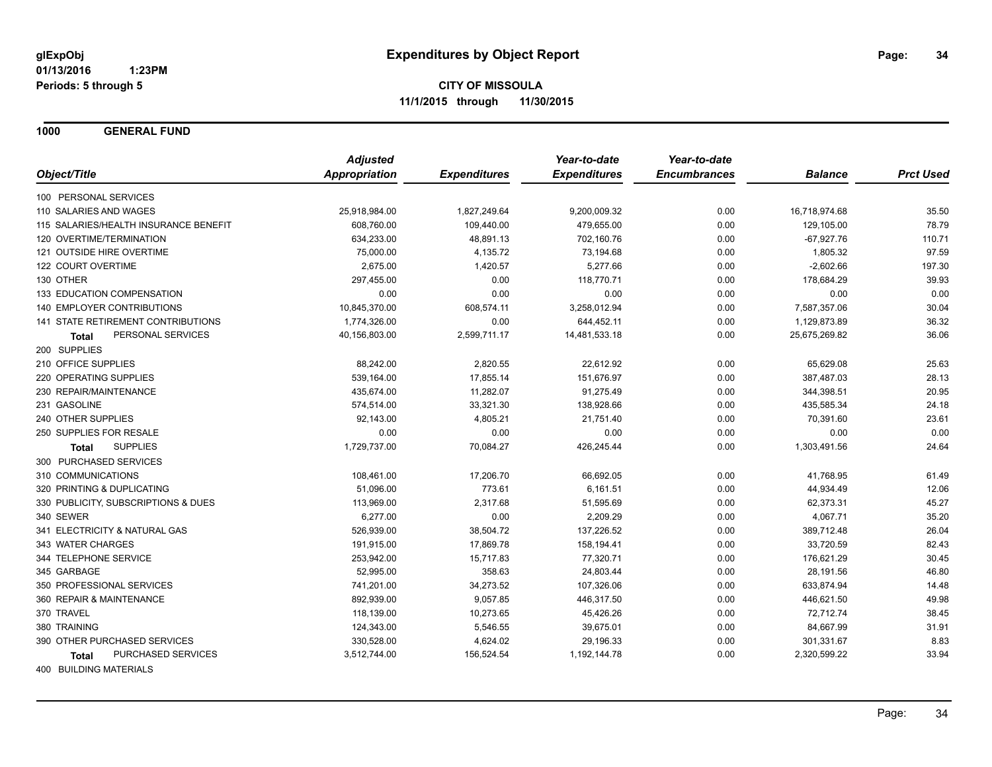**1000 GENERAL FUND**

|                                           | <b>Adjusted</b> |                     | Year-to-date        | Year-to-date        |                |                  |
|-------------------------------------------|-----------------|---------------------|---------------------|---------------------|----------------|------------------|
| Object/Title                              | Appropriation   | <b>Expenditures</b> | <b>Expenditures</b> | <b>Encumbrances</b> | <b>Balance</b> | <b>Prct Used</b> |
| 100 PERSONAL SERVICES                     |                 |                     |                     |                     |                |                  |
| 110 SALARIES AND WAGES                    | 25,918,984.00   | 1,827,249.64        | 9,200,009.32        | 0.00                | 16,718,974.68  | 35.50            |
| 115 SALARIES/HEALTH INSURANCE BENEFIT     | 608,760.00      | 109,440.00          | 479,655.00          | 0.00                | 129,105.00     | 78.79            |
| 120 OVERTIME/TERMINATION                  | 634,233.00      | 48,891.13           | 702,160.76          | 0.00                | $-67,927.76$   | 110.71           |
| 121 OUTSIDE HIRE OVERTIME                 | 75,000.00       | 4,135.72            | 73,194.68           | 0.00                | 1,805.32       | 97.59            |
| 122 COURT OVERTIME                        | 2,675.00        | 1,420.57            | 5,277.66            | 0.00                | $-2,602.66$    | 197.30           |
| 130 OTHER                                 | 297,455.00      | 0.00                | 118,770.71          | 0.00                | 178,684.29     | 39.93            |
| 133 EDUCATION COMPENSATION                | 0.00            | 0.00                | 0.00                | 0.00                | 0.00           | 0.00             |
| <b>140 EMPLOYER CONTRIBUTIONS</b>         | 10,845,370.00   | 608,574.11          | 3,258,012.94        | 0.00                | 7,587,357.06   | 30.04            |
| <b>141 STATE RETIREMENT CONTRIBUTIONS</b> | 1,774,326.00    | 0.00                | 644,452.11          | 0.00                | 1,129,873.89   | 36.32            |
| PERSONAL SERVICES<br><b>Total</b>         | 40,156,803.00   | 2,599,711.17        | 14,481,533.18       | 0.00                | 25,675,269.82  | 36.06            |
| 200 SUPPLIES                              |                 |                     |                     |                     |                |                  |
| 210 OFFICE SUPPLIES                       | 88,242.00       | 2,820.55            | 22,612.92           | 0.00                | 65,629.08      | 25.63            |
| 220 OPERATING SUPPLIES                    | 539,164.00      | 17,855.14           | 151,676.97          | 0.00                | 387,487.03     | 28.13            |
| 230 REPAIR/MAINTENANCE                    | 435,674.00      | 11,282.07           | 91,275.49           | 0.00                | 344,398.51     | 20.95            |
| 231 GASOLINE                              | 574,514.00      | 33,321.30           | 138,928.66          | 0.00                | 435,585.34     | 24.18            |
| 240 OTHER SUPPLIES                        | 92,143.00       | 4,805.21            | 21,751.40           | 0.00                | 70,391.60      | 23.61            |
| 250 SUPPLIES FOR RESALE                   | 0.00            | 0.00                | 0.00                | 0.00                | 0.00           | 0.00             |
| <b>SUPPLIES</b><br><b>Total</b>           | 1,729,737.00    | 70,084.27           | 426,245.44          | 0.00                | 1,303,491.56   | 24.64            |
| 300 PURCHASED SERVICES                    |                 |                     |                     |                     |                |                  |
| 310 COMMUNICATIONS                        | 108,461.00      | 17,206.70           | 66,692.05           | 0.00                | 41,768.95      | 61.49            |
| 320 PRINTING & DUPLICATING                | 51,096.00       | 773.61              | 6,161.51            | 0.00                | 44,934.49      | 12.06            |
| 330 PUBLICITY, SUBSCRIPTIONS & DUES       | 113,969.00      | 2,317.68            | 51,595.69           | 0.00                | 62,373.31      | 45.27            |
| 340 SEWER                                 | 6,277.00        | 0.00                | 2,209.29            | 0.00                | 4,067.71       | 35.20            |
| 341 ELECTRICITY & NATURAL GAS             | 526,939.00      | 38,504.72           | 137,226.52          | 0.00                | 389,712.48     | 26.04            |
| 343 WATER CHARGES                         | 191,915.00      | 17,869.78           | 158,194.41          | 0.00                | 33,720.59      | 82.43            |
| 344 TELEPHONE SERVICE                     | 253,942.00      | 15,717.83           | 77,320.71           | 0.00                | 176,621.29     | 30.45            |
| 345 GARBAGE                               | 52,995.00       | 358.63              | 24,803.44           | 0.00                | 28,191.56      | 46.80            |
| 350 PROFESSIONAL SERVICES                 | 741,201.00      | 34,273.52           | 107,326.06          | 0.00                | 633,874.94     | 14.48            |
| 360 REPAIR & MAINTENANCE                  | 892,939.00      | 9,057.85            | 446,317.50          | 0.00                | 446,621.50     | 49.98            |
| 370 TRAVEL                                | 118,139.00      | 10,273.65           | 45,426.26           | 0.00                | 72,712.74      | 38.45            |
| 380 TRAINING                              | 124,343.00      | 5,546.55            | 39,675.01           | 0.00                | 84,667.99      | 31.91            |
| 390 OTHER PURCHASED SERVICES              | 330,528.00      | 4,624.02            | 29,196.33           | 0.00                | 301,331.67     | 8.83             |
| PURCHASED SERVICES<br><b>Total</b>        | 3,512,744.00    | 156,524.54          | 1,192,144.78        | 0.00                | 2,320,599.22   | 33.94            |
|                                           |                 |                     |                     |                     |                |                  |

400 BUILDING MATERIALS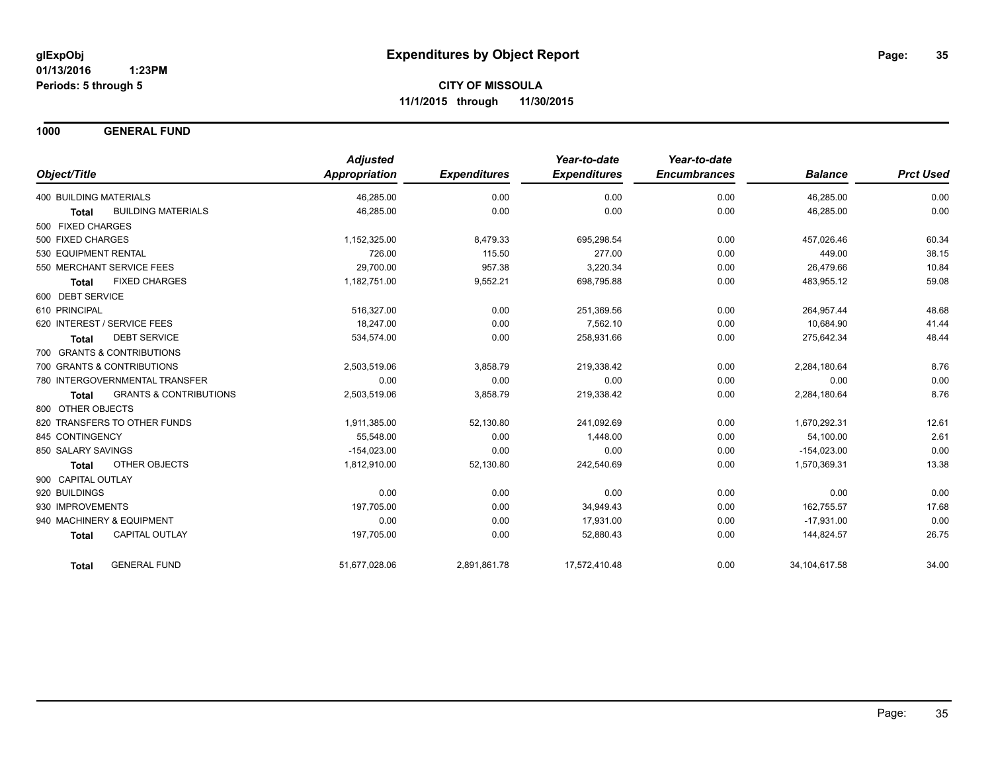**1000 GENERAL FUND**

|                                                   | <b>Adjusted</b>      |                     | Year-to-date        | Year-to-date        |                 |                  |
|---------------------------------------------------|----------------------|---------------------|---------------------|---------------------|-----------------|------------------|
| Object/Title                                      | <b>Appropriation</b> | <b>Expenditures</b> | <b>Expenditures</b> | <b>Encumbrances</b> | <b>Balance</b>  | <b>Prct Used</b> |
| <b>400 BUILDING MATERIALS</b>                     | 46,285.00            | 0.00                | 0.00                | 0.00                | 46,285.00       | 0.00             |
| <b>BUILDING MATERIALS</b><br><b>Total</b>         | 46,285.00            | 0.00                | 0.00                | 0.00                | 46,285.00       | 0.00             |
| 500 FIXED CHARGES                                 |                      |                     |                     |                     |                 |                  |
| 500 FIXED CHARGES                                 | 1,152,325.00         | 8,479.33            | 695,298.54          | 0.00                | 457.026.46      | 60.34            |
| 530 EQUIPMENT RENTAL                              | 726.00               | 115.50              | 277.00              | 0.00                | 449.00          | 38.15            |
| 550 MERCHANT SERVICE FEES                         | 29,700.00            | 957.38              | 3,220.34            | 0.00                | 26,479.66       | 10.84            |
| <b>FIXED CHARGES</b><br><b>Total</b>              | 1,182,751.00         | 9,552.21            | 698,795.88          | 0.00                | 483,955.12      | 59.08            |
| 600 DEBT SERVICE                                  |                      |                     |                     |                     |                 |                  |
| 610 PRINCIPAL                                     | 516,327.00           | 0.00                | 251,369.56          | 0.00                | 264,957.44      | 48.68            |
| 620 INTEREST / SERVICE FEES                       | 18,247.00            | 0.00                | 7,562.10            | 0.00                | 10,684.90       | 41.44            |
| <b>DEBT SERVICE</b><br><b>Total</b>               | 534,574.00           | 0.00                | 258,931.66          | 0.00                | 275,642.34      | 48.44            |
| 700 GRANTS & CONTRIBUTIONS                        |                      |                     |                     |                     |                 |                  |
| 700 GRANTS & CONTRIBUTIONS                        | 2,503,519.06         | 3,858.79            | 219,338.42          | 0.00                | 2,284,180.64    | 8.76             |
| 780 INTERGOVERNMENTAL TRANSFER                    | 0.00                 | 0.00                | 0.00                | 0.00                | 0.00            | 0.00             |
| <b>GRANTS &amp; CONTRIBUTIONS</b><br><b>Total</b> | 2,503,519.06         | 3,858.79            | 219,338.42          | 0.00                | 2,284,180.64    | 8.76             |
| 800 OTHER OBJECTS                                 |                      |                     |                     |                     |                 |                  |
| 820 TRANSFERS TO OTHER FUNDS                      | 1,911,385.00         | 52,130.80           | 241,092.69          | 0.00                | 1,670,292.31    | 12.61            |
| 845 CONTINGENCY                                   | 55,548.00            | 0.00                | 1,448.00            | 0.00                | 54,100.00       | 2.61             |
| 850 SALARY SAVINGS                                | $-154,023.00$        | 0.00                | 0.00                | 0.00                | $-154,023.00$   | 0.00             |
| <b>OTHER OBJECTS</b><br><b>Total</b>              | 1,812,910.00         | 52,130.80           | 242,540.69          | 0.00                | 1,570,369.31    | 13.38            |
| 900 CAPITAL OUTLAY                                |                      |                     |                     |                     |                 |                  |
| 920 BUILDINGS                                     | 0.00                 | 0.00                | 0.00                | 0.00                | 0.00            | 0.00             |
| 930 IMPROVEMENTS                                  | 197,705.00           | 0.00                | 34,949.43           | 0.00                | 162,755.57      | 17.68            |
| 940 MACHINERY & EQUIPMENT                         | 0.00                 | 0.00                | 17,931.00           | 0.00                | $-17,931.00$    | 0.00             |
| CAPITAL OUTLAY<br><b>Total</b>                    | 197,705.00           | 0.00                | 52,880.43           | 0.00                | 144,824.57      | 26.75            |
| <b>GENERAL FUND</b><br><b>Total</b>               | 51,677,028.06        | 2,891,861.78        | 17,572,410.48       | 0.00                | 34, 104, 617.58 | 34.00            |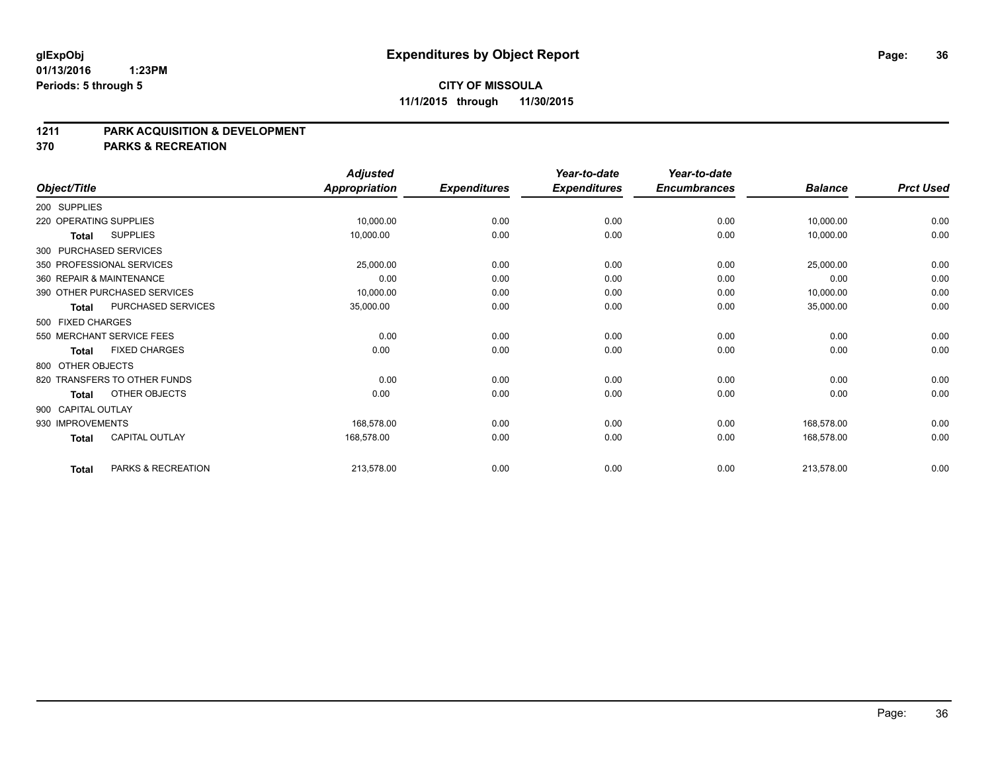#### **01/13/2016 1:23PM Periods: 5 through 5**

#### **CITY OF MISSOULA 11/1/2015 through 11/30/2015**

#### **1211 PARK ACQUISITION & DEVELOPMENT**

**370 PARKS & RECREATION**

|                    |                              | <b>Adjusted</b>      |                     | Year-to-date        | Year-to-date        |                |                  |
|--------------------|------------------------------|----------------------|---------------------|---------------------|---------------------|----------------|------------------|
| Object/Title       |                              | <b>Appropriation</b> | <b>Expenditures</b> | <b>Expenditures</b> | <b>Encumbrances</b> | <b>Balance</b> | <b>Prct Used</b> |
| 200 SUPPLIES       |                              |                      |                     |                     |                     |                |                  |
|                    | 220 OPERATING SUPPLIES       | 10,000.00            | 0.00                | 0.00                | 0.00                | 10,000.00      | 0.00             |
| <b>Total</b>       | <b>SUPPLIES</b>              | 10,000.00            | 0.00                | 0.00                | 0.00                | 10,000.00      | 0.00             |
|                    | 300 PURCHASED SERVICES       |                      |                     |                     |                     |                |                  |
|                    | 350 PROFESSIONAL SERVICES    | 25,000.00            | 0.00                | 0.00                | 0.00                | 25,000.00      | 0.00             |
|                    | 360 REPAIR & MAINTENANCE     | 0.00                 | 0.00                | 0.00                | 0.00                | 0.00           | 0.00             |
|                    | 390 OTHER PURCHASED SERVICES | 10,000.00            | 0.00                | 0.00                | 0.00                | 10,000.00      | 0.00             |
| <b>Total</b>       | PURCHASED SERVICES           | 35,000.00            | 0.00                | 0.00                | 0.00                | 35,000.00      | 0.00             |
| 500 FIXED CHARGES  |                              |                      |                     |                     |                     |                |                  |
|                    | 550 MERCHANT SERVICE FEES    | 0.00                 | 0.00                | 0.00                | 0.00                | 0.00           | 0.00             |
| <b>Total</b>       | <b>FIXED CHARGES</b>         | 0.00                 | 0.00                | 0.00                | 0.00                | 0.00           | 0.00             |
| 800 OTHER OBJECTS  |                              |                      |                     |                     |                     |                |                  |
|                    | 820 TRANSFERS TO OTHER FUNDS | 0.00                 | 0.00                | 0.00                | 0.00                | 0.00           | 0.00             |
| Total              | OTHER OBJECTS                | 0.00                 | 0.00                | 0.00                | 0.00                | 0.00           | 0.00             |
| 900 CAPITAL OUTLAY |                              |                      |                     |                     |                     |                |                  |
| 930 IMPROVEMENTS   |                              | 168,578.00           | 0.00                | 0.00                | 0.00                | 168,578.00     | 0.00             |
| <b>Total</b>       | <b>CAPITAL OUTLAY</b>        | 168,578.00           | 0.00                | 0.00                | 0.00                | 168,578.00     | 0.00             |
| <b>Total</b>       | PARKS & RECREATION           | 213,578.00           | 0.00                | 0.00                | 0.00                | 213,578.00     | 0.00             |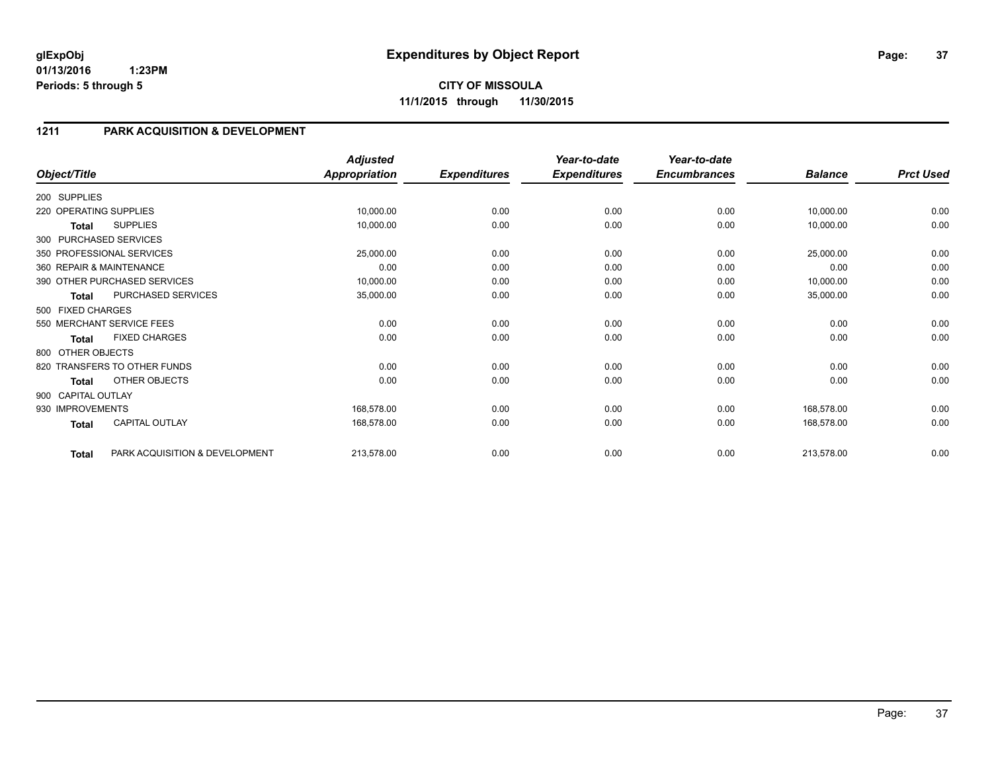### **1211 PARK ACQUISITION & DEVELOPMENT**

| Object/Title           |                                | <b>Adjusted</b><br><b>Appropriation</b> | <b>Expenditures</b> | Year-to-date<br><b>Expenditures</b> | Year-to-date<br><b>Encumbrances</b> | <b>Balance</b> | <b>Prct Used</b> |
|------------------------|--------------------------------|-----------------------------------------|---------------------|-------------------------------------|-------------------------------------|----------------|------------------|
|                        |                                |                                         |                     |                                     |                                     |                |                  |
| 200 SUPPLIES           |                                |                                         |                     |                                     |                                     |                |                  |
| 220 OPERATING SUPPLIES |                                | 10,000.00                               | 0.00                | 0.00                                | 0.00                                | 10,000.00      | 0.00             |
| Total                  | <b>SUPPLIES</b>                | 10,000.00                               | 0.00                | 0.00                                | 0.00                                | 10,000.00      | 0.00             |
|                        | 300 PURCHASED SERVICES         |                                         |                     |                                     |                                     |                |                  |
|                        | 350 PROFESSIONAL SERVICES      | 25,000.00                               | 0.00                | 0.00                                | 0.00                                | 25,000.00      | 0.00             |
|                        | 360 REPAIR & MAINTENANCE       | 0.00                                    | 0.00                | 0.00                                | 0.00                                | 0.00           | 0.00             |
|                        | 390 OTHER PURCHASED SERVICES   | 10,000.00                               | 0.00                | 0.00                                | 0.00                                | 10,000.00      | 0.00             |
| <b>Total</b>           | PURCHASED SERVICES             | 35,000.00                               | 0.00                | 0.00                                | 0.00                                | 35,000.00      | 0.00             |
| 500 FIXED CHARGES      |                                |                                         |                     |                                     |                                     |                |                  |
|                        | 550 MERCHANT SERVICE FEES      | 0.00                                    | 0.00                | 0.00                                | 0.00                                | 0.00           | 0.00             |
| <b>Total</b>           | <b>FIXED CHARGES</b>           | 0.00                                    | 0.00                | 0.00                                | 0.00                                | 0.00           | 0.00             |
| 800 OTHER OBJECTS      |                                |                                         |                     |                                     |                                     |                |                  |
|                        | 820 TRANSFERS TO OTHER FUNDS   | 0.00                                    | 0.00                | 0.00                                | 0.00                                | 0.00           | 0.00             |
| <b>Total</b>           | OTHER OBJECTS                  | 0.00                                    | 0.00                | 0.00                                | 0.00                                | 0.00           | 0.00             |
| 900 CAPITAL OUTLAY     |                                |                                         |                     |                                     |                                     |                |                  |
| 930 IMPROVEMENTS       |                                | 168,578.00                              | 0.00                | 0.00                                | 0.00                                | 168,578.00     | 0.00             |
| <b>Total</b>           | <b>CAPITAL OUTLAY</b>          | 168,578.00                              | 0.00                | 0.00                                | 0.00                                | 168,578.00     | 0.00             |
| <b>Total</b>           | PARK ACQUISITION & DEVELOPMENT | 213,578.00                              | 0.00                | 0.00                                | 0.00                                | 213,578.00     | 0.00             |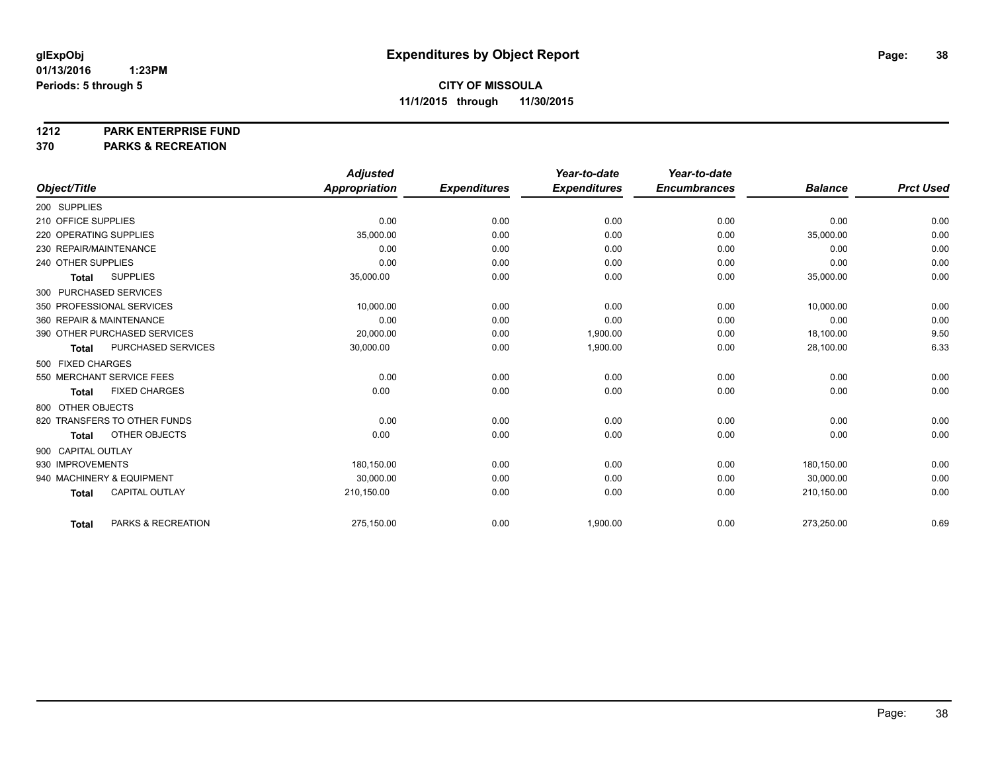#### **1212 PARK ENTERPRISE FUND**

**370 PARKS & RECREATION**

|                                       | <b>Adjusted</b> |                     | Year-to-date        | Year-to-date        |                |                  |
|---------------------------------------|-----------------|---------------------|---------------------|---------------------|----------------|------------------|
| Object/Title                          | Appropriation   | <b>Expenditures</b> | <b>Expenditures</b> | <b>Encumbrances</b> | <b>Balance</b> | <b>Prct Used</b> |
| 200 SUPPLIES                          |                 |                     |                     |                     |                |                  |
| 210 OFFICE SUPPLIES                   | 0.00            | 0.00                | 0.00                | 0.00                | 0.00           | 0.00             |
| 220 OPERATING SUPPLIES                | 35,000.00       | 0.00                | 0.00                | 0.00                | 35,000.00      | 0.00             |
| 230 REPAIR/MAINTENANCE                | 0.00            | 0.00                | 0.00                | 0.00                | 0.00           | 0.00             |
| 240 OTHER SUPPLIES                    | 0.00            | 0.00                | 0.00                | 0.00                | 0.00           | 0.00             |
| <b>SUPPLIES</b><br><b>Total</b>       | 35,000.00       | 0.00                | 0.00                | 0.00                | 35,000.00      | 0.00             |
| 300 PURCHASED SERVICES                |                 |                     |                     |                     |                |                  |
| 350 PROFESSIONAL SERVICES             | 10,000.00       | 0.00                | 0.00                | 0.00                | 10,000.00      | 0.00             |
| 360 REPAIR & MAINTENANCE              | 0.00            | 0.00                | 0.00                | 0.00                | 0.00           | 0.00             |
| 390 OTHER PURCHASED SERVICES          | 20,000.00       | 0.00                | 1,900.00            | 0.00                | 18,100.00      | 9.50             |
| PURCHASED SERVICES<br><b>Total</b>    | 30,000.00       | 0.00                | 1,900.00            | 0.00                | 28,100.00      | 6.33             |
| 500 FIXED CHARGES                     |                 |                     |                     |                     |                |                  |
| 550 MERCHANT SERVICE FEES             | 0.00            | 0.00                | 0.00                | 0.00                | 0.00           | 0.00             |
| <b>FIXED CHARGES</b><br><b>Total</b>  | 0.00            | 0.00                | 0.00                | 0.00                | 0.00           | 0.00             |
| 800 OTHER OBJECTS                     |                 |                     |                     |                     |                |                  |
| 820 TRANSFERS TO OTHER FUNDS          | 0.00            | 0.00                | 0.00                | 0.00                | 0.00           | 0.00             |
| OTHER OBJECTS<br><b>Total</b>         | 0.00            | 0.00                | 0.00                | 0.00                | 0.00           | 0.00             |
| 900 CAPITAL OUTLAY                    |                 |                     |                     |                     |                |                  |
| 930 IMPROVEMENTS                      | 180.150.00      | 0.00                | 0.00                | 0.00                | 180.150.00     | 0.00             |
| 940 MACHINERY & EQUIPMENT             | 30,000.00       | 0.00                | 0.00                | 0.00                | 30,000.00      | 0.00             |
| <b>CAPITAL OUTLAY</b><br><b>Total</b> | 210,150.00      | 0.00                | 0.00                | 0.00                | 210,150.00     | 0.00             |
|                                       |                 |                     |                     |                     |                |                  |
| PARKS & RECREATION<br><b>Total</b>    | 275,150.00      | 0.00                | 1,900.00            | 0.00                | 273,250.00     | 0.69             |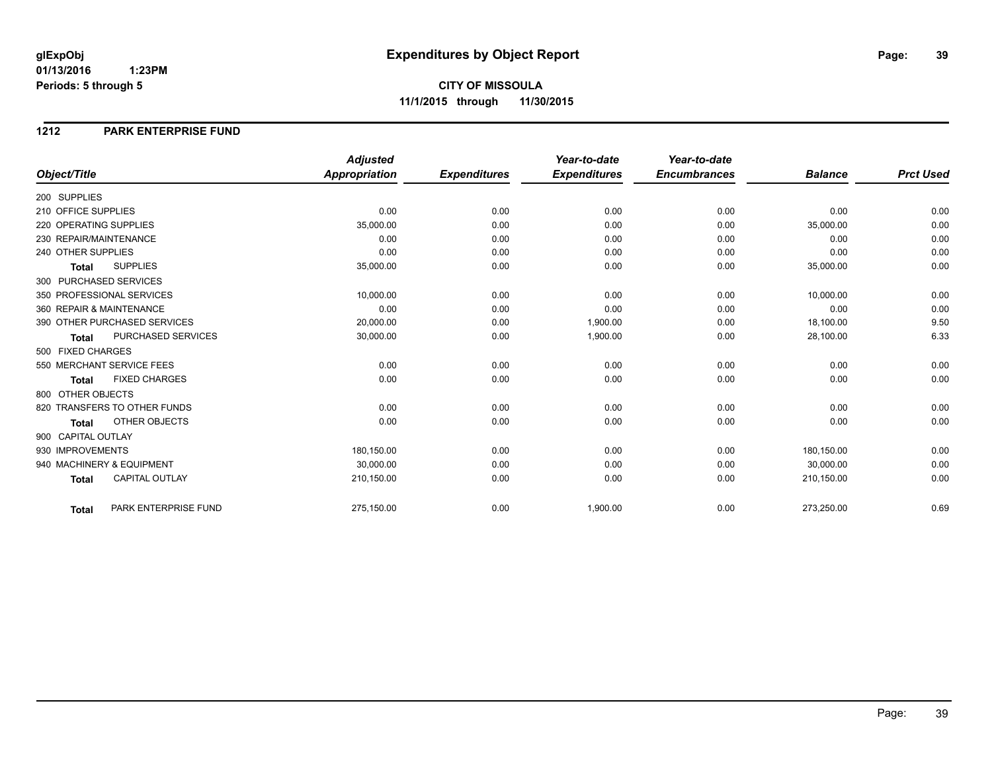**CITY OF MISSOULA 11/1/2015 through 11/30/2015**

### **1212 PARK ENTERPRISE FUND**

|                                       | <b>Adjusted</b>      |                     | Year-to-date        | Year-to-date        |                |                  |
|---------------------------------------|----------------------|---------------------|---------------------|---------------------|----------------|------------------|
| Object/Title                          | <b>Appropriation</b> | <b>Expenditures</b> | <b>Expenditures</b> | <b>Encumbrances</b> | <b>Balance</b> | <b>Prct Used</b> |
| 200 SUPPLIES                          |                      |                     |                     |                     |                |                  |
| 210 OFFICE SUPPLIES                   | 0.00                 | 0.00                | 0.00                | 0.00                | 0.00           | 0.00             |
| 220 OPERATING SUPPLIES                | 35,000.00            | 0.00                | 0.00                | 0.00                | 35,000.00      | 0.00             |
| 230 REPAIR/MAINTENANCE                | 0.00                 | 0.00                | 0.00                | 0.00                | 0.00           | 0.00             |
| 240 OTHER SUPPLIES                    | 0.00                 | 0.00                | 0.00                | 0.00                | 0.00           | 0.00             |
| <b>SUPPLIES</b><br><b>Total</b>       | 35,000.00            | 0.00                | 0.00                | 0.00                | 35,000.00      | 0.00             |
| 300 PURCHASED SERVICES                |                      |                     |                     |                     |                |                  |
| 350 PROFESSIONAL SERVICES             | 10,000.00            | 0.00                | 0.00                | 0.00                | 10,000.00      | 0.00             |
| 360 REPAIR & MAINTENANCE              | 0.00                 | 0.00                | 0.00                | 0.00                | 0.00           | 0.00             |
| 390 OTHER PURCHASED SERVICES          | 20,000.00            | 0.00                | 1,900.00            | 0.00                | 18,100.00      | 9.50             |
| PURCHASED SERVICES<br><b>Total</b>    | 30,000.00            | 0.00                | 1,900.00            | 0.00                | 28,100.00      | 6.33             |
| 500 FIXED CHARGES                     |                      |                     |                     |                     |                |                  |
| 550 MERCHANT SERVICE FEES             | 0.00                 | 0.00                | 0.00                | 0.00                | 0.00           | 0.00             |
| <b>FIXED CHARGES</b><br><b>Total</b>  | 0.00                 | 0.00                | 0.00                | 0.00                | 0.00           | 0.00             |
| 800 OTHER OBJECTS                     |                      |                     |                     |                     |                |                  |
| 820 TRANSFERS TO OTHER FUNDS          | 0.00                 | 0.00                | 0.00                | 0.00                | 0.00           | 0.00             |
| OTHER OBJECTS<br><b>Total</b>         | 0.00                 | 0.00                | 0.00                | 0.00                | 0.00           | 0.00             |
| 900 CAPITAL OUTLAY                    |                      |                     |                     |                     |                |                  |
| 930 IMPROVEMENTS                      | 180,150.00           | 0.00                | 0.00                | 0.00                | 180,150.00     | 0.00             |
| 940 MACHINERY & EQUIPMENT             | 30.000.00            | 0.00                | 0.00                | 0.00                | 30,000.00      | 0.00             |
| <b>CAPITAL OUTLAY</b><br><b>Total</b> | 210,150.00           | 0.00                | 0.00                | 0.00                | 210,150.00     | 0.00             |
| PARK ENTERPRISE FUND<br><b>Total</b>  | 275,150.00           | 0.00                | 1,900.00            | 0.00                | 273,250.00     | 0.69             |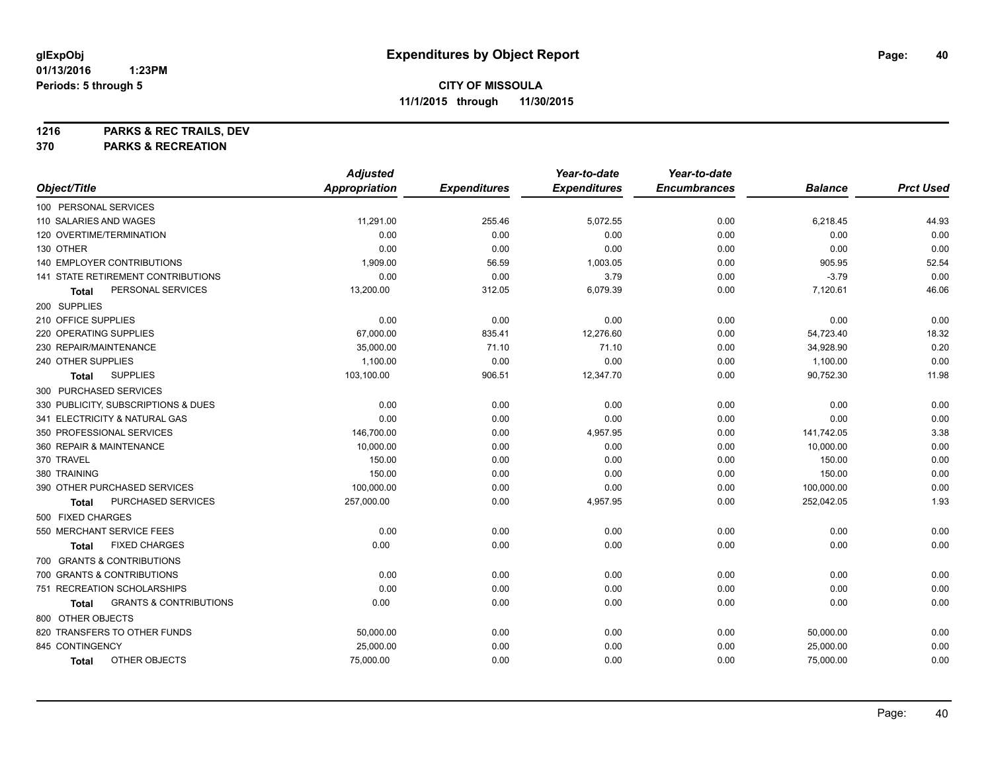**1216 PARKS & REC TRAILS, DEV**

**370 PARKS & RECREATION**

|                                            | <b>Adjusted</b>      |                     | Year-to-date        | Year-to-date        |                |                  |
|--------------------------------------------|----------------------|---------------------|---------------------|---------------------|----------------|------------------|
| Object/Title                               | <b>Appropriation</b> | <b>Expenditures</b> | <b>Expenditures</b> | <b>Encumbrances</b> | <b>Balance</b> | <b>Prct Used</b> |
| 100 PERSONAL SERVICES                      |                      |                     |                     |                     |                |                  |
| 110 SALARIES AND WAGES                     | 11,291.00            | 255.46              | 5,072.55            | 0.00                | 6,218.45       | 44.93            |
| 120 OVERTIME/TERMINATION                   | 0.00                 | 0.00                | 0.00                | 0.00                | 0.00           | 0.00             |
| 130 OTHER                                  | 0.00                 | 0.00                | 0.00                | 0.00                | 0.00           | 0.00             |
| 140 EMPLOYER CONTRIBUTIONS                 | 1,909.00             | 56.59               | 1,003.05            | 0.00                | 905.95         | 52.54            |
| 141 STATE RETIREMENT CONTRIBUTIONS         | 0.00                 | 0.00                | 3.79                | 0.00                | $-3.79$        | 0.00             |
| PERSONAL SERVICES<br>Total                 | 13,200.00            | 312.05              | 6,079.39            | 0.00                | 7,120.61       | 46.06            |
| 200 SUPPLIES                               |                      |                     |                     |                     |                |                  |
| 210 OFFICE SUPPLIES                        | 0.00                 | 0.00                | 0.00                | 0.00                | 0.00           | 0.00             |
| 220 OPERATING SUPPLIES                     | 67,000.00            | 835.41              | 12,276.60           | 0.00                | 54,723.40      | 18.32            |
| 230 REPAIR/MAINTENANCE                     | 35,000.00            | 71.10               | 71.10               | 0.00                | 34,928.90      | 0.20             |
| 240 OTHER SUPPLIES                         | 1,100.00             | 0.00                | 0.00                | 0.00                | 1,100.00       | 0.00             |
| <b>SUPPLIES</b><br>Total                   | 103,100.00           | 906.51              | 12,347.70           | 0.00                | 90,752.30      | 11.98            |
| 300 PURCHASED SERVICES                     |                      |                     |                     |                     |                |                  |
| 330 PUBLICITY, SUBSCRIPTIONS & DUES        | 0.00                 | 0.00                | 0.00                | 0.00                | 0.00           | 0.00             |
| 341 ELECTRICITY & NATURAL GAS              | 0.00                 | 0.00                | 0.00                | 0.00                | 0.00           | 0.00             |
| 350 PROFESSIONAL SERVICES                  | 146,700.00           | 0.00                | 4,957.95            | 0.00                | 141,742.05     | 3.38             |
| 360 REPAIR & MAINTENANCE                   | 10,000.00            | 0.00                | 0.00                | 0.00                | 10,000.00      | 0.00             |
| 370 TRAVEL                                 | 150.00               | 0.00                | 0.00                | 0.00                | 150.00         | 0.00             |
| 380 TRAINING                               | 150.00               | 0.00                | 0.00                | 0.00                | 150.00         | 0.00             |
| 390 OTHER PURCHASED SERVICES               | 100,000.00           | 0.00                | 0.00                | 0.00                | 100,000.00     | 0.00             |
| PURCHASED SERVICES<br>Total                | 257,000.00           | 0.00                | 4,957.95            | 0.00                | 252,042.05     | 1.93             |
| 500 FIXED CHARGES                          |                      |                     |                     |                     |                |                  |
| 550 MERCHANT SERVICE FEES                  | 0.00                 | 0.00                | 0.00                | 0.00                | 0.00           | 0.00             |
| <b>FIXED CHARGES</b><br>Total              | 0.00                 | 0.00                | 0.00                | 0.00                | 0.00           | 0.00             |
| 700 GRANTS & CONTRIBUTIONS                 |                      |                     |                     |                     |                |                  |
| 700 GRANTS & CONTRIBUTIONS                 | 0.00                 | 0.00                | 0.00                | 0.00                | 0.00           | 0.00             |
| 751 RECREATION SCHOLARSHIPS                | 0.00                 | 0.00                | 0.00                | 0.00                | 0.00           | 0.00             |
| <b>GRANTS &amp; CONTRIBUTIONS</b><br>Total | 0.00                 | 0.00                | 0.00                | 0.00                | 0.00           | 0.00             |
| 800 OTHER OBJECTS                          |                      |                     |                     |                     |                |                  |
| 820 TRANSFERS TO OTHER FUNDS               | 50,000.00            | 0.00                | 0.00                | 0.00                | 50,000.00      | 0.00             |
| 845 CONTINGENCY                            | 25,000.00            | 0.00                | 0.00                | 0.00                | 25,000.00      | 0.00             |
| OTHER OBJECTS<br><b>Total</b>              | 75,000.00            | 0.00                | 0.00                | 0.00                | 75,000.00      | 0.00             |
|                                            |                      |                     |                     |                     |                |                  |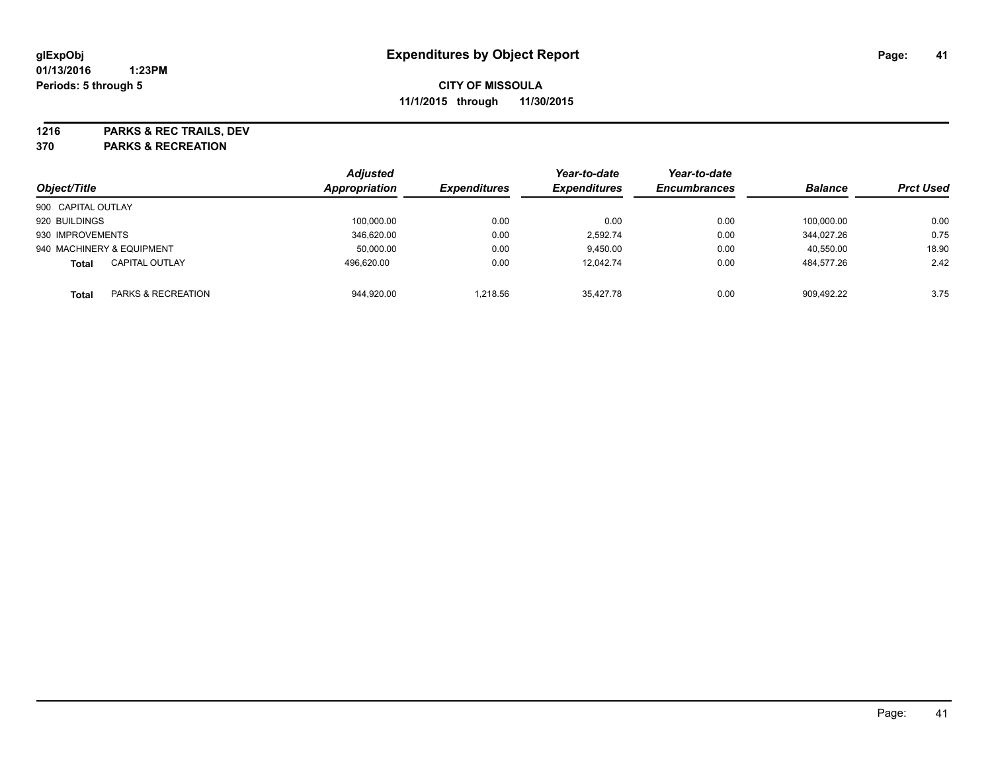**1216 PARKS & REC TRAILS, DEV**

**370 PARKS & RECREATION**

|                    |                           | <b>Adjusted</b> |                     | Year-to-date        | Year-to-date        |                |                  |
|--------------------|---------------------------|-----------------|---------------------|---------------------|---------------------|----------------|------------------|
| Object/Title       |                           | Appropriation   | <b>Expenditures</b> | <b>Expenditures</b> | <b>Encumbrances</b> | <b>Balance</b> | <b>Prct Used</b> |
| 900 CAPITAL OUTLAY |                           |                 |                     |                     |                     |                |                  |
| 920 BUILDINGS      |                           | 100,000.00      | 0.00                | 0.00                | 0.00                | 100.000.00     | 0.00             |
| 930 IMPROVEMENTS   |                           | 346.620.00      | 0.00                | 2.592.74            | 0.00                | 344.027.26     | 0.75             |
|                    | 940 MACHINERY & EQUIPMENT | 50,000.00       | 0.00                | 9,450.00            | 0.00                | 40,550.00      | 18.90            |
| <b>Total</b>       | <b>CAPITAL OUTLAY</b>     | 496.620.00      | 0.00                | 12.042.74           | 0.00                | 484,577.26     | 2.42             |
| Total              | PARKS & RECREATION        | 944,920.00      | 1.218.56            | 35.427.78           | 0.00                | 909.492.22     | 3.75             |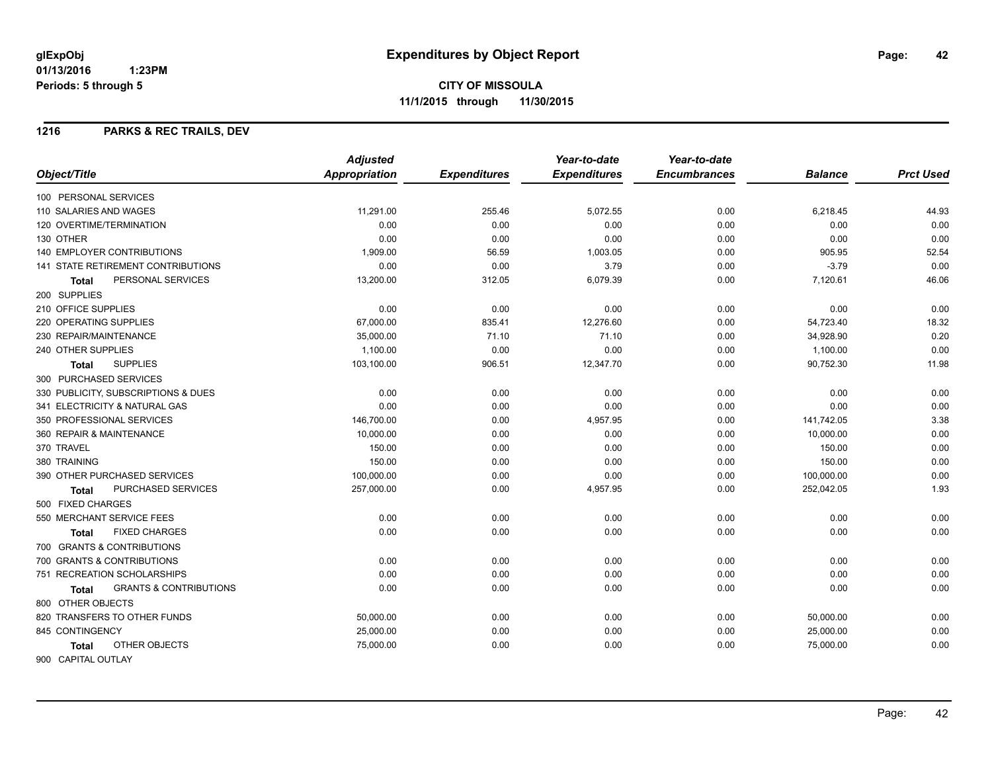### **1216 PARKS & REC TRAILS, DEV**

|                                            | <b>Adjusted</b>      |                     | Year-to-date        | Year-to-date        |                |                  |
|--------------------------------------------|----------------------|---------------------|---------------------|---------------------|----------------|------------------|
| Object/Title                               | <b>Appropriation</b> | <b>Expenditures</b> | <b>Expenditures</b> | <b>Encumbrances</b> | <b>Balance</b> | <b>Prct Used</b> |
| 100 PERSONAL SERVICES                      |                      |                     |                     |                     |                |                  |
| 110 SALARIES AND WAGES                     | 11,291.00            | 255.46              | 5,072.55            | 0.00                | 6,218.45       | 44.93            |
| 120 OVERTIME/TERMINATION                   | 0.00                 | 0.00                | 0.00                | 0.00                | 0.00           | 0.00             |
| 130 OTHER                                  | 0.00                 | 0.00                | 0.00                | 0.00                | 0.00           | 0.00             |
| 140 EMPLOYER CONTRIBUTIONS                 | 1,909.00             | 56.59               | 1,003.05            | 0.00                | 905.95         | 52.54            |
| 141 STATE RETIREMENT CONTRIBUTIONS         | 0.00                 | 0.00                | 3.79                | 0.00                | $-3.79$        | 0.00             |
| PERSONAL SERVICES<br><b>Total</b>          | 13,200.00            | 312.05              | 6,079.39            | 0.00                | 7,120.61       | 46.06            |
| 200 SUPPLIES                               |                      |                     |                     |                     |                |                  |
| 210 OFFICE SUPPLIES                        | 0.00                 | 0.00                | 0.00                | 0.00                | 0.00           | 0.00             |
| 220 OPERATING SUPPLIES                     | 67,000.00            | 835.41              | 12,276.60           | 0.00                | 54,723.40      | 18.32            |
| 230 REPAIR/MAINTENANCE                     | 35,000.00            | 71.10               | 71.10               | 0.00                | 34,928.90      | 0.20             |
| 240 OTHER SUPPLIES                         | 1,100.00             | 0.00                | 0.00                | 0.00                | 1,100.00       | 0.00             |
| <b>SUPPLIES</b><br><b>Total</b>            | 103,100.00           | 906.51              | 12,347.70           | 0.00                | 90,752.30      | 11.98            |
| 300 PURCHASED SERVICES                     |                      |                     |                     |                     |                |                  |
| 330 PUBLICITY, SUBSCRIPTIONS & DUES        | 0.00                 | 0.00                | 0.00                | 0.00                | 0.00           | 0.00             |
| 341 ELECTRICITY & NATURAL GAS              | 0.00                 | 0.00                | 0.00                | 0.00                | 0.00           | 0.00             |
| 350 PROFESSIONAL SERVICES                  | 146,700.00           | 0.00                | 4,957.95            | 0.00                | 141,742.05     | 3.38             |
| 360 REPAIR & MAINTENANCE                   | 10,000.00            | 0.00                | 0.00                | 0.00                | 10,000.00      | 0.00             |
| 370 TRAVEL                                 | 150.00               | 0.00                | 0.00                | 0.00                | 150.00         | 0.00             |
| 380 TRAINING                               | 150.00               | 0.00                | 0.00                | 0.00                | 150.00         | 0.00             |
| 390 OTHER PURCHASED SERVICES               | 100,000.00           | 0.00                | 0.00                | 0.00                | 100,000.00     | 0.00             |
| <b>PURCHASED SERVICES</b><br>Total         | 257,000.00           | 0.00                | 4,957.95            | 0.00                | 252,042.05     | 1.93             |
| 500 FIXED CHARGES                          |                      |                     |                     |                     |                |                  |
| 550 MERCHANT SERVICE FEES                  | 0.00                 | 0.00                | 0.00                | 0.00                | 0.00           | 0.00             |
| <b>FIXED CHARGES</b><br><b>Total</b>       | 0.00                 | 0.00                | 0.00                | 0.00                | 0.00           | 0.00             |
| 700 GRANTS & CONTRIBUTIONS                 |                      |                     |                     |                     |                |                  |
| 700 GRANTS & CONTRIBUTIONS                 | 0.00                 | 0.00                | 0.00                | 0.00                | 0.00           | 0.00             |
| 751 RECREATION SCHOLARSHIPS                | 0.00                 | 0.00                | 0.00                | 0.00                | 0.00           | 0.00             |
| <b>GRANTS &amp; CONTRIBUTIONS</b><br>Total | 0.00                 | 0.00                | 0.00                | 0.00                | 0.00           | 0.00             |
| 800 OTHER OBJECTS                          |                      |                     |                     |                     |                |                  |
| 820 TRANSFERS TO OTHER FUNDS               | 50,000.00            | 0.00                | 0.00                | 0.00                | 50,000.00      | 0.00             |
| 845 CONTINGENCY                            | 25,000.00            | 0.00                | 0.00                | 0.00                | 25,000.00      | 0.00             |
| OTHER OBJECTS<br><b>Total</b>              | 75,000.00            | 0.00                | 0.00                | 0.00                | 75,000.00      | 0.00             |
| 900 CAPITAL OUTLAY                         |                      |                     |                     |                     |                |                  |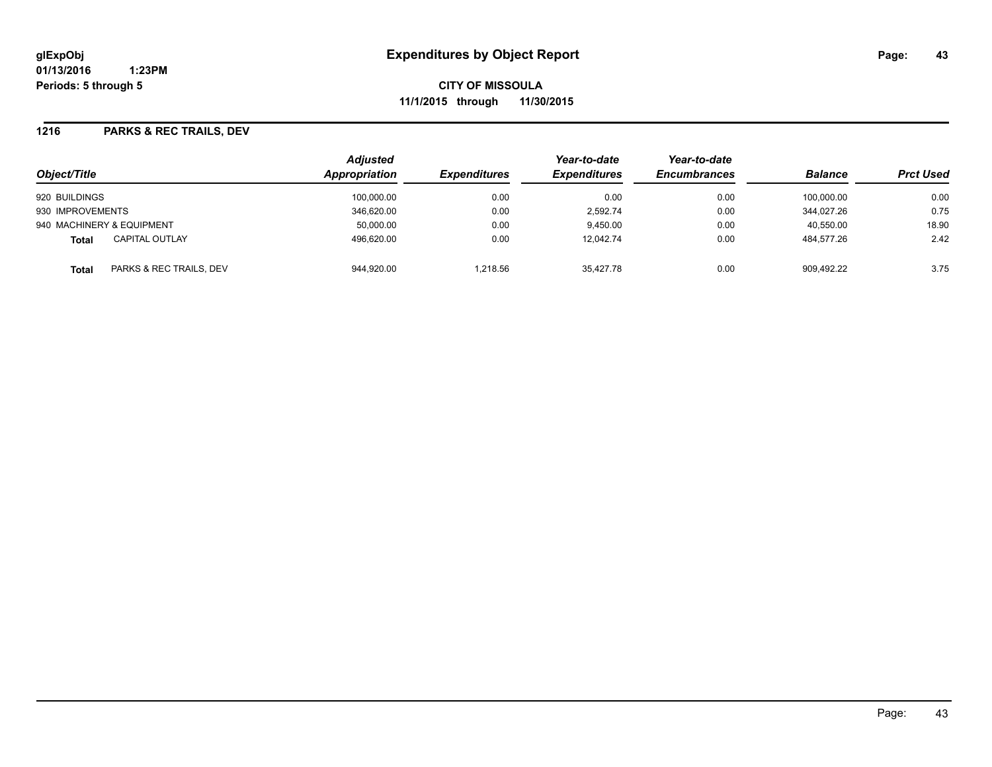**CITY OF MISSOULA 11/1/2015 through 11/30/2015**

### **1216 PARKS & REC TRAILS, DEV**

| Object/Title                            | <b>Adjusted</b><br>Appropriation | <b>Expenditures</b> | Year-to-date<br><b>Expenditures</b> | Year-to-date<br><b>Encumbrances</b> | <b>Balance</b> | <b>Prct Used</b> |
|-----------------------------------------|----------------------------------|---------------------|-------------------------------------|-------------------------------------|----------------|------------------|
| 920 BUILDINGS                           | 100,000.00                       | 0.00                | 0.00                                | 0.00                                | 100.000.00     | 0.00             |
| 930 IMPROVEMENTS                        | 346.620.00                       | 0.00                | 2.592.74                            | 0.00                                | 344.027.26     | 0.75             |
| 940 MACHINERY & EQUIPMENT               | 50,000.00                        | 0.00                | 9,450.00                            | 0.00                                | 40,550.00      | 18.90            |
| <b>CAPITAL OUTLAY</b><br><b>Total</b>   | 496,620.00                       | 0.00                | 12,042.74                           | 0.00                                | 484,577.26     | 2.42             |
| PARKS & REC TRAILS, DEV<br><b>Total</b> | 944,920.00                       | 1.218.56            | 35.427.78                           | 0.00                                | 909.492.22     | 3.75             |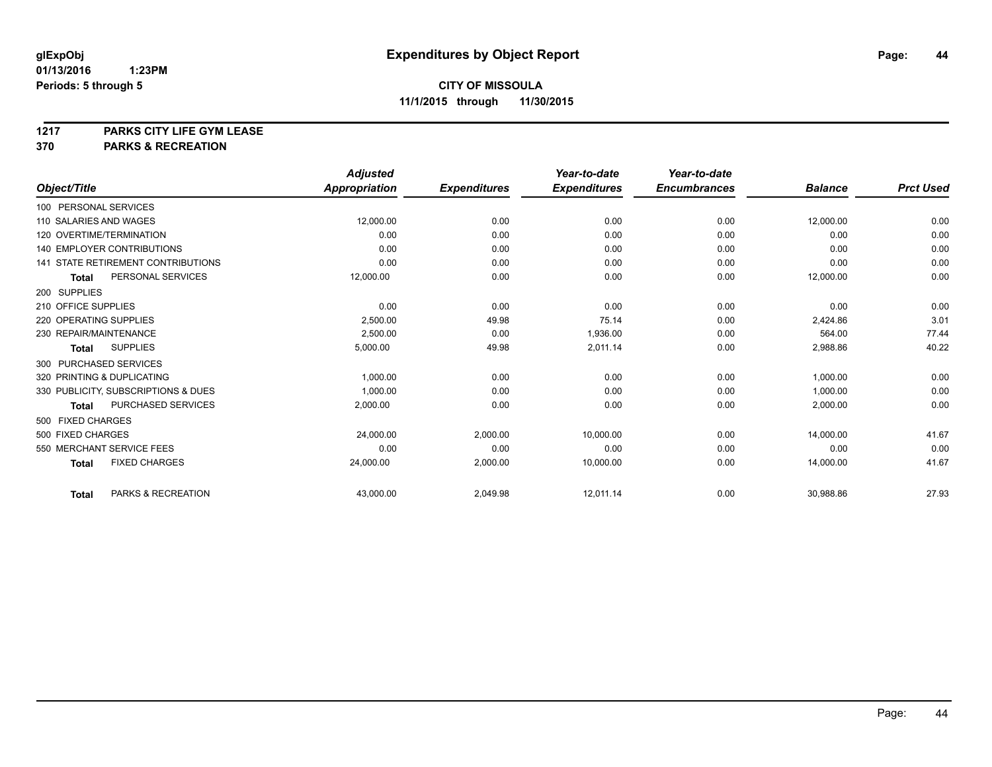# **1217 PARKS CITY LIFE GYM LEASE**

## **370 PARKS & RECREATION**

|                                           | <b>Adjusted</b>      |                     | Year-to-date        | Year-to-date        |                |                  |
|-------------------------------------------|----------------------|---------------------|---------------------|---------------------|----------------|------------------|
| Object/Title                              | <b>Appropriation</b> | <b>Expenditures</b> | <b>Expenditures</b> | <b>Encumbrances</b> | <b>Balance</b> | <b>Prct Used</b> |
| 100 PERSONAL SERVICES                     |                      |                     |                     |                     |                |                  |
| 110 SALARIES AND WAGES                    | 12,000.00            | 0.00                | 0.00                | 0.00                | 12,000.00      | 0.00             |
| 120 OVERTIME/TERMINATION                  | 0.00                 | 0.00                | 0.00                | 0.00                | 0.00           | 0.00             |
| <b>140 EMPLOYER CONTRIBUTIONS</b>         | 0.00                 | 0.00                | 0.00                | 0.00                | 0.00           | 0.00             |
| <b>141 STATE RETIREMENT CONTRIBUTIONS</b> | 0.00                 | 0.00                | 0.00                | 0.00                | 0.00           | 0.00             |
| PERSONAL SERVICES<br><b>Total</b>         | 12,000.00            | 0.00                | 0.00                | 0.00                | 12,000.00      | 0.00             |
| 200 SUPPLIES                              |                      |                     |                     |                     |                |                  |
| 210 OFFICE SUPPLIES                       | 0.00                 | 0.00                | 0.00                | 0.00                | 0.00           | 0.00             |
| 220 OPERATING SUPPLIES                    | 2,500.00             | 49.98               | 75.14               | 0.00                | 2,424.86       | 3.01             |
| 230 REPAIR/MAINTENANCE                    | 2,500.00             | 0.00                | 1,936.00            | 0.00                | 564.00         | 77.44            |
| <b>SUPPLIES</b><br><b>Total</b>           | 5,000.00             | 49.98               | 2,011.14            | 0.00                | 2,988.86       | 40.22            |
| 300 PURCHASED SERVICES                    |                      |                     |                     |                     |                |                  |
| 320 PRINTING & DUPLICATING                | 1,000.00             | 0.00                | 0.00                | 0.00                | 1,000.00       | 0.00             |
| 330 PUBLICITY, SUBSCRIPTIONS & DUES       | 1,000.00             | 0.00                | 0.00                | 0.00                | 1,000.00       | 0.00             |
| <b>PURCHASED SERVICES</b><br><b>Total</b> | 2,000.00             | 0.00                | 0.00                | 0.00                | 2,000.00       | 0.00             |
| 500 FIXED CHARGES                         |                      |                     |                     |                     |                |                  |
| 500 FIXED CHARGES                         | 24,000.00            | 2.000.00            | 10,000.00           | 0.00                | 14.000.00      | 41.67            |
| 550 MERCHANT SERVICE FEES                 | 0.00                 | 0.00                | 0.00                | 0.00                | 0.00           | 0.00             |
| <b>FIXED CHARGES</b><br><b>Total</b>      | 24,000.00            | 2,000.00            | 10,000.00           | 0.00                | 14,000.00      | 41.67            |
| PARKS & RECREATION<br><b>Total</b>        | 43,000.00            | 2,049.98            | 12,011.14           | 0.00                | 30,988.86      | 27.93            |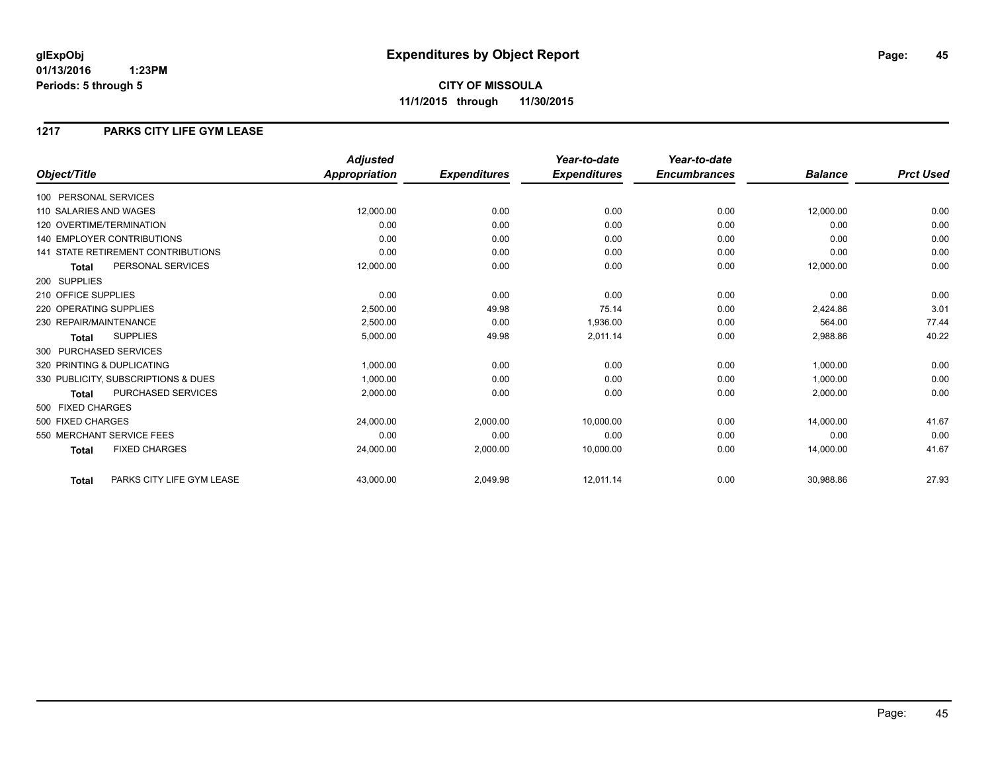### **1217 PARKS CITY LIFE GYM LEASE**

|                                           | <b>Adjusted</b> |                     | Year-to-date        | Year-to-date        |                |                  |
|-------------------------------------------|-----------------|---------------------|---------------------|---------------------|----------------|------------------|
| Object/Title                              | Appropriation   | <b>Expenditures</b> | <b>Expenditures</b> | <b>Encumbrances</b> | <b>Balance</b> | <b>Prct Used</b> |
| 100 PERSONAL SERVICES                     |                 |                     |                     |                     |                |                  |
| 110 SALARIES AND WAGES                    | 12,000.00       | 0.00                | 0.00                | 0.00                | 12,000.00      | 0.00             |
| 120 OVERTIME/TERMINATION                  | 0.00            | 0.00                | 0.00                | 0.00                | 0.00           | 0.00             |
| <b>140 EMPLOYER CONTRIBUTIONS</b>         | 0.00            | 0.00                | 0.00                | 0.00                | 0.00           | 0.00             |
| <b>141 STATE RETIREMENT CONTRIBUTIONS</b> | 0.00            | 0.00                | 0.00                | 0.00                | 0.00           | 0.00             |
| PERSONAL SERVICES<br><b>Total</b>         | 12,000.00       | 0.00                | 0.00                | 0.00                | 12,000.00      | 0.00             |
| 200 SUPPLIES                              |                 |                     |                     |                     |                |                  |
| 210 OFFICE SUPPLIES                       | 0.00            | 0.00                | 0.00                | 0.00                | 0.00           | 0.00             |
| 220 OPERATING SUPPLIES                    | 2.500.00        | 49.98               | 75.14               | 0.00                | 2,424.86       | 3.01             |
| 230 REPAIR/MAINTENANCE                    | 2.500.00        | 0.00                | 1.936.00            | 0.00                | 564.00         | 77.44            |
| <b>SUPPLIES</b><br><b>Total</b>           | 5,000.00        | 49.98               | 2,011.14            | 0.00                | 2,988.86       | 40.22            |
| 300 PURCHASED SERVICES                    |                 |                     |                     |                     |                |                  |
| 320 PRINTING & DUPLICATING                | 1,000.00        | 0.00                | 0.00                | 0.00                | 1,000.00       | 0.00             |
| 330 PUBLICITY, SUBSCRIPTIONS & DUES       | 1,000.00        | 0.00                | 0.00                | 0.00                | 1,000.00       | 0.00             |
| <b>PURCHASED SERVICES</b><br><b>Total</b> | 2,000.00        | 0.00                | 0.00                | 0.00                | 2,000.00       | 0.00             |
| 500 FIXED CHARGES                         |                 |                     |                     |                     |                |                  |
| 500 FIXED CHARGES                         | 24,000.00       | 2,000.00            | 10.000.00           | 0.00                | 14.000.00      | 41.67            |
| 550 MERCHANT SERVICE FEES                 | 0.00            | 0.00                | 0.00                | 0.00                | 0.00           | 0.00             |
| <b>FIXED CHARGES</b><br><b>Total</b>      | 24,000.00       | 2,000.00            | 10,000.00           | 0.00                | 14,000.00      | 41.67            |
| PARKS CITY LIFE GYM LEASE<br><b>Total</b> | 43,000.00       | 2,049.98            | 12,011.14           | 0.00                | 30,988.86      | 27.93            |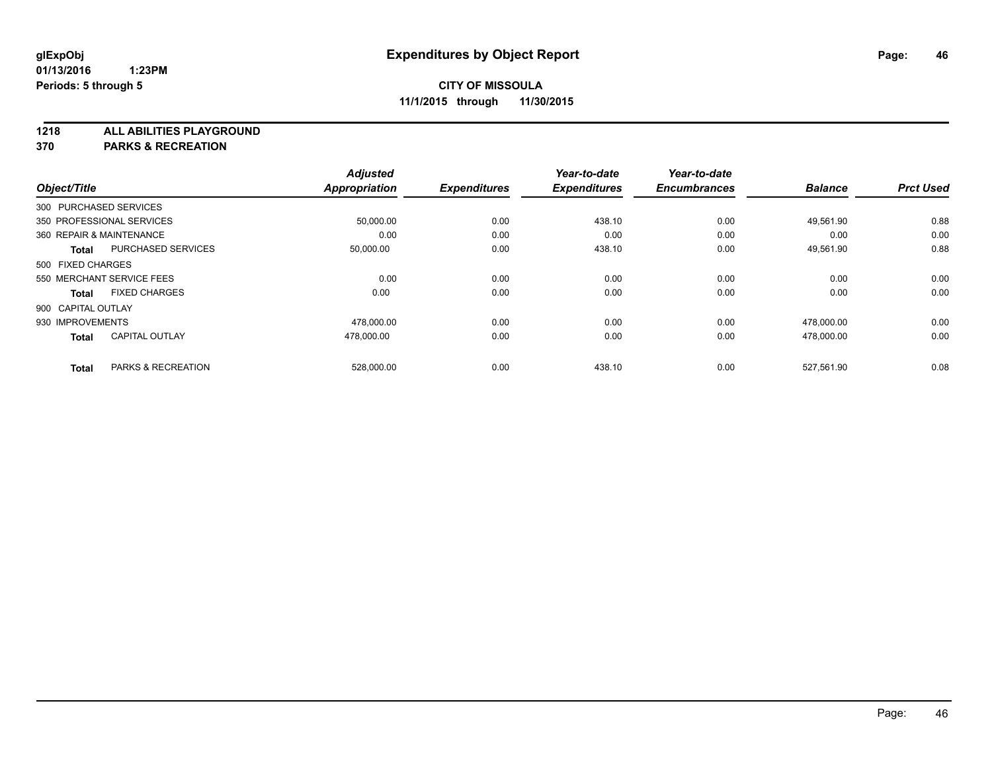**1218 ALL ABILITIES PLAYGROUND**

**370 PARKS & RECREATION**

|                          |                           | <b>Adjusted</b>      |                     | Year-to-date        | Year-to-date        |                |                  |
|--------------------------|---------------------------|----------------------|---------------------|---------------------|---------------------|----------------|------------------|
| Object/Title             |                           | <b>Appropriation</b> | <b>Expenditures</b> | <b>Expenditures</b> | <b>Encumbrances</b> | <b>Balance</b> | <b>Prct Used</b> |
| 300 PURCHASED SERVICES   |                           |                      |                     |                     |                     |                |                  |
|                          | 350 PROFESSIONAL SERVICES | 50,000.00            | 0.00                | 438.10              | 0.00                | 49.561.90      | 0.88             |
| 360 REPAIR & MAINTENANCE |                           | 0.00                 | 0.00                | 0.00                | 0.00                | 0.00           | 0.00             |
| <b>Total</b>             | <b>PURCHASED SERVICES</b> | 50,000.00            | 0.00                | 438.10              | 0.00                | 49,561.90      | 0.88             |
| 500 FIXED CHARGES        |                           |                      |                     |                     |                     |                |                  |
|                          | 550 MERCHANT SERVICE FEES | 0.00                 | 0.00                | 0.00                | 0.00                | 0.00           | 0.00             |
| <b>Total</b>             | <b>FIXED CHARGES</b>      | 0.00                 | 0.00                | 0.00                | 0.00                | 0.00           | 0.00             |
| 900 CAPITAL OUTLAY       |                           |                      |                     |                     |                     |                |                  |
| 930 IMPROVEMENTS         |                           | 478,000.00           | 0.00                | 0.00                | 0.00                | 478,000.00     | 0.00             |
| <b>Total</b>             | <b>CAPITAL OUTLAY</b>     | 478,000.00           | 0.00                | 0.00                | 0.00                | 478,000.00     | 0.00             |
|                          |                           |                      |                     |                     |                     |                |                  |
| <b>Total</b>             | PARKS & RECREATION        | 528,000.00           | 0.00                | 438.10              | 0.00                | 527,561.90     | 0.08             |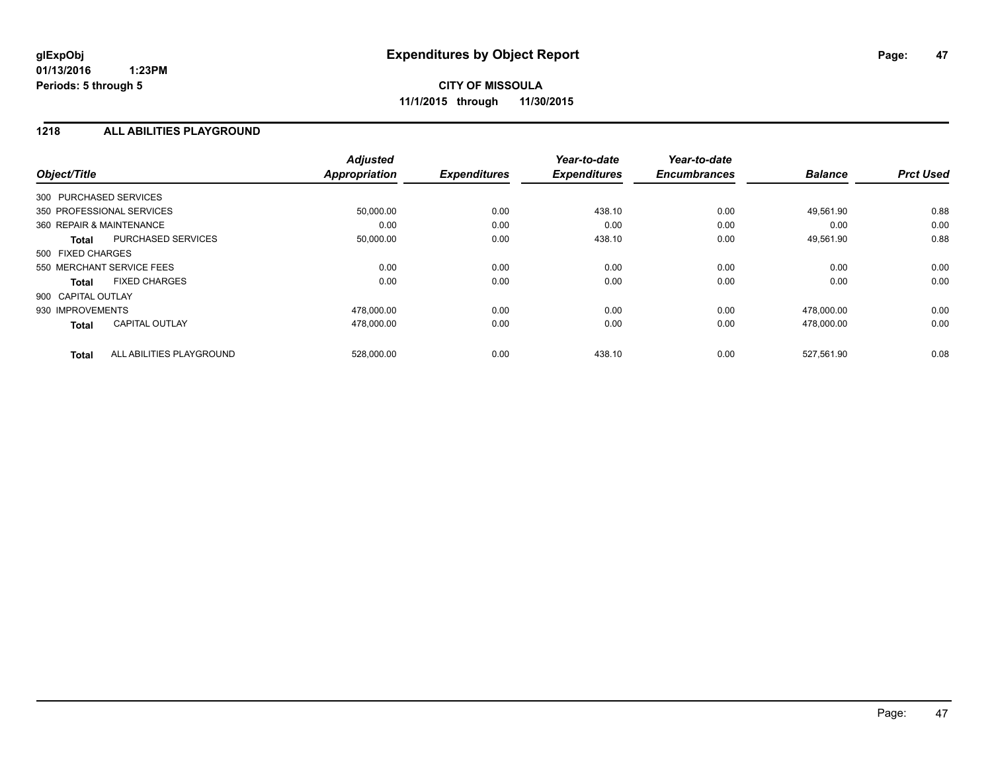### **1218 ALL ABILITIES PLAYGROUND**

| Object/Title                             | <b>Adjusted</b><br><b>Appropriation</b> | <b>Expenditures</b> | Year-to-date<br><b>Expenditures</b> | Year-to-date<br><b>Encumbrances</b> | <b>Balance</b> | <b>Prct Used</b> |
|------------------------------------------|-----------------------------------------|---------------------|-------------------------------------|-------------------------------------|----------------|------------------|
| 300 PURCHASED SERVICES                   |                                         |                     |                                     |                                     |                |                  |
| 350 PROFESSIONAL SERVICES                | 50,000.00                               | 0.00                | 438.10                              | 0.00                                | 49,561.90      | 0.88             |
| 360 REPAIR & MAINTENANCE                 | 0.00                                    | 0.00                | 0.00                                | 0.00                                | 0.00           | 0.00             |
| PURCHASED SERVICES<br><b>Total</b>       | 50,000.00                               | 0.00                | 438.10                              | 0.00                                | 49,561.90      | 0.88             |
| 500 FIXED CHARGES                        |                                         |                     |                                     |                                     |                |                  |
| 550 MERCHANT SERVICE FEES                | 0.00                                    | 0.00                | 0.00                                | 0.00                                | 0.00           | 0.00             |
| <b>FIXED CHARGES</b><br><b>Total</b>     | 0.00                                    | 0.00                | 0.00                                | 0.00                                | 0.00           | 0.00             |
| 900 CAPITAL OUTLAY                       |                                         |                     |                                     |                                     |                |                  |
| 930 IMPROVEMENTS                         | 478.000.00                              | 0.00                | 0.00                                | 0.00                                | 478.000.00     | 0.00             |
| <b>CAPITAL OUTLAY</b><br><b>Total</b>    | 478,000.00                              | 0.00                | 0.00                                | 0.00                                | 478,000.00     | 0.00             |
| ALL ABILITIES PLAYGROUND<br><b>Total</b> | 528,000.00                              | 0.00                | 438.10                              | 0.00                                | 527,561.90     | 0.08             |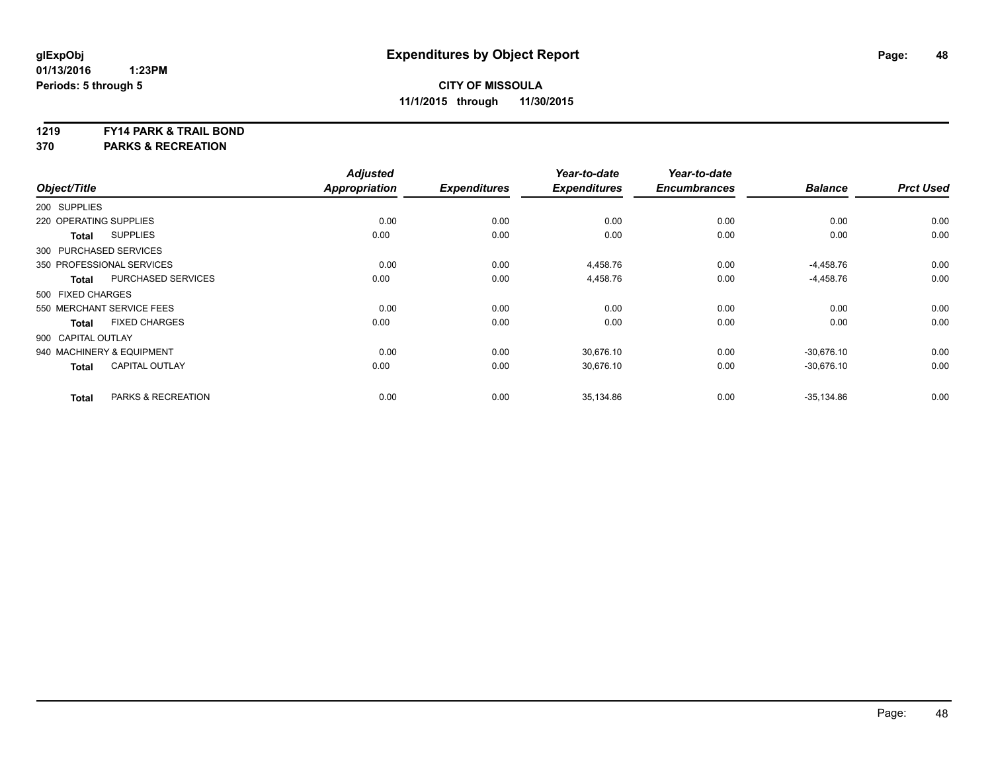#### **1219 FY14 PARK & TRAIL BOND**

**370 PARKS & RECREATION**

| Object/Title           |                               | <b>Adjusted</b><br><b>Appropriation</b> | <b>Expenditures</b> | Year-to-date<br><b>Expenditures</b> | Year-to-date<br><b>Encumbrances</b> | <b>Balance</b> | <b>Prct Used</b> |
|------------------------|-------------------------------|-----------------------------------------|---------------------|-------------------------------------|-------------------------------------|----------------|------------------|
|                        |                               |                                         |                     |                                     |                                     |                |                  |
| 200 SUPPLIES           |                               |                                         |                     |                                     |                                     |                |                  |
| 220 OPERATING SUPPLIES |                               | 0.00                                    | 0.00                | 0.00                                | 0.00                                | 0.00           | 0.00             |
| <b>Total</b>           | <b>SUPPLIES</b>               | 0.00                                    | 0.00                | 0.00                                | 0.00                                | 0.00           | 0.00             |
| 300 PURCHASED SERVICES |                               |                                         |                     |                                     |                                     |                |                  |
|                        | 350 PROFESSIONAL SERVICES     | 0.00                                    | 0.00                | 4,458.76                            | 0.00                                | $-4,458.76$    | 0.00             |
| <b>Total</b>           | PURCHASED SERVICES            | 0.00                                    | 0.00                | 4,458.76                            | 0.00                                | $-4,458.76$    | 0.00             |
| 500 FIXED CHARGES      |                               |                                         |                     |                                     |                                     |                |                  |
|                        | 550 MERCHANT SERVICE FEES     | 0.00                                    | 0.00                | 0.00                                | 0.00                                | 0.00           | 0.00             |
| <b>Total</b>           | <b>FIXED CHARGES</b>          | 0.00                                    | 0.00                | 0.00                                | 0.00                                | 0.00           | 0.00             |
| 900 CAPITAL OUTLAY     |                               |                                         |                     |                                     |                                     |                |                  |
|                        | 940 MACHINERY & EQUIPMENT     | 0.00                                    | 0.00                | 30.676.10                           | 0.00                                | $-30.676.10$   | 0.00             |
| <b>Total</b>           | <b>CAPITAL OUTLAY</b>         | 0.00                                    | 0.00                | 30,676.10                           | 0.00                                | $-30,676.10$   | 0.00             |
| <b>Total</b>           | <b>PARKS &amp; RECREATION</b> | 0.00                                    | 0.00                | 35,134.86                           | 0.00                                | $-35,134.86$   | 0.00             |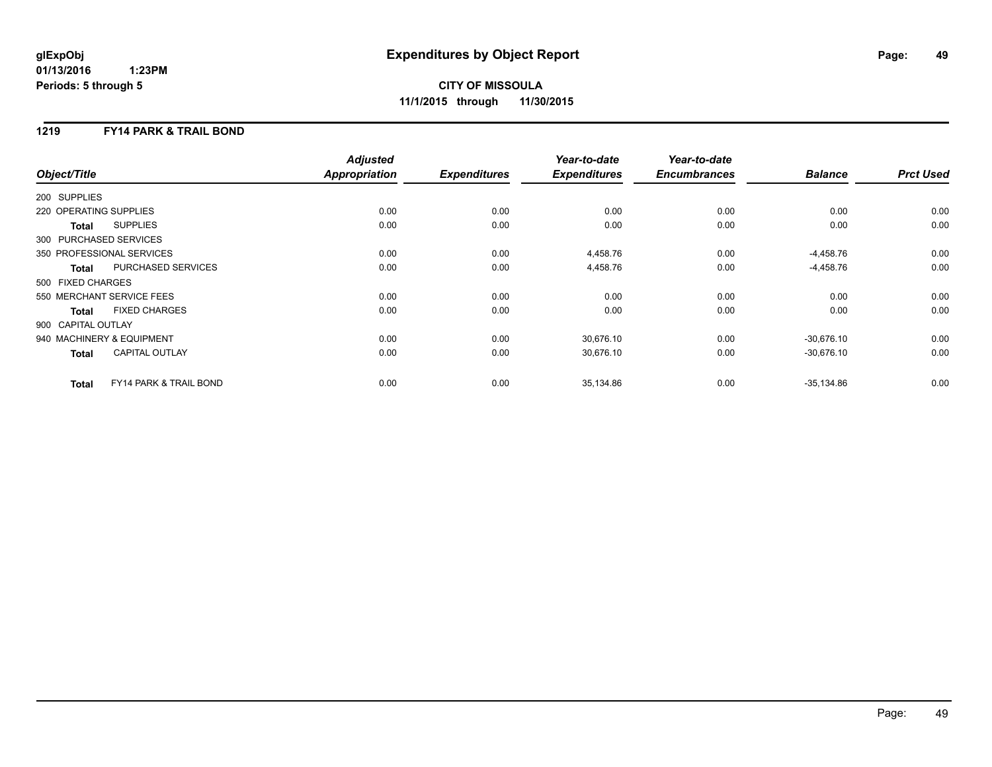### **1219 FY14 PARK & TRAIL BOND**

|                        |                                   | <b>Adjusted</b>      |                     | Year-to-date        | Year-to-date        |                |                  |
|------------------------|-----------------------------------|----------------------|---------------------|---------------------|---------------------|----------------|------------------|
| Object/Title           |                                   | <b>Appropriation</b> | <b>Expenditures</b> | <b>Expenditures</b> | <b>Encumbrances</b> | <b>Balance</b> | <b>Prct Used</b> |
| 200 SUPPLIES           |                                   |                      |                     |                     |                     |                |                  |
| 220 OPERATING SUPPLIES |                                   | 0.00                 | 0.00                | 0.00                | 0.00                | 0.00           | 0.00             |
| <b>Total</b>           | <b>SUPPLIES</b>                   | 0.00                 | 0.00                | 0.00                | 0.00                | 0.00           | 0.00             |
| 300 PURCHASED SERVICES |                                   |                      |                     |                     |                     |                |                  |
|                        | 350 PROFESSIONAL SERVICES         | 0.00                 | 0.00                | 4,458.76            | 0.00                | $-4,458.76$    | 0.00             |
| <b>Total</b>           | PURCHASED SERVICES                | 0.00                 | 0.00                | 4,458.76            | 0.00                | $-4,458.76$    | 0.00             |
| 500 FIXED CHARGES      |                                   |                      |                     |                     |                     |                |                  |
|                        | 550 MERCHANT SERVICE FEES         | 0.00                 | 0.00                | 0.00                | 0.00                | 0.00           | 0.00             |
| <b>Total</b>           | <b>FIXED CHARGES</b>              | 0.00                 | 0.00                | 0.00                | 0.00                | 0.00           | 0.00             |
| 900 CAPITAL OUTLAY     |                                   |                      |                     |                     |                     |                |                  |
|                        | 940 MACHINERY & EQUIPMENT         | 0.00                 | 0.00                | 30,676.10           | 0.00                | $-30,676.10$   | 0.00             |
| <b>Total</b>           | <b>CAPITAL OUTLAY</b>             | 0.00                 | 0.00                | 30,676.10           | 0.00                | $-30,676.10$   | 0.00             |
| <b>Total</b>           | <b>FY14 PARK &amp; TRAIL BOND</b> | 0.00                 | 0.00                | 35,134.86           | 0.00                | $-35,134.86$   | 0.00             |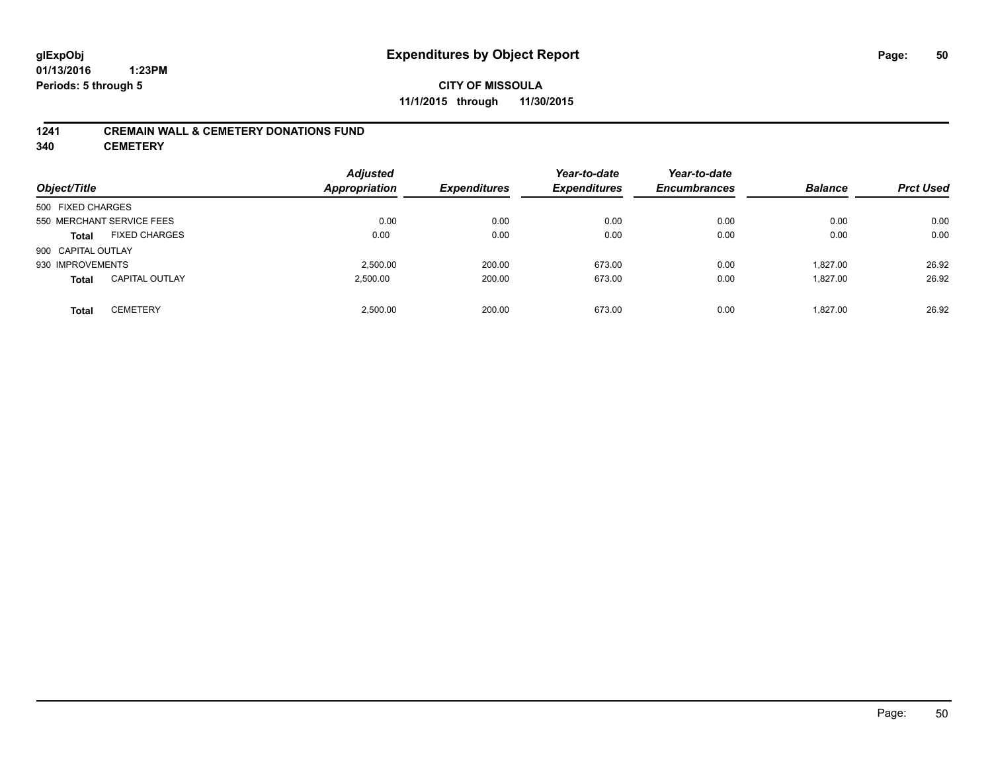## **CITY OF MISSOULA 11/1/2015 through 11/30/2015**

### **1241 CREMAIN WALL & CEMETERY DONATIONS FUND**

**340 CEMETERY**

| Object/Title                          | <b>Adjusted</b><br><b>Appropriation</b> | <b>Expenditures</b> | Year-to-date<br><b>Expenditures</b> | Year-to-date<br><b>Encumbrances</b> | <b>Balance</b> | <b>Prct Used</b> |
|---------------------------------------|-----------------------------------------|---------------------|-------------------------------------|-------------------------------------|----------------|------------------|
| 500 FIXED CHARGES                     |                                         |                     |                                     |                                     |                |                  |
| 550 MERCHANT SERVICE FEES             | 0.00                                    | 0.00                | 0.00                                | 0.00                                | 0.00           | 0.00             |
| <b>FIXED CHARGES</b><br><b>Total</b>  | 0.00                                    | 0.00                | 0.00                                | 0.00                                | 0.00           | 0.00             |
| 900 CAPITAL OUTLAY                    |                                         |                     |                                     |                                     |                |                  |
| 930 IMPROVEMENTS                      | 2.500.00                                | 200.00              | 673.00                              | 0.00                                | 1.827.00       | 26.92            |
| <b>CAPITAL OUTLAY</b><br><b>Total</b> | 2,500.00                                | 200.00              | 673.00                              | 0.00                                | 1.827.00       | 26.92            |
| <b>CEMETERY</b><br><b>Total</b>       | 2.500.00                                | 200.00              | 673.00                              | 0.00                                | 1.827.00       | 26.92            |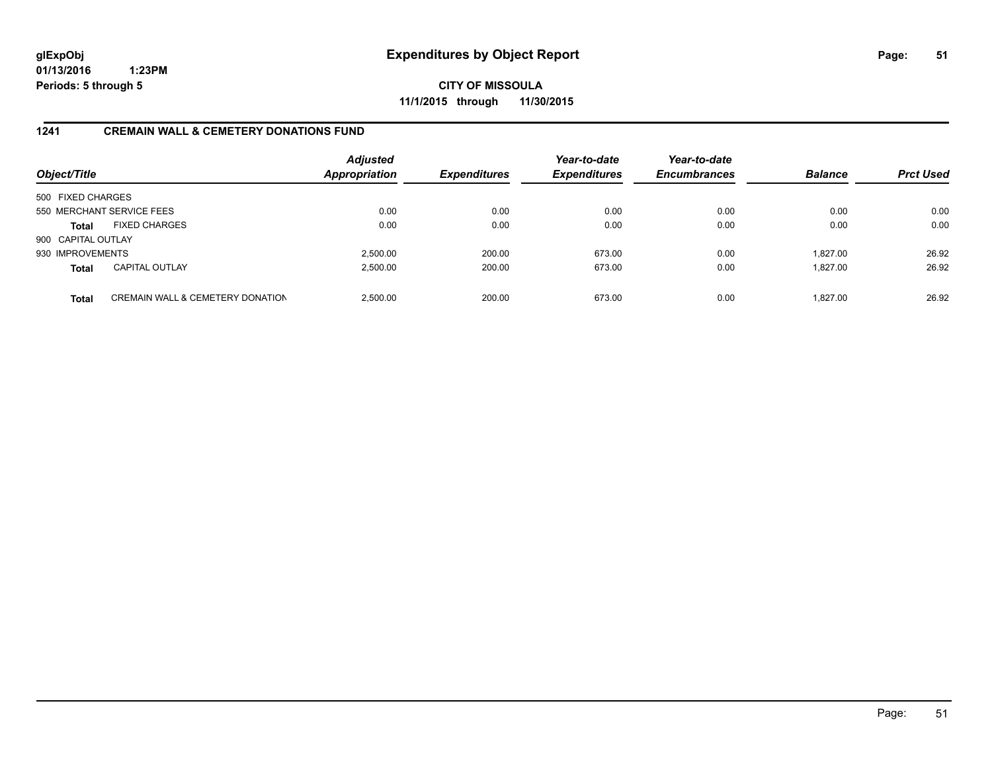**CITY OF MISSOULA 11/1/2015 through 11/30/2015**

### **1241 CREMAIN WALL & CEMETERY DONATIONS FUND**

| Object/Title       |                                             | <b>Adjusted</b><br>Appropriation | <b>Expenditures</b> | Year-to-date<br><b>Expenditures</b> | Year-to-date<br><b>Encumbrances</b> | <b>Balance</b> | <b>Prct Used</b> |
|--------------------|---------------------------------------------|----------------------------------|---------------------|-------------------------------------|-------------------------------------|----------------|------------------|
| 500 FIXED CHARGES  |                                             |                                  |                     |                                     |                                     |                |                  |
|                    | 550 MERCHANT SERVICE FEES                   | 0.00                             | 0.00                | 0.00                                | 0.00                                | 0.00           | 0.00             |
| <b>Total</b>       | <b>FIXED CHARGES</b>                        | 0.00                             | 0.00                | 0.00                                | 0.00                                | 0.00           | 0.00             |
| 900 CAPITAL OUTLAY |                                             |                                  |                     |                                     |                                     |                |                  |
| 930 IMPROVEMENTS   |                                             | 2.500.00                         | 200.00              | 673.00                              | 0.00                                | 1.827.00       | 26.92            |
| <b>Total</b>       | <b>CAPITAL OUTLAY</b>                       | 2,500.00                         | 200.00              | 673.00                              | 0.00                                | 1.827.00       | 26.92            |
| <b>Total</b>       | <b>CREMAIN WALL &amp; CEMETERY DONATION</b> | 2.500.00                         | 200.00              | 673.00                              | 0.00                                | 1.827.00       | 26.92            |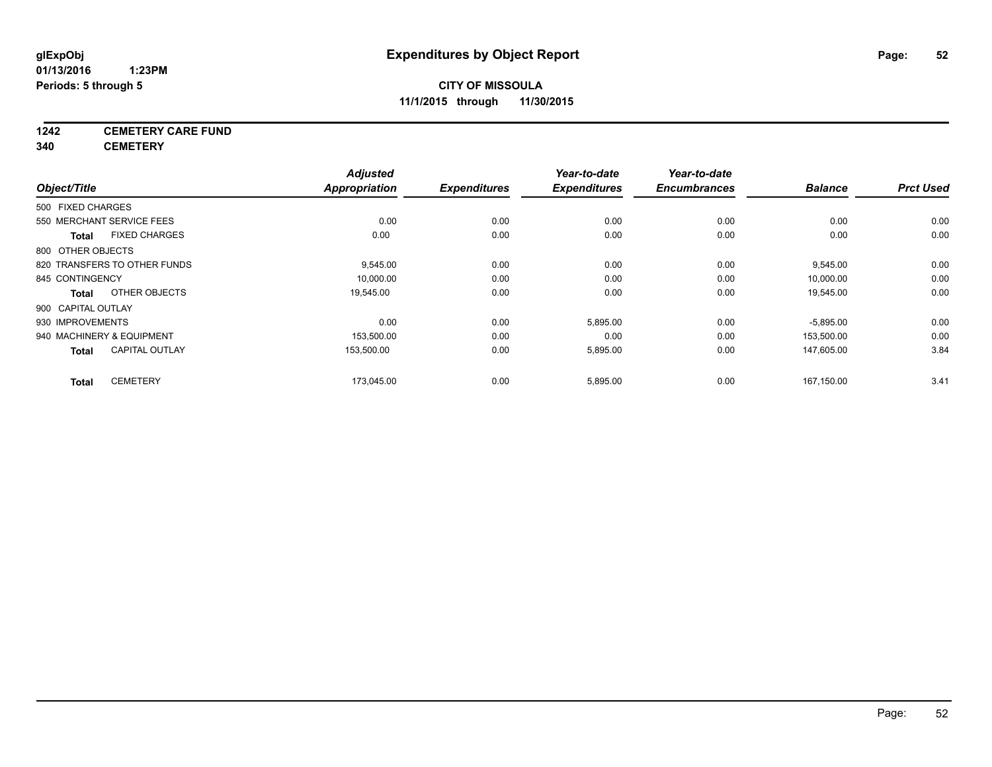## **1242 CEMETERY CARE FUND**

**340 CEMETERY**

|                    |                              | <b>Adjusted</b> |                     | Year-to-date        | Year-to-date        |                |                  |
|--------------------|------------------------------|-----------------|---------------------|---------------------|---------------------|----------------|------------------|
| Object/Title       |                              | Appropriation   | <b>Expenditures</b> | <b>Expenditures</b> | <b>Encumbrances</b> | <b>Balance</b> | <b>Prct Used</b> |
| 500 FIXED CHARGES  |                              |                 |                     |                     |                     |                |                  |
|                    | 550 MERCHANT SERVICE FEES    | 0.00            | 0.00                | 0.00                | 0.00                | 0.00           | 0.00             |
| <b>Total</b>       | <b>FIXED CHARGES</b>         | 0.00            | 0.00                | 0.00                | 0.00                | 0.00           | 0.00             |
| 800 OTHER OBJECTS  |                              |                 |                     |                     |                     |                |                  |
|                    | 820 TRANSFERS TO OTHER FUNDS | 9,545.00        | 0.00                | 0.00                | 0.00                | 9,545.00       | 0.00             |
| 845 CONTINGENCY    |                              | 10,000.00       | 0.00                | 0.00                | 0.00                | 10,000.00      | 0.00             |
| <b>Total</b>       | OTHER OBJECTS                | 19,545.00       | 0.00                | 0.00                | 0.00                | 19,545.00      | 0.00             |
| 900 CAPITAL OUTLAY |                              |                 |                     |                     |                     |                |                  |
| 930 IMPROVEMENTS   |                              | 0.00            | 0.00                | 5,895.00            | 0.00                | $-5,895.00$    | 0.00             |
|                    | 940 MACHINERY & EQUIPMENT    | 153,500.00      | 0.00                | 0.00                | 0.00                | 153,500.00     | 0.00             |
| <b>Total</b>       | <b>CAPITAL OUTLAY</b>        | 153,500.00      | 0.00                | 5,895.00            | 0.00                | 147,605.00     | 3.84             |
| <b>Total</b>       | <b>CEMETERY</b>              | 173,045.00      | 0.00                | 5,895.00            | 0.00                | 167,150.00     | 3.41             |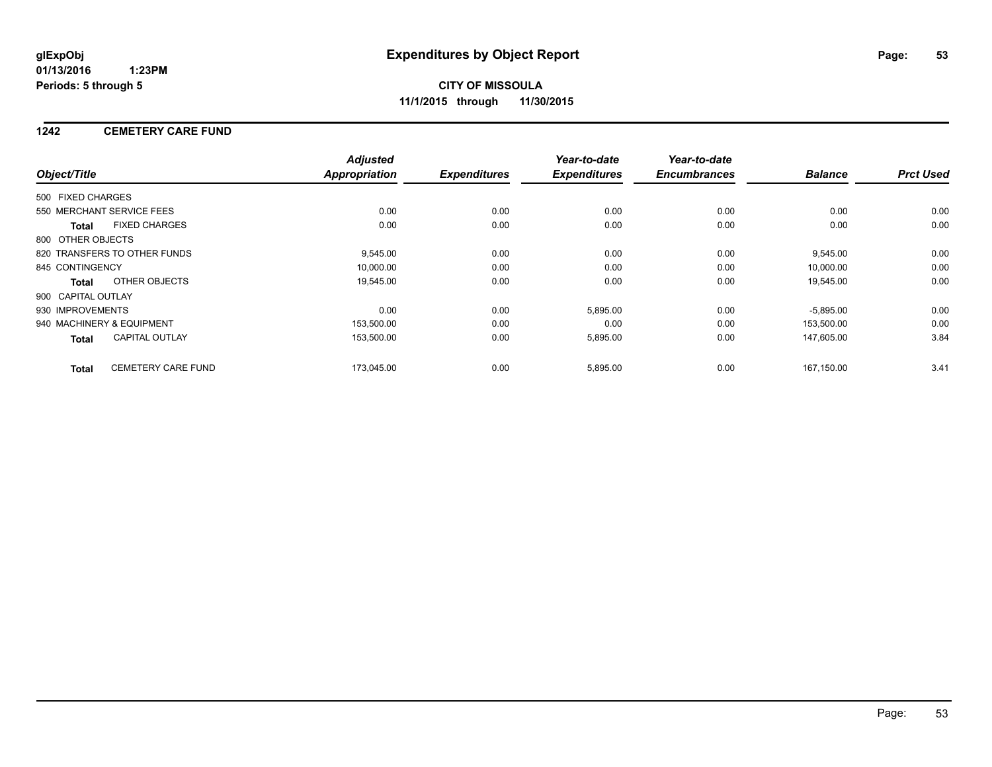### **1242 CEMETERY CARE FUND**

|                    |                              | <b>Adjusted</b>      |                     | Year-to-date        | Year-to-date        |                |                  |
|--------------------|------------------------------|----------------------|---------------------|---------------------|---------------------|----------------|------------------|
| Object/Title       |                              | <b>Appropriation</b> | <b>Expenditures</b> | <b>Expenditures</b> | <b>Encumbrances</b> | <b>Balance</b> | <b>Prct Used</b> |
| 500 FIXED CHARGES  |                              |                      |                     |                     |                     |                |                  |
|                    | 550 MERCHANT SERVICE FEES    | 0.00                 | 0.00                | 0.00                | 0.00                | 0.00           | 0.00             |
| <b>Total</b>       | <b>FIXED CHARGES</b>         | 0.00                 | 0.00                | 0.00                | 0.00                | 0.00           | 0.00             |
| 800 OTHER OBJECTS  |                              |                      |                     |                     |                     |                |                  |
|                    | 820 TRANSFERS TO OTHER FUNDS | 9,545.00             | 0.00                | 0.00                | 0.00                | 9,545.00       | 0.00             |
| 845 CONTINGENCY    |                              | 10,000.00            | 0.00                | 0.00                | 0.00                | 10,000.00      | 0.00             |
| Total              | OTHER OBJECTS                | 19,545.00            | 0.00                | 0.00                | 0.00                | 19,545.00      | 0.00             |
| 900 CAPITAL OUTLAY |                              |                      |                     |                     |                     |                |                  |
| 930 IMPROVEMENTS   |                              | 0.00                 | 0.00                | 5,895.00            | 0.00                | $-5,895.00$    | 0.00             |
|                    | 940 MACHINERY & EQUIPMENT    | 153,500.00           | 0.00                | 0.00                | 0.00                | 153,500.00     | 0.00             |
| Total              | <b>CAPITAL OUTLAY</b>        | 153,500.00           | 0.00                | 5,895.00            | 0.00                | 147,605.00     | 3.84             |
| <b>Total</b>       | <b>CEMETERY CARE FUND</b>    | 173,045.00           | 0.00                | 5,895.00            | 0.00                | 167.150.00     | 3.41             |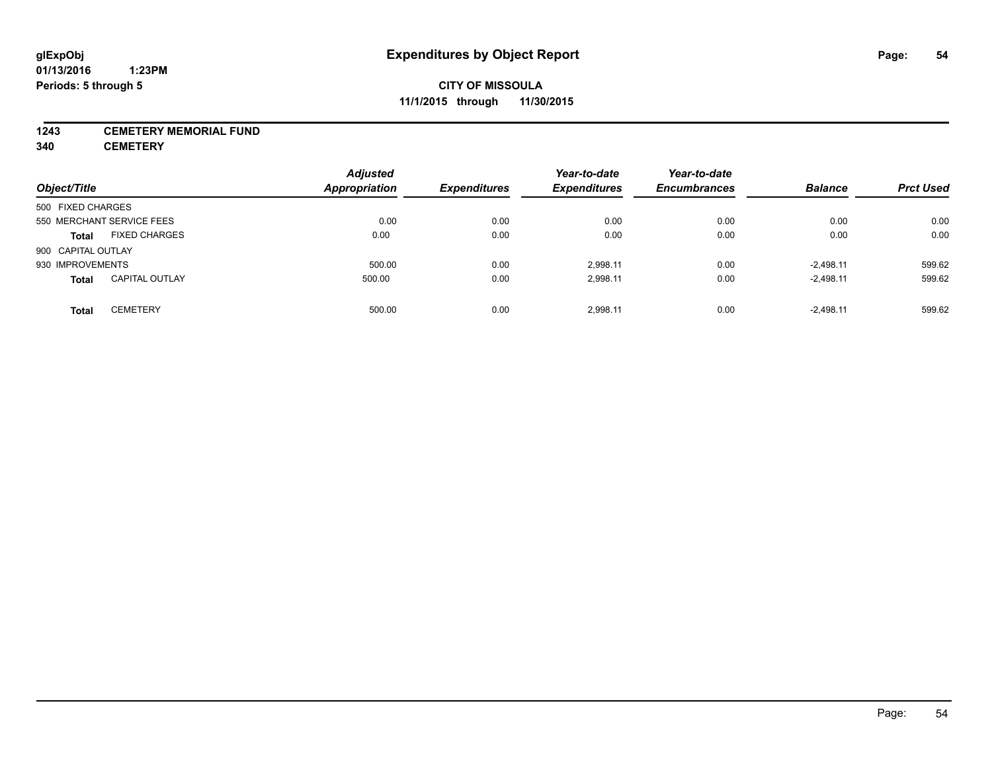### **1243 CEMETERY MEMORIAL FUND**

**340 CEMETERY**

| Object/Title       |                           | <b>Adjusted</b><br>Appropriation | <b>Expenditures</b> | Year-to-date<br><b>Expenditures</b> | Year-to-date<br><b>Encumbrances</b> | <b>Balance</b> | <b>Prct Used</b> |
|--------------------|---------------------------|----------------------------------|---------------------|-------------------------------------|-------------------------------------|----------------|------------------|
|                    |                           |                                  |                     |                                     |                                     |                |                  |
| 500 FIXED CHARGES  |                           |                                  |                     |                                     |                                     |                |                  |
|                    | 550 MERCHANT SERVICE FEES | 0.00                             | 0.00                | 0.00                                | 0.00                                | 0.00           | 0.00             |
| <b>Total</b>       | <b>FIXED CHARGES</b>      | 0.00                             | 0.00                | 0.00                                | 0.00                                | 0.00           | 0.00             |
| 900 CAPITAL OUTLAY |                           |                                  |                     |                                     |                                     |                |                  |
| 930 IMPROVEMENTS   |                           | 500.00                           | 0.00                | 2.998.11                            | 0.00                                | $-2.498.11$    | 599.62           |
| <b>Total</b>       | <b>CAPITAL OUTLAY</b>     | 500.00                           | 0.00                | 2,998.11                            | 0.00                                | $-2,498.11$    | 599.62           |
| <b>Total</b>       | <b>CEMETERY</b>           | 500.00                           | 0.00                | 2.998.11                            | 0.00                                | $-2.498.11$    | 599.62           |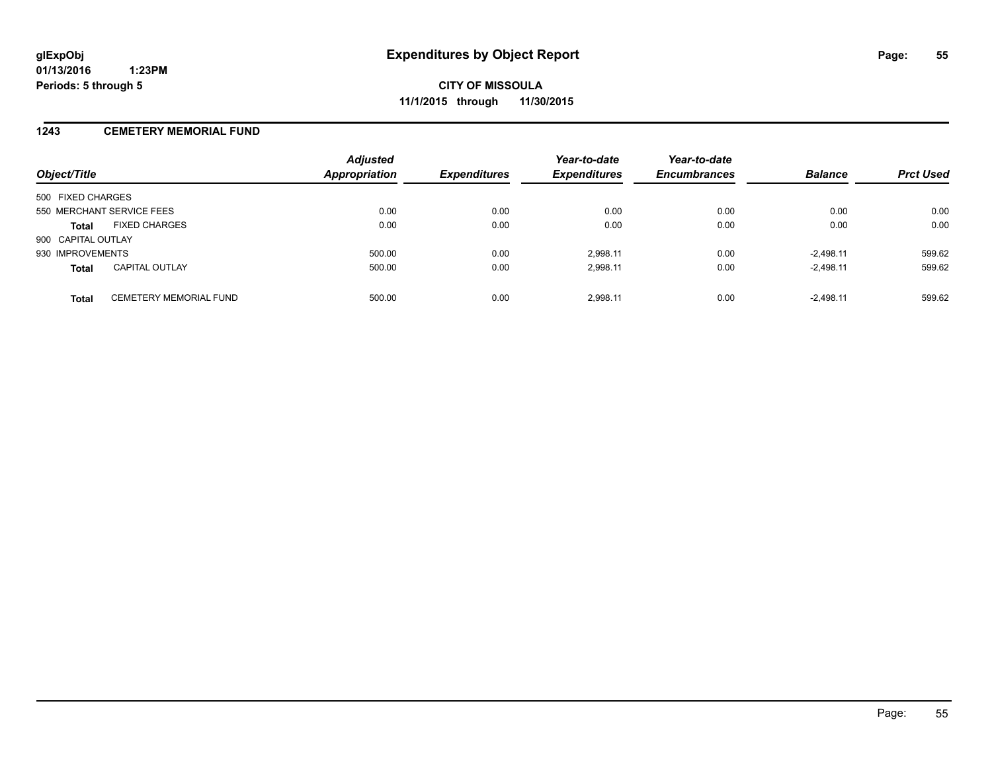### **1243 CEMETERY MEMORIAL FUND**

| Object/Title              |                               | <b>Adjusted</b><br><b>Appropriation</b> | <b>Expenditures</b> | Year-to-date<br><b>Expenditures</b> | Year-to-date<br><b>Encumbrances</b> | <b>Balance</b> | <b>Prct Used</b> |
|---------------------------|-------------------------------|-----------------------------------------|---------------------|-------------------------------------|-------------------------------------|----------------|------------------|
| 500 FIXED CHARGES         |                               |                                         |                     |                                     |                                     |                |                  |
| 550 MERCHANT SERVICE FEES |                               | 0.00                                    | 0.00                | 0.00                                | 0.00                                | 0.00           | 0.00             |
| <b>Total</b>              | <b>FIXED CHARGES</b>          | 0.00                                    | 0.00                | 0.00                                | 0.00                                | 0.00           | 0.00             |
| 900 CAPITAL OUTLAY        |                               |                                         |                     |                                     |                                     |                |                  |
| 930 IMPROVEMENTS          |                               | 500.00                                  | 0.00                | 2.998.11                            | 0.00                                | $-2.498.11$    | 599.62           |
| <b>Total</b>              | <b>CAPITAL OUTLAY</b>         | 500.00                                  | 0.00                | 2,998.11                            | 0.00                                | $-2,498.11$    | 599.62           |
| <b>Total</b>              | <b>CEMETERY MEMORIAL FUND</b> | 500.00                                  | 0.00                | 2.998.11                            | 0.00                                | $-2.498.11$    | 599.62           |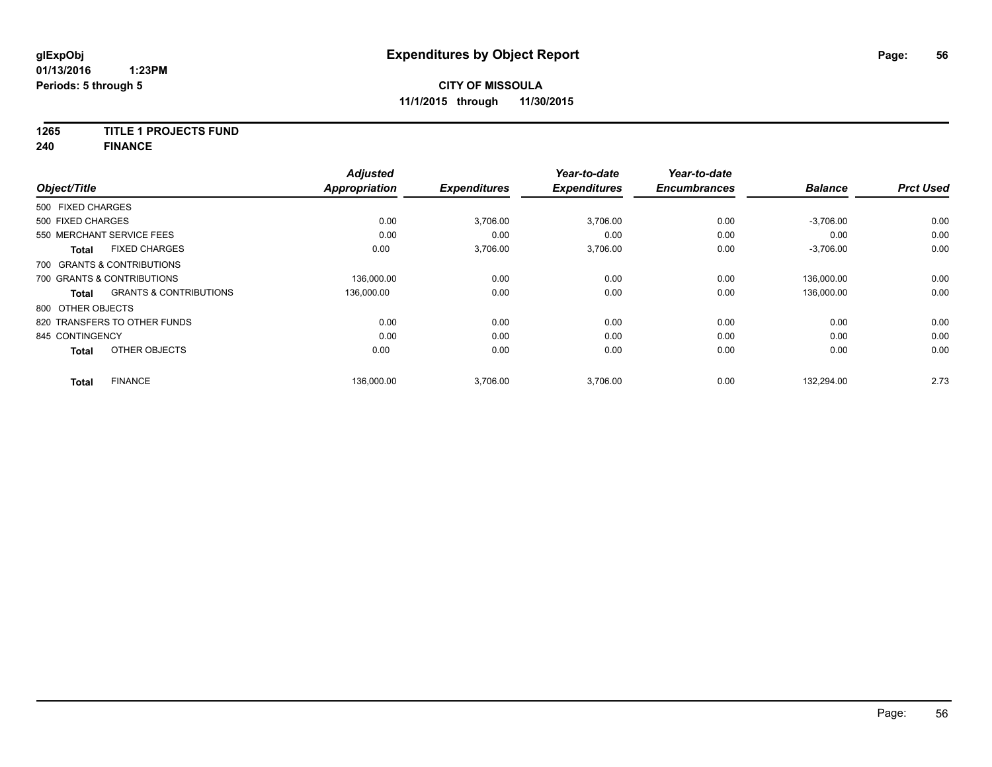### **1265 TITLE 1 PROJECTS FUND**

**240 FINANCE**

|                                      |                                   | <b>Adjusted</b>      |                     | Year-to-date        | Year-to-date        |                |                  |
|--------------------------------------|-----------------------------------|----------------------|---------------------|---------------------|---------------------|----------------|------------------|
| Object/Title                         |                                   | <b>Appropriation</b> | <b>Expenditures</b> | <b>Expenditures</b> | <b>Encumbrances</b> | <b>Balance</b> | <b>Prct Used</b> |
| 500 FIXED CHARGES                    |                                   |                      |                     |                     |                     |                |                  |
| 500 FIXED CHARGES                    |                                   | 0.00                 | 3,706.00            | 3,706.00            | 0.00                | $-3,706.00$    | 0.00             |
| 550 MERCHANT SERVICE FEES            |                                   | 0.00                 | 0.00                | 0.00                | 0.00                | 0.00           | 0.00             |
| <b>FIXED CHARGES</b><br><b>Total</b> |                                   | 0.00                 | 3,706.00            | 3,706.00            | 0.00                | $-3,706.00$    | 0.00             |
| 700 GRANTS & CONTRIBUTIONS           |                                   |                      |                     |                     |                     |                |                  |
| 700 GRANTS & CONTRIBUTIONS           |                                   | 136.000.00           | 0.00                | 0.00                | 0.00                | 136,000.00     | 0.00             |
| <b>Total</b>                         | <b>GRANTS &amp; CONTRIBUTIONS</b> | 136,000.00           | 0.00                | 0.00                | 0.00                | 136,000.00     | 0.00             |
| 800 OTHER OBJECTS                    |                                   |                      |                     |                     |                     |                |                  |
| 820 TRANSFERS TO OTHER FUNDS         |                                   | 0.00                 | 0.00                | 0.00                | 0.00                | 0.00           | 0.00             |
| 845 CONTINGENCY                      |                                   | 0.00                 | 0.00                | 0.00                | 0.00                | 0.00           | 0.00             |
| OTHER OBJECTS<br><b>Total</b>        |                                   | 0.00                 | 0.00                | 0.00                | 0.00                | 0.00           | 0.00             |
| <b>FINANCE</b><br><b>Total</b>       |                                   | 136.000.00           | 3,706.00            | 3.706.00            | 0.00                | 132.294.00     | 2.73             |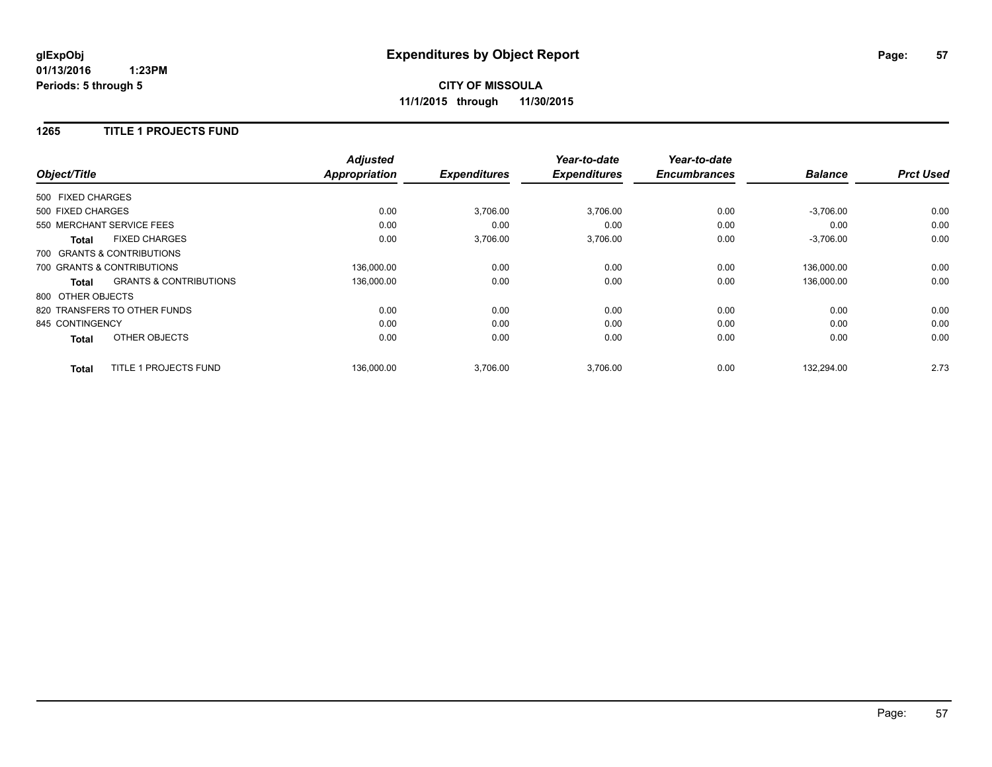## **CITY OF MISSOULA 11/1/2015 through 11/30/2015**

### **1265 TITLE 1 PROJECTS FUND**

|                              |                                   | <b>Adjusted</b>      |                     | Year-to-date        | Year-to-date        |                |                  |
|------------------------------|-----------------------------------|----------------------|---------------------|---------------------|---------------------|----------------|------------------|
| Object/Title                 |                                   | <b>Appropriation</b> | <b>Expenditures</b> | <b>Expenditures</b> | <b>Encumbrances</b> | <b>Balance</b> | <b>Prct Used</b> |
| 500 FIXED CHARGES            |                                   |                      |                     |                     |                     |                |                  |
| 500 FIXED CHARGES            |                                   | 0.00                 | 3,706.00            | 3,706.00            | 0.00                | $-3,706.00$    | 0.00             |
| 550 MERCHANT SERVICE FEES    |                                   | 0.00                 | 0.00                | 0.00                | 0.00                | 0.00           | 0.00             |
| <b>Total</b>                 | <b>FIXED CHARGES</b>              | 0.00                 | 3,706.00            | 3,706.00            | 0.00                | $-3,706.00$    | 0.00             |
| 700 GRANTS & CONTRIBUTIONS   |                                   |                      |                     |                     |                     |                |                  |
| 700 GRANTS & CONTRIBUTIONS   |                                   | 136,000.00           | 0.00                | 0.00                | 0.00                | 136.000.00     | 0.00             |
| Total                        | <b>GRANTS &amp; CONTRIBUTIONS</b> | 136,000.00           | 0.00                | 0.00                | 0.00                | 136,000.00     | 0.00             |
| 800 OTHER OBJECTS            |                                   |                      |                     |                     |                     |                |                  |
| 820 TRANSFERS TO OTHER FUNDS |                                   | 0.00                 | 0.00                | 0.00                | 0.00                | 0.00           | 0.00             |
| 845 CONTINGENCY              |                                   | 0.00                 | 0.00                | 0.00                | 0.00                | 0.00           | 0.00             |
| <b>Total</b>                 | OTHER OBJECTS                     | 0.00                 | 0.00                | 0.00                | 0.00                | 0.00           | 0.00             |
| <b>Total</b>                 | TITLE 1 PROJECTS FUND             | 136,000.00           | 3,706.00            | 3,706.00            | 0.00                | 132.294.00     | 2.73             |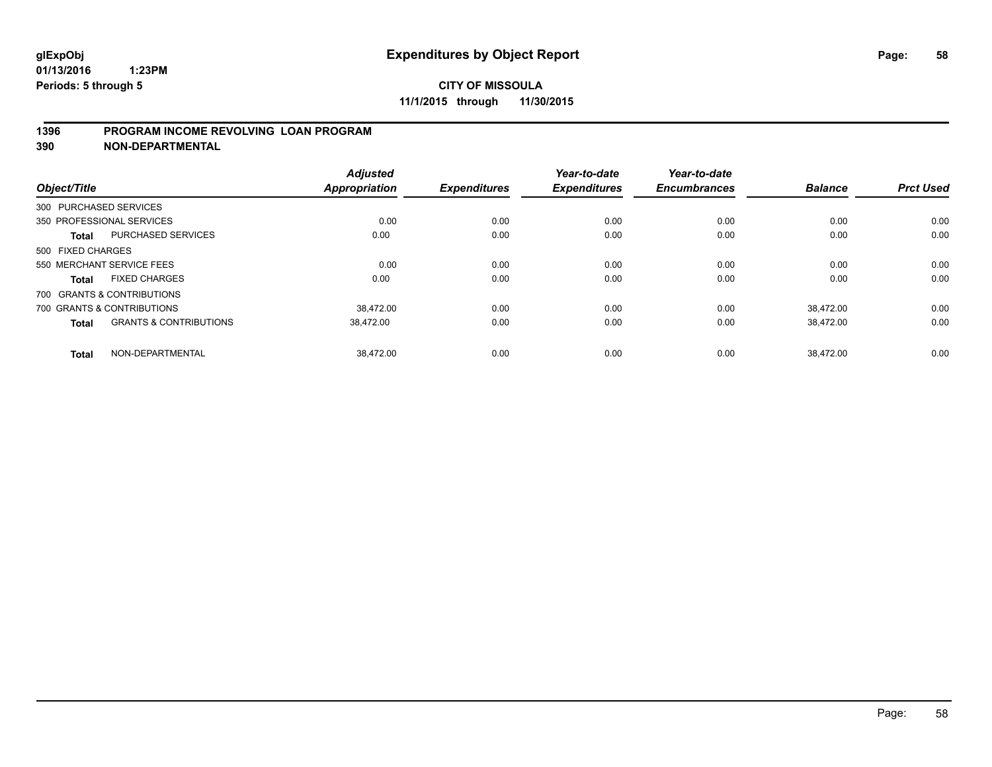### **1396 PROGRAM INCOME REVOLVING LOAN PROGRAM**

**390 NON-DEPARTMENTAL**

| Object/Title      |                                   | <b>Adjusted</b><br><b>Appropriation</b> | <b>Expenditures</b> | Year-to-date<br><b>Expenditures</b> | Year-to-date<br><b>Encumbrances</b> | <b>Balance</b> | <b>Prct Used</b> |
|-------------------|-----------------------------------|-----------------------------------------|---------------------|-------------------------------------|-------------------------------------|----------------|------------------|
|                   |                                   |                                         |                     |                                     |                                     |                |                  |
|                   | 300 PURCHASED SERVICES            |                                         |                     |                                     |                                     |                |                  |
|                   | 350 PROFESSIONAL SERVICES         | 0.00                                    | 0.00                | 0.00                                | 0.00                                | 0.00           | 0.00             |
| <b>Total</b>      | <b>PURCHASED SERVICES</b>         | 0.00                                    | 0.00                | 0.00                                | 0.00                                | 0.00           | 0.00             |
| 500 FIXED CHARGES |                                   |                                         |                     |                                     |                                     |                |                  |
|                   | 550 MERCHANT SERVICE FEES         | 0.00                                    | 0.00                | 0.00                                | 0.00                                | 0.00           | 0.00             |
| <b>Total</b>      | <b>FIXED CHARGES</b>              | 0.00                                    | 0.00                | 0.00                                | 0.00                                | 0.00           | 0.00             |
|                   | 700 GRANTS & CONTRIBUTIONS        |                                         |                     |                                     |                                     |                |                  |
|                   | 700 GRANTS & CONTRIBUTIONS        | 38.472.00                               | 0.00                | 0.00                                | 0.00                                | 38.472.00      | 0.00             |
| <b>Total</b>      | <b>GRANTS &amp; CONTRIBUTIONS</b> | 38,472.00                               | 0.00                | 0.00                                | 0.00                                | 38,472.00      | 0.00             |
| <b>Total</b>      | NON-DEPARTMENTAL                  | 38.472.00                               | 0.00                | 0.00                                | 0.00                                | 38.472.00      | 0.00             |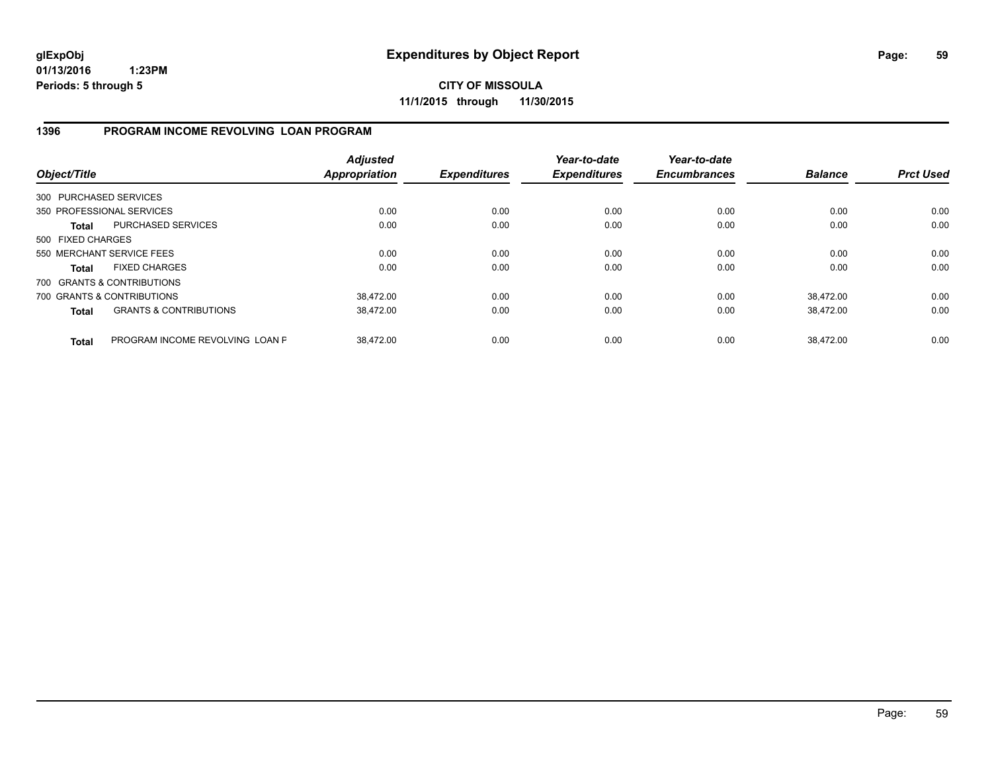**CITY OF MISSOULA 11/1/2015 through 11/30/2015**

### **1396 PROGRAM INCOME REVOLVING LOAN PROGRAM**

| Object/Title           |                                   | <b>Adjusted</b><br><b>Appropriation</b> | <b>Expenditures</b> | Year-to-date<br><b>Expenditures</b> | Year-to-date<br><b>Encumbrances</b> | <b>Balance</b> | <b>Prct Used</b> |
|------------------------|-----------------------------------|-----------------------------------------|---------------------|-------------------------------------|-------------------------------------|----------------|------------------|
| 300 PURCHASED SERVICES |                                   |                                         |                     |                                     |                                     |                |                  |
|                        | 350 PROFESSIONAL SERVICES         | 0.00                                    | 0.00                | 0.00                                | 0.00                                | 0.00           | 0.00             |
| <b>Total</b>           | PURCHASED SERVICES                | 0.00                                    | 0.00                | 0.00                                | 0.00                                | 0.00           | 0.00             |
| 500 FIXED CHARGES      |                                   |                                         |                     |                                     |                                     |                |                  |
|                        | 550 MERCHANT SERVICE FEES         | 0.00                                    | 0.00                | 0.00                                | 0.00                                | 0.00           | 0.00             |
| <b>Total</b>           | <b>FIXED CHARGES</b>              | 0.00                                    | 0.00                | 0.00                                | 0.00                                | 0.00           | 0.00             |
|                        | 700 GRANTS & CONTRIBUTIONS        |                                         |                     |                                     |                                     |                |                  |
|                        | 700 GRANTS & CONTRIBUTIONS        | 38.472.00                               | 0.00                | 0.00                                | 0.00                                | 38.472.00      | 0.00             |
| <b>Total</b>           | <b>GRANTS &amp; CONTRIBUTIONS</b> | 38.472.00                               | 0.00                | 0.00                                | 0.00                                | 38.472.00      | 0.00             |
| <b>Total</b>           | PROGRAM INCOME REVOLVING LOAN P   | 38.472.00                               | 0.00                | 0.00                                | 0.00                                | 38.472.00      | 0.00             |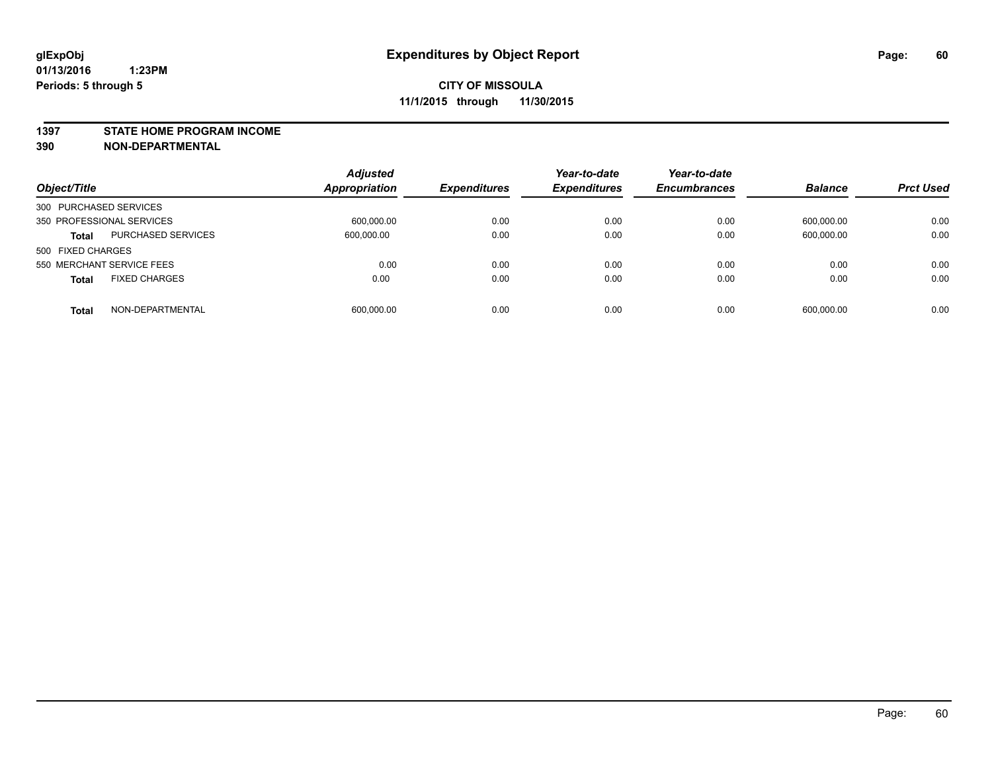#### **1397 STATE HOME PROGRAM INCOME**

**390 NON-DEPARTMENTAL**

|                                           | <b>Adjusted</b> |                     | Year-to-date        | Year-to-date        |                |                  |
|-------------------------------------------|-----------------|---------------------|---------------------|---------------------|----------------|------------------|
| Object/Title                              | Appropriation   | <b>Expenditures</b> | <b>Expenditures</b> | <b>Encumbrances</b> | <b>Balance</b> | <b>Prct Used</b> |
| 300 PURCHASED SERVICES                    |                 |                     |                     |                     |                |                  |
| 350 PROFESSIONAL SERVICES                 | 600.000.00      | 0.00                | 0.00                | 0.00                | 600.000.00     | 0.00             |
| <b>PURCHASED SERVICES</b><br><b>Total</b> | 600,000.00      | 0.00                | 0.00                | 0.00                | 600.000.00     | 0.00             |
| 500 FIXED CHARGES                         |                 |                     |                     |                     |                |                  |
| 550 MERCHANT SERVICE FEES                 | 0.00            | 0.00                | 0.00                | 0.00                | 0.00           | 0.00             |
| <b>FIXED CHARGES</b><br><b>Total</b>      | 0.00            | 0.00                | 0.00                | 0.00                | 0.00           | 0.00             |
| NON-DEPARTMENTAL<br><b>Total</b>          | 600,000.00      | 0.00                | 0.00                | 0.00                | 600,000.00     | 0.00             |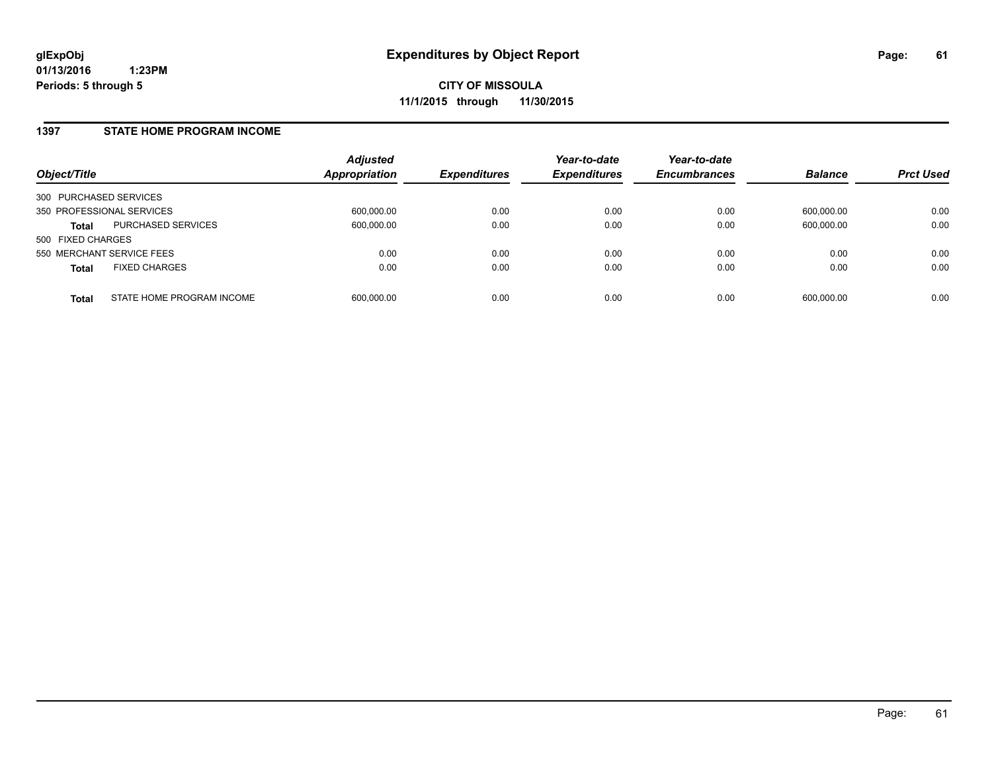### **1397 STATE HOME PROGRAM INCOME**

| Object/Title                              | <b>Adjusted</b><br><b>Appropriation</b> | <b>Expenditures</b> | Year-to-date<br><b>Expenditures</b> | Year-to-date<br><b>Encumbrances</b> | <b>Balance</b> | <b>Prct Used</b> |
|-------------------------------------------|-----------------------------------------|---------------------|-------------------------------------|-------------------------------------|----------------|------------------|
| 300 PURCHASED SERVICES                    |                                         |                     |                                     |                                     |                |                  |
| 350 PROFESSIONAL SERVICES                 | 600,000.00                              | 0.00                | 0.00                                | 0.00                                | 600.000.00     | 0.00             |
| PURCHASED SERVICES<br><b>Total</b>        | 600.000.00                              | 0.00                | 0.00                                | 0.00                                | 600.000.00     | 0.00             |
| 500 FIXED CHARGES                         |                                         |                     |                                     |                                     |                |                  |
| 550 MERCHANT SERVICE FEES                 | 0.00                                    | 0.00                | 0.00                                | 0.00                                | 0.00           | 0.00             |
| <b>FIXED CHARGES</b><br><b>Total</b>      | 0.00                                    | 0.00                | 0.00                                | 0.00                                | 0.00           | 0.00             |
| STATE HOME PROGRAM INCOME<br><b>Total</b> | 600.000.00                              | 0.00                | 0.00                                | 0.00                                | 600.000.00     | 0.00             |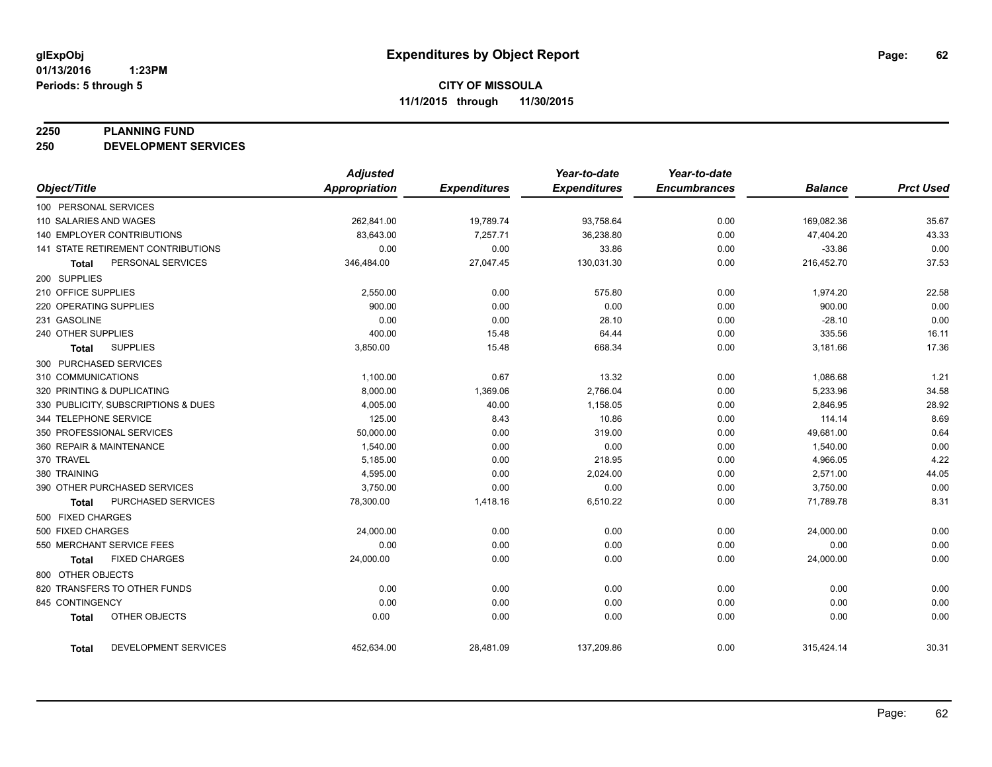#### **2250 PLANNING FUND**

**250 DEVELOPMENT SERVICES**

|                                           | <b>Adjusted</b>      |                     | Year-to-date        | Year-to-date        |                |                  |
|-------------------------------------------|----------------------|---------------------|---------------------|---------------------|----------------|------------------|
| Object/Title                              | <b>Appropriation</b> | <b>Expenditures</b> | <b>Expenditures</b> | <b>Encumbrances</b> | <b>Balance</b> | <b>Prct Used</b> |
| 100 PERSONAL SERVICES                     |                      |                     |                     |                     |                |                  |
| 110 SALARIES AND WAGES                    | 262,841.00           | 19,789.74           | 93,758.64           | 0.00                | 169,082.36     | 35.67            |
| <b>140 EMPLOYER CONTRIBUTIONS</b>         | 83,643.00            | 7,257.71            | 36,238.80           | 0.00                | 47,404.20      | 43.33            |
| <b>141 STATE RETIREMENT CONTRIBUTIONS</b> | 0.00                 | 0.00                | 33.86               | 0.00                | $-33.86$       | 0.00             |
| PERSONAL SERVICES<br><b>Total</b>         | 346,484.00           | 27,047.45           | 130,031.30          | 0.00                | 216,452.70     | 37.53            |
| 200 SUPPLIES                              |                      |                     |                     |                     |                |                  |
| 210 OFFICE SUPPLIES                       | 2,550.00             | 0.00                | 575.80              | 0.00                | 1,974.20       | 22.58            |
| 220 OPERATING SUPPLIES                    | 900.00               | 0.00                | 0.00                | 0.00                | 900.00         | 0.00             |
| 231 GASOLINE                              | 0.00                 | 0.00                | 28.10               | 0.00                | $-28.10$       | 0.00             |
| 240 OTHER SUPPLIES                        | 400.00               | 15.48               | 64.44               | 0.00                | 335.56         | 16.11            |
| <b>SUPPLIES</b><br>Total                  | 3,850.00             | 15.48               | 668.34              | 0.00                | 3,181.66       | 17.36            |
| 300 PURCHASED SERVICES                    |                      |                     |                     |                     |                |                  |
| 310 COMMUNICATIONS                        | 1,100.00             | 0.67                | 13.32               | 0.00                | 1,086.68       | 1.21             |
| 320 PRINTING & DUPLICATING                | 8,000.00             | 1,369.06            | 2,766.04            | 0.00                | 5,233.96       | 34.58            |
| 330 PUBLICITY, SUBSCRIPTIONS & DUES       | 4,005.00             | 40.00               | 1,158.05            | 0.00                | 2,846.95       | 28.92            |
| 344 TELEPHONE SERVICE                     | 125.00               | 8.43                | 10.86               | 0.00                | 114.14         | 8.69             |
| 350 PROFESSIONAL SERVICES                 | 50,000.00            | 0.00                | 319.00              | 0.00                | 49,681.00      | 0.64             |
| 360 REPAIR & MAINTENANCE                  | 1,540.00             | 0.00                | 0.00                | 0.00                | 1,540.00       | 0.00             |
| 370 TRAVEL                                | 5,185.00             | 0.00                | 218.95              | 0.00                | 4,966.05       | 4.22             |
| 380 TRAINING                              | 4,595.00             | 0.00                | 2,024.00            | 0.00                | 2,571.00       | 44.05            |
| 390 OTHER PURCHASED SERVICES              | 3,750.00             | 0.00                | 0.00                | 0.00                | 3,750.00       | 0.00             |
| <b>PURCHASED SERVICES</b><br><b>Total</b> | 78,300.00            | 1,418.16            | 6,510.22            | 0.00                | 71,789.78      | 8.31             |
| 500 FIXED CHARGES                         |                      |                     |                     |                     |                |                  |
| 500 FIXED CHARGES                         | 24,000.00            | 0.00                | 0.00                | 0.00                | 24,000.00      | 0.00             |
| 550 MERCHANT SERVICE FEES                 | 0.00                 | 0.00                | 0.00                | 0.00                | 0.00           | 0.00             |
| <b>FIXED CHARGES</b><br><b>Total</b>      | 24,000.00            | 0.00                | 0.00                | 0.00                | 24,000.00      | 0.00             |
| 800 OTHER OBJECTS                         |                      |                     |                     |                     |                |                  |
| 820 TRANSFERS TO OTHER FUNDS              | 0.00                 | 0.00                | 0.00                | 0.00                | 0.00           | 0.00             |
| 845 CONTINGENCY                           | 0.00                 | 0.00                | 0.00                | 0.00                | 0.00           | 0.00             |
| OTHER OBJECTS<br><b>Total</b>             | 0.00                 | 0.00                | 0.00                | 0.00                | 0.00           | 0.00             |
| DEVELOPMENT SERVICES<br><b>Total</b>      | 452,634.00           | 28,481.09           | 137,209.86          | 0.00                | 315,424.14     | 30.31            |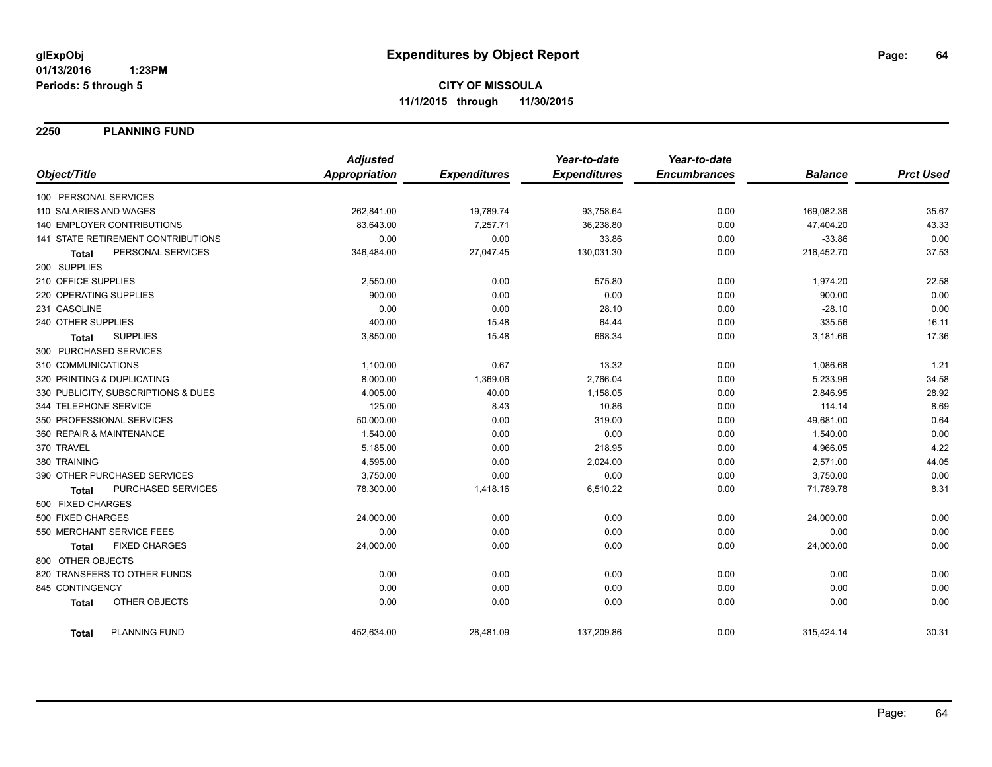**2250 PLANNING FUND**

|                                      | <b>Adjusted</b>      |                     | Year-to-date        | Year-to-date        |                |                  |
|--------------------------------------|----------------------|---------------------|---------------------|---------------------|----------------|------------------|
| Object/Title                         | <b>Appropriation</b> | <b>Expenditures</b> | <b>Expenditures</b> | <b>Encumbrances</b> | <b>Balance</b> | <b>Prct Used</b> |
| 100 PERSONAL SERVICES                |                      |                     |                     |                     |                |                  |
| 110 SALARIES AND WAGES               | 262,841.00           | 19,789.74           | 93,758.64           | 0.00                | 169,082.36     | 35.67            |
| 140 EMPLOYER CONTRIBUTIONS           | 83,643.00            | 7,257.71            | 36,238.80           | 0.00                | 47,404.20      | 43.33            |
| 141 STATE RETIREMENT CONTRIBUTIONS   | 0.00                 | 0.00                | 33.86               | 0.00                | $-33.86$       | 0.00             |
| PERSONAL SERVICES<br><b>Total</b>    | 346,484.00           | 27,047.45           | 130,031.30          | 0.00                | 216,452.70     | 37.53            |
| 200 SUPPLIES                         |                      |                     |                     |                     |                |                  |
| 210 OFFICE SUPPLIES                  | 2,550.00             | 0.00                | 575.80              | 0.00                | 1,974.20       | 22.58            |
| 220 OPERATING SUPPLIES               | 900.00               | 0.00                | 0.00                | 0.00                | 900.00         | 0.00             |
| 231 GASOLINE                         | 0.00                 | 0.00                | 28.10               | 0.00                | $-28.10$       | 0.00             |
| 240 OTHER SUPPLIES                   | 400.00               | 15.48               | 64.44               | 0.00                | 335.56         | 16.11            |
| <b>SUPPLIES</b><br><b>Total</b>      | 3,850.00             | 15.48               | 668.34              | 0.00                | 3,181.66       | 17.36            |
| 300 PURCHASED SERVICES               |                      |                     |                     |                     |                |                  |
| 310 COMMUNICATIONS                   | 1,100.00             | 0.67                | 13.32               | 0.00                | 1,086.68       | 1.21             |
| 320 PRINTING & DUPLICATING           | 8,000.00             | 1,369.06            | 2,766.04            | 0.00                | 5,233.96       | 34.58            |
| 330 PUBLICITY, SUBSCRIPTIONS & DUES  | 4,005.00             | 40.00               | 1,158.05            | 0.00                | 2,846.95       | 28.92            |
| 344 TELEPHONE SERVICE                | 125.00               | 8.43                | 10.86               | 0.00                | 114.14         | 8.69             |
| 350 PROFESSIONAL SERVICES            | 50,000.00            | 0.00                | 319.00              | 0.00                | 49,681.00      | 0.64             |
| 360 REPAIR & MAINTENANCE             | 1,540.00             | 0.00                | 0.00                | 0.00                | 1,540.00       | 0.00             |
| 370 TRAVEL                           | 5,185.00             | 0.00                | 218.95              | 0.00                | 4,966.05       | 4.22             |
| 380 TRAINING                         | 4,595.00             | 0.00                | 2,024.00            | 0.00                | 2,571.00       | 44.05            |
| 390 OTHER PURCHASED SERVICES         | 3,750.00             | 0.00                | 0.00                | 0.00                | 3,750.00       | 0.00             |
| PURCHASED SERVICES<br><b>Total</b>   | 78,300.00            | 1,418.16            | 6,510.22            | 0.00                | 71,789.78      | 8.31             |
| 500 FIXED CHARGES                    |                      |                     |                     |                     |                |                  |
| 500 FIXED CHARGES                    | 24,000.00            | 0.00                | 0.00                | 0.00                | 24,000.00      | 0.00             |
| 550 MERCHANT SERVICE FEES            | 0.00                 | 0.00                | 0.00                | 0.00                | 0.00           | 0.00             |
| <b>FIXED CHARGES</b><br><b>Total</b> | 24,000.00            | 0.00                | 0.00                | 0.00                | 24,000.00      | 0.00             |
| 800 OTHER OBJECTS                    |                      |                     |                     |                     |                |                  |
| 820 TRANSFERS TO OTHER FUNDS         | 0.00                 | 0.00                | 0.00                | 0.00                | 0.00           | 0.00             |
| 845 CONTINGENCY                      | 0.00                 | 0.00                | 0.00                | 0.00                | 0.00           | 0.00             |
| OTHER OBJECTS<br><b>Total</b>        | 0.00                 | 0.00                | 0.00                | 0.00                | 0.00           | 0.00             |
| <b>PLANNING FUND</b><br><b>Total</b> | 452,634.00           | 28,481.09           | 137,209.86          | 0.00                | 315,424.14     | 30.31            |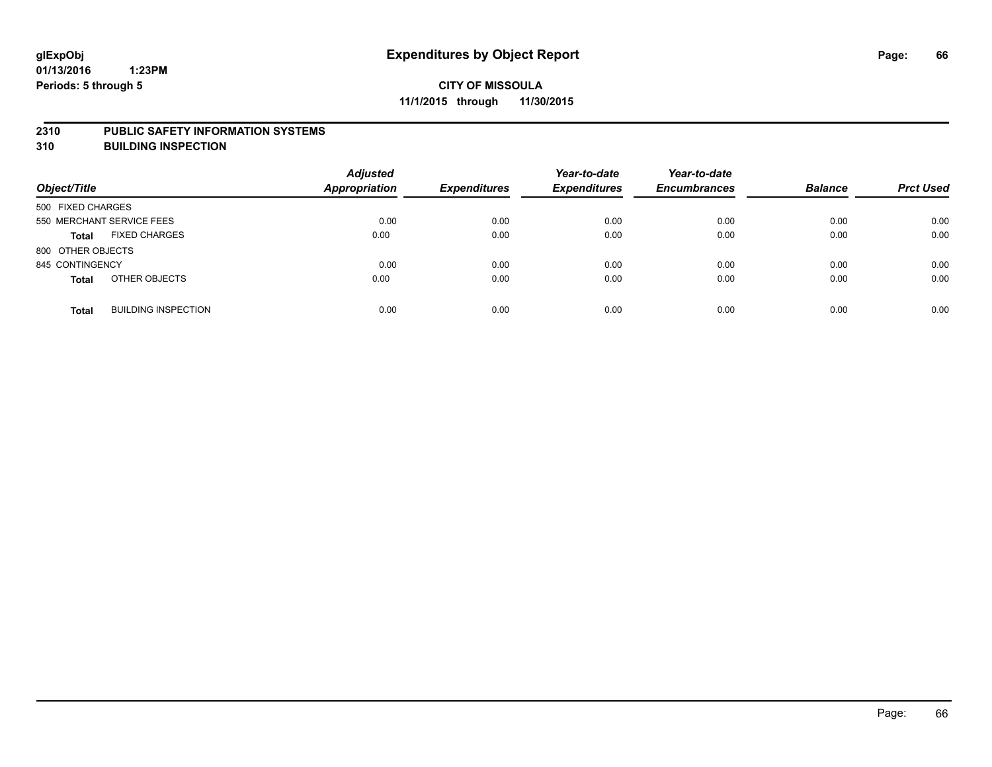#### **2310 PUBLIC SAFETY INFORMATION SYSTEMS**

**310 BUILDING INSPECTION**

| Object/Title              |                            | <b>Adjusted</b><br>Appropriation | <b>Expenditures</b> | Year-to-date<br><b>Expenditures</b> | Year-to-date<br><b>Encumbrances</b> | <b>Balance</b> | <b>Prct Used</b> |
|---------------------------|----------------------------|----------------------------------|---------------------|-------------------------------------|-------------------------------------|----------------|------------------|
| 500 FIXED CHARGES         |                            |                                  |                     |                                     |                                     |                |                  |
| 550 MERCHANT SERVICE FEES |                            | 0.00                             | 0.00                | 0.00                                | 0.00                                | 0.00           | 0.00             |
| <b>Total</b>              | <b>FIXED CHARGES</b>       | 0.00                             | 0.00                | 0.00                                | 0.00                                | 0.00           | 0.00             |
| 800 OTHER OBJECTS         |                            |                                  |                     |                                     |                                     |                |                  |
| 845 CONTINGENCY           |                            | 0.00                             | 0.00                | 0.00                                | 0.00                                | 0.00           | 0.00             |
| <b>Total</b>              | OTHER OBJECTS              | 0.00                             | 0.00                | 0.00                                | 0.00                                | 0.00           | 0.00             |
| <b>Total</b>              | <b>BUILDING INSPECTION</b> | 0.00                             | 0.00                | 0.00                                | 0.00                                | 0.00           | 0.00             |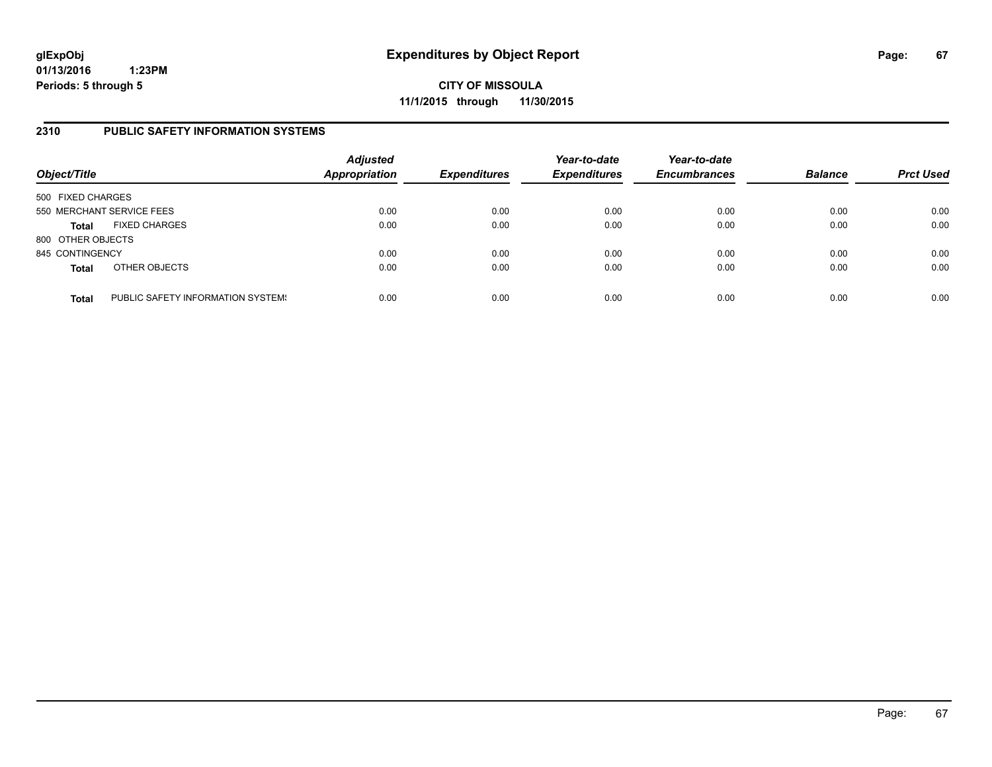**CITY OF MISSOULA 11/1/2015 through 11/30/2015**

### **2310 PUBLIC SAFETY INFORMATION SYSTEMS**

| Object/Title      |                                   | <b>Adjusted</b><br><b>Appropriation</b> | <b>Expenditures</b> | Year-to-date<br><b>Expenditures</b> | Year-to-date<br><b>Encumbrances</b> | <b>Balance</b> | <b>Prct Used</b> |
|-------------------|-----------------------------------|-----------------------------------------|---------------------|-------------------------------------|-------------------------------------|----------------|------------------|
| 500 FIXED CHARGES |                                   |                                         |                     |                                     |                                     |                |                  |
|                   | 550 MERCHANT SERVICE FEES         | 0.00                                    | 0.00                | 0.00                                | 0.00                                | 0.00           | 0.00             |
| <b>Total</b>      | <b>FIXED CHARGES</b>              | 0.00                                    | 0.00                | 0.00                                | 0.00                                | 0.00           | 0.00             |
| 800 OTHER OBJECTS |                                   |                                         |                     |                                     |                                     |                |                  |
| 845 CONTINGENCY   |                                   | 0.00                                    | 0.00                | 0.00                                | 0.00                                | 0.00           | 0.00             |
| <b>Total</b>      | OTHER OBJECTS                     | 0.00                                    | 0.00                | 0.00                                | 0.00                                | 0.00           | 0.00             |
| <b>Total</b>      | PUBLIC SAFETY INFORMATION SYSTEM! | 0.00                                    | 0.00                | 0.00                                | 0.00                                | 0.00           | 0.00             |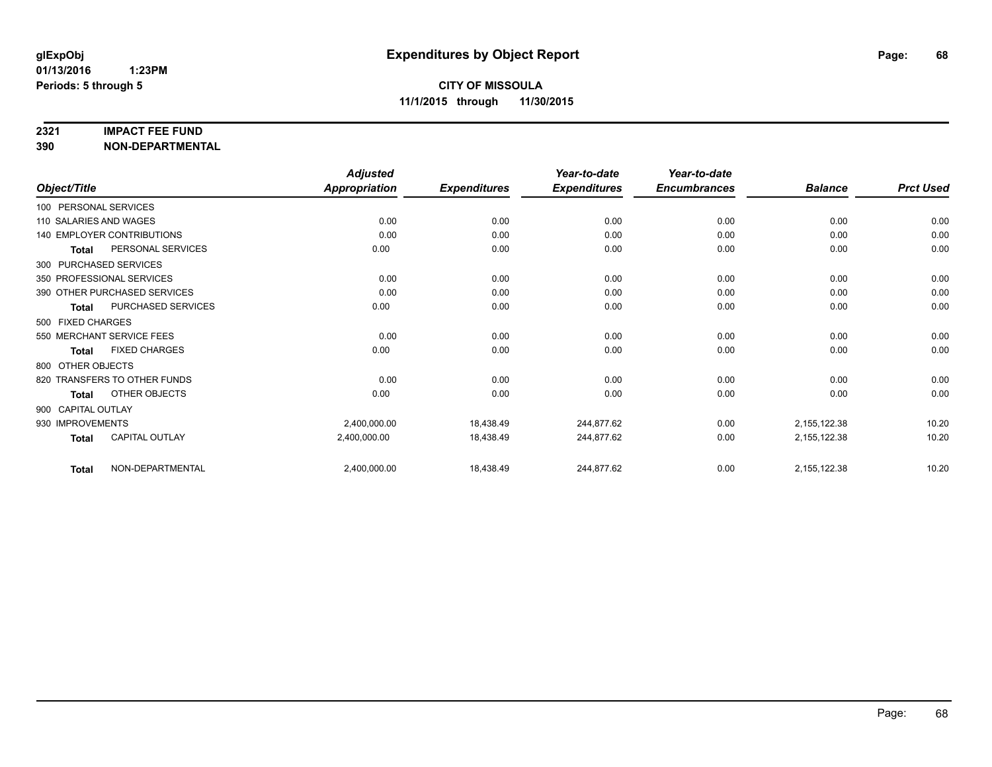#### **2321 IMPACT FEE FUND**

**390 NON-DEPARTMENTAL**

|                        |                                   | <b>Adjusted</b>      |                     | Year-to-date        | Year-to-date        |                |                  |
|------------------------|-----------------------------------|----------------------|---------------------|---------------------|---------------------|----------------|------------------|
| Object/Title           |                                   | <b>Appropriation</b> | <b>Expenditures</b> | <b>Expenditures</b> | <b>Encumbrances</b> | <b>Balance</b> | <b>Prct Used</b> |
| 100 PERSONAL SERVICES  |                                   |                      |                     |                     |                     |                |                  |
| 110 SALARIES AND WAGES |                                   | 0.00                 | 0.00                | 0.00                | 0.00                | 0.00           | 0.00             |
|                        | <b>140 EMPLOYER CONTRIBUTIONS</b> | 0.00                 | 0.00                | 0.00                | 0.00                | 0.00           | 0.00             |
| <b>Total</b>           | PERSONAL SERVICES                 | 0.00                 | 0.00                | 0.00                | 0.00                | 0.00           | 0.00             |
| 300 PURCHASED SERVICES |                                   |                      |                     |                     |                     |                |                  |
|                        | 350 PROFESSIONAL SERVICES         | 0.00                 | 0.00                | 0.00                | 0.00                | 0.00           | 0.00             |
|                        | 390 OTHER PURCHASED SERVICES      | 0.00                 | 0.00                | 0.00                | 0.00                | 0.00           | 0.00             |
| Total                  | PURCHASED SERVICES                | 0.00                 | 0.00                | 0.00                | 0.00                | 0.00           | 0.00             |
| 500 FIXED CHARGES      |                                   |                      |                     |                     |                     |                |                  |
|                        | 550 MERCHANT SERVICE FEES         | 0.00                 | 0.00                | 0.00                | 0.00                | 0.00           | 0.00             |
| <b>Total</b>           | <b>FIXED CHARGES</b>              | 0.00                 | 0.00                | 0.00                | 0.00                | 0.00           | 0.00             |
| 800 OTHER OBJECTS      |                                   |                      |                     |                     |                     |                |                  |
|                        | 820 TRANSFERS TO OTHER FUNDS      | 0.00                 | 0.00                | 0.00                | 0.00                | 0.00           | 0.00             |
| Total                  | OTHER OBJECTS                     | 0.00                 | 0.00                | 0.00                | 0.00                | 0.00           | 0.00             |
| 900 CAPITAL OUTLAY     |                                   |                      |                     |                     |                     |                |                  |
| 930 IMPROVEMENTS       |                                   | 2,400,000.00         | 18,438.49           | 244,877.62          | 0.00                | 2,155,122.38   | 10.20            |
| <b>Total</b>           | CAPITAL OUTLAY                    | 2,400,000.00         | 18,438.49           | 244,877.62          | 0.00                | 2,155,122.38   | 10.20            |
| <b>Total</b>           | NON-DEPARTMENTAL                  | 2,400,000.00         | 18,438.49           | 244,877.62          | 0.00                | 2,155,122.38   | 10.20            |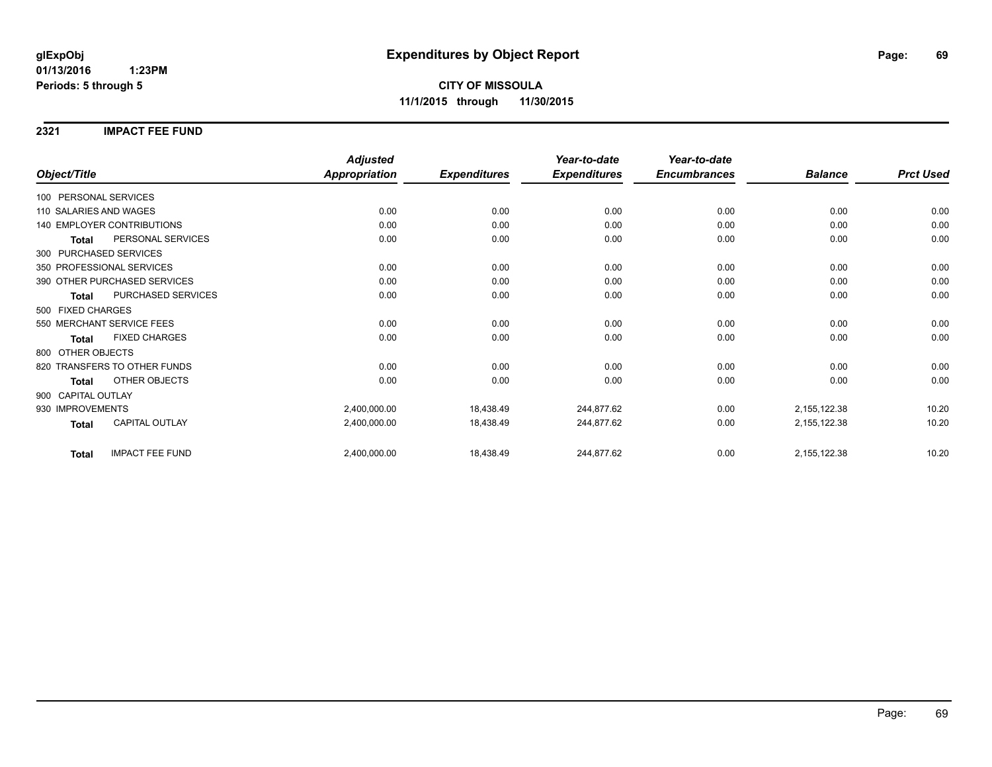**2321 IMPACT FEE FUND**

|                                        | <b>Adjusted</b>      |                     | Year-to-date        | Year-to-date        |                |                  |
|----------------------------------------|----------------------|---------------------|---------------------|---------------------|----------------|------------------|
| Object/Title                           | <b>Appropriation</b> | <b>Expenditures</b> | <b>Expenditures</b> | <b>Encumbrances</b> | <b>Balance</b> | <b>Prct Used</b> |
| 100 PERSONAL SERVICES                  |                      |                     |                     |                     |                |                  |
| 110 SALARIES AND WAGES                 | 0.00                 | 0.00                | 0.00                | 0.00                | 0.00           | 0.00             |
| 140 EMPLOYER CONTRIBUTIONS             | 0.00                 | 0.00                | 0.00                | 0.00                | 0.00           | 0.00             |
| PERSONAL SERVICES<br><b>Total</b>      | 0.00                 | 0.00                | 0.00                | 0.00                | 0.00           | 0.00             |
| 300 PURCHASED SERVICES                 |                      |                     |                     |                     |                |                  |
| 350 PROFESSIONAL SERVICES              | 0.00                 | 0.00                | 0.00                | 0.00                | 0.00           | 0.00             |
| 390 OTHER PURCHASED SERVICES           | 0.00                 | 0.00                | 0.00                | 0.00                | 0.00           | 0.00             |
| PURCHASED SERVICES<br><b>Total</b>     | 0.00                 | 0.00                | 0.00                | 0.00                | 0.00           | 0.00             |
| 500 FIXED CHARGES                      |                      |                     |                     |                     |                |                  |
| 550 MERCHANT SERVICE FEES              | 0.00                 | 0.00                | 0.00                | 0.00                | 0.00           | 0.00             |
| <b>FIXED CHARGES</b><br>Total          | 0.00                 | 0.00                | 0.00                | 0.00                | 0.00           | 0.00             |
| 800 OTHER OBJECTS                      |                      |                     |                     |                     |                |                  |
| 820 TRANSFERS TO OTHER FUNDS           | 0.00                 | 0.00                | 0.00                | 0.00                | 0.00           | 0.00             |
| <b>OTHER OBJECTS</b><br><b>Total</b>   | 0.00                 | 0.00                | 0.00                | 0.00                | 0.00           | 0.00             |
| 900 CAPITAL OUTLAY                     |                      |                     |                     |                     |                |                  |
| 930 IMPROVEMENTS                       | 2,400,000.00         | 18,438.49           | 244,877.62          | 0.00                | 2,155,122.38   | 10.20            |
| CAPITAL OUTLAY<br><b>Total</b>         | 2,400,000.00         | 18,438.49           | 244,877.62          | 0.00                | 2,155,122.38   | 10.20            |
| <b>IMPACT FEE FUND</b><br><b>Total</b> | 2,400,000.00         | 18,438.49           | 244,877.62          | 0.00                | 2,155,122.38   | 10.20            |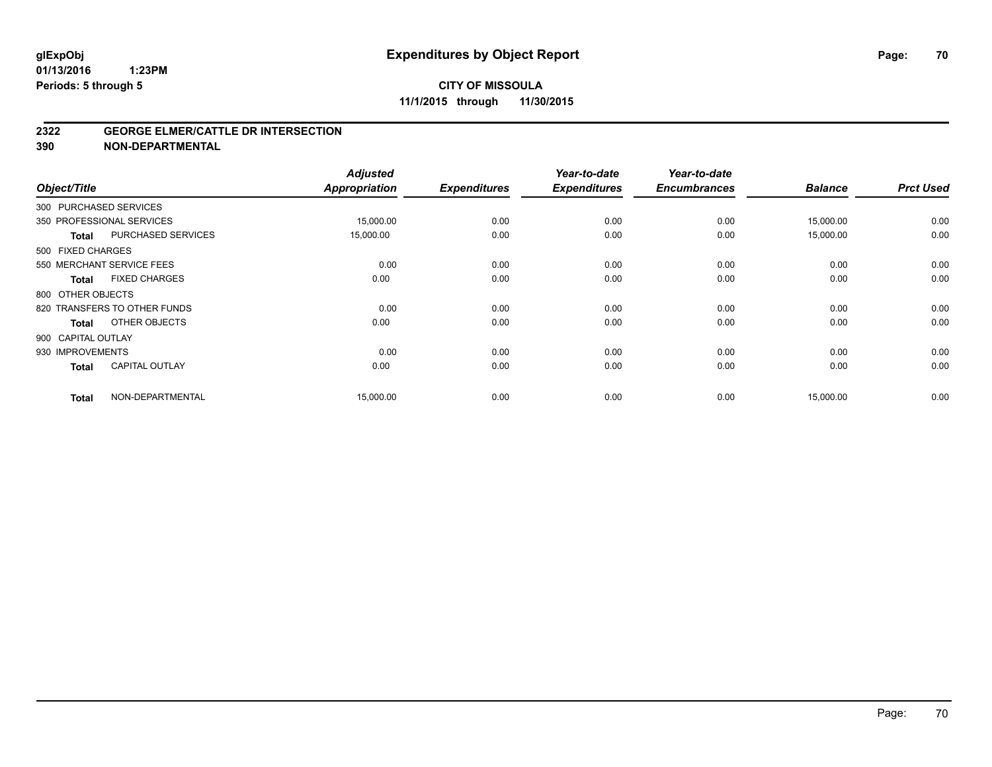#### **2322 GEORGE ELMER/CATTLE DR INTERSECTION**

**390 NON-DEPARTMENTAL**

| Object/Title       |                              | <b>Adjusted</b><br><b>Appropriation</b> | <b>Expenditures</b> | Year-to-date<br><b>Expenditures</b> | Year-to-date<br><b>Encumbrances</b> | <b>Balance</b> | <b>Prct Used</b> |
|--------------------|------------------------------|-----------------------------------------|---------------------|-------------------------------------|-------------------------------------|----------------|------------------|
|                    | 300 PURCHASED SERVICES       |                                         |                     |                                     |                                     |                |                  |
|                    | 350 PROFESSIONAL SERVICES    | 15,000.00                               | 0.00                | 0.00                                | 0.00                                | 15,000.00      | 0.00             |
| <b>Total</b>       | <b>PURCHASED SERVICES</b>    | 15,000.00                               | 0.00                | 0.00                                | 0.00                                | 15,000.00      | 0.00             |
| 500 FIXED CHARGES  |                              |                                         |                     |                                     |                                     |                |                  |
|                    | 550 MERCHANT SERVICE FEES    | 0.00                                    | 0.00                | 0.00                                | 0.00                                | 0.00           | 0.00             |
| <b>Total</b>       | <b>FIXED CHARGES</b>         | 0.00                                    | 0.00                | 0.00                                | 0.00                                | 0.00           | 0.00             |
| 800 OTHER OBJECTS  |                              |                                         |                     |                                     |                                     |                |                  |
|                    | 820 TRANSFERS TO OTHER FUNDS | 0.00                                    | 0.00                | 0.00                                | 0.00                                | 0.00           | 0.00             |
| <b>Total</b>       | OTHER OBJECTS                | 0.00                                    | 0.00                | 0.00                                | 0.00                                | 0.00           | 0.00             |
| 900 CAPITAL OUTLAY |                              |                                         |                     |                                     |                                     |                |                  |
| 930 IMPROVEMENTS   |                              | 0.00                                    | 0.00                | 0.00                                | 0.00                                | 0.00           | 0.00             |
| <b>Total</b>       | <b>CAPITAL OUTLAY</b>        | 0.00                                    | 0.00                | 0.00                                | 0.00                                | 0.00           | 0.00             |
| <b>Total</b>       | NON-DEPARTMENTAL             | 15,000.00                               | 0.00                | 0.00                                | 0.00                                | 15,000.00      | 0.00             |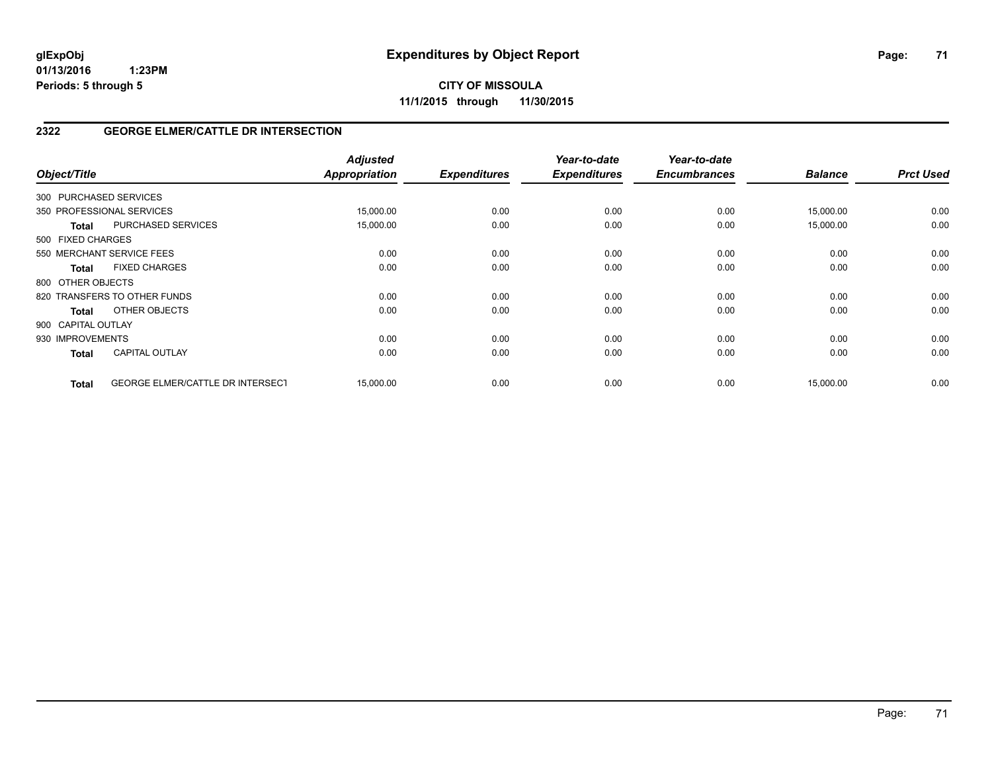**CITY OF MISSOULA 11/1/2015 through 11/30/2015**

## **2322 GEORGE ELMER/CATTLE DR INTERSECTION**

| Object/Title           |                                         | <b>Adjusted</b><br><b>Appropriation</b> | <b>Expenditures</b> | Year-to-date<br><b>Expenditures</b> | Year-to-date<br><b>Encumbrances</b> | <b>Balance</b> | <b>Prct Used</b> |
|------------------------|-----------------------------------------|-----------------------------------------|---------------------|-------------------------------------|-------------------------------------|----------------|------------------|
| 300 PURCHASED SERVICES |                                         |                                         |                     |                                     |                                     |                |                  |
|                        | 350 PROFESSIONAL SERVICES               | 15,000.00                               | 0.00                | 0.00                                | 0.00                                | 15,000.00      | 0.00             |
| Total                  | PURCHASED SERVICES                      | 15,000.00                               | 0.00                | 0.00                                | 0.00                                | 15,000.00      | 0.00             |
| 500 FIXED CHARGES      |                                         |                                         |                     |                                     |                                     |                |                  |
|                        | 550 MERCHANT SERVICE FEES               | 0.00                                    | 0.00                | 0.00                                | 0.00                                | 0.00           | 0.00             |
| <b>Total</b>           | <b>FIXED CHARGES</b>                    | 0.00                                    | 0.00                | 0.00                                | 0.00                                | 0.00           | 0.00             |
| 800 OTHER OBJECTS      |                                         |                                         |                     |                                     |                                     |                |                  |
|                        | 820 TRANSFERS TO OTHER FUNDS            | 0.00                                    | 0.00                | 0.00                                | 0.00                                | 0.00           | 0.00             |
| Total                  | OTHER OBJECTS                           | 0.00                                    | 0.00                | 0.00                                | 0.00                                | 0.00           | 0.00             |
| 900 CAPITAL OUTLAY     |                                         |                                         |                     |                                     |                                     |                |                  |
| 930 IMPROVEMENTS       |                                         | 0.00                                    | 0.00                | 0.00                                | 0.00                                | 0.00           | 0.00             |
| <b>Total</b>           | <b>CAPITAL OUTLAY</b>                   | 0.00                                    | 0.00                | 0.00                                | 0.00                                | 0.00           | 0.00             |
| <b>Total</b>           | <b>GEORGE ELMER/CATTLE DR INTERSECT</b> | 15,000.00                               | 0.00                | 0.00                                | 0.00                                | 15,000.00      | 0.00             |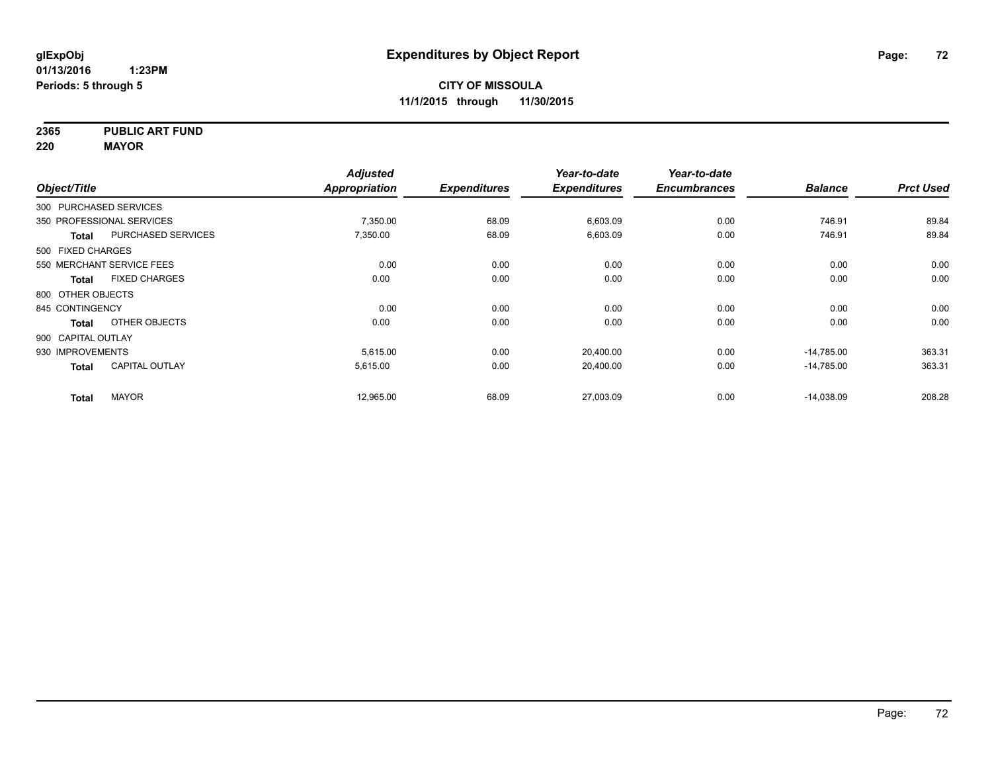**2365 PUBLIC ART FUND**

**220 MAYOR**

|                        |                           | <b>Adjusted</b>      |                     | Year-to-date        | Year-to-date        |                |                  |
|------------------------|---------------------------|----------------------|---------------------|---------------------|---------------------|----------------|------------------|
| Object/Title           |                           | <b>Appropriation</b> | <b>Expenditures</b> | <b>Expenditures</b> | <b>Encumbrances</b> | <b>Balance</b> | <b>Prct Used</b> |
| 300 PURCHASED SERVICES |                           |                      |                     |                     |                     |                |                  |
|                        | 350 PROFESSIONAL SERVICES | 7,350.00             | 68.09               | 6,603.09            | 0.00                | 746.91         | 89.84            |
| <b>Total</b>           | <b>PURCHASED SERVICES</b> | 7,350.00             | 68.09               | 6,603.09            | 0.00                | 746.91         | 89.84            |
| 500 FIXED CHARGES      |                           |                      |                     |                     |                     |                |                  |
|                        | 550 MERCHANT SERVICE FEES | 0.00                 | 0.00                | 0.00                | 0.00                | 0.00           | 0.00             |
| <b>Total</b>           | <b>FIXED CHARGES</b>      | 0.00                 | 0.00                | 0.00                | 0.00                | 0.00           | 0.00             |
| 800 OTHER OBJECTS      |                           |                      |                     |                     |                     |                |                  |
| 845 CONTINGENCY        |                           | 0.00                 | 0.00                | 0.00                | 0.00                | 0.00           | 0.00             |
| <b>Total</b>           | OTHER OBJECTS             | 0.00                 | 0.00                | 0.00                | 0.00                | 0.00           | 0.00             |
| 900 CAPITAL OUTLAY     |                           |                      |                     |                     |                     |                |                  |
| 930 IMPROVEMENTS       |                           | 5,615.00             | 0.00                | 20,400.00           | 0.00                | $-14,785.00$   | 363.31           |
| <b>Total</b>           | <b>CAPITAL OUTLAY</b>     | 5,615.00             | 0.00                | 20,400.00           | 0.00                | $-14,785.00$   | 363.31           |
| <b>Total</b>           | <b>MAYOR</b>              | 12,965.00            | 68.09               | 27,003.09           | 0.00                | $-14,038.09$   | 208.28           |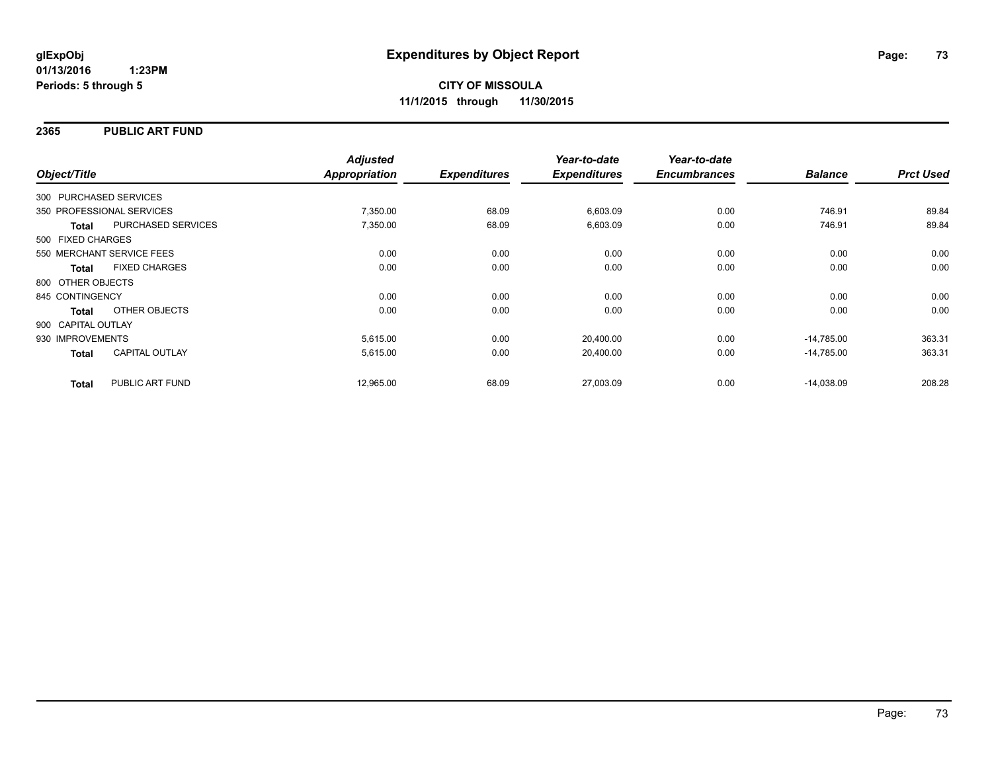#### **2365 PUBLIC ART FUND**

| Object/Title           |                           | <b>Adjusted</b><br>Appropriation | <b>Expenditures</b> | Year-to-date<br><b>Expenditures</b> | Year-to-date<br><b>Encumbrances</b> | <b>Balance</b> | <b>Prct Used</b> |
|------------------------|---------------------------|----------------------------------|---------------------|-------------------------------------|-------------------------------------|----------------|------------------|
| 300 PURCHASED SERVICES |                           |                                  |                     |                                     |                                     |                |                  |
|                        | 350 PROFESSIONAL SERVICES | 7,350.00                         | 68.09               | 6,603.09                            | 0.00                                | 746.91         | 89.84            |
| <b>Total</b>           | PURCHASED SERVICES        | 7,350.00                         | 68.09               | 6,603.09                            | 0.00                                | 746.91         | 89.84            |
| 500 FIXED CHARGES      |                           |                                  |                     |                                     |                                     |                |                  |
|                        | 550 MERCHANT SERVICE FEES | 0.00                             | 0.00                | 0.00                                | 0.00                                | 0.00           | 0.00             |
| <b>Total</b>           | <b>FIXED CHARGES</b>      | 0.00                             | 0.00                | 0.00                                | 0.00                                | 0.00           | 0.00             |
| 800 OTHER OBJECTS      |                           |                                  |                     |                                     |                                     |                |                  |
| 845 CONTINGENCY        |                           | 0.00                             | 0.00                | 0.00                                | 0.00                                | 0.00           | 0.00             |
| Total                  | OTHER OBJECTS             | 0.00                             | 0.00                | 0.00                                | 0.00                                | 0.00           | 0.00             |
| 900 CAPITAL OUTLAY     |                           |                                  |                     |                                     |                                     |                |                  |
| 930 IMPROVEMENTS       |                           | 5,615.00                         | 0.00                | 20,400.00                           | 0.00                                | $-14,785.00$   | 363.31           |
| <b>Total</b>           | CAPITAL OUTLAY            | 5,615.00                         | 0.00                | 20,400.00                           | 0.00                                | $-14,785.00$   | 363.31           |
| <b>Total</b>           | PUBLIC ART FUND           | 12,965.00                        | 68.09               | 27,003.09                           | 0.00                                | $-14,038.09$   | 208.28           |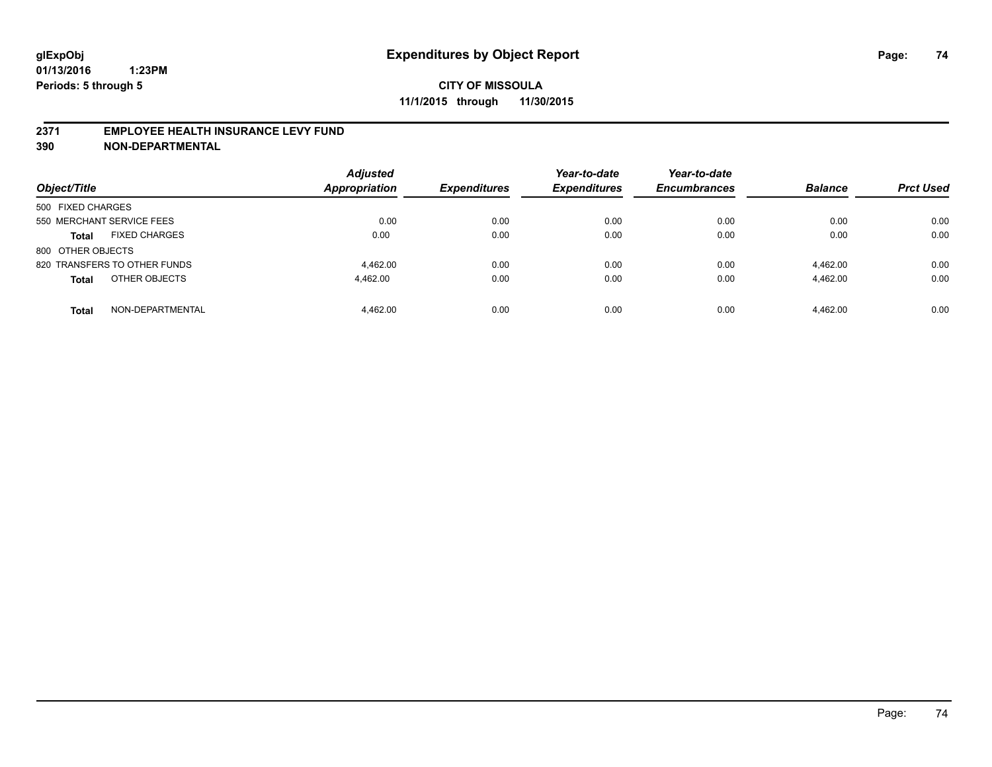#### **2371 EMPLOYEE HEALTH INSURANCE LEVY FUND**

**390 NON-DEPARTMENTAL**

| Object/Title                         | <b>Adjusted</b><br>Appropriation | <b>Expenditures</b> | Year-to-date<br><b>Expenditures</b> | Year-to-date<br><b>Encumbrances</b> | <b>Balance</b> | <b>Prct Used</b> |
|--------------------------------------|----------------------------------|---------------------|-------------------------------------|-------------------------------------|----------------|------------------|
| 500 FIXED CHARGES                    |                                  |                     |                                     |                                     |                |                  |
| 550 MERCHANT SERVICE FEES            | 0.00                             | 0.00                | 0.00                                | 0.00                                | 0.00           | 0.00             |
| <b>FIXED CHARGES</b><br><b>Total</b> | 0.00                             | 0.00                | 0.00                                | 0.00                                | 0.00           | 0.00             |
| 800 OTHER OBJECTS                    |                                  |                     |                                     |                                     |                |                  |
| 820 TRANSFERS TO OTHER FUNDS         | 4.462.00                         | 0.00                | 0.00                                | 0.00                                | 4.462.00       | 0.00             |
| OTHER OBJECTS<br><b>Total</b>        | 4.462.00                         | 0.00                | 0.00                                | 0.00                                | 4.462.00       | 0.00             |
| NON-DEPARTMENTAL<br><b>Total</b>     | 4.462.00                         | 0.00                | 0.00                                | 0.00                                | 4.462.00       | 0.00             |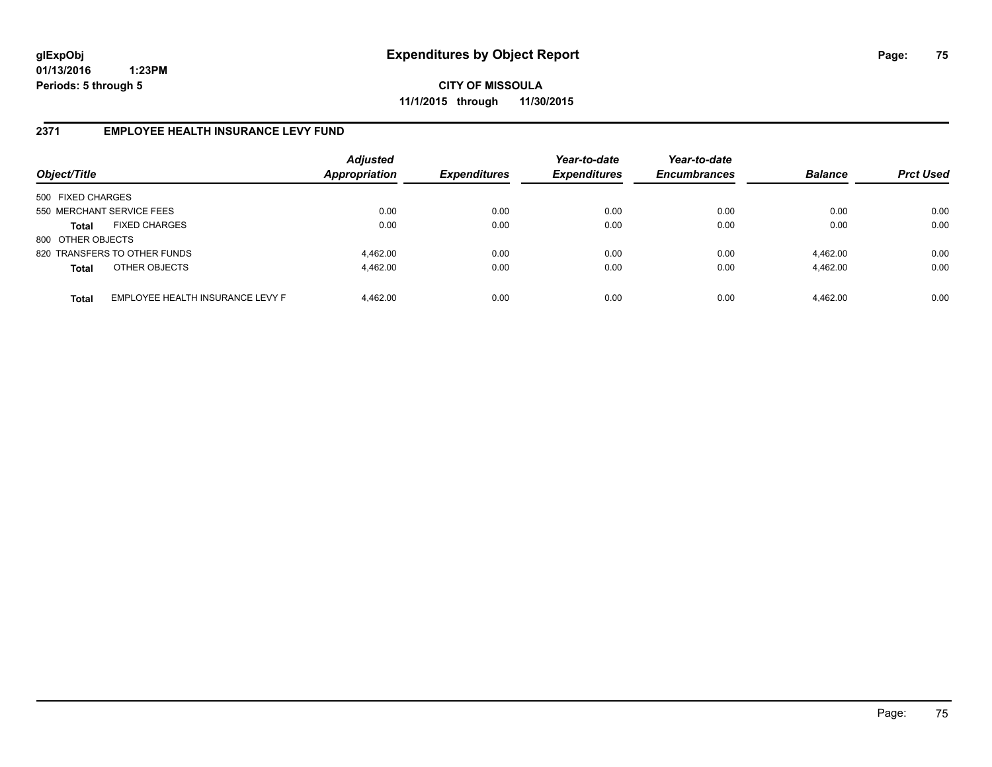**CITY OF MISSOULA 11/1/2015 through 11/30/2015**

#### **2371 EMPLOYEE HEALTH INSURANCE LEVY FUND**

| Object/Title              |                                  | <b>Adjusted</b><br>Appropriation | <b>Expenditures</b> | Year-to-date<br><b>Expenditures</b> | Year-to-date<br><b>Encumbrances</b> | <b>Balance</b> | <b>Prct Used</b> |
|---------------------------|----------------------------------|----------------------------------|---------------------|-------------------------------------|-------------------------------------|----------------|------------------|
| 500 FIXED CHARGES         |                                  |                                  |                     |                                     |                                     |                |                  |
| 550 MERCHANT SERVICE FEES |                                  | 0.00                             | 0.00                | 0.00                                | 0.00                                | 0.00           | 0.00             |
| <b>Total</b>              | <b>FIXED CHARGES</b>             | 0.00                             | 0.00                | 0.00                                | 0.00                                | 0.00           | 0.00             |
| 800 OTHER OBJECTS         |                                  |                                  |                     |                                     |                                     |                |                  |
|                           | 820 TRANSFERS TO OTHER FUNDS     | 4.462.00                         | 0.00                | 0.00                                | 0.00                                | 4.462.00       | 0.00             |
| <b>Total</b>              | OTHER OBJECTS                    | 4,462.00                         | 0.00                | 0.00                                | 0.00                                | 4,462.00       | 0.00             |
| <b>Total</b>              | EMPLOYEE HEALTH INSURANCE LEVY F | 4.462.00                         | 0.00                | 0.00                                | 0.00                                | 4,462.00       | 0.00             |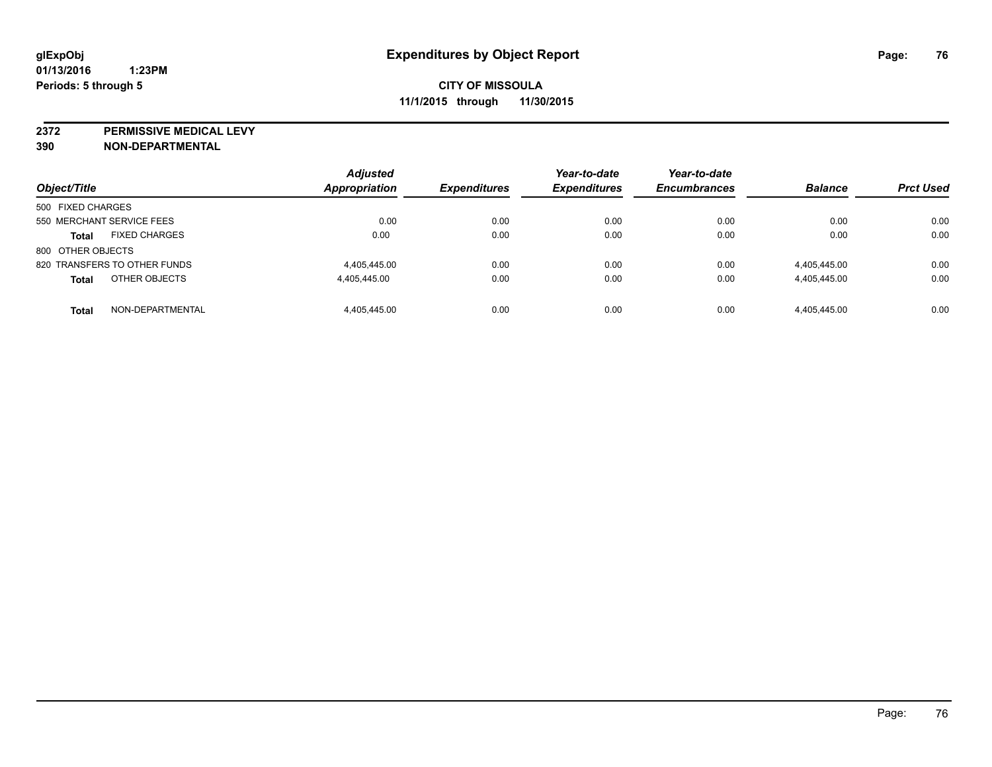**2372 PERMISSIVE MEDICAL LEVY**

**390 NON-DEPARTMENTAL**

| Object/Title                         | <b>Adjusted</b><br>Appropriation | <b>Expenditures</b> | Year-to-date<br><b>Expenditures</b> | Year-to-date<br><b>Encumbrances</b> | <b>Balance</b> | <b>Prct Used</b> |
|--------------------------------------|----------------------------------|---------------------|-------------------------------------|-------------------------------------|----------------|------------------|
|                                      |                                  |                     |                                     |                                     |                |                  |
| 500 FIXED CHARGES                    |                                  |                     |                                     |                                     |                |                  |
| 550 MERCHANT SERVICE FEES            | 0.00                             | 0.00                | 0.00                                | 0.00                                | 0.00           | 0.00             |
| <b>FIXED CHARGES</b><br><b>Total</b> | 0.00                             | 0.00                | 0.00                                | 0.00                                | 0.00           | 0.00             |
| 800 OTHER OBJECTS                    |                                  |                     |                                     |                                     |                |                  |
| 820 TRANSFERS TO OTHER FUNDS         | 4.405.445.00                     | 0.00                | 0.00                                | 0.00                                | 4,405,445.00   | 0.00             |
| OTHER OBJECTS<br><b>Total</b>        | 4,405,445.00                     | 0.00                | 0.00                                | 0.00                                | 4,405,445.00   | 0.00             |
| NON-DEPARTMENTAL<br><b>Total</b>     | 4.405.445.00                     | 0.00                | 0.00                                | 0.00                                | 4.405.445.00   | 0.00             |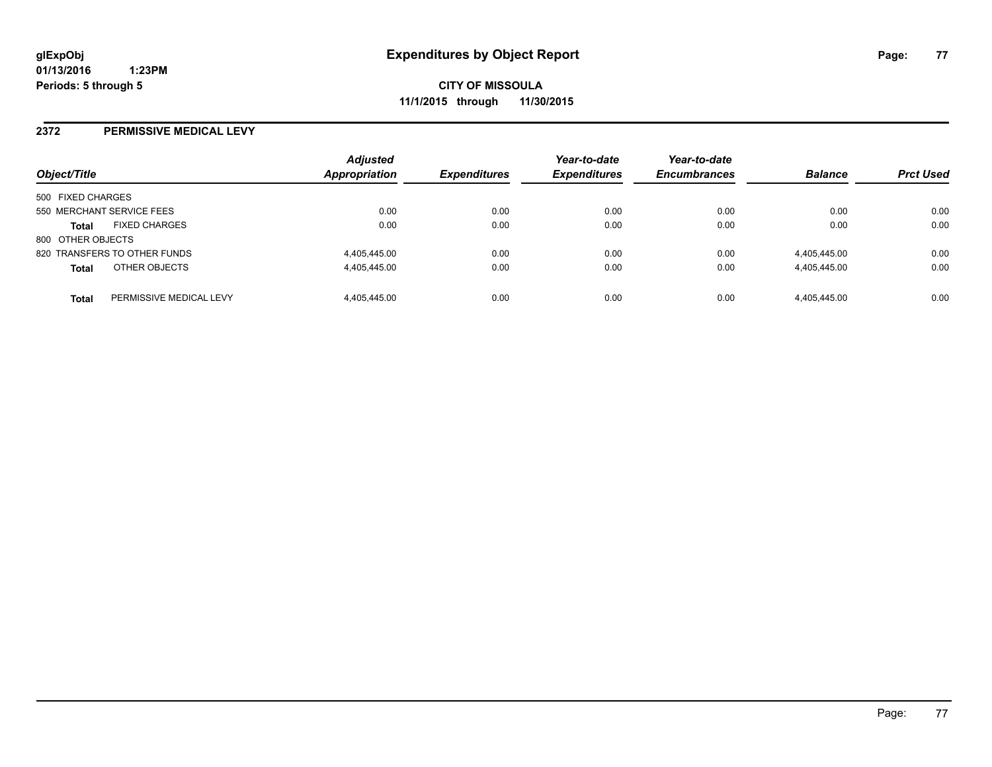#### **2372 PERMISSIVE MEDICAL LEVY**

| Object/Title                         |                         | <b>Adjusted</b><br>Appropriation | <b>Expenditures</b> | Year-to-date<br><b>Expenditures</b> | Year-to-date<br><b>Encumbrances</b> | <b>Balance</b> | <b>Prct Used</b> |
|--------------------------------------|-------------------------|----------------------------------|---------------------|-------------------------------------|-------------------------------------|----------------|------------------|
| 500 FIXED CHARGES                    |                         |                                  |                     |                                     |                                     |                |                  |
| 550 MERCHANT SERVICE FEES            |                         | 0.00                             | 0.00                | 0.00                                | 0.00                                | 0.00           | 0.00             |
| <b>FIXED CHARGES</b><br><b>Total</b> |                         | 0.00                             | 0.00                | 0.00                                | 0.00                                | 0.00           | 0.00             |
| 800 OTHER OBJECTS                    |                         |                                  |                     |                                     |                                     |                |                  |
| 820 TRANSFERS TO OTHER FUNDS         |                         | 4,405,445.00                     | 0.00                | 0.00                                | 0.00                                | 4,405,445.00   | 0.00             |
| OTHER OBJECTS<br><b>Total</b>        |                         | 4.405.445.00                     | 0.00                | 0.00                                | 0.00                                | 4,405,445.00   | 0.00             |
| <b>Total</b>                         | PERMISSIVE MEDICAL LEVY | 4.405.445.00                     | 0.00                | 0.00                                | 0.00                                | 4.405.445.00   | 0.00             |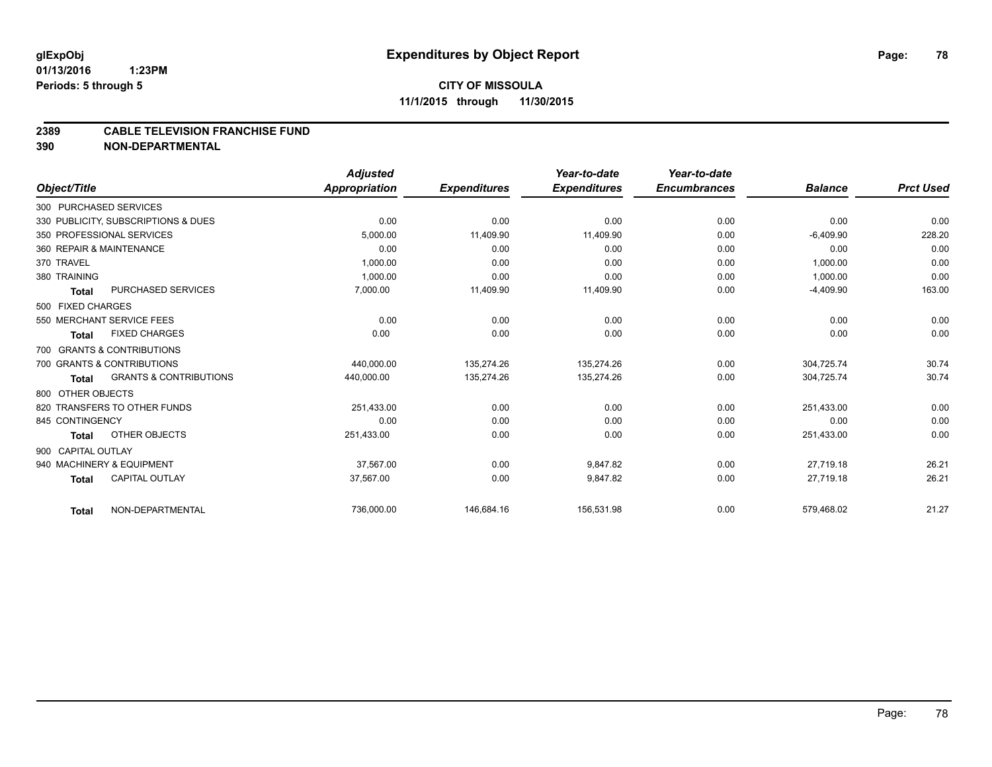#### **2389 CABLE TELEVISION FRANCHISE FUND**

**390 NON-DEPARTMENTAL**

|                    |                                     | <b>Adjusted</b>      |                     | Year-to-date        | Year-to-date        |                |                  |
|--------------------|-------------------------------------|----------------------|---------------------|---------------------|---------------------|----------------|------------------|
| Object/Title       |                                     | <b>Appropriation</b> | <b>Expenditures</b> | <b>Expenditures</b> | <b>Encumbrances</b> | <b>Balance</b> | <b>Prct Used</b> |
|                    | 300 PURCHASED SERVICES              |                      |                     |                     |                     |                |                  |
|                    | 330 PUBLICITY, SUBSCRIPTIONS & DUES | 0.00                 | 0.00                | 0.00                | 0.00                | 0.00           | 0.00             |
|                    | 350 PROFESSIONAL SERVICES           | 5,000.00             | 11,409.90           | 11,409.90           | 0.00                | $-6,409.90$    | 228.20           |
|                    | 360 REPAIR & MAINTENANCE            | 0.00                 | 0.00                | 0.00                | 0.00                | 0.00           | 0.00             |
| 370 TRAVEL         |                                     | 1,000.00             | 0.00                | 0.00                | 0.00                | 1,000.00       | 0.00             |
| 380 TRAINING       |                                     | 1.000.00             | 0.00                | 0.00                | 0.00                | 1,000.00       | 0.00             |
| <b>Total</b>       | PURCHASED SERVICES                  | 7,000.00             | 11,409.90           | 11,409.90           | 0.00                | $-4,409.90$    | 163.00           |
| 500 FIXED CHARGES  |                                     |                      |                     |                     |                     |                |                  |
|                    | 550 MERCHANT SERVICE FEES           | 0.00                 | 0.00                | 0.00                | 0.00                | 0.00           | 0.00             |
| <b>Total</b>       | <b>FIXED CHARGES</b>                | 0.00                 | 0.00                | 0.00                | 0.00                | 0.00           | 0.00             |
|                    | 700 GRANTS & CONTRIBUTIONS          |                      |                     |                     |                     |                |                  |
|                    | 700 GRANTS & CONTRIBUTIONS          | 440.000.00           | 135.274.26          | 135.274.26          | 0.00                | 304.725.74     | 30.74            |
| <b>Total</b>       | <b>GRANTS &amp; CONTRIBUTIONS</b>   | 440,000.00           | 135,274.26          | 135,274.26          | 0.00                | 304,725.74     | 30.74            |
| 800 OTHER OBJECTS  |                                     |                      |                     |                     |                     |                |                  |
|                    | 820 TRANSFERS TO OTHER FUNDS        | 251,433.00           | 0.00                | 0.00                | 0.00                | 251,433.00     | 0.00             |
| 845 CONTINGENCY    |                                     | 0.00                 | 0.00                | 0.00                | 0.00                | 0.00           | 0.00             |
| Total              | OTHER OBJECTS                       | 251,433.00           | 0.00                | 0.00                | 0.00                | 251,433.00     | 0.00             |
| 900 CAPITAL OUTLAY |                                     |                      |                     |                     |                     |                |                  |
|                    | 940 MACHINERY & EQUIPMENT           | 37.567.00            | 0.00                | 9,847.82            | 0.00                | 27,719.18      | 26.21            |
| <b>Total</b>       | <b>CAPITAL OUTLAY</b>               | 37,567.00            | 0.00                | 9,847.82            | 0.00                | 27,719.18      | 26.21            |
| <b>Total</b>       | NON-DEPARTMENTAL                    | 736,000.00           | 146,684.16          | 156,531.98          | 0.00                | 579,468.02     | 21.27            |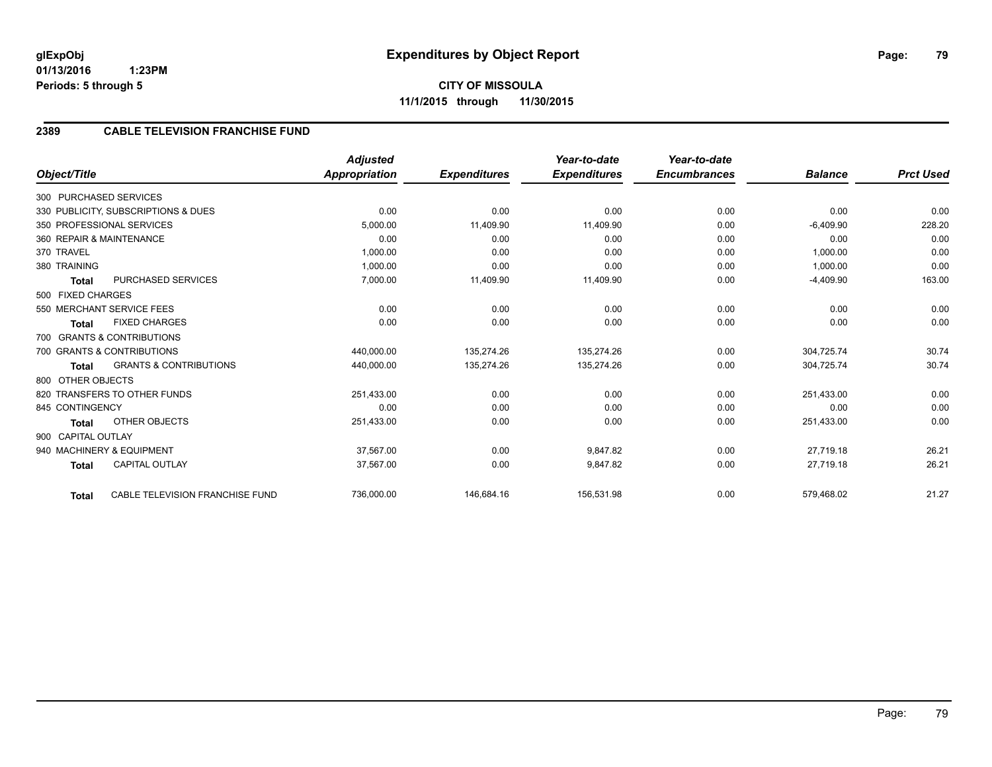**CITY OF MISSOULA 11/1/2015 through 11/30/2015**

# **2389 CABLE TELEVISION FRANCHISE FUND**

|                          |                                     | <b>Adjusted</b> |                     | Year-to-date        | Year-to-date        |                |                  |
|--------------------------|-------------------------------------|-----------------|---------------------|---------------------|---------------------|----------------|------------------|
| Object/Title             |                                     | Appropriation   | <b>Expenditures</b> | <b>Expenditures</b> | <b>Encumbrances</b> | <b>Balance</b> | <b>Prct Used</b> |
| 300 PURCHASED SERVICES   |                                     |                 |                     |                     |                     |                |                  |
|                          | 330 PUBLICITY, SUBSCRIPTIONS & DUES | 0.00            | 0.00                | 0.00                | 0.00                | 0.00           | 0.00             |
|                          | 350 PROFESSIONAL SERVICES           | 5,000.00        | 11,409.90           | 11,409.90           | 0.00                | $-6,409.90$    | 228.20           |
| 360 REPAIR & MAINTENANCE |                                     | 0.00            | 0.00                | 0.00                | 0.00                | 0.00           | 0.00             |
| 370 TRAVEL               |                                     | 1.000.00        | 0.00                | 0.00                | 0.00                | 1.000.00       | 0.00             |
| 380 TRAINING             |                                     | 1,000.00        | 0.00                | 0.00                | 0.00                | 1,000.00       | 0.00             |
| <b>Total</b>             | <b>PURCHASED SERVICES</b>           | 7,000.00        | 11,409.90           | 11,409.90           | 0.00                | $-4,409.90$    | 163.00           |
| 500 FIXED CHARGES        |                                     |                 |                     |                     |                     |                |                  |
|                          | 550 MERCHANT SERVICE FEES           | 0.00            | 0.00                | 0.00                | 0.00                | 0.00           | 0.00             |
| <b>Total</b>             | <b>FIXED CHARGES</b>                | 0.00            | 0.00                | 0.00                | 0.00                | 0.00           | 0.00             |
|                          | 700 GRANTS & CONTRIBUTIONS          |                 |                     |                     |                     |                |                  |
|                          | 700 GRANTS & CONTRIBUTIONS          | 440,000.00      | 135,274.26          | 135.274.26          | 0.00                | 304.725.74     | 30.74            |
| <b>Total</b>             | <b>GRANTS &amp; CONTRIBUTIONS</b>   | 440,000.00      | 135,274.26          | 135,274.26          | 0.00                | 304,725.74     | 30.74            |
| 800 OTHER OBJECTS        |                                     |                 |                     |                     |                     |                |                  |
|                          | 820 TRANSFERS TO OTHER FUNDS        | 251,433.00      | 0.00                | 0.00                | 0.00                | 251,433.00     | 0.00             |
| 845 CONTINGENCY          |                                     | 0.00            | 0.00                | 0.00                | 0.00                | 0.00           | 0.00             |
| <b>Total</b>             | <b>OTHER OBJECTS</b>                | 251,433.00      | 0.00                | 0.00                | 0.00                | 251,433.00     | 0.00             |
| 900 CAPITAL OUTLAY       |                                     |                 |                     |                     |                     |                |                  |
|                          | 940 MACHINERY & EQUIPMENT           | 37.567.00       | 0.00                | 9.847.82            | 0.00                | 27.719.18      | 26.21            |
| <b>Total</b>             | <b>CAPITAL OUTLAY</b>               | 37,567.00       | 0.00                | 9,847.82            | 0.00                | 27,719.18      | 26.21            |
| <b>Total</b>             | CABLE TELEVISION FRANCHISE FUND     | 736,000.00      | 146,684.16          | 156,531.98          | 0.00                | 579,468.02     | 21.27            |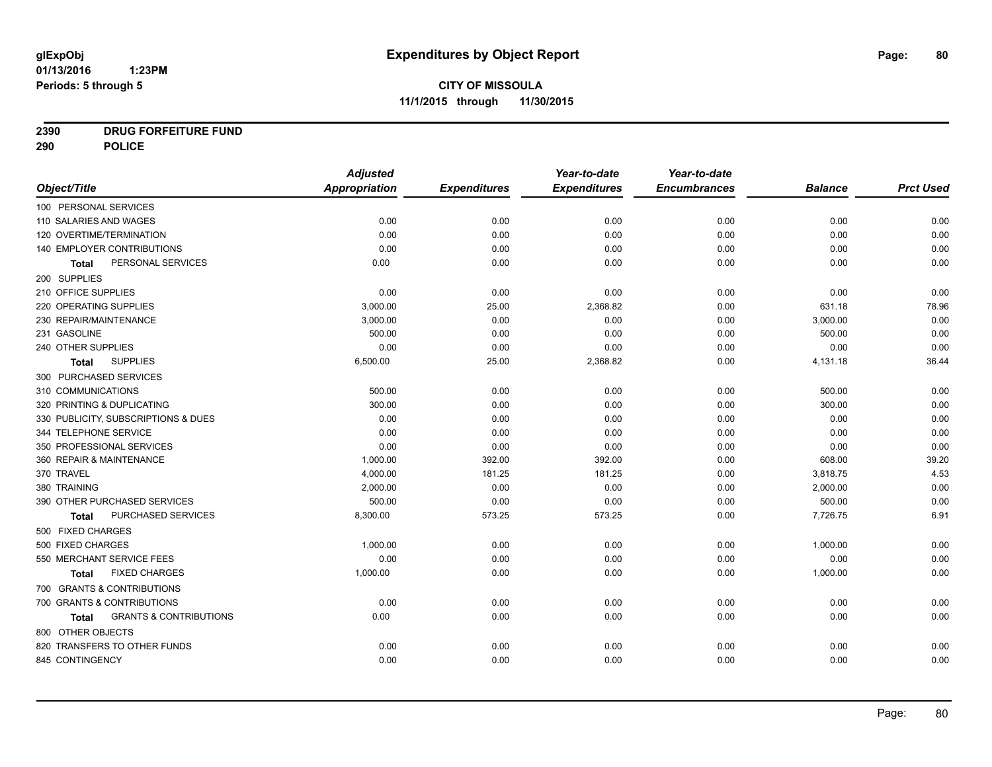# **2390 DRUG FORFEITURE FUND**

**290 POLICE**

|                                                   | <b>Adjusted</b>      |                     | Year-to-date        | Year-to-date        |                |                  |
|---------------------------------------------------|----------------------|---------------------|---------------------|---------------------|----------------|------------------|
| Object/Title                                      | <b>Appropriation</b> | <b>Expenditures</b> | <b>Expenditures</b> | <b>Encumbrances</b> | <b>Balance</b> | <b>Prct Used</b> |
| 100 PERSONAL SERVICES                             |                      |                     |                     |                     |                |                  |
| 110 SALARIES AND WAGES                            | 0.00                 | 0.00                | 0.00                | 0.00                | 0.00           | 0.00             |
| 120 OVERTIME/TERMINATION                          | 0.00                 | 0.00                | 0.00                | 0.00                | 0.00           | 0.00             |
| 140 EMPLOYER CONTRIBUTIONS                        | 0.00                 | 0.00                | 0.00                | 0.00                | 0.00           | 0.00             |
| PERSONAL SERVICES<br>Total                        | 0.00                 | 0.00                | 0.00                | 0.00                | 0.00           | 0.00             |
| 200 SUPPLIES                                      |                      |                     |                     |                     |                |                  |
| 210 OFFICE SUPPLIES                               | 0.00                 | 0.00                | 0.00                | 0.00                | 0.00           | 0.00             |
| 220 OPERATING SUPPLIES                            | 3,000.00             | 25.00               | 2,368.82            | 0.00                | 631.18         | 78.96            |
| 230 REPAIR/MAINTENANCE                            | 3,000.00             | 0.00                | 0.00                | 0.00                | 3,000.00       | 0.00             |
| 231 GASOLINE                                      | 500.00               | 0.00                | 0.00                | 0.00                | 500.00         | 0.00             |
| 240 OTHER SUPPLIES                                | 0.00                 | 0.00                | 0.00                | 0.00                | 0.00           | 0.00             |
| <b>SUPPLIES</b><br>Total                          | 6,500.00             | 25.00               | 2,368.82            | 0.00                | 4,131.18       | 36.44            |
| 300 PURCHASED SERVICES                            |                      |                     |                     |                     |                |                  |
| 310 COMMUNICATIONS                                | 500.00               | 0.00                | 0.00                | 0.00                | 500.00         | 0.00             |
| 320 PRINTING & DUPLICATING                        | 300.00               | 0.00                | 0.00                | 0.00                | 300.00         | 0.00             |
| 330 PUBLICITY, SUBSCRIPTIONS & DUES               | 0.00                 | 0.00                | 0.00                | 0.00                | 0.00           | 0.00             |
| 344 TELEPHONE SERVICE                             | 0.00                 | 0.00                | 0.00                | 0.00                | 0.00           | 0.00             |
| 350 PROFESSIONAL SERVICES                         | 0.00                 | 0.00                | 0.00                | 0.00                | 0.00           | 0.00             |
| 360 REPAIR & MAINTENANCE                          | 1,000.00             | 392.00              | 392.00              | 0.00                | 608.00         | 39.20            |
| 370 TRAVEL                                        | 4,000.00             | 181.25              | 181.25              | 0.00                | 3,818.75       | 4.53             |
| 380 TRAINING                                      | 2.000.00             | 0.00                | 0.00                | 0.00                | 2,000.00       | 0.00             |
| 390 OTHER PURCHASED SERVICES                      | 500.00               | 0.00                | 0.00                | 0.00                | 500.00         | 0.00             |
| PURCHASED SERVICES<br><b>Total</b>                | 8,300.00             | 573.25              | 573.25              | 0.00                | 7,726.75       | 6.91             |
| 500 FIXED CHARGES                                 |                      |                     |                     |                     |                |                  |
| 500 FIXED CHARGES                                 | 1,000.00             | 0.00                | 0.00                | 0.00                | 1,000.00       | 0.00             |
| 550 MERCHANT SERVICE FEES                         | 0.00                 | 0.00                | 0.00                | 0.00                | 0.00           | 0.00             |
| <b>FIXED CHARGES</b><br><b>Total</b>              | 1,000.00             | 0.00                | 0.00                | 0.00                | 1,000.00       | 0.00             |
| 700 GRANTS & CONTRIBUTIONS                        |                      |                     |                     |                     |                |                  |
| 700 GRANTS & CONTRIBUTIONS                        | 0.00                 | 0.00                | 0.00                | 0.00                | 0.00           | 0.00             |
| <b>GRANTS &amp; CONTRIBUTIONS</b><br><b>Total</b> | 0.00                 | 0.00                | 0.00                | 0.00                | 0.00           | 0.00             |
| 800 OTHER OBJECTS                                 |                      |                     |                     |                     |                |                  |
| 820 TRANSFERS TO OTHER FUNDS                      | 0.00                 | 0.00                | 0.00                | 0.00                | 0.00           | 0.00             |
| 845 CONTINGENCY                                   | 0.00                 | 0.00                | 0.00                | 0.00                | 0.00           | 0.00             |
|                                                   |                      |                     |                     |                     |                |                  |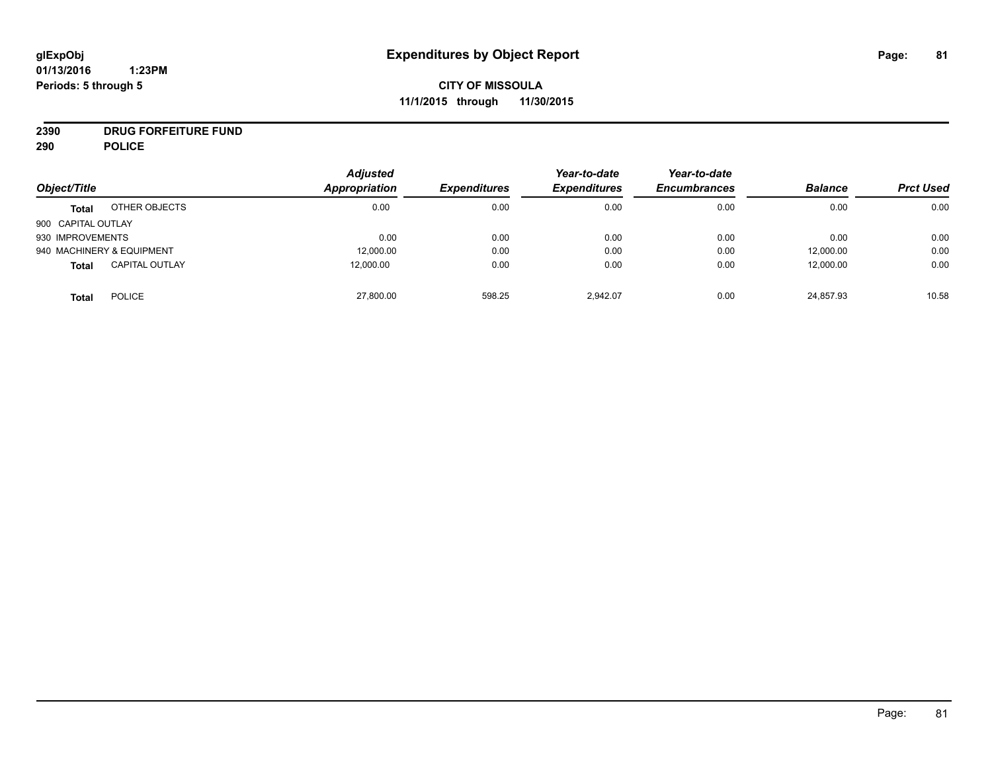# **CITY OF MISSOULA 11/1/2015 through 11/30/2015**

# **2390 DRUG FORFEITURE FUND**

**290 POLICE**

| Object/Title       |                           | <b>Adjusted</b><br>Appropriation | <b>Expenditures</b> | Year-to-date<br><b>Expenditures</b> | Year-to-date<br><b>Encumbrances</b> | <b>Balance</b> | <b>Prct Used</b> |
|--------------------|---------------------------|----------------------------------|---------------------|-------------------------------------|-------------------------------------|----------------|------------------|
| <b>Total</b>       | OTHER OBJECTS             | 0.00                             | 0.00                | 0.00                                | 0.00                                | 0.00           | 0.00             |
| 900 CAPITAL OUTLAY |                           |                                  |                     |                                     |                                     |                |                  |
| 930 IMPROVEMENTS   |                           | 0.00                             | 0.00                | 0.00                                | 0.00                                | 0.00           | 0.00             |
|                    | 940 MACHINERY & EQUIPMENT | 12,000.00                        | 0.00                | 0.00                                | 0.00                                | 12,000.00      | 0.00             |
| <b>Total</b>       | <b>CAPITAL OUTLAY</b>     | 12,000.00                        | 0.00                | 0.00                                | 0.00                                | 12,000.00      | 0.00             |
| <b>Total</b>       | <b>POLICE</b>             | 27,800.00                        | 598.25              | 2,942.07                            | 0.00                                | 24,857.93      | 10.58            |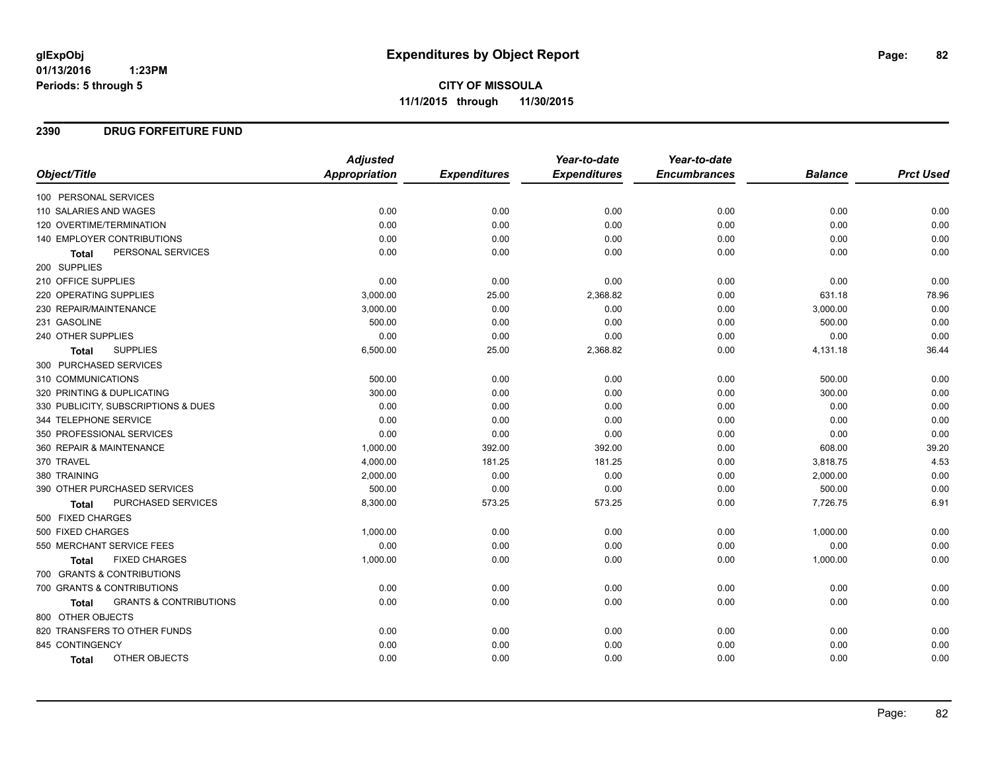#### **2390 DRUG FORFEITURE FUND**

|                                            | <b>Adjusted</b> |                     | Year-to-date        | Year-to-date        |                |                  |
|--------------------------------------------|-----------------|---------------------|---------------------|---------------------|----------------|------------------|
| Object/Title                               | Appropriation   | <b>Expenditures</b> | <b>Expenditures</b> | <b>Encumbrances</b> | <b>Balance</b> | <b>Prct Used</b> |
| 100 PERSONAL SERVICES                      |                 |                     |                     |                     |                |                  |
| 110 SALARIES AND WAGES                     | 0.00            | 0.00                | 0.00                | 0.00                | 0.00           | 0.00             |
| 120 OVERTIME/TERMINATION                   | 0.00            | 0.00                | 0.00                | 0.00                | 0.00           | 0.00             |
| <b>140 EMPLOYER CONTRIBUTIONS</b>          | 0.00            | 0.00                | 0.00                | 0.00                | 0.00           | 0.00             |
| PERSONAL SERVICES<br>Total                 | 0.00            | 0.00                | 0.00                | 0.00                | 0.00           | 0.00             |
| 200 SUPPLIES                               |                 |                     |                     |                     |                |                  |
| 210 OFFICE SUPPLIES                        | 0.00            | 0.00                | 0.00                | 0.00                | 0.00           | 0.00             |
| 220 OPERATING SUPPLIES                     | 3,000.00        | 25.00               | 2,368.82            | 0.00                | 631.18         | 78.96            |
| 230 REPAIR/MAINTENANCE                     | 3,000.00        | 0.00                | 0.00                | 0.00                | 3,000.00       | 0.00             |
| 231 GASOLINE                               | 500.00          | 0.00                | 0.00                | 0.00                | 500.00         | 0.00             |
| 240 OTHER SUPPLIES                         | 0.00            | 0.00                | 0.00                | 0.00                | 0.00           | 0.00             |
| <b>SUPPLIES</b><br><b>Total</b>            | 6,500.00        | 25.00               | 2,368.82            | 0.00                | 4,131.18       | 36.44            |
| 300 PURCHASED SERVICES                     |                 |                     |                     |                     |                |                  |
| 310 COMMUNICATIONS                         | 500.00          | 0.00                | 0.00                | 0.00                | 500.00         | 0.00             |
| 320 PRINTING & DUPLICATING                 | 300.00          | 0.00                | 0.00                | 0.00                | 300.00         | 0.00             |
| 330 PUBLICITY, SUBSCRIPTIONS & DUES        | 0.00            | 0.00                | 0.00                | 0.00                | 0.00           | 0.00             |
| 344 TELEPHONE SERVICE                      | 0.00            | 0.00                | 0.00                | 0.00                | 0.00           | 0.00             |
| 350 PROFESSIONAL SERVICES                  | 0.00            | 0.00                | 0.00                | 0.00                | 0.00           | 0.00             |
| 360 REPAIR & MAINTENANCE                   | 1,000.00        | 392.00              | 392.00              | 0.00                | 608.00         | 39.20            |
| 370 TRAVEL                                 | 4,000.00        | 181.25              | 181.25              | 0.00                | 3,818.75       | 4.53             |
| 380 TRAINING                               | 2,000.00        | 0.00                | 0.00                | 0.00                | 2,000.00       | 0.00             |
| 390 OTHER PURCHASED SERVICES               | 500.00          | 0.00                | 0.00                | 0.00                | 500.00         | 0.00             |
| PURCHASED SERVICES<br><b>Total</b>         | 8,300.00        | 573.25              | 573.25              | 0.00                | 7,726.75       | 6.91             |
| 500 FIXED CHARGES                          |                 |                     |                     |                     |                |                  |
| 500 FIXED CHARGES                          | 1,000.00        | 0.00                | 0.00                | 0.00                | 1,000.00       | 0.00             |
| 550 MERCHANT SERVICE FEES                  | 0.00            | 0.00                | 0.00                | 0.00                | 0.00           | 0.00             |
| <b>FIXED CHARGES</b><br><b>Total</b>       | 1,000.00        | 0.00                | 0.00                | 0.00                | 1,000.00       | 0.00             |
| 700 GRANTS & CONTRIBUTIONS                 |                 |                     |                     |                     |                |                  |
| 700 GRANTS & CONTRIBUTIONS                 | 0.00            | 0.00                | 0.00                | 0.00                | 0.00           | 0.00             |
| <b>GRANTS &amp; CONTRIBUTIONS</b><br>Total | 0.00            | 0.00                | 0.00                | 0.00                | 0.00           | 0.00             |
| 800 OTHER OBJECTS                          |                 |                     |                     |                     |                |                  |
| 820 TRANSFERS TO OTHER FUNDS               | 0.00            | 0.00                | 0.00                | 0.00                | 0.00           | 0.00             |
| 845 CONTINGENCY                            | 0.00            | 0.00                | 0.00                | 0.00                | 0.00           | 0.00             |
| OTHER OBJECTS<br><b>Total</b>              | 0.00            | 0.00                | 0.00                | 0.00                | 0.00           | 0.00             |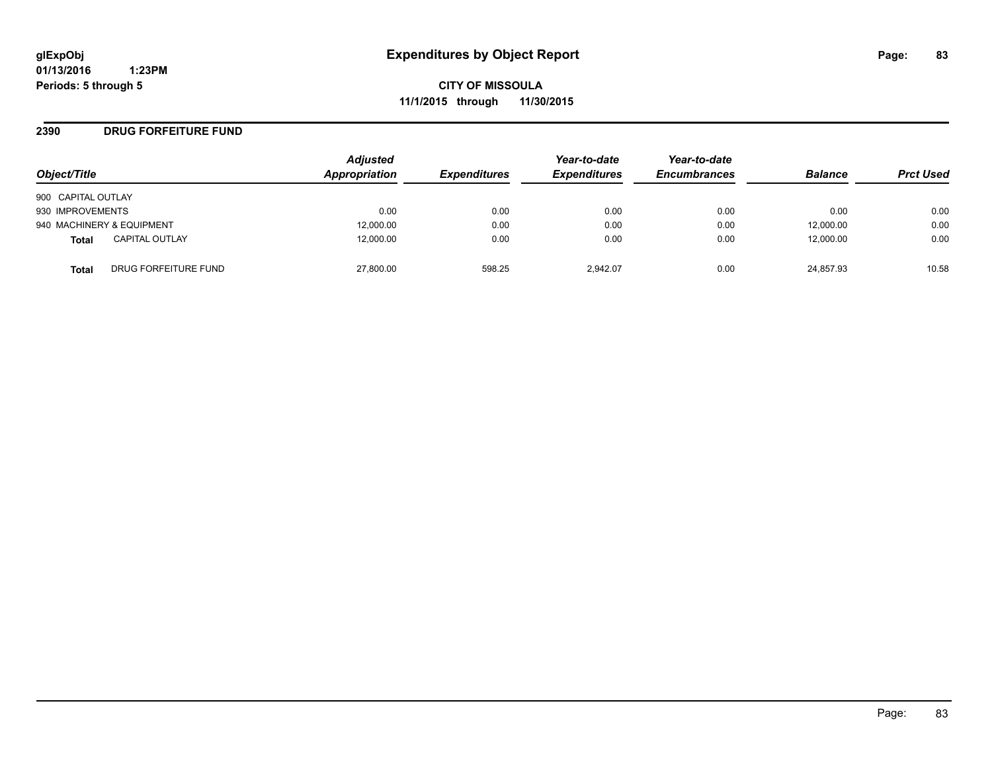**CITY OF MISSOULA 11/1/2015 through 11/30/2015**

#### **2390 DRUG FORFEITURE FUND**

| Object/Title                   | <b>Adjusted</b><br>Appropriation | <b>Expenditures</b> | Year-to-date<br><b>Expenditures</b> | Year-to-date<br><b>Encumbrances</b> | <b>Balance</b> | <b>Prct Used</b> |
|--------------------------------|----------------------------------|---------------------|-------------------------------------|-------------------------------------|----------------|------------------|
| 900 CAPITAL OUTLAY             |                                  |                     |                                     |                                     |                |                  |
| 930 IMPROVEMENTS               | 0.00                             | 0.00                | 0.00                                | 0.00                                | 0.00           | 0.00             |
| 940 MACHINERY & EQUIPMENT      | 12,000.00                        | 0.00                | 0.00                                | 0.00                                | 12,000.00      | 0.00             |
| <b>CAPITAL OUTLAY</b><br>Total | 12,000.00                        | 0.00                | 0.00                                | 0.00                                | 12,000.00      | 0.00             |
| DRUG FORFEITURE FUND<br>Total  | 27,800.00                        | 598.25              | 2.942.07                            | 0.00                                | 24,857.93      | 10.58            |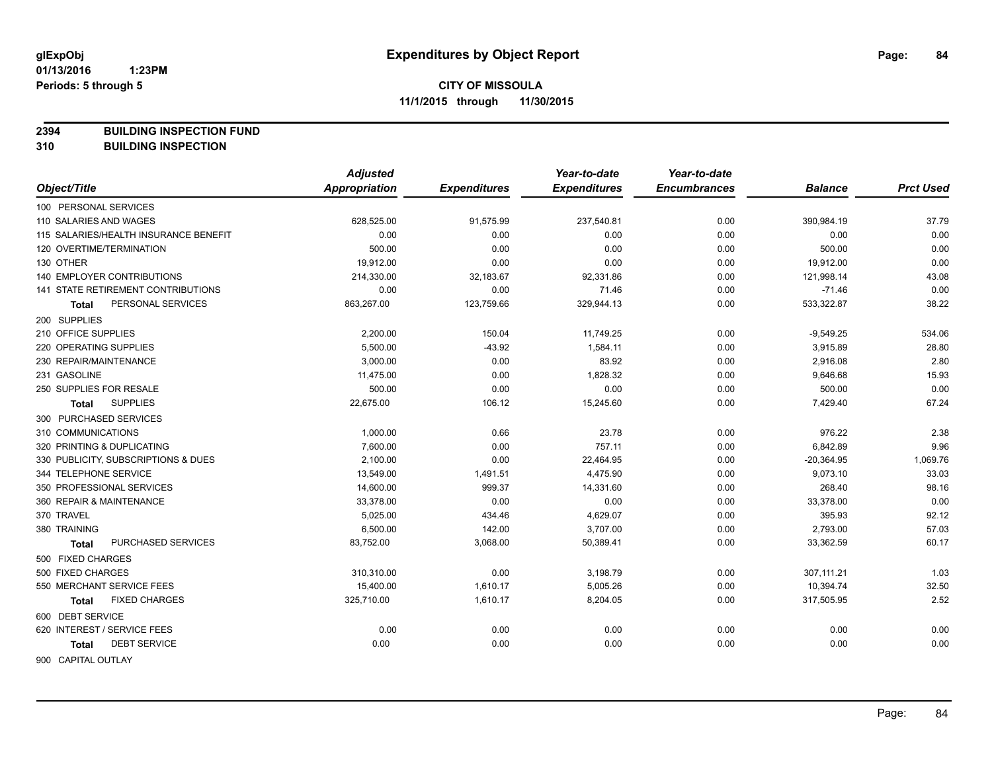**2394 BUILDING INSPECTION FUND**

**310 BUILDING INSPECTION**

|                                       | <b>Adjusted</b>      |                     | Year-to-date        | Year-to-date        |                |                  |
|---------------------------------------|----------------------|---------------------|---------------------|---------------------|----------------|------------------|
| Object/Title                          | <b>Appropriation</b> | <b>Expenditures</b> | <b>Expenditures</b> | <b>Encumbrances</b> | <b>Balance</b> | <b>Prct Used</b> |
| 100 PERSONAL SERVICES                 |                      |                     |                     |                     |                |                  |
| 110 SALARIES AND WAGES                | 628,525.00           | 91,575.99           | 237,540.81          | 0.00                | 390,984.19     | 37.79            |
| 115 SALARIES/HEALTH INSURANCE BENEFIT | 0.00                 | 0.00                | 0.00                | 0.00                | 0.00           | 0.00             |
| 120 OVERTIME/TERMINATION              | 500.00               | 0.00                | 0.00                | 0.00                | 500.00         | 0.00             |
| 130 OTHER                             | 19,912.00            | 0.00                | 0.00                | 0.00                | 19,912.00      | 0.00             |
| 140 EMPLOYER CONTRIBUTIONS            | 214,330.00           | 32,183.67           | 92,331.86           | 0.00                | 121,998.14     | 43.08            |
| 141 STATE RETIREMENT CONTRIBUTIONS    | 0.00                 | 0.00                | 71.46               | 0.00                | $-71.46$       | 0.00             |
| PERSONAL SERVICES<br><b>Total</b>     | 863,267.00           | 123,759.66          | 329,944.13          | 0.00                | 533,322.87     | 38.22            |
| 200 SUPPLIES                          |                      |                     |                     |                     |                |                  |
| 210 OFFICE SUPPLIES                   | 2,200.00             | 150.04              | 11,749.25           | 0.00                | $-9,549.25$    | 534.06           |
| 220 OPERATING SUPPLIES                | 5.500.00             | $-43.92$            | 1,584.11            | 0.00                | 3,915.89       | 28.80            |
| 230 REPAIR/MAINTENANCE                | 3.000.00             | 0.00                | 83.92               | 0.00                | 2,916.08       | 2.80             |
| 231 GASOLINE                          | 11,475.00            | 0.00                | 1,828.32            | 0.00                | 9,646.68       | 15.93            |
| 250 SUPPLIES FOR RESALE               | 500.00               | 0.00                | 0.00                | 0.00                | 500.00         | 0.00             |
| <b>SUPPLIES</b><br>Total              | 22,675.00            | 106.12              | 15,245.60           | 0.00                | 7,429.40       | 67.24            |
| 300 PURCHASED SERVICES                |                      |                     |                     |                     |                |                  |
| 310 COMMUNICATIONS                    | 1,000.00             | 0.66                | 23.78               | 0.00                | 976.22         | 2.38             |
| 320 PRINTING & DUPLICATING            | 7,600.00             | 0.00                | 757.11              | 0.00                | 6,842.89       | 9.96             |
| 330 PUBLICITY, SUBSCRIPTIONS & DUES   | 2,100.00             | 0.00                | 22,464.95           | 0.00                | $-20,364.95$   | 1,069.76         |
| 344 TELEPHONE SERVICE                 | 13,549.00            | 1,491.51            | 4,475.90            | 0.00                | 9,073.10       | 33.03            |
| 350 PROFESSIONAL SERVICES             | 14,600.00            | 999.37              | 14,331.60           | 0.00                | 268.40         | 98.16            |
| 360 REPAIR & MAINTENANCE              | 33,378.00            | 0.00                | 0.00                | 0.00                | 33,378.00      | 0.00             |
| 370 TRAVEL                            | 5,025.00             | 434.46              | 4,629.07            | 0.00                | 395.93         | 92.12            |
| 380 TRAINING                          | 6,500.00             | 142.00              | 3,707.00            | 0.00                | 2,793.00       | 57.03            |
| PURCHASED SERVICES<br><b>Total</b>    | 83,752.00            | 3,068.00            | 50,389.41           | 0.00                | 33,362.59      | 60.17            |
| 500 FIXED CHARGES                     |                      |                     |                     |                     |                |                  |
| 500 FIXED CHARGES                     | 310,310.00           | 0.00                | 3,198.79            | 0.00                | 307, 111.21    | 1.03             |
| 550 MERCHANT SERVICE FEES             | 15,400.00            | 1,610.17            | 5,005.26            | 0.00                | 10,394.74      | 32.50            |
| <b>FIXED CHARGES</b><br><b>Total</b>  | 325,710.00           | 1,610.17            | 8,204.05            | 0.00                | 317,505.95     | 2.52             |
| 600 DEBT SERVICE                      |                      |                     |                     |                     |                |                  |
| 620 INTEREST / SERVICE FEES           | 0.00                 | 0.00                | 0.00                | 0.00                | 0.00           | 0.00             |
| <b>DEBT SERVICE</b><br><b>Total</b>   | 0.00                 | 0.00                | 0.00                | 0.00                | 0.00           | 0.00             |
| <b>GOO CADITAL OUTLAV</b>             |                      |                     |                     |                     |                |                  |

900 CAPITAL OUTLAY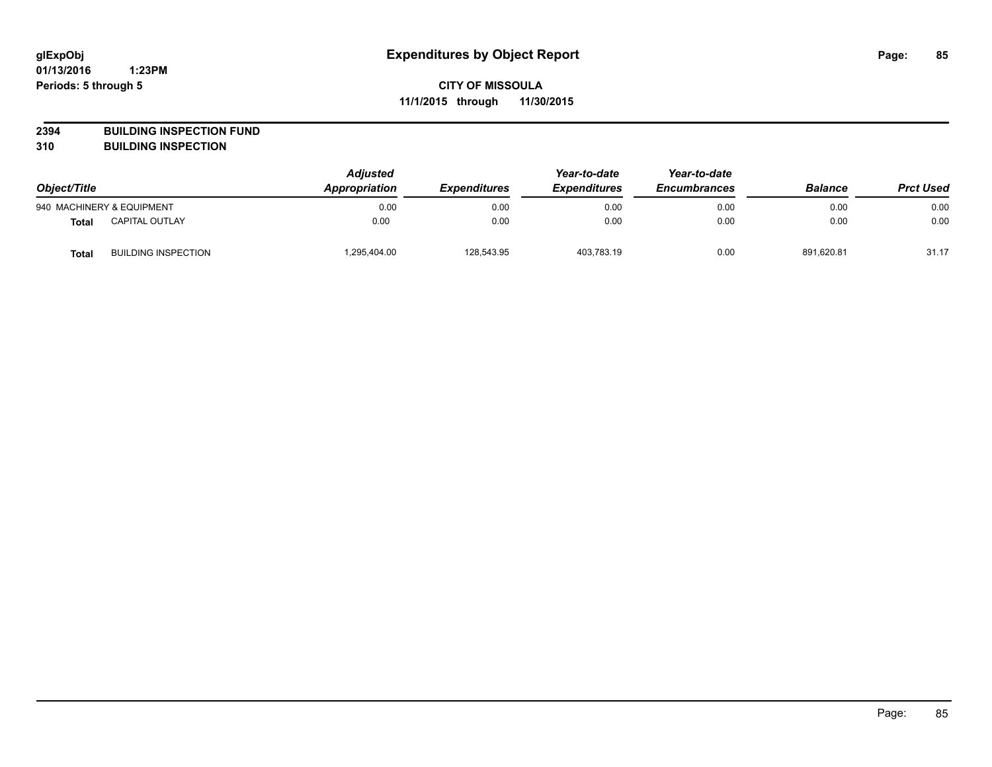**2394 BUILDING INSPECTION FUND**

**310 BUILDING INSPECTION**

| Object/Title |                            | <b>Adjusted</b><br><b>Appropriation</b><br><b>Expenditures</b> | Year-to-date<br><b>Expenditures</b> | Year-to-date<br><b>Encumbrances</b> | <b>Balance</b> | <b>Prct Used</b> |       |
|--------------|----------------------------|----------------------------------------------------------------|-------------------------------------|-------------------------------------|----------------|------------------|-------|
|              | 940 MACHINERY & EQUIPMENT  | 0.00                                                           | 0.00                                | 0.00                                | 0.00           | 0.00             | 0.00  |
| <b>Total</b> | <b>CAPITAL OUTLAY</b>      | 0.00                                                           | 0.00                                | 0.00                                | 0.00           | 0.00             | 0.00  |
| <b>Total</b> | <b>BUILDING INSPECTION</b> | ,295,404.00                                                    | 128,543.95                          | 403,783.19                          | 0.00           | 891.620.81       | 31.17 |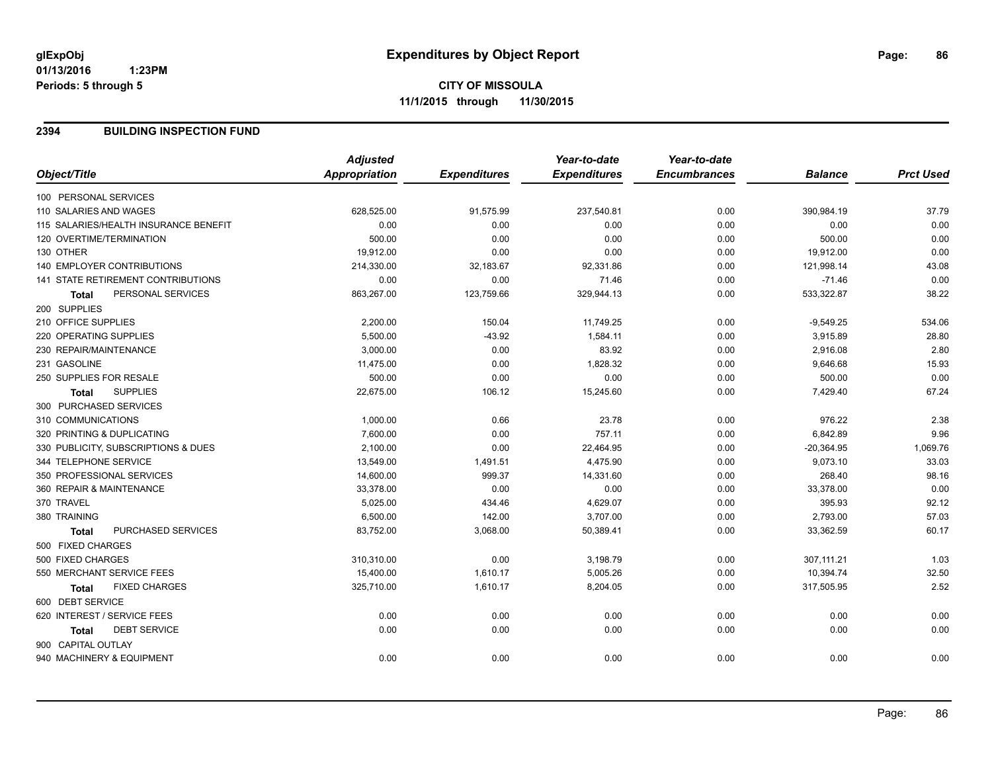#### **2394 BUILDING INSPECTION FUND**

|                                       | <b>Adjusted</b>      |                     | Year-to-date        | Year-to-date        |                |                  |
|---------------------------------------|----------------------|---------------------|---------------------|---------------------|----------------|------------------|
| Object/Title                          | <b>Appropriation</b> | <b>Expenditures</b> | <b>Expenditures</b> | <b>Encumbrances</b> | <b>Balance</b> | <b>Prct Used</b> |
| 100 PERSONAL SERVICES                 |                      |                     |                     |                     |                |                  |
| 110 SALARIES AND WAGES                | 628,525.00           | 91,575.99           | 237,540.81          | 0.00                | 390,984.19     | 37.79            |
| 115 SALARIES/HEALTH INSURANCE BENEFIT | 0.00                 | 0.00                | 0.00                | 0.00                | 0.00           | 0.00             |
| 120 OVERTIME/TERMINATION              | 500.00               | 0.00                | 0.00                | 0.00                | 500.00         | 0.00             |
| 130 OTHER                             | 19,912.00            | 0.00                | 0.00                | 0.00                | 19,912.00      | 0.00             |
| <b>140 EMPLOYER CONTRIBUTIONS</b>     | 214,330.00           | 32,183.67           | 92,331.86           | 0.00                | 121,998.14     | 43.08            |
| 141 STATE RETIREMENT CONTRIBUTIONS    | 0.00                 | 0.00                | 71.46               | 0.00                | $-71.46$       | 0.00             |
| PERSONAL SERVICES<br><b>Total</b>     | 863,267.00           | 123,759.66          | 329,944.13          | 0.00                | 533,322.87     | 38.22            |
| 200 SUPPLIES                          |                      |                     |                     |                     |                |                  |
| 210 OFFICE SUPPLIES                   | 2,200.00             | 150.04              | 11,749.25           | 0.00                | $-9,549.25$    | 534.06           |
| 220 OPERATING SUPPLIES                | 5,500.00             | $-43.92$            | 1,584.11            | 0.00                | 3,915.89       | 28.80            |
| 230 REPAIR/MAINTENANCE                | 3,000.00             | 0.00                | 83.92               | 0.00                | 2,916.08       | 2.80             |
| 231 GASOLINE                          | 11,475.00            | 0.00                | 1,828.32            | 0.00                | 9,646.68       | 15.93            |
| 250 SUPPLIES FOR RESALE               | 500.00               | 0.00                | 0.00                | 0.00                | 500.00         | 0.00             |
| <b>SUPPLIES</b><br><b>Total</b>       | 22,675.00            | 106.12              | 15,245.60           | 0.00                | 7,429.40       | 67.24            |
| 300 PURCHASED SERVICES                |                      |                     |                     |                     |                |                  |
| 310 COMMUNICATIONS                    | 1,000.00             | 0.66                | 23.78               | 0.00                | 976.22         | 2.38             |
| 320 PRINTING & DUPLICATING            | 7,600.00             | 0.00                | 757.11              | 0.00                | 6,842.89       | 9.96             |
| 330 PUBLICITY, SUBSCRIPTIONS & DUES   | 2,100.00             | 0.00                | 22,464.95           | 0.00                | $-20,364.95$   | 1,069.76         |
| 344 TELEPHONE SERVICE                 | 13,549.00            | 1,491.51            | 4,475.90            | 0.00                | 9,073.10       | 33.03            |
| 350 PROFESSIONAL SERVICES             | 14,600.00            | 999.37              | 14,331.60           | 0.00                | 268.40         | 98.16            |
| 360 REPAIR & MAINTENANCE              | 33,378.00            | 0.00                | 0.00                | 0.00                | 33,378.00      | 0.00             |
| 370 TRAVEL                            | 5,025.00             | 434.46              | 4,629.07            | 0.00                | 395.93         | 92.12            |
| 380 TRAINING                          | 6,500.00             | 142.00              | 3,707.00            | 0.00                | 2,793.00       | 57.03            |
| PURCHASED SERVICES<br><b>Total</b>    | 83,752.00            | 3,068.00            | 50,389.41           | 0.00                | 33,362.59      | 60.17            |
| 500 FIXED CHARGES                     |                      |                     |                     |                     |                |                  |
| 500 FIXED CHARGES                     | 310,310.00           | 0.00                | 3,198.79            | 0.00                | 307,111.21     | 1.03             |
| 550 MERCHANT SERVICE FEES             | 15,400.00            | 1,610.17            | 5,005.26            | 0.00                | 10,394.74      | 32.50            |
| <b>FIXED CHARGES</b><br><b>Total</b>  | 325,710.00           | 1,610.17            | 8,204.05            | 0.00                | 317,505.95     | 2.52             |
| 600 DEBT SERVICE                      |                      |                     |                     |                     |                |                  |
| 620 INTEREST / SERVICE FEES           | 0.00                 | 0.00                | 0.00                | 0.00                | 0.00           | 0.00             |
| <b>DEBT SERVICE</b><br><b>Total</b>   | 0.00                 | 0.00                | 0.00                | 0.00                | 0.00           | 0.00             |
| 900 CAPITAL OUTLAY                    |                      |                     |                     |                     |                |                  |
| 940 MACHINERY & EQUIPMENT             | 0.00                 | 0.00                | 0.00                | 0.00                | 0.00           | 0.00             |
|                                       |                      |                     |                     |                     |                |                  |

Page: 86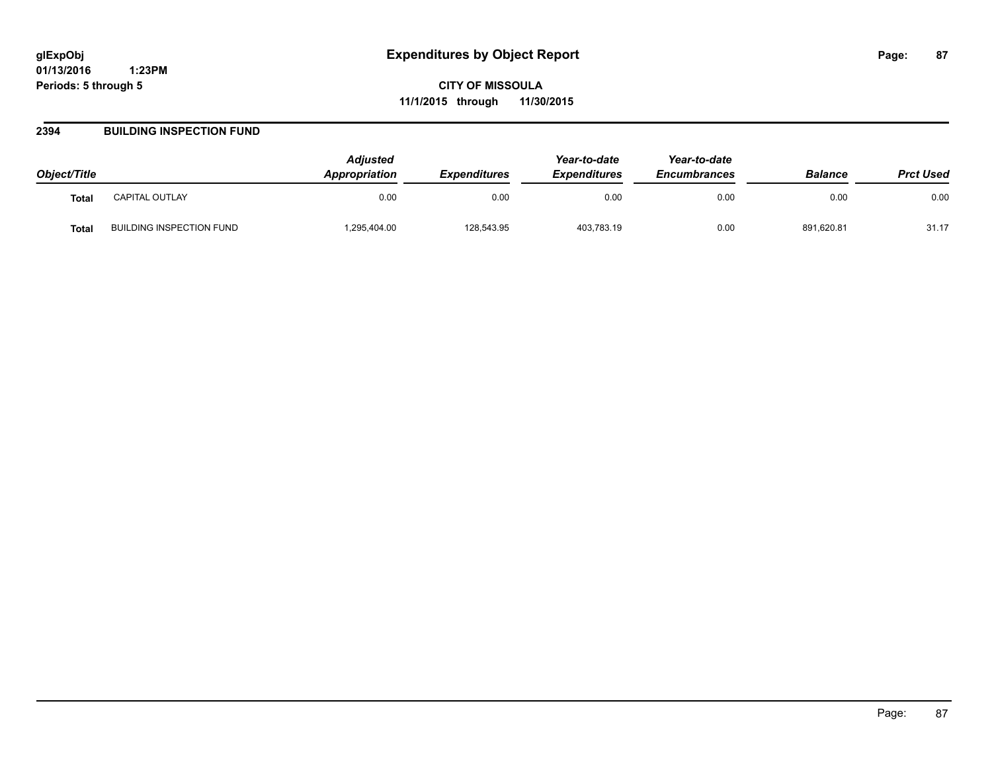**CITY OF MISSOULA 11/1/2015 through 11/30/2015**

#### **2394 BUILDING INSPECTION FUND**

| Object/Title |                                 | <b>Adiusted</b><br><b>Appropriation</b> | <b>Expenditures</b> | Year-to-date<br><b>Expenditures</b> | Year-to-date<br><b>Encumbrances</b> | <b>Balance</b> | <b>Prct Used</b> |
|--------------|---------------------------------|-----------------------------------------|---------------------|-------------------------------------|-------------------------------------|----------------|------------------|
| <b>Total</b> | CAPITAL OUTLAY                  | 0.00                                    | 0.00                | 0.00                                | 0.00                                | 0.00           | 0.00             |
| Total        | <b>BUILDING INSPECTION FUND</b> | ,295,404.00                             | 128,543.95          | 403,783.19                          | 0.00                                | 891,620.81     | 31.17            |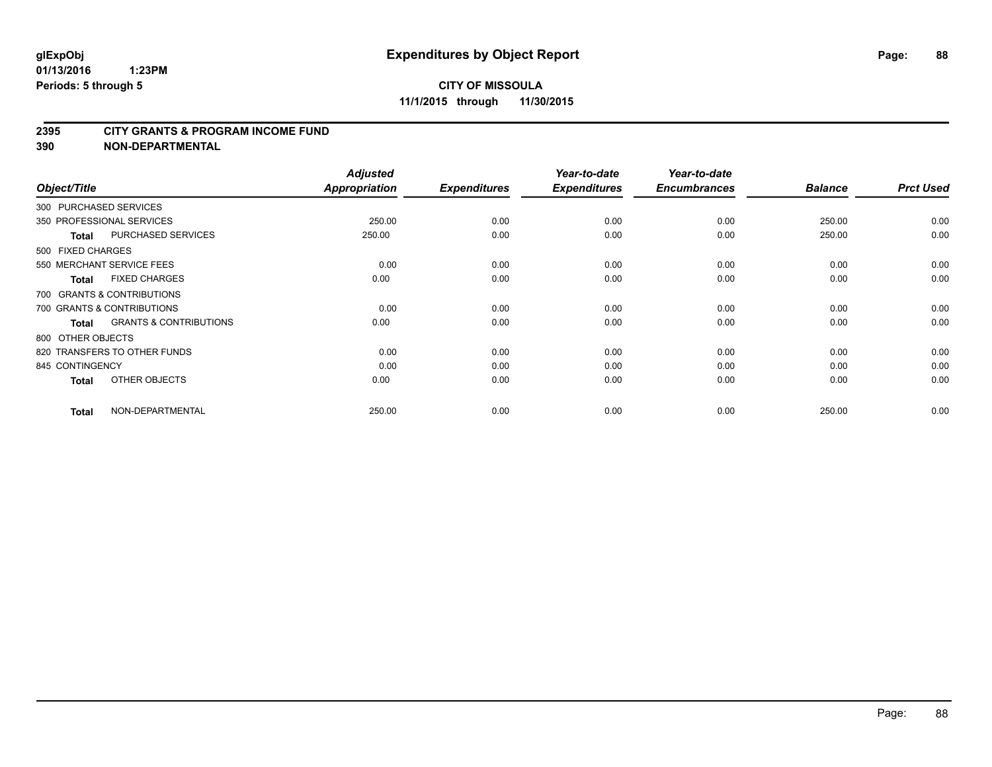#### **2395 CITY GRANTS & PROGRAM INCOME FUND**

**390 NON-DEPARTMENTAL**

| Object/Title           |                                   | <b>Adjusted</b><br>Appropriation | <b>Expenditures</b> | Year-to-date<br><b>Expenditures</b> | Year-to-date<br><b>Encumbrances</b> | <b>Balance</b> | <b>Prct Used</b> |
|------------------------|-----------------------------------|----------------------------------|---------------------|-------------------------------------|-------------------------------------|----------------|------------------|
| 300 PURCHASED SERVICES |                                   |                                  |                     |                                     |                                     |                |                  |
|                        | 350 PROFESSIONAL SERVICES         | 250.00                           | 0.00                | 0.00                                | 0.00                                | 250.00         | 0.00             |
| <b>Total</b>           | <b>PURCHASED SERVICES</b>         | 250.00                           | 0.00                | 0.00                                | 0.00                                | 250.00         | 0.00             |
| 500 FIXED CHARGES      |                                   |                                  |                     |                                     |                                     |                |                  |
|                        | 550 MERCHANT SERVICE FEES         | 0.00                             | 0.00                | 0.00                                | 0.00                                | 0.00           | 0.00             |
| <b>Total</b>           | <b>FIXED CHARGES</b>              | 0.00                             | 0.00                | 0.00                                | 0.00                                | 0.00           | 0.00             |
|                        | 700 GRANTS & CONTRIBUTIONS        |                                  |                     |                                     |                                     |                |                  |
|                        | 700 GRANTS & CONTRIBUTIONS        | 0.00                             | 0.00                | 0.00                                | 0.00                                | 0.00           | 0.00             |
| <b>Total</b>           | <b>GRANTS &amp; CONTRIBUTIONS</b> | 0.00                             | 0.00                | 0.00                                | 0.00                                | 0.00           | 0.00             |
| 800 OTHER OBJECTS      |                                   |                                  |                     |                                     |                                     |                |                  |
|                        | 820 TRANSFERS TO OTHER FUNDS      | 0.00                             | 0.00                | 0.00                                | 0.00                                | 0.00           | 0.00             |
| 845 CONTINGENCY        |                                   | 0.00                             | 0.00                | 0.00                                | 0.00                                | 0.00           | 0.00             |
| <b>Total</b>           | OTHER OBJECTS                     | 0.00                             | 0.00                | 0.00                                | 0.00                                | 0.00           | 0.00             |
| <b>Total</b>           | NON-DEPARTMENTAL                  | 250.00                           | 0.00                | 0.00                                | 0.00                                | 250.00         | 0.00             |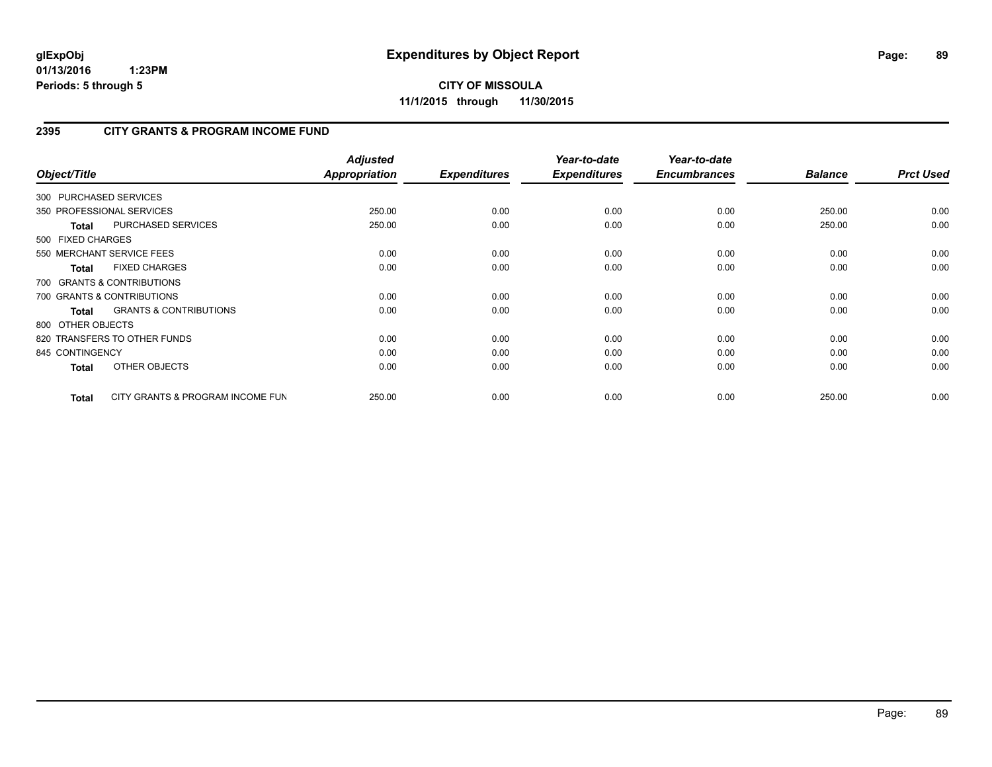**CITY OF MISSOULA 11/1/2015 through 11/30/2015**

# **2395 CITY GRANTS & PROGRAM INCOME FUND**

| Object/Title      |                                   | <b>Adjusted</b><br><b>Appropriation</b> | <b>Expenditures</b> | Year-to-date<br><b>Expenditures</b> | Year-to-date<br><b>Encumbrances</b> | <b>Balance</b> | <b>Prct Used</b> |
|-------------------|-----------------------------------|-----------------------------------------|---------------------|-------------------------------------|-------------------------------------|----------------|------------------|
|                   | 300 PURCHASED SERVICES            |                                         |                     |                                     |                                     |                |                  |
|                   | 350 PROFESSIONAL SERVICES         | 250.00                                  | 0.00                | 0.00                                | 0.00                                | 250.00         | 0.00             |
| <b>Total</b>      | <b>PURCHASED SERVICES</b>         | 250.00                                  | 0.00                | 0.00                                | 0.00                                | 250.00         | 0.00             |
| 500 FIXED CHARGES |                                   |                                         |                     |                                     |                                     |                |                  |
|                   | 550 MERCHANT SERVICE FEES         | 0.00                                    | 0.00                | 0.00                                | 0.00                                | 0.00           | 0.00             |
| <b>Total</b>      | <b>FIXED CHARGES</b>              | 0.00                                    | 0.00                | 0.00                                | 0.00                                | 0.00           | 0.00             |
|                   | 700 GRANTS & CONTRIBUTIONS        |                                         |                     |                                     |                                     |                |                  |
|                   | 700 GRANTS & CONTRIBUTIONS        | 0.00                                    | 0.00                | 0.00                                | 0.00                                | 0.00           | 0.00             |
| <b>Total</b>      | <b>GRANTS &amp; CONTRIBUTIONS</b> | 0.00                                    | 0.00                | 0.00                                | 0.00                                | 0.00           | 0.00             |
| 800 OTHER OBJECTS |                                   |                                         |                     |                                     |                                     |                |                  |
|                   | 820 TRANSFERS TO OTHER FUNDS      | 0.00                                    | 0.00                | 0.00                                | 0.00                                | 0.00           | 0.00             |
| 845 CONTINGENCY   |                                   | 0.00                                    | 0.00                | 0.00                                | 0.00                                | 0.00           | 0.00             |
| <b>Total</b>      | OTHER OBJECTS                     | 0.00                                    | 0.00                | 0.00                                | 0.00                                | 0.00           | 0.00             |
| Total             | CITY GRANTS & PROGRAM INCOME FUN  | 250.00                                  | 0.00                | 0.00                                | 0.00                                | 250.00         | 0.00             |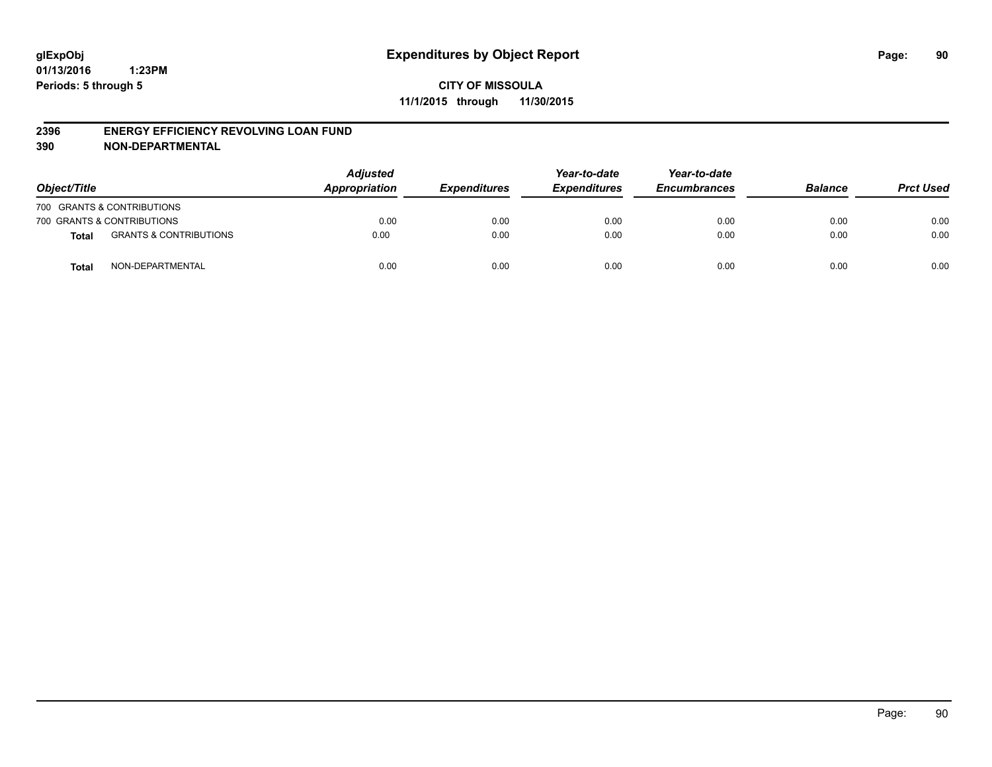#### **2396 ENERGY EFFICIENCY REVOLVING LOAN FUND**

**390 NON-DEPARTMENTAL**

| Object/Title |                                   | <b>Adjusted</b><br>Appropriation | <b>Expenditures</b> | Year-to-date<br><b>Expenditures</b> | Year-to-date<br><b>Encumbrances</b> | <b>Balance</b> | <b>Prct Used</b> |
|--------------|-----------------------------------|----------------------------------|---------------------|-------------------------------------|-------------------------------------|----------------|------------------|
|              | 700 GRANTS & CONTRIBUTIONS        |                                  |                     |                                     |                                     |                |                  |
|              | 700 GRANTS & CONTRIBUTIONS        | 0.00                             | 0.00                | 0.00                                | 0.00                                | 0.00           | 0.00             |
| <b>Total</b> | <b>GRANTS &amp; CONTRIBUTIONS</b> | 0.00                             | 0.00                | 0.00                                | 0.00                                | 0.00           | 0.00             |
| <b>Total</b> | NON-DEPARTMENTAL                  | 0.00                             | 0.00                | 0.00                                | 0.00                                | 0.00           | 0.00             |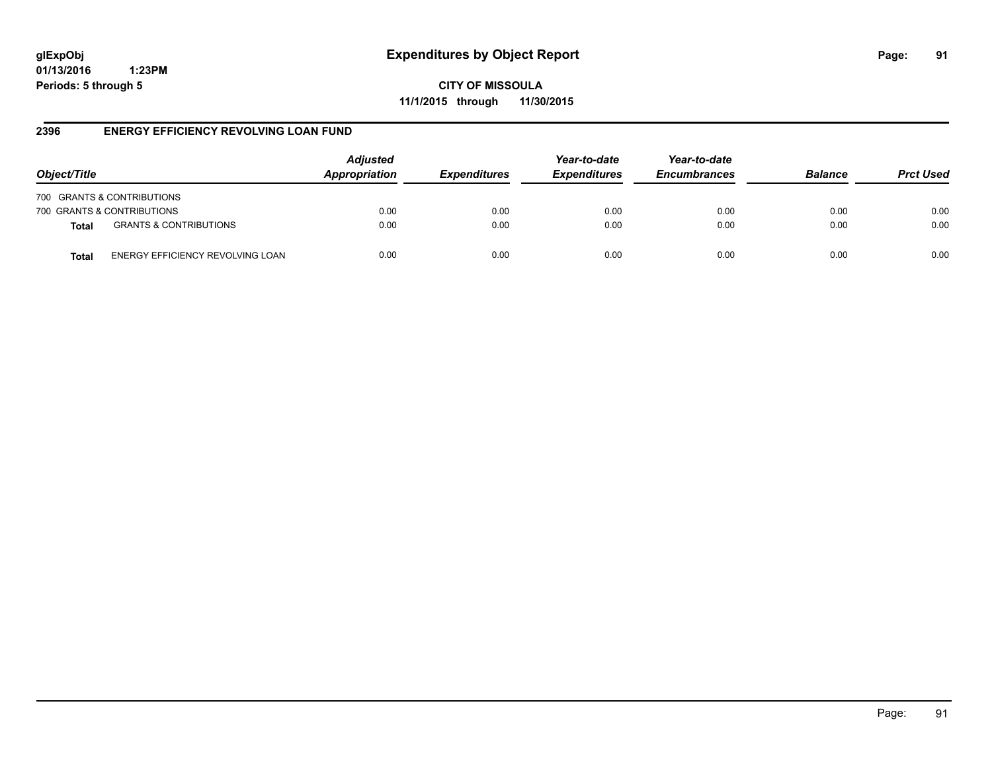**CITY OF MISSOULA 11/1/2015 through 11/30/2015**

#### **2396 ENERGY EFFICIENCY REVOLVING LOAN FUND**

| Object/Title                                      | <b>Adjusted</b><br>Appropriation | <b>Expenditures</b> | Year-to-date<br><b>Expenditures</b> | Year-to-date<br><b>Encumbrances</b> | <b>Balance</b> | <b>Prct Used</b> |
|---------------------------------------------------|----------------------------------|---------------------|-------------------------------------|-------------------------------------|----------------|------------------|
| 700 GRANTS & CONTRIBUTIONS                        |                                  |                     |                                     |                                     |                |                  |
| 700 GRANTS & CONTRIBUTIONS                        | 0.00                             | 0.00                | 0.00                                | 0.00                                | 0.00           | 0.00             |
| <b>GRANTS &amp; CONTRIBUTIONS</b><br><b>Total</b> | 0.00                             | 0.00                | 0.00                                | 0.00                                | 0.00           | 0.00             |
| ENERGY EFFICIENCY REVOLVING LOAN<br><b>Total</b>  | 0.00                             | 0.00                | 0.00                                | 0.00                                | 0.00           | 0.00             |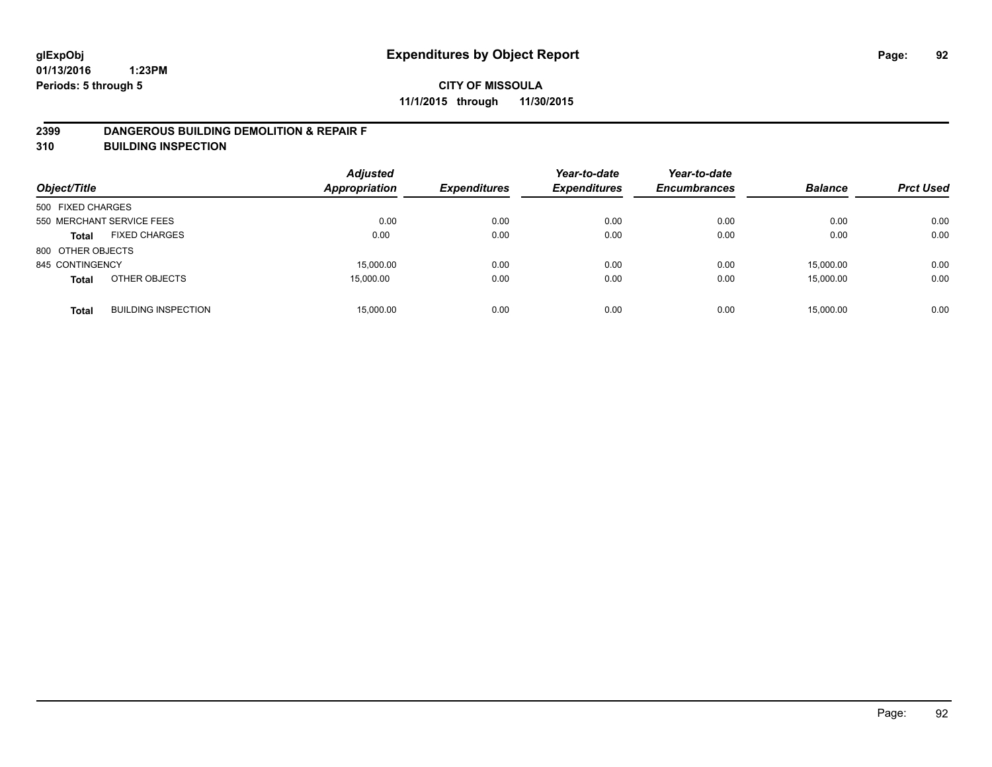#### **2399 DANGEROUS BUILDING DEMOLITION & REPAIR F**

**310 BUILDING INSPECTION**

| Object/Title      |                            | <b>Adjusted</b><br><b>Appropriation</b> | <b>Expenditures</b> | Year-to-date<br><b>Expenditures</b> | Year-to-date<br><b>Encumbrances</b> | <b>Balance</b> | <b>Prct Used</b> |
|-------------------|----------------------------|-----------------------------------------|---------------------|-------------------------------------|-------------------------------------|----------------|------------------|
| 500 FIXED CHARGES |                            |                                         |                     |                                     |                                     |                |                  |
|                   | 550 MERCHANT SERVICE FEES  | 0.00                                    | 0.00                | 0.00                                | 0.00                                | 0.00           | 0.00             |
| <b>Total</b>      | <b>FIXED CHARGES</b>       | 0.00                                    | 0.00                | 0.00                                | 0.00                                | 0.00           | 0.00             |
| 800 OTHER OBJECTS |                            |                                         |                     |                                     |                                     |                |                  |
| 845 CONTINGENCY   |                            | 15,000.00                               | 0.00                | 0.00                                | 0.00                                | 15.000.00      | 0.00             |
| <b>Total</b>      | OTHER OBJECTS              | 15,000.00                               | 0.00                | 0.00                                | 0.00                                | 15,000.00      | 0.00             |
| <b>Total</b>      | <b>BUILDING INSPECTION</b> | 15,000.00                               | 0.00                | 0.00                                | 0.00                                | 15,000.00      | 0.00             |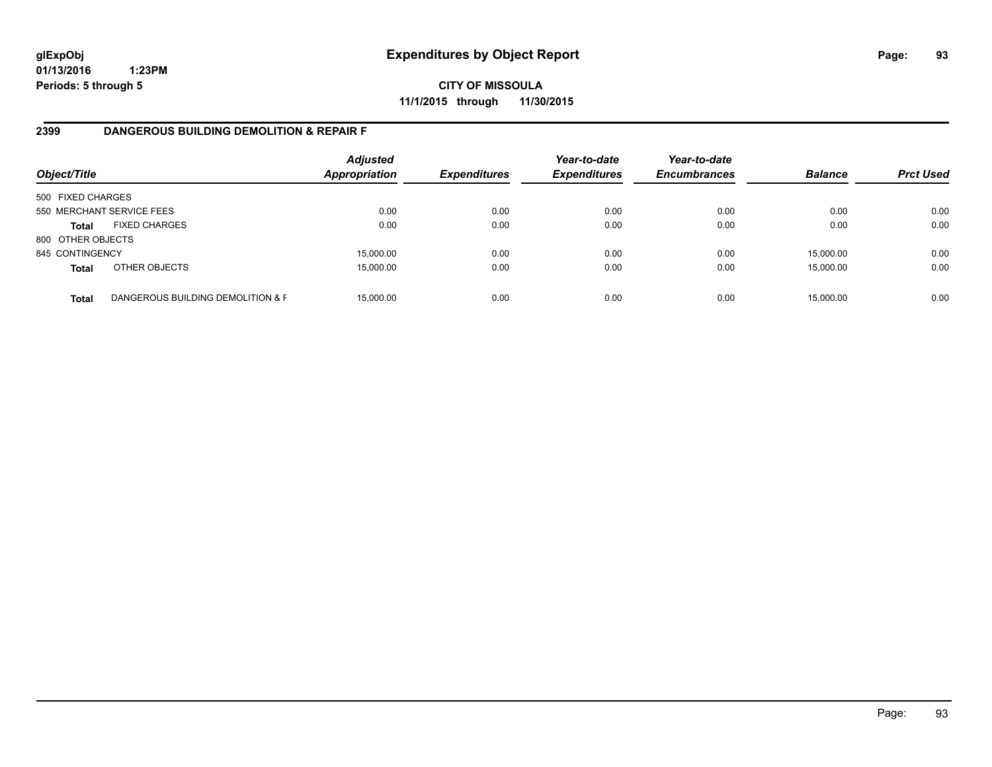**CITY OF MISSOULA 11/1/2015 through 11/30/2015**

### **2399 DANGEROUS BUILDING DEMOLITION & REPAIR F**

| Object/Title      |                                   | <b>Adjusted</b><br>Appropriation | <b>Expenditures</b> | Year-to-date<br><b>Expenditures</b> | Year-to-date<br><b>Encumbrances</b> | <b>Balance</b> | <b>Prct Used</b> |
|-------------------|-----------------------------------|----------------------------------|---------------------|-------------------------------------|-------------------------------------|----------------|------------------|
| 500 FIXED CHARGES |                                   |                                  |                     |                                     |                                     |                |                  |
|                   | 550 MERCHANT SERVICE FEES         | 0.00                             | 0.00                | 0.00                                | 0.00                                | 0.00           | 0.00             |
| <b>Total</b>      | <b>FIXED CHARGES</b>              | 0.00                             | 0.00                | 0.00                                | 0.00                                | 0.00           | 0.00             |
| 800 OTHER OBJECTS |                                   |                                  |                     |                                     |                                     |                |                  |
| 845 CONTINGENCY   |                                   | 15,000.00                        | 0.00                | 0.00                                | 0.00                                | 15,000.00      | 0.00             |
| <b>Total</b>      | OTHER OBJECTS                     | 15,000.00                        | 0.00                | 0.00                                | 0.00                                | 15,000.00      | 0.00             |
| <b>Total</b>      | DANGEROUS BUILDING DEMOLITION & F | 15,000.00                        | 0.00                | 0.00                                | 0.00                                | 15,000.00      | 0.00             |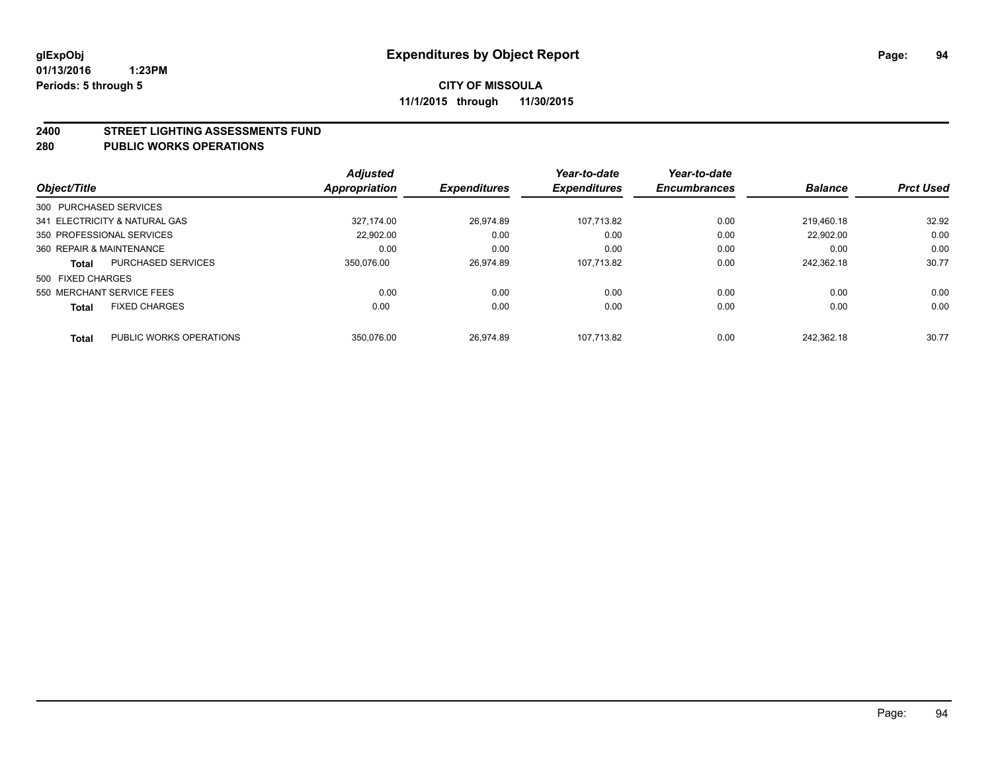#### **2400 STREET LIGHTING ASSESSMENTS FUND**

#### **280 PUBLIC WORKS OPERATIONS**

| Object/Title             |                               | <b>Adjusted</b><br>Appropriation | <b>Expenditures</b> | Year-to-date<br><b>Expenditures</b> | Year-to-date<br><b>Encumbrances</b> | <b>Balance</b> | <b>Prct Used</b> |
|--------------------------|-------------------------------|----------------------------------|---------------------|-------------------------------------|-------------------------------------|----------------|------------------|
| 300 PURCHASED SERVICES   |                               |                                  |                     |                                     |                                     |                |                  |
|                          | 341 ELECTRICITY & NATURAL GAS | 327.174.00                       | 26.974.89           | 107.713.82                          | 0.00                                | 219.460.18     | 32.92            |
|                          | 350 PROFESSIONAL SERVICES     | 22,902.00                        | 0.00                | 0.00                                | 0.00                                | 22.902.00      | 0.00             |
| 360 REPAIR & MAINTENANCE |                               | 0.00                             | 0.00                | 0.00                                | 0.00                                | 0.00           | 0.00             |
| <b>Total</b>             | <b>PURCHASED SERVICES</b>     | 350.076.00                       | 26.974.89           | 107.713.82                          | 0.00                                | 242.362.18     | 30.77            |
| 500 FIXED CHARGES        |                               |                                  |                     |                                     |                                     |                |                  |
|                          | 550 MERCHANT SERVICE FEES     | 0.00                             | 0.00                | 0.00                                | 0.00                                | 0.00           | 0.00             |
| <b>Total</b>             | <b>FIXED CHARGES</b>          | 0.00                             | 0.00                | 0.00                                | 0.00                                | 0.00           | 0.00             |
| <b>Total</b>             | PUBLIC WORKS OPERATIONS       | 350.076.00                       | 26.974.89           | 107.713.82                          | 0.00                                | 242.362.18     | 30.77            |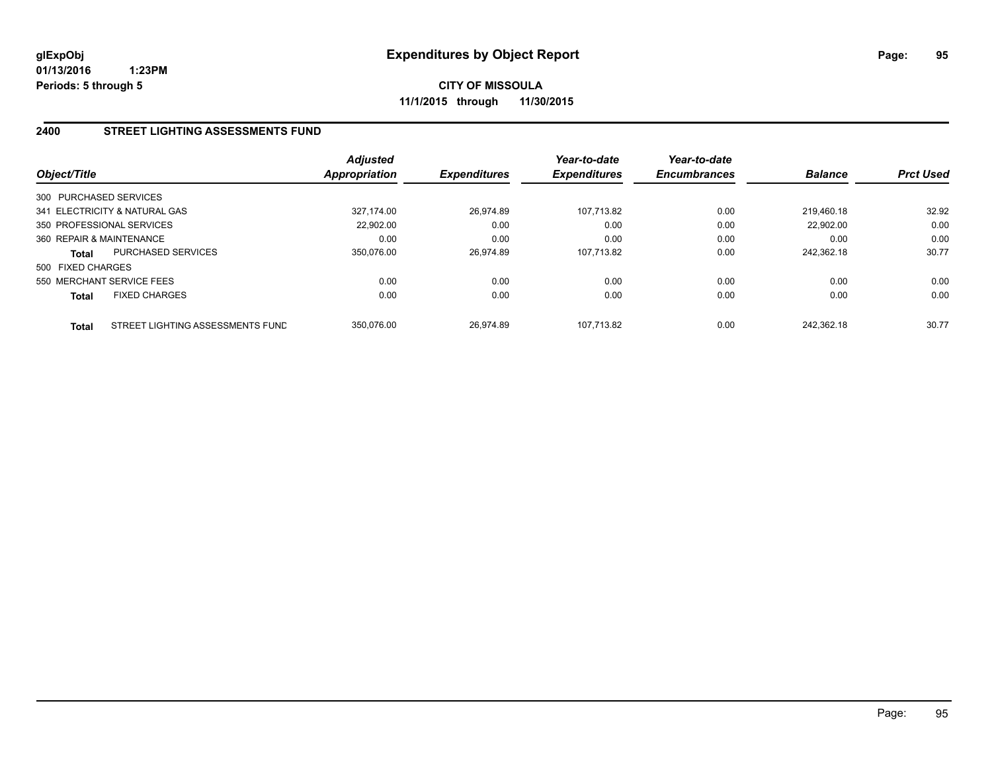**CITY OF MISSOULA 11/1/2015 through 11/30/2015**

#### **2400 STREET LIGHTING ASSESSMENTS FUND**

| Object/Title           |                                  | Adjusted<br><b>Appropriation</b> | <b>Expenditures</b> | Year-to-date<br><b>Expenditures</b> | Year-to-date<br><b>Encumbrances</b> | <b>Balance</b> | <b>Prct Used</b> |
|------------------------|----------------------------------|----------------------------------|---------------------|-------------------------------------|-------------------------------------|----------------|------------------|
| 300 PURCHASED SERVICES |                                  |                                  |                     |                                     |                                     |                |                  |
|                        | 341 ELECTRICITY & NATURAL GAS    | 327.174.00                       | 26.974.89           | 107.713.82                          | 0.00                                | 219.460.18     | 32.92            |
|                        | 350 PROFESSIONAL SERVICES        | 22.902.00                        | 0.00                | 0.00                                | 0.00                                | 22,902.00      | 0.00             |
|                        | 360 REPAIR & MAINTENANCE         | 0.00                             | 0.00                | 0.00                                | 0.00                                | 0.00           | 0.00             |
| <b>Total</b>           | <b>PURCHASED SERVICES</b>        | 350.076.00                       | 26.974.89           | 107.713.82                          | 0.00                                | 242.362.18     | 30.77            |
| 500 FIXED CHARGES      |                                  |                                  |                     |                                     |                                     |                |                  |
|                        | 550 MERCHANT SERVICE FEES        | 0.00                             | 0.00                | 0.00                                | 0.00                                | 0.00           | 0.00             |
| <b>Total</b>           | <b>FIXED CHARGES</b>             | 0.00                             | 0.00                | 0.00                                | 0.00                                | 0.00           | 0.00             |
| <b>Total</b>           | STREET LIGHTING ASSESSMENTS FUND | 350.076.00                       | 26.974.89           | 107.713.82                          | 0.00                                | 242.362.18     | 30.77            |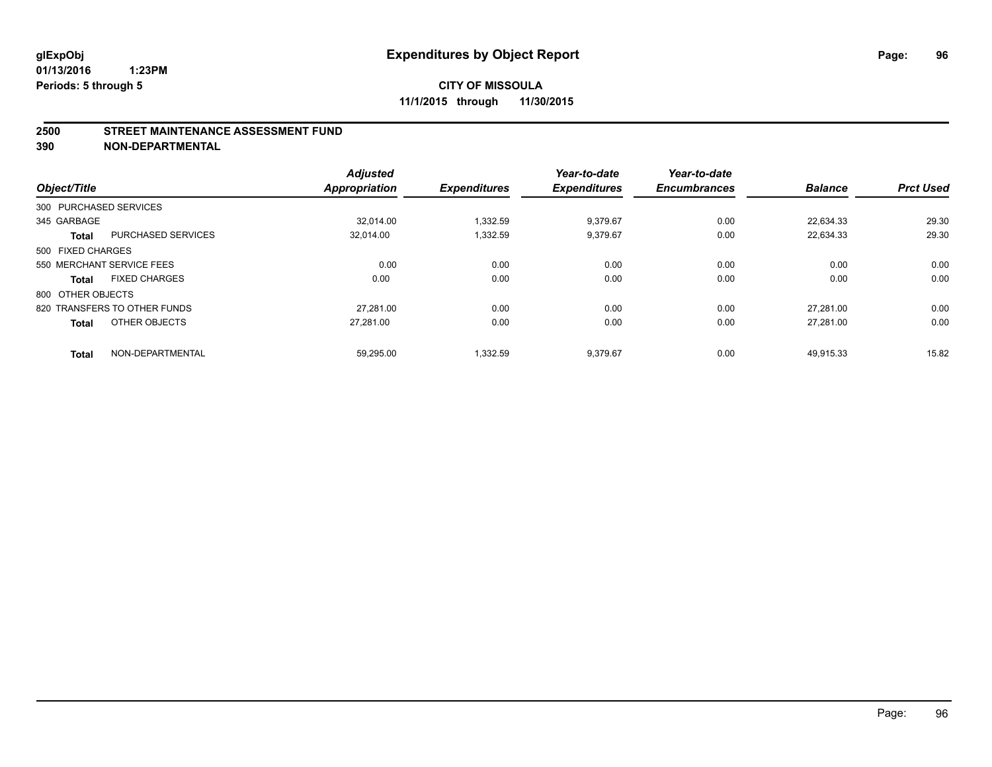#### **2500 STREET MAINTENANCE ASSESSMENT FUND**

**390 NON-DEPARTMENTAL**

| Object/Title      |                              | <b>Adjusted</b><br><b>Appropriation</b> | <b>Expenditures</b> | Year-to-date<br><b>Expenditures</b> | Year-to-date<br><b>Encumbrances</b> | <b>Balance</b> | <b>Prct Used</b> |
|-------------------|------------------------------|-----------------------------------------|---------------------|-------------------------------------|-------------------------------------|----------------|------------------|
|                   | 300 PURCHASED SERVICES       |                                         |                     |                                     |                                     |                |                  |
| 345 GARBAGE       |                              | 32.014.00                               | 1,332.59            | 9,379.67                            | 0.00                                | 22,634.33      | 29.30            |
| <b>Total</b>      | <b>PURCHASED SERVICES</b>    | 32,014.00                               | 1,332.59            | 9,379.67                            | 0.00                                | 22,634.33      | 29.30            |
| 500 FIXED CHARGES |                              |                                         |                     |                                     |                                     |                |                  |
|                   | 550 MERCHANT SERVICE FEES    | 0.00                                    | 0.00                | 0.00                                | 0.00                                | 0.00           | 0.00             |
| <b>Total</b>      | <b>FIXED CHARGES</b>         | 0.00                                    | 0.00                | 0.00                                | 0.00                                | 0.00           | 0.00             |
| 800 OTHER OBJECTS |                              |                                         |                     |                                     |                                     |                |                  |
|                   | 820 TRANSFERS TO OTHER FUNDS | 27.281.00                               | 0.00                | 0.00                                | 0.00                                | 27.281.00      | 0.00             |
| <b>Total</b>      | OTHER OBJECTS                | 27.281.00                               | 0.00                | 0.00                                | 0.00                                | 27.281.00      | 0.00             |
| <b>Total</b>      | NON-DEPARTMENTAL             | 59.295.00                               | 1.332.59            | 9.379.67                            | 0.00                                | 49.915.33      | 15.82            |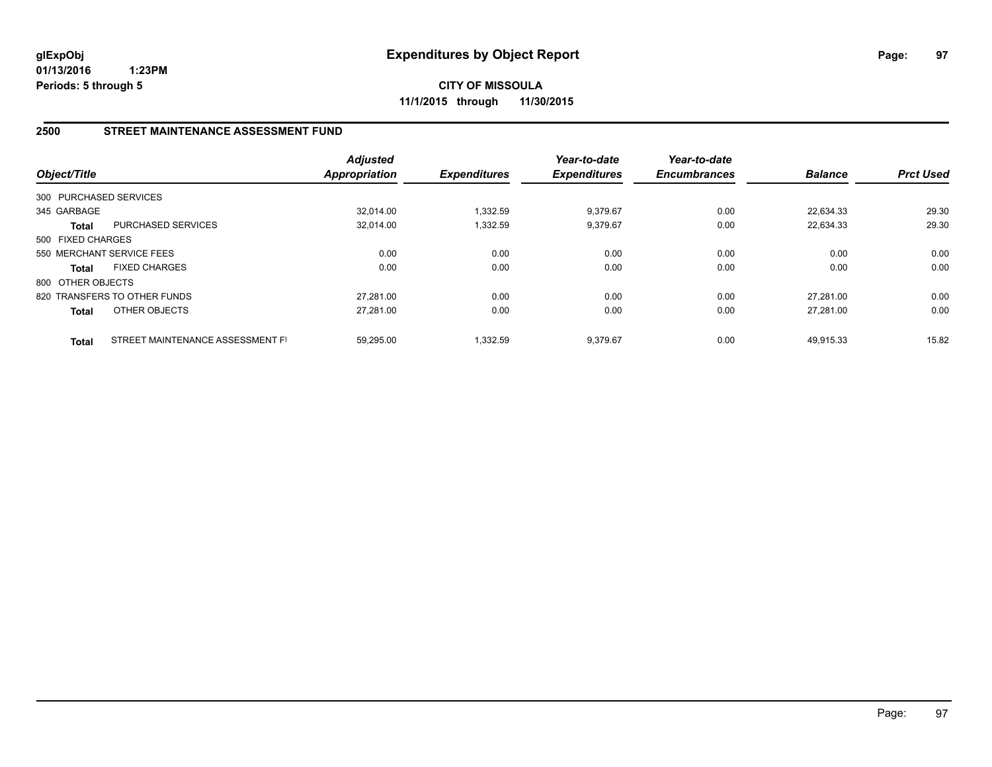**CITY OF MISSOULA 11/1/2015 through 11/30/2015**

#### **2500 STREET MAINTENANCE ASSESSMENT FUND**

| Object/Title           |                                  | <b>Adjusted</b><br><b>Appropriation</b> | <b>Expenditures</b> | Year-to-date<br><b>Expenditures</b> | Year-to-date<br><b>Encumbrances</b> | <b>Balance</b> | <b>Prct Used</b> |
|------------------------|----------------------------------|-----------------------------------------|---------------------|-------------------------------------|-------------------------------------|----------------|------------------|
| 300 PURCHASED SERVICES |                                  |                                         |                     |                                     |                                     |                |                  |
| 345 GARBAGE            |                                  | 32.014.00                               | 1,332.59            | 9,379.67                            | 0.00                                | 22.634.33      | 29.30            |
| <b>Total</b>           | PURCHASED SERVICES               | 32,014.00                               | 1,332.59            | 9,379.67                            | 0.00                                | 22,634.33      | 29.30            |
| 500 FIXED CHARGES      |                                  |                                         |                     |                                     |                                     |                |                  |
|                        | 550 MERCHANT SERVICE FEES        | 0.00                                    | 0.00                | 0.00                                | 0.00                                | 0.00           | 0.00             |
| <b>Total</b>           | <b>FIXED CHARGES</b>             | 0.00                                    | 0.00                | 0.00                                | 0.00                                | 0.00           | 0.00             |
| 800 OTHER OBJECTS      |                                  |                                         |                     |                                     |                                     |                |                  |
|                        | 820 TRANSFERS TO OTHER FUNDS     | 27.281.00                               | 0.00                | 0.00                                | 0.00                                | 27.281.00      | 0.00             |
| <b>Total</b>           | <b>OTHER OBJECTS</b>             | 27,281.00                               | 0.00                | 0.00                                | 0.00                                | 27.281.00      | 0.00             |
| <b>Total</b>           | STREET MAINTENANCE ASSESSMENT FI | 59.295.00                               | 1.332.59            | 9.379.67                            | 0.00                                | 49.915.33      | 15.82            |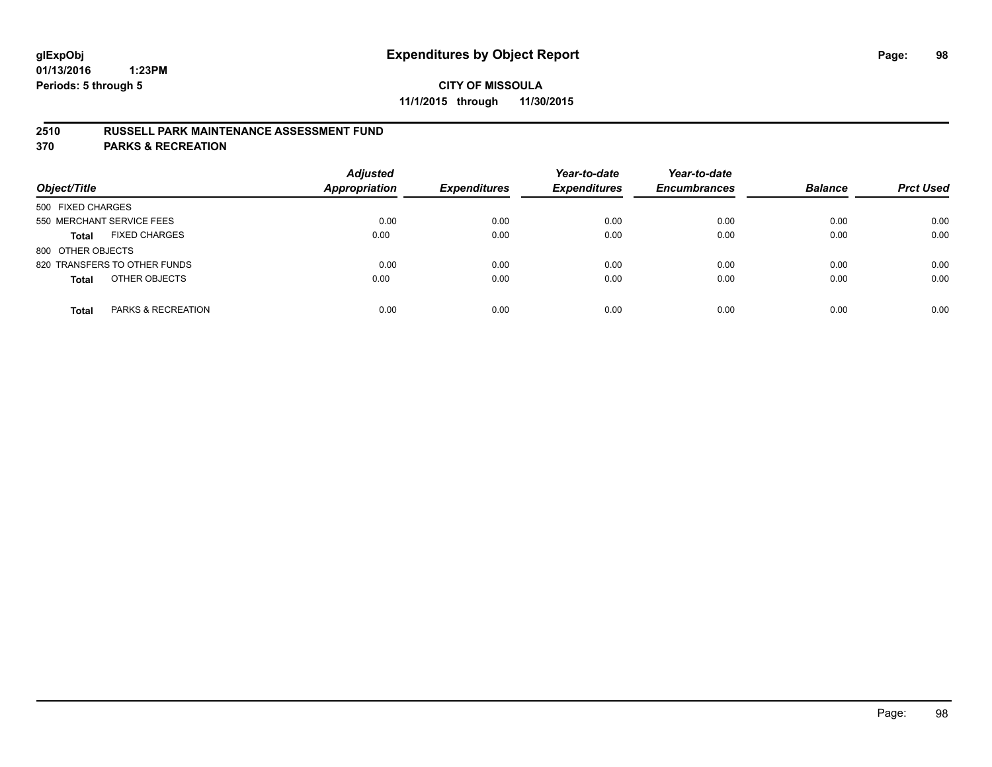### **2510 RUSSELL PARK MAINTENANCE ASSESSMENT FUND**

**370 PARKS & RECREATION**

| Object/Title                         | <b>Adjusted</b><br><b>Appropriation</b> | <b>Expenditures</b> | Year-to-date<br><b>Expenditures</b> | Year-to-date<br><b>Encumbrances</b> | <b>Balance</b> | <b>Prct Used</b> |
|--------------------------------------|-----------------------------------------|---------------------|-------------------------------------|-------------------------------------|----------------|------------------|
| 500 FIXED CHARGES                    |                                         |                     |                                     |                                     |                |                  |
| 550 MERCHANT SERVICE FEES            | 0.00                                    | 0.00                | 0.00                                | 0.00                                | 0.00           | 0.00             |
| <b>FIXED CHARGES</b><br><b>Total</b> | 0.00                                    | 0.00                | 0.00                                | 0.00                                | 0.00           | 0.00             |
| 800 OTHER OBJECTS                    |                                         |                     |                                     |                                     |                |                  |
| 820 TRANSFERS TO OTHER FUNDS         | 0.00                                    | 0.00                | 0.00                                | 0.00                                | 0.00           | 0.00             |
| OTHER OBJECTS<br><b>Total</b>        | 0.00                                    | 0.00                | 0.00                                | 0.00                                | 0.00           | 0.00             |
| PARKS & RECREATION<br><b>Total</b>   | 0.00                                    | 0.00                | 0.00                                | 0.00                                | 0.00           | 0.00             |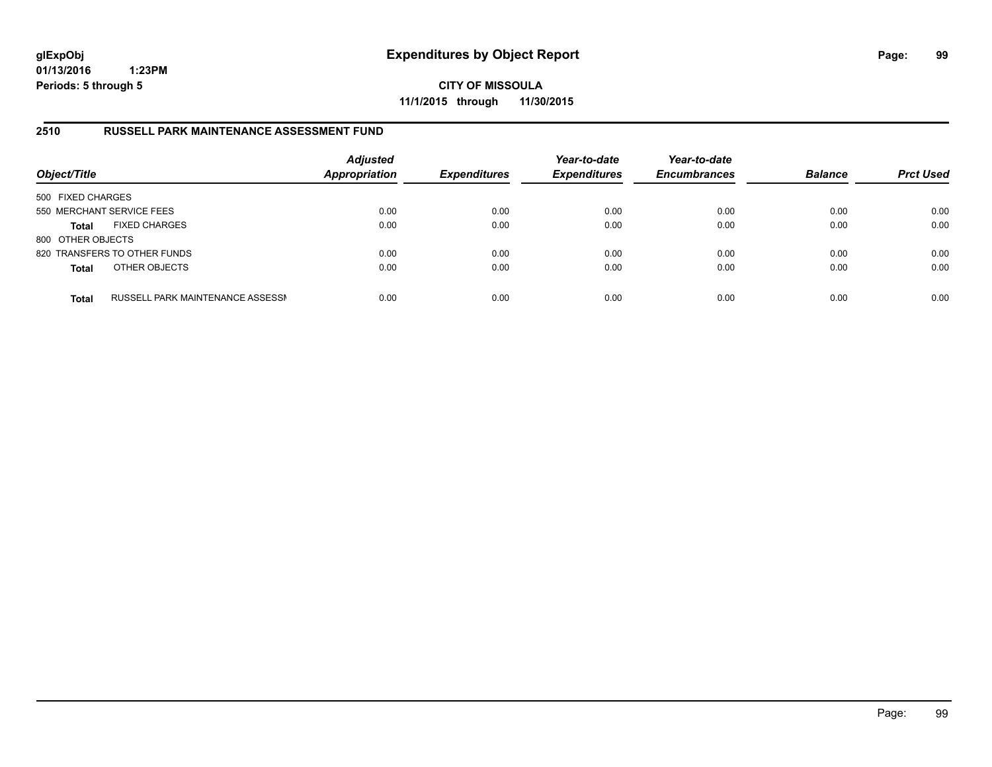**CITY OF MISSOULA 11/1/2015 through 11/30/2015**

#### **2510 RUSSELL PARK MAINTENANCE ASSESSMENT FUND**

| Object/Title              |                                  | <b>Adjusted</b><br><b>Appropriation</b> | <b>Expenditures</b> | Year-to-date<br><b>Expenditures</b> | Year-to-date<br><b>Encumbrances</b> | <b>Balance</b> | <b>Prct Used</b> |
|---------------------------|----------------------------------|-----------------------------------------|---------------------|-------------------------------------|-------------------------------------|----------------|------------------|
| 500 FIXED CHARGES         |                                  |                                         |                     |                                     |                                     |                |                  |
| 550 MERCHANT SERVICE FEES |                                  | 0.00                                    | 0.00                | 0.00                                | 0.00                                | 0.00           | 0.00             |
| <b>Total</b>              | <b>FIXED CHARGES</b>             | 0.00                                    | 0.00                | 0.00                                | 0.00                                | 0.00           | 0.00             |
| 800 OTHER OBJECTS         |                                  |                                         |                     |                                     |                                     |                |                  |
|                           | 820 TRANSFERS TO OTHER FUNDS     | 0.00                                    | 0.00                | 0.00                                | 0.00                                | 0.00           | 0.00             |
| <b>Total</b>              | OTHER OBJECTS                    | 0.00                                    | 0.00                | 0.00                                | 0.00                                | 0.00           | 0.00             |
| <b>Total</b>              | RUSSELL PARK MAINTENANCE ASSESSN | 0.00                                    | 0.00                | 0.00                                | 0.00                                | 0.00           | 0.00             |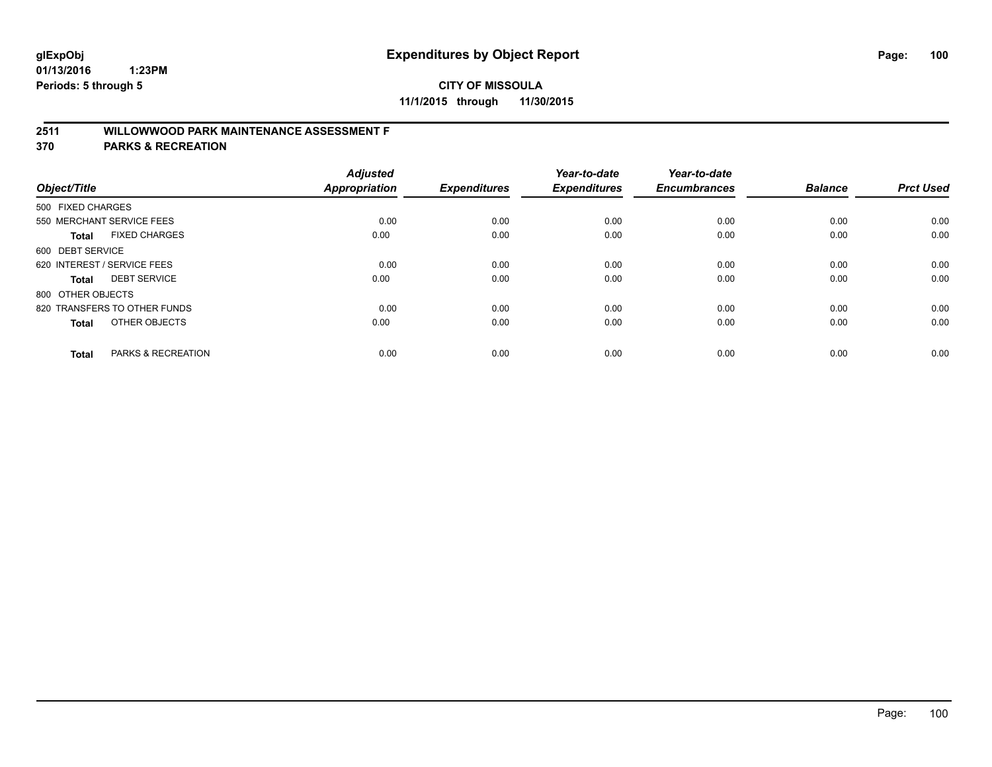# **2511 WILLOWWOOD PARK MAINTENANCE ASSESSMENT F**

**370 PARKS & RECREATION**

| Object/Title                |                               | <b>Adjusted</b><br><b>Appropriation</b> | <b>Expenditures</b> | Year-to-date<br><b>Expenditures</b> | Year-to-date<br><b>Encumbrances</b> | <b>Balance</b> | <b>Prct Used</b> |
|-----------------------------|-------------------------------|-----------------------------------------|---------------------|-------------------------------------|-------------------------------------|----------------|------------------|
| 500 FIXED CHARGES           |                               |                                         |                     |                                     |                                     |                |                  |
|                             | 550 MERCHANT SERVICE FEES     | 0.00                                    | 0.00                | 0.00                                | 0.00                                | 0.00           | 0.00             |
| <b>Total</b>                | <b>FIXED CHARGES</b>          | 0.00                                    | 0.00                | 0.00                                | 0.00                                | 0.00           | 0.00             |
| 600 DEBT SERVICE            |                               |                                         |                     |                                     |                                     |                |                  |
| 620 INTEREST / SERVICE FEES |                               | 0.00                                    | 0.00                | 0.00                                | 0.00                                | 0.00           | 0.00             |
| Total                       | <b>DEBT SERVICE</b>           | 0.00                                    | 0.00                | 0.00                                | 0.00                                | 0.00           | 0.00             |
| 800 OTHER OBJECTS           |                               |                                         |                     |                                     |                                     |                |                  |
|                             | 820 TRANSFERS TO OTHER FUNDS  | 0.00                                    | 0.00                | 0.00                                | 0.00                                | 0.00           | 0.00             |
| Total                       | OTHER OBJECTS                 | 0.00                                    | 0.00                | 0.00                                | 0.00                                | 0.00           | 0.00             |
|                             |                               |                                         |                     |                                     |                                     |                |                  |
| <b>Total</b>                | <b>PARKS &amp; RECREATION</b> | 0.00                                    | 0.00                | 0.00                                | 0.00                                | 0.00           | 0.00             |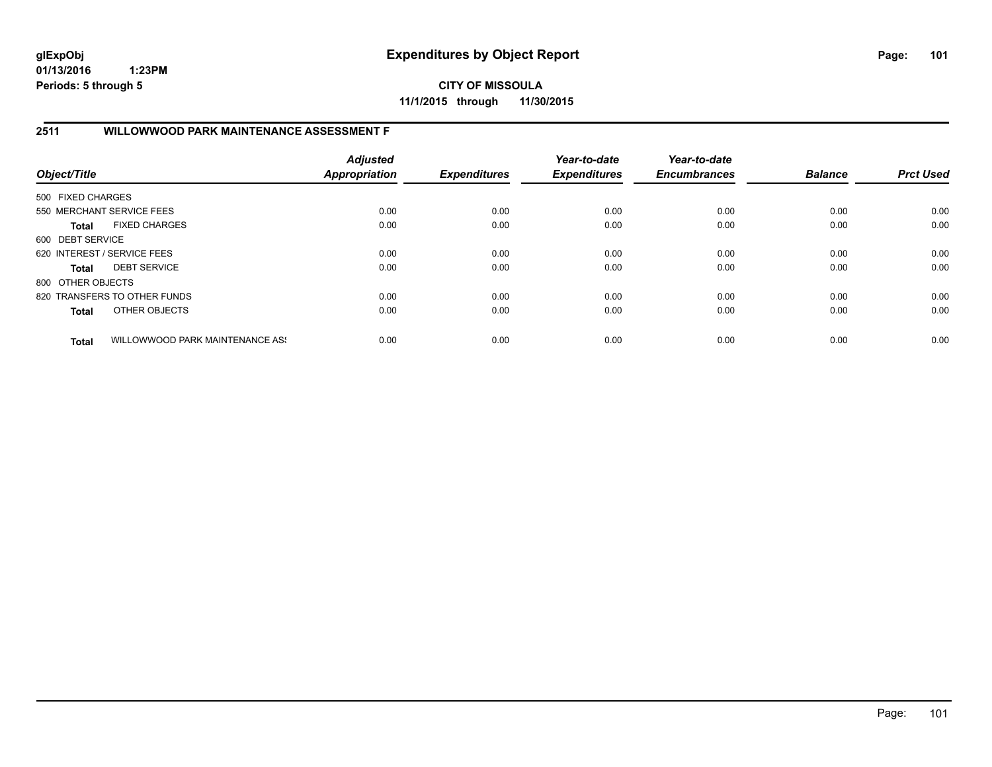**CITY OF MISSOULA 11/1/2015 through 11/30/2015**

# **2511 WILLOWWOOD PARK MAINTENANCE ASSESSMENT F**

| Object/Title                |                                 | <b>Adjusted</b><br><b>Appropriation</b> | <b>Expenditures</b> | Year-to-date<br><b>Expenditures</b> | Year-to-date<br><b>Encumbrances</b> | <b>Balance</b> | <b>Prct Used</b> |
|-----------------------------|---------------------------------|-----------------------------------------|---------------------|-------------------------------------|-------------------------------------|----------------|------------------|
| 500 FIXED CHARGES           |                                 |                                         |                     |                                     |                                     |                |                  |
|                             | 550 MERCHANT SERVICE FEES       | 0.00                                    | 0.00                | 0.00                                | 0.00                                | 0.00           | 0.00             |
| <b>Total</b>                | <b>FIXED CHARGES</b>            | 0.00                                    | 0.00                | 0.00                                | 0.00                                | 0.00           | 0.00             |
| 600 DEBT SERVICE            |                                 |                                         |                     |                                     |                                     |                |                  |
| 620 INTEREST / SERVICE FEES |                                 | 0.00                                    | 0.00                | 0.00                                | 0.00                                | 0.00           | 0.00             |
| <b>Total</b>                | <b>DEBT SERVICE</b>             | 0.00                                    | 0.00                | 0.00                                | 0.00                                | 0.00           | 0.00             |
| 800 OTHER OBJECTS           |                                 |                                         |                     |                                     |                                     |                |                  |
|                             | 820 TRANSFERS TO OTHER FUNDS    | 0.00                                    | 0.00                | 0.00                                | 0.00                                | 0.00           | 0.00             |
| <b>Total</b>                | OTHER OBJECTS                   | 0.00                                    | 0.00                | 0.00                                | 0.00                                | 0.00           | 0.00             |
| <b>Total</b>                | WILLOWWOOD PARK MAINTENANCE ASS | 0.00                                    | 0.00                | 0.00                                | 0.00                                | 0.00           | 0.00             |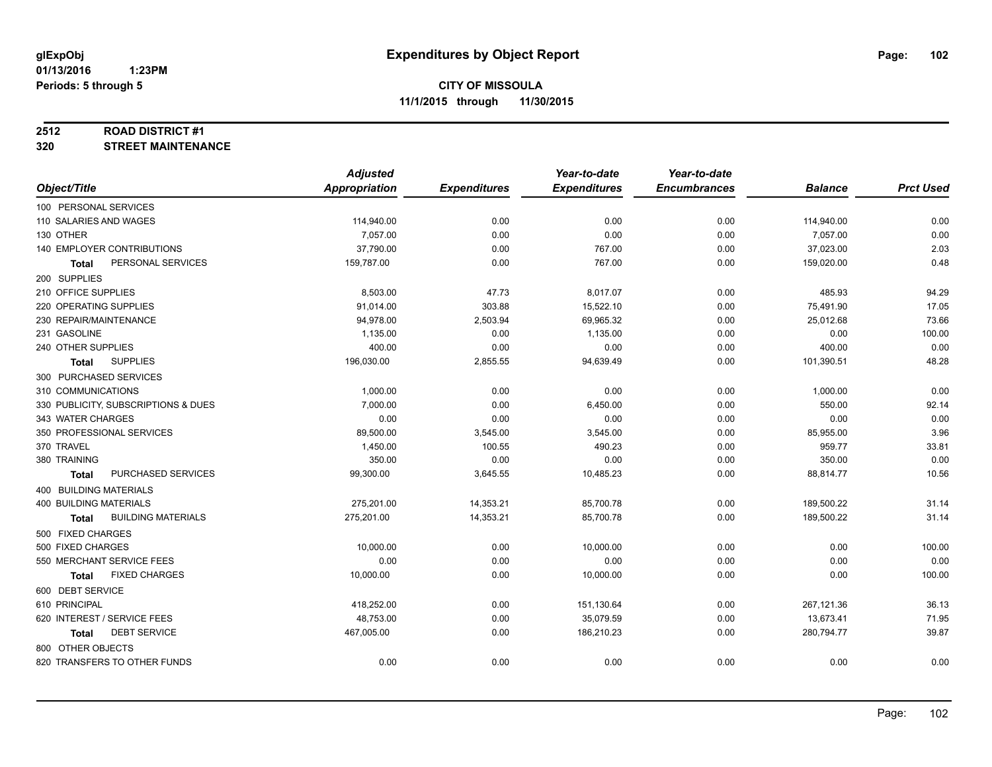#### **2512 ROAD DISTRICT #1**

**320 STREET MAINTENANCE**

|                                      | <b>Adjusted</b> |                     | Year-to-date        | Year-to-date        |                |                  |
|--------------------------------------|-----------------|---------------------|---------------------|---------------------|----------------|------------------|
| Object/Title                         | Appropriation   | <b>Expenditures</b> | <b>Expenditures</b> | <b>Encumbrances</b> | <b>Balance</b> | <b>Prct Used</b> |
| 100 PERSONAL SERVICES                |                 |                     |                     |                     |                |                  |
| 110 SALARIES AND WAGES               | 114,940.00      | 0.00                | 0.00                | 0.00                | 114,940.00     | 0.00             |
| 130 OTHER                            | 7,057.00        | 0.00                | 0.00                | 0.00                | 7,057.00       | 0.00             |
| 140 EMPLOYER CONTRIBUTIONS           | 37,790.00       | 0.00                | 767.00              | 0.00                | 37,023.00      | 2.03             |
| PERSONAL SERVICES<br><b>Total</b>    | 159,787.00      | 0.00                | 767.00              | 0.00                | 159,020.00     | 0.48             |
| 200 SUPPLIES                         |                 |                     |                     |                     |                |                  |
| 210 OFFICE SUPPLIES                  | 8,503.00        | 47.73               | 8,017.07            | 0.00                | 485.93         | 94.29            |
| 220 OPERATING SUPPLIES               | 91,014.00       | 303.88              | 15,522.10           | 0.00                | 75,491.90      | 17.05            |
| 230 REPAIR/MAINTENANCE               | 94,978.00       | 2,503.94            | 69,965.32           | 0.00                | 25,012.68      | 73.66            |
| 231 GASOLINE                         | 1,135.00        | 0.00                | 1,135.00            | 0.00                | 0.00           | 100.00           |
| 240 OTHER SUPPLIES                   | 400.00          | 0.00                | 0.00                | 0.00                | 400.00         | 0.00             |
| <b>SUPPLIES</b><br>Total             | 196,030.00      | 2,855.55            | 94,639.49           | 0.00                | 101,390.51     | 48.28            |
| 300 PURCHASED SERVICES               |                 |                     |                     |                     |                |                  |
| 310 COMMUNICATIONS                   | 1,000.00        | 0.00                | 0.00                | 0.00                | 1,000.00       | 0.00             |
| 330 PUBLICITY, SUBSCRIPTIONS & DUES  | 7,000.00        | 0.00                | 6,450.00            | 0.00                | 550.00         | 92.14            |
| 343 WATER CHARGES                    | 0.00            | 0.00                | 0.00                | 0.00                | 0.00           | 0.00             |
| 350 PROFESSIONAL SERVICES            | 89,500.00       | 3,545.00            | 3,545.00            | 0.00                | 85,955.00      | 3.96             |
| 370 TRAVEL                           | 1,450.00        | 100.55              | 490.23              | 0.00                | 959.77         | 33.81            |
| 380 TRAINING                         | 350.00          | 0.00                | 0.00                | 0.00                | 350.00         | 0.00             |
| PURCHASED SERVICES<br><b>Total</b>   | 99,300.00       | 3,645.55            | 10,485.23           | 0.00                | 88,814.77      | 10.56            |
| 400 BUILDING MATERIALS               |                 |                     |                     |                     |                |                  |
| <b>400 BUILDING MATERIALS</b>        | 275,201.00      | 14,353.21           | 85,700.78           | 0.00                | 189,500.22     | 31.14            |
| <b>BUILDING MATERIALS</b><br>Total   | 275,201.00      | 14,353.21           | 85,700.78           | 0.00                | 189,500.22     | 31.14            |
| 500 FIXED CHARGES                    |                 |                     |                     |                     |                |                  |
| 500 FIXED CHARGES                    | 10,000.00       | 0.00                | 10,000.00           | 0.00                | 0.00           | 100.00           |
| 550 MERCHANT SERVICE FEES            | 0.00            | 0.00                | 0.00                | 0.00                | 0.00           | 0.00             |
| <b>FIXED CHARGES</b><br><b>Total</b> | 10,000.00       | 0.00                | 10,000.00           | 0.00                | 0.00           | 100.00           |
| 600 DEBT SERVICE                     |                 |                     |                     |                     |                |                  |
| 610 PRINCIPAL                        | 418,252.00      | 0.00                | 151,130.64          | 0.00                | 267,121.36     | 36.13            |
| 620 INTEREST / SERVICE FEES          | 48,753.00       | 0.00                | 35,079.59           | 0.00                | 13,673.41      | 71.95            |
| <b>DEBT SERVICE</b><br>Total         | 467,005.00      | 0.00                | 186,210.23          | 0.00                | 280,794.77     | 39.87            |
| 800 OTHER OBJECTS                    |                 |                     |                     |                     |                |                  |
| 820 TRANSFERS TO OTHER FUNDS         | 0.00            | 0.00                | 0.00                | 0.00                | 0.00           | 0.00             |
|                                      |                 |                     |                     |                     |                |                  |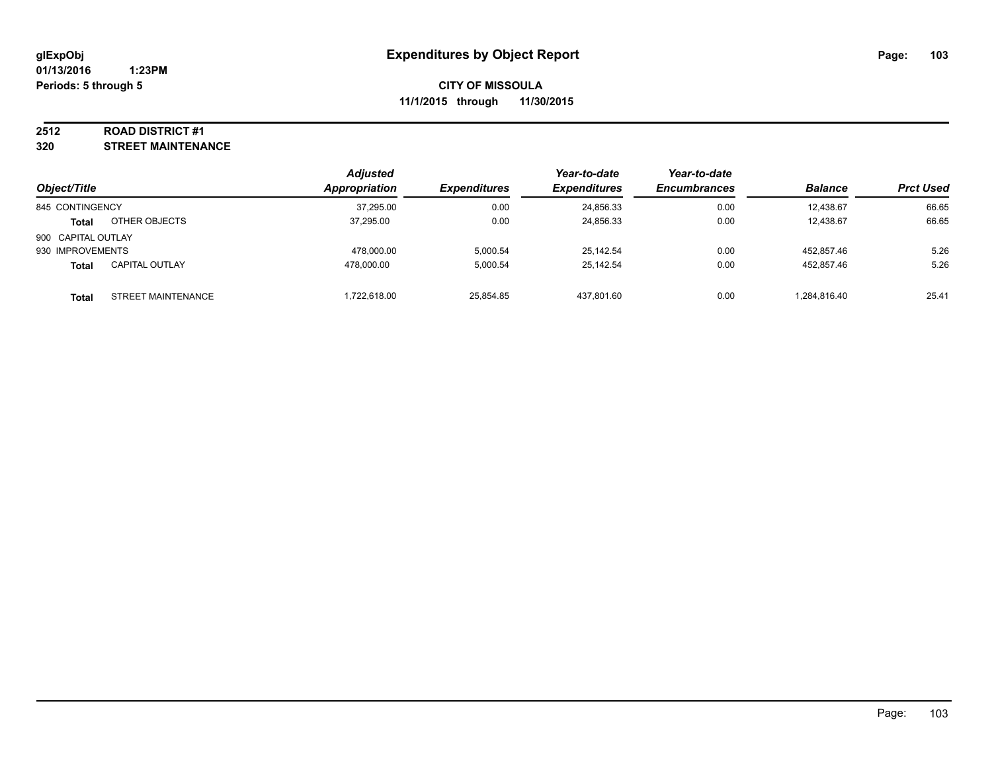#### **2512 ROAD DISTRICT #1**

**320 STREET MAINTENANCE**

|                    |                       | <b>Adjusted</b> |                     | Year-to-date        | Year-to-date        |                |                  |
|--------------------|-----------------------|-----------------|---------------------|---------------------|---------------------|----------------|------------------|
| Object/Title       |                       | Appropriation   | <b>Expenditures</b> | <b>Expenditures</b> | <b>Encumbrances</b> | <b>Balance</b> | <b>Prct Used</b> |
| 845 CONTINGENCY    |                       | 37,295.00       | 0.00                | 24,856.33           | 0.00                | 12.438.67      | 66.65            |
| <b>Total</b>       | OTHER OBJECTS         | 37.295.00       | 0.00                | 24,856.33           | 0.00                | 12.438.67      | 66.65            |
| 900 CAPITAL OUTLAY |                       |                 |                     |                     |                     |                |                  |
| 930 IMPROVEMENTS   |                       | 478.000.00      | 5.000.54            | 25.142.54           | 0.00                | 452.857.46     | 5.26             |
| <b>Total</b>       | <b>CAPITAL OUTLAY</b> | 478.000.00      | 5.000.54            | 25,142.54           | 0.00                | 452.857.46     | 5.26             |
| <b>Total</b>       | STREET MAINTENANCE    | 1.722.618.00    | 25,854.85           | 437,801.60          | 0.00                | 1,284,816.40   | 25.41            |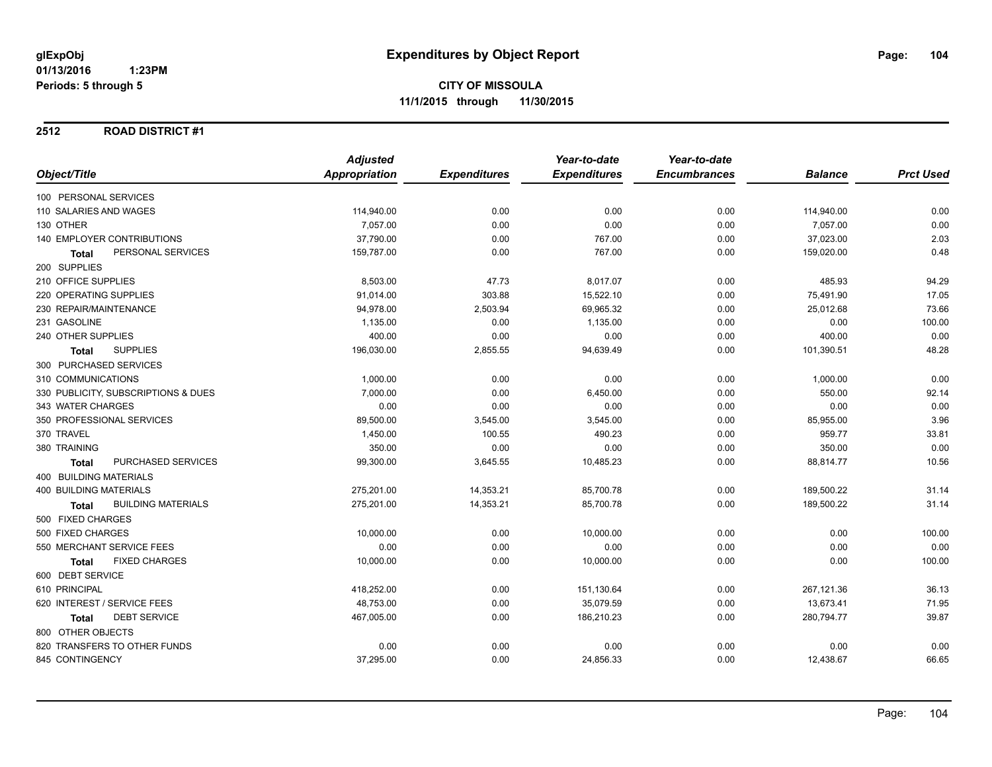#### **2512 ROAD DISTRICT #1**

|                               |                                     | <b>Adjusted</b> |                     | Year-to-date        | Year-to-date        |                |                  |
|-------------------------------|-------------------------------------|-----------------|---------------------|---------------------|---------------------|----------------|------------------|
| Object/Title                  |                                     | Appropriation   | <b>Expenditures</b> | <b>Expenditures</b> | <b>Encumbrances</b> | <b>Balance</b> | <b>Prct Used</b> |
| 100 PERSONAL SERVICES         |                                     |                 |                     |                     |                     |                |                  |
|                               | 110 SALARIES AND WAGES              | 114,940.00      | 0.00                | 0.00                | 0.00                | 114,940.00     | 0.00             |
| 130 OTHER                     |                                     | 7,057.00        | 0.00                | 0.00                | 0.00                | 7,057.00       | 0.00             |
|                               | <b>140 EMPLOYER CONTRIBUTIONS</b>   | 37,790.00       | 0.00                | 767.00              | 0.00                | 37,023.00      | 2.03             |
| <b>Total</b>                  | PERSONAL SERVICES                   | 159,787.00      | 0.00                | 767.00              | 0.00                | 159,020.00     | 0.48             |
| 200 SUPPLIES                  |                                     |                 |                     |                     |                     |                |                  |
| 210 OFFICE SUPPLIES           |                                     | 8,503.00        | 47.73               | 8,017.07            | 0.00                | 485.93         | 94.29            |
| 220 OPERATING SUPPLIES        |                                     | 91,014.00       | 303.88              | 15,522.10           | 0.00                | 75,491.90      | 17.05            |
|                               | 230 REPAIR/MAINTENANCE              | 94,978.00       | 2,503.94            | 69,965.32           | 0.00                | 25,012.68      | 73.66            |
| 231 GASOLINE                  |                                     | 1,135.00        | 0.00                | 1,135.00            | 0.00                | 0.00           | 100.00           |
| 240 OTHER SUPPLIES            |                                     | 400.00          | 0.00                | 0.00                | 0.00                | 400.00         | 0.00             |
| <b>Total</b>                  | <b>SUPPLIES</b>                     | 196,030.00      | 2,855.55            | 94,639.49           | 0.00                | 101,390.51     | 48.28            |
|                               | 300 PURCHASED SERVICES              |                 |                     |                     |                     |                |                  |
| 310 COMMUNICATIONS            |                                     | 1,000.00        | 0.00                | 0.00                | 0.00                | 1,000.00       | 0.00             |
|                               | 330 PUBLICITY, SUBSCRIPTIONS & DUES | 7,000.00        | 0.00                | 6,450.00            | 0.00                | 550.00         | 92.14            |
| 343 WATER CHARGES             |                                     | 0.00            | 0.00                | 0.00                | 0.00                | 0.00           | 0.00             |
|                               | 350 PROFESSIONAL SERVICES           | 89,500.00       | 3,545.00            | 3,545.00            | 0.00                | 85,955.00      | 3.96             |
| 370 TRAVEL                    |                                     | 1,450.00        | 100.55              | 490.23              | 0.00                | 959.77         | 33.81            |
| 380 TRAINING                  |                                     | 350.00          | 0.00                | 0.00                | 0.00                | 350.00         | 0.00             |
| Total                         | <b>PURCHASED SERVICES</b>           | 99,300.00       | 3,645.55            | 10,485.23           | 0.00                | 88,814.77      | 10.56            |
| <b>400 BUILDING MATERIALS</b> |                                     |                 |                     |                     |                     |                |                  |
| <b>400 BUILDING MATERIALS</b> |                                     | 275,201.00      | 14,353.21           | 85,700.78           | 0.00                | 189,500.22     | 31.14            |
| <b>Total</b>                  | <b>BUILDING MATERIALS</b>           | 275,201.00      | 14,353.21           | 85,700.78           | 0.00                | 189,500.22     | 31.14            |
| 500 FIXED CHARGES             |                                     |                 |                     |                     |                     |                |                  |
| 500 FIXED CHARGES             |                                     | 10,000.00       | 0.00                | 10,000.00           | 0.00                | 0.00           | 100.00           |
|                               | 550 MERCHANT SERVICE FEES           | 0.00            | 0.00                | 0.00                | 0.00                | 0.00           | 0.00             |
| Total                         | <b>FIXED CHARGES</b>                | 10,000.00       | 0.00                | 10,000.00           | 0.00                | 0.00           | 100.00           |
| 600 DEBT SERVICE              |                                     |                 |                     |                     |                     |                |                  |
| 610 PRINCIPAL                 |                                     | 418,252.00      | 0.00                | 151,130.64          | 0.00                | 267,121.36     | 36.13            |
|                               | 620 INTEREST / SERVICE FEES         | 48,753.00       | 0.00                | 35,079.59           | 0.00                | 13,673.41      | 71.95            |
| <b>Total</b>                  | <b>DEBT SERVICE</b>                 | 467,005.00      | 0.00                | 186,210.23          | 0.00                | 280,794.77     | 39.87            |
| 800 OTHER OBJECTS             |                                     |                 |                     |                     |                     |                |                  |
|                               | 820 TRANSFERS TO OTHER FUNDS        | 0.00            | 0.00                | 0.00                | 0.00                | 0.00           | 0.00             |
| 845 CONTINGENCY               |                                     | 37,295.00       | 0.00                | 24,856.33           | 0.00                | 12,438.67      | 66.65            |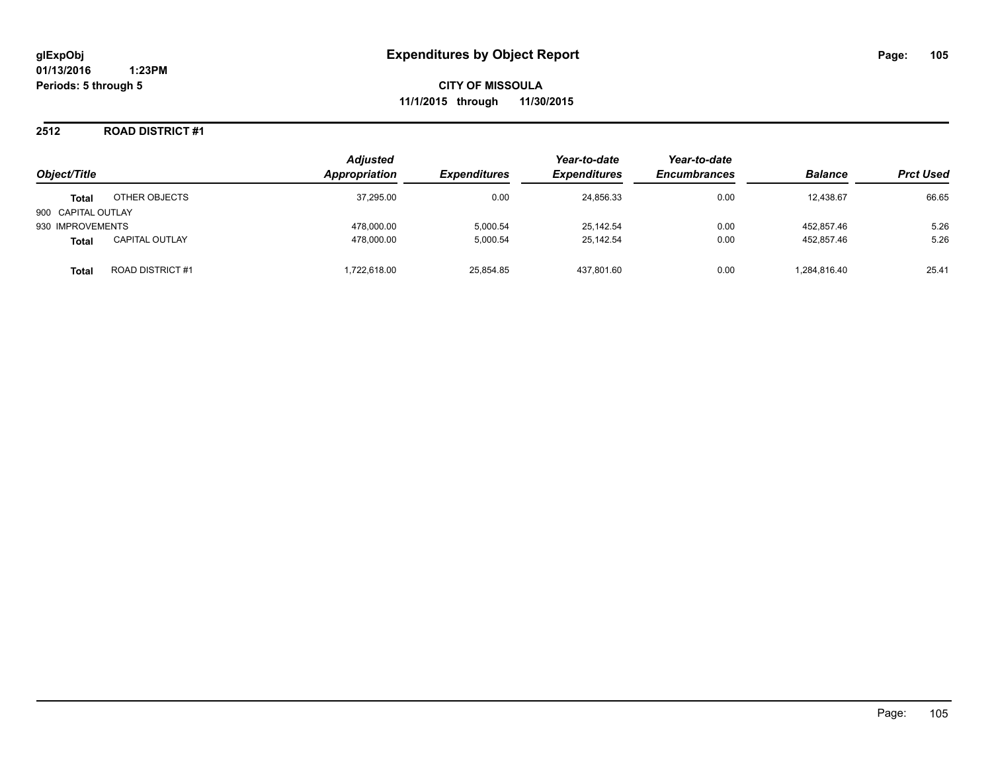**CITY OF MISSOULA 11/1/2015 through 11/30/2015**

#### **2512 ROAD DISTRICT #1**

| Object/Title       |                         | <b>Adjusted</b><br>Appropriation | <b>Expenditures</b> | Year-to-date<br><b>Expenditures</b> | Year-to-date<br><b>Encumbrances</b> | <b>Balance</b> | <b>Prct Used</b> |
|--------------------|-------------------------|----------------------------------|---------------------|-------------------------------------|-------------------------------------|----------------|------------------|
| <b>Total</b>       | OTHER OBJECTS           | 37,295.00                        | 0.00                | 24,856.33                           | 0.00                                | 12,438.67      | 66.65            |
| 900 CAPITAL OUTLAY |                         |                                  |                     |                                     |                                     |                |                  |
| 930 IMPROVEMENTS   |                         | 478.000.00                       | 5.000.54            | 25.142.54                           | 0.00                                | 452.857.46     | 5.26             |
| <b>Total</b>       | <b>CAPITAL OUTLAY</b>   | 478.000.00                       | 5.000.54            | 25.142.54                           | 0.00                                | 452.857.46     | 5.26             |
| Total              | <b>ROAD DISTRICT #1</b> | .722.618.00                      | 25.854.85           | 437.801.60                          | 0.00                                | 1,284,816.40   | 25.41            |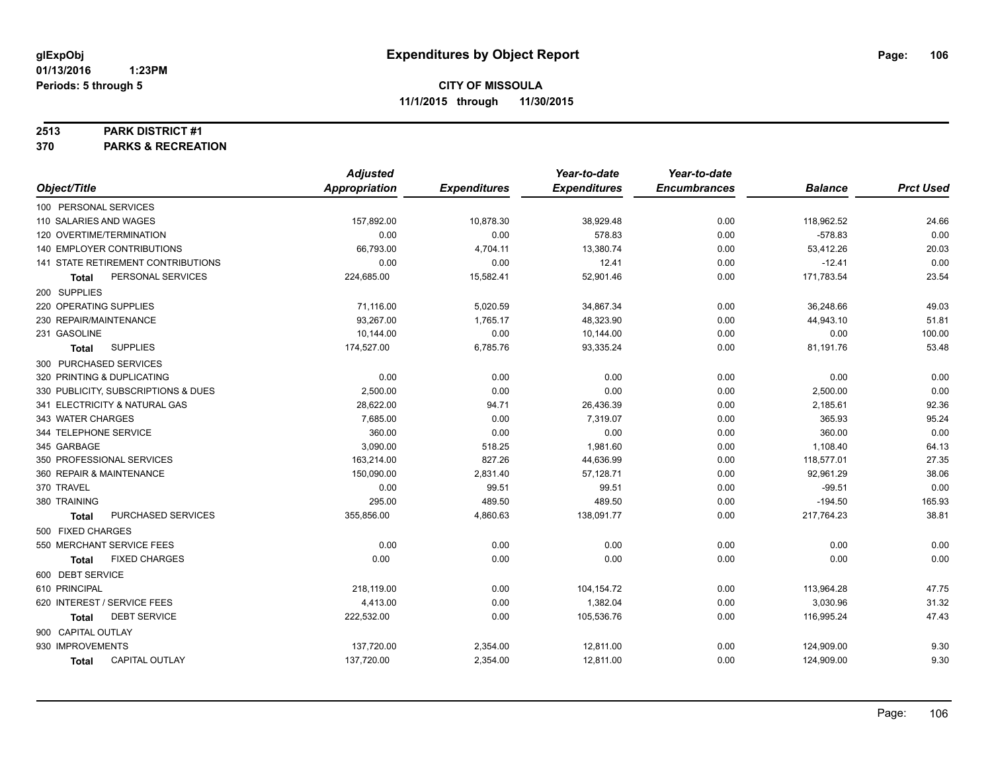#### **2513 PARK DISTRICT #1**

**370 PARKS & RECREATION**

|                                       | <b>Adjusted</b>      |                     | Year-to-date        | Year-to-date        |                |                  |
|---------------------------------------|----------------------|---------------------|---------------------|---------------------|----------------|------------------|
| Object/Title                          | <b>Appropriation</b> | <b>Expenditures</b> | <b>Expenditures</b> | <b>Encumbrances</b> | <b>Balance</b> | <b>Prct Used</b> |
| 100 PERSONAL SERVICES                 |                      |                     |                     |                     |                |                  |
| 110 SALARIES AND WAGES                | 157,892.00           | 10,878.30           | 38,929.48           | 0.00                | 118,962.52     | 24.66            |
| 120 OVERTIME/TERMINATION              | 0.00                 | 0.00                | 578.83              | 0.00                | $-578.83$      | 0.00             |
| <b>140 EMPLOYER CONTRIBUTIONS</b>     | 66,793.00            | 4,704.11            | 13,380.74           | 0.00                | 53,412.26      | 20.03            |
| 141 STATE RETIREMENT CONTRIBUTIONS    | 0.00                 | 0.00                | 12.41               | 0.00                | $-12.41$       | 0.00             |
| PERSONAL SERVICES<br>Total            | 224,685.00           | 15,582.41           | 52,901.46           | 0.00                | 171,783.54     | 23.54            |
| 200 SUPPLIES                          |                      |                     |                     |                     |                |                  |
| 220 OPERATING SUPPLIES                | 71,116.00            | 5,020.59            | 34,867.34           | 0.00                | 36,248.66      | 49.03            |
| 230 REPAIR/MAINTENANCE                | 93,267.00            | 1,765.17            | 48,323.90           | 0.00                | 44,943.10      | 51.81            |
| 231 GASOLINE                          | 10,144.00            | 0.00                | 10,144.00           | 0.00                | 0.00           | 100.00           |
| <b>SUPPLIES</b><br>Total              | 174,527.00           | 6,785.76            | 93,335.24           | 0.00                | 81,191.76      | 53.48            |
| 300 PURCHASED SERVICES                |                      |                     |                     |                     |                |                  |
| 320 PRINTING & DUPLICATING            | 0.00                 | 0.00                | 0.00                | 0.00                | 0.00           | 0.00             |
| 330 PUBLICITY, SUBSCRIPTIONS & DUES   | 2,500.00             | 0.00                | 0.00                | 0.00                | 2,500.00       | 0.00             |
| 341 ELECTRICITY & NATURAL GAS         | 28,622.00            | 94.71               | 26,436.39           | 0.00                | 2,185.61       | 92.36            |
| 343 WATER CHARGES                     | 7,685.00             | 0.00                | 7,319.07            | 0.00                | 365.93         | 95.24            |
| 344 TELEPHONE SERVICE                 | 360.00               | 0.00                | 0.00                | 0.00                | 360.00         | 0.00             |
| 345 GARBAGE                           | 3,090.00             | 518.25              | 1,981.60            | 0.00                | 1,108.40       | 64.13            |
| 350 PROFESSIONAL SERVICES             | 163,214.00           | 827.26              | 44,636.99           | 0.00                | 118,577.01     | 27.35            |
| 360 REPAIR & MAINTENANCE              | 150,090.00           | 2,831.40            | 57,128.71           | 0.00                | 92,961.29      | 38.06            |
| 370 TRAVEL                            | 0.00                 | 99.51               | 99.51               | 0.00                | $-99.51$       | 0.00             |
| 380 TRAINING                          | 295.00               | 489.50              | 489.50              | 0.00                | $-194.50$      | 165.93           |
| PURCHASED SERVICES<br><b>Total</b>    | 355,856.00           | 4,860.63            | 138,091.77          | 0.00                | 217,764.23     | 38.81            |
| 500 FIXED CHARGES                     |                      |                     |                     |                     |                |                  |
| 550 MERCHANT SERVICE FEES             | 0.00                 | 0.00                | 0.00                | 0.00                | 0.00           | 0.00             |
| <b>FIXED CHARGES</b><br><b>Total</b>  | 0.00                 | 0.00                | 0.00                | 0.00                | 0.00           | 0.00             |
| 600 DEBT SERVICE                      |                      |                     |                     |                     |                |                  |
| 610 PRINCIPAL                         | 218,119.00           | 0.00                | 104,154.72          | 0.00                | 113,964.28     | 47.75            |
| 620 INTEREST / SERVICE FEES           | 4,413.00             | 0.00                | 1,382.04            | 0.00                | 3,030.96       | 31.32            |
| <b>DEBT SERVICE</b><br><b>Total</b>   | 222,532.00           | 0.00                | 105,536.76          | 0.00                | 116,995.24     | 47.43            |
| 900 CAPITAL OUTLAY                    |                      |                     |                     |                     |                |                  |
| 930 IMPROVEMENTS                      | 137,720.00           | 2,354.00            | 12,811.00           | 0.00                | 124,909.00     | 9.30             |
| <b>CAPITAL OUTLAY</b><br><b>Total</b> | 137,720.00           | 2,354.00            | 12,811.00           | 0.00                | 124,909.00     | 9.30             |
|                                       |                      |                     |                     |                     |                |                  |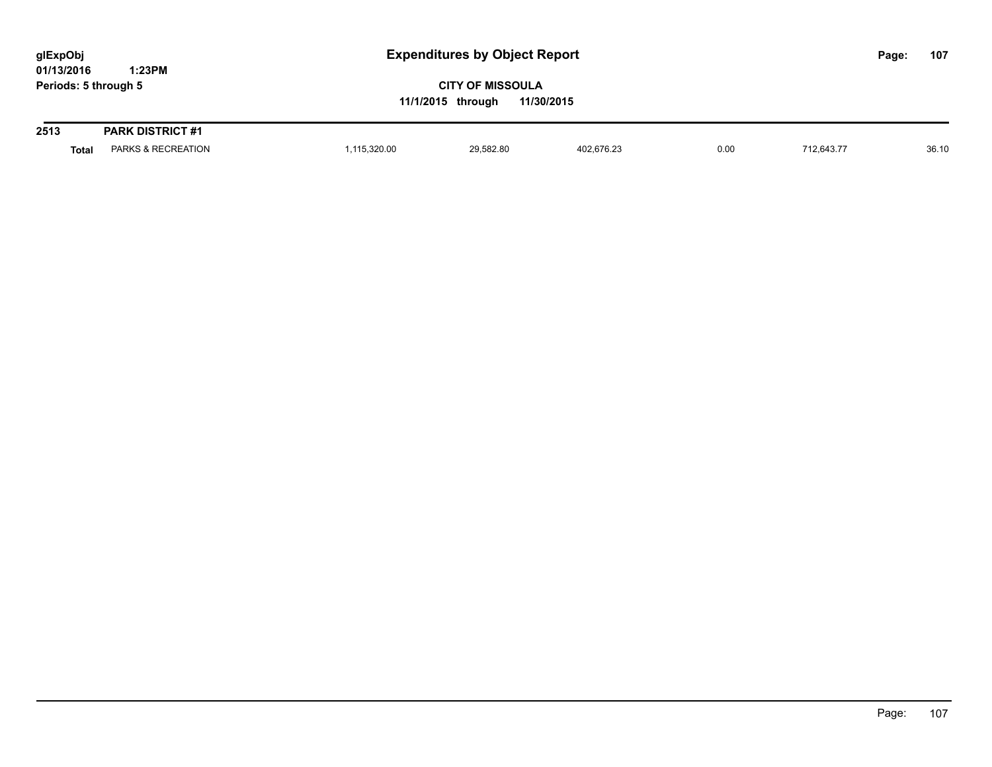| glExpObj<br>01/13/2016 | 1:23PM                  |                                                            | <b>Expenditures by Object Report</b> |            |      |            |  | 107   |
|------------------------|-------------------------|------------------------------------------------------------|--------------------------------------|------------|------|------------|--|-------|
| Periods: 5 through 5   |                         | <b>CITY OF MISSOULA</b><br>11/30/2015<br>11/1/2015 through |                                      |            |      |            |  |       |
| 2513                   | <b>PARK DISTRICT #1</b> |                                                            |                                      |            |      |            |  |       |
| <b>Total</b>           | PARKS & RECREATION      | 1,115,320.00                                               | 29,582.80                            | 402,676.23 | 0.00 | 712.643.77 |  | 36.10 |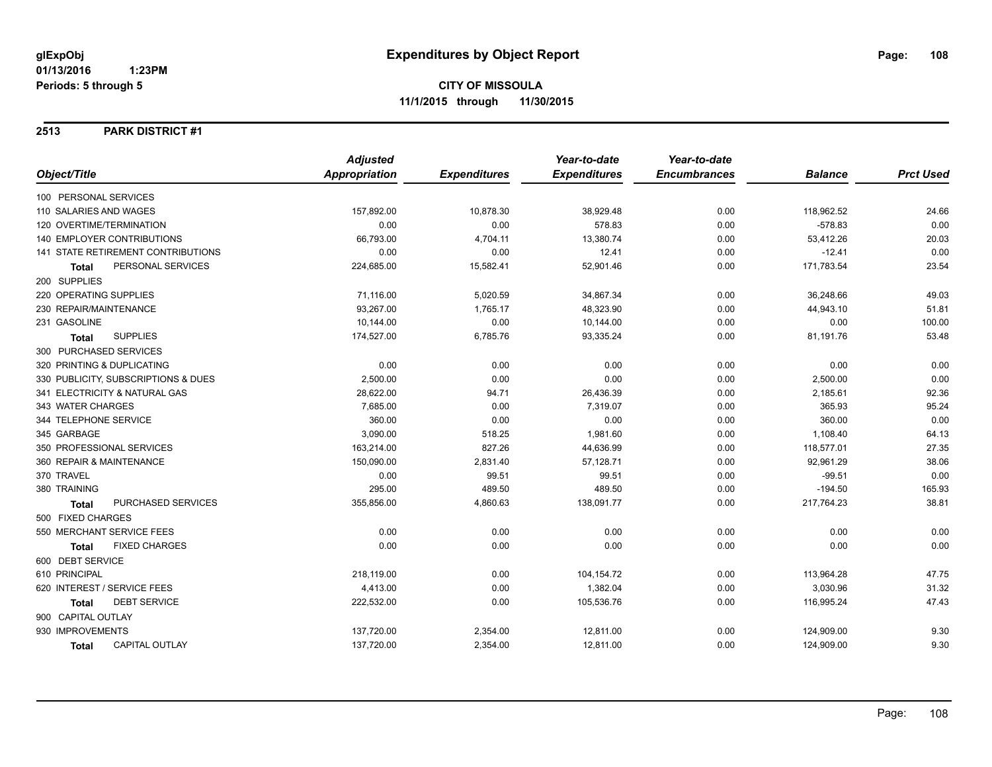#### **2513 PARK DISTRICT #1**

|                                           | <b>Adjusted</b> |                     | Year-to-date        | Year-to-date        |                |                  |
|-------------------------------------------|-----------------|---------------------|---------------------|---------------------|----------------|------------------|
| Object/Title                              | Appropriation   | <b>Expenditures</b> | <b>Expenditures</b> | <b>Encumbrances</b> | <b>Balance</b> | <b>Prct Used</b> |
| 100 PERSONAL SERVICES                     |                 |                     |                     |                     |                |                  |
| 110 SALARIES AND WAGES                    | 157,892.00      | 10,878.30           | 38,929.48           | 0.00                | 118,962.52     | 24.66            |
| 120 OVERTIME/TERMINATION                  | 0.00            | 0.00                | 578.83              | 0.00                | $-578.83$      | 0.00             |
| <b>140 EMPLOYER CONTRIBUTIONS</b>         | 66,793.00       | 4,704.11            | 13,380.74           | 0.00                | 53,412.26      | 20.03            |
| 141 STATE RETIREMENT CONTRIBUTIONS        | 0.00            | 0.00                | 12.41               | 0.00                | $-12.41$       | 0.00             |
| PERSONAL SERVICES<br>Total                | 224,685.00      | 15,582.41           | 52,901.46           | 0.00                | 171,783.54     | 23.54            |
| 200 SUPPLIES                              |                 |                     |                     |                     |                |                  |
| 220 OPERATING SUPPLIES                    | 71,116.00       | 5,020.59            | 34,867.34           | 0.00                | 36,248.66      | 49.03            |
| 230 REPAIR/MAINTENANCE                    | 93,267.00       | 1,765.17            | 48,323.90           | 0.00                | 44,943.10      | 51.81            |
| 231 GASOLINE                              | 10,144.00       | 0.00                | 10,144.00           | 0.00                | 0.00           | 100.00           |
| <b>SUPPLIES</b><br><b>Total</b>           | 174,527.00      | 6,785.76            | 93,335.24           | 0.00                | 81,191.76      | 53.48            |
| 300 PURCHASED SERVICES                    |                 |                     |                     |                     |                |                  |
| 320 PRINTING & DUPLICATING                | 0.00            | 0.00                | 0.00                | 0.00                | 0.00           | 0.00             |
| 330 PUBLICITY, SUBSCRIPTIONS & DUES       | 2,500.00        | 0.00                | 0.00                | 0.00                | 2,500.00       | 0.00             |
| 341 ELECTRICITY & NATURAL GAS             | 28,622.00       | 94.71               | 26,436.39           | 0.00                | 2,185.61       | 92.36            |
| 343 WATER CHARGES                         | 7,685.00        | 0.00                | 7,319.07            | 0.00                | 365.93         | 95.24            |
| 344 TELEPHONE SERVICE                     | 360.00          | 0.00                | 0.00                | 0.00                | 360.00         | 0.00             |
| 345 GARBAGE                               | 3,090.00        | 518.25              | 1,981.60            | 0.00                | 1,108.40       | 64.13            |
| 350 PROFESSIONAL SERVICES                 | 163,214.00      | 827.26              | 44,636.99           | 0.00                | 118,577.01     | 27.35            |
| 360 REPAIR & MAINTENANCE                  | 150,090.00      | 2,831.40            | 57,128.71           | 0.00                | 92,961.29      | 38.06            |
| 370 TRAVEL                                | 0.00            | 99.51               | 99.51               | 0.00                | $-99.51$       | 0.00             |
| 380 TRAINING                              | 295.00          | 489.50              | 489.50              | 0.00                | $-194.50$      | 165.93           |
| <b>PURCHASED SERVICES</b><br><b>Total</b> | 355,856.00      | 4,860.63            | 138,091.77          | 0.00                | 217,764.23     | 38.81            |
| 500 FIXED CHARGES                         |                 |                     |                     |                     |                |                  |
| 550 MERCHANT SERVICE FEES                 | 0.00            | 0.00                | 0.00                | 0.00                | 0.00           | 0.00             |
| <b>FIXED CHARGES</b><br><b>Total</b>      | 0.00            | 0.00                | 0.00                | 0.00                | 0.00           | 0.00             |
| 600 DEBT SERVICE                          |                 |                     |                     |                     |                |                  |
| 610 PRINCIPAL                             | 218,119.00      | 0.00                | 104,154.72          | 0.00                | 113,964.28     | 47.75            |
| 620 INTEREST / SERVICE FEES               | 4,413.00        | 0.00                | 1,382.04            | 0.00                | 3,030.96       | 31.32            |
| <b>DEBT SERVICE</b><br>Total              | 222,532.00      | 0.00                | 105,536.76          | 0.00                | 116,995.24     | 47.43            |
| 900 CAPITAL OUTLAY                        |                 |                     |                     |                     |                |                  |
| 930 IMPROVEMENTS                          | 137,720.00      | 2,354.00            | 12,811.00           | 0.00                | 124,909.00     | 9.30             |
| <b>CAPITAL OUTLAY</b><br>Total            | 137,720.00      | 2,354.00            | 12,811.00           | 0.00                | 124,909.00     | 9.30             |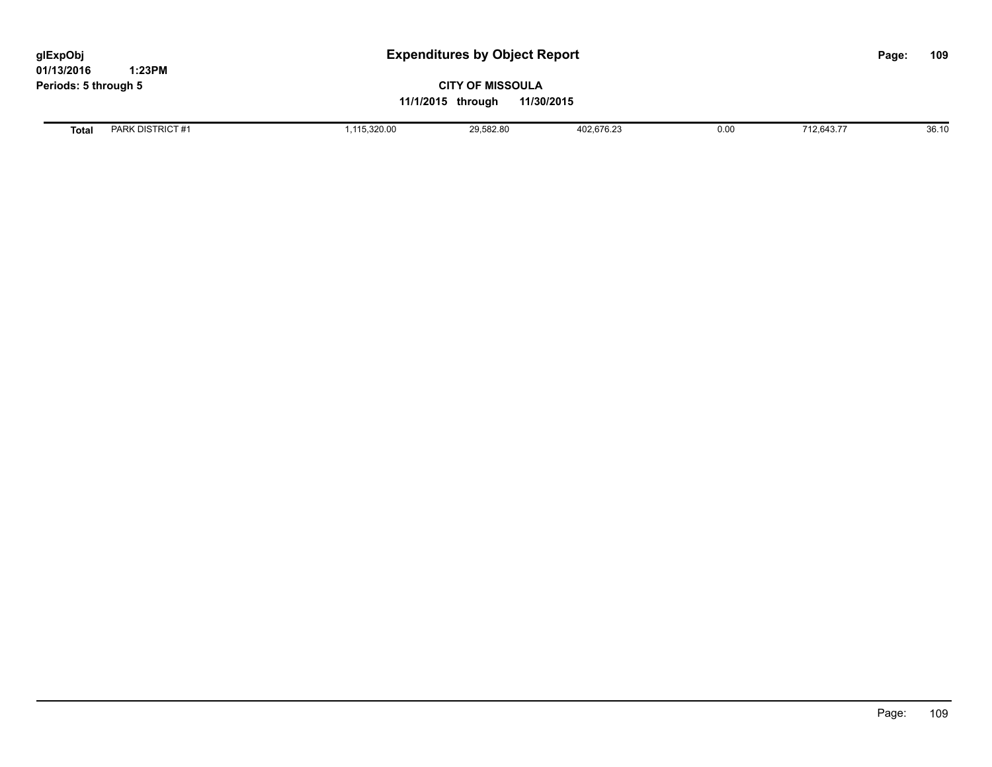**01/13/2016 1:23PM Periods: 5 through 5**

# **CITY OF MISSOULA 11/1/2015 through 11/30/2015**

**Total** PARK DISTRICT #1 1,115,320.00 1,115,320.00 29,582.80 402,676.23 0.00 712,643.77 36.10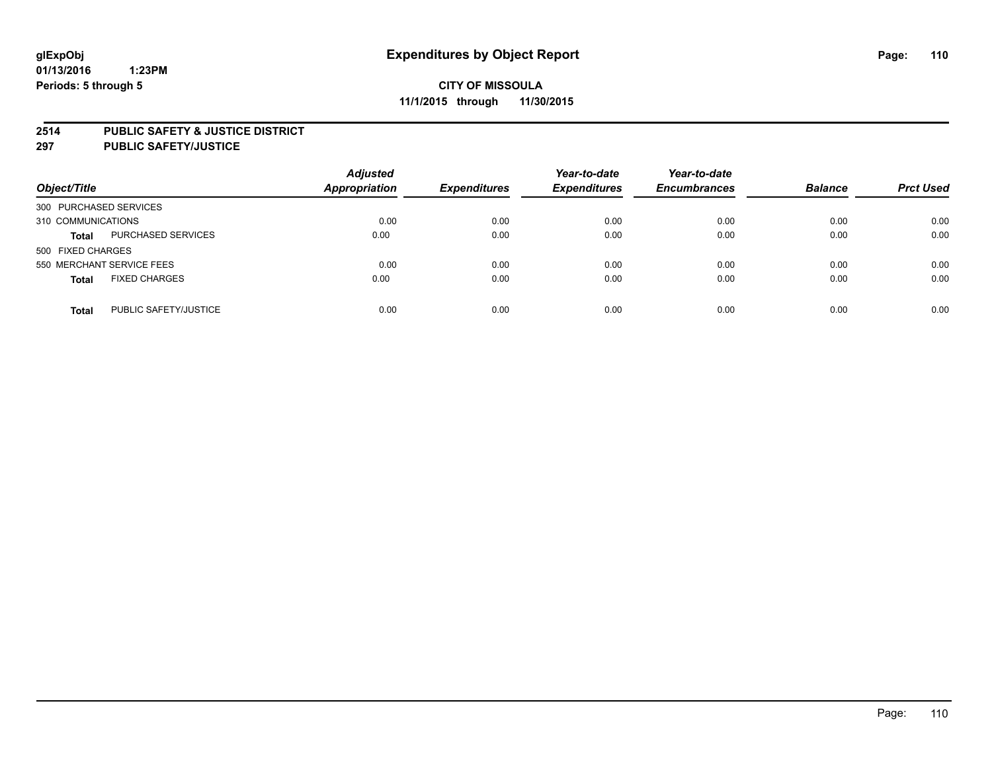### **2514 PUBLIC SAFETY & JUSTICE DISTRICT**

**297 PUBLIC SAFETY/JUSTICE**

| Object/Title                          | <b>Adjusted</b><br><b>Appropriation</b> | <b>Expenditures</b> | Year-to-date<br><b>Expenditures</b> | Year-to-date<br><b>Encumbrances</b> | <b>Balance</b> | <b>Prct Used</b> |
|---------------------------------------|-----------------------------------------|---------------------|-------------------------------------|-------------------------------------|----------------|------------------|
| 300 PURCHASED SERVICES                |                                         |                     |                                     |                                     |                |                  |
| 310 COMMUNICATIONS                    | 0.00                                    | 0.00                | 0.00                                | 0.00                                | 0.00           | 0.00             |
| PURCHASED SERVICES<br><b>Total</b>    | 0.00                                    | 0.00                | 0.00                                | 0.00                                | 0.00           | 0.00             |
| 500 FIXED CHARGES                     |                                         |                     |                                     |                                     |                |                  |
| 550 MERCHANT SERVICE FEES             | 0.00                                    | 0.00                | 0.00                                | 0.00                                | 0.00           | 0.00             |
| <b>FIXED CHARGES</b><br><b>Total</b>  | 0.00                                    | 0.00                | 0.00                                | 0.00                                | 0.00           | 0.00             |
| PUBLIC SAFETY/JUSTICE<br><b>Total</b> | 0.00                                    | 0.00                | 0.00                                | 0.00                                | 0.00           | 0.00             |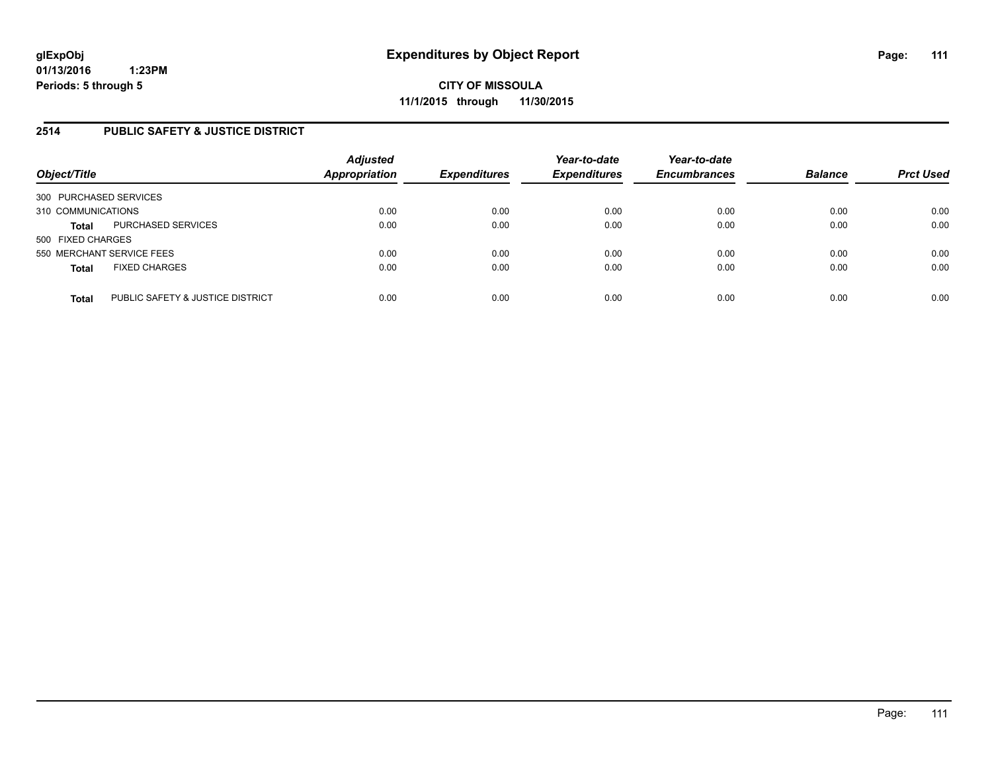### **2514 PUBLIC SAFETY & JUSTICE DISTRICT**

| Object/Title                                     | <b>Adjusted</b><br><b>Appropriation</b> | <b>Expenditures</b> | Year-to-date<br><b>Expenditures</b> | Year-to-date<br><b>Encumbrances</b> | <b>Balance</b> | <b>Prct Used</b> |
|--------------------------------------------------|-----------------------------------------|---------------------|-------------------------------------|-------------------------------------|----------------|------------------|
| 300 PURCHASED SERVICES                           |                                         |                     |                                     |                                     |                |                  |
| 310 COMMUNICATIONS                               | 0.00                                    | 0.00                | 0.00                                | 0.00                                | 0.00           | 0.00             |
| PURCHASED SERVICES<br><b>Total</b>               | 0.00                                    | 0.00                | 0.00                                | 0.00                                | 0.00           | 0.00             |
| 500 FIXED CHARGES                                |                                         |                     |                                     |                                     |                |                  |
| 550 MERCHANT SERVICE FEES                        | 0.00                                    | 0.00                | 0.00                                | 0.00                                | 0.00           | 0.00             |
| <b>FIXED CHARGES</b><br><b>Total</b>             | 0.00                                    | 0.00                | 0.00                                | 0.00                                | 0.00           | 0.00             |
| PUBLIC SAFETY & JUSTICE DISTRICT<br><b>Total</b> | 0.00                                    | 0.00                | 0.00                                | 0.00                                | 0.00           | 0.00             |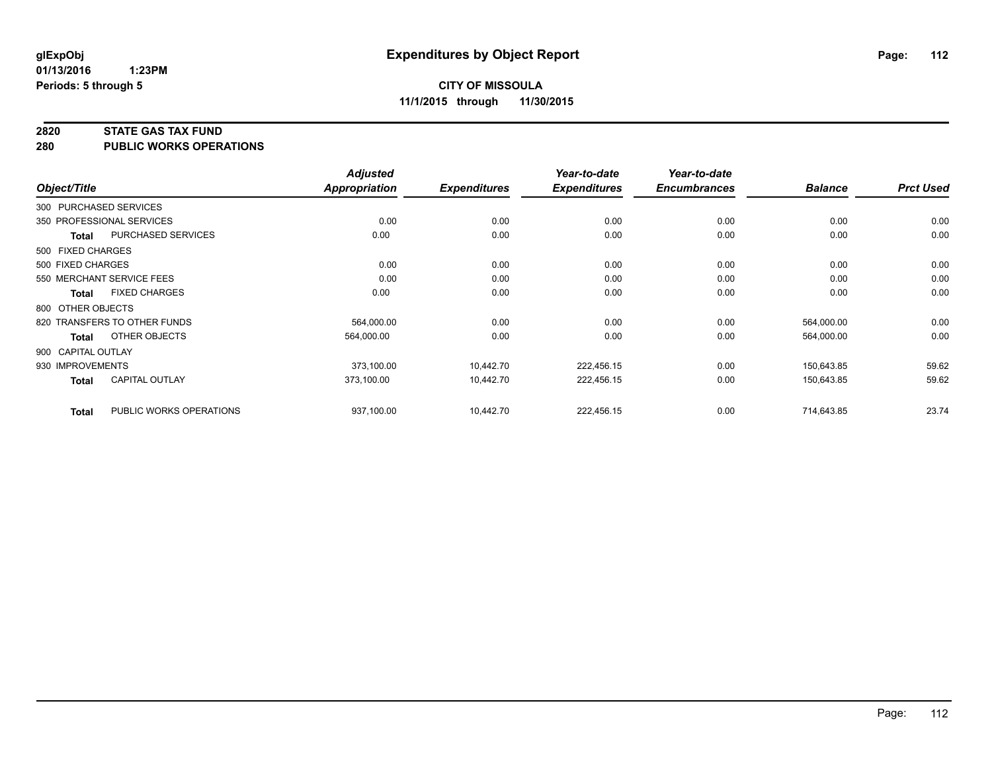#### **2820 STATE GAS TAX FUND**

**280 PUBLIC WORKS OPERATIONS**

|                    |                              | <b>Adjusted</b>      |                     | Year-to-date        | Year-to-date        |                |                  |
|--------------------|------------------------------|----------------------|---------------------|---------------------|---------------------|----------------|------------------|
| Object/Title       |                              | <b>Appropriation</b> | <b>Expenditures</b> | <b>Expenditures</b> | <b>Encumbrances</b> | <b>Balance</b> | <b>Prct Used</b> |
|                    | 300 PURCHASED SERVICES       |                      |                     |                     |                     |                |                  |
|                    | 350 PROFESSIONAL SERVICES    | 0.00                 | 0.00                | 0.00                | 0.00                | 0.00           | 0.00             |
| <b>Total</b>       | PURCHASED SERVICES           | 0.00                 | 0.00                | 0.00                | 0.00                | 0.00           | 0.00             |
| 500 FIXED CHARGES  |                              |                      |                     |                     |                     |                |                  |
| 500 FIXED CHARGES  |                              | 0.00                 | 0.00                | 0.00                | 0.00                | 0.00           | 0.00             |
|                    | 550 MERCHANT SERVICE FEES    | 0.00                 | 0.00                | 0.00                | 0.00                | 0.00           | 0.00             |
| Total              | <b>FIXED CHARGES</b>         | 0.00                 | 0.00                | 0.00                | 0.00                | 0.00           | 0.00             |
| 800 OTHER OBJECTS  |                              |                      |                     |                     |                     |                |                  |
|                    | 820 TRANSFERS TO OTHER FUNDS | 564.000.00           | 0.00                | 0.00                | 0.00                | 564,000.00     | 0.00             |
| <b>Total</b>       | OTHER OBJECTS                | 564,000.00           | 0.00                | 0.00                | 0.00                | 564,000.00     | 0.00             |
| 900 CAPITAL OUTLAY |                              |                      |                     |                     |                     |                |                  |
| 930 IMPROVEMENTS   |                              | 373,100.00           | 10,442.70           | 222,456.15          | 0.00                | 150,643.85     | 59.62            |
| <b>Total</b>       | <b>CAPITAL OUTLAY</b>        | 373,100.00           | 10,442.70           | 222,456.15          | 0.00                | 150,643.85     | 59.62            |
| <b>Total</b>       | PUBLIC WORKS OPERATIONS      | 937,100.00           | 10,442.70           | 222,456.15          | 0.00                | 714,643.85     | 23.74            |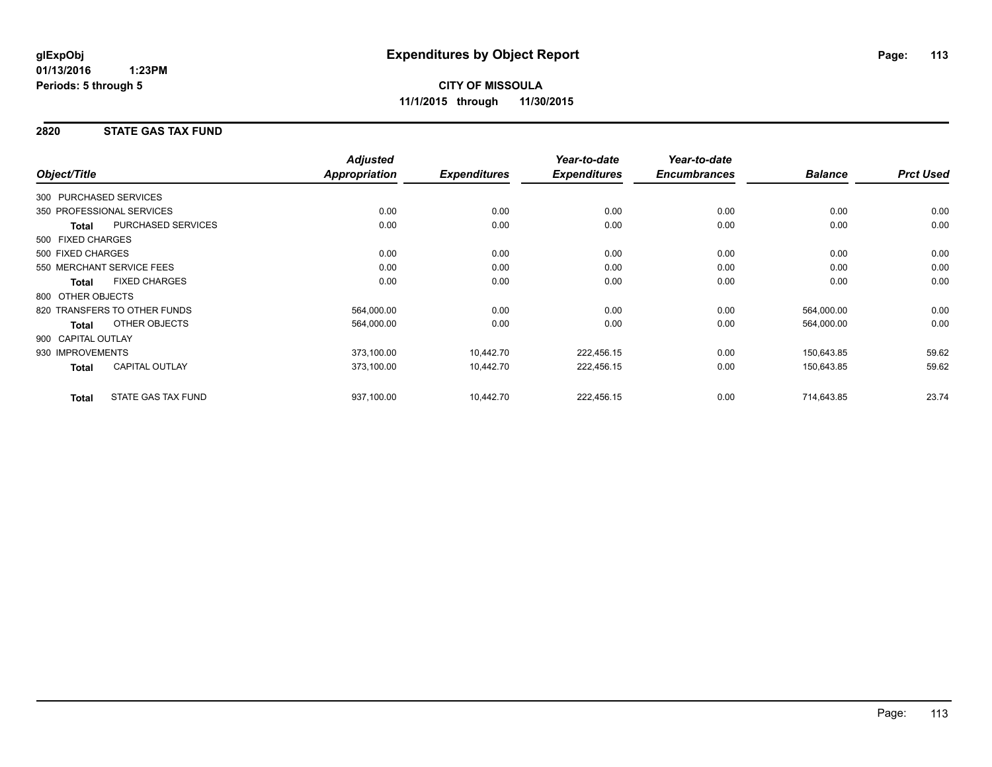### **2820 STATE GAS TAX FUND**

| Object/Title       |                              | <b>Adjusted</b><br><b>Appropriation</b> | <b>Expenditures</b> | Year-to-date<br><b>Expenditures</b> | Year-to-date<br><b>Encumbrances</b> | <b>Balance</b> | <b>Prct Used</b> |
|--------------------|------------------------------|-----------------------------------------|---------------------|-------------------------------------|-------------------------------------|----------------|------------------|
|                    |                              |                                         |                     |                                     |                                     |                |                  |
|                    | 300 PURCHASED SERVICES       |                                         |                     |                                     |                                     |                |                  |
|                    | 350 PROFESSIONAL SERVICES    | 0.00                                    | 0.00                | 0.00                                | 0.00                                | 0.00           | 0.00             |
| <b>Total</b>       | <b>PURCHASED SERVICES</b>    | 0.00                                    | 0.00                | 0.00                                | 0.00                                | 0.00           | 0.00             |
| 500 FIXED CHARGES  |                              |                                         |                     |                                     |                                     |                |                  |
| 500 FIXED CHARGES  |                              | 0.00                                    | 0.00                | 0.00                                | 0.00                                | 0.00           | 0.00             |
|                    | 550 MERCHANT SERVICE FEES    | 0.00                                    | 0.00                | 0.00                                | 0.00                                | 0.00           | 0.00             |
| <b>Total</b>       | <b>FIXED CHARGES</b>         | 0.00                                    | 0.00                | 0.00                                | 0.00                                | 0.00           | 0.00             |
| 800 OTHER OBJECTS  |                              |                                         |                     |                                     |                                     |                |                  |
|                    | 820 TRANSFERS TO OTHER FUNDS | 564,000.00                              | 0.00                | 0.00                                | 0.00                                | 564,000.00     | 0.00             |
| <b>Total</b>       | OTHER OBJECTS                | 564,000.00                              | 0.00                | 0.00                                | 0.00                                | 564,000.00     | 0.00             |
| 900 CAPITAL OUTLAY |                              |                                         |                     |                                     |                                     |                |                  |
| 930 IMPROVEMENTS   |                              | 373,100.00                              | 10,442.70           | 222,456.15                          | 0.00                                | 150,643.85     | 59.62            |
| <b>Total</b>       | <b>CAPITAL OUTLAY</b>        | 373,100.00                              | 10,442.70           | 222,456.15                          | 0.00                                | 150,643.85     | 59.62            |
| <b>Total</b>       | <b>STATE GAS TAX FUND</b>    | 937,100.00                              | 10,442.70           | 222,456.15                          | 0.00                                | 714,643.85     | 23.74            |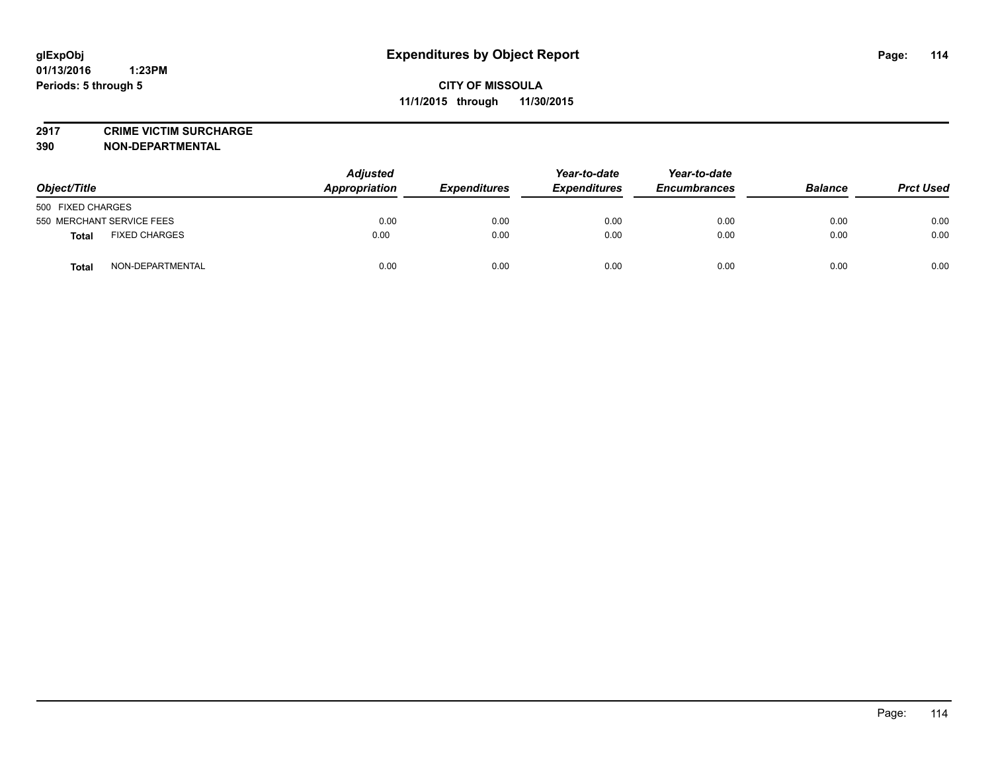**2917 CRIME VICTIM SURCHARGE**

**390 NON-DEPARTMENTAL**

| Object/Title                     | <b>Adjusted</b><br>Appropriation | <b>Expenditures</b> | Year-to-date<br><b>Expenditures</b> | Year-to-date<br><b>Encumbrances</b> | <b>Balance</b> | <b>Prct Used</b> |
|----------------------------------|----------------------------------|---------------------|-------------------------------------|-------------------------------------|----------------|------------------|
| 500 FIXED CHARGES                |                                  |                     |                                     |                                     |                |                  |
| 550 MERCHANT SERVICE FEES        | 0.00                             | 0.00                | 0.00                                | 0.00                                | 0.00           | 0.00             |
| <b>FIXED CHARGES</b><br>Total    | 0.00                             | 0.00                | 0.00                                | 0.00                                | 0.00           | 0.00             |
| NON-DEPARTMENTAL<br><b>Total</b> | 0.00                             | 0.00                | 0.00                                | 0.00                                | 0.00           | 0.00             |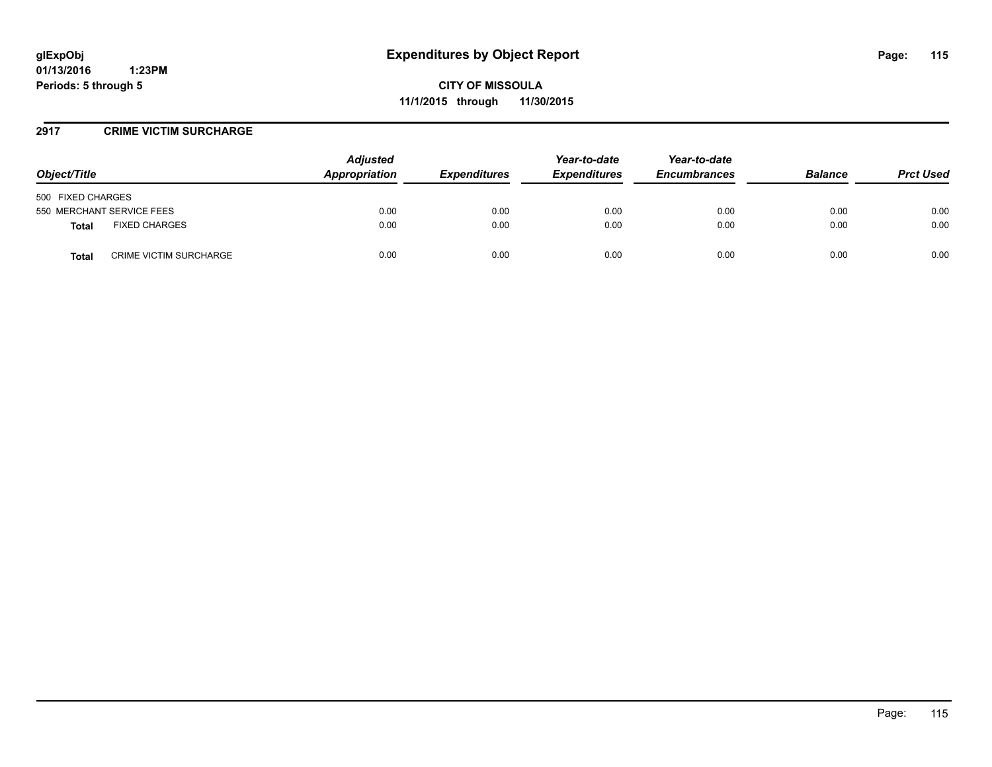### **2917 CRIME VICTIM SURCHARGE**

| Object/Title                           | <b>Adjusted</b><br>Appropriation | <b>Expenditures</b> | Year-to-date<br><b>Expenditures</b> | Year-to-date<br><b>Encumbrances</b> | <b>Balance</b> | <b>Prct Used</b> |
|----------------------------------------|----------------------------------|---------------------|-------------------------------------|-------------------------------------|----------------|------------------|
| 500 FIXED CHARGES                      |                                  |                     |                                     |                                     |                |                  |
| 550 MERCHANT SERVICE FEES              | 0.00                             | 0.00                | 0.00                                | 0.00                                | 0.00           | 0.00             |
| <b>FIXED CHARGES</b><br><b>Total</b>   | 0.00                             | 0.00                | 0.00                                | 0.00                                | 0.00           | 0.00             |
| <b>CRIME VICTIM SURCHARGE</b><br>Total | 0.00                             | 0.00                | 0.00                                | 0.00                                | 0.00           | 0.00             |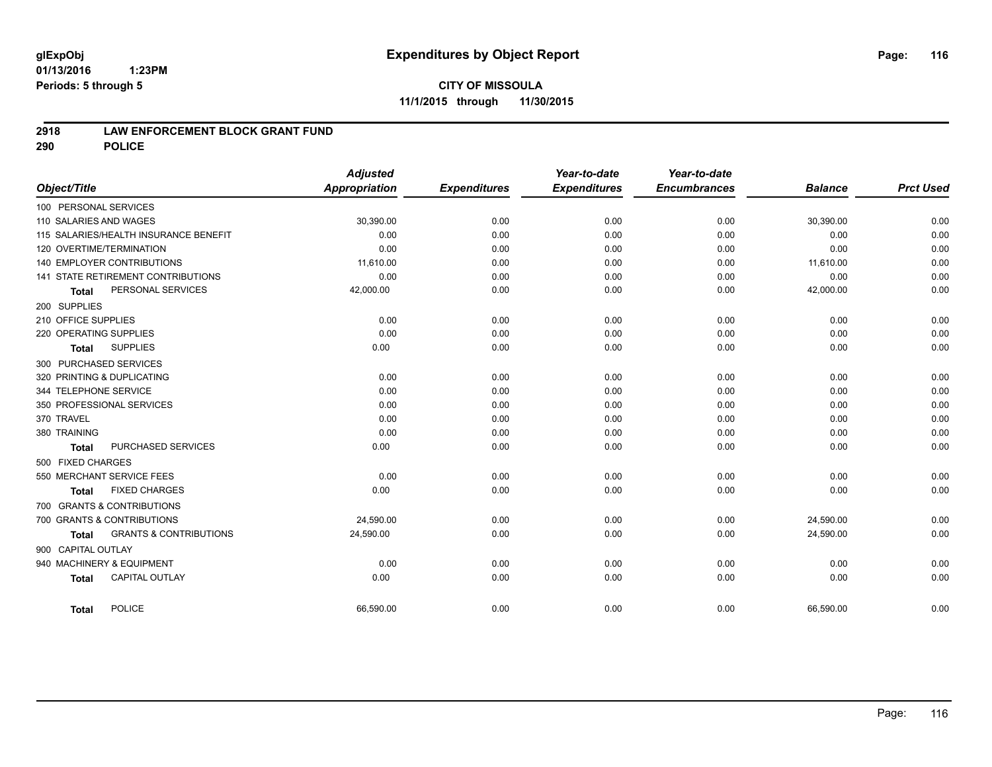#### **01/13/2016 1:23PM Periods: 5 through 5**

## **CITY OF MISSOULA 11/1/2015 through 11/30/2015**

### **2918 LAW ENFORCEMENT BLOCK GRANT FUND**

**290 POLICE**

| Object/Title               |                                       | <b>Adjusted</b><br><b>Appropriation</b> | <b>Expenditures</b> | Year-to-date<br><b>Expenditures</b> | Year-to-date<br><b>Encumbrances</b> | <b>Balance</b> | <b>Prct Used</b> |
|----------------------------|---------------------------------------|-----------------------------------------|---------------------|-------------------------------------|-------------------------------------|----------------|------------------|
| 100 PERSONAL SERVICES      |                                       |                                         |                     |                                     |                                     |                |                  |
| 110 SALARIES AND WAGES     |                                       | 30,390.00                               | 0.00                | 0.00                                | 0.00                                | 30,390.00      | 0.00             |
|                            | 115 SALARIES/HEALTH INSURANCE BENEFIT | 0.00                                    | 0.00                | 0.00                                | 0.00                                | 0.00           | 0.00             |
| 120 OVERTIME/TERMINATION   |                                       | 0.00                                    | 0.00                | 0.00                                | 0.00                                | 0.00           | 0.00             |
| 140 EMPLOYER CONTRIBUTIONS |                                       | 11,610.00                               | 0.00                | 0.00                                | 0.00                                | 11,610.00      | 0.00             |
|                            | 141 STATE RETIREMENT CONTRIBUTIONS    | 0.00                                    | 0.00                | 0.00                                | 0.00                                | 0.00           | 0.00             |
| <b>Total</b>               | PERSONAL SERVICES                     | 42,000.00                               | 0.00                | 0.00                                | 0.00                                | 42,000.00      | 0.00             |
| 200 SUPPLIES               |                                       |                                         |                     |                                     |                                     |                |                  |
| 210 OFFICE SUPPLIES        |                                       | 0.00                                    | 0.00                | 0.00                                | 0.00                                | 0.00           | 0.00             |
| 220 OPERATING SUPPLIES     |                                       | 0.00                                    | 0.00                | 0.00                                | 0.00                                | 0.00           | 0.00             |
| <b>Total</b>               | <b>SUPPLIES</b>                       | 0.00                                    | 0.00                | 0.00                                | 0.00                                | 0.00           | 0.00             |
| 300 PURCHASED SERVICES     |                                       |                                         |                     |                                     |                                     |                |                  |
| 320 PRINTING & DUPLICATING |                                       | 0.00                                    | 0.00                | 0.00                                | 0.00                                | 0.00           | 0.00             |
| 344 TELEPHONE SERVICE      |                                       | 0.00                                    | 0.00                | 0.00                                | 0.00                                | 0.00           | 0.00             |
| 350 PROFESSIONAL SERVICES  |                                       | 0.00                                    | 0.00                | 0.00                                | 0.00                                | 0.00           | 0.00             |
| 370 TRAVEL                 |                                       | 0.00                                    | 0.00                | 0.00                                | 0.00                                | 0.00           | 0.00             |
| 380 TRAINING               |                                       | 0.00                                    | 0.00                | 0.00                                | 0.00                                | 0.00           | 0.00             |
| <b>Total</b>               | PURCHASED SERVICES                    | 0.00                                    | 0.00                | 0.00                                | 0.00                                | 0.00           | 0.00             |
| 500 FIXED CHARGES          |                                       |                                         |                     |                                     |                                     |                |                  |
| 550 MERCHANT SERVICE FEES  |                                       | 0.00                                    | 0.00                | 0.00                                | 0.00                                | 0.00           | 0.00             |
| <b>Total</b>               | <b>FIXED CHARGES</b>                  | 0.00                                    | 0.00                | 0.00                                | 0.00                                | 0.00           | 0.00             |
| 700 GRANTS & CONTRIBUTIONS |                                       |                                         |                     |                                     |                                     |                |                  |
| 700 GRANTS & CONTRIBUTIONS |                                       | 24.590.00                               | 0.00                | 0.00                                | 0.00                                | 24,590.00      | 0.00             |
| <b>Total</b>               | <b>GRANTS &amp; CONTRIBUTIONS</b>     | 24,590.00                               | 0.00                | 0.00                                | 0.00                                | 24,590.00      | 0.00             |
| 900 CAPITAL OUTLAY         |                                       |                                         |                     |                                     |                                     |                |                  |
| 940 MACHINERY & EQUIPMENT  |                                       | 0.00                                    | 0.00                | 0.00                                | 0.00                                | 0.00           | 0.00             |
| <b>Total</b>               | <b>CAPITAL OUTLAY</b>                 | 0.00                                    | 0.00                | 0.00                                | 0.00                                | 0.00           | 0.00             |
| <b>Total</b>               | <b>POLICE</b>                         | 66,590.00                               | 0.00                | 0.00                                | 0.00                                | 66,590.00      | 0.00             |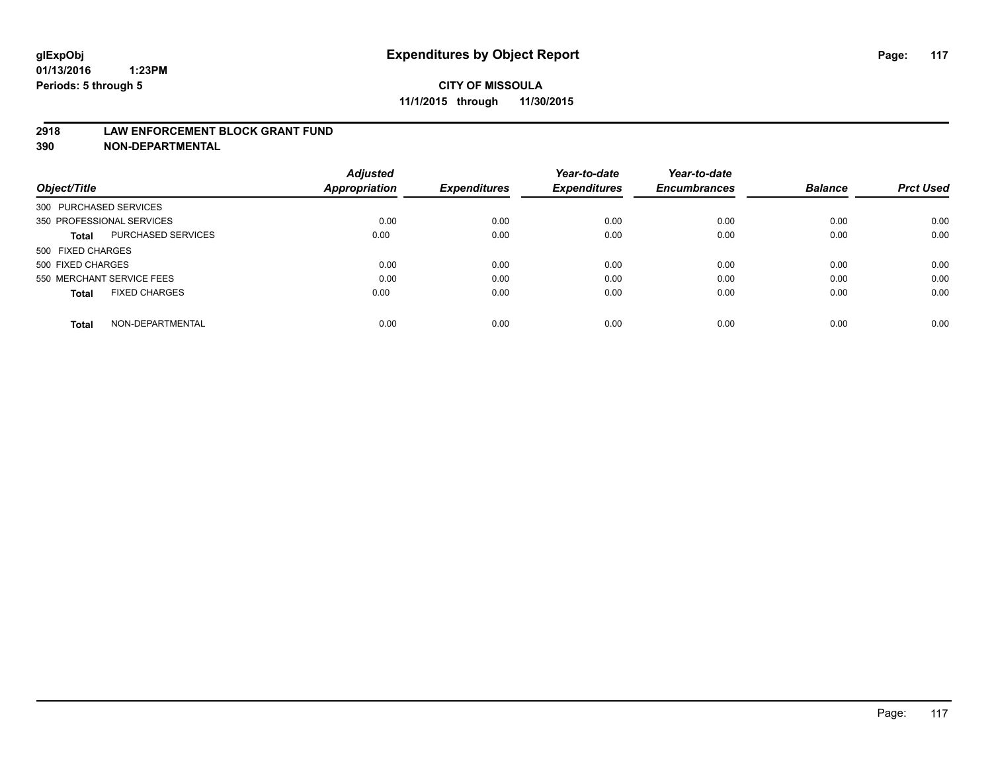#### **2918 LAW ENFORCEMENT BLOCK GRANT FUND**

**390 NON-DEPARTMENTAL**

|                           |                      | <b>Adjusted</b>      |                     | Year-to-date        | Year-to-date<br><b>Encumbrances</b> | <b>Balance</b> | <b>Prct Used</b> |
|---------------------------|----------------------|----------------------|---------------------|---------------------|-------------------------------------|----------------|------------------|
| Object/Title              |                      | <b>Appropriation</b> | <b>Expenditures</b> | <b>Expenditures</b> |                                     |                |                  |
| 300 PURCHASED SERVICES    |                      |                      |                     |                     |                                     |                |                  |
| 350 PROFESSIONAL SERVICES |                      | 0.00                 | 0.00                | 0.00                | 0.00                                | 0.00           | 0.00             |
| Total                     | PURCHASED SERVICES   | 0.00                 | 0.00                | 0.00                | 0.00                                | 0.00           | 0.00             |
| 500 FIXED CHARGES         |                      |                      |                     |                     |                                     |                |                  |
| 500 FIXED CHARGES         |                      | 0.00                 | 0.00                | 0.00                | 0.00                                | 0.00           | 0.00             |
| 550 MERCHANT SERVICE FEES |                      | 0.00                 | 0.00                | 0.00                | 0.00                                | 0.00           | 0.00             |
| <b>Total</b>              | <b>FIXED CHARGES</b> | 0.00                 | 0.00                | 0.00                | 0.00                                | 0.00           | 0.00             |
| <b>Total</b>              | NON-DEPARTMENTAL     | 0.00                 | 0.00                | 0.00                | 0.00                                | 0.00           | 0.00             |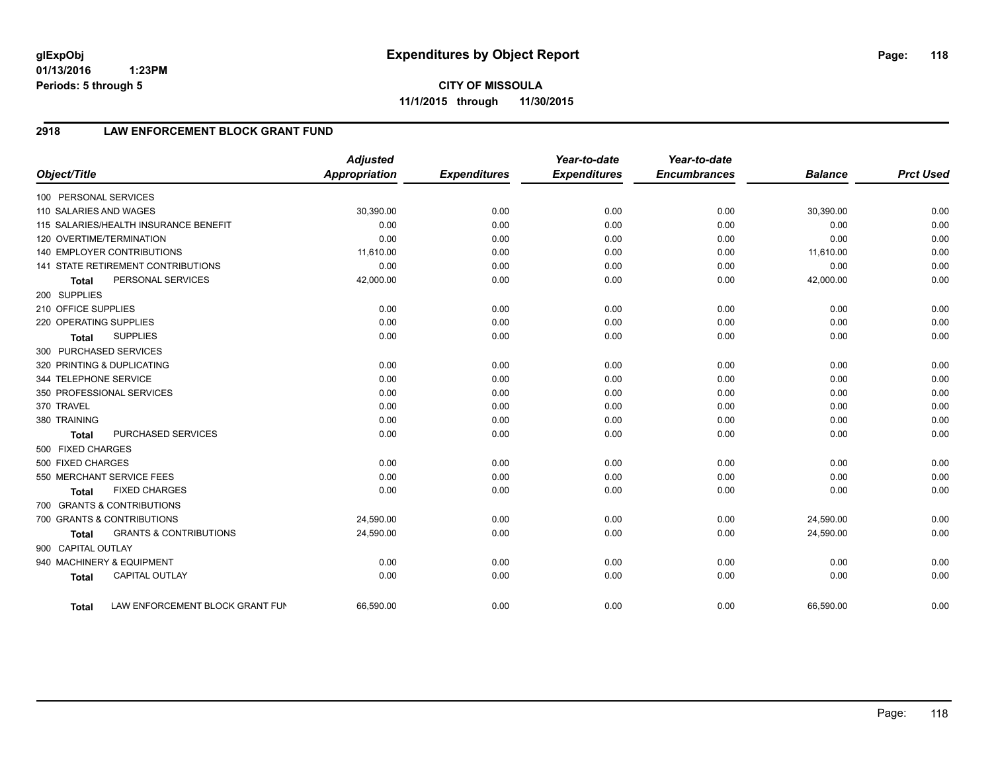**01/13/2016 1:23PM Periods: 5 through 5**

**CITY OF MISSOULA 11/1/2015 through 11/30/2015**

## **2918 LAW ENFORCEMENT BLOCK GRANT FUND**

|                        |                                           | <b>Adjusted</b>      |                     | Year-to-date        | Year-to-date        |                |                  |
|------------------------|-------------------------------------------|----------------------|---------------------|---------------------|---------------------|----------------|------------------|
| Object/Title           |                                           | <b>Appropriation</b> | <b>Expenditures</b> | <b>Expenditures</b> | <b>Encumbrances</b> | <b>Balance</b> | <b>Prct Used</b> |
| 100 PERSONAL SERVICES  |                                           |                      |                     |                     |                     |                |                  |
| 110 SALARIES AND WAGES |                                           | 30,390.00            | 0.00                | 0.00                | 0.00                | 30,390.00      | 0.00             |
|                        | 115 SALARIES/HEALTH INSURANCE BENEFIT     | 0.00                 | 0.00                | 0.00                | 0.00                | 0.00           | 0.00             |
|                        | 120 OVERTIME/TERMINATION                  | 0.00                 | 0.00                | 0.00                | 0.00                | 0.00           | 0.00             |
|                        | <b>140 EMPLOYER CONTRIBUTIONS</b>         | 11,610.00            | 0.00                | 0.00                | 0.00                | 11,610.00      | 0.00             |
|                        | <b>141 STATE RETIREMENT CONTRIBUTIONS</b> | 0.00                 | 0.00                | 0.00                | 0.00                | 0.00           | 0.00             |
| <b>Total</b>           | PERSONAL SERVICES                         | 42,000.00            | 0.00                | 0.00                | 0.00                | 42,000.00      | 0.00             |
| 200 SUPPLIES           |                                           |                      |                     |                     |                     |                |                  |
| 210 OFFICE SUPPLIES    |                                           | 0.00                 | 0.00                | 0.00                | 0.00                | 0.00           | 0.00             |
| 220 OPERATING SUPPLIES |                                           | 0.00                 | 0.00                | 0.00                | 0.00                | 0.00           | 0.00             |
| <b>Total</b>           | <b>SUPPLIES</b>                           | 0.00                 | 0.00                | 0.00                | 0.00                | 0.00           | 0.00             |
| 300 PURCHASED SERVICES |                                           |                      |                     |                     |                     |                |                  |
|                        | 320 PRINTING & DUPLICATING                | 0.00                 | 0.00                | 0.00                | 0.00                | 0.00           | 0.00             |
| 344 TELEPHONE SERVICE  |                                           | 0.00                 | 0.00                | 0.00                | 0.00                | 0.00           | 0.00             |
|                        | 350 PROFESSIONAL SERVICES                 | 0.00                 | 0.00                | 0.00                | 0.00                | 0.00           | 0.00             |
| 370 TRAVEL             |                                           | 0.00                 | 0.00                | 0.00                | 0.00                | 0.00           | 0.00             |
| 380 TRAINING           |                                           | 0.00                 | 0.00                | 0.00                | 0.00                | 0.00           | 0.00             |
| <b>Total</b>           | PURCHASED SERVICES                        | 0.00                 | 0.00                | 0.00                | 0.00                | 0.00           | 0.00             |
| 500 FIXED CHARGES      |                                           |                      |                     |                     |                     |                |                  |
| 500 FIXED CHARGES      |                                           | 0.00                 | 0.00                | 0.00                | 0.00                | 0.00           | 0.00             |
|                        | 550 MERCHANT SERVICE FEES                 | 0.00                 | 0.00                | 0.00                | 0.00                | 0.00           | 0.00             |
| <b>Total</b>           | <b>FIXED CHARGES</b>                      | 0.00                 | 0.00                | 0.00                | 0.00                | 0.00           | 0.00             |
|                        | 700 GRANTS & CONTRIBUTIONS                |                      |                     |                     |                     |                |                  |
|                        | 700 GRANTS & CONTRIBUTIONS                | 24,590.00            | 0.00                | 0.00                | 0.00                | 24,590.00      | 0.00             |
| <b>Total</b>           | <b>GRANTS &amp; CONTRIBUTIONS</b>         | 24,590.00            | 0.00                | 0.00                | 0.00                | 24,590.00      | 0.00             |
| 900 CAPITAL OUTLAY     |                                           |                      |                     |                     |                     |                |                  |
|                        | 940 MACHINERY & EQUIPMENT                 | 0.00                 | 0.00                | 0.00                | 0.00                | 0.00           | 0.00             |
| <b>Total</b>           | <b>CAPITAL OUTLAY</b>                     | 0.00                 | 0.00                | 0.00                | 0.00                | 0.00           | 0.00             |
| <b>Total</b>           | LAW ENFORCEMENT BLOCK GRANT FUN           | 66,590.00            | 0.00                | 0.00                | 0.00                | 66,590.00      | 0.00             |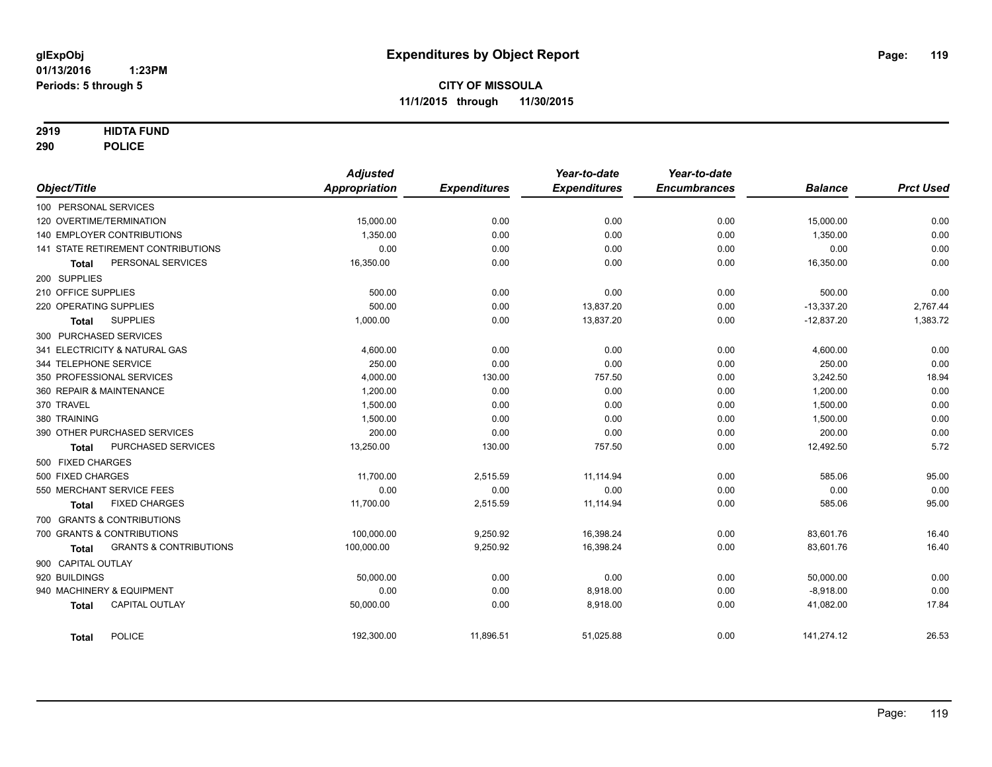### **2919 HIDTA FUND**

**290 POLICE**

|                                            | <b>Adjusted</b>      |                     | Year-to-date        | Year-to-date        |                |                  |
|--------------------------------------------|----------------------|---------------------|---------------------|---------------------|----------------|------------------|
| Object/Title                               | <b>Appropriation</b> | <b>Expenditures</b> | <b>Expenditures</b> | <b>Encumbrances</b> | <b>Balance</b> | <b>Prct Used</b> |
| 100 PERSONAL SERVICES                      |                      |                     |                     |                     |                |                  |
| 120 OVERTIME/TERMINATION                   | 15,000.00            | 0.00                | 0.00                | 0.00                | 15,000.00      | 0.00             |
| <b>140 EMPLOYER CONTRIBUTIONS</b>          | 1,350.00             | 0.00                | 0.00                | 0.00                | 1,350.00       | 0.00             |
| <b>141 STATE RETIREMENT CONTRIBUTIONS</b>  | 0.00                 | 0.00                | 0.00                | 0.00                | 0.00           | 0.00             |
| PERSONAL SERVICES<br><b>Total</b>          | 16,350.00            | 0.00                | 0.00                | 0.00                | 16,350.00      | 0.00             |
| 200 SUPPLIES                               |                      |                     |                     |                     |                |                  |
| 210 OFFICE SUPPLIES                        | 500.00               | 0.00                | 0.00                | 0.00                | 500.00         | 0.00             |
| 220 OPERATING SUPPLIES                     | 500.00               | 0.00                | 13,837.20           | 0.00                | $-13,337.20$   | 2,767.44         |
| <b>SUPPLIES</b><br><b>Total</b>            | 1,000.00             | 0.00                | 13,837.20           | 0.00                | $-12,837.20$   | 1,383.72         |
| 300 PURCHASED SERVICES                     |                      |                     |                     |                     |                |                  |
| 341 ELECTRICITY & NATURAL GAS              | 4,600.00             | 0.00                | 0.00                | 0.00                | 4,600.00       | 0.00             |
| 344 TELEPHONE SERVICE                      | 250.00               | 0.00                | 0.00                | 0.00                | 250.00         | 0.00             |
| 350 PROFESSIONAL SERVICES                  | 4,000.00             | 130.00              | 757.50              | 0.00                | 3,242.50       | 18.94            |
| 360 REPAIR & MAINTENANCE                   | 1,200.00             | 0.00                | 0.00                | 0.00                | 1,200.00       | 0.00             |
| 370 TRAVEL                                 | 1,500.00             | 0.00                | 0.00                | 0.00                | 1,500.00       | 0.00             |
| 380 TRAINING                               | 1,500.00             | 0.00                | 0.00                | 0.00                | 1,500.00       | 0.00             |
| 390 OTHER PURCHASED SERVICES               | 200.00               | 0.00                | 0.00                | 0.00                | 200.00         | 0.00             |
| PURCHASED SERVICES<br><b>Total</b>         | 13,250.00            | 130.00              | 757.50              | 0.00                | 12,492.50      | 5.72             |
| 500 FIXED CHARGES                          |                      |                     |                     |                     |                |                  |
| 500 FIXED CHARGES                          | 11,700.00            | 2,515.59            | 11,114.94           | 0.00                | 585.06         | 95.00            |
| 550 MERCHANT SERVICE FEES                  | 0.00                 | 0.00                | 0.00                | 0.00                | 0.00           | 0.00             |
| <b>FIXED CHARGES</b><br><b>Total</b>       | 11,700.00            | 2,515.59            | 11,114.94           | 0.00                | 585.06         | 95.00            |
| 700 GRANTS & CONTRIBUTIONS                 |                      |                     |                     |                     |                |                  |
| 700 GRANTS & CONTRIBUTIONS                 | 100,000.00           | 9,250.92            | 16,398.24           | 0.00                | 83,601.76      | 16.40            |
| <b>GRANTS &amp; CONTRIBUTIONS</b><br>Total | 100,000.00           | 9,250.92            | 16,398.24           | 0.00                | 83,601.76      | 16.40            |
| 900 CAPITAL OUTLAY                         |                      |                     |                     |                     |                |                  |
| 920 BUILDINGS                              | 50,000.00            | 0.00                | 0.00                | 0.00                | 50,000.00      | 0.00             |
| 940 MACHINERY & EQUIPMENT                  | 0.00                 | 0.00                | 8,918.00            | 0.00                | $-8,918.00$    | 0.00             |
| <b>CAPITAL OUTLAY</b><br><b>Total</b>      | 50,000.00            | 0.00                | 8,918.00            | 0.00                | 41,082.00      | 17.84            |
| <b>POLICE</b><br><b>Total</b>              | 192,300.00           | 11,896.51           | 51,025.88           | 0.00                | 141,274.12     | 26.53            |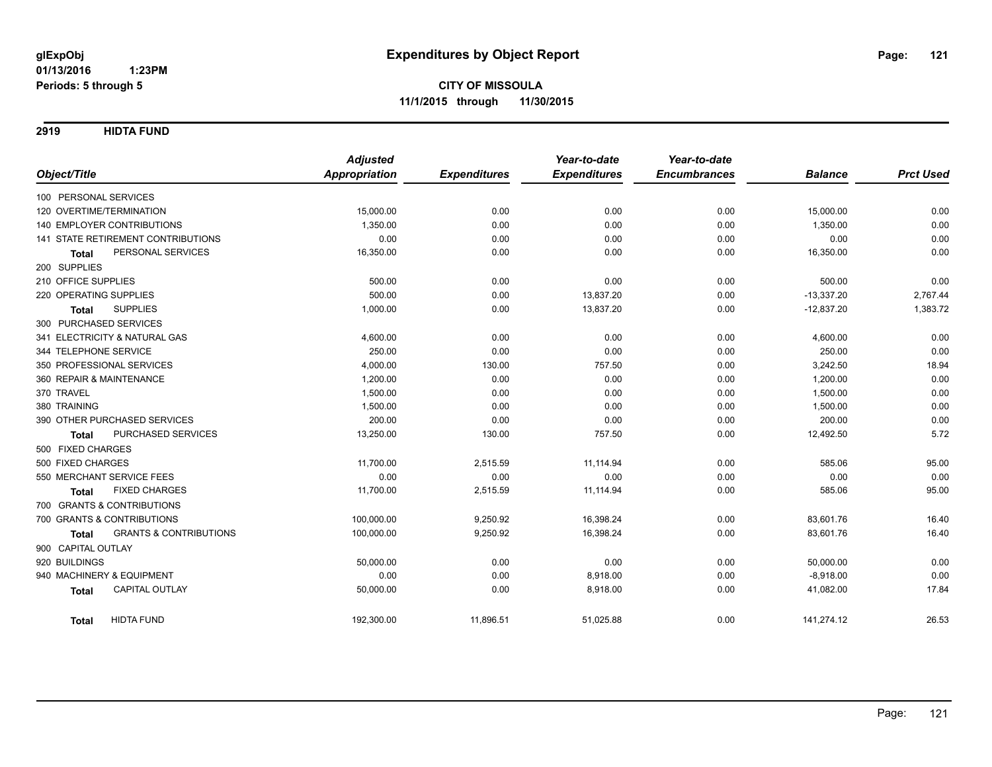**2919 HIDTA FUND**

|                                                   | <b>Adjusted</b>      |                     | Year-to-date        | Year-to-date        |                |                  |
|---------------------------------------------------|----------------------|---------------------|---------------------|---------------------|----------------|------------------|
| Object/Title                                      | <b>Appropriation</b> | <b>Expenditures</b> | <b>Expenditures</b> | <b>Encumbrances</b> | <b>Balance</b> | <b>Prct Used</b> |
| 100 PERSONAL SERVICES                             |                      |                     |                     |                     |                |                  |
| 120 OVERTIME/TERMINATION                          | 15,000.00            | 0.00                | 0.00                | 0.00                | 15,000.00      | 0.00             |
| <b>140 EMPLOYER CONTRIBUTIONS</b>                 | 1,350.00             | 0.00                | 0.00                | 0.00                | 1,350.00       | 0.00             |
| 141 STATE RETIREMENT CONTRIBUTIONS                | 0.00                 | 0.00                | 0.00                | 0.00                | 0.00           | 0.00             |
| PERSONAL SERVICES<br><b>Total</b>                 | 16,350.00            | 0.00                | 0.00                | 0.00                | 16,350.00      | 0.00             |
| 200 SUPPLIES                                      |                      |                     |                     |                     |                |                  |
| 210 OFFICE SUPPLIES                               | 500.00               | 0.00                | 0.00                | 0.00                | 500.00         | 0.00             |
| 220 OPERATING SUPPLIES                            | 500.00               | 0.00                | 13,837.20           | 0.00                | $-13,337.20$   | 2,767.44         |
| <b>SUPPLIES</b><br><b>Total</b>                   | 1,000.00             | 0.00                | 13,837.20           | 0.00                | $-12,837.20$   | 1,383.72         |
| 300 PURCHASED SERVICES                            |                      |                     |                     |                     |                |                  |
| 341 ELECTRICITY & NATURAL GAS                     | 4,600.00             | 0.00                | 0.00                | 0.00                | 4,600.00       | 0.00             |
| 344 TELEPHONE SERVICE                             | 250.00               | 0.00                | 0.00                | 0.00                | 250.00         | 0.00             |
| 350 PROFESSIONAL SERVICES                         | 4,000.00             | 130.00              | 757.50              | 0.00                | 3,242.50       | 18.94            |
| 360 REPAIR & MAINTENANCE                          | 1,200.00             | 0.00                | 0.00                | 0.00                | 1,200.00       | 0.00             |
| 370 TRAVEL                                        | 1,500.00             | 0.00                | 0.00                | 0.00                | 1,500.00       | 0.00             |
| 380 TRAINING                                      | 1,500.00             | 0.00                | 0.00                | 0.00                | 1,500.00       | 0.00             |
| 390 OTHER PURCHASED SERVICES                      | 200.00               | 0.00                | 0.00                | 0.00                | 200.00         | 0.00             |
| PURCHASED SERVICES<br><b>Total</b>                | 13,250.00            | 130.00              | 757.50              | 0.00                | 12,492.50      | 5.72             |
| 500 FIXED CHARGES                                 |                      |                     |                     |                     |                |                  |
| 500 FIXED CHARGES                                 | 11,700.00            | 2,515.59            | 11,114.94           | 0.00                | 585.06         | 95.00            |
| 550 MERCHANT SERVICE FEES                         | 0.00                 | 0.00                | 0.00                | 0.00                | 0.00           | 0.00             |
| <b>FIXED CHARGES</b><br><b>Total</b>              | 11,700.00            | 2,515.59            | 11,114.94           | 0.00                | 585.06         | 95.00            |
| 700 GRANTS & CONTRIBUTIONS                        |                      |                     |                     |                     |                |                  |
| 700 GRANTS & CONTRIBUTIONS                        | 100,000.00           | 9,250.92            | 16,398.24           | 0.00                | 83,601.76      | 16.40            |
| <b>GRANTS &amp; CONTRIBUTIONS</b><br><b>Total</b> | 100,000.00           | 9,250.92            | 16,398.24           | 0.00                | 83,601.76      | 16.40            |
| 900 CAPITAL OUTLAY                                |                      |                     |                     |                     |                |                  |
| 920 BUILDINGS                                     | 50,000.00            | 0.00                | 0.00                | 0.00                | 50,000.00      | 0.00             |
| 940 MACHINERY & EQUIPMENT                         | 0.00                 | 0.00                | 8,918.00            | 0.00                | $-8,918.00$    | 0.00             |
| <b>CAPITAL OUTLAY</b><br><b>Total</b>             | 50,000.00            | 0.00                | 8,918.00            | 0.00                | 41,082.00      | 17.84            |
| <b>HIDTA FUND</b><br><b>Total</b>                 | 192,300.00           | 11,896.51           | 51,025.88           | 0.00                | 141,274.12     | 26.53            |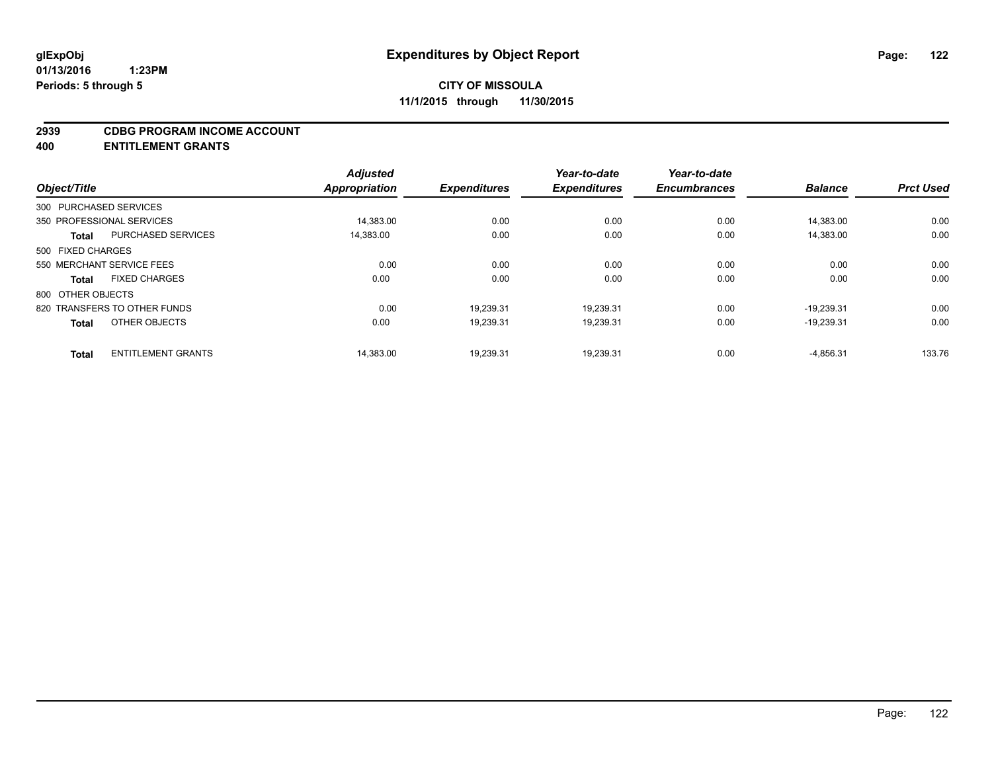#### **2939 CDBG PROGRAM INCOME ACCOUNT**

**400 ENTITLEMENT GRANTS**

|                   |                              | <b>Adjusted</b> |                     | Year-to-date        | Year-to-date        |                |                  |
|-------------------|------------------------------|-----------------|---------------------|---------------------|---------------------|----------------|------------------|
| Object/Title      |                              | Appropriation   | <b>Expenditures</b> | <b>Expenditures</b> | <b>Encumbrances</b> | <b>Balance</b> | <b>Prct Used</b> |
|                   | 300 PURCHASED SERVICES       |                 |                     |                     |                     |                |                  |
|                   | 350 PROFESSIONAL SERVICES    | 14,383.00       | 0.00                | 0.00                | 0.00                | 14,383.00      | 0.00             |
| <b>Total</b>      | <b>PURCHASED SERVICES</b>    | 14,383.00       | 0.00                | 0.00                | 0.00                | 14.383.00      | 0.00             |
| 500 FIXED CHARGES |                              |                 |                     |                     |                     |                |                  |
|                   | 550 MERCHANT SERVICE FEES    | 0.00            | 0.00                | 0.00                | 0.00                | 0.00           | 0.00             |
| <b>Total</b>      | <b>FIXED CHARGES</b>         | 0.00            | 0.00                | 0.00                | 0.00                | 0.00           | 0.00             |
| 800 OTHER OBJECTS |                              |                 |                     |                     |                     |                |                  |
|                   | 820 TRANSFERS TO OTHER FUNDS | 0.00            | 19.239.31           | 19.239.31           | 0.00                | $-19.239.31$   | 0.00             |
| <b>Total</b>      | OTHER OBJECTS                | 0.00            | 19,239.31           | 19,239.31           | 0.00                | $-19,239.31$   | 0.00             |
| <b>Total</b>      | <b>ENTITLEMENT GRANTS</b>    | 14.383.00       | 19,239.31           | 19.239.31           | 0.00                | $-4.856.31$    | 133.76           |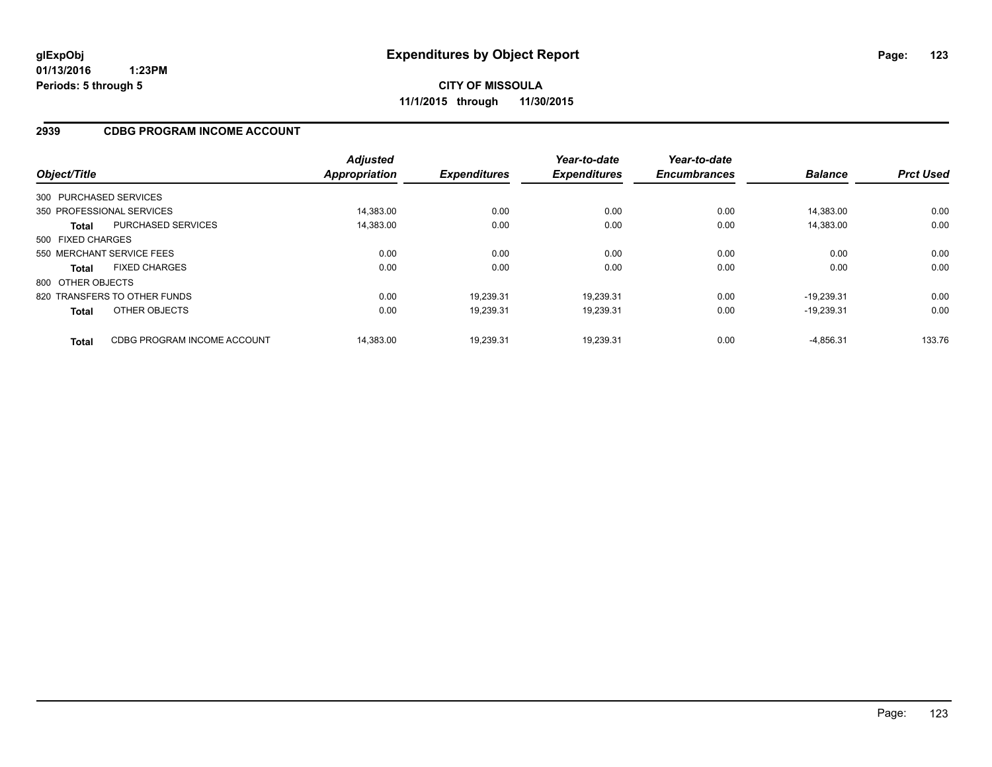### **2939 CDBG PROGRAM INCOME ACCOUNT**

| Object/Title      |                              | <b>Adjusted</b><br><b>Appropriation</b> | <b>Expenditures</b> | Year-to-date<br><b>Expenditures</b> | Year-to-date<br><b>Encumbrances</b> | <b>Balance</b> | <b>Prct Used</b> |
|-------------------|------------------------------|-----------------------------------------|---------------------|-------------------------------------|-------------------------------------|----------------|------------------|
|                   | 300 PURCHASED SERVICES       |                                         |                     |                                     |                                     |                |                  |
|                   | 350 PROFESSIONAL SERVICES    | 14.383.00                               | 0.00                | 0.00                                | 0.00                                | 14.383.00      | 0.00             |
| <b>Total</b>      | <b>PURCHASED SERVICES</b>    | 14,383.00                               | 0.00                | 0.00                                | 0.00                                | 14.383.00      | 0.00             |
| 500 FIXED CHARGES |                              |                                         |                     |                                     |                                     |                |                  |
|                   | 550 MERCHANT SERVICE FEES    | 0.00                                    | 0.00                | 0.00                                | 0.00                                | 0.00           | 0.00             |
| <b>Total</b>      | <b>FIXED CHARGES</b>         | 0.00                                    | 0.00                | 0.00                                | 0.00                                | 0.00           | 0.00             |
| 800 OTHER OBJECTS |                              |                                         |                     |                                     |                                     |                |                  |
|                   | 820 TRANSFERS TO OTHER FUNDS | 0.00                                    | 19.239.31           | 19.239.31                           | 0.00                                | $-19.239.31$   | 0.00             |
| <b>Total</b>      | OTHER OBJECTS                | 0.00                                    | 19,239.31           | 19,239.31                           | 0.00                                | $-19.239.31$   | 0.00             |
| <b>Total</b>      | CDBG PROGRAM INCOME ACCOUNT  | 14.383.00                               | 19.239.31           | 19.239.31                           | 0.00                                | $-4.856.31$    | 133.76           |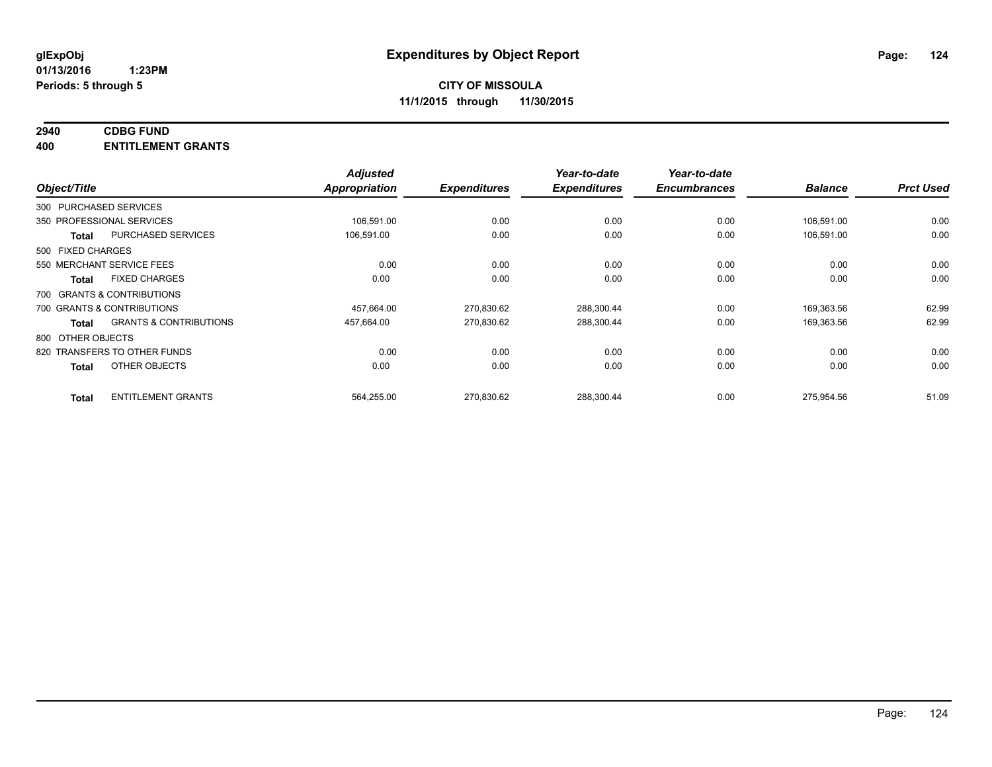# **2940 CDBG FUND**

**400 ENTITLEMENT GRANTS**

| Object/Title           |                                   | <b>Adjusted</b><br>Appropriation | <b>Expenditures</b> | Year-to-date<br><b>Expenditures</b> | Year-to-date<br><b>Encumbrances</b> | <b>Balance</b> | <b>Prct Used</b> |
|------------------------|-----------------------------------|----------------------------------|---------------------|-------------------------------------|-------------------------------------|----------------|------------------|
| 300 PURCHASED SERVICES |                                   |                                  |                     |                                     |                                     |                |                  |
|                        | 350 PROFESSIONAL SERVICES         | 106,591.00                       | 0.00                | 0.00                                | 0.00                                | 106,591.00     | 0.00             |
| <b>Total</b>           | PURCHASED SERVICES                | 106,591.00                       | 0.00                | 0.00                                | 0.00                                | 106,591.00     | 0.00             |
| 500 FIXED CHARGES      |                                   |                                  |                     |                                     |                                     |                |                  |
|                        | 550 MERCHANT SERVICE FEES         | 0.00                             | 0.00                | 0.00                                | 0.00                                | 0.00           | 0.00             |
| <b>Total</b>           | <b>FIXED CHARGES</b>              | 0.00                             | 0.00                | 0.00                                | 0.00                                | 0.00           | 0.00             |
|                        | 700 GRANTS & CONTRIBUTIONS        |                                  |                     |                                     |                                     |                |                  |
|                        | 700 GRANTS & CONTRIBUTIONS        | 457,664.00                       | 270,830.62          | 288,300.44                          | 0.00                                | 169,363.56     | 62.99            |
| <b>Total</b>           | <b>GRANTS &amp; CONTRIBUTIONS</b> | 457,664.00                       | 270,830.62          | 288,300.44                          | 0.00                                | 169,363.56     | 62.99            |
| 800 OTHER OBJECTS      |                                   |                                  |                     |                                     |                                     |                |                  |
|                        | 820 TRANSFERS TO OTHER FUNDS      | 0.00                             | 0.00                | 0.00                                | 0.00                                | 0.00           | 0.00             |
| <b>Total</b>           | OTHER OBJECTS                     | 0.00                             | 0.00                | 0.00                                | 0.00                                | 0.00           | 0.00             |
| <b>Total</b>           | <b>ENTITLEMENT GRANTS</b>         | 564,255.00                       | 270,830.62          | 288,300.44                          | 0.00                                | 275,954.56     | 51.09            |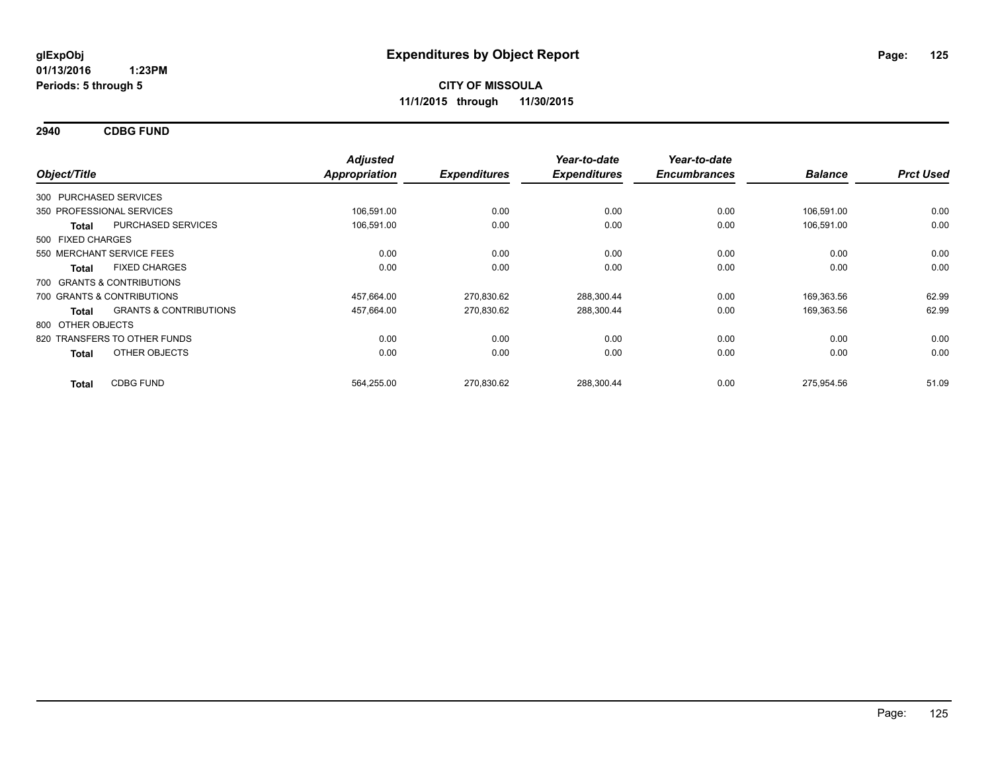**2940 CDBG FUND**

| Object/Title                 |                                   | <b>Adjusted</b><br><b>Appropriation</b> | <b>Expenditures</b> | Year-to-date<br><b>Expenditures</b> | Year-to-date<br><b>Encumbrances</b> | <b>Balance</b> | <b>Prct Used</b> |
|------------------------------|-----------------------------------|-----------------------------------------|---------------------|-------------------------------------|-------------------------------------|----------------|------------------|
| 300 PURCHASED SERVICES       |                                   |                                         |                     |                                     |                                     |                |                  |
| 350 PROFESSIONAL SERVICES    |                                   | 106.591.00                              | 0.00                | 0.00                                | 0.00                                | 106,591.00     | 0.00             |
| <b>Total</b>                 | PURCHASED SERVICES                | 106,591.00                              | 0.00                | 0.00                                | 0.00                                | 106,591.00     | 0.00             |
| 500 FIXED CHARGES            |                                   |                                         |                     |                                     |                                     |                |                  |
| 550 MERCHANT SERVICE FEES    |                                   | 0.00                                    | 0.00                | 0.00                                | 0.00                                | 0.00           | 0.00             |
| <b>Total</b>                 | <b>FIXED CHARGES</b>              | 0.00                                    | 0.00                | 0.00                                | 0.00                                | 0.00           | 0.00             |
| 700 GRANTS & CONTRIBUTIONS   |                                   |                                         |                     |                                     |                                     |                |                  |
| 700 GRANTS & CONTRIBUTIONS   |                                   | 457,664.00                              | 270,830.62          | 288,300.44                          | 0.00                                | 169,363.56     | 62.99            |
| <b>Total</b>                 | <b>GRANTS &amp; CONTRIBUTIONS</b> | 457,664.00                              | 270,830.62          | 288,300.44                          | 0.00                                | 169,363.56     | 62.99            |
| 800 OTHER OBJECTS            |                                   |                                         |                     |                                     |                                     |                |                  |
| 820 TRANSFERS TO OTHER FUNDS |                                   | 0.00                                    | 0.00                | 0.00                                | 0.00                                | 0.00           | 0.00             |
| <b>Total</b>                 | OTHER OBJECTS                     | 0.00                                    | 0.00                | 0.00                                | 0.00                                | 0.00           | 0.00             |
| <b>Total</b>                 | <b>CDBG FUND</b>                  | 564,255.00                              | 270,830.62          | 288,300.44                          | 0.00                                | 275,954.56     | 51.09            |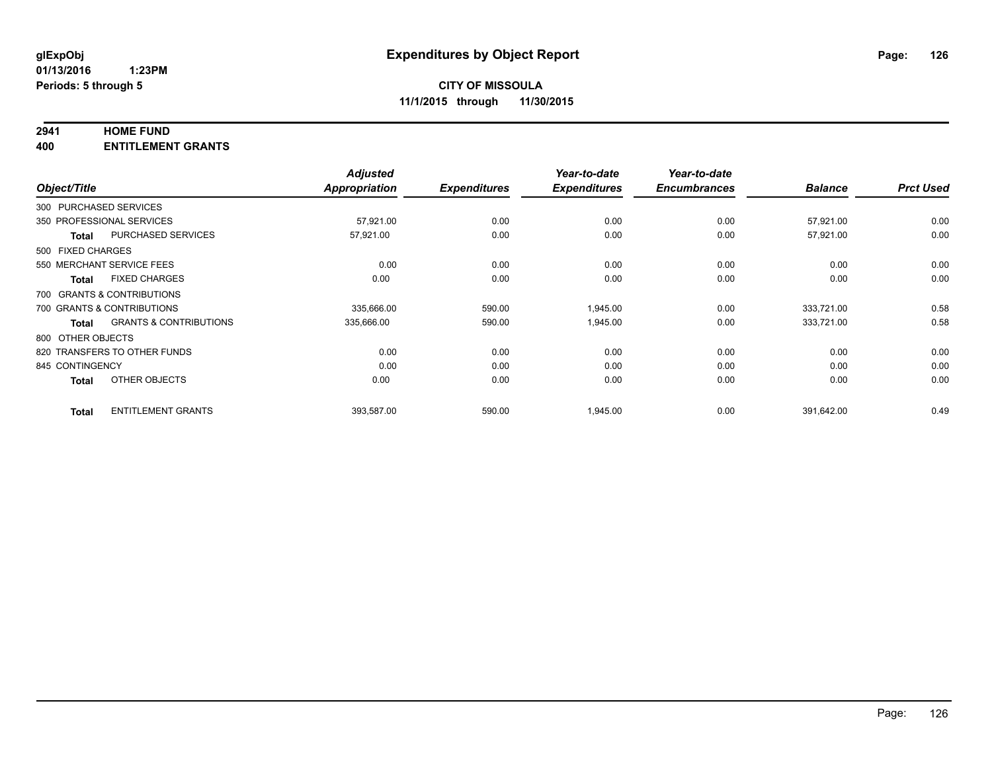### **2941 HOME FUND**

**400 ENTITLEMENT GRANTS**

| Object/Title           |                                   | <b>Adjusted</b><br>Appropriation | <b>Expenditures</b> | Year-to-date<br><b>Expenditures</b> | Year-to-date<br><b>Encumbrances</b> | <b>Balance</b> | <b>Prct Used</b> |
|------------------------|-----------------------------------|----------------------------------|---------------------|-------------------------------------|-------------------------------------|----------------|------------------|
|                        |                                   |                                  |                     |                                     |                                     |                |                  |
| 300 PURCHASED SERVICES |                                   |                                  |                     |                                     |                                     |                |                  |
|                        | 350 PROFESSIONAL SERVICES         | 57,921.00                        | 0.00                | 0.00                                | 0.00                                | 57,921.00      | 0.00             |
| <b>Total</b>           | <b>PURCHASED SERVICES</b>         | 57,921.00                        | 0.00                | 0.00                                | 0.00                                | 57,921.00      | 0.00             |
| 500 FIXED CHARGES      |                                   |                                  |                     |                                     |                                     |                |                  |
|                        | 550 MERCHANT SERVICE FEES         | 0.00                             | 0.00                | 0.00                                | 0.00                                | 0.00           | 0.00             |
| <b>Total</b>           | <b>FIXED CHARGES</b>              | 0.00                             | 0.00                | 0.00                                | 0.00                                | 0.00           | 0.00             |
|                        | 700 GRANTS & CONTRIBUTIONS        |                                  |                     |                                     |                                     |                |                  |
|                        | 700 GRANTS & CONTRIBUTIONS        | 335,666.00                       | 590.00              | 1,945.00                            | 0.00                                | 333.721.00     | 0.58             |
| <b>Total</b>           | <b>GRANTS &amp; CONTRIBUTIONS</b> | 335,666.00                       | 590.00              | 1,945.00                            | 0.00                                | 333,721.00     | 0.58             |
| 800 OTHER OBJECTS      |                                   |                                  |                     |                                     |                                     |                |                  |
|                        | 820 TRANSFERS TO OTHER FUNDS      | 0.00                             | 0.00                | 0.00                                | 0.00                                | 0.00           | 0.00             |
| 845 CONTINGENCY        |                                   | 0.00                             | 0.00                | 0.00                                | 0.00                                | 0.00           | 0.00             |
| <b>Total</b>           | OTHER OBJECTS                     | 0.00                             | 0.00                | 0.00                                | 0.00                                | 0.00           | 0.00             |
| <b>Total</b>           | <b>ENTITLEMENT GRANTS</b>         | 393,587.00                       | 590.00              | 1,945.00                            | 0.00                                | 391,642.00     | 0.49             |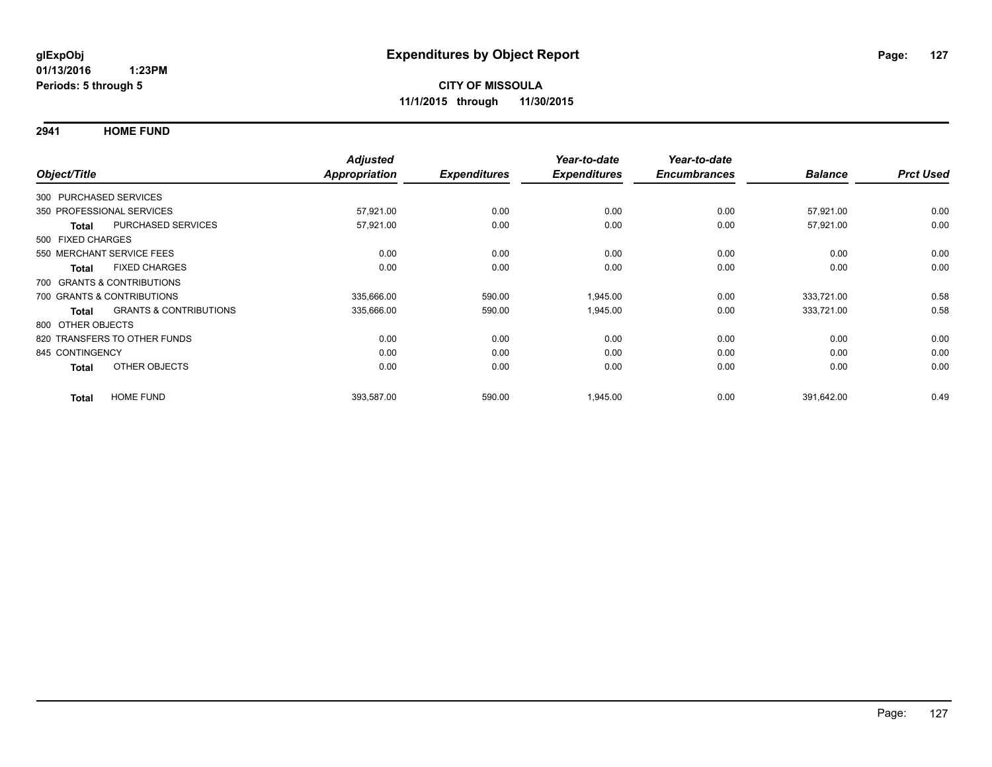**2941 HOME FUND**

| Object/Title      |              |                                   | <b>Adjusted</b><br><b>Appropriation</b> | <b>Expenditures</b> | Year-to-date<br><b>Expenditures</b> | Year-to-date<br><b>Encumbrances</b> | <b>Balance</b> | <b>Prct Used</b> |
|-------------------|--------------|-----------------------------------|-----------------------------------------|---------------------|-------------------------------------|-------------------------------------|----------------|------------------|
|                   |              |                                   |                                         |                     |                                     |                                     |                |                  |
|                   |              | 300 PURCHASED SERVICES            |                                         |                     |                                     |                                     |                |                  |
|                   |              | 350 PROFESSIONAL SERVICES         | 57,921.00                               | 0.00                | 0.00                                | 0.00                                | 57,921.00      | 0.00             |
|                   | <b>Total</b> | <b>PURCHASED SERVICES</b>         | 57,921.00                               | 0.00                | 0.00                                | 0.00                                | 57,921.00      | 0.00             |
| 500 FIXED CHARGES |              |                                   |                                         |                     |                                     |                                     |                |                  |
|                   |              | 550 MERCHANT SERVICE FEES         | 0.00                                    | 0.00                | 0.00                                | 0.00                                | 0.00           | 0.00             |
|                   | <b>Total</b> | <b>FIXED CHARGES</b>              | 0.00                                    | 0.00                | 0.00                                | 0.00                                | 0.00           | 0.00             |
|                   |              | 700 GRANTS & CONTRIBUTIONS        |                                         |                     |                                     |                                     |                |                  |
|                   |              | 700 GRANTS & CONTRIBUTIONS        | 335,666.00                              | 590.00              | 1,945.00                            | 0.00                                | 333,721.00     | 0.58             |
|                   | <b>Total</b> | <b>GRANTS &amp; CONTRIBUTIONS</b> | 335,666.00                              | 590.00              | 1,945.00                            | 0.00                                | 333,721.00     | 0.58             |
| 800 OTHER OBJECTS |              |                                   |                                         |                     |                                     |                                     |                |                  |
|                   |              | 820 TRANSFERS TO OTHER FUNDS      | 0.00                                    | 0.00                | 0.00                                | 0.00                                | 0.00           | 0.00             |
| 845 CONTINGENCY   |              |                                   | 0.00                                    | 0.00                | 0.00                                | 0.00                                | 0.00           | 0.00             |
|                   | <b>Total</b> | OTHER OBJECTS                     | 0.00                                    | 0.00                | 0.00                                | 0.00                                | 0.00           | 0.00             |
|                   | <b>Total</b> | <b>HOME FUND</b>                  | 393,587.00                              | 590.00              | 1,945.00                            | 0.00                                | 391,642.00     | 0.49             |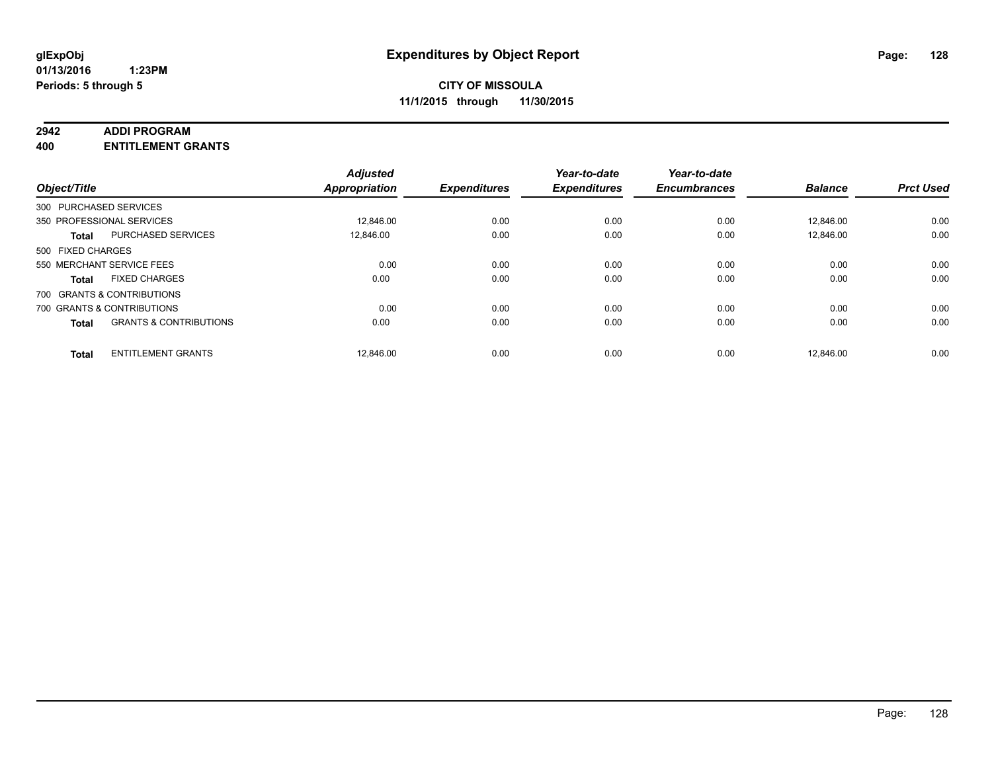#### **2942 ADDI PROGRAM**

**400 ENTITLEMENT GRANTS**

| Object/Title      |                                   | <b>Adjusted</b><br><b>Appropriation</b> | <b>Expenditures</b> | Year-to-date<br><b>Expenditures</b> | Year-to-date<br><b>Encumbrances</b> | <b>Balance</b> | <b>Prct Used</b> |
|-------------------|-----------------------------------|-----------------------------------------|---------------------|-------------------------------------|-------------------------------------|----------------|------------------|
|                   | 300 PURCHASED SERVICES            |                                         |                     |                                     |                                     |                |                  |
|                   | 350 PROFESSIONAL SERVICES         | 12,846.00                               | 0.00                | 0.00                                | 0.00                                | 12,846.00      | 0.00             |
| <b>Total</b>      | <b>PURCHASED SERVICES</b>         | 12.846.00                               | 0.00                | 0.00                                | 0.00                                | 12.846.00      | 0.00             |
| 500 FIXED CHARGES |                                   |                                         |                     |                                     |                                     |                |                  |
|                   | 550 MERCHANT SERVICE FEES         | 0.00                                    | 0.00                | 0.00                                | 0.00                                | 0.00           | 0.00             |
| <b>Total</b>      | <b>FIXED CHARGES</b>              | 0.00                                    | 0.00                | 0.00                                | 0.00                                | 0.00           | 0.00             |
|                   | 700 GRANTS & CONTRIBUTIONS        |                                         |                     |                                     |                                     |                |                  |
|                   | 700 GRANTS & CONTRIBUTIONS        | 0.00                                    | 0.00                | 0.00                                | 0.00                                | 0.00           | 0.00             |
| <b>Total</b>      | <b>GRANTS &amp; CONTRIBUTIONS</b> | 0.00                                    | 0.00                | 0.00                                | 0.00                                | 0.00           | 0.00             |
| <b>Total</b>      | <b>ENTITLEMENT GRANTS</b>         | 12,846.00                               | 0.00                | 0.00                                | 0.00                                | 12.846.00      | 0.00             |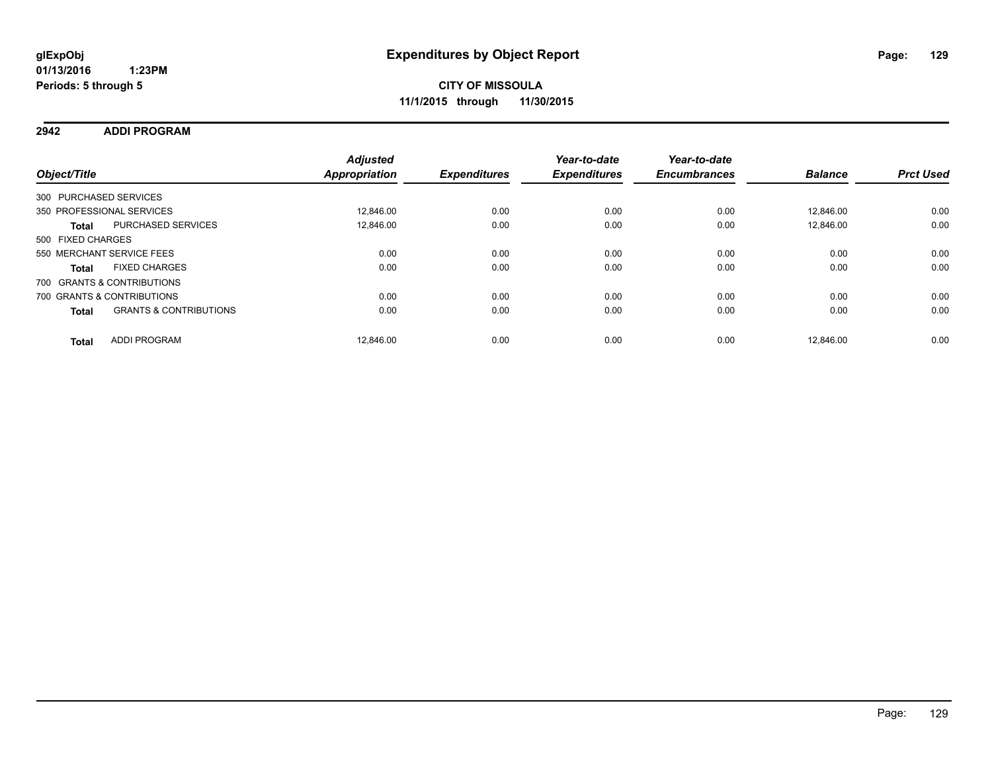### **2942 ADDI PROGRAM**

| Object/Title           |                                   | <b>Adjusted</b><br>Appropriation | <b>Expenditures</b> | Year-to-date<br><b>Expenditures</b> | Year-to-date<br><b>Encumbrances</b> | <b>Balance</b> | <b>Prct Used</b> |
|------------------------|-----------------------------------|----------------------------------|---------------------|-------------------------------------|-------------------------------------|----------------|------------------|
| 300 PURCHASED SERVICES |                                   |                                  |                     |                                     |                                     |                |                  |
|                        | 350 PROFESSIONAL SERVICES         | 12.846.00                        | 0.00                | 0.00                                | 0.00                                | 12.846.00      | 0.00             |
| <b>Total</b>           | <b>PURCHASED SERVICES</b>         | 12.846.00                        | 0.00                | 0.00                                | 0.00                                | 12.846.00      | 0.00             |
| 500 FIXED CHARGES      |                                   |                                  |                     |                                     |                                     |                |                  |
|                        | 550 MERCHANT SERVICE FEES         | 0.00                             | 0.00                | 0.00                                | 0.00                                | 0.00           | 0.00             |
| <b>Total</b>           | <b>FIXED CHARGES</b>              | 0.00                             | 0.00                | 0.00                                | 0.00                                | 0.00           | 0.00             |
|                        | 700 GRANTS & CONTRIBUTIONS        |                                  |                     |                                     |                                     |                |                  |
|                        | 700 GRANTS & CONTRIBUTIONS        | 0.00                             | 0.00                | 0.00                                | 0.00                                | 0.00           | 0.00             |
| <b>Total</b>           | <b>GRANTS &amp; CONTRIBUTIONS</b> | 0.00                             | 0.00                | 0.00                                | 0.00                                | 0.00           | 0.00             |
| <b>Total</b>           | <b>ADDI PROGRAM</b>               | 12.846.00                        | 0.00                | 0.00                                | 0.00                                | 12.846.00      | 0.00             |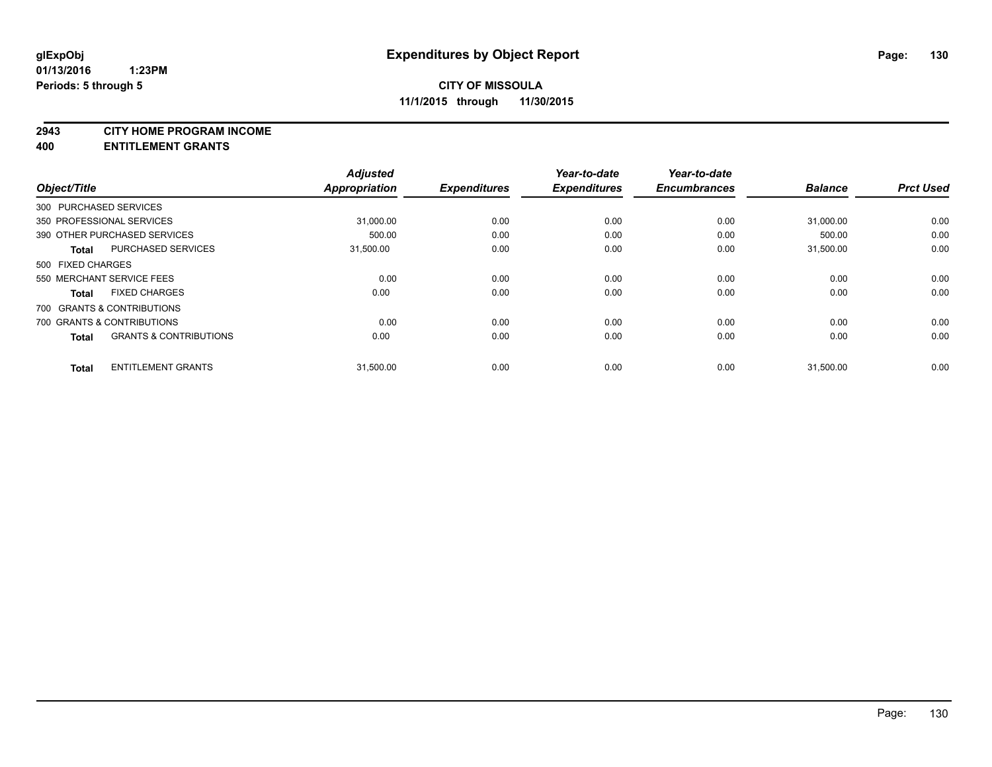#### **2943 CITY HOME PROGRAM INCOME**

**400 ENTITLEMENT GRANTS**

| Object/Title      |                                   | <b>Adjusted</b><br><b>Appropriation</b> | <b>Expenditures</b> | Year-to-date<br><b>Expenditures</b> | Year-to-date<br><b>Encumbrances</b> | <b>Balance</b> | <b>Prct Used</b> |
|-------------------|-----------------------------------|-----------------------------------------|---------------------|-------------------------------------|-------------------------------------|----------------|------------------|
|                   | 300 PURCHASED SERVICES            |                                         |                     |                                     |                                     |                |                  |
|                   | 350 PROFESSIONAL SERVICES         | 31,000.00                               | 0.00                | 0.00                                | 0.00                                | 31,000.00      | 0.00             |
|                   | 390 OTHER PURCHASED SERVICES      | 500.00                                  | 0.00                | 0.00                                | 0.00                                | 500.00         | 0.00             |
| <b>Total</b>      | PURCHASED SERVICES                | 31,500.00                               | 0.00                | 0.00                                | 0.00                                | 31.500.00      | 0.00             |
| 500 FIXED CHARGES |                                   |                                         |                     |                                     |                                     |                |                  |
|                   | 550 MERCHANT SERVICE FEES         | 0.00                                    | 0.00                | 0.00                                | 0.00                                | 0.00           | 0.00             |
| <b>Total</b>      | <b>FIXED CHARGES</b>              | 0.00                                    | 0.00                | 0.00                                | 0.00                                | 0.00           | 0.00             |
|                   | 700 GRANTS & CONTRIBUTIONS        |                                         |                     |                                     |                                     |                |                  |
|                   | 700 GRANTS & CONTRIBUTIONS        | 0.00                                    | 0.00                | 0.00                                | 0.00                                | 0.00           | 0.00             |
| <b>Total</b>      | <b>GRANTS &amp; CONTRIBUTIONS</b> | 0.00                                    | 0.00                | 0.00                                | 0.00                                | 0.00           | 0.00             |
| <b>Total</b>      | <b>ENTITLEMENT GRANTS</b>         | 31,500.00                               | 0.00                | 0.00                                | 0.00                                | 31,500.00      | 0.00             |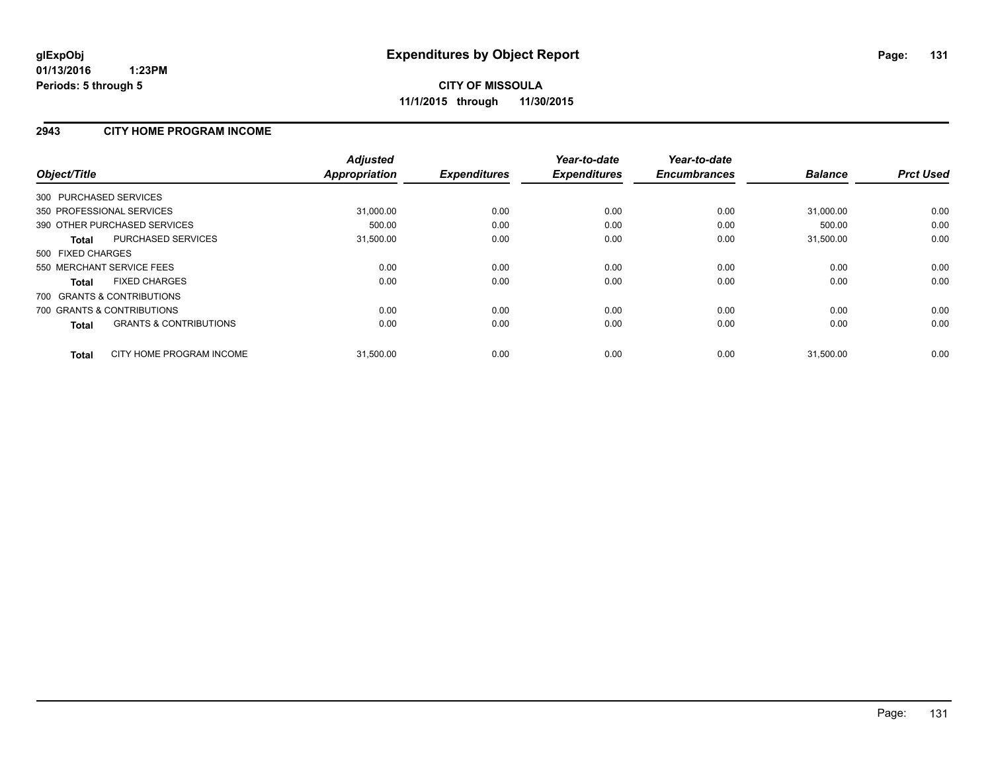### **2943 CITY HOME PROGRAM INCOME**

| Object/Title                                      | <b>Adjusted</b><br><b>Appropriation</b> | <b>Expenditures</b> | Year-to-date<br><b>Expenditures</b> | Year-to-date<br><b>Encumbrances</b> | <b>Balance</b> | <b>Prct Used</b> |
|---------------------------------------------------|-----------------------------------------|---------------------|-------------------------------------|-------------------------------------|----------------|------------------|
| 300 PURCHASED SERVICES                            |                                         |                     |                                     |                                     |                |                  |
| 350 PROFESSIONAL SERVICES                         | 31,000.00                               | 0.00                | 0.00                                | 0.00                                | 31,000.00      | 0.00             |
| 390 OTHER PURCHASED SERVICES                      | 500.00                                  | 0.00                | 0.00                                | 0.00                                | 500.00         | 0.00             |
| PURCHASED SERVICES<br>Total                       | 31,500.00                               | 0.00                | 0.00                                | 0.00                                | 31,500.00      | 0.00             |
| 500 FIXED CHARGES                                 |                                         |                     |                                     |                                     |                |                  |
| 550 MERCHANT SERVICE FEES                         | 0.00                                    | 0.00                | 0.00                                | 0.00                                | 0.00           | 0.00             |
| <b>FIXED CHARGES</b><br>Total                     | 0.00                                    | 0.00                | 0.00                                | 0.00                                | 0.00           | 0.00             |
| 700 GRANTS & CONTRIBUTIONS                        |                                         |                     |                                     |                                     |                |                  |
| 700 GRANTS & CONTRIBUTIONS                        | 0.00                                    | 0.00                | 0.00                                | 0.00                                | 0.00           | 0.00             |
| <b>GRANTS &amp; CONTRIBUTIONS</b><br><b>Total</b> | 0.00                                    | 0.00                | 0.00                                | 0.00                                | 0.00           | 0.00             |
| CITY HOME PROGRAM INCOME<br><b>Total</b>          | 31,500.00                               | 0.00                | 0.00                                | 0.00                                | 31,500.00      | 0.00             |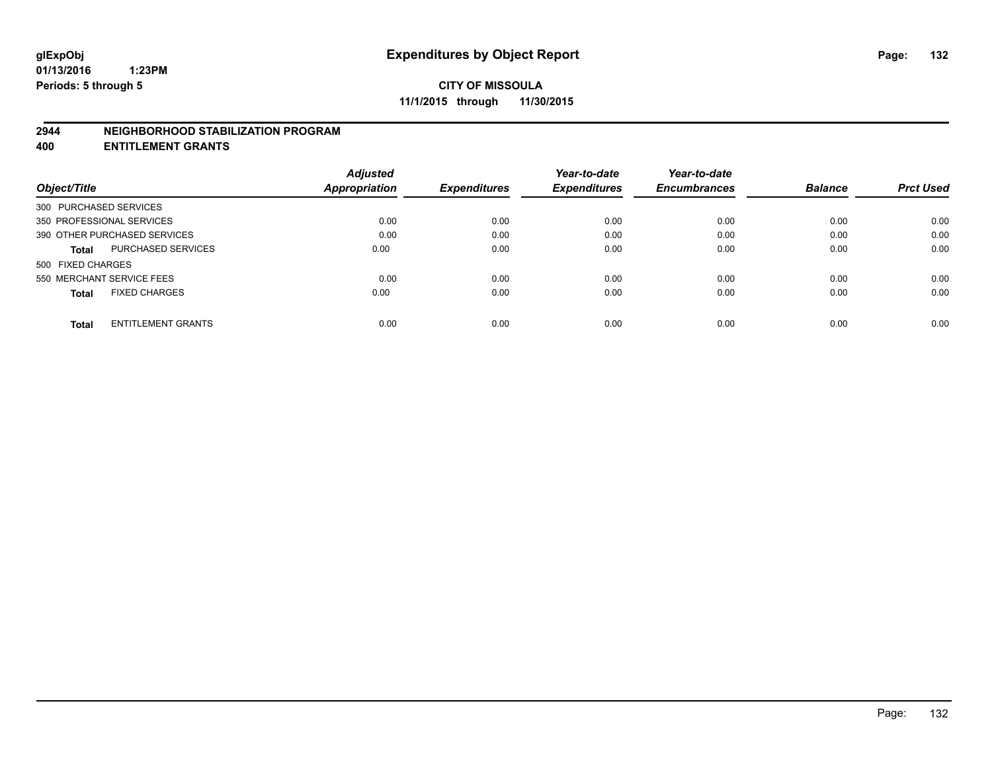#### **2944 NEIGHBORHOOD STABILIZATION PROGRAM**

**400 ENTITLEMENT GRANTS**

|                                           | <b>Adjusted</b> |                     | Year-to-date        | Year-to-date        |                |                  |
|-------------------------------------------|-----------------|---------------------|---------------------|---------------------|----------------|------------------|
| Object/Title                              | Appropriation   | <b>Expenditures</b> | <b>Expenditures</b> | <b>Encumbrances</b> | <b>Balance</b> | <b>Prct Used</b> |
| 300 PURCHASED SERVICES                    |                 |                     |                     |                     |                |                  |
| 350 PROFESSIONAL SERVICES                 | 0.00            | 0.00                | 0.00                | 0.00                | 0.00           | 0.00             |
| 390 OTHER PURCHASED SERVICES              | 0.00            | 0.00                | 0.00                | 0.00                | 0.00           | 0.00             |
| <b>PURCHASED SERVICES</b><br><b>Total</b> | 0.00            | 0.00                | 0.00                | 0.00                | 0.00           | 0.00             |
| 500 FIXED CHARGES                         |                 |                     |                     |                     |                |                  |
| 550 MERCHANT SERVICE FEES                 | 0.00            | 0.00                | 0.00                | 0.00                | 0.00           | 0.00             |
| <b>FIXED CHARGES</b><br><b>Total</b>      | 0.00            | 0.00                | 0.00                | 0.00                | 0.00           | 0.00             |
| <b>ENTITLEMENT GRANTS</b><br><b>Total</b> | 0.00            | 0.00                | 0.00                | 0.00                | 0.00           | 0.00             |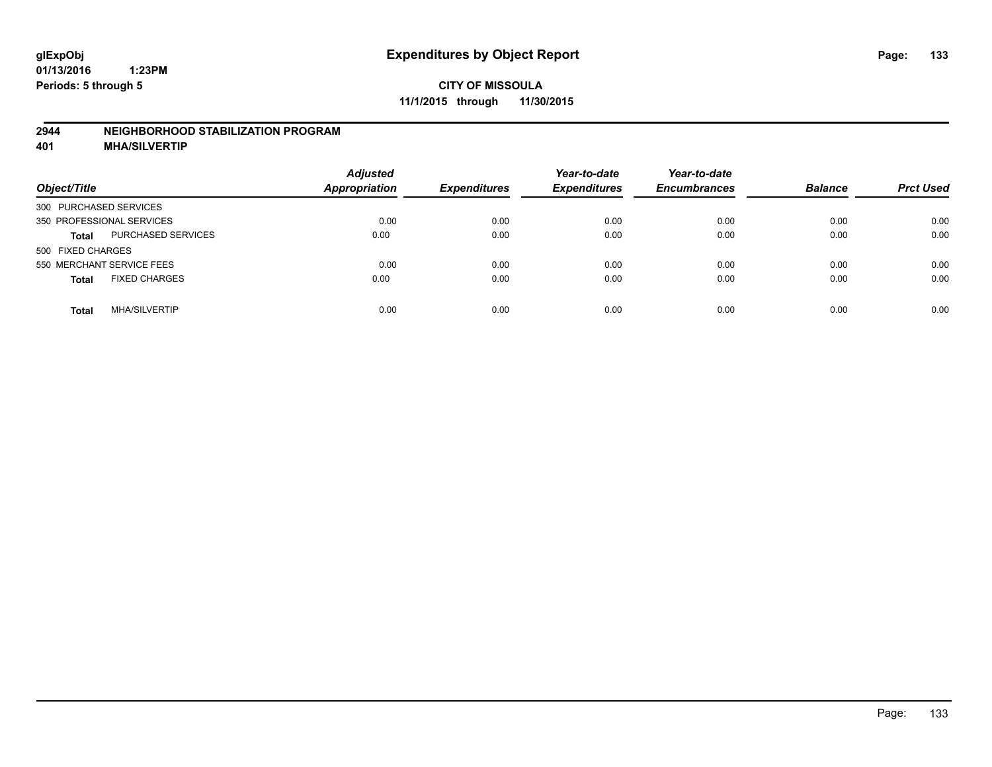### **2944 NEIGHBORHOOD STABILIZATION PROGRAM**

**401 MHA/SILVERTIP**

| Object/Title                              | <b>Adjusted</b><br><b>Appropriation</b> | <b>Expenditures</b> | Year-to-date<br><b>Expenditures</b> | Year-to-date<br><b>Encumbrances</b> | <b>Balance</b> | <b>Prct Used</b> |
|-------------------------------------------|-----------------------------------------|---------------------|-------------------------------------|-------------------------------------|----------------|------------------|
| 300 PURCHASED SERVICES                    |                                         |                     |                                     |                                     |                |                  |
| 350 PROFESSIONAL SERVICES                 | 0.00                                    | 0.00                | 0.00                                | 0.00                                | 0.00           | 0.00             |
| <b>PURCHASED SERVICES</b><br><b>Total</b> | 0.00                                    | 0.00                | 0.00                                | 0.00                                | 0.00           | 0.00             |
| 500 FIXED CHARGES                         |                                         |                     |                                     |                                     |                |                  |
| 550 MERCHANT SERVICE FEES                 | 0.00                                    | 0.00                | 0.00                                | 0.00                                | 0.00           | 0.00             |
| <b>FIXED CHARGES</b><br><b>Total</b>      | 0.00                                    | 0.00                | 0.00                                | 0.00                                | 0.00           | 0.00             |
| <b>MHA/SILVERTIP</b><br>Total             | 0.00                                    | 0.00                | 0.00                                | 0.00                                | 0.00           | 0.00             |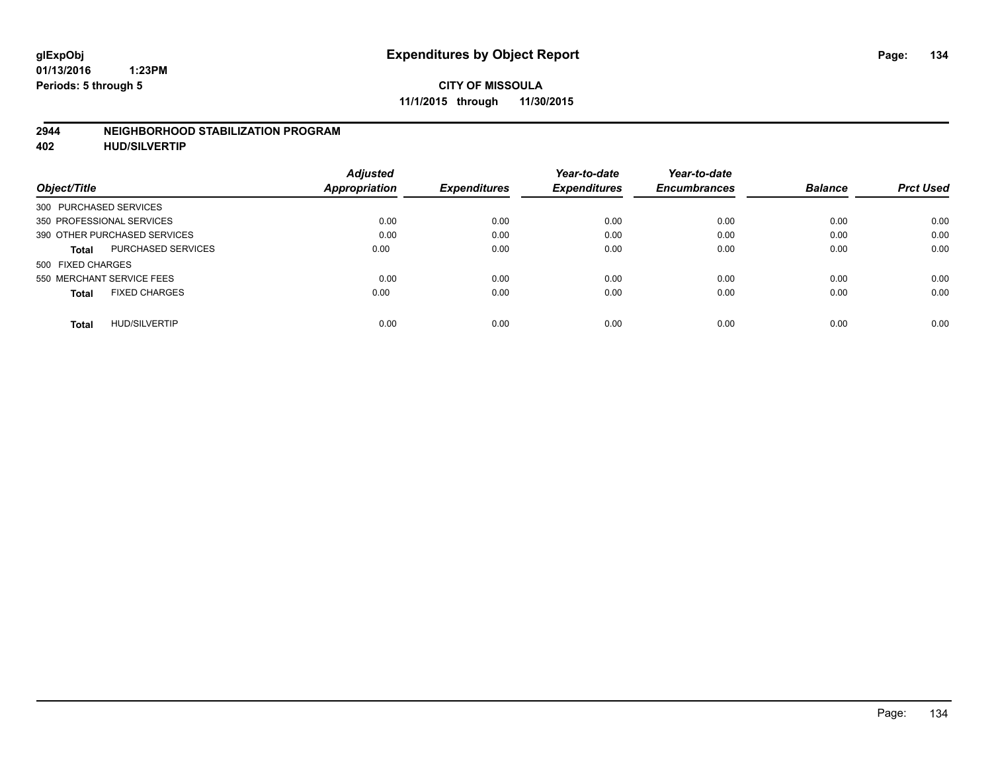### **2944 NEIGHBORHOOD STABILIZATION PROGRAM**

**402 HUD/SILVERTIP**

| <b>Adjusted</b> |                      | Year-to-date        | Year-to-date        |                     | <b>Prct Used</b> |
|-----------------|----------------------|---------------------|---------------------|---------------------|------------------|
|                 |                      |                     |                     |                     |                  |
|                 |                      |                     |                     |                     |                  |
| 0.00            | 0.00                 | 0.00                | 0.00                | 0.00                | 0.00             |
| 0.00            | 0.00                 | 0.00                | 0.00                | 0.00                | 0.00             |
| 0.00            | 0.00                 | 0.00                | 0.00                | 0.00                | 0.00             |
|                 |                      |                     |                     |                     |                  |
| 0.00            | 0.00                 | 0.00                | 0.00                | 0.00                | 0.00             |
| 0.00            | 0.00                 | 0.00                | 0.00                | 0.00                | 0.00             |
| 0.00            | 0.00                 | 0.00                | 0.00                | 0.00                | 0.00             |
|                 | <b>Appropriation</b> | <b>Expenditures</b> | <b>Expenditures</b> | <b>Encumbrances</b> | <b>Balance</b>   |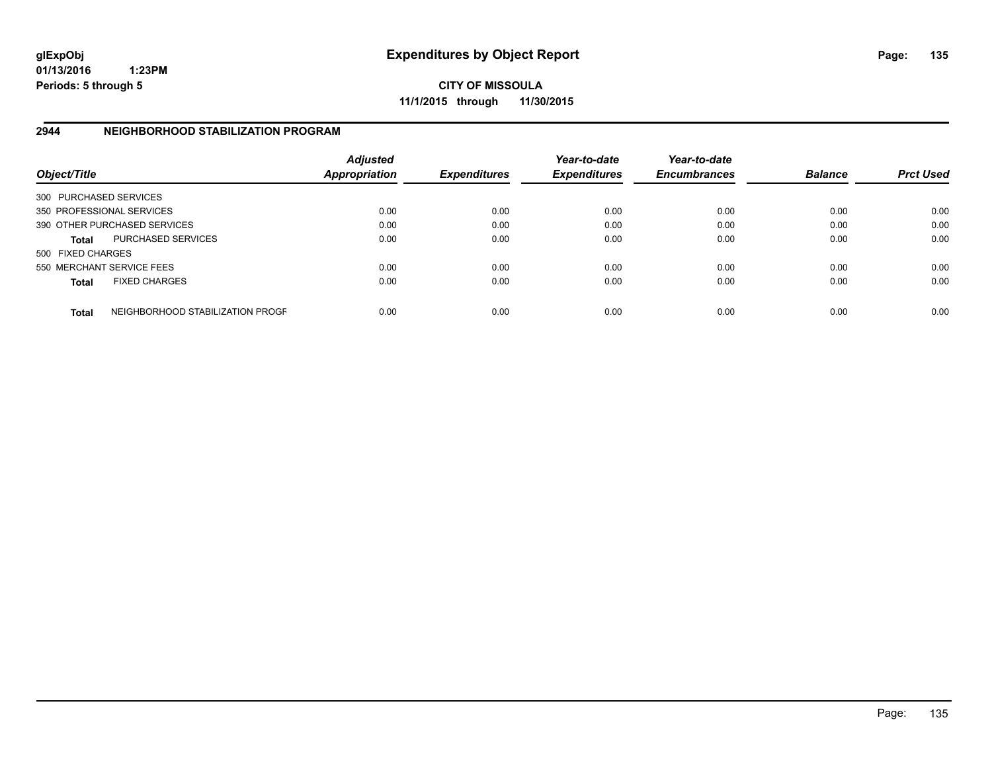**01/13/2016 1:23PM Periods: 5 through 5**

**CITY OF MISSOULA 11/1/2015 through 11/30/2015**

### **2944 NEIGHBORHOOD STABILIZATION PROGRAM**

| Object/Title           |                                  | <b>Adjusted</b><br><b>Appropriation</b> | <b>Expenditures</b> | Year-to-date<br><b>Expenditures</b> | Year-to-date<br><b>Encumbrances</b> | <b>Balance</b> | <b>Prct Used</b> |
|------------------------|----------------------------------|-----------------------------------------|---------------------|-------------------------------------|-------------------------------------|----------------|------------------|
| 300 PURCHASED SERVICES |                                  |                                         |                     |                                     |                                     |                |                  |
|                        | 350 PROFESSIONAL SERVICES        | 0.00                                    | 0.00                | 0.00                                | 0.00                                | 0.00           | 0.00             |
|                        | 390 OTHER PURCHASED SERVICES     | 0.00                                    | 0.00                | 0.00                                | 0.00                                | 0.00           | 0.00             |
| <b>Total</b>           | <b>PURCHASED SERVICES</b>        | 0.00                                    | 0.00                | 0.00                                | 0.00                                | 0.00           | 0.00             |
| 500 FIXED CHARGES      |                                  |                                         |                     |                                     |                                     |                |                  |
|                        | 550 MERCHANT SERVICE FEES        | 0.00                                    | 0.00                | 0.00                                | 0.00                                | 0.00           | 0.00             |
| <b>Total</b>           | <b>FIXED CHARGES</b>             | 0.00                                    | 0.00                | 0.00                                | 0.00                                | 0.00           | 0.00             |
| <b>Total</b>           | NEIGHBORHOOD STABILIZATION PROGF | 0.00                                    | 0.00                | 0.00                                | 0.00                                | 0.00           | 0.00             |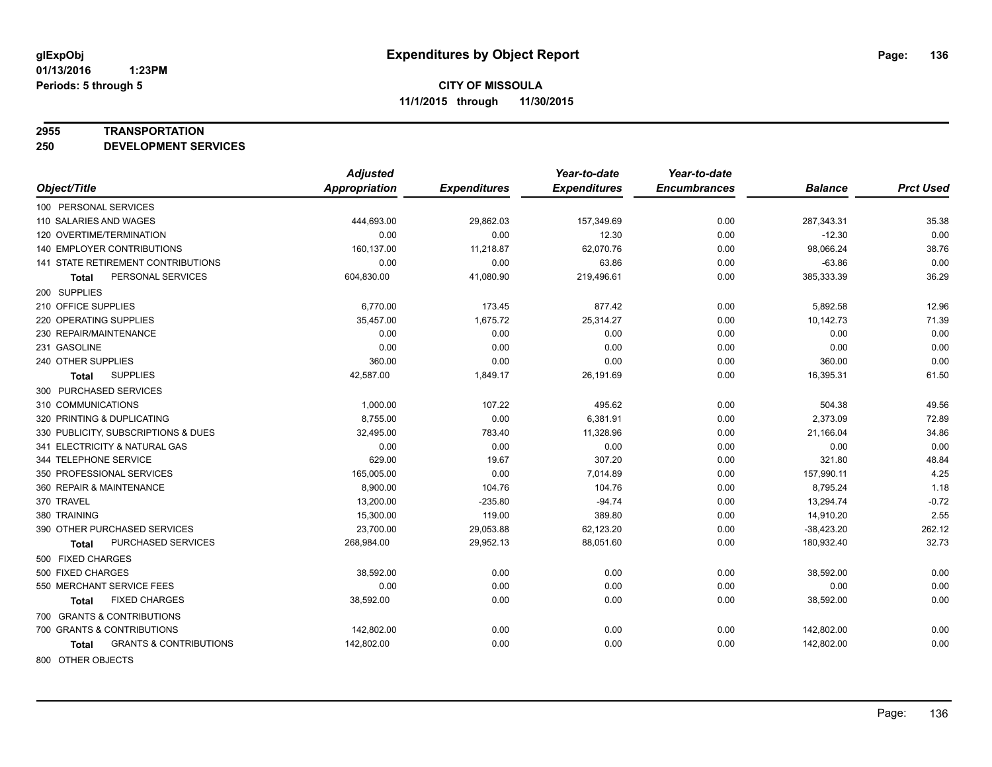#### **2955 TRANSPORTATION**

**250 DEVELOPMENT SERVICES**

|                                            | <b>Adjusted</b> |                     | Year-to-date        | Year-to-date        |                |                  |
|--------------------------------------------|-----------------|---------------------|---------------------|---------------------|----------------|------------------|
| Object/Title                               | Appropriation   | <b>Expenditures</b> | <b>Expenditures</b> | <b>Encumbrances</b> | <b>Balance</b> | <b>Prct Used</b> |
| 100 PERSONAL SERVICES                      |                 |                     |                     |                     |                |                  |
| 110 SALARIES AND WAGES                     | 444,693.00      | 29,862.03           | 157,349.69          | 0.00                | 287,343.31     | 35.38            |
| 120 OVERTIME/TERMINATION                   | 0.00            | 0.00                | 12.30               | 0.00                | $-12.30$       | 0.00             |
| <b>140 EMPLOYER CONTRIBUTIONS</b>          | 160,137.00      | 11,218.87           | 62,070.76           | 0.00                | 98,066.24      | 38.76            |
| 141 STATE RETIREMENT CONTRIBUTIONS         | 0.00            | 0.00                | 63.86               | 0.00                | $-63.86$       | 0.00             |
| PERSONAL SERVICES<br><b>Total</b>          | 604,830.00      | 41,080.90           | 219,496.61          | 0.00                | 385,333.39     | 36.29            |
| 200 SUPPLIES                               |                 |                     |                     |                     |                |                  |
| 210 OFFICE SUPPLIES                        | 6,770.00        | 173.45              | 877.42              | 0.00                | 5,892.58       | 12.96            |
| 220 OPERATING SUPPLIES                     | 35,457.00       | 1,675.72            | 25,314.27           | 0.00                | 10,142.73      | 71.39            |
| 230 REPAIR/MAINTENANCE                     | 0.00            | 0.00                | 0.00                | 0.00                | 0.00           | 0.00             |
| 231 GASOLINE                               | 0.00            | 0.00                | 0.00                | 0.00                | 0.00           | 0.00             |
| 240 OTHER SUPPLIES                         | 360.00          | 0.00                | 0.00                | 0.00                | 360.00         | 0.00             |
| <b>SUPPLIES</b><br>Total                   | 42,587.00       | 1,849.17            | 26,191.69           | 0.00                | 16,395.31      | 61.50            |
| 300 PURCHASED SERVICES                     |                 |                     |                     |                     |                |                  |
| 310 COMMUNICATIONS                         | 1,000.00        | 107.22              | 495.62              | 0.00                | 504.38         | 49.56            |
| 320 PRINTING & DUPLICATING                 | 8,755.00        | 0.00                | 6,381.91            | 0.00                | 2,373.09       | 72.89            |
| 330 PUBLICITY, SUBSCRIPTIONS & DUES        | 32,495.00       | 783.40              | 11,328.96           | 0.00                | 21,166.04      | 34.86            |
| 341 ELECTRICITY & NATURAL GAS              | 0.00            | 0.00                | 0.00                | 0.00                | 0.00           | 0.00             |
| 344 TELEPHONE SERVICE                      | 629.00          | 19.67               | 307.20              | 0.00                | 321.80         | 48.84            |
| 350 PROFESSIONAL SERVICES                  | 165,005.00      | 0.00                | 7,014.89            | 0.00                | 157,990.11     | 4.25             |
| 360 REPAIR & MAINTENANCE                   | 8,900.00        | 104.76              | 104.76              | 0.00                | 8,795.24       | 1.18             |
| 370 TRAVEL                                 | 13,200.00       | $-235.80$           | $-94.74$            | 0.00                | 13,294.74      | $-0.72$          |
| 380 TRAINING                               | 15,300.00       | 119.00              | 389.80              | 0.00                | 14,910.20      | 2.55             |
| 390 OTHER PURCHASED SERVICES               | 23,700.00       | 29,053.88           | 62,123.20           | 0.00                | $-38,423.20$   | 262.12           |
| PURCHASED SERVICES<br>Total                | 268,984.00      | 29,952.13           | 88,051.60           | 0.00                | 180,932.40     | 32.73            |
| 500 FIXED CHARGES                          |                 |                     |                     |                     |                |                  |
| 500 FIXED CHARGES                          | 38,592.00       | 0.00                | 0.00                | 0.00                | 38,592.00      | 0.00             |
| 550 MERCHANT SERVICE FEES                  | 0.00            | 0.00                | 0.00                | 0.00                | 0.00           | 0.00             |
| <b>FIXED CHARGES</b><br>Total              | 38,592.00       | 0.00                | 0.00                | 0.00                | 38,592.00      | 0.00             |
| 700 GRANTS & CONTRIBUTIONS                 |                 |                     |                     |                     |                |                  |
| 700 GRANTS & CONTRIBUTIONS                 | 142,802.00      | 0.00                | 0.00                | 0.00                | 142,802.00     | 0.00             |
| <b>GRANTS &amp; CONTRIBUTIONS</b><br>Total | 142,802.00      | 0.00                | 0.00                | 0.00                | 142,802.00     | 0.00             |
|                                            |                 |                     |                     |                     |                |                  |

800 OTHER OBJECTS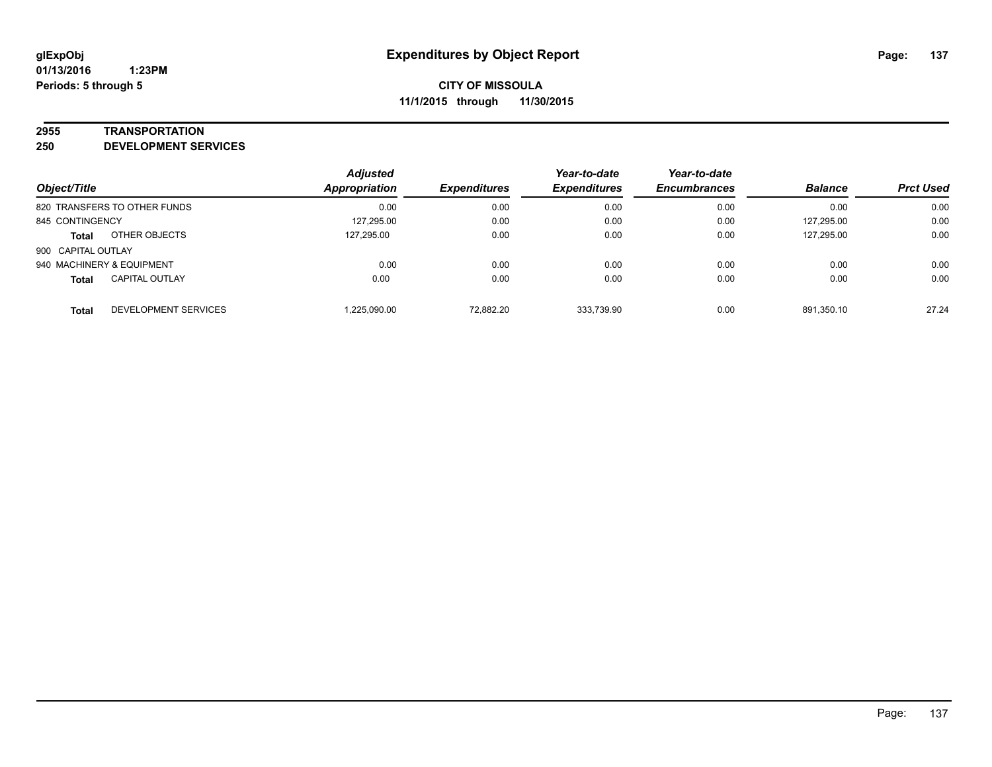#### **2955 TRANSPORTATION**

**250 DEVELOPMENT SERVICES**

| Object/Title                          | <b>Adjusted</b><br><b>Appropriation</b> | <b>Expenditures</b> | Year-to-date<br><b>Expenditures</b> | Year-to-date<br><b>Encumbrances</b> | <b>Balance</b> | <b>Prct Used</b> |
|---------------------------------------|-----------------------------------------|---------------------|-------------------------------------|-------------------------------------|----------------|------------------|
| 820 TRANSFERS TO OTHER FUNDS          | 0.00                                    | 0.00                | 0.00                                | 0.00                                | 0.00           | 0.00             |
| 845 CONTINGENCY                       | 127,295.00                              | 0.00                | 0.00                                | 0.00                                | 127,295.00     | 0.00             |
| OTHER OBJECTS<br><b>Total</b>         | 127.295.00                              | 0.00                | 0.00                                | 0.00                                | 127,295.00     | 0.00             |
| 900 CAPITAL OUTLAY                    |                                         |                     |                                     |                                     |                |                  |
| 940 MACHINERY & EQUIPMENT             | 0.00                                    | 0.00                | 0.00                                | 0.00                                | 0.00           | 0.00             |
| <b>CAPITAL OUTLAY</b><br><b>Total</b> | 0.00                                    | 0.00                | 0.00                                | 0.00                                | 0.00           | 0.00             |
| DEVELOPMENT SERVICES<br><b>Total</b>  | 1,225,090.00                            | 72.882.20           | 333,739.90                          | 0.00                                | 891.350.10     | 27.24            |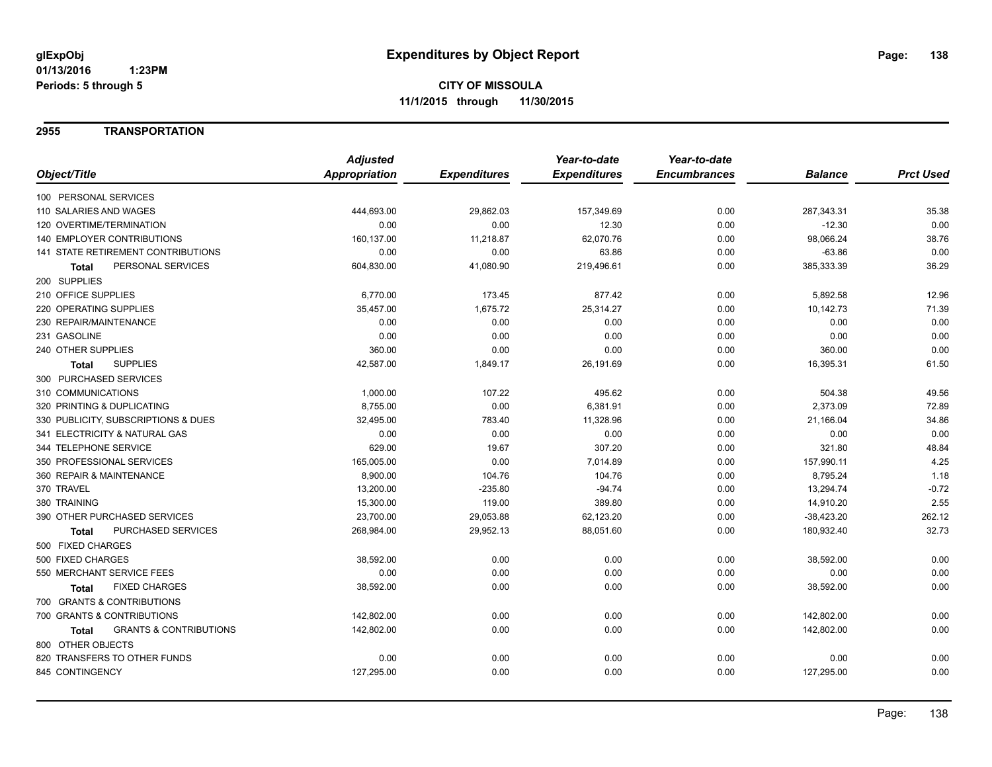### **2955 TRANSPORTATION**

|                                            | <b>Adjusted</b>      |                     | Year-to-date        | Year-to-date        |                |                  |
|--------------------------------------------|----------------------|---------------------|---------------------|---------------------|----------------|------------------|
| Object/Title                               | <b>Appropriation</b> | <b>Expenditures</b> | <b>Expenditures</b> | <b>Encumbrances</b> | <b>Balance</b> | <b>Prct Used</b> |
| 100 PERSONAL SERVICES                      |                      |                     |                     |                     |                |                  |
| 110 SALARIES AND WAGES                     | 444,693.00           | 29,862.03           | 157,349.69          | 0.00                | 287,343.31     | 35.38            |
| 120 OVERTIME/TERMINATION                   | 0.00                 | 0.00                | 12.30               | 0.00                | $-12.30$       | 0.00             |
| 140 EMPLOYER CONTRIBUTIONS                 | 160,137.00           | 11,218.87           | 62,070.76           | 0.00                | 98,066.24      | 38.76            |
| 141 STATE RETIREMENT CONTRIBUTIONS         | 0.00                 | 0.00                | 63.86               | 0.00                | $-63.86$       | 0.00             |
| PERSONAL SERVICES<br>Total                 | 604,830.00           | 41,080.90           | 219,496.61          | 0.00                | 385,333.39     | 36.29            |
| 200 SUPPLIES                               |                      |                     |                     |                     |                |                  |
| 210 OFFICE SUPPLIES                        | 6,770.00             | 173.45              | 877.42              | 0.00                | 5,892.58       | 12.96            |
| 220 OPERATING SUPPLIES                     | 35,457.00            | 1,675.72            | 25,314.27           | 0.00                | 10,142.73      | 71.39            |
| 230 REPAIR/MAINTENANCE                     | 0.00                 | 0.00                | 0.00                | 0.00                | 0.00           | 0.00             |
| 231 GASOLINE                               | 0.00                 | 0.00                | 0.00                | 0.00                | 0.00           | 0.00             |
| 240 OTHER SUPPLIES                         | 360.00               | 0.00                | 0.00                | 0.00                | 360.00         | 0.00             |
| <b>SUPPLIES</b><br>Total                   | 42,587.00            | 1,849.17            | 26,191.69           | 0.00                | 16,395.31      | 61.50            |
| 300 PURCHASED SERVICES                     |                      |                     |                     |                     |                |                  |
| 310 COMMUNICATIONS                         | 1,000.00             | 107.22              | 495.62              | 0.00                | 504.38         | 49.56            |
| 320 PRINTING & DUPLICATING                 | 8,755.00             | 0.00                | 6,381.91            | 0.00                | 2,373.09       | 72.89            |
| 330 PUBLICITY, SUBSCRIPTIONS & DUES        | 32,495.00            | 783.40              | 11,328.96           | 0.00                | 21,166.04      | 34.86            |
| 341 ELECTRICITY & NATURAL GAS              | 0.00                 | 0.00                | 0.00                | 0.00                | 0.00           | 0.00             |
| 344 TELEPHONE SERVICE                      | 629.00               | 19.67               | 307.20              | 0.00                | 321.80         | 48.84            |
| 350 PROFESSIONAL SERVICES                  | 165,005.00           | 0.00                | 7,014.89            | 0.00                | 157,990.11     | 4.25             |
| 360 REPAIR & MAINTENANCE                   | 8,900.00             | 104.76              | 104.76              | 0.00                | 8,795.24       | 1.18             |
| 370 TRAVEL                                 | 13,200.00            | $-235.80$           | $-94.74$            | 0.00                | 13,294.74      | $-0.72$          |
| 380 TRAINING                               | 15,300.00            | 119.00              | 389.80              | 0.00                | 14,910.20      | 2.55             |
| 390 OTHER PURCHASED SERVICES               | 23,700.00            | 29,053.88           | 62,123.20           | 0.00                | $-38,423.20$   | 262.12           |
| <b>PURCHASED SERVICES</b><br>Total         | 268,984.00           | 29,952.13           | 88,051.60           | 0.00                | 180,932.40     | 32.73            |
| 500 FIXED CHARGES                          |                      |                     |                     |                     |                |                  |
| 500 FIXED CHARGES                          | 38,592.00            | 0.00                | 0.00                | 0.00                | 38,592.00      | 0.00             |
| 550 MERCHANT SERVICE FEES                  | 0.00                 | 0.00                | 0.00                | 0.00                | 0.00           | 0.00             |
| <b>FIXED CHARGES</b><br>Total              | 38,592.00            | 0.00                | 0.00                | 0.00                | 38,592.00      | 0.00             |
| 700 GRANTS & CONTRIBUTIONS                 |                      |                     |                     |                     |                |                  |
| 700 GRANTS & CONTRIBUTIONS                 | 142,802.00           | 0.00                | 0.00                | 0.00                | 142,802.00     | 0.00             |
| <b>GRANTS &amp; CONTRIBUTIONS</b><br>Total | 142,802.00           | 0.00                | 0.00                | 0.00                | 142,802.00     | 0.00             |
| 800 OTHER OBJECTS                          |                      |                     |                     |                     |                |                  |
| 820 TRANSFERS TO OTHER FUNDS               | 0.00                 | 0.00                | 0.00                | 0.00                | 0.00           | 0.00             |
| 845 CONTINGENCY                            | 127,295.00           | 0.00                | 0.00                | 0.00                | 127,295.00     | 0.00             |
|                                            |                      |                     |                     |                     |                |                  |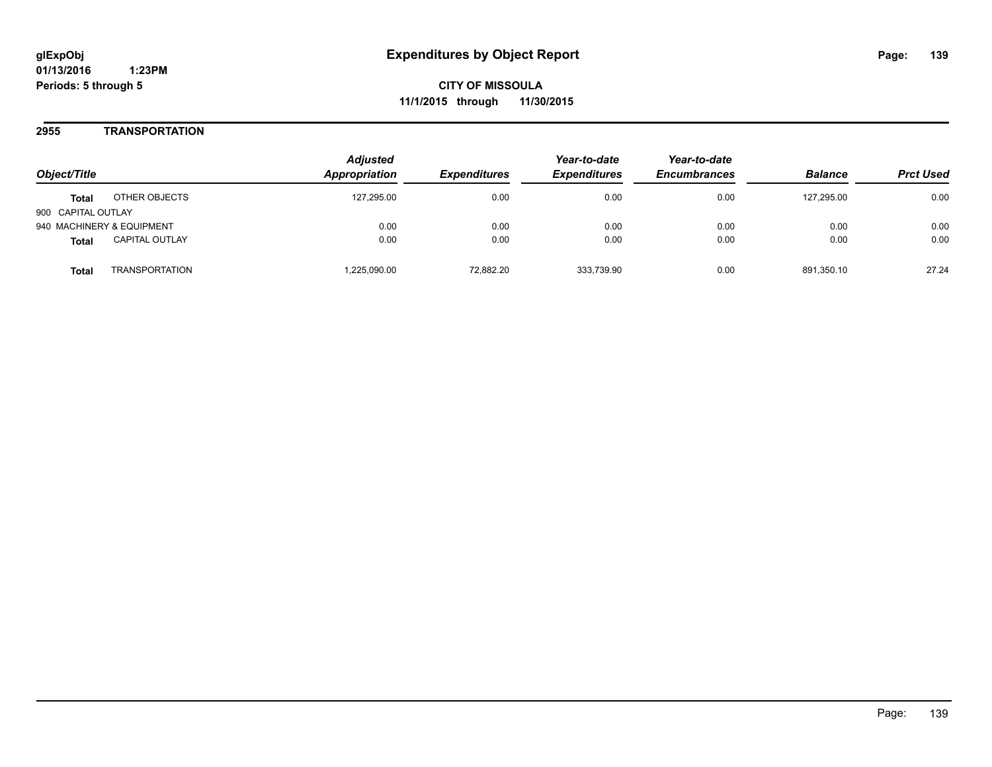**01/13/2016 1:23PM Periods: 5 through 5**

**CITY OF MISSOULA 11/1/2015 through 11/30/2015**

### **2955 TRANSPORTATION**

| Object/Title                          |                       | <b>Adjusted</b><br><b>Appropriation</b> | <i><b>Expenditures</b></i> | Year-to-date<br><b>Expenditures</b> | Year-to-date<br><b>Encumbrances</b> | <b>Balance</b> | <b>Prct Used</b> |
|---------------------------------------|-----------------------|-----------------------------------------|----------------------------|-------------------------------------|-------------------------------------|----------------|------------------|
| OTHER OBJECTS<br><b>Total</b>         |                       | 127.295.00                              | 0.00                       | 0.00                                | 0.00                                | 127.295.00     | 0.00             |
| 900 CAPITAL OUTLAY                    |                       |                                         |                            |                                     |                                     |                |                  |
| 940 MACHINERY & EQUIPMENT             |                       | 0.00                                    | 0.00                       | 0.00                                | 0.00                                | 0.00           | 0.00             |
| <b>CAPITAL OUTLAY</b><br><b>Total</b> |                       | 0.00                                    | 0.00                       | 0.00                                | 0.00                                | 0.00           | 0.00             |
| Total                                 | <b>TRANSPORTATION</b> | ,225,090.00                             | 72.882.20                  | 333.739.90                          | 0.00                                | 891.350.10     | 27.24            |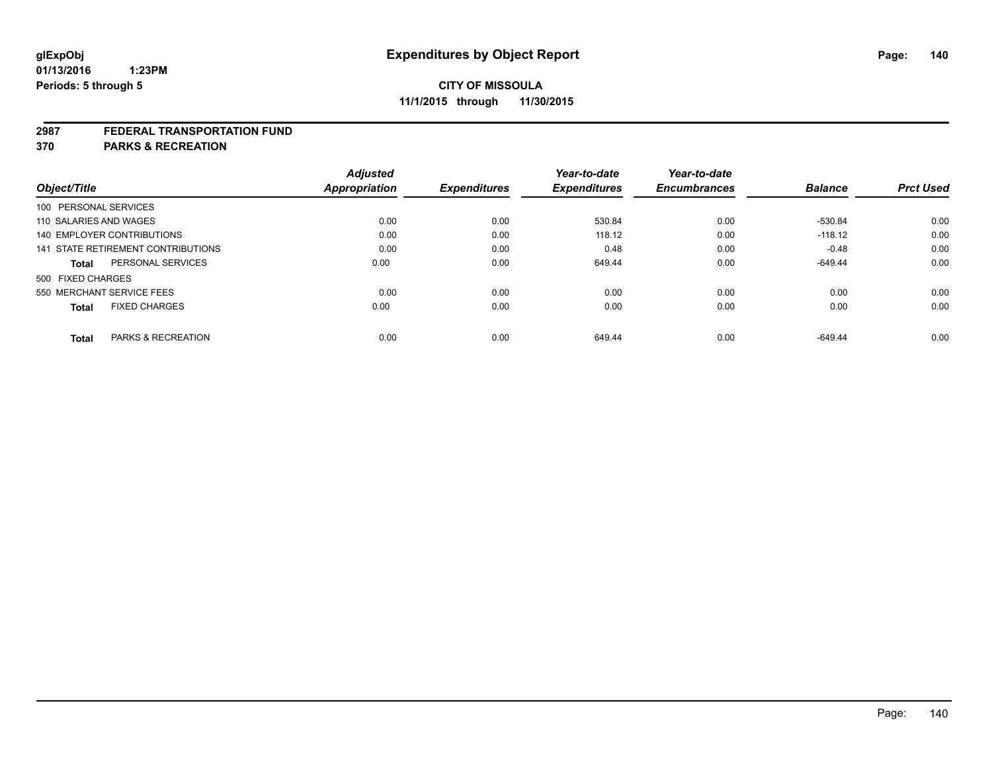#### **2987 FEDERAL TRANSPORTATION FUND**

**370 PARKS & RECREATION**

| Object/Title           |                                    | <b>Adjusted</b><br>Appropriation | <b>Expenditures</b> | Year-to-date<br><b>Expenditures</b> | Year-to-date<br><b>Encumbrances</b> | <b>Balance</b> | <b>Prct Used</b> |
|------------------------|------------------------------------|----------------------------------|---------------------|-------------------------------------|-------------------------------------|----------------|------------------|
| 100 PERSONAL SERVICES  |                                    |                                  |                     |                                     |                                     |                |                  |
| 110 SALARIES AND WAGES |                                    | 0.00                             | 0.00                | 530.84                              | 0.00                                | -530.84        | 0.00             |
|                        | <b>140 EMPLOYER CONTRIBUTIONS</b>  | 0.00                             | 0.00                | 118.12                              | 0.00                                | $-118.12$      | 0.00             |
|                        | 141 STATE RETIREMENT CONTRIBUTIONS | 0.00                             | 0.00                | 0.48                                | 0.00                                | $-0.48$        | 0.00             |
| <b>Total</b>           | PERSONAL SERVICES                  | 0.00                             | 0.00                | 649.44                              | 0.00                                | $-649.44$      | 0.00             |
| 500 FIXED CHARGES      |                                    |                                  |                     |                                     |                                     |                |                  |
|                        | 550 MERCHANT SERVICE FEES          | 0.00                             | 0.00                | 0.00                                | 0.00                                | 0.00           | 0.00             |
| <b>Total</b>           | <b>FIXED CHARGES</b>               | 0.00                             | 0.00                | 0.00                                | 0.00                                | 0.00           | 0.00             |
|                        |                                    |                                  |                     |                                     |                                     |                |                  |
| Total                  | PARKS & RECREATION                 | 0.00                             | 0.00                | 649.44                              | 0.00                                | $-649.44$      | 0.00             |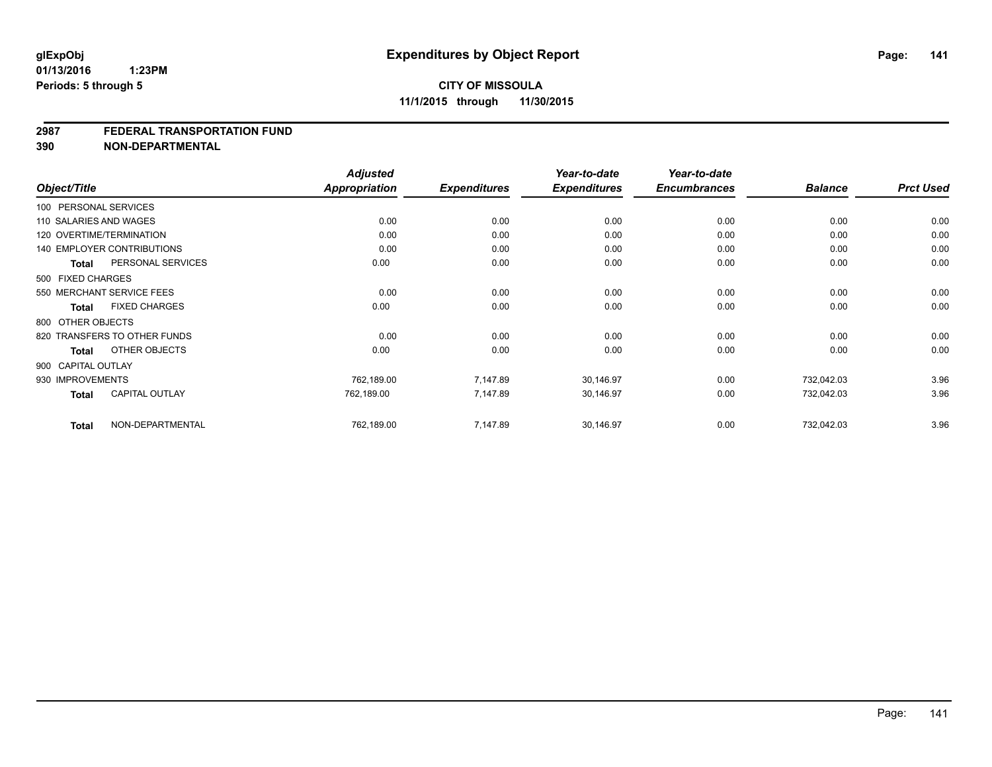#### **2987 FEDERAL TRANSPORTATION FUND**

**390 NON-DEPARTMENTAL**

| Object/Title       |                                   | <b>Adjusted</b><br>Appropriation | <b>Expenditures</b> | Year-to-date<br><b>Expenditures</b> | Year-to-date<br><b>Encumbrances</b> | <b>Balance</b> | <b>Prct Used</b> |
|--------------------|-----------------------------------|----------------------------------|---------------------|-------------------------------------|-------------------------------------|----------------|------------------|
|                    | 100 PERSONAL SERVICES             |                                  |                     |                                     |                                     |                |                  |
|                    | 110 SALARIES AND WAGES            | 0.00                             | 0.00                | 0.00                                | 0.00                                | 0.00           | 0.00             |
|                    | 120 OVERTIME/TERMINATION          | 0.00                             | 0.00                | 0.00                                | 0.00                                | 0.00           | 0.00             |
|                    | <b>140 EMPLOYER CONTRIBUTIONS</b> | 0.00                             | 0.00                | 0.00                                | 0.00                                | 0.00           | 0.00             |
| <b>Total</b>       | PERSONAL SERVICES                 | 0.00                             | 0.00                | 0.00                                | 0.00                                | 0.00           | 0.00             |
| 500 FIXED CHARGES  |                                   |                                  |                     |                                     |                                     |                |                  |
|                    | 550 MERCHANT SERVICE FEES         | 0.00                             | 0.00                | 0.00                                | 0.00                                | 0.00           | 0.00             |
| Total              | <b>FIXED CHARGES</b>              | 0.00                             | 0.00                | 0.00                                | 0.00                                | 0.00           | 0.00             |
| 800 OTHER OBJECTS  |                                   |                                  |                     |                                     |                                     |                |                  |
|                    | 820 TRANSFERS TO OTHER FUNDS      | 0.00                             | 0.00                | 0.00                                | 0.00                                | 0.00           | 0.00             |
| Total              | OTHER OBJECTS                     | 0.00                             | 0.00                | 0.00                                | 0.00                                | 0.00           | 0.00             |
| 900 CAPITAL OUTLAY |                                   |                                  |                     |                                     |                                     |                |                  |
| 930 IMPROVEMENTS   |                                   | 762,189.00                       | 7,147.89            | 30,146.97                           | 0.00                                | 732,042.03     | 3.96             |
| <b>Total</b>       | <b>CAPITAL OUTLAY</b>             | 762,189.00                       | 7,147.89            | 30,146.97                           | 0.00                                | 732,042.03     | 3.96             |
| <b>Total</b>       | NON-DEPARTMENTAL                  | 762,189.00                       | 7,147.89            | 30,146.97                           | 0.00                                | 732,042.03     | 3.96             |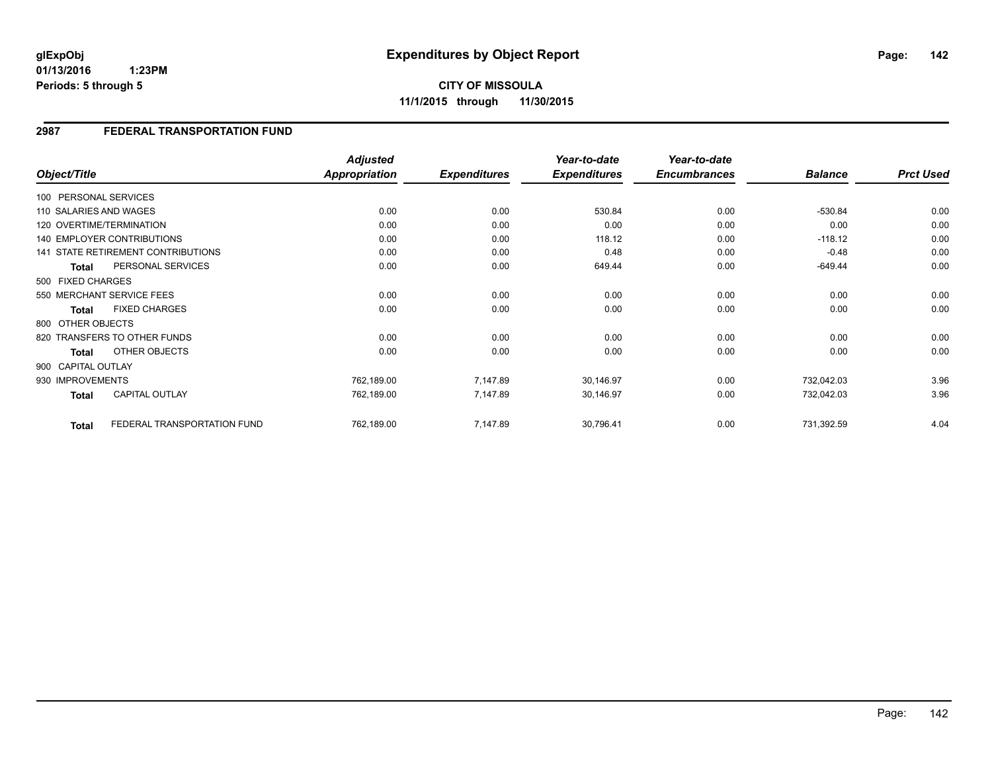**01/13/2016 1:23PM Periods: 5 through 5**

**CITY OF MISSOULA 11/1/2015 through 11/30/2015**

### **2987 FEDERAL TRANSPORTATION FUND**

|                        |                                    | <b>Adjusted</b>      |                     | Year-to-date        | Year-to-date        |                |                  |
|------------------------|------------------------------------|----------------------|---------------------|---------------------|---------------------|----------------|------------------|
| Object/Title           |                                    | <b>Appropriation</b> | <b>Expenditures</b> | <b>Expenditures</b> | <b>Encumbrances</b> | <b>Balance</b> | <b>Prct Used</b> |
| 100 PERSONAL SERVICES  |                                    |                      |                     |                     |                     |                |                  |
| 110 SALARIES AND WAGES |                                    | 0.00                 | 0.00                | 530.84              | 0.00                | $-530.84$      | 0.00             |
|                        | 120 OVERTIME/TERMINATION           | 0.00                 | 0.00                | 0.00                | 0.00                | 0.00           | 0.00             |
|                        | <b>140 EMPLOYER CONTRIBUTIONS</b>  | 0.00                 | 0.00                | 118.12              | 0.00                | $-118.12$      | 0.00             |
|                        | 141 STATE RETIREMENT CONTRIBUTIONS | 0.00                 | 0.00                | 0.48                | 0.00                | $-0.48$        | 0.00             |
| <b>Total</b>           | PERSONAL SERVICES                  | 0.00                 | 0.00                | 649.44              | 0.00                | $-649.44$      | 0.00             |
| 500 FIXED CHARGES      |                                    |                      |                     |                     |                     |                |                  |
|                        | 550 MERCHANT SERVICE FEES          | 0.00                 | 0.00                | 0.00                | 0.00                | 0.00           | 0.00             |
| <b>Total</b>           | <b>FIXED CHARGES</b>               | 0.00                 | 0.00                | 0.00                | 0.00                | 0.00           | 0.00             |
| 800 OTHER OBJECTS      |                                    |                      |                     |                     |                     |                |                  |
|                        | 820 TRANSFERS TO OTHER FUNDS       | 0.00                 | 0.00                | 0.00                | 0.00                | 0.00           | 0.00             |
| <b>Total</b>           | OTHER OBJECTS                      | 0.00                 | 0.00                | 0.00                | 0.00                | 0.00           | 0.00             |
| 900 CAPITAL OUTLAY     |                                    |                      |                     |                     |                     |                |                  |
| 930 IMPROVEMENTS       |                                    | 762,189.00           | 7,147.89            | 30,146.97           | 0.00                | 732,042.03     | 3.96             |
| <b>Total</b>           | <b>CAPITAL OUTLAY</b>              | 762,189.00           | 7,147.89            | 30,146.97           | 0.00                | 732,042.03     | 3.96             |
| <b>Total</b>           | FEDERAL TRANSPORTATION FUND        | 762,189.00           | 7,147.89            | 30,796.41           | 0.00                | 731,392.59     | 4.04             |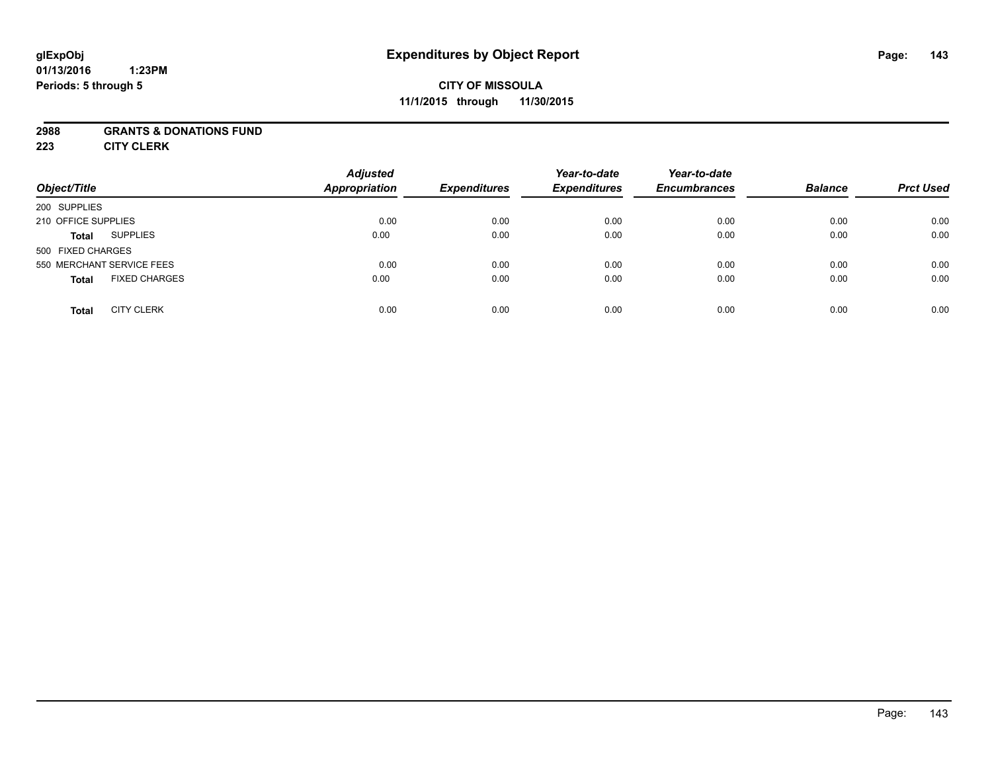#### **01/13/2016 1:23PM Periods: 5 through 5**

## **CITY OF MISSOULA 11/1/2015 through 11/30/2015**

### **2988 GRANTS & DONATIONS FUND**

**223 CITY CLERK**

| Object/Title                         | <b>Adjusted</b><br>Appropriation | <b>Expenditures</b> | Year-to-date<br><b>Expenditures</b> | Year-to-date<br><b>Encumbrances</b> | <b>Balance</b> | <b>Prct Used</b> |
|--------------------------------------|----------------------------------|---------------------|-------------------------------------|-------------------------------------|----------------|------------------|
| 200 SUPPLIES                         |                                  |                     |                                     |                                     |                |                  |
| 210 OFFICE SUPPLIES                  | 0.00                             | 0.00                | 0.00                                | 0.00                                | 0.00           | 0.00             |
| <b>SUPPLIES</b><br><b>Total</b>      | 0.00                             | 0.00                | 0.00                                | 0.00                                | 0.00           | 0.00             |
| 500 FIXED CHARGES                    |                                  |                     |                                     |                                     |                |                  |
| 550 MERCHANT SERVICE FEES            | 0.00                             | 0.00                | 0.00                                | 0.00                                | 0.00           | 0.00             |
| <b>FIXED CHARGES</b><br><b>Total</b> | 0.00                             | 0.00                | 0.00                                | 0.00                                | 0.00           | 0.00             |
| <b>CITY CLERK</b><br><b>Total</b>    | 0.00                             | 0.00                | 0.00                                | 0.00                                | 0.00           | 0.00             |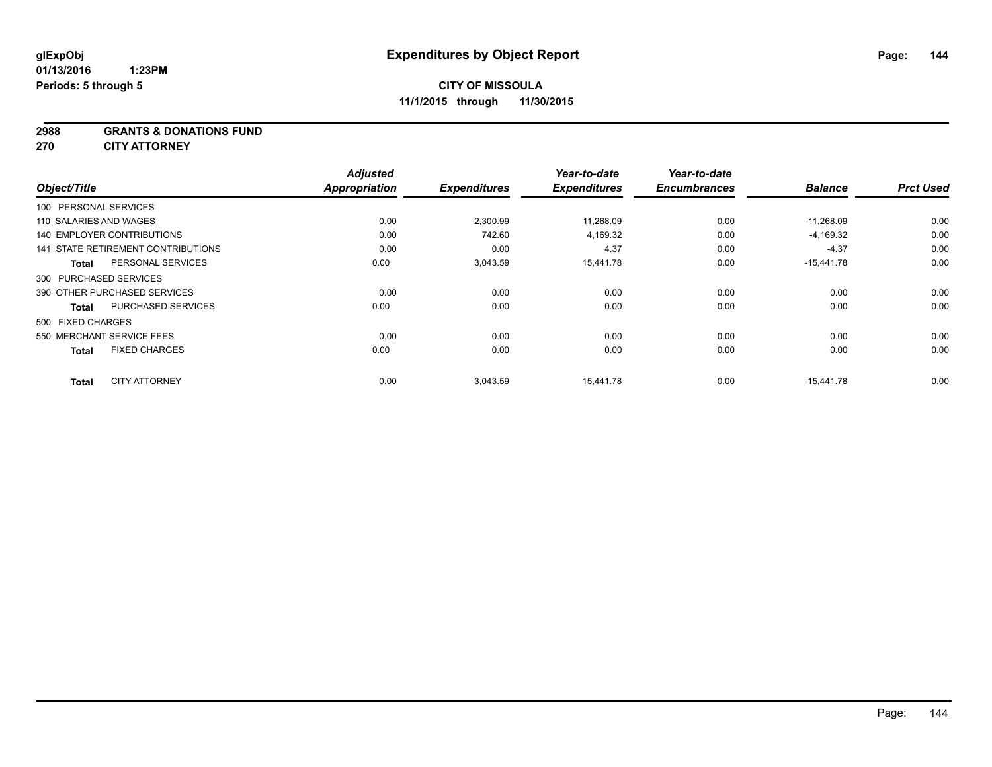#### **2988 GRANTS & DONATIONS FUND**

**270 CITY ATTORNEY**

|                                   |                                    | <b>Adjusted</b>      |                     | Year-to-date        | Year-to-date<br><b>Encumbrances</b> | <b>Balance</b> | <b>Prct Used</b> |
|-----------------------------------|------------------------------------|----------------------|---------------------|---------------------|-------------------------------------|----------------|------------------|
| Object/Title                      |                                    | <b>Appropriation</b> | <b>Expenditures</b> | <b>Expenditures</b> |                                     |                |                  |
| 100 PERSONAL SERVICES             |                                    |                      |                     |                     |                                     |                |                  |
| 110 SALARIES AND WAGES            |                                    | 0.00                 | 2,300.99            | 11,268.09           | 0.00                                | $-11,268.09$   | 0.00             |
| <b>140 EMPLOYER CONTRIBUTIONS</b> |                                    | 0.00                 | 742.60              | 4,169.32            | 0.00                                | $-4,169.32$    | 0.00             |
|                                   | 141 STATE RETIREMENT CONTRIBUTIONS | 0.00                 | 0.00                | 4.37                | 0.00                                | $-4.37$        | 0.00             |
| <b>Total</b>                      | PERSONAL SERVICES                  | 0.00                 | 3,043.59            | 15,441.78           | 0.00                                | $-15,441.78$   | 0.00             |
| 300 PURCHASED SERVICES            |                                    |                      |                     |                     |                                     |                |                  |
| 390 OTHER PURCHASED SERVICES      |                                    | 0.00                 | 0.00                | 0.00                | 0.00                                | 0.00           | 0.00             |
| <b>Total</b>                      | PURCHASED SERVICES                 | 0.00                 | 0.00                | 0.00                | 0.00                                | 0.00           | 0.00             |
| 500 FIXED CHARGES                 |                                    |                      |                     |                     |                                     |                |                  |
| 550 MERCHANT SERVICE FEES         |                                    | 0.00                 | 0.00                | 0.00                | 0.00                                | 0.00           | 0.00             |
| <b>Total</b>                      | <b>FIXED CHARGES</b>               | 0.00                 | 0.00                | 0.00                | 0.00                                | 0.00           | 0.00             |
| <b>Total</b>                      | <b>CITY ATTORNEY</b>               | 0.00                 | 3.043.59            | 15.441.78           | 0.00                                | $-15.441.78$   | 0.00             |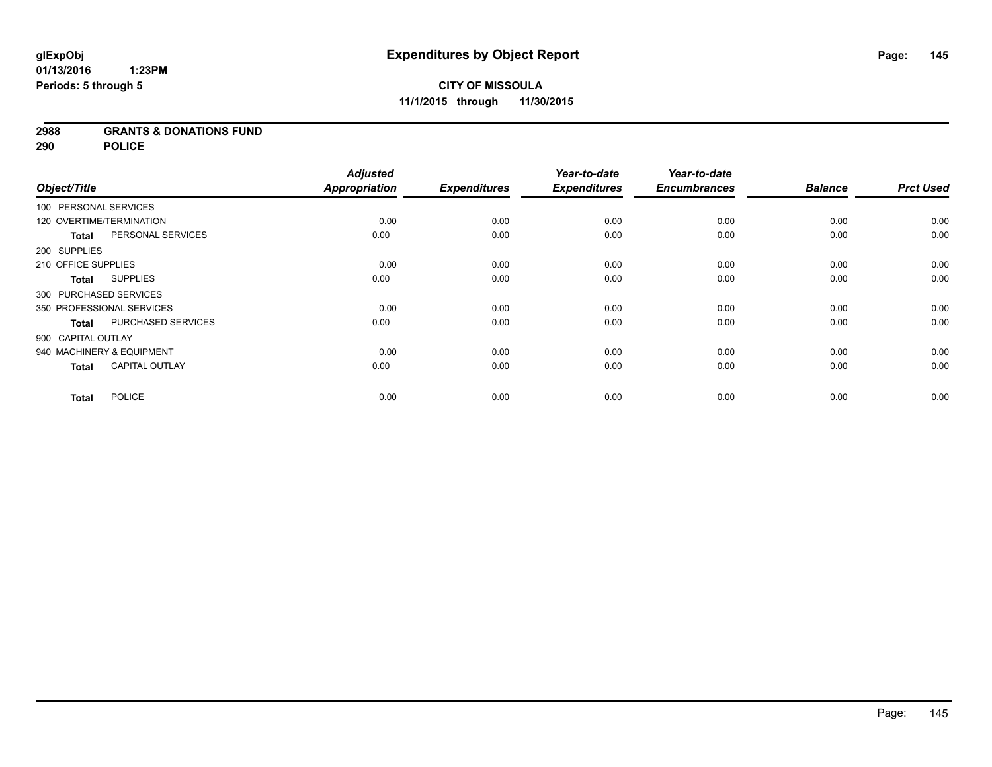## **2988 GRANTS & DONATIONS FUND**

**290 POLICE**

|                          |                           | <b>Adjusted</b>      |                     | Year-to-date        | Year-to-date        |                |                  |
|--------------------------|---------------------------|----------------------|---------------------|---------------------|---------------------|----------------|------------------|
| Object/Title             |                           | <b>Appropriation</b> | <b>Expenditures</b> | <b>Expenditures</b> | <b>Encumbrances</b> | <b>Balance</b> | <b>Prct Used</b> |
| 100 PERSONAL SERVICES    |                           |                      |                     |                     |                     |                |                  |
| 120 OVERTIME/TERMINATION |                           | 0.00                 | 0.00                | 0.00                | 0.00                | 0.00           | 0.00             |
| <b>Total</b>             | PERSONAL SERVICES         | 0.00                 | 0.00                | 0.00                | 0.00                | 0.00           | 0.00             |
| 200 SUPPLIES             |                           |                      |                     |                     |                     |                |                  |
| 210 OFFICE SUPPLIES      |                           | 0.00                 | 0.00                | 0.00                | 0.00                | 0.00           | 0.00             |
| Total                    | <b>SUPPLIES</b>           | 0.00                 | 0.00                | 0.00                | 0.00                | 0.00           | 0.00             |
| 300 PURCHASED SERVICES   |                           |                      |                     |                     |                     |                |                  |
|                          | 350 PROFESSIONAL SERVICES | 0.00                 | 0.00                | 0.00                | 0.00                | 0.00           | 0.00             |
| <b>Total</b>             | PURCHASED SERVICES        | 0.00                 | 0.00                | 0.00                | 0.00                | 0.00           | 0.00             |
| 900 CAPITAL OUTLAY       |                           |                      |                     |                     |                     |                |                  |
|                          | 940 MACHINERY & EQUIPMENT | 0.00                 | 0.00                | 0.00                | 0.00                | 0.00           | 0.00             |
| <b>Total</b>             | <b>CAPITAL OUTLAY</b>     | 0.00                 | 0.00                | 0.00                | 0.00                | 0.00           | 0.00             |
| <b>Total</b>             | <b>POLICE</b>             | 0.00                 | 0.00                | 0.00                | 0.00                | 0.00           | 0.00             |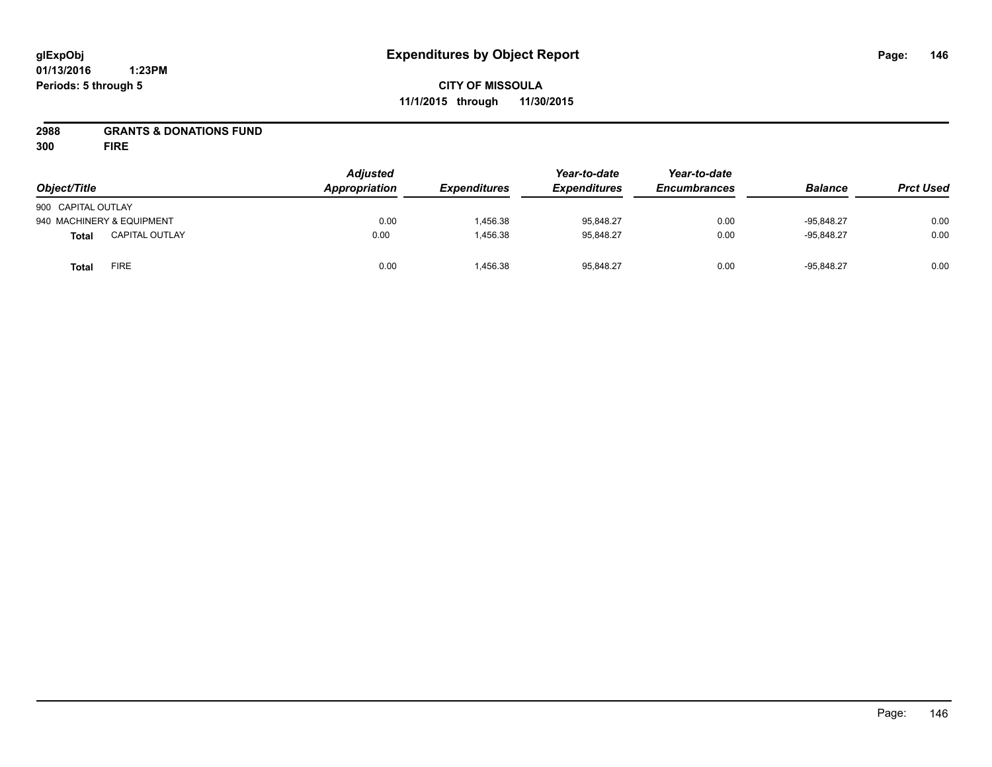## **CITY OF MISSOULA 11/1/2015 through 11/30/2015**

## **2988 GRANTS & DONATIONS FUND**

**300 FIRE**

| Object/Title       |                           | <b>Adjusted</b><br>Appropriation | <b>Expenditures</b> | Year-to-date<br><b>Expenditures</b> | Year-to-date<br><b>Encumbrances</b> | <b>Balance</b> | <b>Prct Used</b> |
|--------------------|---------------------------|----------------------------------|---------------------|-------------------------------------|-------------------------------------|----------------|------------------|
| 900 CAPITAL OUTLAY |                           |                                  |                     |                                     |                                     |                |                  |
|                    | 940 MACHINERY & EQUIPMENT | 0.00                             | 1,456.38            | 95.848.27                           | 0.00                                | $-95.848.27$   | 0.00             |
| <b>Total</b>       | <b>CAPITAL OUTLAY</b>     | 0.00                             | 1,456.38            | 95.848.27                           | 0.00                                | $-95.848.27$   | 0.00             |
| <b>Total</b>       | <b>FIRE</b>               | 0.00                             | 1,456.38            | 95,848.27                           | 0.00                                | $-95,848.27$   | 0.00             |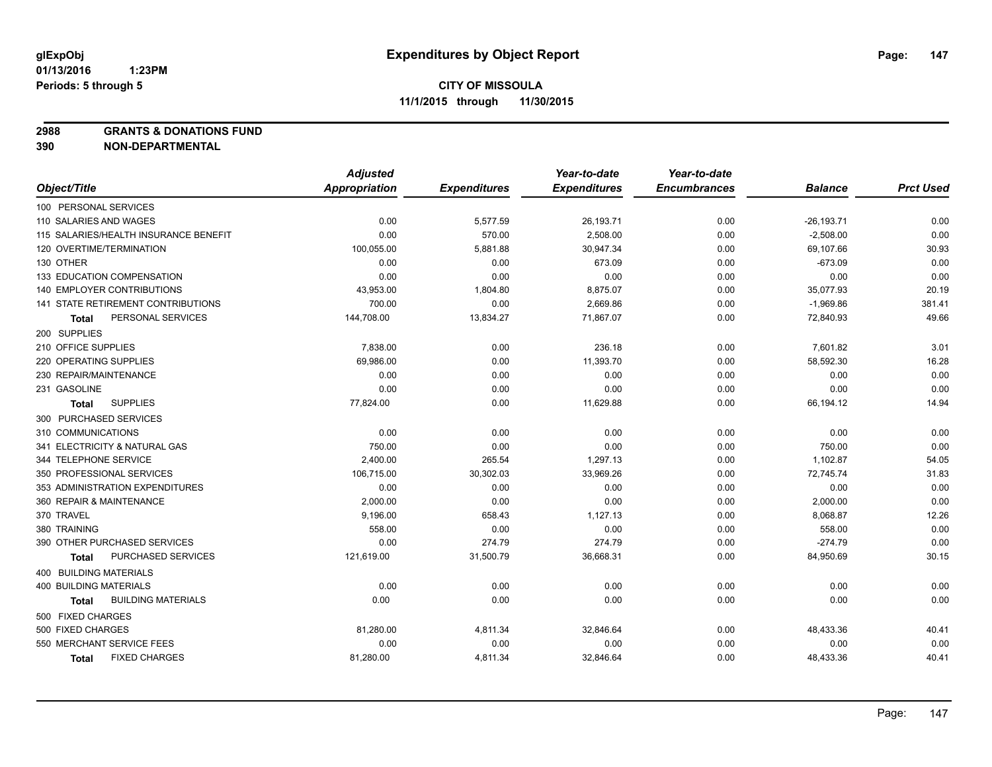**2988 GRANTS & DONATIONS FUND**

|                                           | <b>Adjusted</b> |                     | Year-to-date        | Year-to-date        |                |                  |
|-------------------------------------------|-----------------|---------------------|---------------------|---------------------|----------------|------------------|
| Object/Title                              | Appropriation   | <b>Expenditures</b> | <b>Expenditures</b> | <b>Encumbrances</b> | <b>Balance</b> | <b>Prct Used</b> |
| 100 PERSONAL SERVICES                     |                 |                     |                     |                     |                |                  |
| 110 SALARIES AND WAGES                    | 0.00            | 5,577.59            | 26,193.71           | 0.00                | $-26, 193.71$  | 0.00             |
| 115 SALARIES/HEALTH INSURANCE BENEFIT     | 0.00            | 570.00              | 2,508.00            | 0.00                | $-2,508.00$    | 0.00             |
| 120 OVERTIME/TERMINATION                  | 100,055.00      | 5,881.88            | 30,947.34           | 0.00                | 69,107.66      | 30.93            |
| 130 OTHER                                 | 0.00            | 0.00                | 673.09              | 0.00                | $-673.09$      | 0.00             |
| 133 EDUCATION COMPENSATION                | 0.00            | 0.00                | 0.00                | 0.00                | 0.00           | 0.00             |
| <b>140 EMPLOYER CONTRIBUTIONS</b>         | 43,953.00       | 1,804.80            | 8,875.07            | 0.00                | 35,077.93      | 20.19            |
| <b>141 STATE RETIREMENT CONTRIBUTIONS</b> | 700.00          | 0.00                | 2,669.86            | 0.00                | $-1,969.86$    | 381.41           |
| PERSONAL SERVICES<br>Total                | 144,708.00      | 13,834.27           | 71,867.07           | 0.00                | 72,840.93      | 49.66            |
| 200 SUPPLIES                              |                 |                     |                     |                     |                |                  |
| 210 OFFICE SUPPLIES                       | 7,838.00        | 0.00                | 236.18              | 0.00                | 7,601.82       | 3.01             |
| 220 OPERATING SUPPLIES                    | 69,986.00       | 0.00                | 11,393.70           | 0.00                | 58,592.30      | 16.28            |
| 230 REPAIR/MAINTENANCE                    | 0.00            | 0.00                | 0.00                | 0.00                | 0.00           | 0.00             |
| 231 GASOLINE                              | 0.00            | 0.00                | 0.00                | 0.00                | 0.00           | 0.00             |
| <b>SUPPLIES</b><br>Total                  | 77,824.00       | 0.00                | 11,629.88           | 0.00                | 66,194.12      | 14.94            |
| 300 PURCHASED SERVICES                    |                 |                     |                     |                     |                |                  |
| 310 COMMUNICATIONS                        | 0.00            | 0.00                | 0.00                | 0.00                | 0.00           | 0.00             |
| 341 ELECTRICITY & NATURAL GAS             | 750.00          | 0.00                | 0.00                | 0.00                | 750.00         | 0.00             |
| 344 TELEPHONE SERVICE                     | 2,400.00        | 265.54              | 1,297.13            | 0.00                | 1,102.87       | 54.05            |
| 350 PROFESSIONAL SERVICES                 | 106,715.00      | 30,302.03           | 33,969.26           | 0.00                | 72,745.74      | 31.83            |
| 353 ADMINISTRATION EXPENDITURES           | 0.00            | 0.00                | 0.00                | 0.00                | 0.00           | 0.00             |
| 360 REPAIR & MAINTENANCE                  | 2,000.00        | 0.00                | 0.00                | 0.00                | 2,000.00       | 0.00             |
| 370 TRAVEL                                | 9,196.00        | 658.43              | 1,127.13            | 0.00                | 8,068.87       | 12.26            |
| 380 TRAINING                              | 558.00          | 0.00                | 0.00                | 0.00                | 558.00         | 0.00             |
| 390 OTHER PURCHASED SERVICES              | 0.00            | 274.79              | 274.79              | 0.00                | $-274.79$      | 0.00             |
| PURCHASED SERVICES<br>Total               | 121,619.00      | 31,500.79           | 36,668.31           | 0.00                | 84,950.69      | 30.15            |
| 400 BUILDING MATERIALS                    |                 |                     |                     |                     |                |                  |
| <b>400 BUILDING MATERIALS</b>             | 0.00            | 0.00                | 0.00                | 0.00                | 0.00           | 0.00             |
| <b>BUILDING MATERIALS</b><br>Total        | 0.00            | 0.00                | 0.00                | 0.00                | 0.00           | 0.00             |
| 500 FIXED CHARGES                         |                 |                     |                     |                     |                |                  |
| 500 FIXED CHARGES                         | 81,280.00       | 4,811.34            | 32,846.64           | 0.00                | 48,433.36      | 40.41            |
| 550 MERCHANT SERVICE FEES                 | 0.00            | 0.00                | 0.00                | 0.00                | 0.00           | 0.00             |
| <b>FIXED CHARGES</b><br><b>Total</b>      | 81,280.00       | 4,811.34            | 32,846.64           | 0.00                | 48,433.36      | 40.41            |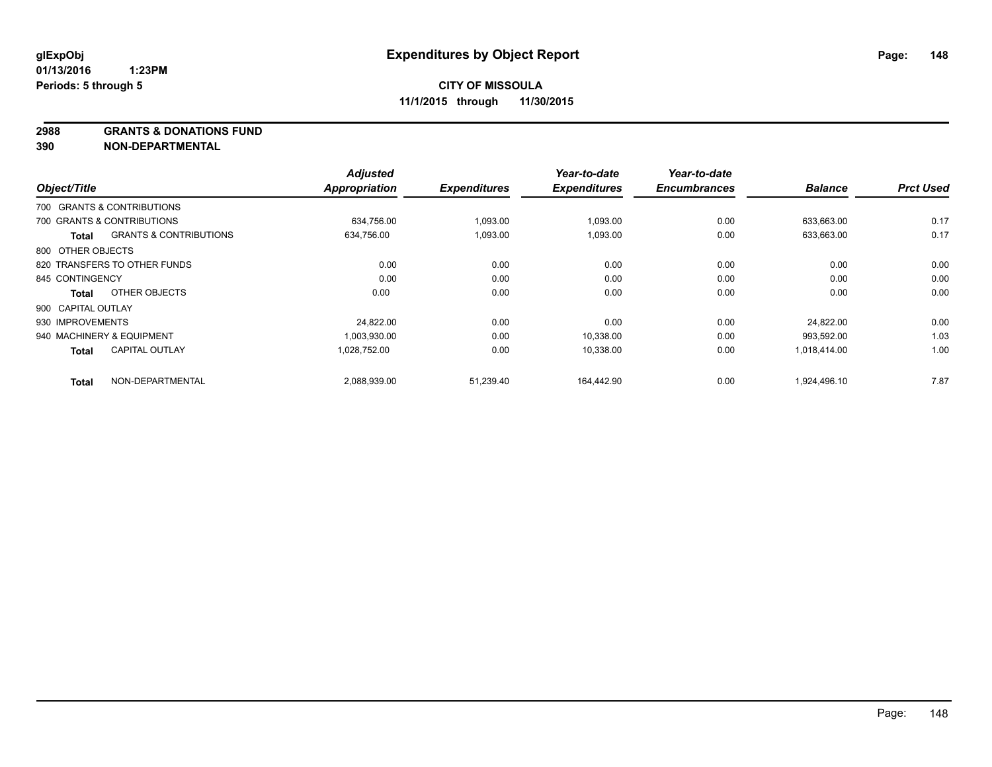**2988 GRANTS & DONATIONS FUND**

|                    |                                   | <b>Adjusted</b> |                     | Year-to-date        | Year-to-date        |                |                  |
|--------------------|-----------------------------------|-----------------|---------------------|---------------------|---------------------|----------------|------------------|
| Object/Title       |                                   | Appropriation   | <b>Expenditures</b> | <b>Expenditures</b> | <b>Encumbrances</b> | <b>Balance</b> | <b>Prct Used</b> |
|                    | 700 GRANTS & CONTRIBUTIONS        |                 |                     |                     |                     |                |                  |
|                    | 700 GRANTS & CONTRIBUTIONS        | 634,756.00      | 1,093.00            | 1,093.00            | 0.00                | 633,663.00     | 0.17             |
| Total              | <b>GRANTS &amp; CONTRIBUTIONS</b> | 634.756.00      | 1,093.00            | 1,093.00            | 0.00                | 633,663.00     | 0.17             |
| 800 OTHER OBJECTS  |                                   |                 |                     |                     |                     |                |                  |
|                    | 820 TRANSFERS TO OTHER FUNDS      | 0.00            | 0.00                | 0.00                | 0.00                | 0.00           | 0.00             |
| 845 CONTINGENCY    |                                   | 0.00            | 0.00                | 0.00                | 0.00                | 0.00           | 0.00             |
| Total              | OTHER OBJECTS                     | 0.00            | 0.00                | 0.00                | 0.00                | 0.00           | 0.00             |
| 900 CAPITAL OUTLAY |                                   |                 |                     |                     |                     |                |                  |
| 930 IMPROVEMENTS   |                                   | 24,822.00       | 0.00                | 0.00                | 0.00                | 24,822.00      | 0.00             |
|                    | 940 MACHINERY & EQUIPMENT         | 1,003,930.00    | 0.00                | 10,338.00           | 0.00                | 993,592.00     | 1.03             |
| <b>Total</b>       | <b>CAPITAL OUTLAY</b>             | 1,028,752.00    | 0.00                | 10,338.00           | 0.00                | 1,018,414.00   | 1.00             |
| <b>Total</b>       | NON-DEPARTMENTAL                  | 2,088,939.00    | 51,239.40           | 164.442.90          | 0.00                | 1,924,496.10   | 7.87             |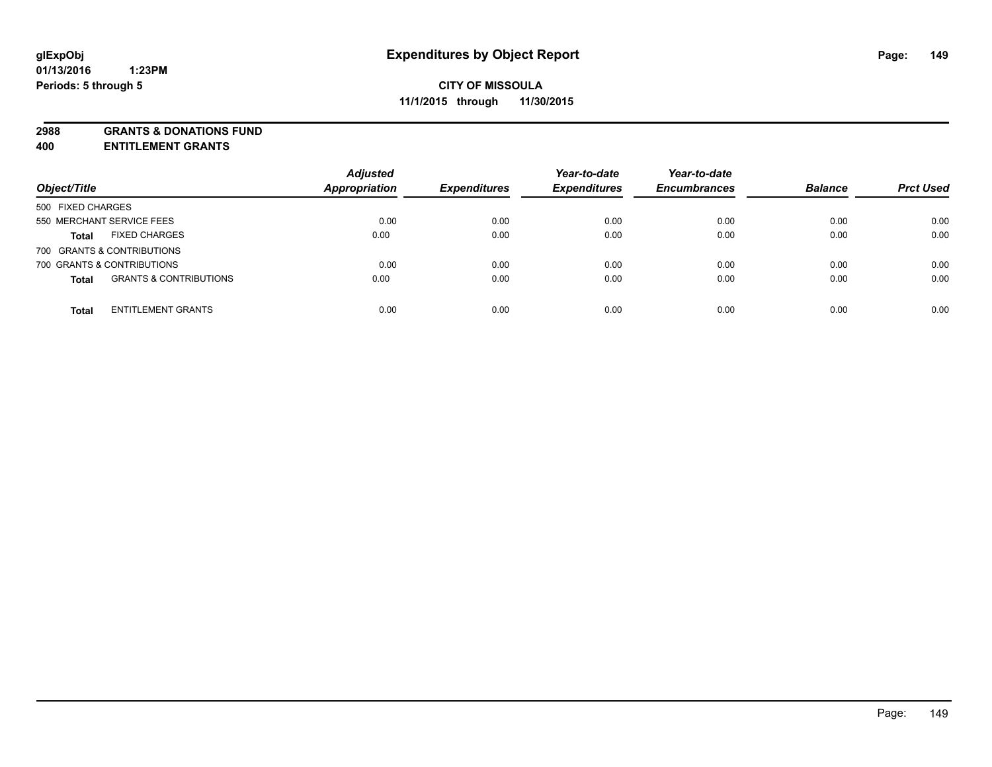**2988 GRANTS & DONATIONS FUND**

**400 ENTITLEMENT GRANTS**

| Object/Title                                      | <b>Adjusted</b><br><b>Appropriation</b> | <b>Expenditures</b> | Year-to-date<br><b>Expenditures</b> | Year-to-date<br><b>Encumbrances</b> | <b>Balance</b> | <b>Prct Used</b> |
|---------------------------------------------------|-----------------------------------------|---------------------|-------------------------------------|-------------------------------------|----------------|------------------|
| 500 FIXED CHARGES                                 |                                         |                     |                                     |                                     |                |                  |
| 550 MERCHANT SERVICE FEES                         | 0.00                                    | 0.00                | 0.00                                | 0.00                                | 0.00           | 0.00             |
| <b>FIXED CHARGES</b><br><b>Total</b>              | 0.00                                    | 0.00                | 0.00                                | 0.00                                | 0.00           | 0.00             |
| 700 GRANTS & CONTRIBUTIONS                        |                                         |                     |                                     |                                     |                |                  |
| 700 GRANTS & CONTRIBUTIONS                        | 0.00                                    | 0.00                | 0.00                                | 0.00                                | 0.00           | 0.00             |
| <b>GRANTS &amp; CONTRIBUTIONS</b><br><b>Total</b> | 0.00                                    | 0.00                | 0.00                                | 0.00                                | 0.00           | 0.00             |
| <b>ENTITLEMENT GRANTS</b><br><b>Total</b>         | 0.00                                    | 0.00                | 0.00                                | 0.00                                | 0.00           | 0.00             |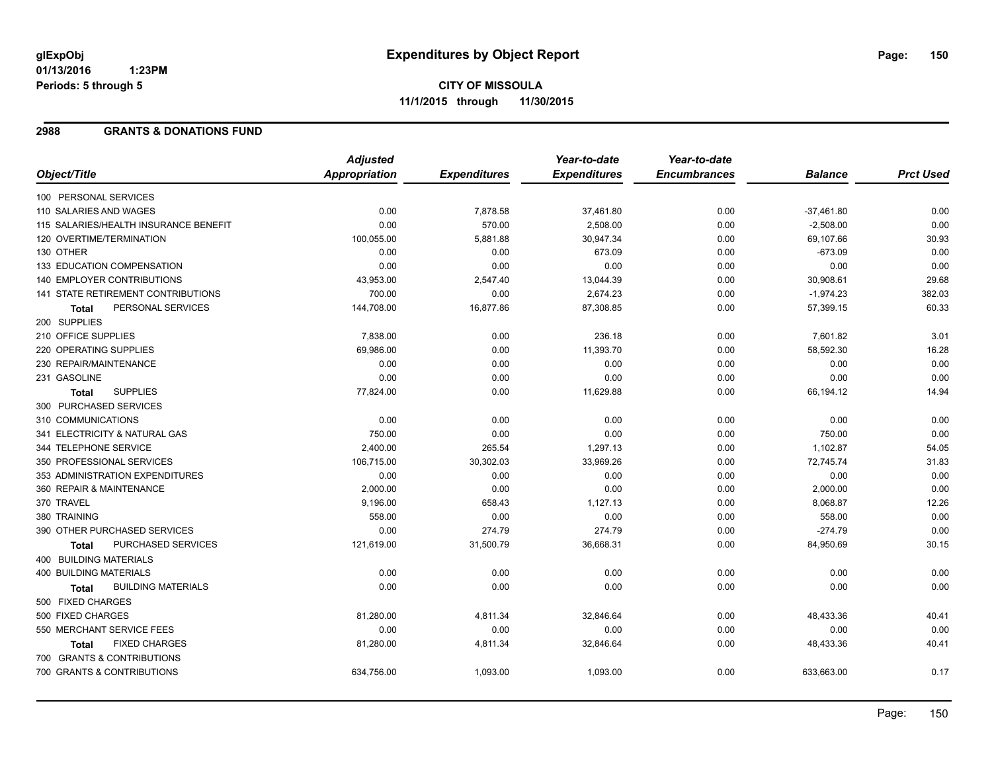# **CITY OF MISSOULA 11/1/2015 through 11/30/2015**

#### **2988 GRANTS & DONATIONS FUND**

|                                           | <b>Adjusted</b> |                     | Year-to-date        | Year-to-date        |                |                  |
|-------------------------------------------|-----------------|---------------------|---------------------|---------------------|----------------|------------------|
| Object/Title                              | Appropriation   | <b>Expenditures</b> | <b>Expenditures</b> | <b>Encumbrances</b> | <b>Balance</b> | <b>Prct Used</b> |
| 100 PERSONAL SERVICES                     |                 |                     |                     |                     |                |                  |
| 110 SALARIES AND WAGES                    | 0.00            | 7,878.58            | 37,461.80           | 0.00                | $-37,461.80$   | 0.00             |
| 115 SALARIES/HEALTH INSURANCE BENEFIT     | 0.00            | 570.00              | 2,508.00            | 0.00                | $-2,508.00$    | 0.00             |
| 120 OVERTIME/TERMINATION                  | 100,055.00      | 5,881.88            | 30,947.34           | 0.00                | 69,107.66      | 30.93            |
| 130 OTHER                                 | 0.00            | 0.00                | 673.09              | 0.00                | $-673.09$      | 0.00             |
| 133 EDUCATION COMPENSATION                | 0.00            | 0.00                | 0.00                | 0.00                | 0.00           | 0.00             |
| 140 EMPLOYER CONTRIBUTIONS                | 43,953.00       | 2,547.40            | 13,044.39           | 0.00                | 30,908.61      | 29.68            |
| 141 STATE RETIREMENT CONTRIBUTIONS        | 700.00          | 0.00                | 2,674.23            | 0.00                | $-1,974.23$    | 382.03           |
| PERSONAL SERVICES<br>Total                | 144,708.00      | 16,877.86           | 87,308.85           | 0.00                | 57,399.15      | 60.33            |
| 200 SUPPLIES                              |                 |                     |                     |                     |                |                  |
| 210 OFFICE SUPPLIES                       | 7,838.00        | 0.00                | 236.18              | 0.00                | 7,601.82       | 3.01             |
| 220 OPERATING SUPPLIES                    | 69,986.00       | 0.00                | 11,393.70           | 0.00                | 58,592.30      | 16.28            |
| 230 REPAIR/MAINTENANCE                    | 0.00            | 0.00                | 0.00                | 0.00                | 0.00           | 0.00             |
| 231 GASOLINE                              | 0.00            | 0.00                | 0.00                | 0.00                | 0.00           | 0.00             |
| <b>SUPPLIES</b><br><b>Total</b>           | 77,824.00       | 0.00                | 11,629.88           | 0.00                | 66,194.12      | 14.94            |
| 300 PURCHASED SERVICES                    |                 |                     |                     |                     |                |                  |
| 310 COMMUNICATIONS                        | 0.00            | 0.00                | 0.00                | 0.00                | 0.00           | 0.00             |
| 341 ELECTRICITY & NATURAL GAS             | 750.00          | 0.00                | 0.00                | 0.00                | 750.00         | 0.00             |
| 344 TELEPHONE SERVICE                     | 2,400.00        | 265.54              | 1,297.13            | 0.00                | 1,102.87       | 54.05            |
| 350 PROFESSIONAL SERVICES                 | 106,715.00      | 30,302.03           | 33,969.26           | 0.00                | 72,745.74      | 31.83            |
| 353 ADMINISTRATION EXPENDITURES           | 0.00            | 0.00                | 0.00                | 0.00                | 0.00           | 0.00             |
| 360 REPAIR & MAINTENANCE                  | 2,000.00        | 0.00                | 0.00                | 0.00                | 2,000.00       | 0.00             |
| 370 TRAVEL                                | 9,196.00        | 658.43              | 1,127.13            | 0.00                | 8,068.87       | 12.26            |
| 380 TRAINING                              | 558.00          | 0.00                | 0.00                | 0.00                | 558.00         | 0.00             |
| 390 OTHER PURCHASED SERVICES              | 0.00            | 274.79              | 274.79              | 0.00                | $-274.79$      | 0.00             |
| PURCHASED SERVICES<br>Total               | 121,619.00      | 31,500.79           | 36,668.31           | 0.00                | 84,950.69      | 30.15            |
| 400 BUILDING MATERIALS                    |                 |                     |                     |                     |                |                  |
| <b>400 BUILDING MATERIALS</b>             | 0.00            | 0.00                | 0.00                | 0.00                | 0.00           | 0.00             |
| <b>BUILDING MATERIALS</b><br><b>Total</b> | 0.00            | 0.00                | 0.00                | 0.00                | 0.00           | 0.00             |
| 500 FIXED CHARGES                         |                 |                     |                     |                     |                |                  |
| 500 FIXED CHARGES                         | 81,280.00       | 4,811.34            | 32,846.64           | 0.00                | 48,433.36      | 40.41            |
| 550 MERCHANT SERVICE FEES                 | 0.00            | 0.00                | 0.00                | 0.00                | 0.00           | 0.00             |
| <b>FIXED CHARGES</b><br><b>Total</b>      | 81,280.00       | 4,811.34            | 32,846.64           | 0.00                | 48,433.36      | 40.41            |
| 700 GRANTS & CONTRIBUTIONS                |                 |                     |                     |                     |                |                  |
| 700 GRANTS & CONTRIBUTIONS                | 634,756.00      | 1,093.00            | 1,093.00            | 0.00                | 633,663.00     | 0.17             |
|                                           |                 |                     |                     |                     |                |                  |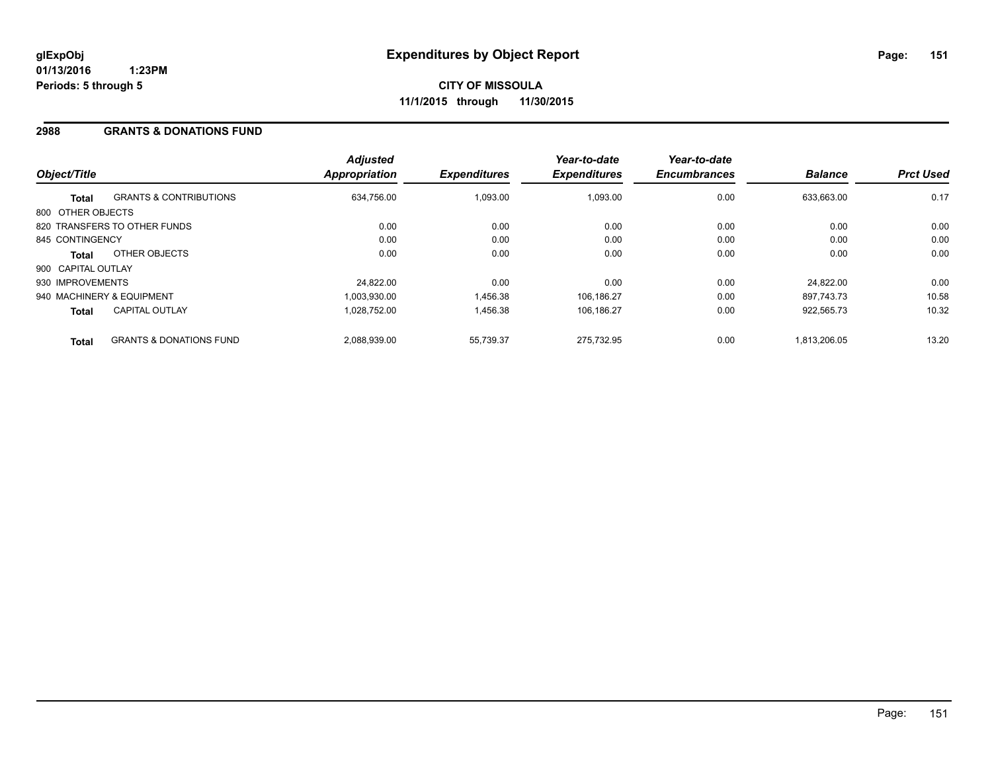## **2988 GRANTS & DONATIONS FUND**

| Object/Title       |                                    | <b>Adjusted</b><br>Appropriation | <b>Expenditures</b> | Year-to-date<br><b>Expenditures</b> | Year-to-date<br><b>Encumbrances</b> | <b>Balance</b> | <b>Prct Used</b> |
|--------------------|------------------------------------|----------------------------------|---------------------|-------------------------------------|-------------------------------------|----------------|------------------|
| <b>Total</b>       | <b>GRANTS &amp; CONTRIBUTIONS</b>  | 634,756.00                       | 1.093.00            | 1,093.00                            | 0.00                                | 633.663.00     | 0.17             |
| 800 OTHER OBJECTS  |                                    |                                  |                     |                                     |                                     |                |                  |
|                    | 820 TRANSFERS TO OTHER FUNDS       | 0.00                             | 0.00                | 0.00                                | 0.00                                | 0.00           | 0.00             |
| 845 CONTINGENCY    |                                    | 0.00                             | 0.00                | 0.00                                | 0.00                                | 0.00           | 0.00             |
| Total              | OTHER OBJECTS                      | 0.00                             | 0.00                | 0.00                                | 0.00                                | 0.00           | 0.00             |
| 900 CAPITAL OUTLAY |                                    |                                  |                     |                                     |                                     |                |                  |
| 930 IMPROVEMENTS   |                                    | 24,822.00                        | 0.00                | 0.00                                | 0.00                                | 24.822.00      | 0.00             |
|                    | 940 MACHINERY & EQUIPMENT          | 1.003.930.00                     | 1,456.38            | 106,186.27                          | 0.00                                | 897.743.73     | 10.58            |
| <b>Total</b>       | <b>CAPITAL OUTLAY</b>              | 1.028.752.00                     | 1,456.38            | 106.186.27                          | 0.00                                | 922.565.73     | 10.32            |
| <b>Total</b>       | <b>GRANTS &amp; DONATIONS FUND</b> | 2.088.939.00                     | 55.739.37           | 275.732.95                          | 0.00                                | 1.813.206.05   | 13.20            |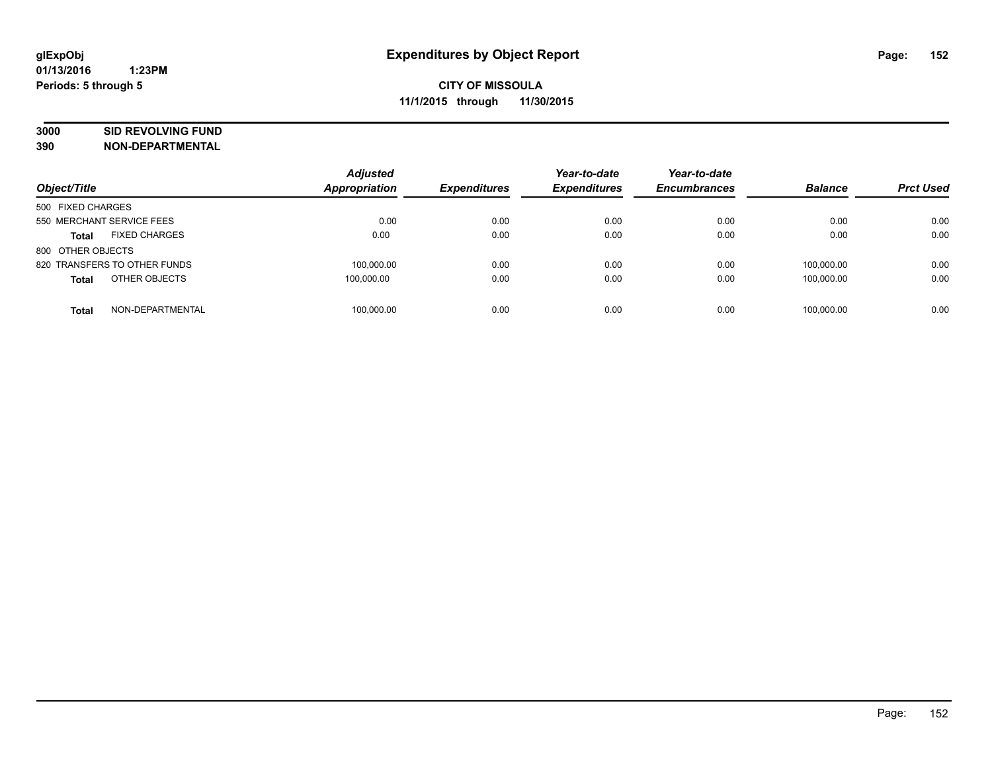# **3000 SID REVOLVING FUND**

| Object/Title                         | <b>Adjusted</b><br>Appropriation | <b>Expenditures</b> | Year-to-date<br><b>Expenditures</b> | Year-to-date<br><b>Encumbrances</b> | <b>Balance</b> | <b>Prct Used</b> |
|--------------------------------------|----------------------------------|---------------------|-------------------------------------|-------------------------------------|----------------|------------------|
| 500 FIXED CHARGES                    |                                  |                     |                                     |                                     |                |                  |
| 550 MERCHANT SERVICE FEES            | 0.00                             | 0.00                | 0.00                                | 0.00                                | 0.00           | 0.00             |
| <b>FIXED CHARGES</b><br><b>Total</b> | 0.00                             | 0.00                | 0.00                                | 0.00                                | 0.00           | 0.00             |
| 800 OTHER OBJECTS                    |                                  |                     |                                     |                                     |                |                  |
| 820 TRANSFERS TO OTHER FUNDS         | 100.000.00                       | 0.00                | 0.00                                | 0.00                                | 100.000.00     | 0.00             |
| OTHER OBJECTS<br><b>Total</b>        | 100,000.00                       | 0.00                | 0.00                                | 0.00                                | 100.000.00     | 0.00             |
| NON-DEPARTMENTAL<br><b>Total</b>     | 100.000.00                       | 0.00                | 0.00                                | 0.00                                | 100.000.00     | 0.00             |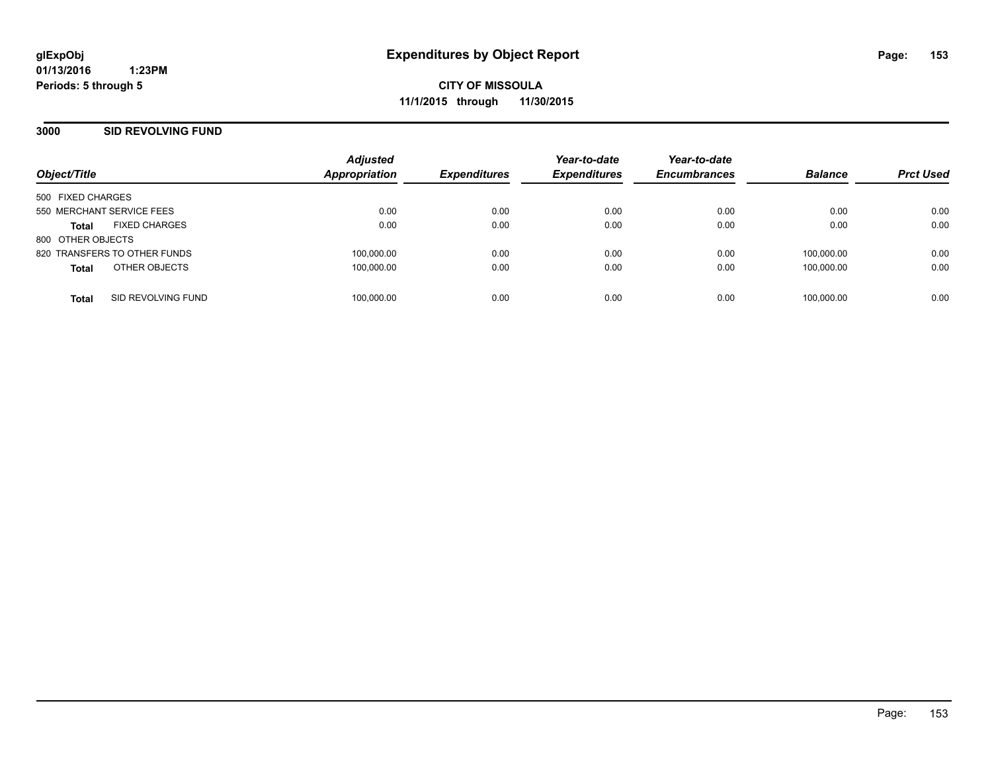**CITY OF MISSOULA 11/1/2015 through 11/30/2015**

## **3000 SID REVOLVING FUND**

| Object/Title                 |                      | <b>Adjusted</b><br><b>Appropriation</b> | <b>Expenditures</b> | Year-to-date<br><b>Expenditures</b> | Year-to-date<br><b>Encumbrances</b> | <b>Balance</b> | <b>Prct Used</b> |
|------------------------------|----------------------|-----------------------------------------|---------------------|-------------------------------------|-------------------------------------|----------------|------------------|
| 500 FIXED CHARGES            |                      |                                         |                     |                                     |                                     |                |                  |
| 550 MERCHANT SERVICE FEES    |                      | 0.00                                    | 0.00                | 0.00                                | 0.00                                | 0.00           | 0.00             |
| <b>Total</b>                 | <b>FIXED CHARGES</b> | 0.00                                    | 0.00                | 0.00                                | 0.00                                | 0.00           | 0.00             |
| 800 OTHER OBJECTS            |                      |                                         |                     |                                     |                                     |                |                  |
| 820 TRANSFERS TO OTHER FUNDS |                      | 100.000.00                              | 0.00                | 0.00                                | 0.00                                | 100.000.00     | 0.00             |
| <b>Total</b>                 | OTHER OBJECTS        | 100,000.00                              | 0.00                | 0.00                                | 0.00                                | 100.000.00     | 0.00             |
| <b>Total</b>                 | SID REVOLVING FUND   | 100,000.00                              | 0.00                | 0.00                                | 0.00                                | 100.000.00     | 0.00             |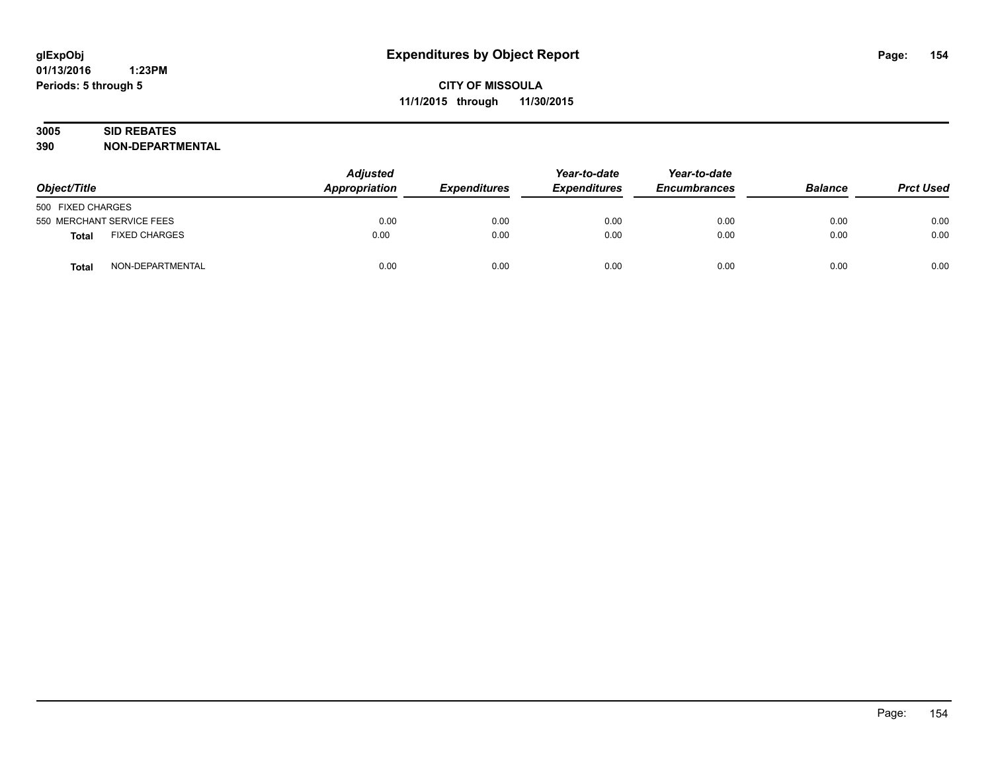# **3005 SID REBATES**

| Object/Title                     | <b>Adjusted</b><br>Appropriation | <b>Expenditures</b> | Year-to-date<br><b>Expenditures</b> | Year-to-date<br><b>Encumbrances</b> | <b>Balance</b> | <b>Prct Used</b> |
|----------------------------------|----------------------------------|---------------------|-------------------------------------|-------------------------------------|----------------|------------------|
| 500 FIXED CHARGES                |                                  |                     |                                     |                                     |                |                  |
| 550 MERCHANT SERVICE FEES        | 0.00                             | 0.00                | 0.00                                | 0.00                                | 0.00           | 0.00             |
| <b>FIXED CHARGES</b><br>Total    | 0.00                             | 0.00                | 0.00                                | 0.00                                | 0.00           | 0.00             |
| NON-DEPARTMENTAL<br><b>Total</b> | 0.00                             | 0.00                | 0.00                                | 0.00                                | 0.00           | 0.00             |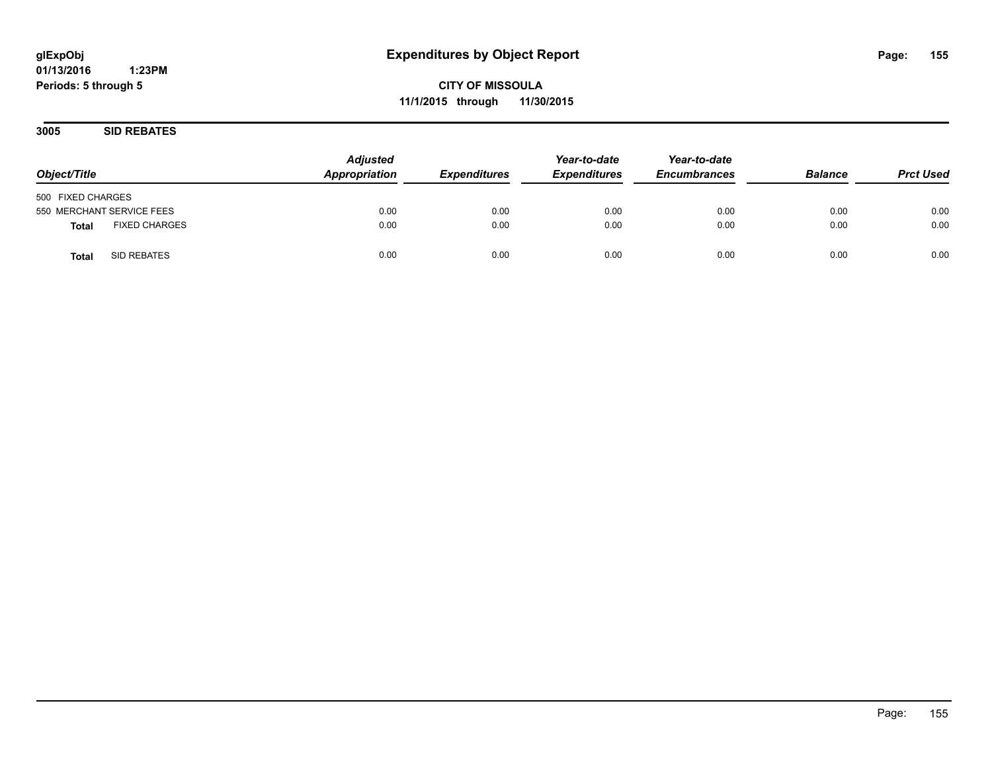**CITY OF MISSOULA 11/1/2015 through 11/30/2015**

**3005 SID REBATES**

| Object/Title                         | <b>Adjusted</b><br>Appropriation | <b>Expenditures</b> | Year-to-date<br><b>Expenditures</b> | Year-to-date<br><b>Encumbrances</b> | <b>Balance</b> | <b>Prct Used</b> |
|--------------------------------------|----------------------------------|---------------------|-------------------------------------|-------------------------------------|----------------|------------------|
| 500 FIXED CHARGES                    |                                  |                     |                                     |                                     |                |                  |
| 550 MERCHANT SERVICE FEES            | 0.00                             | 0.00                | 0.00                                | 0.00                                | 0.00           | 0.00             |
| <b>FIXED CHARGES</b><br><b>Total</b> | 0.00                             | 0.00                | 0.00                                | 0.00                                | 0.00           | 0.00             |
| SID REBATES<br><b>Total</b>          | 0.00                             | 0.00                | 0.00                                | 0.00                                | 0.00           | 0.00             |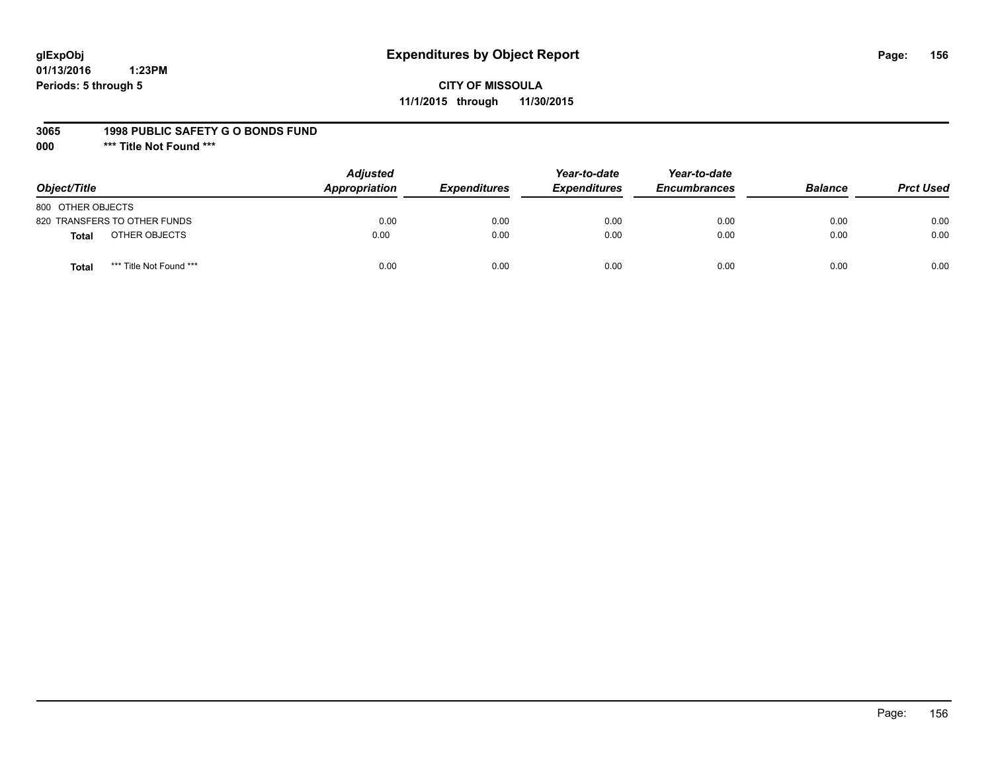# **glExpObj Expenditures by Object Report Page: 156**

# **CITY OF MISSOULA 11/1/2015 through 11/30/2015**

#### **3065 1998 PUBLIC SAFETY G O BONDS FUND**

**000 \*\*\* Title Not Found \*\*\***

| Object/Title                            | <b>Adjusted</b><br>Appropriation | <b>Expenditures</b> | Year-to-date<br><b>Expenditures</b> | Year-to-date<br><b>Encumbrances</b> | <b>Balance</b> | <b>Prct Used</b> |
|-----------------------------------------|----------------------------------|---------------------|-------------------------------------|-------------------------------------|----------------|------------------|
| 800 OTHER OBJECTS                       |                                  |                     |                                     |                                     |                |                  |
| 820 TRANSFERS TO OTHER FUNDS            | 0.00                             | 0.00                | 0.00                                | 0.00                                | 0.00           | 0.00             |
| OTHER OBJECTS<br><b>Total</b>           | 0.00                             | 0.00                | 0.00                                | 0.00                                | 0.00           | 0.00             |
| *** Title Not Found ***<br><b>Total</b> | 0.00                             | 0.00                | 0.00                                | 0.00                                | 0.00           | 0.00             |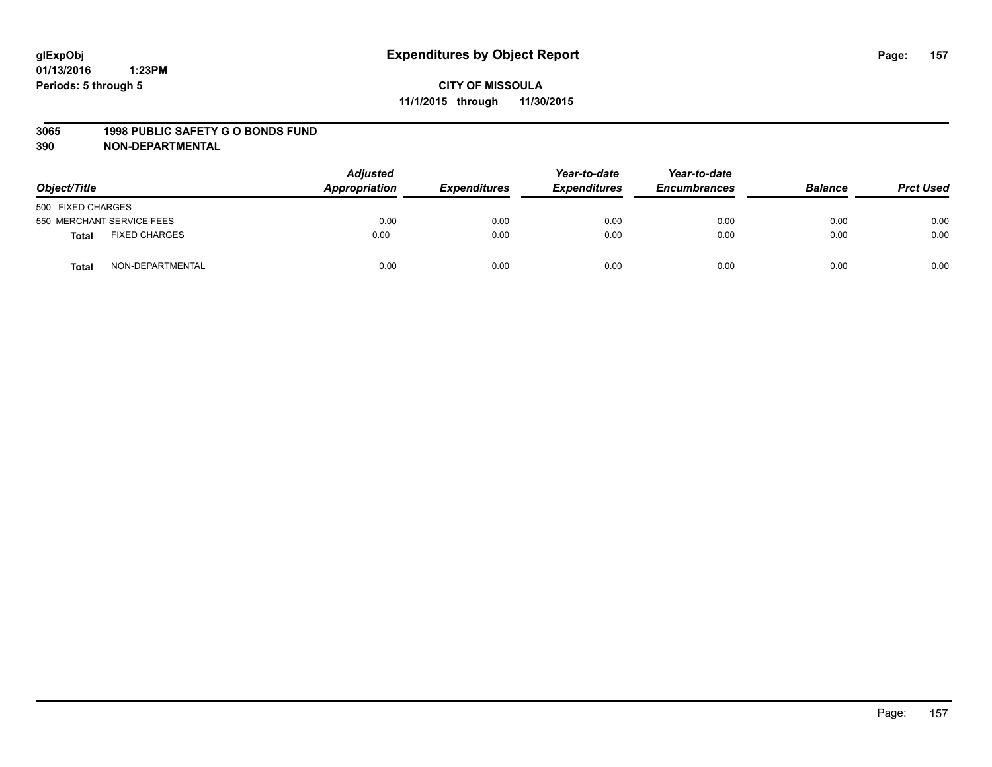#### **3065 1998 PUBLIC SAFETY G O BONDS FUND**

| Object/Title      |                           | <b>Adjusted</b><br>Appropriation | <b>Expenditures</b> | Year-to-date<br><b>Expenditures</b> | Year-to-date<br><b>Encumbrances</b> | <b>Balance</b> | <b>Prct Used</b> |
|-------------------|---------------------------|----------------------------------|---------------------|-------------------------------------|-------------------------------------|----------------|------------------|
| 500 FIXED CHARGES |                           |                                  |                     |                                     |                                     |                |                  |
|                   | 550 MERCHANT SERVICE FEES | 0.00                             | 0.00                | 0.00                                | 0.00                                | 0.00           | 0.00             |
| <b>Total</b>      | <b>FIXED CHARGES</b>      | 0.00                             | 0.00                | 0.00                                | 0.00                                | 0.00           | 0.00             |
| <b>Total</b>      | NON-DEPARTMENTAL          | 0.00                             | 0.00                | 0.00                                | 0.00                                | 0.00           | 0.00             |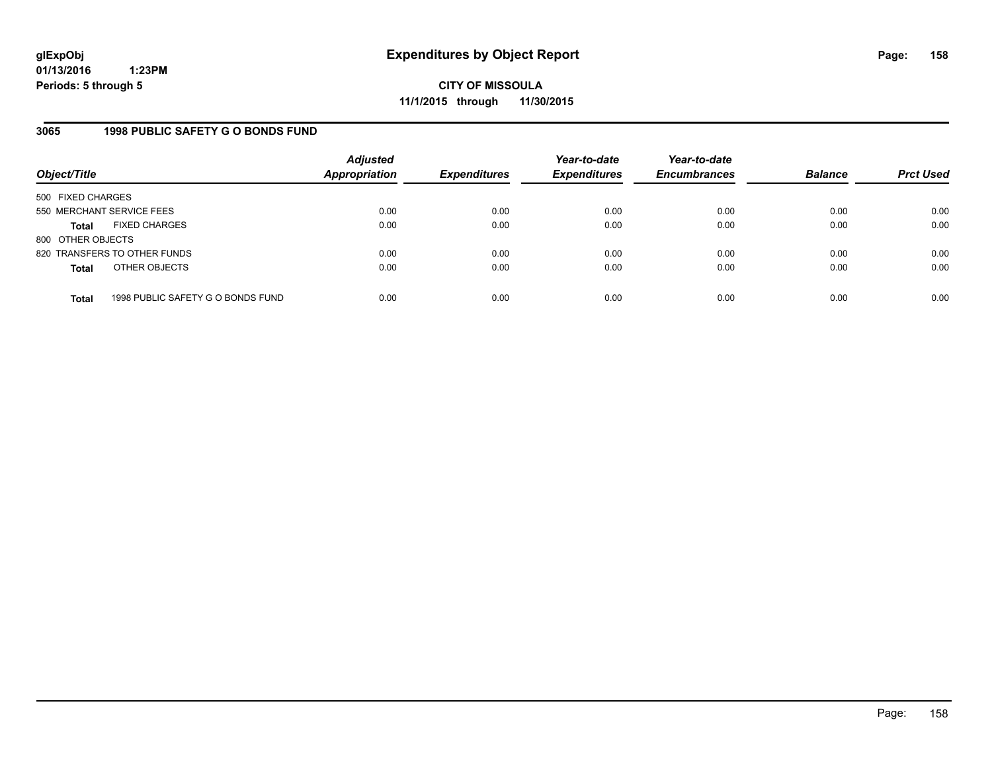**CITY OF MISSOULA 11/1/2015 through 11/30/2015**

## **3065 1998 PUBLIC SAFETY G O BONDS FUND**

| Object/Title              |                                   | <b>Adjusted</b><br><b>Appropriation</b> | <b>Expenditures</b> | Year-to-date<br><b>Expenditures</b> | Year-to-date<br><b>Encumbrances</b> | <b>Balance</b> | <b>Prct Used</b> |
|---------------------------|-----------------------------------|-----------------------------------------|---------------------|-------------------------------------|-------------------------------------|----------------|------------------|
| 500 FIXED CHARGES         |                                   |                                         |                     |                                     |                                     |                |                  |
| 550 MERCHANT SERVICE FEES |                                   | 0.00                                    | 0.00                | 0.00                                | 0.00                                | 0.00           | 0.00             |
| <b>Total</b>              | <b>FIXED CHARGES</b>              | 0.00                                    | 0.00                | 0.00                                | 0.00                                | 0.00           | 0.00             |
| 800 OTHER OBJECTS         |                                   |                                         |                     |                                     |                                     |                |                  |
|                           | 820 TRANSFERS TO OTHER FUNDS      | 0.00                                    | 0.00                | 0.00                                | 0.00                                | 0.00           | 0.00             |
| <b>Total</b>              | OTHER OBJECTS                     | 0.00                                    | 0.00                | 0.00                                | 0.00                                | 0.00           | 0.00             |
|                           |                                   |                                         |                     |                                     |                                     |                |                  |
| <b>Total</b>              | 1998 PUBLIC SAFETY G O BONDS FUND | 0.00                                    | 0.00                | 0.00                                | 0.00                                | 0.00           | 0.00             |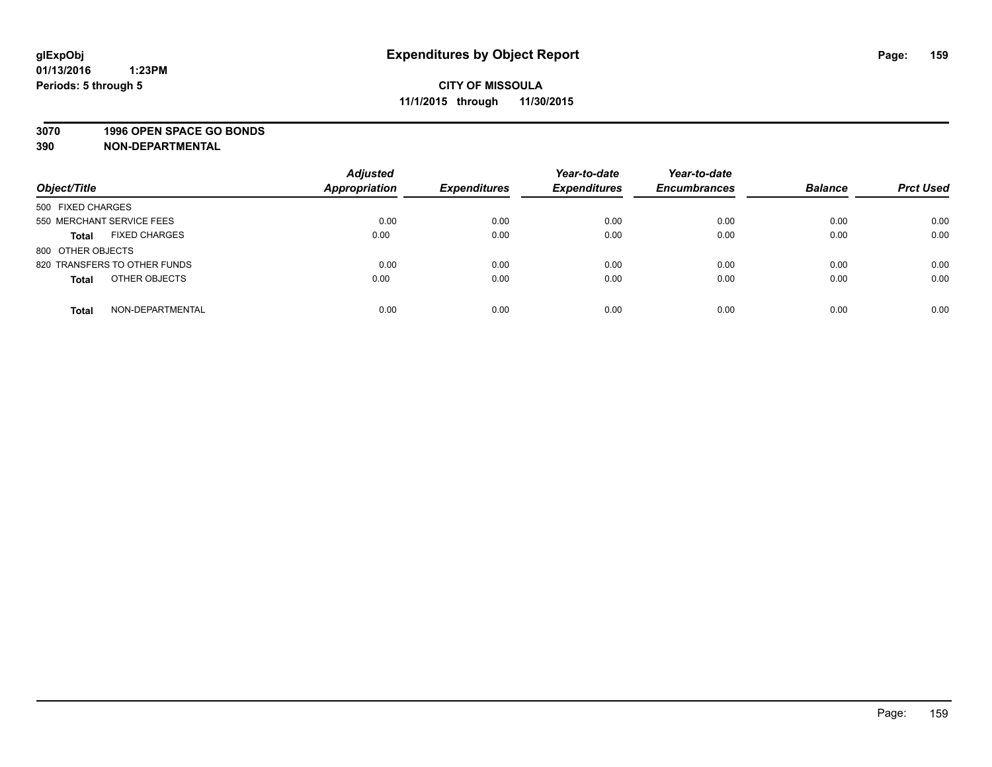## **3070 1996 OPEN SPACE GO BONDS**

| Object/Title                         | <b>Adjusted</b><br><b>Appropriation</b> | <b>Expenditures</b> | Year-to-date<br><b>Expenditures</b> | Year-to-date<br><b>Encumbrances</b> | <b>Balance</b> | <b>Prct Used</b> |
|--------------------------------------|-----------------------------------------|---------------------|-------------------------------------|-------------------------------------|----------------|------------------|
| 500 FIXED CHARGES                    |                                         |                     |                                     |                                     |                |                  |
| 550 MERCHANT SERVICE FEES            | 0.00                                    | 0.00                | 0.00                                | 0.00                                | 0.00           | 0.00             |
| <b>FIXED CHARGES</b><br><b>Total</b> | 0.00                                    | 0.00                | 0.00                                | 0.00                                | 0.00           | 0.00             |
| 800 OTHER OBJECTS                    |                                         |                     |                                     |                                     |                |                  |
| 820 TRANSFERS TO OTHER FUNDS         | 0.00                                    | 0.00                | 0.00                                | 0.00                                | 0.00           | 0.00             |
| OTHER OBJECTS<br><b>Total</b>        | 0.00                                    | 0.00                | 0.00                                | 0.00                                | 0.00           | 0.00             |
| NON-DEPARTMENTAL<br><b>Total</b>     | 0.00                                    | 0.00                | 0.00                                | 0.00                                | 0.00           | 0.00             |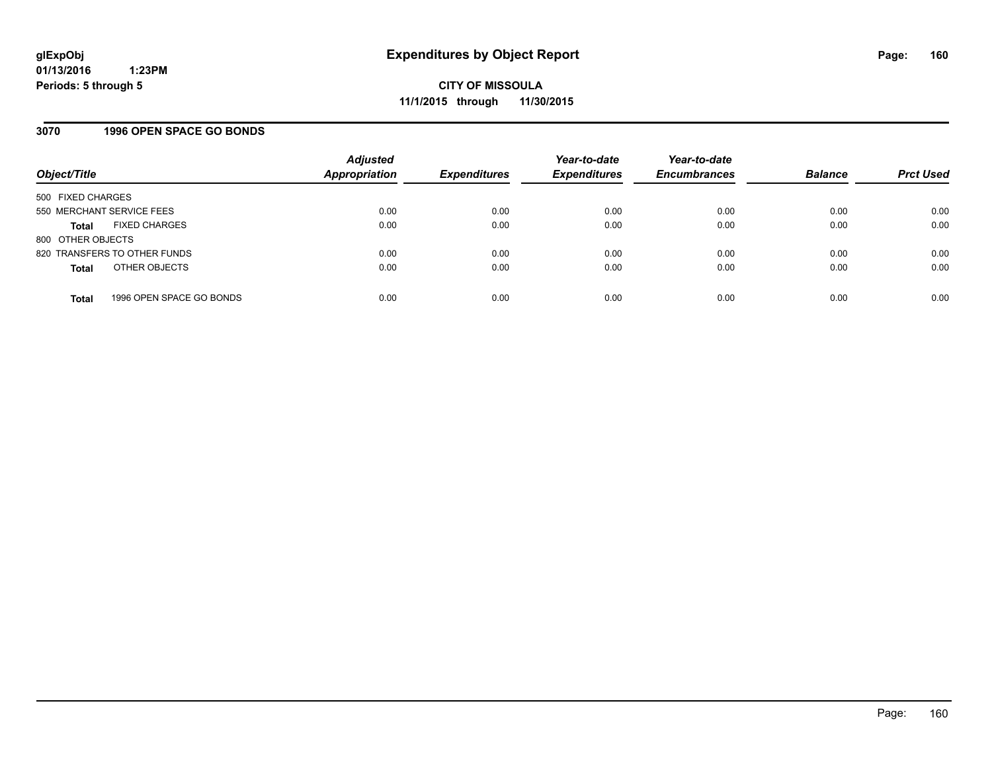## **3070 1996 OPEN SPACE GO BONDS**

| Object/Title              |                              | <b>Adjusted</b><br>Appropriation | <b>Expenditures</b> | Year-to-date<br><b>Expenditures</b> | Year-to-date<br><b>Encumbrances</b> | <b>Balance</b> | <b>Prct Used</b> |
|---------------------------|------------------------------|----------------------------------|---------------------|-------------------------------------|-------------------------------------|----------------|------------------|
| 500 FIXED CHARGES         |                              |                                  |                     |                                     |                                     |                |                  |
| 550 MERCHANT SERVICE FEES |                              | 0.00                             | 0.00                | 0.00                                | 0.00                                | 0.00           | 0.00             |
| <b>Total</b>              | <b>FIXED CHARGES</b>         | 0.00                             | 0.00                | 0.00                                | 0.00                                | 0.00           | 0.00             |
| 800 OTHER OBJECTS         |                              |                                  |                     |                                     |                                     |                |                  |
|                           | 820 TRANSFERS TO OTHER FUNDS | 0.00                             | 0.00                | 0.00                                | 0.00                                | 0.00           | 0.00             |
| <b>Total</b>              | OTHER OBJECTS                | 0.00                             | 0.00                | 0.00                                | 0.00                                | 0.00           | 0.00             |
| <b>Total</b>              | 1996 OPEN SPACE GO BONDS     | 0.00                             | 0.00                | 0.00                                | 0.00                                | 0.00           | 0.00             |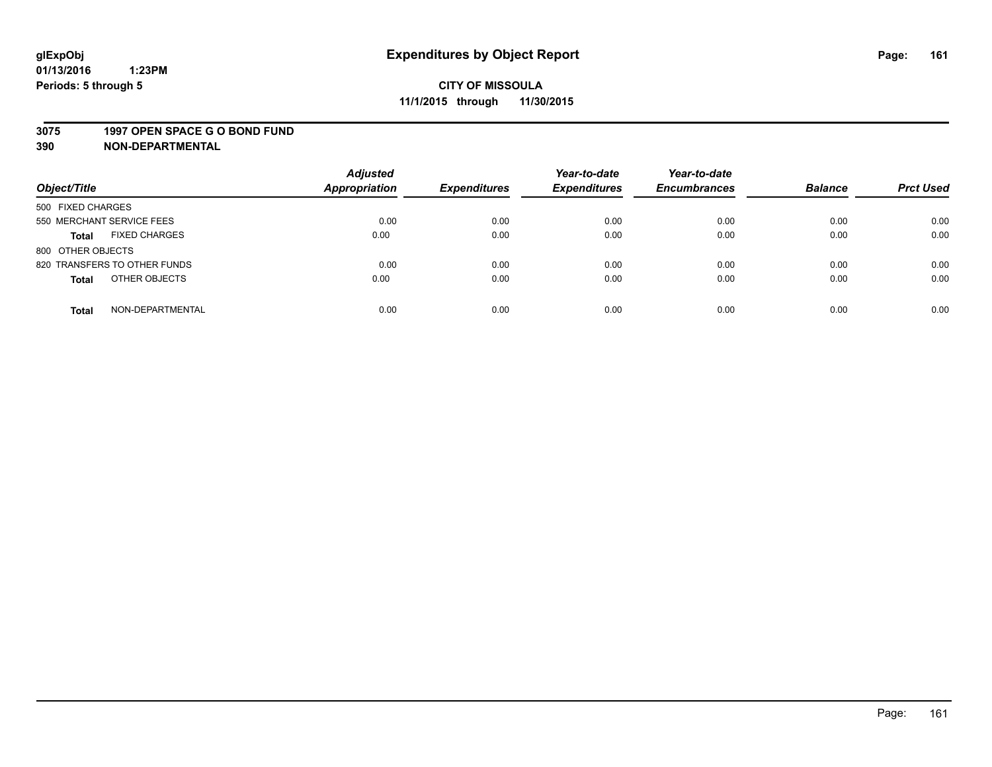#### **3075 1997 OPEN SPACE G O BOND FUND**

| Object/Title                         | <b>Adjusted</b><br><b>Appropriation</b> | <b>Expenditures</b> | Year-to-date<br><b>Expenditures</b> | Year-to-date<br><b>Encumbrances</b> | <b>Balance</b> | <b>Prct Used</b> |
|--------------------------------------|-----------------------------------------|---------------------|-------------------------------------|-------------------------------------|----------------|------------------|
|                                      |                                         |                     |                                     |                                     |                |                  |
| 500 FIXED CHARGES                    |                                         |                     |                                     |                                     |                |                  |
| 550 MERCHANT SERVICE FEES            | 0.00                                    | 0.00                | 0.00                                | 0.00                                | 0.00           | 0.00             |
| <b>FIXED CHARGES</b><br><b>Total</b> | 0.00                                    | 0.00                | 0.00                                | 0.00                                | 0.00           | 0.00             |
| 800 OTHER OBJECTS                    |                                         |                     |                                     |                                     |                |                  |
| 820 TRANSFERS TO OTHER FUNDS         | 0.00                                    | 0.00                | 0.00                                | 0.00                                | 0.00           | 0.00             |
| OTHER OBJECTS<br><b>Total</b>        | 0.00                                    | 0.00                | 0.00                                | 0.00                                | 0.00           | 0.00             |
|                                      |                                         |                     |                                     |                                     |                |                  |
| NON-DEPARTMENTAL<br><b>Total</b>     | 0.00                                    | 0.00                | 0.00                                | 0.00                                | 0.00           | 0.00             |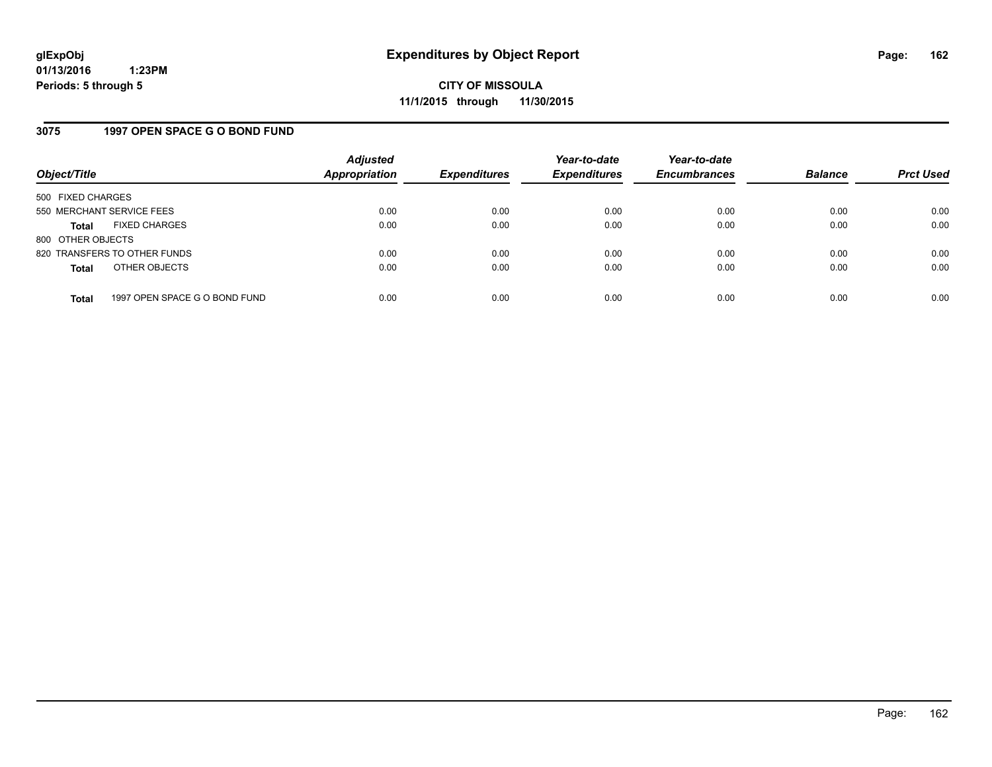## **3075 1997 OPEN SPACE G O BOND FUND**

| Object/Title              |                               | <b>Adjusted</b><br><b>Appropriation</b> | <b>Expenditures</b> | Year-to-date<br><b>Expenditures</b> | Year-to-date<br><b>Encumbrances</b> | <b>Balance</b> | <b>Prct Used</b> |
|---------------------------|-------------------------------|-----------------------------------------|---------------------|-------------------------------------|-------------------------------------|----------------|------------------|
| 500 FIXED CHARGES         |                               |                                         |                     |                                     |                                     |                |                  |
| 550 MERCHANT SERVICE FEES |                               | 0.00                                    | 0.00                | 0.00                                | 0.00                                | 0.00           | 0.00             |
| <b>Total</b>              | <b>FIXED CHARGES</b>          | 0.00                                    | 0.00                | 0.00                                | 0.00                                | 0.00           | 0.00             |
| 800 OTHER OBJECTS         |                               |                                         |                     |                                     |                                     |                |                  |
|                           | 820 TRANSFERS TO OTHER FUNDS  | 0.00                                    | 0.00                | 0.00                                | 0.00                                | 0.00           | 0.00             |
| <b>Total</b>              | OTHER OBJECTS                 | 0.00                                    | 0.00                | 0.00                                | 0.00                                | 0.00           | 0.00             |
| <b>Total</b>              | 1997 OPEN SPACE G O BOND FUND | 0.00                                    | 0.00                | 0.00                                | 0.00                                | 0.00           | 0.00             |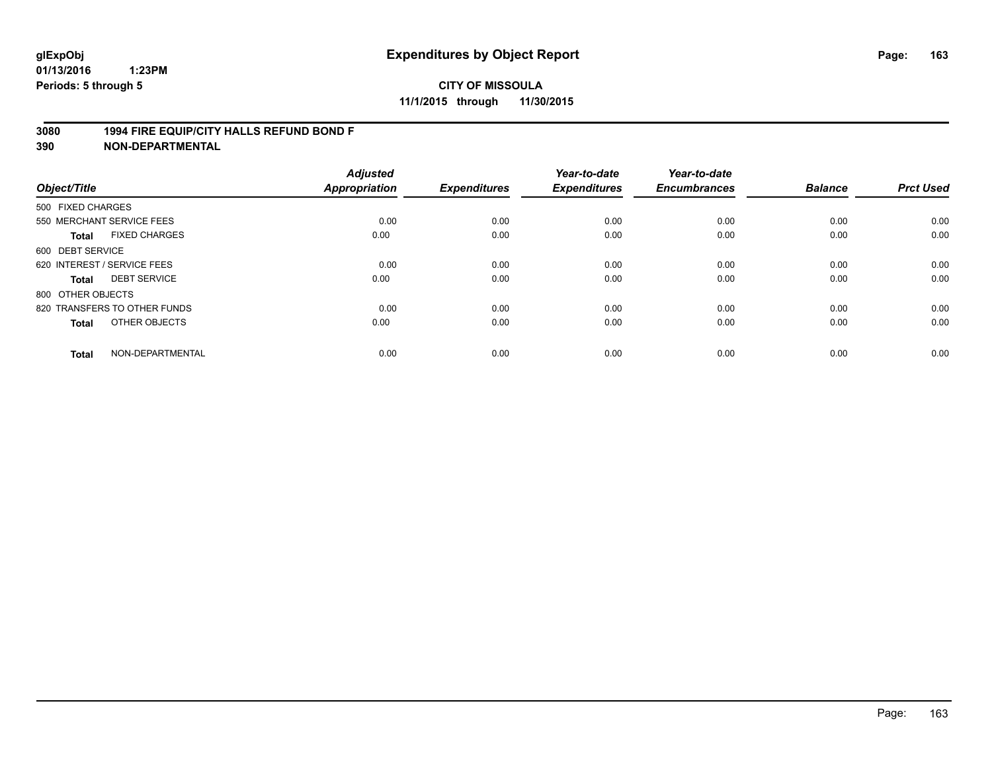## **3080 1994 FIRE EQUIP/CITY HALLS REFUND BOND F**

| Object/Title      |                              | <b>Adjusted</b><br><b>Appropriation</b> | <b>Expenditures</b> | Year-to-date<br><b>Expenditures</b> | Year-to-date<br><b>Encumbrances</b> | <b>Balance</b> | <b>Prct Used</b> |
|-------------------|------------------------------|-----------------------------------------|---------------------|-------------------------------------|-------------------------------------|----------------|------------------|
| 500 FIXED CHARGES |                              |                                         |                     |                                     |                                     |                |                  |
|                   | 550 MERCHANT SERVICE FEES    | 0.00                                    | 0.00                | 0.00                                | 0.00                                | 0.00           | 0.00             |
| <b>Total</b>      | <b>FIXED CHARGES</b>         | 0.00                                    | 0.00                | 0.00                                | 0.00                                | 0.00           | 0.00             |
| 600 DEBT SERVICE  |                              |                                         |                     |                                     |                                     |                |                  |
|                   | 620 INTEREST / SERVICE FEES  | 0.00                                    | 0.00                | 0.00                                | 0.00                                | 0.00           | 0.00             |
| Total             | <b>DEBT SERVICE</b>          | 0.00                                    | 0.00                | 0.00                                | 0.00                                | 0.00           | 0.00             |
| 800 OTHER OBJECTS |                              |                                         |                     |                                     |                                     |                |                  |
|                   | 820 TRANSFERS TO OTHER FUNDS | 0.00                                    | 0.00                | 0.00                                | 0.00                                | 0.00           | 0.00             |
| Total             | OTHER OBJECTS                | 0.00                                    | 0.00                | 0.00                                | 0.00                                | 0.00           | 0.00             |
| <b>Total</b>      | NON-DEPARTMENTAL             | 0.00                                    | 0.00                | 0.00                                | 0.00                                | 0.00           | 0.00             |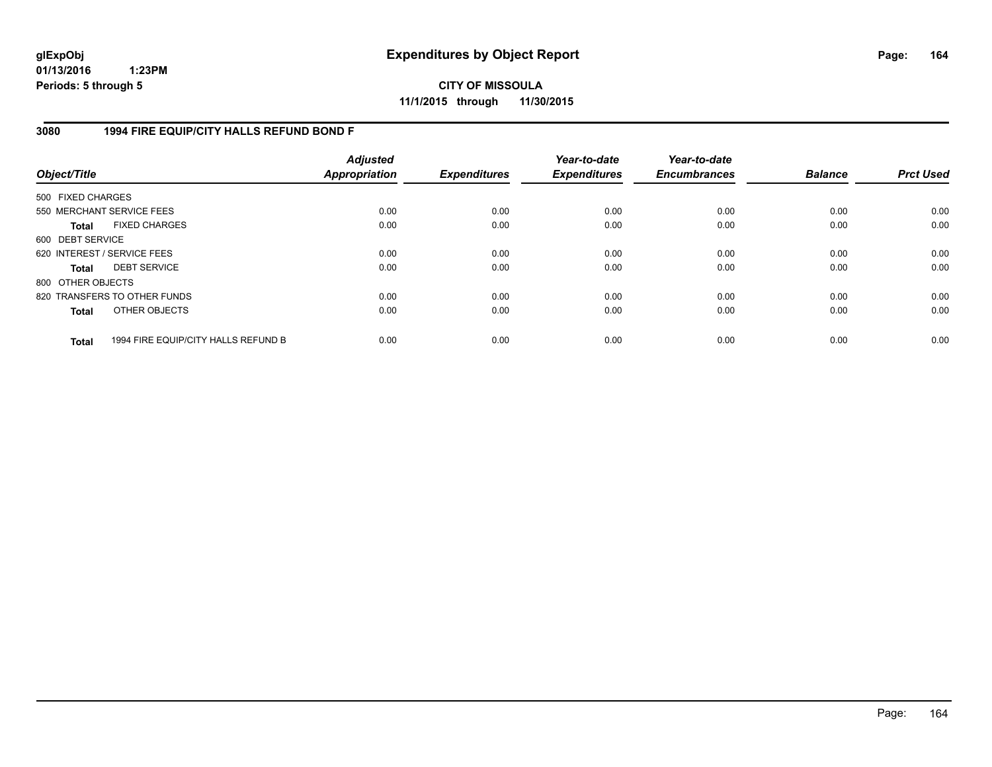**CITY OF MISSOULA 11/1/2015 through 11/30/2015**

## **3080 1994 FIRE EQUIP/CITY HALLS REFUND BOND F**

| Object/Title      |                                     | <b>Adjusted</b><br>Appropriation | <b>Expenditures</b> | Year-to-date<br><b>Expenditures</b> | Year-to-date<br><b>Encumbrances</b> | <b>Balance</b> | <b>Prct Used</b> |
|-------------------|-------------------------------------|----------------------------------|---------------------|-------------------------------------|-------------------------------------|----------------|------------------|
| 500 FIXED CHARGES |                                     |                                  |                     |                                     |                                     |                |                  |
|                   | 550 MERCHANT SERVICE FEES           | 0.00                             | 0.00                | 0.00                                | 0.00                                | 0.00           | 0.00             |
| <b>Total</b>      | <b>FIXED CHARGES</b>                | 0.00                             | 0.00                | 0.00                                | 0.00                                | 0.00           | 0.00             |
| 600 DEBT SERVICE  |                                     |                                  |                     |                                     |                                     |                |                  |
|                   | 620 INTEREST / SERVICE FEES         | 0.00                             | 0.00                | 0.00                                | 0.00                                | 0.00           | 0.00             |
| Total             | <b>DEBT SERVICE</b>                 | 0.00                             | 0.00                | 0.00                                | 0.00                                | 0.00           | 0.00             |
| 800 OTHER OBJECTS |                                     |                                  |                     |                                     |                                     |                |                  |
|                   | 820 TRANSFERS TO OTHER FUNDS        | 0.00                             | 0.00                | 0.00                                | 0.00                                | 0.00           | 0.00             |
| <b>Total</b>      | OTHER OBJECTS                       | 0.00                             | 0.00                | 0.00                                | 0.00                                | 0.00           | 0.00             |
| <b>Total</b>      | 1994 FIRE EQUIP/CITY HALLS REFUND B | 0.00                             | 0.00                | 0.00                                | 0.00                                | 0.00           | 0.00             |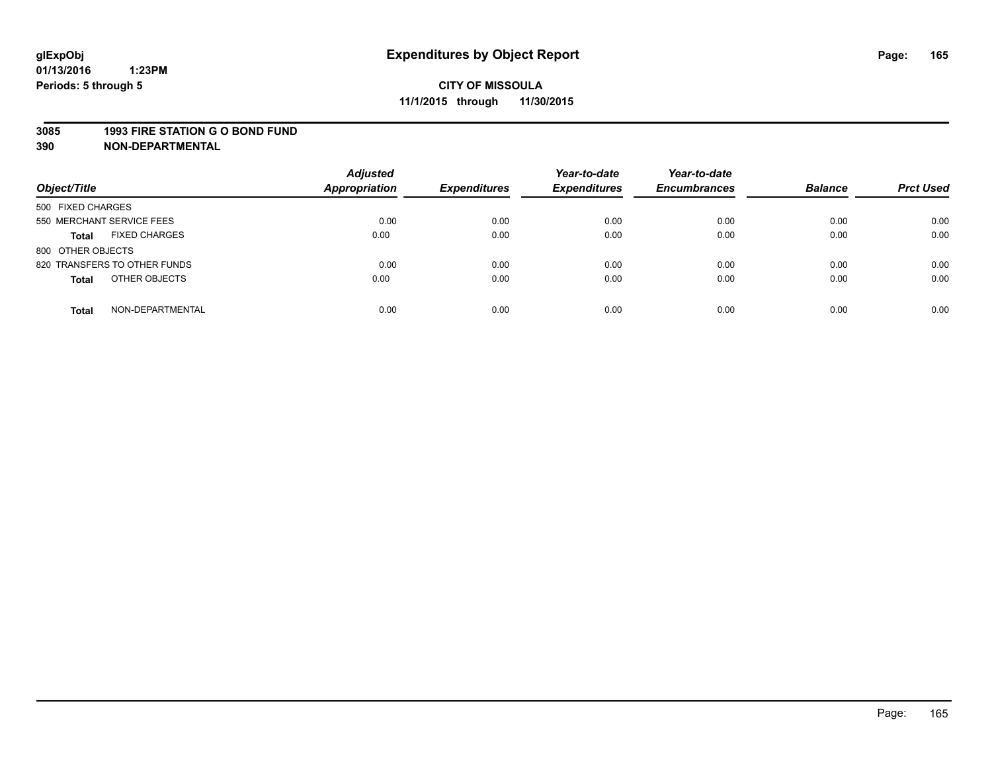#### **3085 1993 FIRE STATION G O BOND FUND**

| Object/Title                         | <b>Adjusted</b><br>Appropriation | <b>Expenditures</b> | Year-to-date<br><b>Expenditures</b> | Year-to-date<br><b>Encumbrances</b> | <b>Balance</b> | <b>Prct Used</b> |
|--------------------------------------|----------------------------------|---------------------|-------------------------------------|-------------------------------------|----------------|------------------|
| 500 FIXED CHARGES                    |                                  |                     |                                     |                                     |                |                  |
| 550 MERCHANT SERVICE FEES            | 0.00                             | 0.00                | 0.00                                | 0.00                                | 0.00           | 0.00             |
| <b>FIXED CHARGES</b><br><b>Total</b> | 0.00                             | 0.00                | 0.00                                | 0.00                                | 0.00           | 0.00             |
| 800 OTHER OBJECTS                    |                                  |                     |                                     |                                     |                |                  |
| 820 TRANSFERS TO OTHER FUNDS         | 0.00                             | 0.00                | 0.00                                | 0.00                                | 0.00           | 0.00             |
| OTHER OBJECTS<br><b>Total</b>        | 0.00                             | 0.00                | 0.00                                | 0.00                                | 0.00           | 0.00             |
| NON-DEPARTMENTAL<br><b>Total</b>     | 0.00                             | 0.00                | 0.00                                | 0.00                                | 0.00           | 0.00             |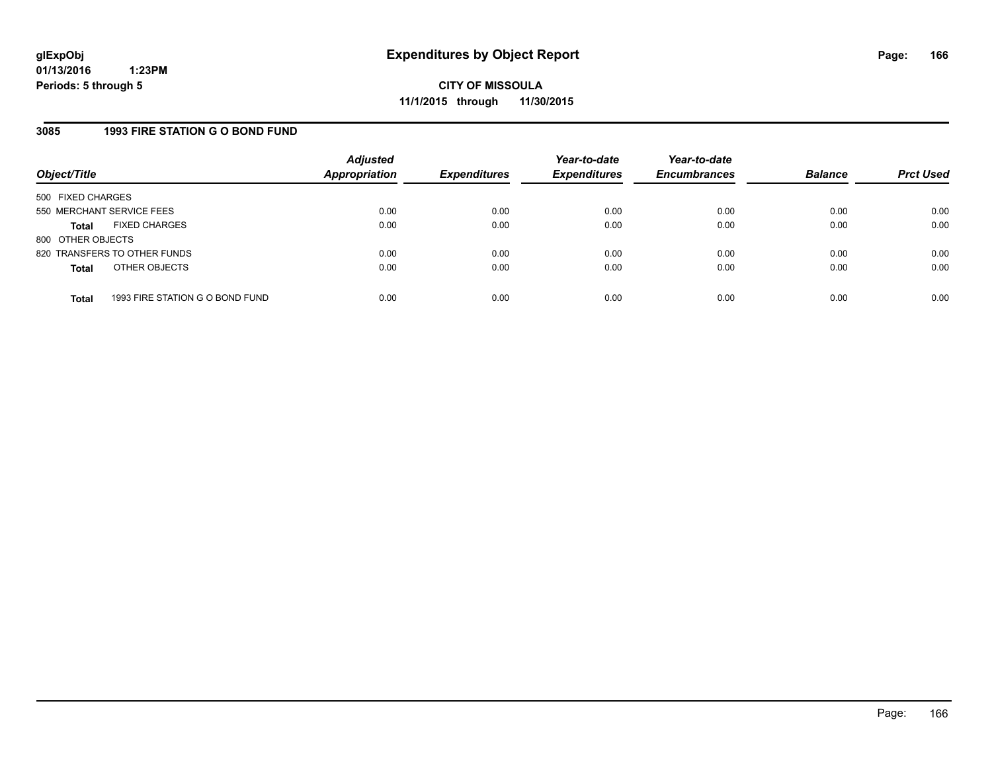## **3085 1993 FIRE STATION G O BOND FUND**

| Object/Title              |                                 | <b>Adjusted</b><br><b>Appropriation</b> | <b>Expenditures</b> | Year-to-date<br><b>Expenditures</b> | Year-to-date<br><b>Encumbrances</b> | <b>Balance</b> | <b>Prct Used</b> |
|---------------------------|---------------------------------|-----------------------------------------|---------------------|-------------------------------------|-------------------------------------|----------------|------------------|
| 500 FIXED CHARGES         |                                 |                                         |                     |                                     |                                     |                |                  |
| 550 MERCHANT SERVICE FEES |                                 | 0.00                                    | 0.00                | 0.00                                | 0.00                                | 0.00           | 0.00             |
| <b>Total</b>              | <b>FIXED CHARGES</b>            | 0.00                                    | 0.00                | 0.00                                | 0.00                                | 0.00           | 0.00             |
| 800 OTHER OBJECTS         |                                 |                                         |                     |                                     |                                     |                |                  |
|                           | 820 TRANSFERS TO OTHER FUNDS    | 0.00                                    | 0.00                | 0.00                                | 0.00                                | 0.00           | 0.00             |
| <b>Total</b>              | OTHER OBJECTS                   | 0.00                                    | 0.00                | 0.00                                | 0.00                                | 0.00           | 0.00             |
| <b>Total</b>              | 1993 FIRE STATION G O BOND FUND | 0.00                                    | 0.00                | 0.00                                | 0.00                                | 0.00           | 0.00             |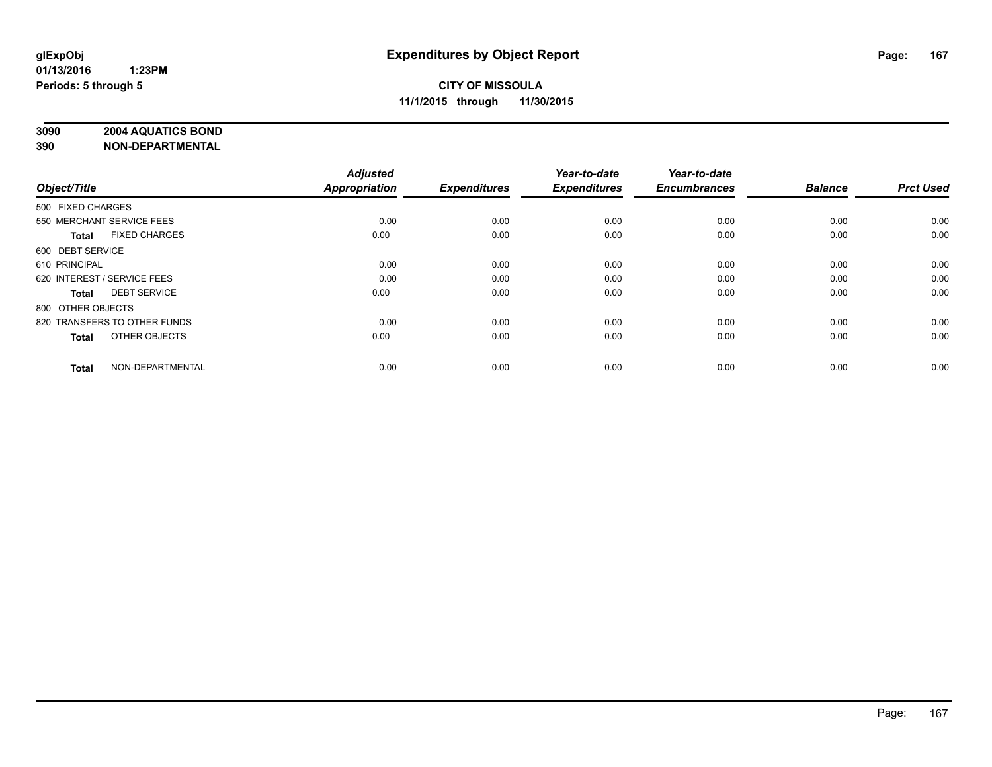## **3090 2004 AQUATICS BOND**

| Object/Title                         | <b>Adjusted</b><br><b>Appropriation</b> | <b>Expenditures</b> | Year-to-date<br><b>Expenditures</b> | Year-to-date<br><b>Encumbrances</b> | <b>Balance</b> | <b>Prct Used</b> |
|--------------------------------------|-----------------------------------------|---------------------|-------------------------------------|-------------------------------------|----------------|------------------|
|                                      |                                         |                     |                                     |                                     |                |                  |
| 500 FIXED CHARGES                    |                                         |                     |                                     |                                     |                |                  |
| 550 MERCHANT SERVICE FEES            | 0.00                                    | 0.00                | 0.00                                | 0.00                                | 0.00           | 0.00             |
| <b>FIXED CHARGES</b><br><b>Total</b> | 0.00                                    | 0.00                | 0.00                                | 0.00                                | 0.00           | 0.00             |
| 600 DEBT SERVICE                     |                                         |                     |                                     |                                     |                |                  |
| 610 PRINCIPAL                        | 0.00                                    | 0.00                | 0.00                                | 0.00                                | 0.00           | 0.00             |
| 620 INTEREST / SERVICE FEES          | 0.00                                    | 0.00                | 0.00                                | 0.00                                | 0.00           | 0.00             |
| <b>DEBT SERVICE</b><br><b>Total</b>  | 0.00                                    | 0.00                | 0.00                                | 0.00                                | 0.00           | 0.00             |
| 800 OTHER OBJECTS                    |                                         |                     |                                     |                                     |                |                  |
| 820 TRANSFERS TO OTHER FUNDS         | 0.00                                    | 0.00                | 0.00                                | 0.00                                | 0.00           | 0.00             |
| OTHER OBJECTS<br><b>Total</b>        | 0.00                                    | 0.00                | 0.00                                | 0.00                                | 0.00           | 0.00             |
|                                      |                                         |                     |                                     |                                     |                |                  |
| NON-DEPARTMENTAL<br><b>Total</b>     | 0.00                                    | 0.00                | 0.00                                | 0.00                                | 0.00           | 0.00             |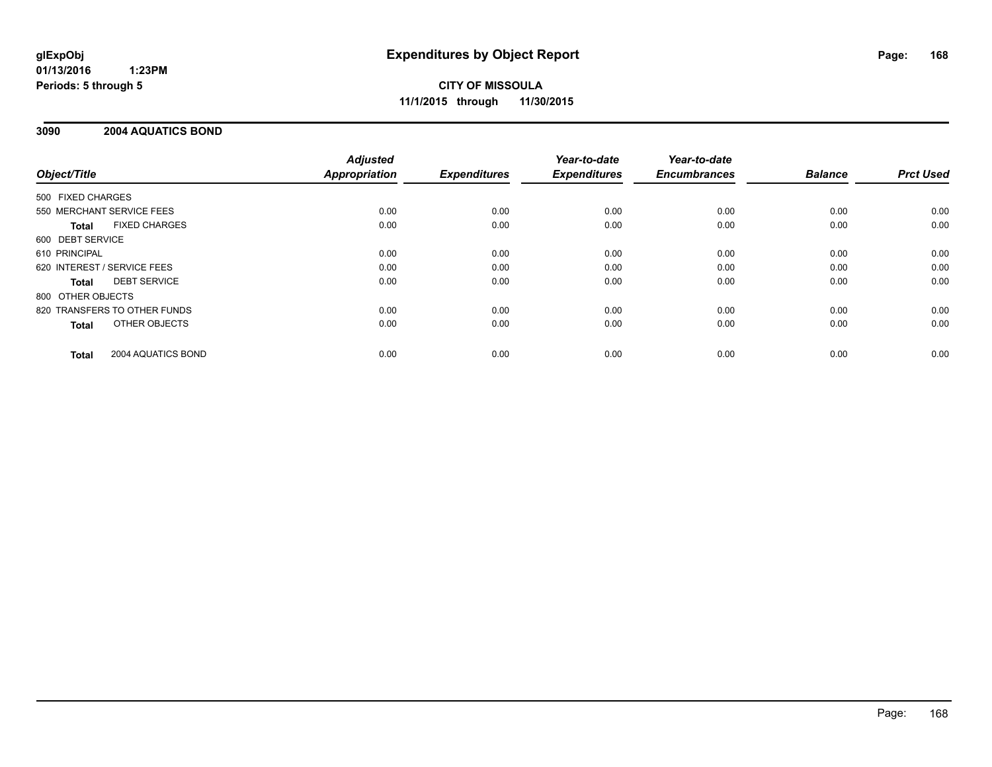## **3090 2004 AQUATICS BOND**

|                                    | <b>Adjusted</b>      |                     | Year-to-date        | Year-to-date        |                |                  |
|------------------------------------|----------------------|---------------------|---------------------|---------------------|----------------|------------------|
| Object/Title                       | <b>Appropriation</b> | <b>Expenditures</b> | <b>Expenditures</b> | <b>Encumbrances</b> | <b>Balance</b> | <b>Prct Used</b> |
| 500 FIXED CHARGES                  |                      |                     |                     |                     |                |                  |
| 550 MERCHANT SERVICE FEES          | 0.00                 | 0.00                | 0.00                | 0.00                | 0.00           | 0.00             |
| <b>FIXED CHARGES</b><br>Total      | 0.00                 | 0.00                | 0.00                | 0.00                | 0.00           | 0.00             |
| 600 DEBT SERVICE                   |                      |                     |                     |                     |                |                  |
| 610 PRINCIPAL                      | 0.00                 | 0.00                | 0.00                | 0.00                | 0.00           | 0.00             |
| 620 INTEREST / SERVICE FEES        | 0.00                 | 0.00                | 0.00                | 0.00                | 0.00           | 0.00             |
| <b>DEBT SERVICE</b><br>Total       | 0.00                 | 0.00                | 0.00                | 0.00                | 0.00           | 0.00             |
| 800 OTHER OBJECTS                  |                      |                     |                     |                     |                |                  |
| 820 TRANSFERS TO OTHER FUNDS       | 0.00                 | 0.00                | 0.00                | 0.00                | 0.00           | 0.00             |
| OTHER OBJECTS<br><b>Total</b>      | 0.00                 | 0.00                | 0.00                | 0.00                | 0.00           | 0.00             |
| 2004 AQUATICS BOND<br><b>Total</b> | 0.00                 | 0.00                | 0.00                | 0.00                | 0.00           | 0.00             |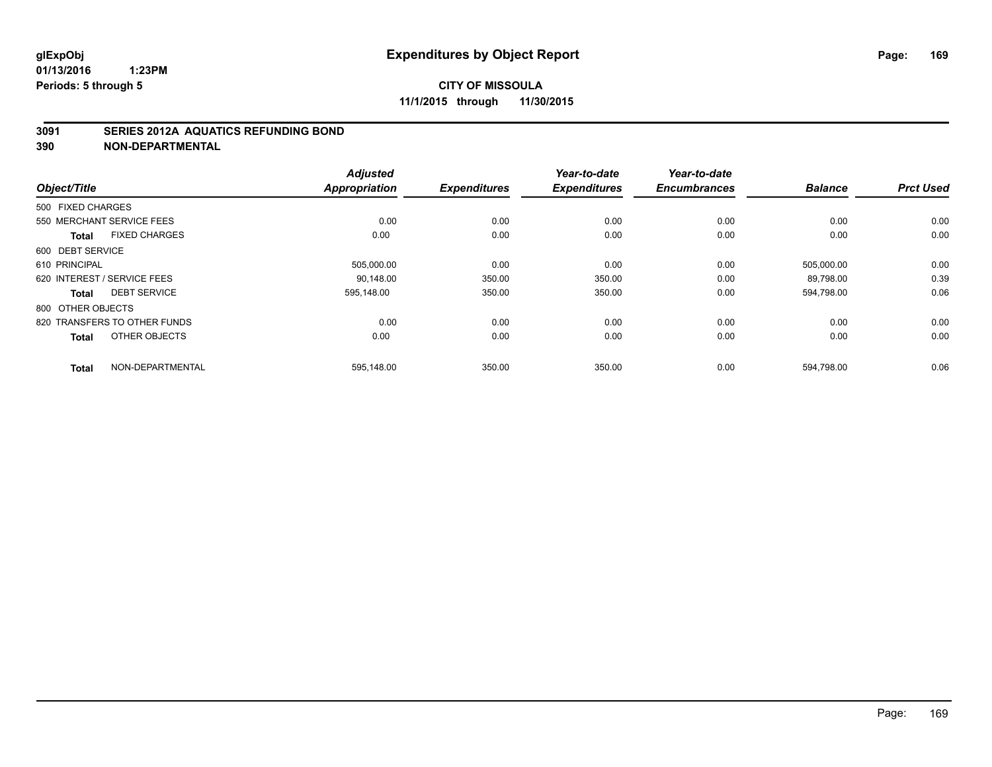## **3091 SERIES 2012A AQUATICS REFUNDING BOND**

|                                      | <b>Adjusted</b> |                     | Year-to-date        | Year-to-date        |                |                  |
|--------------------------------------|-----------------|---------------------|---------------------|---------------------|----------------|------------------|
| Object/Title                         | Appropriation   | <b>Expenditures</b> | <b>Expenditures</b> | <b>Encumbrances</b> | <b>Balance</b> | <b>Prct Used</b> |
| 500 FIXED CHARGES                    |                 |                     |                     |                     |                |                  |
| 550 MERCHANT SERVICE FEES            | 0.00            | 0.00                | 0.00                | 0.00                | 0.00           | 0.00             |
| <b>FIXED CHARGES</b><br><b>Total</b> | 0.00            | 0.00                | 0.00                | 0.00                | 0.00           | 0.00             |
| 600 DEBT SERVICE                     |                 |                     |                     |                     |                |                  |
| 610 PRINCIPAL                        | 505,000.00      | 0.00                | 0.00                | 0.00                | 505,000.00     | 0.00             |
| 620 INTEREST / SERVICE FEES          | 90.148.00       | 350.00              | 350.00              | 0.00                | 89,798.00      | 0.39             |
| <b>DEBT SERVICE</b><br><b>Total</b>  | 595.148.00      | 350.00              | 350.00              | 0.00                | 594,798.00     | 0.06             |
| 800 OTHER OBJECTS                    |                 |                     |                     |                     |                |                  |
| 820 TRANSFERS TO OTHER FUNDS         | 0.00            | 0.00                | 0.00                | 0.00                | 0.00           | 0.00             |
| OTHER OBJECTS<br>Total               | 0.00            | 0.00                | 0.00                | 0.00                | 0.00           | 0.00             |
|                                      |                 |                     |                     |                     |                |                  |
| NON-DEPARTMENTAL<br><b>Total</b>     | 595,148.00      | 350.00              | 350.00              | 0.00                | 594,798.00     | 0.06             |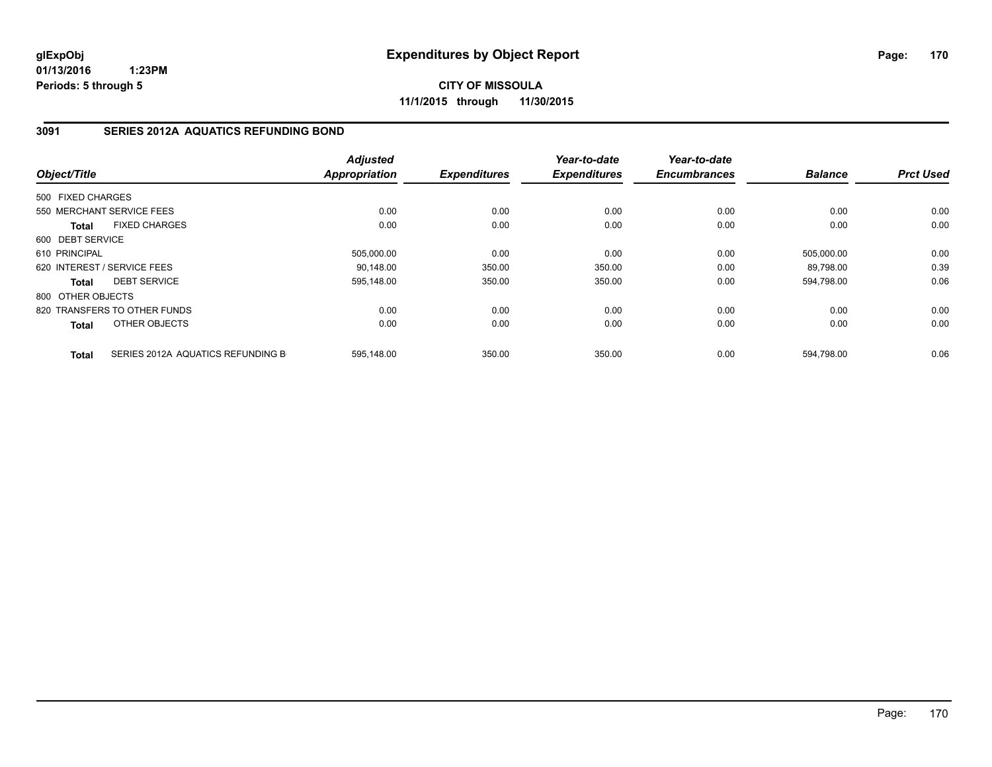**CITY OF MISSOULA 11/1/2015 through 11/30/2015**

## **3091 SERIES 2012A AQUATICS REFUNDING BOND**

| Object/Title      |                                   | <b>Adjusted</b><br>Appropriation | <b>Expenditures</b> | Year-to-date<br><b>Expenditures</b> | Year-to-date<br><b>Encumbrances</b> | <b>Balance</b> | <b>Prct Used</b> |
|-------------------|-----------------------------------|----------------------------------|---------------------|-------------------------------------|-------------------------------------|----------------|------------------|
|                   |                                   |                                  |                     |                                     |                                     |                |                  |
| 500 FIXED CHARGES |                                   |                                  |                     |                                     |                                     |                |                  |
|                   | 550 MERCHANT SERVICE FEES         | 0.00                             | 0.00                | 0.00                                | 0.00                                | 0.00           | 0.00             |
| <b>Total</b>      | <b>FIXED CHARGES</b>              | 0.00                             | 0.00                | 0.00                                | 0.00                                | 0.00           | 0.00             |
| 600 DEBT SERVICE  |                                   |                                  |                     |                                     |                                     |                |                  |
| 610 PRINCIPAL     |                                   | 505,000.00                       | 0.00                | 0.00                                | 0.00                                | 505,000.00     | 0.00             |
|                   | 620 INTEREST / SERVICE FEES       | 90.148.00                        | 350.00              | 350.00                              | 0.00                                | 89.798.00      | 0.39             |
| <b>Total</b>      | <b>DEBT SERVICE</b>               | 595,148.00                       | 350.00              | 350.00                              | 0.00                                | 594,798.00     | 0.06             |
| 800 OTHER OBJECTS |                                   |                                  |                     |                                     |                                     |                |                  |
|                   | 820 TRANSFERS TO OTHER FUNDS      | 0.00                             | 0.00                | 0.00                                | 0.00                                | 0.00           | 0.00             |
| <b>Total</b>      | OTHER OBJECTS                     | 0.00                             | 0.00                | 0.00                                | 0.00                                | 0.00           | 0.00             |
| <b>Total</b>      | SERIES 2012A AQUATICS REFUNDING B | 595.148.00                       | 350.00              | 350.00                              | 0.00                                | 594.798.00     | 0.06             |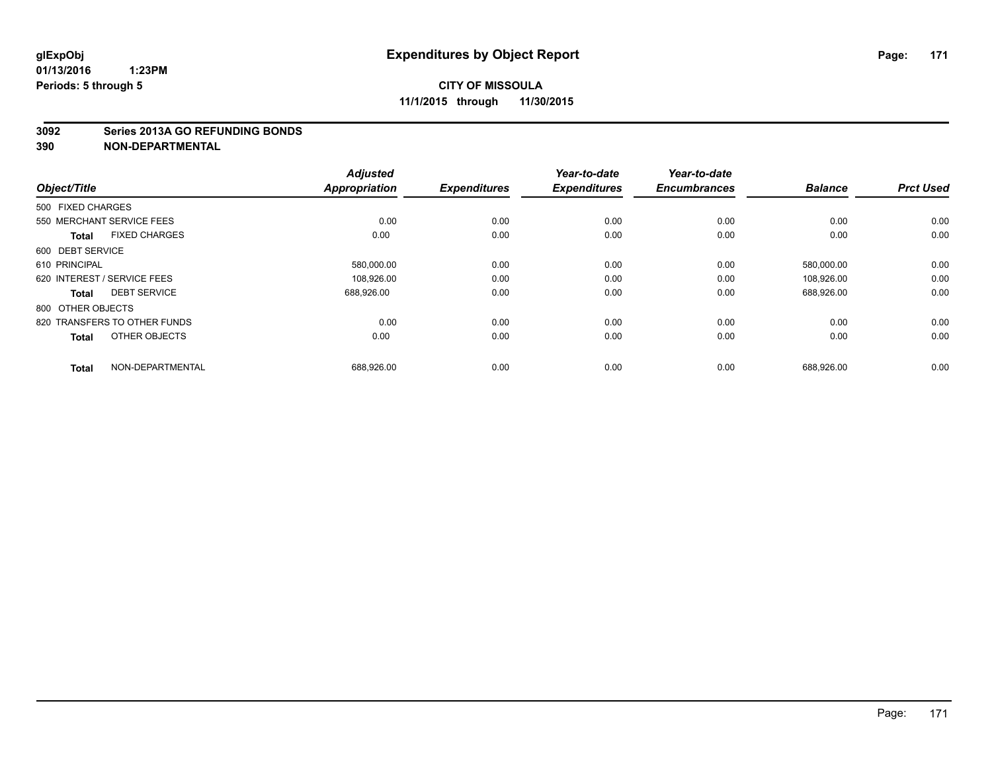#### **3092 Series 2013A GO REFUNDING BONDS**

| Object/Title                |                              | <b>Adjusted</b><br><b>Appropriation</b> | <b>Expenditures</b> | Year-to-date<br><b>Expenditures</b> | Year-to-date<br><b>Encumbrances</b> | <b>Balance</b> | <b>Prct Used</b> |
|-----------------------------|------------------------------|-----------------------------------------|---------------------|-------------------------------------|-------------------------------------|----------------|------------------|
| 500 FIXED CHARGES           |                              |                                         |                     |                                     |                                     |                |                  |
| 550 MERCHANT SERVICE FEES   |                              | 0.00                                    | 0.00                | 0.00                                | 0.00                                | 0.00           | 0.00             |
| <b>Total</b>                | <b>FIXED CHARGES</b>         | 0.00                                    | 0.00                | 0.00                                | 0.00                                | 0.00           | 0.00             |
| 600 DEBT SERVICE            |                              |                                         |                     |                                     |                                     |                |                  |
| 610 PRINCIPAL               |                              | 580,000.00                              | 0.00                | 0.00                                | 0.00                                | 580,000.00     | 0.00             |
| 620 INTEREST / SERVICE FEES |                              | 108,926.00                              | 0.00                | 0.00                                | 0.00                                | 108.926.00     | 0.00             |
| <b>Total</b>                | <b>DEBT SERVICE</b>          | 688,926.00                              | 0.00                | 0.00                                | 0.00                                | 688,926.00     | 0.00             |
| 800 OTHER OBJECTS           |                              |                                         |                     |                                     |                                     |                |                  |
|                             | 820 TRANSFERS TO OTHER FUNDS | 0.00                                    | 0.00                | 0.00                                | 0.00                                | 0.00           | 0.00             |
| <b>Total</b>                | OTHER OBJECTS                | 0.00                                    | 0.00                | 0.00                                | 0.00                                | 0.00           | 0.00             |
|                             |                              |                                         |                     |                                     |                                     |                |                  |
| <b>Total</b>                | NON-DEPARTMENTAL             | 688,926.00                              | 0.00                | 0.00                                | 0.00                                | 688,926.00     | 0.00             |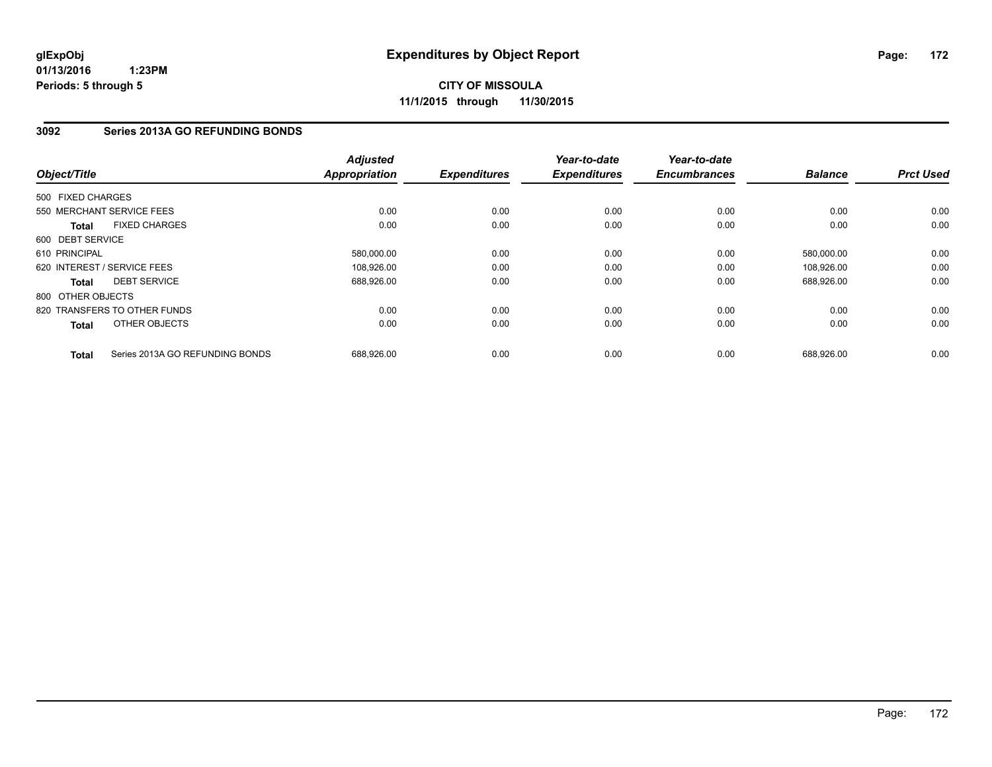**CITY OF MISSOULA 11/1/2015 through 11/30/2015**

## **3092 Series 2013A GO REFUNDING BONDS**

| Object/Title      |                                 | <b>Adjusted</b><br><b>Appropriation</b> | <b>Expenditures</b> | Year-to-date<br><b>Expenditures</b> | Year-to-date<br><b>Encumbrances</b> | <b>Balance</b> | <b>Prct Used</b> |
|-------------------|---------------------------------|-----------------------------------------|---------------------|-------------------------------------|-------------------------------------|----------------|------------------|
| 500 FIXED CHARGES |                                 |                                         |                     |                                     |                                     |                |                  |
|                   | 550 MERCHANT SERVICE FEES       | 0.00                                    | 0.00                | 0.00                                | 0.00                                | 0.00           | 0.00             |
| <b>Total</b>      | <b>FIXED CHARGES</b>            | 0.00                                    | 0.00                | 0.00                                | 0.00                                | 0.00           | 0.00             |
| 600 DEBT SERVICE  |                                 |                                         |                     |                                     |                                     |                |                  |
| 610 PRINCIPAL     |                                 | 580,000.00                              | 0.00                | 0.00                                | 0.00                                | 580,000.00     | 0.00             |
|                   | 620 INTEREST / SERVICE FEES     | 108,926.00                              | 0.00                | 0.00                                | 0.00                                | 108,926.00     | 0.00             |
| <b>Total</b>      | <b>DEBT SERVICE</b>             | 688,926.00                              | 0.00                | 0.00                                | 0.00                                | 688,926.00     | 0.00             |
| 800 OTHER OBJECTS |                                 |                                         |                     |                                     |                                     |                |                  |
|                   | 820 TRANSFERS TO OTHER FUNDS    | 0.00                                    | 0.00                | 0.00                                | 0.00                                | 0.00           | 0.00             |
| <b>Total</b>      | OTHER OBJECTS                   | 0.00                                    | 0.00                | 0.00                                | 0.00                                | 0.00           | 0.00             |
| <b>Total</b>      | Series 2013A GO REFUNDING BONDS | 688,926.00                              | 0.00                | 0.00                                | 0.00                                | 688,926.00     | 0.00             |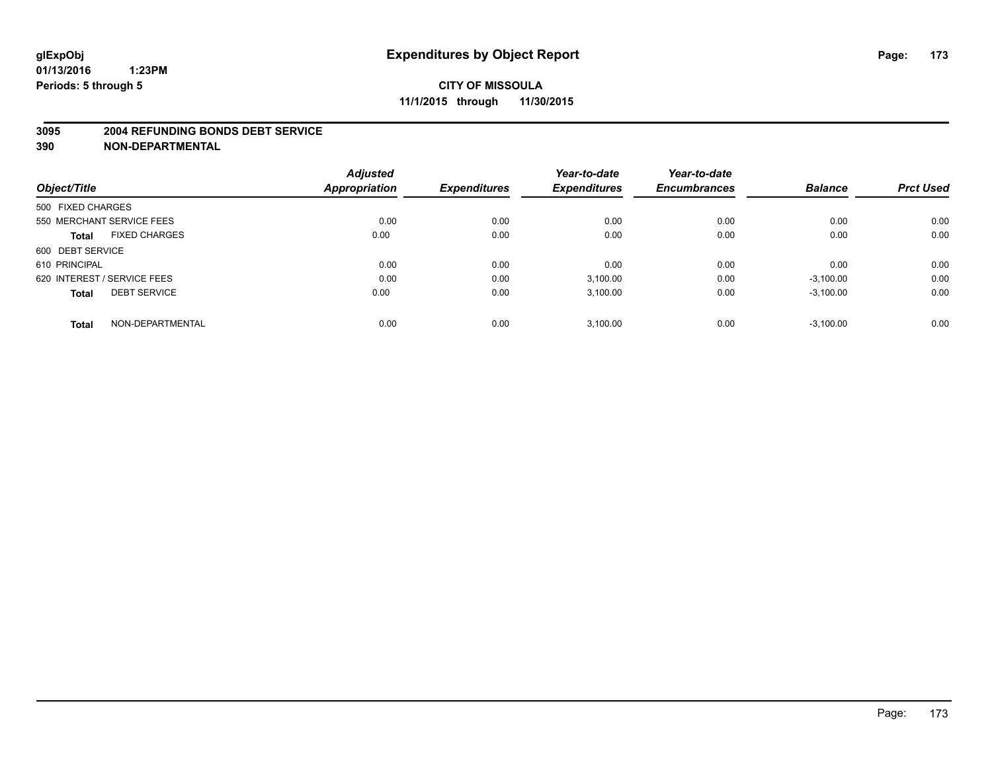#### **3095 2004 REFUNDING BONDS DEBT SERVICE**

|                                     | <b>Adjusted</b> |                     | Year-to-date        | Year-to-date<br><b>Encumbrances</b> | <b>Balance</b> | <b>Prct Used</b> |
|-------------------------------------|-----------------|---------------------|---------------------|-------------------------------------|----------------|------------------|
| Object/Title                        | Appropriation   | <b>Expenditures</b> | <b>Expenditures</b> |                                     |                |                  |
| 500 FIXED CHARGES                   |                 |                     |                     |                                     |                |                  |
| 550 MERCHANT SERVICE FEES           | 0.00            | 0.00                | 0.00                | 0.00                                | 0.00           | 0.00             |
| <b>FIXED CHARGES</b><br>Total       | 0.00            | 0.00                | 0.00                | 0.00                                | 0.00           | 0.00             |
| 600 DEBT SERVICE                    |                 |                     |                     |                                     |                |                  |
| 610 PRINCIPAL                       | 0.00            | 0.00                | 0.00                | 0.00                                | 0.00           | 0.00             |
| 620 INTEREST / SERVICE FEES         | 0.00            | 0.00                | 3,100.00            | 0.00                                | $-3,100.00$    | 0.00             |
| <b>DEBT SERVICE</b><br><b>Total</b> | 0.00            | 0.00                | 3,100.00            | 0.00                                | $-3,100.00$    | 0.00             |
| NON-DEPARTMENTAL<br><b>Total</b>    | 0.00            | 0.00                | 3,100.00            | 0.00                                | $-3,100.00$    | 0.00             |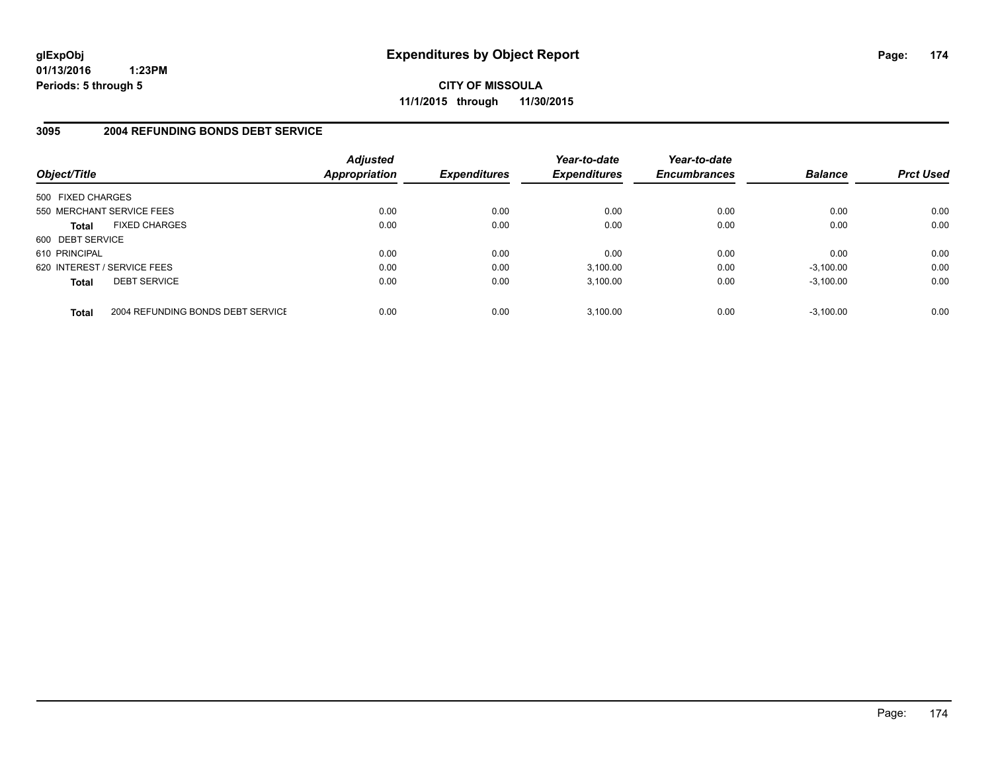**CITY OF MISSOULA 11/1/2015 through 11/30/2015**

## **3095 2004 REFUNDING BONDS DEBT SERVICE**

| Object/Title                |                                   | <b>Adjusted</b><br>Appropriation | <b>Expenditures</b> | Year-to-date<br><b>Expenditures</b> | Year-to-date<br><b>Encumbrances</b> | <b>Balance</b> | <b>Prct Used</b> |
|-----------------------------|-----------------------------------|----------------------------------|---------------------|-------------------------------------|-------------------------------------|----------------|------------------|
| 500 FIXED CHARGES           |                                   |                                  |                     |                                     |                                     |                |                  |
| 550 MERCHANT SERVICE FEES   |                                   | 0.00                             | 0.00                | 0.00                                | 0.00                                | 0.00           | 0.00             |
| <b>Total</b>                | <b>FIXED CHARGES</b>              | 0.00                             | 0.00                | 0.00                                | 0.00                                | 0.00           | 0.00             |
| 600 DEBT SERVICE            |                                   |                                  |                     |                                     |                                     |                |                  |
| 610 PRINCIPAL               |                                   | 0.00                             | 0.00                | 0.00                                | 0.00                                | 0.00           | 0.00             |
| 620 INTEREST / SERVICE FEES |                                   | 0.00                             | 0.00                | 3,100.00                            | 0.00                                | $-3,100.00$    | 0.00             |
| <b>Total</b>                | <b>DEBT SERVICE</b>               | 0.00                             | 0.00                | 3.100.00                            | 0.00                                | $-3.100.00$    | 0.00             |
| <b>Total</b>                | 2004 REFUNDING BONDS DEBT SERVICE | 0.00                             | 0.00                | 3.100.00                            | 0.00                                | $-3.100.00$    | 0.00             |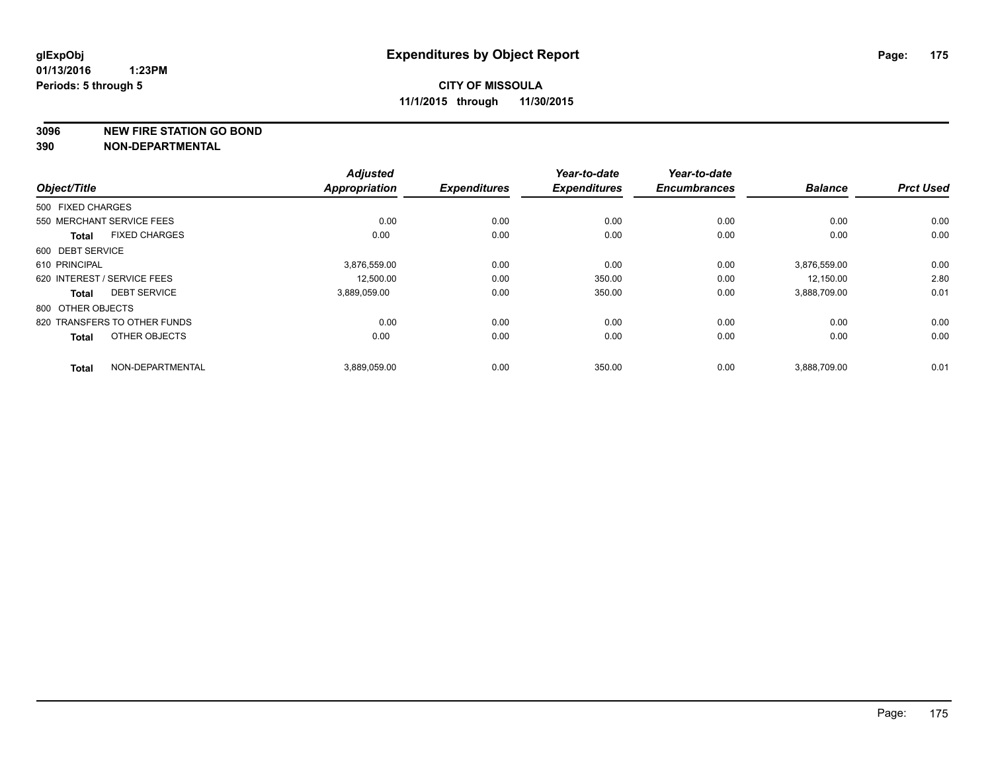**3096 NEW FIRE STATION GO BOND**

|                   |                              | <b>Adjusted</b>      |                     | Year-to-date        | Year-to-date        |                |                  |
|-------------------|------------------------------|----------------------|---------------------|---------------------|---------------------|----------------|------------------|
| Object/Title      |                              | <b>Appropriation</b> | <b>Expenditures</b> | <b>Expenditures</b> | <b>Encumbrances</b> | <b>Balance</b> | <b>Prct Used</b> |
| 500 FIXED CHARGES |                              |                      |                     |                     |                     |                |                  |
|                   | 550 MERCHANT SERVICE FEES    | 0.00                 | 0.00                | 0.00                | 0.00                | 0.00           | 0.00             |
| <b>Total</b>      | <b>FIXED CHARGES</b>         | 0.00                 | 0.00                | 0.00                | 0.00                | 0.00           | 0.00             |
| 600 DEBT SERVICE  |                              |                      |                     |                     |                     |                |                  |
| 610 PRINCIPAL     |                              | 3,876,559.00         | 0.00                | 0.00                | 0.00                | 3,876,559.00   | 0.00             |
|                   | 620 INTEREST / SERVICE FEES  | 12,500.00            | 0.00                | 350.00              | 0.00                | 12,150.00      | 2.80             |
| <b>Total</b>      | <b>DEBT SERVICE</b>          | 3,889,059.00         | 0.00                | 350.00              | 0.00                | 3,888,709.00   | 0.01             |
| 800 OTHER OBJECTS |                              |                      |                     |                     |                     |                |                  |
|                   | 820 TRANSFERS TO OTHER FUNDS | 0.00                 | 0.00                | 0.00                | 0.00                | 0.00           | 0.00             |
| <b>Total</b>      | OTHER OBJECTS                | 0.00                 | 0.00                | 0.00                | 0.00                | 0.00           | 0.00             |
| <b>Total</b>      | NON-DEPARTMENTAL             | 3,889,059.00         | 0.00                | 350.00              | 0.00                | 3,888,709.00   | 0.01             |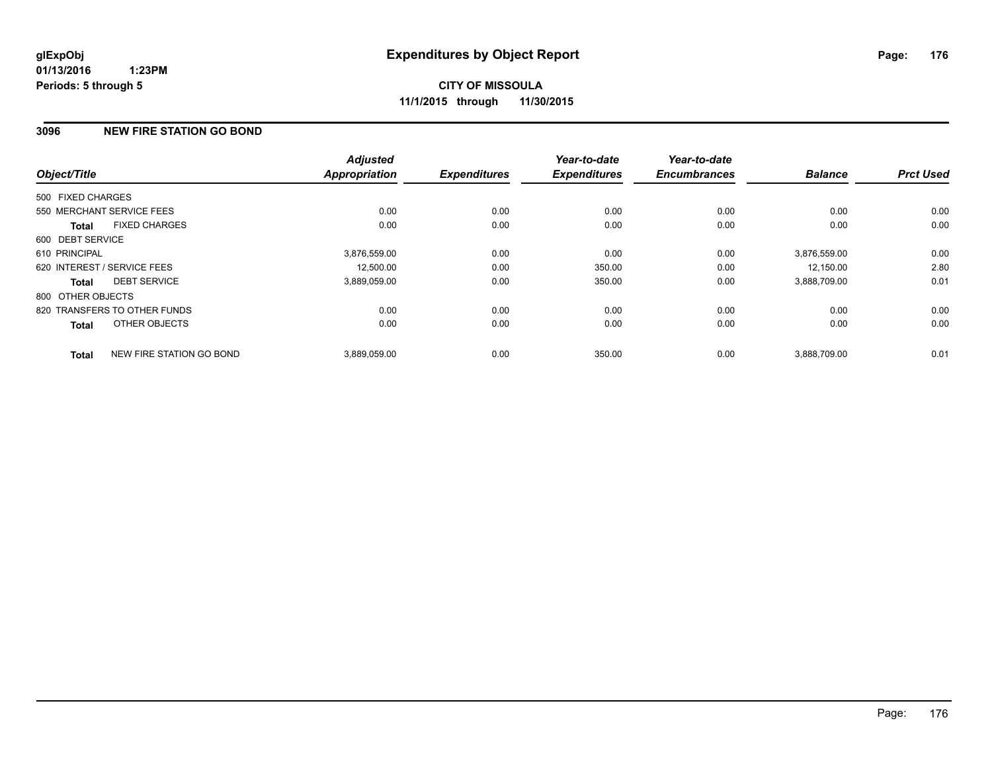## **3096 NEW FIRE STATION GO BOND**

| Object/Title      |                              | <b>Adjusted</b><br><b>Appropriation</b> | <b>Expenditures</b> | Year-to-date<br><b>Expenditures</b> | Year-to-date<br><b>Encumbrances</b> | <b>Balance</b> | <b>Prct Used</b> |
|-------------------|------------------------------|-----------------------------------------|---------------------|-------------------------------------|-------------------------------------|----------------|------------------|
| 500 FIXED CHARGES |                              |                                         |                     |                                     |                                     |                |                  |
|                   |                              |                                         |                     |                                     |                                     |                |                  |
|                   | 550 MERCHANT SERVICE FEES    | 0.00                                    | 0.00                | 0.00                                | 0.00                                | 0.00           | 0.00             |
| <b>Total</b>      | <b>FIXED CHARGES</b>         | 0.00                                    | 0.00                | 0.00                                | 0.00                                | 0.00           | 0.00             |
| 600 DEBT SERVICE  |                              |                                         |                     |                                     |                                     |                |                  |
| 610 PRINCIPAL     |                              | 3,876,559.00                            | 0.00                | 0.00                                | 0.00                                | 3,876,559.00   | 0.00             |
|                   | 620 INTEREST / SERVICE FEES  | 12,500.00                               | 0.00                | 350.00                              | 0.00                                | 12,150.00      | 2.80             |
| <b>Total</b>      | <b>DEBT SERVICE</b>          | 3,889,059.00                            | 0.00                | 350.00                              | 0.00                                | 3,888,709.00   | 0.01             |
| 800 OTHER OBJECTS |                              |                                         |                     |                                     |                                     |                |                  |
|                   | 820 TRANSFERS TO OTHER FUNDS | 0.00                                    | 0.00                | 0.00                                | 0.00                                | 0.00           | 0.00             |
| Total             | OTHER OBJECTS                | 0.00                                    | 0.00                | 0.00                                | 0.00                                | 0.00           | 0.00             |
| <b>Total</b>      | NEW FIRE STATION GO BOND     | 3,889,059.00                            | 0.00                | 350.00                              | 0.00                                | 3,888,709.00   | 0.01             |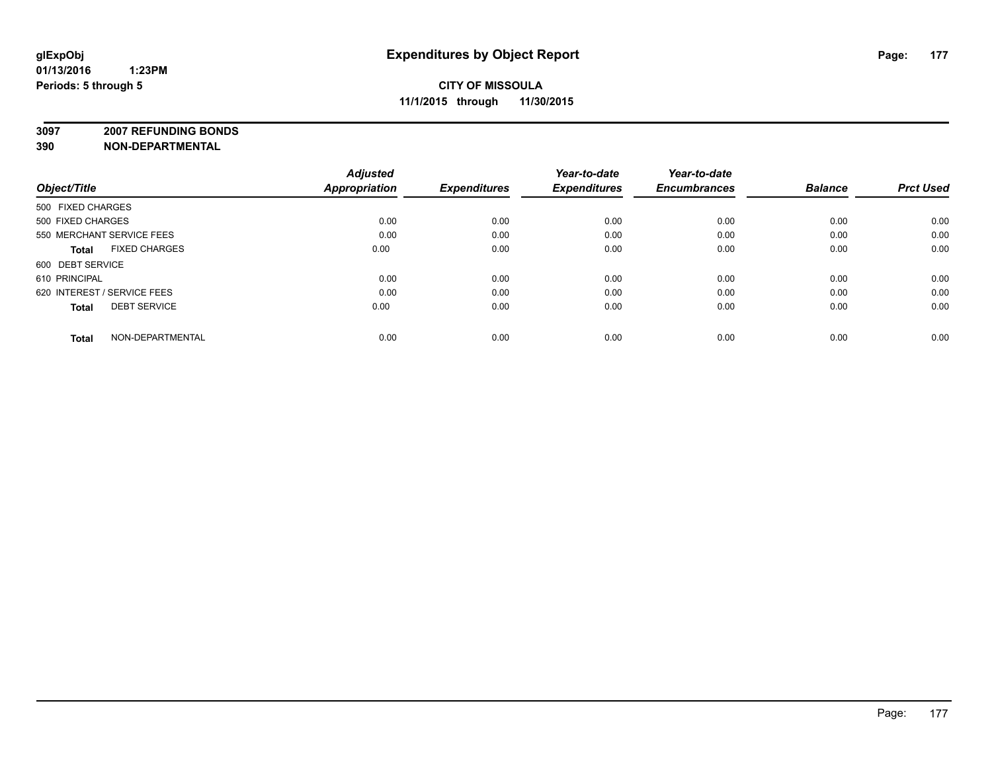**3097 2007 REFUNDING BONDS**

| Object/Title                         | <b>Adjusted</b><br>Appropriation | <b>Expenditures</b> | Year-to-date<br><b>Expenditures</b> | Year-to-date<br><b>Encumbrances</b> | <b>Balance</b> | <b>Prct Used</b> |
|--------------------------------------|----------------------------------|---------------------|-------------------------------------|-------------------------------------|----------------|------------------|
| 500 FIXED CHARGES                    |                                  |                     |                                     |                                     |                |                  |
| 500 FIXED CHARGES                    | 0.00                             | 0.00                | 0.00                                | 0.00                                | 0.00           | 0.00             |
| 550 MERCHANT SERVICE FEES            | 0.00                             | 0.00                | 0.00                                | 0.00                                | 0.00           | 0.00             |
| <b>FIXED CHARGES</b><br><b>Total</b> | 0.00                             | 0.00                | 0.00                                | 0.00                                | 0.00           | 0.00             |
| 600 DEBT SERVICE                     |                                  |                     |                                     |                                     |                |                  |
| 610 PRINCIPAL                        | 0.00                             | 0.00                | 0.00                                | 0.00                                | 0.00           | 0.00             |
| 620 INTEREST / SERVICE FEES          | 0.00                             | 0.00                | 0.00                                | 0.00                                | 0.00           | 0.00             |
| <b>DEBT SERVICE</b><br><b>Total</b>  | 0.00                             | 0.00                | 0.00                                | 0.00                                | 0.00           | 0.00             |
| NON-DEPARTMENTAL<br><b>Total</b>     | 0.00                             | 0.00                | 0.00                                | 0.00                                | 0.00           | 0.00             |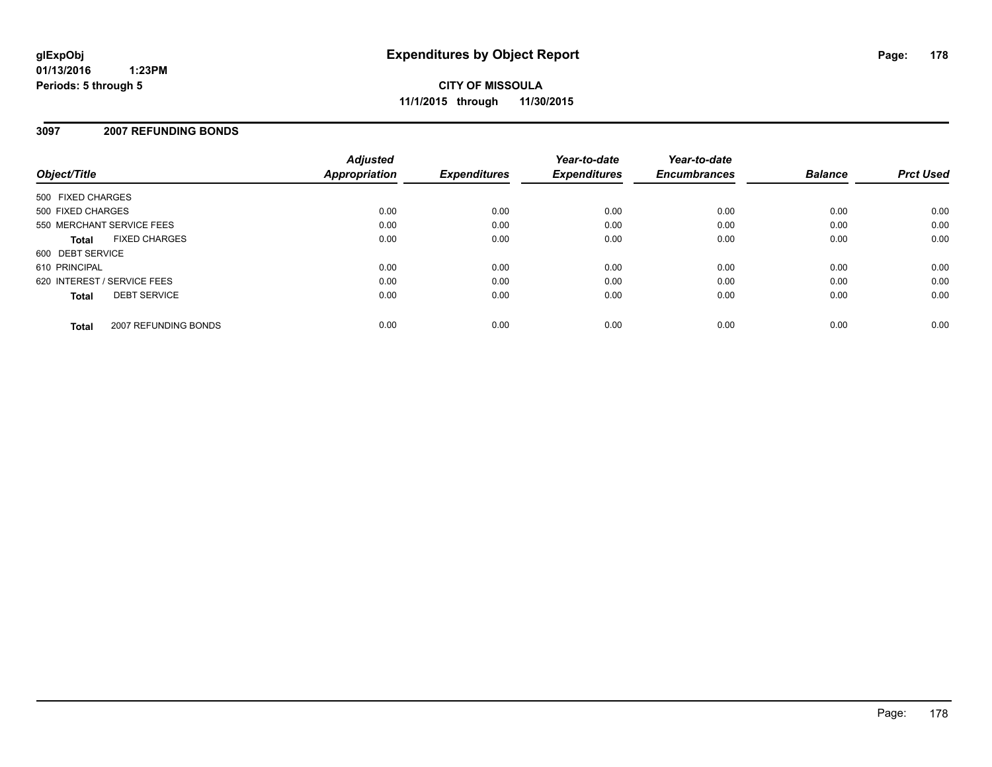## **3097 2007 REFUNDING BONDS**

| Object/Title                |                      | <b>Adjusted</b><br><b>Appropriation</b> | <b>Expenditures</b> | Year-to-date<br><b>Expenditures</b> | Year-to-date<br><b>Encumbrances</b> | <b>Balance</b> | <b>Prct Used</b> |
|-----------------------------|----------------------|-----------------------------------------|---------------------|-------------------------------------|-------------------------------------|----------------|------------------|
| 500 FIXED CHARGES           |                      |                                         |                     |                                     |                                     |                |                  |
| 500 FIXED CHARGES           |                      | 0.00                                    | 0.00                | 0.00                                | 0.00                                | 0.00           | 0.00             |
| 550 MERCHANT SERVICE FEES   |                      | 0.00                                    | 0.00                | 0.00                                | 0.00                                | 0.00           | 0.00             |
| <b>Total</b>                | <b>FIXED CHARGES</b> | 0.00                                    | 0.00                | 0.00                                | 0.00                                | 0.00           | 0.00             |
| 600 DEBT SERVICE            |                      |                                         |                     |                                     |                                     |                |                  |
| 610 PRINCIPAL               |                      | 0.00                                    | 0.00                | 0.00                                | 0.00                                | 0.00           | 0.00             |
| 620 INTEREST / SERVICE FEES |                      | 0.00                                    | 0.00                | 0.00                                | 0.00                                | 0.00           | 0.00             |
| <b>Total</b>                | <b>DEBT SERVICE</b>  | 0.00                                    | 0.00                | 0.00                                | 0.00                                | 0.00           | 0.00             |
| <b>Total</b>                | 2007 REFUNDING BONDS | 0.00                                    | 0.00                | 0.00                                | 0.00                                | 0.00           | 0.00             |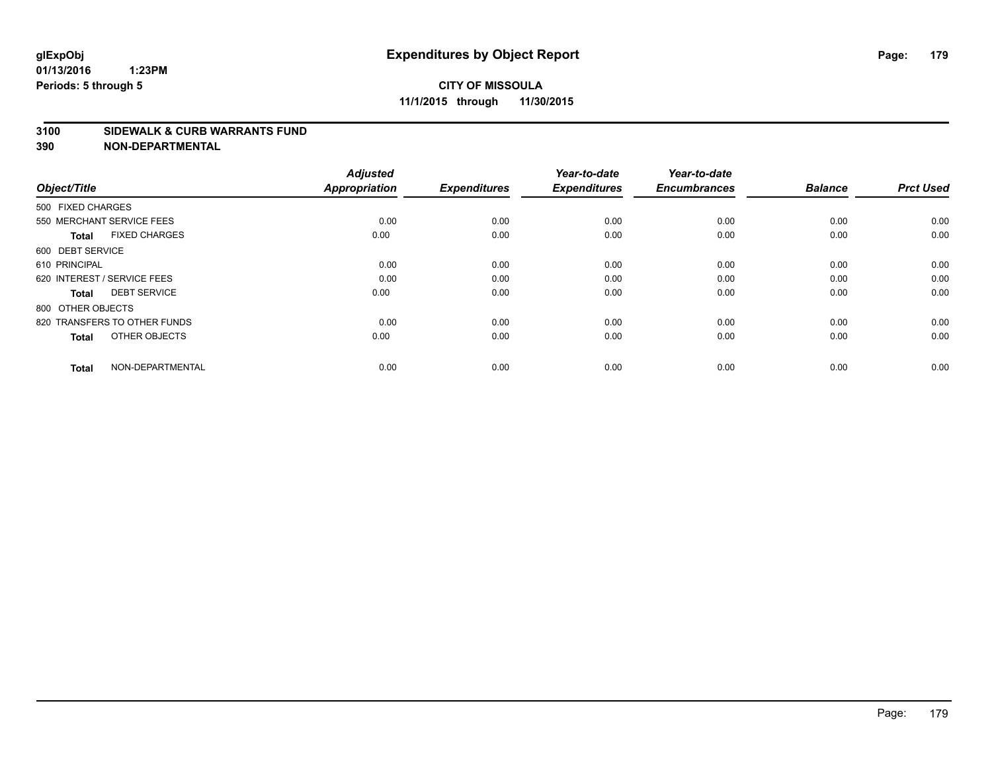#### **3100 SIDEWALK & CURB WARRANTS FUND**

| Object/Title                         | <b>Adjusted</b><br><b>Appropriation</b> | <b>Expenditures</b> | Year-to-date<br><b>Expenditures</b> | Year-to-date<br><b>Encumbrances</b> | <b>Balance</b> | <b>Prct Used</b> |
|--------------------------------------|-----------------------------------------|---------------------|-------------------------------------|-------------------------------------|----------------|------------------|
| 500 FIXED CHARGES                    |                                         |                     |                                     |                                     |                |                  |
| 550 MERCHANT SERVICE FEES            | 0.00                                    | 0.00                | 0.00                                | 0.00                                | 0.00           | 0.00             |
| <b>FIXED CHARGES</b><br><b>Total</b> | 0.00                                    | 0.00                | 0.00                                | 0.00                                | 0.00           | 0.00             |
| 600 DEBT SERVICE                     |                                         |                     |                                     |                                     |                |                  |
| 610 PRINCIPAL                        | 0.00                                    | 0.00                | 0.00                                | 0.00                                | 0.00           | 0.00             |
| 620 INTEREST / SERVICE FEES          | 0.00                                    | 0.00                | 0.00                                | 0.00                                | 0.00           | 0.00             |
| <b>DEBT SERVICE</b><br><b>Total</b>  | 0.00                                    | 0.00                | 0.00                                | 0.00                                | 0.00           | 0.00             |
| 800 OTHER OBJECTS                    |                                         |                     |                                     |                                     |                |                  |
| 820 TRANSFERS TO OTHER FUNDS         | 0.00                                    | 0.00                | 0.00                                | 0.00                                | 0.00           | 0.00             |
| OTHER OBJECTS<br><b>Total</b>        | 0.00                                    | 0.00                | 0.00                                | 0.00                                | 0.00           | 0.00             |
|                                      |                                         |                     |                                     |                                     |                |                  |
| NON-DEPARTMENTAL<br><b>Total</b>     | 0.00                                    | 0.00                | 0.00                                | 0.00                                | 0.00           | 0.00             |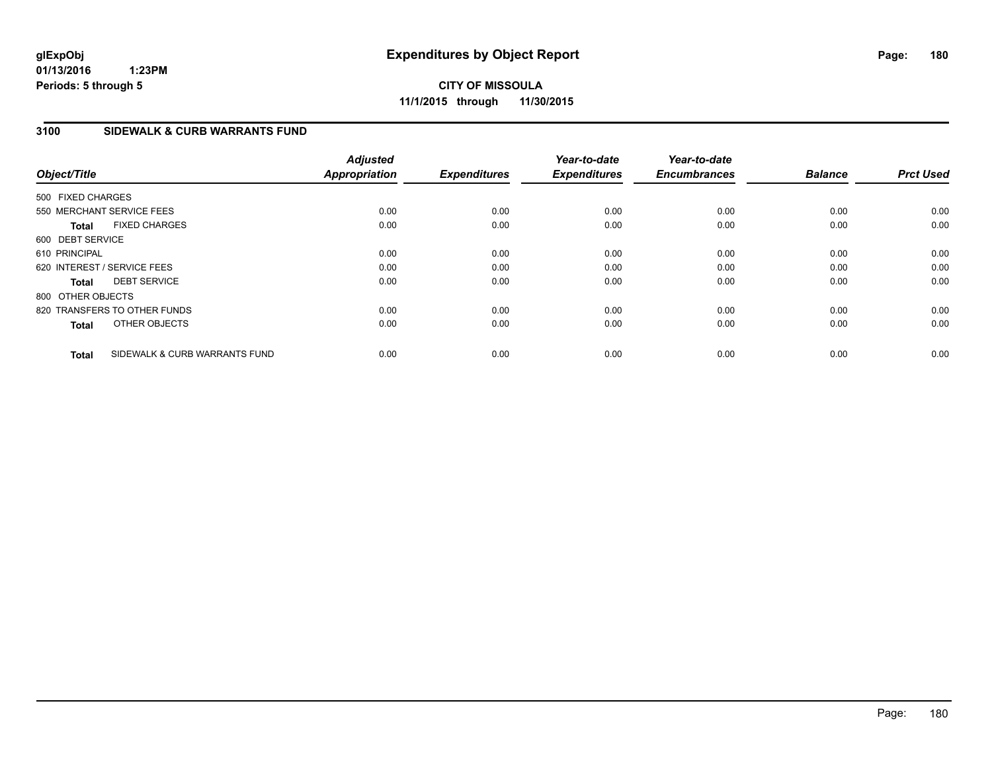**CITY OF MISSOULA 11/1/2015 through 11/30/2015**

## **3100 SIDEWALK & CURB WARRANTS FUND**

| Object/Title                         |                               | <b>Adjusted</b><br><b>Appropriation</b> | <b>Expenditures</b> | Year-to-date<br><b>Expenditures</b> | Year-to-date<br><b>Encumbrances</b> | <b>Balance</b> | <b>Prct Used</b> |
|--------------------------------------|-------------------------------|-----------------------------------------|---------------------|-------------------------------------|-------------------------------------|----------------|------------------|
| 500 FIXED CHARGES                    |                               |                                         |                     |                                     |                                     |                |                  |
| 550 MERCHANT SERVICE FEES            |                               | 0.00                                    | 0.00                | 0.00                                | 0.00                                | 0.00           | 0.00             |
| <b>FIXED CHARGES</b><br><b>Total</b> |                               | 0.00                                    | 0.00                | 0.00                                | 0.00                                | 0.00           | 0.00             |
| 600 DEBT SERVICE                     |                               |                                         |                     |                                     |                                     |                |                  |
| 610 PRINCIPAL                        |                               | 0.00                                    | 0.00                | 0.00                                | 0.00                                | 0.00           | 0.00             |
| 620 INTEREST / SERVICE FEES          |                               | 0.00                                    | 0.00                | 0.00                                | 0.00                                | 0.00           | 0.00             |
| <b>DEBT SERVICE</b><br><b>Total</b>  |                               | 0.00                                    | 0.00                | 0.00                                | 0.00                                | 0.00           | 0.00             |
| 800 OTHER OBJECTS                    |                               |                                         |                     |                                     |                                     |                |                  |
| 820 TRANSFERS TO OTHER FUNDS         |                               | 0.00                                    | 0.00                | 0.00                                | 0.00                                | 0.00           | 0.00             |
| OTHER OBJECTS<br><b>Total</b>        |                               | 0.00                                    | 0.00                | 0.00                                | 0.00                                | 0.00           | 0.00             |
| <b>Total</b>                         | SIDEWALK & CURB WARRANTS FUND | 0.00                                    | 0.00                | 0.00                                | 0.00                                | 0.00           | 0.00             |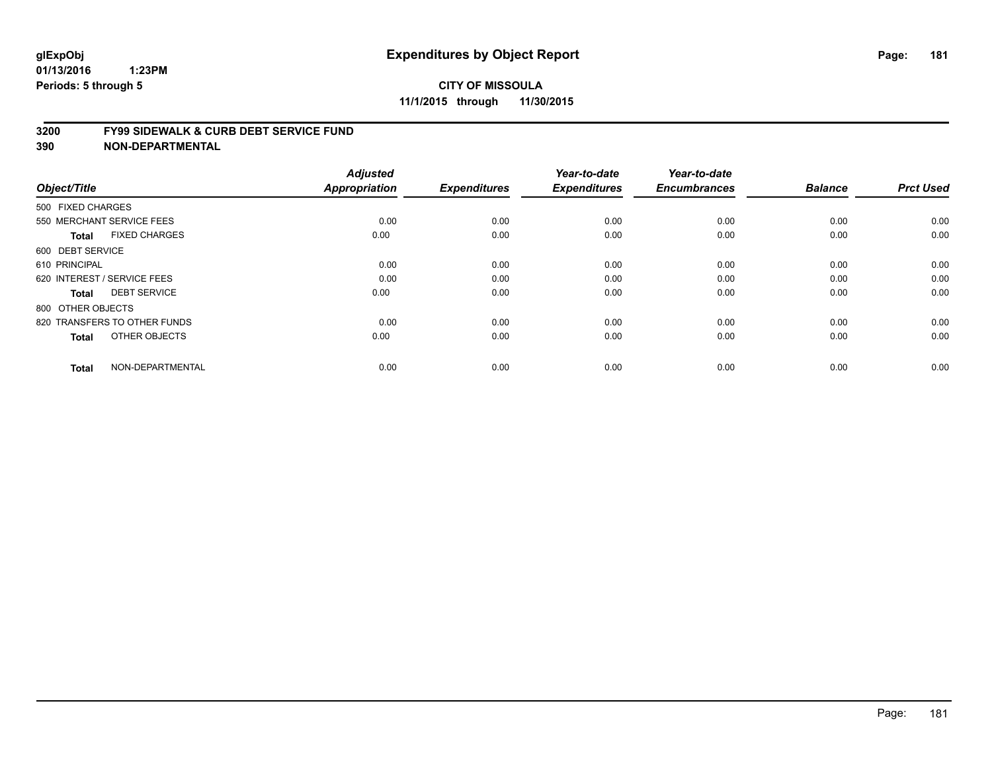#### **3200 FY99 SIDEWALK & CURB DEBT SERVICE FUND**

| Object/Title                         | <b>Adjusted</b><br><b>Appropriation</b> | <b>Expenditures</b> | Year-to-date<br><b>Expenditures</b> | Year-to-date<br><b>Encumbrances</b> | <b>Balance</b> | <b>Prct Used</b> |
|--------------------------------------|-----------------------------------------|---------------------|-------------------------------------|-------------------------------------|----------------|------------------|
| 500 FIXED CHARGES                    |                                         |                     |                                     |                                     |                |                  |
| 550 MERCHANT SERVICE FEES            | 0.00                                    | 0.00                | 0.00                                | 0.00                                | 0.00           | 0.00             |
| <b>FIXED CHARGES</b><br><b>Total</b> | 0.00                                    | 0.00                | 0.00                                | 0.00                                | 0.00           | 0.00             |
| 600 DEBT SERVICE                     |                                         |                     |                                     |                                     |                |                  |
| 610 PRINCIPAL                        | 0.00                                    | 0.00                | 0.00                                | 0.00                                | 0.00           | 0.00             |
| 620 INTEREST / SERVICE FEES          | 0.00                                    | 0.00                | 0.00                                | 0.00                                | 0.00           | 0.00             |
| <b>DEBT SERVICE</b><br><b>Total</b>  | 0.00                                    | 0.00                | 0.00                                | 0.00                                | 0.00           | 0.00             |
| 800 OTHER OBJECTS                    |                                         |                     |                                     |                                     |                |                  |
| 820 TRANSFERS TO OTHER FUNDS         | 0.00                                    | 0.00                | 0.00                                | 0.00                                | 0.00           | 0.00             |
| OTHER OBJECTS<br><b>Total</b>        | 0.00                                    | 0.00                | 0.00                                | 0.00                                | 0.00           | 0.00             |
|                                      |                                         |                     |                                     |                                     |                |                  |
| NON-DEPARTMENTAL<br><b>Total</b>     | 0.00                                    | 0.00                | 0.00                                | 0.00                                | 0.00           | 0.00             |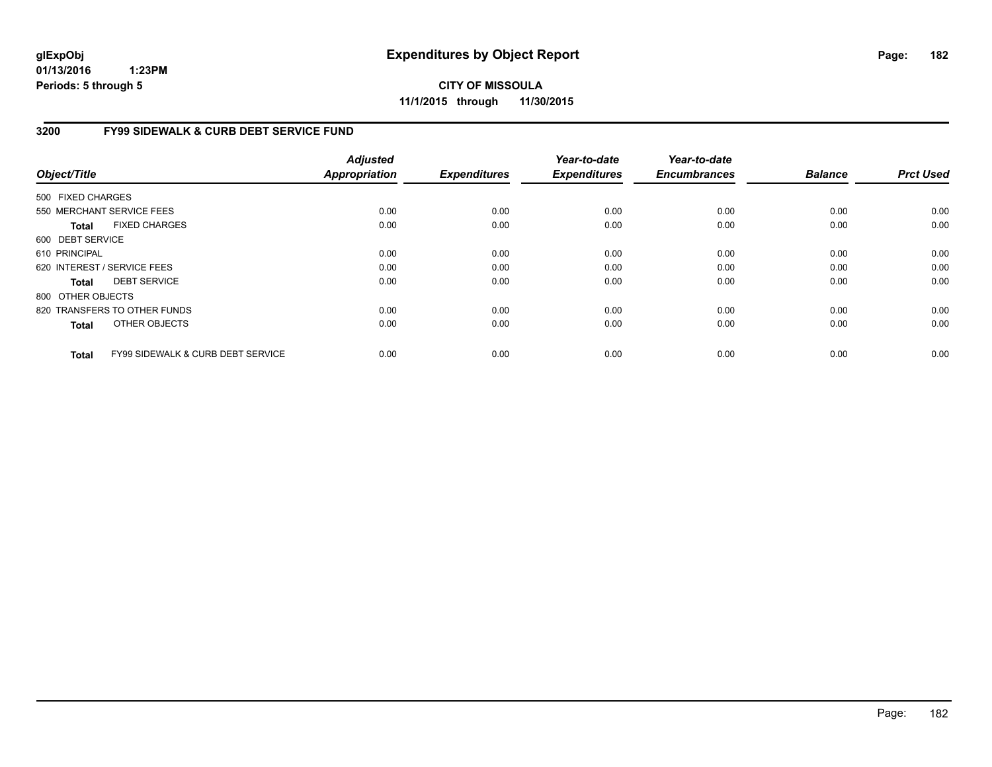**CITY OF MISSOULA 11/1/2015 through 11/30/2015**

### **3200 FY99 SIDEWALK & CURB DEBT SERVICE FUND**

| Object/Title      |                                              | <b>Adjusted</b><br><b>Appropriation</b> | <b>Expenditures</b> | Year-to-date<br><b>Expenditures</b> | Year-to-date<br><b>Encumbrances</b> | <b>Balance</b> | <b>Prct Used</b> |
|-------------------|----------------------------------------------|-----------------------------------------|---------------------|-------------------------------------|-------------------------------------|----------------|------------------|
| 500 FIXED CHARGES |                                              |                                         |                     |                                     |                                     |                |                  |
|                   | 550 MERCHANT SERVICE FEES                    | 0.00                                    | 0.00                | 0.00                                | 0.00                                | 0.00           | 0.00             |
|                   |                                              |                                         |                     |                                     |                                     |                |                  |
| Total             | <b>FIXED CHARGES</b>                         | 0.00                                    | 0.00                | 0.00                                | 0.00                                | 0.00           | 0.00             |
| 600 DEBT SERVICE  |                                              |                                         |                     |                                     |                                     |                |                  |
| 610 PRINCIPAL     |                                              | 0.00                                    | 0.00                | 0.00                                | 0.00                                | 0.00           | 0.00             |
|                   | 620 INTEREST / SERVICE FEES                  | 0.00                                    | 0.00                | 0.00                                | 0.00                                | 0.00           | 0.00             |
| Total             | <b>DEBT SERVICE</b>                          | 0.00                                    | 0.00                | 0.00                                | 0.00                                | 0.00           | 0.00             |
| 800 OTHER OBJECTS |                                              |                                         |                     |                                     |                                     |                |                  |
|                   | 820 TRANSFERS TO OTHER FUNDS                 | 0.00                                    | 0.00                | 0.00                                | 0.00                                | 0.00           | 0.00             |
| <b>Total</b>      | OTHER OBJECTS                                | 0.00                                    | 0.00                | 0.00                                | 0.00                                | 0.00           | 0.00             |
| <b>Total</b>      | <b>FY99 SIDEWALK &amp; CURB DEBT SERVICE</b> | 0.00                                    | 0.00                | 0.00                                | 0.00                                | 0.00           | 0.00             |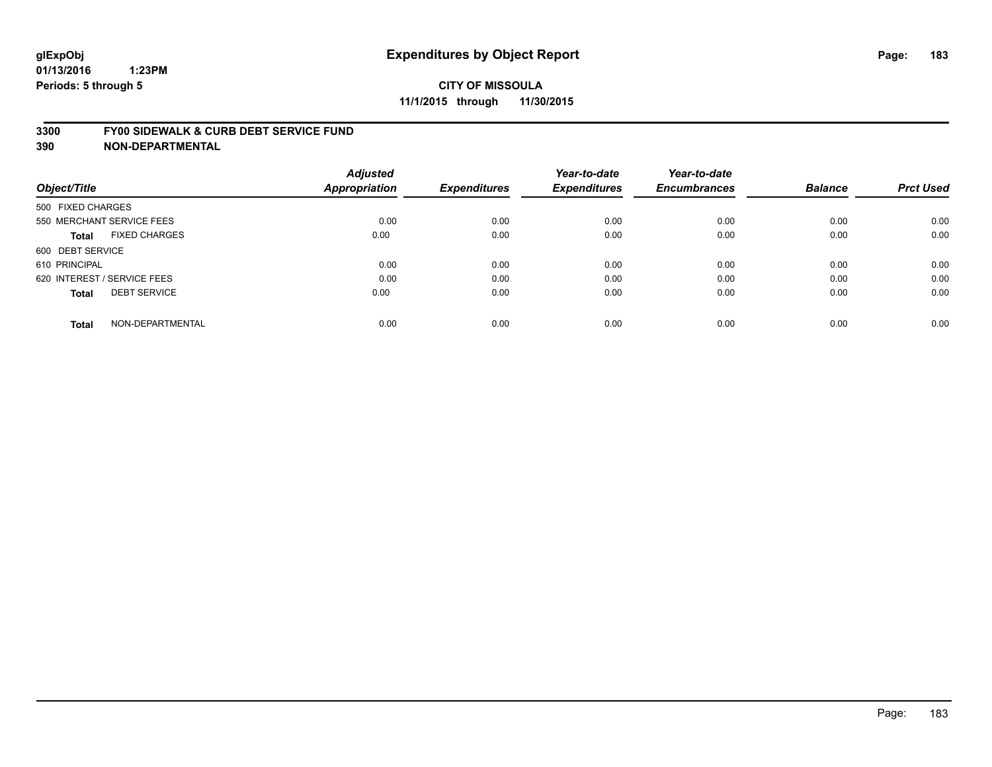#### **3300 FY00 SIDEWALK & CURB DEBT SERVICE FUND**

| Object/Title                         | <b>Adjusted</b><br>Appropriation | <b>Expenditures</b> | Year-to-date<br><b>Expenditures</b> | Year-to-date<br><b>Encumbrances</b> | <b>Balance</b> | <b>Prct Used</b> |
|--------------------------------------|----------------------------------|---------------------|-------------------------------------|-------------------------------------|----------------|------------------|
| 500 FIXED CHARGES                    |                                  |                     |                                     |                                     |                |                  |
| 550 MERCHANT SERVICE FEES            | 0.00                             | 0.00                | 0.00                                | 0.00                                | 0.00           | 0.00             |
| <b>FIXED CHARGES</b><br><b>Total</b> | 0.00                             | 0.00                | 0.00                                | 0.00                                | 0.00           | 0.00             |
| 600 DEBT SERVICE                     |                                  |                     |                                     |                                     |                |                  |
| 610 PRINCIPAL                        | 0.00                             | 0.00                | 0.00                                | 0.00                                | 0.00           | 0.00             |
| 620 INTEREST / SERVICE FEES          | 0.00                             | 0.00                | 0.00                                | 0.00                                | 0.00           | 0.00             |
| <b>DEBT SERVICE</b><br><b>Total</b>  | 0.00                             | 0.00                | 0.00                                | 0.00                                | 0.00           | 0.00             |
| NON-DEPARTMENTAL<br><b>Total</b>     | 0.00                             | 0.00                | 0.00                                | 0.00                                | 0.00           | 0.00             |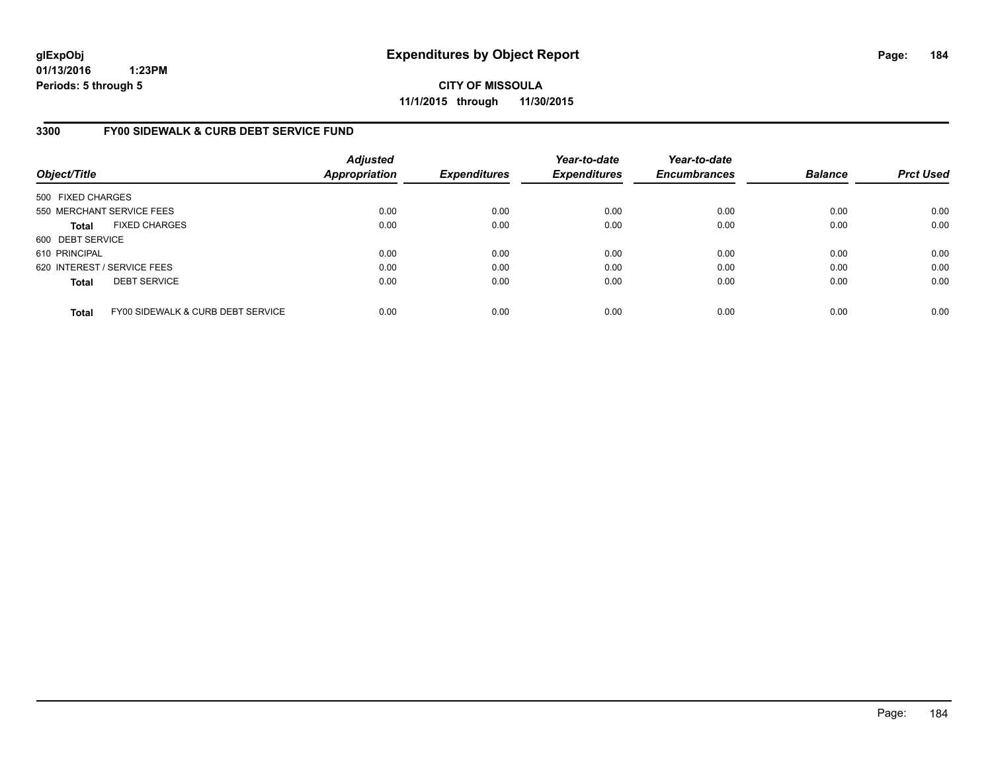**CITY OF MISSOULA 11/1/2015 through 11/30/2015**

### **3300 FY00 SIDEWALK & CURB DEBT SERVICE FUND**

| Object/Title      |                                   | <b>Adjusted</b><br>Appropriation | <b>Expenditures</b> | Year-to-date<br><b>Expenditures</b> | Year-to-date<br><b>Encumbrances</b> | <b>Balance</b> | <b>Prct Used</b> |
|-------------------|-----------------------------------|----------------------------------|---------------------|-------------------------------------|-------------------------------------|----------------|------------------|
| 500 FIXED CHARGES |                                   |                                  |                     |                                     |                                     |                |                  |
|                   | 550 MERCHANT SERVICE FEES         | 0.00                             | 0.00                | 0.00                                | 0.00                                | 0.00           | 0.00             |
| <b>Total</b>      | <b>FIXED CHARGES</b>              | 0.00                             | 0.00                | 0.00                                | 0.00                                | 0.00           | 0.00             |
| 600 DEBT SERVICE  |                                   |                                  |                     |                                     |                                     |                |                  |
| 610 PRINCIPAL     |                                   | 0.00                             | 0.00                | 0.00                                | 0.00                                | 0.00           | 0.00             |
|                   | 620 INTEREST / SERVICE FEES       | 0.00                             | 0.00                | 0.00                                | 0.00                                | 0.00           | 0.00             |
| <b>Total</b>      | <b>DEBT SERVICE</b>               | 0.00                             | 0.00                | 0.00                                | 0.00                                | 0.00           | 0.00             |
| <b>Total</b>      | FY00 SIDEWALK & CURB DEBT SERVICE | 0.00                             | 0.00                | 0.00                                | 0.00                                | 0.00           | 0.00             |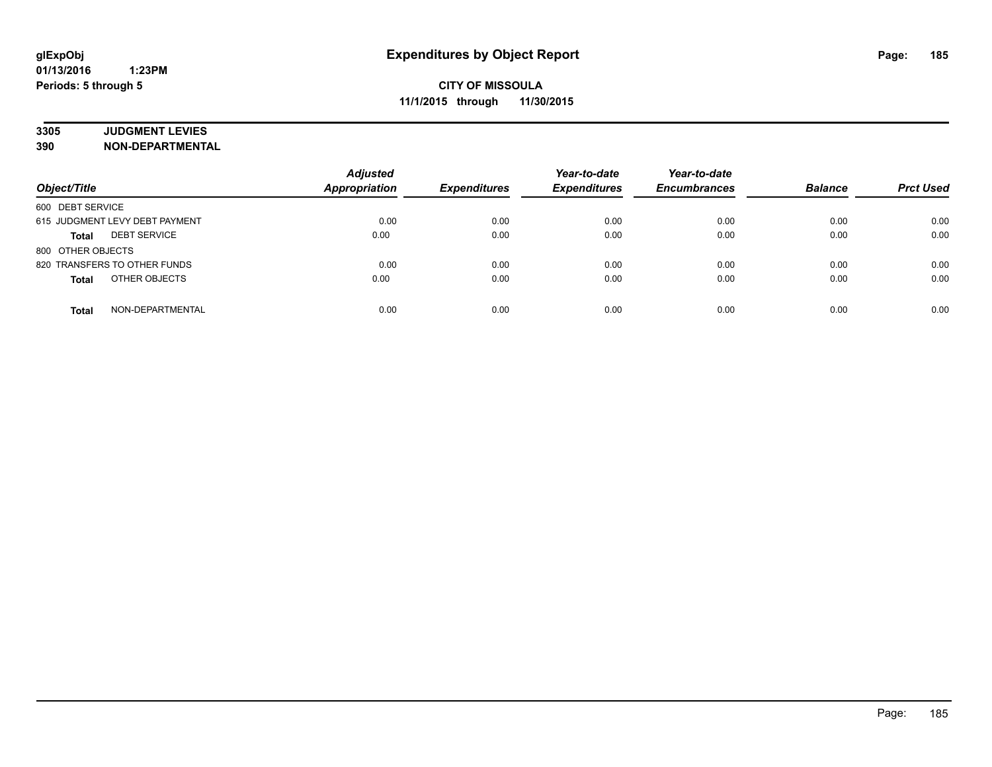# **3305 JUDGMENT LEVIES**

| Object/Title                        | <b>Adjusted</b><br><b>Appropriation</b> | <b>Expenditures</b> | Year-to-date<br><b>Expenditures</b> | Year-to-date<br><b>Encumbrances</b> | <b>Balance</b> | <b>Prct Used</b> |
|-------------------------------------|-----------------------------------------|---------------------|-------------------------------------|-------------------------------------|----------------|------------------|
| 600 DEBT SERVICE                    |                                         |                     |                                     |                                     |                |                  |
| 615 JUDGMENT LEVY DEBT PAYMENT      | 0.00                                    | 0.00                | 0.00                                | 0.00                                | 0.00           | 0.00             |
| <b>DEBT SERVICE</b><br><b>Total</b> | 0.00                                    | 0.00                | 0.00                                | 0.00                                | 0.00           | 0.00             |
| 800 OTHER OBJECTS                   |                                         |                     |                                     |                                     |                |                  |
| 820 TRANSFERS TO OTHER FUNDS        | 0.00                                    | 0.00                | 0.00                                | 0.00                                | 0.00           | 0.00             |
| OTHER OBJECTS<br><b>Total</b>       | 0.00                                    | 0.00                | 0.00                                | 0.00                                | 0.00           | 0.00             |
| NON-DEPARTMENTAL<br><b>Total</b>    | 0.00                                    | 0.00                | 0.00                                | 0.00                                | 0.00           | 0.00             |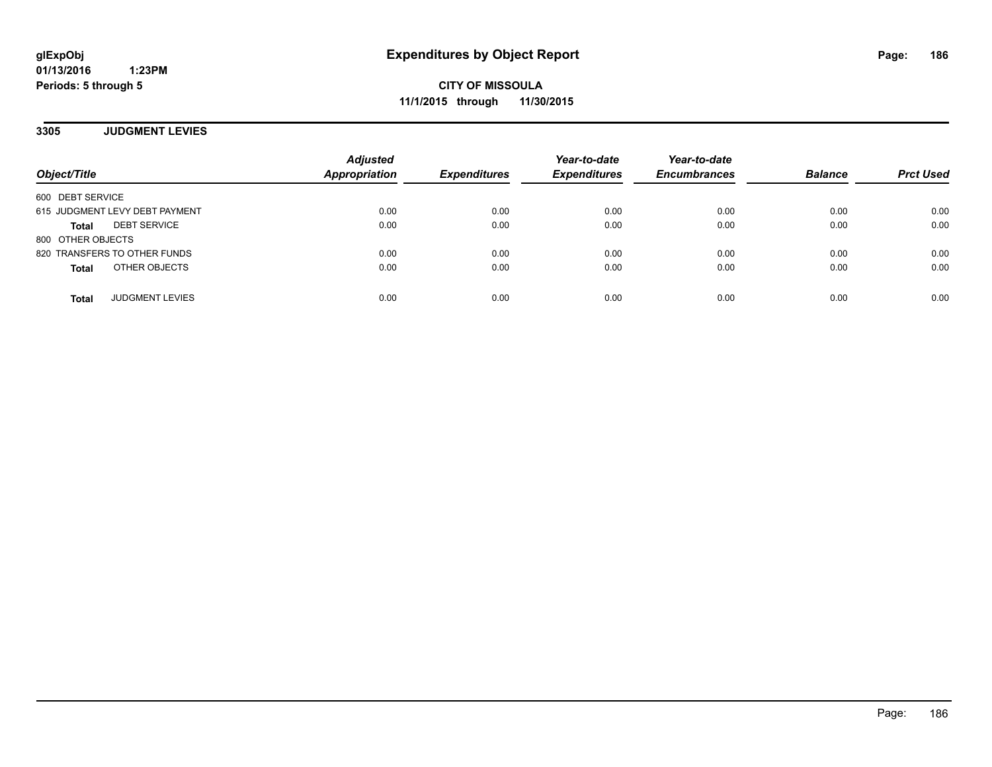**CITY OF MISSOULA 11/1/2015 through 11/30/2015**

**3305 JUDGMENT LEVIES**

| Object/Title                        | <b>Adjusted</b><br><b>Appropriation</b> | <b>Expenditures</b> | Year-to-date<br><b>Expenditures</b> | Year-to-date<br><b>Encumbrances</b> | <b>Balance</b> | <b>Prct Used</b> |
|-------------------------------------|-----------------------------------------|---------------------|-------------------------------------|-------------------------------------|----------------|------------------|
| 600 DEBT SERVICE                    |                                         |                     |                                     |                                     |                |                  |
| 615 JUDGMENT LEVY DEBT PAYMENT      | 0.00                                    | 0.00                | 0.00                                | 0.00                                | 0.00           | 0.00             |
| <b>DEBT SERVICE</b><br><b>Total</b> | 0.00                                    | 0.00                | 0.00                                | 0.00                                | 0.00           | 0.00             |
| 800 OTHER OBJECTS                   |                                         |                     |                                     |                                     |                |                  |
| 820 TRANSFERS TO OTHER FUNDS        | 0.00                                    | 0.00                | 0.00                                | 0.00                                | 0.00           | 0.00             |
| OTHER OBJECTS<br><b>Total</b>       | 0.00                                    | 0.00                | 0.00                                | 0.00                                | 0.00           | 0.00             |
| <b>JUDGMENT LEVIES</b><br>Total     | 0.00                                    | 0.00                | 0.00                                | 0.00                                | 0.00           | 0.00             |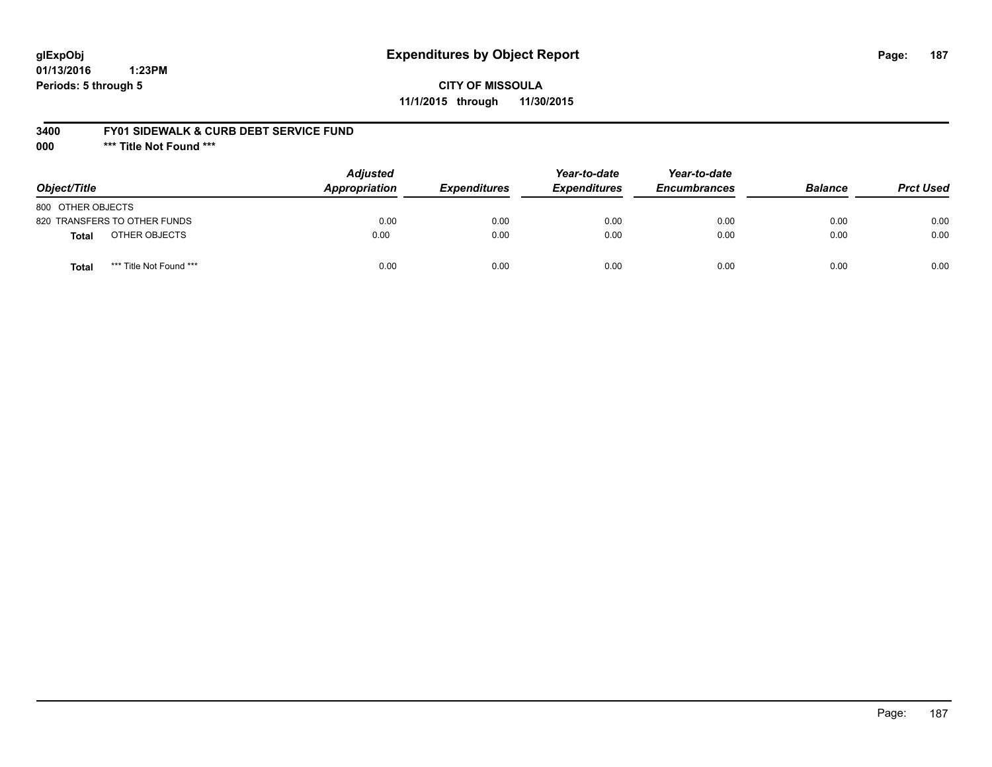## **glExpObj Expenditures by Object Report Page: 187**

**01/13/2016 1:23PM Periods: 5 through 5**

### **3400 FY01 SIDEWALK & CURB DEBT SERVICE FUND**

**000 \*\*\* Title Not Found \*\*\***

| Object/Title                            | <b>Adjusted</b><br>Appropriation | <b>Expenditures</b> | Year-to-date<br><b>Expenditures</b> | Year-to-date<br><b>Encumbrances</b> | <b>Balance</b> | <b>Prct Used</b> |
|-----------------------------------------|----------------------------------|---------------------|-------------------------------------|-------------------------------------|----------------|------------------|
| 800 OTHER OBJECTS                       |                                  |                     |                                     |                                     |                |                  |
| 820 TRANSFERS TO OTHER FUNDS            | 0.00                             | 0.00                | 0.00                                | 0.00                                | 0.00           | 0.00             |
| OTHER OBJECTS<br>Total                  | 0.00                             | 0.00                | 0.00                                | 0.00                                | 0.00           | 0.00             |
| *** Title Not Found ***<br><b>Total</b> | 0.00                             | 0.00                | 0.00                                | 0.00                                | 0.00           | 0.00             |

Page: 187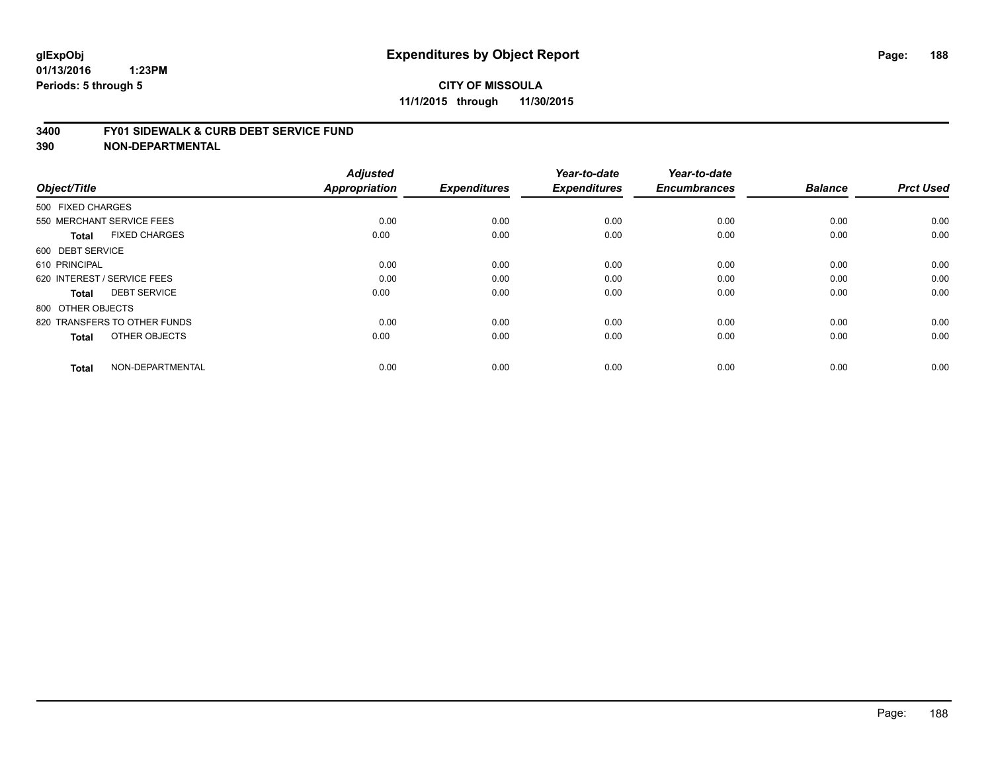#### **3400 FY01 SIDEWALK & CURB DEBT SERVICE FUND**

| Object/Title                         | <b>Adjusted</b><br>Appropriation | <b>Expenditures</b> | Year-to-date<br><b>Expenditures</b> | Year-to-date<br><b>Encumbrances</b> | <b>Balance</b> | <b>Prct Used</b> |
|--------------------------------------|----------------------------------|---------------------|-------------------------------------|-------------------------------------|----------------|------------------|
| 500 FIXED CHARGES                    |                                  |                     |                                     |                                     |                |                  |
|                                      |                                  |                     |                                     |                                     |                |                  |
| 550 MERCHANT SERVICE FEES            | 0.00                             | 0.00                | 0.00                                | 0.00                                | 0.00           | 0.00             |
| <b>FIXED CHARGES</b><br><b>Total</b> | 0.00                             | 0.00                | 0.00                                | 0.00                                | 0.00           | 0.00             |
| 600 DEBT SERVICE                     |                                  |                     |                                     |                                     |                |                  |
| 610 PRINCIPAL                        | 0.00                             | 0.00                | 0.00                                | 0.00                                | 0.00           | 0.00             |
| 620 INTEREST / SERVICE FEES          | 0.00                             | 0.00                | 0.00                                | 0.00                                | 0.00           | 0.00             |
| <b>DEBT SERVICE</b><br><b>Total</b>  | 0.00                             | 0.00                | 0.00                                | 0.00                                | 0.00           | 0.00             |
| 800 OTHER OBJECTS                    |                                  |                     |                                     |                                     |                |                  |
| 820 TRANSFERS TO OTHER FUNDS         | 0.00                             | 0.00                | 0.00                                | 0.00                                | 0.00           | 0.00             |
| OTHER OBJECTS<br><b>Total</b>        | 0.00                             | 0.00                | 0.00                                | 0.00                                | 0.00           | 0.00             |
|                                      |                                  |                     |                                     |                                     |                |                  |
| NON-DEPARTMENTAL<br><b>Total</b>     | 0.00                             | 0.00                | 0.00                                | 0.00                                | 0.00           | 0.00             |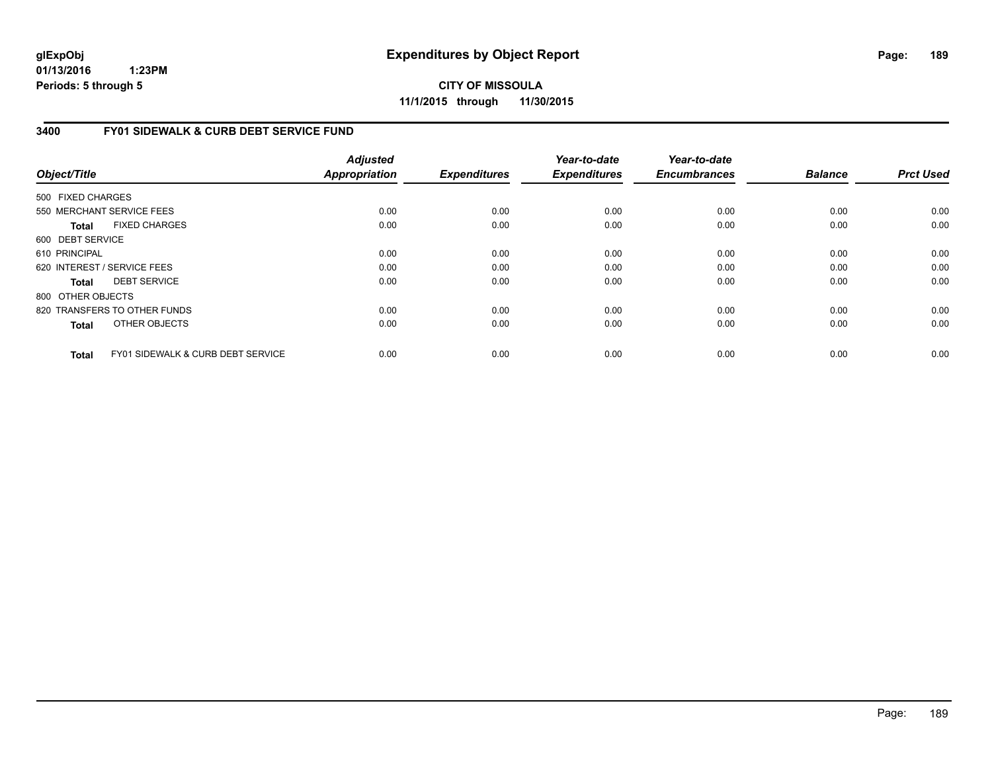**CITY OF MISSOULA 11/1/2015 through 11/30/2015**

### **3400 FY01 SIDEWALK & CURB DEBT SERVICE FUND**

| Object/Title      |                                              | <b>Adjusted</b><br><b>Appropriation</b> | <b>Expenditures</b> | Year-to-date<br><b>Expenditures</b> | Year-to-date<br><b>Encumbrances</b> | <b>Balance</b> | <b>Prct Used</b> |
|-------------------|----------------------------------------------|-----------------------------------------|---------------------|-------------------------------------|-------------------------------------|----------------|------------------|
|                   |                                              |                                         |                     |                                     |                                     |                |                  |
| 500 FIXED CHARGES |                                              |                                         |                     |                                     |                                     |                |                  |
|                   | 550 MERCHANT SERVICE FEES                    | 0.00                                    | 0.00                | 0.00                                | 0.00                                | 0.00           | 0.00             |
| <b>Total</b>      | <b>FIXED CHARGES</b>                         | 0.00                                    | 0.00                | 0.00                                | 0.00                                | 0.00           | 0.00             |
| 600 DEBT SERVICE  |                                              |                                         |                     |                                     |                                     |                |                  |
| 610 PRINCIPAL     |                                              | 0.00                                    | 0.00                | 0.00                                | 0.00                                | 0.00           | 0.00             |
|                   | 620 INTEREST / SERVICE FEES                  | 0.00                                    | 0.00                | 0.00                                | 0.00                                | 0.00           | 0.00             |
| Total             | <b>DEBT SERVICE</b>                          | 0.00                                    | 0.00                | 0.00                                | 0.00                                | 0.00           | 0.00             |
| 800 OTHER OBJECTS |                                              |                                         |                     |                                     |                                     |                |                  |
|                   | 820 TRANSFERS TO OTHER FUNDS                 | 0.00                                    | 0.00                | 0.00                                | 0.00                                | 0.00           | 0.00             |
| <b>Total</b>      | OTHER OBJECTS                                | 0.00                                    | 0.00                | 0.00                                | 0.00                                | 0.00           | 0.00             |
| <b>Total</b>      | <b>FY01 SIDEWALK &amp; CURB DEBT SERVICE</b> | 0.00                                    | 0.00                | 0.00                                | 0.00                                | 0.00           | 0.00             |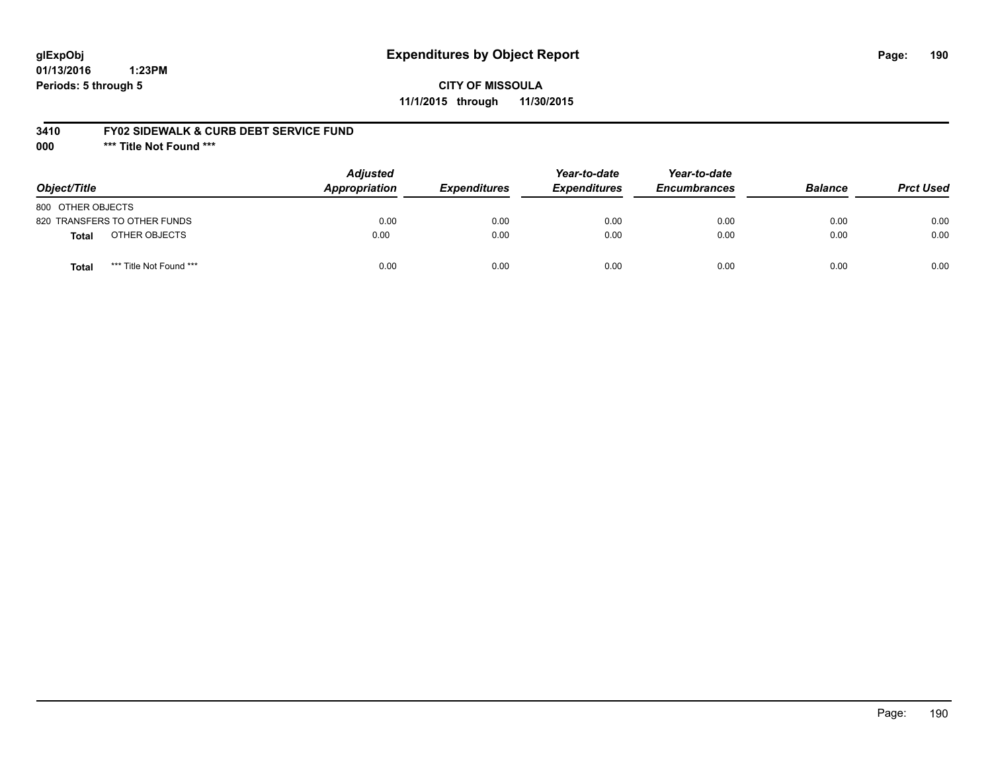### **glExpObj Expenditures by Object Report Page: 190**

**01/13/2016 1:23PM Periods: 5 through 5**

### **3410 FY02 SIDEWALK & CURB DEBT SERVICE FUND**

**000 \*\*\* Title Not Found \*\*\***

| Object/Title                            | <b>Adjusted</b><br><b>Appropriation</b> | <b>Expenditures</b> | Year-to-date<br><b>Expenditures</b> | Year-to-date<br><b>Encumbrances</b> | <b>Balance</b> | <b>Prct Used</b> |
|-----------------------------------------|-----------------------------------------|---------------------|-------------------------------------|-------------------------------------|----------------|------------------|
| 800 OTHER OBJECTS                       |                                         |                     |                                     |                                     |                |                  |
| 820 TRANSFERS TO OTHER FUNDS            | 0.00                                    | 0.00                | 0.00                                | 0.00                                | 0.00           | 0.00             |
| OTHER OBJECTS<br><b>Total</b>           | 0.00                                    | 0.00                | 0.00                                | 0.00                                | 0.00           | 0.00             |
| *** Title Not Found ***<br><b>Total</b> | 0.00                                    | 0.00                | 0.00                                | 0.00                                | 0.00           | 0.00             |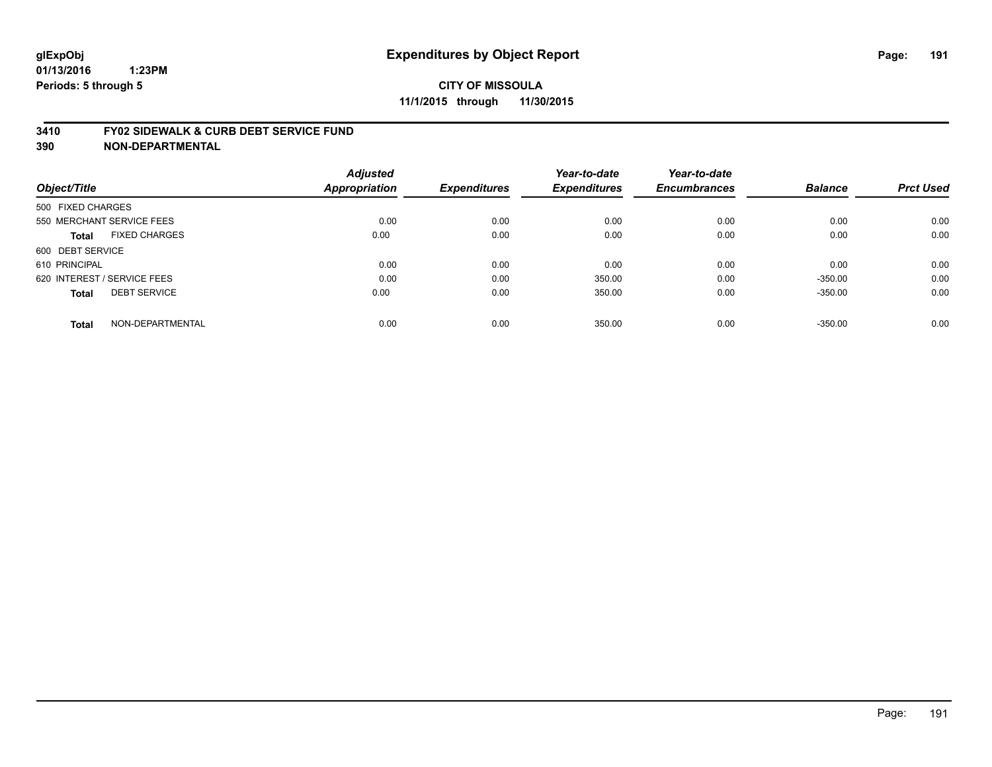#### **3410 FY02 SIDEWALK & CURB DEBT SERVICE FUND**

| Object/Title                         | <b>Adjusted</b><br><b>Appropriation</b> | <b>Expenditures</b> | Year-to-date<br><b>Expenditures</b> | Year-to-date<br><b>Encumbrances</b> | <b>Balance</b> | <b>Prct Used</b> |
|--------------------------------------|-----------------------------------------|---------------------|-------------------------------------|-------------------------------------|----------------|------------------|
| 500 FIXED CHARGES                    |                                         |                     |                                     |                                     |                |                  |
| 550 MERCHANT SERVICE FEES            | 0.00                                    | 0.00                | 0.00                                | 0.00                                | 0.00           | 0.00             |
| <b>FIXED CHARGES</b><br><b>Total</b> | 0.00                                    | 0.00                | 0.00                                | 0.00                                | 0.00           | 0.00             |
| 600 DEBT SERVICE                     |                                         |                     |                                     |                                     |                |                  |
| 610 PRINCIPAL                        | 0.00                                    | 0.00                | 0.00                                | 0.00                                | 0.00           | 0.00             |
| 620 INTEREST / SERVICE FEES          | 0.00                                    | 0.00                | 350.00                              | 0.00                                | $-350.00$      | 0.00             |
| <b>DEBT SERVICE</b><br><b>Total</b>  | 0.00                                    | 0.00                | 350.00                              | 0.00                                | $-350.00$      | 0.00             |
| NON-DEPARTMENTAL<br><b>Total</b>     | 0.00                                    | 0.00                | 350.00                              | 0.00                                | $-350.00$      | 0.00             |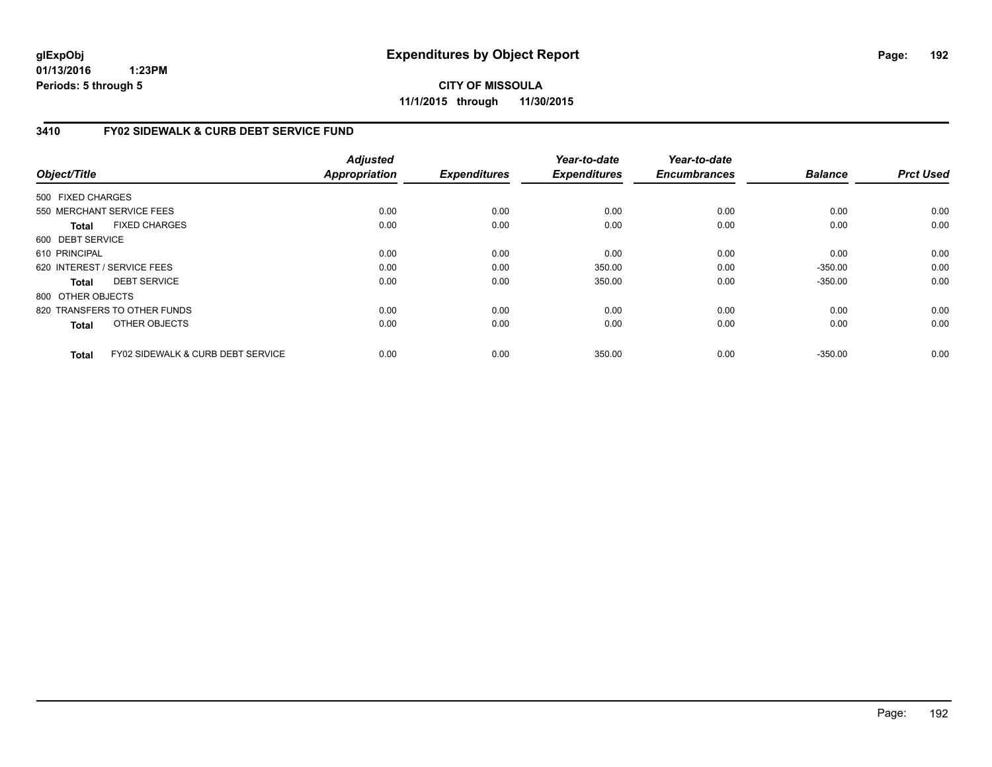**CITY OF MISSOULA 11/1/2015 through 11/30/2015**

### **3410 FY02 SIDEWALK & CURB DEBT SERVICE FUND**

|                   |                                              | <b>Adjusted</b> |                     | Year-to-date        | Year-to-date        | <b>Balance</b> | <b>Prct Used</b> |
|-------------------|----------------------------------------------|-----------------|---------------------|---------------------|---------------------|----------------|------------------|
| Object/Title      |                                              | Appropriation   | <b>Expenditures</b> | <b>Expenditures</b> | <b>Encumbrances</b> |                |                  |
| 500 FIXED CHARGES |                                              |                 |                     |                     |                     |                |                  |
|                   | 550 MERCHANT SERVICE FEES                    | 0.00            | 0.00                | 0.00                | 0.00                | 0.00           | 0.00             |
| Total             | <b>FIXED CHARGES</b>                         | 0.00            | 0.00                | 0.00                | 0.00                | 0.00           | 0.00             |
| 600 DEBT SERVICE  |                                              |                 |                     |                     |                     |                |                  |
| 610 PRINCIPAL     |                                              | 0.00            | 0.00                | 0.00                | 0.00                | 0.00           | 0.00             |
|                   | 620 INTEREST / SERVICE FEES                  | 0.00            | 0.00                | 350.00              | 0.00                | $-350.00$      | 0.00             |
| Total             | <b>DEBT SERVICE</b>                          | 0.00            | 0.00                | 350.00              | 0.00                | $-350.00$      | 0.00             |
| 800 OTHER OBJECTS |                                              |                 |                     |                     |                     |                |                  |
|                   | 820 TRANSFERS TO OTHER FUNDS                 | 0.00            | 0.00                | 0.00                | 0.00                | 0.00           | 0.00             |
| <b>Total</b>      | OTHER OBJECTS                                | 0.00            | 0.00                | 0.00                | 0.00                | 0.00           | 0.00             |
| Total             | <b>FY02 SIDEWALK &amp; CURB DEBT SERVICE</b> | 0.00            | 0.00                | 350.00              | 0.00                | $-350.00$      | 0.00             |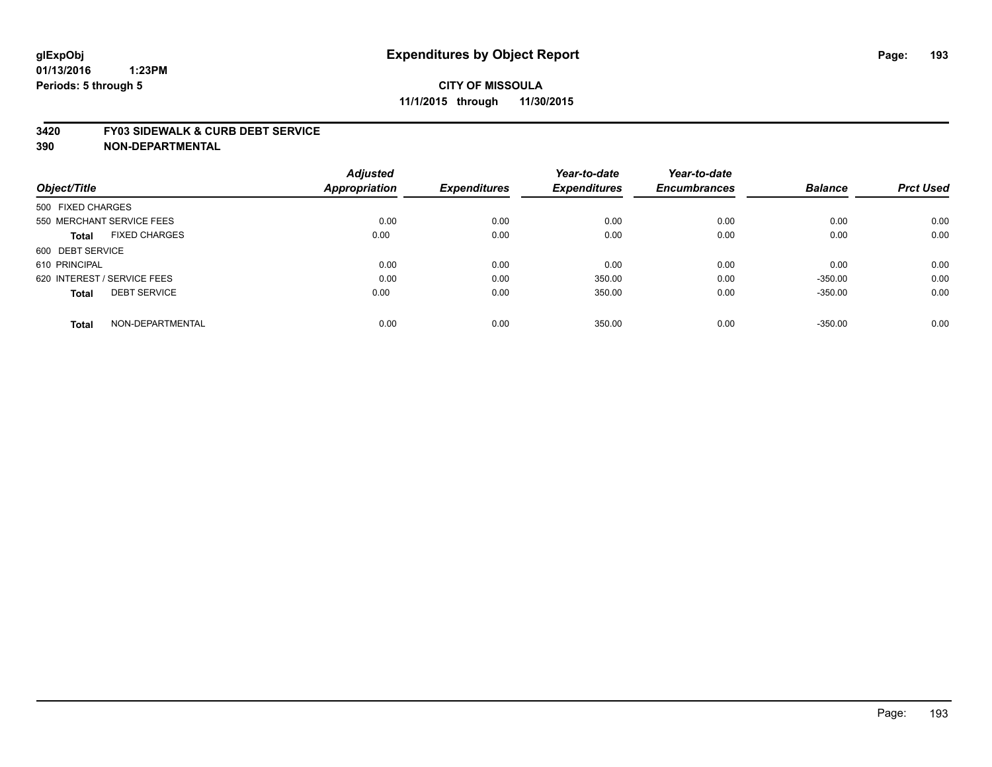#### **3420 FY03 SIDEWALK & CURB DEBT SERVICE**

|                                      | <b>Adjusted</b>      |                     | Year-to-date        | Year-to-date        |                |                  |
|--------------------------------------|----------------------|---------------------|---------------------|---------------------|----------------|------------------|
| Object/Title                         | <b>Appropriation</b> | <b>Expenditures</b> | <b>Expenditures</b> | <b>Encumbrances</b> | <b>Balance</b> | <b>Prct Used</b> |
| 500 FIXED CHARGES                    |                      |                     |                     |                     |                |                  |
| 550 MERCHANT SERVICE FEES            | 0.00                 | 0.00                | 0.00                | 0.00                | 0.00           | 0.00             |
| <b>FIXED CHARGES</b><br><b>Total</b> | 0.00                 | 0.00                | 0.00                | 0.00                | 0.00           | 0.00             |
| 600 DEBT SERVICE                     |                      |                     |                     |                     |                |                  |
| 610 PRINCIPAL                        | 0.00                 | 0.00                | 0.00                | 0.00                | 0.00           | 0.00             |
| 620 INTEREST / SERVICE FEES          | 0.00                 | 0.00                | 350.00              | 0.00                | $-350.00$      | 0.00             |
| <b>DEBT SERVICE</b><br><b>Total</b>  | 0.00                 | 0.00                | 350.00              | 0.00                | $-350.00$      | 0.00             |
| NON-DEPARTMENTAL<br><b>Total</b>     | 0.00                 | 0.00                | 350.00              | 0.00                | $-350.00$      | 0.00             |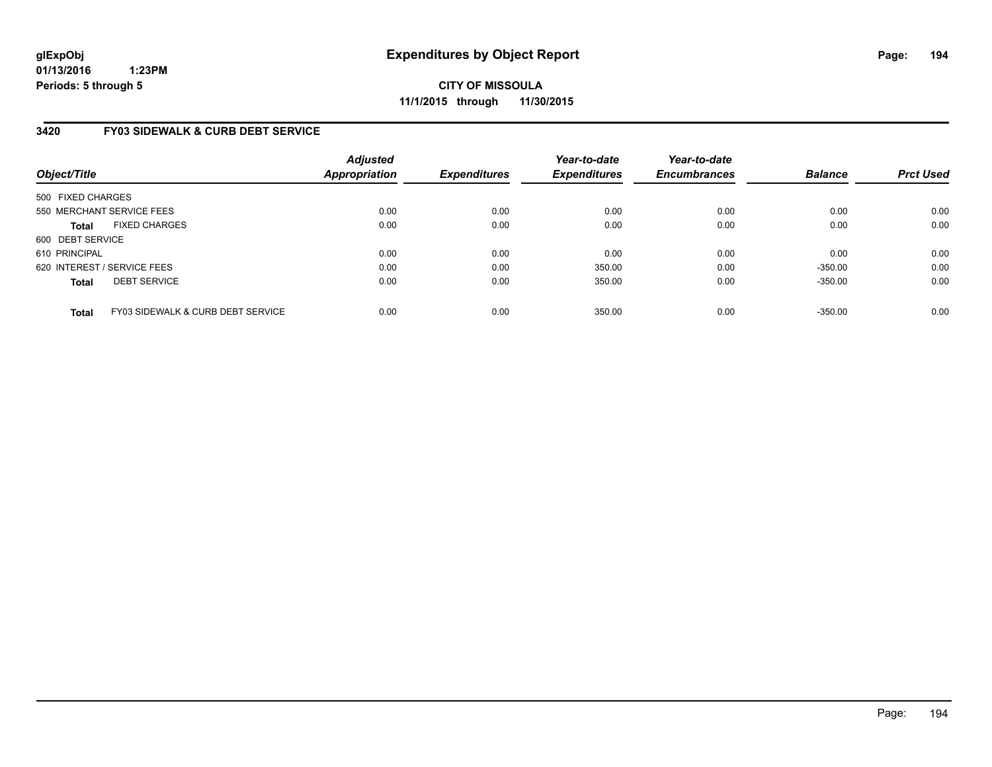**CITY OF MISSOULA 11/1/2015 through 11/30/2015**

### **3420 FY03 SIDEWALK & CURB DEBT SERVICE**

| Object/Title      |                                   | <b>Adjusted</b><br><b>Appropriation</b> | <b>Expenditures</b> | Year-to-date<br><b>Expenditures</b> | Year-to-date<br><b>Encumbrances</b> | <b>Balance</b> | <b>Prct Used</b> |
|-------------------|-----------------------------------|-----------------------------------------|---------------------|-------------------------------------|-------------------------------------|----------------|------------------|
| 500 FIXED CHARGES |                                   |                                         |                     |                                     |                                     |                |                  |
|                   | 550 MERCHANT SERVICE FEES         | 0.00                                    | 0.00                | 0.00                                | 0.00                                | 0.00           | 0.00             |
| <b>Total</b>      | <b>FIXED CHARGES</b>              | 0.00                                    | 0.00                | 0.00                                | 0.00                                | 0.00           | 0.00             |
| 600 DEBT SERVICE  |                                   |                                         |                     |                                     |                                     |                |                  |
| 610 PRINCIPAL     |                                   | 0.00                                    | 0.00                | 0.00                                | 0.00                                | 0.00           | 0.00             |
|                   | 620 INTEREST / SERVICE FEES       | 0.00                                    | 0.00                | 350.00                              | 0.00                                | $-350.00$      | 0.00             |
| <b>Total</b>      | <b>DEBT SERVICE</b>               | 0.00                                    | 0.00                | 350.00                              | 0.00                                | $-350.00$      | 0.00             |
| <b>Total</b>      | FY03 SIDEWALK & CURB DEBT SERVICE | 0.00                                    | 0.00                | 350.00                              | 0.00                                | $-350.00$      | 0.00             |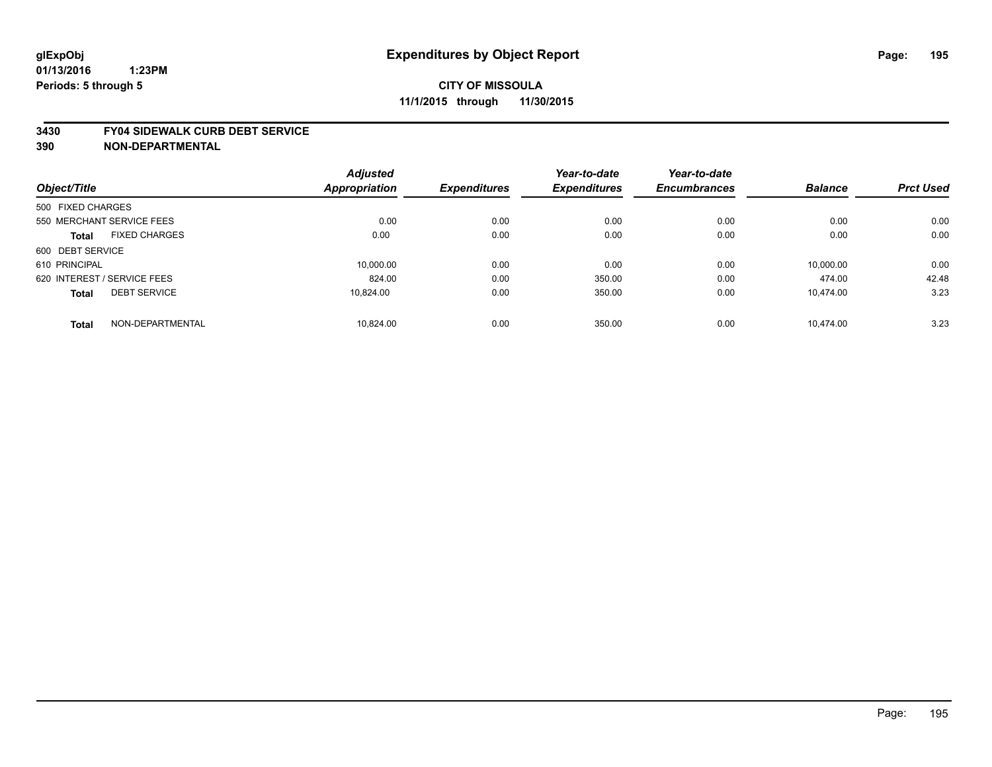#### **3430 FY04 SIDEWALK CURB DEBT SERVICE**

|                             |                      | <b>Adjusted</b>      |                     | Year-to-date        | Year-to-date        |                |                  |
|-----------------------------|----------------------|----------------------|---------------------|---------------------|---------------------|----------------|------------------|
| Object/Title                |                      | <b>Appropriation</b> | <b>Expenditures</b> | <b>Expenditures</b> | <b>Encumbrances</b> | <b>Balance</b> | <b>Prct Used</b> |
| 500 FIXED CHARGES           |                      |                      |                     |                     |                     |                |                  |
| 550 MERCHANT SERVICE FEES   |                      | 0.00                 | 0.00                | 0.00                | 0.00                | 0.00           | 0.00             |
| <b>Total</b>                | <b>FIXED CHARGES</b> | 0.00                 | 0.00                | 0.00                | 0.00                | 0.00           | 0.00             |
| 600 DEBT SERVICE            |                      |                      |                     |                     |                     |                |                  |
| 610 PRINCIPAL               |                      | 10.000.00            | 0.00                | 0.00                | 0.00                | 10.000.00      | 0.00             |
| 620 INTEREST / SERVICE FEES |                      | 824.00               | 0.00                | 350.00              | 0.00                | 474.00         | 42.48            |
| <b>Total</b>                | <b>DEBT SERVICE</b>  | 10.824.00            | 0.00                | 350.00              | 0.00                | 10,474.00      | 3.23             |
| <b>Total</b>                | NON-DEPARTMENTAL     | 10.824.00            | 0.00                | 350.00              | 0.00                | 10.474.00      | 3.23             |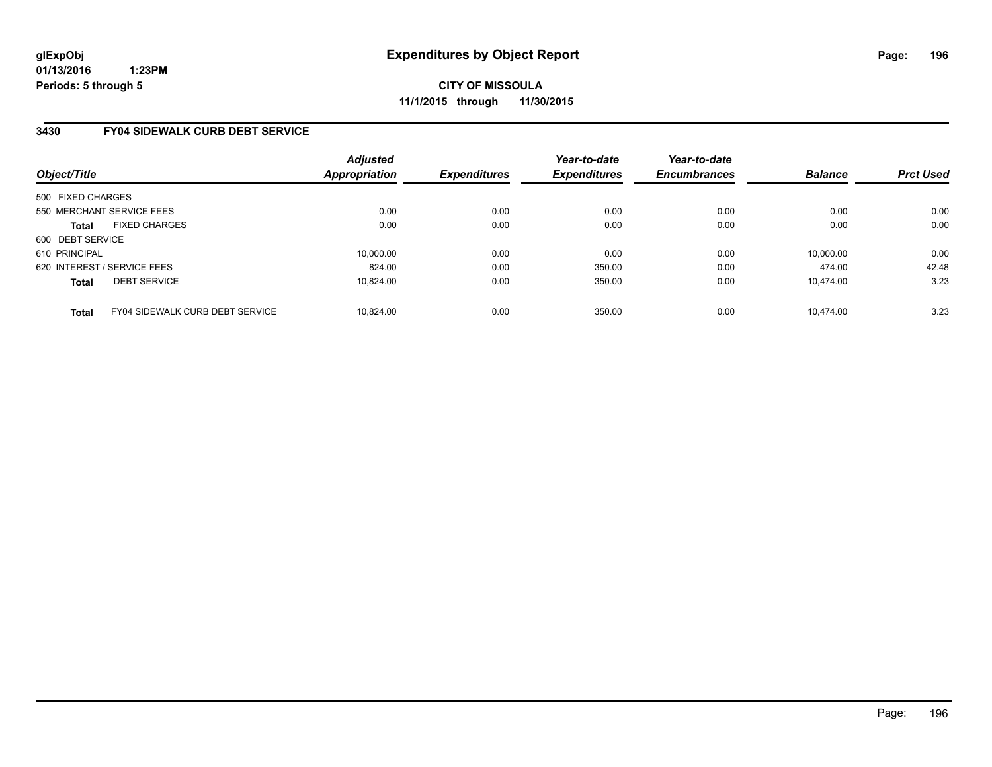**CITY OF MISSOULA 11/1/2015 through 11/30/2015**

### **3430 FY04 SIDEWALK CURB DEBT SERVICE**

| Object/Title                |                                        | <b>Adjusted</b><br><b>Appropriation</b> | <b>Expenditures</b> | Year-to-date<br><b>Expenditures</b> | Year-to-date<br><b>Encumbrances</b> | <b>Balance</b> | <b>Prct Used</b> |
|-----------------------------|----------------------------------------|-----------------------------------------|---------------------|-------------------------------------|-------------------------------------|----------------|------------------|
| 500 FIXED CHARGES           |                                        |                                         |                     |                                     |                                     |                |                  |
| 550 MERCHANT SERVICE FEES   |                                        | 0.00                                    | 0.00                | 0.00                                | 0.00                                | 0.00           | 0.00             |
| <b>Total</b>                | <b>FIXED CHARGES</b>                   | 0.00                                    | 0.00                | 0.00                                | 0.00                                | 0.00           | 0.00             |
| 600 DEBT SERVICE            |                                        |                                         |                     |                                     |                                     |                |                  |
| 610 PRINCIPAL               |                                        | 10.000.00                               | 0.00                | 0.00                                | 0.00                                | 10,000.00      | 0.00             |
| 620 INTEREST / SERVICE FEES |                                        | 824.00                                  | 0.00                | 350.00                              | 0.00                                | 474.00         | 42.48            |
| <b>Total</b>                | <b>DEBT SERVICE</b>                    | 10.824.00                               | 0.00                | 350.00                              | 0.00                                | 10.474.00      | 3.23             |
| <b>Total</b>                | <b>FY04 SIDEWALK CURB DEBT SERVICE</b> | 10.824.00                               | 0.00                | 350.00                              | 0.00                                | 10.474.00      | 3.23             |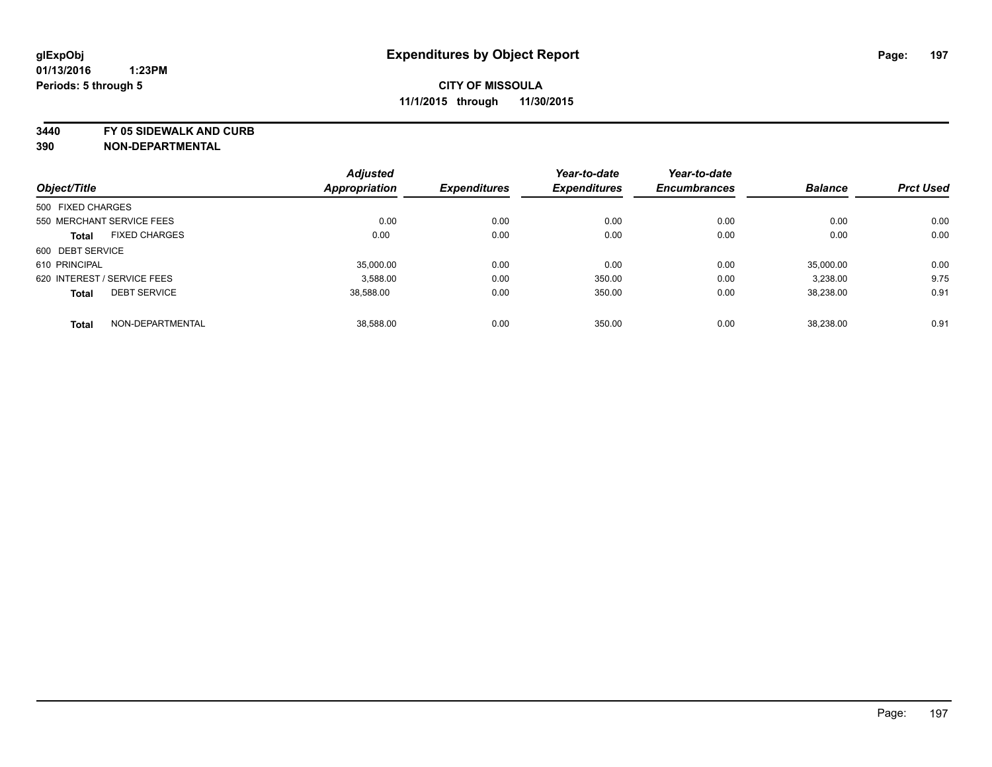**3440 FY 05 SIDEWALK AND CURB**

|                             |                      | <b>Adjusted</b>      |                     | Year-to-date        | Year-to-date        |                |                  |
|-----------------------------|----------------------|----------------------|---------------------|---------------------|---------------------|----------------|------------------|
| Object/Title                |                      | <b>Appropriation</b> | <b>Expenditures</b> | <b>Expenditures</b> | <b>Encumbrances</b> | <b>Balance</b> | <b>Prct Used</b> |
| 500 FIXED CHARGES           |                      |                      |                     |                     |                     |                |                  |
| 550 MERCHANT SERVICE FEES   |                      | 0.00                 | 0.00                | 0.00                | 0.00                | 0.00           | 0.00             |
| <b>Total</b>                | <b>FIXED CHARGES</b> | 0.00                 | 0.00                | 0.00                | 0.00                | 0.00           | 0.00             |
| 600 DEBT SERVICE            |                      |                      |                     |                     |                     |                |                  |
| 610 PRINCIPAL               |                      | 35.000.00            | 0.00                | 0.00                | 0.00                | 35.000.00      | 0.00             |
| 620 INTEREST / SERVICE FEES |                      | 3.588.00             | 0.00                | 350.00              | 0.00                | 3.238.00       | 9.75             |
| <b>Total</b>                | <b>DEBT SERVICE</b>  | 38,588.00            | 0.00                | 350.00              | 0.00                | 38,238.00      | 0.91             |
| <b>Total</b>                | NON-DEPARTMENTAL     | 38.588.00            | 0.00                | 350.00              | 0.00                | 38.238.00      | 0.91             |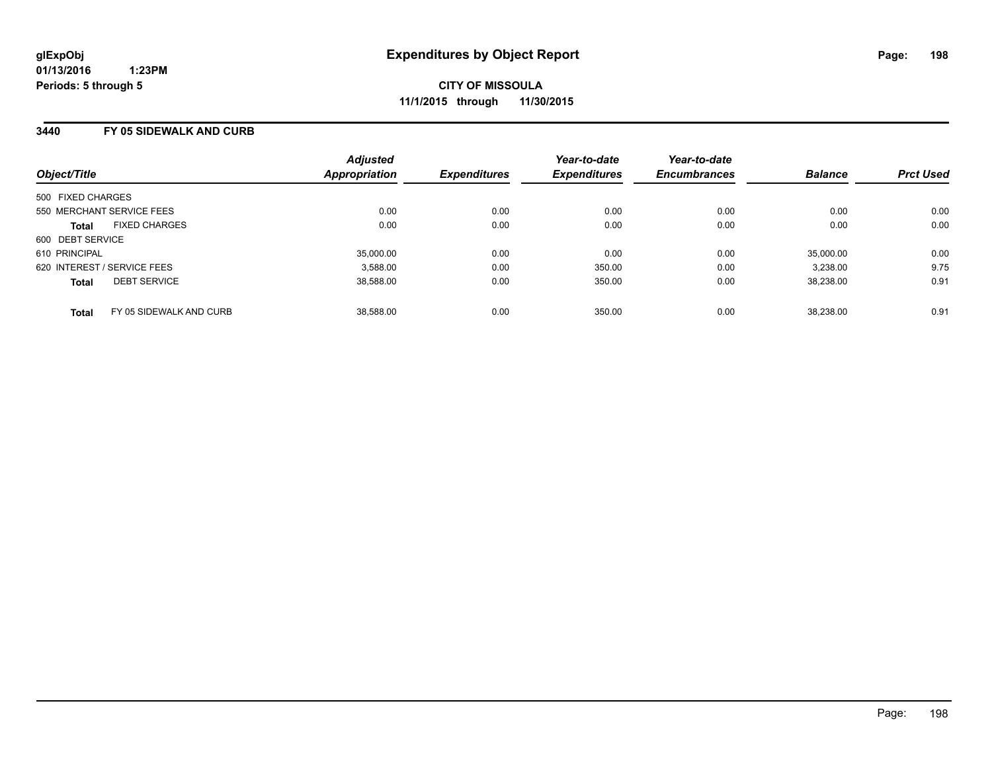#### **3440 FY 05 SIDEWALK AND CURB**

| Object/Title                |                         | <b>Adjusted</b><br>Appropriation | <b>Expenditures</b> | Year-to-date<br><b>Expenditures</b> | Year-to-date<br><b>Encumbrances</b> | <b>Balance</b> | <b>Prct Used</b> |
|-----------------------------|-------------------------|----------------------------------|---------------------|-------------------------------------|-------------------------------------|----------------|------------------|
| 500 FIXED CHARGES           |                         |                                  |                     |                                     |                                     |                |                  |
| 550 MERCHANT SERVICE FEES   |                         | 0.00                             | 0.00                | 0.00                                | 0.00                                | 0.00           | 0.00             |
| <b>Total</b>                | <b>FIXED CHARGES</b>    | 0.00                             | 0.00                | 0.00                                | 0.00                                | 0.00           | 0.00             |
| 600 DEBT SERVICE            |                         |                                  |                     |                                     |                                     |                |                  |
| 610 PRINCIPAL               |                         | 35.000.00                        | 0.00                | 0.00                                | 0.00                                | 35,000.00      | 0.00             |
| 620 INTEREST / SERVICE FEES |                         | 3.588.00                         | 0.00                | 350.00                              | 0.00                                | 3.238.00       | 9.75             |
| <b>Total</b>                | <b>DEBT SERVICE</b>     | 38.588.00                        | 0.00                | 350.00                              | 0.00                                | 38.238.00      | 0.91             |
| <b>Total</b>                | FY 05 SIDEWALK AND CURB | 38.588.00                        | 0.00                | 350.00                              | 0.00                                | 38.238.00      | 0.91             |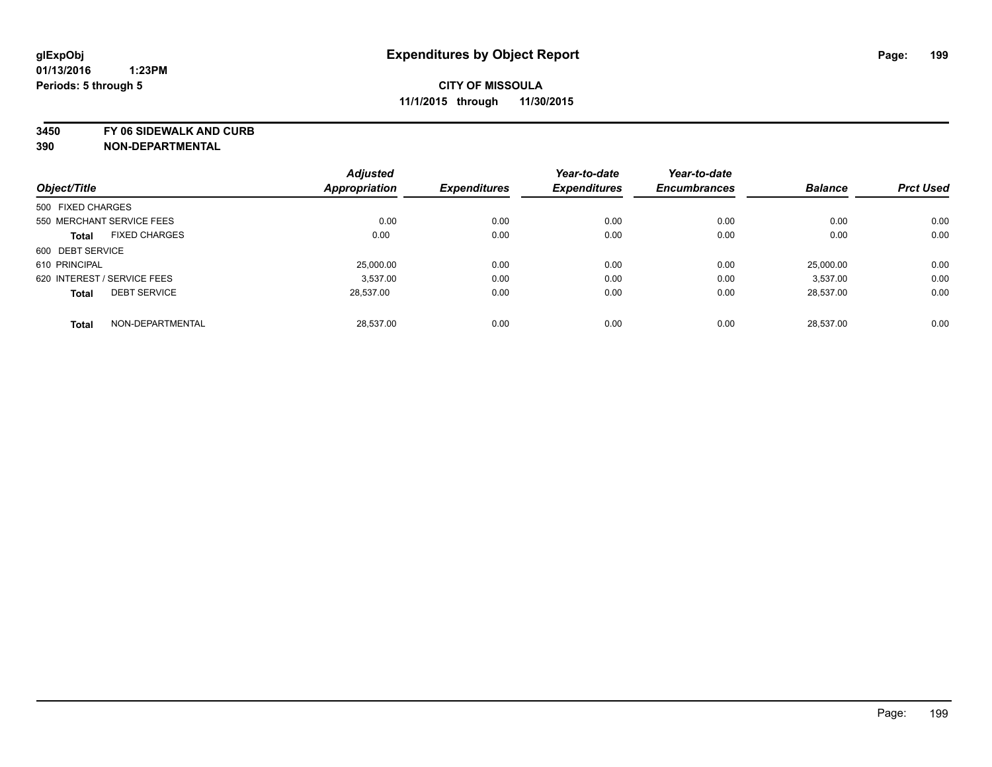**3450 FY 06 SIDEWALK AND CURB**

|                   |                             | <b>Adjusted</b>      |                     | Year-to-date        | Year-to-date        |                |                  |
|-------------------|-----------------------------|----------------------|---------------------|---------------------|---------------------|----------------|------------------|
| Object/Title      |                             | <b>Appropriation</b> | <b>Expenditures</b> | <b>Expenditures</b> | <b>Encumbrances</b> | <b>Balance</b> | <b>Prct Used</b> |
| 500 FIXED CHARGES |                             |                      |                     |                     |                     |                |                  |
|                   | 550 MERCHANT SERVICE FEES   | 0.00                 | 0.00                | 0.00                | 0.00                | 0.00           | 0.00             |
| <b>Total</b>      | <b>FIXED CHARGES</b>        | 0.00                 | 0.00                | 0.00                | 0.00                | 0.00           | 0.00             |
| 600 DEBT SERVICE  |                             |                      |                     |                     |                     |                |                  |
| 610 PRINCIPAL     |                             | 25,000.00            | 0.00                | 0.00                | 0.00                | 25.000.00      | 0.00             |
|                   | 620 INTEREST / SERVICE FEES | 3.537.00             | 0.00                | 0.00                | 0.00                | 3.537.00       | 0.00             |
| <b>Total</b>      | <b>DEBT SERVICE</b>         | 28,537.00            | 0.00                | 0.00                | 0.00                | 28.537.00      | 0.00             |
| <b>Total</b>      | NON-DEPARTMENTAL            | 28.537.00            | 0.00                | 0.00                | 0.00                | 28.537.00      | 0.00             |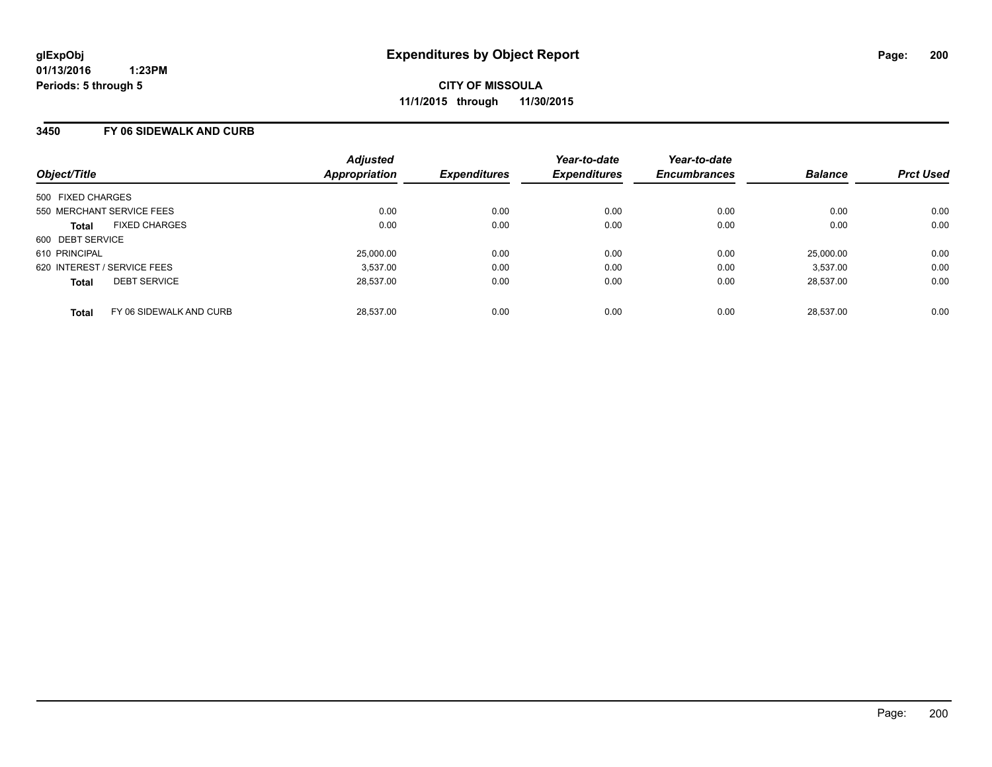#### **3450 FY 06 SIDEWALK AND CURB**

| Object/Title                |                           | <b>Adjusted</b><br><b>Appropriation</b> | <b>Expenditures</b> | Year-to-date<br><b>Expenditures</b> | Year-to-date<br><b>Encumbrances</b> | <b>Balance</b> | <b>Prct Used</b> |
|-----------------------------|---------------------------|-----------------------------------------|---------------------|-------------------------------------|-------------------------------------|----------------|------------------|
| 500 FIXED CHARGES           |                           |                                         |                     |                                     |                                     |                |                  |
|                             |                           |                                         |                     |                                     |                                     |                |                  |
|                             | 550 MERCHANT SERVICE FEES | 0.00                                    | 0.00                | 0.00                                | 0.00                                | 0.00           | 0.00             |
| <b>Total</b>                | <b>FIXED CHARGES</b>      | 0.00                                    | 0.00                | 0.00                                | 0.00                                | 0.00           | 0.00             |
| 600 DEBT SERVICE            |                           |                                         |                     |                                     |                                     |                |                  |
| 610 PRINCIPAL               |                           | 25,000.00                               | 0.00                | 0.00                                | 0.00                                | 25,000.00      | 0.00             |
| 620 INTEREST / SERVICE FEES |                           | 3.537.00                                | 0.00                | 0.00                                | 0.00                                | 3.537.00       | 0.00             |
| <b>Total</b>                | <b>DEBT SERVICE</b>       | 28.537.00                               | 0.00                | 0.00                                | 0.00                                | 28,537.00      | 0.00             |
| <b>Total</b>                | FY 06 SIDEWALK AND CURB   | 28.537.00                               | 0.00                | 0.00                                | 0.00                                | 28.537.00      | 0.00             |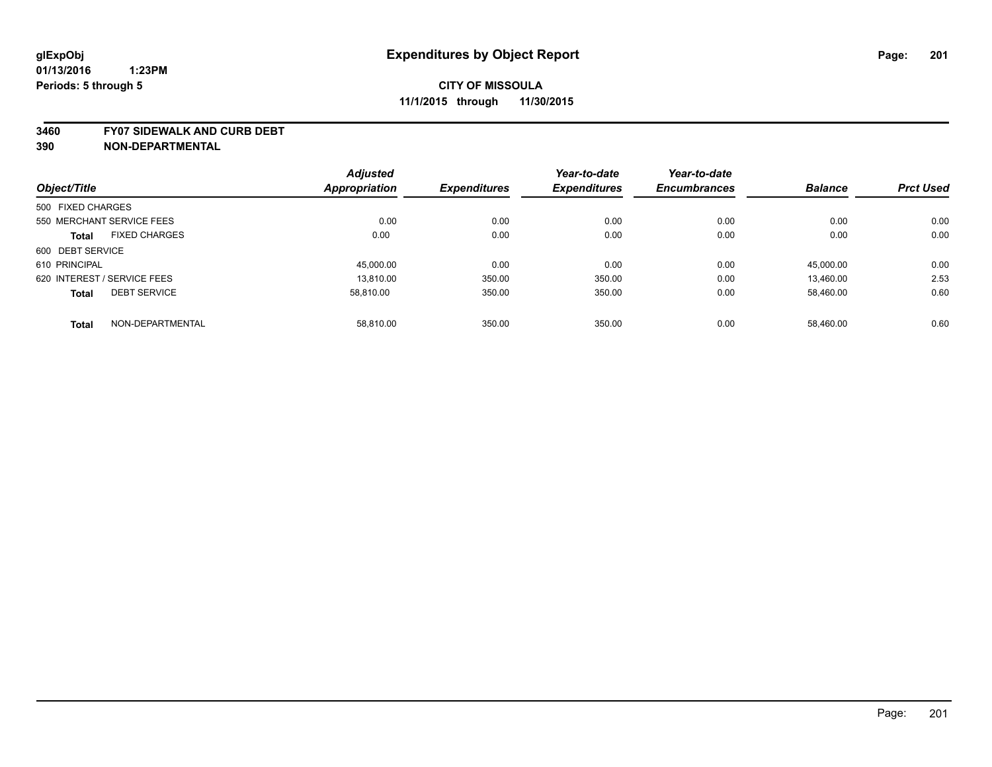#### **3460 FY07 SIDEWALK AND CURB DEBT**

|                                      |                  | <b>Adjusted</b> |                     | Year-to-date        | Year-to-date        |                |                  |
|--------------------------------------|------------------|-----------------|---------------------|---------------------|---------------------|----------------|------------------|
| Object/Title                         |                  | Appropriation   | <b>Expenditures</b> | <b>Expenditures</b> | <b>Encumbrances</b> | <b>Balance</b> | <b>Prct Used</b> |
| 500 FIXED CHARGES                    |                  |                 |                     |                     |                     |                |                  |
| 550 MERCHANT SERVICE FEES            |                  | 0.00            | 0.00                | 0.00                | 0.00                | 0.00           | 0.00             |
| <b>FIXED CHARGES</b><br><b>Total</b> |                  | 0.00            | 0.00                | 0.00                | 0.00                | 0.00           | 0.00             |
| 600 DEBT SERVICE                     |                  |                 |                     |                     |                     |                |                  |
| 610 PRINCIPAL                        |                  | 45,000.00       | 0.00                | 0.00                | 0.00                | 45,000.00      | 0.00             |
| 620 INTEREST / SERVICE FEES          |                  | 13.810.00       | 350.00              | 350.00              | 0.00                | 13,460.00      | 2.53             |
| <b>DEBT SERVICE</b><br><b>Total</b>  |                  | 58.810.00       | 350.00              | 350.00              | 0.00                | 58,460.00      | 0.60             |
| <b>Total</b>                         | NON-DEPARTMENTAL | 58.810.00       | 350.00              | 350.00              | 0.00                | 58.460.00      | 0.60             |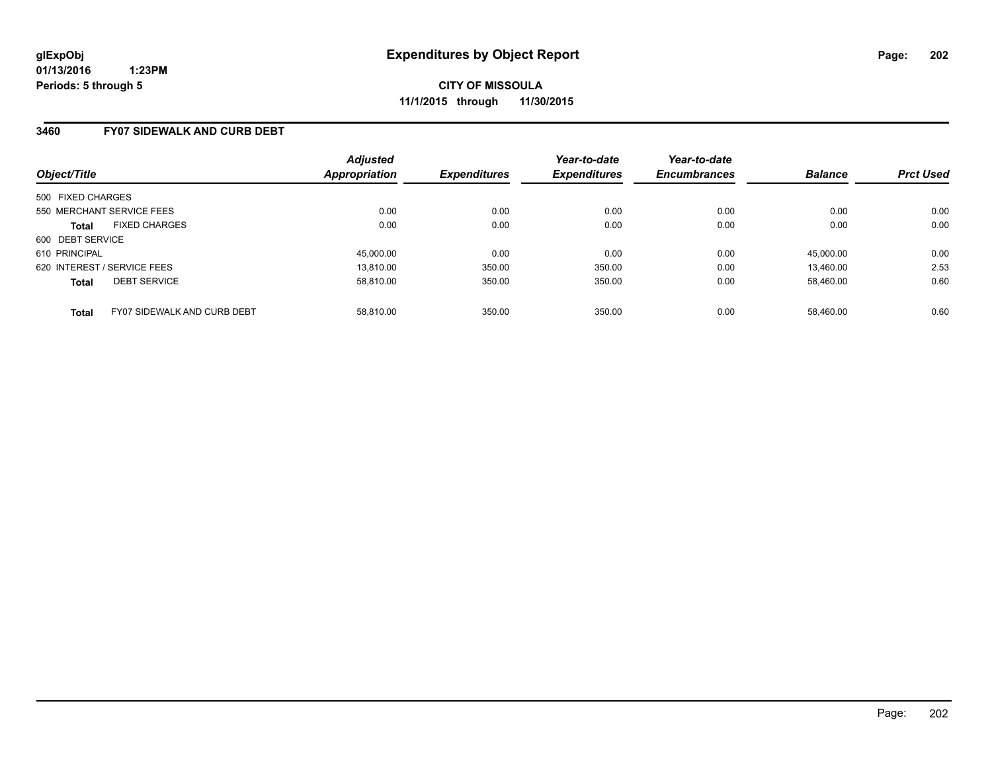### **3460 FY07 SIDEWALK AND CURB DEBT**

| Object/Title                                | <b>Adjusted</b><br>Appropriation | <b>Expenditures</b> | Year-to-date<br><b>Expenditures</b> | Year-to-date<br><b>Encumbrances</b> | <b>Balance</b> | <b>Prct Used</b> |
|---------------------------------------------|----------------------------------|---------------------|-------------------------------------|-------------------------------------|----------------|------------------|
| 500 FIXED CHARGES                           |                                  |                     |                                     |                                     |                |                  |
| 550 MERCHANT SERVICE FEES                   | 0.00                             | 0.00                | 0.00                                | 0.00                                | 0.00           | 0.00             |
| <b>FIXED CHARGES</b><br><b>Total</b>        | 0.00                             | 0.00                | 0.00                                | 0.00                                | 0.00           | 0.00             |
| 600 DEBT SERVICE                            |                                  |                     |                                     |                                     |                |                  |
| 610 PRINCIPAL                               | 45,000.00                        | 0.00                | 0.00                                | 0.00                                | 45.000.00      | 0.00             |
| 620 INTEREST / SERVICE FEES                 | 13.810.00                        | 350.00              | 350.00                              | 0.00                                | 13.460.00      | 2.53             |
| <b>DEBT SERVICE</b><br><b>Total</b>         | 58.810.00                        | 350.00              | 350.00                              | 0.00                                | 58.460.00      | 0.60             |
| FY07 SIDEWALK AND CURB DEBT<br><b>Total</b> | 58.810.00                        | 350.00              | 350.00                              | 0.00                                | 58.460.00      | 0.60             |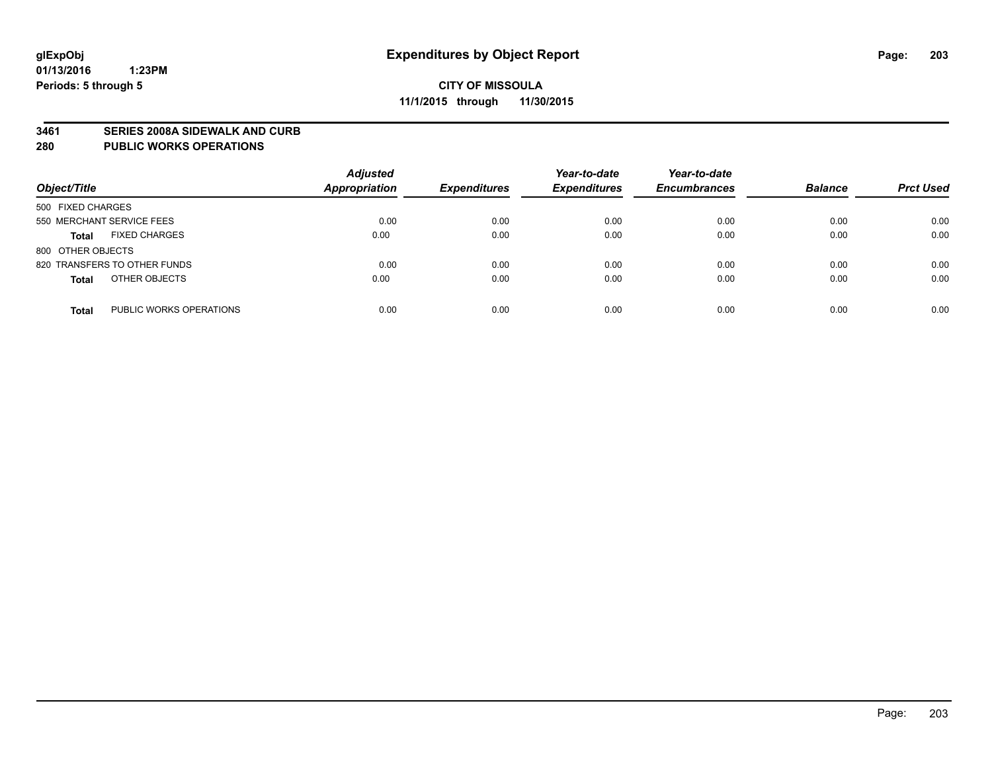#### **3461 SERIES 2008A SIDEWALK AND CURB**

#### **280 PUBLIC WORKS OPERATIONS**

| Object/Title                            | <b>Adjusted</b><br>Appropriation | <b>Expenditures</b> | Year-to-date<br><b>Expenditures</b> | Year-to-date<br><b>Encumbrances</b> | <b>Balance</b> | <b>Prct Used</b> |
|-----------------------------------------|----------------------------------|---------------------|-------------------------------------|-------------------------------------|----------------|------------------|
| 500 FIXED CHARGES                       |                                  |                     |                                     |                                     |                |                  |
| 550 MERCHANT SERVICE FEES               | 0.00                             | 0.00                | 0.00                                | 0.00                                | 0.00           | 0.00             |
| <b>FIXED CHARGES</b><br><b>Total</b>    | 0.00                             | 0.00                | 0.00                                | 0.00                                | 0.00           | 0.00             |
| 800 OTHER OBJECTS                       |                                  |                     |                                     |                                     |                |                  |
| 820 TRANSFERS TO OTHER FUNDS            | 0.00                             | 0.00                | 0.00                                | 0.00                                | 0.00           | 0.00             |
| OTHER OBJECTS<br><b>Total</b>           | 0.00                             | 0.00                | 0.00                                | 0.00                                | 0.00           | 0.00             |
| PUBLIC WORKS OPERATIONS<br><b>Total</b> | 0.00                             | 0.00                | 0.00                                | 0.00                                | 0.00           | 0.00             |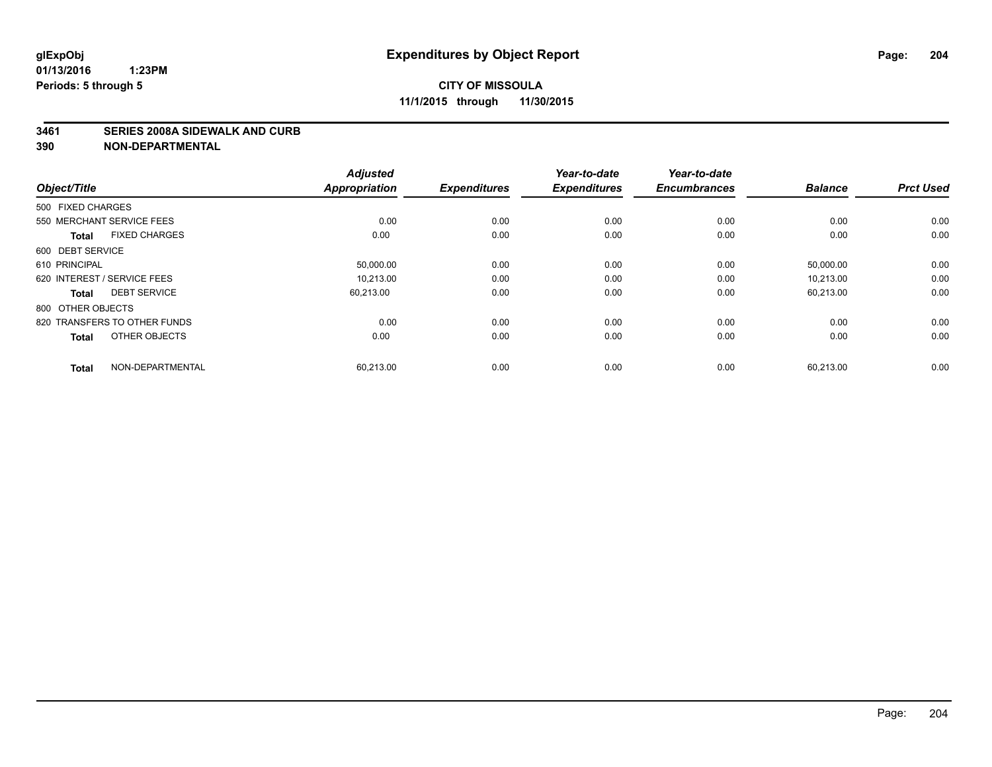#### **3461 SERIES 2008A SIDEWALK AND CURB**

| Object/Title                         | <b>Adjusted</b><br><b>Appropriation</b> | <b>Expenditures</b> | Year-to-date<br><b>Expenditures</b> | Year-to-date<br><b>Encumbrances</b> | <b>Balance</b> | <b>Prct Used</b> |
|--------------------------------------|-----------------------------------------|---------------------|-------------------------------------|-------------------------------------|----------------|------------------|
| 500 FIXED CHARGES                    |                                         |                     |                                     |                                     |                |                  |
| 550 MERCHANT SERVICE FEES            | 0.00                                    | 0.00                | 0.00                                | 0.00                                | 0.00           | 0.00             |
| <b>FIXED CHARGES</b><br><b>Total</b> | 0.00                                    | 0.00                | 0.00                                | 0.00                                | 0.00           | 0.00             |
| 600 DEBT SERVICE                     |                                         |                     |                                     |                                     |                |                  |
| 610 PRINCIPAL                        | 50,000.00                               | 0.00                | 0.00                                | 0.00                                | 50,000.00      | 0.00             |
| 620 INTEREST / SERVICE FEES          | 10.213.00                               | 0.00                | 0.00                                | 0.00                                | 10.213.00      | 0.00             |
| <b>DEBT SERVICE</b><br><b>Total</b>  | 60,213.00                               | 0.00                | 0.00                                | 0.00                                | 60,213.00      | 0.00             |
| 800 OTHER OBJECTS                    |                                         |                     |                                     |                                     |                |                  |
| 820 TRANSFERS TO OTHER FUNDS         | 0.00                                    | 0.00                | 0.00                                | 0.00                                | 0.00           | 0.00             |
| OTHER OBJECTS<br><b>Total</b>        | 0.00                                    | 0.00                | 0.00                                | 0.00                                | 0.00           | 0.00             |
|                                      |                                         |                     |                                     |                                     |                |                  |
| NON-DEPARTMENTAL<br><b>Total</b>     | 60,213.00                               | 0.00                | 0.00                                | 0.00                                | 60,213.00      | 0.00             |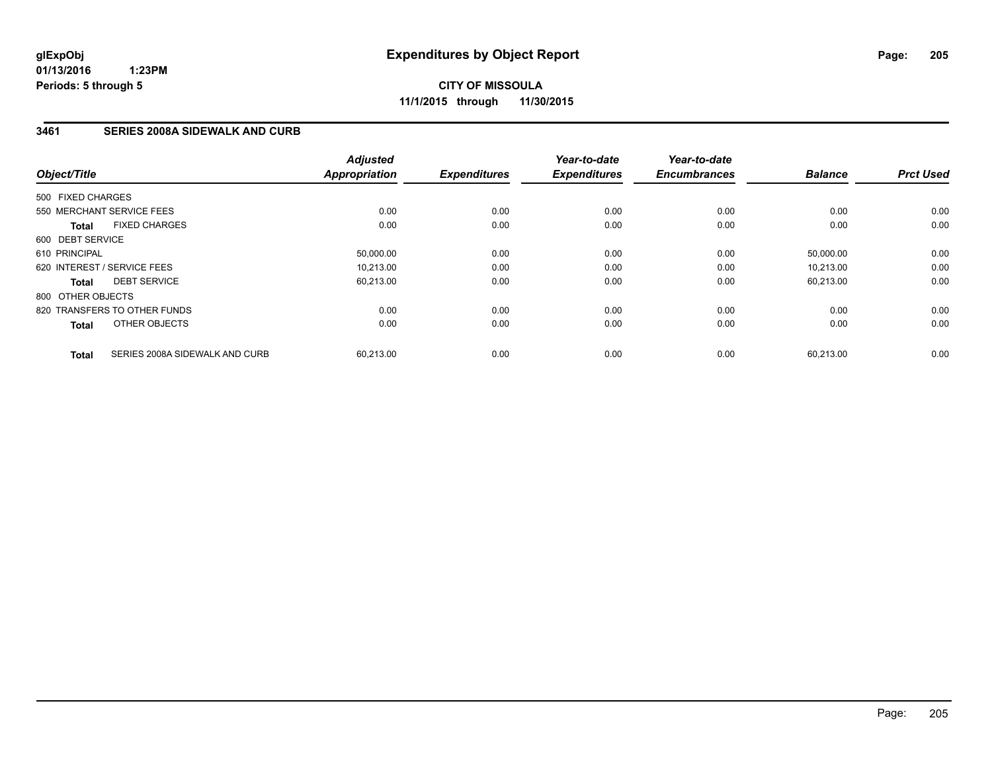**CITY OF MISSOULA 11/1/2015 through 11/30/2015**

### **3461 SERIES 2008A SIDEWALK AND CURB**

| Object/Title                |                                | <b>Adjusted</b><br><b>Appropriation</b> | <b>Expenditures</b> | Year-to-date<br><b>Expenditures</b> | Year-to-date<br><b>Encumbrances</b> | <b>Balance</b> | <b>Prct Used</b> |
|-----------------------------|--------------------------------|-----------------------------------------|---------------------|-------------------------------------|-------------------------------------|----------------|------------------|
| 500 FIXED CHARGES           |                                |                                         |                     |                                     |                                     |                |                  |
|                             | 550 MERCHANT SERVICE FEES      | 0.00                                    | 0.00                | 0.00                                | 0.00                                | 0.00           | 0.00             |
| <b>Total</b>                | <b>FIXED CHARGES</b>           | 0.00                                    | 0.00                | 0.00                                | 0.00                                | 0.00           | 0.00             |
| 600 DEBT SERVICE            |                                |                                         |                     |                                     |                                     |                |                  |
| 610 PRINCIPAL               |                                | 50,000.00                               | 0.00                | 0.00                                | 0.00                                | 50,000.00      | 0.00             |
| 620 INTEREST / SERVICE FEES |                                | 10.213.00                               | 0.00                | 0.00                                | 0.00                                | 10.213.00      | 0.00             |
| <b>Total</b>                | <b>DEBT SERVICE</b>            | 60,213.00                               | 0.00                | 0.00                                | 0.00                                | 60,213.00      | 0.00             |
| 800 OTHER OBJECTS           |                                |                                         |                     |                                     |                                     |                |                  |
|                             | 820 TRANSFERS TO OTHER FUNDS   | 0.00                                    | 0.00                | 0.00                                | 0.00                                | 0.00           | 0.00             |
| <b>Total</b>                | OTHER OBJECTS                  | 0.00                                    | 0.00                | 0.00                                | 0.00                                | 0.00           | 0.00             |
| <b>Total</b>                | SERIES 2008A SIDEWALK AND CURB | 60,213.00                               | 0.00                | 0.00                                | 0.00                                | 60,213.00      | 0.00             |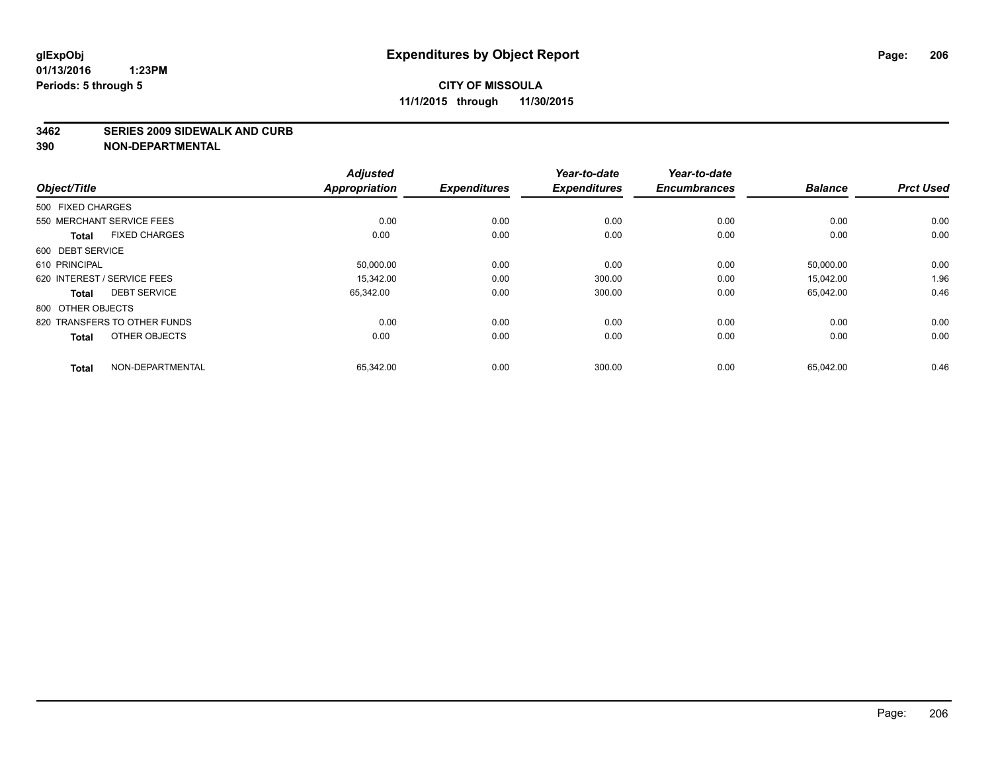#### **3462 SERIES 2009 SIDEWALK AND CURB**

| <b>Adjusted</b><br>Year-to-date<br>Year-to-date<br><b>Appropriation</b><br><b>Expenditures</b><br><b>Encumbrances</b><br><b>Balance</b><br><b>Prct Used</b><br><b>Expenditures</b> | Object/Title                         |
|------------------------------------------------------------------------------------------------------------------------------------------------------------------------------------|--------------------------------------|
|                                                                                                                                                                                    |                                      |
|                                                                                                                                                                                    | 500 FIXED CHARGES                    |
| 0.00<br>0.00<br>0.00<br>0.00<br>0.00<br>0.00                                                                                                                                       | 550 MERCHANT SERVICE FEES            |
| 0.00<br>0.00<br>0.00<br>0.00<br>0.00<br>0.00                                                                                                                                       | <b>FIXED CHARGES</b><br><b>Total</b> |
|                                                                                                                                                                                    | 600 DEBT SERVICE                     |
| 0.00<br>0.00<br>0.00<br>50,000.00<br>0.00<br>50,000.00                                                                                                                             | 610 PRINCIPAL                        |
| 1.96<br>0.00<br>0.00<br>300.00<br>15,042.00<br>15.342.00                                                                                                                           | 620 INTEREST / SERVICE FEES          |
| 0.46<br>0.00<br>300.00<br>0.00<br>65,042.00<br>65,342.00                                                                                                                           | <b>DEBT SERVICE</b><br><b>Total</b>  |
|                                                                                                                                                                                    | 800 OTHER OBJECTS                    |
| 0.00<br>0.00<br>0.00<br>0.00<br>0.00<br>0.00                                                                                                                                       | 820 TRANSFERS TO OTHER FUNDS         |
| 0.00<br>0.00<br>0.00<br>0.00<br>0.00<br>0.00                                                                                                                                       | OTHER OBJECTS<br><b>Total</b>        |
| 0.46                                                                                                                                                                               |                                      |
| 0.00<br>300.00<br>0.00<br>65,342.00<br>65,042.00                                                                                                                                   | NON-DEPARTMENTAL<br><b>Total</b>     |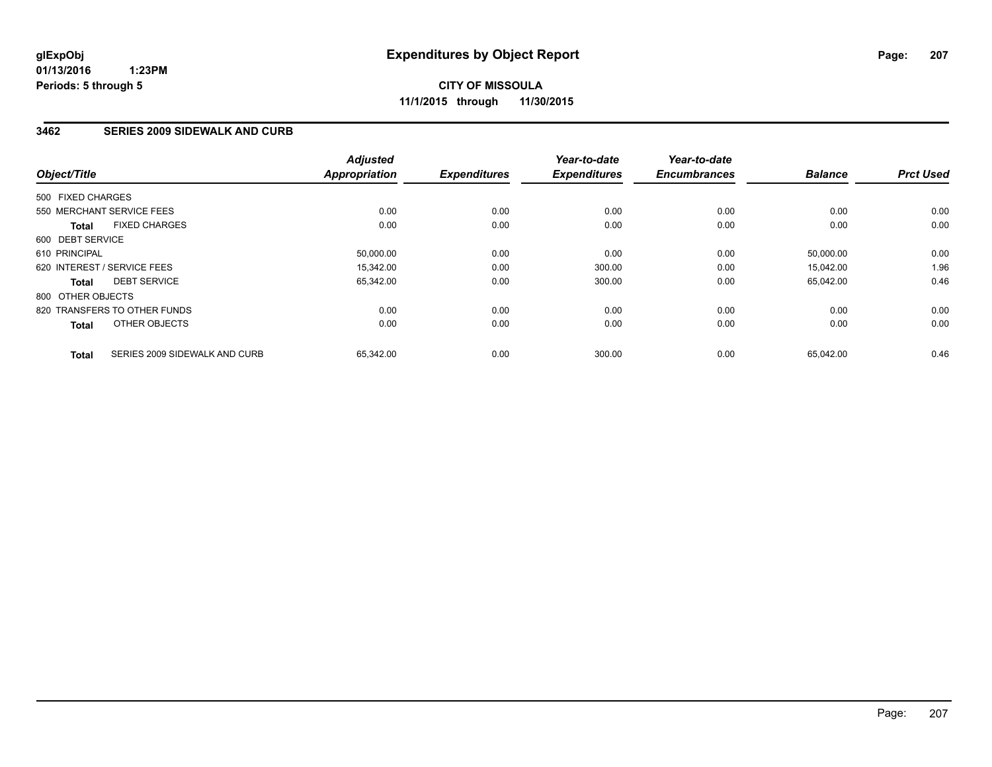### **3462 SERIES 2009 SIDEWALK AND CURB**

| Object/Title      |                               | <b>Adjusted</b><br><b>Appropriation</b> | <b>Expenditures</b> | Year-to-date<br><b>Expenditures</b> | Year-to-date<br><b>Encumbrances</b> | <b>Balance</b> | <b>Prct Used</b> |
|-------------------|-------------------------------|-----------------------------------------|---------------------|-------------------------------------|-------------------------------------|----------------|------------------|
| 500 FIXED CHARGES |                               |                                         |                     |                                     |                                     |                |                  |
|                   | 550 MERCHANT SERVICE FEES     | 0.00                                    | 0.00                | 0.00                                | 0.00                                | 0.00           | 0.00             |
| <b>Total</b>      | <b>FIXED CHARGES</b>          | 0.00                                    | 0.00                | 0.00                                | 0.00                                | 0.00           | 0.00             |
| 600 DEBT SERVICE  |                               |                                         |                     |                                     |                                     |                |                  |
| 610 PRINCIPAL     |                               | 50,000.00                               | 0.00                | 0.00                                | 0.00                                | 50,000.00      | 0.00             |
|                   | 620 INTEREST / SERVICE FEES   | 15.342.00                               | 0.00                | 300.00                              | 0.00                                | 15,042.00      | 1.96             |
| <b>Total</b>      | <b>DEBT SERVICE</b>           | 65,342.00                               | 0.00                | 300.00                              | 0.00                                | 65,042.00      | 0.46             |
| 800 OTHER OBJECTS |                               |                                         |                     |                                     |                                     |                |                  |
|                   | 820 TRANSFERS TO OTHER FUNDS  | 0.00                                    | 0.00                | 0.00                                | 0.00                                | 0.00           | 0.00             |
| <b>Total</b>      | OTHER OBJECTS                 | 0.00                                    | 0.00                | 0.00                                | 0.00                                | 0.00           | 0.00             |
| <b>Total</b>      | SERIES 2009 SIDEWALK AND CURB | 65,342.00                               | 0.00                | 300.00                              | 0.00                                | 65,042.00      | 0.46             |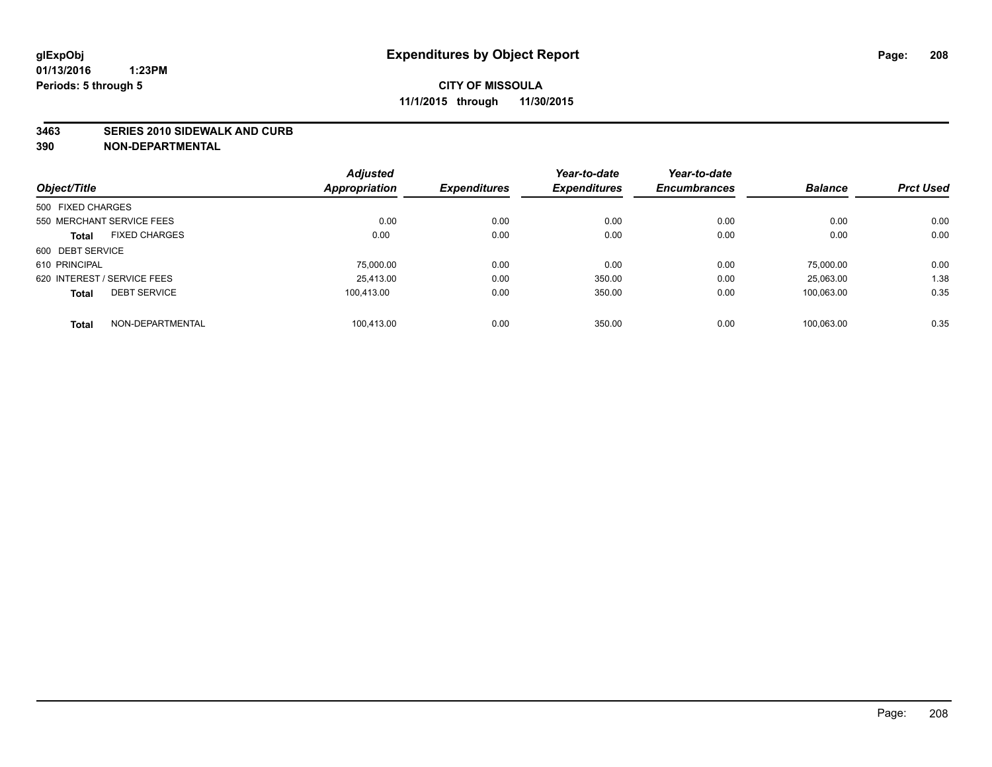#### **3463 SERIES 2010 SIDEWALK AND CURB**

|                             |                      | <b>Adjusted</b> |                     | Year-to-date        | Year-to-date        |                |                  |
|-----------------------------|----------------------|-----------------|---------------------|---------------------|---------------------|----------------|------------------|
| Object/Title                |                      | Appropriation   | <b>Expenditures</b> | <b>Expenditures</b> | <b>Encumbrances</b> | <b>Balance</b> | <b>Prct Used</b> |
| 500 FIXED CHARGES           |                      |                 |                     |                     |                     |                |                  |
| 550 MERCHANT SERVICE FEES   |                      | 0.00            | 0.00                | 0.00                | 0.00                | 0.00           | 0.00             |
| <b>Total</b>                | <b>FIXED CHARGES</b> | 0.00            | 0.00                | 0.00                | 0.00                | 0.00           | 0.00             |
| 600 DEBT SERVICE            |                      |                 |                     |                     |                     |                |                  |
| 610 PRINCIPAL               |                      | 75,000.00       | 0.00                | 0.00                | 0.00                | 75,000.00      | 0.00             |
| 620 INTEREST / SERVICE FEES |                      | 25.413.00       | 0.00                | 350.00              | 0.00                | 25.063.00      | 1.38             |
| <b>Total</b>                | <b>DEBT SERVICE</b>  | 100.413.00      | 0.00                | 350.00              | 0.00                | 100.063.00     | 0.35             |
| <b>Total</b>                | NON-DEPARTMENTAL     | 100.413.00      | 0.00                | 350.00              | 0.00                | 100.063.00     | 0.35             |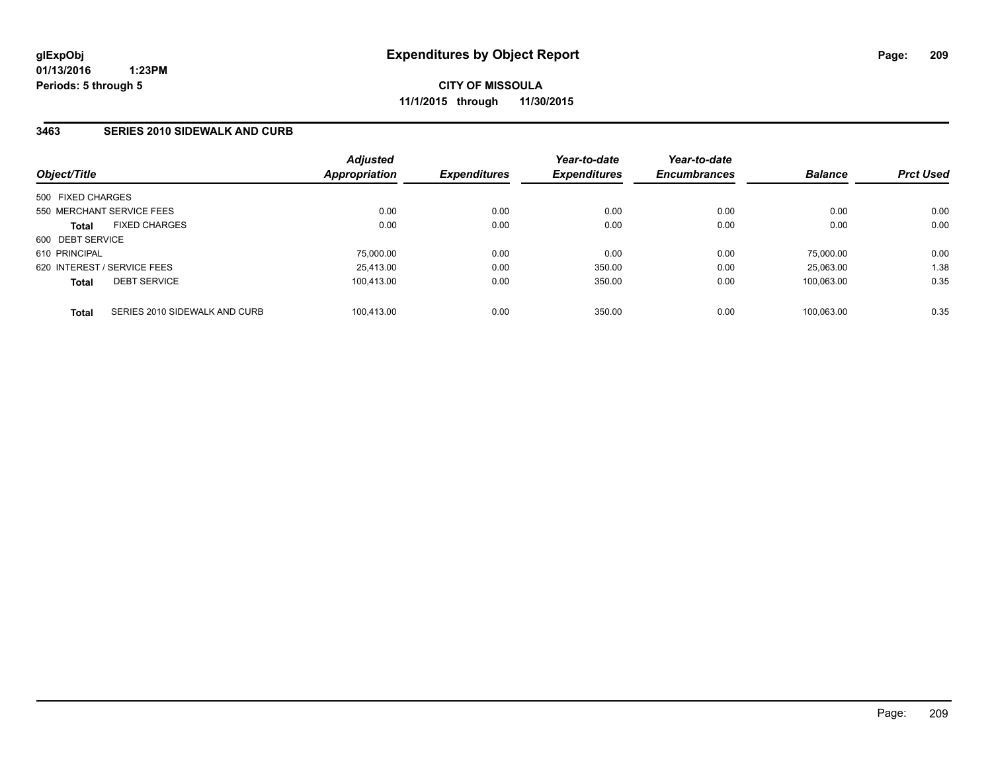### **3463 SERIES 2010 SIDEWALK AND CURB**

| Object/Title                                  | <b>Adjusted</b><br><b>Appropriation</b> | <b>Expenditures</b> | Year-to-date<br><b>Expenditures</b> | Year-to-date<br><b>Encumbrances</b> | <b>Balance</b> | <b>Prct Used</b> |
|-----------------------------------------------|-----------------------------------------|---------------------|-------------------------------------|-------------------------------------|----------------|------------------|
| 500 FIXED CHARGES                             |                                         |                     |                                     |                                     |                |                  |
| 550 MERCHANT SERVICE FEES                     | 0.00                                    | 0.00                | 0.00                                | 0.00                                | 0.00           | 0.00             |
| <b>FIXED CHARGES</b><br><b>Total</b>          | 0.00                                    | 0.00                | 0.00                                | 0.00                                | 0.00           | 0.00             |
| 600 DEBT SERVICE                              |                                         |                     |                                     |                                     |                |                  |
| 610 PRINCIPAL                                 | 75,000.00                               | 0.00                | 0.00                                | 0.00                                | 75.000.00      | 0.00             |
| 620 INTEREST / SERVICE FEES                   | 25,413.00                               | 0.00                | 350.00                              | 0.00                                | 25.063.00      | 1.38             |
| <b>DEBT SERVICE</b><br><b>Total</b>           | 100.413.00                              | 0.00                | 350.00                              | 0.00                                | 100.063.00     | 0.35             |
| SERIES 2010 SIDEWALK AND CURB<br><b>Total</b> | 100.413.00                              | 0.00                | 350.00                              | 0.00                                | 100.063.00     | 0.35             |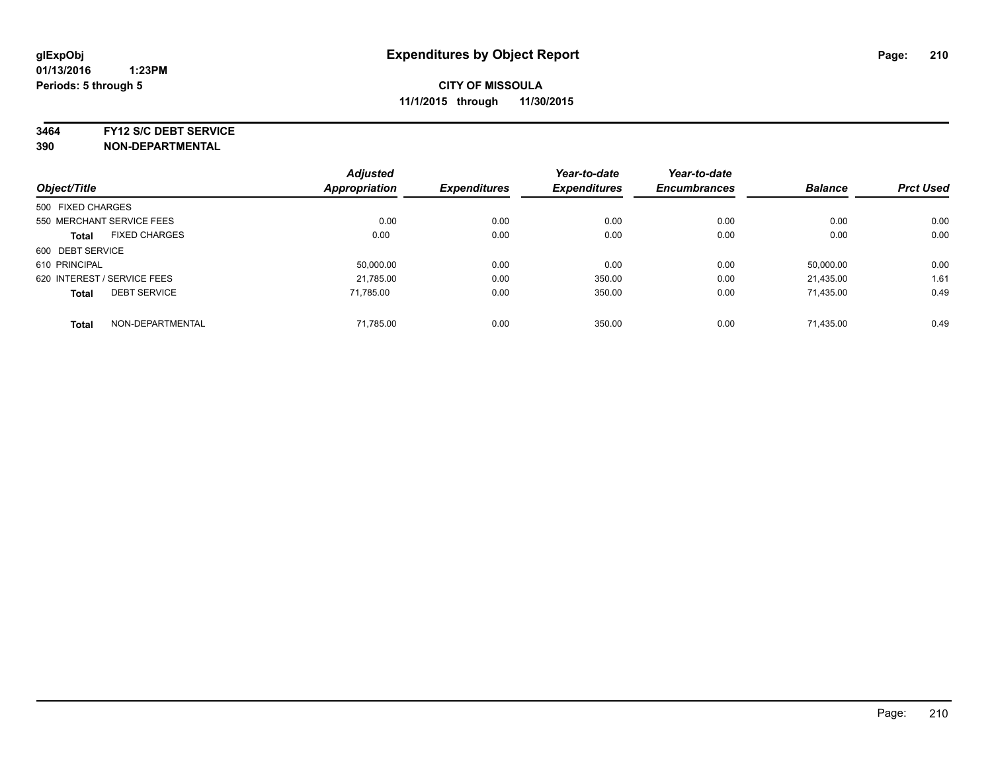**3464 FY12 S/C DEBT SERVICE**

| Object/Title                |                           | <b>Adjusted</b><br><b>Appropriation</b> | <b>Expenditures</b> | Year-to-date<br><b>Expenditures</b> | Year-to-date<br><b>Encumbrances</b> | <b>Balance</b> | <b>Prct Used</b> |
|-----------------------------|---------------------------|-----------------------------------------|---------------------|-------------------------------------|-------------------------------------|----------------|------------------|
|                             |                           |                                         |                     |                                     |                                     |                |                  |
| 500 FIXED CHARGES           |                           |                                         |                     |                                     |                                     |                |                  |
|                             | 550 MERCHANT SERVICE FEES | 0.00                                    | 0.00                | 0.00                                | 0.00                                | 0.00           | 0.00             |
| <b>Total</b>                | <b>FIXED CHARGES</b>      | 0.00                                    | 0.00                | 0.00                                | 0.00                                | 0.00           | 0.00             |
| 600 DEBT SERVICE            |                           |                                         |                     |                                     |                                     |                |                  |
| 610 PRINCIPAL               |                           | 50.000.00                               | 0.00                | 0.00                                | 0.00                                | 50.000.00      | 0.00             |
| 620 INTEREST / SERVICE FEES |                           | 21,785.00                               | 0.00                | 350.00                              | 0.00                                | 21,435.00      | 1.61             |
| <b>Total</b>                | <b>DEBT SERVICE</b>       | 71.785.00                               | 0.00                | 350.00                              | 0.00                                | 71,435.00      | 0.49             |
| <b>Total</b>                | NON-DEPARTMENTAL          | 71,785.00                               | 0.00                | 350.00                              | 0.00                                | 71.435.00      | 0.49             |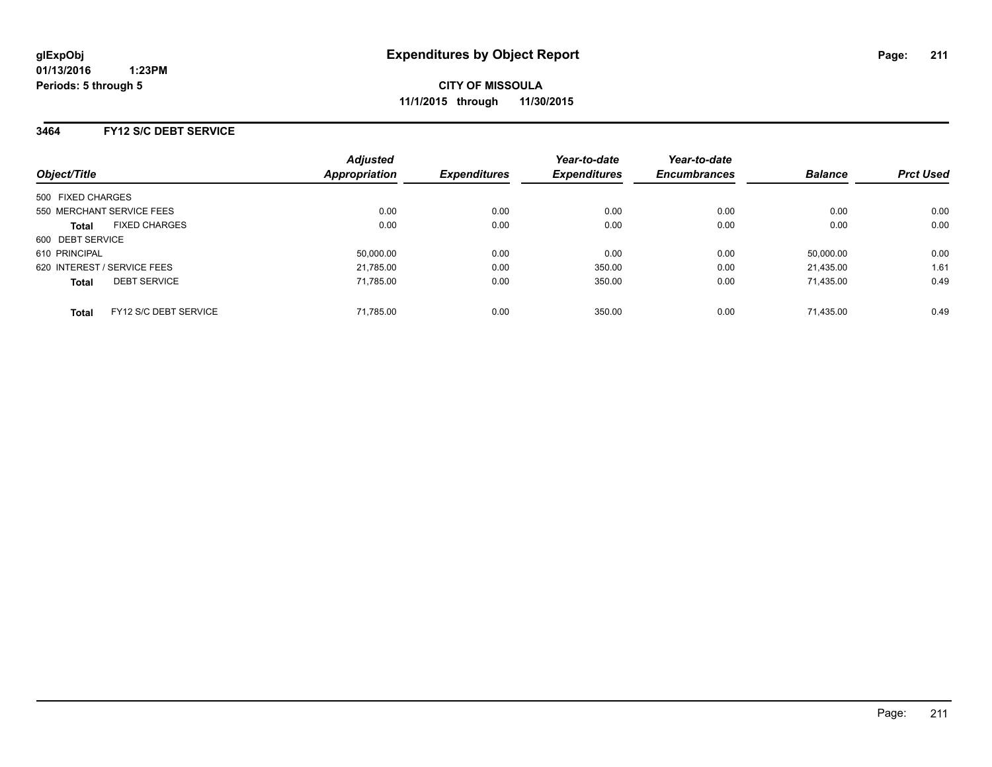**CITY OF MISSOULA 11/1/2015 through 11/30/2015**

### **3464 FY12 S/C DEBT SERVICE**

| Object/Title                          | <b>Adjusted</b><br><b>Appropriation</b> | <b>Expenditures</b> | Year-to-date<br><b>Expenditures</b> | Year-to-date<br><b>Encumbrances</b> | <b>Balance</b> | <b>Prct Used</b> |
|---------------------------------------|-----------------------------------------|---------------------|-------------------------------------|-------------------------------------|----------------|------------------|
| 500 FIXED CHARGES                     |                                         |                     |                                     |                                     |                |                  |
| 550 MERCHANT SERVICE FEES             | 0.00                                    | 0.00                | 0.00                                | 0.00                                | 0.00           | 0.00             |
| <b>FIXED CHARGES</b><br><b>Total</b>  | 0.00                                    | 0.00                | 0.00                                | 0.00                                | 0.00           | 0.00             |
| 600 DEBT SERVICE                      |                                         |                     |                                     |                                     |                |                  |
| 610 PRINCIPAL                         | 50,000.00                               | 0.00                | 0.00                                | 0.00                                | 50.000.00      | 0.00             |
| 620 INTEREST / SERVICE FEES           | 21,785.00                               | 0.00                | 350.00                              | 0.00                                | 21.435.00      | 1.61             |
| <b>DEBT SERVICE</b><br><b>Total</b>   | 71.785.00                               | 0.00                | 350.00                              | 0.00                                | 71.435.00      | 0.49             |
| FY12 S/C DEBT SERVICE<br><b>Total</b> | 71.785.00                               | 0.00                | 350.00                              | 0.00                                | 71.435.00      | 0.49             |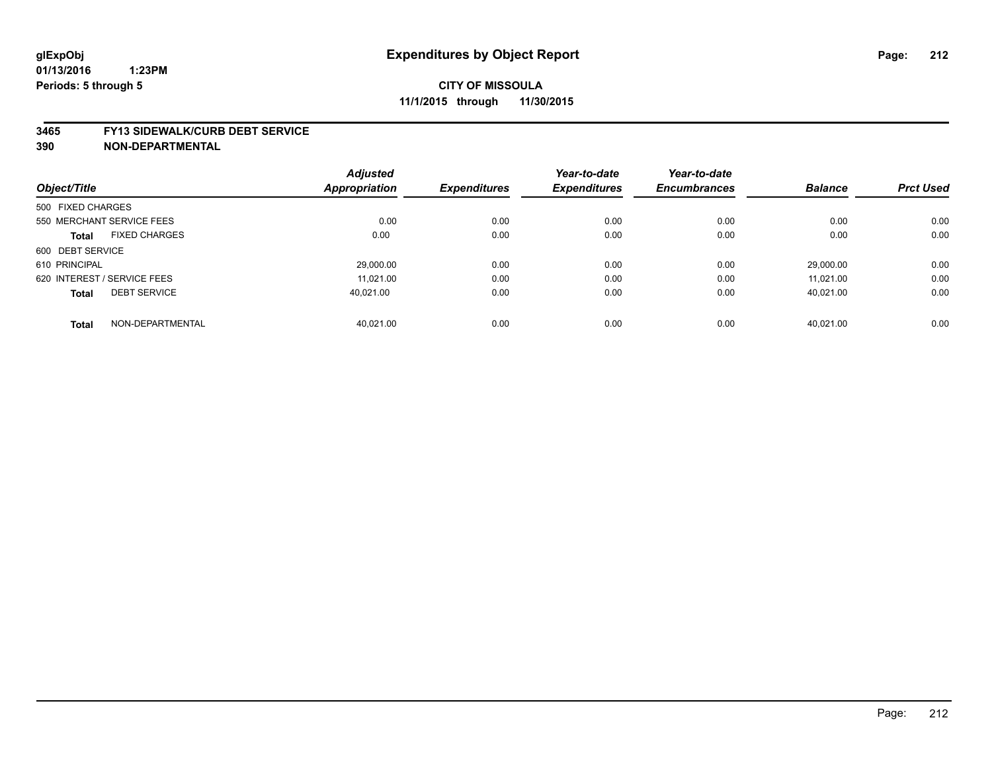#### **3465 FY13 SIDEWALK/CURB DEBT SERVICE**

|                                      | <b>Adjusted</b> |                     | Year-to-date        | Year-to-date        |                |                  |
|--------------------------------------|-----------------|---------------------|---------------------|---------------------|----------------|------------------|
| Object/Title                         | Appropriation   | <b>Expenditures</b> | <b>Expenditures</b> | <b>Encumbrances</b> | <b>Balance</b> | <b>Prct Used</b> |
| 500 FIXED CHARGES                    |                 |                     |                     |                     |                |                  |
| 550 MERCHANT SERVICE FEES            | 0.00            | 0.00                | 0.00                | 0.00                | 0.00           | 0.00             |
| <b>FIXED CHARGES</b><br><b>Total</b> | 0.00            | 0.00                | 0.00                | 0.00                | 0.00           | 0.00             |
| 600 DEBT SERVICE                     |                 |                     |                     |                     |                |                  |
| 610 PRINCIPAL                        | 29.000.00       | 0.00                | 0.00                | 0.00                | 29.000.00      | 0.00             |
| 620 INTEREST / SERVICE FEES          | 11.021.00       | 0.00                | 0.00                | 0.00                | 11.021.00      | 0.00             |
| <b>DEBT SERVICE</b><br><b>Total</b>  | 40.021.00       | 0.00                | 0.00                | 0.00                | 40.021.00      | 0.00             |
| NON-DEPARTMENTAL<br><b>Total</b>     | 40.021.00       | 0.00                | 0.00                | 0.00                | 40.021.00      | 0.00             |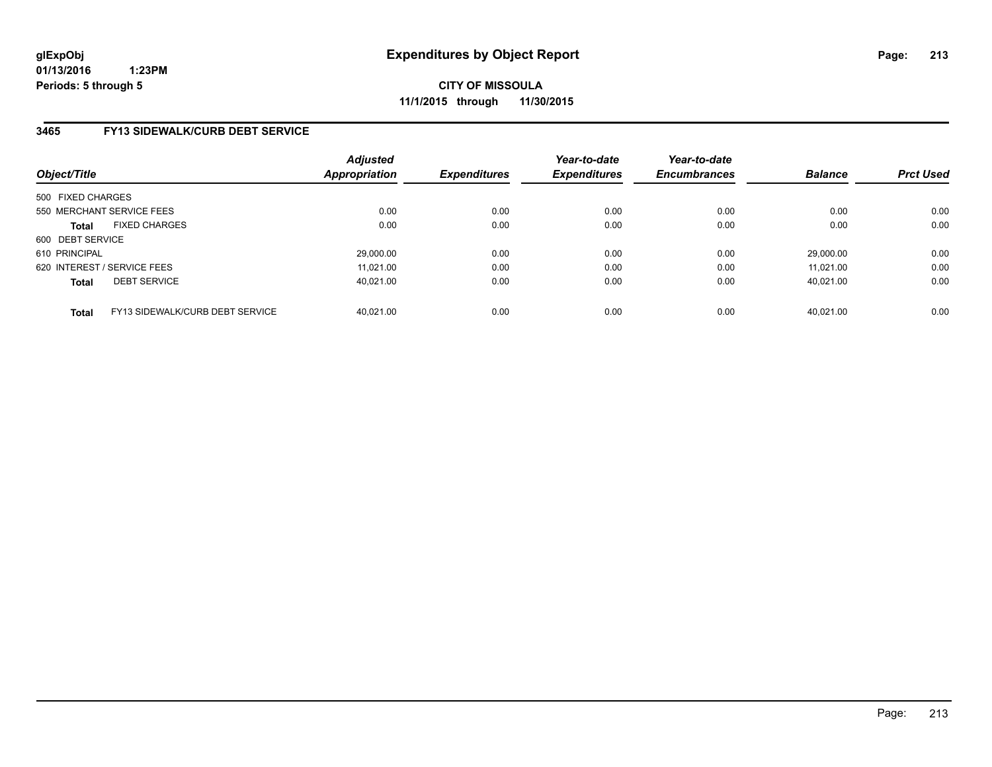**CITY OF MISSOULA 11/1/2015 through 11/30/2015**

### **3465 FY13 SIDEWALK/CURB DEBT SERVICE**

| Object/Title                |                                 | <b>Adjusted</b><br><b>Appropriation</b> | <b>Expenditures</b> | Year-to-date<br><b>Expenditures</b> | Year-to-date<br><b>Encumbrances</b> | <b>Balance</b> | <b>Prct Used</b> |
|-----------------------------|---------------------------------|-----------------------------------------|---------------------|-------------------------------------|-------------------------------------|----------------|------------------|
| 500 FIXED CHARGES           |                                 |                                         |                     |                                     |                                     |                |                  |
|                             | 550 MERCHANT SERVICE FEES       | 0.00                                    | 0.00                | 0.00                                | 0.00                                | 0.00           | 0.00             |
| <b>Total</b>                | <b>FIXED CHARGES</b>            | 0.00                                    | 0.00                | 0.00                                | 0.00                                | 0.00           | 0.00             |
| 600 DEBT SERVICE            |                                 |                                         |                     |                                     |                                     |                |                  |
| 610 PRINCIPAL               |                                 | 29,000.00                               | 0.00                | 0.00                                | 0.00                                | 29.000.00      | 0.00             |
| 620 INTEREST / SERVICE FEES |                                 | 11.021.00                               | 0.00                | 0.00                                | 0.00                                | 11.021.00      | 0.00             |
| <b>Total</b>                | <b>DEBT SERVICE</b>             | 40.021.00                               | 0.00                | 0.00                                | 0.00                                | 40.021.00      | 0.00             |
| <b>Total</b>                | FY13 SIDEWALK/CURB DEBT SERVICE | 40.021.00                               | 0.00                | 0.00                                | 0.00                                | 40.021.00      | 0.00             |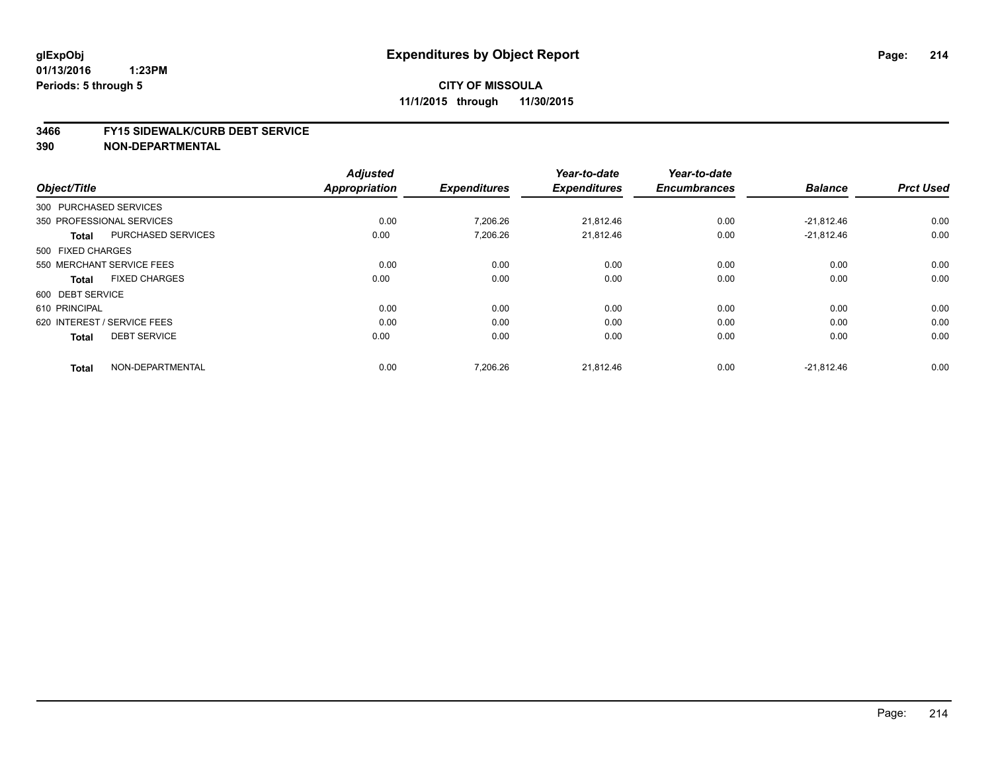#### **3466 FY15 SIDEWALK/CURB DEBT SERVICE**

|                                           | <b>Adjusted</b>      |                     | Year-to-date        | Year-to-date        |                |                  |
|-------------------------------------------|----------------------|---------------------|---------------------|---------------------|----------------|------------------|
| Object/Title                              | <b>Appropriation</b> | <b>Expenditures</b> | <b>Expenditures</b> | <b>Encumbrances</b> | <b>Balance</b> | <b>Prct Used</b> |
| 300 PURCHASED SERVICES                    |                      |                     |                     |                     |                |                  |
| 350 PROFESSIONAL SERVICES                 | 0.00                 | 7,206.26            | 21,812.46           | 0.00                | $-21,812.46$   | 0.00             |
| <b>PURCHASED SERVICES</b><br><b>Total</b> | 0.00                 | 7,206.26            | 21,812.46           | 0.00                | $-21,812.46$   | 0.00             |
| 500 FIXED CHARGES                         |                      |                     |                     |                     |                |                  |
| 550 MERCHANT SERVICE FEES                 | 0.00                 | 0.00                | 0.00                | 0.00                | 0.00           | 0.00             |
| <b>FIXED CHARGES</b><br><b>Total</b>      | 0.00                 | 0.00                | 0.00                | 0.00                | 0.00           | 0.00             |
| 600 DEBT SERVICE                          |                      |                     |                     |                     |                |                  |
| 610 PRINCIPAL                             | 0.00                 | 0.00                | 0.00                | 0.00                | 0.00           | 0.00             |
| 620 INTEREST / SERVICE FEES               | 0.00                 | 0.00                | 0.00                | 0.00                | 0.00           | 0.00             |
| <b>DEBT SERVICE</b><br><b>Total</b>       | 0.00                 | 0.00                | 0.00                | 0.00                | 0.00           | 0.00             |
| NON-DEPARTMENTAL<br><b>Total</b>          | 0.00                 | 7.206.26            | 21,812.46           | 0.00                | $-21.812.46$   | 0.00             |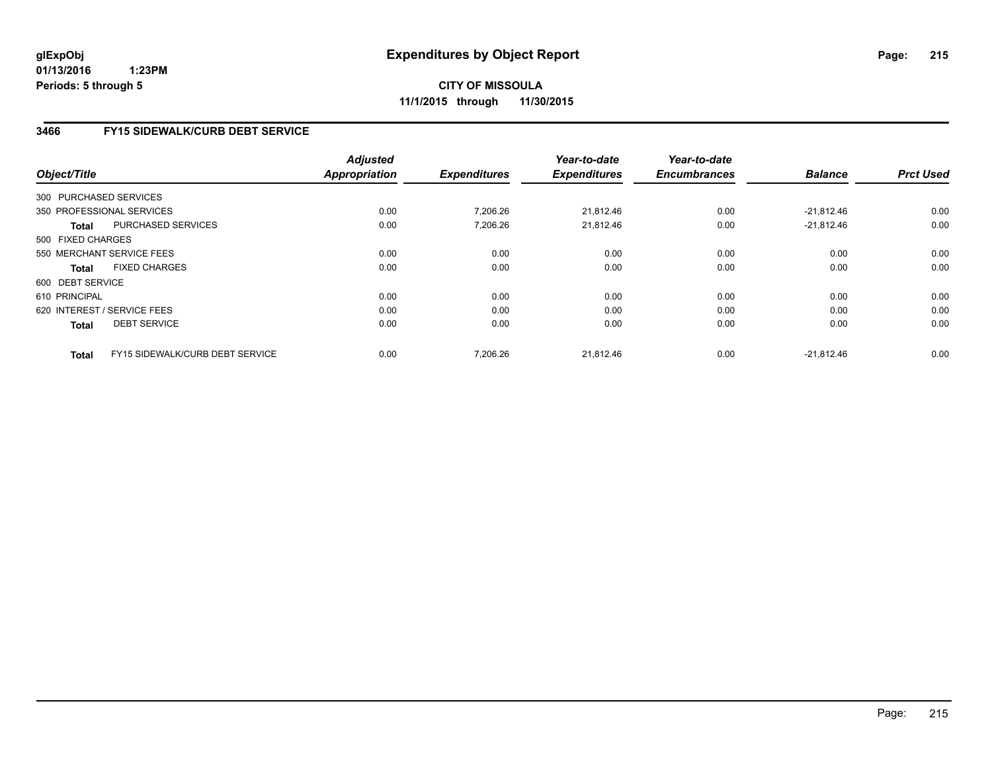**CITY OF MISSOULA 11/1/2015 through 11/30/2015**

### **3466 FY15 SIDEWALK/CURB DEBT SERVICE**

|                   |                                 | <b>Adjusted</b> |                     | Year-to-date        | Year-to-date        |                |                  |
|-------------------|---------------------------------|-----------------|---------------------|---------------------|---------------------|----------------|------------------|
| Object/Title      |                                 | Appropriation   | <b>Expenditures</b> | <b>Expenditures</b> | <b>Encumbrances</b> | <b>Balance</b> | <b>Prct Used</b> |
|                   | 300 PURCHASED SERVICES          |                 |                     |                     |                     |                |                  |
|                   | 350 PROFESSIONAL SERVICES       | 0.00            | 7,206.26            | 21,812.46           | 0.00                | $-21,812.46$   | 0.00             |
| <b>Total</b>      | <b>PURCHASED SERVICES</b>       | 0.00            | 7,206.26            | 21.812.46           | 0.00                | $-21.812.46$   | 0.00             |
| 500 FIXED CHARGES |                                 |                 |                     |                     |                     |                |                  |
|                   | 550 MERCHANT SERVICE FEES       | 0.00            | 0.00                | 0.00                | 0.00                | 0.00           | 0.00             |
| <b>Total</b>      | <b>FIXED CHARGES</b>            | 0.00            | 0.00                | 0.00                | 0.00                | 0.00           | 0.00             |
| 600 DEBT SERVICE  |                                 |                 |                     |                     |                     |                |                  |
| 610 PRINCIPAL     |                                 | 0.00            | 0.00                | 0.00                | 0.00                | 0.00           | 0.00             |
|                   | 620 INTEREST / SERVICE FEES     | 0.00            | 0.00                | 0.00                | 0.00                | 0.00           | 0.00             |
| <b>Total</b>      | <b>DEBT SERVICE</b>             | 0.00            | 0.00                | 0.00                | 0.00                | 0.00           | 0.00             |
| Total             | FY15 SIDEWALK/CURB DEBT SERVICE | 0.00            | 7.206.26            | 21.812.46           | 0.00                | $-21.812.46$   | 0.00             |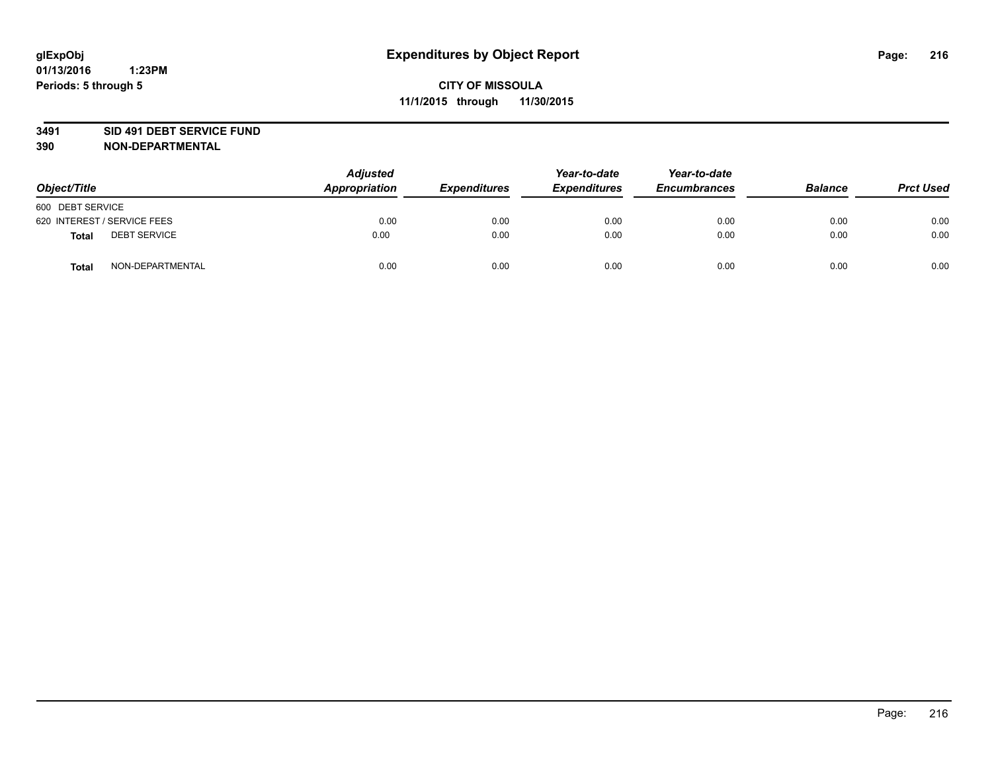#### **3491 SID 491 DEBT SERVICE FUND**

| Object/Title                        | <b>Adjusted</b><br>Appropriation | <b>Expenditures</b> | Year-to-date<br><b>Expenditures</b> | Year-to-date<br><b>Encumbrances</b> | <b>Balance</b> | <b>Prct Used</b> |
|-------------------------------------|----------------------------------|---------------------|-------------------------------------|-------------------------------------|----------------|------------------|
| 600 DEBT SERVICE                    |                                  |                     |                                     |                                     |                |                  |
| 620 INTEREST / SERVICE FEES         | 0.00                             | 0.00                | 0.00                                | 0.00                                | 0.00           | 0.00             |
| <b>DEBT SERVICE</b><br><b>Total</b> | 0.00                             | 0.00                | 0.00                                | 0.00                                | 0.00           | 0.00             |
| NON-DEPARTMENTAL<br><b>Total</b>    | 0.00                             | 0.00                | 0.00                                | 0.00                                | 0.00           | 0.00             |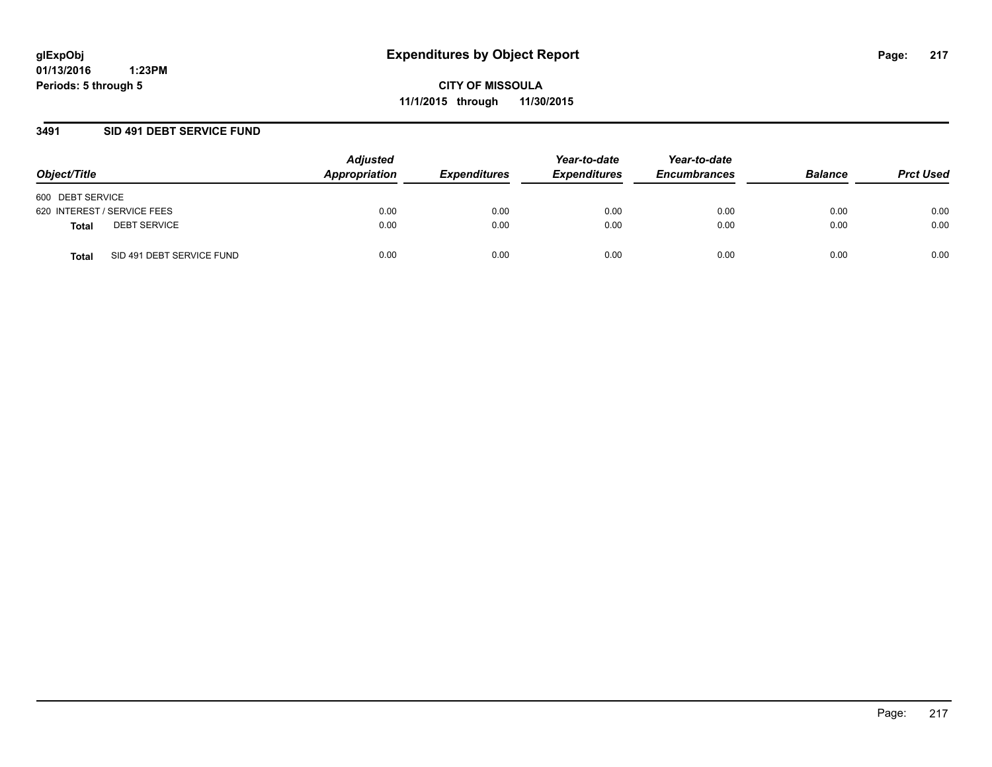**01/13/2016 1:23PM Periods: 5 through 5**

**CITY OF MISSOULA 11/1/2015 through 11/30/2015**

### **3491 SID 491 DEBT SERVICE FUND**

| Object/Title                       | <b>Adjusted</b><br>Appropriation | <b>Expenditures</b> | Year-to-date<br><b>Expenditures</b> | Year-to-date<br><b>Encumbrances</b> | <b>Balance</b> | <b>Prct Used</b> |
|------------------------------------|----------------------------------|---------------------|-------------------------------------|-------------------------------------|----------------|------------------|
| 600 DEBT SERVICE                   |                                  |                     |                                     |                                     |                |                  |
| 620 INTEREST / SERVICE FEES        | 0.00                             | 0.00                | 0.00                                | 0.00                                | 0.00           | 0.00             |
| <b>DEBT SERVICE</b><br>Total       | 0.00                             | 0.00                | 0.00                                | 0.00                                | 0.00           | 0.00             |
| SID 491 DEBT SERVICE FUND<br>Total | 0.00                             | 0.00                | 0.00                                | 0.00                                | 0.00           | 0.00             |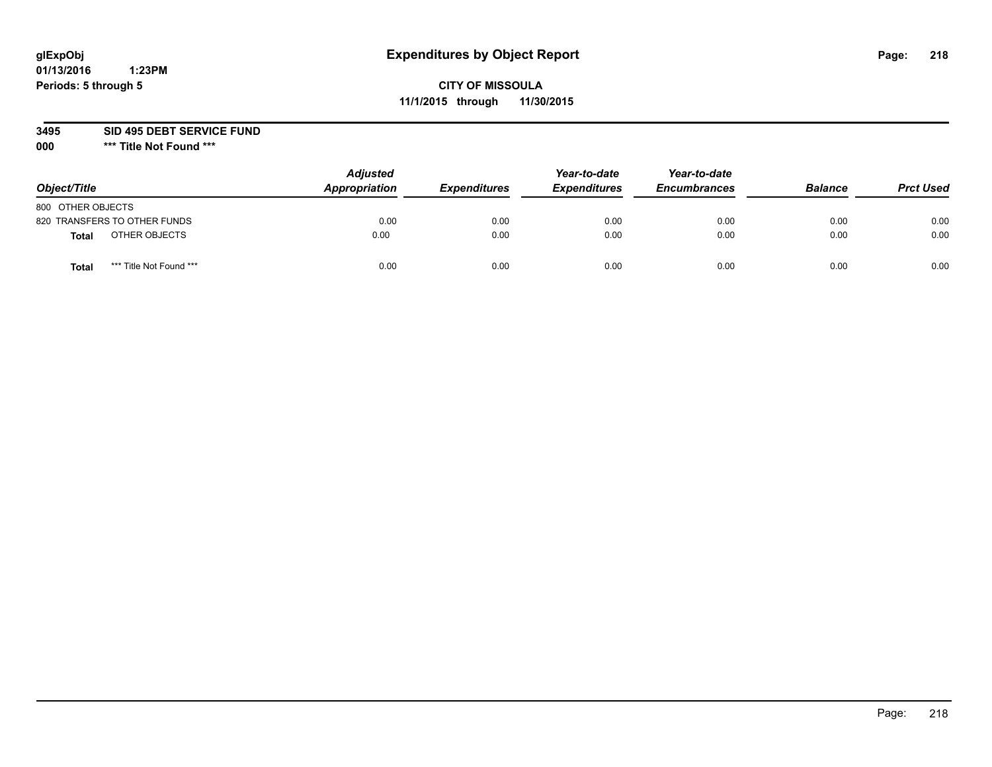# **CITY OF MISSOULA 11/1/2015 through 11/30/2015**

**3495 SID 495 DEBT SERVICE FUND**

| Object/Title                     | <b>Adjusted</b><br>Appropriation | <b>Expenditures</b> | Year-to-date<br><b>Expenditures</b> | Year-to-date<br><b>Encumbrances</b> | <b>Balance</b> | <b>Prct Used</b> |
|----------------------------------|----------------------------------|---------------------|-------------------------------------|-------------------------------------|----------------|------------------|
| 800 OTHER OBJECTS                |                                  |                     |                                     |                                     |                |                  |
| 820 TRANSFERS TO OTHER FUNDS     | 0.00                             | 0.00                | 0.00                                | 0.00                                | 0.00           | 0.00             |
| OTHER OBJECTS<br><b>Total</b>    | 0.00                             | 0.00                | 0.00                                | 0.00                                | 0.00           | 0.00             |
| *** Title Not Found ***<br>Total | 0.00                             | 0.00                | 0.00                                | 0.00                                | 0.00           | 0.00             |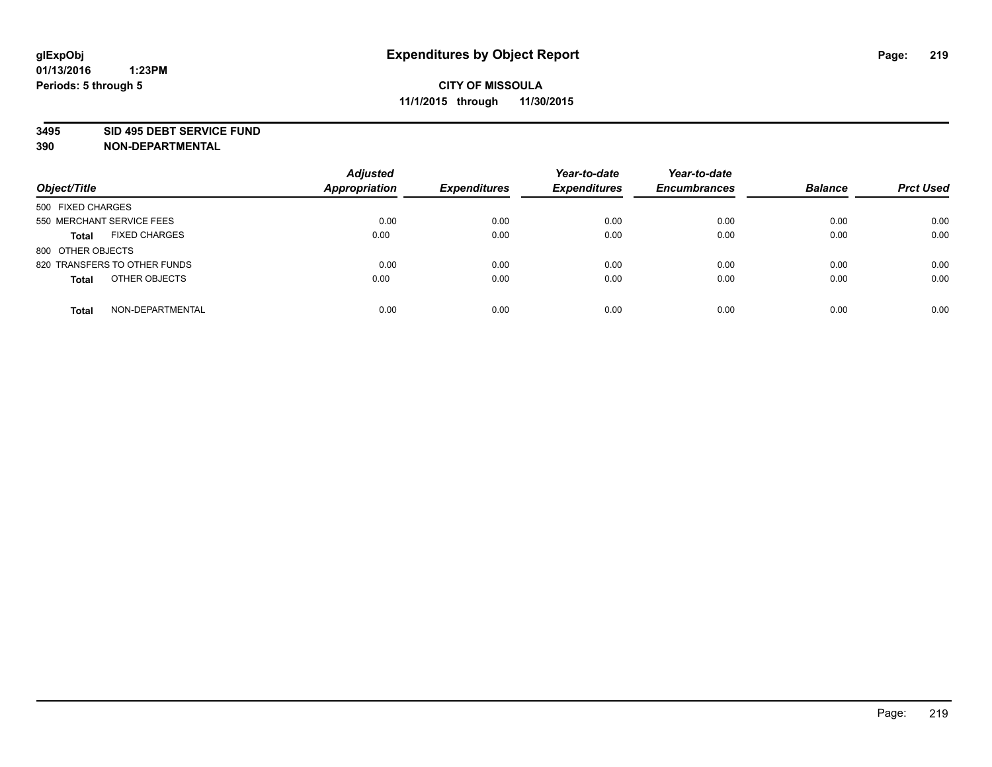#### **3495 SID 495 DEBT SERVICE FUND**

| Object/Title                         | <b>Adjusted</b><br><b>Appropriation</b> | <b>Expenditures</b> | Year-to-date<br><b>Expenditures</b> | Year-to-date<br><b>Encumbrances</b> | <b>Balance</b> | <b>Prct Used</b> |
|--------------------------------------|-----------------------------------------|---------------------|-------------------------------------|-------------------------------------|----------------|------------------|
| 500 FIXED CHARGES                    |                                         |                     |                                     |                                     |                |                  |
| 550 MERCHANT SERVICE FEES            | 0.00                                    | 0.00                | 0.00                                | 0.00                                | 0.00           | 0.00             |
| <b>FIXED CHARGES</b><br><b>Total</b> | 0.00                                    | 0.00                | 0.00                                | 0.00                                | 0.00           | 0.00             |
| 800 OTHER OBJECTS                    |                                         |                     |                                     |                                     |                |                  |
| 820 TRANSFERS TO OTHER FUNDS         | 0.00                                    | 0.00                | 0.00                                | 0.00                                | 0.00           | 0.00             |
| OTHER OBJECTS<br><b>Total</b>        | 0.00                                    | 0.00                | 0.00                                | 0.00                                | 0.00           | 0.00             |
| NON-DEPARTMENTAL<br><b>Total</b>     | 0.00                                    | 0.00                | 0.00                                | 0.00                                | 0.00           | 0.00             |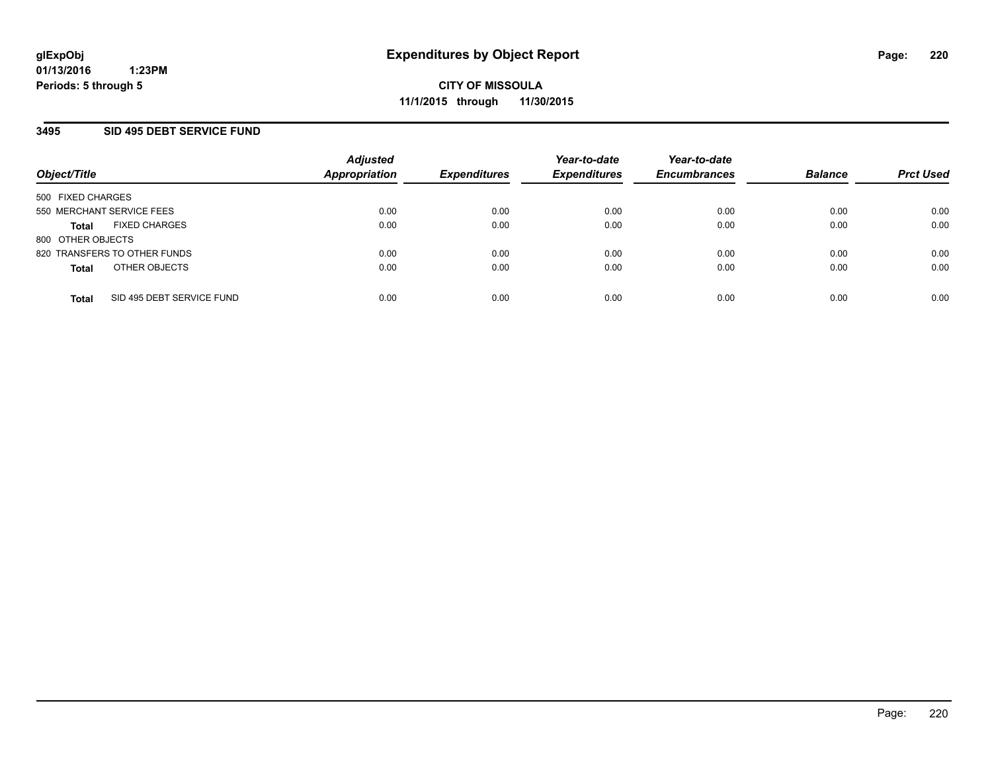### **3495 SID 495 DEBT SERVICE FUND**

| Object/Title                         | <b>Adjusted</b><br><b>Appropriation</b> | <b>Expenditures</b> | Year-to-date<br><b>Expenditures</b> | Year-to-date<br><b>Encumbrances</b> | <b>Balance</b> | <b>Prct Used</b> |
|--------------------------------------|-----------------------------------------|---------------------|-------------------------------------|-------------------------------------|----------------|------------------|
| 500 FIXED CHARGES                    |                                         |                     |                                     |                                     |                |                  |
| 550 MERCHANT SERVICE FEES            | 0.00                                    | 0.00                | 0.00                                | 0.00                                | 0.00           | 0.00             |
| <b>FIXED CHARGES</b><br><b>Total</b> | 0.00                                    | 0.00                | 0.00                                | 0.00                                | 0.00           | 0.00             |
| 800 OTHER OBJECTS                    |                                         |                     |                                     |                                     |                |                  |
| 820 TRANSFERS TO OTHER FUNDS         | 0.00                                    | 0.00                | 0.00                                | 0.00                                | 0.00           | 0.00             |
| OTHER OBJECTS<br><b>Total</b>        | 0.00                                    | 0.00                | 0.00                                | 0.00                                | 0.00           | 0.00             |
| SID 495 DEBT SERVICE FUND            | 0.00                                    | 0.00                | 0.00                                | 0.00                                | 0.00           | 0.00             |
| <b>Total</b>                         |                                         |                     |                                     |                                     |                |                  |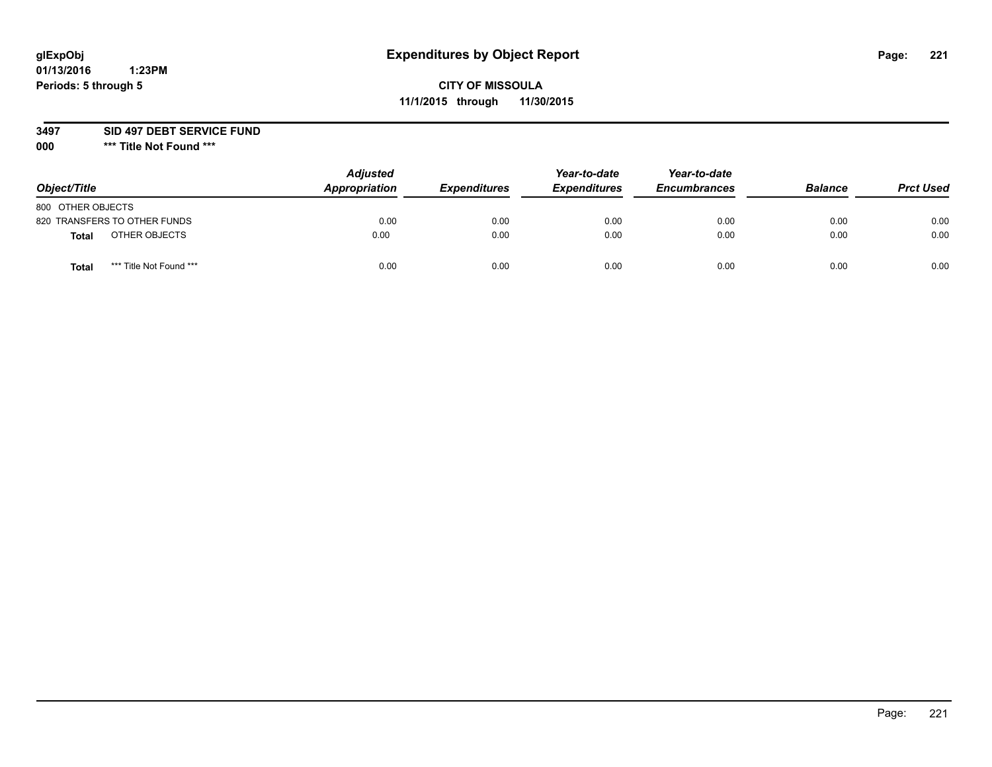# **CITY OF MISSOULA 11/1/2015 through 11/30/2015**

**3497 SID 497 DEBT SERVICE FUND**

| Object/Title                     | <b>Adjusted</b><br>Appropriation | <b>Expenditures</b> | Year-to-date<br><b>Expenditures</b> | Year-to-date<br><b>Encumbrances</b> | <b>Balance</b> | <b>Prct Used</b> |
|----------------------------------|----------------------------------|---------------------|-------------------------------------|-------------------------------------|----------------|------------------|
| 800 OTHER OBJECTS                |                                  |                     |                                     |                                     |                |                  |
| 820 TRANSFERS TO OTHER FUNDS     | 0.00                             | 0.00                | 0.00                                | 0.00                                | 0.00           | 0.00             |
| OTHER OBJECTS<br><b>Total</b>    | 0.00                             | 0.00                | 0.00                                | 0.00                                | 0.00           | 0.00             |
| *** Title Not Found ***<br>Total | 0.00                             | 0.00                | 0.00                                | 0.00                                | 0.00           | 0.00             |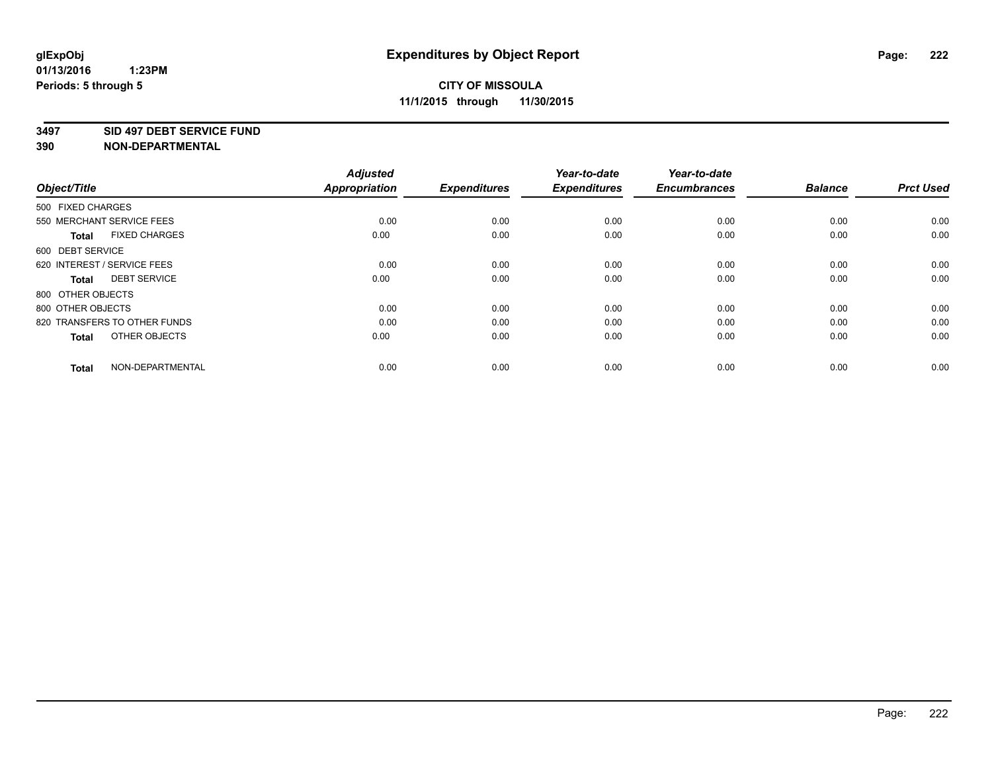### **3497 SID 497 DEBT SERVICE FUND**

| <b>Adjusted</b> |                      | Year-to-date        | Year-to-date        |                     |                  |
|-----------------|----------------------|---------------------|---------------------|---------------------|------------------|
|                 |                      |                     |                     |                     | <b>Prct Used</b> |
|                 |                      |                     |                     |                     |                  |
| 0.00            | 0.00                 | 0.00                | 0.00                | 0.00                | 0.00             |
| 0.00            | 0.00                 | 0.00                | 0.00                | 0.00                | 0.00             |
|                 |                      |                     |                     |                     |                  |
| 0.00            | 0.00                 | 0.00                | 0.00                | 0.00                | 0.00             |
| 0.00            | 0.00                 | 0.00                | 0.00                | 0.00                | 0.00             |
|                 |                      |                     |                     |                     |                  |
| 0.00            | 0.00                 | 0.00                | 0.00                | 0.00                | 0.00             |
| 0.00            | 0.00                 | 0.00                | 0.00                | 0.00                | 0.00             |
| 0.00            | 0.00                 | 0.00                | 0.00                | 0.00                | 0.00             |
| 0.00            | 0.00                 | 0.00                | 0.00                | 0.00                | 0.00             |
|                 | <b>Appropriation</b> | <b>Expenditures</b> | <b>Expenditures</b> | <b>Encumbrances</b> | <b>Balance</b>   |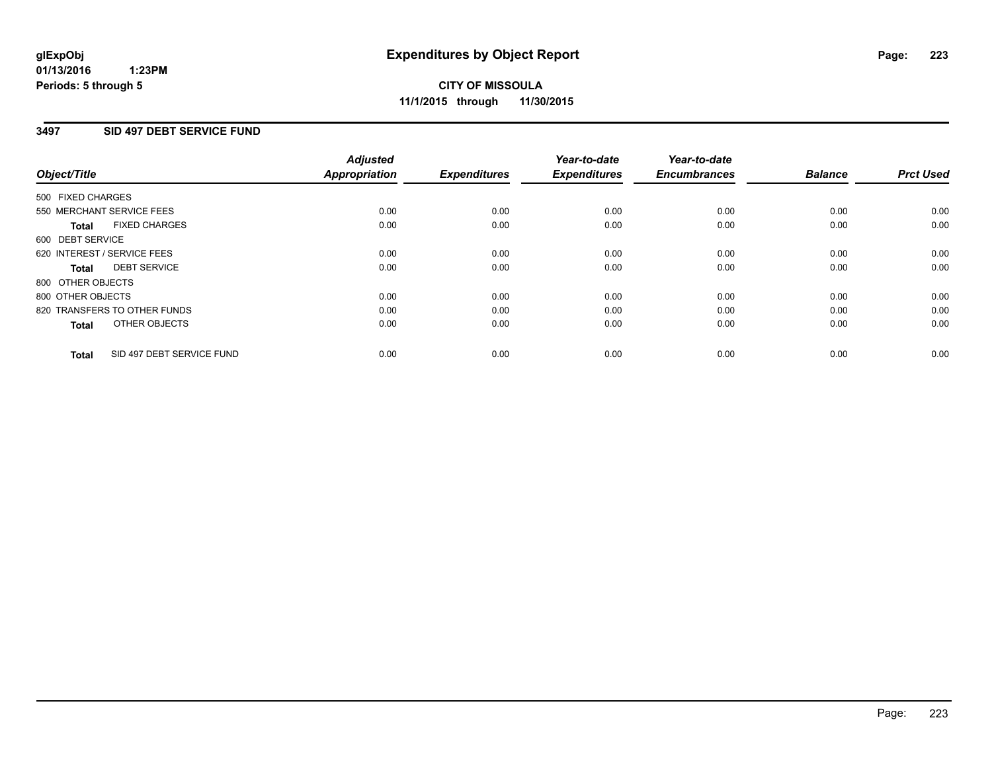### **3497 SID 497 DEBT SERVICE FUND**

| Object/Title      |                              | <b>Adjusted</b><br>Appropriation | <b>Expenditures</b> | Year-to-date<br><b>Expenditures</b> | Year-to-date<br><b>Encumbrances</b> | <b>Balance</b> | <b>Prct Used</b> |
|-------------------|------------------------------|----------------------------------|---------------------|-------------------------------------|-------------------------------------|----------------|------------------|
| 500 FIXED CHARGES |                              |                                  |                     |                                     |                                     |                |                  |
|                   | 550 MERCHANT SERVICE FEES    | 0.00                             | 0.00                | 0.00                                | 0.00                                | 0.00           | 0.00             |
| <b>Total</b>      | <b>FIXED CHARGES</b>         | 0.00                             | 0.00                | 0.00                                | 0.00                                | 0.00           | 0.00             |
| 600 DEBT SERVICE  |                              |                                  |                     |                                     |                                     |                |                  |
|                   | 620 INTEREST / SERVICE FEES  | 0.00                             | 0.00                | 0.00                                | 0.00                                | 0.00           | 0.00             |
| Total             | <b>DEBT SERVICE</b>          | 0.00                             | 0.00                | 0.00                                | 0.00                                | 0.00           | 0.00             |
| 800 OTHER OBJECTS |                              |                                  |                     |                                     |                                     |                |                  |
| 800 OTHER OBJECTS |                              | 0.00                             | 0.00                | 0.00                                | 0.00                                | 0.00           | 0.00             |
|                   | 820 TRANSFERS TO OTHER FUNDS | 0.00                             | 0.00                | 0.00                                | 0.00                                | 0.00           | 0.00             |
| <b>Total</b>      | OTHER OBJECTS                | 0.00                             | 0.00                | 0.00                                | 0.00                                | 0.00           | 0.00             |
| <b>Total</b>      | SID 497 DEBT SERVICE FUND    | 0.00                             | 0.00                | 0.00                                | 0.00                                | 0.00           | 0.00             |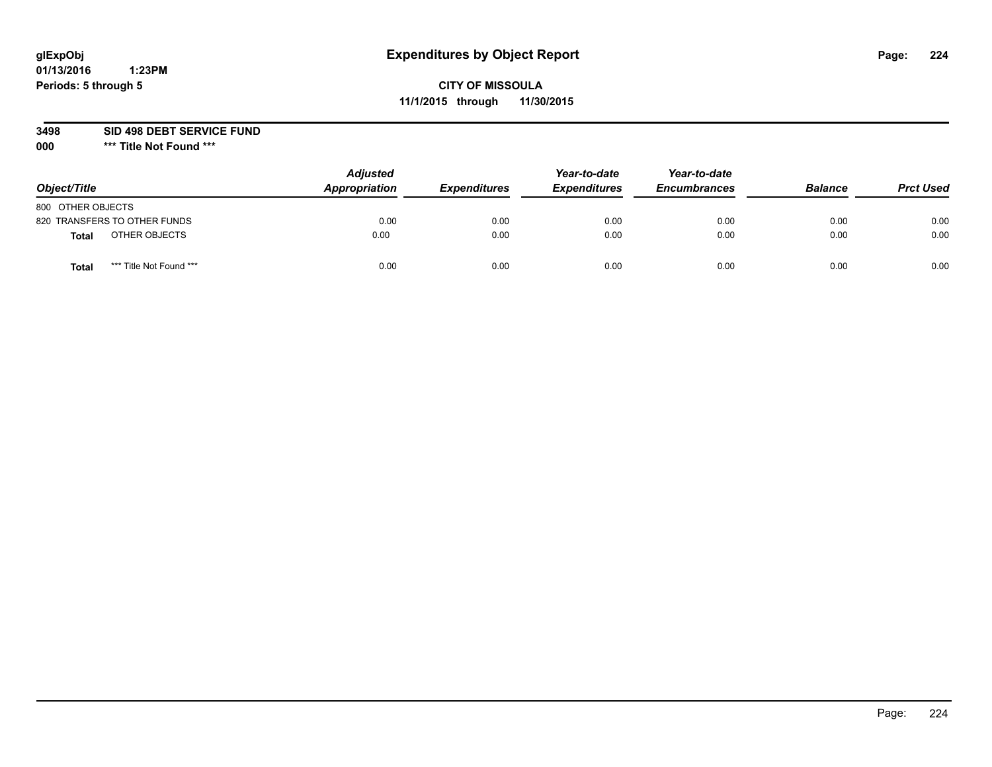# **CITY OF MISSOULA 11/1/2015 through 11/30/2015**

**3498 SID 498 DEBT SERVICE FUND**

| Object/Title                            | <b>Adjusted</b><br>Appropriation | <b>Expenditures</b> | Year-to-date<br><b>Expenditures</b> | Year-to-date<br><b>Encumbrances</b> | <b>Balance</b> | <b>Prct Used</b> |
|-----------------------------------------|----------------------------------|---------------------|-------------------------------------|-------------------------------------|----------------|------------------|
| 800 OTHER OBJECTS                       |                                  |                     |                                     |                                     |                |                  |
| 820 TRANSFERS TO OTHER FUNDS            | 0.00                             | 0.00                | 0.00                                | 0.00                                | 0.00           | 0.00             |
| OTHER OBJECTS<br><b>Total</b>           | 0.00                             | 0.00                | 0.00                                | 0.00                                | 0.00           | 0.00             |
| *** Title Not Found ***<br><b>Total</b> | 0.00                             | 0.00                | 0.00                                | 0.00                                | 0.00           | 0.00             |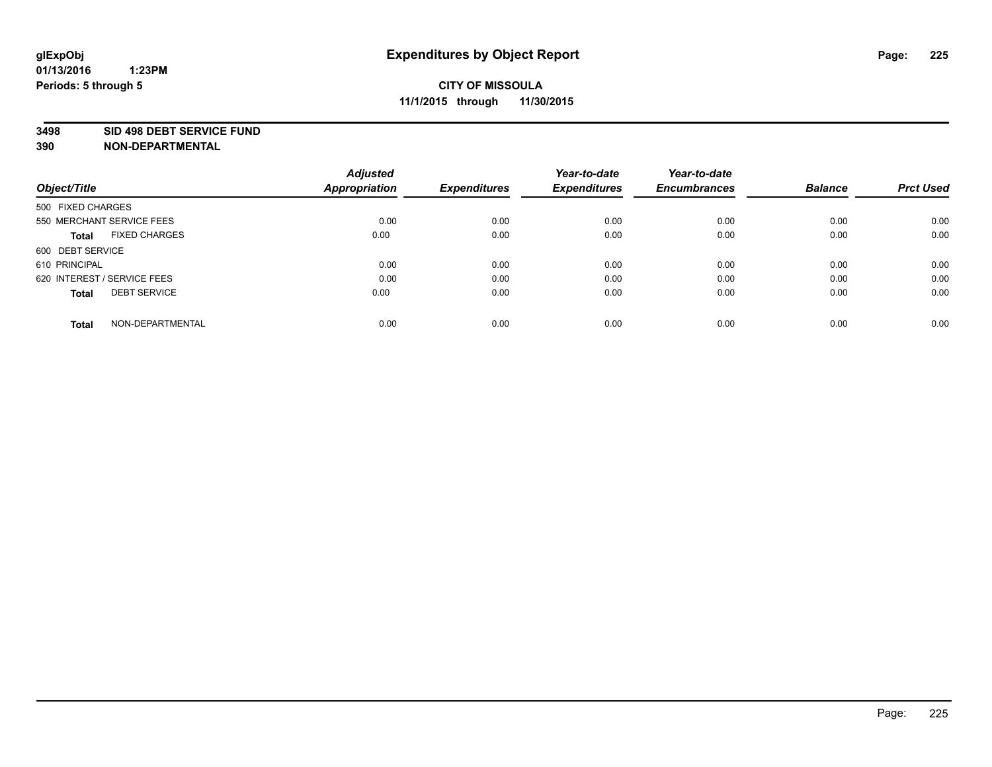### **3498 SID 498 DEBT SERVICE FUND**

| Object/Title                         | <b>Adjusted</b><br><b>Appropriation</b> | <b>Expenditures</b> | Year-to-date<br><b>Expenditures</b> | Year-to-date<br><b>Encumbrances</b> | <b>Balance</b> | <b>Prct Used</b> |
|--------------------------------------|-----------------------------------------|---------------------|-------------------------------------|-------------------------------------|----------------|------------------|
|                                      |                                         |                     |                                     |                                     |                |                  |
| 500 FIXED CHARGES                    |                                         |                     |                                     |                                     |                |                  |
| 550 MERCHANT SERVICE FEES            | 0.00                                    | 0.00                | 0.00                                | 0.00                                | 0.00           | 0.00             |
| <b>FIXED CHARGES</b><br><b>Total</b> | 0.00                                    | 0.00                | 0.00                                | 0.00                                | 0.00           | 0.00             |
| 600 DEBT SERVICE                     |                                         |                     |                                     |                                     |                |                  |
| 610 PRINCIPAL                        | 0.00                                    | 0.00                | 0.00                                | 0.00                                | 0.00           | 0.00             |
| 620 INTEREST / SERVICE FEES          | 0.00                                    | 0.00                | 0.00                                | 0.00                                | 0.00           | 0.00             |
| <b>DEBT SERVICE</b><br><b>Total</b>  | 0.00                                    | 0.00                | 0.00                                | 0.00                                | 0.00           | 0.00             |
|                                      |                                         |                     |                                     |                                     |                |                  |
| NON-DEPARTMENTAL<br><b>Total</b>     | 0.00                                    | 0.00                | 0.00                                | 0.00                                | 0.00           | 0.00             |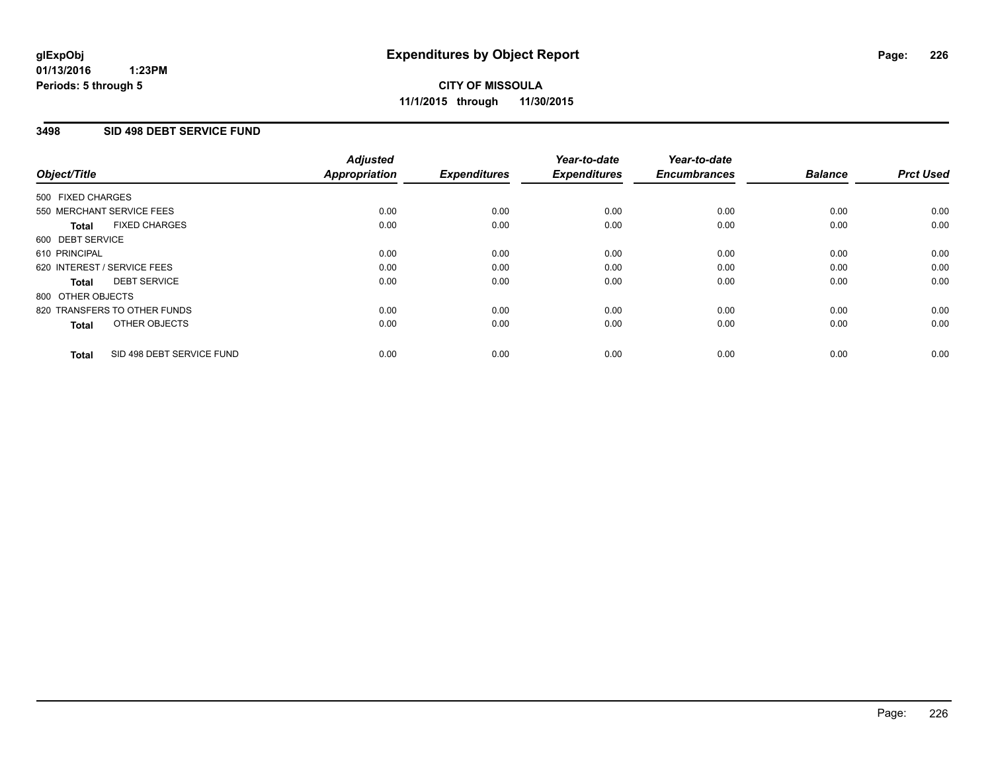### **3498 SID 498 DEBT SERVICE FUND**

| Object/Title                              | <b>Adjusted</b><br><b>Appropriation</b> | <b>Expenditures</b> | Year-to-date<br><b>Expenditures</b> | Year-to-date<br><b>Encumbrances</b> | <b>Balance</b> | <b>Prct Used</b> |
|-------------------------------------------|-----------------------------------------|---------------------|-------------------------------------|-------------------------------------|----------------|------------------|
|                                           |                                         |                     |                                     |                                     |                |                  |
| 500 FIXED CHARGES                         |                                         |                     |                                     |                                     |                |                  |
| 550 MERCHANT SERVICE FEES                 | 0.00                                    | 0.00                | 0.00                                | 0.00                                | 0.00           | 0.00             |
| <b>FIXED CHARGES</b><br>Total             | 0.00                                    | 0.00                | 0.00                                | 0.00                                | 0.00           | 0.00             |
| 600 DEBT SERVICE                          |                                         |                     |                                     |                                     |                |                  |
| 610 PRINCIPAL                             | 0.00                                    | 0.00                | 0.00                                | 0.00                                | 0.00           | 0.00             |
| 620 INTEREST / SERVICE FEES               | 0.00                                    | 0.00                | 0.00                                | 0.00                                | 0.00           | 0.00             |
| <b>DEBT SERVICE</b><br><b>Total</b>       | 0.00                                    | 0.00                | 0.00                                | 0.00                                | 0.00           | 0.00             |
| 800 OTHER OBJECTS                         |                                         |                     |                                     |                                     |                |                  |
| 820 TRANSFERS TO OTHER FUNDS              | 0.00                                    | 0.00                | 0.00                                | 0.00                                | 0.00           | 0.00             |
| OTHER OBJECTS<br><b>Total</b>             | 0.00                                    | 0.00                | 0.00                                | 0.00                                | 0.00           | 0.00             |
|                                           |                                         |                     |                                     |                                     |                |                  |
| SID 498 DEBT SERVICE FUND<br><b>Total</b> | 0.00                                    | 0.00                | 0.00                                | 0.00                                | 0.00           | 0.00             |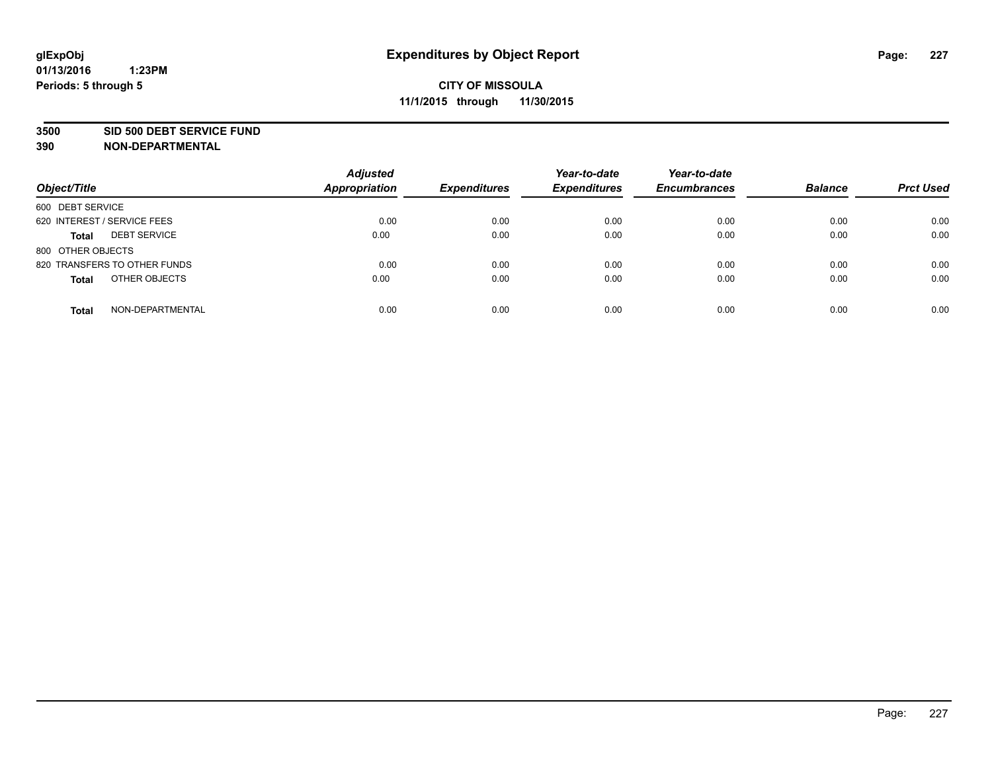### **3500 SID 500 DEBT SERVICE FUND**

**390 NON-DEPARTMENTAL**

**01/13/2016**

**Periods: 5 through 5**

| Object/Title                        | <b>Adjusted</b><br>Appropriation | <b>Expenditures</b> | Year-to-date<br><b>Expenditures</b> | Year-to-date<br><b>Encumbrances</b> | <b>Balance</b> | <b>Prct Used</b> |
|-------------------------------------|----------------------------------|---------------------|-------------------------------------|-------------------------------------|----------------|------------------|
| 600 DEBT SERVICE                    |                                  |                     |                                     |                                     |                |                  |
| 620 INTEREST / SERVICE FEES         | 0.00                             | 0.00                | 0.00                                | 0.00                                | 0.00           | 0.00             |
| <b>DEBT SERVICE</b><br><b>Total</b> | 0.00                             | 0.00                | 0.00                                | 0.00                                | 0.00           | 0.00             |
| 800 OTHER OBJECTS                   |                                  |                     |                                     |                                     |                |                  |
| 820 TRANSFERS TO OTHER FUNDS        | 0.00                             | 0.00                | 0.00                                | 0.00                                | 0.00           | 0.00             |
| OTHER OBJECTS<br><b>Total</b>       | 0.00                             | 0.00                | 0.00                                | 0.00                                | 0.00           | 0.00             |
| NON-DEPARTMENTAL<br><b>Total</b>    | 0.00                             | 0.00                | 0.00                                | 0.00                                | 0.00           | 0.00             |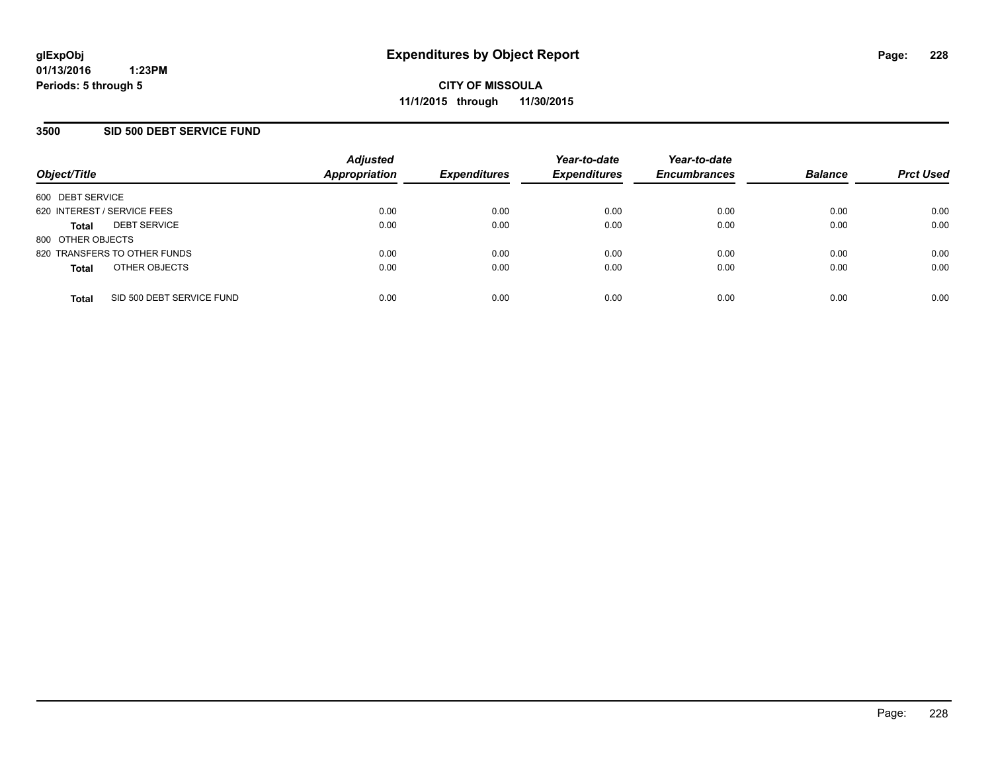### **3500 SID 500 DEBT SERVICE FUND**

| Object/Title                |                              | <b>Adjusted</b><br><b>Appropriation</b> | <b>Expenditures</b> | Year-to-date<br><b>Expenditures</b> | Year-to-date<br><b>Encumbrances</b> | <b>Balance</b> | <b>Prct Used</b> |
|-----------------------------|------------------------------|-----------------------------------------|---------------------|-------------------------------------|-------------------------------------|----------------|------------------|
| 600 DEBT SERVICE            |                              |                                         |                     |                                     |                                     |                |                  |
| 620 INTEREST / SERVICE FEES |                              | 0.00                                    | 0.00                | 0.00                                | 0.00                                | 0.00           | 0.00             |
| <b>Total</b>                | <b>DEBT SERVICE</b>          | 0.00                                    | 0.00                | 0.00                                | 0.00                                | 0.00           | 0.00             |
| 800 OTHER OBJECTS           |                              |                                         |                     |                                     |                                     |                |                  |
|                             | 820 TRANSFERS TO OTHER FUNDS | 0.00                                    | 0.00                | 0.00                                | 0.00                                | 0.00           | 0.00             |
| <b>Total</b>                | OTHER OBJECTS                | 0.00                                    | 0.00                | 0.00                                | 0.00                                | 0.00           | 0.00             |
| <b>Total</b>                | SID 500 DEBT SERVICE FUND    | 0.00                                    | 0.00                | 0.00                                | 0.00                                | 0.00           | 0.00             |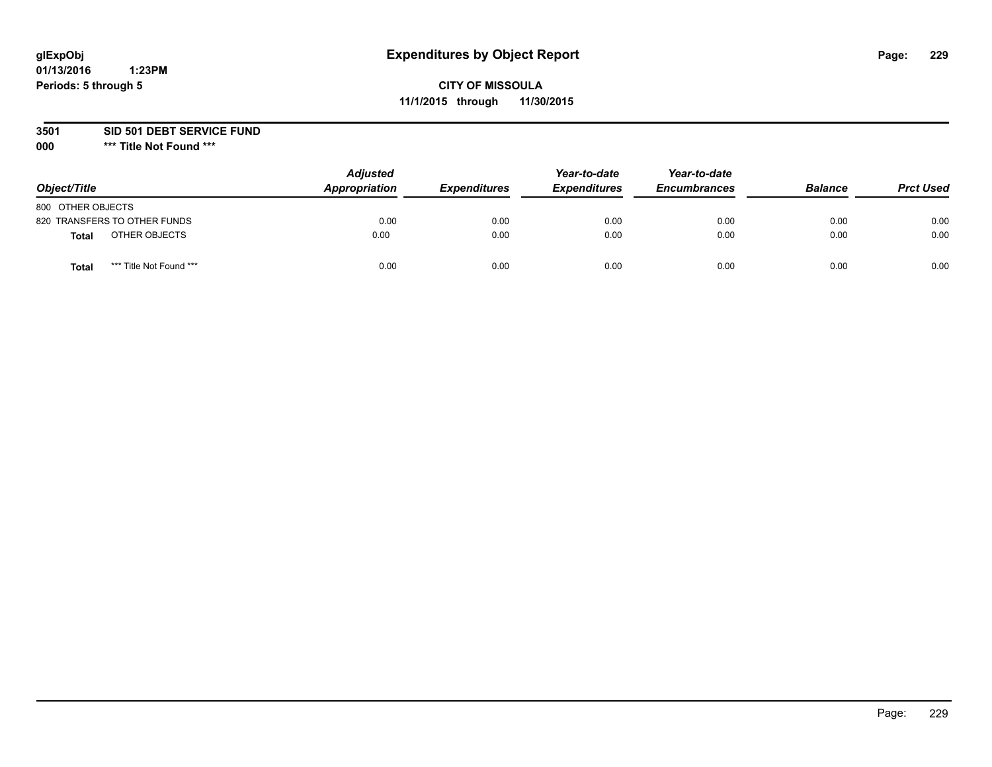# **CITY OF MISSOULA 11/1/2015 through 11/30/2015**

**3501 SID 501 DEBT SERVICE FUND**

| Object/Title                     | <b>Adjusted</b><br>Appropriation | <b>Expenditures</b> | Year-to-date<br><b>Expenditures</b> | Year-to-date<br><b>Encumbrances</b> | <b>Balance</b> | <b>Prct Used</b> |
|----------------------------------|----------------------------------|---------------------|-------------------------------------|-------------------------------------|----------------|------------------|
| 800 OTHER OBJECTS                |                                  |                     |                                     |                                     |                |                  |
| 820 TRANSFERS TO OTHER FUNDS     | 0.00                             | 0.00                | 0.00                                | 0.00                                | 0.00           | 0.00             |
| OTHER OBJECTS<br><b>Total</b>    | 0.00                             | 0.00                | 0.00                                | 0.00                                | 0.00           | 0.00             |
| *** Title Not Found ***<br>Total | 0.00                             | 0.00                | 0.00                                | 0.00                                | 0.00           | 0.00             |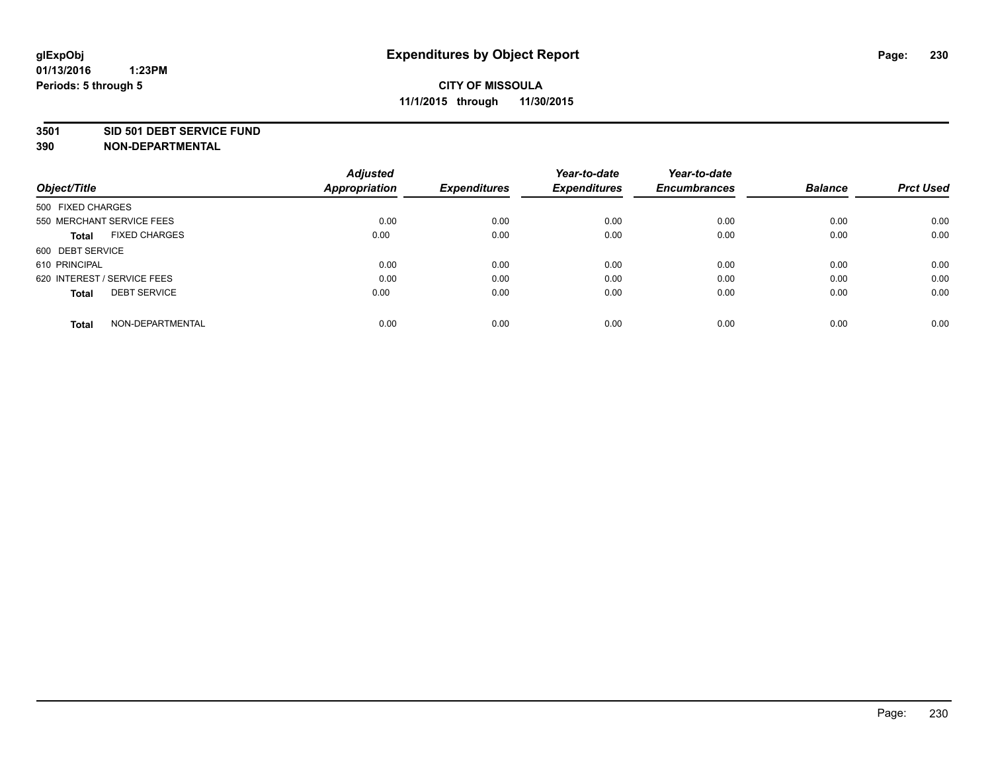### **3501 SID 501 DEBT SERVICE FUND**

| Object/Title                         | <b>Adjusted</b><br><b>Appropriation</b> | <b>Expenditures</b> | Year-to-date<br><b>Expenditures</b> | Year-to-date<br><b>Encumbrances</b> | <b>Balance</b> | <b>Prct Used</b> |
|--------------------------------------|-----------------------------------------|---------------------|-------------------------------------|-------------------------------------|----------------|------------------|
|                                      |                                         |                     |                                     |                                     |                |                  |
| 500 FIXED CHARGES                    |                                         |                     |                                     |                                     |                |                  |
| 550 MERCHANT SERVICE FEES            | 0.00                                    | 0.00                | 0.00                                | 0.00                                | 0.00           | 0.00             |
| <b>FIXED CHARGES</b><br><b>Total</b> | 0.00                                    | 0.00                | 0.00                                | 0.00                                | 0.00           | 0.00             |
| 600 DEBT SERVICE                     |                                         |                     |                                     |                                     |                |                  |
| 610 PRINCIPAL                        | 0.00                                    | 0.00                | 0.00                                | 0.00                                | 0.00           | 0.00             |
| 620 INTEREST / SERVICE FEES          | 0.00                                    | 0.00                | 0.00                                | 0.00                                | 0.00           | 0.00             |
| <b>DEBT SERVICE</b><br><b>Total</b>  | 0.00                                    | 0.00                | 0.00                                | 0.00                                | 0.00           | 0.00             |
|                                      |                                         |                     |                                     |                                     |                |                  |
| NON-DEPARTMENTAL<br><b>Total</b>     | 0.00                                    | 0.00                | 0.00                                | 0.00                                | 0.00           | 0.00             |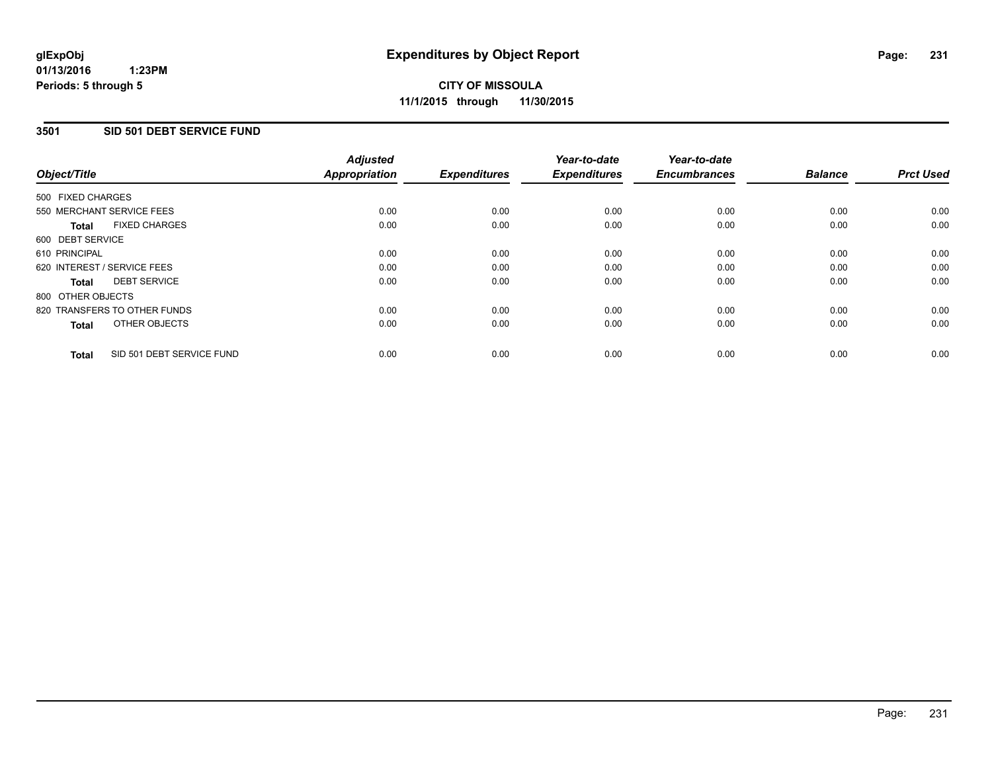# **3501 SID 501 DEBT SERVICE FUND**

| Object/Title      |                              | <b>Adjusted</b><br>Appropriation | <b>Expenditures</b> | Year-to-date<br><b>Expenditures</b> | Year-to-date<br><b>Encumbrances</b> | <b>Balance</b> | <b>Prct Used</b> |
|-------------------|------------------------------|----------------------------------|---------------------|-------------------------------------|-------------------------------------|----------------|------------------|
| 500 FIXED CHARGES |                              |                                  |                     |                                     |                                     |                |                  |
|                   | 550 MERCHANT SERVICE FEES    | 0.00                             | 0.00                | 0.00                                | 0.00                                | 0.00           | 0.00             |
| <b>Total</b>      | <b>FIXED CHARGES</b>         | 0.00                             | 0.00                | 0.00                                | 0.00                                | 0.00           | 0.00             |
| 600 DEBT SERVICE  |                              |                                  |                     |                                     |                                     |                |                  |
| 610 PRINCIPAL     |                              | 0.00                             | 0.00                | 0.00                                | 0.00                                | 0.00           | 0.00             |
|                   | 620 INTEREST / SERVICE FEES  | 0.00                             | 0.00                | 0.00                                | 0.00                                | 0.00           | 0.00             |
| Total             | <b>DEBT SERVICE</b>          | 0.00                             | 0.00                | 0.00                                | 0.00                                | 0.00           | 0.00             |
| 800 OTHER OBJECTS |                              |                                  |                     |                                     |                                     |                |                  |
|                   | 820 TRANSFERS TO OTHER FUNDS | 0.00                             | 0.00                | 0.00                                | 0.00                                | 0.00           | 0.00             |
| <b>Total</b>      | OTHER OBJECTS                | 0.00                             | 0.00                | 0.00                                | 0.00                                | 0.00           | 0.00             |
| <b>Total</b>      | SID 501 DEBT SERVICE FUND    | 0.00                             | 0.00                | 0.00                                | 0.00                                | 0.00           | 0.00             |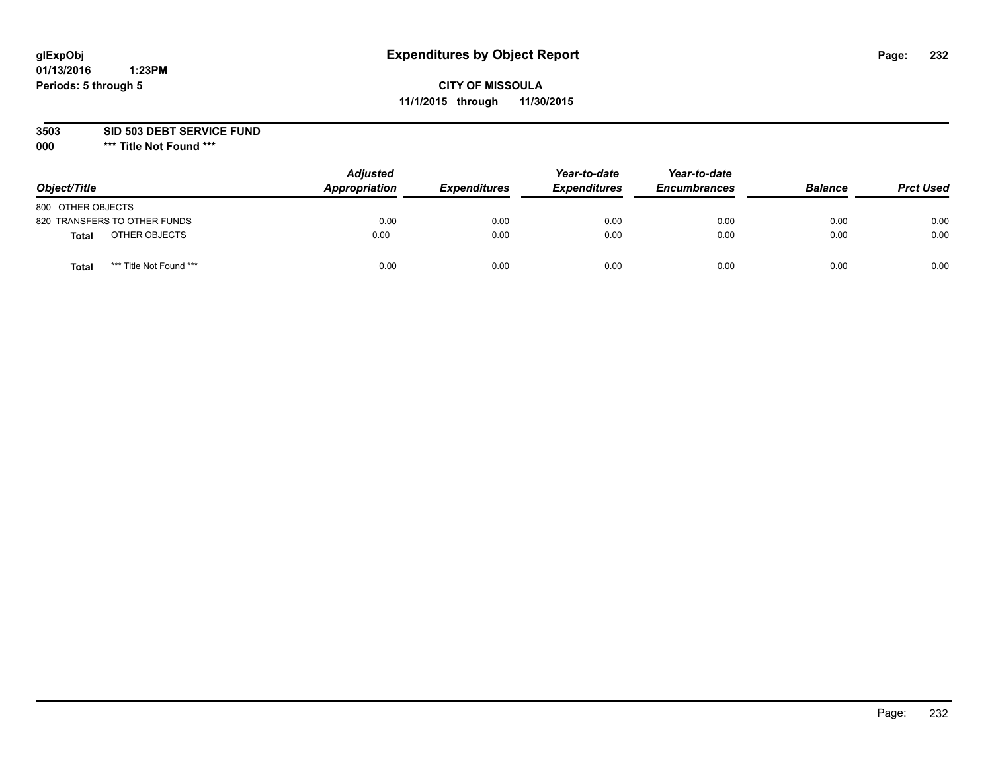# **CITY OF MISSOULA 11/1/2015 through 11/30/2015**

**3503 SID 503 DEBT SERVICE FUND**

| Object/Title                            | <b>Adjusted</b><br>Appropriation | <b>Expenditures</b> | Year-to-date<br><b>Expenditures</b> | Year-to-date<br><b>Encumbrances</b> | <b>Balance</b> | <b>Prct Used</b> |
|-----------------------------------------|----------------------------------|---------------------|-------------------------------------|-------------------------------------|----------------|------------------|
| 800 OTHER OBJECTS                       |                                  |                     |                                     |                                     |                |                  |
| 820 TRANSFERS TO OTHER FUNDS            | 0.00                             | 0.00                | 0.00                                | 0.00                                | 0.00           | 0.00             |
| OTHER OBJECTS<br><b>Total</b>           | 0.00                             | 0.00                | 0.00                                | 0.00                                | 0.00           | 0.00             |
| *** Title Not Found ***<br><b>Total</b> | 0.00                             | 0.00                | 0.00                                | 0.00                                | 0.00           | 0.00             |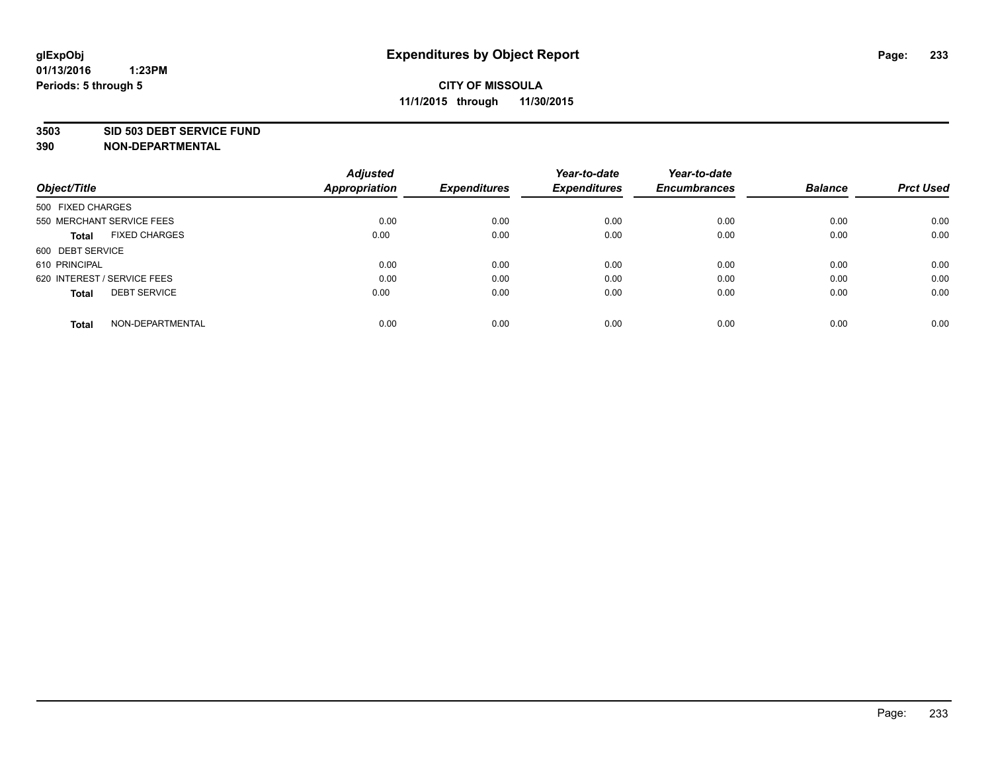### **3503 SID 503 DEBT SERVICE FUND**

| Object/Title                         | <b>Adjusted</b><br><b>Appropriation</b> | <b>Expenditures</b> | Year-to-date<br><b>Expenditures</b> | Year-to-date<br><b>Encumbrances</b> | <b>Balance</b> | <b>Prct Used</b> |
|--------------------------------------|-----------------------------------------|---------------------|-------------------------------------|-------------------------------------|----------------|------------------|
|                                      |                                         |                     |                                     |                                     |                |                  |
| 500 FIXED CHARGES                    |                                         |                     |                                     |                                     |                |                  |
| 550 MERCHANT SERVICE FEES            | 0.00                                    | 0.00                | 0.00                                | 0.00                                | 0.00           | 0.00             |
| <b>FIXED CHARGES</b><br><b>Total</b> | 0.00                                    | 0.00                | 0.00                                | 0.00                                | 0.00           | 0.00             |
| 600 DEBT SERVICE                     |                                         |                     |                                     |                                     |                |                  |
| 610 PRINCIPAL                        | 0.00                                    | 0.00                | 0.00                                | 0.00                                | 0.00           | 0.00             |
| 620 INTEREST / SERVICE FEES          | 0.00                                    | 0.00                | 0.00                                | 0.00                                | 0.00           | 0.00             |
| <b>DEBT SERVICE</b><br><b>Total</b>  | 0.00                                    | 0.00                | 0.00                                | 0.00                                | 0.00           | 0.00             |
|                                      |                                         |                     |                                     |                                     |                |                  |
| NON-DEPARTMENTAL<br><b>Total</b>     | 0.00                                    | 0.00                | 0.00                                | 0.00                                | 0.00           | 0.00             |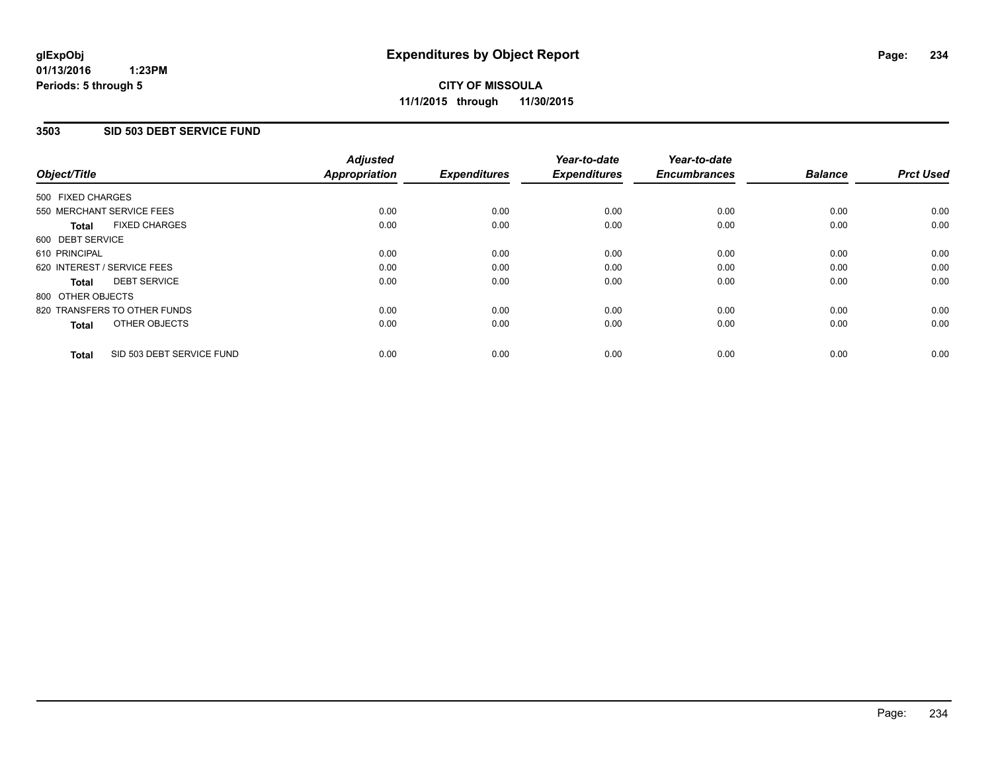### **3503 SID 503 DEBT SERVICE FUND**

| Object/Title                              | <b>Adjusted</b><br><b>Appropriation</b> | <b>Expenditures</b> | Year-to-date<br><b>Expenditures</b> | Year-to-date<br><b>Encumbrances</b> | <b>Balance</b> | <b>Prct Used</b> |
|-------------------------------------------|-----------------------------------------|---------------------|-------------------------------------|-------------------------------------|----------------|------------------|
|                                           |                                         |                     |                                     |                                     |                |                  |
| 500 FIXED CHARGES                         |                                         |                     |                                     |                                     |                |                  |
| 550 MERCHANT SERVICE FEES                 | 0.00                                    | 0.00                | 0.00                                | 0.00                                | 0.00           | 0.00             |
| <b>FIXED CHARGES</b><br><b>Total</b>      | 0.00                                    | 0.00                | 0.00                                | 0.00                                | 0.00           | 0.00             |
| 600 DEBT SERVICE                          |                                         |                     |                                     |                                     |                |                  |
| 610 PRINCIPAL                             | 0.00                                    | 0.00                | 0.00                                | 0.00                                | 0.00           | 0.00             |
| 620 INTEREST / SERVICE FEES               | 0.00                                    | 0.00                | 0.00                                | 0.00                                | 0.00           | 0.00             |
| <b>DEBT SERVICE</b><br><b>Total</b>       | 0.00                                    | 0.00                | 0.00                                | 0.00                                | 0.00           | 0.00             |
| 800 OTHER OBJECTS                         |                                         |                     |                                     |                                     |                |                  |
| 820 TRANSFERS TO OTHER FUNDS              | 0.00                                    | 0.00                | 0.00                                | 0.00                                | 0.00           | 0.00             |
| OTHER OBJECTS<br><b>Total</b>             | 0.00                                    | 0.00                | 0.00                                | 0.00                                | 0.00           | 0.00             |
| SID 503 DEBT SERVICE FUND<br><b>Total</b> | 0.00                                    | 0.00                | 0.00                                | 0.00                                | 0.00           | 0.00             |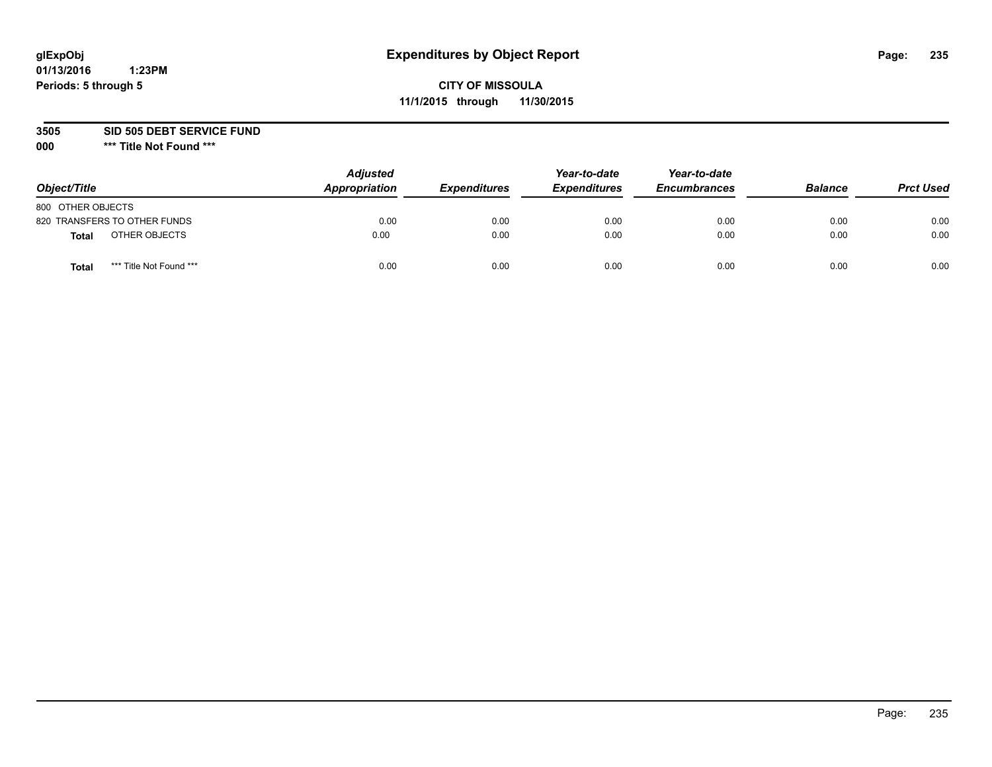# **CITY OF MISSOULA 11/1/2015 through 11/30/2015**

**3505 SID 505 DEBT SERVICE FUND**

| Object/Title                     | <b>Adjusted</b><br>Appropriation | <b>Expenditures</b> | Year-to-date<br><b>Expenditures</b> | Year-to-date<br><b>Encumbrances</b> | <b>Balance</b> | <b>Prct Used</b> |
|----------------------------------|----------------------------------|---------------------|-------------------------------------|-------------------------------------|----------------|------------------|
| 800 OTHER OBJECTS                |                                  |                     |                                     |                                     |                |                  |
| 820 TRANSFERS TO OTHER FUNDS     | 0.00                             | 0.00                | 0.00                                | 0.00                                | 0.00           | 0.00             |
| OTHER OBJECTS<br><b>Total</b>    | 0.00                             | 0.00                | 0.00                                | 0.00                                | 0.00           | 0.00             |
| *** Title Not Found ***<br>Total | 0.00                             | 0.00                | 0.00                                | 0.00                                | 0.00           | 0.00             |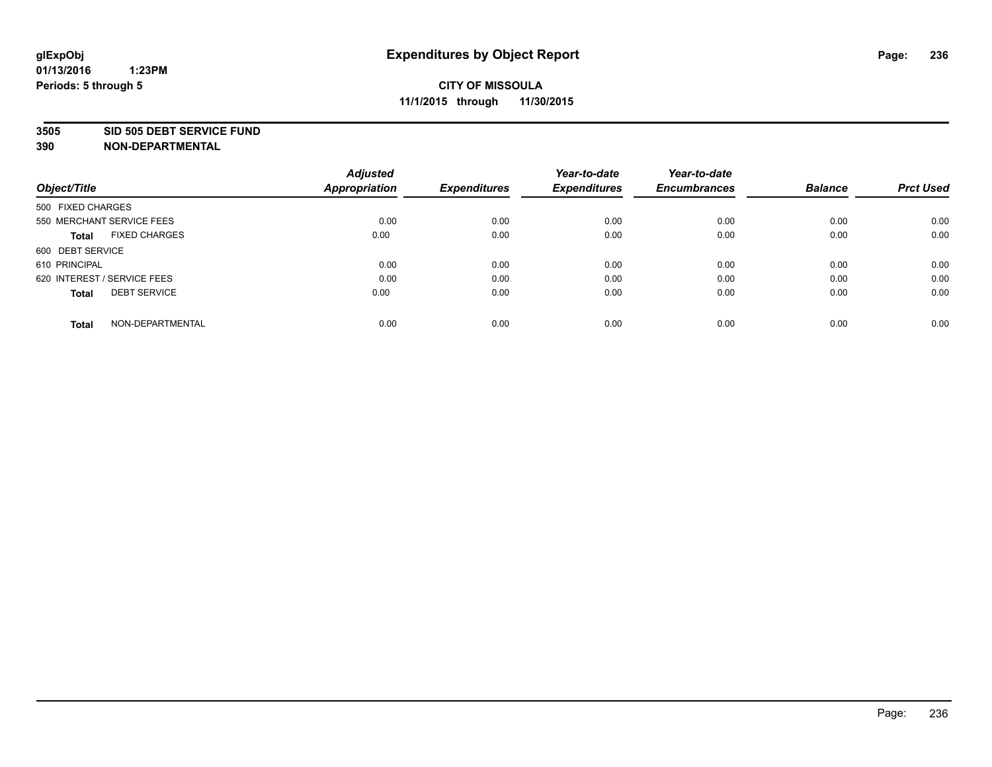#### **3505 SID 505 DEBT SERVICE FUND**

| Object/Title                         | <b>Adjusted</b><br><b>Appropriation</b> | <b>Expenditures</b> | Year-to-date<br><b>Expenditures</b> | Year-to-date<br><b>Encumbrances</b> | <b>Balance</b> | <b>Prct Used</b> |
|--------------------------------------|-----------------------------------------|---------------------|-------------------------------------|-------------------------------------|----------------|------------------|
|                                      |                                         |                     |                                     |                                     |                |                  |
| 500 FIXED CHARGES                    |                                         |                     |                                     |                                     |                |                  |
| 550 MERCHANT SERVICE FEES            | 0.00                                    | 0.00                | 0.00                                | 0.00                                | 0.00           | 0.00             |
| <b>FIXED CHARGES</b><br><b>Total</b> | 0.00                                    | 0.00                | 0.00                                | 0.00                                | 0.00           | 0.00             |
| 600 DEBT SERVICE                     |                                         |                     |                                     |                                     |                |                  |
| 610 PRINCIPAL                        | 0.00                                    | 0.00                | 0.00                                | 0.00                                | 0.00           | 0.00             |
| 620 INTEREST / SERVICE FEES          | 0.00                                    | 0.00                | 0.00                                | 0.00                                | 0.00           | 0.00             |
| <b>DEBT SERVICE</b><br><b>Total</b>  | 0.00                                    | 0.00                | 0.00                                | 0.00                                | 0.00           | 0.00             |
|                                      |                                         |                     |                                     |                                     |                |                  |
| NON-DEPARTMENTAL<br><b>Total</b>     | 0.00                                    | 0.00                | 0.00                                | 0.00                                | 0.00           | 0.00             |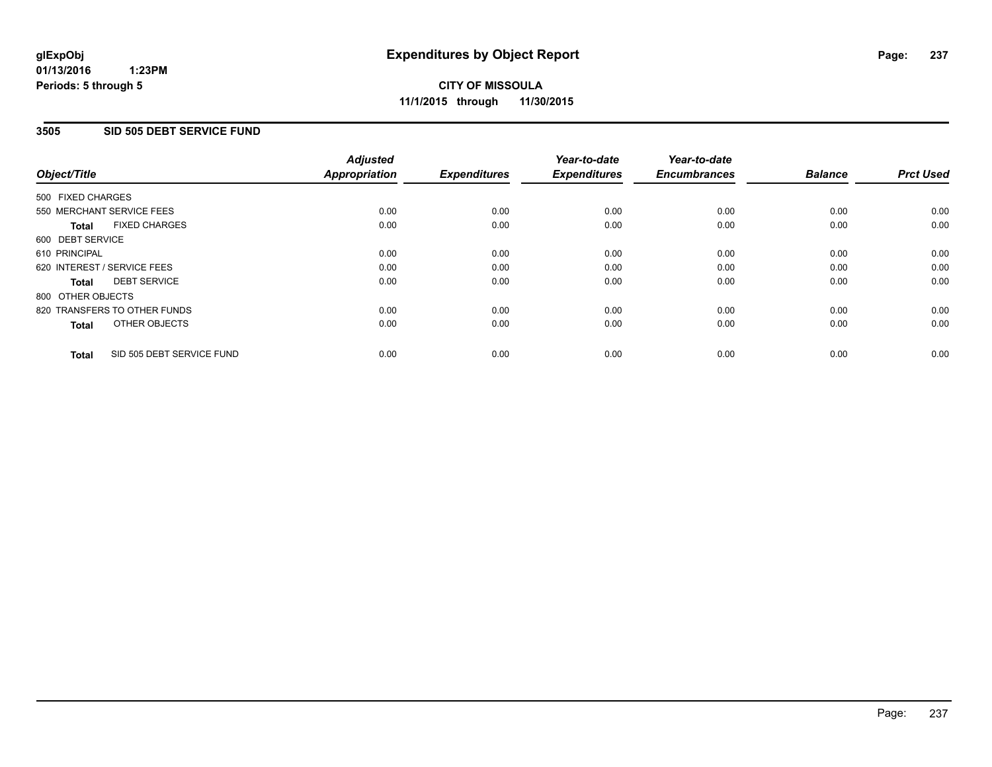## **3505 SID 505 DEBT SERVICE FUND**

| Object/Title      |                              | <b>Adjusted</b><br>Appropriation | <b>Expenditures</b> | Year-to-date<br><b>Expenditures</b> | Year-to-date<br><b>Encumbrances</b> | <b>Balance</b> | <b>Prct Used</b> |
|-------------------|------------------------------|----------------------------------|---------------------|-------------------------------------|-------------------------------------|----------------|------------------|
| 500 FIXED CHARGES |                              |                                  |                     |                                     |                                     |                |                  |
|                   | 550 MERCHANT SERVICE FEES    | 0.00                             | 0.00                | 0.00                                | 0.00                                | 0.00           | 0.00             |
| <b>Total</b>      | <b>FIXED CHARGES</b>         | 0.00                             | 0.00                | 0.00                                | 0.00                                | 0.00           | 0.00             |
| 600 DEBT SERVICE  |                              |                                  |                     |                                     |                                     |                |                  |
| 610 PRINCIPAL     |                              | 0.00                             | 0.00                | 0.00                                | 0.00                                | 0.00           | 0.00             |
|                   | 620 INTEREST / SERVICE FEES  | 0.00                             | 0.00                | 0.00                                | 0.00                                | 0.00           | 0.00             |
| Total             | <b>DEBT SERVICE</b>          | 0.00                             | 0.00                | 0.00                                | 0.00                                | 0.00           | 0.00             |
| 800 OTHER OBJECTS |                              |                                  |                     |                                     |                                     |                |                  |
|                   | 820 TRANSFERS TO OTHER FUNDS | 0.00                             | 0.00                | 0.00                                | 0.00                                | 0.00           | 0.00             |
| <b>Total</b>      | OTHER OBJECTS                | 0.00                             | 0.00                | 0.00                                | 0.00                                | 0.00           | 0.00             |
| <b>Total</b>      | SID 505 DEBT SERVICE FUND    | 0.00                             | 0.00                | 0.00                                | 0.00                                | 0.00           | 0.00             |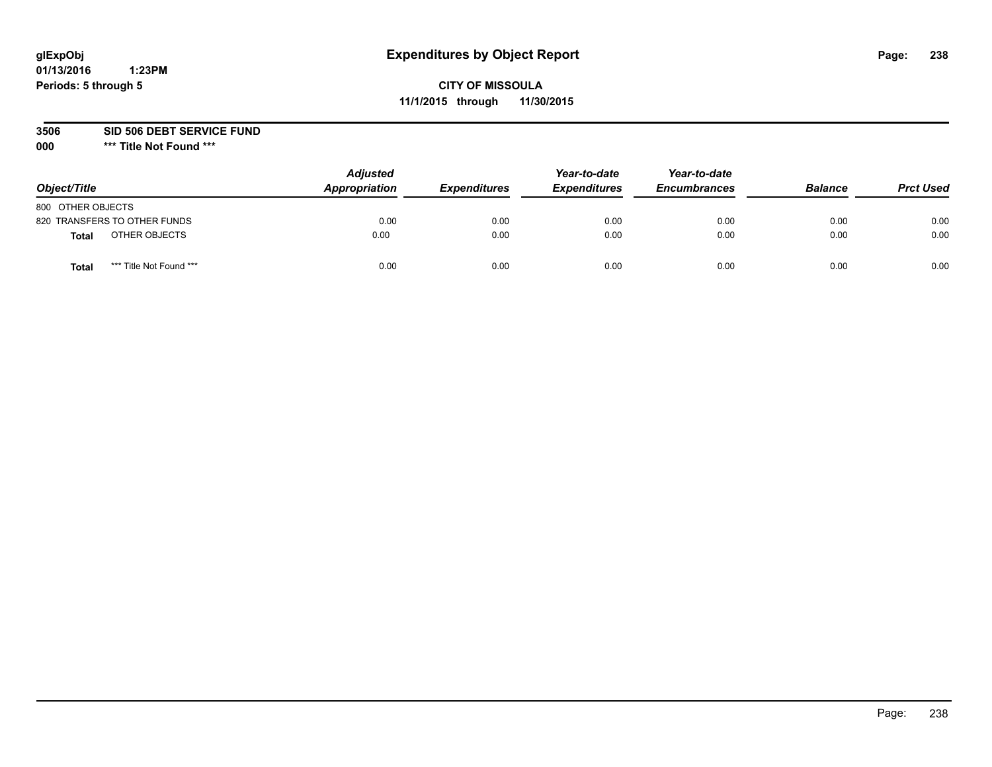# **CITY OF MISSOULA 11/1/2015 through 11/30/2015**

**3506 SID 506 DEBT SERVICE FUND**

| Object/Title                     | <b>Adjusted</b><br>Appropriation | <b>Expenditures</b> | Year-to-date<br><b>Expenditures</b> | Year-to-date<br><b>Encumbrances</b> | <b>Balance</b> | <b>Prct Used</b> |
|----------------------------------|----------------------------------|---------------------|-------------------------------------|-------------------------------------|----------------|------------------|
| 800 OTHER OBJECTS                |                                  |                     |                                     |                                     |                |                  |
| 820 TRANSFERS TO OTHER FUNDS     | 0.00                             | 0.00                | 0.00                                | 0.00                                | 0.00           | 0.00             |
| OTHER OBJECTS<br><b>Total</b>    | 0.00                             | 0.00                | 0.00                                | 0.00                                | 0.00           | 0.00             |
| *** Title Not Found ***<br>Total | 0.00                             | 0.00                | 0.00                                | 0.00                                | 0.00           | 0.00             |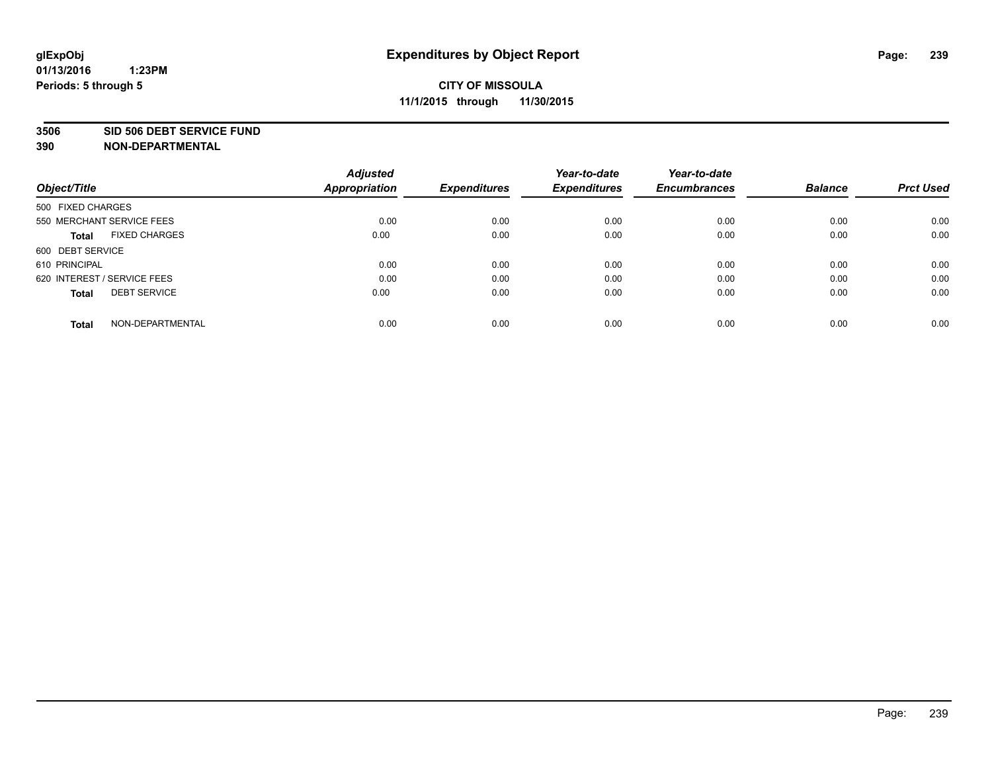### **3506 SID 506 DEBT SERVICE FUND**

| Object/Title                         | <b>Adjusted</b><br><b>Appropriation</b> | <b>Expenditures</b> | Year-to-date<br><b>Expenditures</b> | Year-to-date<br><b>Encumbrances</b> | <b>Balance</b> | <b>Prct Used</b> |
|--------------------------------------|-----------------------------------------|---------------------|-------------------------------------|-------------------------------------|----------------|------------------|
|                                      |                                         |                     |                                     |                                     |                |                  |
| 500 FIXED CHARGES                    |                                         |                     |                                     |                                     |                |                  |
| 550 MERCHANT SERVICE FEES            | 0.00                                    | 0.00                | 0.00                                | 0.00                                | 0.00           | 0.00             |
| <b>FIXED CHARGES</b><br><b>Total</b> | 0.00                                    | 0.00                | 0.00                                | 0.00                                | 0.00           | 0.00             |
| 600 DEBT SERVICE                     |                                         |                     |                                     |                                     |                |                  |
| 610 PRINCIPAL                        | 0.00                                    | 0.00                | 0.00                                | 0.00                                | 0.00           | 0.00             |
| 620 INTEREST / SERVICE FEES          | 0.00                                    | 0.00                | 0.00                                | 0.00                                | 0.00           | 0.00             |
| <b>DEBT SERVICE</b><br><b>Total</b>  | 0.00                                    | 0.00                | 0.00                                | 0.00                                | 0.00           | 0.00             |
| NON-DEPARTMENTAL<br><b>Total</b>     | 0.00                                    | 0.00                | 0.00                                | 0.00                                | 0.00           | 0.00             |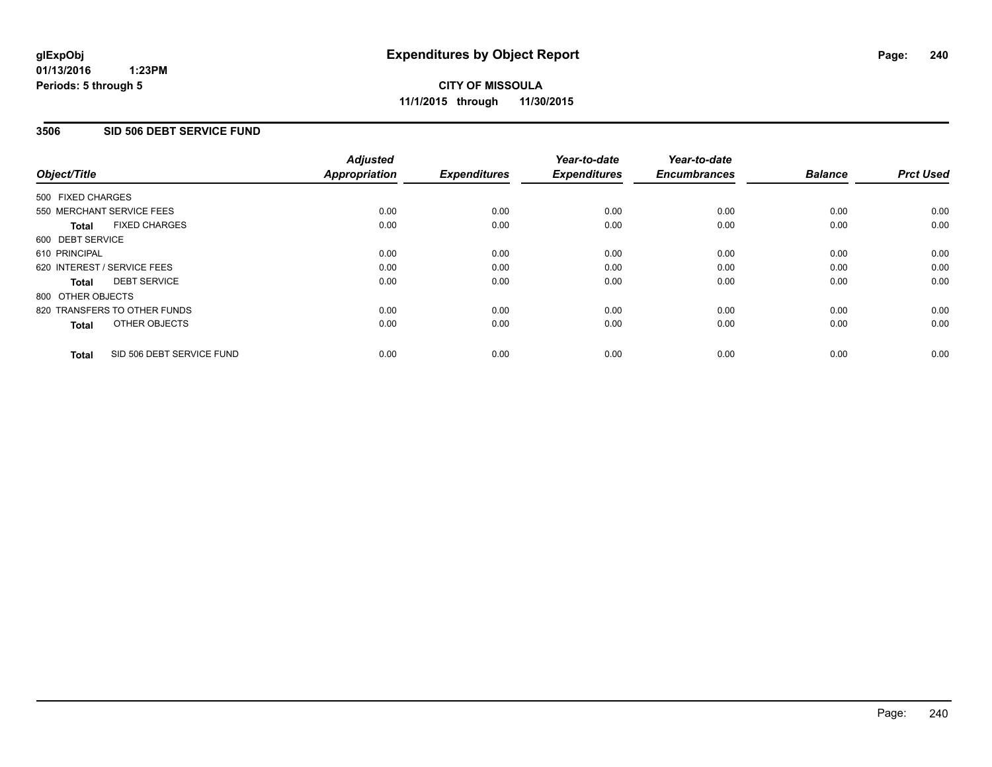### **3506 SID 506 DEBT SERVICE FUND**

| Object/Title      |                              | <b>Adjusted</b><br>Appropriation | <b>Expenditures</b> | Year-to-date<br><b>Expenditures</b> | Year-to-date<br><b>Encumbrances</b> | <b>Balance</b> | <b>Prct Used</b> |
|-------------------|------------------------------|----------------------------------|---------------------|-------------------------------------|-------------------------------------|----------------|------------------|
| 500 FIXED CHARGES |                              |                                  |                     |                                     |                                     |                |                  |
|                   | 550 MERCHANT SERVICE FEES    | 0.00                             | 0.00                | 0.00                                | 0.00                                | 0.00           | 0.00             |
| <b>Total</b>      | <b>FIXED CHARGES</b>         | 0.00                             | 0.00                | 0.00                                | 0.00                                | 0.00           | 0.00             |
| 600 DEBT SERVICE  |                              |                                  |                     |                                     |                                     |                |                  |
| 610 PRINCIPAL     |                              | 0.00                             | 0.00                | 0.00                                | 0.00                                | 0.00           | 0.00             |
|                   | 620 INTEREST / SERVICE FEES  | 0.00                             | 0.00                | 0.00                                | 0.00                                | 0.00           | 0.00             |
| Total             | <b>DEBT SERVICE</b>          | 0.00                             | 0.00                | 0.00                                | 0.00                                | 0.00           | 0.00             |
| 800 OTHER OBJECTS |                              |                                  |                     |                                     |                                     |                |                  |
|                   | 820 TRANSFERS TO OTHER FUNDS | 0.00                             | 0.00                | 0.00                                | 0.00                                | 0.00           | 0.00             |
| <b>Total</b>      | OTHER OBJECTS                | 0.00                             | 0.00                | 0.00                                | 0.00                                | 0.00           | 0.00             |
| <b>Total</b>      | SID 506 DEBT SERVICE FUND    | 0.00                             | 0.00                | 0.00                                | 0.00                                | 0.00           | 0.00             |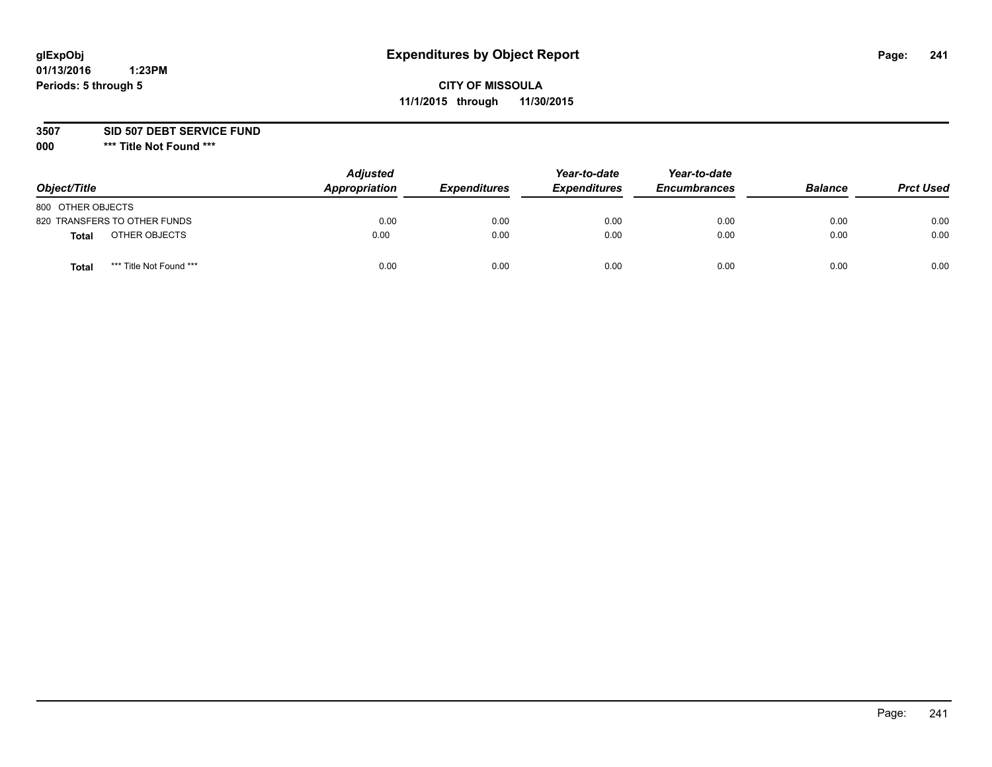# **CITY OF MISSOULA 11/1/2015 through 11/30/2015**

**3507 SID 507 DEBT SERVICE FUND**

| Object/Title                     | <b>Adjusted</b><br>Appropriation | <b>Expenditures</b> | Year-to-date<br><b>Expenditures</b> | Year-to-date<br><b>Encumbrances</b> | <b>Balance</b> | <b>Prct Used</b> |
|----------------------------------|----------------------------------|---------------------|-------------------------------------|-------------------------------------|----------------|------------------|
| 800 OTHER OBJECTS                |                                  |                     |                                     |                                     |                |                  |
| 820 TRANSFERS TO OTHER FUNDS     | 0.00                             | 0.00                | 0.00                                | 0.00                                | 0.00           | 0.00             |
| OTHER OBJECTS<br><b>Total</b>    | 0.00                             | 0.00                | 0.00                                | 0.00                                | 0.00           | 0.00             |
| *** Title Not Found ***<br>Total | 0.00                             | 0.00                | 0.00                                | 0.00                                | 0.00           | 0.00             |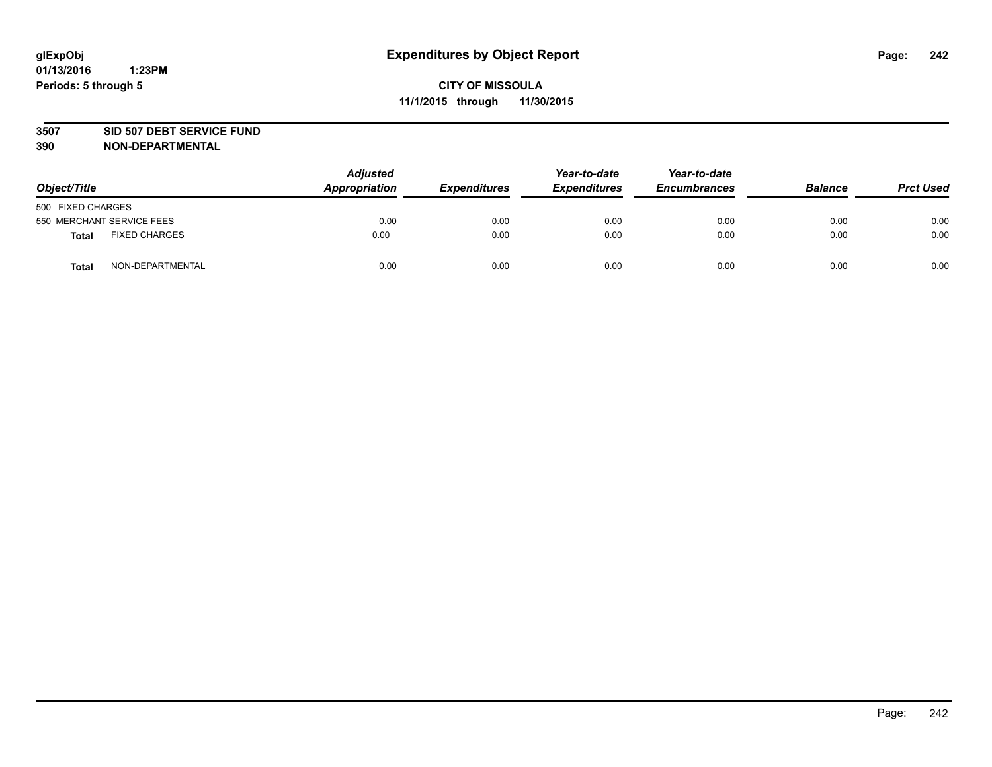### **3507 SID 507 DEBT SERVICE FUND**

| Object/Title      |                           | <b>Adjusted</b><br>Appropriation | <b>Expenditures</b> | Year-to-date<br><b>Expenditures</b> | Year-to-date<br><b>Encumbrances</b> | <b>Balance</b> | <b>Prct Used</b> |
|-------------------|---------------------------|----------------------------------|---------------------|-------------------------------------|-------------------------------------|----------------|------------------|
| 500 FIXED CHARGES |                           |                                  |                     |                                     |                                     |                |                  |
|                   | 550 MERCHANT SERVICE FEES | 0.00                             | 0.00                | 0.00                                | 0.00                                | 0.00           | 0.00             |
| <b>Total</b>      | <b>FIXED CHARGES</b>      | 0.00                             | 0.00                | 0.00                                | 0.00                                | 0.00           | 0.00             |
| <b>Total</b>      | NON-DEPARTMENTAL          | 0.00                             | 0.00                | 0.00                                | 0.00                                | 0.00           | 0.00             |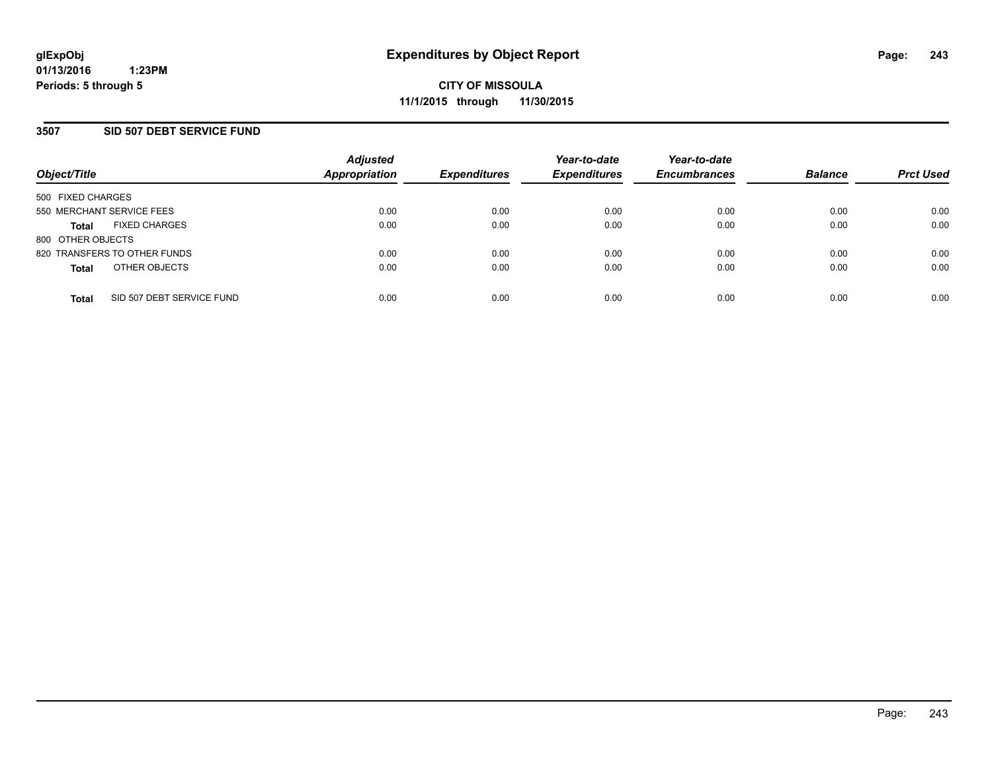### **3507 SID 507 DEBT SERVICE FUND**

| Object/Title                         |                           | <b>Adjusted</b><br><b>Appropriation</b> | <b>Expenditures</b> | Year-to-date<br><b>Expenditures</b> | Year-to-date<br><b>Encumbrances</b> | <b>Balance</b> | <b>Prct Used</b> |
|--------------------------------------|---------------------------|-----------------------------------------|---------------------|-------------------------------------|-------------------------------------|----------------|------------------|
| 500 FIXED CHARGES                    |                           |                                         |                     |                                     |                                     |                |                  |
| 550 MERCHANT SERVICE FEES            |                           | 0.00                                    | 0.00                | 0.00                                | 0.00                                | 0.00           | 0.00             |
| <b>FIXED CHARGES</b><br><b>Total</b> |                           | 0.00                                    | 0.00                | 0.00                                | 0.00                                | 0.00           | 0.00             |
| 800 OTHER OBJECTS                    |                           |                                         |                     |                                     |                                     |                |                  |
| 820 TRANSFERS TO OTHER FUNDS         |                           | 0.00                                    | 0.00                | 0.00                                | 0.00                                | 0.00           | 0.00             |
| OTHER OBJECTS<br><b>Total</b>        |                           | 0.00                                    | 0.00                | 0.00                                | 0.00                                | 0.00           | 0.00             |
| <b>Total</b>                         | SID 507 DEBT SERVICE FUND | 0.00                                    | 0.00                | 0.00                                | 0.00                                | 0.00           | 0.00             |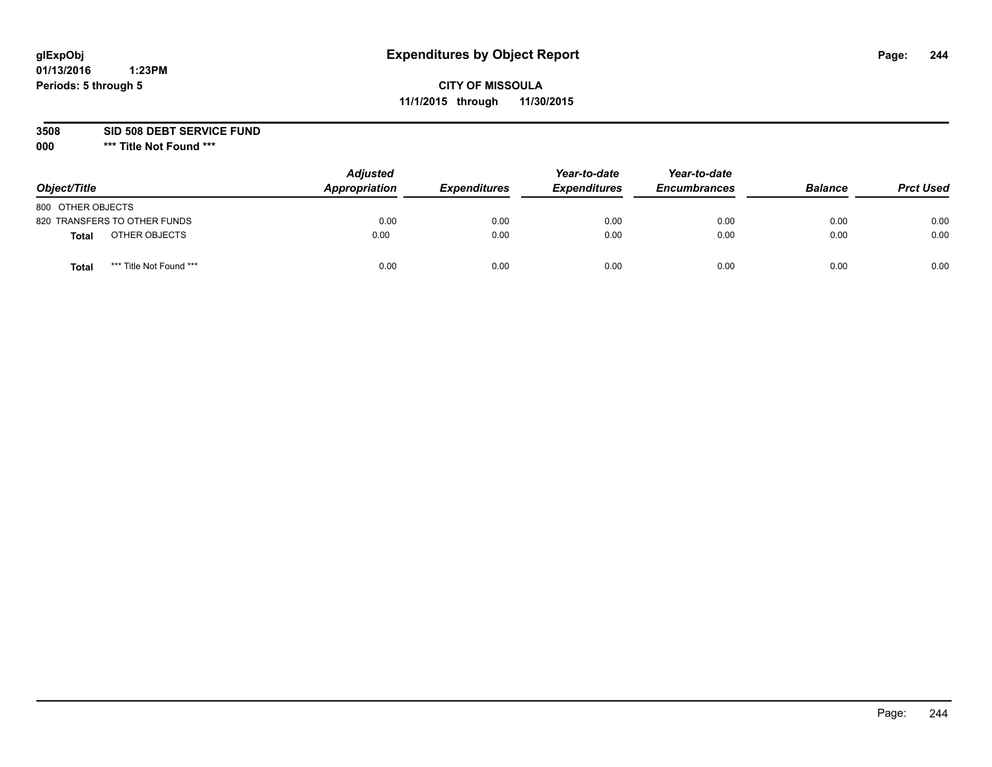# **CITY OF MISSOULA 11/1/2015 through 11/30/2015**

**3508 SID 508 DEBT SERVICE FUND**

| Object/Title                     | <b>Adjusted</b><br>Appropriation | <b>Expenditures</b> | Year-to-date<br><b>Expenditures</b> | Year-to-date<br><b>Encumbrances</b> | <b>Balance</b> | <b>Prct Used</b> |
|----------------------------------|----------------------------------|---------------------|-------------------------------------|-------------------------------------|----------------|------------------|
| 800 OTHER OBJECTS                |                                  |                     |                                     |                                     |                |                  |
| 820 TRANSFERS TO OTHER FUNDS     | 0.00                             | 0.00                | 0.00                                | 0.00                                | 0.00           | 0.00             |
| OTHER OBJECTS<br><b>Total</b>    | 0.00                             | 0.00                | 0.00                                | 0.00                                | 0.00           | 0.00             |
| *** Title Not Found ***<br>Total | 0.00                             | 0.00                | 0.00                                | 0.00                                | 0.00           | 0.00             |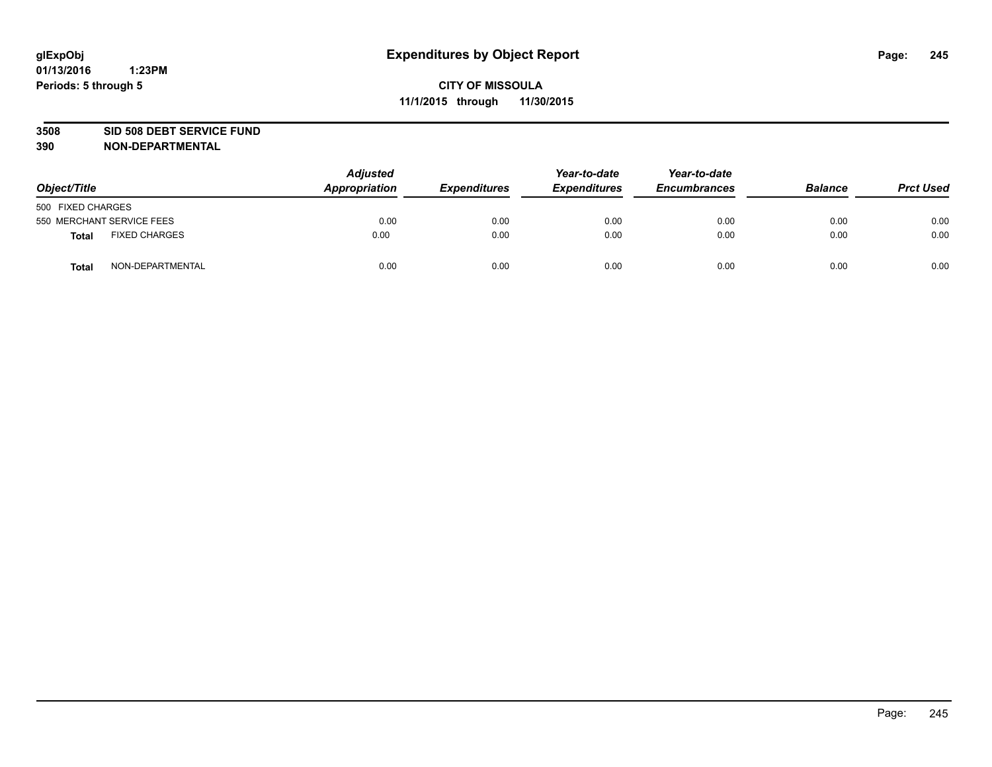### **3508 SID 508 DEBT SERVICE FUND**

| Object/Title      |                           | <b>Adjusted</b><br>Appropriation | <b>Expenditures</b> | Year-to-date<br><b>Expenditures</b> | Year-to-date<br><b>Encumbrances</b> | <b>Balance</b> | <b>Prct Used</b> |
|-------------------|---------------------------|----------------------------------|---------------------|-------------------------------------|-------------------------------------|----------------|------------------|
| 500 FIXED CHARGES |                           |                                  |                     |                                     |                                     |                |                  |
|                   | 550 MERCHANT SERVICE FEES | 0.00                             | 0.00                | 0.00                                | 0.00                                | 0.00           | 0.00             |
| <b>Total</b>      | <b>FIXED CHARGES</b>      | 0.00                             | 0.00                | 0.00                                | 0.00                                | 0.00           | 0.00             |
| <b>Total</b>      | NON-DEPARTMENTAL          | 0.00                             | 0.00                | 0.00                                | 0.00                                | 0.00           | 0.00             |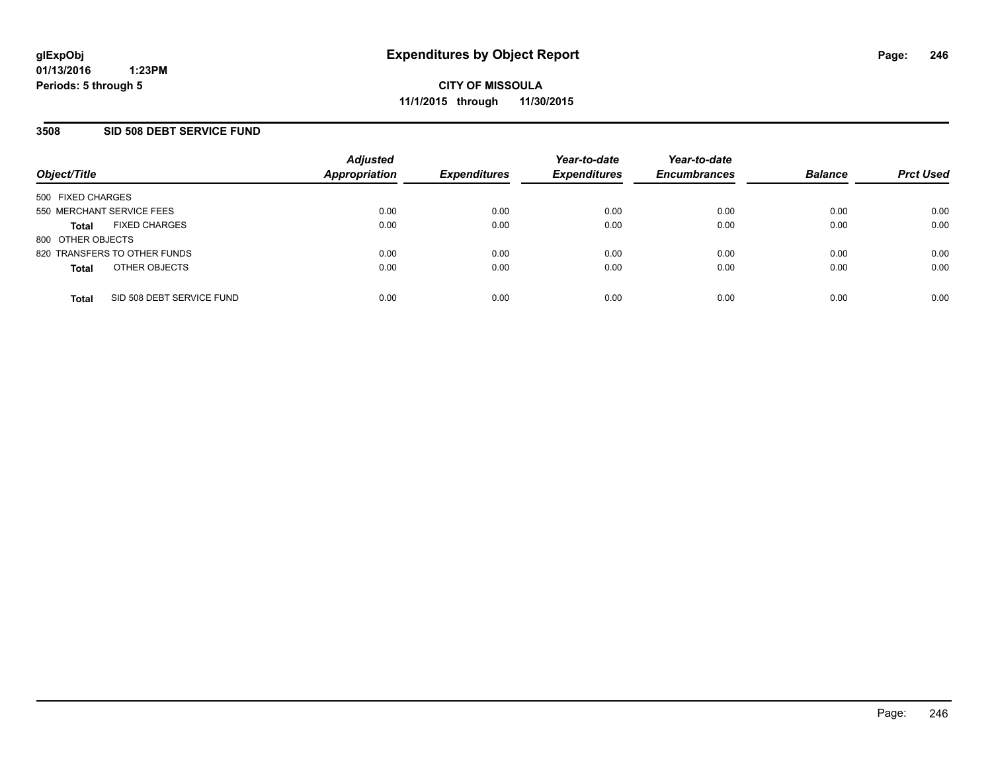### **3508 SID 508 DEBT SERVICE FUND**

| Object/Title              |                              | <b>Adjusted</b><br><b>Appropriation</b> | <b>Expenditures</b> | Year-to-date<br><b>Expenditures</b> | Year-to-date<br><b>Encumbrances</b> | <b>Balance</b> | <b>Prct Used</b> |
|---------------------------|------------------------------|-----------------------------------------|---------------------|-------------------------------------|-------------------------------------|----------------|------------------|
| 500 FIXED CHARGES         |                              |                                         |                     |                                     |                                     |                |                  |
| 550 MERCHANT SERVICE FEES |                              | 0.00                                    | 0.00                | 0.00                                | 0.00                                | 0.00           | 0.00             |
| <b>Total</b>              | <b>FIXED CHARGES</b>         | 0.00                                    | 0.00                | 0.00                                | 0.00                                | 0.00           | 0.00             |
| 800 OTHER OBJECTS         |                              |                                         |                     |                                     |                                     |                |                  |
|                           | 820 TRANSFERS TO OTHER FUNDS | 0.00                                    | 0.00                | 0.00                                | 0.00                                | 0.00           | 0.00             |
| <b>Total</b>              | OTHER OBJECTS                | 0.00                                    | 0.00                | 0.00                                | 0.00                                | 0.00           | 0.00             |
| <b>Total</b>              | SID 508 DEBT SERVICE FUND    | 0.00                                    | 0.00                | 0.00                                | 0.00                                | 0.00           | 0.00             |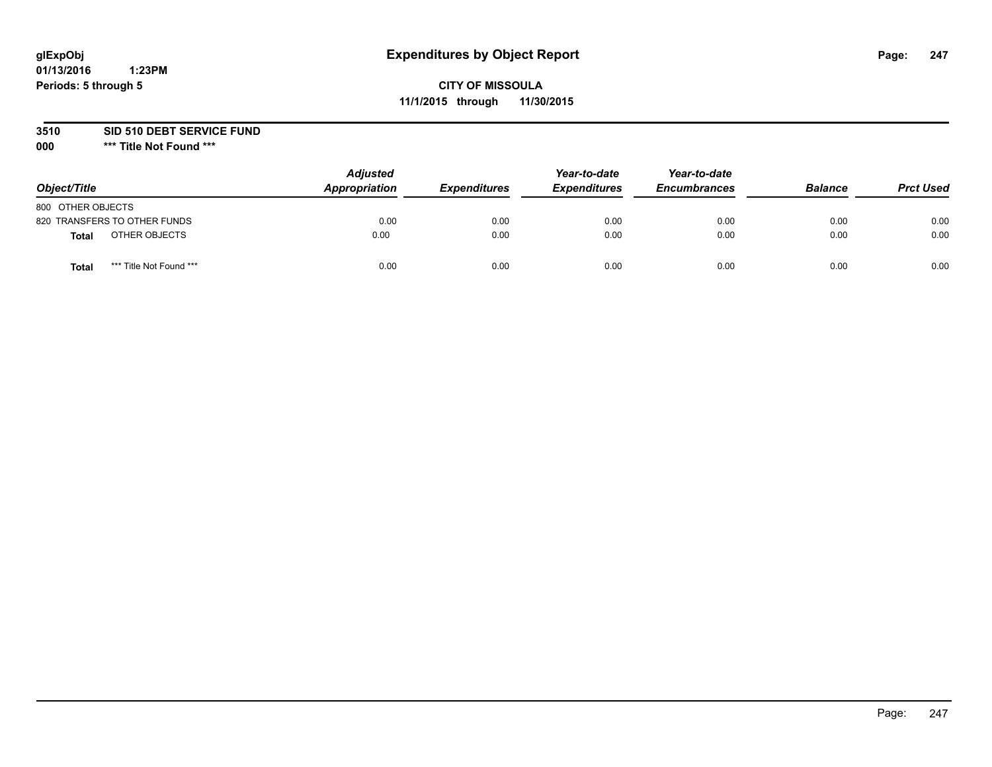# **CITY OF MISSOULA 11/1/2015 through 11/30/2015**

**3510 SID 510 DEBT SERVICE FUND**

| Object/Title                     | <b>Adjusted</b><br>Appropriation | <b>Expenditures</b> | Year-to-date<br><b>Expenditures</b> | Year-to-date<br><b>Encumbrances</b> | <b>Balance</b> | <b>Prct Used</b> |
|----------------------------------|----------------------------------|---------------------|-------------------------------------|-------------------------------------|----------------|------------------|
| 800 OTHER OBJECTS                |                                  |                     |                                     |                                     |                |                  |
| 820 TRANSFERS TO OTHER FUNDS     | 0.00                             | 0.00                | 0.00                                | 0.00                                | 0.00           | 0.00             |
| OTHER OBJECTS<br><b>Total</b>    | 0.00                             | 0.00                | 0.00                                | 0.00                                | 0.00           | 0.00             |
| *** Title Not Found ***<br>Total | 0.00                             | 0.00                | 0.00                                | 0.00                                | 0.00           | 0.00             |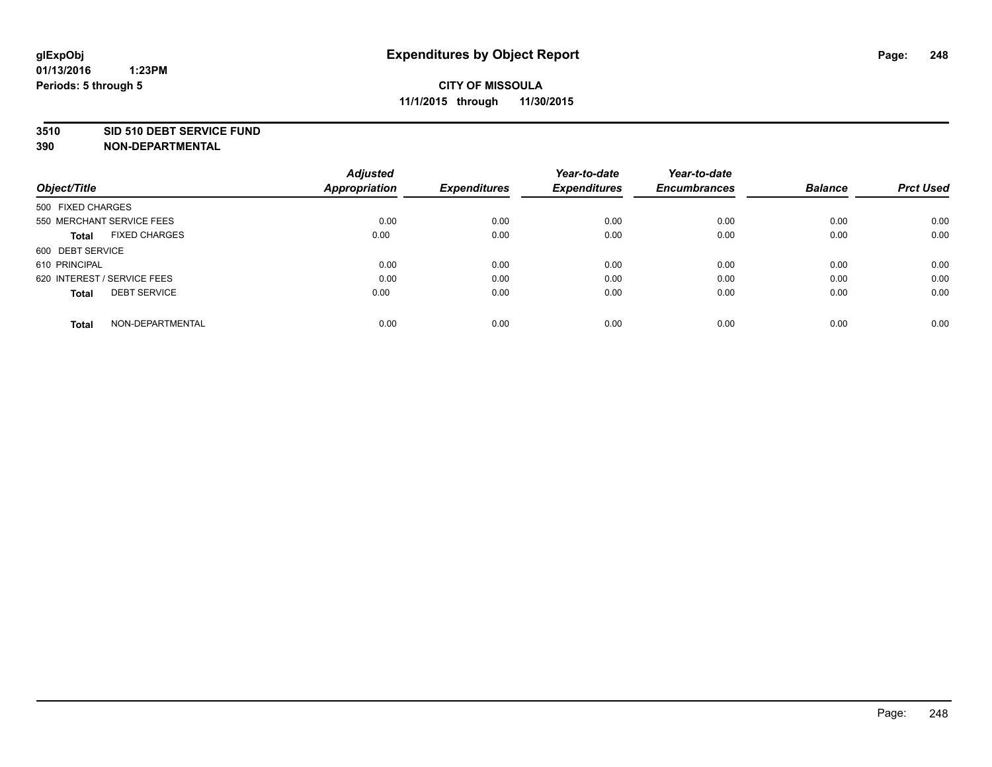#### **01/13/2016 1:23PM Periods: 5 through 5**

# **CITY OF MISSOULA 11/1/2015 through 11/30/2015**

### **3510 SID 510 DEBT SERVICE FUND**

| Object/Title                         | <b>Adjusted</b><br><b>Appropriation</b> | <b>Expenditures</b> | Year-to-date<br><b>Expenditures</b> | Year-to-date<br><b>Encumbrances</b> | <b>Balance</b> | <b>Prct Used</b> |
|--------------------------------------|-----------------------------------------|---------------------|-------------------------------------|-------------------------------------|----------------|------------------|
|                                      |                                         |                     |                                     |                                     |                |                  |
| 500 FIXED CHARGES                    |                                         |                     |                                     |                                     |                |                  |
| 550 MERCHANT SERVICE FEES            | 0.00                                    | 0.00                | 0.00                                | 0.00                                | 0.00           | 0.00             |
| <b>FIXED CHARGES</b><br><b>Total</b> | 0.00                                    | 0.00                | 0.00                                | 0.00                                | 0.00           | 0.00             |
| 600 DEBT SERVICE                     |                                         |                     |                                     |                                     |                |                  |
| 610 PRINCIPAL                        | 0.00                                    | 0.00                | 0.00                                | 0.00                                | 0.00           | 0.00             |
| 620 INTEREST / SERVICE FEES          | 0.00                                    | 0.00                | 0.00                                | 0.00                                | 0.00           | 0.00             |
| <b>DEBT SERVICE</b><br><b>Total</b>  | 0.00                                    | 0.00                | 0.00                                | 0.00                                | 0.00           | 0.00             |
|                                      |                                         |                     |                                     |                                     |                |                  |
| NON-DEPARTMENTAL<br><b>Total</b>     | 0.00                                    | 0.00                | 0.00                                | 0.00                                | 0.00           | 0.00             |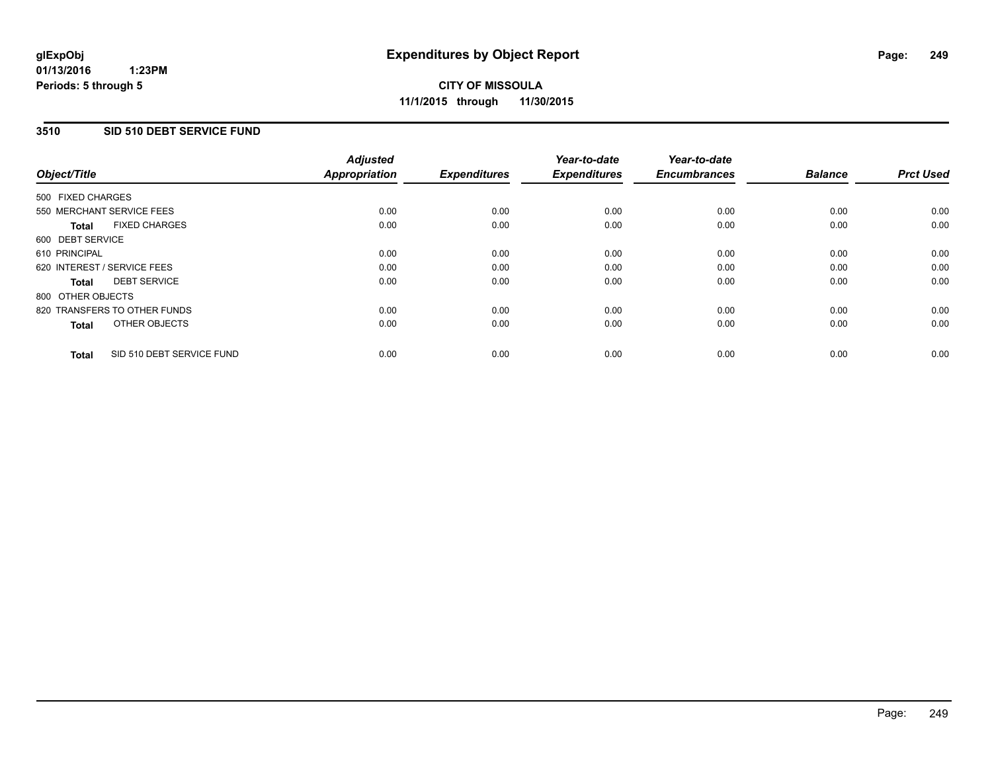### **3510 SID 510 DEBT SERVICE FUND**

| Object/Title      |                              | <b>Adjusted</b><br>Appropriation | <b>Expenditures</b> | Year-to-date<br><b>Expenditures</b> | Year-to-date<br><b>Encumbrances</b> | <b>Balance</b> | <b>Prct Used</b> |
|-------------------|------------------------------|----------------------------------|---------------------|-------------------------------------|-------------------------------------|----------------|------------------|
| 500 FIXED CHARGES |                              |                                  |                     |                                     |                                     |                |                  |
|                   | 550 MERCHANT SERVICE FEES    | 0.00                             | 0.00                | 0.00                                | 0.00                                | 0.00           | 0.00             |
| <b>Total</b>      | <b>FIXED CHARGES</b>         | 0.00                             | 0.00                | 0.00                                | 0.00                                | 0.00           | 0.00             |
| 600 DEBT SERVICE  |                              |                                  |                     |                                     |                                     |                |                  |
| 610 PRINCIPAL     |                              | 0.00                             | 0.00                | 0.00                                | 0.00                                | 0.00           | 0.00             |
|                   | 620 INTEREST / SERVICE FEES  | 0.00                             | 0.00                | 0.00                                | 0.00                                | 0.00           | 0.00             |
| Total             | <b>DEBT SERVICE</b>          | 0.00                             | 0.00                | 0.00                                | 0.00                                | 0.00           | 0.00             |
| 800 OTHER OBJECTS |                              |                                  |                     |                                     |                                     |                |                  |
|                   | 820 TRANSFERS TO OTHER FUNDS | 0.00                             | 0.00                | 0.00                                | 0.00                                | 0.00           | 0.00             |
| <b>Total</b>      | OTHER OBJECTS                | 0.00                             | 0.00                | 0.00                                | 0.00                                | 0.00           | 0.00             |
| <b>Total</b>      | SID 510 DEBT SERVICE FUND    | 0.00                             | 0.00                | 0.00                                | 0.00                                | 0.00           | 0.00             |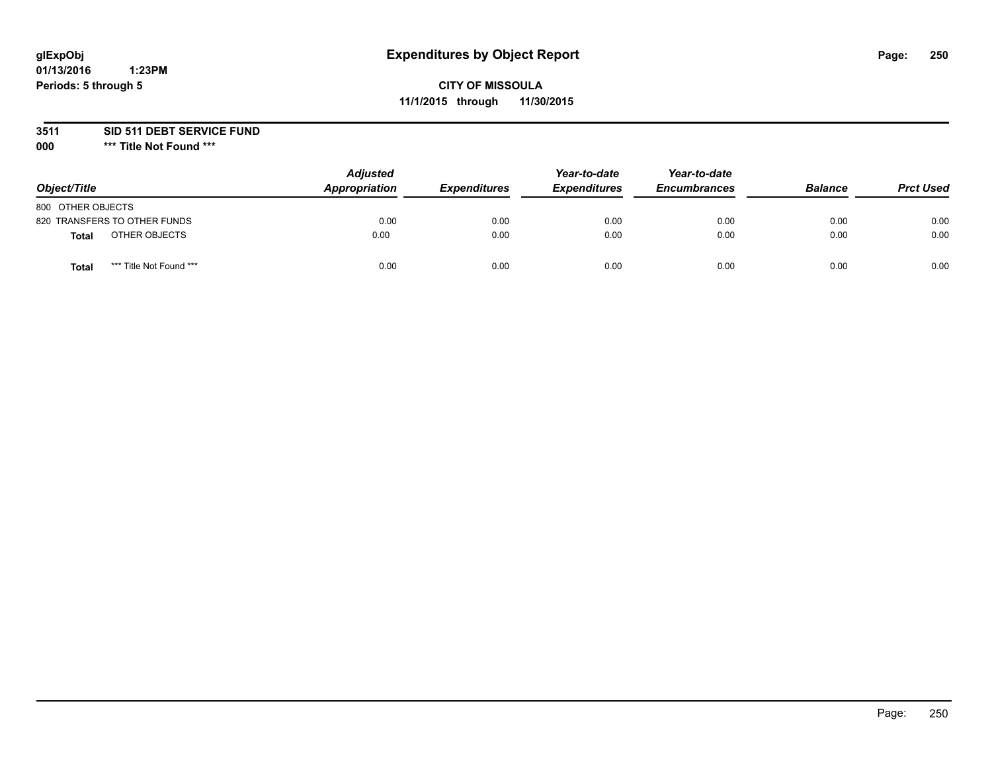# **CITY OF MISSOULA 11/1/2015 through 11/30/2015**

**3511 SID 511 DEBT SERVICE FUND**

| Object/Title                            | <b>Adjusted</b><br>Appropriation | <b>Expenditures</b> | Year-to-date<br><b>Expenditures</b> | Year-to-date<br><b>Encumbrances</b> | <b>Balance</b> | <b>Prct Used</b> |
|-----------------------------------------|----------------------------------|---------------------|-------------------------------------|-------------------------------------|----------------|------------------|
| 800 OTHER OBJECTS                       |                                  |                     |                                     |                                     |                |                  |
| 820 TRANSFERS TO OTHER FUNDS            | 0.00                             | 0.00                | 0.00                                | 0.00                                | 0.00           | 0.00             |
| OTHER OBJECTS<br><b>Total</b>           | 0.00                             | 0.00                | 0.00                                | 0.00                                | 0.00           | 0.00             |
| *** Title Not Found ***<br><b>Total</b> | 0.00                             | 0.00                | 0.00                                | 0.00                                | 0.00           | 0.00             |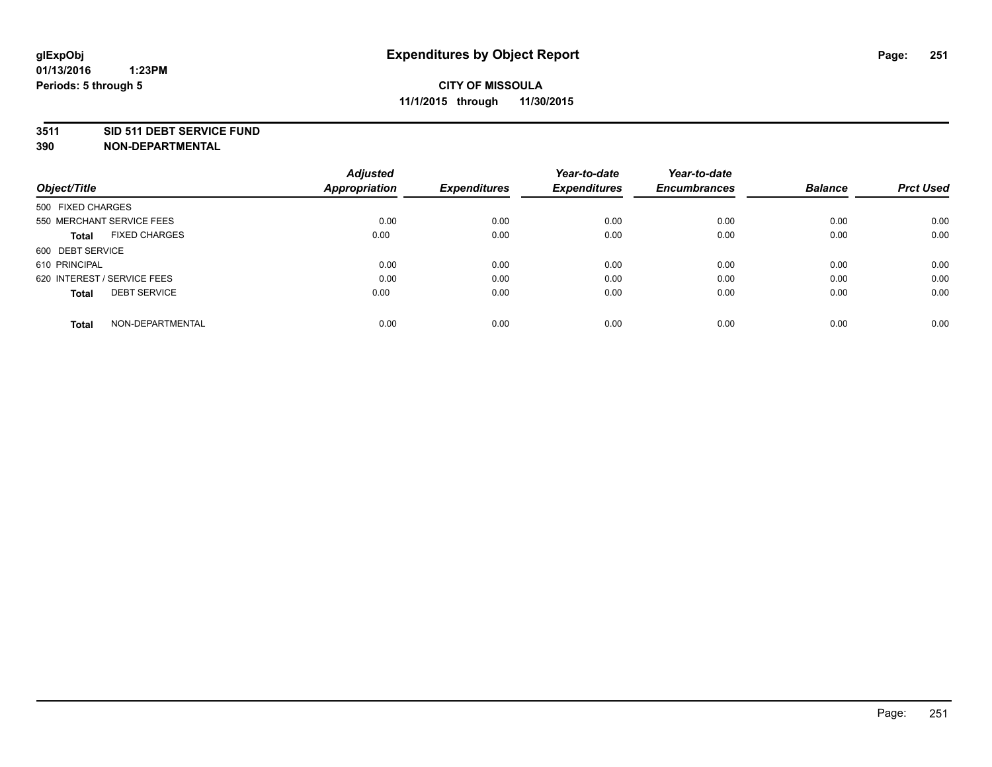#### **3511 SID 511 DEBT SERVICE FUND**

| Object/Title                        | <b>Adjusted</b><br><b>Appropriation</b> | <b>Expenditures</b> | Year-to-date<br><b>Expenditures</b> | Year-to-date<br><b>Encumbrances</b> | <b>Balance</b> | <b>Prct Used</b> |
|-------------------------------------|-----------------------------------------|---------------------|-------------------------------------|-------------------------------------|----------------|------------------|
|                                     |                                         |                     |                                     |                                     |                |                  |
| 500 FIXED CHARGES                   |                                         |                     |                                     |                                     |                |                  |
| 550 MERCHANT SERVICE FEES           | 0.00                                    | 0.00                | 0.00                                | 0.00                                | 0.00           | 0.00             |
| <b>FIXED CHARGES</b><br>Total       | 0.00                                    | 0.00                | 0.00                                | 0.00                                | 0.00           | 0.00             |
| 600 DEBT SERVICE                    |                                         |                     |                                     |                                     |                |                  |
| 610 PRINCIPAL                       | 0.00                                    | 0.00                | 0.00                                | 0.00                                | 0.00           | 0.00             |
| 620 INTEREST / SERVICE FEES         | 0.00                                    | 0.00                | 0.00                                | 0.00                                | 0.00           | 0.00             |
| <b>DEBT SERVICE</b><br><b>Total</b> | 0.00                                    | 0.00                | 0.00                                | 0.00                                | 0.00           | 0.00             |
| NON-DEPARTMENTAL<br><b>Total</b>    | 0.00                                    | 0.00                | 0.00                                | 0.00                                | 0.00           | 0.00             |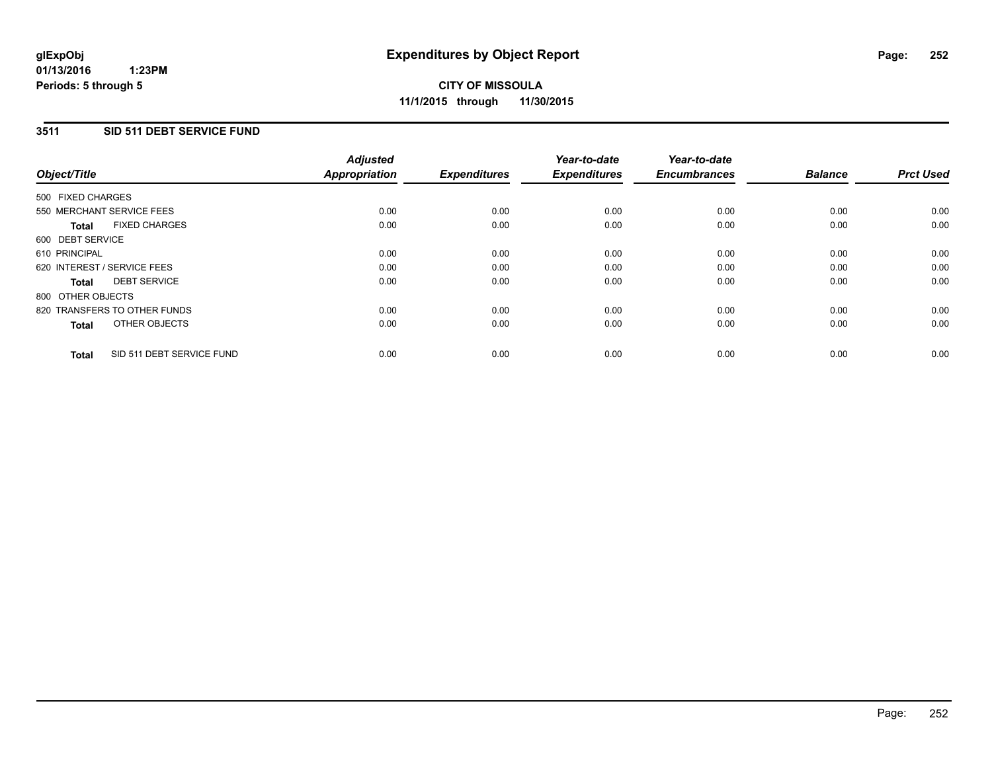### **3511 SID 511 DEBT SERVICE FUND**

| Object/Title      |                              | <b>Adjusted</b><br>Appropriation | <b>Expenditures</b> | Year-to-date<br><b>Expenditures</b> | Year-to-date<br><b>Encumbrances</b> | <b>Balance</b> | <b>Prct Used</b> |
|-------------------|------------------------------|----------------------------------|---------------------|-------------------------------------|-------------------------------------|----------------|------------------|
| 500 FIXED CHARGES |                              |                                  |                     |                                     |                                     |                |                  |
|                   | 550 MERCHANT SERVICE FEES    | 0.00                             | 0.00                | 0.00                                | 0.00                                | 0.00           | 0.00             |
| <b>Total</b>      | <b>FIXED CHARGES</b>         | 0.00                             | 0.00                | 0.00                                | 0.00                                | 0.00           | 0.00             |
| 600 DEBT SERVICE  |                              |                                  |                     |                                     |                                     |                |                  |
| 610 PRINCIPAL     |                              | 0.00                             | 0.00                | 0.00                                | 0.00                                | 0.00           | 0.00             |
|                   | 620 INTEREST / SERVICE FEES  | 0.00                             | 0.00                | 0.00                                | 0.00                                | 0.00           | 0.00             |
| Total             | <b>DEBT SERVICE</b>          | 0.00                             | 0.00                | 0.00                                | 0.00                                | 0.00           | 0.00             |
| 800 OTHER OBJECTS |                              |                                  |                     |                                     |                                     |                |                  |
|                   | 820 TRANSFERS TO OTHER FUNDS | 0.00                             | 0.00                | 0.00                                | 0.00                                | 0.00           | 0.00             |
| <b>Total</b>      | OTHER OBJECTS                | 0.00                             | 0.00                | 0.00                                | 0.00                                | 0.00           | 0.00             |
| <b>Total</b>      | SID 511 DEBT SERVICE FUND    | 0.00                             | 0.00                | 0.00                                | 0.00                                | 0.00           | 0.00             |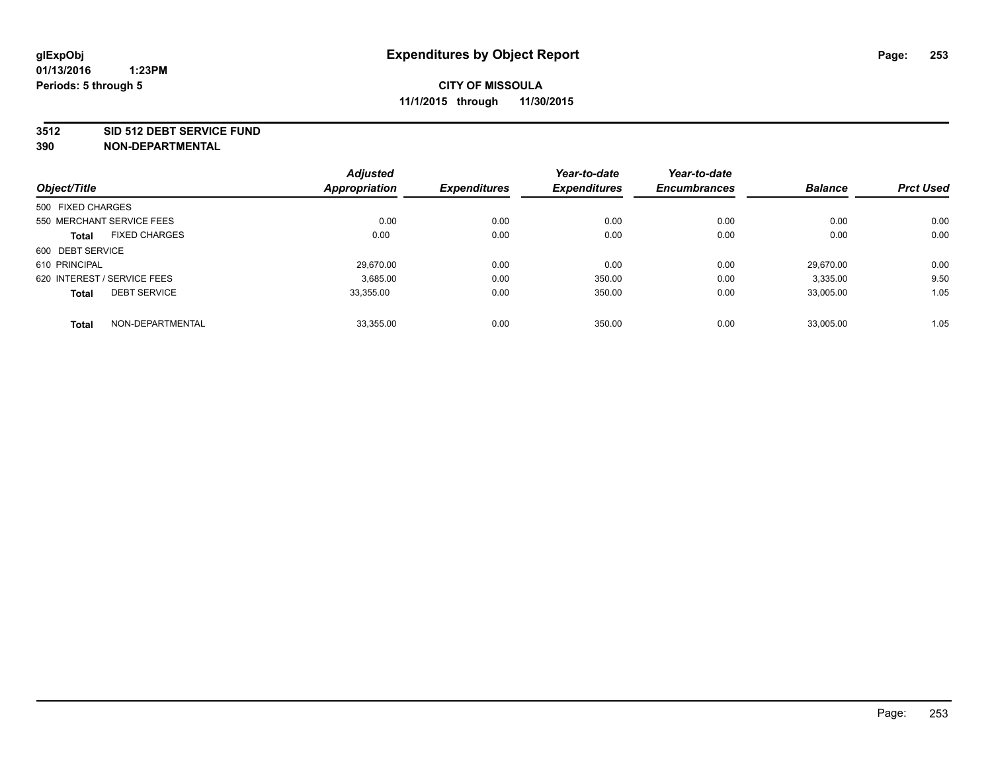#### **3512 SID 512 DEBT SERVICE FUND**

|                                      |                  | <b>Adjusted</b>      |                     | Year-to-date        | Year-to-date        | <b>Balance</b> | <b>Prct Used</b> |
|--------------------------------------|------------------|----------------------|---------------------|---------------------|---------------------|----------------|------------------|
| Object/Title                         |                  | <b>Appropriation</b> | <b>Expenditures</b> | <b>Expenditures</b> | <b>Encumbrances</b> |                |                  |
| 500 FIXED CHARGES                    |                  |                      |                     |                     |                     |                |                  |
| 550 MERCHANT SERVICE FEES            |                  | 0.00                 | 0.00                | 0.00                | 0.00                | 0.00           | 0.00             |
| <b>FIXED CHARGES</b><br><b>Total</b> |                  | 0.00                 | 0.00                | 0.00                | 0.00                | 0.00           | 0.00             |
| 600 DEBT SERVICE                     |                  |                      |                     |                     |                     |                |                  |
| 610 PRINCIPAL                        |                  | 29.670.00            | 0.00                | 0.00                | 0.00                | 29.670.00      | 0.00             |
| 620 INTEREST / SERVICE FEES          |                  | 3,685.00             | 0.00                | 350.00              | 0.00                | 3,335.00       | 9.50             |
| <b>DEBT SERVICE</b><br><b>Total</b>  |                  | 33.355.00            | 0.00                | 350.00              | 0.00                | 33.005.00      | 1.05             |
| <b>Total</b>                         | NON-DEPARTMENTAL | 33,355.00            | 0.00                | 350.00              | 0.00                | 33,005.00      | 1.05             |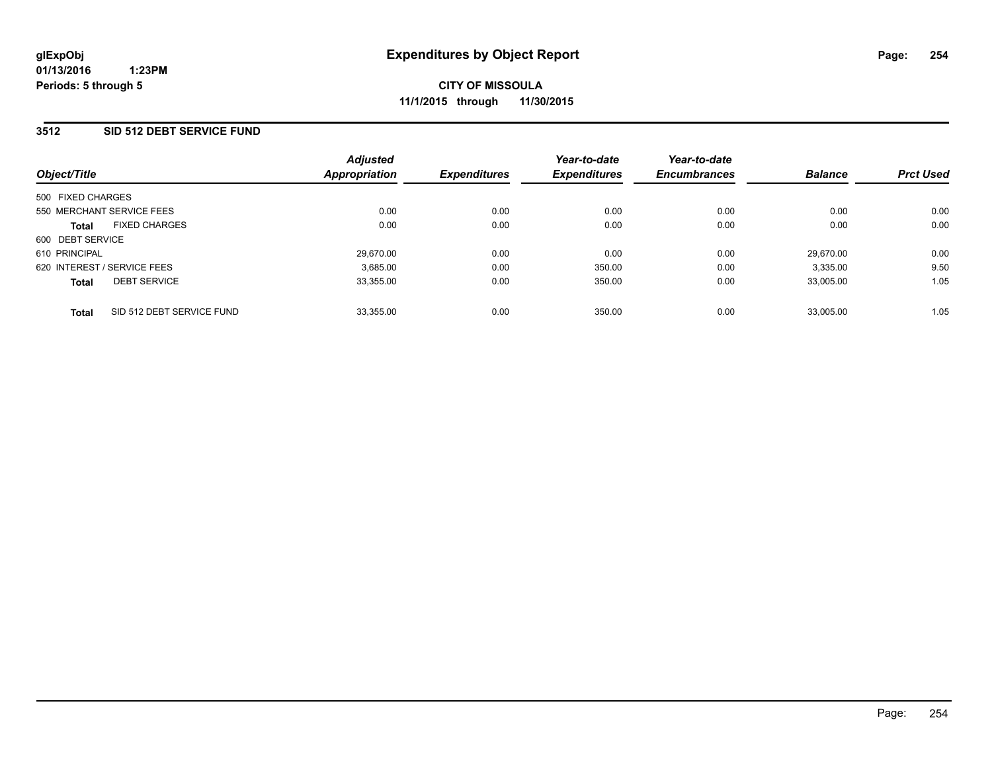### **3512 SID 512 DEBT SERVICE FUND**

| Object/Title                              | <b>Adjusted</b><br>Appropriation | <b>Expenditures</b> | Year-to-date<br><b>Expenditures</b> | Year-to-date<br><b>Encumbrances</b> | <b>Balance</b> | <b>Prct Used</b> |
|-------------------------------------------|----------------------------------|---------------------|-------------------------------------|-------------------------------------|----------------|------------------|
| 500 FIXED CHARGES                         |                                  |                     |                                     |                                     |                |                  |
| 550 MERCHANT SERVICE FEES                 | 0.00                             | 0.00                | 0.00                                | 0.00                                | 0.00           | 0.00             |
| <b>FIXED CHARGES</b><br><b>Total</b>      | 0.00                             | 0.00                | 0.00                                | 0.00                                | 0.00           | 0.00             |
| 600 DEBT SERVICE                          |                                  |                     |                                     |                                     |                |                  |
| 610 PRINCIPAL                             | 29.670.00                        | 0.00                | 0.00                                | 0.00                                | 29.670.00      | 0.00             |
| 620 INTEREST / SERVICE FEES               | 3.685.00                         | 0.00                | 350.00                              | 0.00                                | 3.335.00       | 9.50             |
| <b>DEBT SERVICE</b><br><b>Total</b>       | 33,355.00                        | 0.00                | 350.00                              | 0.00                                | 33,005.00      | 1.05             |
| SID 512 DEBT SERVICE FUND<br><b>Total</b> | 33.355.00                        | 0.00                | 350.00                              | 0.00                                | 33.005.00      | 1.05             |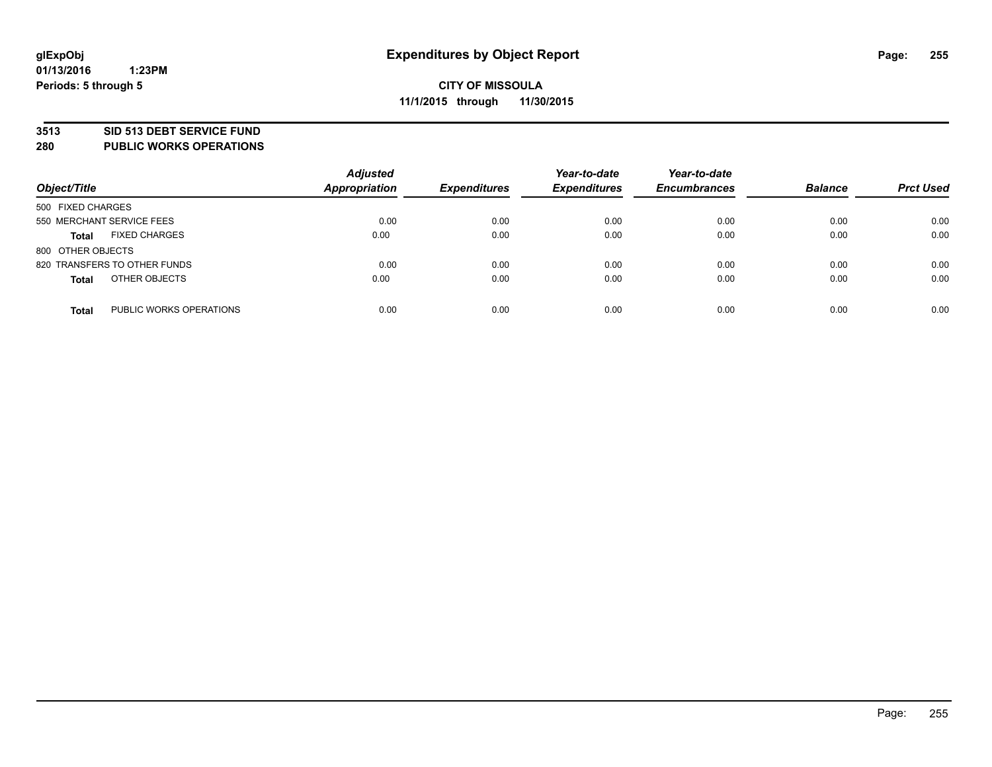#### **3513 SID 513 DEBT SERVICE FUND**

**280 PUBLIC WORKS OPERATIONS**

| Object/Title                            | <b>Adjusted</b><br><b>Appropriation</b> | <b>Expenditures</b> | Year-to-date<br><b>Expenditures</b> | Year-to-date<br><b>Encumbrances</b> | <b>Balance</b> | <b>Prct Used</b> |
|-----------------------------------------|-----------------------------------------|---------------------|-------------------------------------|-------------------------------------|----------------|------------------|
| 500 FIXED CHARGES                       |                                         |                     |                                     |                                     |                |                  |
| 550 MERCHANT SERVICE FEES               | 0.00                                    | 0.00                | 0.00                                | 0.00                                | 0.00           | 0.00             |
| <b>FIXED CHARGES</b><br><b>Total</b>    | 0.00                                    | 0.00                | 0.00                                | 0.00                                | 0.00           | 0.00             |
| 800 OTHER OBJECTS                       |                                         |                     |                                     |                                     |                |                  |
| 820 TRANSFERS TO OTHER FUNDS            | 0.00                                    | 0.00                | 0.00                                | 0.00                                | 0.00           | 0.00             |
| OTHER OBJECTS<br><b>Total</b>           | 0.00                                    | 0.00                | 0.00                                | 0.00                                | 0.00           | 0.00             |
| PUBLIC WORKS OPERATIONS<br><b>Total</b> | 0.00                                    | 0.00                | 0.00                                | 0.00                                | 0.00           | 0.00             |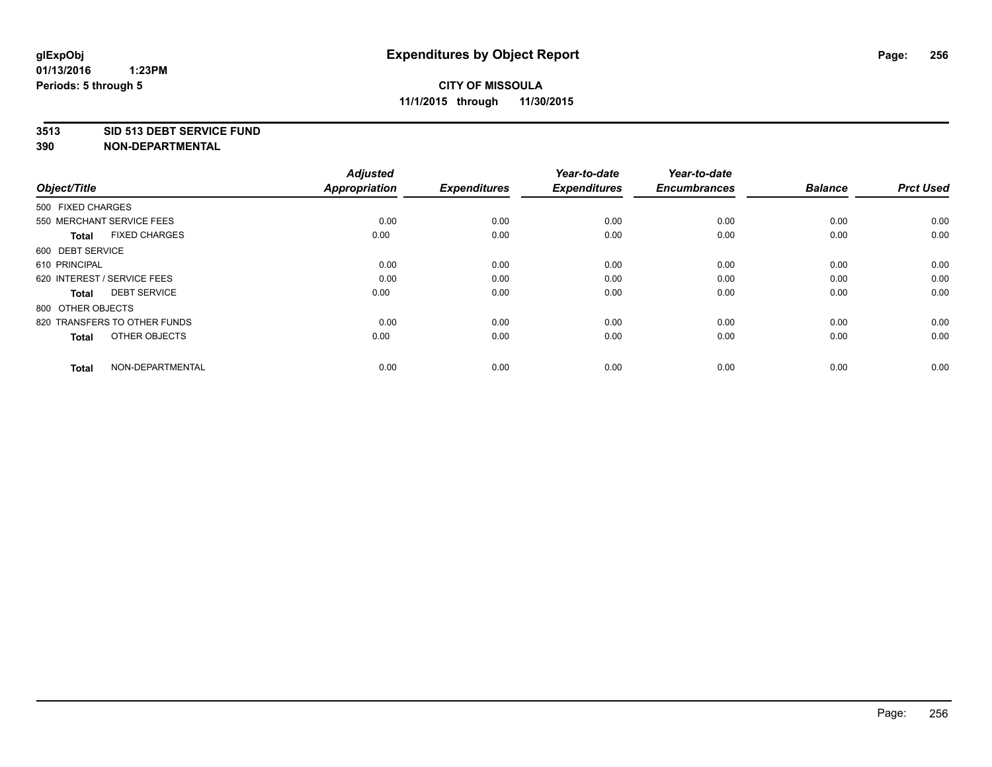#### **3513 SID 513 DEBT SERVICE FUND**

| Object/Title                         | <b>Adjusted</b><br>Appropriation | <b>Expenditures</b> | Year-to-date<br><b>Expenditures</b> | Year-to-date<br><b>Encumbrances</b> | <b>Balance</b> | <b>Prct Used</b> |
|--------------------------------------|----------------------------------|---------------------|-------------------------------------|-------------------------------------|----------------|------------------|
| 500 FIXED CHARGES                    |                                  |                     |                                     |                                     |                |                  |
| 550 MERCHANT SERVICE FEES            | 0.00                             | 0.00                | 0.00                                | 0.00                                | 0.00           | 0.00             |
| <b>FIXED CHARGES</b><br><b>Total</b> | 0.00                             | 0.00                | 0.00                                | 0.00                                | 0.00           | 0.00             |
| 600 DEBT SERVICE                     |                                  |                     |                                     |                                     |                |                  |
| 610 PRINCIPAL                        | 0.00                             | 0.00                | 0.00                                | 0.00                                | 0.00           | 0.00             |
| 620 INTEREST / SERVICE FEES          | 0.00                             | 0.00                | 0.00                                | 0.00                                | 0.00           | 0.00             |
| <b>DEBT SERVICE</b><br><b>Total</b>  | 0.00                             | 0.00                | 0.00                                | 0.00                                | 0.00           | 0.00             |
| 800 OTHER OBJECTS                    |                                  |                     |                                     |                                     |                |                  |
| 820 TRANSFERS TO OTHER FUNDS         | 0.00                             | 0.00                | 0.00                                | 0.00                                | 0.00           | 0.00             |
| OTHER OBJECTS<br><b>Total</b>        | 0.00                             | 0.00                | 0.00                                | 0.00                                | 0.00           | 0.00             |
|                                      |                                  |                     |                                     |                                     |                |                  |
| NON-DEPARTMENTAL<br><b>Total</b>     | 0.00                             | 0.00                | 0.00                                | 0.00                                | 0.00           | 0.00             |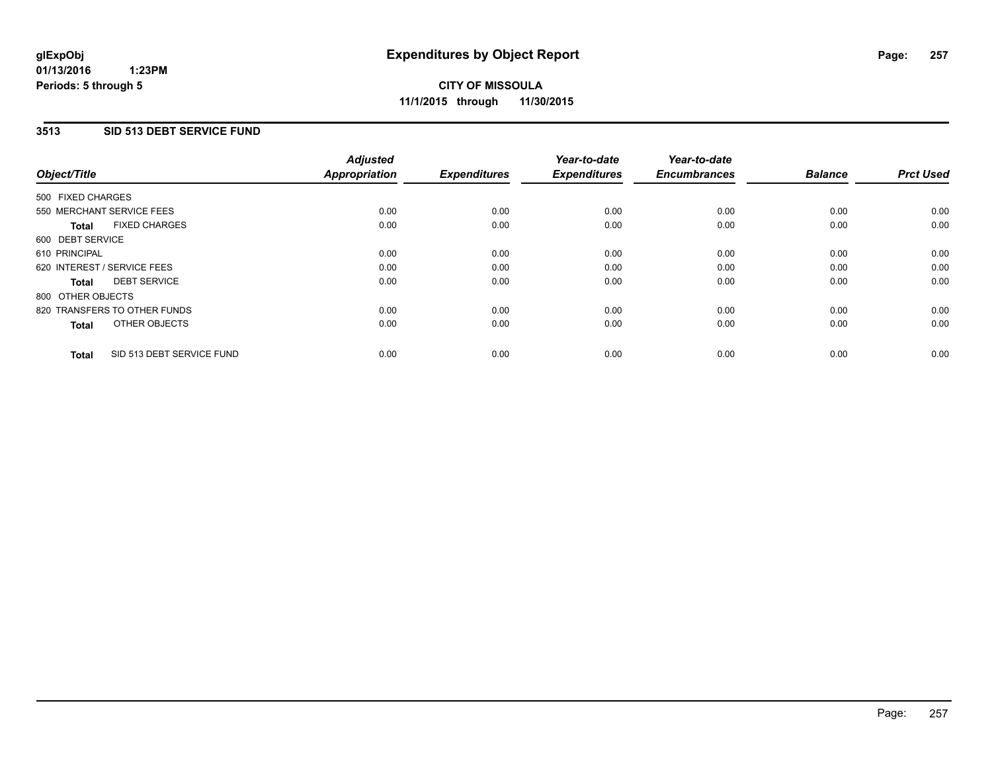### **3513 SID 513 DEBT SERVICE FUND**

| Object/Title                              | <b>Adjusted</b><br><b>Appropriation</b> | <b>Expenditures</b> | Year-to-date<br><b>Expenditures</b> | Year-to-date<br><b>Encumbrances</b> | <b>Balance</b> | <b>Prct Used</b> |
|-------------------------------------------|-----------------------------------------|---------------------|-------------------------------------|-------------------------------------|----------------|------------------|
|                                           |                                         |                     |                                     |                                     |                |                  |
| 500 FIXED CHARGES                         |                                         |                     |                                     |                                     |                |                  |
| 550 MERCHANT SERVICE FEES                 | 0.00                                    | 0.00                | 0.00                                | 0.00                                | 0.00           | 0.00             |
| <b>FIXED CHARGES</b><br>Total             | 0.00                                    | 0.00                | 0.00                                | 0.00                                | 0.00           | 0.00             |
| 600 DEBT SERVICE                          |                                         |                     |                                     |                                     |                |                  |
| 610 PRINCIPAL                             | 0.00                                    | 0.00                | 0.00                                | 0.00                                | 0.00           | 0.00             |
| 620 INTEREST / SERVICE FEES               | 0.00                                    | 0.00                | 0.00                                | 0.00                                | 0.00           | 0.00             |
| <b>DEBT SERVICE</b><br><b>Total</b>       | 0.00                                    | 0.00                | 0.00                                | 0.00                                | 0.00           | 0.00             |
| 800 OTHER OBJECTS                         |                                         |                     |                                     |                                     |                |                  |
| 820 TRANSFERS TO OTHER FUNDS              | 0.00                                    | 0.00                | 0.00                                | 0.00                                | 0.00           | 0.00             |
| OTHER OBJECTS<br><b>Total</b>             | 0.00                                    | 0.00                | 0.00                                | 0.00                                | 0.00           | 0.00             |
|                                           |                                         |                     |                                     |                                     |                |                  |
| SID 513 DEBT SERVICE FUND<br><b>Total</b> | 0.00                                    | 0.00                | 0.00                                | 0.00                                | 0.00           | 0.00             |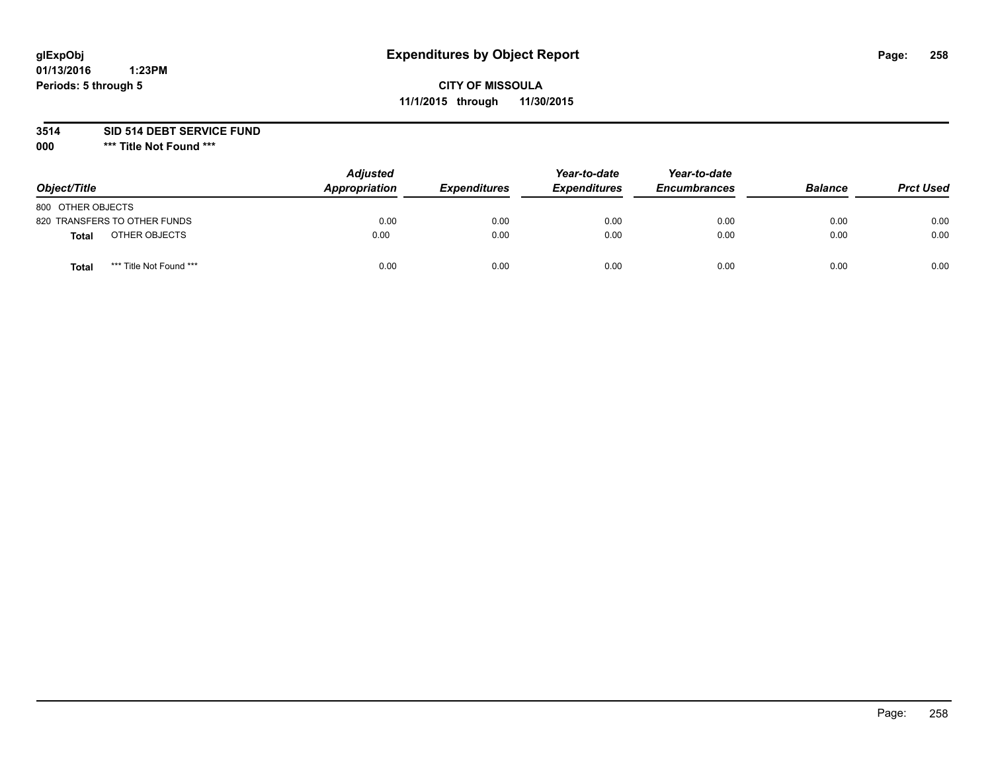# **glExpObj Expenditures by Object Report Page: 258**

# **CITY OF MISSOULA 11/1/2015 through 11/30/2015**

**3514 SID 514 DEBT SERVICE FUND**

**000 \*\*\* Title Not Found \*\*\***

| Object/Title                     | <b>Adjusted</b><br>Appropriation | <b>Expenditures</b> | Year-to-date<br><b>Expenditures</b> | Year-to-date<br><b>Encumbrances</b> | <b>Balance</b> | <b>Prct Used</b> |
|----------------------------------|----------------------------------|---------------------|-------------------------------------|-------------------------------------|----------------|------------------|
| 800 OTHER OBJECTS                |                                  |                     |                                     |                                     |                |                  |
| 820 TRANSFERS TO OTHER FUNDS     | 0.00                             | 0.00                | 0.00                                | 0.00                                | 0.00           | 0.00             |
| OTHER OBJECTS<br>Total           | 0.00                             | 0.00                | 0.00                                | 0.00                                | 0.00           | 0.00             |
| *** Title Not Found ***<br>Total | 0.00                             | 0.00                | 0.00                                | 0.00                                | 0.00           | 0.00             |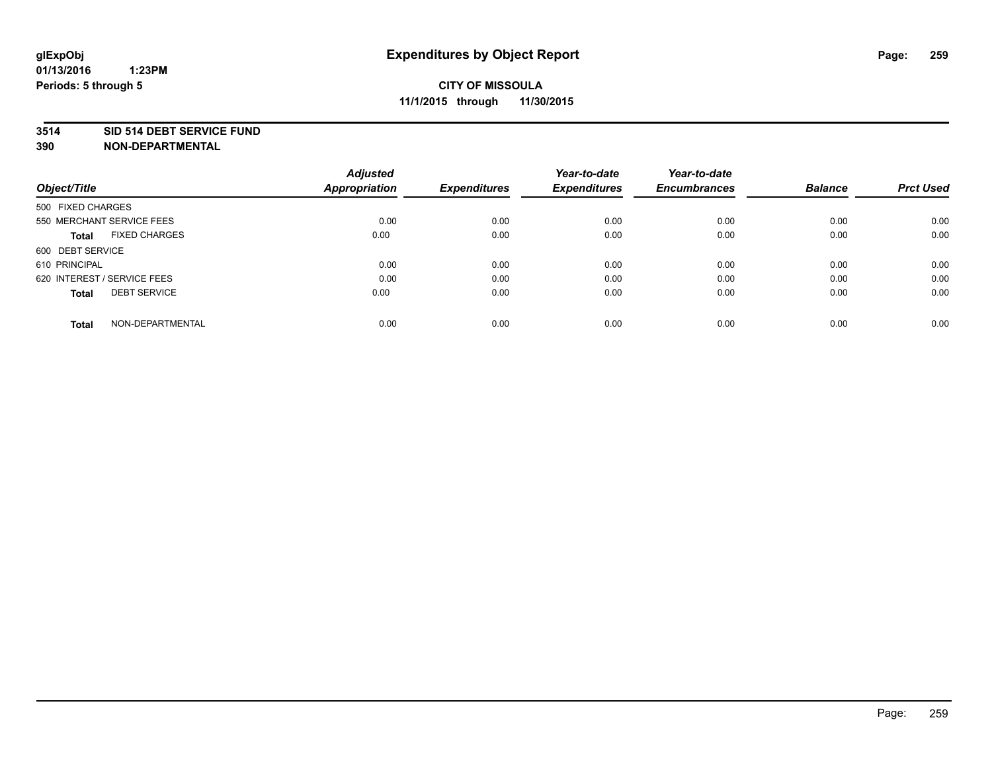#### **3514 SID 514 DEBT SERVICE FUND**

|                                      | <b>Adjusted</b>      |                     | Year-to-date        | Year-to-date        |                |                  |
|--------------------------------------|----------------------|---------------------|---------------------|---------------------|----------------|------------------|
| Object/Title                         | <b>Appropriation</b> | <b>Expenditures</b> | <b>Expenditures</b> | <b>Encumbrances</b> | <b>Balance</b> | <b>Prct Used</b> |
| 500 FIXED CHARGES                    |                      |                     |                     |                     |                |                  |
| 550 MERCHANT SERVICE FEES            | 0.00                 | 0.00                | 0.00                | 0.00                | 0.00           | 0.00             |
| <b>FIXED CHARGES</b><br><b>Total</b> | 0.00                 | 0.00                | 0.00                | 0.00                | 0.00           | 0.00             |
| 600 DEBT SERVICE                     |                      |                     |                     |                     |                |                  |
| 610 PRINCIPAL                        | 0.00                 | 0.00                | 0.00                | 0.00                | 0.00           | 0.00             |
| 620 INTEREST / SERVICE FEES          | 0.00                 | 0.00                | 0.00                | 0.00                | 0.00           | 0.00             |
| <b>DEBT SERVICE</b><br><b>Total</b>  | 0.00                 | 0.00                | 0.00                | 0.00                | 0.00           | 0.00             |
| NON-DEPARTMENTAL<br><b>Total</b>     | 0.00                 | 0.00                | 0.00                | 0.00                | 0.00           | 0.00             |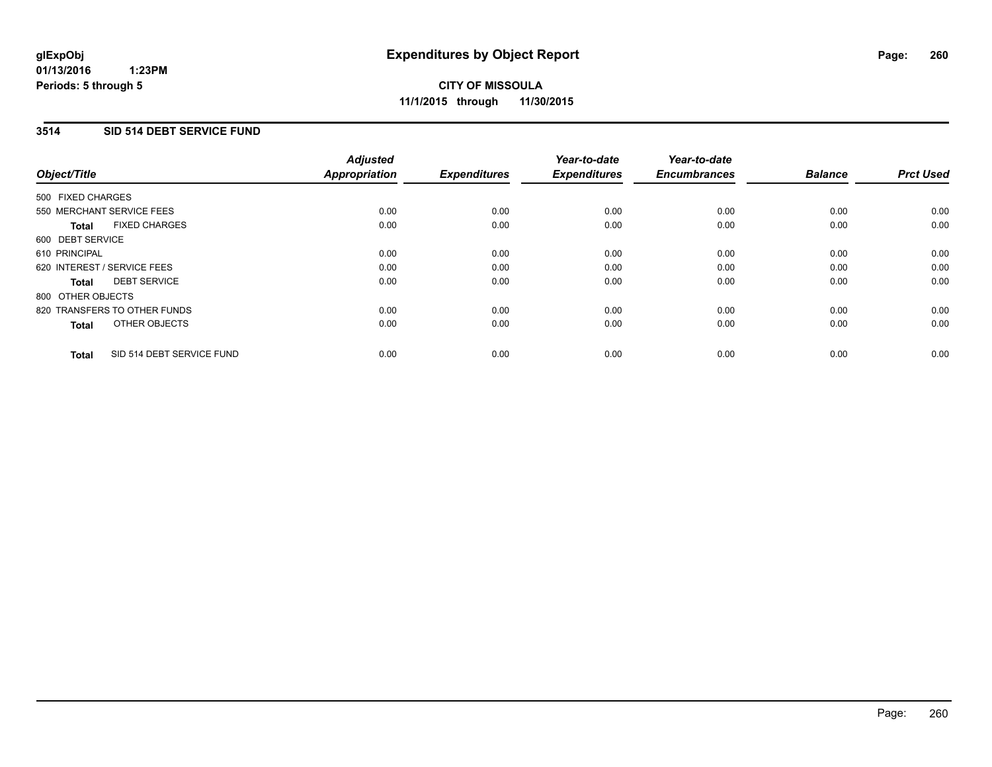### **3514 SID 514 DEBT SERVICE FUND**

| Object/Title      |                              | <b>Adjusted</b><br>Appropriation | <b>Expenditures</b> | Year-to-date<br><b>Expenditures</b> | Year-to-date<br><b>Encumbrances</b> | <b>Balance</b> | <b>Prct Used</b> |
|-------------------|------------------------------|----------------------------------|---------------------|-------------------------------------|-------------------------------------|----------------|------------------|
| 500 FIXED CHARGES |                              |                                  |                     |                                     |                                     |                |                  |
|                   | 550 MERCHANT SERVICE FEES    | 0.00                             | 0.00                | 0.00                                | 0.00                                | 0.00           | 0.00             |
| <b>Total</b>      | <b>FIXED CHARGES</b>         | 0.00                             | 0.00                | 0.00                                | 0.00                                | 0.00           | 0.00             |
| 600 DEBT SERVICE  |                              |                                  |                     |                                     |                                     |                |                  |
| 610 PRINCIPAL     |                              | 0.00                             | 0.00                | 0.00                                | 0.00                                | 0.00           | 0.00             |
|                   | 620 INTEREST / SERVICE FEES  | 0.00                             | 0.00                | 0.00                                | 0.00                                | 0.00           | 0.00             |
| Total             | <b>DEBT SERVICE</b>          | 0.00                             | 0.00                | 0.00                                | 0.00                                | 0.00           | 0.00             |
| 800 OTHER OBJECTS |                              |                                  |                     |                                     |                                     |                |                  |
|                   | 820 TRANSFERS TO OTHER FUNDS | 0.00                             | 0.00                | 0.00                                | 0.00                                | 0.00           | 0.00             |
| <b>Total</b>      | OTHER OBJECTS                | 0.00                             | 0.00                | 0.00                                | 0.00                                | 0.00           | 0.00             |
| <b>Total</b>      | SID 514 DEBT SERVICE FUND    | 0.00                             | 0.00                | 0.00                                | 0.00                                | 0.00           | 0.00             |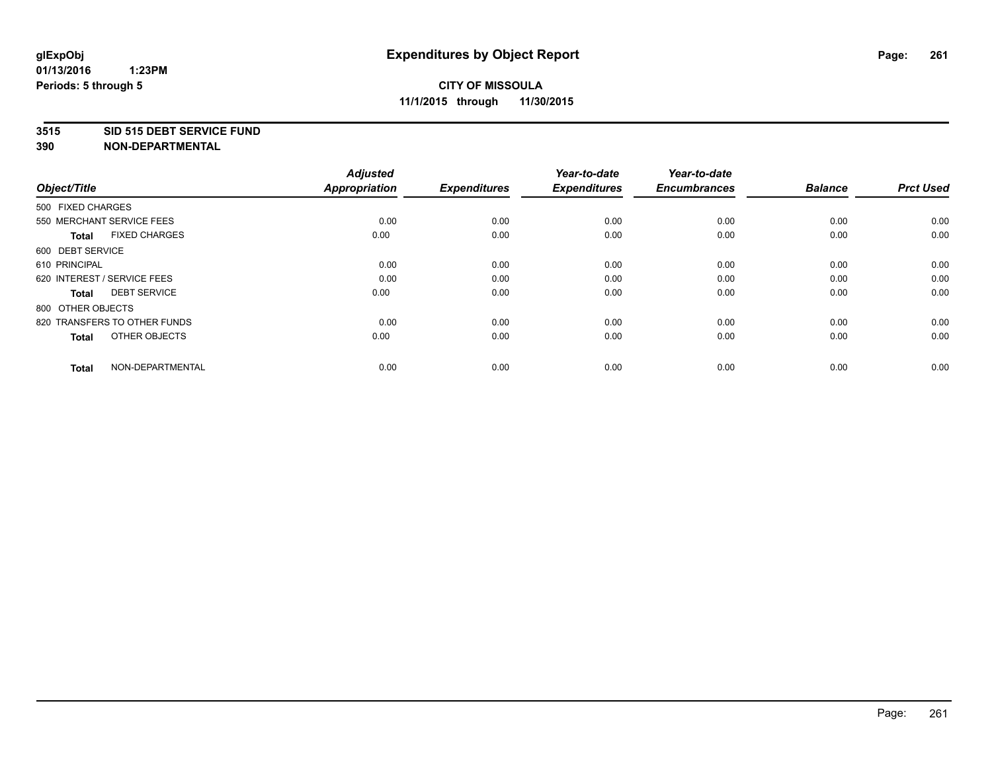#### **3515 SID 515 DEBT SERVICE FUND**

| Object/Title                         | <b>Adjusted</b><br><b>Appropriation</b> | <b>Expenditures</b> | Year-to-date<br><b>Expenditures</b> | Year-to-date<br><b>Encumbrances</b> | <b>Balance</b> | <b>Prct Used</b> |
|--------------------------------------|-----------------------------------------|---------------------|-------------------------------------|-------------------------------------|----------------|------------------|
| 500 FIXED CHARGES                    |                                         |                     |                                     |                                     |                |                  |
| 550 MERCHANT SERVICE FEES            | 0.00                                    | 0.00                | 0.00                                | 0.00                                | 0.00           | 0.00             |
| <b>FIXED CHARGES</b><br><b>Total</b> | 0.00                                    | 0.00                | 0.00                                | 0.00                                | 0.00           | 0.00             |
| 600 DEBT SERVICE                     |                                         |                     |                                     |                                     |                |                  |
| 610 PRINCIPAL                        | 0.00                                    | 0.00                | 0.00                                | 0.00                                | 0.00           | 0.00             |
| 620 INTEREST / SERVICE FEES          | 0.00                                    | 0.00                | 0.00                                | 0.00                                | 0.00           | 0.00             |
| <b>DEBT SERVICE</b><br><b>Total</b>  | 0.00                                    | 0.00                | 0.00                                | 0.00                                | 0.00           | 0.00             |
| 800 OTHER OBJECTS                    |                                         |                     |                                     |                                     |                |                  |
| 820 TRANSFERS TO OTHER FUNDS         | 0.00                                    | 0.00                | 0.00                                | 0.00                                | 0.00           | 0.00             |
| OTHER OBJECTS<br><b>Total</b>        | 0.00                                    | 0.00                | 0.00                                | 0.00                                | 0.00           | 0.00             |
|                                      |                                         |                     |                                     |                                     |                |                  |
| NON-DEPARTMENTAL<br><b>Total</b>     | 0.00                                    | 0.00                | 0.00                                | 0.00                                | 0.00           | 0.00             |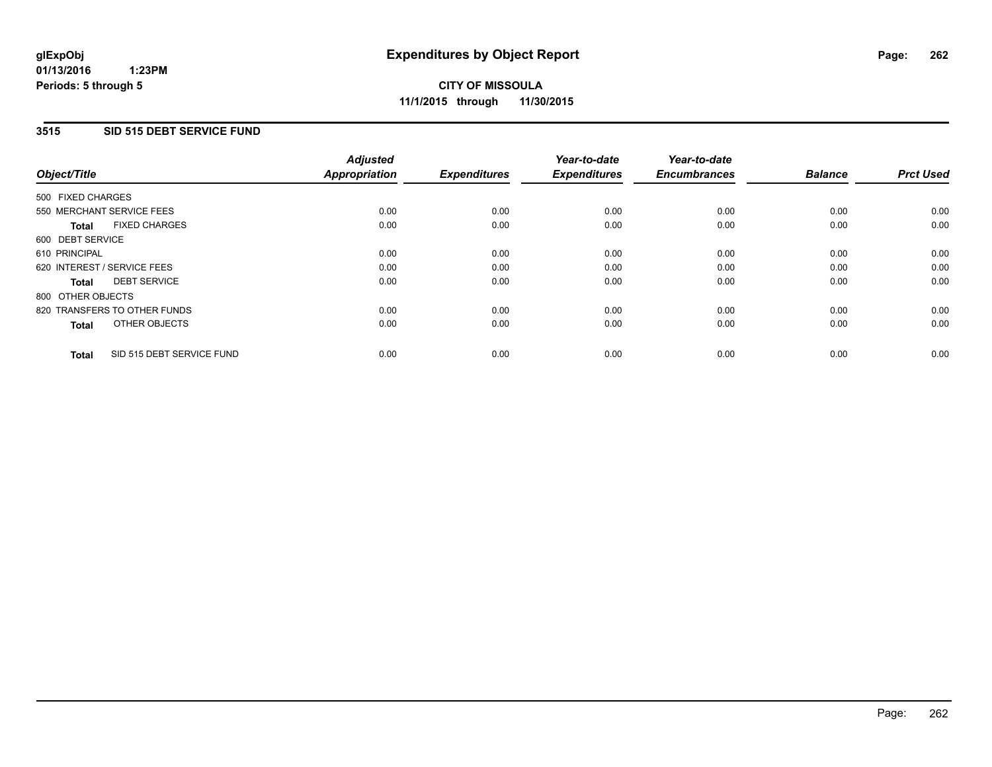### **3515 SID 515 DEBT SERVICE FUND**

| Object/Title                              | <b>Adjusted</b><br><b>Appropriation</b> | <b>Expenditures</b> | Year-to-date<br><b>Expenditures</b> | Year-to-date<br><b>Encumbrances</b> | <b>Balance</b> | <b>Prct Used</b> |
|-------------------------------------------|-----------------------------------------|---------------------|-------------------------------------|-------------------------------------|----------------|------------------|
|                                           |                                         |                     |                                     |                                     |                |                  |
| 500 FIXED CHARGES                         |                                         |                     |                                     |                                     |                |                  |
| 550 MERCHANT SERVICE FEES                 | 0.00                                    | 0.00                | 0.00                                | 0.00                                | 0.00           | 0.00             |
| <b>FIXED CHARGES</b><br>Total             | 0.00                                    | 0.00                | 0.00                                | 0.00                                | 0.00           | 0.00             |
| 600 DEBT SERVICE                          |                                         |                     |                                     |                                     |                |                  |
| 610 PRINCIPAL                             | 0.00                                    | 0.00                | 0.00                                | 0.00                                | 0.00           | 0.00             |
| 620 INTEREST / SERVICE FEES               | 0.00                                    | 0.00                | 0.00                                | 0.00                                | 0.00           | 0.00             |
| <b>DEBT SERVICE</b><br><b>Total</b>       | 0.00                                    | 0.00                | 0.00                                | 0.00                                | 0.00           | 0.00             |
| 800 OTHER OBJECTS                         |                                         |                     |                                     |                                     |                |                  |
| 820 TRANSFERS TO OTHER FUNDS              | 0.00                                    | 0.00                | 0.00                                | 0.00                                | 0.00           | 0.00             |
| OTHER OBJECTS<br><b>Total</b>             | 0.00                                    | 0.00                | 0.00                                | 0.00                                | 0.00           | 0.00             |
|                                           |                                         |                     |                                     |                                     |                |                  |
| SID 515 DEBT SERVICE FUND<br><b>Total</b> | 0.00                                    | 0.00                | 0.00                                | 0.00                                | 0.00           | 0.00             |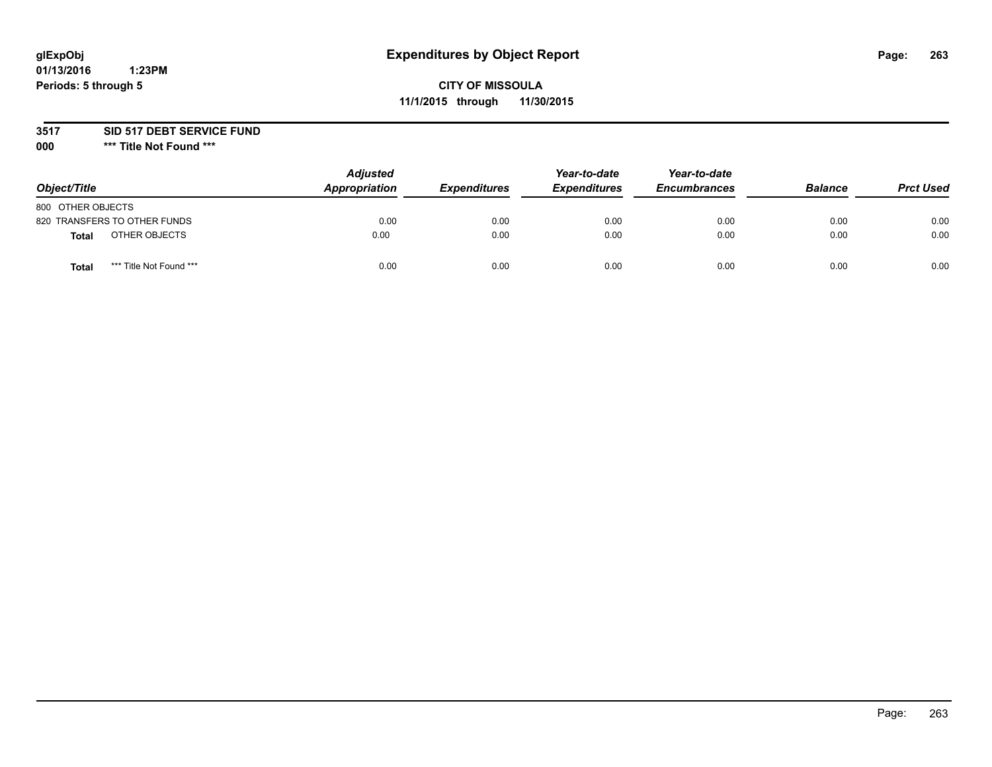# **glExpObj Expenditures by Object Report Page: 263**

# **CITY OF MISSOULA 11/1/2015 through 11/30/2015**

**3517 SID 517 DEBT SERVICE FUND**

**000 \*\*\* Title Not Found \*\*\***

| Object/Title                     | <b>Adjusted</b><br><b>Appropriation</b> | <i><b>Expenditures</b></i> | Year-to-date<br><b>Expenditures</b> | Year-to-date<br><b>Encumbrances</b> | <b>Balance</b> | <b>Prct Used</b> |
|----------------------------------|-----------------------------------------|----------------------------|-------------------------------------|-------------------------------------|----------------|------------------|
| 800 OTHER OBJECTS                |                                         |                            |                                     |                                     |                |                  |
| 820 TRANSFERS TO OTHER FUNDS     | 0.00                                    | 0.00                       | 0.00                                | 0.00                                | 0.00           | 0.00             |
| OTHER OBJECTS<br>Total           | 0.00                                    | 0.00                       | 0.00                                | 0.00                                | 0.00           | 0.00             |
| *** Title Not Found ***<br>Total | 0.00                                    | 0.00                       | 0.00                                | 0.00                                | 0.00           | 0.00             |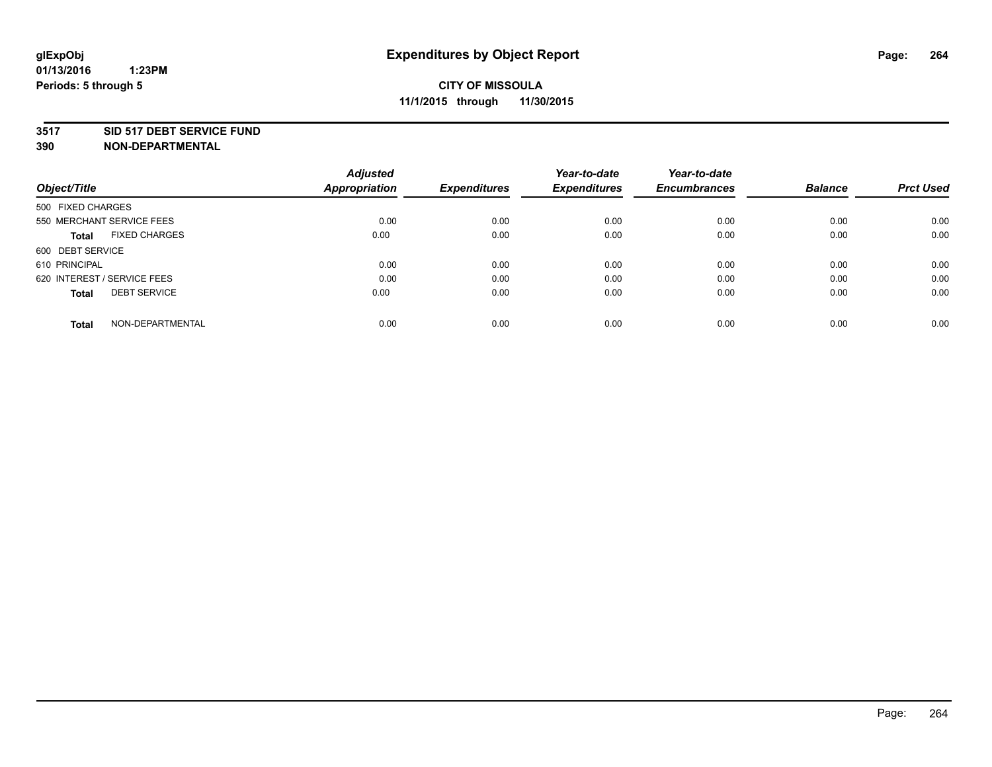#### **3517 SID 517 DEBT SERVICE FUND**

|                                      | <b>Adjusted</b>      |                     | Year-to-date        | Year-to-date        |                |                  |
|--------------------------------------|----------------------|---------------------|---------------------|---------------------|----------------|------------------|
| Object/Title                         | <b>Appropriation</b> | <b>Expenditures</b> | <b>Expenditures</b> | <b>Encumbrances</b> | <b>Balance</b> | <b>Prct Used</b> |
| 500 FIXED CHARGES                    |                      |                     |                     |                     |                |                  |
| 550 MERCHANT SERVICE FEES            | 0.00                 | 0.00                | 0.00                | 0.00                | 0.00           | 0.00             |
| <b>FIXED CHARGES</b><br><b>Total</b> | 0.00                 | 0.00                | 0.00                | 0.00                | 0.00           | 0.00             |
| 600 DEBT SERVICE                     |                      |                     |                     |                     |                |                  |
| 610 PRINCIPAL                        | 0.00                 | 0.00                | 0.00                | 0.00                | 0.00           | 0.00             |
| 620 INTEREST / SERVICE FEES          | 0.00                 | 0.00                | 0.00                | 0.00                | 0.00           | 0.00             |
| <b>DEBT SERVICE</b><br><b>Total</b>  | 0.00                 | 0.00                | 0.00                | 0.00                | 0.00           | 0.00             |
| NON-DEPARTMENTAL<br>Total            | 0.00                 | 0.00                | 0.00                | 0.00                | 0.00           | 0.00             |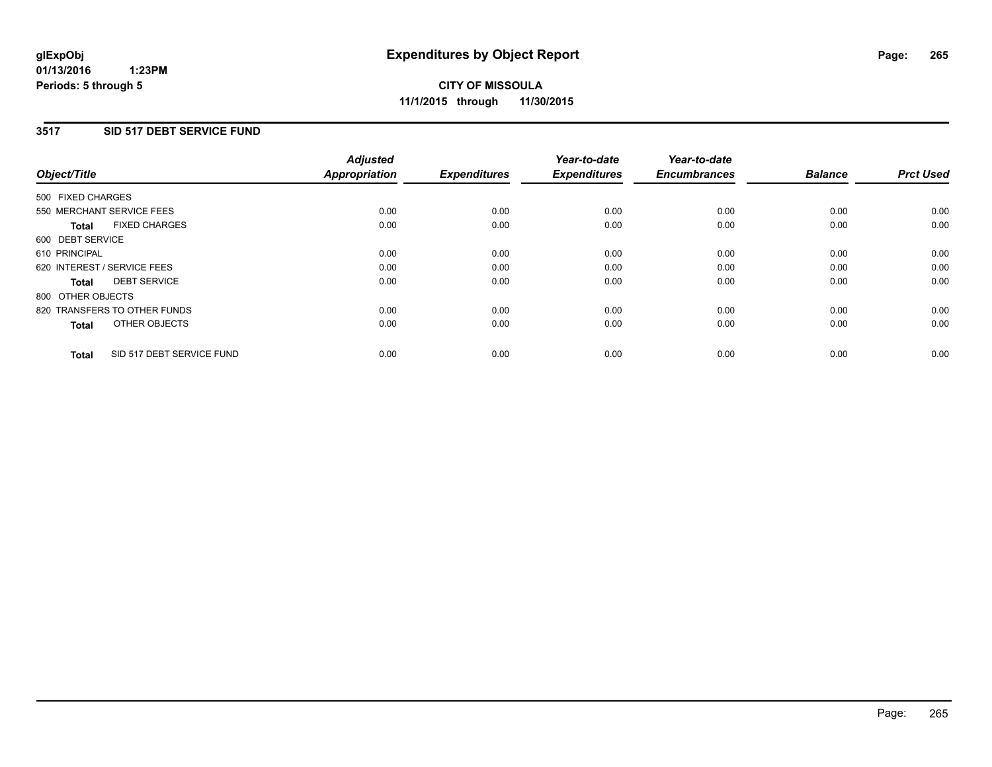### **3517 SID 517 DEBT SERVICE FUND**

| Object/Title                              | <b>Adjusted</b><br><b>Appropriation</b> | <b>Expenditures</b> | Year-to-date<br><b>Expenditures</b> | Year-to-date<br><b>Encumbrances</b> | <b>Balance</b> | <b>Prct Used</b> |
|-------------------------------------------|-----------------------------------------|---------------------|-------------------------------------|-------------------------------------|----------------|------------------|
|                                           |                                         |                     |                                     |                                     |                |                  |
| 500 FIXED CHARGES                         |                                         |                     |                                     |                                     |                |                  |
| 550 MERCHANT SERVICE FEES                 | 0.00                                    | 0.00                | 0.00                                | 0.00                                | 0.00           | 0.00             |
| <b>FIXED CHARGES</b><br>Total             | 0.00                                    | 0.00                | 0.00                                | 0.00                                | 0.00           | 0.00             |
| 600 DEBT SERVICE                          |                                         |                     |                                     |                                     |                |                  |
| 610 PRINCIPAL                             | 0.00                                    | 0.00                | 0.00                                | 0.00                                | 0.00           | 0.00             |
| 620 INTEREST / SERVICE FEES               | 0.00                                    | 0.00                | 0.00                                | 0.00                                | 0.00           | 0.00             |
| <b>DEBT SERVICE</b><br><b>Total</b>       | 0.00                                    | 0.00                | 0.00                                | 0.00                                | 0.00           | 0.00             |
| 800 OTHER OBJECTS                         |                                         |                     |                                     |                                     |                |                  |
| 820 TRANSFERS TO OTHER FUNDS              | 0.00                                    | 0.00                | 0.00                                | 0.00                                | 0.00           | 0.00             |
| OTHER OBJECTS<br><b>Total</b>             | 0.00                                    | 0.00                | 0.00                                | 0.00                                | 0.00           | 0.00             |
|                                           |                                         |                     |                                     |                                     |                |                  |
| SID 517 DEBT SERVICE FUND<br><b>Total</b> | 0.00                                    | 0.00                | 0.00                                | 0.00                                | 0.00           | 0.00             |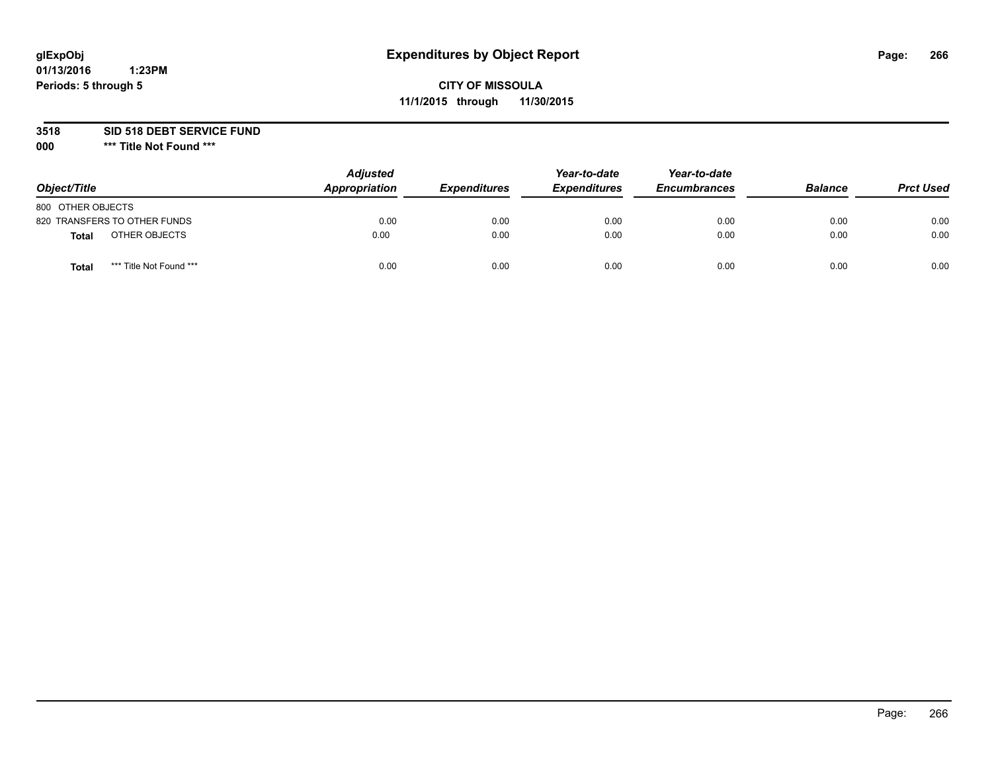# **glExpObj Expenditures by Object Report Page: 266**

# **CITY OF MISSOULA 11/1/2015 through 11/30/2015**

**3518 SID 518 DEBT SERVICE FUND**

**000 \*\*\* Title Not Found \*\*\***

| Object/Title                            | <b>Adjusted</b><br>Appropriation | <i><b>Expenditures</b></i> | Year-to-date<br><b>Expenditures</b> | Year-to-date<br><b>Encumbrances</b> | <b>Balance</b> | <b>Prct Used</b> |
|-----------------------------------------|----------------------------------|----------------------------|-------------------------------------|-------------------------------------|----------------|------------------|
| 800 OTHER OBJECTS                       |                                  |                            |                                     |                                     |                |                  |
| 820 TRANSFERS TO OTHER FUNDS            | 0.00                             | 0.00                       | 0.00                                | 0.00                                | 0.00           | 0.00             |
| OTHER OBJECTS<br><b>Total</b>           | 0.00                             | 0.00                       | 0.00                                | 0.00                                | 0.00           | 0.00             |
| *** Title Not Found ***<br><b>Total</b> | 0.00                             | 0.00                       | 0.00                                | 0.00                                | 0.00           | 0.00             |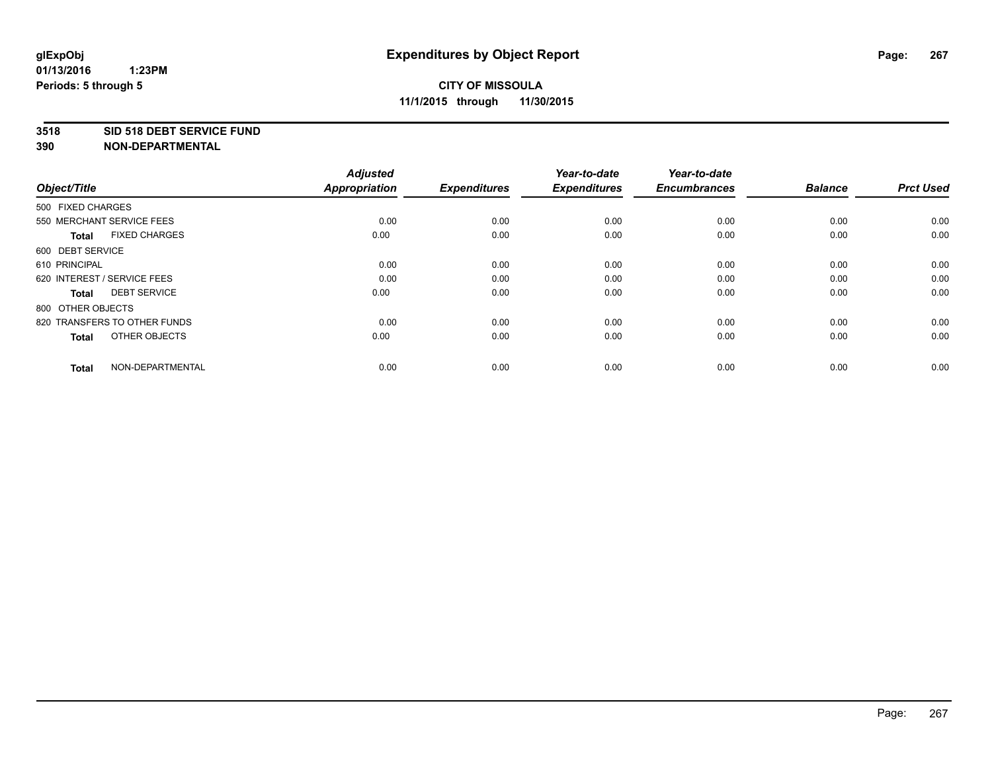#### **3518 SID 518 DEBT SERVICE FUND**

| Object/Title                         | <b>Adjusted</b><br><b>Appropriation</b> | <b>Expenditures</b> | Year-to-date<br><b>Expenditures</b> | Year-to-date<br><b>Encumbrances</b> | <b>Balance</b> | <b>Prct Used</b> |
|--------------------------------------|-----------------------------------------|---------------------|-------------------------------------|-------------------------------------|----------------|------------------|
| 500 FIXED CHARGES                    |                                         |                     |                                     |                                     |                |                  |
| 550 MERCHANT SERVICE FEES            | 0.00                                    | 0.00                | 0.00                                | 0.00                                | 0.00           | 0.00             |
| <b>FIXED CHARGES</b><br><b>Total</b> | 0.00                                    | 0.00                | 0.00                                | 0.00                                | 0.00           | 0.00             |
| 600 DEBT SERVICE                     |                                         |                     |                                     |                                     |                |                  |
| 610 PRINCIPAL                        | 0.00                                    | 0.00                | 0.00                                | 0.00                                | 0.00           | 0.00             |
| 620 INTEREST / SERVICE FEES          | 0.00                                    | 0.00                | 0.00                                | 0.00                                | 0.00           | 0.00             |
| <b>DEBT SERVICE</b><br><b>Total</b>  | 0.00                                    | 0.00                | 0.00                                | 0.00                                | 0.00           | 0.00             |
| 800 OTHER OBJECTS                    |                                         |                     |                                     |                                     |                |                  |
| 820 TRANSFERS TO OTHER FUNDS         | 0.00                                    | 0.00                | 0.00                                | 0.00                                | 0.00           | 0.00             |
| OTHER OBJECTS<br><b>Total</b>        | 0.00                                    | 0.00                | 0.00                                | 0.00                                | 0.00           | 0.00             |
|                                      |                                         |                     |                                     |                                     |                |                  |
| NON-DEPARTMENTAL<br><b>Total</b>     | 0.00                                    | 0.00                | 0.00                                | 0.00                                | 0.00           | 0.00             |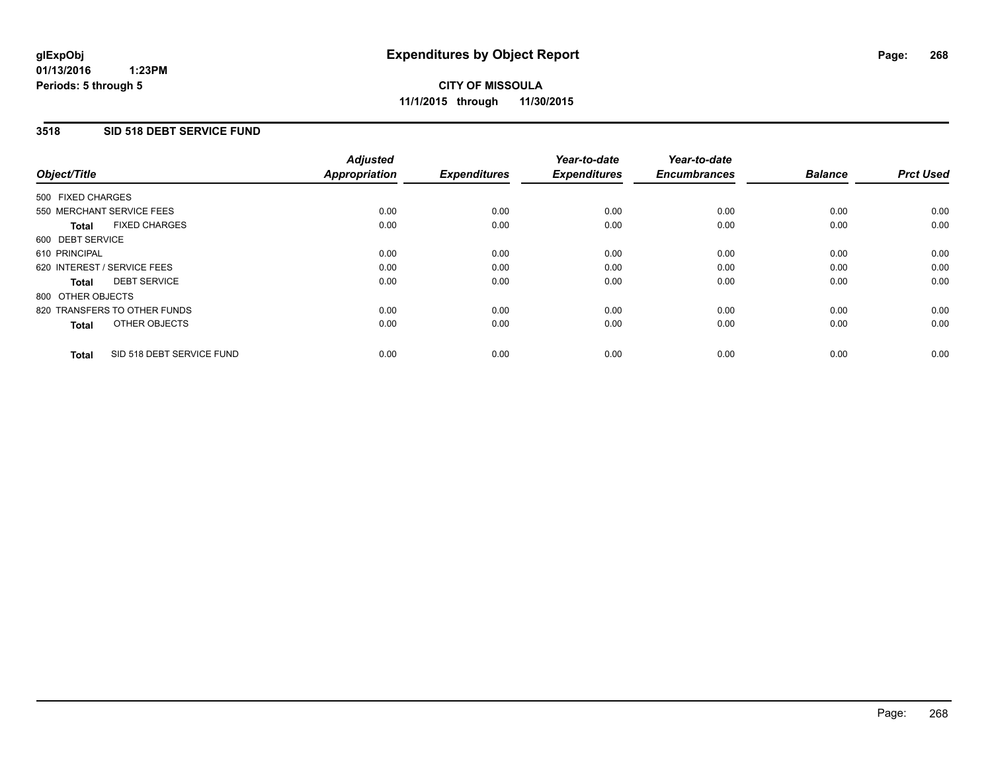### **3518 SID 518 DEBT SERVICE FUND**

| Object/Title                              | <b>Adjusted</b><br><b>Appropriation</b> | <b>Expenditures</b> | Year-to-date<br><b>Expenditures</b> | Year-to-date<br><b>Encumbrances</b> | <b>Balance</b> | <b>Prct Used</b> |
|-------------------------------------------|-----------------------------------------|---------------------|-------------------------------------|-------------------------------------|----------------|------------------|
|                                           |                                         |                     |                                     |                                     |                |                  |
| 500 FIXED CHARGES                         |                                         |                     |                                     |                                     |                |                  |
| 550 MERCHANT SERVICE FEES                 | 0.00                                    | 0.00                | 0.00                                | 0.00                                | 0.00           | 0.00             |
| <b>FIXED CHARGES</b><br>Total             | 0.00                                    | 0.00                | 0.00                                | 0.00                                | 0.00           | 0.00             |
| 600 DEBT SERVICE                          |                                         |                     |                                     |                                     |                |                  |
| 610 PRINCIPAL                             | 0.00                                    | 0.00                | 0.00                                | 0.00                                | 0.00           | 0.00             |
| 620 INTEREST / SERVICE FEES               | 0.00                                    | 0.00                | 0.00                                | 0.00                                | 0.00           | 0.00             |
| <b>DEBT SERVICE</b><br><b>Total</b>       | 0.00                                    | 0.00                | 0.00                                | 0.00                                | 0.00           | 0.00             |
| 800 OTHER OBJECTS                         |                                         |                     |                                     |                                     |                |                  |
| 820 TRANSFERS TO OTHER FUNDS              | 0.00                                    | 0.00                | 0.00                                | 0.00                                | 0.00           | 0.00             |
| OTHER OBJECTS<br><b>Total</b>             | 0.00                                    | 0.00                | 0.00                                | 0.00                                | 0.00           | 0.00             |
|                                           |                                         |                     |                                     |                                     |                |                  |
| SID 518 DEBT SERVICE FUND<br><b>Total</b> | 0.00                                    | 0.00                | 0.00                                | 0.00                                | 0.00           | 0.00             |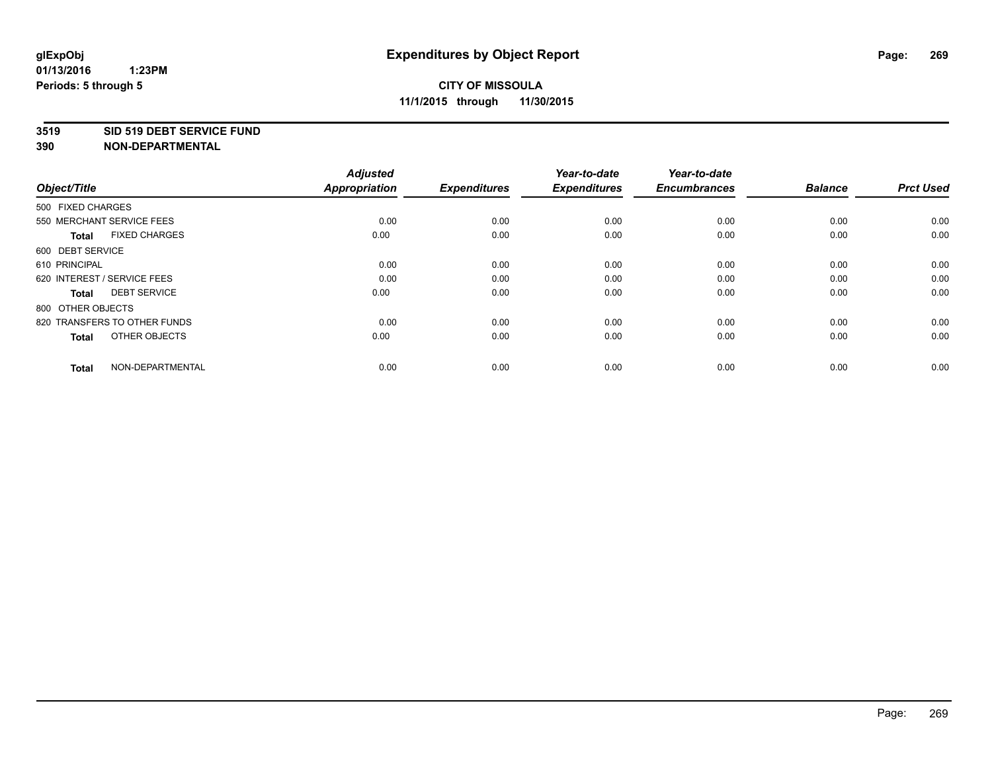#### **3519 SID 519 DEBT SERVICE FUND**

| Object/Title                         | <b>Adjusted</b><br><b>Appropriation</b> | <b>Expenditures</b> | Year-to-date<br><b>Expenditures</b> | Year-to-date<br><b>Encumbrances</b> | <b>Balance</b> | <b>Prct Used</b> |
|--------------------------------------|-----------------------------------------|---------------------|-------------------------------------|-------------------------------------|----------------|------------------|
| 500 FIXED CHARGES                    |                                         |                     |                                     |                                     |                |                  |
| 550 MERCHANT SERVICE FEES            | 0.00                                    | 0.00                | 0.00                                | 0.00                                | 0.00           | 0.00             |
| <b>FIXED CHARGES</b><br><b>Total</b> | 0.00                                    | 0.00                | 0.00                                | 0.00                                | 0.00           | 0.00             |
| 600 DEBT SERVICE                     |                                         |                     |                                     |                                     |                |                  |
| 610 PRINCIPAL                        | 0.00                                    | 0.00                | 0.00                                | 0.00                                | 0.00           | 0.00             |
| 620 INTEREST / SERVICE FEES          | 0.00                                    | 0.00                | 0.00                                | 0.00                                | 0.00           | 0.00             |
| <b>DEBT SERVICE</b><br><b>Total</b>  | 0.00                                    | 0.00                | 0.00                                | 0.00                                | 0.00           | 0.00             |
| 800 OTHER OBJECTS                    |                                         |                     |                                     |                                     |                |                  |
| 820 TRANSFERS TO OTHER FUNDS         | 0.00                                    | 0.00                | 0.00                                | 0.00                                | 0.00           | 0.00             |
| OTHER OBJECTS<br><b>Total</b>        | 0.00                                    | 0.00                | 0.00                                | 0.00                                | 0.00           | 0.00             |
|                                      |                                         |                     |                                     |                                     |                |                  |
| NON-DEPARTMENTAL<br><b>Total</b>     | 0.00                                    | 0.00                | 0.00                                | 0.00                                | 0.00           | 0.00             |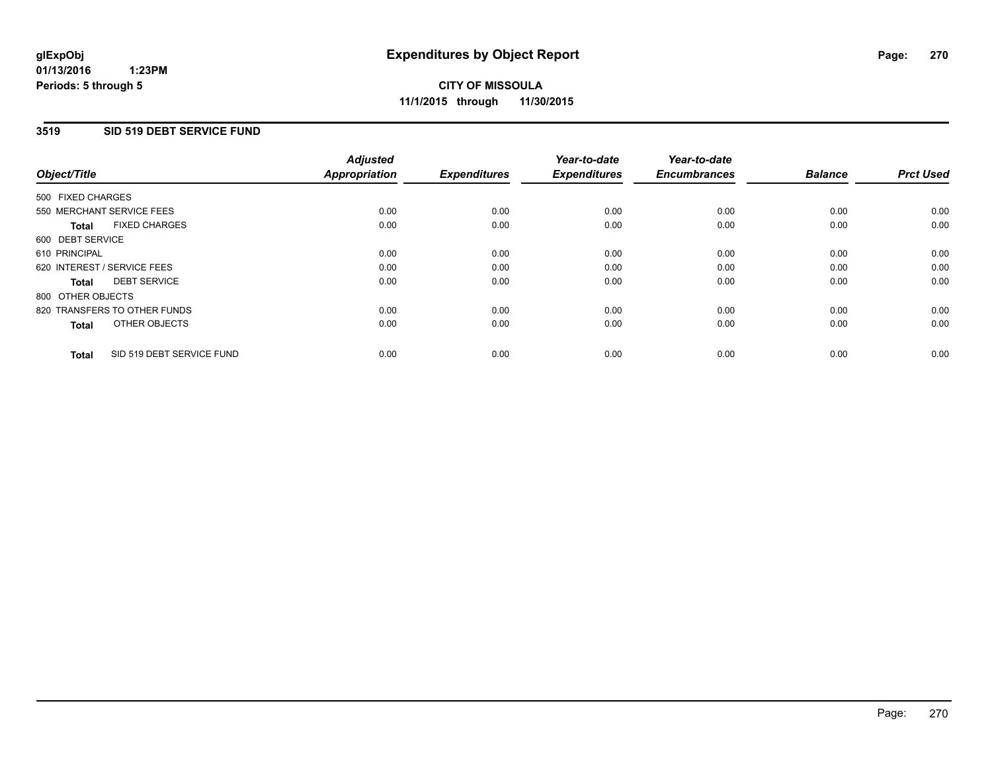### **3519 SID 519 DEBT SERVICE FUND**

| Object/Title                              | <b>Adjusted</b><br><b>Appropriation</b> | <b>Expenditures</b> | Year-to-date<br><b>Expenditures</b> | Year-to-date<br><b>Encumbrances</b> | <b>Balance</b> | <b>Prct Used</b> |
|-------------------------------------------|-----------------------------------------|---------------------|-------------------------------------|-------------------------------------|----------------|------------------|
|                                           |                                         |                     |                                     |                                     |                |                  |
| 500 FIXED CHARGES                         |                                         |                     |                                     |                                     |                |                  |
| 550 MERCHANT SERVICE FEES                 | 0.00                                    | 0.00                | 0.00                                | 0.00                                | 0.00           | 0.00             |
| <b>FIXED CHARGES</b><br>Total             | 0.00                                    | 0.00                | 0.00                                | 0.00                                | 0.00           | 0.00             |
| 600 DEBT SERVICE                          |                                         |                     |                                     |                                     |                |                  |
| 610 PRINCIPAL                             | 0.00                                    | 0.00                | 0.00                                | 0.00                                | 0.00           | 0.00             |
| 620 INTEREST / SERVICE FEES               | 0.00                                    | 0.00                | 0.00                                | 0.00                                | 0.00           | 0.00             |
| <b>DEBT SERVICE</b><br><b>Total</b>       | 0.00                                    | 0.00                | 0.00                                | 0.00                                | 0.00           | 0.00             |
| 800 OTHER OBJECTS                         |                                         |                     |                                     |                                     |                |                  |
| 820 TRANSFERS TO OTHER FUNDS              | 0.00                                    | 0.00                | 0.00                                | 0.00                                | 0.00           | 0.00             |
| OTHER OBJECTS<br><b>Total</b>             | 0.00                                    | 0.00                | 0.00                                | 0.00                                | 0.00           | 0.00             |
|                                           |                                         |                     |                                     |                                     |                |                  |
| SID 519 DEBT SERVICE FUND<br><b>Total</b> | 0.00                                    | 0.00                | 0.00                                | 0.00                                | 0.00           | 0.00             |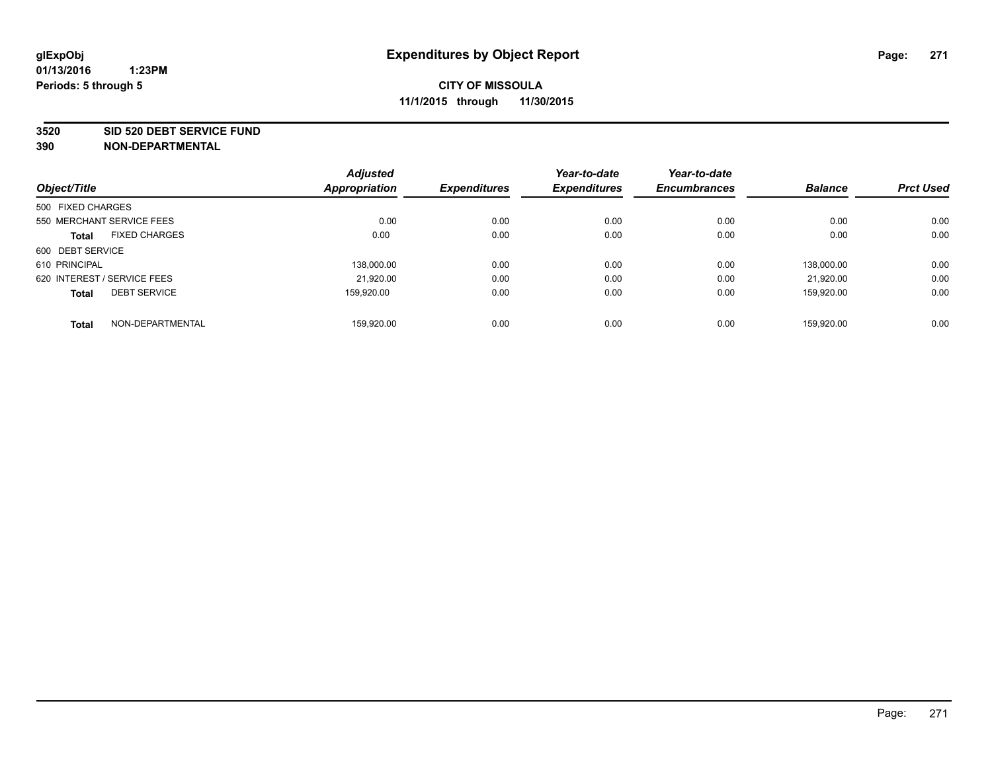#### **3520 SID 520 DEBT SERVICE FUND**

| Object/Title                        | <b>Adjusted</b><br><b>Appropriation</b> | <b>Expenditures</b> | Year-to-date<br><b>Expenditures</b> | Year-to-date<br><b>Encumbrances</b> | <b>Balance</b> | <b>Prct Used</b> |
|-------------------------------------|-----------------------------------------|---------------------|-------------------------------------|-------------------------------------|----------------|------------------|
|                                     |                                         |                     |                                     |                                     |                |                  |
| 500 FIXED CHARGES                   |                                         |                     |                                     |                                     |                |                  |
| 550 MERCHANT SERVICE FEES           | 0.00                                    | 0.00                | 0.00                                | 0.00                                | 0.00           | 0.00             |
| <b>FIXED CHARGES</b><br>Total       | 0.00                                    | 0.00                | 0.00                                | 0.00                                | 0.00           | 0.00             |
| 600 DEBT SERVICE                    |                                         |                     |                                     |                                     |                |                  |
| 610 PRINCIPAL                       | 138.000.00                              | 0.00                | 0.00                                | 0.00                                | 138.000.00     | 0.00             |
| 620 INTEREST / SERVICE FEES         | 21,920.00                               | 0.00                | 0.00                                | 0.00                                | 21.920.00      | 0.00             |
| <b>DEBT SERVICE</b><br><b>Total</b> | 159.920.00                              | 0.00                | 0.00                                | 0.00                                | 159.920.00     | 0.00             |
| NON-DEPARTMENTAL<br><b>Total</b>    | 159.920.00                              | 0.00                | 0.00                                | 0.00                                | 159.920.00     | 0.00             |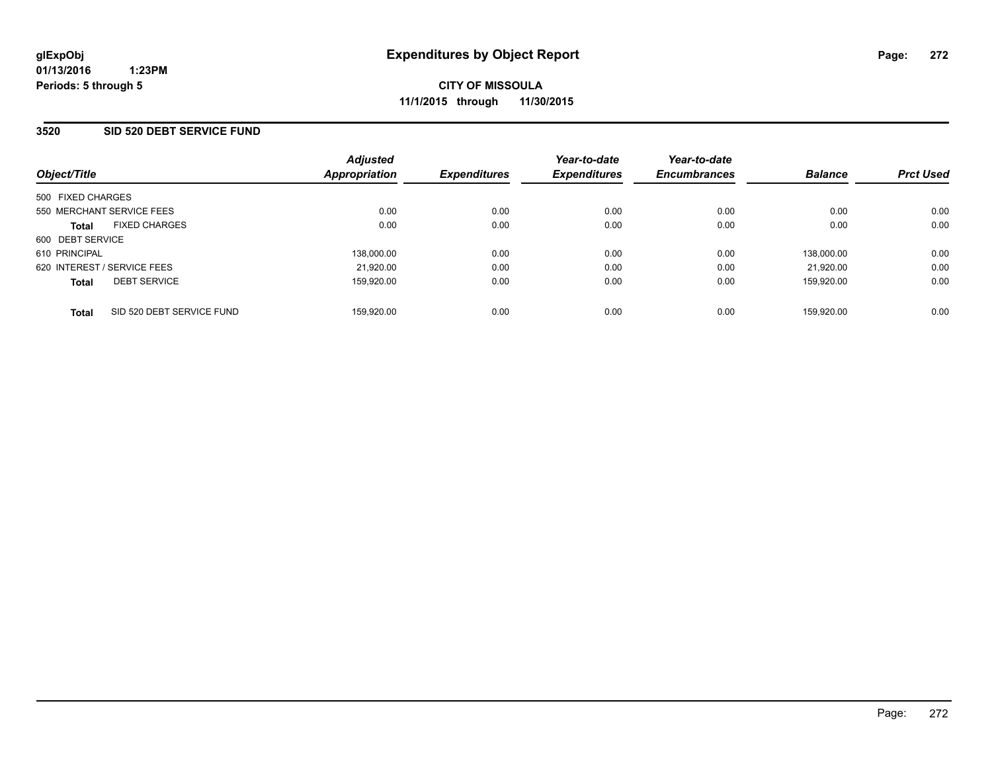### **3520 SID 520 DEBT SERVICE FUND**

| Object/Title                              | <b>Adjusted</b><br>Appropriation | <b>Expenditures</b> | Year-to-date<br><b>Expenditures</b> | Year-to-date<br><b>Encumbrances</b> | <b>Balance</b> | <b>Prct Used</b> |
|-------------------------------------------|----------------------------------|---------------------|-------------------------------------|-------------------------------------|----------------|------------------|
| 500 FIXED CHARGES                         |                                  |                     |                                     |                                     |                |                  |
| 550 MERCHANT SERVICE FEES                 | 0.00                             | 0.00                | 0.00                                | 0.00                                | 0.00           | 0.00             |
| <b>FIXED CHARGES</b><br><b>Total</b>      | 0.00                             | 0.00                | 0.00                                | 0.00                                | 0.00           | 0.00             |
| 600 DEBT SERVICE                          |                                  |                     |                                     |                                     |                |                  |
| 610 PRINCIPAL                             | 138,000.00                       | 0.00                | 0.00                                | 0.00                                | 138.000.00     | 0.00             |
| 620 INTEREST / SERVICE FEES               | 21,920.00                        | 0.00                | 0.00                                | 0.00                                | 21.920.00      | 0.00             |
| <b>DEBT SERVICE</b><br><b>Total</b>       | 159.920.00                       | 0.00                | 0.00                                | 0.00                                | 159.920.00     | 0.00             |
| SID 520 DEBT SERVICE FUND<br><b>Total</b> | 159,920.00                       | 0.00                | 0.00                                | 0.00                                | 159.920.00     | 0.00             |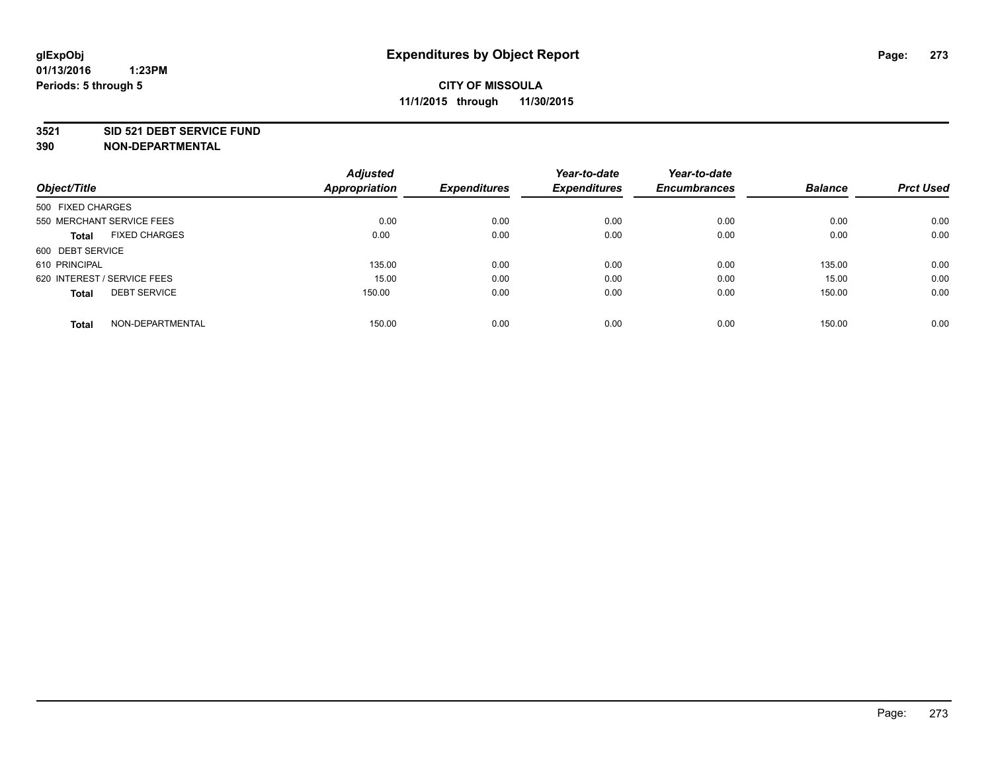#### **3521 SID 521 DEBT SERVICE FUND**

| Object/Title                         | <b>Adjusted</b><br><b>Appropriation</b> | <b>Expenditures</b> | Year-to-date<br><b>Expenditures</b> | Year-to-date<br><b>Encumbrances</b> | <b>Balance</b> | <b>Prct Used</b> |
|--------------------------------------|-----------------------------------------|---------------------|-------------------------------------|-------------------------------------|----------------|------------------|
| 500 FIXED CHARGES                    |                                         |                     |                                     |                                     |                |                  |
| 550 MERCHANT SERVICE FEES            | 0.00                                    | 0.00                | 0.00                                | 0.00                                | 0.00           | 0.00             |
| <b>FIXED CHARGES</b><br><b>Total</b> | 0.00                                    | 0.00                | 0.00                                | 0.00                                | 0.00           | 0.00             |
| 600 DEBT SERVICE                     |                                         |                     |                                     |                                     |                |                  |
| 610 PRINCIPAL                        | 135.00                                  | 0.00                | 0.00                                | 0.00                                | 135.00         | 0.00             |
| 620 INTEREST / SERVICE FEES          | 15.00                                   | 0.00                | 0.00                                | 0.00                                | 15.00          | 0.00             |
| <b>DEBT SERVICE</b><br><b>Total</b>  | 150.00                                  | 0.00                | 0.00                                | 0.00                                | 150.00         | 0.00             |
| NON-DEPARTMENTAL<br><b>Total</b>     | 150.00                                  | 0.00                | 0.00                                | 0.00                                | 150.00         | 0.00             |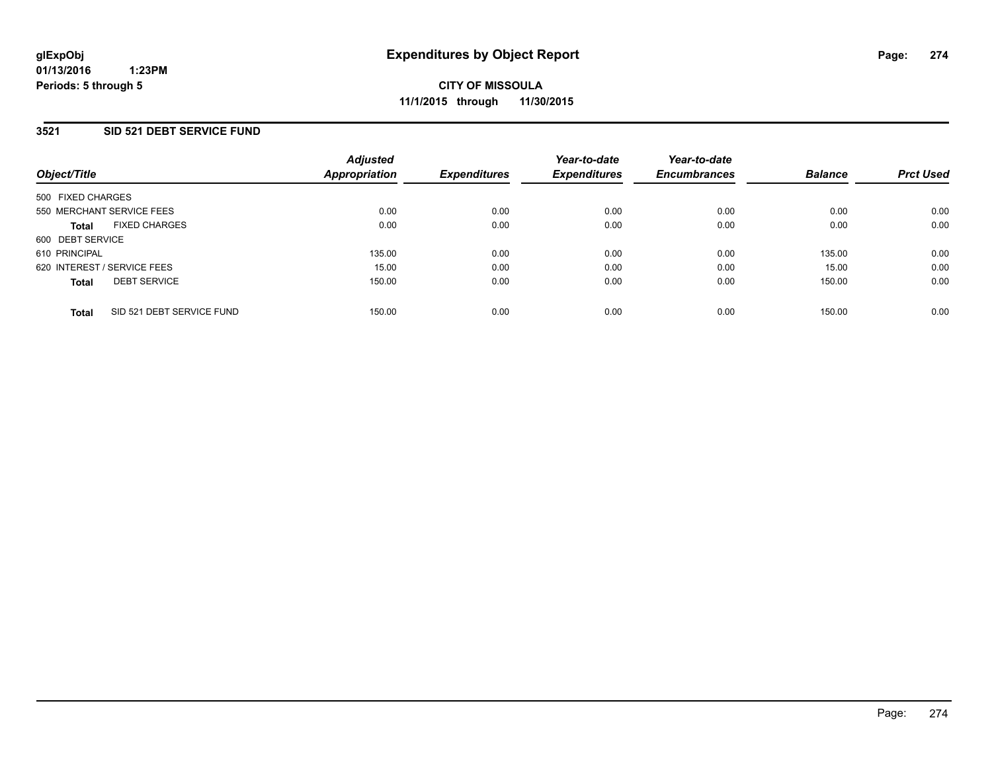### **3521 SID 521 DEBT SERVICE FUND**

| Object/Title      |                             | <b>Adjusted</b><br><b>Appropriation</b> | <b>Expenditures</b> | Year-to-date<br><b>Expenditures</b> | Year-to-date<br><b>Encumbrances</b> | <b>Balance</b> | <b>Prct Used</b> |
|-------------------|-----------------------------|-----------------------------------------|---------------------|-------------------------------------|-------------------------------------|----------------|------------------|
| 500 FIXED CHARGES |                             |                                         |                     |                                     |                                     |                |                  |
|                   | 550 MERCHANT SERVICE FEES   | 0.00                                    | 0.00                | 0.00                                | 0.00                                | 0.00           | 0.00             |
| <b>Total</b>      | <b>FIXED CHARGES</b>        | 0.00                                    | 0.00                | 0.00                                | 0.00                                | 0.00           | 0.00             |
| 600 DEBT SERVICE  |                             |                                         |                     |                                     |                                     |                |                  |
| 610 PRINCIPAL     |                             | 135.00                                  | 0.00                | 0.00                                | 0.00                                | 135.00         | 0.00             |
|                   | 620 INTEREST / SERVICE FEES | 15.00                                   | 0.00                | 0.00                                | 0.00                                | 15.00          | 0.00             |
| <b>Total</b>      | <b>DEBT SERVICE</b>         | 150.00                                  | 0.00                | 0.00                                | 0.00                                | 150.00         | 0.00             |
| <b>Total</b>      | SID 521 DEBT SERVICE FUND   | 150.00                                  | 0.00                | 0.00                                | 0.00                                | 150.00         | 0.00             |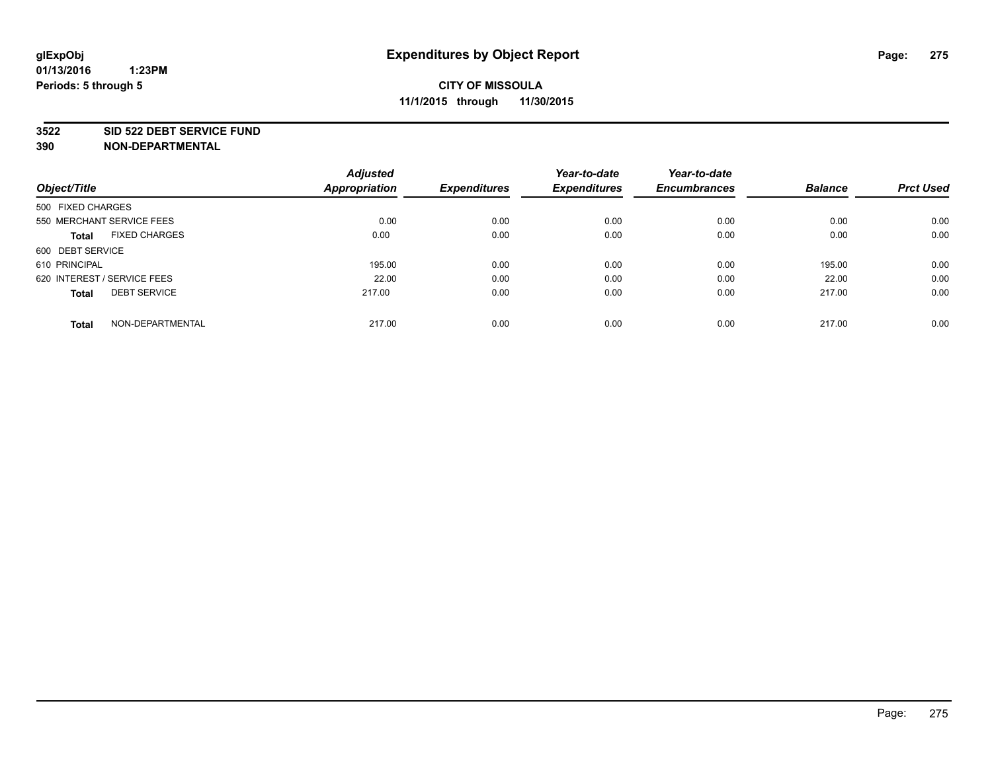#### **3522 SID 522 DEBT SERVICE FUND**

|                                      | <b>Adjusted</b>      |                     | Year-to-date        | Year-to-date        |                |                  |
|--------------------------------------|----------------------|---------------------|---------------------|---------------------|----------------|------------------|
| Object/Title                         | <b>Appropriation</b> | <b>Expenditures</b> | <b>Expenditures</b> | <b>Encumbrances</b> | <b>Balance</b> | <b>Prct Used</b> |
| 500 FIXED CHARGES                    |                      |                     |                     |                     |                |                  |
| 550 MERCHANT SERVICE FEES            | 0.00                 | 0.00                | 0.00                | 0.00                | 0.00           | 0.00             |
| <b>FIXED CHARGES</b><br><b>Total</b> | 0.00                 | 0.00                | 0.00                | 0.00                | 0.00           | 0.00             |
| 600 DEBT SERVICE                     |                      |                     |                     |                     |                |                  |
| 610 PRINCIPAL                        | 195.00               | 0.00                | 0.00                | 0.00                | 195.00         | 0.00             |
| 620 INTEREST / SERVICE FEES          | 22.00                | 0.00                | 0.00                | 0.00                | 22.00          | 0.00             |
| <b>DEBT SERVICE</b><br><b>Total</b>  | 217.00               | 0.00                | 0.00                | 0.00                | 217.00         | 0.00             |
| NON-DEPARTMENTAL<br><b>Total</b>     | 217.00               | 0.00                | 0.00                | 0.00                | 217.00         | 0.00             |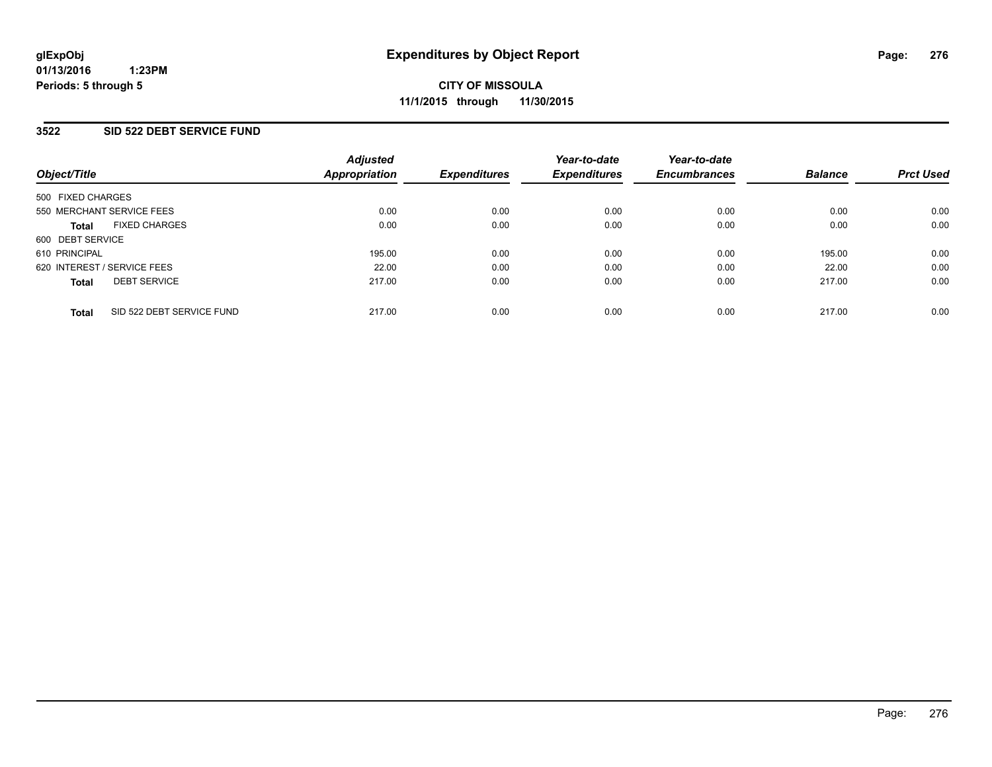### **3522 SID 522 DEBT SERVICE FUND**

| Object/Title                              | <b>Adjusted</b><br>Appropriation | <b>Expenditures</b> | Year-to-date<br><b>Expenditures</b> | Year-to-date<br><b>Encumbrances</b> | <b>Balance</b> | <b>Prct Used</b> |
|-------------------------------------------|----------------------------------|---------------------|-------------------------------------|-------------------------------------|----------------|------------------|
| 500 FIXED CHARGES                         |                                  |                     |                                     |                                     |                |                  |
| 550 MERCHANT SERVICE FEES                 | 0.00                             | 0.00                | 0.00                                | 0.00                                | 0.00           | 0.00             |
| <b>FIXED CHARGES</b><br><b>Total</b>      | 0.00                             | 0.00                | 0.00                                | 0.00                                | 0.00           | 0.00             |
| 600 DEBT SERVICE                          |                                  |                     |                                     |                                     |                |                  |
| 610 PRINCIPAL                             | 195.00                           | 0.00                | 0.00                                | 0.00                                | 195.00         | 0.00             |
| 620 INTEREST / SERVICE FEES               | 22.00                            | 0.00                | 0.00                                | 0.00                                | 22.00          | 0.00             |
| <b>DEBT SERVICE</b><br><b>Total</b>       | 217.00                           | 0.00                | 0.00                                | 0.00                                | 217.00         | 0.00             |
| SID 522 DEBT SERVICE FUND<br><b>Total</b> | 217.00                           | 0.00                | 0.00                                | 0.00                                | 217.00         | 0.00             |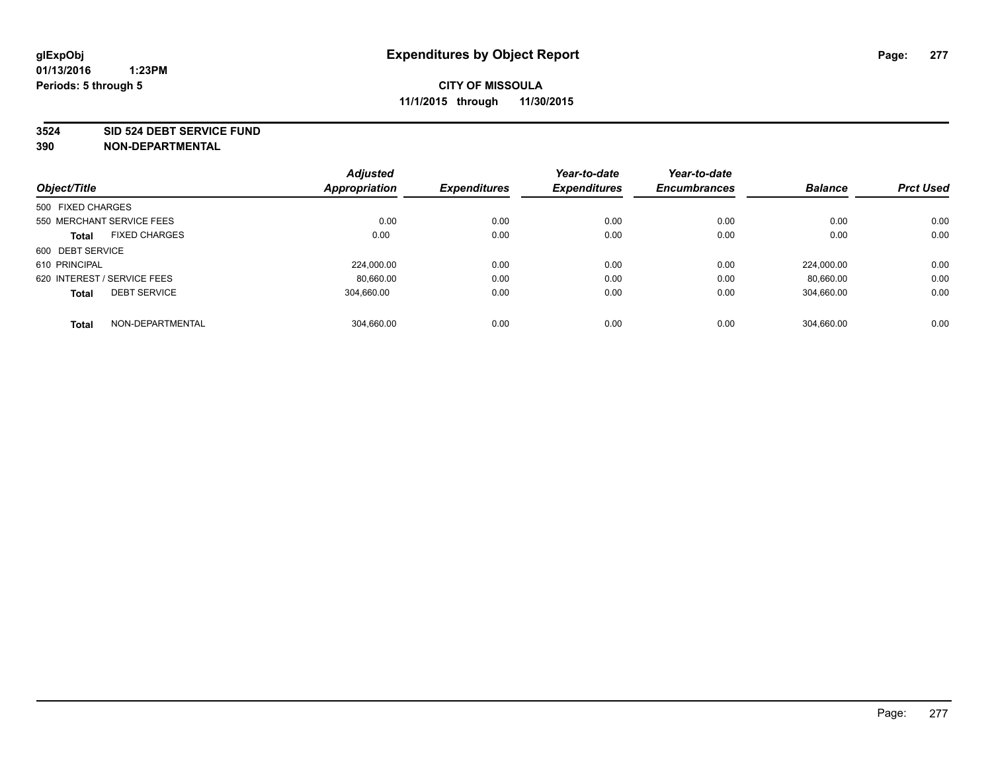#### **3524 SID 524 DEBT SERVICE FUND**

| Object/Title                |                           | <b>Adjusted</b><br>Appropriation | <b>Expenditures</b> | Year-to-date<br><b>Expenditures</b> | Year-to-date<br><b>Encumbrances</b> | <b>Balance</b> | <b>Prct Used</b> |
|-----------------------------|---------------------------|----------------------------------|---------------------|-------------------------------------|-------------------------------------|----------------|------------------|
|                             |                           |                                  |                     |                                     |                                     |                |                  |
| 500 FIXED CHARGES           |                           |                                  |                     |                                     |                                     |                |                  |
|                             | 550 MERCHANT SERVICE FEES | 0.00                             | 0.00                | 0.00                                | 0.00                                | 0.00           | 0.00             |
| <b>Total</b>                | <b>FIXED CHARGES</b>      | 0.00                             | 0.00                | 0.00                                | 0.00                                | 0.00           | 0.00             |
| 600 DEBT SERVICE            |                           |                                  |                     |                                     |                                     |                |                  |
| 610 PRINCIPAL               |                           | 224.000.00                       | 0.00                | 0.00                                | 0.00                                | 224.000.00     | 0.00             |
| 620 INTEREST / SERVICE FEES |                           | 80.660.00                        | 0.00                | 0.00                                | 0.00                                | 80.660.00      | 0.00             |
| <b>Total</b>                | <b>DEBT SERVICE</b>       | 304.660.00                       | 0.00                | 0.00                                | 0.00                                | 304,660.00     | 0.00             |
| <b>Total</b>                | NON-DEPARTMENTAL          | 304.660.00                       | 0.00                | 0.00                                | 0.00                                | 304.660.00     | 0.00             |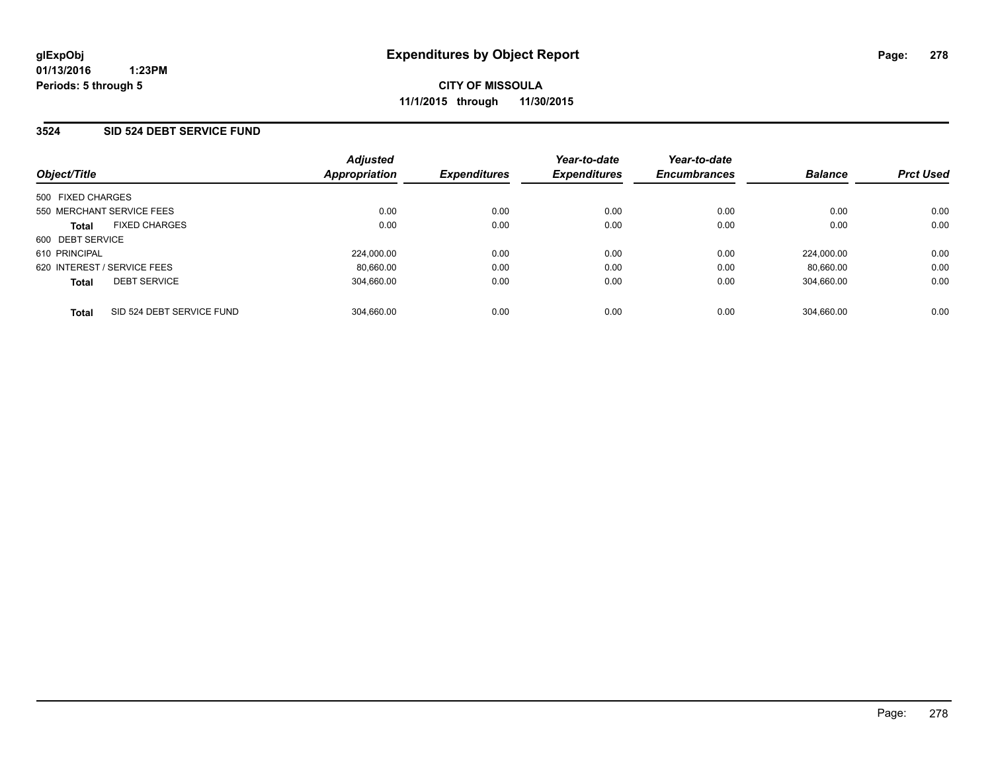### **3524 SID 524 DEBT SERVICE FUND**

| Object/Title                |                           | <b>Adjusted</b><br>Appropriation | <b>Expenditures</b> | Year-to-date<br><b>Expenditures</b> | Year-to-date<br><b>Encumbrances</b> | <b>Balance</b> | <b>Prct Used</b> |
|-----------------------------|---------------------------|----------------------------------|---------------------|-------------------------------------|-------------------------------------|----------------|------------------|
| 500 FIXED CHARGES           |                           |                                  |                     |                                     |                                     |                |                  |
| 550 MERCHANT SERVICE FEES   |                           | 0.00                             | 0.00                | 0.00                                | 0.00                                | 0.00           | 0.00             |
| <b>Total</b>                | <b>FIXED CHARGES</b>      | 0.00                             | 0.00                | 0.00                                | 0.00                                | 0.00           | 0.00             |
| 600 DEBT SERVICE            |                           |                                  |                     |                                     |                                     |                |                  |
| 610 PRINCIPAL               |                           | 224.000.00                       | 0.00                | 0.00                                | 0.00                                | 224.000.00     | 0.00             |
| 620 INTEREST / SERVICE FEES |                           | 80.660.00                        | 0.00                | 0.00                                | 0.00                                | 80.660.00      | 0.00             |
| <b>Total</b>                | <b>DEBT SERVICE</b>       | 304.660.00                       | 0.00                | 0.00                                | 0.00                                | 304,660.00     | 0.00             |
| <b>Total</b>                | SID 524 DEBT SERVICE FUND | 304.660.00                       | 0.00                | 0.00                                | 0.00                                | 304.660.00     | 0.00             |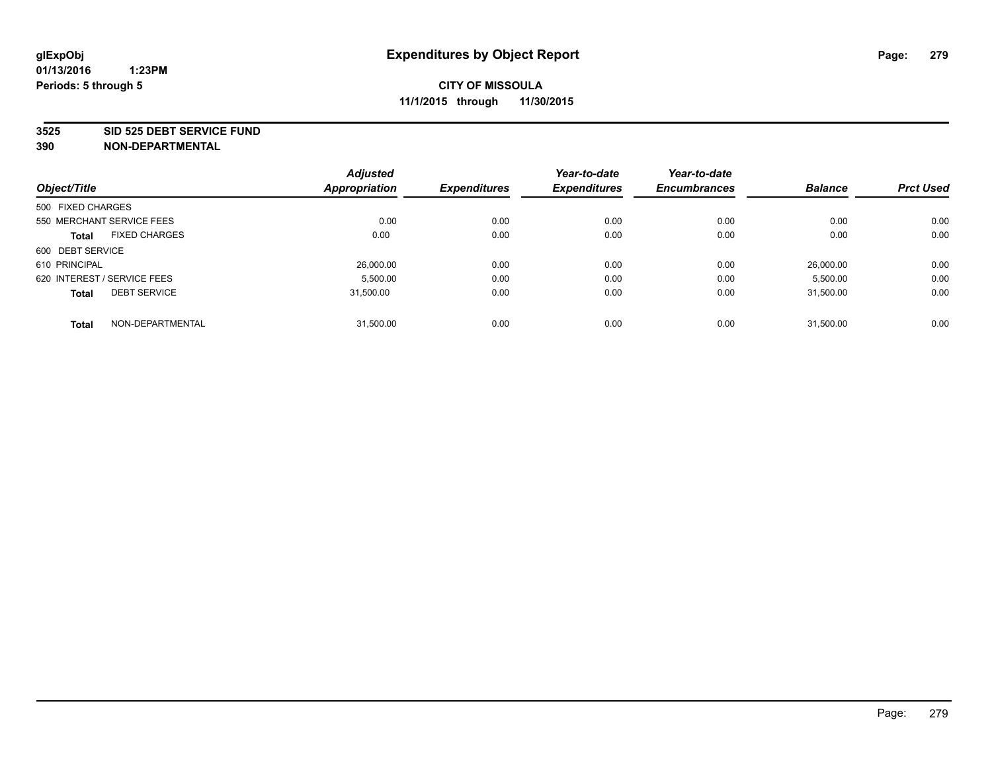#### **3525 SID 525 DEBT SERVICE FUND**

| Object/Title                |                           | <b>Adjusted</b><br><b>Appropriation</b> | <b>Expenditures</b> | Year-to-date<br><b>Expenditures</b> | Year-to-date<br><b>Encumbrances</b> | <b>Balance</b> | <b>Prct Used</b> |
|-----------------------------|---------------------------|-----------------------------------------|---------------------|-------------------------------------|-------------------------------------|----------------|------------------|
|                             |                           |                                         |                     |                                     |                                     |                |                  |
| 500 FIXED CHARGES           |                           |                                         |                     |                                     |                                     |                |                  |
|                             | 550 MERCHANT SERVICE FEES | 0.00                                    | 0.00                | 0.00                                | 0.00                                | 0.00           | 0.00             |
| <b>Total</b>                | <b>FIXED CHARGES</b>      | 0.00                                    | 0.00                | 0.00                                | 0.00                                | 0.00           | 0.00             |
| 600 DEBT SERVICE            |                           |                                         |                     |                                     |                                     |                |                  |
| 610 PRINCIPAL               |                           | 26,000.00                               | 0.00                | 0.00                                | 0.00                                | 26.000.00      | 0.00             |
| 620 INTEREST / SERVICE FEES |                           | 5,500.00                                | 0.00                | 0.00                                | 0.00                                | 5,500.00       | 0.00             |
| <b>Total</b>                | <b>DEBT SERVICE</b>       | 31.500.00                               | 0.00                | 0.00                                | 0.00                                | 31.500.00      | 0.00             |
|                             |                           |                                         |                     |                                     |                                     |                |                  |
| <b>Total</b>                | NON-DEPARTMENTAL          | 31,500.00                               | 0.00                | 0.00                                | 0.00                                | 31.500.00      | 0.00             |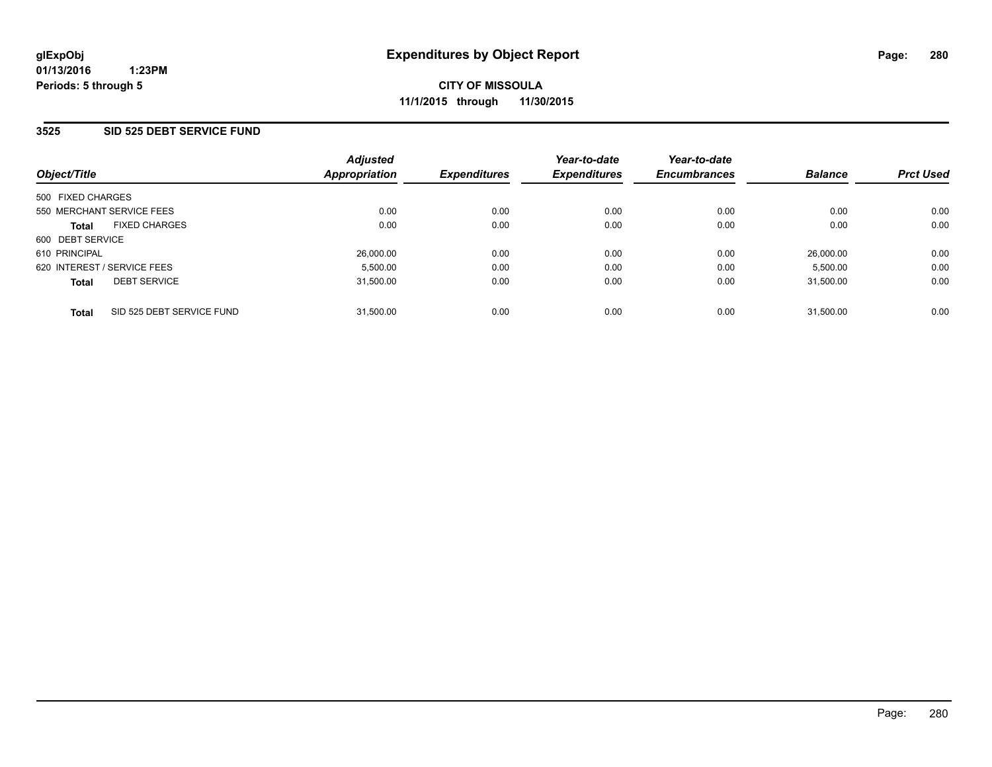### **3525 SID 525 DEBT SERVICE FUND**

| Object/Title                              | <b>Adjusted</b><br>Appropriation | <b>Expenditures</b> | Year-to-date<br><b>Expenditures</b> | Year-to-date<br><b>Encumbrances</b> | <b>Balance</b> | <b>Prct Used</b> |
|-------------------------------------------|----------------------------------|---------------------|-------------------------------------|-------------------------------------|----------------|------------------|
| 500 FIXED CHARGES                         |                                  |                     |                                     |                                     |                |                  |
| 550 MERCHANT SERVICE FEES                 | 0.00                             | 0.00                | 0.00                                | 0.00                                | 0.00           | 0.00             |
| <b>FIXED CHARGES</b><br><b>Total</b>      | 0.00                             | 0.00                | 0.00                                | 0.00                                | 0.00           | 0.00             |
| 600 DEBT SERVICE                          |                                  |                     |                                     |                                     |                |                  |
| 610 PRINCIPAL                             | 26,000.00                        | 0.00                | 0.00                                | 0.00                                | 26.000.00      | 0.00             |
| 620 INTEREST / SERVICE FEES               | 5.500.00                         | 0.00                | 0.00                                | 0.00                                | 5.500.00       | 0.00             |
| <b>DEBT SERVICE</b><br><b>Total</b>       | 31.500.00                        | 0.00                | 0.00                                | 0.00                                | 31.500.00      | 0.00             |
| SID 525 DEBT SERVICE FUND<br><b>Total</b> | 31.500.00                        | 0.00                | 0.00                                | 0.00                                | 31.500.00      | 0.00             |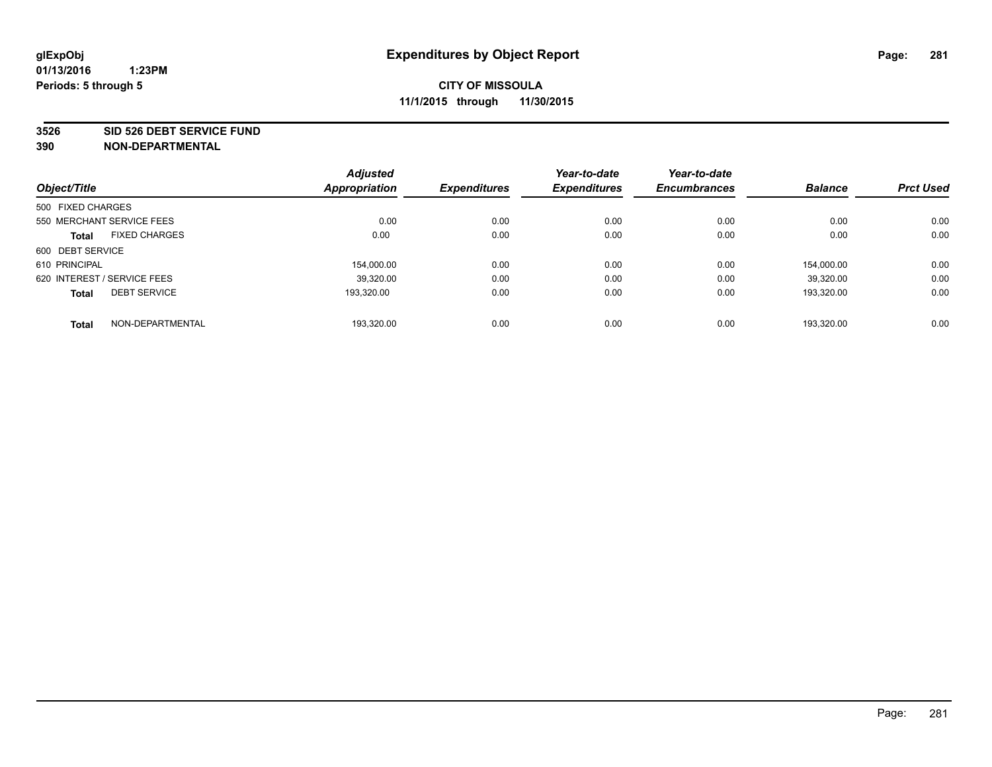#### **3526 SID 526 DEBT SERVICE FUND**

| Object/Title                |                      | <b>Adjusted</b><br><b>Appropriation</b> | <b>Expenditures</b> | Year-to-date<br><b>Expenditures</b> | Year-to-date<br><b>Encumbrances</b> | <b>Balance</b> | <b>Prct Used</b> |
|-----------------------------|----------------------|-----------------------------------------|---------------------|-------------------------------------|-------------------------------------|----------------|------------------|
| 500 FIXED CHARGES           |                      |                                         |                     |                                     |                                     |                |                  |
| 550 MERCHANT SERVICE FEES   |                      | 0.00                                    | 0.00                | 0.00                                | 0.00                                | 0.00           | 0.00             |
| <b>Total</b>                | <b>FIXED CHARGES</b> | 0.00                                    | 0.00                | 0.00                                | 0.00                                | 0.00           | 0.00             |
| 600 DEBT SERVICE            |                      |                                         |                     |                                     |                                     |                |                  |
| 610 PRINCIPAL               |                      | 154.000.00                              | 0.00                | 0.00                                | 0.00                                | 154.000.00     | 0.00             |
| 620 INTEREST / SERVICE FEES |                      | 39,320.00                               | 0.00                | 0.00                                | 0.00                                | 39,320.00      | 0.00             |
| <b>Total</b>                | <b>DEBT SERVICE</b>  | 193.320.00                              | 0.00                | 0.00                                | 0.00                                | 193.320.00     | 0.00             |
| <b>Total</b>                | NON-DEPARTMENTAL     | 193,320.00                              | 0.00                | 0.00                                | 0.00                                | 193.320.00     | 0.00             |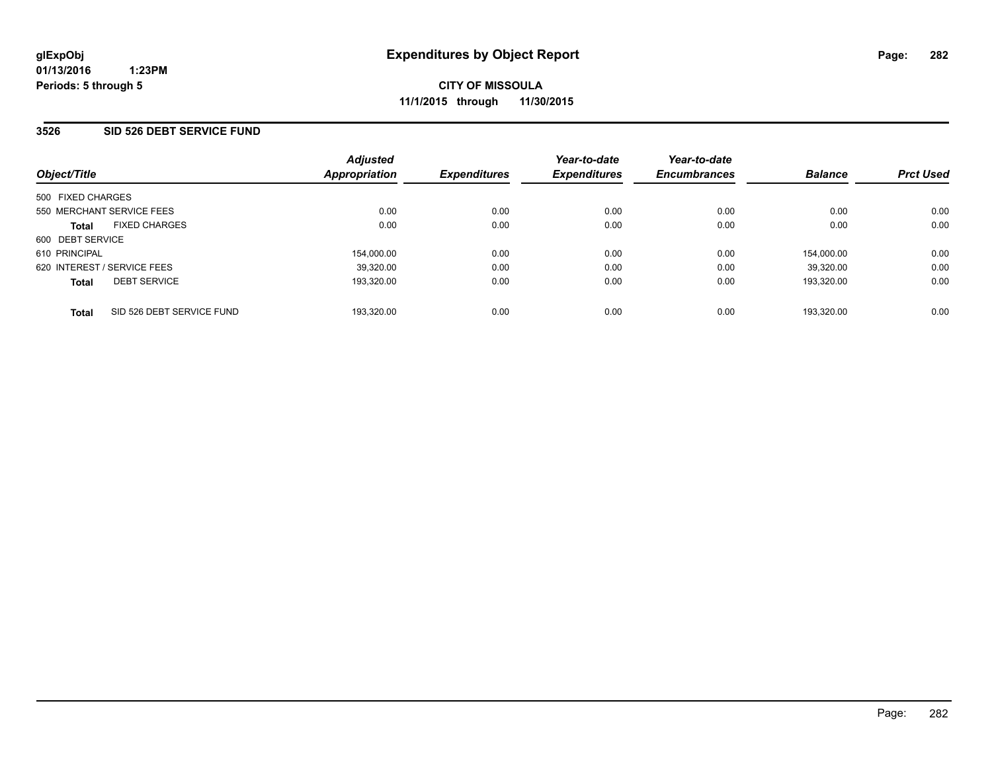### **3526 SID 526 DEBT SERVICE FUND**

| Object/Title                              | <b>Adjusted</b><br><b>Appropriation</b> | <b>Expenditures</b> | Year-to-date<br><b>Expenditures</b> | Year-to-date<br><b>Encumbrances</b> | <b>Balance</b> | <b>Prct Used</b> |
|-------------------------------------------|-----------------------------------------|---------------------|-------------------------------------|-------------------------------------|----------------|------------------|
| 500 FIXED CHARGES                         |                                         |                     |                                     |                                     |                |                  |
| 550 MERCHANT SERVICE FEES                 | 0.00                                    | 0.00                | 0.00                                | 0.00                                | 0.00           | 0.00             |
| <b>FIXED CHARGES</b><br><b>Total</b>      | 0.00                                    | 0.00                | 0.00                                | 0.00                                | 0.00           | 0.00             |
| 600 DEBT SERVICE                          |                                         |                     |                                     |                                     |                |                  |
| 610 PRINCIPAL                             | 154.000.00                              | 0.00                | 0.00                                | 0.00                                | 154.000.00     | 0.00             |
| 620 INTEREST / SERVICE FEES               | 39.320.00                               | 0.00                | 0.00                                | 0.00                                | 39.320.00      | 0.00             |
| <b>DEBT SERVICE</b><br><b>Total</b>       | 193.320.00                              | 0.00                | 0.00                                | 0.00                                | 193.320.00     | 0.00             |
| SID 526 DEBT SERVICE FUND<br><b>Total</b> | 193.320.00                              | 0.00                | 0.00                                | 0.00                                | 193.320.00     | 0.00             |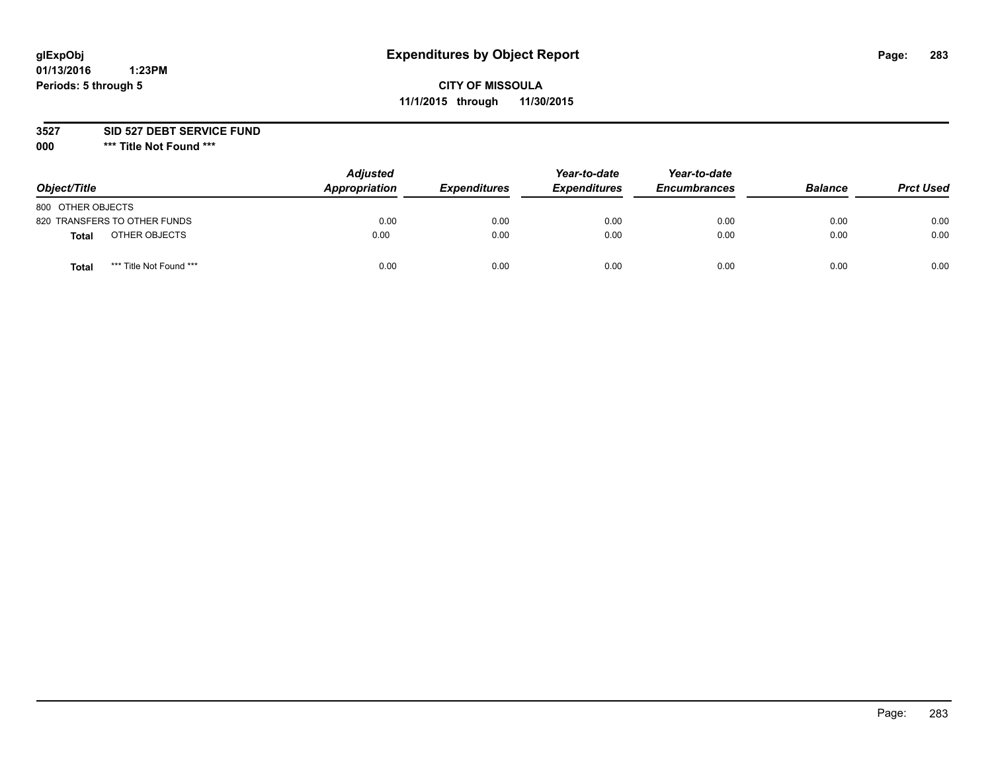# **glExpObj Expenditures by Object Report Page: 283**

# **CITY OF MISSOULA 11/1/2015 through 11/30/2015**

**3527 SID 527 DEBT SERVICE FUND**

**000 \*\*\* Title Not Found \*\*\***

| Object/Title                     | <b>Adjusted</b><br>Appropriation | <b>Expenditures</b> | Year-to-date<br><b>Expenditures</b> | Year-to-date<br><b>Encumbrances</b> | <b>Balance</b> | <b>Prct Used</b> |
|----------------------------------|----------------------------------|---------------------|-------------------------------------|-------------------------------------|----------------|------------------|
| 800 OTHER OBJECTS                |                                  |                     |                                     |                                     |                |                  |
| 820 TRANSFERS TO OTHER FUNDS     | 0.00                             | 0.00                | 0.00                                | 0.00                                | 0.00           | 0.00             |
| OTHER OBJECTS<br><b>Total</b>    | 0.00                             | 0.00                | 0.00                                | 0.00                                | 0.00           | 0.00             |
| *** Title Not Found ***<br>Total | 0.00                             | 0.00                | 0.00                                | 0.00                                | 0.00           | 0.00             |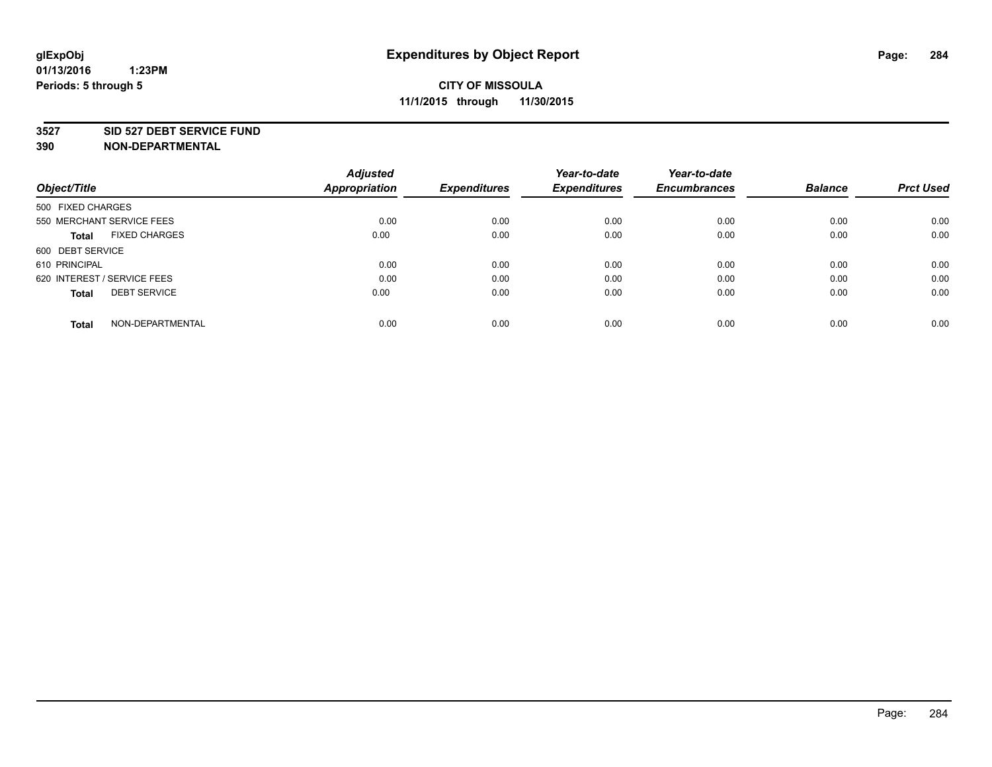#### **3527 SID 527 DEBT SERVICE FUND**

| Object/Title                         | <b>Adjusted</b><br><b>Appropriation</b> | <b>Expenditures</b> | Year-to-date<br><b>Expenditures</b> | Year-to-date<br><b>Encumbrances</b> | <b>Balance</b> | <b>Prct Used</b> |
|--------------------------------------|-----------------------------------------|---------------------|-------------------------------------|-------------------------------------|----------------|------------------|
|                                      |                                         |                     |                                     |                                     |                |                  |
| 500 FIXED CHARGES                    |                                         |                     |                                     |                                     |                |                  |
| 550 MERCHANT SERVICE FEES            | 0.00                                    | 0.00                | 0.00                                | 0.00                                | 0.00           | 0.00             |
| <b>FIXED CHARGES</b><br><b>Total</b> | 0.00                                    | 0.00                | 0.00                                | 0.00                                | 0.00           | 0.00             |
| 600 DEBT SERVICE                     |                                         |                     |                                     |                                     |                |                  |
| 610 PRINCIPAL                        | 0.00                                    | 0.00                | 0.00                                | 0.00                                | 0.00           | 0.00             |
| 620 INTEREST / SERVICE FEES          | 0.00                                    | 0.00                | 0.00                                | 0.00                                | 0.00           | 0.00             |
| <b>DEBT SERVICE</b><br>Total         | 0.00                                    | 0.00                | 0.00                                | 0.00                                | 0.00           | 0.00             |
|                                      |                                         |                     |                                     |                                     |                |                  |
| NON-DEPARTMENTAL<br><b>Total</b>     | 0.00                                    | 0.00                | 0.00                                | 0.00                                | 0.00           | 0.00             |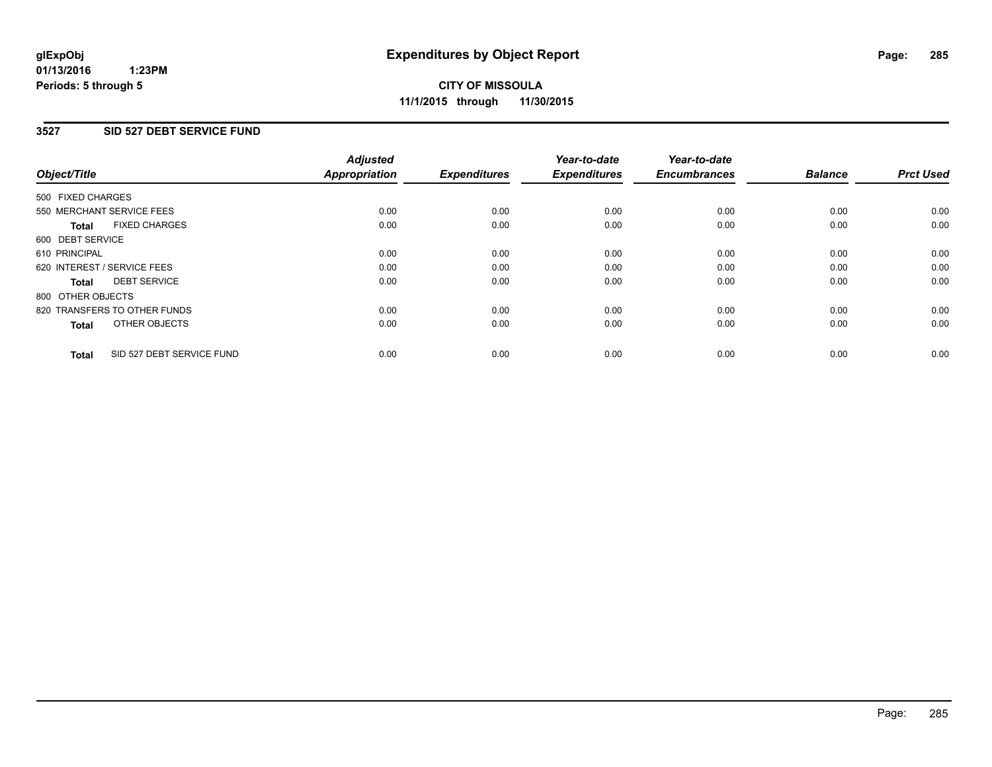### **3527 SID 527 DEBT SERVICE FUND**

| Object/Title                              | <b>Adjusted</b><br><b>Appropriation</b> | <b>Expenditures</b> | Year-to-date<br><b>Expenditures</b> | Year-to-date<br><b>Encumbrances</b> | <b>Balance</b> | <b>Prct Used</b> |
|-------------------------------------------|-----------------------------------------|---------------------|-------------------------------------|-------------------------------------|----------------|------------------|
|                                           |                                         |                     |                                     |                                     |                |                  |
| 500 FIXED CHARGES                         |                                         |                     |                                     |                                     |                |                  |
| 550 MERCHANT SERVICE FEES                 | 0.00                                    | 0.00                | 0.00                                | 0.00                                | 0.00           | 0.00             |
| <b>FIXED CHARGES</b><br>Total             | 0.00                                    | 0.00                | 0.00                                | 0.00                                | 0.00           | 0.00             |
| 600 DEBT SERVICE                          |                                         |                     |                                     |                                     |                |                  |
| 610 PRINCIPAL                             | 0.00                                    | 0.00                | 0.00                                | 0.00                                | 0.00           | 0.00             |
| 620 INTEREST / SERVICE FEES               | 0.00                                    | 0.00                | 0.00                                | 0.00                                | 0.00           | 0.00             |
| <b>DEBT SERVICE</b><br><b>Total</b>       | 0.00                                    | 0.00                | 0.00                                | 0.00                                | 0.00           | 0.00             |
| 800 OTHER OBJECTS                         |                                         |                     |                                     |                                     |                |                  |
| 820 TRANSFERS TO OTHER FUNDS              | 0.00                                    | 0.00                | 0.00                                | 0.00                                | 0.00           | 0.00             |
| OTHER OBJECTS<br><b>Total</b>             | 0.00                                    | 0.00                | 0.00                                | 0.00                                | 0.00           | 0.00             |
|                                           |                                         |                     |                                     |                                     |                |                  |
| SID 527 DEBT SERVICE FUND<br><b>Total</b> | 0.00                                    | 0.00                | 0.00                                | 0.00                                | 0.00           | 0.00             |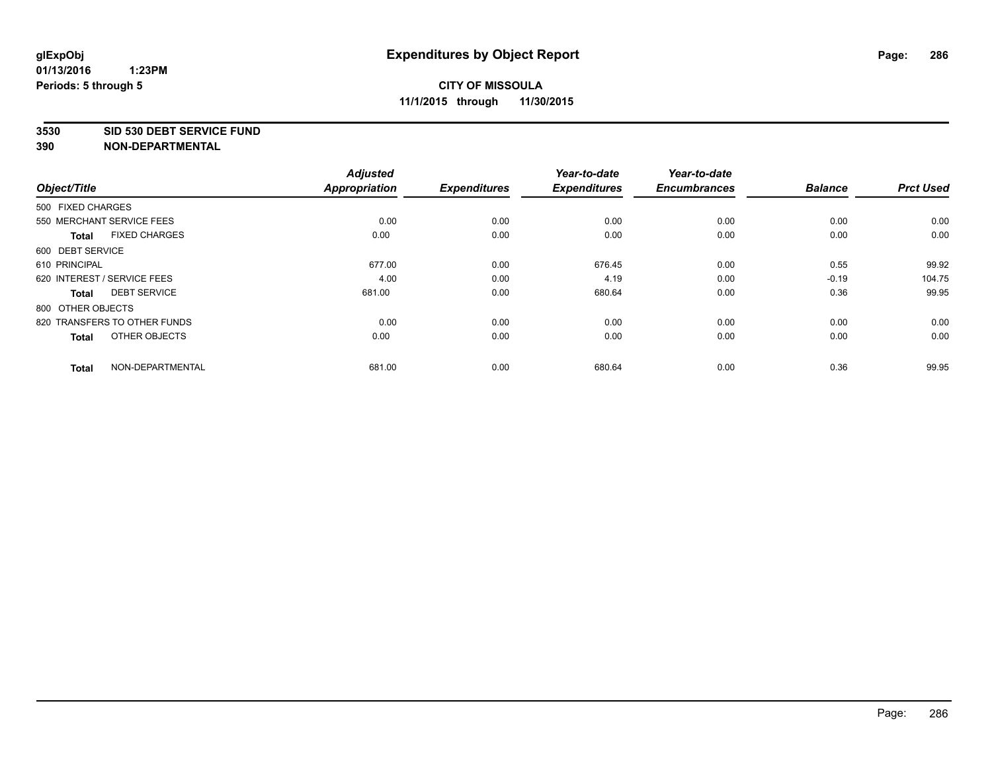#### **3530 SID 530 DEBT SERVICE FUND**

|                                      | <b>Adjusted</b> |                     | Year-to-date        | Year-to-date        |                |                  |
|--------------------------------------|-----------------|---------------------|---------------------|---------------------|----------------|------------------|
| Object/Title                         | Appropriation   | <b>Expenditures</b> | <b>Expenditures</b> | <b>Encumbrances</b> | <b>Balance</b> | <b>Prct Used</b> |
| 500 FIXED CHARGES                    |                 |                     |                     |                     |                |                  |
| 550 MERCHANT SERVICE FEES            | 0.00            | 0.00                | 0.00                | 0.00                | 0.00           | 0.00             |
| <b>FIXED CHARGES</b><br><b>Total</b> | 0.00            | 0.00                | 0.00                | 0.00                | 0.00           | 0.00             |
| 600 DEBT SERVICE                     |                 |                     |                     |                     |                |                  |
| 610 PRINCIPAL                        | 677.00          | 0.00                | 676.45              | 0.00                | 0.55           | 99.92            |
| 620 INTEREST / SERVICE FEES          | 4.00            | 0.00                | 4.19                | 0.00                | $-0.19$        | 104.75           |
| <b>DEBT SERVICE</b><br><b>Total</b>  | 681.00          | 0.00                | 680.64              | 0.00                | 0.36           | 99.95            |
| 800 OTHER OBJECTS                    |                 |                     |                     |                     |                |                  |
| 820 TRANSFERS TO OTHER FUNDS         | 0.00            | 0.00                | 0.00                | 0.00                | 0.00           | 0.00             |
| OTHER OBJECTS<br><b>Total</b>        | 0.00            | 0.00                | 0.00                | 0.00                | 0.00           | 0.00             |
|                                      |                 |                     |                     |                     |                |                  |
| NON-DEPARTMENTAL<br><b>Total</b>     | 681.00          | 0.00                | 680.64              | 0.00                | 0.36           | 99.95            |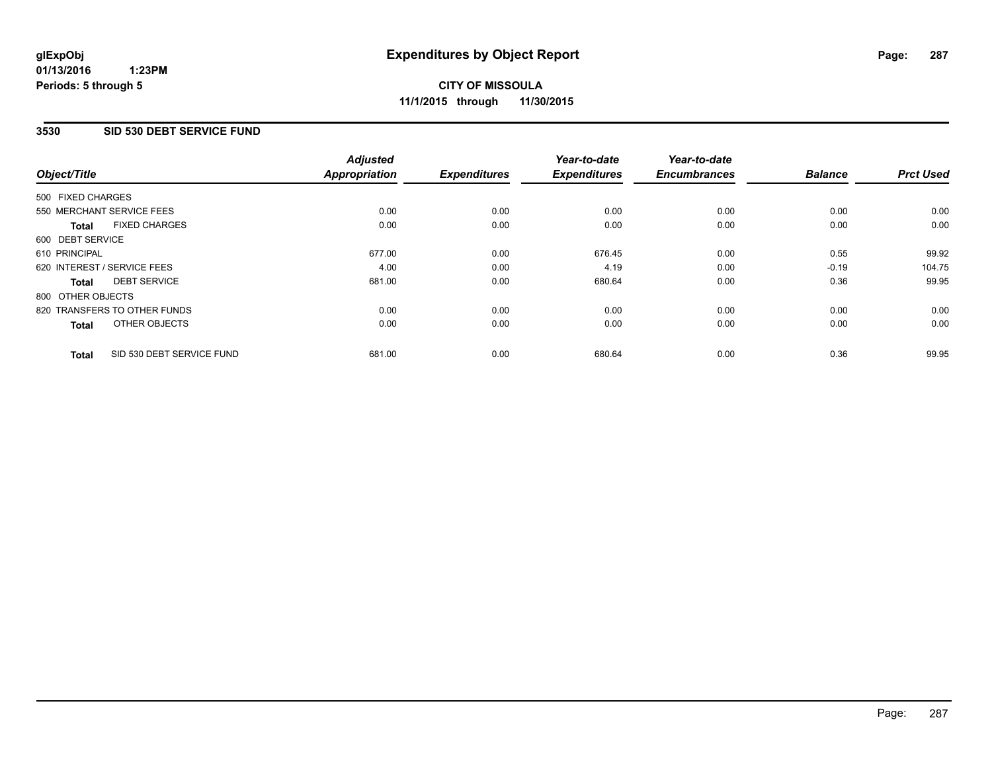## **3530 SID 530 DEBT SERVICE FUND**

| Object/Title      |                              | <b>Adjusted</b><br><b>Appropriation</b> | <b>Expenditures</b> | Year-to-date<br><b>Expenditures</b> | Year-to-date<br><b>Encumbrances</b> | <b>Balance</b> | <b>Prct Used</b> |
|-------------------|------------------------------|-----------------------------------------|---------------------|-------------------------------------|-------------------------------------|----------------|------------------|
|                   |                              |                                         |                     |                                     |                                     |                |                  |
| 500 FIXED CHARGES |                              |                                         |                     |                                     |                                     |                |                  |
|                   | 550 MERCHANT SERVICE FEES    | 0.00                                    | 0.00                | 0.00                                | 0.00                                | 0.00           | 0.00             |
| <b>Total</b>      | <b>FIXED CHARGES</b>         | 0.00                                    | 0.00                | 0.00                                | 0.00                                | 0.00           | 0.00             |
| 600 DEBT SERVICE  |                              |                                         |                     |                                     |                                     |                |                  |
| 610 PRINCIPAL     |                              | 677.00                                  | 0.00                | 676.45                              | 0.00                                | 0.55           | 99.92            |
|                   | 620 INTEREST / SERVICE FEES  | 4.00                                    | 0.00                | 4.19                                | 0.00                                | $-0.19$        | 104.75           |
| <b>Total</b>      | <b>DEBT SERVICE</b>          | 681.00                                  | 0.00                | 680.64                              | 0.00                                | 0.36           | 99.95            |
| 800 OTHER OBJECTS |                              |                                         |                     |                                     |                                     |                |                  |
|                   | 820 TRANSFERS TO OTHER FUNDS | 0.00                                    | 0.00                | 0.00                                | 0.00                                | 0.00           | 0.00             |
| <b>Total</b>      | OTHER OBJECTS                | 0.00                                    | 0.00                | 0.00                                | 0.00                                | 0.00           | 0.00             |
| <b>Total</b>      | SID 530 DEBT SERVICE FUND    | 681.00                                  | 0.00                | 680.64                              | 0.00                                | 0.36           | 99.95            |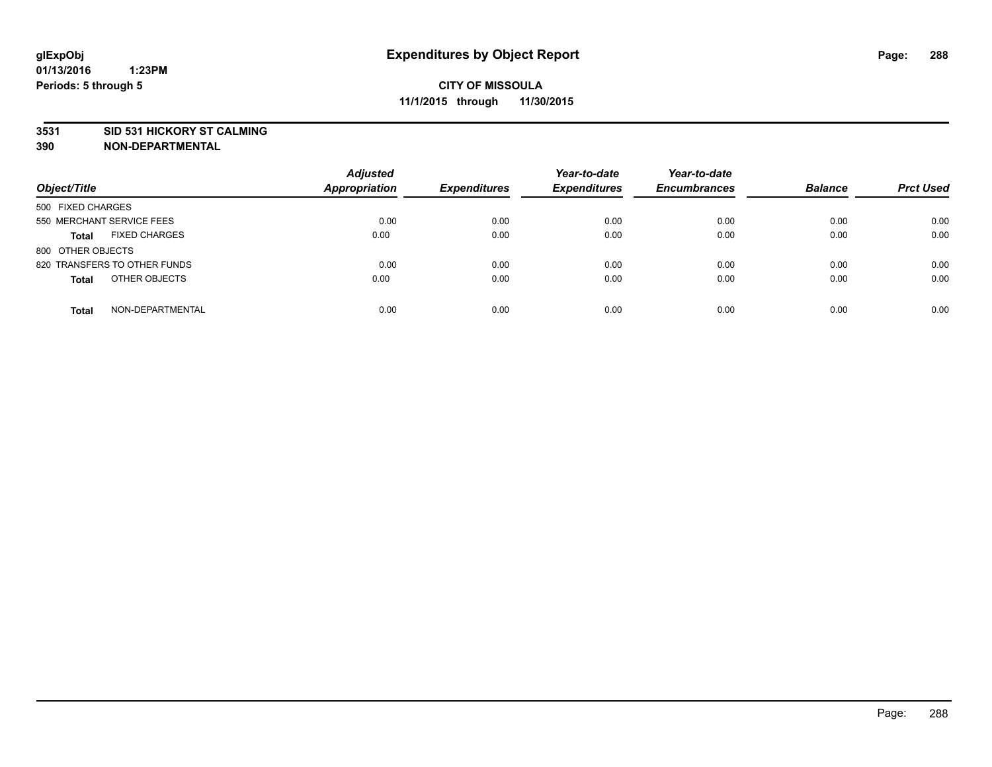#### **3531 SID 531 HICKORY ST CALMING**

| Object/Title                         | <b>Adjusted</b><br><b>Appropriation</b> | <b>Expenditures</b> | Year-to-date<br><b>Expenditures</b> | Year-to-date<br><b>Encumbrances</b> | <b>Balance</b> | <b>Prct Used</b> |
|--------------------------------------|-----------------------------------------|---------------------|-------------------------------------|-------------------------------------|----------------|------------------|
| 500 FIXED CHARGES                    |                                         |                     |                                     |                                     |                |                  |
| 550 MERCHANT SERVICE FEES            | 0.00                                    | 0.00                | 0.00                                | 0.00                                | 0.00           | 0.00             |
| <b>FIXED CHARGES</b><br><b>Total</b> | 0.00                                    | 0.00                | 0.00                                | 0.00                                | 0.00           | 0.00             |
| 800 OTHER OBJECTS                    |                                         |                     |                                     |                                     |                |                  |
| 820 TRANSFERS TO OTHER FUNDS         | 0.00                                    | 0.00                | 0.00                                | 0.00                                | 0.00           | 0.00             |
| OTHER OBJECTS<br><b>Total</b>        | 0.00                                    | 0.00                | 0.00                                | 0.00                                | 0.00           | 0.00             |
| NON-DEPARTMENTAL<br><b>Total</b>     | 0.00                                    | 0.00                | 0.00                                | 0.00                                | 0.00           | 0.00             |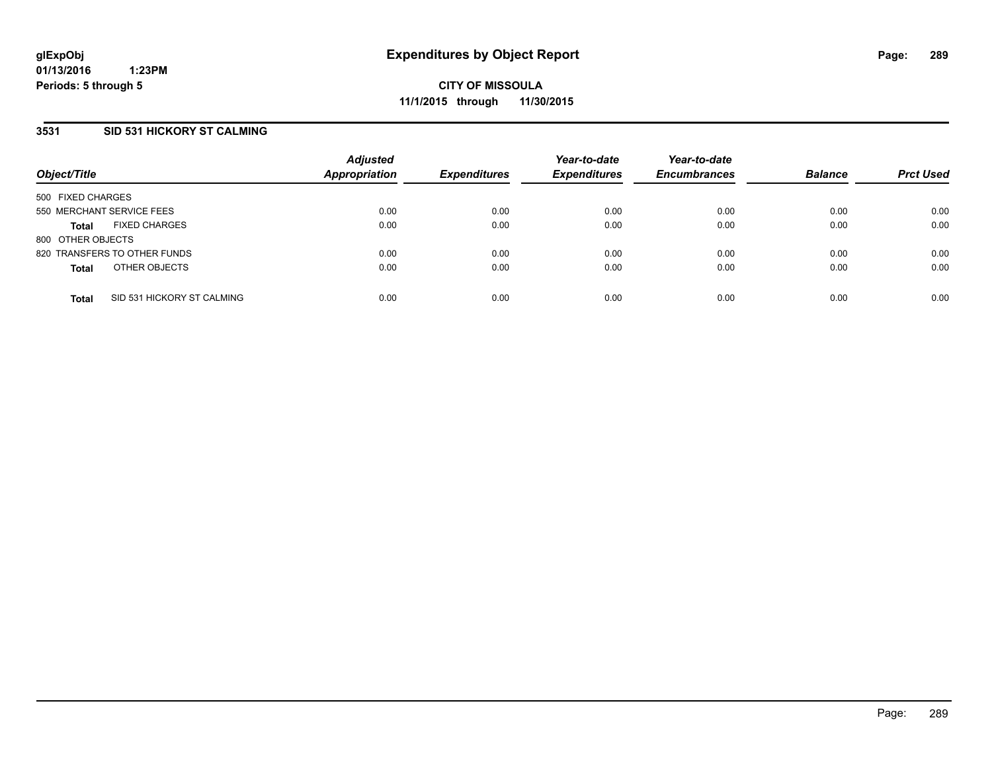### **3531 SID 531 HICKORY ST CALMING**

| Object/Title              |                              | <b>Adjusted</b><br><b>Appropriation</b> | <b>Expenditures</b> | Year-to-date<br><b>Expenditures</b> | Year-to-date<br><b>Encumbrances</b> | <b>Balance</b> | <b>Prct Used</b> |
|---------------------------|------------------------------|-----------------------------------------|---------------------|-------------------------------------|-------------------------------------|----------------|------------------|
| 500 FIXED CHARGES         |                              |                                         |                     |                                     |                                     |                |                  |
| 550 MERCHANT SERVICE FEES |                              | 0.00                                    | 0.00                | 0.00                                | 0.00                                | 0.00           | 0.00             |
| <b>Total</b>              | <b>FIXED CHARGES</b>         | 0.00                                    | 0.00                | 0.00                                | 0.00                                | 0.00           | 0.00             |
| 800 OTHER OBJECTS         |                              |                                         |                     |                                     |                                     |                |                  |
|                           | 820 TRANSFERS TO OTHER FUNDS | 0.00                                    | 0.00                | 0.00                                | 0.00                                | 0.00           | 0.00             |
| <b>Total</b>              | OTHER OBJECTS                | 0.00                                    | 0.00                | 0.00                                | 0.00                                | 0.00           | 0.00             |
| <b>Total</b>              | SID 531 HICKORY ST CALMING   | 0.00                                    | 0.00                | 0.00                                | 0.00                                | 0.00           | 0.00             |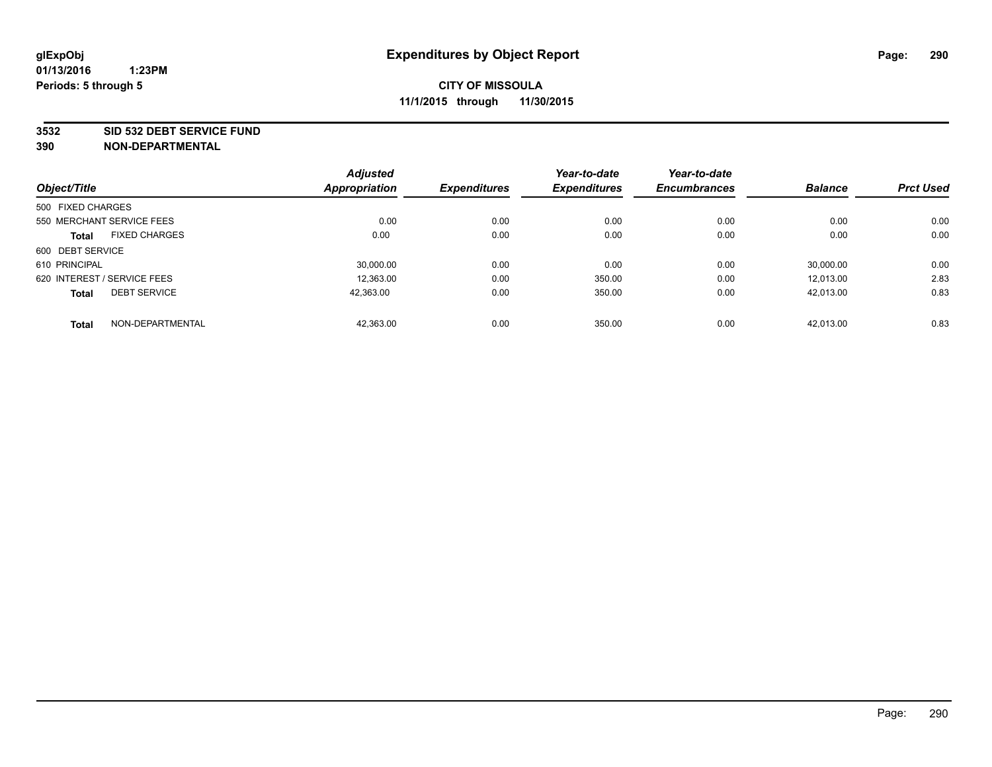#### **3532 SID 532 DEBT SERVICE FUND**

| Object/Title                |                      | <b>Adjusted</b><br><b>Appropriation</b> | <b>Expenditures</b> | Year-to-date<br><b>Expenditures</b> | Year-to-date<br><b>Encumbrances</b> | <b>Balance</b> | <b>Prct Used</b> |
|-----------------------------|----------------------|-----------------------------------------|---------------------|-------------------------------------|-------------------------------------|----------------|------------------|
|                             |                      |                                         |                     |                                     |                                     |                |                  |
| 500 FIXED CHARGES           |                      |                                         |                     |                                     |                                     |                |                  |
| 550 MERCHANT SERVICE FEES   |                      | 0.00                                    | 0.00                | 0.00                                | 0.00                                | 0.00           | 0.00             |
| <b>Total</b>                | <b>FIXED CHARGES</b> | 0.00                                    | 0.00                | 0.00                                | 0.00                                | 0.00           | 0.00             |
| 600 DEBT SERVICE            |                      |                                         |                     |                                     |                                     |                |                  |
| 610 PRINCIPAL               |                      | 30.000.00                               | 0.00                | 0.00                                | 0.00                                | 30.000.00      | 0.00             |
| 620 INTEREST / SERVICE FEES |                      | 12,363.00                               | 0.00                | 350.00                              | 0.00                                | 12.013.00      | 2.83             |
| <b>Total</b>                | <b>DEBT SERVICE</b>  | 42.363.00                               | 0.00                | 350.00                              | 0.00                                | 42.013.00      | 0.83             |
| <b>Total</b>                | NON-DEPARTMENTAL     | 42,363.00                               | 0.00                | 350.00                              | 0.00                                | 42.013.00      | 0.83             |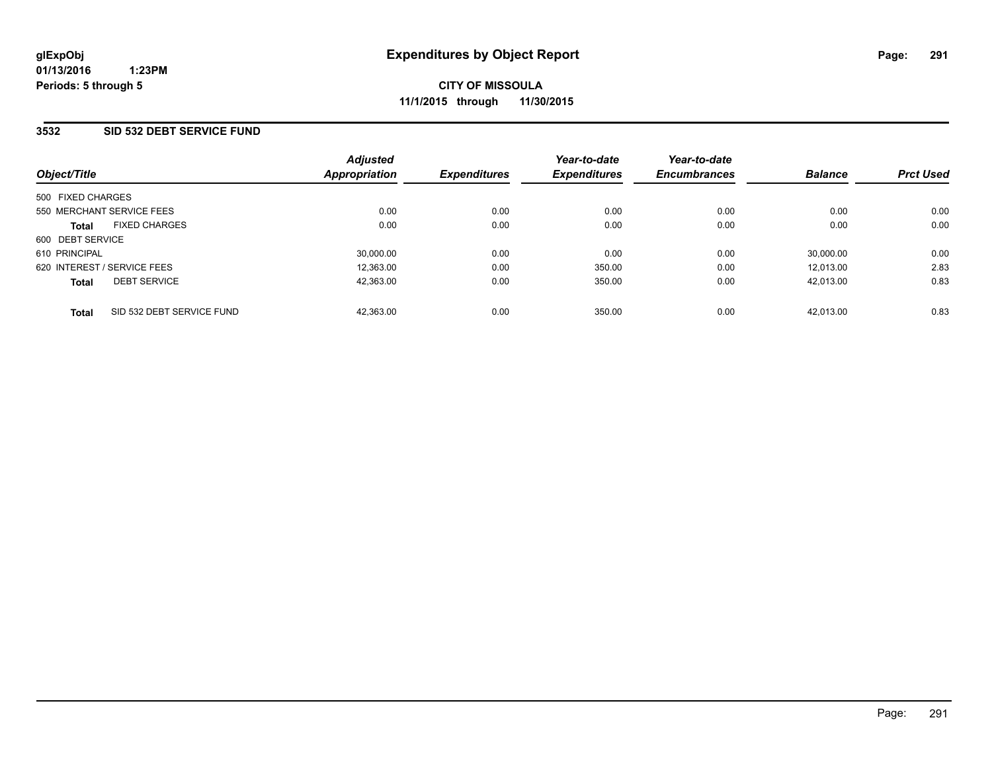### **3532 SID 532 DEBT SERVICE FUND**

| Object/Title                              | <b>Adjusted</b><br>Appropriation | <b>Expenditures</b> | Year-to-date<br><b>Expenditures</b> | Year-to-date<br><b>Encumbrances</b> | <b>Balance</b> | <b>Prct Used</b> |
|-------------------------------------------|----------------------------------|---------------------|-------------------------------------|-------------------------------------|----------------|------------------|
| 500 FIXED CHARGES                         |                                  |                     |                                     |                                     |                |                  |
| 550 MERCHANT SERVICE FEES                 | 0.00                             | 0.00                | 0.00                                | 0.00                                | 0.00           | 0.00             |
| <b>FIXED CHARGES</b><br><b>Total</b>      | 0.00                             | 0.00                | 0.00                                | 0.00                                | 0.00           | 0.00             |
| 600 DEBT SERVICE                          |                                  |                     |                                     |                                     |                |                  |
| 610 PRINCIPAL                             | 30.000.00                        | 0.00                | 0.00                                | 0.00                                | 30.000.00      | 0.00             |
| 620 INTEREST / SERVICE FEES               | 12.363.00                        | 0.00                | 350.00                              | 0.00                                | 12.013.00      | 2.83             |
| <b>DEBT SERVICE</b><br><b>Total</b>       | 42,363.00                        | 0.00                | 350.00                              | 0.00                                | 42.013.00      | 0.83             |
| SID 532 DEBT SERVICE FUND<br><b>Total</b> | 42.363.00                        | 0.00                | 350.00                              | 0.00                                | 42.013.00      | 0.83             |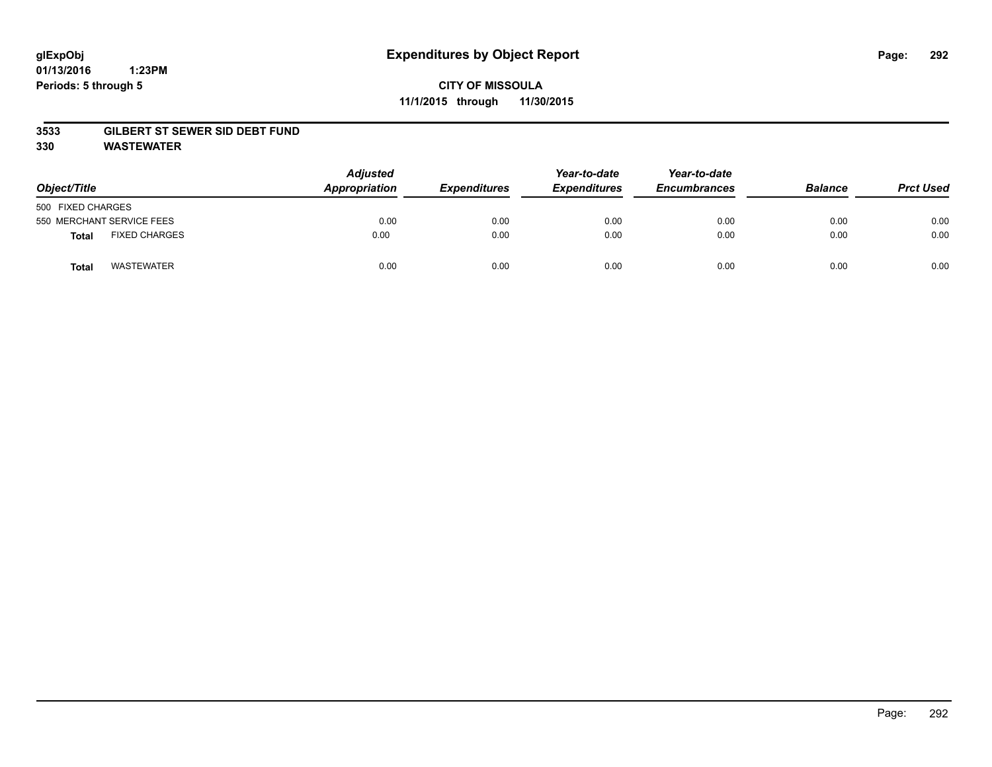#### **01/13/2016 1:23PM Periods: 5 through 5**

## **CITY OF MISSOULA 11/1/2015 through 11/30/2015**

### **3533 GILBERT ST SEWER SID DEBT FUND**

**330 WASTEWATER**

| Object/Title                         | <b>Adjusted</b><br>Appropriation | <b>Expenditures</b> | Year-to-date<br><b>Expenditures</b> | Year-to-date<br><b>Encumbrances</b> | <b>Balance</b> | <b>Prct Used</b> |
|--------------------------------------|----------------------------------|---------------------|-------------------------------------|-------------------------------------|----------------|------------------|
| 500 FIXED CHARGES                    |                                  |                     |                                     |                                     |                |                  |
| 550 MERCHANT SERVICE FEES            | 0.00                             | 0.00                | 0.00                                | 0.00                                | 0.00           | 0.00             |
| <b>FIXED CHARGES</b><br><b>Total</b> | 0.00                             | 0.00                | 0.00                                | 0.00                                | 0.00           | 0.00             |
| <b>WASTEWATER</b><br>Total           | 0.00                             | 0.00                | 0.00                                | 0.00                                | 0.00           | 0.00             |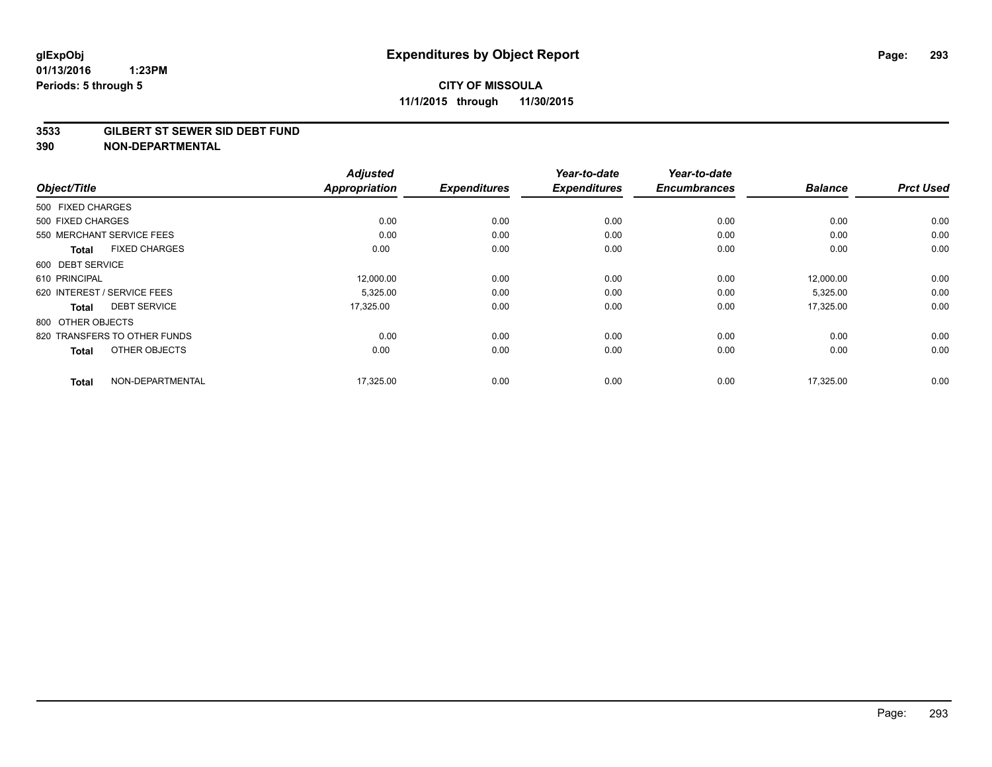#### **3533 GILBERT ST SEWER SID DEBT FUND**

| Object/Title                         | <b>Adjusted</b><br><b>Appropriation</b> | <b>Expenditures</b> | Year-to-date<br><b>Expenditures</b> | Year-to-date<br><b>Encumbrances</b> | <b>Balance</b> | <b>Prct Used</b> |
|--------------------------------------|-----------------------------------------|---------------------|-------------------------------------|-------------------------------------|----------------|------------------|
|                                      |                                         |                     |                                     |                                     |                |                  |
| 500 FIXED CHARGES                    |                                         |                     |                                     |                                     |                |                  |
| 500 FIXED CHARGES                    | 0.00                                    | 0.00                | 0.00                                | 0.00                                | 0.00           | 0.00             |
| 550 MERCHANT SERVICE FEES            | 0.00                                    | 0.00                | 0.00                                | 0.00                                | 0.00           | 0.00             |
| <b>FIXED CHARGES</b><br><b>Total</b> | 0.00                                    | 0.00                | 0.00                                | 0.00                                | 0.00           | 0.00             |
| 600 DEBT SERVICE                     |                                         |                     |                                     |                                     |                |                  |
| 610 PRINCIPAL                        | 12,000.00                               | 0.00                | 0.00                                | 0.00                                | 12,000.00      | 0.00             |
| 620 INTEREST / SERVICE FEES          | 5,325.00                                | 0.00                | 0.00                                | 0.00                                | 5,325.00       | 0.00             |
| <b>DEBT SERVICE</b><br><b>Total</b>  | 17,325.00                               | 0.00                | 0.00                                | 0.00                                | 17,325.00      | 0.00             |
| 800 OTHER OBJECTS                    |                                         |                     |                                     |                                     |                |                  |
| 820 TRANSFERS TO OTHER FUNDS         | 0.00                                    | 0.00                | 0.00                                | 0.00                                | 0.00           | 0.00             |
| OTHER OBJECTS<br><b>Total</b>        | 0.00                                    | 0.00                | 0.00                                | 0.00                                | 0.00           | 0.00             |
| NON-DEPARTMENTAL<br><b>Total</b>     | 17,325.00                               | 0.00                | 0.00                                | 0.00                                | 17,325.00      | 0.00             |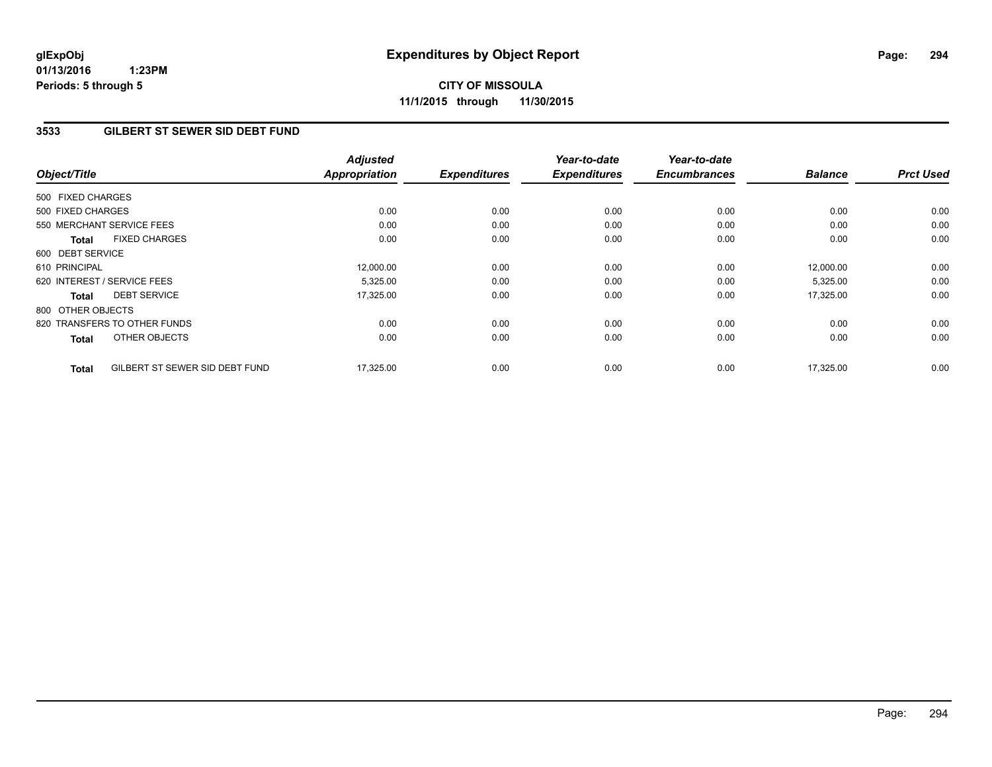**01/13/2016 1:23PM Periods: 5 through 5**

# **CITY OF MISSOULA 11/1/2015 through 11/30/2015**

### **3533 GILBERT ST SEWER SID DEBT FUND**

| Object/Title      |                                | <b>Adjusted</b><br><b>Appropriation</b> | <b>Expenditures</b> | Year-to-date<br><b>Expenditures</b> | Year-to-date<br><b>Encumbrances</b> | <b>Balance</b> | <b>Prct Used</b> |
|-------------------|--------------------------------|-----------------------------------------|---------------------|-------------------------------------|-------------------------------------|----------------|------------------|
| 500 FIXED CHARGES |                                |                                         |                     |                                     |                                     |                |                  |
| 500 FIXED CHARGES |                                | 0.00                                    | 0.00                | 0.00                                | 0.00                                | 0.00           | 0.00             |
|                   | 550 MERCHANT SERVICE FEES      | 0.00                                    | 0.00                | 0.00                                | 0.00                                | 0.00           | 0.00             |
| <b>Total</b>      | <b>FIXED CHARGES</b>           | 0.00                                    | 0.00                | 0.00                                | 0.00                                | 0.00           | 0.00             |
| 600 DEBT SERVICE  |                                |                                         |                     |                                     |                                     |                |                  |
| 610 PRINCIPAL     |                                | 12,000.00                               | 0.00                | 0.00                                | 0.00                                | 12,000.00      | 0.00             |
|                   | 620 INTEREST / SERVICE FEES    | 5,325.00                                | 0.00                | 0.00                                | 0.00                                | 5,325.00       | 0.00             |
| <b>Total</b>      | <b>DEBT SERVICE</b>            | 17,325.00                               | 0.00                | 0.00                                | 0.00                                | 17,325.00      | 0.00             |
| 800 OTHER OBJECTS |                                |                                         |                     |                                     |                                     |                |                  |
|                   | 820 TRANSFERS TO OTHER FUNDS   | 0.00                                    | 0.00                | 0.00                                | 0.00                                | 0.00           | 0.00             |
| <b>Total</b>      | OTHER OBJECTS                  | 0.00                                    | 0.00                | 0.00                                | 0.00                                | 0.00           | 0.00             |
| <b>Total</b>      | GILBERT ST SEWER SID DEBT FUND | 17,325.00                               | 0.00                | 0.00                                | 0.00                                | 17,325.00      | 0.00             |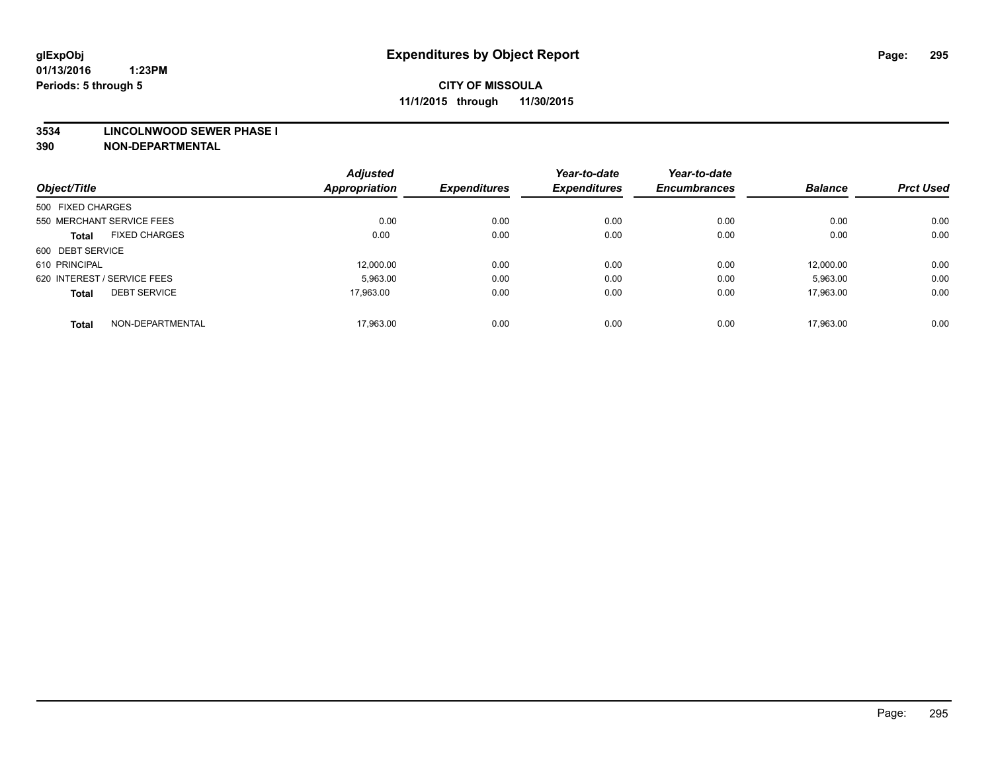#### **3534 LINCOLNWOOD SEWER PHASE I**

| Object/Title                |                      | <b>Adjusted</b><br><b>Appropriation</b> | <b>Expenditures</b> | Year-to-date<br><b>Expenditures</b> | Year-to-date<br><b>Encumbrances</b> | <b>Balance</b> | <b>Prct Used</b> |
|-----------------------------|----------------------|-----------------------------------------|---------------------|-------------------------------------|-------------------------------------|----------------|------------------|
| 500 FIXED CHARGES           |                      |                                         |                     |                                     |                                     |                |                  |
|                             |                      |                                         |                     |                                     |                                     |                |                  |
| 550 MERCHANT SERVICE FEES   |                      | 0.00                                    | 0.00                | 0.00                                | 0.00                                | 0.00           | 0.00             |
| <b>Total</b>                | <b>FIXED CHARGES</b> | 0.00                                    | 0.00                | 0.00                                | 0.00                                | 0.00           | 0.00             |
| 600 DEBT SERVICE            |                      |                                         |                     |                                     |                                     |                |                  |
| 610 PRINCIPAL               |                      | 12.000.00                               | 0.00                | 0.00                                | 0.00                                | 12.000.00      | 0.00             |
| 620 INTEREST / SERVICE FEES |                      | 5,963.00                                | 0.00                | 0.00                                | 0.00                                | 5,963.00       | 0.00             |
| <b>Total</b>                | <b>DEBT SERVICE</b>  | 17.963.00                               | 0.00                | 0.00                                | 0.00                                | 17.963.00      | 0.00             |
|                             |                      |                                         |                     |                                     |                                     |                |                  |
| <b>Total</b>                | NON-DEPARTMENTAL     | 17,963.00                               | 0.00                | 0.00                                | 0.00                                | 17.963.00      | 0.00             |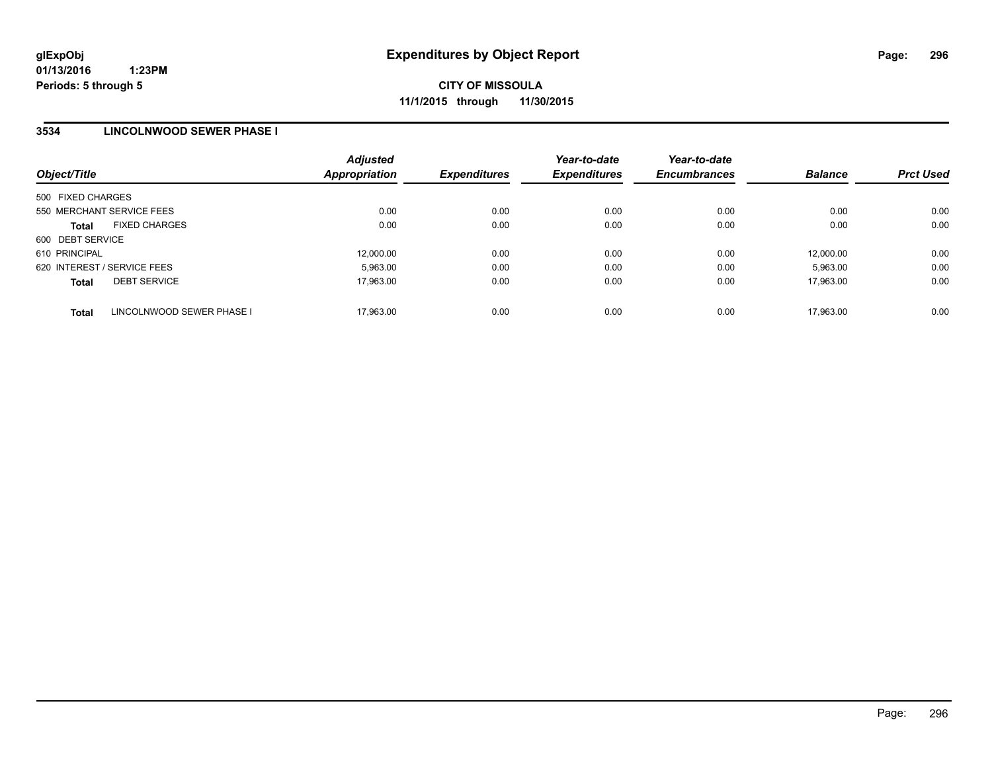### **3534 LINCOLNWOOD SEWER PHASE I**

| Object/Title                              | <b>Adjusted</b><br><b>Appropriation</b> | <b>Expenditures</b> | Year-to-date<br><b>Expenditures</b> | Year-to-date<br><b>Encumbrances</b> | <b>Balance</b> | <b>Prct Used</b> |
|-------------------------------------------|-----------------------------------------|---------------------|-------------------------------------|-------------------------------------|----------------|------------------|
| 500 FIXED CHARGES                         |                                         |                     |                                     |                                     |                |                  |
| 550 MERCHANT SERVICE FEES                 | 0.00                                    | 0.00                | 0.00                                | 0.00                                | 0.00           | 0.00             |
| <b>FIXED CHARGES</b><br><b>Total</b>      | 0.00                                    | 0.00                | 0.00                                | 0.00                                | 0.00           | 0.00             |
| 600 DEBT SERVICE                          |                                         |                     |                                     |                                     |                |                  |
| 610 PRINCIPAL                             | 12.000.00                               | 0.00                | 0.00                                | 0.00                                | 12.000.00      | 0.00             |
| 620 INTEREST / SERVICE FEES               | 5.963.00                                | 0.00                | 0.00                                | 0.00                                | 5.963.00       | 0.00             |
| <b>DEBT SERVICE</b><br><b>Total</b>       | 17.963.00                               | 0.00                | 0.00                                | 0.00                                | 17.963.00      | 0.00             |
| LINCOLNWOOD SEWER PHASE I<br><b>Total</b> | 17.963.00                               | 0.00                | 0.00                                | 0.00                                | 17.963.00      | 0.00             |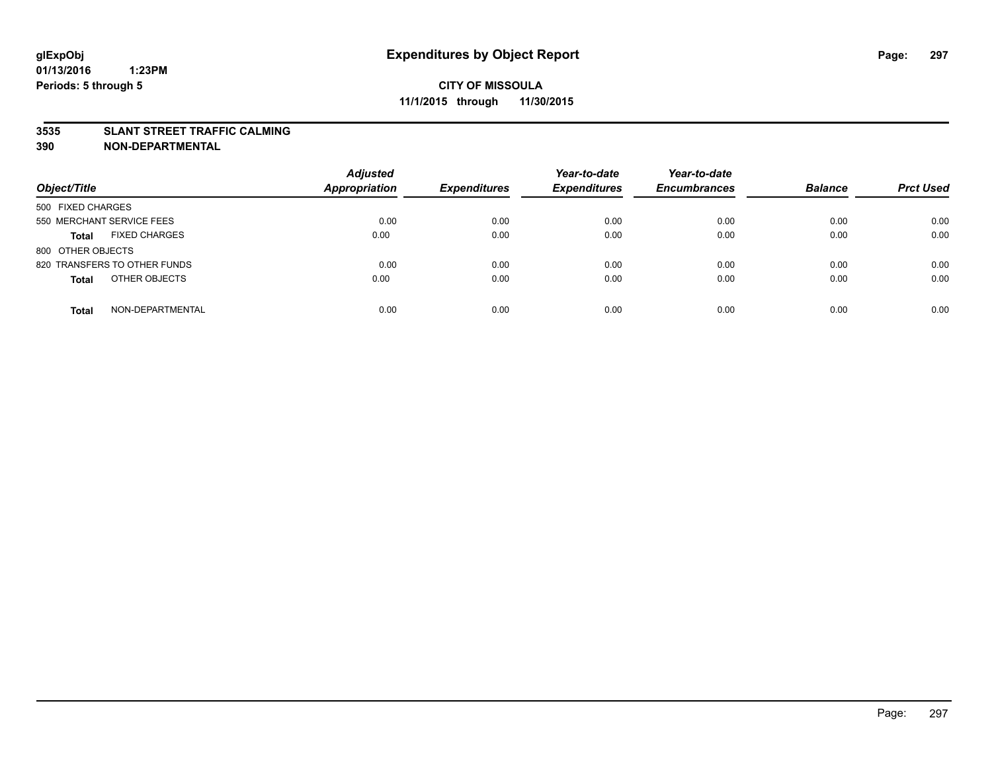#### **3535 SLANT STREET TRAFFIC CALMING**

| Object/Title                         | <b>Adjusted</b><br>Appropriation | <b>Expenditures</b> | Year-to-date<br><b>Expenditures</b> | Year-to-date<br><b>Encumbrances</b> | <b>Balance</b> | <b>Prct Used</b> |
|--------------------------------------|----------------------------------|---------------------|-------------------------------------|-------------------------------------|----------------|------------------|
| 500 FIXED CHARGES                    |                                  |                     |                                     |                                     |                |                  |
| 550 MERCHANT SERVICE FEES            | 0.00                             | 0.00                | 0.00                                | 0.00                                | 0.00           | 0.00             |
| <b>FIXED CHARGES</b><br><b>Total</b> | 0.00                             | 0.00                | 0.00                                | 0.00                                | 0.00           | 0.00             |
| 800 OTHER OBJECTS                    |                                  |                     |                                     |                                     |                |                  |
| 820 TRANSFERS TO OTHER FUNDS         | 0.00                             | 0.00                | 0.00                                | 0.00                                | 0.00           | 0.00             |
| OTHER OBJECTS<br><b>Total</b>        | 0.00                             | 0.00                | 0.00                                | 0.00                                | 0.00           | 0.00             |
| NON-DEPARTMENTAL<br><b>Total</b>     | 0.00                             | 0.00                | 0.00                                | 0.00                                | 0.00           | 0.00             |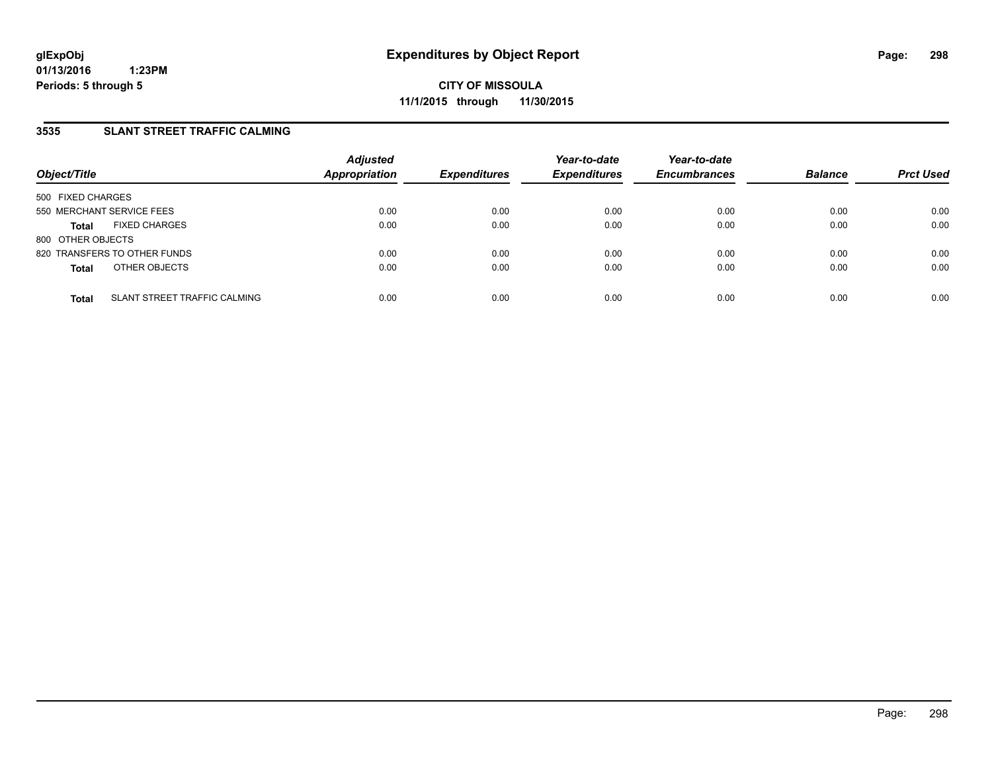### **3535 SLANT STREET TRAFFIC CALMING**

| Object/Title              |                              | <b>Adjusted</b><br><b>Appropriation</b> | <b>Expenditures</b> | Year-to-date<br><b>Expenditures</b> | Year-to-date<br><b>Encumbrances</b> | <b>Balance</b> | <b>Prct Used</b> |
|---------------------------|------------------------------|-----------------------------------------|---------------------|-------------------------------------|-------------------------------------|----------------|------------------|
| 500 FIXED CHARGES         |                              |                                         |                     |                                     |                                     |                |                  |
| 550 MERCHANT SERVICE FEES |                              | 0.00                                    | 0.00                | 0.00                                | 0.00                                | 0.00           | 0.00             |
| <b>Total</b>              | <b>FIXED CHARGES</b>         | 0.00                                    | 0.00                | 0.00                                | 0.00                                | 0.00           | 0.00             |
| 800 OTHER OBJECTS         |                              |                                         |                     |                                     |                                     |                |                  |
|                           | 820 TRANSFERS TO OTHER FUNDS | 0.00                                    | 0.00                | 0.00                                | 0.00                                | 0.00           | 0.00             |
| <b>Total</b>              | OTHER OBJECTS                | 0.00                                    | 0.00                | 0.00                                | 0.00                                | 0.00           | 0.00             |
| <b>Total</b>              | SLANT STREET TRAFFIC CALMING | 0.00                                    | 0.00                | 0.00                                | 0.00                                | 0.00           | 0.00             |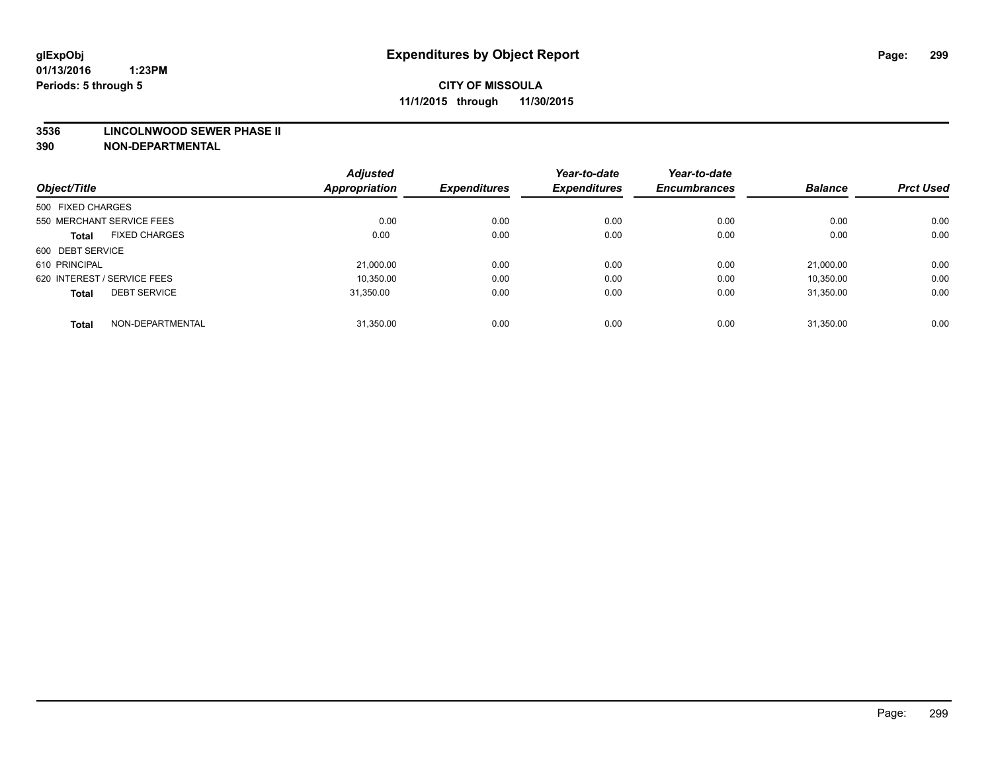#### **3536 LINCOLNWOOD SEWER PHASE II**

|                                      | <b>Adjusted</b> |                     | Year-to-date        | Year-to-date        |                |                  |
|--------------------------------------|-----------------|---------------------|---------------------|---------------------|----------------|------------------|
| Object/Title                         | Appropriation   | <b>Expenditures</b> | <b>Expenditures</b> | <b>Encumbrances</b> | <b>Balance</b> | <b>Prct Used</b> |
| 500 FIXED CHARGES                    |                 |                     |                     |                     |                |                  |
| 550 MERCHANT SERVICE FEES            | 0.00            | 0.00                | 0.00                | 0.00                | 0.00           | 0.00             |
| <b>FIXED CHARGES</b><br><b>Total</b> | 0.00            | 0.00                | 0.00                | 0.00                | 0.00           | 0.00             |
| 600 DEBT SERVICE                     |                 |                     |                     |                     |                |                  |
| 610 PRINCIPAL                        | 21,000.00       | 0.00                | 0.00                | 0.00                | 21.000.00      | 0.00             |
| 620 INTEREST / SERVICE FEES          | 10,350.00       | 0.00                | 0.00                | 0.00                | 10,350.00      | 0.00             |
| <b>DEBT SERVICE</b><br><b>Total</b>  | 31.350.00       | 0.00                | 0.00                | 0.00                | 31.350.00      | 0.00             |
| NON-DEPARTMENTAL<br><b>Total</b>     | 31,350.00       | 0.00                | 0.00                | 0.00                | 31.350.00      | 0.00             |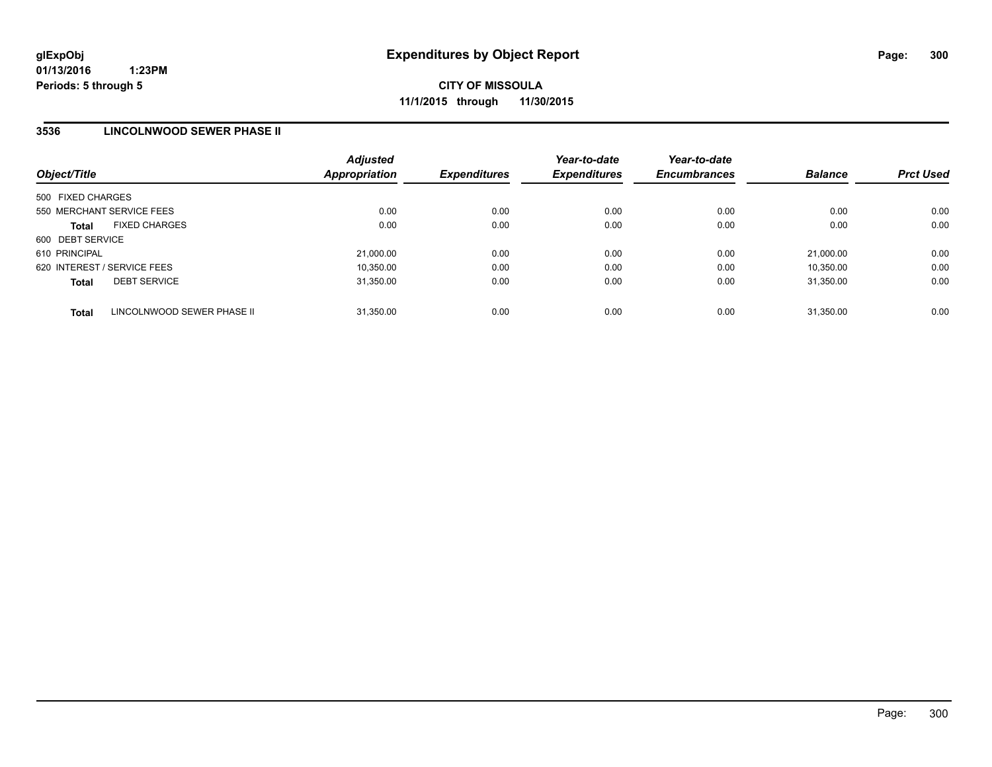### **3536 LINCOLNWOOD SEWER PHASE II**

| Object/Title                |                            | <b>Adjusted</b><br><b>Appropriation</b> | <b>Expenditures</b> | Year-to-date<br><b>Expenditures</b> | Year-to-date<br><b>Encumbrances</b> | <b>Balance</b> | <b>Prct Used</b> |
|-----------------------------|----------------------------|-----------------------------------------|---------------------|-------------------------------------|-------------------------------------|----------------|------------------|
| 500 FIXED CHARGES           |                            |                                         |                     |                                     |                                     |                |                  |
| 550 MERCHANT SERVICE FEES   |                            | 0.00                                    | 0.00                | 0.00                                | 0.00                                | 0.00           | 0.00             |
| <b>Total</b>                | <b>FIXED CHARGES</b>       | 0.00                                    | 0.00                | 0.00                                | 0.00                                | 0.00           | 0.00             |
| 600 DEBT SERVICE            |                            |                                         |                     |                                     |                                     |                |                  |
| 610 PRINCIPAL               |                            | 21,000.00                               | 0.00                | 0.00                                | 0.00                                | 21.000.00      | 0.00             |
| 620 INTEREST / SERVICE FEES |                            | 10.350.00                               | 0.00                | 0.00                                | 0.00                                | 10.350.00      | 0.00             |
| <b>Total</b>                | <b>DEBT SERVICE</b>        | 31.350.00                               | 0.00                | 0.00                                | 0.00                                | 31.350.00      | 0.00             |
| <b>Total</b>                | LINCOLNWOOD SEWER PHASE II | 31.350.00                               | 0.00                | 0.00                                | 0.00                                | 31.350.00      | 0.00             |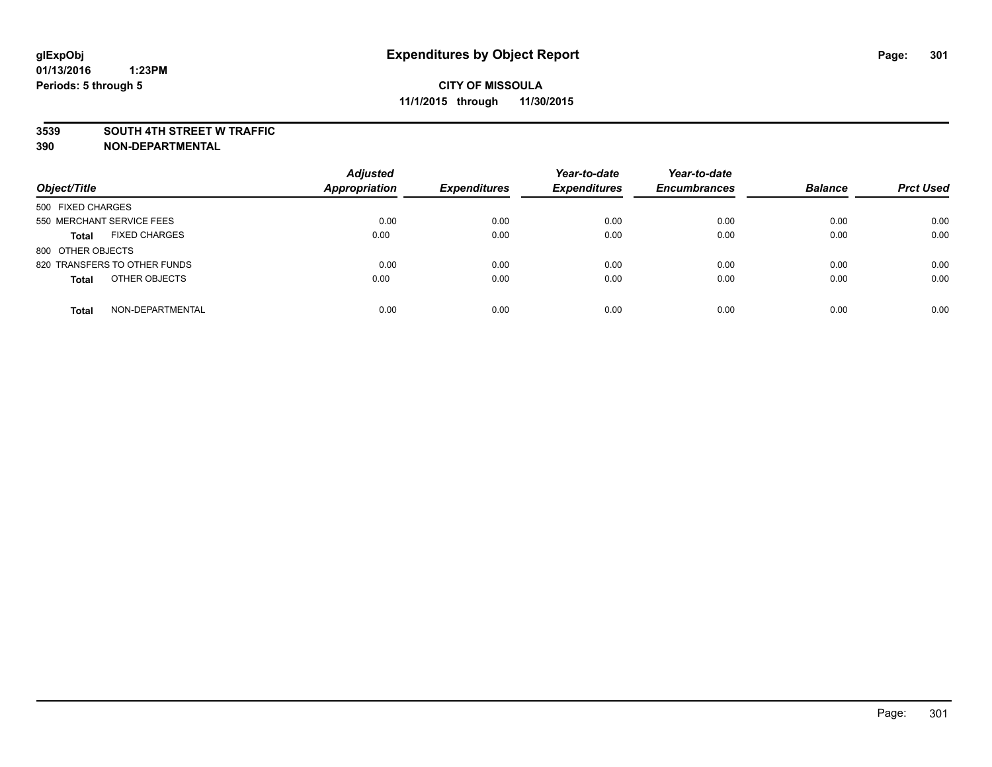#### **3539 SOUTH 4TH STREET W TRAFFIC**

| Object/Title                         | <b>Adjusted</b><br><b>Appropriation</b> | <b>Expenditures</b> | Year-to-date<br><b>Expenditures</b> | Year-to-date<br><b>Encumbrances</b> | <b>Balance</b> | <b>Prct Used</b> |
|--------------------------------------|-----------------------------------------|---------------------|-------------------------------------|-------------------------------------|----------------|------------------|
| 500 FIXED CHARGES                    |                                         |                     |                                     |                                     |                |                  |
| 550 MERCHANT SERVICE FEES            | 0.00                                    | 0.00                | 0.00                                | 0.00                                | 0.00           | 0.00             |
| <b>FIXED CHARGES</b><br><b>Total</b> | 0.00                                    | 0.00                | 0.00                                | 0.00                                | 0.00           | 0.00             |
| 800 OTHER OBJECTS                    |                                         |                     |                                     |                                     |                |                  |
| 820 TRANSFERS TO OTHER FUNDS         | 0.00                                    | 0.00                | 0.00                                | 0.00                                | 0.00           | 0.00             |
| OTHER OBJECTS<br><b>Total</b>        | 0.00                                    | 0.00                | 0.00                                | 0.00                                | 0.00           | 0.00             |
| NON-DEPARTMENTAL<br><b>Total</b>     | 0.00                                    | 0.00                | 0.00                                | 0.00                                | 0.00           | 0.00             |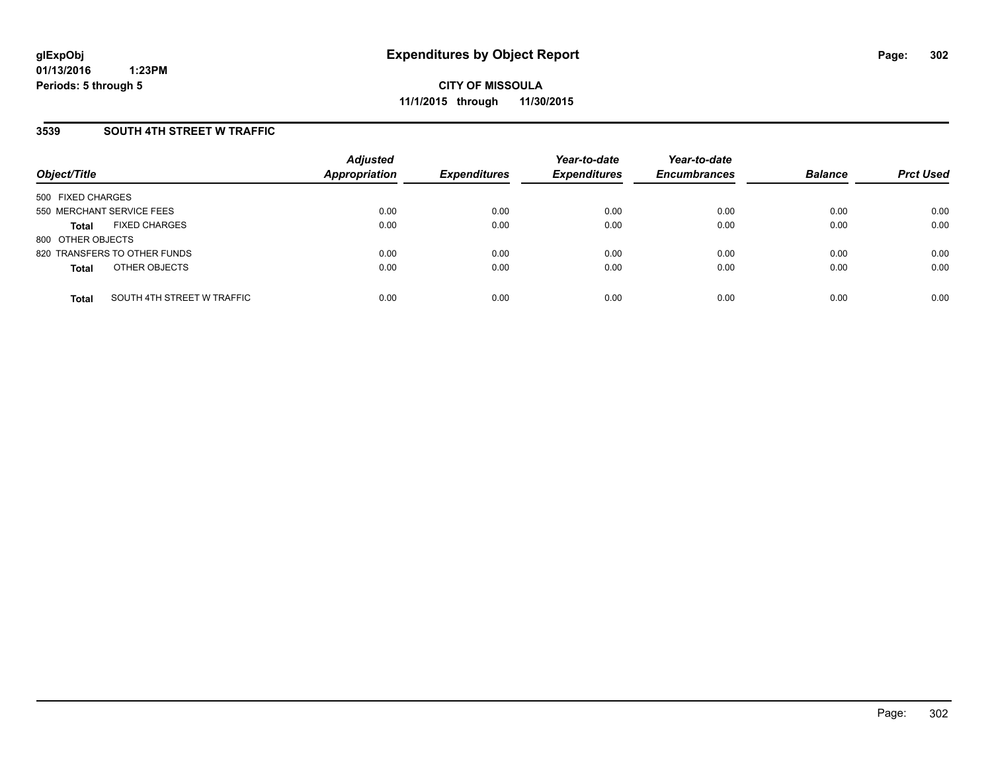### **3539 SOUTH 4TH STREET W TRAFFIC**

| Object/Title              |                              | <b>Adjusted</b><br><b>Appropriation</b> | <b>Expenditures</b> | Year-to-date<br><b>Expenditures</b> | Year-to-date<br><b>Encumbrances</b> | <b>Balance</b> | <b>Prct Used</b> |
|---------------------------|------------------------------|-----------------------------------------|---------------------|-------------------------------------|-------------------------------------|----------------|------------------|
| 500 FIXED CHARGES         |                              |                                         |                     |                                     |                                     |                |                  |
| 550 MERCHANT SERVICE FEES |                              | 0.00                                    | 0.00                | 0.00                                | 0.00                                | 0.00           | 0.00             |
| <b>Total</b>              | <b>FIXED CHARGES</b>         | 0.00                                    | 0.00                | 0.00                                | 0.00                                | 0.00           | 0.00             |
| 800 OTHER OBJECTS         |                              |                                         |                     |                                     |                                     |                |                  |
|                           | 820 TRANSFERS TO OTHER FUNDS | 0.00                                    | 0.00                | 0.00                                | 0.00                                | 0.00           | 0.00             |
| <b>Total</b>              | OTHER OBJECTS                | 0.00                                    | 0.00                | 0.00                                | 0.00                                | 0.00           | 0.00             |
| <b>Total</b>              | SOUTH 4TH STREET W TRAFFIC   | 0.00                                    | 0.00                | 0.00                                | 0.00                                | 0.00           | 0.00             |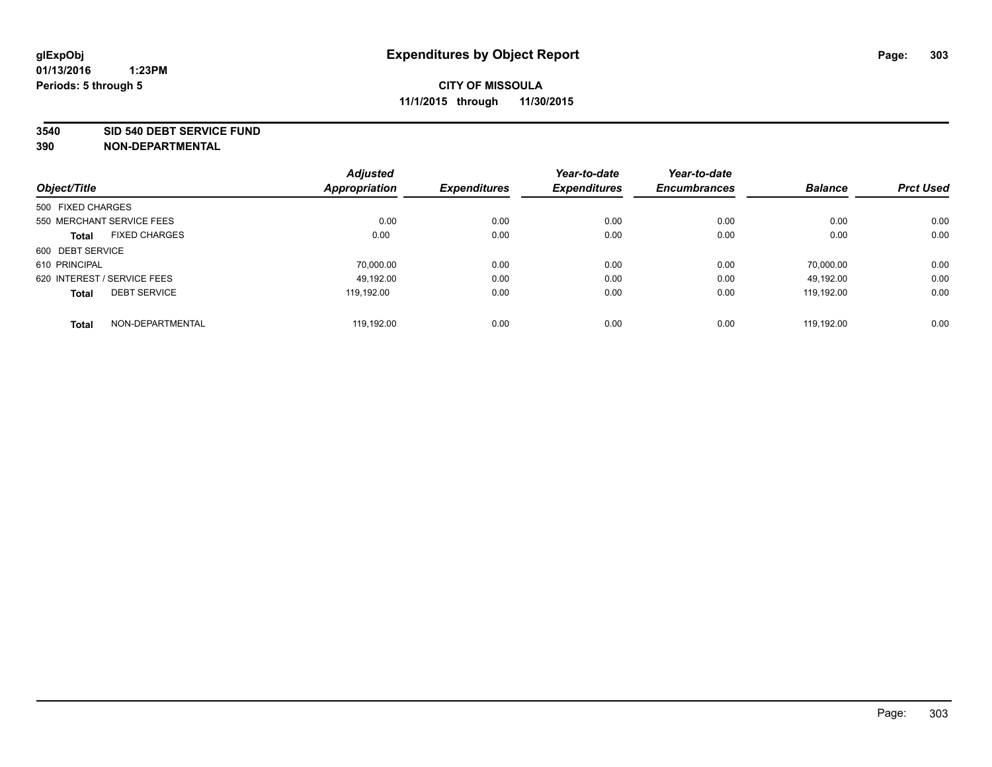#### **3540 SID 540 DEBT SERVICE FUND**

|                                      | <b>Adjusted</b><br>Appropriation | <b>Expenditures</b> | Year-to-date<br><b>Expenditures</b> | Year-to-date<br><b>Encumbrances</b> | <b>Balance</b> | <b>Prct Used</b> |
|--------------------------------------|----------------------------------|---------------------|-------------------------------------|-------------------------------------|----------------|------------------|
| Object/Title                         |                                  |                     |                                     |                                     |                |                  |
| 500 FIXED CHARGES                    |                                  |                     |                                     |                                     |                |                  |
| 550 MERCHANT SERVICE FEES            | 0.00                             | 0.00                | 0.00                                | 0.00                                | 0.00           | 0.00             |
| <b>FIXED CHARGES</b><br><b>Total</b> | 0.00                             | 0.00                | 0.00                                | 0.00                                | 0.00           | 0.00             |
| 600 DEBT SERVICE                     |                                  |                     |                                     |                                     |                |                  |
| 610 PRINCIPAL                        | 70.000.00                        | 0.00                | 0.00                                | 0.00                                | 70.000.00      | 0.00             |
| 620 INTEREST / SERVICE FEES          | 49.192.00                        | 0.00                | 0.00                                | 0.00                                | 49.192.00      | 0.00             |
| <b>DEBT SERVICE</b><br><b>Total</b>  | 119.192.00                       | 0.00                | 0.00                                | 0.00                                | 119.192.00     | 0.00             |
| NON-DEPARTMENTAL<br><b>Total</b>     | 119.192.00                       | 0.00                | 0.00                                | 0.00                                | 119.192.00     | 0.00             |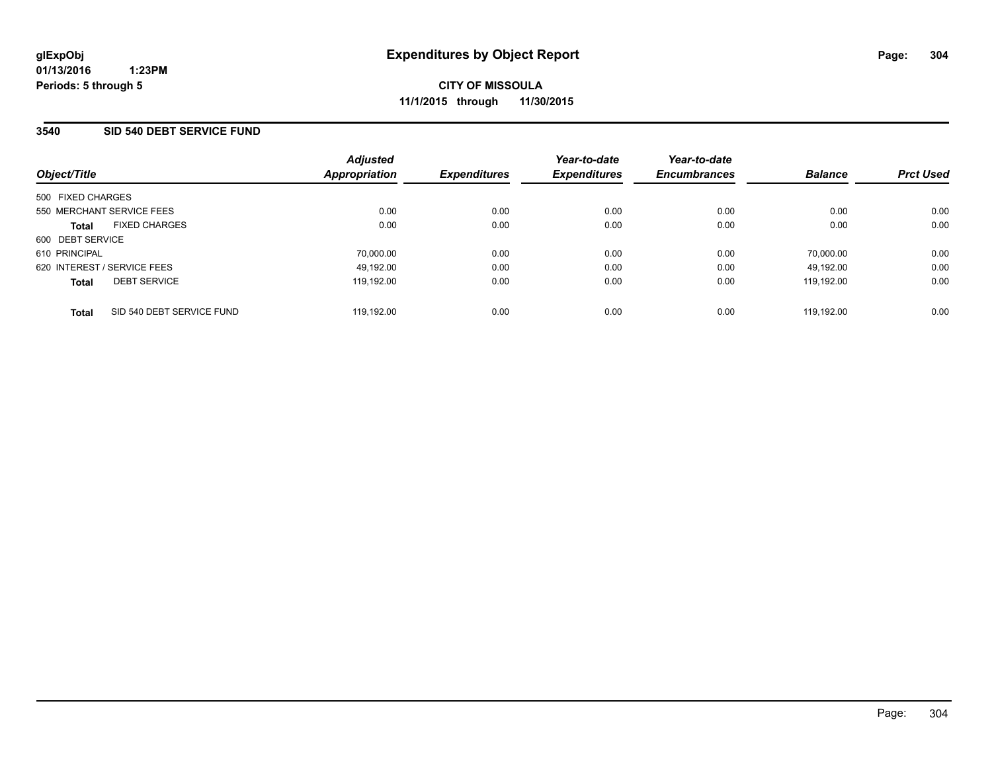### **3540 SID 540 DEBT SERVICE FUND**

| Object/Title                              | <b>Adjusted</b><br>Appropriation | <b>Expenditures</b> | Year-to-date<br><b>Expenditures</b> | Year-to-date<br><b>Encumbrances</b> | <b>Balance</b> | <b>Prct Used</b> |
|-------------------------------------------|----------------------------------|---------------------|-------------------------------------|-------------------------------------|----------------|------------------|
| 500 FIXED CHARGES                         |                                  |                     |                                     |                                     |                |                  |
| 550 MERCHANT SERVICE FEES                 | 0.00                             | 0.00                | 0.00                                | 0.00                                | 0.00           | 0.00             |
| <b>FIXED CHARGES</b><br><b>Total</b>      | 0.00                             | 0.00                | 0.00                                | 0.00                                | 0.00           | 0.00             |
| 600 DEBT SERVICE                          |                                  |                     |                                     |                                     |                |                  |
| 610 PRINCIPAL                             | 70.000.00                        | 0.00                | 0.00                                | 0.00                                | 70.000.00      | 0.00             |
| 620 INTEREST / SERVICE FEES               | 49,192.00                        | 0.00                | 0.00                                | 0.00                                | 49.192.00      | 0.00             |
| <b>DEBT SERVICE</b><br><b>Total</b>       | 119,192.00                       | 0.00                | 0.00                                | 0.00                                | 119.192.00     | 0.00             |
| SID 540 DEBT SERVICE FUND<br><b>Total</b> | 119.192.00                       | 0.00                | 0.00                                | 0.00                                | 119.192.00     | 0.00             |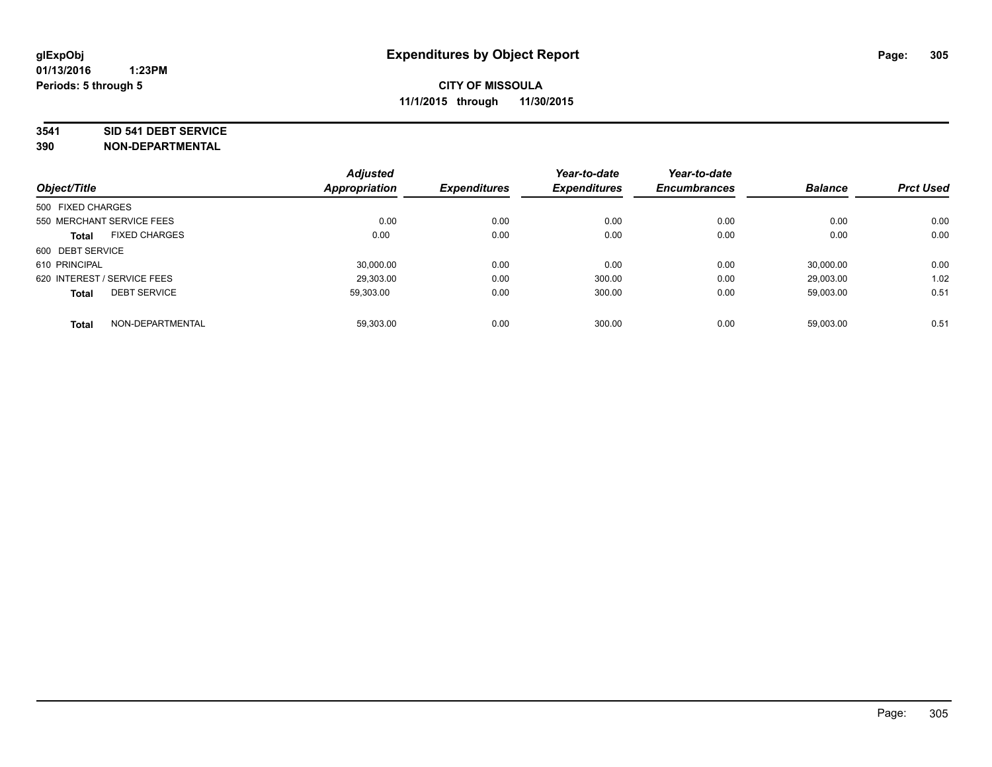#### **3541 SID 541 DEBT SERVICE**

| Object/Title                |                      | <b>Adjusted</b><br><b>Appropriation</b> | <b>Expenditures</b> | Year-to-date<br><b>Expenditures</b> | Year-to-date<br><b>Encumbrances</b> | <b>Balance</b> | <b>Prct Used</b> |
|-----------------------------|----------------------|-----------------------------------------|---------------------|-------------------------------------|-------------------------------------|----------------|------------------|
|                             |                      |                                         |                     |                                     |                                     |                |                  |
| 500 FIXED CHARGES           |                      |                                         |                     |                                     |                                     |                |                  |
| 550 MERCHANT SERVICE FEES   |                      | 0.00                                    | 0.00                | 0.00                                | 0.00                                | 0.00           | 0.00             |
| <b>Total</b>                | <b>FIXED CHARGES</b> | 0.00                                    | 0.00                | 0.00                                | 0.00                                | 0.00           | 0.00             |
| 600 DEBT SERVICE            |                      |                                         |                     |                                     |                                     |                |                  |
| 610 PRINCIPAL               |                      | 30.000.00                               | 0.00                | 0.00                                | 0.00                                | 30.000.00      | 0.00             |
| 620 INTEREST / SERVICE FEES |                      | 29,303.00                               | 0.00                | 300.00                              | 0.00                                | 29,003.00      | 1.02             |
| <b>Total</b>                | <b>DEBT SERVICE</b>  | 59.303.00                               | 0.00                | 300.00                              | 0.00                                | 59.003.00      | 0.51             |
| <b>Total</b>                | NON-DEPARTMENTAL     | 59,303.00                               | 0.00                | 300.00                              | 0.00                                | 59,003.00      | 0.51             |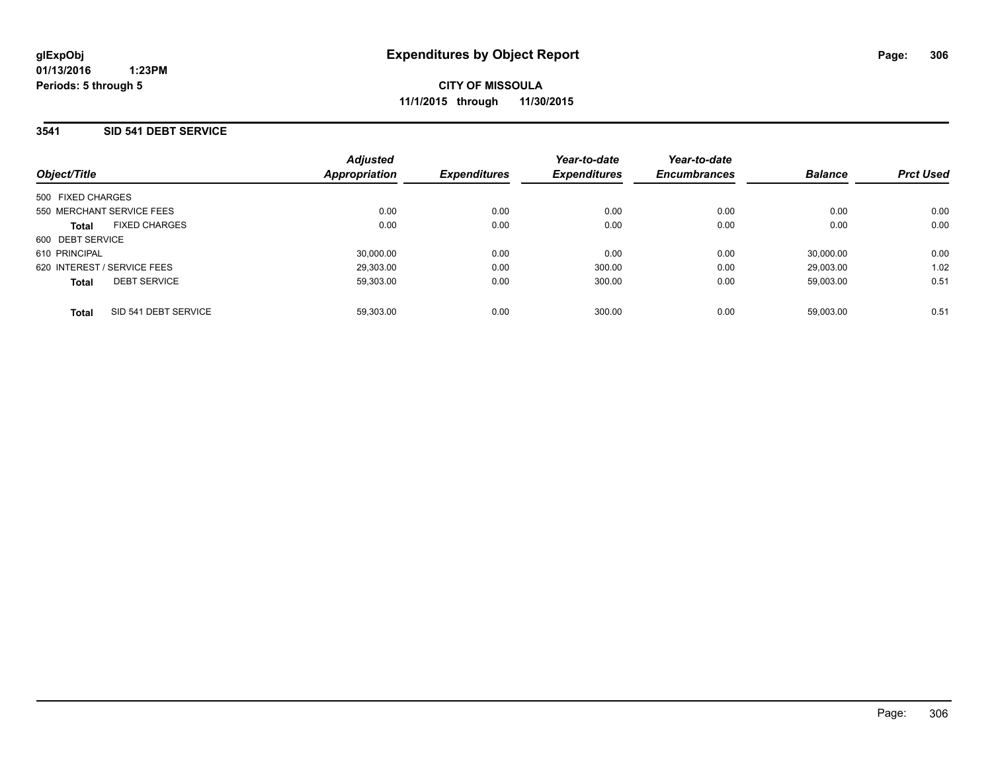**01/13/2016 1:23PM Periods: 5 through 5**

**CITY OF MISSOULA 11/1/2015 through 11/30/2015**

### **3541 SID 541 DEBT SERVICE**

| Object/Title                         | <b>Adjusted</b><br>Appropriation | <b>Expenditures</b> | Year-to-date<br><b>Expenditures</b> | Year-to-date<br><b>Encumbrances</b> | <b>Balance</b> | <b>Prct Used</b> |
|--------------------------------------|----------------------------------|---------------------|-------------------------------------|-------------------------------------|----------------|------------------|
| 500 FIXED CHARGES                    |                                  |                     |                                     |                                     |                |                  |
| 550 MERCHANT SERVICE FEES            | 0.00                             | 0.00                | 0.00                                | 0.00                                | 0.00           | 0.00             |
| <b>FIXED CHARGES</b><br><b>Total</b> | 0.00                             | 0.00                | 0.00                                | 0.00                                | 0.00           | 0.00             |
| 600 DEBT SERVICE                     |                                  |                     |                                     |                                     |                |                  |
| 610 PRINCIPAL                        | 30.000.00                        | 0.00                | 0.00                                | 0.00                                | 30.000.00      | 0.00             |
| 620 INTEREST / SERVICE FEES          | 29.303.00                        | 0.00                | 300.00                              | 0.00                                | 29.003.00      | 1.02             |
| <b>DEBT SERVICE</b><br><b>Total</b>  | 59.303.00                        | 0.00                | 300.00                              | 0.00                                | 59.003.00      | 0.51             |
| SID 541 DEBT SERVICE<br><b>Total</b> | 59.303.00                        | 0.00                | 300.00                              | 0.00                                | 59.003.00      | 0.51             |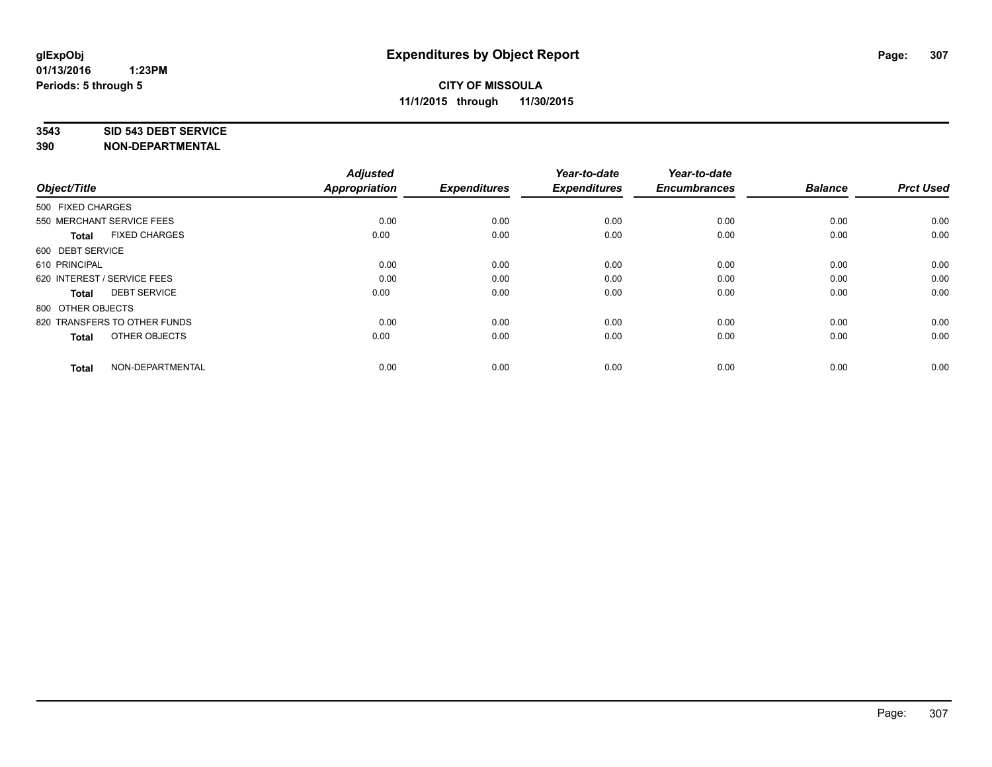#### **3543 SID 543 DEBT SERVICE**

| Object/Title                         | <b>Adjusted</b><br><b>Appropriation</b> | <b>Expenditures</b> | Year-to-date<br><b>Expenditures</b> | Year-to-date<br><b>Encumbrances</b> | <b>Balance</b> | <b>Prct Used</b> |
|--------------------------------------|-----------------------------------------|---------------------|-------------------------------------|-------------------------------------|----------------|------------------|
| 500 FIXED CHARGES                    |                                         |                     |                                     |                                     |                |                  |
| 550 MERCHANT SERVICE FEES            | 0.00                                    | 0.00                | 0.00                                | 0.00                                | 0.00           | 0.00             |
| <b>FIXED CHARGES</b><br><b>Total</b> | 0.00                                    | 0.00                | 0.00                                | 0.00                                | 0.00           | 0.00             |
| 600 DEBT SERVICE                     |                                         |                     |                                     |                                     |                |                  |
| 610 PRINCIPAL                        | 0.00                                    | 0.00                | 0.00                                | 0.00                                | 0.00           | 0.00             |
| 620 INTEREST / SERVICE FEES          | 0.00                                    | 0.00                | 0.00                                | 0.00                                | 0.00           | 0.00             |
| <b>DEBT SERVICE</b><br><b>Total</b>  | 0.00                                    | 0.00                | 0.00                                | 0.00                                | 0.00           | 0.00             |
| 800 OTHER OBJECTS                    |                                         |                     |                                     |                                     |                |                  |
| 820 TRANSFERS TO OTHER FUNDS         | 0.00                                    | 0.00                | 0.00                                | 0.00                                | 0.00           | 0.00             |
| OTHER OBJECTS<br><b>Total</b>        | 0.00                                    | 0.00                | 0.00                                | 0.00                                | 0.00           | 0.00             |
|                                      |                                         |                     |                                     |                                     |                |                  |
| NON-DEPARTMENTAL<br><b>Total</b>     | 0.00                                    | 0.00                | 0.00                                | 0.00                                | 0.00           | 0.00             |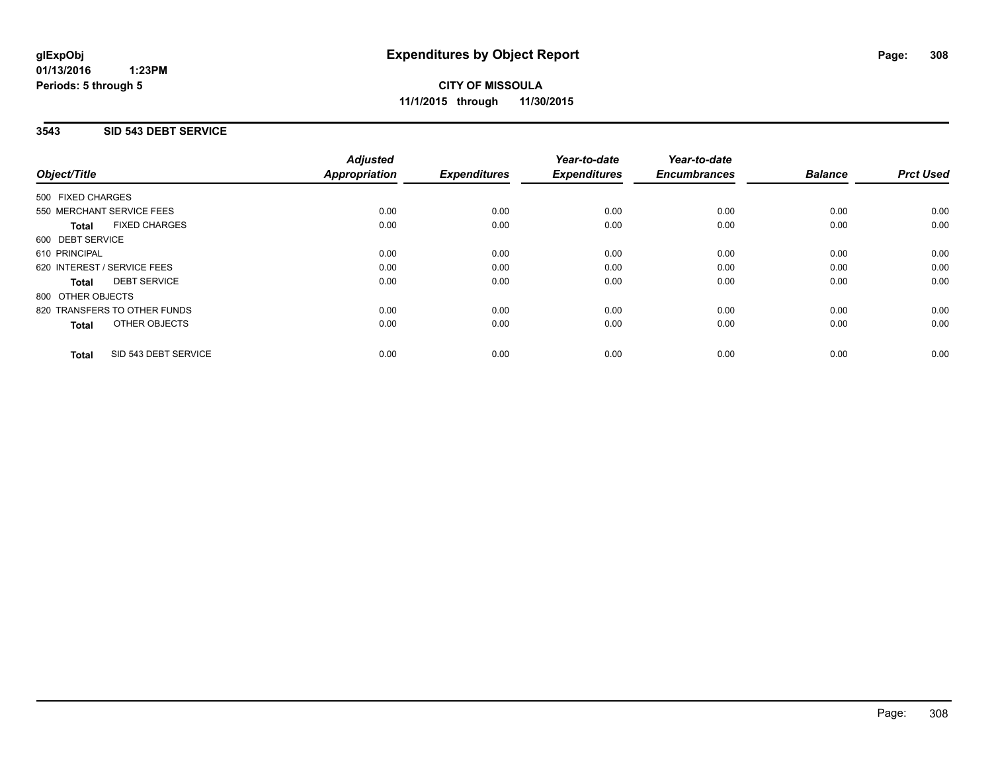### **3543 SID 543 DEBT SERVICE**

| Object/Title                         | <b>Adjusted</b><br><b>Appropriation</b> | <b>Expenditures</b> | Year-to-date<br><b>Expenditures</b> | Year-to-date<br><b>Encumbrances</b> | <b>Balance</b> | <b>Prct Used</b> |
|--------------------------------------|-----------------------------------------|---------------------|-------------------------------------|-------------------------------------|----------------|------------------|
| 500 FIXED CHARGES                    |                                         |                     |                                     |                                     |                |                  |
| 550 MERCHANT SERVICE FEES            | 0.00                                    | 0.00                | 0.00                                | 0.00                                | 0.00           | 0.00             |
| <b>FIXED CHARGES</b><br><b>Total</b> | 0.00                                    | 0.00                | 0.00                                | 0.00                                | 0.00           | 0.00             |
| 600 DEBT SERVICE                     |                                         |                     |                                     |                                     |                |                  |
| 610 PRINCIPAL                        | 0.00                                    | 0.00                | 0.00                                | 0.00                                | 0.00           | 0.00             |
| 620 INTEREST / SERVICE FEES          | 0.00                                    | 0.00                | 0.00                                | 0.00                                | 0.00           | 0.00             |
| <b>DEBT SERVICE</b><br><b>Total</b>  | 0.00                                    | 0.00                | 0.00                                | 0.00                                | 0.00           | 0.00             |
| 800 OTHER OBJECTS                    |                                         |                     |                                     |                                     |                |                  |
| 820 TRANSFERS TO OTHER FUNDS         | 0.00                                    | 0.00                | 0.00                                | 0.00                                | 0.00           | 0.00             |
| OTHER OBJECTS<br><b>Total</b>        | 0.00                                    | 0.00                | 0.00                                | 0.00                                | 0.00           | 0.00             |
| SID 543 DEBT SERVICE<br><b>Total</b> | 0.00                                    | 0.00                | 0.00                                | 0.00                                | 0.00           | 0.00             |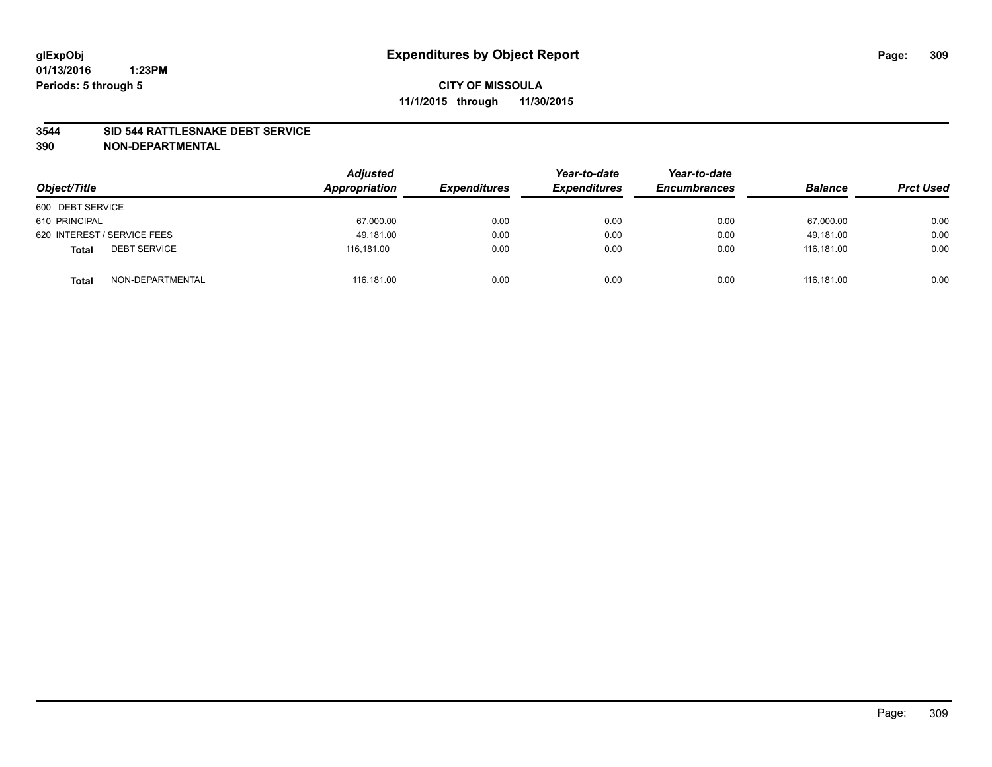#### **3544 SID 544 RATTLESNAKE DEBT SERVICE**

| Object/Title                        | <b>Adjusted</b><br>Appropriation | <b>Expenditures</b> | Year-to-date<br><b>Expenditures</b> | Year-to-date<br><b>Encumbrances</b> | <b>Balance</b> | <b>Prct Used</b> |
|-------------------------------------|----------------------------------|---------------------|-------------------------------------|-------------------------------------|----------------|------------------|
| 600 DEBT SERVICE                    |                                  |                     |                                     |                                     |                |                  |
| 610 PRINCIPAL                       | 67,000.00                        | 0.00                | 0.00                                | 0.00                                | 67,000.00      | 0.00             |
| 620 INTEREST / SERVICE FEES         | 49.181.00                        | 0.00                | 0.00                                | 0.00                                | 49.181.00      | 0.00             |
| <b>DEBT SERVICE</b><br><b>Total</b> | 116.181.00                       | 0.00                | 0.00                                | 0.00                                | 116.181.00     | 0.00             |
| NON-DEPARTMENTAL<br><b>Total</b>    | 116,181.00                       | 0.00                | 0.00                                | 0.00                                | 116.181.00     | 0.00             |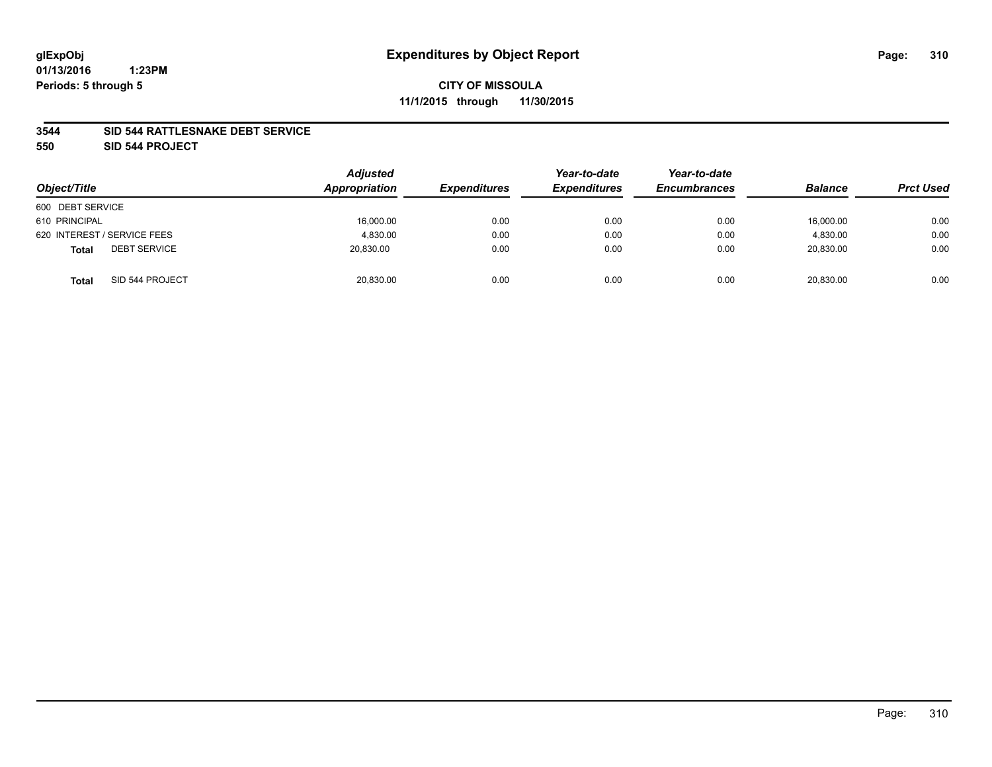#### **3544 SID 544 RATTLESNAKE DEBT SERVICE**

**550 SID 544 PROJECT**

| Object/Title                        | <b>Adjusted</b><br>Appropriation | <b>Expenditures</b> | Year-to-date<br><b>Expenditures</b> | Year-to-date<br><b>Encumbrances</b> | <b>Balance</b> | <b>Prct Used</b> |
|-------------------------------------|----------------------------------|---------------------|-------------------------------------|-------------------------------------|----------------|------------------|
| 600 DEBT SERVICE                    |                                  |                     |                                     |                                     |                |                  |
| 610 PRINCIPAL                       | 16,000.00                        | 0.00                | 0.00                                | 0.00                                | 16,000.00      | 0.00             |
| 620 INTEREST / SERVICE FEES         | 4,830.00                         | 0.00                | 0.00                                | 0.00                                | 4,830.00       | 0.00             |
| <b>DEBT SERVICE</b><br><b>Total</b> | 20,830.00                        | 0.00                | 0.00                                | 0.00                                | 20.830.00      | 0.00             |
| SID 544 PROJECT<br><b>Total</b>     | 20,830.00                        | 0.00                | 0.00                                | 0.00                                | 20,830.00      | 0.00             |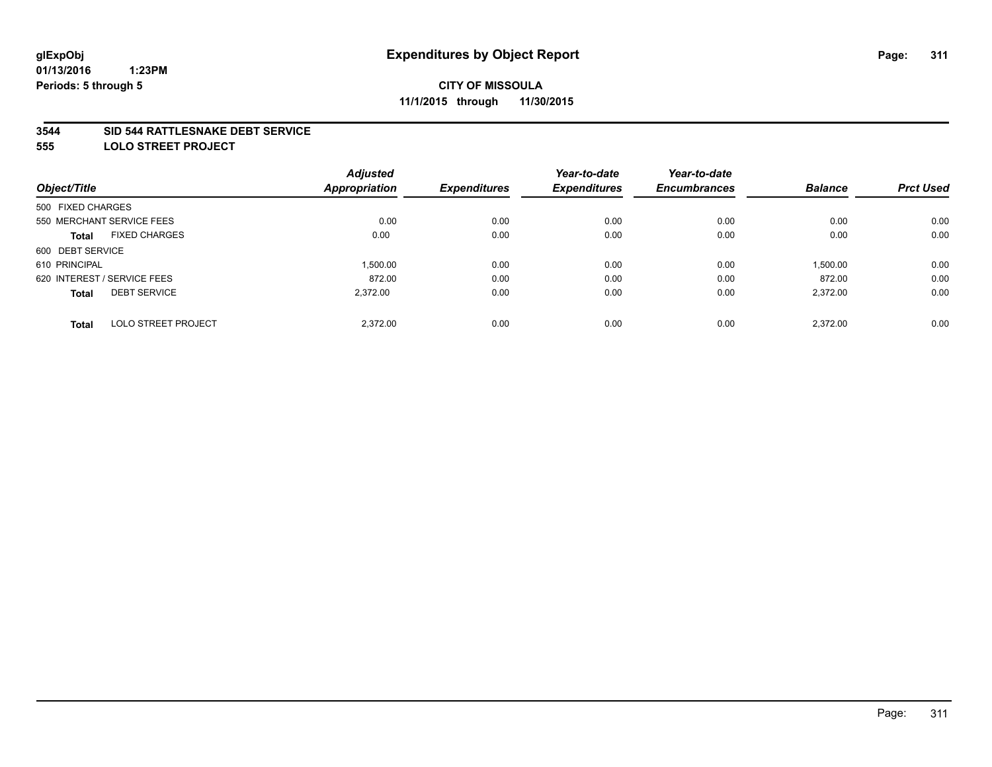#### **3544 SID 544 RATTLESNAKE DEBT SERVICE**

**555 LOLO STREET PROJECT**

|                             | <b>Adjusted</b> |                      | Year-to-date        | Year-to-date        |                |                  |
|-----------------------------|-----------------|----------------------|---------------------|---------------------|----------------|------------------|
|                             |                 | <b>Expenditures</b>  | <b>Expenditures</b> | <b>Encumbrances</b> | <b>Balance</b> | <b>Prct Used</b> |
| 500 FIXED CHARGES           |                 |                      |                     |                     |                |                  |
| 550 MERCHANT SERVICE FEES   | 0.00            | 0.00                 | 0.00                | 0.00                | 0.00           | 0.00             |
| <b>FIXED CHARGES</b>        | 0.00            | 0.00                 | 0.00                | 0.00                | 0.00           | 0.00             |
| 600 DEBT SERVICE            |                 |                      |                     |                     |                |                  |
|                             | 1.500.00        | 0.00                 | 0.00                | 0.00                | 1,500.00       | 0.00             |
| 620 INTEREST / SERVICE FEES | 872.00          | 0.00                 | 0.00                | 0.00                | 872.00         | 0.00             |
| <b>DEBT SERVICE</b>         | 2.372.00        | 0.00                 | 0.00                | 0.00                | 2,372.00       | 0.00             |
| <b>LOLO STREET PROJECT</b>  | 2.372.00        | 0.00                 | 0.00                | 0.00                | 2.372.00       | 0.00             |
|                             |                 | <b>Appropriation</b> |                     |                     |                |                  |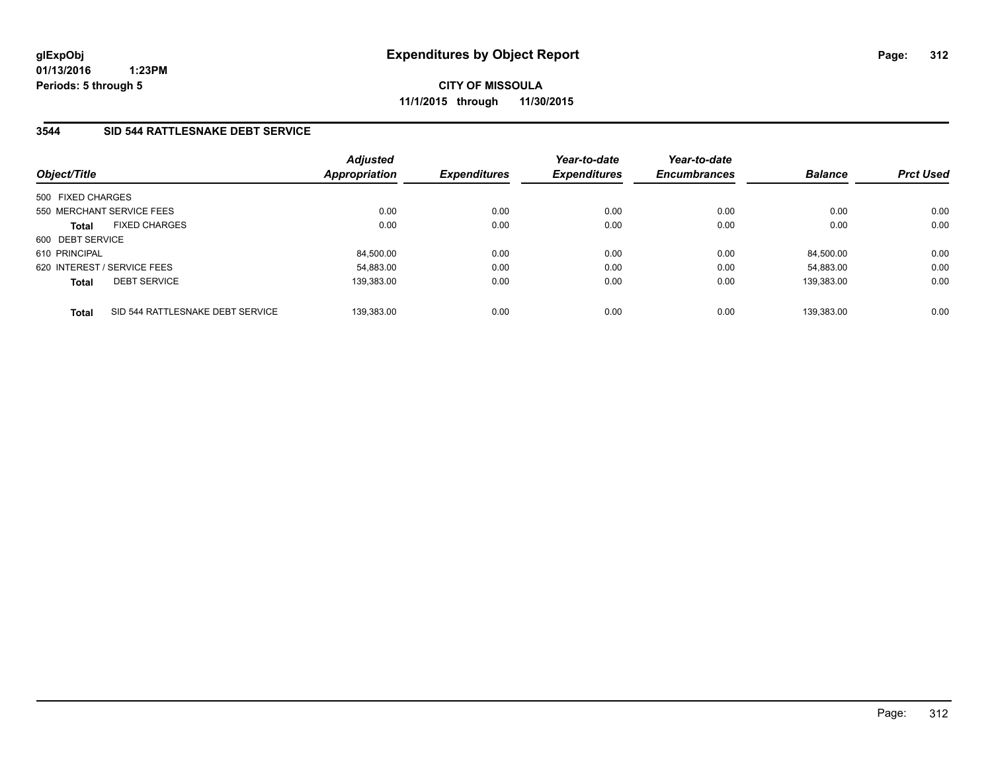**01/13/2016 1:23PM Periods: 5 through 5**

**CITY OF MISSOULA 11/1/2015 through 11/30/2015**

## **3544 SID 544 RATTLESNAKE DEBT SERVICE**

| Object/Title                                     | <b>Adjusted</b><br>Appropriation | <b>Expenditures</b> | Year-to-date<br><b>Expenditures</b> | Year-to-date<br><b>Encumbrances</b> | <b>Balance</b> | <b>Prct Used</b> |
|--------------------------------------------------|----------------------------------|---------------------|-------------------------------------|-------------------------------------|----------------|------------------|
| 500 FIXED CHARGES                                |                                  |                     |                                     |                                     |                |                  |
| 550 MERCHANT SERVICE FEES                        | 0.00                             | 0.00                | 0.00                                | 0.00                                | 0.00           | 0.00             |
| <b>FIXED CHARGES</b><br><b>Total</b>             | 0.00                             | 0.00                | 0.00                                | 0.00                                | 0.00           | 0.00             |
| 600 DEBT SERVICE                                 |                                  |                     |                                     |                                     |                |                  |
| 610 PRINCIPAL                                    | 84,500.00                        | 0.00                | 0.00                                | 0.00                                | 84.500.00      | 0.00             |
| 620 INTEREST / SERVICE FEES                      | 54,883.00                        | 0.00                | 0.00                                | 0.00                                | 54.883.00      | 0.00             |
| <b>DEBT SERVICE</b><br><b>Total</b>              | 139.383.00                       | 0.00                | 0.00                                | 0.00                                | 139.383.00     | 0.00             |
| SID 544 RATTLESNAKE DEBT SERVICE<br><b>Total</b> | 139.383.00                       | 0.00                | 0.00                                | 0.00                                | 139.383.00     | 0.00             |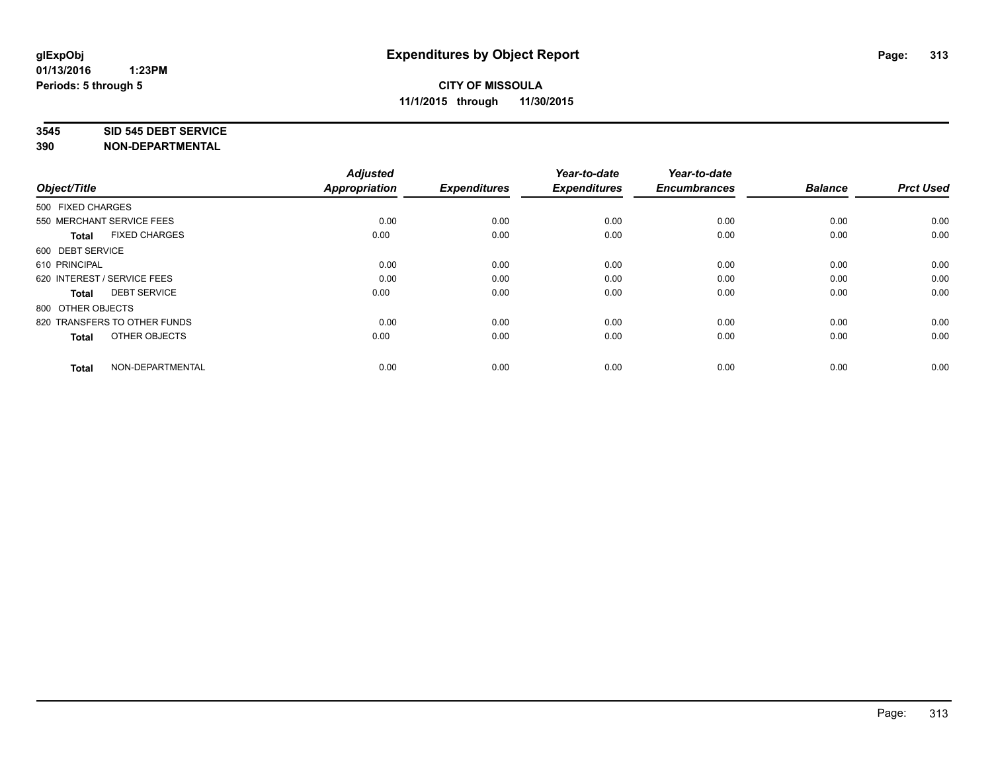#### **3545 SID 545 DEBT SERVICE**

| Object/Title                         | <b>Adjusted</b><br><b>Appropriation</b> | <b>Expenditures</b> | Year-to-date<br><b>Expenditures</b> | Year-to-date<br><b>Encumbrances</b> | <b>Balance</b> | <b>Prct Used</b> |
|--------------------------------------|-----------------------------------------|---------------------|-------------------------------------|-------------------------------------|----------------|------------------|
| 500 FIXED CHARGES                    |                                         |                     |                                     |                                     |                |                  |
| 550 MERCHANT SERVICE FEES            | 0.00                                    | 0.00                | 0.00                                | 0.00                                | 0.00           | 0.00             |
| <b>FIXED CHARGES</b><br><b>Total</b> | 0.00                                    | 0.00                | 0.00                                | 0.00                                | 0.00           | 0.00             |
| 600 DEBT SERVICE                     |                                         |                     |                                     |                                     |                |                  |
| 610 PRINCIPAL                        | 0.00                                    | 0.00                | 0.00                                | 0.00                                | 0.00           | 0.00             |
| 620 INTEREST / SERVICE FEES          | 0.00                                    | 0.00                | 0.00                                | 0.00                                | 0.00           | 0.00             |
| <b>DEBT SERVICE</b><br><b>Total</b>  | 0.00                                    | 0.00                | 0.00                                | 0.00                                | 0.00           | 0.00             |
| 800 OTHER OBJECTS                    |                                         |                     |                                     |                                     |                |                  |
| 820 TRANSFERS TO OTHER FUNDS         | 0.00                                    | 0.00                | 0.00                                | 0.00                                | 0.00           | 0.00             |
| OTHER OBJECTS<br><b>Total</b>        | 0.00                                    | 0.00                | 0.00                                | 0.00                                | 0.00           | 0.00             |
|                                      |                                         |                     |                                     |                                     |                |                  |
| NON-DEPARTMENTAL<br><b>Total</b>     | 0.00                                    | 0.00                | 0.00                                | 0.00                                | 0.00           | 0.00             |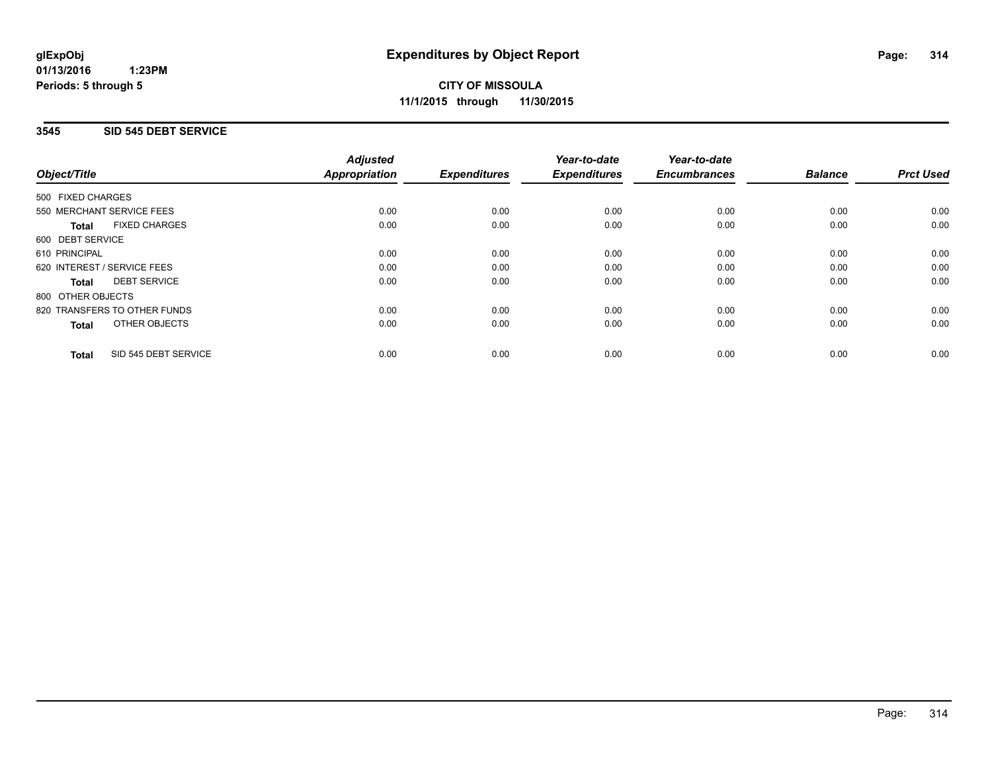### **3545 SID 545 DEBT SERVICE**

|                                      | <b>Adjusted</b>      |                     | Year-to-date        | Year-to-date        |                |                  |
|--------------------------------------|----------------------|---------------------|---------------------|---------------------|----------------|------------------|
| Object/Title                         | <b>Appropriation</b> | <b>Expenditures</b> | <b>Expenditures</b> | <b>Encumbrances</b> | <b>Balance</b> | <b>Prct Used</b> |
| 500 FIXED CHARGES                    |                      |                     |                     |                     |                |                  |
| 550 MERCHANT SERVICE FEES            | 0.00                 | 0.00                | 0.00                | 0.00                | 0.00           | 0.00             |
| <b>FIXED CHARGES</b><br><b>Total</b> | 0.00                 | 0.00                | 0.00                | 0.00                | 0.00           | 0.00             |
| 600 DEBT SERVICE                     |                      |                     |                     |                     |                |                  |
| 610 PRINCIPAL                        | 0.00                 | 0.00                | 0.00                | 0.00                | 0.00           | 0.00             |
| 620 INTEREST / SERVICE FEES          | 0.00                 | 0.00                | 0.00                | 0.00                | 0.00           | 0.00             |
| <b>DEBT SERVICE</b><br><b>Total</b>  | 0.00                 | 0.00                | 0.00                | 0.00                | 0.00           | 0.00             |
| 800 OTHER OBJECTS                    |                      |                     |                     |                     |                |                  |
| 820 TRANSFERS TO OTHER FUNDS         | 0.00                 | 0.00                | 0.00                | 0.00                | 0.00           | 0.00             |
| OTHER OBJECTS<br><b>Total</b>        | 0.00                 | 0.00                | 0.00                | 0.00                | 0.00           | 0.00             |
| SID 545 DEBT SERVICE<br><b>Total</b> | 0.00                 | 0.00                | 0.00                | 0.00                | 0.00           | 0.00             |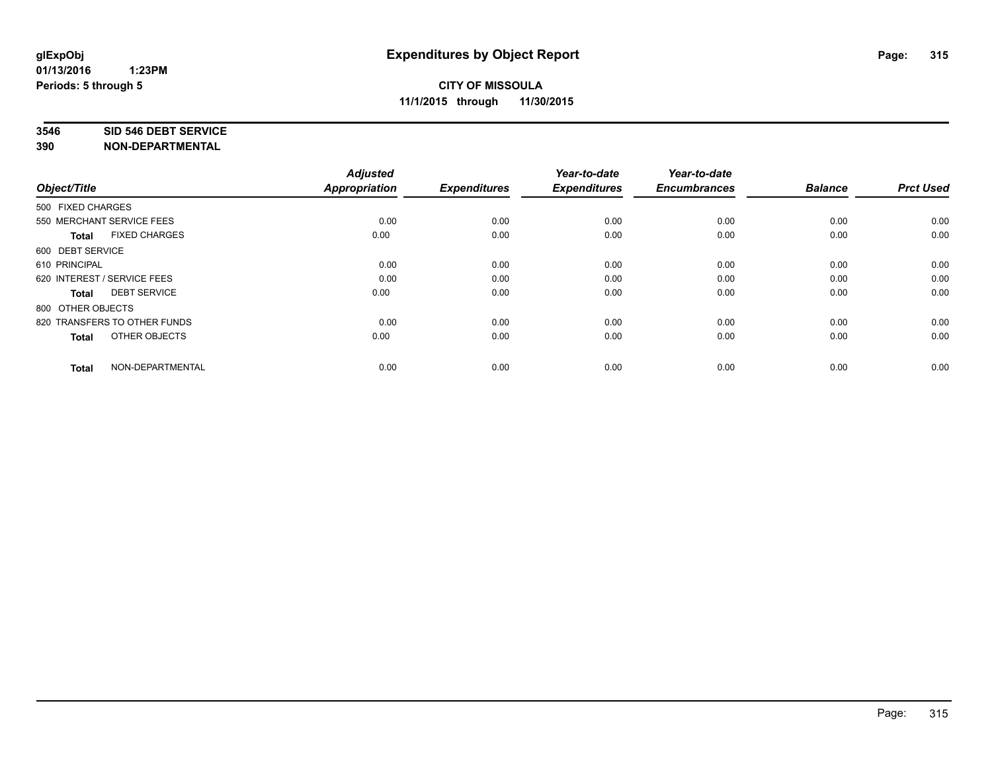#### **3546 SID 546 DEBT SERVICE**

| Object/Title                         | <b>Adjusted</b><br><b>Appropriation</b> | <b>Expenditures</b> | Year-to-date<br><b>Expenditures</b> | Year-to-date<br><b>Encumbrances</b> | <b>Balance</b> | <b>Prct Used</b> |
|--------------------------------------|-----------------------------------------|---------------------|-------------------------------------|-------------------------------------|----------------|------------------|
| 500 FIXED CHARGES                    |                                         |                     |                                     |                                     |                |                  |
| 550 MERCHANT SERVICE FEES            | 0.00                                    | 0.00                | 0.00                                | 0.00                                | 0.00           | 0.00             |
| <b>FIXED CHARGES</b><br><b>Total</b> | 0.00                                    | 0.00                | 0.00                                | 0.00                                | 0.00           | 0.00             |
| 600 DEBT SERVICE                     |                                         |                     |                                     |                                     |                |                  |
| 610 PRINCIPAL                        | 0.00                                    | 0.00                | 0.00                                | 0.00                                | 0.00           | 0.00             |
| 620 INTEREST / SERVICE FEES          | 0.00                                    | 0.00                | 0.00                                | 0.00                                | 0.00           | 0.00             |
| <b>DEBT SERVICE</b><br><b>Total</b>  | 0.00                                    | 0.00                | 0.00                                | 0.00                                | 0.00           | 0.00             |
| 800 OTHER OBJECTS                    |                                         |                     |                                     |                                     |                |                  |
| 820 TRANSFERS TO OTHER FUNDS         | 0.00                                    | 0.00                | 0.00                                | 0.00                                | 0.00           | 0.00             |
| OTHER OBJECTS<br><b>Total</b>        | 0.00                                    | 0.00                | 0.00                                | 0.00                                | 0.00           | 0.00             |
|                                      |                                         |                     |                                     |                                     |                |                  |
| NON-DEPARTMENTAL<br><b>Total</b>     | 0.00                                    | 0.00                | 0.00                                | 0.00                                | 0.00           | 0.00             |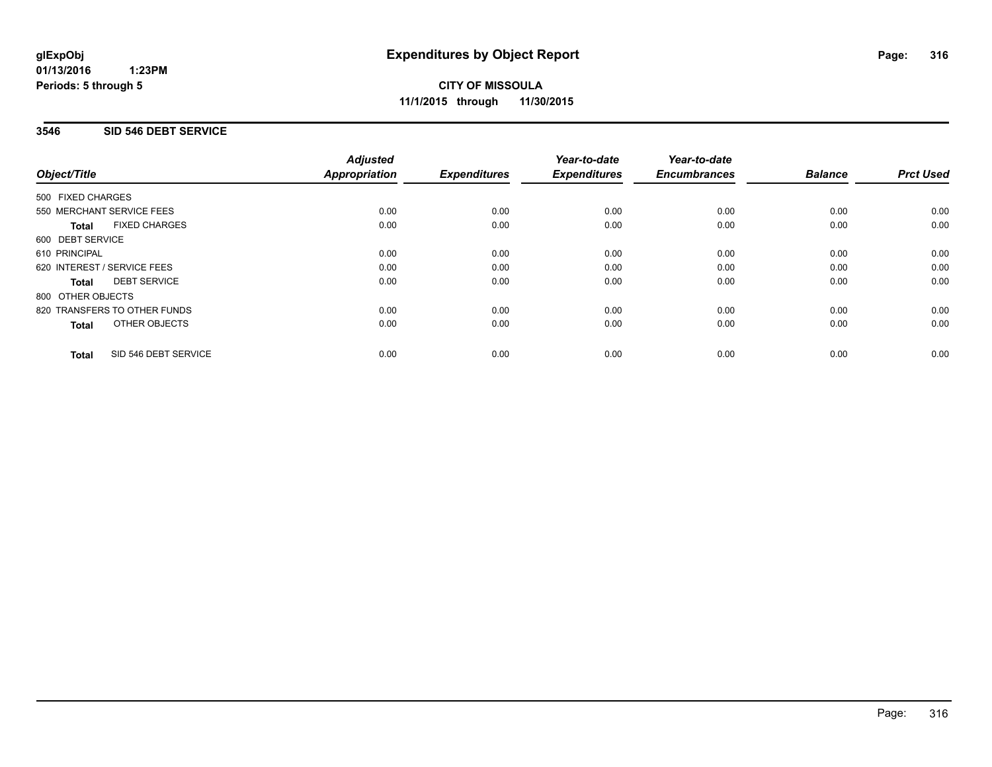### **3546 SID 546 DEBT SERVICE**

|                                      | <b>Adjusted</b>      |                     | Year-to-date        | Year-to-date        |                |                  |
|--------------------------------------|----------------------|---------------------|---------------------|---------------------|----------------|------------------|
| Object/Title                         | <b>Appropriation</b> | <b>Expenditures</b> | <b>Expenditures</b> | <b>Encumbrances</b> | <b>Balance</b> | <b>Prct Used</b> |
| 500 FIXED CHARGES                    |                      |                     |                     |                     |                |                  |
| 550 MERCHANT SERVICE FEES            | 0.00                 | 0.00                | 0.00                | 0.00                | 0.00           | 0.00             |
| <b>FIXED CHARGES</b><br><b>Total</b> | 0.00                 | 0.00                | 0.00                | 0.00                | 0.00           | 0.00             |
| 600 DEBT SERVICE                     |                      |                     |                     |                     |                |                  |
| 610 PRINCIPAL                        | 0.00                 | 0.00                | 0.00                | 0.00                | 0.00           | 0.00             |
| 620 INTEREST / SERVICE FEES          | 0.00                 | 0.00                | 0.00                | 0.00                | 0.00           | 0.00             |
| <b>DEBT SERVICE</b><br><b>Total</b>  | 0.00                 | 0.00                | 0.00                | 0.00                | 0.00           | 0.00             |
| 800 OTHER OBJECTS                    |                      |                     |                     |                     |                |                  |
| 820 TRANSFERS TO OTHER FUNDS         | 0.00                 | 0.00                | 0.00                | 0.00                | 0.00           | 0.00             |
| OTHER OBJECTS<br><b>Total</b>        | 0.00                 | 0.00                | 0.00                | 0.00                | 0.00           | 0.00             |
| SID 546 DEBT SERVICE<br><b>Total</b> | 0.00                 | 0.00                | 0.00                | 0.00                | 0.00           | 0.00             |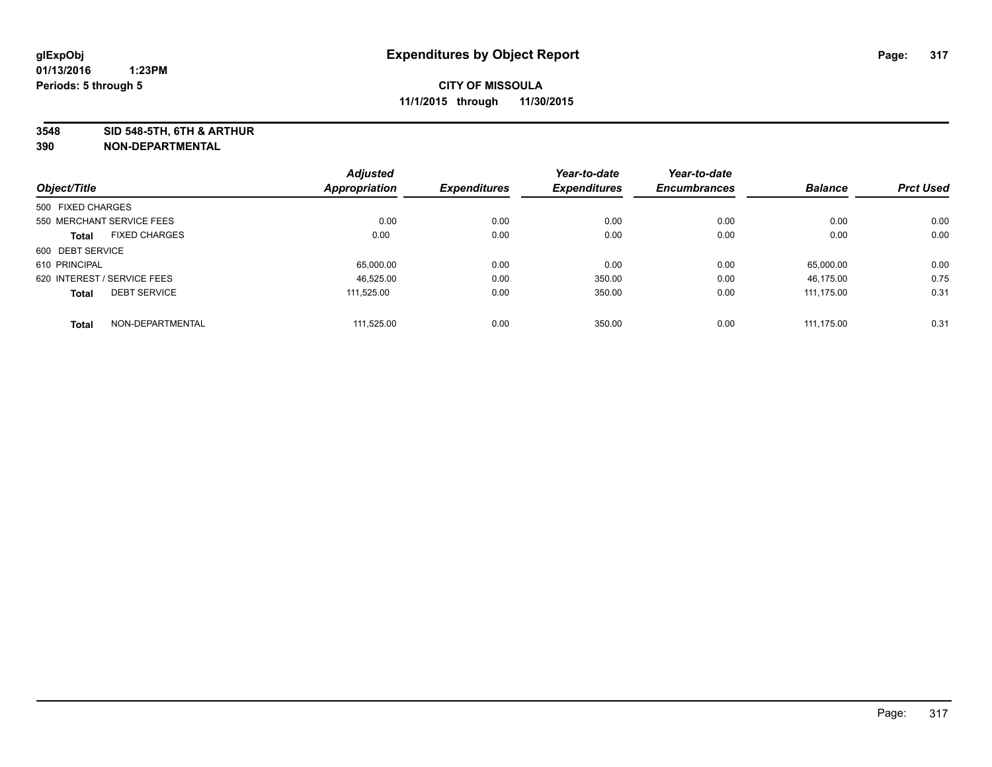**3548 SID 548-5TH, 6TH & ARTHUR**

|                   |                             | <b>Adjusted</b>      |                     | Year-to-date        | Year-to-date        |                |                  |
|-------------------|-----------------------------|----------------------|---------------------|---------------------|---------------------|----------------|------------------|
| Object/Title      |                             | <b>Appropriation</b> | <b>Expenditures</b> | <b>Expenditures</b> | <b>Encumbrances</b> | <b>Balance</b> | <b>Prct Used</b> |
| 500 FIXED CHARGES |                             |                      |                     |                     |                     |                |                  |
|                   | 550 MERCHANT SERVICE FEES   | 0.00                 | 0.00                | 0.00                | 0.00                | 0.00           | 0.00             |
| <b>Total</b>      | <b>FIXED CHARGES</b>        | 0.00                 | 0.00                | 0.00                | 0.00                | 0.00           | 0.00             |
| 600 DEBT SERVICE  |                             |                      |                     |                     |                     |                |                  |
| 610 PRINCIPAL     |                             | 65,000.00            | 0.00                | 0.00                | 0.00                | 65.000.00      | 0.00             |
|                   | 620 INTEREST / SERVICE FEES | 46.525.00            | 0.00                | 350.00              | 0.00                | 46.175.00      | 0.75             |
| <b>Total</b>      | <b>DEBT SERVICE</b>         | 111.525.00           | 0.00                | 350.00              | 0.00                | 111.175.00     | 0.31             |
| <b>Total</b>      | NON-DEPARTMENTAL            | 111.525.00           | 0.00                | 350.00              | 0.00                | 111.175.00     | 0.31             |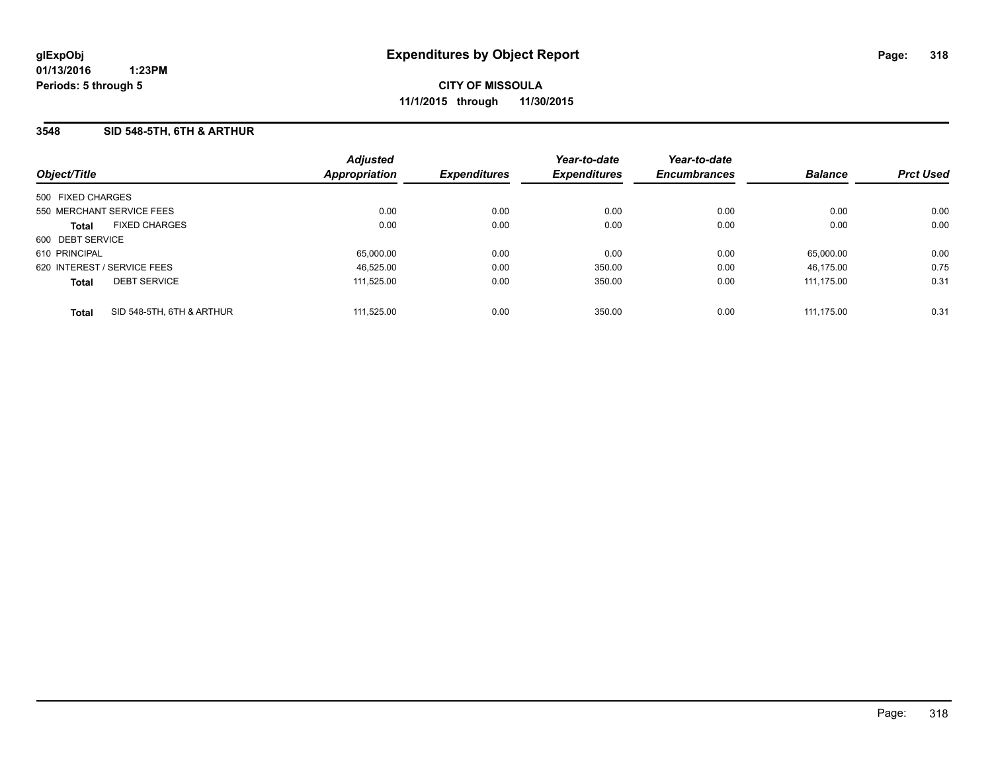### **3548 SID 548-5TH, 6TH & ARTHUR**

| Object/Title                |                           | <b>Adjusted</b><br><b>Appropriation</b> | <b>Expenditures</b> | Year-to-date<br><b>Expenditures</b> | Year-to-date<br><b>Encumbrances</b> | <b>Balance</b> | <b>Prct Used</b> |
|-----------------------------|---------------------------|-----------------------------------------|---------------------|-------------------------------------|-------------------------------------|----------------|------------------|
| 500 FIXED CHARGES           |                           |                                         |                     |                                     |                                     |                |                  |
| 550 MERCHANT SERVICE FEES   |                           | 0.00                                    | 0.00                | 0.00                                | 0.00                                | 0.00           | 0.00             |
| <b>Total</b>                | <b>FIXED CHARGES</b>      | 0.00                                    | 0.00                | 0.00                                | 0.00                                | 0.00           | 0.00             |
| 600 DEBT SERVICE            |                           |                                         |                     |                                     |                                     |                |                  |
| 610 PRINCIPAL               |                           | 65,000.00                               | 0.00                | 0.00                                | 0.00                                | 65.000.00      | 0.00             |
| 620 INTEREST / SERVICE FEES |                           | 46.525.00                               | 0.00                | 350.00                              | 0.00                                | 46.175.00      | 0.75             |
| <b>Total</b>                | <b>DEBT SERVICE</b>       | 111.525.00                              | 0.00                | 350.00                              | 0.00                                | 111.175.00     | 0.31             |
| <b>Total</b>                | SID 548-5TH, 6TH & ARTHUR | 111.525.00                              | 0.00                | 350.00                              | 0.00                                | 111.175.00     | 0.31             |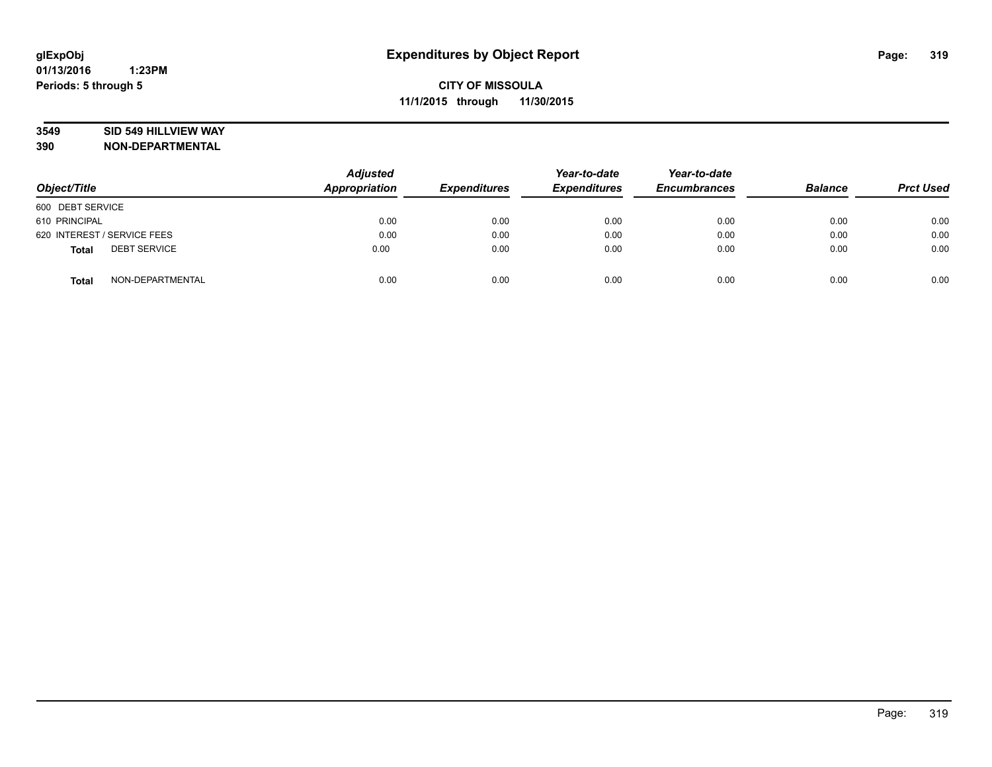### **3549 SID 549 HILLVIEW WAY**

| Object/Title                        | <b>Adjusted</b><br><b>Appropriation</b> | <b>Expenditures</b> | Year-to-date<br><b>Expenditures</b> | Year-to-date<br><b>Encumbrances</b> | <b>Balance</b> | <b>Prct Used</b> |
|-------------------------------------|-----------------------------------------|---------------------|-------------------------------------|-------------------------------------|----------------|------------------|
| 600 DEBT SERVICE                    |                                         |                     |                                     |                                     |                |                  |
| 610 PRINCIPAL                       | 0.00                                    | 0.00                | 0.00                                | 0.00                                | 0.00           | 0.00             |
| 620 INTEREST / SERVICE FEES         | 0.00                                    | 0.00                | 0.00                                | 0.00                                | 0.00           | 0.00             |
| <b>DEBT SERVICE</b><br><b>Total</b> | 0.00                                    | 0.00                | 0.00                                | 0.00                                | 0.00           | 0.00             |
| NON-DEPARTMENTAL<br><b>Total</b>    | 0.00                                    | 0.00                | 0.00                                | 0.00                                | 0.00           | 0.00             |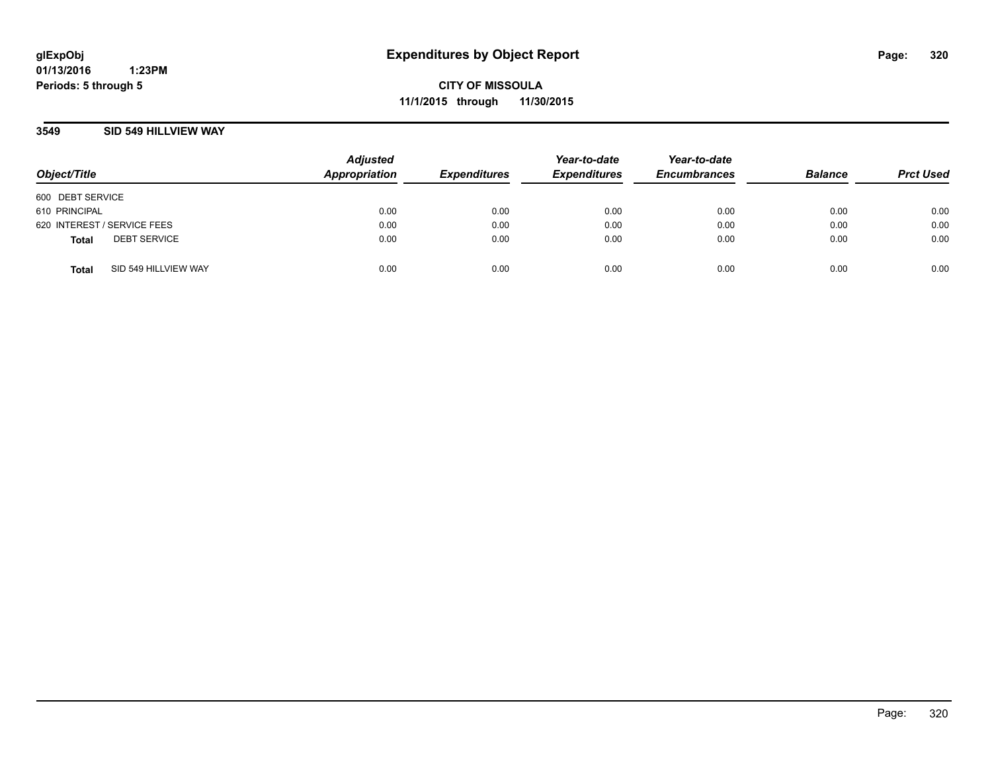**01/13/2016 1:23PM Periods: 5 through 5**

**CITY OF MISSOULA 11/1/2015 through 11/30/2015**

### **3549 SID 549 HILLVIEW WAY**

| Object/Title                |                      | <b>Adjusted</b><br>Appropriation | <b>Expenditures</b> | Year-to-date<br><b>Expenditures</b> | Year-to-date<br><b>Encumbrances</b> | <b>Balance</b> | <b>Prct Used</b> |
|-----------------------------|----------------------|----------------------------------|---------------------|-------------------------------------|-------------------------------------|----------------|------------------|
| 600 DEBT SERVICE            |                      |                                  |                     |                                     |                                     |                |                  |
| 610 PRINCIPAL               |                      | 0.00                             | 0.00                | 0.00                                | 0.00                                | 0.00           | 0.00             |
| 620 INTEREST / SERVICE FEES |                      | 0.00                             | 0.00                | 0.00                                | 0.00                                | 0.00           | 0.00             |
| <b>Total</b>                | <b>DEBT SERVICE</b>  | 0.00                             | 0.00                | 0.00                                | 0.00                                | 0.00           | 0.00             |
| <b>Total</b>                | SID 549 HILLVIEW WAY | 0.00                             | 0.00                | 0.00                                | 0.00                                | 0.00           | 0.00             |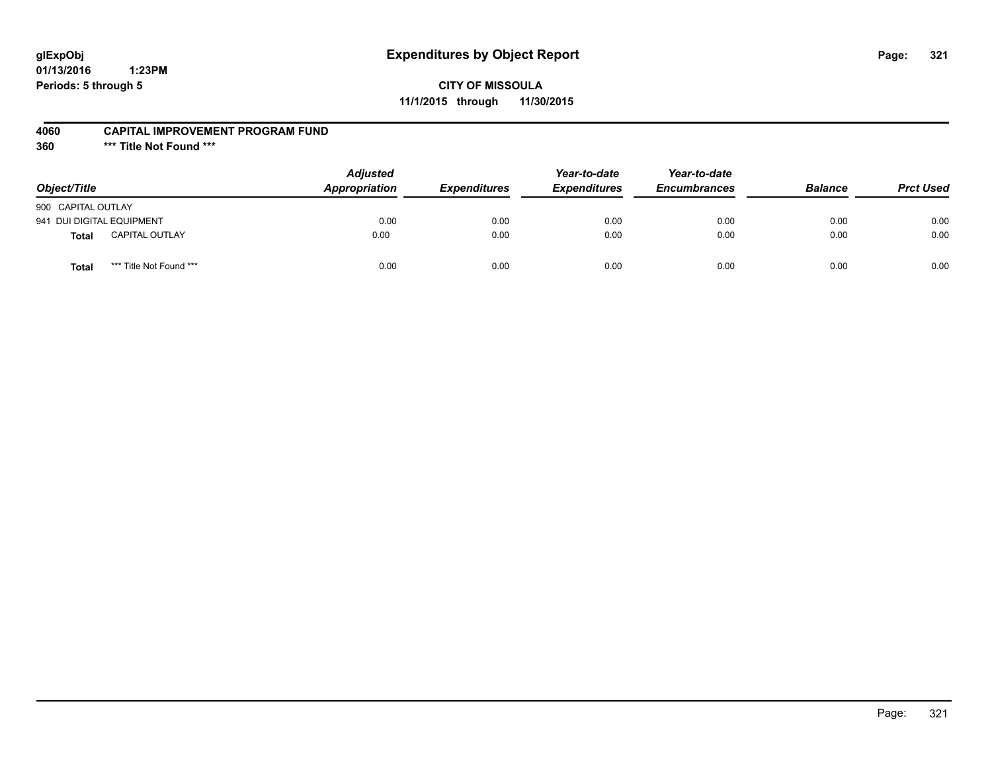# **glExpObj Expenditures by Object Report Page: 321**

**01/13/2016 1:23PM Periods: 5 through 5**

**11/1/2015 through 11/30/2015**

#### **4060 CAPITAL IMPROVEMENT PROGRAM FUND**

**360 \*\*\* Title Not Found \*\*\***

| Object/Title                     | <b>Adjusted</b><br>Appropriation | <b>Expenditures</b> | Year-to-date<br><b>Expenditures</b> | Year-to-date<br><b>Encumbrances</b> | <b>Balance</b> | <b>Prct Used</b> |
|----------------------------------|----------------------------------|---------------------|-------------------------------------|-------------------------------------|----------------|------------------|
| 900 CAPITAL OUTLAY               |                                  |                     |                                     |                                     |                |                  |
| 941 DUI DIGITAL EQUIPMENT        | 0.00                             | 0.00                | 0.00                                | 0.00                                | 0.00           | 0.00             |
| <b>CAPITAL OUTLAY</b><br>Total   | 0.00                             | 0.00                | 0.00                                | 0.00                                | 0.00           | 0.00             |
| *** Title Not Found ***<br>Total | 0.00                             | 0.00                | 0.00                                | 0.00                                | 0.00           | 0.00             |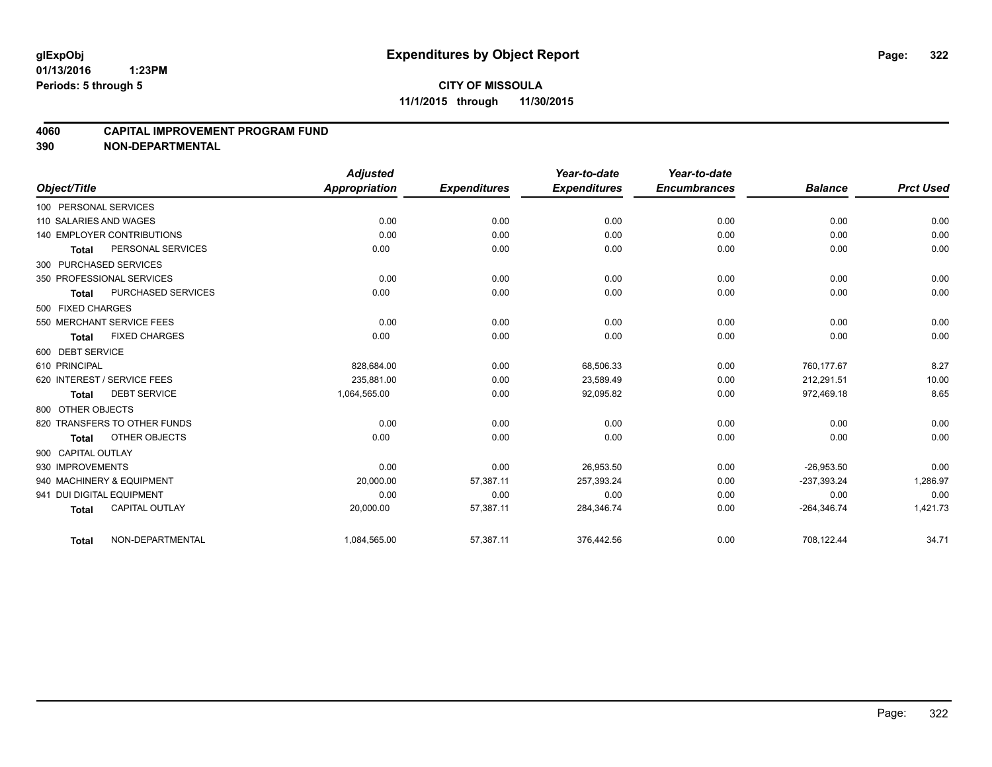### **4060 CAPITAL IMPROVEMENT PROGRAM FUND**

|                                   |                       | <b>Adjusted</b>      |                     | Year-to-date        | Year-to-date        |                |                  |
|-----------------------------------|-----------------------|----------------------|---------------------|---------------------|---------------------|----------------|------------------|
| Object/Title                      |                       | <b>Appropriation</b> | <b>Expenditures</b> | <b>Expenditures</b> | <b>Encumbrances</b> | <b>Balance</b> | <b>Prct Used</b> |
| 100 PERSONAL SERVICES             |                       |                      |                     |                     |                     |                |                  |
| 110 SALARIES AND WAGES            |                       | 0.00                 | 0.00                | 0.00                | 0.00                | 0.00           | 0.00             |
| <b>140 EMPLOYER CONTRIBUTIONS</b> |                       | 0.00                 | 0.00                | 0.00                | 0.00                | 0.00           | 0.00             |
| <b>Total</b>                      | PERSONAL SERVICES     | 0.00                 | 0.00                | 0.00                | 0.00                | 0.00           | 0.00             |
| 300 PURCHASED SERVICES            |                       |                      |                     |                     |                     |                |                  |
| 350 PROFESSIONAL SERVICES         |                       | 0.00                 | 0.00                | 0.00                | 0.00                | 0.00           | 0.00             |
| <b>Total</b>                      | PURCHASED SERVICES    | 0.00                 | 0.00                | 0.00                | 0.00                | 0.00           | 0.00             |
| 500 FIXED CHARGES                 |                       |                      |                     |                     |                     |                |                  |
| 550 MERCHANT SERVICE FEES         |                       | 0.00                 | 0.00                | 0.00                | 0.00                | 0.00           | 0.00             |
| Total                             | <b>FIXED CHARGES</b>  | 0.00                 | 0.00                | 0.00                | 0.00                | 0.00           | 0.00             |
| 600 DEBT SERVICE                  |                       |                      |                     |                     |                     |                |                  |
| 610 PRINCIPAL                     |                       | 828,684.00           | 0.00                | 68,506.33           | 0.00                | 760.177.67     | 8.27             |
| 620 INTEREST / SERVICE FEES       |                       | 235.881.00           | 0.00                | 23,589.49           | 0.00                | 212,291.51     | 10.00            |
| <b>Total</b>                      | <b>DEBT SERVICE</b>   | 1,064,565.00         | 0.00                | 92,095.82           | 0.00                | 972,469.18     | 8.65             |
| 800 OTHER OBJECTS                 |                       |                      |                     |                     |                     |                |                  |
| 820 TRANSFERS TO OTHER FUNDS      |                       | 0.00                 | 0.00                | 0.00                | 0.00                | 0.00           | 0.00             |
| <b>Total</b>                      | OTHER OBJECTS         | 0.00                 | 0.00                | 0.00                | 0.00                | 0.00           | 0.00             |
| 900 CAPITAL OUTLAY                |                       |                      |                     |                     |                     |                |                  |
| 930 IMPROVEMENTS                  |                       | 0.00                 | 0.00                | 26,953.50           | 0.00                | $-26,953.50$   | 0.00             |
| 940 MACHINERY & EQUIPMENT         |                       | 20,000.00            | 57,387.11           | 257,393.24          | 0.00                | $-237,393.24$  | 1,286.97         |
| 941 DUI DIGITAL EQUIPMENT         |                       | 0.00                 | 0.00                | 0.00                | 0.00                | 0.00           | 0.00             |
| <b>Total</b>                      | <b>CAPITAL OUTLAY</b> | 20,000.00            | 57,387.11           | 284,346.74          | 0.00                | $-264,346.74$  | 1,421.73         |
| <b>Total</b>                      | NON-DEPARTMENTAL      | 1,084,565.00         | 57,387.11           | 376,442.56          | 0.00                | 708,122.44     | 34.71            |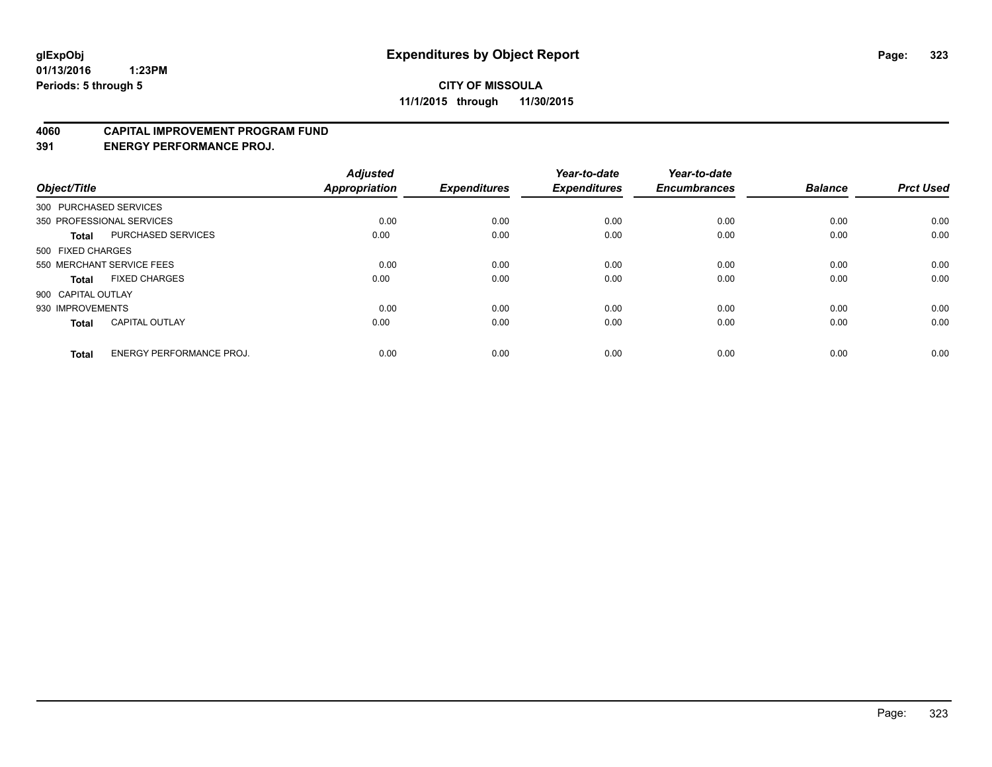#### **4060 CAPITAL IMPROVEMENT PROGRAM FUND**

**391 ENERGY PERFORMANCE PROJ.**

| Object/Title       |                                 | <b>Adjusted</b><br><b>Appropriation</b> | <b>Expenditures</b> | Year-to-date<br><b>Expenditures</b> | Year-to-date<br><b>Encumbrances</b> | <b>Balance</b> | <b>Prct Used</b> |
|--------------------|---------------------------------|-----------------------------------------|---------------------|-------------------------------------|-------------------------------------|----------------|------------------|
|                    | 300 PURCHASED SERVICES          |                                         |                     |                                     |                                     |                |                  |
|                    | 350 PROFESSIONAL SERVICES       | 0.00                                    | 0.00                | 0.00                                | 0.00                                | 0.00           | 0.00             |
| <b>Total</b>       | PURCHASED SERVICES              | 0.00                                    | 0.00                | 0.00                                | 0.00                                | 0.00           | 0.00             |
| 500 FIXED CHARGES  |                                 |                                         |                     |                                     |                                     |                |                  |
|                    | 550 MERCHANT SERVICE FEES       | 0.00                                    | 0.00                | 0.00                                | 0.00                                | 0.00           | 0.00             |
| Total              | <b>FIXED CHARGES</b>            | 0.00                                    | 0.00                | 0.00                                | 0.00                                | 0.00           | 0.00             |
| 900 CAPITAL OUTLAY |                                 |                                         |                     |                                     |                                     |                |                  |
| 930 IMPROVEMENTS   |                                 | 0.00                                    | 0.00                | 0.00                                | 0.00                                | 0.00           | 0.00             |
| Total              | <b>CAPITAL OUTLAY</b>           | 0.00                                    | 0.00                | 0.00                                | 0.00                                | 0.00           | 0.00             |
| <b>Total</b>       | <b>ENERGY PERFORMANCE PROJ.</b> | 0.00                                    | 0.00                | 0.00                                | 0.00                                | 0.00           | 0.00             |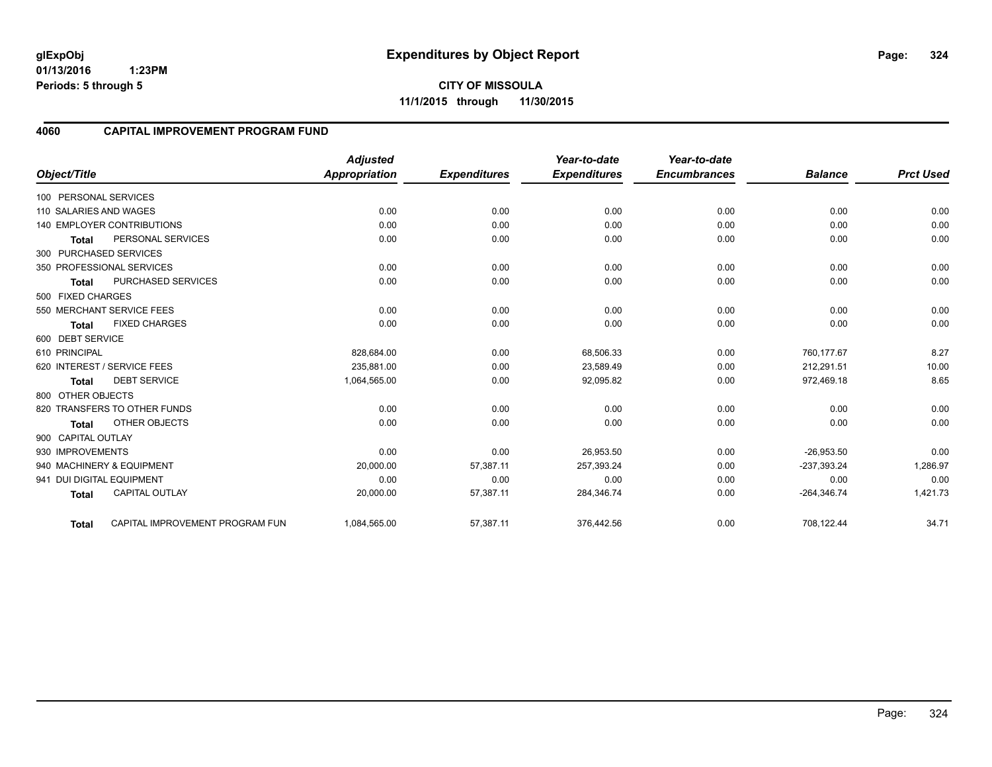**01/13/2016 1:23PM Periods: 5 through 5**

**CITY OF MISSOULA 11/1/2015 through 11/30/2015**

### **4060 CAPITAL IMPROVEMENT PROGRAM FUND**

|                           |                                   | <b>Adjusted</b>      |                     | Year-to-date        | Year-to-date        |                |                  |
|---------------------------|-----------------------------------|----------------------|---------------------|---------------------|---------------------|----------------|------------------|
| Object/Title              |                                   | <b>Appropriation</b> | <b>Expenditures</b> | <b>Expenditures</b> | <b>Encumbrances</b> | <b>Balance</b> | <b>Prct Used</b> |
| 100 PERSONAL SERVICES     |                                   |                      |                     |                     |                     |                |                  |
| 110 SALARIES AND WAGES    |                                   | 0.00                 | 0.00                | 0.00                | 0.00                | 0.00           | 0.00             |
|                           | <b>140 EMPLOYER CONTRIBUTIONS</b> | 0.00                 | 0.00                | 0.00                | 0.00                | 0.00           | 0.00             |
| <b>Total</b>              | PERSONAL SERVICES                 | 0.00                 | 0.00                | 0.00                | 0.00                | 0.00           | 0.00             |
| 300 PURCHASED SERVICES    |                                   |                      |                     |                     |                     |                |                  |
|                           | 350 PROFESSIONAL SERVICES         | 0.00                 | 0.00                | 0.00                | 0.00                | 0.00           | 0.00             |
| <b>Total</b>              | <b>PURCHASED SERVICES</b>         | 0.00                 | 0.00                | 0.00                | 0.00                | 0.00           | 0.00             |
| 500 FIXED CHARGES         |                                   |                      |                     |                     |                     |                |                  |
|                           | 550 MERCHANT SERVICE FEES         | 0.00                 | 0.00                | 0.00                | 0.00                | 0.00           | 0.00             |
| <b>Total</b>              | <b>FIXED CHARGES</b>              | 0.00                 | 0.00                | 0.00                | 0.00                | 0.00           | 0.00             |
| 600 DEBT SERVICE          |                                   |                      |                     |                     |                     |                |                  |
| 610 PRINCIPAL             |                                   | 828,684.00           | 0.00                | 68,506.33           | 0.00                | 760,177.67     | 8.27             |
|                           | 620 INTEREST / SERVICE FEES       | 235.881.00           | 0.00                | 23,589.49           | 0.00                | 212,291.51     | 10.00            |
| <b>Total</b>              | <b>DEBT SERVICE</b>               | 1,064,565.00         | 0.00                | 92,095.82           | 0.00                | 972,469.18     | 8.65             |
| 800 OTHER OBJECTS         |                                   |                      |                     |                     |                     |                |                  |
|                           | 820 TRANSFERS TO OTHER FUNDS      | 0.00                 | 0.00                | 0.00                | 0.00                | 0.00           | 0.00             |
| <b>Total</b>              | OTHER OBJECTS                     | 0.00                 | 0.00                | 0.00                | 0.00                | 0.00           | 0.00             |
| 900 CAPITAL OUTLAY        |                                   |                      |                     |                     |                     |                |                  |
| 930 IMPROVEMENTS          |                                   | 0.00                 | 0.00                | 26,953.50           | 0.00                | $-26,953.50$   | 0.00             |
|                           | 940 MACHINERY & EQUIPMENT         | 20,000.00            | 57,387.11           | 257,393.24          | 0.00                | $-237,393.24$  | 1,286.97         |
| 941 DUI DIGITAL EQUIPMENT |                                   | 0.00                 | 0.00                | 0.00                | 0.00                | 0.00           | 0.00             |
| <b>Total</b>              | <b>CAPITAL OUTLAY</b>             | 20,000.00            | 57,387.11           | 284,346.74          | 0.00                | $-264,346.74$  | 1,421.73         |
| <b>Total</b>              | CAPITAL IMPROVEMENT PROGRAM FUN   | 1,084,565.00         | 57,387.11           | 376,442.56          | 0.00                | 708,122.44     | 34.71            |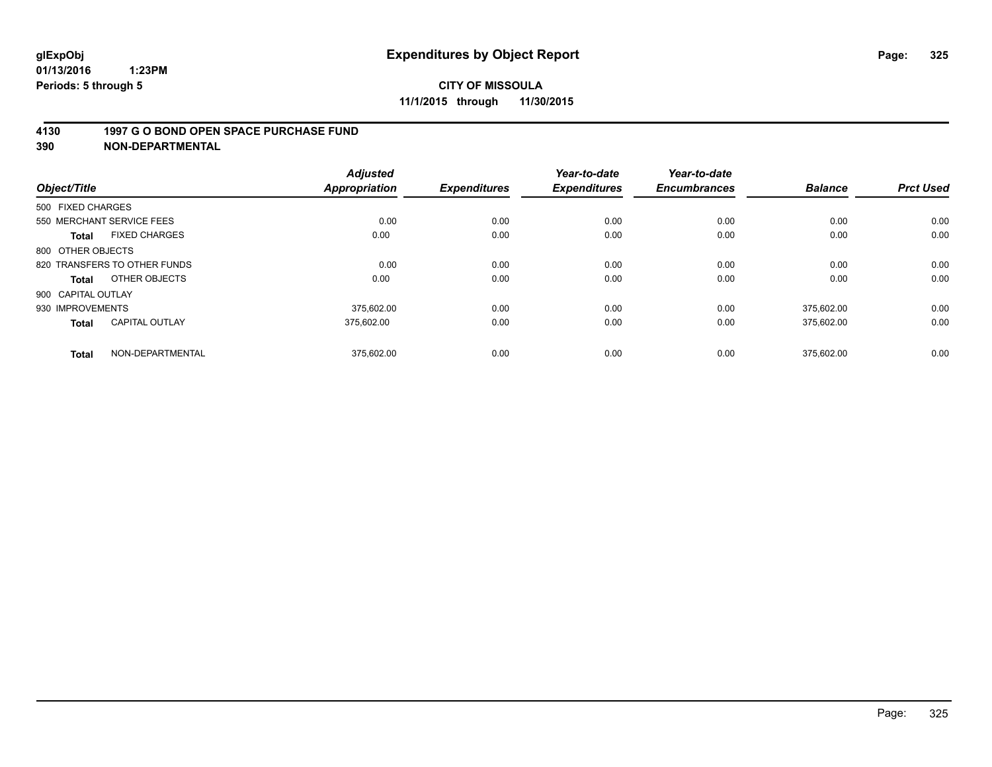#### **4130 1997 G O BOND OPEN SPACE PURCHASE FUND**

**390 NON-DEPARTMENTAL**

| Object/Title              |                              | <b>Adjusted</b><br><b>Appropriation</b> | <b>Expenditures</b> | Year-to-date<br><b>Expenditures</b> | Year-to-date<br><b>Encumbrances</b> | <b>Balance</b> | <b>Prct Used</b> |
|---------------------------|------------------------------|-----------------------------------------|---------------------|-------------------------------------|-------------------------------------|----------------|------------------|
| 500 FIXED CHARGES         |                              |                                         |                     |                                     |                                     |                |                  |
| 550 MERCHANT SERVICE FEES |                              | 0.00                                    | 0.00                | 0.00                                | 0.00                                | 0.00           | 0.00             |
| <b>Total</b>              | <b>FIXED CHARGES</b>         | 0.00                                    | 0.00                | 0.00                                | 0.00                                | 0.00           | 0.00             |
| 800 OTHER OBJECTS         |                              |                                         |                     |                                     |                                     |                |                  |
|                           | 820 TRANSFERS TO OTHER FUNDS | 0.00                                    | 0.00                | 0.00                                | 0.00                                | 0.00           | 0.00             |
| Total                     | OTHER OBJECTS                | 0.00                                    | 0.00                | 0.00                                | 0.00                                | 0.00           | 0.00             |
| 900 CAPITAL OUTLAY        |                              |                                         |                     |                                     |                                     |                |                  |
| 930 IMPROVEMENTS          |                              | 375.602.00                              | 0.00                | 0.00                                | 0.00                                | 375.602.00     | 0.00             |
| <b>Total</b>              | <b>CAPITAL OUTLAY</b>        | 375.602.00                              | 0.00                | 0.00                                | 0.00                                | 375,602.00     | 0.00             |
| <b>Total</b>              | NON-DEPARTMENTAL             | 375.602.00                              | 0.00                | 0.00                                | 0.00                                | 375.602.00     | 0.00             |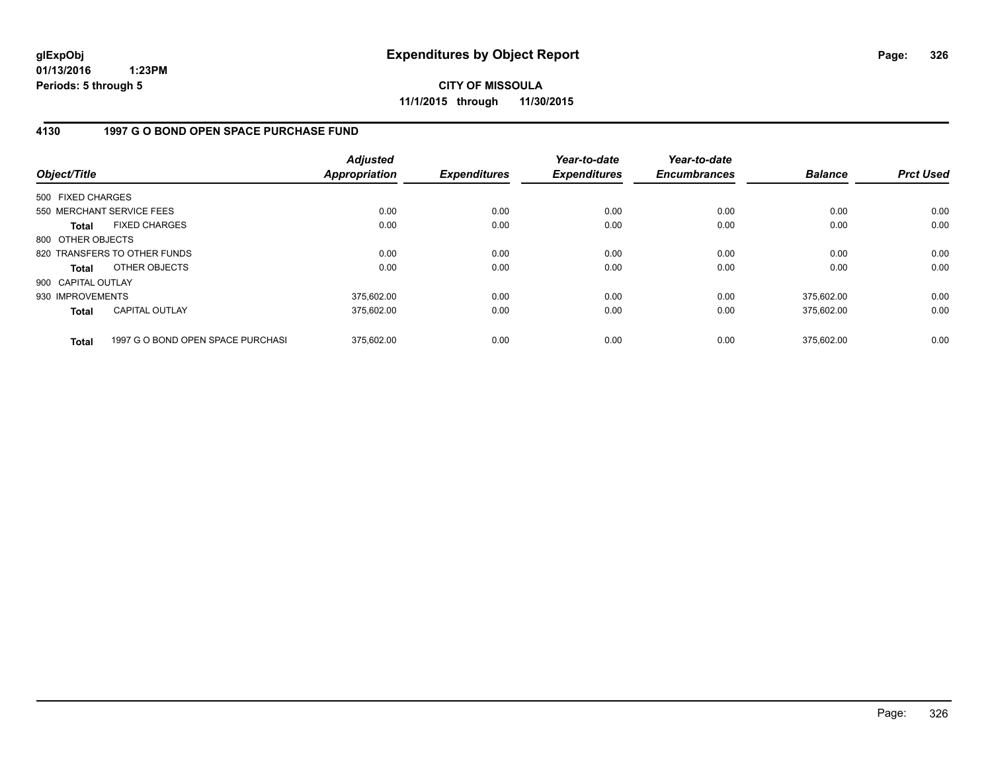**CITY OF MISSOULA 11/1/2015 through 11/30/2015**

### **4130 1997 G O BOND OPEN SPACE PURCHASE FUND**

| Object/Title       |                                   | <b>Adjusted</b><br><b>Appropriation</b> | <b>Expenditures</b> | Year-to-date<br><b>Expenditures</b> | Year-to-date<br><b>Encumbrances</b> | <b>Balance</b> | <b>Prct Used</b> |
|--------------------|-----------------------------------|-----------------------------------------|---------------------|-------------------------------------|-------------------------------------|----------------|------------------|
| 500 FIXED CHARGES  |                                   |                                         |                     |                                     |                                     |                |                  |
|                    | 550 MERCHANT SERVICE FEES         | 0.00                                    | 0.00                | 0.00                                | 0.00                                | 0.00           | 0.00             |
| <b>Total</b>       | <b>FIXED CHARGES</b>              | 0.00                                    | 0.00                | 0.00                                | 0.00                                | 0.00           | 0.00             |
| 800 OTHER OBJECTS  |                                   |                                         |                     |                                     |                                     |                |                  |
|                    | 820 TRANSFERS TO OTHER FUNDS      | 0.00                                    | 0.00                | 0.00                                | 0.00                                | 0.00           | 0.00             |
| <b>Total</b>       | OTHER OBJECTS                     | 0.00                                    | 0.00                | 0.00                                | 0.00                                | 0.00           | 0.00             |
| 900 CAPITAL OUTLAY |                                   |                                         |                     |                                     |                                     |                |                  |
| 930 IMPROVEMENTS   |                                   | 375,602.00                              | 0.00                | 0.00                                | 0.00                                | 375,602.00     | 0.00             |
| <b>Total</b>       | <b>CAPITAL OUTLAY</b>             | 375,602.00                              | 0.00                | 0.00                                | 0.00                                | 375.602.00     | 0.00             |
| <b>Total</b>       | 1997 G O BOND OPEN SPACE PURCHASI | 375.602.00                              | 0.00                | 0.00                                | 0.00                                | 375.602.00     | 0.00             |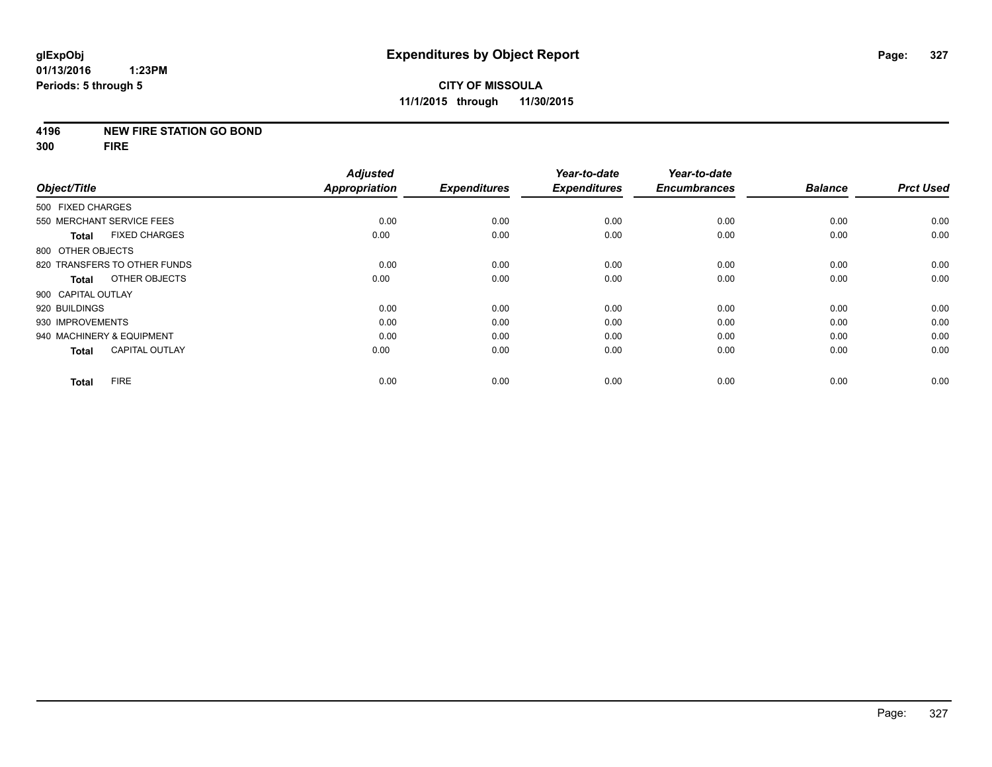#### **4196 NEW FIRE STATION GO BOND**

**300 FIRE**

|                                       | <b>Adjusted</b>      |                     | Year-to-date        | Year-to-date        |                |                  |
|---------------------------------------|----------------------|---------------------|---------------------|---------------------|----------------|------------------|
| Object/Title                          | <b>Appropriation</b> | <b>Expenditures</b> | <b>Expenditures</b> | <b>Encumbrances</b> | <b>Balance</b> | <b>Prct Used</b> |
| 500 FIXED CHARGES                     |                      |                     |                     |                     |                |                  |
| 550 MERCHANT SERVICE FEES             | 0.00                 | 0.00                | 0.00                | 0.00                | 0.00           | 0.00             |
| <b>FIXED CHARGES</b><br><b>Total</b>  | 0.00                 | 0.00                | 0.00                | 0.00                | 0.00           | 0.00             |
| 800 OTHER OBJECTS                     |                      |                     |                     |                     |                |                  |
| 820 TRANSFERS TO OTHER FUNDS          | 0.00                 | 0.00                | 0.00                | 0.00                | 0.00           | 0.00             |
| OTHER OBJECTS<br><b>Total</b>         | 0.00                 | 0.00                | 0.00                | 0.00                | 0.00           | 0.00             |
| 900 CAPITAL OUTLAY                    |                      |                     |                     |                     |                |                  |
| 920 BUILDINGS                         | 0.00                 | 0.00                | 0.00                | 0.00                | 0.00           | 0.00             |
| 930 IMPROVEMENTS                      | 0.00                 | 0.00                | 0.00                | 0.00                | 0.00           | 0.00             |
| 940 MACHINERY & EQUIPMENT             | 0.00                 | 0.00                | 0.00                | 0.00                | 0.00           | 0.00             |
| <b>CAPITAL OUTLAY</b><br><b>Total</b> | 0.00                 | 0.00                | 0.00                | 0.00                | 0.00           | 0.00             |
| <b>FIRE</b><br><b>Total</b>           | 0.00                 | 0.00                | 0.00                | 0.00                | 0.00           | 0.00             |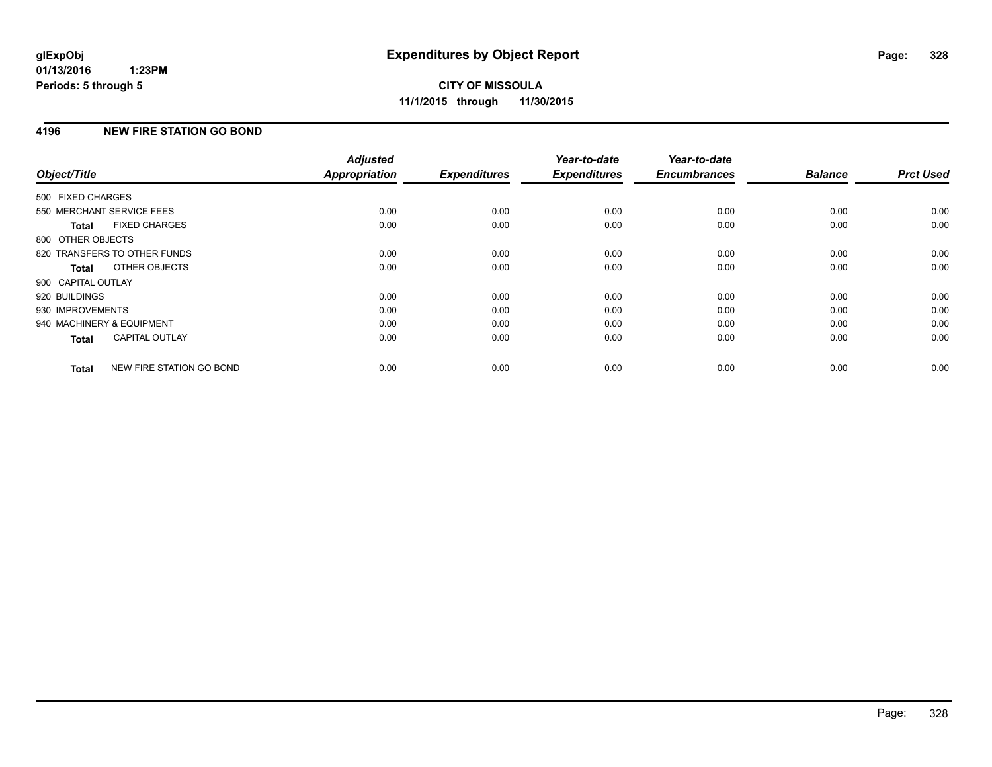# **4196 NEW FIRE STATION GO BOND**

| Object/Title              |                              | <b>Adjusted</b><br><b>Appropriation</b> | <b>Expenditures</b> | Year-to-date<br><b>Expenditures</b> | Year-to-date<br><b>Encumbrances</b> | <b>Balance</b> | <b>Prct Used</b> |
|---------------------------|------------------------------|-----------------------------------------|---------------------|-------------------------------------|-------------------------------------|----------------|------------------|
|                           |                              |                                         |                     |                                     |                                     |                |                  |
| 500 FIXED CHARGES         |                              |                                         |                     |                                     |                                     |                |                  |
| 550 MERCHANT SERVICE FEES |                              | 0.00                                    | 0.00                | 0.00                                | 0.00                                | 0.00           | 0.00             |
| <b>Total</b>              | <b>FIXED CHARGES</b>         | 0.00                                    | 0.00                | 0.00                                | 0.00                                | 0.00           | 0.00             |
| 800 OTHER OBJECTS         |                              |                                         |                     |                                     |                                     |                |                  |
|                           | 820 TRANSFERS TO OTHER FUNDS | 0.00                                    | 0.00                | 0.00                                | 0.00                                | 0.00           | 0.00             |
| <b>Total</b>              | OTHER OBJECTS                | 0.00                                    | 0.00                | 0.00                                | 0.00                                | 0.00           | 0.00             |
| 900 CAPITAL OUTLAY        |                              |                                         |                     |                                     |                                     |                |                  |
| 920 BUILDINGS             |                              | 0.00                                    | 0.00                | 0.00                                | 0.00                                | 0.00           | 0.00             |
| 930 IMPROVEMENTS          |                              | 0.00                                    | 0.00                | 0.00                                | 0.00                                | 0.00           | 0.00             |
| 940 MACHINERY & EQUIPMENT |                              | 0.00                                    | 0.00                | 0.00                                | 0.00                                | 0.00           | 0.00             |
| <b>Total</b>              | <b>CAPITAL OUTLAY</b>        | 0.00                                    | 0.00                | 0.00                                | 0.00                                | 0.00           | 0.00             |
| <b>Total</b>              | NEW FIRE STATION GO BOND     | 0.00                                    | 0.00                | 0.00                                | 0.00                                | 0.00           | 0.00             |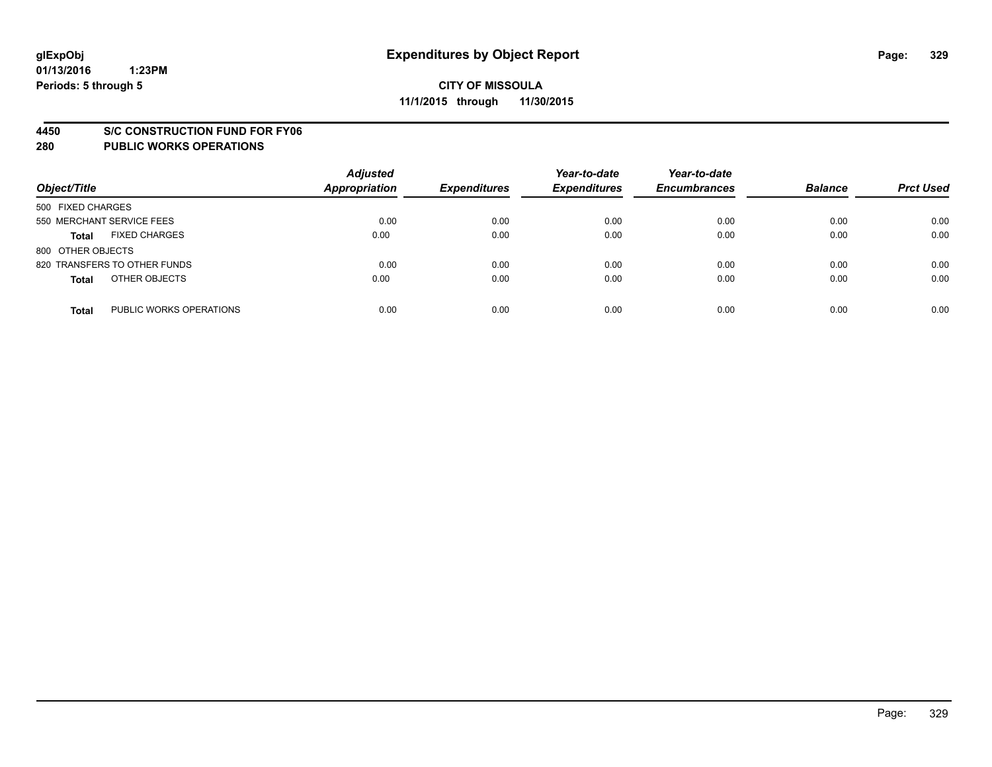#### **4450 S/C CONSTRUCTION FUND FOR FY06**

| Object/Title                            | <b>Adjusted</b><br><b>Appropriation</b> | <b>Expenditures</b> | Year-to-date<br><b>Expenditures</b> | Year-to-date<br><b>Encumbrances</b> | <b>Balance</b> | <b>Prct Used</b> |
|-----------------------------------------|-----------------------------------------|---------------------|-------------------------------------|-------------------------------------|----------------|------------------|
| 500 FIXED CHARGES                       |                                         |                     |                                     |                                     |                |                  |
| 550 MERCHANT SERVICE FEES               | 0.00                                    | 0.00                | 0.00                                | 0.00                                | 0.00           | 0.00             |
| <b>FIXED CHARGES</b><br><b>Total</b>    | 0.00                                    | 0.00                | 0.00                                | 0.00                                | 0.00           | 0.00             |
| 800 OTHER OBJECTS                       |                                         |                     |                                     |                                     |                |                  |
| 820 TRANSFERS TO OTHER FUNDS            | 0.00                                    | 0.00                | 0.00                                | 0.00                                | 0.00           | 0.00             |
| OTHER OBJECTS<br><b>Total</b>           | 0.00                                    | 0.00                | 0.00                                | 0.00                                | 0.00           | 0.00             |
| PUBLIC WORKS OPERATIONS<br><b>Total</b> | 0.00                                    | 0.00                | 0.00                                | 0.00                                | 0.00           | 0.00             |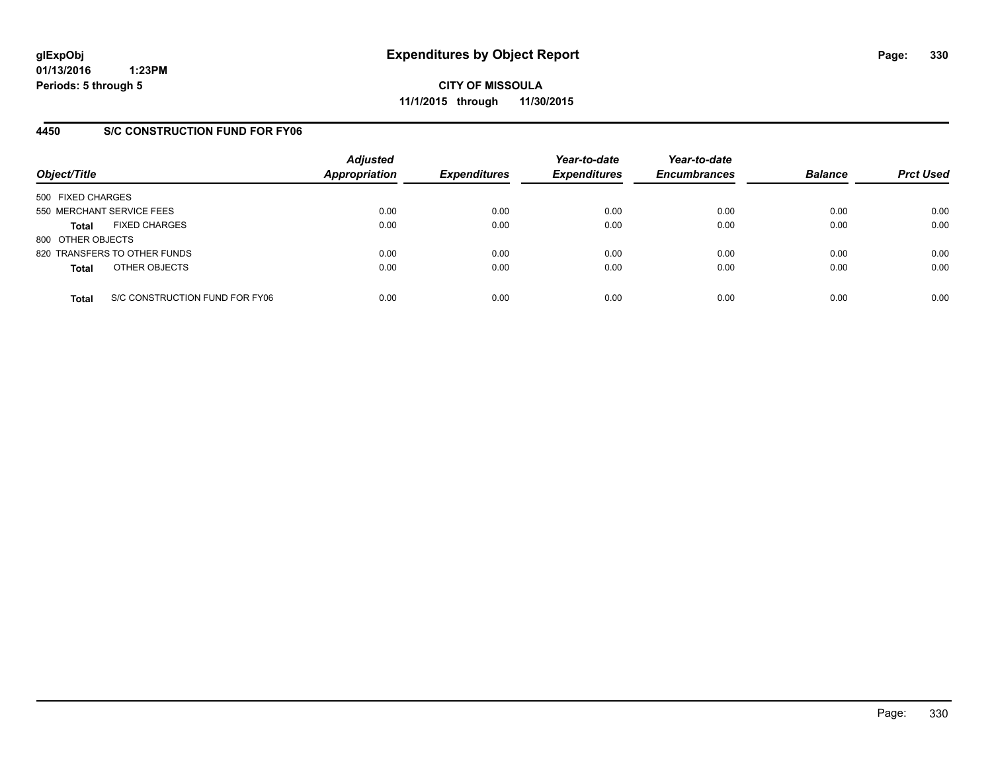**CITY OF MISSOULA 11/1/2015 through 11/30/2015**

## **4450 S/C CONSTRUCTION FUND FOR FY06**

| Object/Title                         |                                | <b>Adjusted</b><br><b>Appropriation</b> | <b>Expenditures</b> | Year-to-date<br><b>Expenditures</b> | Year-to-date<br><b>Encumbrances</b> | <b>Balance</b> | <b>Prct Used</b> |
|--------------------------------------|--------------------------------|-----------------------------------------|---------------------|-------------------------------------|-------------------------------------|----------------|------------------|
| 500 FIXED CHARGES                    |                                |                                         |                     |                                     |                                     |                |                  |
| 550 MERCHANT SERVICE FEES            |                                | 0.00                                    | 0.00                | 0.00                                | 0.00                                | 0.00           | 0.00             |
| <b>FIXED CHARGES</b><br><b>Total</b> |                                | 0.00                                    | 0.00                | 0.00                                | 0.00                                | 0.00           | 0.00             |
| 800 OTHER OBJECTS                    |                                |                                         |                     |                                     |                                     |                |                  |
| 820 TRANSFERS TO OTHER FUNDS         |                                | 0.00                                    | 0.00                | 0.00                                | 0.00                                | 0.00           | 0.00             |
| OTHER OBJECTS<br><b>Total</b>        |                                | 0.00                                    | 0.00                | 0.00                                | 0.00                                | 0.00           | 0.00             |
| <b>Total</b>                         | S/C CONSTRUCTION FUND FOR FY06 | 0.00                                    | 0.00                | 0.00                                | 0.00                                | 0.00           | 0.00             |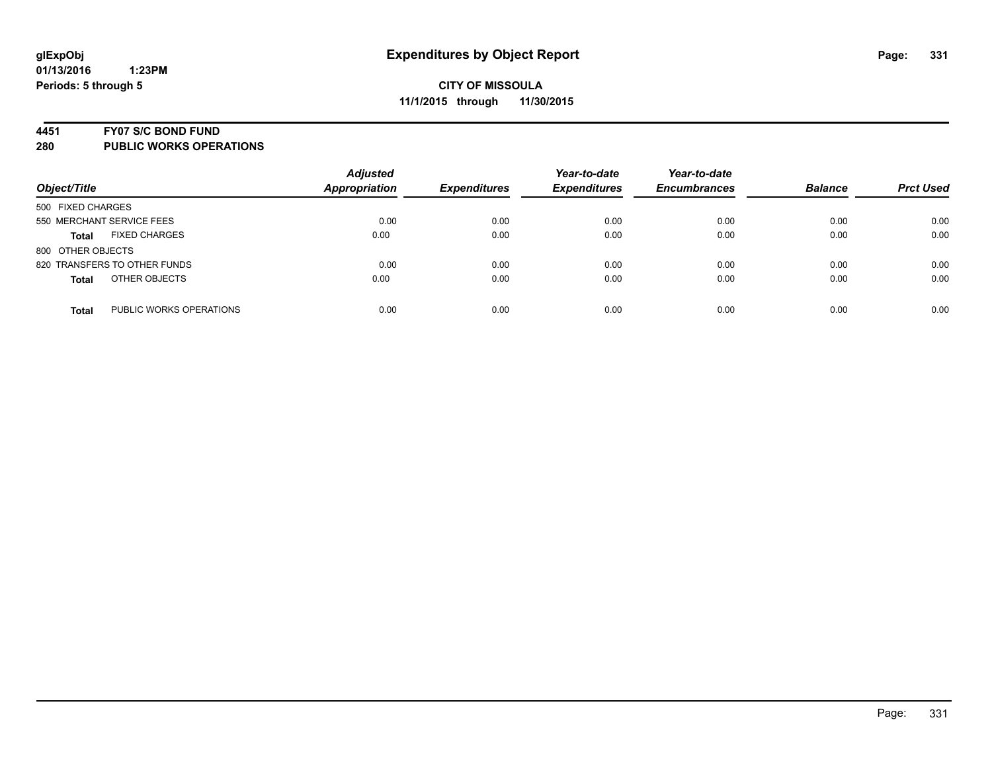#### **4451 FY07 S/C BOND FUND**

| Object/Title                            | <b>Adjusted</b><br><b>Appropriation</b> | <b>Expenditures</b> | Year-to-date<br><b>Expenditures</b> | Year-to-date<br><b>Encumbrances</b> | <b>Balance</b> | <b>Prct Used</b> |
|-----------------------------------------|-----------------------------------------|---------------------|-------------------------------------|-------------------------------------|----------------|------------------|
| 500 FIXED CHARGES                       |                                         |                     |                                     |                                     |                |                  |
| 550 MERCHANT SERVICE FEES               | 0.00                                    | 0.00                | 0.00                                | 0.00                                | 0.00           | 0.00             |
| <b>FIXED CHARGES</b><br><b>Total</b>    | 0.00                                    | 0.00                | 0.00                                | 0.00                                | 0.00           | 0.00             |
| 800 OTHER OBJECTS                       |                                         |                     |                                     |                                     |                |                  |
| 820 TRANSFERS TO OTHER FUNDS            | 0.00                                    | 0.00                | 0.00                                | 0.00                                | 0.00           | 0.00             |
| OTHER OBJECTS<br><b>Total</b>           | 0.00                                    | 0.00                | 0.00                                | 0.00                                | 0.00           | 0.00             |
| PUBLIC WORKS OPERATIONS<br><b>Total</b> | 0.00                                    | 0.00                | 0.00                                | 0.00                                | 0.00           | 0.00             |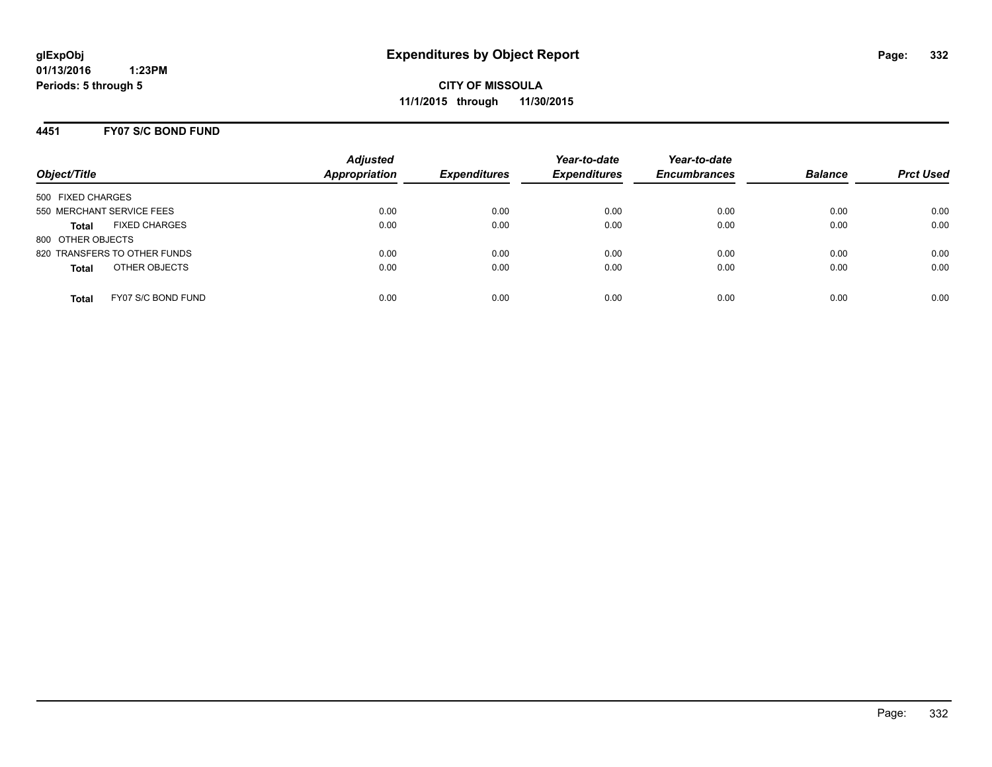**CITY OF MISSOULA 11/1/2015 through 11/30/2015**

### **4451 FY07 S/C BOND FUND**

| Object/Title                         | <b>Adjusted</b><br><b>Appropriation</b> | <b>Expenditures</b> | Year-to-date<br><b>Expenditures</b> | Year-to-date<br><b>Encumbrances</b> | <b>Balance</b> | <b>Prct Used</b> |
|--------------------------------------|-----------------------------------------|---------------------|-------------------------------------|-------------------------------------|----------------|------------------|
| 500 FIXED CHARGES                    |                                         |                     |                                     |                                     |                |                  |
| 550 MERCHANT SERVICE FEES            | 0.00                                    | 0.00                | 0.00                                | 0.00                                | 0.00           | 0.00             |
| <b>FIXED CHARGES</b><br><b>Total</b> | 0.00                                    | 0.00                | 0.00                                | 0.00                                | 0.00           | 0.00             |
| 800 OTHER OBJECTS                    |                                         |                     |                                     |                                     |                |                  |
| 820 TRANSFERS TO OTHER FUNDS         | 0.00                                    | 0.00                | 0.00                                | 0.00                                | 0.00           | 0.00             |
| OTHER OBJECTS<br><b>Total</b>        | 0.00                                    | 0.00                | 0.00                                | 0.00                                | 0.00           | 0.00             |
| FY07 S/C BOND FUND<br>Total          | 0.00                                    | 0.00                | 0.00                                | 0.00                                | 0.00           | 0.00             |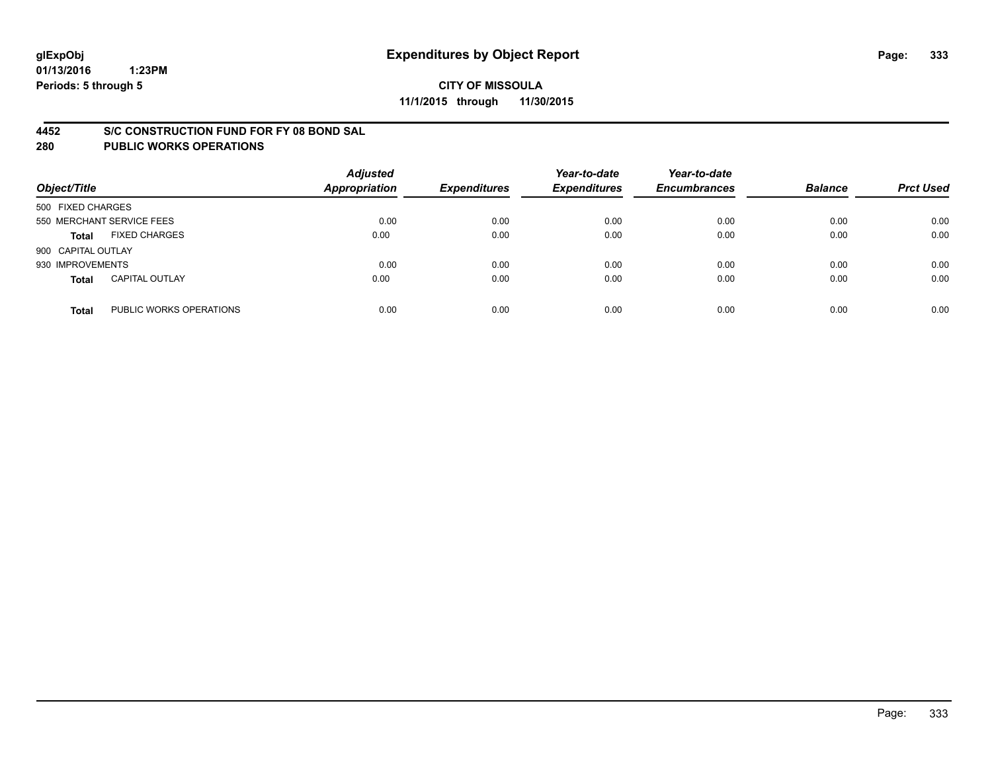#### **4452 S/C CONSTRUCTION FUND FOR FY 08 BOND SAL**

| Object/Title       |                           | <b>Adjusted</b><br><b>Appropriation</b> | <b>Expenditures</b> | Year-to-date<br><b>Expenditures</b> | Year-to-date<br><b>Encumbrances</b> | <b>Balance</b> | <b>Prct Used</b> |
|--------------------|---------------------------|-----------------------------------------|---------------------|-------------------------------------|-------------------------------------|----------------|------------------|
| 500 FIXED CHARGES  |                           |                                         |                     |                                     |                                     |                |                  |
|                    | 550 MERCHANT SERVICE FEES | 0.00                                    | 0.00                | 0.00                                | 0.00                                | 0.00           | 0.00             |
| <b>Total</b>       | <b>FIXED CHARGES</b>      | 0.00                                    | 0.00                | 0.00                                | 0.00                                | 0.00           | 0.00             |
| 900 CAPITAL OUTLAY |                           |                                         |                     |                                     |                                     |                |                  |
| 930 IMPROVEMENTS   |                           | 0.00                                    | 0.00                | 0.00                                | 0.00                                | 0.00           | 0.00             |
| <b>Total</b>       | <b>CAPITAL OUTLAY</b>     | 0.00                                    | 0.00                | 0.00                                | 0.00                                | 0.00           | 0.00             |
| <b>Total</b>       | PUBLIC WORKS OPERATIONS   | 0.00                                    | 0.00                | 0.00                                | 0.00                                | 0.00           | 0.00             |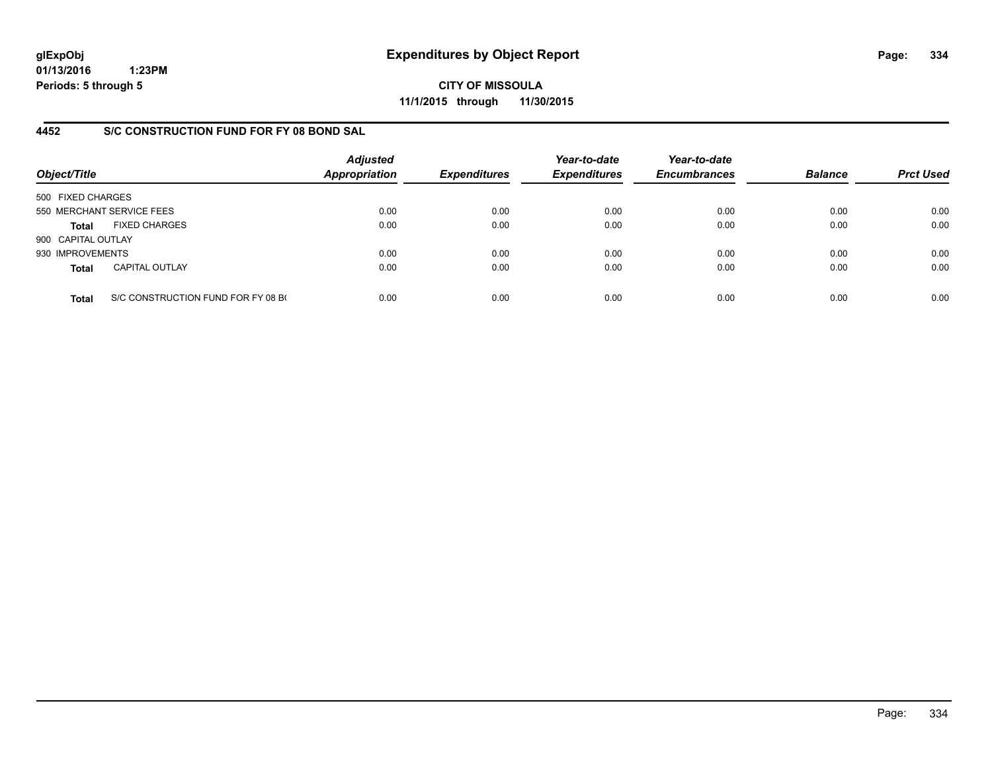**CITY OF MISSOULA 11/1/2015 through 11/30/2015**

## **4452 S/C CONSTRUCTION FUND FOR FY 08 BOND SAL**

| Object/Title       |                                    | <b>Adjusted</b><br><b>Appropriation</b> | <b>Expenditures</b> | Year-to-date<br><b>Expenditures</b> | Year-to-date<br><b>Encumbrances</b> | <b>Balance</b> | <b>Prct Used</b> |
|--------------------|------------------------------------|-----------------------------------------|---------------------|-------------------------------------|-------------------------------------|----------------|------------------|
| 500 FIXED CHARGES  |                                    |                                         |                     |                                     |                                     |                |                  |
|                    | 550 MERCHANT SERVICE FEES          | 0.00                                    | 0.00                | 0.00                                | 0.00                                | 0.00           | 0.00             |
| Total              | <b>FIXED CHARGES</b>               | 0.00                                    | 0.00                | 0.00                                | 0.00                                | 0.00           | 0.00             |
| 900 CAPITAL OUTLAY |                                    |                                         |                     |                                     |                                     |                |                  |
| 930 IMPROVEMENTS   |                                    | 0.00                                    | 0.00                | 0.00                                | 0.00                                | 0.00           | 0.00             |
| <b>Total</b>       | <b>CAPITAL OUTLAY</b>              | 0.00                                    | 0.00                | 0.00                                | 0.00                                | 0.00           | 0.00             |
| <b>Total</b>       | S/C CONSTRUCTION FUND FOR FY 08 BO | 0.00                                    | 0.00                | 0.00                                | 0.00                                | 0.00           | 0.00             |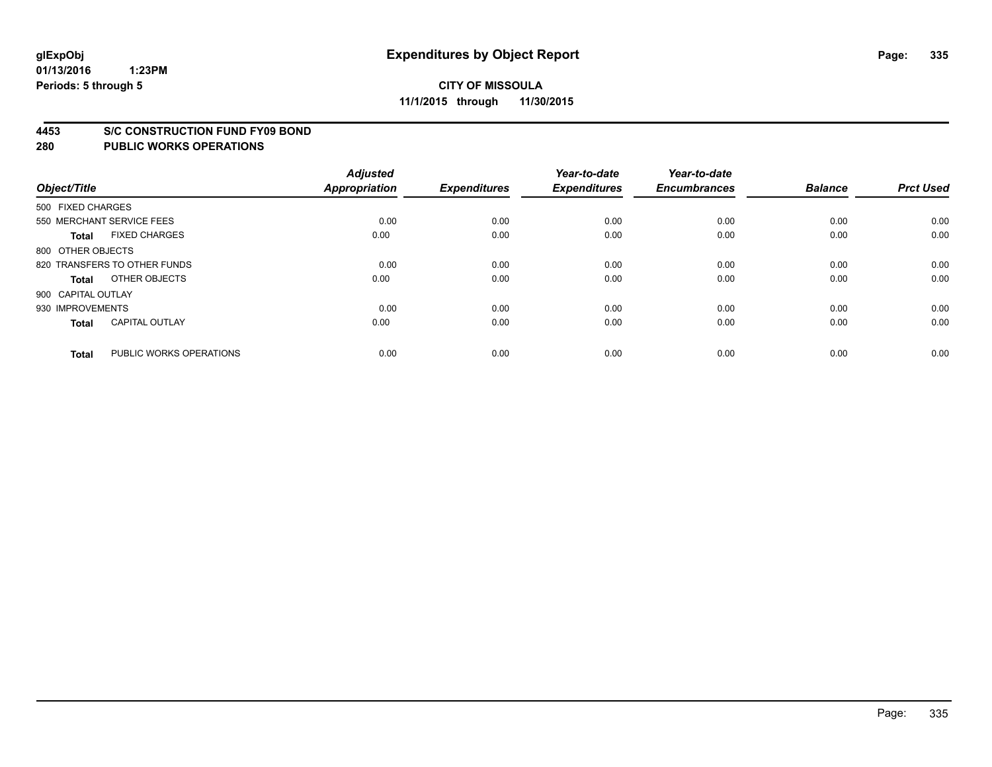#### **4453 S/C CONSTRUCTION FUND FY09 BOND**

| Object/Title       |                              | <b>Adjusted</b><br><b>Appropriation</b> | <b>Expenditures</b> | Year-to-date<br><b>Expenditures</b> | Year-to-date<br><b>Encumbrances</b> | <b>Balance</b> | <b>Prct Used</b> |
|--------------------|------------------------------|-----------------------------------------|---------------------|-------------------------------------|-------------------------------------|----------------|------------------|
| 500 FIXED CHARGES  |                              |                                         |                     |                                     |                                     |                |                  |
|                    | 550 MERCHANT SERVICE FEES    | 0.00                                    | 0.00                | 0.00                                | 0.00                                | 0.00           | 0.00             |
| <b>Total</b>       | <b>FIXED CHARGES</b>         | 0.00                                    | 0.00                | 0.00                                | 0.00                                | 0.00           | 0.00             |
| 800 OTHER OBJECTS  |                              |                                         |                     |                                     |                                     |                |                  |
|                    | 820 TRANSFERS TO OTHER FUNDS | 0.00                                    | 0.00                | 0.00                                | 0.00                                | 0.00           | 0.00             |
| Total              | OTHER OBJECTS                | 0.00                                    | 0.00                | 0.00                                | 0.00                                | 0.00           | 0.00             |
| 900 CAPITAL OUTLAY |                              |                                         |                     |                                     |                                     |                |                  |
| 930 IMPROVEMENTS   |                              | 0.00                                    | 0.00                | 0.00                                | 0.00                                | 0.00           | 0.00             |
| Total              | <b>CAPITAL OUTLAY</b>        | 0.00                                    | 0.00                | 0.00                                | 0.00                                | 0.00           | 0.00             |
| <b>Total</b>       | PUBLIC WORKS OPERATIONS      | 0.00                                    | 0.00                | 0.00                                | 0.00                                | 0.00           | 0.00             |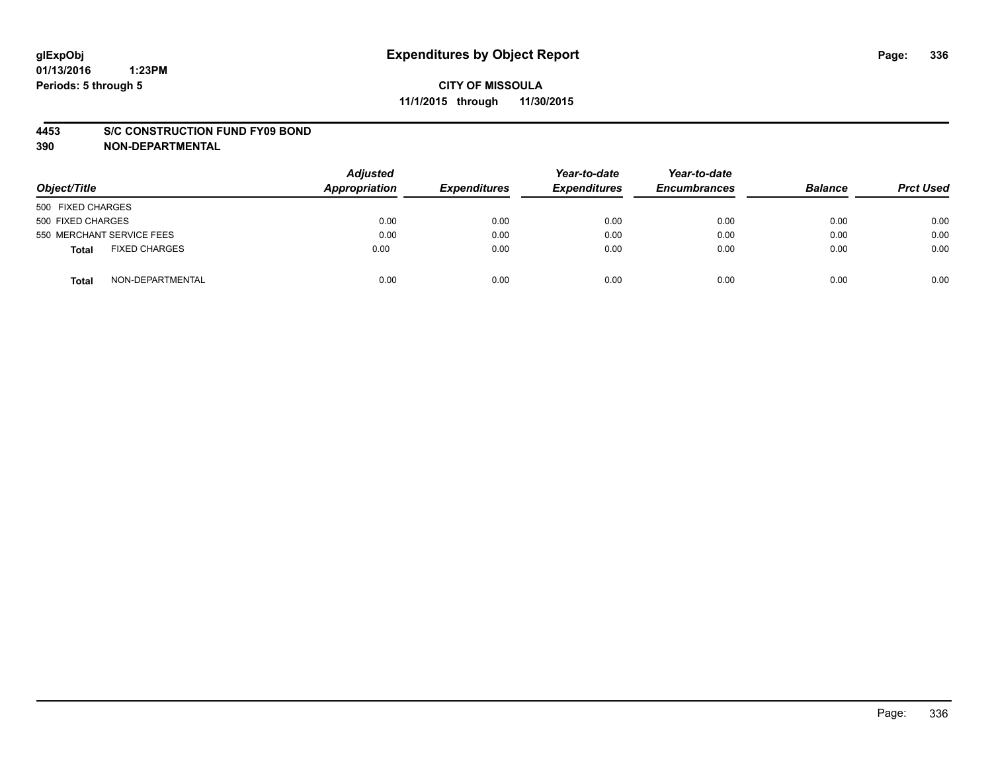#### **4453 S/C CONSTRUCTION FUND FY09 BOND**

**390 NON-DEPARTMENTAL**

| Object/Title                         | <b>Adjusted</b><br><b>Appropriation</b> | <b>Expenditures</b> | Year-to-date<br><b>Expenditures</b> | Year-to-date<br><b>Encumbrances</b> | <b>Balance</b> | <b>Prct Used</b> |
|--------------------------------------|-----------------------------------------|---------------------|-------------------------------------|-------------------------------------|----------------|------------------|
| 500 FIXED CHARGES                    |                                         |                     |                                     |                                     |                |                  |
| 500 FIXED CHARGES                    | 0.00                                    | 0.00                | 0.00                                | 0.00                                | 0.00           | 0.00             |
| 550 MERCHANT SERVICE FEES            | 0.00                                    | 0.00                | 0.00                                | 0.00                                | 0.00           | 0.00             |
| <b>FIXED CHARGES</b><br><b>Total</b> | 0.00                                    | 0.00                | 0.00                                | 0.00                                | 0.00           | 0.00             |
| NON-DEPARTMENTAL<br>Total            | 0.00                                    | 0.00                | 0.00                                | 0.00                                | 0.00           | 0.00             |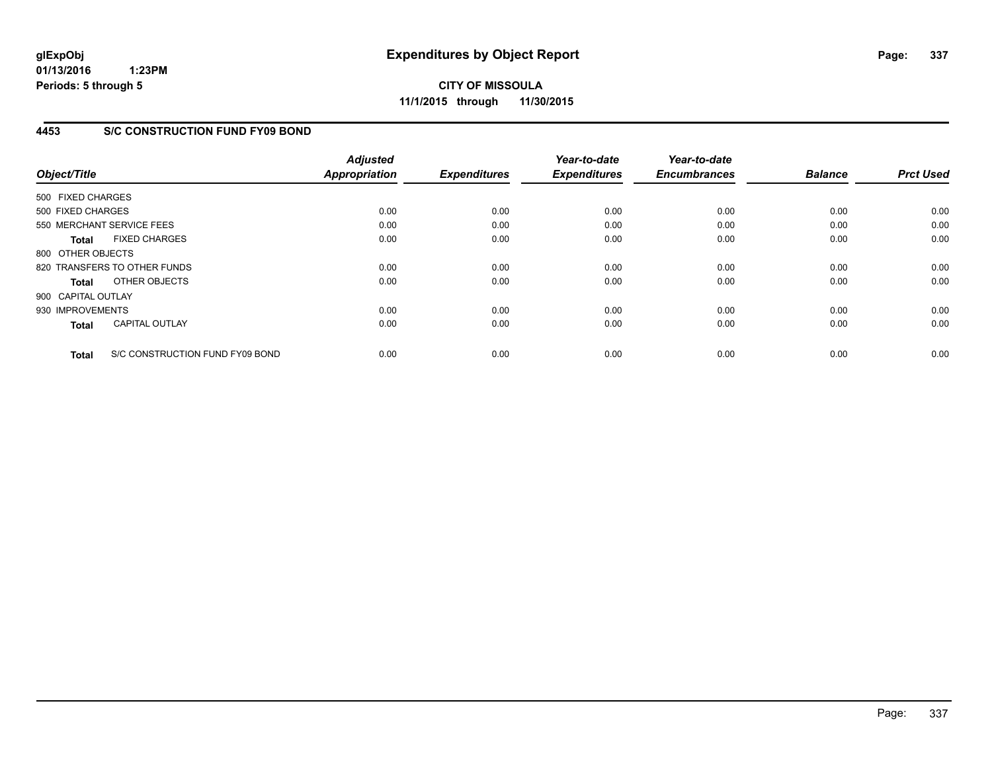**CITY OF MISSOULA 11/1/2015 through 11/30/2015**

## **4453 S/C CONSTRUCTION FUND FY09 BOND**

| Object/Title       |                                 | <b>Adjusted</b><br><b>Appropriation</b> | <b>Expenditures</b> | Year-to-date<br><b>Expenditures</b> | Year-to-date<br><b>Encumbrances</b> | <b>Balance</b> | <b>Prct Used</b> |
|--------------------|---------------------------------|-----------------------------------------|---------------------|-------------------------------------|-------------------------------------|----------------|------------------|
| 500 FIXED CHARGES  |                                 |                                         |                     |                                     |                                     |                |                  |
|                    |                                 |                                         |                     |                                     |                                     |                |                  |
| 500 FIXED CHARGES  |                                 | 0.00                                    | 0.00                | 0.00                                | 0.00                                | 0.00           | 0.00             |
|                    | 550 MERCHANT SERVICE FEES       | 0.00                                    | 0.00                | 0.00                                | 0.00                                | 0.00           | 0.00             |
| <b>Total</b>       | <b>FIXED CHARGES</b>            | 0.00                                    | 0.00                | 0.00                                | 0.00                                | 0.00           | 0.00             |
| 800 OTHER OBJECTS  |                                 |                                         |                     |                                     |                                     |                |                  |
|                    | 820 TRANSFERS TO OTHER FUNDS    | 0.00                                    | 0.00                | 0.00                                | 0.00                                | 0.00           | 0.00             |
| Total              | OTHER OBJECTS                   | 0.00                                    | 0.00                | 0.00                                | 0.00                                | 0.00           | 0.00             |
| 900 CAPITAL OUTLAY |                                 |                                         |                     |                                     |                                     |                |                  |
| 930 IMPROVEMENTS   |                                 | 0.00                                    | 0.00                | 0.00                                | 0.00                                | 0.00           | 0.00             |
| <b>Total</b>       | <b>CAPITAL OUTLAY</b>           | 0.00                                    | 0.00                | 0.00                                | 0.00                                | 0.00           | 0.00             |
|                    |                                 |                                         |                     |                                     |                                     |                |                  |
| <b>Total</b>       | S/C CONSTRUCTION FUND FY09 BOND | 0.00                                    | 0.00                | 0.00                                | 0.00                                | 0.00           | 0.00             |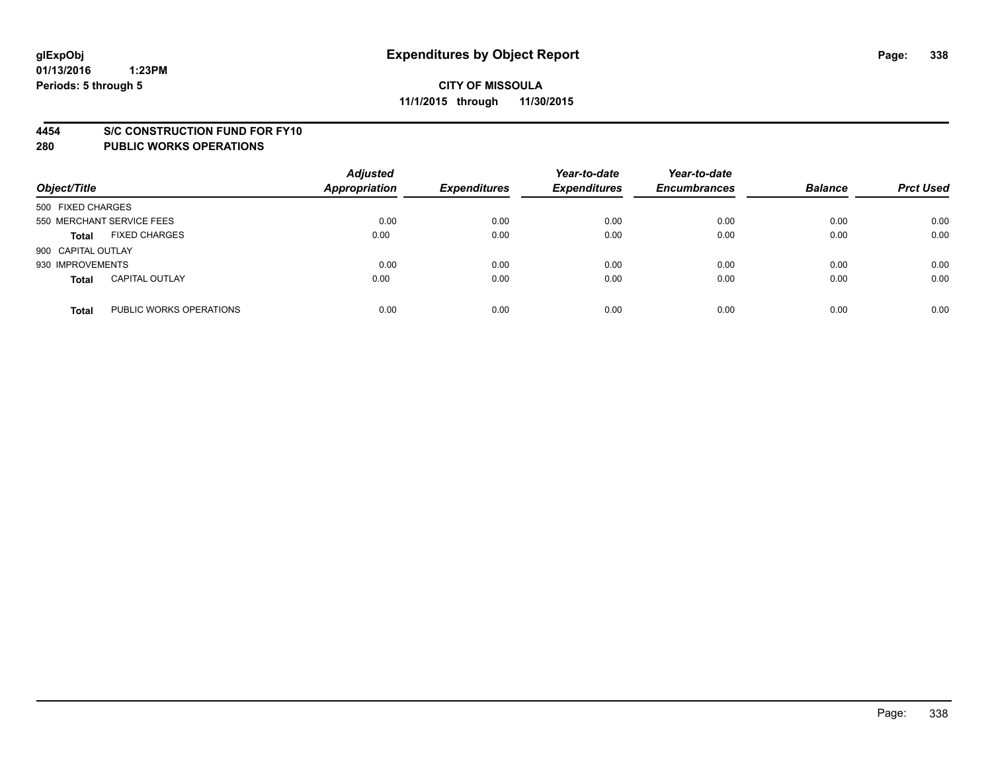#### **4454 S/C CONSTRUCTION FUND FOR FY10**

| Object/Title       |                           | <b>Adjusted</b><br><b>Appropriation</b> | <b>Expenditures</b> | Year-to-date<br><b>Expenditures</b> | Year-to-date<br><b>Encumbrances</b> | <b>Balance</b> | <b>Prct Used</b> |
|--------------------|---------------------------|-----------------------------------------|---------------------|-------------------------------------|-------------------------------------|----------------|------------------|
| 500 FIXED CHARGES  |                           |                                         |                     |                                     |                                     |                |                  |
|                    | 550 MERCHANT SERVICE FEES | 0.00                                    | 0.00                | 0.00                                | 0.00                                | 0.00           | 0.00             |
| <b>Total</b>       | <b>FIXED CHARGES</b>      | 0.00                                    | 0.00                | 0.00                                | 0.00                                | 0.00           | 0.00             |
| 900 CAPITAL OUTLAY |                           |                                         |                     |                                     |                                     |                |                  |
| 930 IMPROVEMENTS   |                           | 0.00                                    | 0.00                | 0.00                                | 0.00                                | 0.00           | 0.00             |
| <b>Total</b>       | <b>CAPITAL OUTLAY</b>     | 0.00                                    | 0.00                | 0.00                                | 0.00                                | 0.00           | 0.00             |
| <b>Total</b>       | PUBLIC WORKS OPERATIONS   | 0.00                                    | 0.00                | 0.00                                | 0.00                                | 0.00           | 0.00             |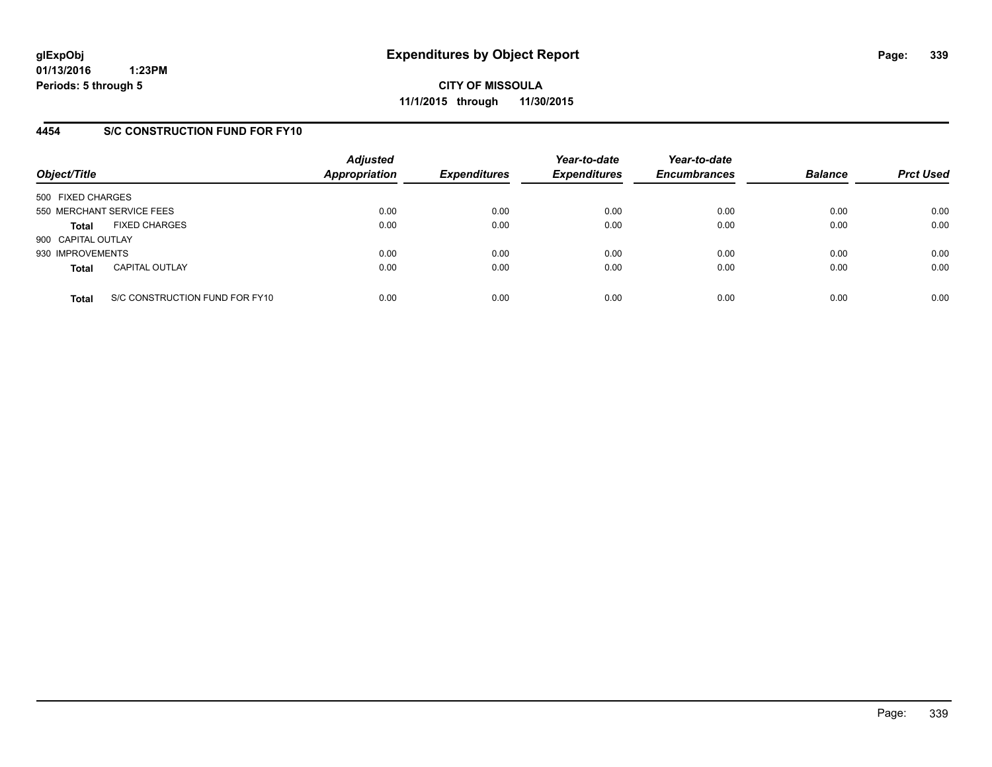**CITY OF MISSOULA 11/1/2015 through 11/30/2015**

# **4454 S/C CONSTRUCTION FUND FOR FY10**

| Object/Title       |                                | <b>Adjusted</b><br><b>Appropriation</b> | <b>Expenditures</b> | Year-to-date<br><b>Expenditures</b> | Year-to-date<br><b>Encumbrances</b> | <b>Balance</b> | <b>Prct Used</b> |
|--------------------|--------------------------------|-----------------------------------------|---------------------|-------------------------------------|-------------------------------------|----------------|------------------|
| 500 FIXED CHARGES  |                                |                                         |                     |                                     |                                     |                |                  |
|                    | 550 MERCHANT SERVICE FEES      | 0.00                                    | 0.00                | 0.00                                | 0.00                                | 0.00           | 0.00             |
| <b>Total</b>       | <b>FIXED CHARGES</b>           | 0.00                                    | 0.00                | 0.00                                | 0.00                                | 0.00           | 0.00             |
| 900 CAPITAL OUTLAY |                                |                                         |                     |                                     |                                     |                |                  |
| 930 IMPROVEMENTS   |                                | 0.00                                    | 0.00                | 0.00                                | 0.00                                | 0.00           | 0.00             |
| <b>Total</b>       | <b>CAPITAL OUTLAY</b>          | 0.00                                    | 0.00                | 0.00                                | 0.00                                | 0.00           | 0.00             |
| <b>Total</b>       | S/C CONSTRUCTION FUND FOR FY10 | 0.00                                    | 0.00                | 0.00                                | 0.00                                | 0.00           | 0.00             |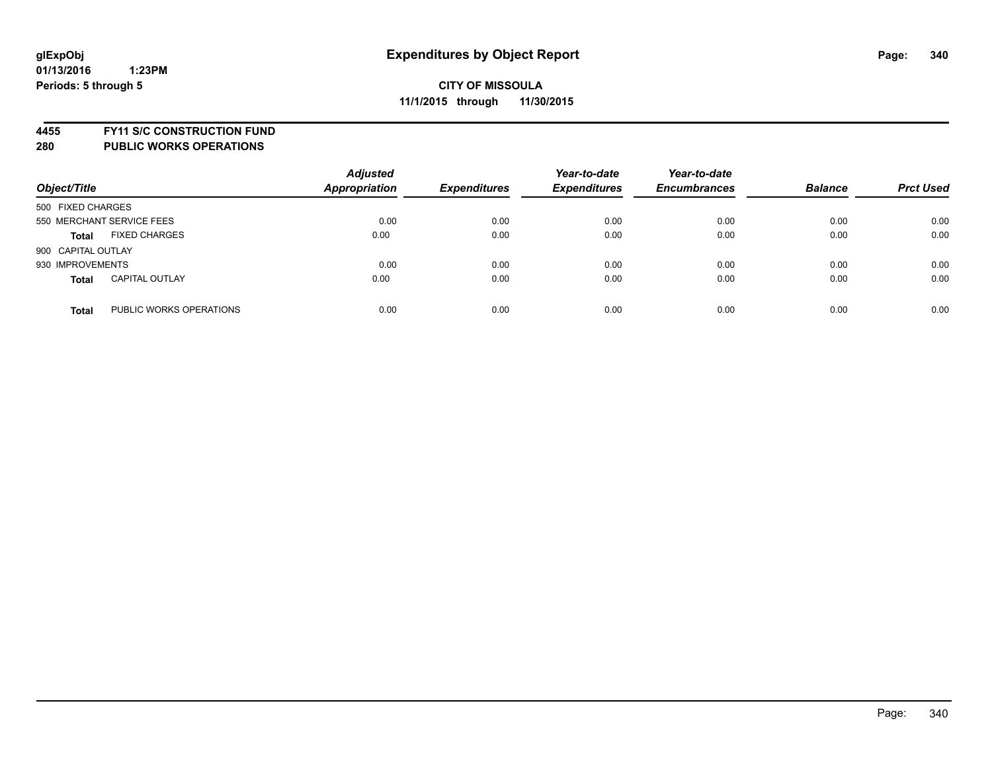**4455 FY11 S/C CONSTRUCTION FUND**

| Object/Title                            | <b>Adjusted</b><br><b>Appropriation</b> | <b>Expenditures</b> | Year-to-date<br><b>Expenditures</b> | Year-to-date<br><b>Encumbrances</b> | <b>Balance</b> | <b>Prct Used</b> |
|-----------------------------------------|-----------------------------------------|---------------------|-------------------------------------|-------------------------------------|----------------|------------------|
| 500 FIXED CHARGES                       |                                         |                     |                                     |                                     |                |                  |
| 550 MERCHANT SERVICE FEES               | 0.00                                    | 0.00                | 0.00                                | 0.00                                | 0.00           | 0.00             |
| <b>FIXED CHARGES</b><br><b>Total</b>    | 0.00                                    | 0.00                | 0.00                                | 0.00                                | 0.00           | 0.00             |
| 900 CAPITAL OUTLAY                      |                                         |                     |                                     |                                     |                |                  |
| 930 IMPROVEMENTS                        | 0.00                                    | 0.00                | 0.00                                | 0.00                                | 0.00           | 0.00             |
| <b>CAPITAL OUTLAY</b><br><b>Total</b>   | 0.00                                    | 0.00                | 0.00                                | 0.00                                | 0.00           | 0.00             |
| PUBLIC WORKS OPERATIONS<br><b>Total</b> | 0.00                                    | 0.00                | 0.00                                | 0.00                                | 0.00           | 0.00             |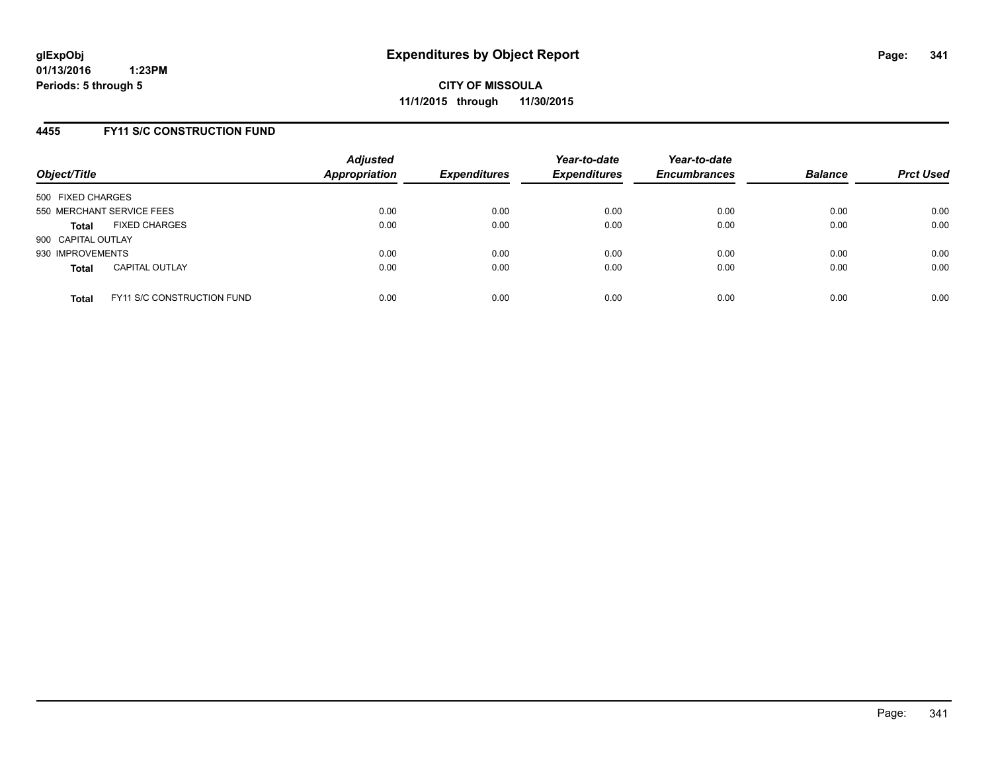### **4455 FY11 S/C CONSTRUCTION FUND**

| Object/Title              |                                   | <b>Adjusted</b><br><b>Appropriation</b> | <b>Expenditures</b> | Year-to-date<br><b>Expenditures</b> | Year-to-date<br><b>Encumbrances</b> | <b>Balance</b> | <b>Prct Used</b> |
|---------------------------|-----------------------------------|-----------------------------------------|---------------------|-------------------------------------|-------------------------------------|----------------|------------------|
| 500 FIXED CHARGES         |                                   |                                         |                     |                                     |                                     |                |                  |
| 550 MERCHANT SERVICE FEES |                                   | 0.00                                    | 0.00                | 0.00                                | 0.00                                | 0.00           | 0.00             |
| <b>Total</b>              | <b>FIXED CHARGES</b>              | 0.00                                    | 0.00                | 0.00                                | 0.00                                | 0.00           | 0.00             |
| 900 CAPITAL OUTLAY        |                                   |                                         |                     |                                     |                                     |                |                  |
| 930 IMPROVEMENTS          |                                   | 0.00                                    | 0.00                | 0.00                                | 0.00                                | 0.00           | 0.00             |
| <b>Total</b>              | <b>CAPITAL OUTLAY</b>             | 0.00                                    | 0.00                | 0.00                                | 0.00                                | 0.00           | 0.00             |
| <b>Total</b>              | <b>FY11 S/C CONSTRUCTION FUND</b> | 0.00                                    | 0.00                | 0.00                                | 0.00                                | 0.00           | 0.00             |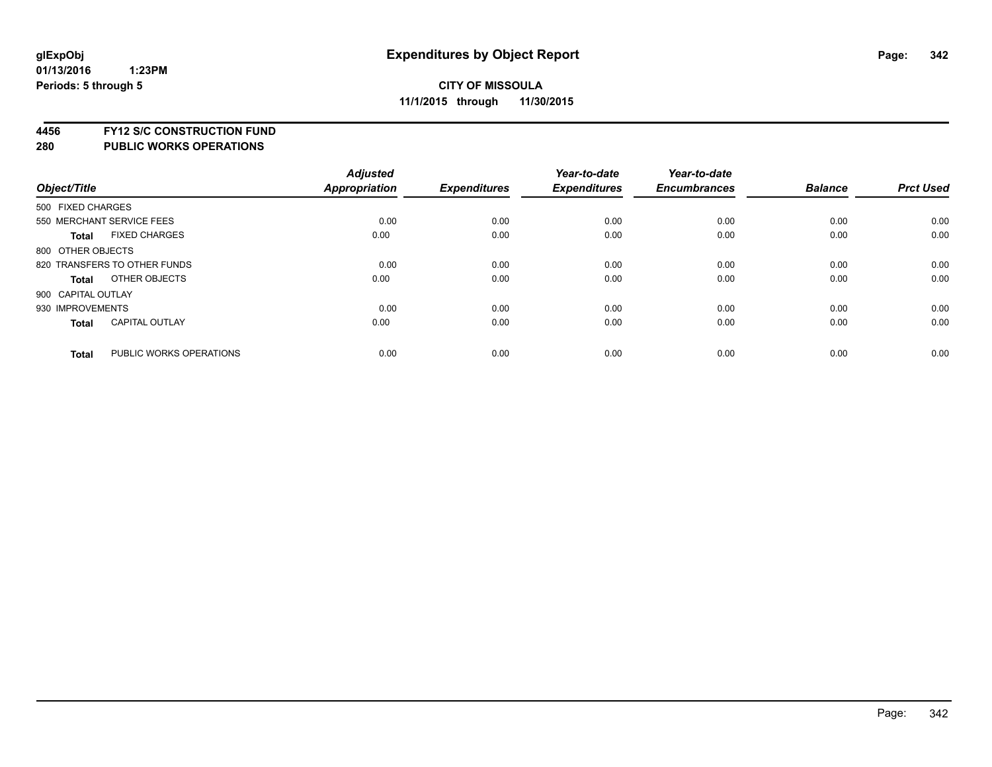**4456 FY12 S/C CONSTRUCTION FUND**

|                    |                              | <b>Adjusted</b> |                     | Year-to-date        | Year-to-date        |                |                  |
|--------------------|------------------------------|-----------------|---------------------|---------------------|---------------------|----------------|------------------|
| Object/Title       |                              | Appropriation   | <b>Expenditures</b> | <b>Expenditures</b> | <b>Encumbrances</b> | <b>Balance</b> | <b>Prct Used</b> |
| 500 FIXED CHARGES  |                              |                 |                     |                     |                     |                |                  |
|                    | 550 MERCHANT SERVICE FEES    | 0.00            | 0.00                | 0.00                | 0.00                | 0.00           | 0.00             |
| <b>Total</b>       | <b>FIXED CHARGES</b>         | 0.00            | 0.00                | 0.00                | 0.00                | 0.00           | 0.00             |
| 800 OTHER OBJECTS  |                              |                 |                     |                     |                     |                |                  |
|                    | 820 TRANSFERS TO OTHER FUNDS | 0.00            | 0.00                | 0.00                | 0.00                | 0.00           | 0.00             |
| Total              | OTHER OBJECTS                | 0.00            | 0.00                | 0.00                | 0.00                | 0.00           | 0.00             |
| 900 CAPITAL OUTLAY |                              |                 |                     |                     |                     |                |                  |
| 930 IMPROVEMENTS   |                              | 0.00            | 0.00                | 0.00                | 0.00                | 0.00           | 0.00             |
| Total              | <b>CAPITAL OUTLAY</b>        | 0.00            | 0.00                | 0.00                | 0.00                | 0.00           | 0.00             |
| <b>Total</b>       | PUBLIC WORKS OPERATIONS      | 0.00            | 0.00                | 0.00                | 0.00                | 0.00           | 0.00             |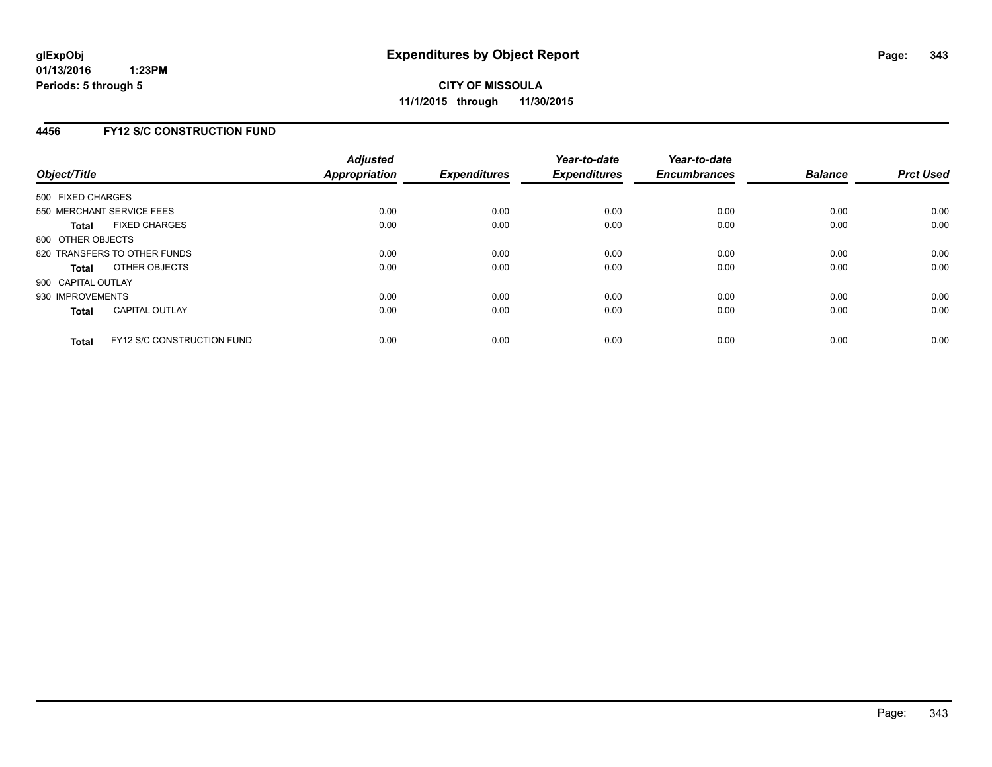### **4456 FY12 S/C CONSTRUCTION FUND**

| Object/Title       |                                   | <b>Adjusted</b><br><b>Appropriation</b> | <b>Expenditures</b> | Year-to-date<br><b>Expenditures</b> | Year-to-date<br><b>Encumbrances</b> | <b>Balance</b> | <b>Prct Used</b> |
|--------------------|-----------------------------------|-----------------------------------------|---------------------|-------------------------------------|-------------------------------------|----------------|------------------|
| 500 FIXED CHARGES  |                                   |                                         |                     |                                     |                                     |                |                  |
|                    | 550 MERCHANT SERVICE FEES         | 0.00                                    | 0.00                | 0.00                                | 0.00                                | 0.00           | 0.00             |
| <b>Total</b>       | <b>FIXED CHARGES</b>              | 0.00                                    | 0.00                | 0.00                                | 0.00                                | 0.00           | 0.00             |
| 800 OTHER OBJECTS  |                                   |                                         |                     |                                     |                                     |                |                  |
|                    | 820 TRANSFERS TO OTHER FUNDS      | 0.00                                    | 0.00                | 0.00                                | 0.00                                | 0.00           | 0.00             |
| <b>Total</b>       | OTHER OBJECTS                     | 0.00                                    | 0.00                | 0.00                                | 0.00                                | 0.00           | 0.00             |
| 900 CAPITAL OUTLAY |                                   |                                         |                     |                                     |                                     |                |                  |
| 930 IMPROVEMENTS   |                                   | 0.00                                    | 0.00                | 0.00                                | 0.00                                | 0.00           | 0.00             |
| Total              | <b>CAPITAL OUTLAY</b>             | 0.00                                    | 0.00                | 0.00                                | 0.00                                | 0.00           | 0.00             |
| <b>Total</b>       | <b>FY12 S/C CONSTRUCTION FUND</b> | 0.00                                    | 0.00                | 0.00                                | 0.00                                | 0.00           | 0.00             |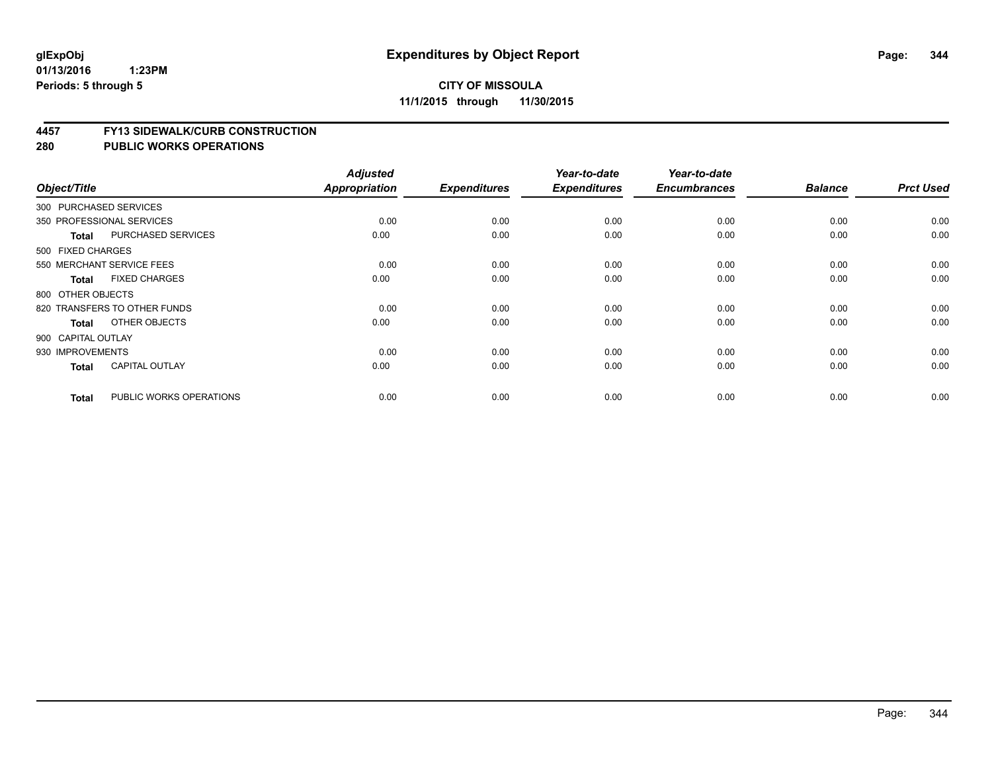#### **4457 FY13 SIDEWALK/CURB CONSTRUCTION**

| Object/Title       |                              | <b>Adjusted</b><br><b>Appropriation</b> | <b>Expenditures</b> | Year-to-date<br><b>Expenditures</b> | Year-to-date<br><b>Encumbrances</b> | <b>Balance</b> | <b>Prct Used</b> |
|--------------------|------------------------------|-----------------------------------------|---------------------|-------------------------------------|-------------------------------------|----------------|------------------|
|                    | 300 PURCHASED SERVICES       |                                         |                     |                                     |                                     |                |                  |
|                    |                              |                                         |                     |                                     |                                     |                |                  |
|                    | 350 PROFESSIONAL SERVICES    | 0.00                                    | 0.00                | 0.00                                | 0.00                                | 0.00           | 0.00             |
| <b>Total</b>       | PURCHASED SERVICES           | 0.00                                    | 0.00                | 0.00                                | 0.00                                | 0.00           | 0.00             |
| 500 FIXED CHARGES  |                              |                                         |                     |                                     |                                     |                |                  |
|                    | 550 MERCHANT SERVICE FEES    | 0.00                                    | 0.00                | 0.00                                | 0.00                                | 0.00           | 0.00             |
| <b>Total</b>       | <b>FIXED CHARGES</b>         | 0.00                                    | 0.00                | 0.00                                | 0.00                                | 0.00           | 0.00             |
| 800 OTHER OBJECTS  |                              |                                         |                     |                                     |                                     |                |                  |
|                    | 820 TRANSFERS TO OTHER FUNDS | 0.00                                    | 0.00                | 0.00                                | 0.00                                | 0.00           | 0.00             |
| <b>Total</b>       | OTHER OBJECTS                | 0.00                                    | 0.00                | 0.00                                | 0.00                                | 0.00           | 0.00             |
| 900 CAPITAL OUTLAY |                              |                                         |                     |                                     |                                     |                |                  |
| 930 IMPROVEMENTS   |                              | 0.00                                    | 0.00                | 0.00                                | 0.00                                | 0.00           | 0.00             |
| <b>Total</b>       | <b>CAPITAL OUTLAY</b>        | 0.00                                    | 0.00                | 0.00                                | 0.00                                | 0.00           | 0.00             |
| <b>Total</b>       | PUBLIC WORKS OPERATIONS      | 0.00                                    | 0.00                | 0.00                                | 0.00                                | 0.00           | 0.00             |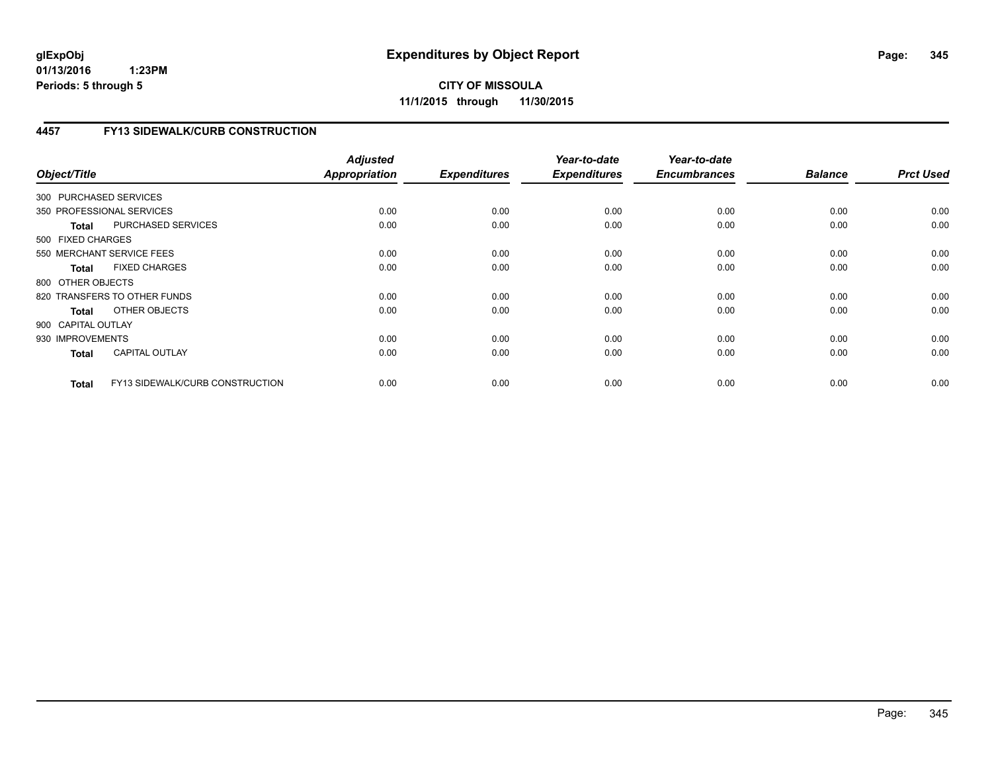**CITY OF MISSOULA 11/1/2015 through 11/30/2015**

# **4457 FY13 SIDEWALK/CURB CONSTRUCTION**

| Object/Title           |                                 | <b>Adjusted</b><br>Appropriation | <b>Expenditures</b> | Year-to-date<br><b>Expenditures</b> | Year-to-date<br><b>Encumbrances</b> | <b>Balance</b> | <b>Prct Used</b> |
|------------------------|---------------------------------|----------------------------------|---------------------|-------------------------------------|-------------------------------------|----------------|------------------|
| 300 PURCHASED SERVICES |                                 |                                  |                     |                                     |                                     |                |                  |
|                        | 350 PROFESSIONAL SERVICES       | 0.00                             | 0.00                | 0.00                                | 0.00                                | 0.00           | 0.00             |
| <b>Total</b>           | PURCHASED SERVICES              | 0.00                             | 0.00                | 0.00                                | 0.00                                | 0.00           | 0.00             |
| 500 FIXED CHARGES      |                                 |                                  |                     |                                     |                                     |                |                  |
|                        | 550 MERCHANT SERVICE FEES       | 0.00                             | 0.00                | 0.00                                | 0.00                                | 0.00           | 0.00             |
| <b>Total</b>           | <b>FIXED CHARGES</b>            | 0.00                             | 0.00                | 0.00                                | 0.00                                | 0.00           | 0.00             |
| 800 OTHER OBJECTS      |                                 |                                  |                     |                                     |                                     |                |                  |
|                        | 820 TRANSFERS TO OTHER FUNDS    | 0.00                             | 0.00                | 0.00                                | 0.00                                | 0.00           | 0.00             |
| Total                  | OTHER OBJECTS                   | 0.00                             | 0.00                | 0.00                                | 0.00                                | 0.00           | 0.00             |
| 900 CAPITAL OUTLAY     |                                 |                                  |                     |                                     |                                     |                |                  |
| 930 IMPROVEMENTS       |                                 | 0.00                             | 0.00                | 0.00                                | 0.00                                | 0.00           | 0.00             |
| <b>Total</b>           | <b>CAPITAL OUTLAY</b>           | 0.00                             | 0.00                | 0.00                                | 0.00                                | 0.00           | 0.00             |
| <b>Total</b>           | FY13 SIDEWALK/CURB CONSTRUCTION | 0.00                             | 0.00                | 0.00                                | 0.00                                | 0.00           | 0.00             |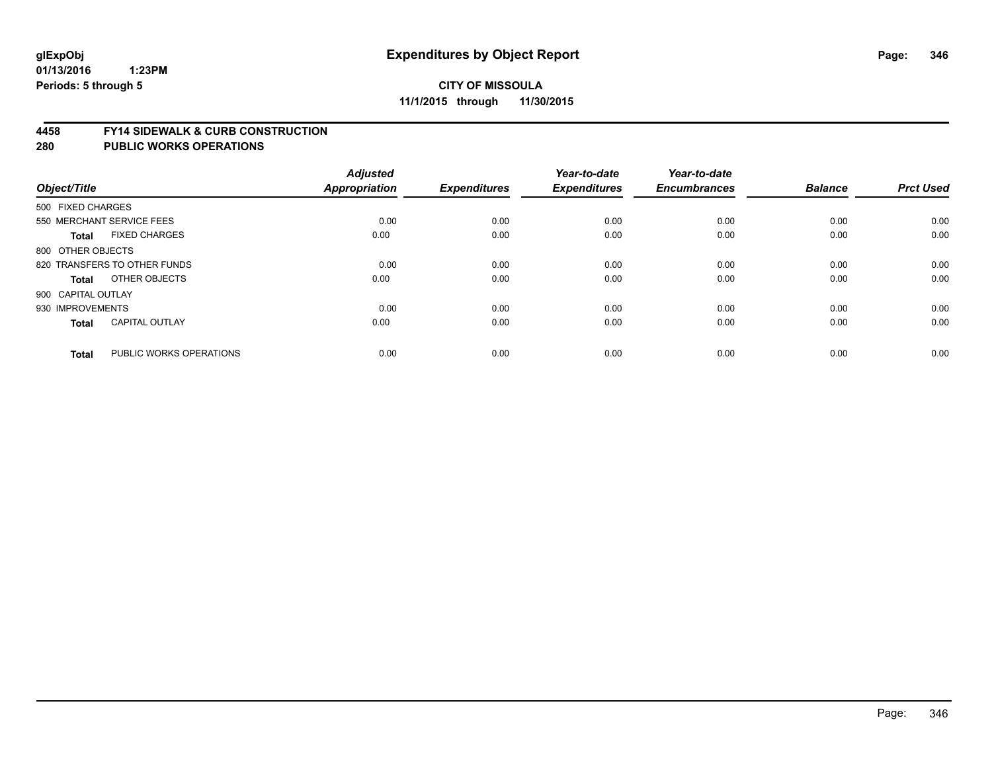#### **4458 FY14 SIDEWALK & CURB CONSTRUCTION**

| Object/Title       |                              | <b>Adjusted</b><br><b>Appropriation</b> | <b>Expenditures</b> | Year-to-date<br><b>Expenditures</b> | Year-to-date<br><b>Encumbrances</b> | <b>Balance</b> | <b>Prct Used</b> |
|--------------------|------------------------------|-----------------------------------------|---------------------|-------------------------------------|-------------------------------------|----------------|------------------|
| 500 FIXED CHARGES  |                              |                                         |                     |                                     |                                     |                |                  |
|                    | 550 MERCHANT SERVICE FEES    | 0.00                                    | 0.00                | 0.00                                | 0.00                                | 0.00           | 0.00             |
| <b>Total</b>       | <b>FIXED CHARGES</b>         | 0.00                                    | 0.00                | 0.00                                | 0.00                                | 0.00           | 0.00             |
| 800 OTHER OBJECTS  |                              |                                         |                     |                                     |                                     |                |                  |
|                    | 820 TRANSFERS TO OTHER FUNDS | 0.00                                    | 0.00                | 0.00                                | 0.00                                | 0.00           | 0.00             |
| Total              | OTHER OBJECTS                | 0.00                                    | 0.00                | 0.00                                | 0.00                                | 0.00           | 0.00             |
| 900 CAPITAL OUTLAY |                              |                                         |                     |                                     |                                     |                |                  |
| 930 IMPROVEMENTS   |                              | 0.00                                    | 0.00                | 0.00                                | 0.00                                | 0.00           | 0.00             |
| <b>Total</b>       | <b>CAPITAL OUTLAY</b>        | 0.00                                    | 0.00                | 0.00                                | 0.00                                | 0.00           | 0.00             |
| <b>Total</b>       | PUBLIC WORKS OPERATIONS      | 0.00                                    | 0.00                | 0.00                                | 0.00                                | 0.00           | 0.00             |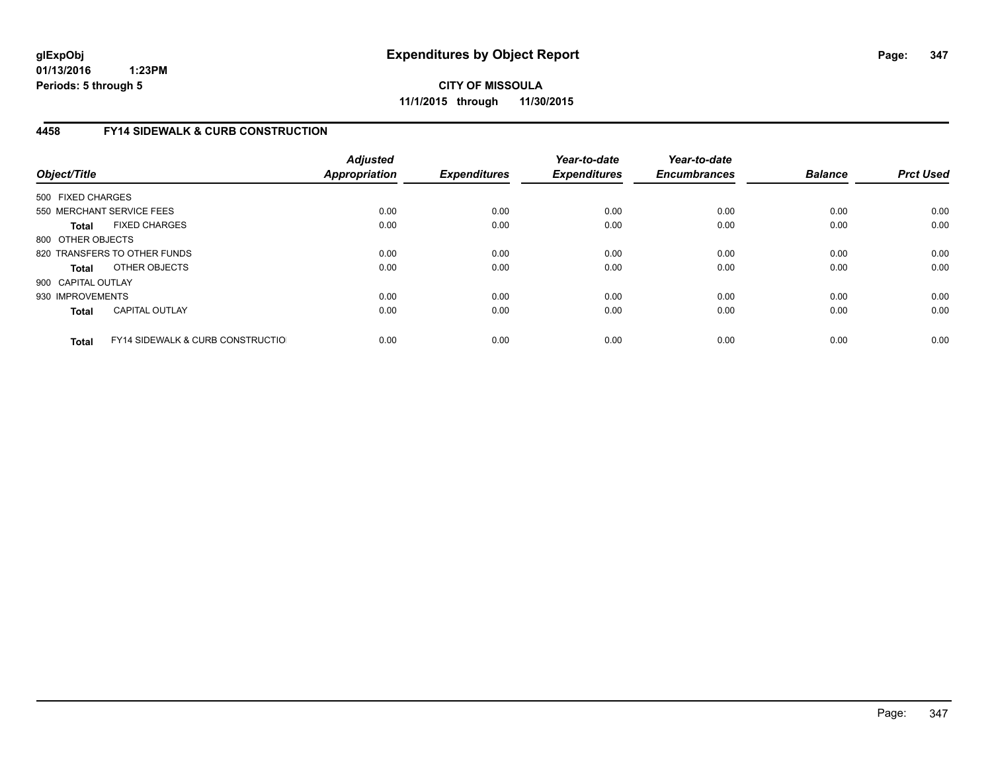**CITY OF MISSOULA 11/1/2015 through 11/30/2015**

# **4458 FY14 SIDEWALK & CURB CONSTRUCTION**

| Object/Title       |                                              | <b>Adjusted</b><br>Appropriation | <b>Expenditures</b> | Year-to-date<br><b>Expenditures</b> | Year-to-date<br><b>Encumbrances</b> | <b>Balance</b> | <b>Prct Used</b> |
|--------------------|----------------------------------------------|----------------------------------|---------------------|-------------------------------------|-------------------------------------|----------------|------------------|
| 500 FIXED CHARGES  |                                              |                                  |                     |                                     |                                     |                |                  |
|                    | 550 MERCHANT SERVICE FEES                    | 0.00                             | 0.00                | 0.00                                | 0.00                                | 0.00           | 0.00             |
| <b>Total</b>       | <b>FIXED CHARGES</b>                         | 0.00                             | 0.00                | 0.00                                | 0.00                                | 0.00           | 0.00             |
| 800 OTHER OBJECTS  |                                              |                                  |                     |                                     |                                     |                |                  |
|                    | 820 TRANSFERS TO OTHER FUNDS                 | 0.00                             | 0.00                | 0.00                                | 0.00                                | 0.00           | 0.00             |
| <b>Total</b>       | OTHER OBJECTS                                | 0.00                             | 0.00                | 0.00                                | 0.00                                | 0.00           | 0.00             |
| 900 CAPITAL OUTLAY |                                              |                                  |                     |                                     |                                     |                |                  |
| 930 IMPROVEMENTS   |                                              | 0.00                             | 0.00                | 0.00                                | 0.00                                | 0.00           | 0.00             |
| <b>Total</b>       | <b>CAPITAL OUTLAY</b>                        | 0.00                             | 0.00                | 0.00                                | 0.00                                | 0.00           | 0.00             |
| <b>Total</b>       | <b>FY14 SIDEWALK &amp; CURB CONSTRUCTIOL</b> | 0.00                             | 0.00                | 0.00                                | 0.00                                | 0.00           | 0.00             |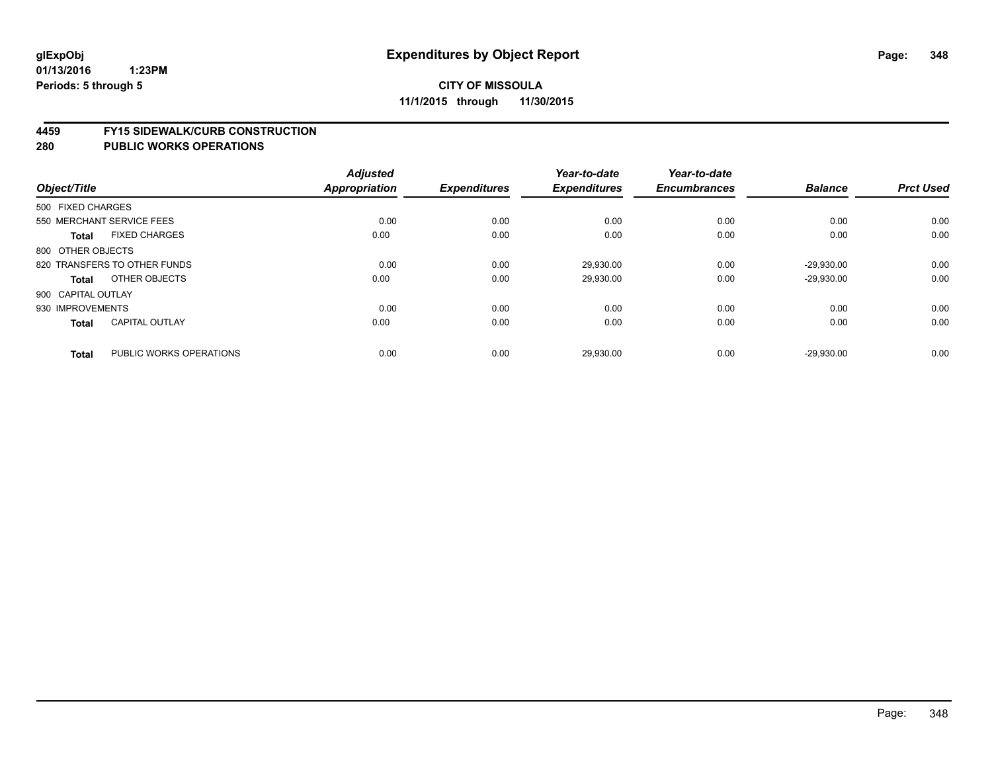#### **4459 FY15 SIDEWALK/CURB CONSTRUCTION**

|                    |                              | <b>Adjusted</b>      |                     | Year-to-date        | Year-to-date        |                |                  |
|--------------------|------------------------------|----------------------|---------------------|---------------------|---------------------|----------------|------------------|
| Object/Title       |                              | <b>Appropriation</b> | <b>Expenditures</b> | <b>Expenditures</b> | <b>Encumbrances</b> | <b>Balance</b> | <b>Prct Used</b> |
| 500 FIXED CHARGES  |                              |                      |                     |                     |                     |                |                  |
|                    | 550 MERCHANT SERVICE FEES    | 0.00                 | 0.00                | 0.00                | 0.00                | 0.00           | 0.00             |
| <b>Total</b>       | <b>FIXED CHARGES</b>         | 0.00                 | 0.00                | 0.00                | 0.00                | 0.00           | 0.00             |
| 800 OTHER OBJECTS  |                              |                      |                     |                     |                     |                |                  |
|                    | 820 TRANSFERS TO OTHER FUNDS | 0.00                 | 0.00                | 29,930.00           | 0.00                | $-29.930.00$   | 0.00             |
| Total              | OTHER OBJECTS                | 0.00                 | 0.00                | 29,930.00           | 0.00                | $-29,930.00$   | 0.00             |
| 900 CAPITAL OUTLAY |                              |                      |                     |                     |                     |                |                  |
| 930 IMPROVEMENTS   |                              | 0.00                 | 0.00                | 0.00                | 0.00                | 0.00           | 0.00             |
| <b>Total</b>       | <b>CAPITAL OUTLAY</b>        | 0.00                 | 0.00                | 0.00                | 0.00                | 0.00           | 0.00             |
| <b>Total</b>       | PUBLIC WORKS OPERATIONS      | 0.00                 | 0.00                | 29,930.00           | 0.00                | $-29,930.00$   | 0.00             |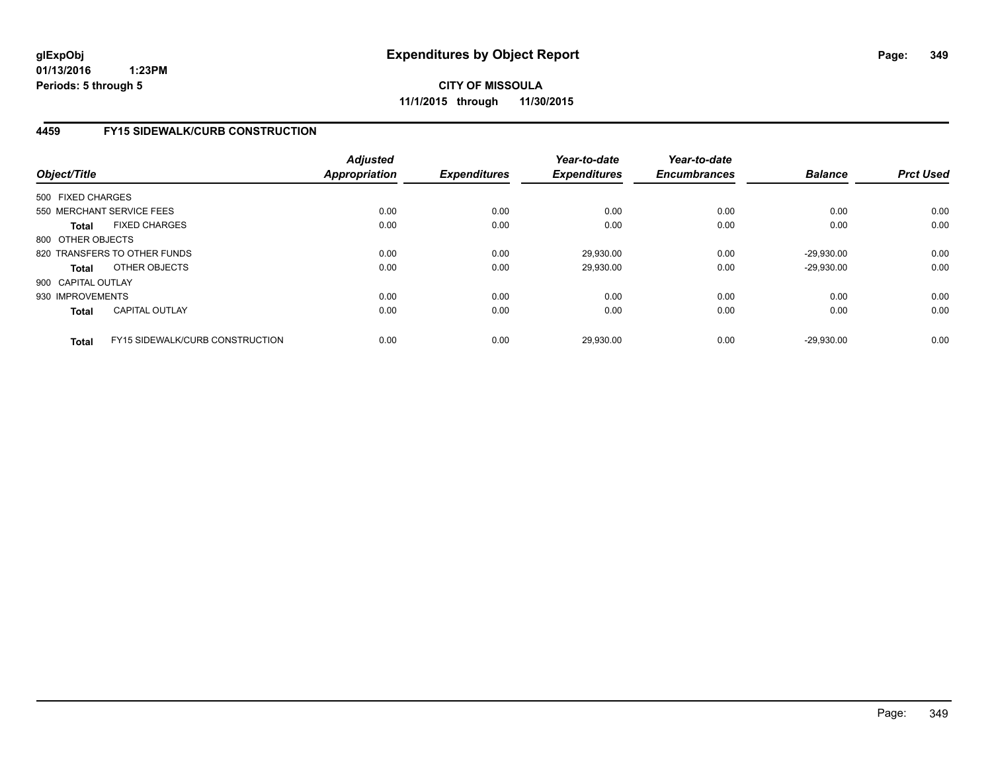**CITY OF MISSOULA 11/1/2015 through 11/30/2015**

# **4459 FY15 SIDEWALK/CURB CONSTRUCTION**

| Object/Title       |                                        | <b>Adjusted</b><br><b>Appropriation</b> | <b>Expenditures</b> | Year-to-date<br><b>Expenditures</b> | Year-to-date<br><b>Encumbrances</b> | <b>Balance</b> | <b>Prct Used</b> |
|--------------------|----------------------------------------|-----------------------------------------|---------------------|-------------------------------------|-------------------------------------|----------------|------------------|
| 500 FIXED CHARGES  |                                        |                                         |                     |                                     |                                     |                |                  |
|                    | 550 MERCHANT SERVICE FEES              | 0.00                                    | 0.00                | 0.00                                | 0.00                                | 0.00           | 0.00             |
| <b>Total</b>       | <b>FIXED CHARGES</b>                   | 0.00                                    | 0.00                | 0.00                                | 0.00                                | 0.00           | 0.00             |
| 800 OTHER OBJECTS  |                                        |                                         |                     |                                     |                                     |                |                  |
|                    | 820 TRANSFERS TO OTHER FUNDS           | 0.00                                    | 0.00                | 29,930.00                           | 0.00                                | $-29.930.00$   | 0.00             |
| <b>Total</b>       | OTHER OBJECTS                          | 0.00                                    | 0.00                | 29,930.00                           | 0.00                                | $-29,930.00$   | 0.00             |
| 900 CAPITAL OUTLAY |                                        |                                         |                     |                                     |                                     |                |                  |
| 930 IMPROVEMENTS   |                                        | 0.00                                    | 0.00                | 0.00                                | 0.00                                | 0.00           | 0.00             |
| <b>Total</b>       | <b>CAPITAL OUTLAY</b>                  | 0.00                                    | 0.00                | 0.00                                | 0.00                                | 0.00           | 0.00             |
| <b>Total</b>       | <b>FY15 SIDEWALK/CURB CONSTRUCTION</b> | 0.00                                    | 0.00                | 29.930.00                           | 0.00                                | $-29.930.00$   | 0.00             |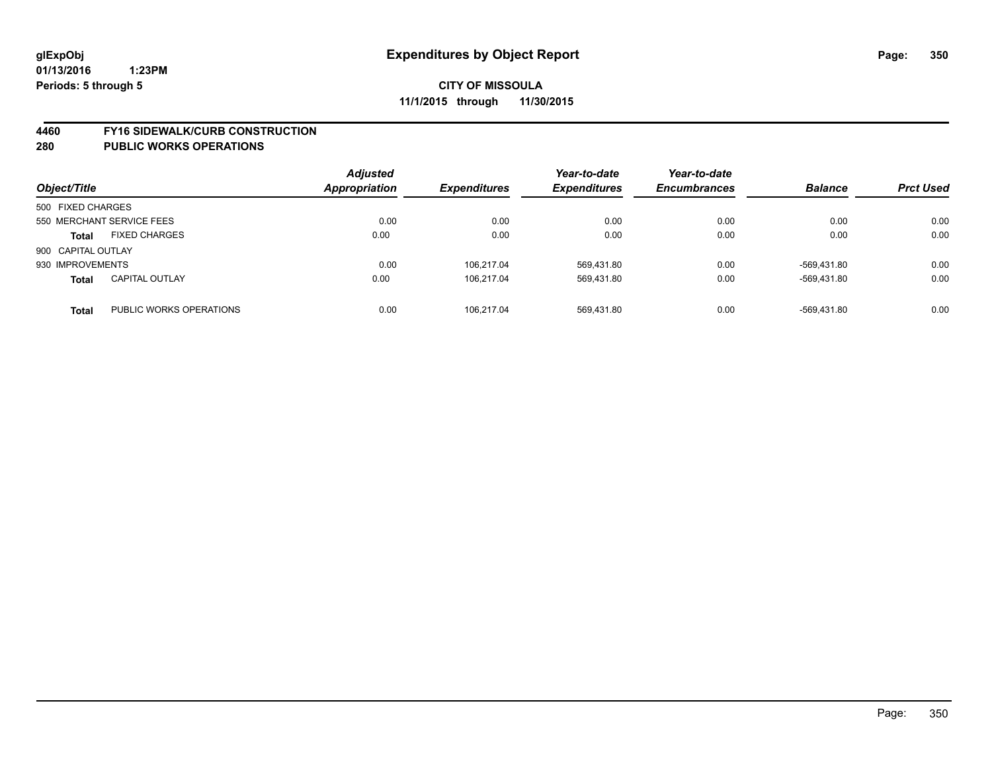#### **4460 FY16 SIDEWALK/CURB CONSTRUCTION**

| Object/Title                          |                         | <b>Adjusted</b><br>Appropriation | <b>Expenditures</b> | Year-to-date<br><b>Expenditures</b> | Year-to-date<br><b>Encumbrances</b> | <b>Balance</b> | <b>Prct Used</b> |
|---------------------------------------|-------------------------|----------------------------------|---------------------|-------------------------------------|-------------------------------------|----------------|------------------|
| 500 FIXED CHARGES                     |                         |                                  |                     |                                     |                                     |                |                  |
| 550 MERCHANT SERVICE FEES             |                         | 0.00                             | 0.00                | 0.00                                | 0.00                                | 0.00           | 0.00             |
| <b>FIXED CHARGES</b><br><b>Total</b>  |                         | 0.00                             | 0.00                | 0.00                                | 0.00                                | 0.00           | 0.00             |
| 900 CAPITAL OUTLAY                    |                         |                                  |                     |                                     |                                     |                |                  |
| 930 IMPROVEMENTS                      |                         | 0.00                             | 106.217.04          | 569,431.80                          | 0.00                                | -569,431.80    | 0.00             |
| <b>CAPITAL OUTLAY</b><br><b>Total</b> |                         | 0.00                             | 106.217.04          | 569,431.80                          | 0.00                                | -569.431.80    | 0.00             |
| <b>Total</b>                          | PUBLIC WORKS OPERATIONS | 0.00                             | 106.217.04          | 569.431.80                          | 0.00                                | -569.431.80    | 0.00             |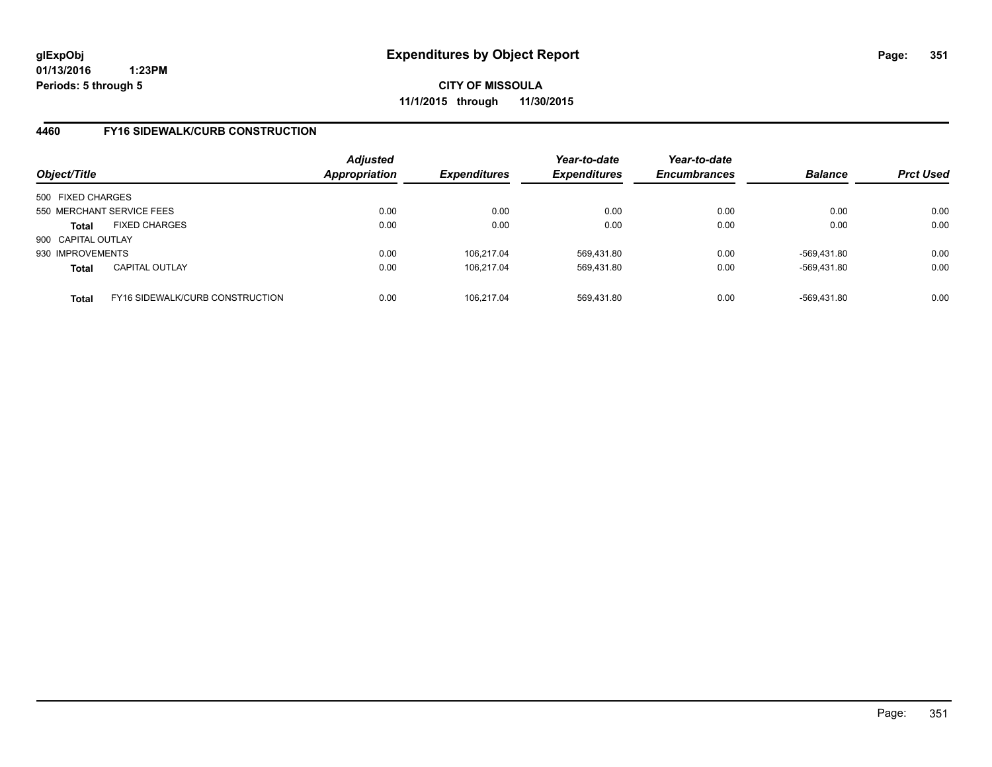**CITY OF MISSOULA 11/1/2015 through 11/30/2015**

# **4460 FY16 SIDEWALK/CURB CONSTRUCTION**

| Object/Title       |                                 | <b>Adjusted</b><br>Appropriation | <b>Expenditures</b> | Year-to-date<br><b>Expenditures</b> | Year-to-date<br><b>Encumbrances</b> | <b>Balance</b> | <b>Prct Used</b> |
|--------------------|---------------------------------|----------------------------------|---------------------|-------------------------------------|-------------------------------------|----------------|------------------|
| 500 FIXED CHARGES  |                                 |                                  |                     |                                     |                                     |                |                  |
|                    | 550 MERCHANT SERVICE FEES       | 0.00                             | 0.00                | 0.00                                | 0.00                                | 0.00           | 0.00             |
| Total              | <b>FIXED CHARGES</b>            | 0.00                             | 0.00                | 0.00                                | 0.00                                | 0.00           | 0.00             |
| 900 CAPITAL OUTLAY |                                 |                                  |                     |                                     |                                     |                |                  |
| 930 IMPROVEMENTS   |                                 | 0.00                             | 106.217.04          | 569.431.80                          | 0.00                                | -569.431.80    | 0.00             |
| <b>Total</b>       | <b>CAPITAL OUTLAY</b>           | 0.00                             | 106.217.04          | 569,431.80                          | 0.00                                | -569,431.80    | 0.00             |
| <b>Total</b>       | FY16 SIDEWALK/CURB CONSTRUCTION | 0.00                             | 106.217.04          | 569,431.80                          | 0.00                                | -569.431.80    | 0.00             |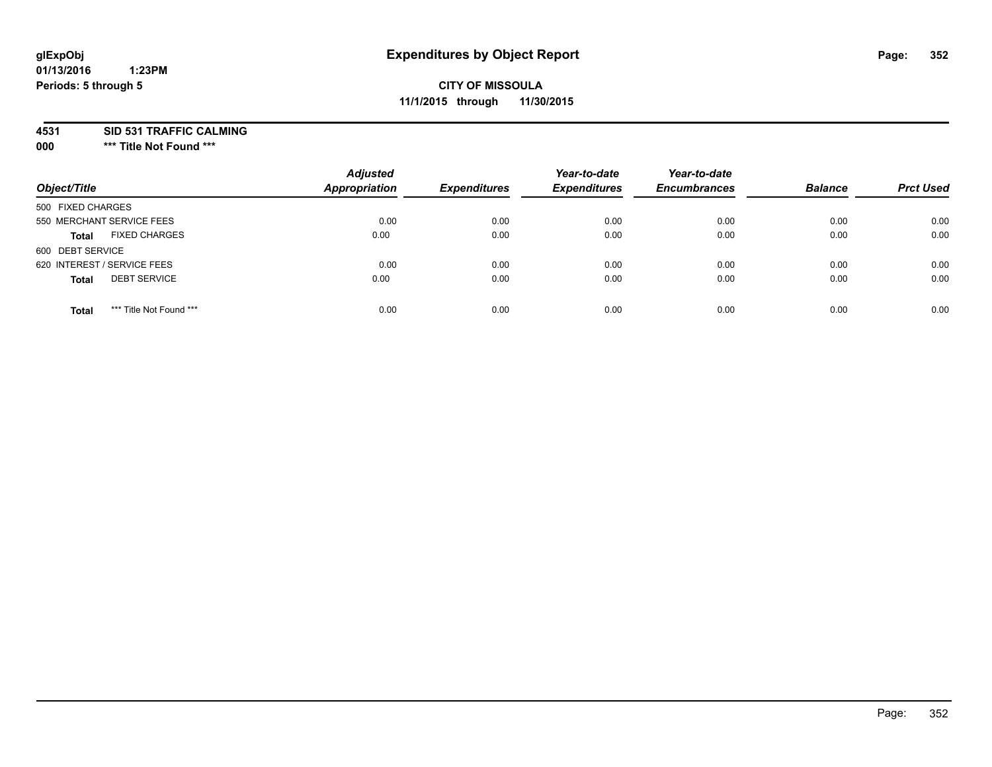# **glExpObj Expenditures by Object Report Page: 352**

#### **01/13/2016 1:23PM Periods: 5 through 5**

# **CITY OF MISSOULA 11/1/2015 through 11/30/2015**

**4531 SID 531 TRAFFIC CALMING**

**000 \*\*\* Title Not Found \*\*\***

| Object/Title                            | <b>Adjusted</b><br><b>Appropriation</b> | <b>Expenditures</b> | Year-to-date<br><b>Expenditures</b> | Year-to-date<br><b>Encumbrances</b> | <b>Balance</b> | <b>Prct Used</b> |
|-----------------------------------------|-----------------------------------------|---------------------|-------------------------------------|-------------------------------------|----------------|------------------|
| 500 FIXED CHARGES                       |                                         |                     |                                     |                                     |                |                  |
| 550 MERCHANT SERVICE FEES               | 0.00                                    | 0.00                | 0.00                                | 0.00                                | 0.00           | 0.00             |
| <b>FIXED CHARGES</b><br><b>Total</b>    | 0.00                                    | 0.00                | 0.00                                | 0.00                                | 0.00           | 0.00             |
| 600 DEBT SERVICE                        |                                         |                     |                                     |                                     |                |                  |
| 620 INTEREST / SERVICE FEES             | 0.00                                    | 0.00                | 0.00                                | 0.00                                | 0.00           | 0.00             |
| <b>DEBT SERVICE</b><br><b>Total</b>     | 0.00                                    | 0.00                | 0.00                                | 0.00                                | 0.00           | 0.00             |
| *** Title Not Found ***<br><b>Total</b> | 0.00                                    | 0.00                | 0.00                                | 0.00                                | 0.00           | 0.00             |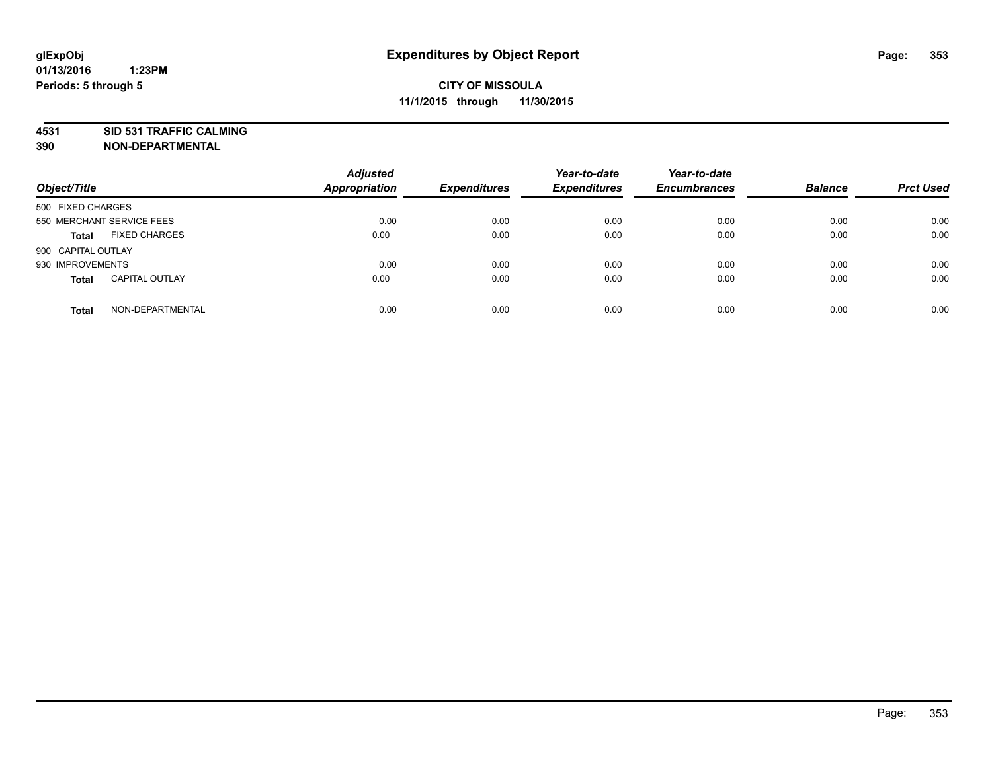# **4531 SID 531 TRAFFIC CALMING**

**390 NON-DEPARTMENTAL**

| Object/Title       |                           | <b>Adjusted</b><br><b>Appropriation</b> | <b>Expenditures</b> | Year-to-date<br><b>Expenditures</b> | Year-to-date<br><b>Encumbrances</b> | <b>Balance</b> | <b>Prct Used</b> |
|--------------------|---------------------------|-----------------------------------------|---------------------|-------------------------------------|-------------------------------------|----------------|------------------|
| 500 FIXED CHARGES  |                           |                                         |                     |                                     |                                     |                |                  |
|                    | 550 MERCHANT SERVICE FEES | 0.00                                    | 0.00                | 0.00                                | 0.00                                | 0.00           | 0.00             |
| <b>Total</b>       | <b>FIXED CHARGES</b>      | 0.00                                    | 0.00                | 0.00                                | 0.00                                | 0.00           | 0.00             |
| 900 CAPITAL OUTLAY |                           |                                         |                     |                                     |                                     |                |                  |
| 930 IMPROVEMENTS   |                           | 0.00                                    | 0.00                | 0.00                                | 0.00                                | 0.00           | 0.00             |
| <b>Total</b>       | <b>CAPITAL OUTLAY</b>     | 0.00                                    | 0.00                | 0.00                                | 0.00                                | 0.00           | 0.00             |
| <b>Total</b>       | NON-DEPARTMENTAL          | 0.00                                    | 0.00                | 0.00                                | 0.00                                | 0.00           | 0.00             |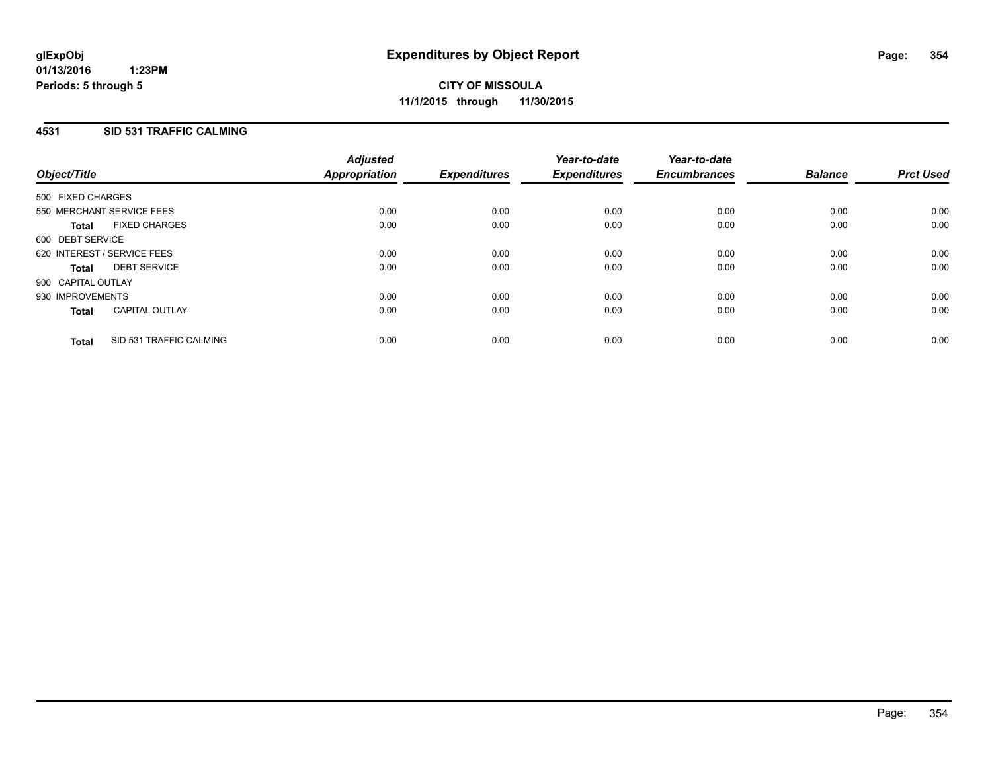# **4531 SID 531 TRAFFIC CALMING**

| Object/Title       |                             | <b>Adjusted</b><br>Appropriation | <b>Expenditures</b> | Year-to-date<br><b>Expenditures</b> | Year-to-date<br><b>Encumbrances</b> | <b>Balance</b> | <b>Prct Used</b> |
|--------------------|-----------------------------|----------------------------------|---------------------|-------------------------------------|-------------------------------------|----------------|------------------|
| 500 FIXED CHARGES  |                             |                                  |                     |                                     |                                     |                |                  |
|                    | 550 MERCHANT SERVICE FEES   | 0.00                             | 0.00                | 0.00                                | 0.00                                | 0.00           | 0.00             |
| <b>Total</b>       | <b>FIXED CHARGES</b>        | 0.00                             | 0.00                | 0.00                                | 0.00                                | 0.00           | 0.00             |
| 600 DEBT SERVICE   |                             |                                  |                     |                                     |                                     |                |                  |
|                    | 620 INTEREST / SERVICE FEES | 0.00                             | 0.00                | 0.00                                | 0.00                                | 0.00           | 0.00             |
| Total              | <b>DEBT SERVICE</b>         | 0.00                             | 0.00                | 0.00                                | 0.00                                | 0.00           | 0.00             |
| 900 CAPITAL OUTLAY |                             |                                  |                     |                                     |                                     |                |                  |
| 930 IMPROVEMENTS   |                             | 0.00                             | 0.00                | 0.00                                | 0.00                                | 0.00           | 0.00             |
| <b>Total</b>       | <b>CAPITAL OUTLAY</b>       | 0.00                             | 0.00                | 0.00                                | 0.00                                | 0.00           | 0.00             |
| <b>Total</b>       | SID 531 TRAFFIC CALMING     | 0.00                             | 0.00                | 0.00                                | 0.00                                | 0.00           | 0.00             |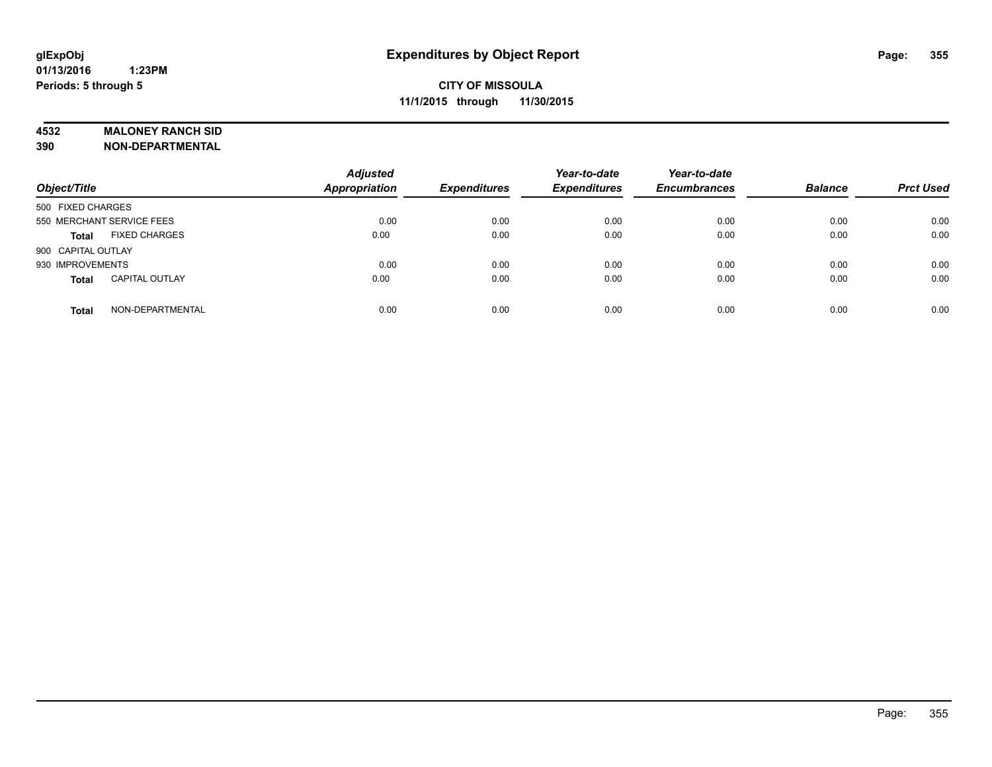#### **4532 MALONEY RANCH SID**

**390 NON-DEPARTMENTAL**

| Object/Title                          | <b>Adjusted</b><br><b>Appropriation</b> | <b>Expenditures</b> | Year-to-date<br><b>Expenditures</b> | Year-to-date<br><b>Encumbrances</b> | <b>Balance</b> | <b>Prct Used</b> |
|---------------------------------------|-----------------------------------------|---------------------|-------------------------------------|-------------------------------------|----------------|------------------|
| 500 FIXED CHARGES                     |                                         |                     |                                     |                                     |                |                  |
| 550 MERCHANT SERVICE FEES             | 0.00                                    | 0.00                | 0.00                                | 0.00                                | 0.00           | 0.00             |
| <b>FIXED CHARGES</b><br><b>Total</b>  | 0.00                                    | 0.00                | 0.00                                | 0.00                                | 0.00           | 0.00             |
| 900 CAPITAL OUTLAY                    |                                         |                     |                                     |                                     |                |                  |
| 930 IMPROVEMENTS                      | 0.00                                    | 0.00                | 0.00                                | 0.00                                | 0.00           | 0.00             |
| <b>CAPITAL OUTLAY</b><br><b>Total</b> | 0.00                                    | 0.00                | 0.00                                | 0.00                                | 0.00           | 0.00             |
| NON-DEPARTMENTAL<br><b>Total</b>      | 0.00                                    | 0.00                | 0.00                                | 0.00                                | 0.00           | 0.00             |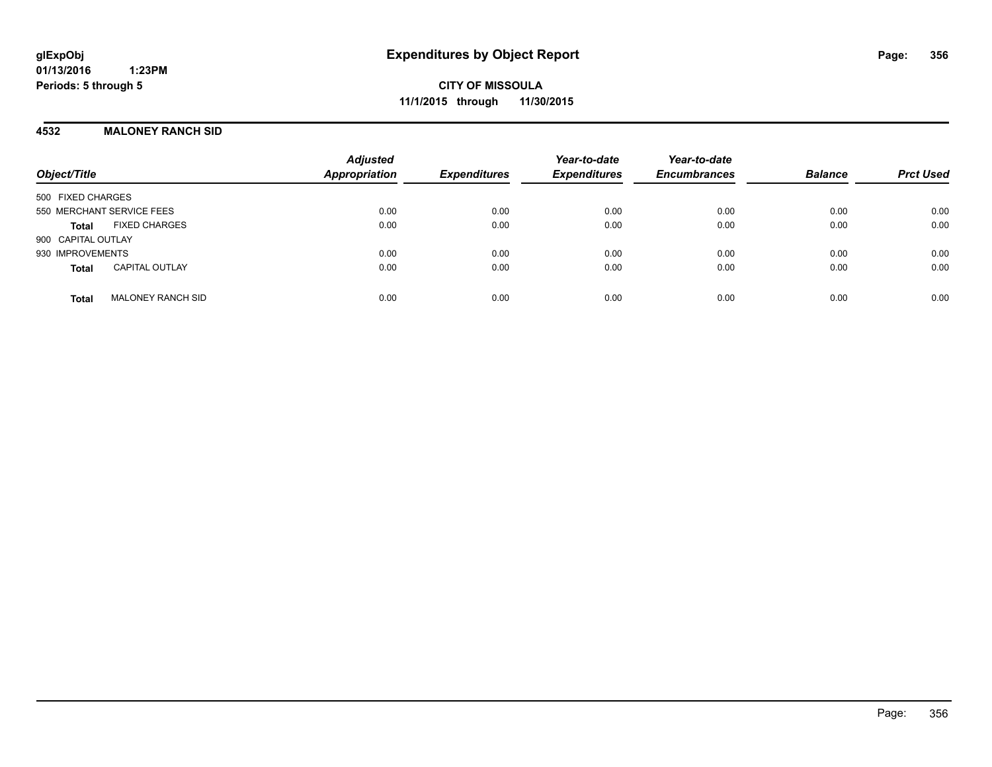**CITY OF MISSOULA 11/1/2015 through 11/30/2015**

### **4532 MALONEY RANCH SID**

| Object/Title                             | <b>Adjusted</b><br><b>Appropriation</b> | <b>Expenditures</b> | Year-to-date<br><b>Expenditures</b> | Year-to-date<br><b>Encumbrances</b> | <b>Balance</b> | <b>Prct Used</b> |
|------------------------------------------|-----------------------------------------|---------------------|-------------------------------------|-------------------------------------|----------------|------------------|
| 500 FIXED CHARGES                        |                                         |                     |                                     |                                     |                |                  |
| 550 MERCHANT SERVICE FEES                | 0.00                                    | 0.00                | 0.00                                | 0.00                                | 0.00           | 0.00             |
| <b>FIXED CHARGES</b><br>Total            | 0.00                                    | 0.00                | 0.00                                | 0.00                                | 0.00           | 0.00             |
| 900 CAPITAL OUTLAY                       |                                         |                     |                                     |                                     |                |                  |
| 930 IMPROVEMENTS                         | 0.00                                    | 0.00                | 0.00                                | 0.00                                | 0.00           | 0.00             |
| <b>CAPITAL OUTLAY</b><br><b>Total</b>    | 0.00                                    | 0.00                | 0.00                                | 0.00                                | 0.00           | 0.00             |
| <b>MALONEY RANCH SID</b><br><b>Total</b> | 0.00                                    | 0.00                | 0.00                                | 0.00                                | 0.00           | 0.00             |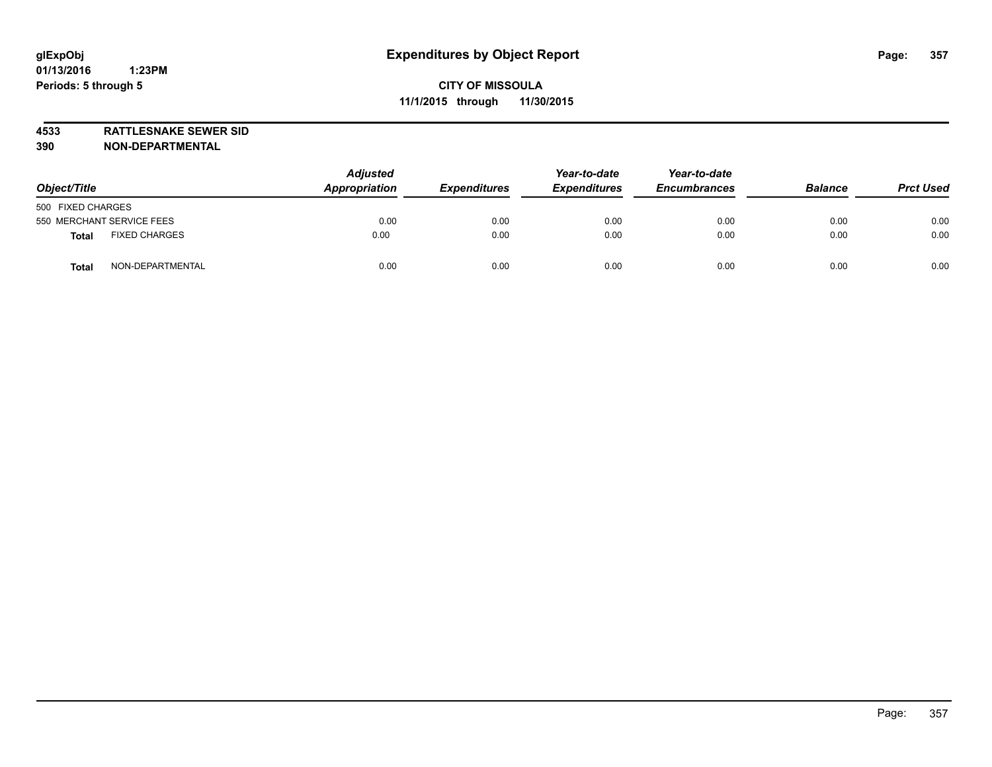**4533 RATTLESNAKE SEWER SID**

**390 NON-DEPARTMENTAL**

| Object/Title                         | <b>Adjusted</b><br>Appropriation | <b>Expenditures</b> | Year-to-date<br><b>Expenditures</b> | Year-to-date<br><b>Encumbrances</b> | <b>Balance</b> | <b>Prct Used</b> |
|--------------------------------------|----------------------------------|---------------------|-------------------------------------|-------------------------------------|----------------|------------------|
| 500 FIXED CHARGES                    |                                  |                     |                                     |                                     |                |                  |
| 550 MERCHANT SERVICE FEES            | 0.00                             | 0.00                | 0.00                                | 0.00                                | 0.00           | 0.00             |
| <b>FIXED CHARGES</b><br><b>Total</b> | 0.00                             | 0.00                | 0.00                                | 0.00                                | 0.00           | 0.00             |
| NON-DEPARTMENTAL<br>Tota             | 0.00                             | 0.00                | 0.00                                | 0.00                                | 0.00           | 0.00             |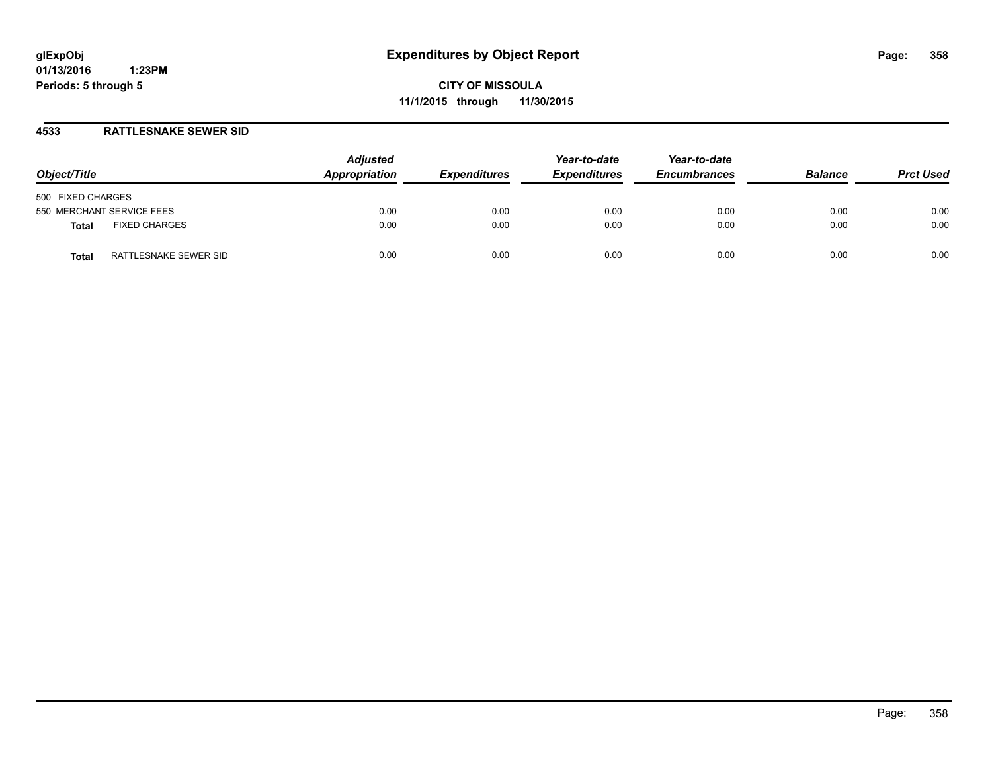**CITY OF MISSOULA 11/1/2015 through 11/30/2015**

### **4533 RATTLESNAKE SEWER SID**

| Object/Title                         | <b>Adjusted</b><br>Appropriation | <b>Expenditures</b> | Year-to-date<br><b>Expenditures</b> | Year-to-date<br><b>Encumbrances</b> | <b>Balance</b> | <b>Prct Used</b> |
|--------------------------------------|----------------------------------|---------------------|-------------------------------------|-------------------------------------|----------------|------------------|
| 500 FIXED CHARGES                    |                                  |                     |                                     |                                     |                |                  |
| 550 MERCHANT SERVICE FEES            | 0.00                             | 0.00                | 0.00                                | 0.00                                | 0.00           | 0.00             |
| <b>FIXED CHARGES</b><br><b>Total</b> | 0.00                             | 0.00                | 0.00                                | 0.00                                | 0.00           | 0.00             |
| RATTLESNAKE SEWER SID<br>Total       | 0.00                             | 0.00                | 0.00                                | 0.00                                | 0.00           | 0.00             |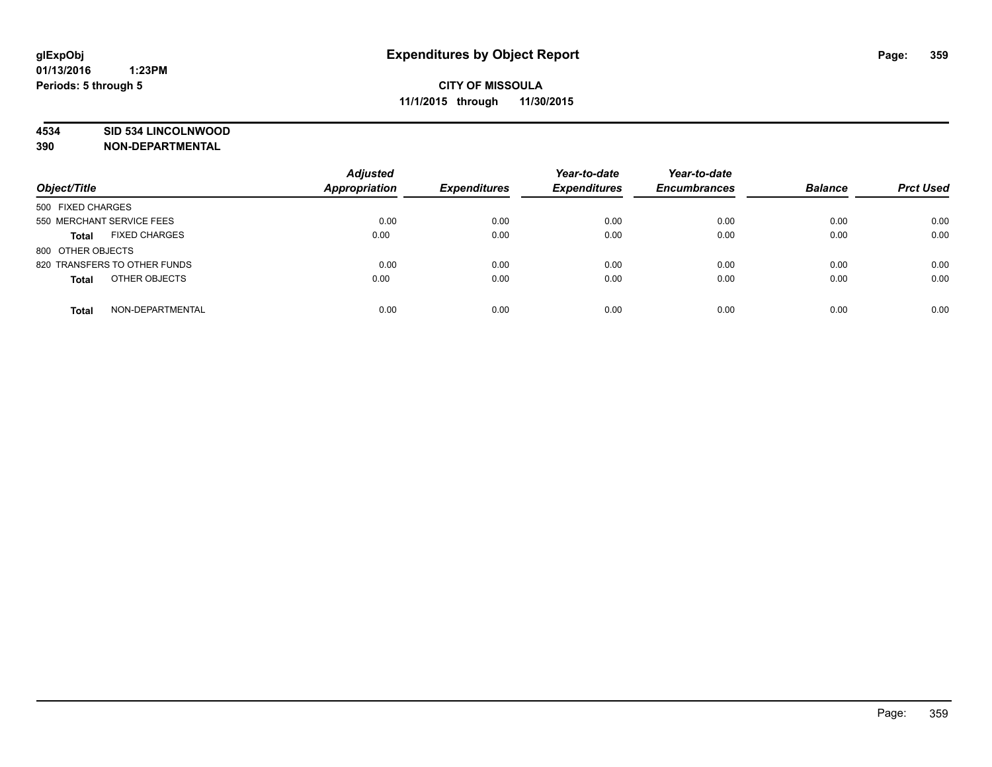### **4534 SID 534 LINCOLNWOOD**

**390 NON-DEPARTMENTAL**

| Object/Title                         | <b>Adjusted</b><br>Appropriation | <b>Expenditures</b> | Year-to-date<br><b>Expenditures</b> | Year-to-date<br><b>Encumbrances</b> | <b>Balance</b> | <b>Prct Used</b> |
|--------------------------------------|----------------------------------|---------------------|-------------------------------------|-------------------------------------|----------------|------------------|
| 500 FIXED CHARGES                    |                                  |                     |                                     |                                     |                |                  |
| 550 MERCHANT SERVICE FEES            | 0.00                             | 0.00                | 0.00                                | 0.00                                | 0.00           | 0.00             |
| <b>FIXED CHARGES</b><br><b>Total</b> | 0.00                             | 0.00                | 0.00                                | 0.00                                | 0.00           | 0.00             |
| 800 OTHER OBJECTS                    |                                  |                     |                                     |                                     |                |                  |
| 820 TRANSFERS TO OTHER FUNDS         | 0.00                             | 0.00                | 0.00                                | 0.00                                | 0.00           | 0.00             |
| OTHER OBJECTS<br><b>Total</b>        | 0.00                             | 0.00                | 0.00                                | 0.00                                | 0.00           | 0.00             |
| NON-DEPARTMENTAL<br><b>Total</b>     | 0.00                             | 0.00                | 0.00                                | 0.00                                | 0.00           | 0.00             |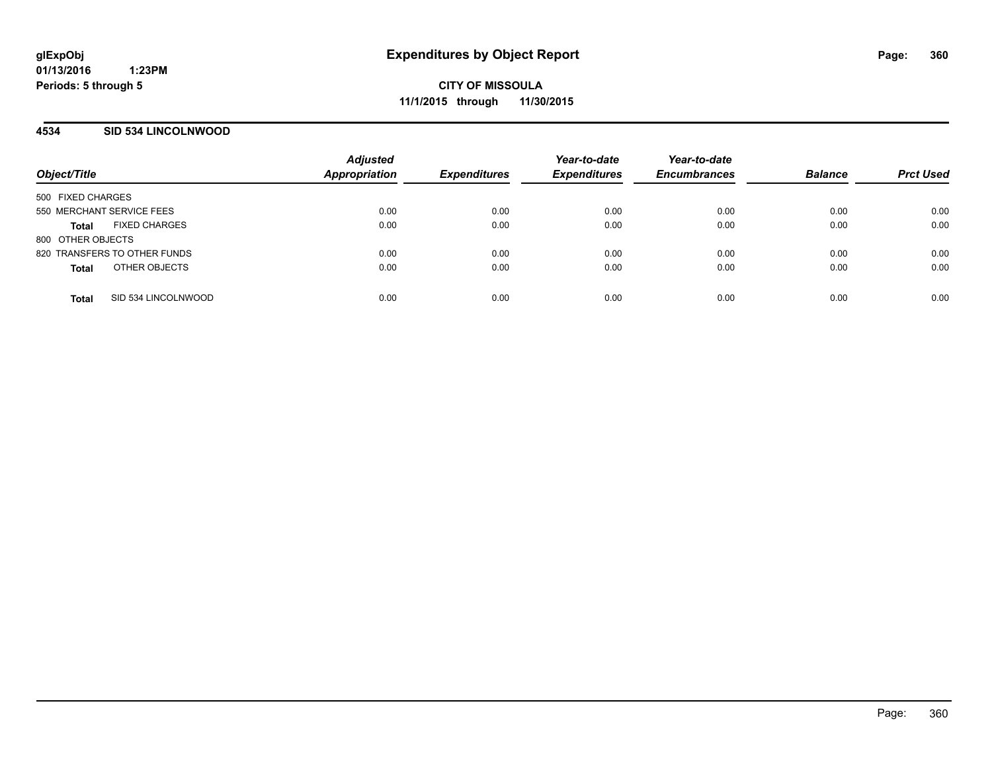### **4534 SID 534 LINCOLNWOOD**

| Object/Title                         | <b>Adjusted</b><br>Appropriation | <b>Expenditures</b> | Year-to-date<br><b>Expenditures</b> | Year-to-date<br><b>Encumbrances</b> | <b>Balance</b> | <b>Prct Used</b> |
|--------------------------------------|----------------------------------|---------------------|-------------------------------------|-------------------------------------|----------------|------------------|
| 500 FIXED CHARGES                    |                                  |                     |                                     |                                     |                |                  |
| 550 MERCHANT SERVICE FEES            | 0.00                             | 0.00                | 0.00                                | 0.00                                | 0.00           | 0.00             |
| <b>FIXED CHARGES</b><br><b>Total</b> | 0.00                             | 0.00                | 0.00                                | 0.00                                | 0.00           | 0.00             |
| 800 OTHER OBJECTS                    |                                  |                     |                                     |                                     |                |                  |
| 820 TRANSFERS TO OTHER FUNDS         | 0.00                             | 0.00                | 0.00                                | 0.00                                | 0.00           | 0.00             |
| OTHER OBJECTS<br><b>Total</b>        | 0.00                             | 0.00                | 0.00                                | 0.00                                | 0.00           | 0.00             |
| SID 534 LINCOLNWOOD<br><b>Total</b>  | 0.00                             | 0.00                | 0.00                                | 0.00                                | 0.00           | 0.00             |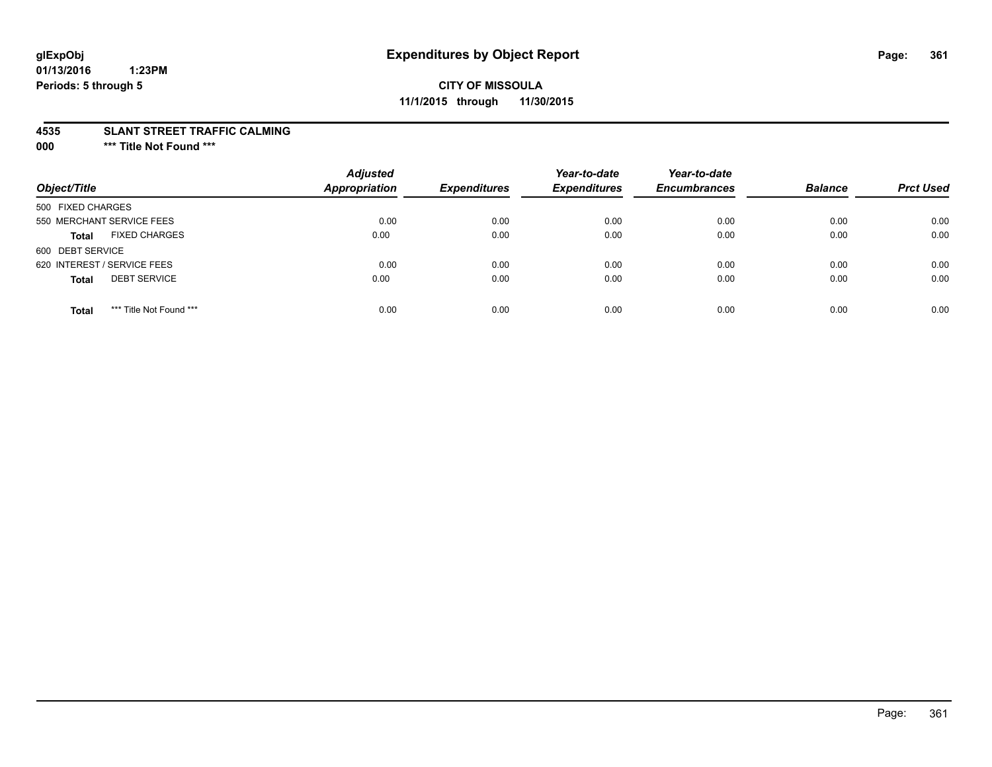# **glExpObj Expenditures by Object Report Page: 361**

#### **01/13/2016 1:23PM Periods: 5 through 5**

## **CITY OF MISSOULA 11/1/2015 through 11/30/2015**

#### **4535 SLANT STREET TRAFFIC CALMING**

**000 \*\*\* Title Not Found \*\*\***

| Object/Title                            | <b>Adjusted</b><br><b>Appropriation</b> | <b>Expenditures</b> | Year-to-date<br><b>Expenditures</b> | Year-to-date<br><b>Encumbrances</b> | <b>Balance</b> | <b>Prct Used</b> |
|-----------------------------------------|-----------------------------------------|---------------------|-------------------------------------|-------------------------------------|----------------|------------------|
| 500 FIXED CHARGES                       |                                         |                     |                                     |                                     |                |                  |
| 550 MERCHANT SERVICE FEES               | 0.00                                    | 0.00                | 0.00                                | 0.00                                | 0.00           | 0.00             |
| <b>FIXED CHARGES</b><br><b>Total</b>    | 0.00                                    | 0.00                | 0.00                                | 0.00                                | 0.00           | 0.00             |
| 600 DEBT SERVICE                        |                                         |                     |                                     |                                     |                |                  |
| 620 INTEREST / SERVICE FEES             | 0.00                                    | 0.00                | 0.00                                | 0.00                                | 0.00           | 0.00             |
| <b>DEBT SERVICE</b><br><b>Total</b>     | 0.00                                    | 0.00                | 0.00                                | 0.00                                | 0.00           | 0.00             |
| *** Title Not Found ***<br><b>Total</b> | 0.00                                    | 0.00                | 0.00                                | 0.00                                | 0.00           | 0.00             |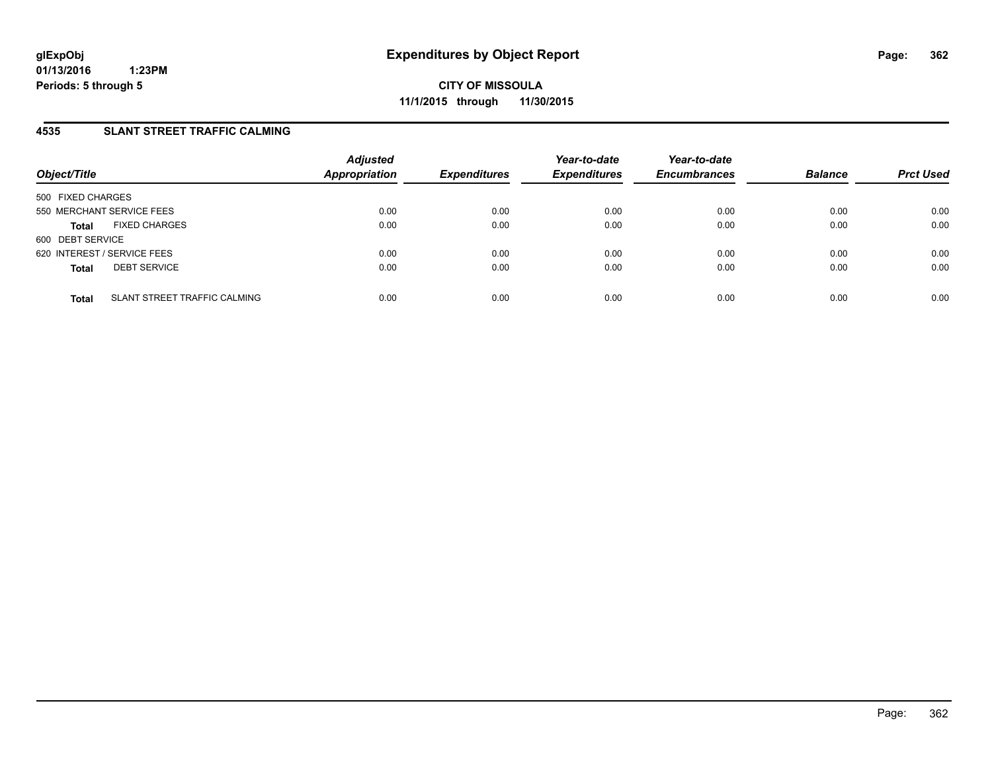## **4535 SLANT STREET TRAFFIC CALMING**

| Object/Title                                 | <b>Adjusted</b><br><b>Appropriation</b> | <b>Expenditures</b> | Year-to-date<br><b>Expenditures</b> | Year-to-date<br><b>Encumbrances</b> | <b>Balance</b> | <b>Prct Used</b> |
|----------------------------------------------|-----------------------------------------|---------------------|-------------------------------------|-------------------------------------|----------------|------------------|
| 500 FIXED CHARGES                            |                                         |                     |                                     |                                     |                |                  |
| 550 MERCHANT SERVICE FEES                    | 0.00                                    | 0.00                | 0.00                                | 0.00                                | 0.00           | 0.00             |
| <b>FIXED CHARGES</b><br><b>Total</b>         | 0.00                                    | 0.00                | 0.00                                | 0.00                                | 0.00           | 0.00             |
| 600 DEBT SERVICE                             |                                         |                     |                                     |                                     |                |                  |
| 620 INTEREST / SERVICE FEES                  | 0.00                                    | 0.00                | 0.00                                | 0.00                                | 0.00           | 0.00             |
| <b>DEBT SERVICE</b><br><b>Total</b>          | 0.00                                    | 0.00                | 0.00                                | 0.00                                | 0.00           | 0.00             |
| SLANT STREET TRAFFIC CALMING<br><b>Total</b> | 0.00                                    | 0.00                | 0.00                                | 0.00                                | 0.00           | 0.00             |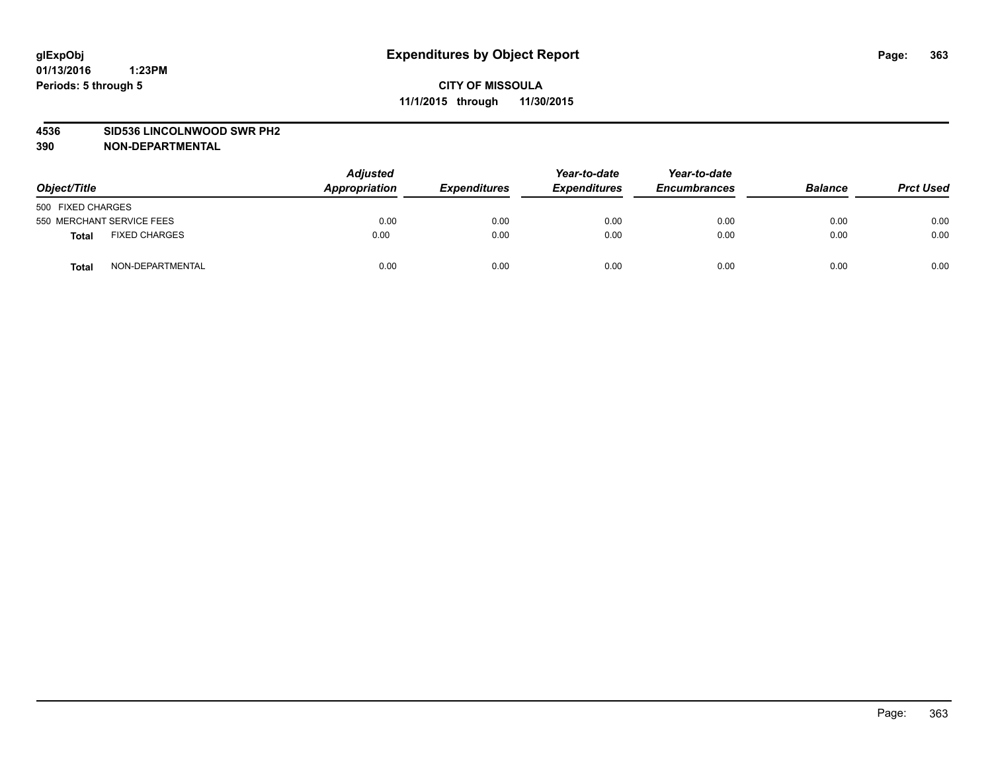#### **4536 SID536 LINCOLNWOOD SWR PH2**

| Object/Title                         | <b>Adjusted</b><br>Appropriation | <b>Expenditures</b> | Year-to-date<br><b>Expenditures</b> | Year-to-date<br><b>Encumbrances</b> | <b>Balance</b> | <b>Prct Used</b> |
|--------------------------------------|----------------------------------|---------------------|-------------------------------------|-------------------------------------|----------------|------------------|
| 500 FIXED CHARGES                    |                                  |                     |                                     |                                     |                |                  |
| 550 MERCHANT SERVICE FEES            | 0.00                             | 0.00                | 0.00                                | 0.00                                | 0.00           | 0.00             |
| <b>FIXED CHARGES</b><br><b>Total</b> | 0.00                             | 0.00                | 0.00                                | 0.00                                | 0.00           | 0.00             |
| NON-DEPARTMENTAL<br>Total            | 0.00                             | 0.00                | 0.00                                | 0.00                                | 0.00           | 0.00             |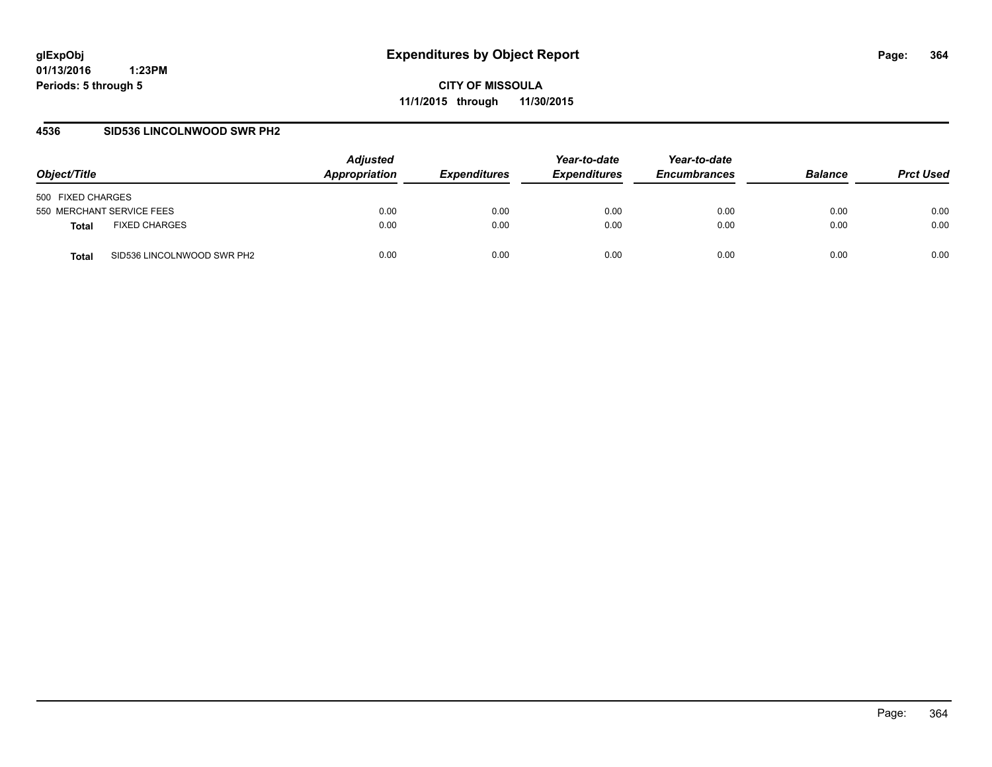**CITY OF MISSOULA 11/1/2015 through 11/30/2015**

### **4536 SID536 LINCOLNWOOD SWR PH2**

| Object/Title                         | <b>Adjusted</b><br>Appropriation | <b>Expenditures</b> | Year-to-date<br><b>Expenditures</b> | Year-to-date<br><b>Encumbrances</b> | <b>Balance</b> | <b>Prct Used</b> |
|--------------------------------------|----------------------------------|---------------------|-------------------------------------|-------------------------------------|----------------|------------------|
| 500 FIXED CHARGES                    |                                  |                     |                                     |                                     |                |                  |
| 550 MERCHANT SERVICE FEES            | 0.00                             | 0.00                | 0.00                                | 0.00                                | 0.00           | 0.00             |
| <b>FIXED CHARGES</b><br><b>Total</b> | 0.00                             | 0.00                | 0.00                                | 0.00                                | 0.00           | 0.00             |
| SID536 LINCOLNWOOD SWR PH2<br>Total  | 0.00                             | 0.00                | 0.00                                | 0.00                                | 0.00           | 0.00             |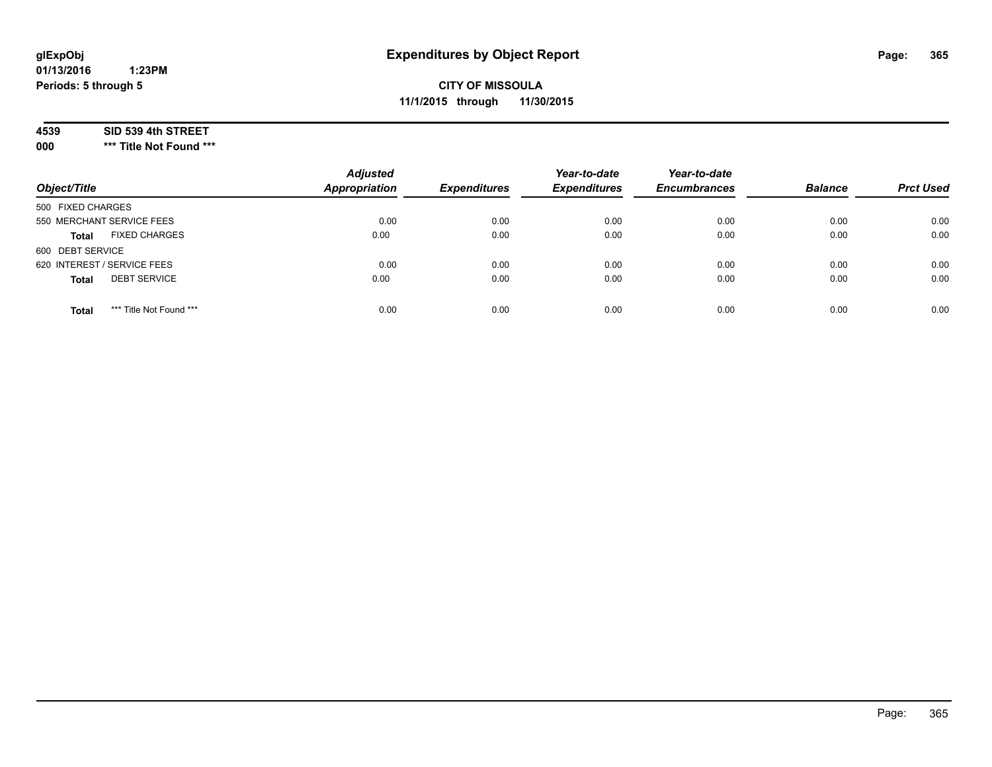# **CITY OF MISSOULA 11/1/2015 through 11/30/2015**

#### **4539 SID 539 4th STREET**

**000 \*\*\* Title Not Found \*\*\***

| Object/Title                            | <b>Adjusted</b><br><b>Appropriation</b> | <b>Expenditures</b> | Year-to-date<br><b>Expenditures</b> | Year-to-date<br><b>Encumbrances</b> | <b>Balance</b> | <b>Prct Used</b> |
|-----------------------------------------|-----------------------------------------|---------------------|-------------------------------------|-------------------------------------|----------------|------------------|
| 500 FIXED CHARGES                       |                                         |                     |                                     |                                     |                |                  |
| 550 MERCHANT SERVICE FEES               | 0.00                                    | 0.00                | 0.00                                | 0.00                                | 0.00           | 0.00             |
| <b>FIXED CHARGES</b><br><b>Total</b>    | 0.00                                    | 0.00                | 0.00                                | 0.00                                | 0.00           | 0.00             |
| 600 DEBT SERVICE                        |                                         |                     |                                     |                                     |                |                  |
| 620 INTEREST / SERVICE FEES             | 0.00                                    | 0.00                | 0.00                                | 0.00                                | 0.00           | 0.00             |
| <b>DEBT SERVICE</b><br><b>Total</b>     | 0.00                                    | 0.00                | 0.00                                | 0.00                                | 0.00           | 0.00             |
| *** Title Not Found ***<br><b>Total</b> | 0.00                                    | 0.00                | 0.00                                | 0.00                                | 0.00           | 0.00             |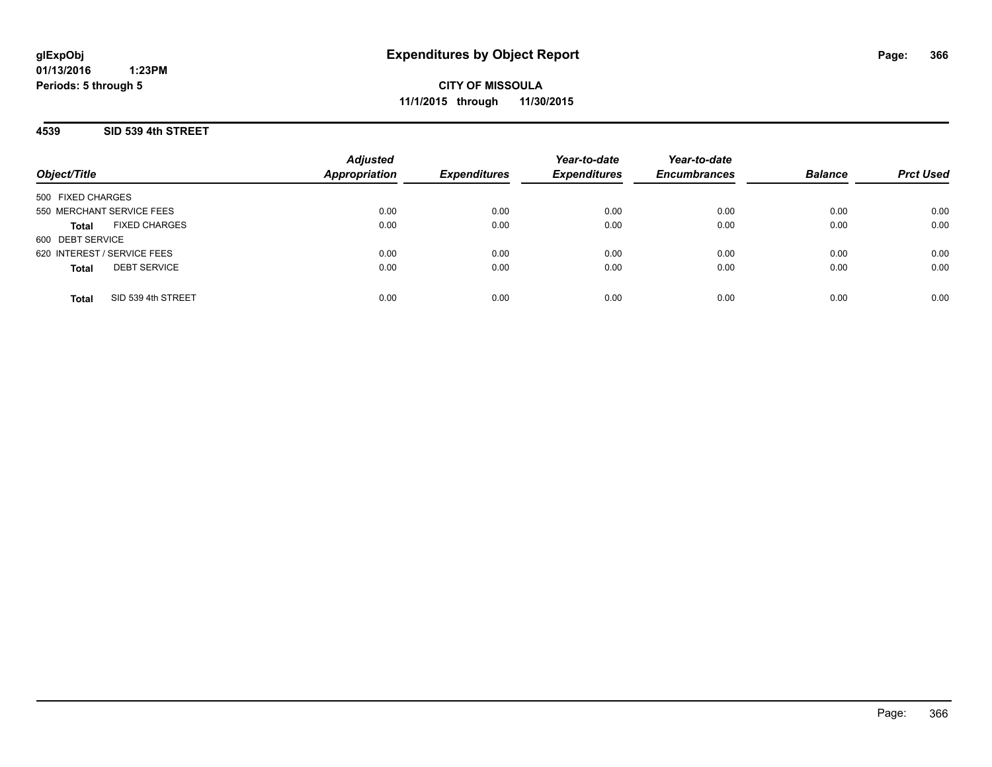**CITY OF MISSOULA 11/1/2015 through 11/30/2015**

## **4539 SID 539 4th STREET**

| Object/Title                         | <b>Adjusted</b><br><b>Appropriation</b> | <b>Expenditures</b> | Year-to-date<br><b>Expenditures</b> | Year-to-date<br><b>Encumbrances</b> | <b>Balance</b> | <b>Prct Used</b> |
|--------------------------------------|-----------------------------------------|---------------------|-------------------------------------|-------------------------------------|----------------|------------------|
| 500 FIXED CHARGES                    |                                         |                     |                                     |                                     |                |                  |
| 550 MERCHANT SERVICE FEES            | 0.00                                    | 0.00                | 0.00                                | 0.00                                | 0.00           | 0.00             |
| <b>FIXED CHARGES</b><br><b>Total</b> | 0.00                                    | 0.00                | 0.00                                | 0.00                                | 0.00           | 0.00             |
| 600 DEBT SERVICE                     |                                         |                     |                                     |                                     |                |                  |
| 620 INTEREST / SERVICE FEES          | 0.00                                    | 0.00                | 0.00                                | 0.00                                | 0.00           | 0.00             |
| <b>DEBT SERVICE</b><br><b>Total</b>  | 0.00                                    | 0.00                | 0.00                                | 0.00                                | 0.00           | 0.00             |
| SID 539 4th STREET<br>Total          | 0.00                                    | 0.00                | 0.00                                | 0.00                                | 0.00           | 0.00             |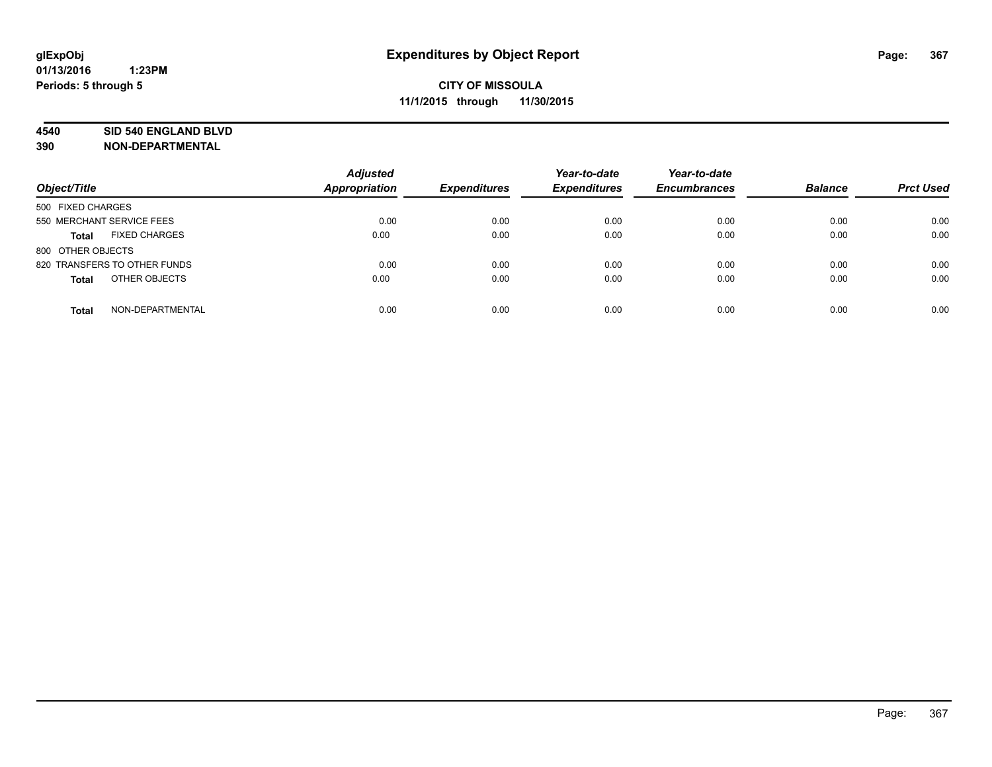#### **4540 SID 540 ENGLAND BLVD**

| Object/Title                     | <b>Adjusted</b><br><b>Appropriation</b> | <b>Expenditures</b> | Year-to-date<br><b>Expenditures</b> | Year-to-date<br><b>Encumbrances</b> | <b>Balance</b> | <b>Prct Used</b> |
|----------------------------------|-----------------------------------------|---------------------|-------------------------------------|-------------------------------------|----------------|------------------|
| 500 FIXED CHARGES                |                                         |                     |                                     |                                     |                |                  |
| 550 MERCHANT SERVICE FEES        | 0.00                                    | 0.00                | 0.00                                | 0.00                                | 0.00           | 0.00             |
| <b>FIXED CHARGES</b><br>Total    | 0.00                                    | 0.00                | 0.00                                | 0.00                                | 0.00           | 0.00             |
| 800 OTHER OBJECTS                |                                         |                     |                                     |                                     |                |                  |
| 820 TRANSFERS TO OTHER FUNDS     | 0.00                                    | 0.00                | 0.00                                | 0.00                                | 0.00           | 0.00             |
| OTHER OBJECTS<br><b>Total</b>    | 0.00                                    | 0.00                | 0.00                                | 0.00                                | 0.00           | 0.00             |
| NON-DEPARTMENTAL<br><b>Total</b> | 0.00                                    | 0.00                | 0.00                                | 0.00                                | 0.00           | 0.00             |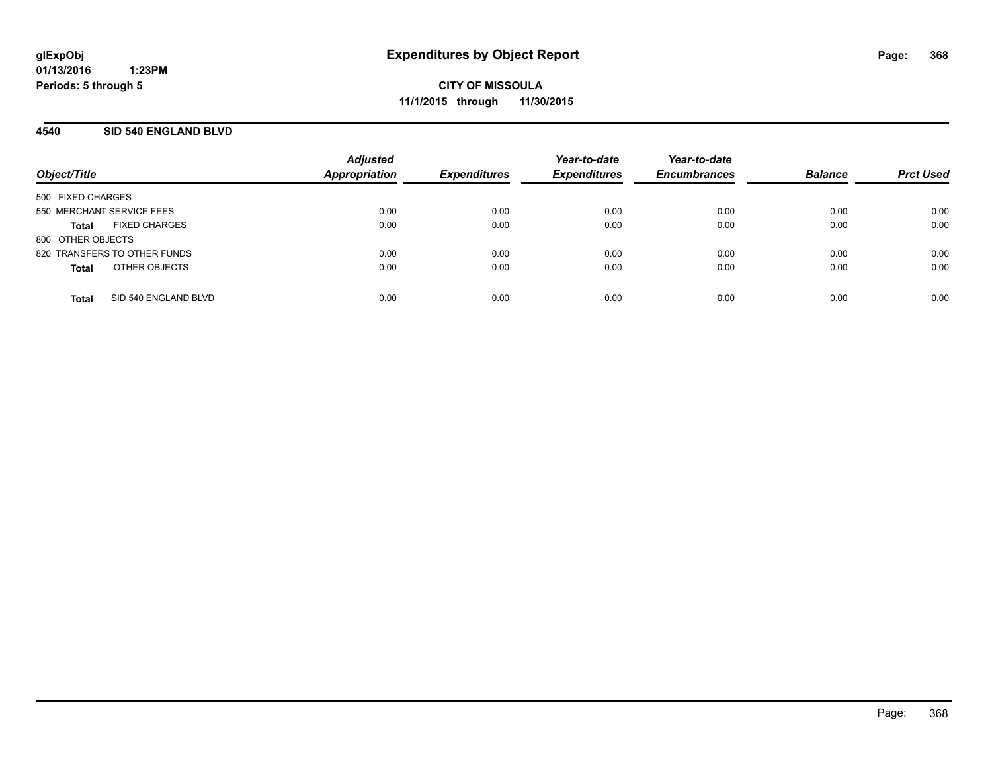## **4540 SID 540 ENGLAND BLVD**

| Object/Title                         | <b>Adjusted</b><br><b>Appropriation</b> | <b>Expenditures</b> | Year-to-date<br><b>Expenditures</b> | Year-to-date<br><b>Encumbrances</b> | <b>Balance</b> | <b>Prct Used</b> |
|--------------------------------------|-----------------------------------------|---------------------|-------------------------------------|-------------------------------------|----------------|------------------|
| 500 FIXED CHARGES                    |                                         |                     |                                     |                                     |                |                  |
| 550 MERCHANT SERVICE FEES            | 0.00                                    | 0.00                | 0.00                                | 0.00                                | 0.00           | 0.00             |
| <b>FIXED CHARGES</b><br><b>Total</b> | 0.00                                    | 0.00                | 0.00                                | 0.00                                | 0.00           | 0.00             |
| 800 OTHER OBJECTS                    |                                         |                     |                                     |                                     |                |                  |
| 820 TRANSFERS TO OTHER FUNDS         | 0.00                                    | 0.00                | 0.00                                | 0.00                                | 0.00           | 0.00             |
| OTHER OBJECTS<br><b>Total</b>        | 0.00                                    | 0.00                | 0.00                                | 0.00                                | 0.00           | 0.00             |
| SID 540 ENGLAND BLVD<br><b>Total</b> | 0.00                                    | 0.00                | 0.00                                | 0.00                                | 0.00           | 0.00             |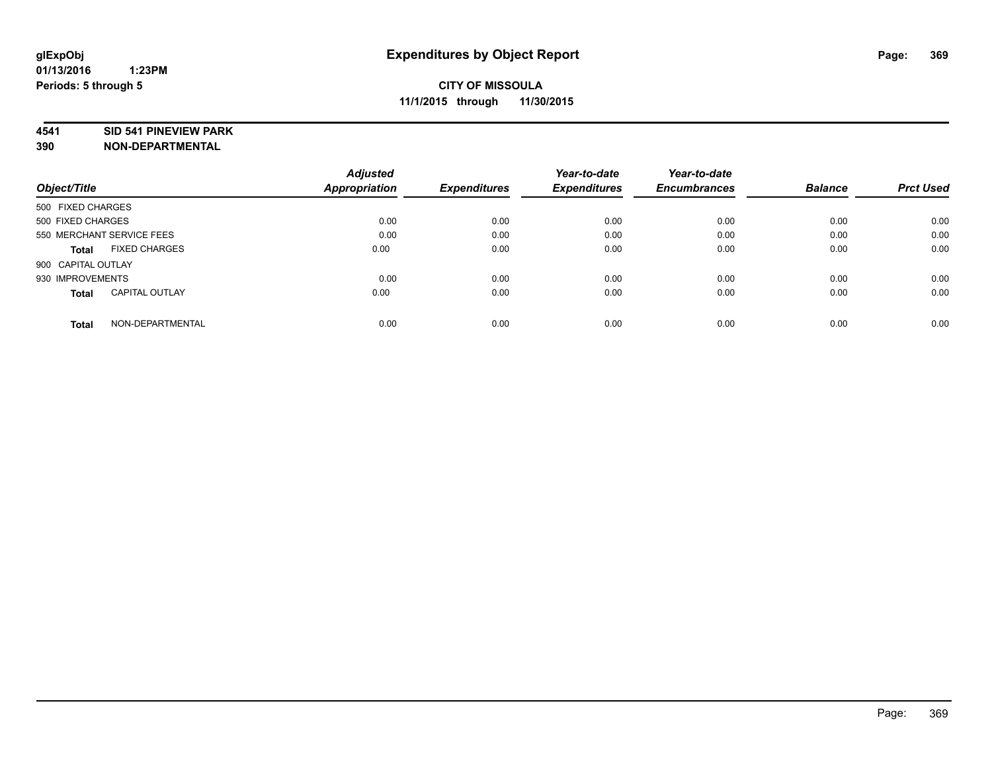#### **4541 SID 541 PINEVIEW PARK**

|                                       | <b>Adjusted</b> |                     | Year-to-date        | Year-to-date        |                |                  |
|---------------------------------------|-----------------|---------------------|---------------------|---------------------|----------------|------------------|
| Object/Title                          | Appropriation   | <b>Expenditures</b> | <b>Expenditures</b> | <b>Encumbrances</b> | <b>Balance</b> | <b>Prct Used</b> |
| 500 FIXED CHARGES                     |                 |                     |                     |                     |                |                  |
| 500 FIXED CHARGES                     | 0.00            | 0.00                | 0.00                | 0.00                | 0.00           | 0.00             |
| 550 MERCHANT SERVICE FEES             | 0.00            | 0.00                | 0.00                | 0.00                | 0.00           | 0.00             |
| <b>FIXED CHARGES</b><br><b>Total</b>  | 0.00            | 0.00                | 0.00                | 0.00                | 0.00           | 0.00             |
| 900 CAPITAL OUTLAY                    |                 |                     |                     |                     |                |                  |
| 930 IMPROVEMENTS                      | 0.00            | 0.00                | 0.00                | 0.00                | 0.00           | 0.00             |
| <b>CAPITAL OUTLAY</b><br><b>Total</b> | 0.00            | 0.00                | 0.00                | 0.00                | 0.00           | 0.00             |
| NON-DEPARTMENTAL<br><b>Total</b>      | 0.00            | 0.00                | 0.00                | 0.00                | 0.00           | 0.00             |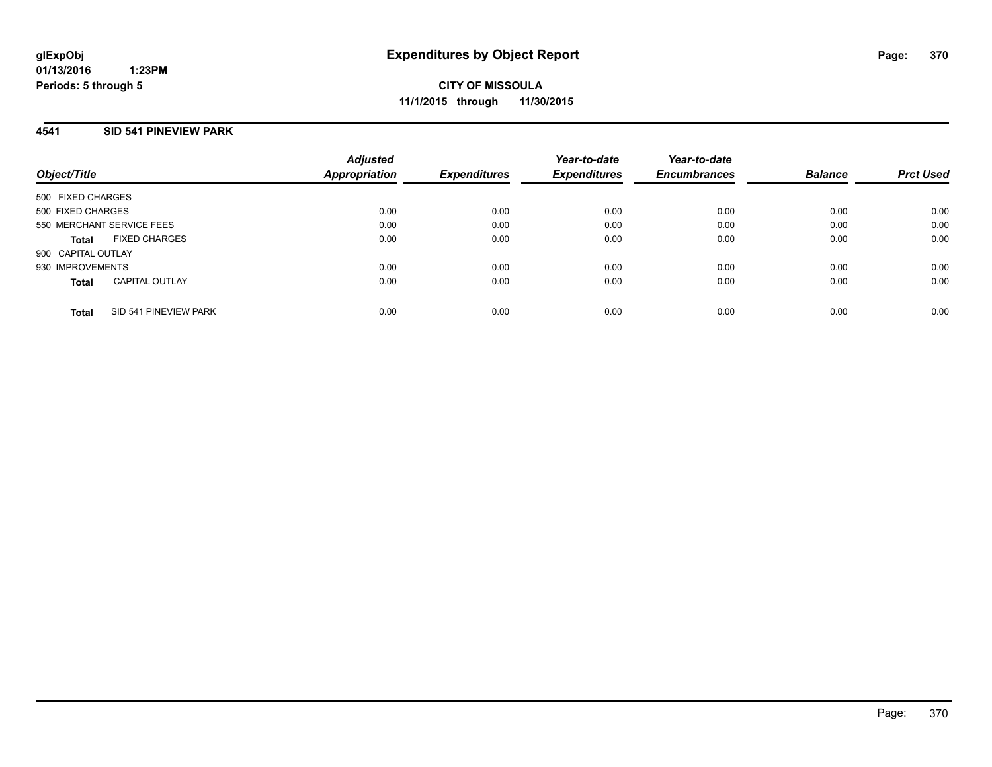## **4541 SID 541 PINEVIEW PARK**

| Object/Title              |                       | <b>Adjusted</b><br>Appropriation | <b>Expenditures</b> | Year-to-date<br><b>Expenditures</b> | Year-to-date<br><b>Encumbrances</b> | <b>Balance</b> | <b>Prct Used</b> |
|---------------------------|-----------------------|----------------------------------|---------------------|-------------------------------------|-------------------------------------|----------------|------------------|
| 500 FIXED CHARGES         |                       |                                  |                     |                                     |                                     |                |                  |
| 500 FIXED CHARGES         |                       | 0.00                             | 0.00                | 0.00                                | 0.00                                | 0.00           | 0.00             |
| 550 MERCHANT SERVICE FEES |                       | 0.00                             | 0.00                | 0.00                                | 0.00                                | 0.00           | 0.00             |
| <b>Total</b>              | <b>FIXED CHARGES</b>  | 0.00                             | 0.00                | 0.00                                | 0.00                                | 0.00           | 0.00             |
| 900 CAPITAL OUTLAY        |                       |                                  |                     |                                     |                                     |                |                  |
| 930 IMPROVEMENTS          |                       | 0.00                             | 0.00                | 0.00                                | 0.00                                | 0.00           | 0.00             |
| <b>Total</b>              | <b>CAPITAL OUTLAY</b> | 0.00                             | 0.00                | 0.00                                | 0.00                                | 0.00           | 0.00             |
| <b>Total</b>              | SID 541 PINEVIEW PARK | 0.00                             | 0.00                | 0.00                                | 0.00                                | 0.00           | 0.00             |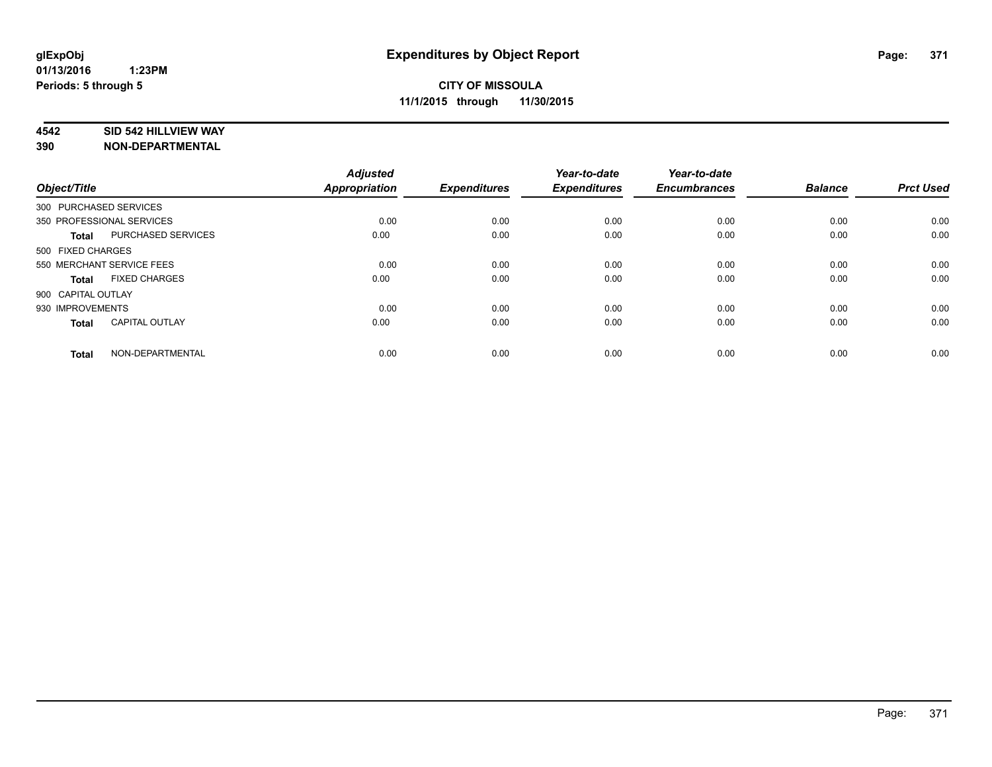#### **4542 SID 542 HILLVIEW WAY**

| Object/Title           |                           | <b>Adjusted</b><br>Appropriation | <b>Expenditures</b> | Year-to-date<br><b>Expenditures</b> | Year-to-date<br><b>Encumbrances</b> | <b>Balance</b> | <b>Prct Used</b> |
|------------------------|---------------------------|----------------------------------|---------------------|-------------------------------------|-------------------------------------|----------------|------------------|
| 300 PURCHASED SERVICES |                           |                                  |                     |                                     |                                     |                |                  |
|                        | 350 PROFESSIONAL SERVICES | 0.00                             | 0.00                | 0.00                                | 0.00                                | 0.00           | 0.00             |
| <b>Total</b>           | PURCHASED SERVICES        | 0.00                             | 0.00                | 0.00                                | 0.00                                | 0.00           | 0.00             |
| 500 FIXED CHARGES      |                           |                                  |                     |                                     |                                     |                |                  |
|                        | 550 MERCHANT SERVICE FEES | 0.00                             | 0.00                | 0.00                                | 0.00                                | 0.00           | 0.00             |
| Total                  | <b>FIXED CHARGES</b>      | 0.00                             | 0.00                | 0.00                                | 0.00                                | 0.00           | 0.00             |
| 900 CAPITAL OUTLAY     |                           |                                  |                     |                                     |                                     |                |                  |
| 930 IMPROVEMENTS       |                           | 0.00                             | 0.00                | 0.00                                | 0.00                                | 0.00           | 0.00             |
| Total                  | <b>CAPITAL OUTLAY</b>     | 0.00                             | 0.00                | 0.00                                | 0.00                                | 0.00           | 0.00             |
| <b>Total</b>           | NON-DEPARTMENTAL          | 0.00                             | 0.00                | 0.00                                | 0.00                                | 0.00           | 0.00             |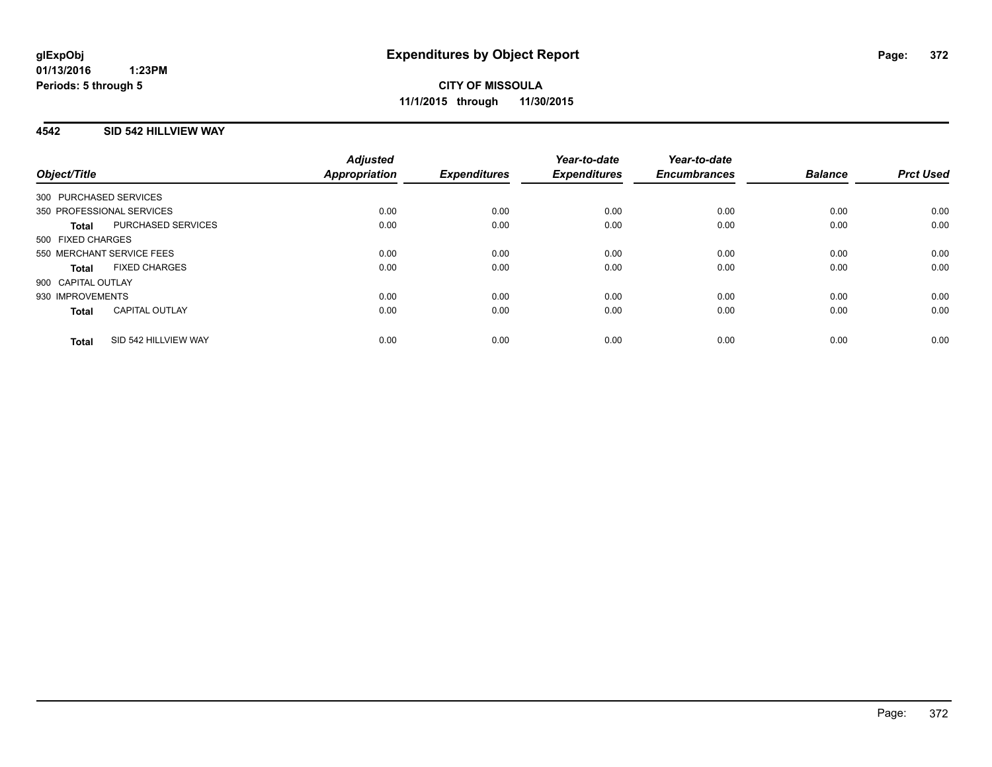## **4542 SID 542 HILLVIEW WAY**

| Object/Title                          | <b>Adjusted</b><br><b>Appropriation</b> | <b>Expenditures</b> | Year-to-date<br><b>Expenditures</b> | Year-to-date<br><b>Encumbrances</b> | <b>Balance</b> | <b>Prct Used</b> |
|---------------------------------------|-----------------------------------------|---------------------|-------------------------------------|-------------------------------------|----------------|------------------|
| 300 PURCHASED SERVICES                |                                         |                     |                                     |                                     |                |                  |
| 350 PROFESSIONAL SERVICES             | 0.00                                    | 0.00                | 0.00                                | 0.00                                | 0.00           | 0.00             |
| PURCHASED SERVICES<br><b>Total</b>    | 0.00                                    | 0.00                | 0.00                                | 0.00                                | 0.00           | 0.00             |
| 500 FIXED CHARGES                     |                                         |                     |                                     |                                     |                |                  |
| 550 MERCHANT SERVICE FEES             | 0.00                                    | 0.00                | 0.00                                | 0.00                                | 0.00           | 0.00             |
| <b>FIXED CHARGES</b><br>Total         | 0.00                                    | 0.00                | 0.00                                | 0.00                                | 0.00           | 0.00             |
| 900 CAPITAL OUTLAY                    |                                         |                     |                                     |                                     |                |                  |
| 930 IMPROVEMENTS                      | 0.00                                    | 0.00                | 0.00                                | 0.00                                | 0.00           | 0.00             |
| <b>CAPITAL OUTLAY</b><br><b>Total</b> | 0.00                                    | 0.00                | 0.00                                | 0.00                                | 0.00           | 0.00             |
| SID 542 HILLVIEW WAY<br><b>Total</b>  | 0.00                                    | 0.00                | 0.00                                | 0.00                                | 0.00           | 0.00             |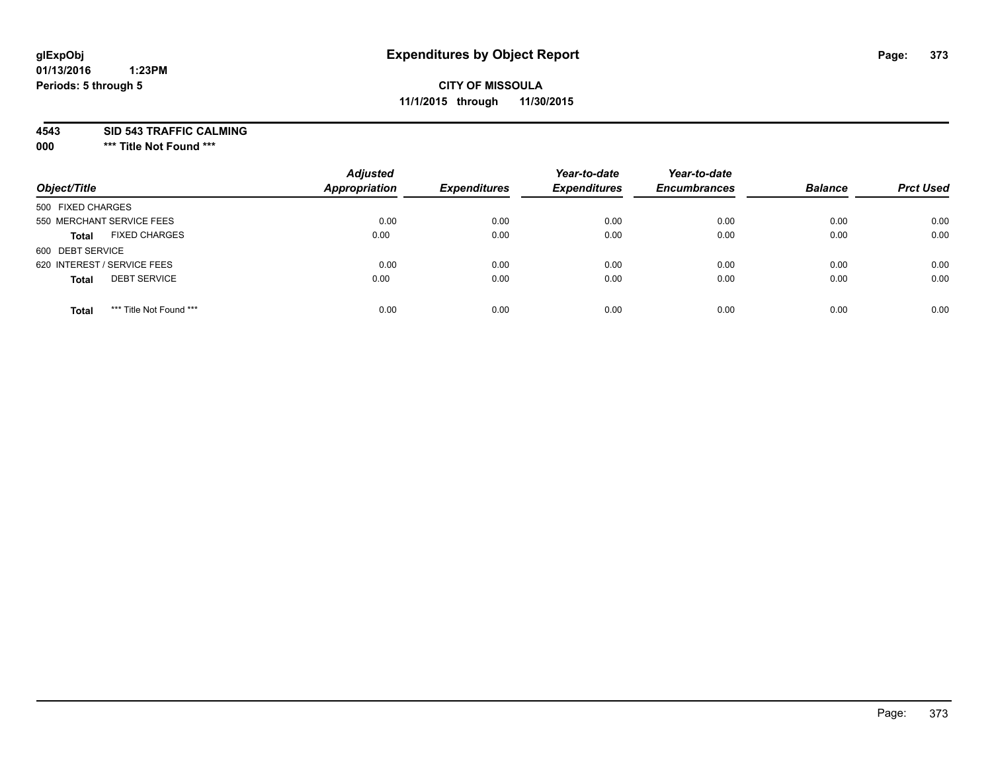# **glExpObj Expenditures by Object Report Page: 373**

# **CITY OF MISSOULA 11/1/2015 through 11/30/2015**

**4543 SID 543 TRAFFIC CALMING**

**000 \*\*\* Title Not Found \*\*\***

| Object/Title                            | <b>Adjusted</b><br><b>Appropriation</b> | <b>Expenditures</b> | Year-to-date<br><b>Expenditures</b> | Year-to-date<br><b>Encumbrances</b> | <b>Balance</b> | <b>Prct Used</b> |
|-----------------------------------------|-----------------------------------------|---------------------|-------------------------------------|-------------------------------------|----------------|------------------|
| 500 FIXED CHARGES                       |                                         |                     |                                     |                                     |                |                  |
| 550 MERCHANT SERVICE FEES               | 0.00                                    | 0.00                | 0.00                                | 0.00                                | 0.00           | 0.00             |
| <b>FIXED CHARGES</b><br><b>Total</b>    | 0.00                                    | 0.00                | 0.00                                | 0.00                                | 0.00           | 0.00             |
| 600 DEBT SERVICE                        |                                         |                     |                                     |                                     |                |                  |
| 620 INTEREST / SERVICE FEES             | 0.00                                    | 0.00                | 0.00                                | 0.00                                | 0.00           | 0.00             |
| <b>DEBT SERVICE</b><br><b>Total</b>     | 0.00                                    | 0.00                | 0.00                                | 0.00                                | 0.00           | 0.00             |
| *** Title Not Found ***<br><b>Total</b> | 0.00                                    | 0.00                | 0.00                                | 0.00                                | 0.00           | 0.00             |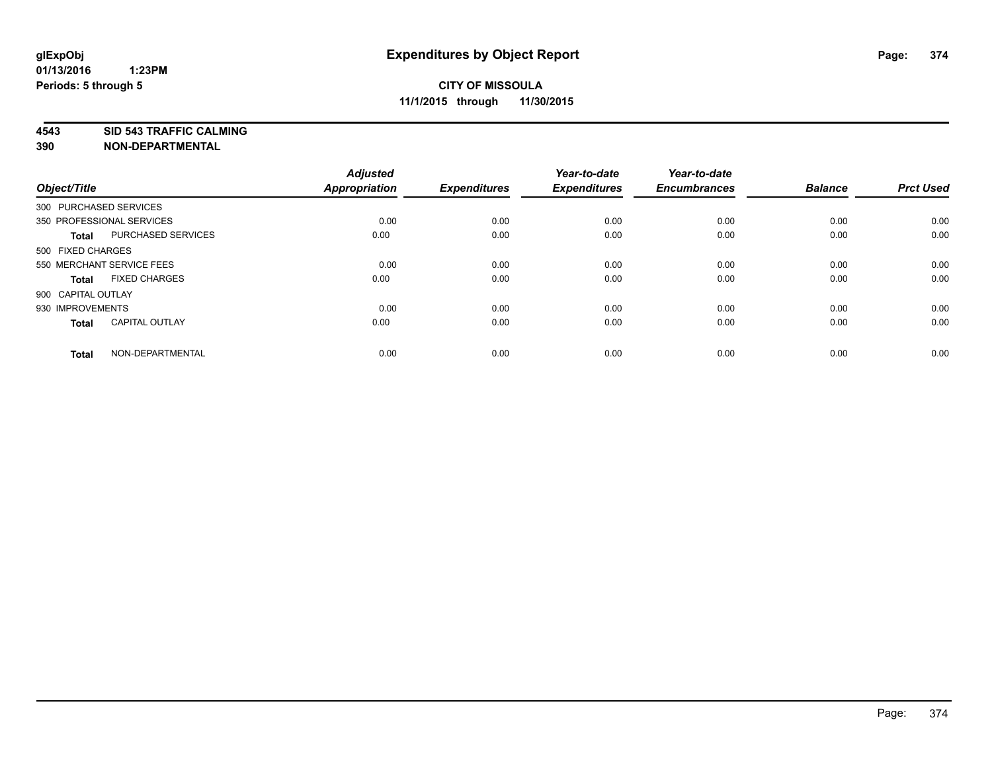**4543 SID 543 TRAFFIC CALMING**

| Object/Title           |                           | <b>Adjusted</b><br>Appropriation | <b>Expenditures</b> | Year-to-date<br><b>Expenditures</b> | Year-to-date<br><b>Encumbrances</b> | <b>Balance</b> | <b>Prct Used</b> |
|------------------------|---------------------------|----------------------------------|---------------------|-------------------------------------|-------------------------------------|----------------|------------------|
| 300 PURCHASED SERVICES |                           |                                  |                     |                                     |                                     |                |                  |
|                        | 350 PROFESSIONAL SERVICES | 0.00                             | 0.00                | 0.00                                | 0.00                                | 0.00           | 0.00             |
| <b>Total</b>           | PURCHASED SERVICES        | 0.00                             | 0.00                | 0.00                                | 0.00                                | 0.00           | 0.00             |
| 500 FIXED CHARGES      |                           |                                  |                     |                                     |                                     |                |                  |
|                        | 550 MERCHANT SERVICE FEES | 0.00                             | 0.00                | 0.00                                | 0.00                                | 0.00           | 0.00             |
| <b>Total</b>           | <b>FIXED CHARGES</b>      | 0.00                             | 0.00                | 0.00                                | 0.00                                | 0.00           | 0.00             |
| 900 CAPITAL OUTLAY     |                           |                                  |                     |                                     |                                     |                |                  |
| 930 IMPROVEMENTS       |                           | 0.00                             | 0.00                | 0.00                                | 0.00                                | 0.00           | 0.00             |
| <b>Total</b>           | <b>CAPITAL OUTLAY</b>     | 0.00                             | 0.00                | 0.00                                | 0.00                                | 0.00           | 0.00             |
| <b>Total</b>           | NON-DEPARTMENTAL          | 0.00                             | 0.00                | 0.00                                | 0.00                                | 0.00           | 0.00             |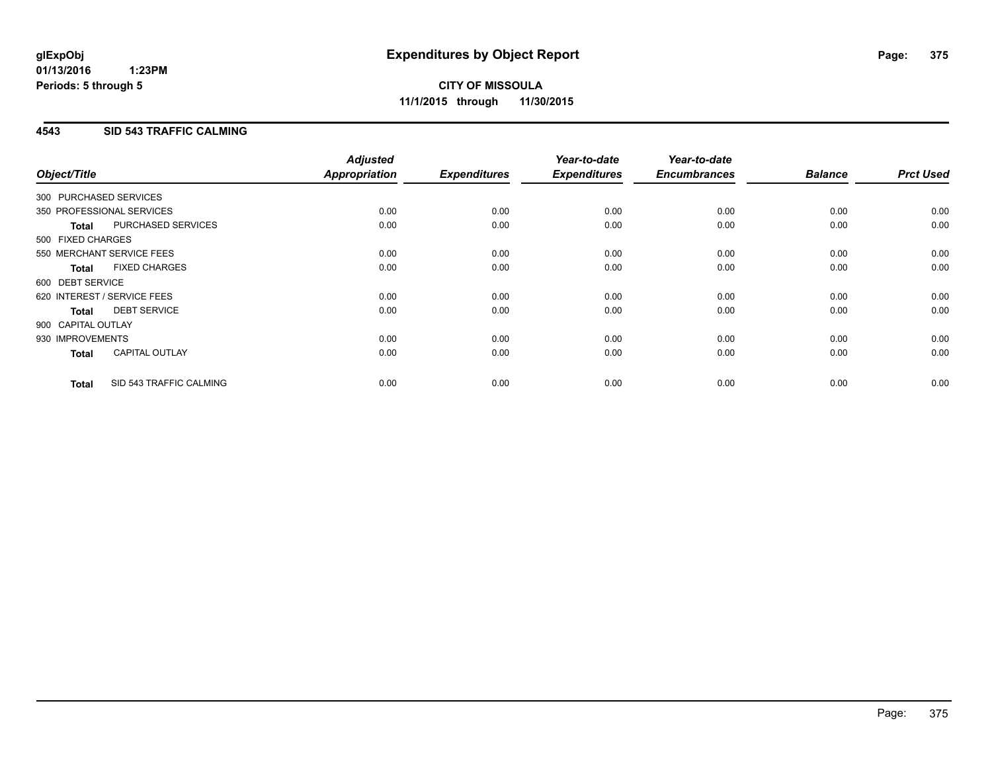## **4543 SID 543 TRAFFIC CALMING**

|                        |                             | <b>Adjusted</b>      |                     | Year-to-date        | Year-to-date        |                |                  |
|------------------------|-----------------------------|----------------------|---------------------|---------------------|---------------------|----------------|------------------|
| Object/Title           |                             | <b>Appropriation</b> | <b>Expenditures</b> | <b>Expenditures</b> | <b>Encumbrances</b> | <b>Balance</b> | <b>Prct Used</b> |
| 300 PURCHASED SERVICES |                             |                      |                     |                     |                     |                |                  |
|                        | 350 PROFESSIONAL SERVICES   | 0.00                 | 0.00                | 0.00                | 0.00                | 0.00           | 0.00             |
| <b>Total</b>           | PURCHASED SERVICES          | 0.00                 | 0.00                | 0.00                | 0.00                | 0.00           | 0.00             |
| 500 FIXED CHARGES      |                             |                      |                     |                     |                     |                |                  |
|                        | 550 MERCHANT SERVICE FEES   | 0.00                 | 0.00                | 0.00                | 0.00                | 0.00           | 0.00             |
| <b>Total</b>           | <b>FIXED CHARGES</b>        | 0.00                 | 0.00                | 0.00                | 0.00                | 0.00           | 0.00             |
| 600 DEBT SERVICE       |                             |                      |                     |                     |                     |                |                  |
|                        | 620 INTEREST / SERVICE FEES | 0.00                 | 0.00                | 0.00                | 0.00                | 0.00           | 0.00             |
| Total                  | <b>DEBT SERVICE</b>         | 0.00                 | 0.00                | 0.00                | 0.00                | 0.00           | 0.00             |
| 900 CAPITAL OUTLAY     |                             |                      |                     |                     |                     |                |                  |
| 930 IMPROVEMENTS       |                             | 0.00                 | 0.00                | 0.00                | 0.00                | 0.00           | 0.00             |
| <b>Total</b>           | <b>CAPITAL OUTLAY</b>       | 0.00                 | 0.00                | 0.00                | 0.00                | 0.00           | 0.00             |
| <b>Total</b>           | SID 543 TRAFFIC CALMING     | 0.00                 | 0.00                | 0.00                | 0.00                | 0.00           | 0.00             |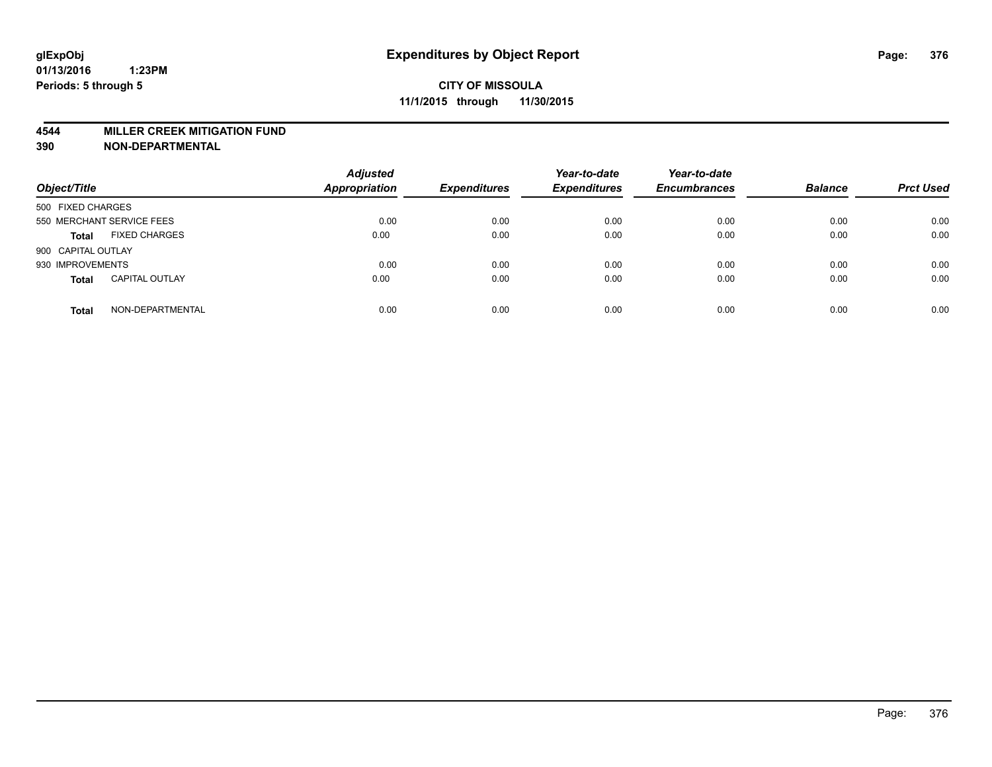#### **4544 MILLER CREEK MITIGATION FUND**

| Object/Title                          | <b>Adjusted</b><br>Appropriation | <b>Expenditures</b> | Year-to-date<br><b>Expenditures</b> | Year-to-date<br><b>Encumbrances</b> | <b>Balance</b> | <b>Prct Used</b> |
|---------------------------------------|----------------------------------|---------------------|-------------------------------------|-------------------------------------|----------------|------------------|
| 500 FIXED CHARGES                     |                                  |                     |                                     |                                     |                |                  |
| 550 MERCHANT SERVICE FEES             | 0.00                             | 0.00                | 0.00                                | 0.00                                | 0.00           | 0.00             |
| <b>FIXED CHARGES</b><br><b>Total</b>  | 0.00                             | 0.00                | 0.00                                | 0.00                                | 0.00           | 0.00             |
| 900 CAPITAL OUTLAY                    |                                  |                     |                                     |                                     |                |                  |
| 930 IMPROVEMENTS                      | 0.00                             | 0.00                | 0.00                                | 0.00                                | 0.00           | 0.00             |
| <b>CAPITAL OUTLAY</b><br><b>Total</b> | 0.00                             | 0.00                | 0.00                                | 0.00                                | 0.00           | 0.00             |
| NON-DEPARTMENTAL<br><b>Total</b>      | 0.00                             | 0.00                | 0.00                                | 0.00                                | 0.00           | 0.00             |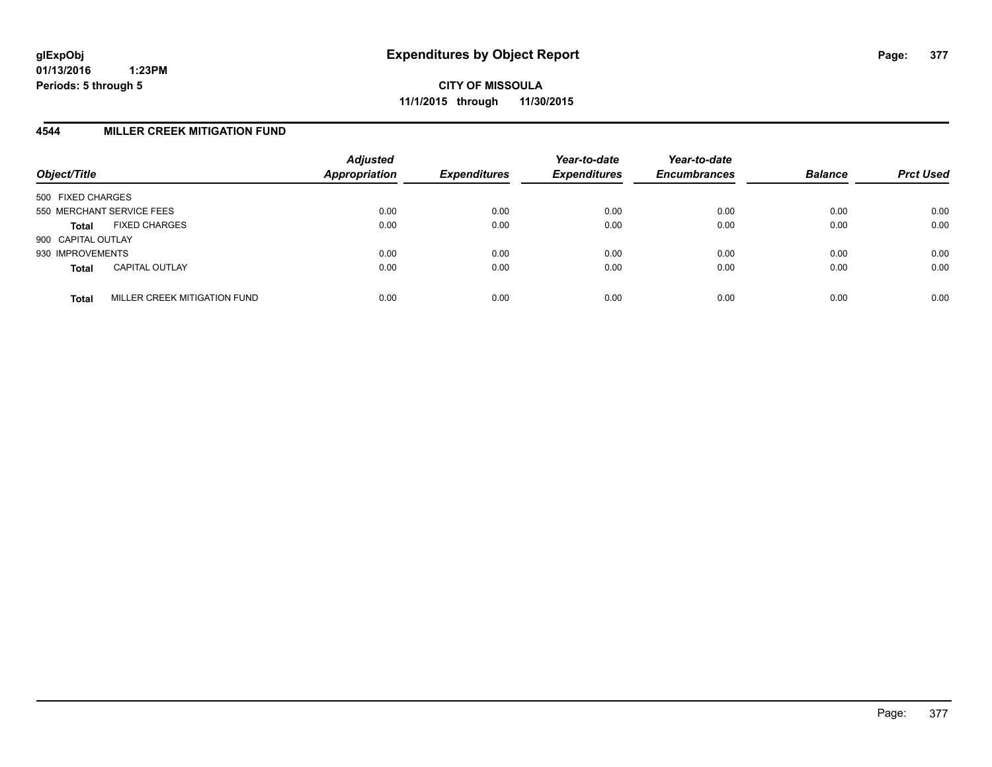## **4544 MILLER CREEK MITIGATION FUND**

| Object/Title                                 | <b>Adjusted</b><br><b>Appropriation</b> | <b>Expenditures</b> | Year-to-date<br><b>Expenditures</b> | Year-to-date<br><b>Encumbrances</b> | <b>Balance</b> | <b>Prct Used</b> |
|----------------------------------------------|-----------------------------------------|---------------------|-------------------------------------|-------------------------------------|----------------|------------------|
| 500 FIXED CHARGES                            |                                         |                     |                                     |                                     |                |                  |
| 550 MERCHANT SERVICE FEES                    | 0.00                                    | 0.00                | 0.00                                | 0.00                                | 0.00           | 0.00             |
| <b>FIXED CHARGES</b><br><b>Total</b>         | 0.00                                    | 0.00                | 0.00                                | 0.00                                | 0.00           | 0.00             |
| 900 CAPITAL OUTLAY                           |                                         |                     |                                     |                                     |                |                  |
| 930 IMPROVEMENTS                             | 0.00                                    | 0.00                | 0.00                                | 0.00                                | 0.00           | 0.00             |
| <b>CAPITAL OUTLAY</b><br><b>Total</b>        | 0.00                                    | 0.00                | 0.00                                | 0.00                                | 0.00           | 0.00             |
| MILLER CREEK MITIGATION FUND<br><b>Total</b> | 0.00                                    | 0.00                | 0.00                                | 0.00                                | 0.00           | 0.00             |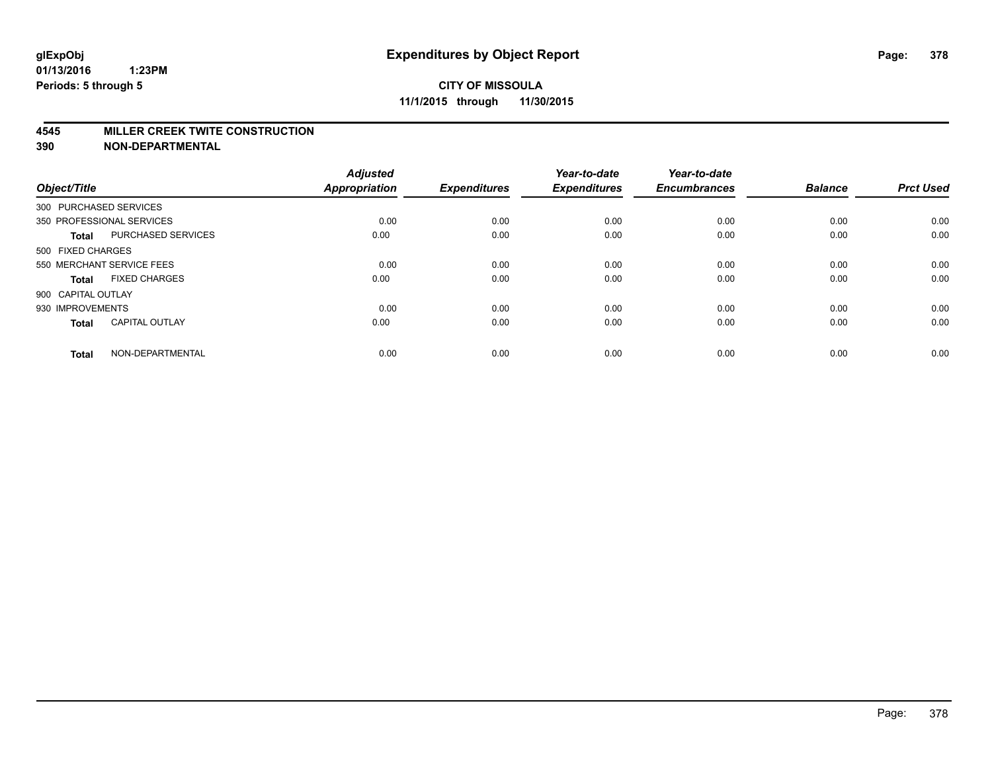#### **4545 MILLER CREEK TWITE CONSTRUCTION**

| Object/Title       |                           | <b>Adjusted</b><br><b>Appropriation</b> | <b>Expenditures</b> | Year-to-date<br><b>Expenditures</b> | Year-to-date<br><b>Encumbrances</b> | <b>Balance</b> | <b>Prct Used</b> |
|--------------------|---------------------------|-----------------------------------------|---------------------|-------------------------------------|-------------------------------------|----------------|------------------|
|                    | 300 PURCHASED SERVICES    |                                         |                     |                                     |                                     |                |                  |
|                    | 350 PROFESSIONAL SERVICES | 0.00                                    | 0.00                | 0.00                                | 0.00                                | 0.00           | 0.00             |
| <b>Total</b>       | <b>PURCHASED SERVICES</b> | 0.00                                    | 0.00                | 0.00                                | 0.00                                | 0.00           | 0.00             |
| 500 FIXED CHARGES  |                           |                                         |                     |                                     |                                     |                |                  |
|                    | 550 MERCHANT SERVICE FEES | 0.00                                    | 0.00                | 0.00                                | 0.00                                | 0.00           | 0.00             |
| Total              | <b>FIXED CHARGES</b>      | 0.00                                    | 0.00                | 0.00                                | 0.00                                | 0.00           | 0.00             |
| 900 CAPITAL OUTLAY |                           |                                         |                     |                                     |                                     |                |                  |
| 930 IMPROVEMENTS   |                           | 0.00                                    | 0.00                | 0.00                                | 0.00                                | 0.00           | 0.00             |
| Total              | <b>CAPITAL OUTLAY</b>     | 0.00                                    | 0.00                | 0.00                                | 0.00                                | 0.00           | 0.00             |
| <b>Total</b>       | NON-DEPARTMENTAL          | 0.00                                    | 0.00                | 0.00                                | 0.00                                | 0.00           | 0.00             |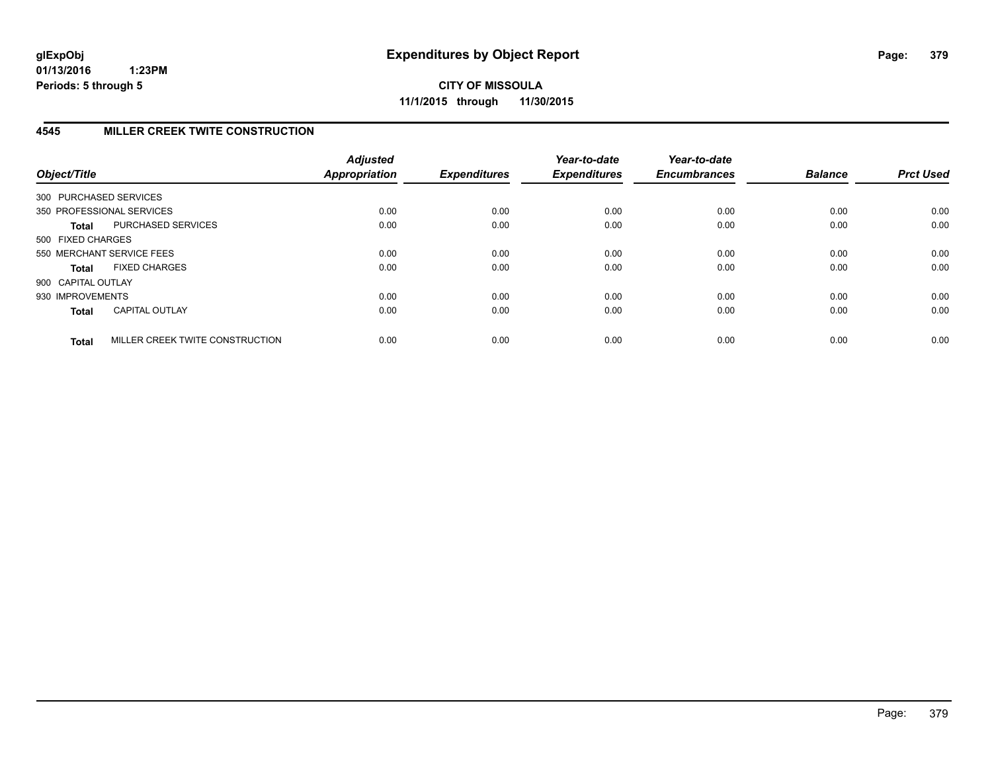**CITY OF MISSOULA 11/1/2015 through 11/30/2015**

# **4545 MILLER CREEK TWITE CONSTRUCTION**

| Object/Title       |                                 | <b>Adjusted</b><br><b>Appropriation</b> | <b>Expenditures</b> | Year-to-date<br><b>Expenditures</b> | Year-to-date<br><b>Encumbrances</b> | <b>Balance</b> | <b>Prct Used</b> |
|--------------------|---------------------------------|-----------------------------------------|---------------------|-------------------------------------|-------------------------------------|----------------|------------------|
|                    | 300 PURCHASED SERVICES          |                                         |                     |                                     |                                     |                |                  |
|                    | 350 PROFESSIONAL SERVICES       | 0.00                                    | 0.00                | 0.00                                | 0.00                                | 0.00           | 0.00             |
| <b>Total</b>       | PURCHASED SERVICES              | 0.00                                    | 0.00                | 0.00                                | 0.00                                | 0.00           | 0.00             |
| 500 FIXED CHARGES  |                                 |                                         |                     |                                     |                                     |                |                  |
|                    | 550 MERCHANT SERVICE FEES       | 0.00                                    | 0.00                | 0.00                                | 0.00                                | 0.00           | 0.00             |
| <b>Total</b>       | <b>FIXED CHARGES</b>            | 0.00                                    | 0.00                | 0.00                                | 0.00                                | 0.00           | 0.00             |
| 900 CAPITAL OUTLAY |                                 |                                         |                     |                                     |                                     |                |                  |
| 930 IMPROVEMENTS   |                                 | 0.00                                    | 0.00                | 0.00                                | 0.00                                | 0.00           | 0.00             |
| <b>Total</b>       | <b>CAPITAL OUTLAY</b>           | 0.00                                    | 0.00                | 0.00                                | 0.00                                | 0.00           | 0.00             |
| <b>Total</b>       | MILLER CREEK TWITE CONSTRUCTION | 0.00                                    | 0.00                | 0.00                                | 0.00                                | 0.00           | 0.00             |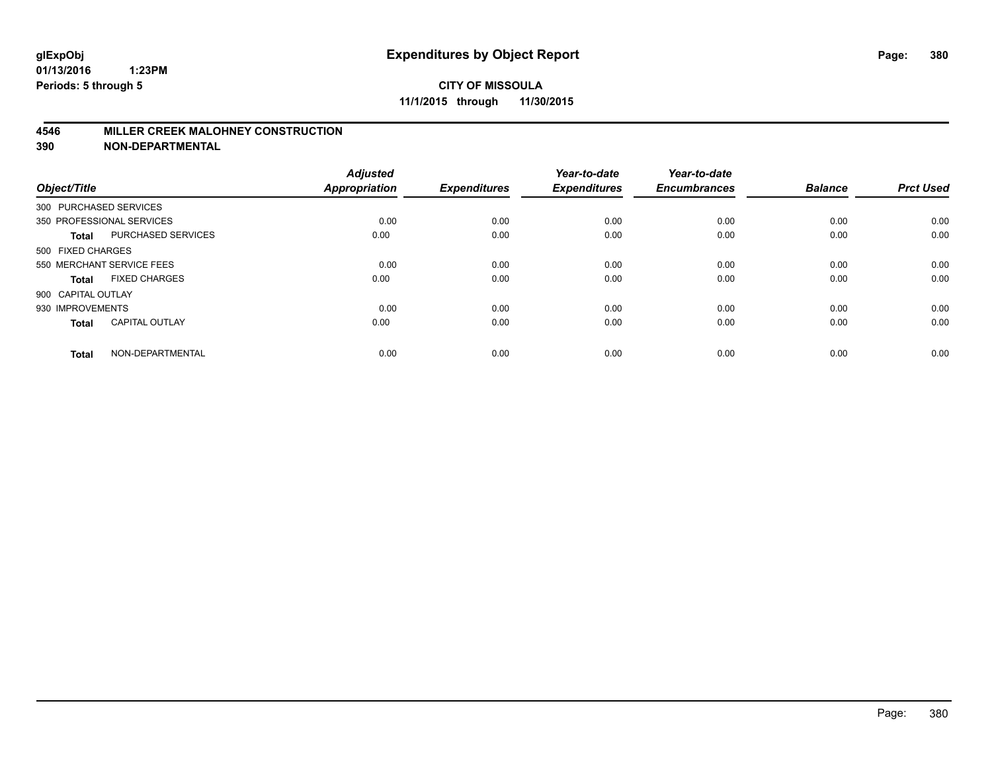## **4546 MILLER CREEK MALOHNEY CONSTRUCTION**

| Object/Title       |                           | <b>Adjusted</b><br><b>Appropriation</b> | <b>Expenditures</b> | Year-to-date<br><b>Expenditures</b> | Year-to-date<br><b>Encumbrances</b> | <b>Balance</b> | <b>Prct Used</b> |
|--------------------|---------------------------|-----------------------------------------|---------------------|-------------------------------------|-------------------------------------|----------------|------------------|
|                    | 300 PURCHASED SERVICES    |                                         |                     |                                     |                                     |                |                  |
|                    | 350 PROFESSIONAL SERVICES | 0.00                                    | 0.00                | 0.00                                | 0.00                                | 0.00           | 0.00             |
| <b>Total</b>       | <b>PURCHASED SERVICES</b> | 0.00                                    | 0.00                | 0.00                                | 0.00                                | 0.00           | 0.00             |
| 500 FIXED CHARGES  |                           |                                         |                     |                                     |                                     |                |                  |
|                    | 550 MERCHANT SERVICE FEES | 0.00                                    | 0.00                | 0.00                                | 0.00                                | 0.00           | 0.00             |
| <b>Total</b>       | <b>FIXED CHARGES</b>      | 0.00                                    | 0.00                | 0.00                                | 0.00                                | 0.00           | 0.00             |
| 900 CAPITAL OUTLAY |                           |                                         |                     |                                     |                                     |                |                  |
| 930 IMPROVEMENTS   |                           | 0.00                                    | 0.00                | 0.00                                | 0.00                                | 0.00           | 0.00             |
| <b>Total</b>       | <b>CAPITAL OUTLAY</b>     | 0.00                                    | 0.00                | 0.00                                | 0.00                                | 0.00           | 0.00             |
| <b>Total</b>       | NON-DEPARTMENTAL          | 0.00                                    | 0.00                | 0.00                                | 0.00                                | 0.00           | 0.00             |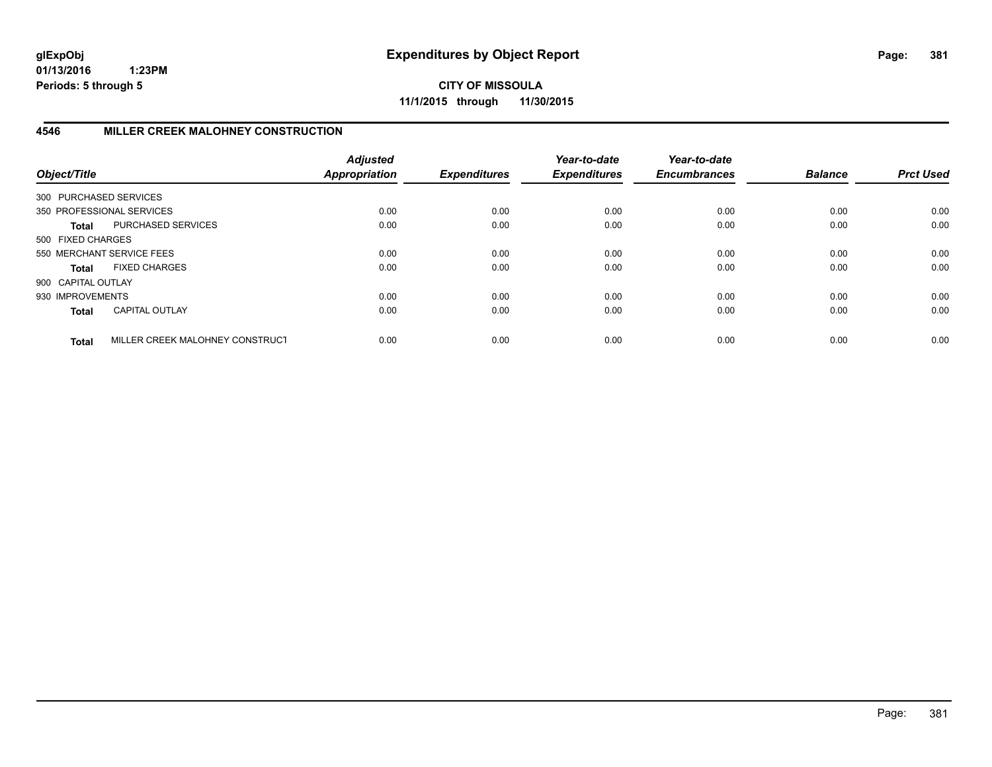**CITY OF MISSOULA 11/1/2015 through 11/30/2015**

# **4546 MILLER CREEK MALOHNEY CONSTRUCTION**

| Object/Title           |                                 | <b>Adjusted</b><br><b>Appropriation</b> | <b>Expenditures</b> | Year-to-date<br><b>Expenditures</b> | Year-to-date<br><b>Encumbrances</b> | <b>Balance</b> | <b>Prct Used</b> |
|------------------------|---------------------------------|-----------------------------------------|---------------------|-------------------------------------|-------------------------------------|----------------|------------------|
| 300 PURCHASED SERVICES |                                 |                                         |                     |                                     |                                     |                |                  |
|                        | 350 PROFESSIONAL SERVICES       | 0.00                                    | 0.00                | 0.00                                | 0.00                                | 0.00           | 0.00             |
| <b>Total</b>           | PURCHASED SERVICES              | 0.00                                    | 0.00                | 0.00                                | 0.00                                | 0.00           | 0.00             |
| 500 FIXED CHARGES      |                                 |                                         |                     |                                     |                                     |                |                  |
|                        | 550 MERCHANT SERVICE FEES       | 0.00                                    | 0.00                | 0.00                                | 0.00                                | 0.00           | 0.00             |
| <b>Total</b>           | <b>FIXED CHARGES</b>            | 0.00                                    | 0.00                | 0.00                                | 0.00                                | 0.00           | 0.00             |
| 900 CAPITAL OUTLAY     |                                 |                                         |                     |                                     |                                     |                |                  |
| 930 IMPROVEMENTS       |                                 | 0.00                                    | 0.00                | 0.00                                | 0.00                                | 0.00           | 0.00             |
| <b>Total</b>           | <b>CAPITAL OUTLAY</b>           | 0.00                                    | 0.00                | 0.00                                | 0.00                                | 0.00           | 0.00             |
| <b>Total</b>           | MILLER CREEK MALOHNEY CONSTRUCT | 0.00                                    | 0.00                | 0.00                                | 0.00                                | 0.00           | 0.00             |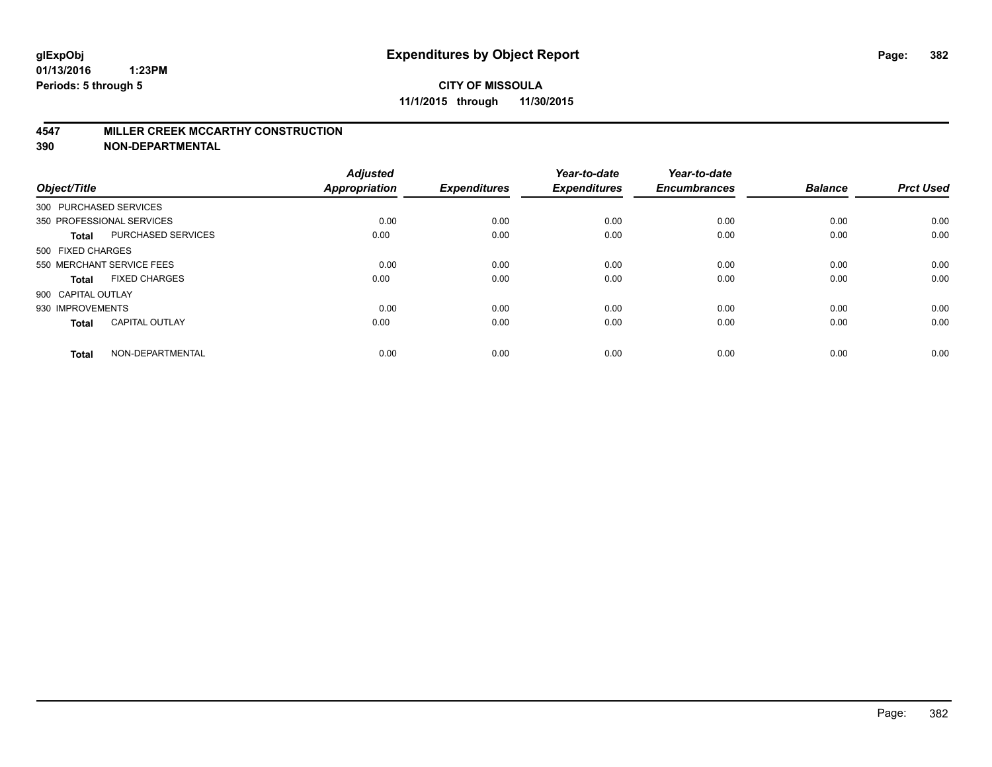#### **4547 MILLER CREEK MCCARTHY CONSTRUCTION**

| Object/Title           |                           | <b>Adjusted</b><br><b>Appropriation</b> | <b>Expenditures</b> | Year-to-date<br><b>Expenditures</b> | Year-to-date<br><b>Encumbrances</b> | <b>Balance</b> | <b>Prct Used</b> |
|------------------------|---------------------------|-----------------------------------------|---------------------|-------------------------------------|-------------------------------------|----------------|------------------|
| 300 PURCHASED SERVICES |                           |                                         |                     |                                     |                                     |                |                  |
|                        | 350 PROFESSIONAL SERVICES | 0.00                                    | 0.00                | 0.00                                | 0.00                                | 0.00           | 0.00             |
| <b>Total</b>           | <b>PURCHASED SERVICES</b> | 0.00                                    | 0.00                | 0.00                                | 0.00                                | 0.00           | 0.00             |
| 500 FIXED CHARGES      |                           |                                         |                     |                                     |                                     |                |                  |
|                        | 550 MERCHANT SERVICE FEES | 0.00                                    | 0.00                | 0.00                                | 0.00                                | 0.00           | 0.00             |
| Total                  | <b>FIXED CHARGES</b>      | 0.00                                    | 0.00                | 0.00                                | 0.00                                | 0.00           | 0.00             |
| 900 CAPITAL OUTLAY     |                           |                                         |                     |                                     |                                     |                |                  |
| 930 IMPROVEMENTS       |                           | 0.00                                    | 0.00                | 0.00                                | 0.00                                | 0.00           | 0.00             |
| Total                  | <b>CAPITAL OUTLAY</b>     | 0.00                                    | 0.00                | 0.00                                | 0.00                                | 0.00           | 0.00             |
| <b>Total</b>           | NON-DEPARTMENTAL          | 0.00                                    | 0.00                | 0.00                                | 0.00                                | 0.00           | 0.00             |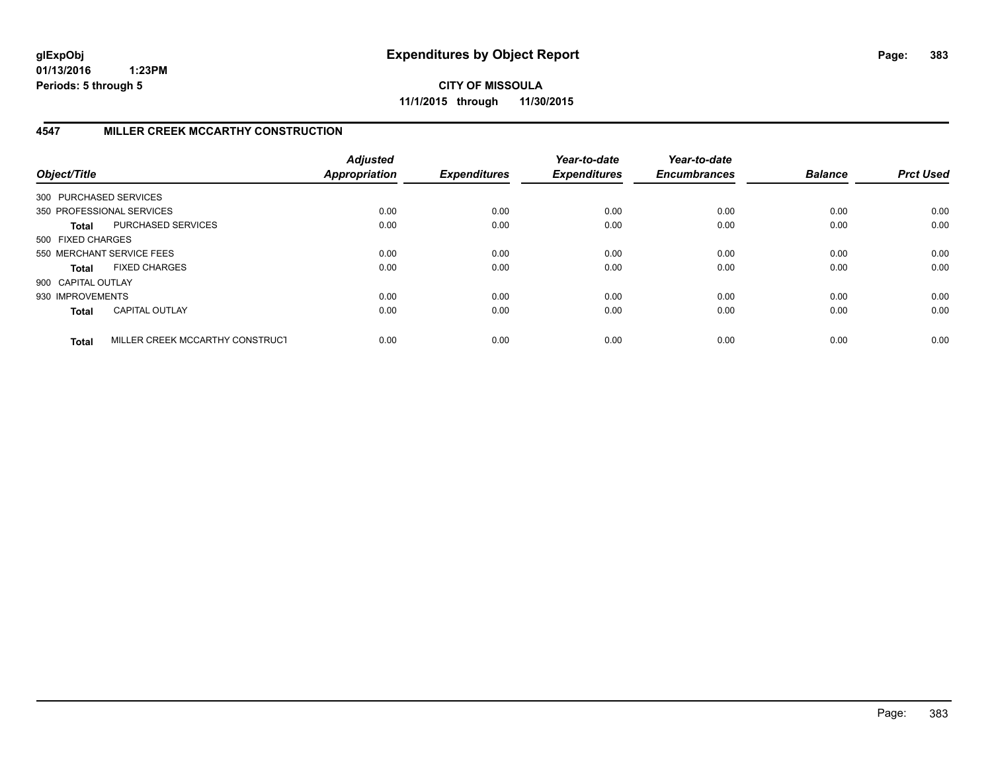**CITY OF MISSOULA 11/1/2015 through 11/30/2015**

# **4547 MILLER CREEK MCCARTHY CONSTRUCTION**

| Object/Title           |                                 | <b>Adjusted</b><br><b>Appropriation</b> | <b>Expenditures</b> | Year-to-date<br><b>Expenditures</b> | Year-to-date<br><b>Encumbrances</b> | <b>Balance</b> | <b>Prct Used</b> |
|------------------------|---------------------------------|-----------------------------------------|---------------------|-------------------------------------|-------------------------------------|----------------|------------------|
| 300 PURCHASED SERVICES |                                 |                                         |                     |                                     |                                     |                |                  |
|                        | 350 PROFESSIONAL SERVICES       | 0.00                                    | 0.00                | 0.00                                | 0.00                                | 0.00           | 0.00             |
| <b>Total</b>           | PURCHASED SERVICES              | 0.00                                    | 0.00                | 0.00                                | 0.00                                | 0.00           | 0.00             |
| 500 FIXED CHARGES      |                                 |                                         |                     |                                     |                                     |                |                  |
|                        | 550 MERCHANT SERVICE FEES       | 0.00                                    | 0.00                | 0.00                                | 0.00                                | 0.00           | 0.00             |
| Total                  | <b>FIXED CHARGES</b>            | 0.00                                    | 0.00                | 0.00                                | 0.00                                | 0.00           | 0.00             |
| 900 CAPITAL OUTLAY     |                                 |                                         |                     |                                     |                                     |                |                  |
| 930 IMPROVEMENTS       |                                 | 0.00                                    | 0.00                | 0.00                                | 0.00                                | 0.00           | 0.00             |
| <b>Total</b>           | <b>CAPITAL OUTLAY</b>           | 0.00                                    | 0.00                | 0.00                                | 0.00                                | 0.00           | 0.00             |
| <b>Total</b>           | MILLER CREEK MCCARTHY CONSTRUCT | 0.00                                    | 0.00                | 0.00                                | 0.00                                | 0.00           | 0.00             |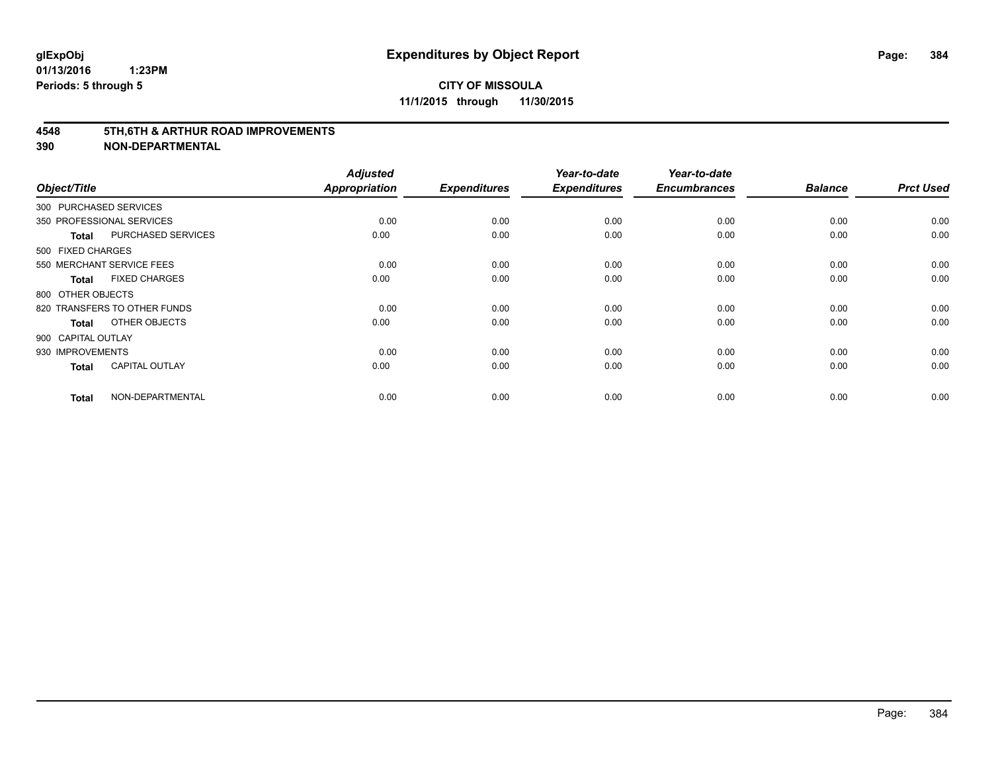#### **4548 5TH,6TH & ARTHUR ROAD IMPROVEMENTS**

| Object/Title           |                              | <b>Adjusted</b><br>Appropriation | <b>Expenditures</b> | Year-to-date<br><b>Expenditures</b> | Year-to-date<br><b>Encumbrances</b> | <b>Balance</b> | <b>Prct Used</b> |
|------------------------|------------------------------|----------------------------------|---------------------|-------------------------------------|-------------------------------------|----------------|------------------|
| 300 PURCHASED SERVICES |                              |                                  |                     |                                     |                                     |                |                  |
|                        | 350 PROFESSIONAL SERVICES    | 0.00                             | 0.00                | 0.00                                | 0.00                                | 0.00           | 0.00             |
| <b>Total</b>           | PURCHASED SERVICES           | 0.00                             | 0.00                | 0.00                                | 0.00                                | 0.00           | 0.00             |
| 500 FIXED CHARGES      |                              |                                  |                     |                                     |                                     |                |                  |
|                        | 550 MERCHANT SERVICE FEES    | 0.00                             | 0.00                | 0.00                                | 0.00                                | 0.00           | 0.00             |
| Total                  | <b>FIXED CHARGES</b>         | 0.00                             | 0.00                | 0.00                                | 0.00                                | 0.00           | 0.00             |
| 800 OTHER OBJECTS      |                              |                                  |                     |                                     |                                     |                |                  |
|                        | 820 TRANSFERS TO OTHER FUNDS | 0.00                             | 0.00                | 0.00                                | 0.00                                | 0.00           | 0.00             |
| <b>Total</b>           | OTHER OBJECTS                | 0.00                             | 0.00                | 0.00                                | 0.00                                | 0.00           | 0.00             |
| 900 CAPITAL OUTLAY     |                              |                                  |                     |                                     |                                     |                |                  |
| 930 IMPROVEMENTS       |                              | 0.00                             | 0.00                | 0.00                                | 0.00                                | 0.00           | 0.00             |
| <b>Total</b>           | <b>CAPITAL OUTLAY</b>        | 0.00                             | 0.00                | 0.00                                | 0.00                                | 0.00           | 0.00             |
| <b>Total</b>           | NON-DEPARTMENTAL             | 0.00                             | 0.00                | 0.00                                | 0.00                                | 0.00           | 0.00             |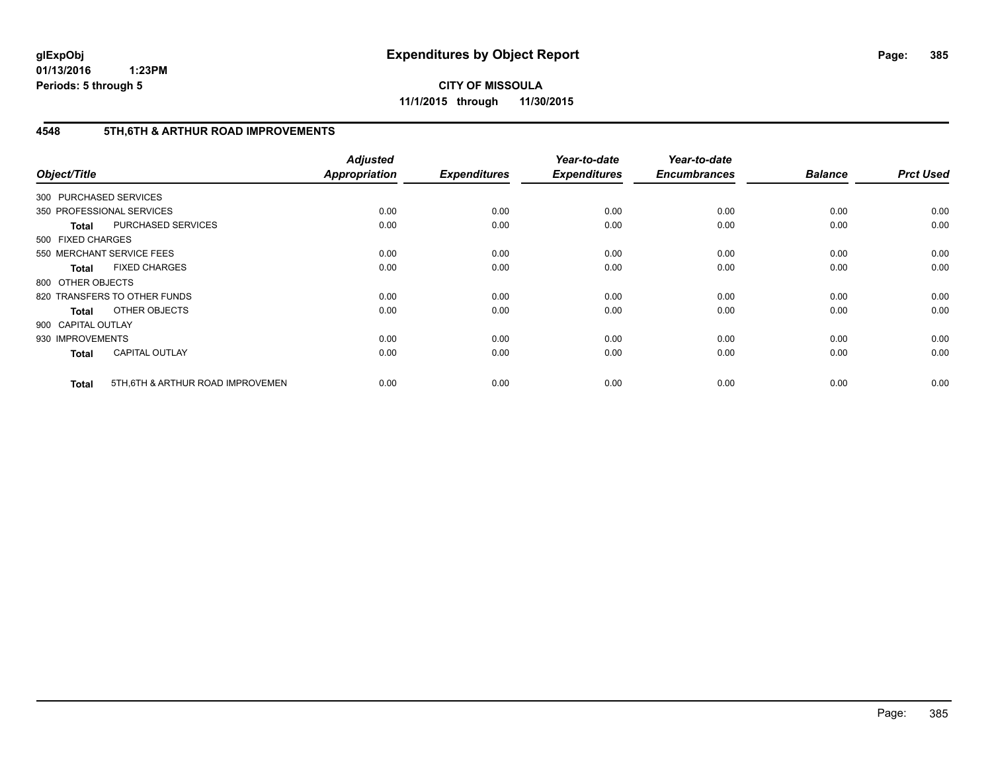**CITY OF MISSOULA 11/1/2015 through 11/30/2015**

# **4548 5TH,6TH & ARTHUR ROAD IMPROVEMENTS**

| Object/Title           |                                   | <b>Adjusted</b><br>Appropriation | <b>Expenditures</b> | Year-to-date<br><b>Expenditures</b> | Year-to-date<br><b>Encumbrances</b> | <b>Balance</b> | <b>Prct Used</b> |
|------------------------|-----------------------------------|----------------------------------|---------------------|-------------------------------------|-------------------------------------|----------------|------------------|
| 300 PURCHASED SERVICES |                                   |                                  |                     |                                     |                                     |                |                  |
|                        | 350 PROFESSIONAL SERVICES         | 0.00                             | 0.00                | 0.00                                | 0.00                                | 0.00           | 0.00             |
| <b>Total</b>           | PURCHASED SERVICES                | 0.00                             | 0.00                | 0.00                                | 0.00                                | 0.00           | 0.00             |
| 500 FIXED CHARGES      |                                   |                                  |                     |                                     |                                     |                |                  |
|                        | 550 MERCHANT SERVICE FEES         | 0.00                             | 0.00                | 0.00                                | 0.00                                | 0.00           | 0.00             |
| <b>Total</b>           | <b>FIXED CHARGES</b>              | 0.00                             | 0.00                | 0.00                                | 0.00                                | 0.00           | 0.00             |
| 800 OTHER OBJECTS      |                                   |                                  |                     |                                     |                                     |                |                  |
|                        | 820 TRANSFERS TO OTHER FUNDS      | 0.00                             | 0.00                | 0.00                                | 0.00                                | 0.00           | 0.00             |
| Total                  | OTHER OBJECTS                     | 0.00                             | 0.00                | 0.00                                | 0.00                                | 0.00           | 0.00             |
| 900 CAPITAL OUTLAY     |                                   |                                  |                     |                                     |                                     |                |                  |
| 930 IMPROVEMENTS       |                                   | 0.00                             | 0.00                | 0.00                                | 0.00                                | 0.00           | 0.00             |
| <b>Total</b>           | <b>CAPITAL OUTLAY</b>             | 0.00                             | 0.00                | 0.00                                | 0.00                                | 0.00           | 0.00             |
| <b>Total</b>           | 5TH, 6TH & ARTHUR ROAD IMPROVEMEN | 0.00                             | 0.00                | 0.00                                | 0.00                                | 0.00           | 0.00             |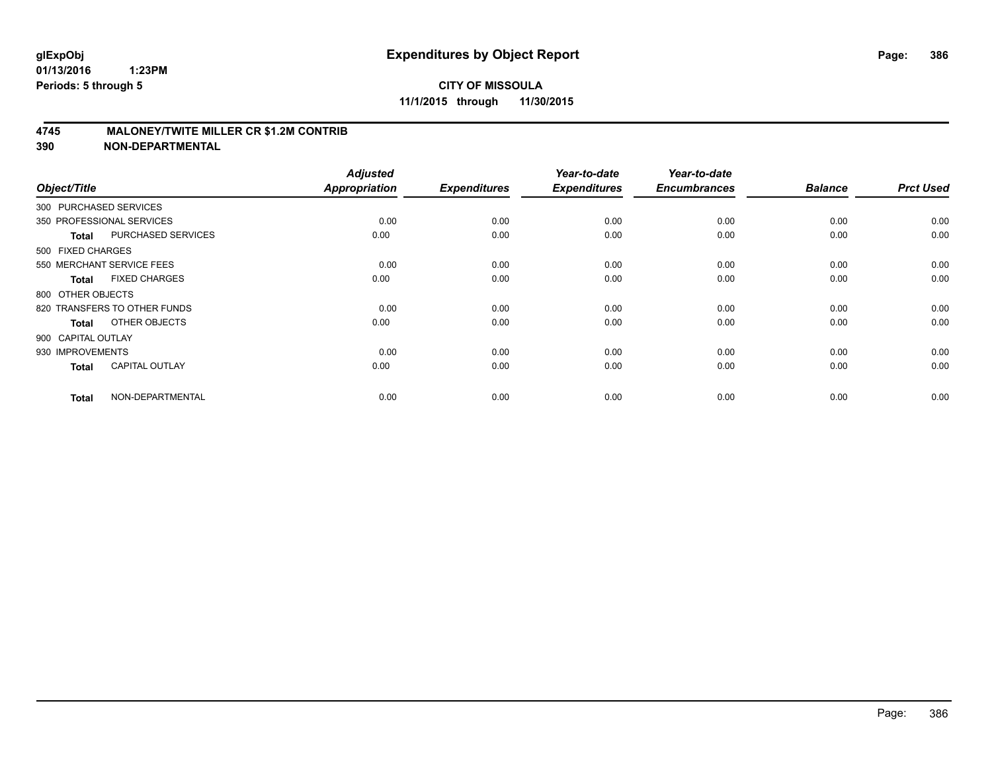## **4745 MALONEY/TWITE MILLER CR \$1.2M CONTRIB**

| Object/Title       |                              | <b>Adjusted</b><br><b>Appropriation</b> | <b>Expenditures</b> | Year-to-date<br><b>Expenditures</b> | Year-to-date<br><b>Encumbrances</b> | <b>Balance</b> | <b>Prct Used</b> |
|--------------------|------------------------------|-----------------------------------------|---------------------|-------------------------------------|-------------------------------------|----------------|------------------|
|                    | 300 PURCHASED SERVICES       |                                         |                     |                                     |                                     |                |                  |
|                    | 350 PROFESSIONAL SERVICES    | 0.00                                    | 0.00                | 0.00                                | 0.00                                | 0.00           | 0.00             |
| <b>Total</b>       | PURCHASED SERVICES           | 0.00                                    | 0.00                | 0.00                                | 0.00                                | 0.00           | 0.00             |
| 500 FIXED CHARGES  |                              |                                         |                     |                                     |                                     |                |                  |
|                    | 550 MERCHANT SERVICE FEES    | 0.00                                    | 0.00                | 0.00                                | 0.00                                | 0.00           | 0.00             |
| Total              | <b>FIXED CHARGES</b>         | 0.00                                    | 0.00                | 0.00                                | 0.00                                | 0.00           | 0.00             |
| 800 OTHER OBJECTS  |                              |                                         |                     |                                     |                                     |                |                  |
|                    | 820 TRANSFERS TO OTHER FUNDS | 0.00                                    | 0.00                | 0.00                                | 0.00                                | 0.00           | 0.00             |
| Total              | OTHER OBJECTS                | 0.00                                    | 0.00                | 0.00                                | 0.00                                | 0.00           | 0.00             |
| 900 CAPITAL OUTLAY |                              |                                         |                     |                                     |                                     |                |                  |
| 930 IMPROVEMENTS   |                              | 0.00                                    | 0.00                | 0.00                                | 0.00                                | 0.00           | 0.00             |
| <b>Total</b>       | <b>CAPITAL OUTLAY</b>        | 0.00                                    | 0.00                | 0.00                                | 0.00                                | 0.00           | 0.00             |
| <b>Total</b>       | NON-DEPARTMENTAL             | 0.00                                    | 0.00                | 0.00                                | 0.00                                | 0.00           | 0.00             |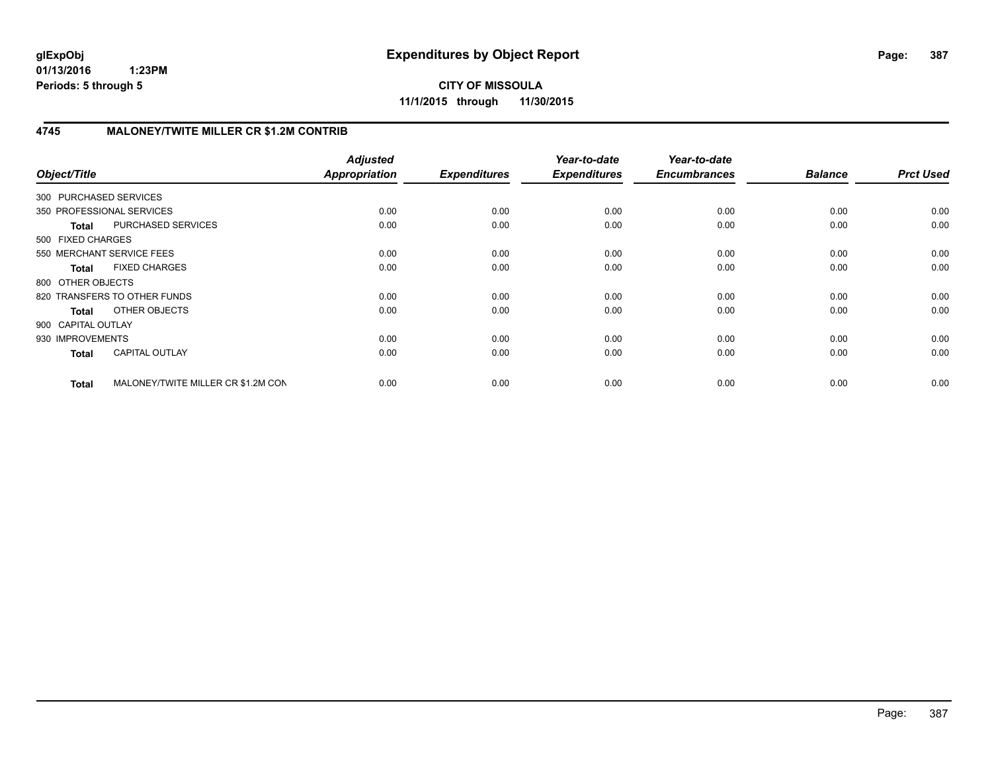**CITY OF MISSOULA 11/1/2015 through 11/30/2015**

# **4745 MALONEY/TWITE MILLER CR \$1.2M CONTRIB**

| Object/Title           |                                    | <b>Adjusted</b><br>Appropriation | <b>Expenditures</b> | Year-to-date<br><b>Expenditures</b> | Year-to-date<br><b>Encumbrances</b> | <b>Balance</b> | <b>Prct Used</b> |
|------------------------|------------------------------------|----------------------------------|---------------------|-------------------------------------|-------------------------------------|----------------|------------------|
| 300 PURCHASED SERVICES |                                    |                                  |                     |                                     |                                     |                |                  |
|                        | 350 PROFESSIONAL SERVICES          | 0.00                             | 0.00                | 0.00                                | 0.00                                | 0.00           | 0.00             |
| <b>Total</b>           | PURCHASED SERVICES                 | 0.00                             | 0.00                | 0.00                                | 0.00                                | 0.00           | 0.00             |
| 500 FIXED CHARGES      |                                    |                                  |                     |                                     |                                     |                |                  |
|                        | 550 MERCHANT SERVICE FEES          | 0.00                             | 0.00                | 0.00                                | 0.00                                | 0.00           | 0.00             |
| <b>Total</b>           | <b>FIXED CHARGES</b>               | 0.00                             | 0.00                | 0.00                                | 0.00                                | 0.00           | 0.00             |
| 800 OTHER OBJECTS      |                                    |                                  |                     |                                     |                                     |                |                  |
|                        | 820 TRANSFERS TO OTHER FUNDS       | 0.00                             | 0.00                | 0.00                                | 0.00                                | 0.00           | 0.00             |
| Total                  | OTHER OBJECTS                      | 0.00                             | 0.00                | 0.00                                | 0.00                                | 0.00           | 0.00             |
| 900 CAPITAL OUTLAY     |                                    |                                  |                     |                                     |                                     |                |                  |
| 930 IMPROVEMENTS       |                                    | 0.00                             | 0.00                | 0.00                                | 0.00                                | 0.00           | 0.00             |
| <b>Total</b>           | <b>CAPITAL OUTLAY</b>              | 0.00                             | 0.00                | 0.00                                | 0.00                                | 0.00           | 0.00             |
| <b>Total</b>           | MALONEY/TWITE MILLER CR \$1.2M CON | 0.00                             | 0.00                | 0.00                                | 0.00                                | 0.00           | 0.00             |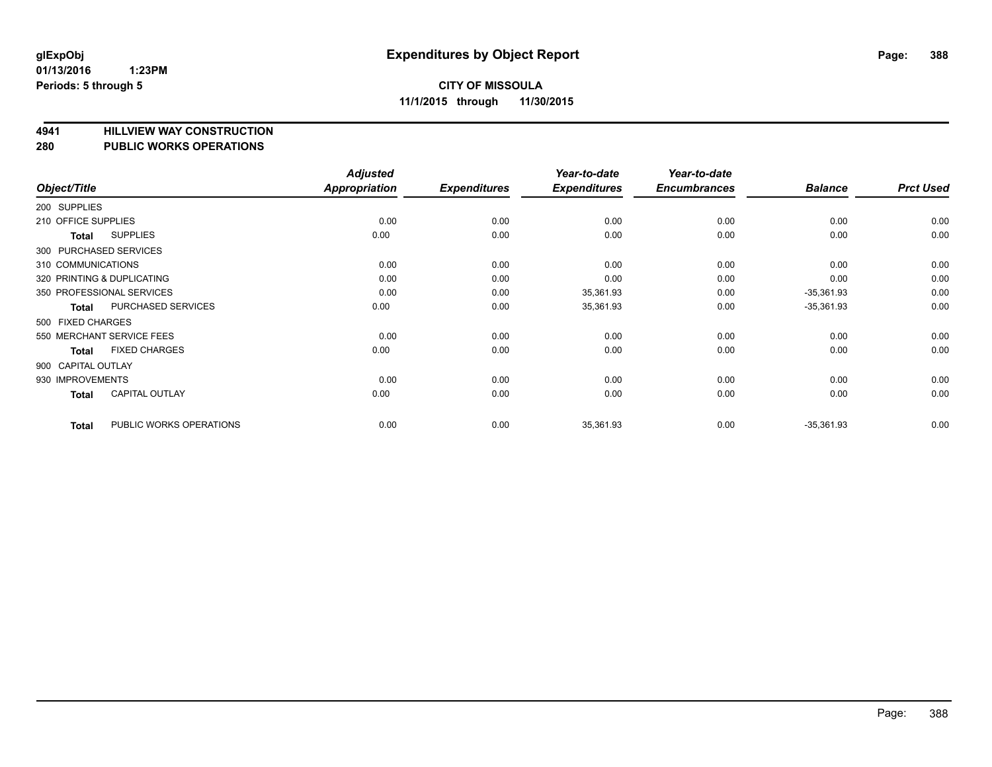# **4941 HILLVIEW WAY CONSTRUCTION**

## **280 PUBLIC WORKS OPERATIONS**

| Object/Title        |                            | <b>Adjusted</b><br>Appropriation | <b>Expenditures</b> | Year-to-date<br><b>Expenditures</b> | Year-to-date<br><b>Encumbrances</b> | <b>Balance</b> | <b>Prct Used</b> |
|---------------------|----------------------------|----------------------------------|---------------------|-------------------------------------|-------------------------------------|----------------|------------------|
| 200 SUPPLIES        |                            |                                  |                     |                                     |                                     |                |                  |
| 210 OFFICE SUPPLIES |                            | 0.00                             | 0.00                | 0.00                                | 0.00                                | 0.00           | 0.00             |
| <b>Total</b>        | <b>SUPPLIES</b>            | 0.00                             | 0.00                | 0.00                                | 0.00                                | 0.00           | 0.00             |
|                     | 300 PURCHASED SERVICES     |                                  |                     |                                     |                                     |                |                  |
| 310 COMMUNICATIONS  |                            | 0.00                             | 0.00                | 0.00                                | 0.00                                | 0.00           | 0.00             |
|                     | 320 PRINTING & DUPLICATING | 0.00                             | 0.00                | 0.00                                | 0.00                                | 0.00           | 0.00             |
|                     | 350 PROFESSIONAL SERVICES  | 0.00                             | 0.00                | 35,361.93                           | 0.00                                | $-35,361.93$   | 0.00             |
| <b>Total</b>        | PURCHASED SERVICES         | 0.00                             | 0.00                | 35,361.93                           | 0.00                                | $-35,361.93$   | 0.00             |
| 500 FIXED CHARGES   |                            |                                  |                     |                                     |                                     |                |                  |
|                     | 550 MERCHANT SERVICE FEES  | 0.00                             | 0.00                | 0.00                                | 0.00                                | 0.00           | 0.00             |
| <b>Total</b>        | <b>FIXED CHARGES</b>       | 0.00                             | 0.00                | 0.00                                | 0.00                                | 0.00           | 0.00             |
| 900 CAPITAL OUTLAY  |                            |                                  |                     |                                     |                                     |                |                  |
| 930 IMPROVEMENTS    |                            | 0.00                             | 0.00                | 0.00                                | 0.00                                | 0.00           | 0.00             |
| <b>Total</b>        | <b>CAPITAL OUTLAY</b>      | 0.00                             | 0.00                | 0.00                                | 0.00                                | 0.00           | 0.00             |
| <b>Total</b>        | PUBLIC WORKS OPERATIONS    | 0.00                             | 0.00                | 35,361.93                           | 0.00                                | $-35,361.93$   | 0.00             |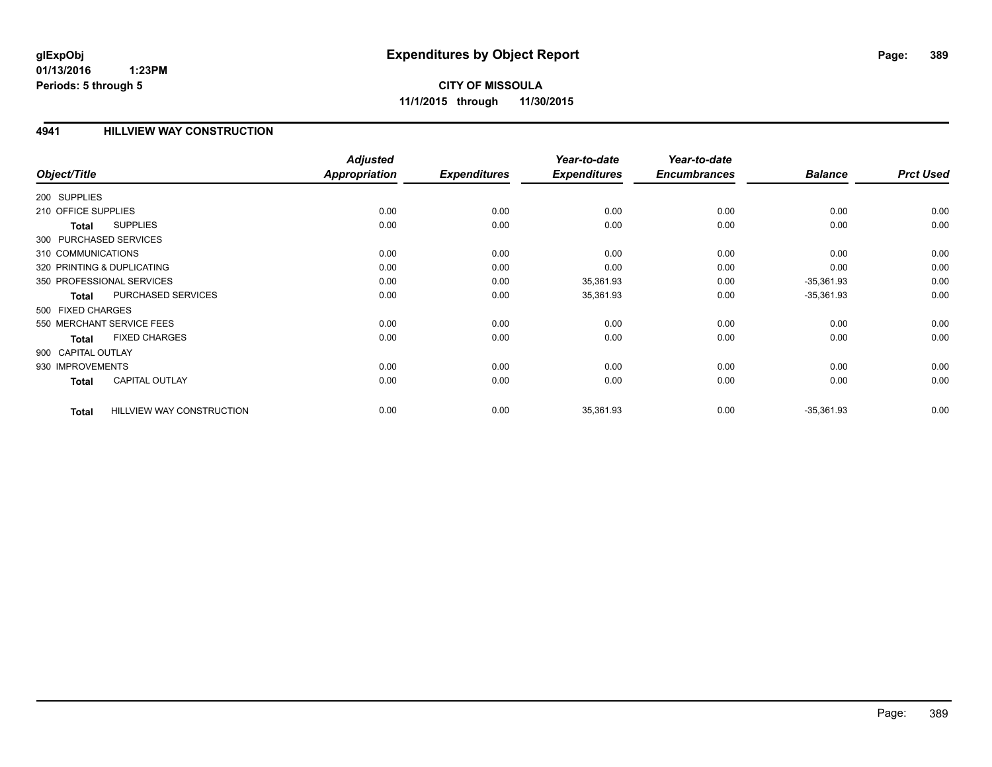## **4941 HILLVIEW WAY CONSTRUCTION**

|                     |                                  | <b>Adjusted</b> |                     | Year-to-date        | Year-to-date        |                |                  |
|---------------------|----------------------------------|-----------------|---------------------|---------------------|---------------------|----------------|------------------|
| Object/Title        |                                  | Appropriation   | <b>Expenditures</b> | <b>Expenditures</b> | <b>Encumbrances</b> | <b>Balance</b> | <b>Prct Used</b> |
| 200 SUPPLIES        |                                  |                 |                     |                     |                     |                |                  |
| 210 OFFICE SUPPLIES |                                  | 0.00            | 0.00                | 0.00                | 0.00                | 0.00           | 0.00             |
| <b>Total</b>        | <b>SUPPLIES</b>                  | 0.00            | 0.00                | 0.00                | 0.00                | 0.00           | 0.00             |
|                     | 300 PURCHASED SERVICES           |                 |                     |                     |                     |                |                  |
| 310 COMMUNICATIONS  |                                  | 0.00            | 0.00                | 0.00                | 0.00                | 0.00           | 0.00             |
|                     | 320 PRINTING & DUPLICATING       | 0.00            | 0.00                | 0.00                | 0.00                | 0.00           | 0.00             |
|                     | 350 PROFESSIONAL SERVICES        | 0.00            | 0.00                | 35,361.93           | 0.00                | $-35,361.93$   | 0.00             |
| <b>Total</b>        | PURCHASED SERVICES               | 0.00            | 0.00                | 35,361.93           | 0.00                | $-35,361.93$   | 0.00             |
| 500 FIXED CHARGES   |                                  |                 |                     |                     |                     |                |                  |
|                     | 550 MERCHANT SERVICE FEES        | 0.00            | 0.00                | 0.00                | 0.00                | 0.00           | 0.00             |
| <b>Total</b>        | <b>FIXED CHARGES</b>             | 0.00            | 0.00                | 0.00                | 0.00                | 0.00           | 0.00             |
| 900 CAPITAL OUTLAY  |                                  |                 |                     |                     |                     |                |                  |
| 930 IMPROVEMENTS    |                                  | 0.00            | 0.00                | 0.00                | 0.00                | 0.00           | 0.00             |
| <b>Total</b>        | <b>CAPITAL OUTLAY</b>            | 0.00            | 0.00                | 0.00                | 0.00                | 0.00           | 0.00             |
| <b>Total</b>        | <b>HILLVIEW WAY CONSTRUCTION</b> | 0.00            | 0.00                | 35,361.93           | 0.00                | $-35,361.93$   | 0.00             |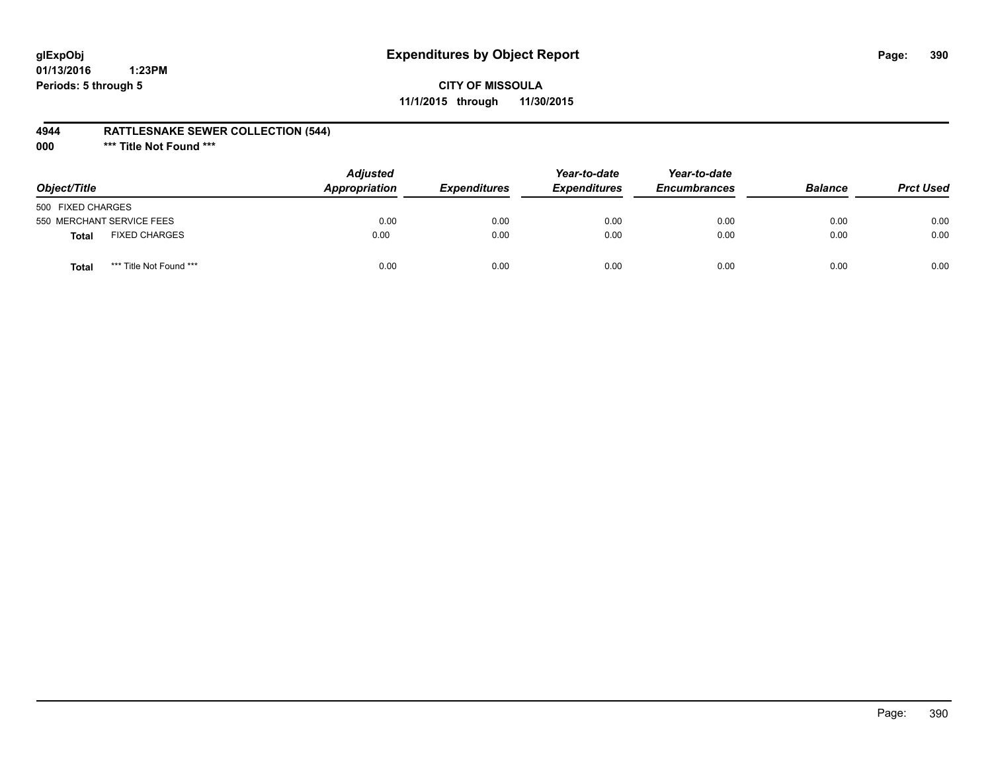# **glExpObj Expenditures by Object Report Page: 390**

# **CITY OF MISSOULA 11/1/2015 through 11/30/2015**

## **4944 RATTLESNAKE SEWER COLLECTION (544)**

**000 \*\*\* Title Not Found \*\*\***

| Object/Title              |                         | <b>Adjusted</b><br><b>Appropriation</b> | <i><b>Expenditures</b></i> | Year-to-date<br><b>Expenditures</b> | Year-to-date<br><b>Encumbrances</b> | <b>Balance</b> | <b>Prct Used</b> |
|---------------------------|-------------------------|-----------------------------------------|----------------------------|-------------------------------------|-------------------------------------|----------------|------------------|
| 500 FIXED CHARGES         |                         |                                         |                            |                                     |                                     |                |                  |
| 550 MERCHANT SERVICE FEES |                         | 0.00                                    | 0.00                       | 0.00                                | 0.00                                | 0.00           | 0.00             |
| <b>Total</b>              | <b>FIXED CHARGES</b>    | 0.00                                    | 0.00                       | 0.00                                | 0.00                                | 0.00           | 0.00             |
| Total                     | *** Title Not Found *** | 0.00                                    | 0.00                       | 0.00                                | 0.00                                | 0.00           | 0.00             |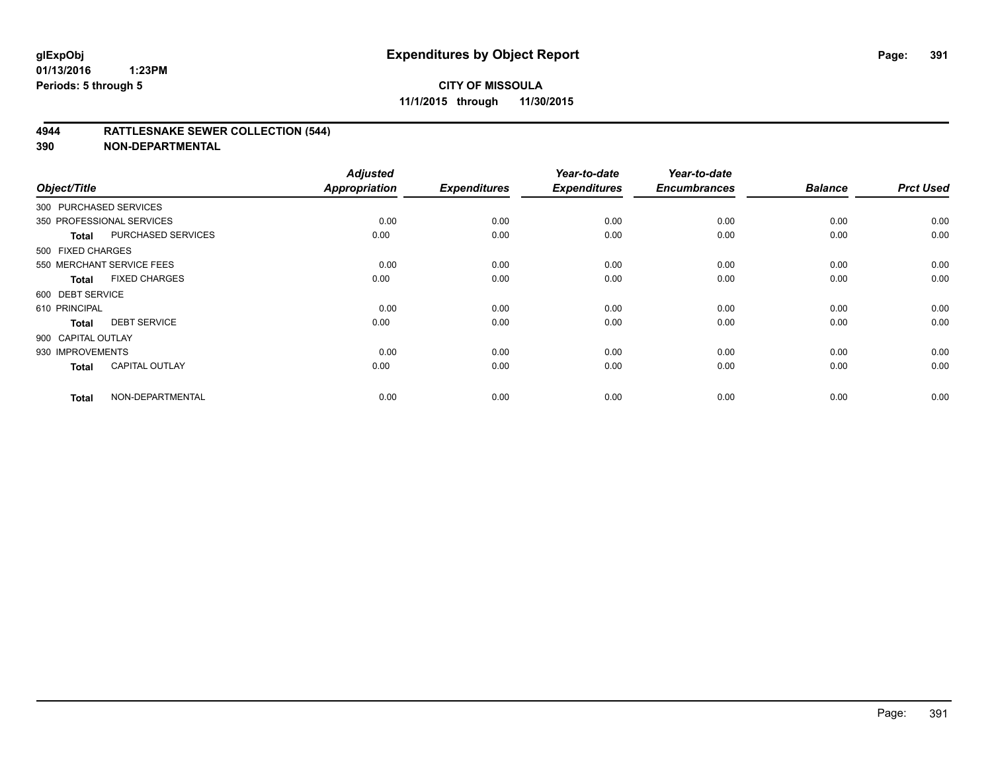## **4944 RATTLESNAKE SEWER COLLECTION (544)**

| Object/Title           |                           | <b>Adjusted</b><br><b>Appropriation</b> | <b>Expenditures</b> | Year-to-date<br><b>Expenditures</b> | Year-to-date<br><b>Encumbrances</b> | <b>Balance</b> | <b>Prct Used</b> |
|------------------------|---------------------------|-----------------------------------------|---------------------|-------------------------------------|-------------------------------------|----------------|------------------|
| 300 PURCHASED SERVICES |                           |                                         |                     |                                     |                                     |                |                  |
|                        | 350 PROFESSIONAL SERVICES | 0.00                                    | 0.00                | 0.00                                | 0.00                                | 0.00           | 0.00             |
| <b>Total</b>           | <b>PURCHASED SERVICES</b> | 0.00                                    | 0.00                | 0.00                                | 0.00                                | 0.00           | 0.00             |
| 500 FIXED CHARGES      |                           |                                         |                     |                                     |                                     |                |                  |
|                        | 550 MERCHANT SERVICE FEES | 0.00                                    | 0.00                | 0.00                                | 0.00                                | 0.00           | 0.00             |
| <b>Total</b>           | <b>FIXED CHARGES</b>      | 0.00                                    | 0.00                | 0.00                                | 0.00                                | 0.00           | 0.00             |
| 600 DEBT SERVICE       |                           |                                         |                     |                                     |                                     |                |                  |
| 610 PRINCIPAL          |                           | 0.00                                    | 0.00                | 0.00                                | 0.00                                | 0.00           | 0.00             |
| <b>Total</b>           | <b>DEBT SERVICE</b>       | 0.00                                    | 0.00                | 0.00                                | 0.00                                | 0.00           | 0.00             |
| 900 CAPITAL OUTLAY     |                           |                                         |                     |                                     |                                     |                |                  |
| 930 IMPROVEMENTS       |                           | 0.00                                    | 0.00                | 0.00                                | 0.00                                | 0.00           | 0.00             |
| <b>Total</b>           | <b>CAPITAL OUTLAY</b>     | 0.00                                    | 0.00                | 0.00                                | 0.00                                | 0.00           | 0.00             |
| <b>Total</b>           | NON-DEPARTMENTAL          | 0.00                                    | 0.00                | 0.00                                | 0.00                                | 0.00           | 0.00             |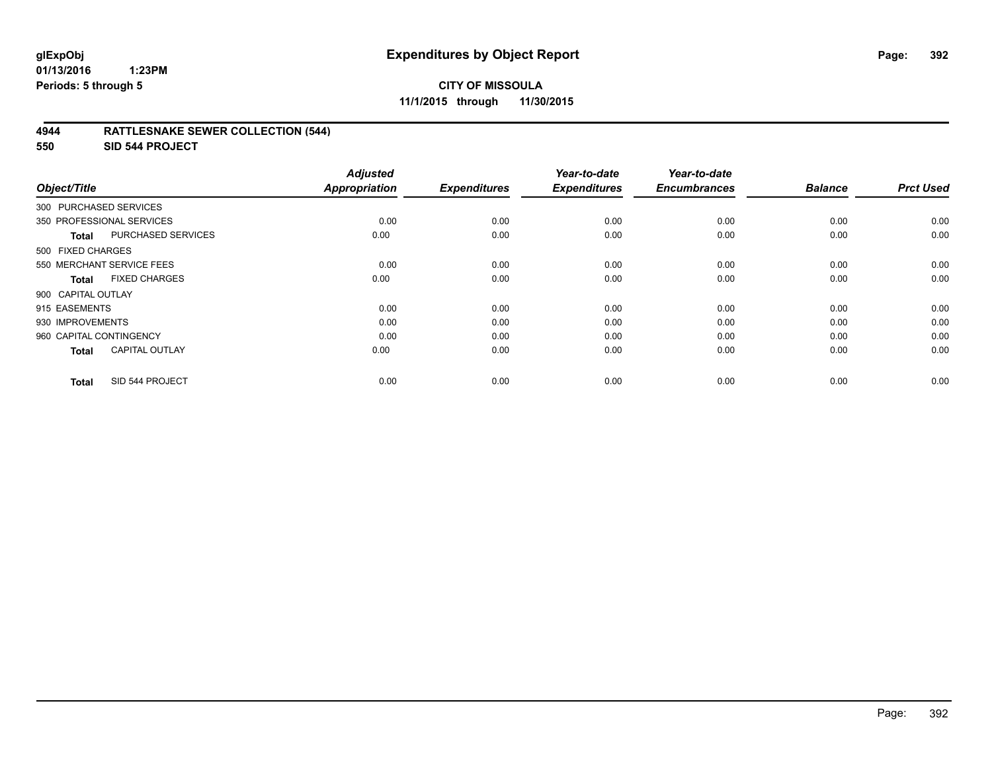## **4944 RATTLESNAKE SEWER COLLECTION (544)**

**550 SID 544 PROJECT**

| Object/Title            |                           | <b>Adjusted</b><br><b>Appropriation</b> | <b>Expenditures</b> | Year-to-date<br><b>Expenditures</b> | Year-to-date<br><b>Encumbrances</b> | <b>Balance</b> | <b>Prct Used</b> |
|-------------------------|---------------------------|-----------------------------------------|---------------------|-------------------------------------|-------------------------------------|----------------|------------------|
| 300 PURCHASED SERVICES  |                           |                                         |                     |                                     |                                     |                |                  |
|                         | 350 PROFESSIONAL SERVICES | 0.00                                    | 0.00                | 0.00                                | 0.00                                | 0.00           | 0.00             |
| Total                   | <b>PURCHASED SERVICES</b> | 0.00                                    | 0.00                | 0.00                                | 0.00                                | 0.00           | 0.00             |
| 500 FIXED CHARGES       |                           |                                         |                     |                                     |                                     |                |                  |
|                         | 550 MERCHANT SERVICE FEES | 0.00                                    | 0.00                | 0.00                                | 0.00                                | 0.00           | 0.00             |
| <b>Total</b>            | <b>FIXED CHARGES</b>      | 0.00                                    | 0.00                | 0.00                                | 0.00                                | 0.00           | 0.00             |
| 900 CAPITAL OUTLAY      |                           |                                         |                     |                                     |                                     |                |                  |
| 915 EASEMENTS           |                           | 0.00                                    | 0.00                | 0.00                                | 0.00                                | 0.00           | 0.00             |
| 930 IMPROVEMENTS        |                           | 0.00                                    | 0.00                | 0.00                                | 0.00                                | 0.00           | 0.00             |
| 960 CAPITAL CONTINGENCY |                           | 0.00                                    | 0.00                | 0.00                                | 0.00                                | 0.00           | 0.00             |
| <b>Total</b>            | <b>CAPITAL OUTLAY</b>     | 0.00                                    | 0.00                | 0.00                                | 0.00                                | 0.00           | 0.00             |
| <b>Total</b>            | SID 544 PROJECT           | 0.00                                    | 0.00                | 0.00                                | 0.00                                | 0.00           | 0.00             |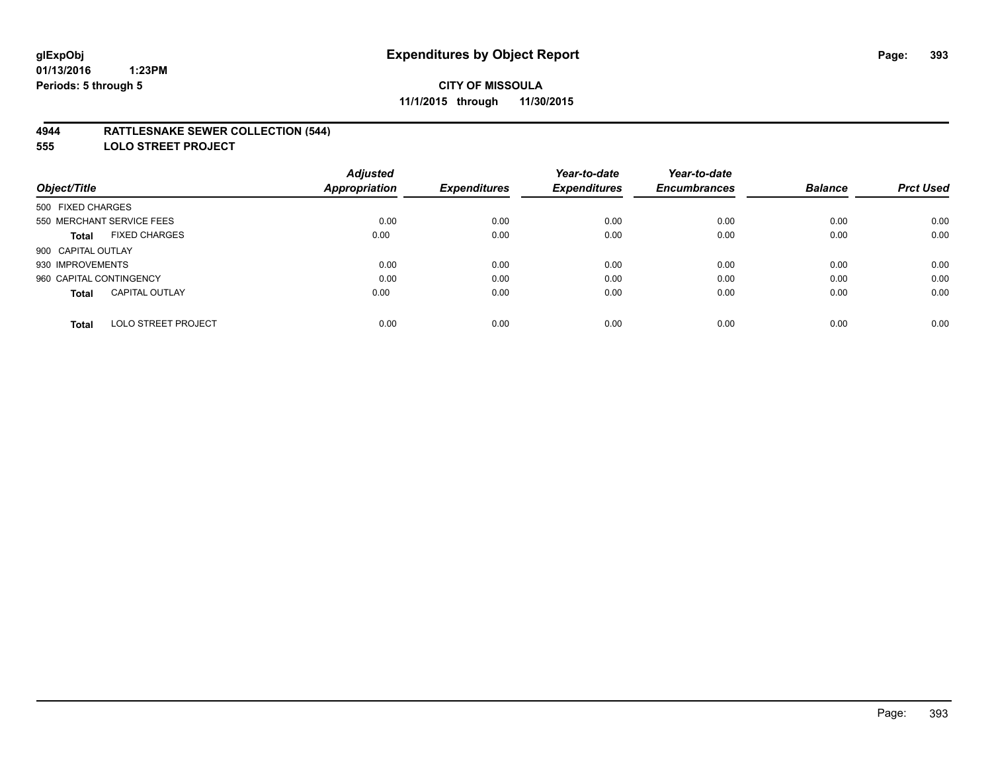## **4944 RATTLESNAKE SEWER COLLECTION (544)**

**555 LOLO STREET PROJECT**

|                                            | <b>Adjusted</b>      |                     | Year-to-date        | Year-to-date        |                |                  |
|--------------------------------------------|----------------------|---------------------|---------------------|---------------------|----------------|------------------|
| Object/Title                               | <b>Appropriation</b> | <b>Expenditures</b> | <b>Expenditures</b> | <b>Encumbrances</b> | <b>Balance</b> | <b>Prct Used</b> |
| 500 FIXED CHARGES                          |                      |                     |                     |                     |                |                  |
| 550 MERCHANT SERVICE FEES                  | 0.00                 | 0.00                | 0.00                | 0.00                | 0.00           | 0.00             |
| <b>FIXED CHARGES</b><br><b>Total</b>       | 0.00                 | 0.00                | 0.00                | 0.00                | 0.00           | 0.00             |
| 900 CAPITAL OUTLAY                         |                      |                     |                     |                     |                |                  |
| 930 IMPROVEMENTS                           | 0.00                 | 0.00                | 0.00                | 0.00                | 0.00           | 0.00             |
| 960 CAPITAL CONTINGENCY                    | 0.00                 | 0.00                | 0.00                | 0.00                | 0.00           | 0.00             |
| <b>CAPITAL OUTLAY</b><br><b>Total</b>      | 0.00                 | 0.00                | 0.00                | 0.00                | 0.00           | 0.00             |
| <b>LOLO STREET PROJECT</b><br><b>Total</b> | 0.00                 | 0.00                | 0.00                | 0.00                | 0.00           | 0.00             |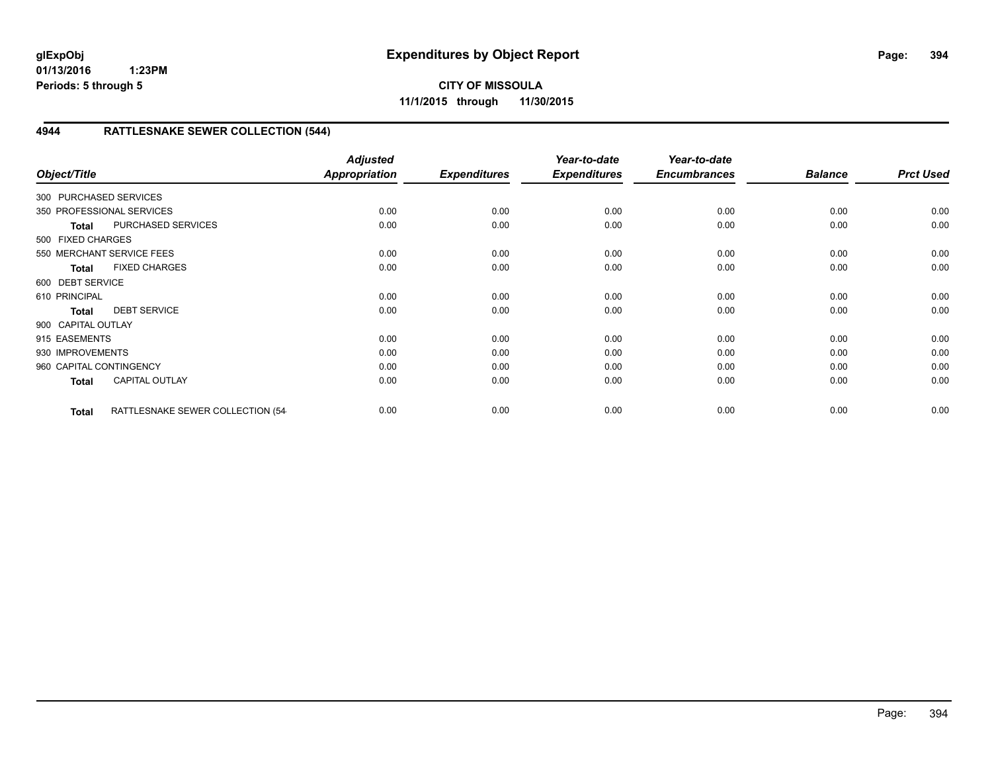**CITY OF MISSOULA 11/1/2015 through 11/30/2015**

# **4944 RATTLESNAKE SEWER COLLECTION (544)**

| Object/Title            |                                  | <b>Adjusted</b><br>Appropriation | <b>Expenditures</b> | Year-to-date<br><b>Expenditures</b> | Year-to-date<br><b>Encumbrances</b> | <b>Balance</b> | <b>Prct Used</b> |
|-------------------------|----------------------------------|----------------------------------|---------------------|-------------------------------------|-------------------------------------|----------------|------------------|
| 300 PURCHASED SERVICES  |                                  |                                  |                     |                                     |                                     |                |                  |
|                         | 350 PROFESSIONAL SERVICES        | 0.00                             | 0.00                | 0.00                                | 0.00                                | 0.00           | 0.00             |
| <b>Total</b>            | PURCHASED SERVICES               | 0.00                             | 0.00                | 0.00                                | 0.00                                | 0.00           | 0.00             |
| 500 FIXED CHARGES       |                                  |                                  |                     |                                     |                                     |                |                  |
|                         | 550 MERCHANT SERVICE FEES        | 0.00                             | 0.00                | 0.00                                | 0.00                                | 0.00           | 0.00             |
| <b>Total</b>            | <b>FIXED CHARGES</b>             | 0.00                             | 0.00                | 0.00                                | 0.00                                | 0.00           | 0.00             |
| 600 DEBT SERVICE        |                                  |                                  |                     |                                     |                                     |                |                  |
| 610 PRINCIPAL           |                                  | 0.00                             | 0.00                | 0.00                                | 0.00                                | 0.00           | 0.00             |
| <b>Total</b>            | <b>DEBT SERVICE</b>              | 0.00                             | 0.00                | 0.00                                | 0.00                                | 0.00           | 0.00             |
| 900 CAPITAL OUTLAY      |                                  |                                  |                     |                                     |                                     |                |                  |
| 915 EASEMENTS           |                                  | 0.00                             | 0.00                | 0.00                                | 0.00                                | 0.00           | 0.00             |
| 930 IMPROVEMENTS        |                                  | 0.00                             | 0.00                | 0.00                                | 0.00                                | 0.00           | 0.00             |
| 960 CAPITAL CONTINGENCY |                                  | 0.00                             | 0.00                | 0.00                                | 0.00                                | 0.00           | 0.00             |
| <b>Total</b>            | <b>CAPITAL OUTLAY</b>            | 0.00                             | 0.00                | 0.00                                | 0.00                                | 0.00           | 0.00             |
| <b>Total</b>            | RATTLESNAKE SEWER COLLECTION (54 | 0.00                             | 0.00                | 0.00                                | 0.00                                | 0.00           | 0.00             |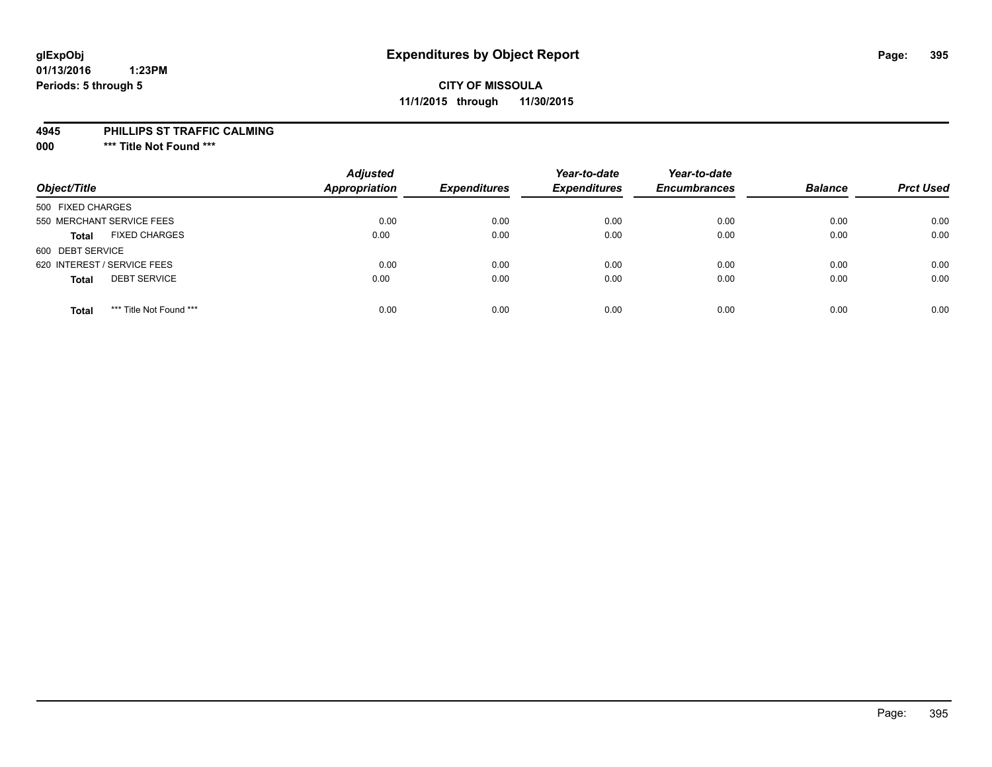# **glExpObj Expenditures by Object Report Page: 395**

#### **01/13/2016 1:23PM Periods: 5 through 5**

# **CITY OF MISSOULA 11/1/2015 through 11/30/2015**

#### **4945 PHILLIPS ST TRAFFIC CALMING**

**000 \*\*\* Title Not Found \*\*\***

| Object/Title                            | <b>Adjusted</b><br><b>Appropriation</b> | <b>Expenditures</b> | Year-to-date<br><b>Expenditures</b> | Year-to-date<br><b>Encumbrances</b> | <b>Balance</b> | <b>Prct Used</b> |
|-----------------------------------------|-----------------------------------------|---------------------|-------------------------------------|-------------------------------------|----------------|------------------|
| 500 FIXED CHARGES                       |                                         |                     |                                     |                                     |                |                  |
| 550 MERCHANT SERVICE FEES               | 0.00                                    | 0.00                | 0.00                                | 0.00                                | 0.00           | 0.00             |
| <b>FIXED CHARGES</b><br><b>Total</b>    | 0.00                                    | 0.00                | 0.00                                | 0.00                                | 0.00           | 0.00             |
| 600 DEBT SERVICE                        |                                         |                     |                                     |                                     |                |                  |
| 620 INTEREST / SERVICE FEES             | 0.00                                    | 0.00                | 0.00                                | 0.00                                | 0.00           | 0.00             |
| <b>DEBT SERVICE</b><br><b>Total</b>     | 0.00                                    | 0.00                | 0.00                                | 0.00                                | 0.00           | 0.00             |
| *** Title Not Found ***<br><b>Total</b> | 0.00                                    | 0.00                | 0.00                                | 0.00                                | 0.00           | 0.00             |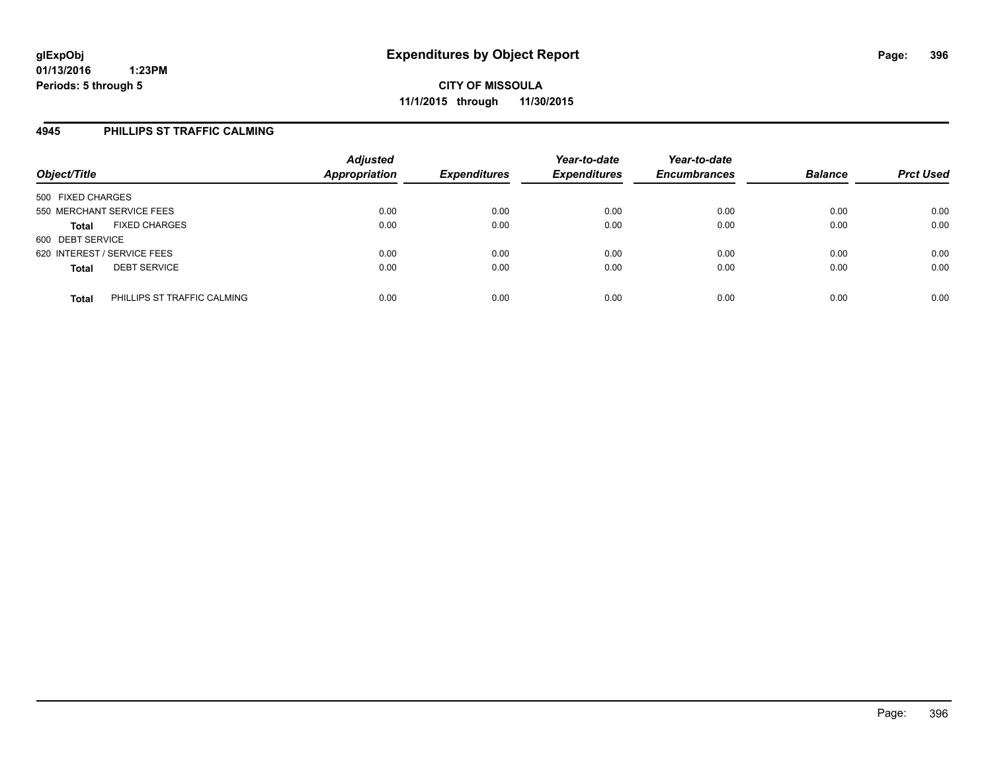## **4945 PHILLIPS ST TRAFFIC CALMING**

| Object/Title                                | <b>Adjusted</b><br><b>Appropriation</b> | <b>Expenditures</b> | Year-to-date<br><b>Expenditures</b> | Year-to-date<br><b>Encumbrances</b> | <b>Balance</b> | <b>Prct Used</b> |
|---------------------------------------------|-----------------------------------------|---------------------|-------------------------------------|-------------------------------------|----------------|------------------|
| 500 FIXED CHARGES                           |                                         |                     |                                     |                                     |                |                  |
| 550 MERCHANT SERVICE FEES                   | 0.00                                    | 0.00                | 0.00                                | 0.00                                | 0.00           | 0.00             |
| <b>FIXED CHARGES</b><br><b>Total</b>        | 0.00                                    | 0.00                | 0.00                                | 0.00                                | 0.00           | 0.00             |
| 600 DEBT SERVICE                            |                                         |                     |                                     |                                     |                |                  |
| 620 INTEREST / SERVICE FEES                 | 0.00                                    | 0.00                | 0.00                                | 0.00                                | 0.00           | 0.00             |
| <b>DEBT SERVICE</b><br><b>Total</b>         | 0.00                                    | 0.00                | 0.00                                | 0.00                                | 0.00           | 0.00             |
| PHILLIPS ST TRAFFIC CALMING<br><b>Total</b> | 0.00                                    | 0.00                | 0.00                                | 0.00                                | 0.00           | 0.00             |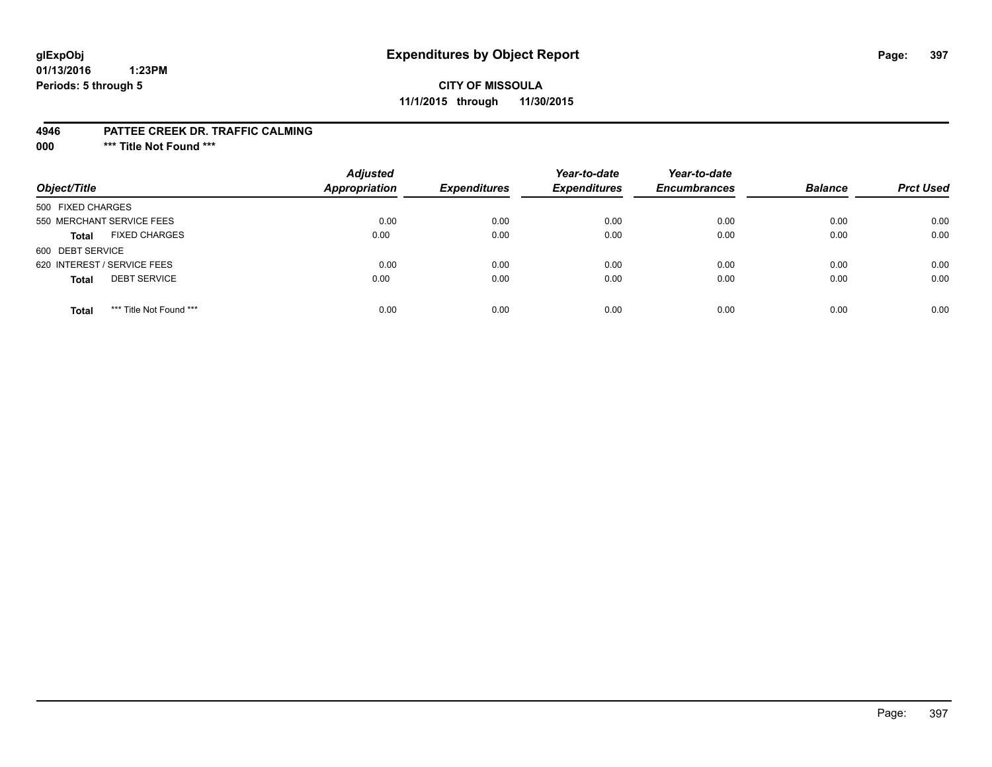# **glExpObj Expenditures by Object Report Page: 397**

#### **01/13/2016 1:23PM Periods: 5 through 5**

#### **CITY OF MISSOULA 11/1/2015 through 11/30/2015**

#### **4946 PATTEE CREEK DR. TRAFFIC CALMING**

**000 \*\*\* Title Not Found \*\*\***

| Object/Title                            | <b>Adjusted</b><br><b>Appropriation</b> | <b>Expenditures</b> | Year-to-date<br><b>Expenditures</b> | Year-to-date<br><b>Encumbrances</b> | <b>Balance</b> | <b>Prct Used</b> |
|-----------------------------------------|-----------------------------------------|---------------------|-------------------------------------|-------------------------------------|----------------|------------------|
| 500 FIXED CHARGES                       |                                         |                     |                                     |                                     |                |                  |
| 550 MERCHANT SERVICE FEES               | 0.00                                    | 0.00                | 0.00                                | 0.00                                | 0.00           | 0.00             |
| <b>FIXED CHARGES</b><br><b>Total</b>    | 0.00                                    | 0.00                | 0.00                                | 0.00                                | 0.00           | 0.00             |
| 600 DEBT SERVICE                        |                                         |                     |                                     |                                     |                |                  |
| 620 INTEREST / SERVICE FEES             | 0.00                                    | 0.00                | 0.00                                | 0.00                                | 0.00           | 0.00             |
| <b>DEBT SERVICE</b><br><b>Total</b>     | 0.00                                    | 0.00                | 0.00                                | 0.00                                | 0.00           | 0.00             |
| *** Title Not Found ***<br><b>Total</b> | 0.00                                    | 0.00                | 0.00                                | 0.00                                | 0.00           | 0.00             |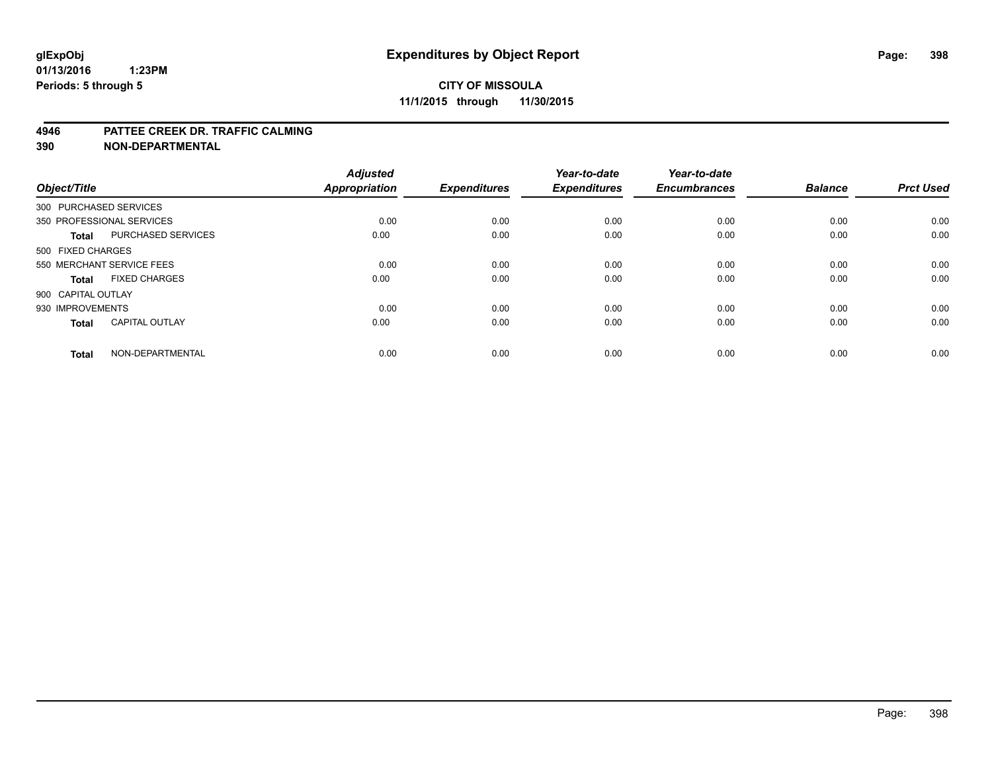#### **4946 PATTEE CREEK DR. TRAFFIC CALMING**

**390 NON-DEPARTMENTAL**

| Object/Title       |                           | <b>Adjusted</b><br><b>Appropriation</b> | <b>Expenditures</b> | Year-to-date<br><b>Expenditures</b> | Year-to-date<br><b>Encumbrances</b> | <b>Balance</b> | <b>Prct Used</b> |
|--------------------|---------------------------|-----------------------------------------|---------------------|-------------------------------------|-------------------------------------|----------------|------------------|
|                    | 300 PURCHASED SERVICES    |                                         |                     |                                     |                                     |                |                  |
|                    | 350 PROFESSIONAL SERVICES | 0.00                                    | 0.00                | 0.00                                | 0.00                                | 0.00           | 0.00             |
| <b>Total</b>       | <b>PURCHASED SERVICES</b> | 0.00                                    | 0.00                | 0.00                                | 0.00                                | 0.00           | 0.00             |
| 500 FIXED CHARGES  |                           |                                         |                     |                                     |                                     |                |                  |
|                    | 550 MERCHANT SERVICE FEES | 0.00                                    | 0.00                | 0.00                                | 0.00                                | 0.00           | 0.00             |
| <b>Total</b>       | <b>FIXED CHARGES</b>      | 0.00                                    | 0.00                | 0.00                                | 0.00                                | 0.00           | 0.00             |
| 900 CAPITAL OUTLAY |                           |                                         |                     |                                     |                                     |                |                  |
| 930 IMPROVEMENTS   |                           | 0.00                                    | 0.00                | 0.00                                | 0.00                                | 0.00           | 0.00             |
| <b>Total</b>       | <b>CAPITAL OUTLAY</b>     | 0.00                                    | 0.00                | 0.00                                | 0.00                                | 0.00           | 0.00             |
| <b>Total</b>       | NON-DEPARTMENTAL          | 0.00                                    | 0.00                | 0.00                                | 0.00                                | 0.00           | 0.00             |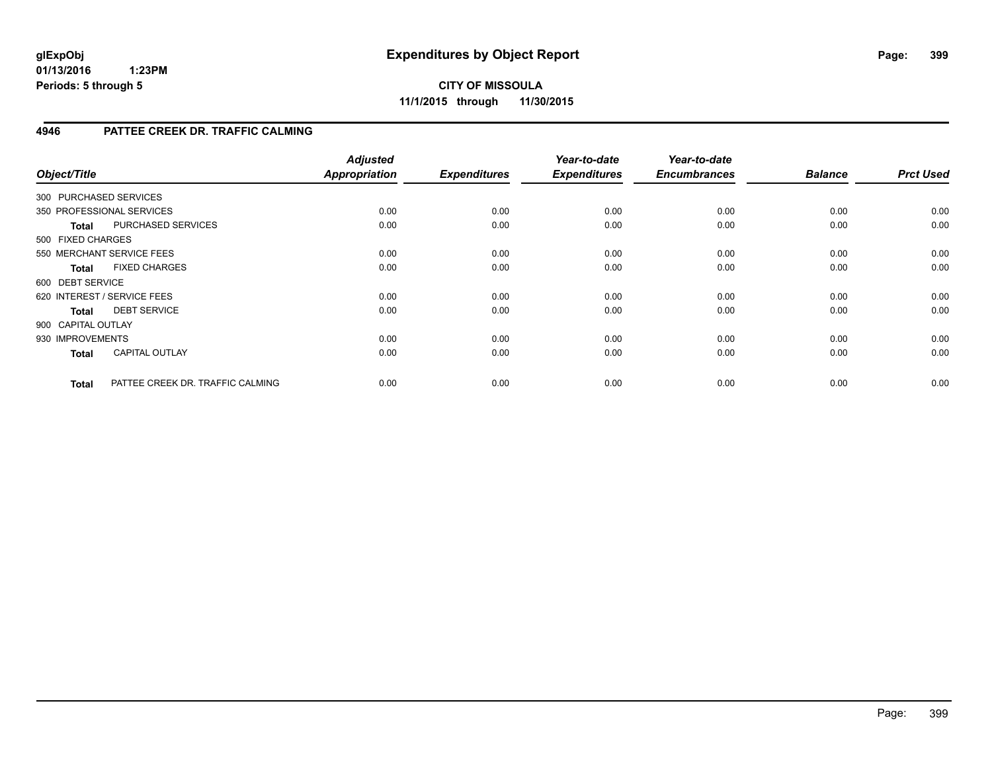**CITY OF MISSOULA 11/1/2015 through 11/30/2015**

### **4946 PATTEE CREEK DR. TRAFFIC CALMING**

| Object/Title       |                                  | <b>Adjusted</b><br><b>Appropriation</b> | <b>Expenditures</b> | Year-to-date<br><b>Expenditures</b> | Year-to-date<br><b>Encumbrances</b> | <b>Balance</b> | <b>Prct Used</b> |
|--------------------|----------------------------------|-----------------------------------------|---------------------|-------------------------------------|-------------------------------------|----------------|------------------|
|                    | 300 PURCHASED SERVICES           |                                         |                     |                                     |                                     |                |                  |
|                    | 350 PROFESSIONAL SERVICES        | 0.00                                    | 0.00                | 0.00                                | 0.00                                | 0.00           | 0.00             |
| <b>Total</b>       | <b>PURCHASED SERVICES</b>        | 0.00                                    | 0.00                | 0.00                                | 0.00                                | 0.00           | 0.00             |
| 500 FIXED CHARGES  |                                  |                                         |                     |                                     |                                     |                |                  |
|                    | 550 MERCHANT SERVICE FEES        | 0.00                                    | 0.00                | 0.00                                | 0.00                                | 0.00           | 0.00             |
| <b>Total</b>       | <b>FIXED CHARGES</b>             | 0.00                                    | 0.00                | 0.00                                | 0.00                                | 0.00           | 0.00             |
| 600 DEBT SERVICE   |                                  |                                         |                     |                                     |                                     |                |                  |
|                    | 620 INTEREST / SERVICE FEES      | 0.00                                    | 0.00                | 0.00                                | 0.00                                | 0.00           | 0.00             |
| Total              | <b>DEBT SERVICE</b>              | 0.00                                    | 0.00                | 0.00                                | 0.00                                | 0.00           | 0.00             |
| 900 CAPITAL OUTLAY |                                  |                                         |                     |                                     |                                     |                |                  |
| 930 IMPROVEMENTS   |                                  | 0.00                                    | 0.00                | 0.00                                | 0.00                                | 0.00           | 0.00             |
| <b>Total</b>       | <b>CAPITAL OUTLAY</b>            | 0.00                                    | 0.00                | 0.00                                | 0.00                                | 0.00           | 0.00             |
| <b>Total</b>       | PATTEE CREEK DR. TRAFFIC CALMING | 0.00                                    | 0.00                | 0.00                                | 0.00                                | 0.00           | 0.00             |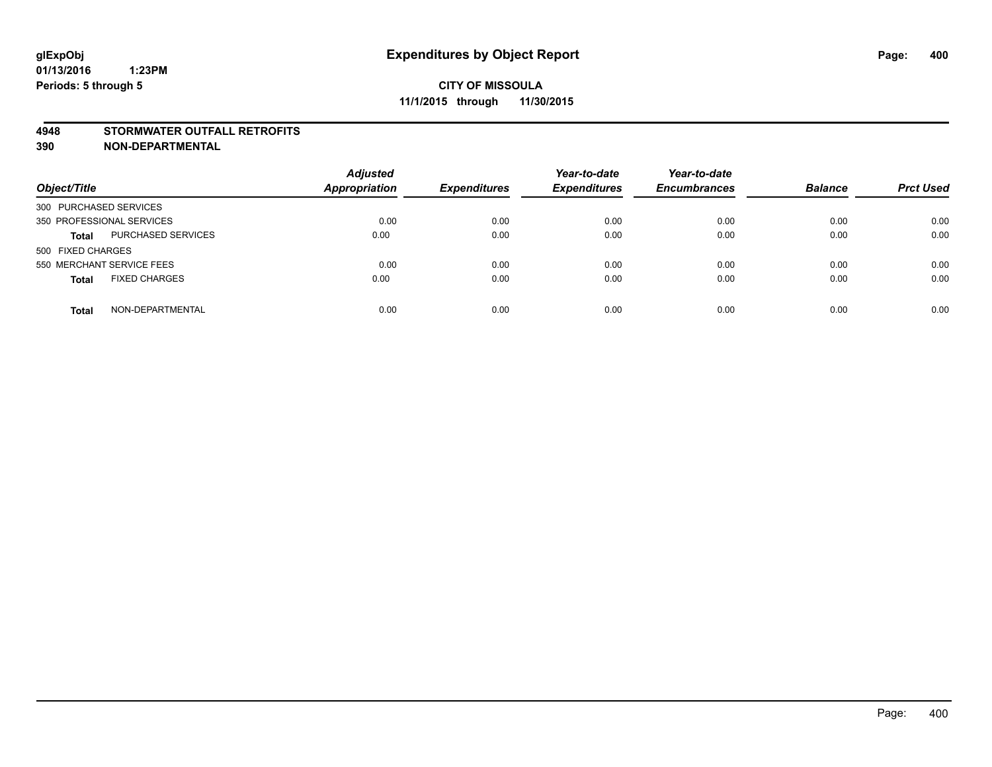#### **4948 STORMWATER OUTFALL RETROFITS**

**390 NON-DEPARTMENTAL**

| Object/Title                         | <b>Adjusted</b><br>Appropriation | <b>Expenditures</b> | Year-to-date<br><b>Expenditures</b> | Year-to-date<br><b>Encumbrances</b> | <b>Balance</b> | <b>Prct Used</b> |
|--------------------------------------|----------------------------------|---------------------|-------------------------------------|-------------------------------------|----------------|------------------|
| 300 PURCHASED SERVICES               |                                  |                     |                                     |                                     |                |                  |
| 350 PROFESSIONAL SERVICES            | 0.00                             | 0.00                | 0.00                                | 0.00                                | 0.00           | 0.00             |
| PURCHASED SERVICES<br><b>Total</b>   | 0.00                             | 0.00                | 0.00                                | 0.00                                | 0.00           | 0.00             |
| 500 FIXED CHARGES                    |                                  |                     |                                     |                                     |                |                  |
| 550 MERCHANT SERVICE FEES            | 0.00                             | 0.00                | 0.00                                | 0.00                                | 0.00           | 0.00             |
| <b>FIXED CHARGES</b><br><b>Total</b> | 0.00                             | 0.00                | 0.00                                | 0.00                                | 0.00           | 0.00             |
| NON-DEPARTMENTAL<br>Total            | 0.00                             | 0.00                | 0.00                                | 0.00                                | 0.00           | 0.00             |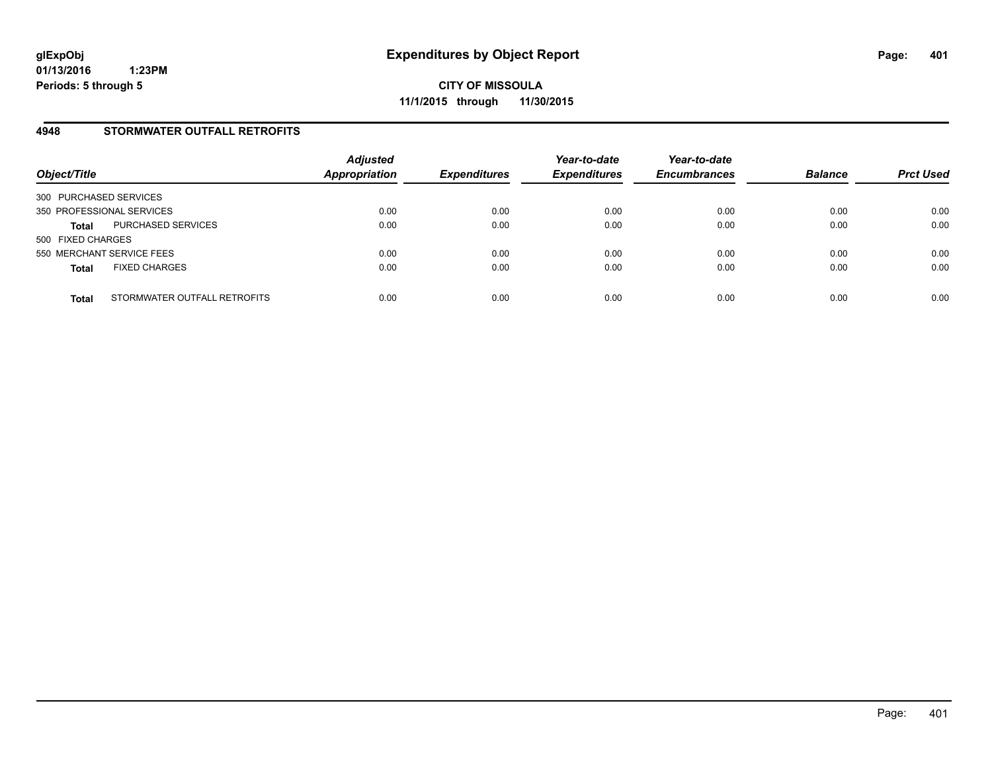#### **4948 STORMWATER OUTFALL RETROFITS**

| Object/Title              |                              | <b>Adjusted</b><br><b>Appropriation</b> | <b>Expenditures</b> | Year-to-date<br><b>Expenditures</b> | Year-to-date<br><b>Encumbrances</b> | <b>Balance</b> | <b>Prct Used</b> |
|---------------------------|------------------------------|-----------------------------------------|---------------------|-------------------------------------|-------------------------------------|----------------|------------------|
| 300 PURCHASED SERVICES    |                              |                                         |                     |                                     |                                     |                |                  |
| 350 PROFESSIONAL SERVICES |                              | 0.00                                    | 0.00                | 0.00                                | 0.00                                | 0.00           | 0.00             |
| <b>Total</b>              | PURCHASED SERVICES           | 0.00                                    | 0.00                | 0.00                                | 0.00                                | 0.00           | 0.00             |
| 500 FIXED CHARGES         |                              |                                         |                     |                                     |                                     |                |                  |
| 550 MERCHANT SERVICE FEES |                              | 0.00                                    | 0.00                | 0.00                                | 0.00                                | 0.00           | 0.00             |
| <b>Total</b>              | <b>FIXED CHARGES</b>         | 0.00                                    | 0.00                | 0.00                                | 0.00                                | 0.00           | 0.00             |
| <b>Total</b>              | STORMWATER OUTFALL RETROFITS | 0.00                                    | 0.00                | 0.00                                | 0.00                                | 0.00           | 0.00             |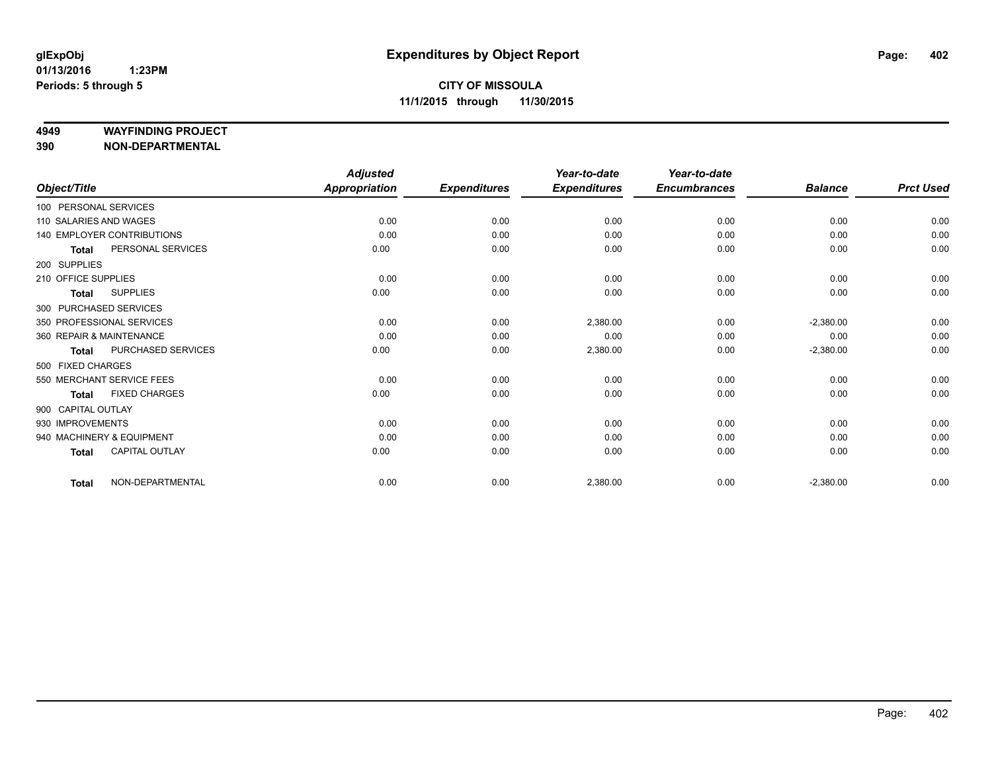#### **4949 WAYFINDING PROJECT**

**390 NON-DEPARTMENTAL**

|                          |                                   | <b>Adjusted</b>      |                     | Year-to-date        | Year-to-date        |                |                  |
|--------------------------|-----------------------------------|----------------------|---------------------|---------------------|---------------------|----------------|------------------|
| Object/Title             |                                   | <b>Appropriation</b> | <b>Expenditures</b> | <b>Expenditures</b> | <b>Encumbrances</b> | <b>Balance</b> | <b>Prct Used</b> |
| 100 PERSONAL SERVICES    |                                   |                      |                     |                     |                     |                |                  |
| 110 SALARIES AND WAGES   |                                   | 0.00                 | 0.00                | 0.00                | 0.00                | 0.00           | 0.00             |
|                          | <b>140 EMPLOYER CONTRIBUTIONS</b> | 0.00                 | 0.00                | 0.00                | 0.00                | 0.00           | 0.00             |
| <b>Total</b>             | PERSONAL SERVICES                 | 0.00                 | 0.00                | 0.00                | 0.00                | 0.00           | 0.00             |
| 200 SUPPLIES             |                                   |                      |                     |                     |                     |                |                  |
| 210 OFFICE SUPPLIES      |                                   | 0.00                 | 0.00                | 0.00                | 0.00                | 0.00           | 0.00             |
| <b>Total</b>             | <b>SUPPLIES</b>                   | 0.00                 | 0.00                | 0.00                | 0.00                | 0.00           | 0.00             |
| 300 PURCHASED SERVICES   |                                   |                      |                     |                     |                     |                |                  |
|                          | 350 PROFESSIONAL SERVICES         | 0.00                 | 0.00                | 2,380.00            | 0.00                | $-2,380.00$    | 0.00             |
| 360 REPAIR & MAINTENANCE |                                   | 0.00                 | 0.00                | 0.00                | 0.00                | 0.00           | 0.00             |
| <b>Total</b>             | PURCHASED SERVICES                | 0.00                 | 0.00                | 2,380.00            | 0.00                | $-2,380.00$    | 0.00             |
| 500 FIXED CHARGES        |                                   |                      |                     |                     |                     |                |                  |
|                          | 550 MERCHANT SERVICE FEES         | 0.00                 | 0.00                | 0.00                | 0.00                | 0.00           | 0.00             |
| <b>Total</b>             | <b>FIXED CHARGES</b>              | 0.00                 | 0.00                | 0.00                | 0.00                | 0.00           | 0.00             |
| 900 CAPITAL OUTLAY       |                                   |                      |                     |                     |                     |                |                  |
| 930 IMPROVEMENTS         |                                   | 0.00                 | 0.00                | 0.00                | 0.00                | 0.00           | 0.00             |
|                          | 940 MACHINERY & EQUIPMENT         | 0.00                 | 0.00                | 0.00                | 0.00                | 0.00           | 0.00             |
| <b>Total</b>             | CAPITAL OUTLAY                    | 0.00                 | 0.00                | 0.00                | 0.00                | 0.00           | 0.00             |
| <b>Total</b>             | NON-DEPARTMENTAL                  | 0.00                 | 0.00                | 2,380.00            | 0.00                | $-2,380.00$    | 0.00             |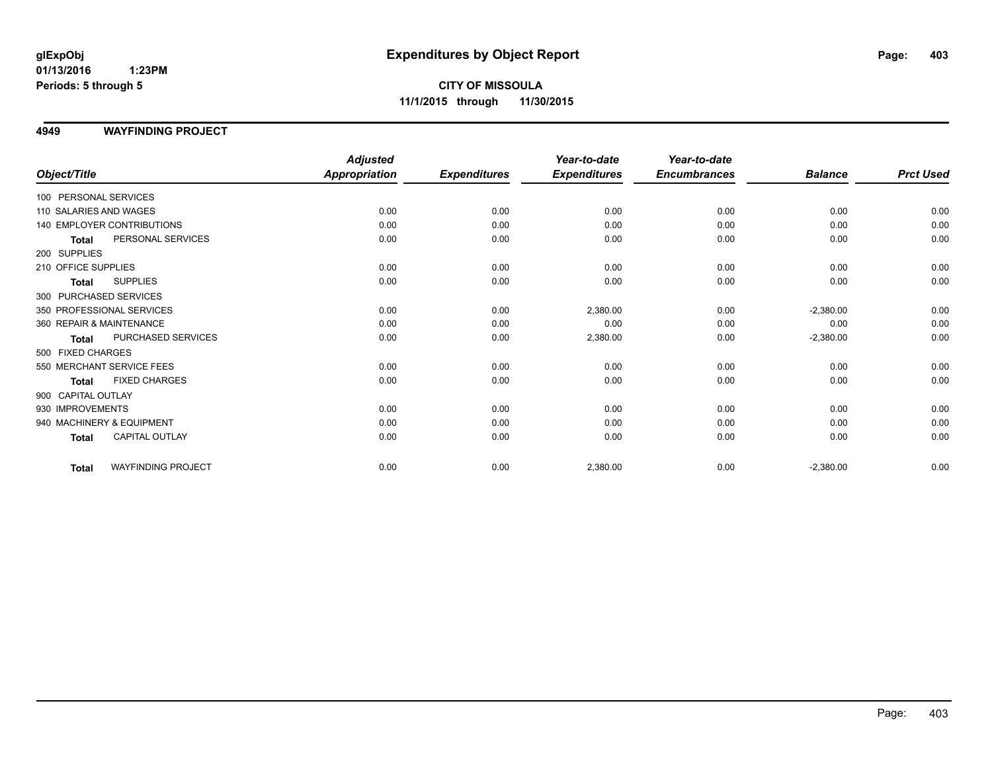**CITY OF MISSOULA 11/1/2015 through 11/30/2015**

**4949 WAYFINDING PROJECT**

|                                           | <b>Adjusted</b>      |                     | Year-to-date        | Year-to-date        |                |                  |
|-------------------------------------------|----------------------|---------------------|---------------------|---------------------|----------------|------------------|
| Object/Title                              | <b>Appropriation</b> | <b>Expenditures</b> | <b>Expenditures</b> | <b>Encumbrances</b> | <b>Balance</b> | <b>Prct Used</b> |
| 100 PERSONAL SERVICES                     |                      |                     |                     |                     |                |                  |
| 110 SALARIES AND WAGES                    | 0.00                 | 0.00                | 0.00                | 0.00                | 0.00           | 0.00             |
| 140 EMPLOYER CONTRIBUTIONS                | 0.00                 | 0.00                | 0.00                | 0.00                | 0.00           | 0.00             |
| PERSONAL SERVICES<br><b>Total</b>         | 0.00                 | 0.00                | 0.00                | 0.00                | 0.00           | 0.00             |
| 200 SUPPLIES                              |                      |                     |                     |                     |                |                  |
| 210 OFFICE SUPPLIES                       | 0.00                 | 0.00                | 0.00                | 0.00                | 0.00           | 0.00             |
| <b>SUPPLIES</b><br><b>Total</b>           | 0.00                 | 0.00                | 0.00                | 0.00                | 0.00           | 0.00             |
| 300 PURCHASED SERVICES                    |                      |                     |                     |                     |                |                  |
| 350 PROFESSIONAL SERVICES                 | 0.00                 | 0.00                | 2,380.00            | 0.00                | $-2,380.00$    | 0.00             |
| 360 REPAIR & MAINTENANCE                  | 0.00                 | 0.00                | 0.00                | 0.00                | 0.00           | 0.00             |
| PURCHASED SERVICES<br><b>Total</b>        | 0.00                 | 0.00                | 2,380.00            | 0.00                | $-2,380.00$    | 0.00             |
| 500 FIXED CHARGES                         |                      |                     |                     |                     |                |                  |
| 550 MERCHANT SERVICE FEES                 | 0.00                 | 0.00                | 0.00                | 0.00                | 0.00           | 0.00             |
| <b>FIXED CHARGES</b><br><b>Total</b>      | 0.00                 | 0.00                | 0.00                | 0.00                | 0.00           | 0.00             |
| 900 CAPITAL OUTLAY                        |                      |                     |                     |                     |                |                  |
| 930 IMPROVEMENTS                          | 0.00                 | 0.00                | 0.00                | 0.00                | 0.00           | 0.00             |
| 940 MACHINERY & EQUIPMENT                 | 0.00                 | 0.00                | 0.00                | 0.00                | 0.00           | 0.00             |
| <b>CAPITAL OUTLAY</b><br>Total            | 0.00                 | 0.00                | 0.00                | 0.00                | 0.00           | 0.00             |
| <b>WAYFINDING PROJECT</b><br><b>Total</b> | 0.00                 | 0.00                | 2,380.00            | 0.00                | $-2,380.00$    | 0.00             |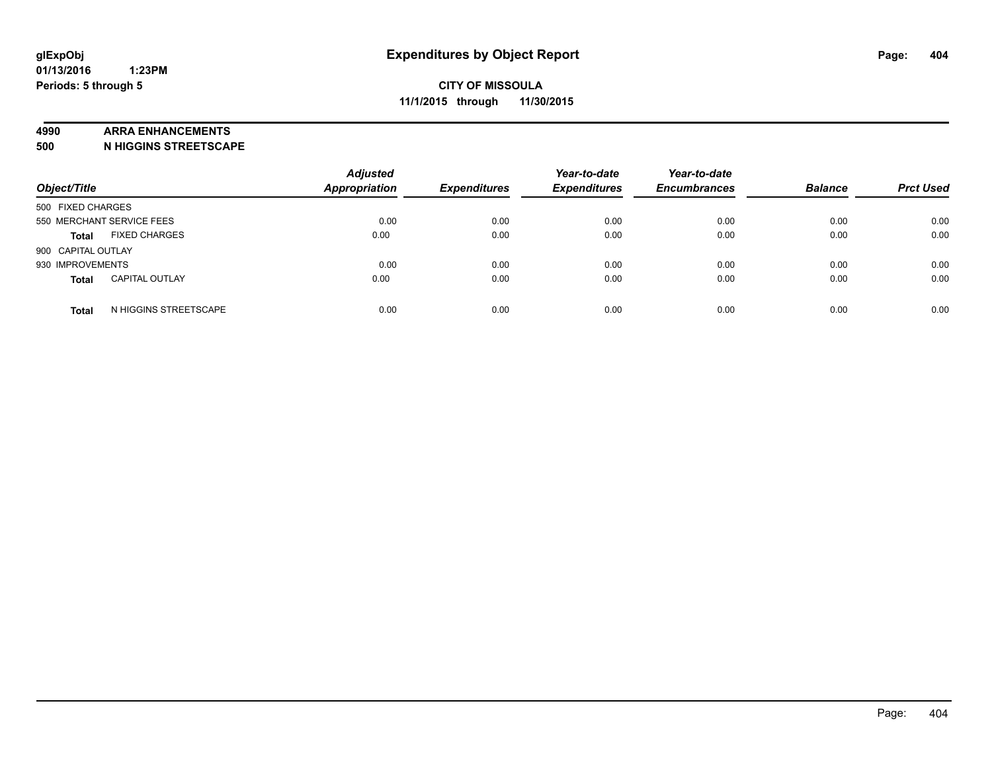#### **4990 ARRA ENHANCEMENTS**

**500 N HIGGINS STREETSCAPE**

| Object/Title              |                       | <b>Adjusted</b><br><b>Appropriation</b> | <b>Expenditures</b> | Year-to-date<br><b>Expenditures</b> | Year-to-date<br><b>Encumbrances</b> | <b>Balance</b> | <b>Prct Used</b> |
|---------------------------|-----------------------|-----------------------------------------|---------------------|-------------------------------------|-------------------------------------|----------------|------------------|
| 500 FIXED CHARGES         |                       |                                         |                     |                                     |                                     |                |                  |
| 550 MERCHANT SERVICE FEES |                       | 0.00                                    | 0.00                | 0.00                                | 0.00                                | 0.00           | 0.00             |
| <b>Total</b>              | <b>FIXED CHARGES</b>  | 0.00                                    | 0.00                | 0.00                                | 0.00                                | 0.00           | 0.00             |
| 900 CAPITAL OUTLAY        |                       |                                         |                     |                                     |                                     |                |                  |
| 930 IMPROVEMENTS          |                       | 0.00                                    | 0.00                | 0.00                                | 0.00                                | 0.00           | 0.00             |
| <b>Total</b>              | <b>CAPITAL OUTLAY</b> | 0.00                                    | 0.00                | 0.00                                | 0.00                                | 0.00           | 0.00             |
| <b>Total</b>              | N HIGGINS STREETSCAPE | 0.00                                    | 0.00                | 0.00                                | 0.00                                | 0.00           | 0.00             |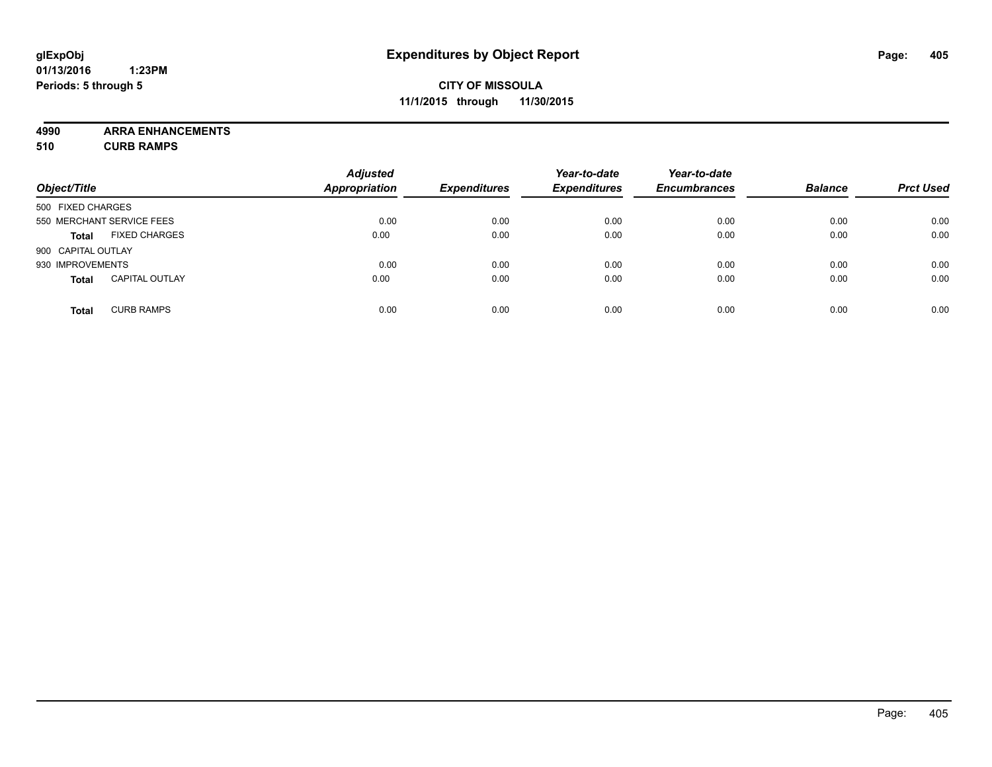### **CITY OF MISSOULA 11/1/2015 through 11/30/2015**

**4990 ARRA ENHANCEMENTS 510 CURB RAMPS**

| Object/Title       |                           | <b>Adjusted</b><br><b>Appropriation</b> | <b>Expenditures</b> | Year-to-date<br><b>Expenditures</b> | Year-to-date<br><b>Encumbrances</b> | <b>Balance</b> | <b>Prct Used</b> |
|--------------------|---------------------------|-----------------------------------------|---------------------|-------------------------------------|-------------------------------------|----------------|------------------|
| 500 FIXED CHARGES  |                           |                                         |                     |                                     |                                     |                |                  |
|                    | 550 MERCHANT SERVICE FEES | 0.00                                    | 0.00                | 0.00                                | 0.00                                | 0.00           | 0.00             |
| <b>Total</b>       | <b>FIXED CHARGES</b>      | 0.00                                    | 0.00                | 0.00                                | 0.00                                | 0.00           | 0.00             |
| 900 CAPITAL OUTLAY |                           |                                         |                     |                                     |                                     |                |                  |
| 930 IMPROVEMENTS   |                           | 0.00                                    | 0.00                | 0.00                                | 0.00                                | 0.00           | 0.00             |
| <b>Total</b>       | <b>CAPITAL OUTLAY</b>     | 0.00                                    | 0.00                | 0.00                                | 0.00                                | 0.00           | 0.00             |
| <b>Total</b>       | <b>CURB RAMPS</b>         | 0.00                                    | 0.00                | 0.00                                | 0.00                                | 0.00           | 0.00             |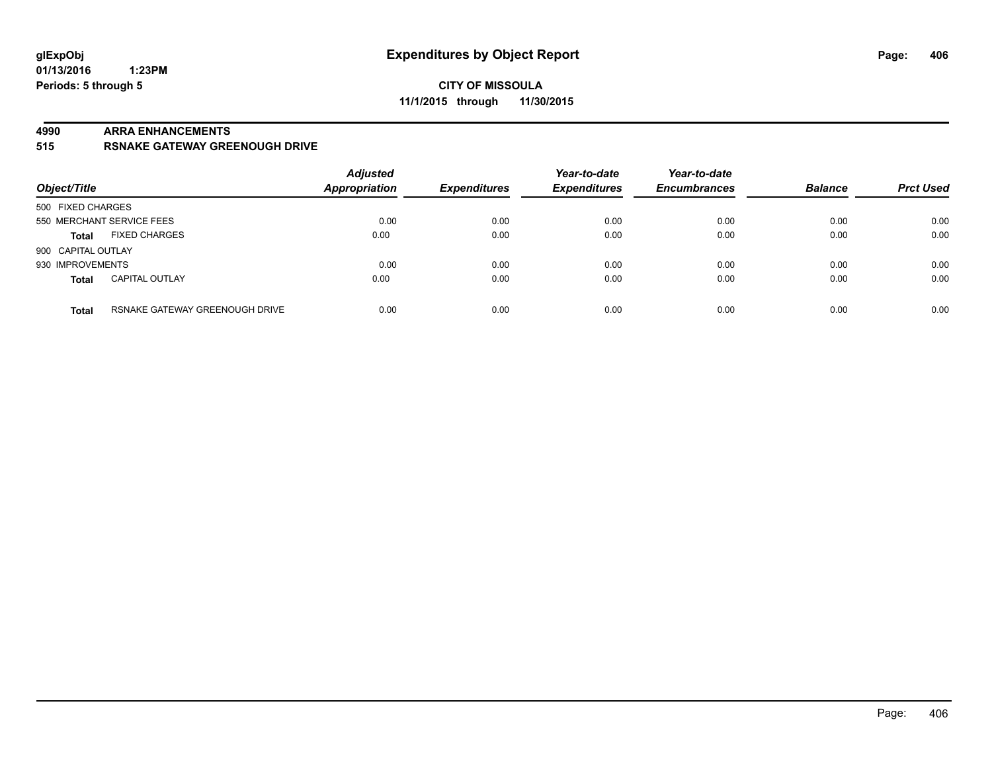#### **4990 ARRA ENHANCEMENTS**

#### **515 RSNAKE GATEWAY GREENOUGH DRIVE**

| Object/Title       |                                | <b>Adjusted</b><br><b>Appropriation</b> | <b>Expenditures</b> | Year-to-date<br><b>Expenditures</b> | Year-to-date<br><b>Encumbrances</b> | <b>Balance</b> | <b>Prct Used</b> |
|--------------------|--------------------------------|-----------------------------------------|---------------------|-------------------------------------|-------------------------------------|----------------|------------------|
| 500 FIXED CHARGES  |                                |                                         |                     |                                     |                                     |                |                  |
|                    | 550 MERCHANT SERVICE FEES      | 0.00                                    | 0.00                | 0.00                                | 0.00                                | 0.00           | 0.00             |
| <b>Total</b>       | <b>FIXED CHARGES</b>           | 0.00                                    | 0.00                | 0.00                                | 0.00                                | 0.00           | 0.00             |
| 900 CAPITAL OUTLAY |                                |                                         |                     |                                     |                                     |                |                  |
| 930 IMPROVEMENTS   |                                | 0.00                                    | 0.00                | 0.00                                | 0.00                                | 0.00           | 0.00             |
| <b>Total</b>       | <b>CAPITAL OUTLAY</b>          | 0.00                                    | 0.00                | 0.00                                | 0.00                                | 0.00           | 0.00             |
| <b>Total</b>       | RSNAKE GATEWAY GREENOUGH DRIVE | 0.00                                    | 0.00                | 0.00                                | 0.00                                | 0.00           | 0.00             |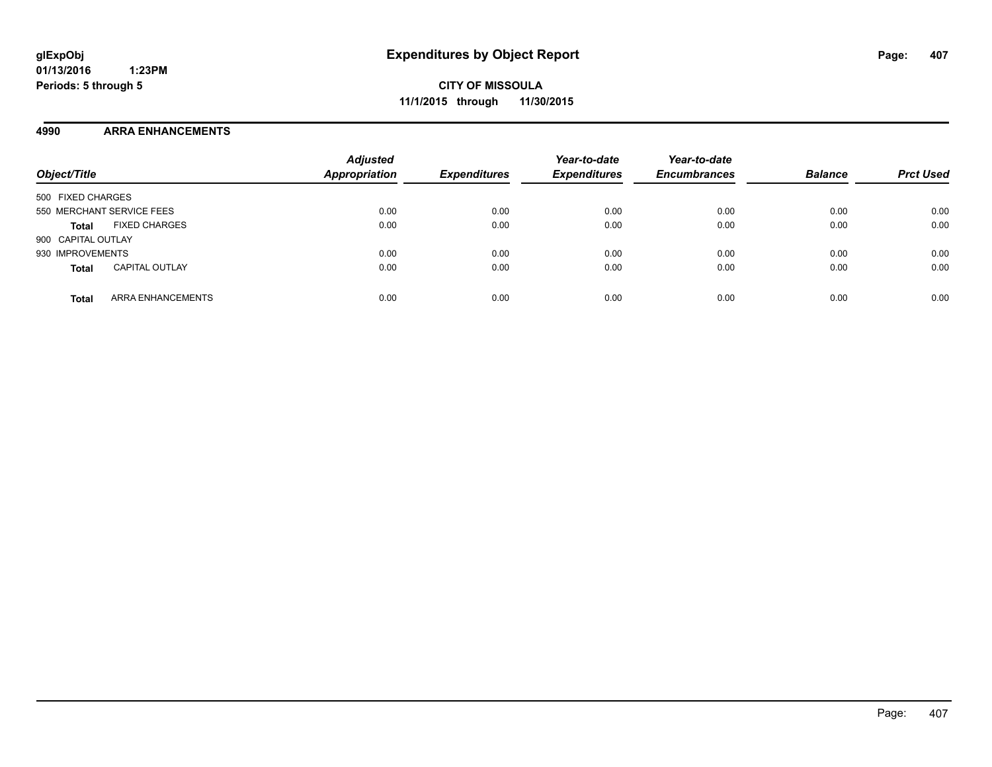#### **4990 ARRA ENHANCEMENTS**

| Object/Title                             | <b>Adjusted</b><br><b>Appropriation</b> | <b>Expenditures</b> | Year-to-date<br><b>Expenditures</b> | Year-to-date<br><b>Encumbrances</b> | <b>Balance</b> | <b>Prct Used</b> |
|------------------------------------------|-----------------------------------------|---------------------|-------------------------------------|-------------------------------------|----------------|------------------|
| 500 FIXED CHARGES                        |                                         |                     |                                     |                                     |                |                  |
| 550 MERCHANT SERVICE FEES                | 0.00                                    | 0.00                | 0.00                                | 0.00                                | 0.00           | 0.00             |
| <b>FIXED CHARGES</b><br><b>Total</b>     | 0.00                                    | 0.00                | 0.00                                | 0.00                                | 0.00           | 0.00             |
| 900 CAPITAL OUTLAY                       |                                         |                     |                                     |                                     |                |                  |
| 930 IMPROVEMENTS                         | 0.00                                    | 0.00                | 0.00                                | 0.00                                | 0.00           | 0.00             |
| <b>CAPITAL OUTLAY</b><br><b>Total</b>    | 0.00                                    | 0.00                | 0.00                                | 0.00                                | 0.00           | 0.00             |
| <b>ARRA ENHANCEMENTS</b><br><b>Total</b> | 0.00                                    | 0.00                | 0.00                                | 0.00                                | 0.00           | 0.00             |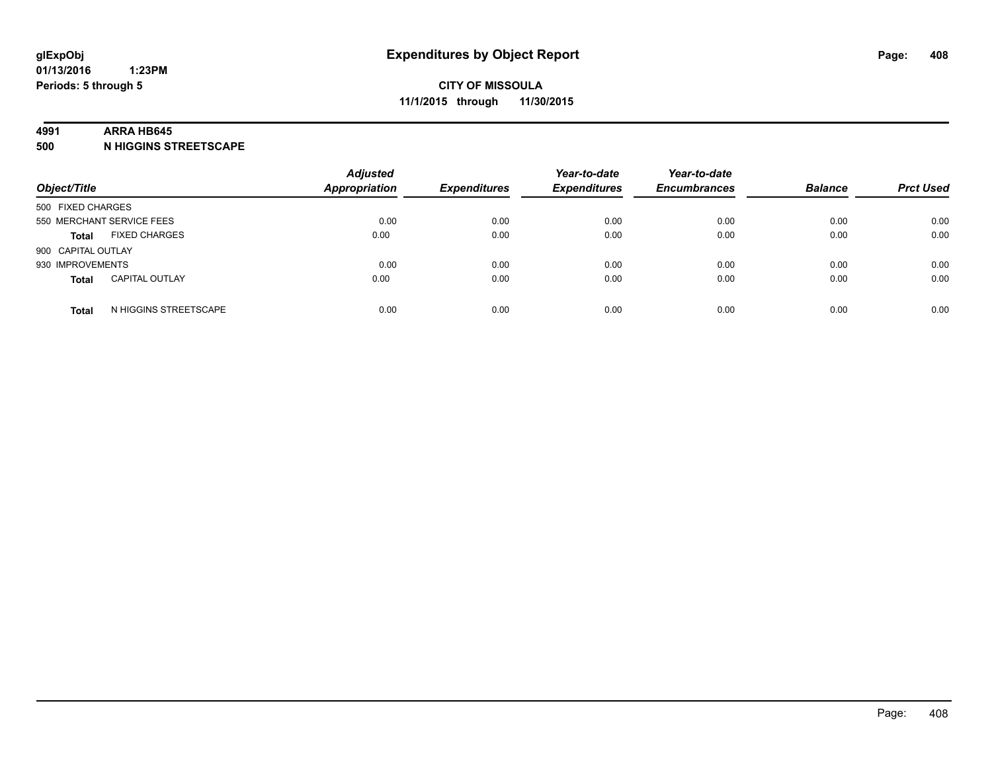#### **4991 ARRA HB645**

**500 N HIGGINS STREETSCAPE**

| Object/Title              |                       | <b>Adjusted</b><br><b>Appropriation</b> | <b>Expenditures</b> | Year-to-date<br><b>Expenditures</b> | Year-to-date<br><b>Encumbrances</b> | <b>Balance</b> | <b>Prct Used</b> |
|---------------------------|-----------------------|-----------------------------------------|---------------------|-------------------------------------|-------------------------------------|----------------|------------------|
| 500 FIXED CHARGES         |                       |                                         |                     |                                     |                                     |                |                  |
| 550 MERCHANT SERVICE FEES |                       | 0.00                                    | 0.00                | 0.00                                | 0.00                                | 0.00           | 0.00             |
| <b>Total</b>              | <b>FIXED CHARGES</b>  | 0.00                                    | 0.00                | 0.00                                | 0.00                                | 0.00           | 0.00             |
| 900 CAPITAL OUTLAY        |                       |                                         |                     |                                     |                                     |                |                  |
| 930 IMPROVEMENTS          |                       | 0.00                                    | 0.00                | 0.00                                | 0.00                                | 0.00           | 0.00             |
| <b>Total</b>              | <b>CAPITAL OUTLAY</b> | 0.00                                    | 0.00                | 0.00                                | 0.00                                | 0.00           | 0.00             |
| <b>Total</b>              | N HIGGINS STREETSCAPE | 0.00                                    | 0.00                | 0.00                                | 0.00                                | 0.00           | 0.00             |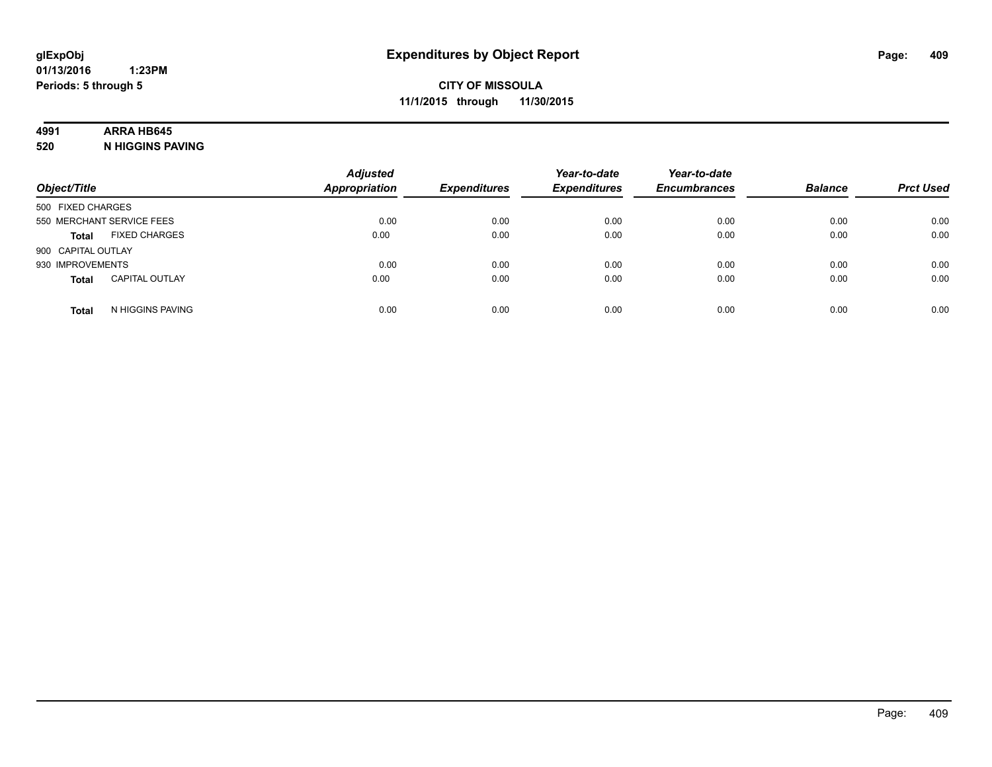# **4991 ARRA HB645**

**520 N HIGGINS PAVING**

| Object/Title       |                           | <b>Adjusted</b><br><b>Appropriation</b> | <b>Expenditures</b> | Year-to-date<br><b>Expenditures</b> | Year-to-date<br><b>Encumbrances</b> | <b>Balance</b> | <b>Prct Used</b> |
|--------------------|---------------------------|-----------------------------------------|---------------------|-------------------------------------|-------------------------------------|----------------|------------------|
| 500 FIXED CHARGES  |                           |                                         |                     |                                     |                                     |                |                  |
|                    | 550 MERCHANT SERVICE FEES | 0.00                                    | 0.00                | 0.00                                | 0.00                                | 0.00           | 0.00             |
| <b>Total</b>       | <b>FIXED CHARGES</b>      | 0.00                                    | 0.00                | 0.00                                | 0.00                                | 0.00           | 0.00             |
| 900 CAPITAL OUTLAY |                           |                                         |                     |                                     |                                     |                |                  |
| 930 IMPROVEMENTS   |                           | 0.00                                    | 0.00                | 0.00                                | 0.00                                | 0.00           | 0.00             |
| <b>Total</b>       | <b>CAPITAL OUTLAY</b>     | 0.00                                    | 0.00                | 0.00                                | 0.00                                | 0.00           | 0.00             |
| <b>Total</b>       | N HIGGINS PAVING          | 0.00                                    | 0.00                | 0.00                                | 0.00                                | 0.00           | 0.00             |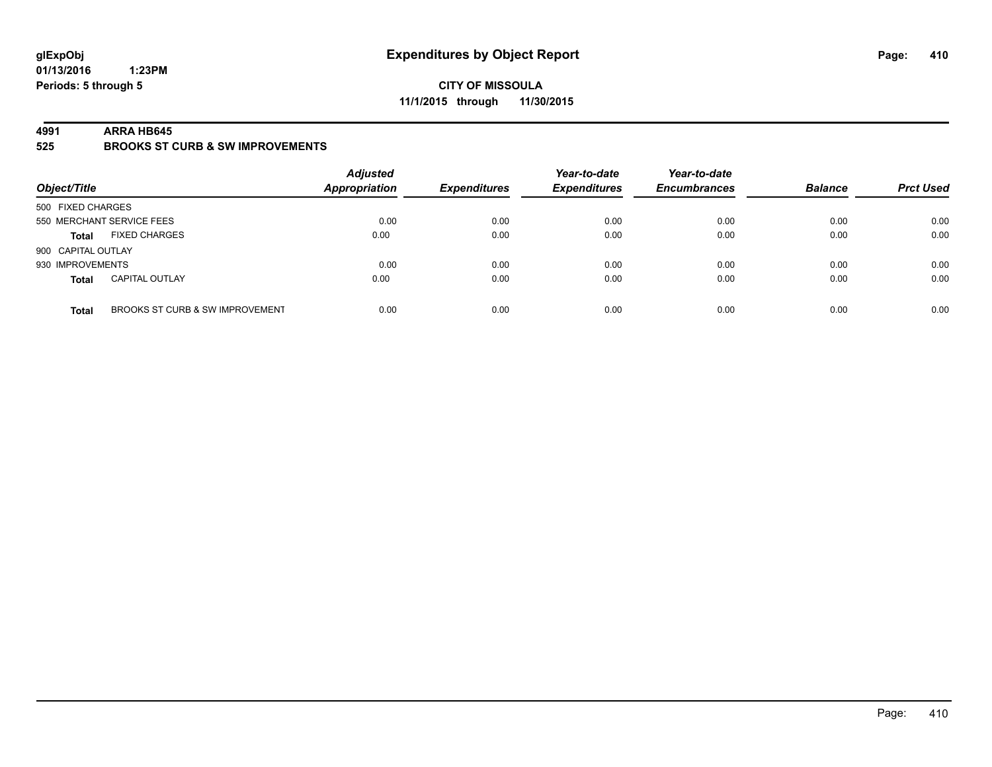### **CITY OF MISSOULA 11/1/2015 through 11/30/2015**

#### **4991 ARRA HB645**

**525 BROOKS ST CURB & SW IMPROVEMENTS**

| Object/Title                                    | <b>Adjusted</b><br><b>Appropriation</b> | <b>Expenditures</b> | Year-to-date<br><b>Expenditures</b> | Year-to-date<br><b>Encumbrances</b> | <b>Balance</b> | <b>Prct Used</b> |
|-------------------------------------------------|-----------------------------------------|---------------------|-------------------------------------|-------------------------------------|----------------|------------------|
| 500 FIXED CHARGES                               |                                         |                     |                                     |                                     |                |                  |
| 550 MERCHANT SERVICE FEES                       | 0.00                                    | 0.00                | 0.00                                | 0.00                                | 0.00           | 0.00             |
| <b>FIXED CHARGES</b><br><b>Total</b>            | 0.00                                    | 0.00                | 0.00                                | 0.00                                | 0.00           | 0.00             |
| 900 CAPITAL OUTLAY                              |                                         |                     |                                     |                                     |                |                  |
| 930 IMPROVEMENTS                                | 0.00                                    | 0.00                | 0.00                                | 0.00                                | 0.00           | 0.00             |
| <b>CAPITAL OUTLAY</b><br><b>Total</b>           | 0.00                                    | 0.00                | 0.00                                | 0.00                                | 0.00           | 0.00             |
| BROOKS ST CURB & SW IMPROVEMENT<br><b>Total</b> | 0.00                                    | 0.00                | 0.00                                | 0.00                                | 0.00           | 0.00             |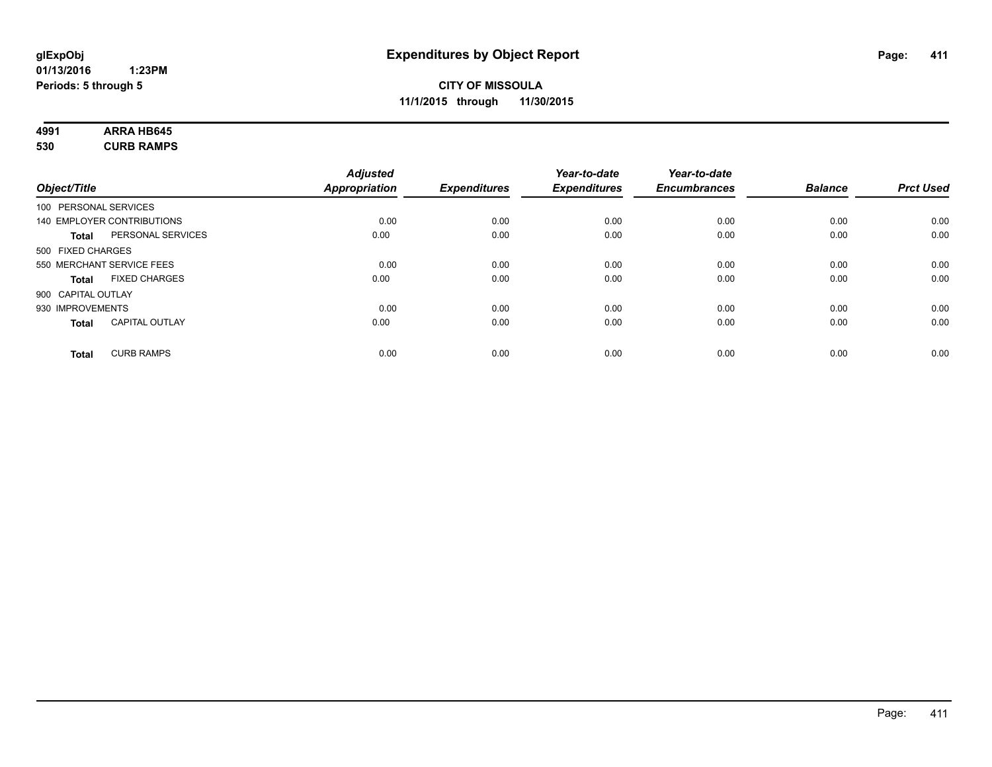#### **4991 ARRA HB645 530 CURB RAMPS**

|                       |                            | <b>Adjusted</b>      |                     | Year-to-date        | Year-to-date        |                |                  |
|-----------------------|----------------------------|----------------------|---------------------|---------------------|---------------------|----------------|------------------|
| Object/Title          |                            | <b>Appropriation</b> | <b>Expenditures</b> | <b>Expenditures</b> | <b>Encumbrances</b> | <b>Balance</b> | <b>Prct Used</b> |
| 100 PERSONAL SERVICES |                            |                      |                     |                     |                     |                |                  |
|                       | 140 EMPLOYER CONTRIBUTIONS | 0.00                 | 0.00                | 0.00                | 0.00                | 0.00           | 0.00             |
| <b>Total</b>          | PERSONAL SERVICES          | 0.00                 | 0.00                | 0.00                | 0.00                | 0.00           | 0.00             |
| 500 FIXED CHARGES     |                            |                      |                     |                     |                     |                |                  |
|                       | 550 MERCHANT SERVICE FEES  | 0.00                 | 0.00                | 0.00                | 0.00                | 0.00           | 0.00             |
| Total                 | <b>FIXED CHARGES</b>       | 0.00                 | 0.00                | 0.00                | 0.00                | 0.00           | 0.00             |
| 900 CAPITAL OUTLAY    |                            |                      |                     |                     |                     |                |                  |
| 930 IMPROVEMENTS      |                            | 0.00                 | 0.00                | 0.00                | 0.00                | 0.00           | 0.00             |
| Total                 | <b>CAPITAL OUTLAY</b>      | 0.00                 | 0.00                | 0.00                | 0.00                | 0.00           | 0.00             |
| <b>Total</b>          | <b>CURB RAMPS</b>          | 0.00                 | 0.00                | 0.00                | 0.00                | 0.00           | 0.00             |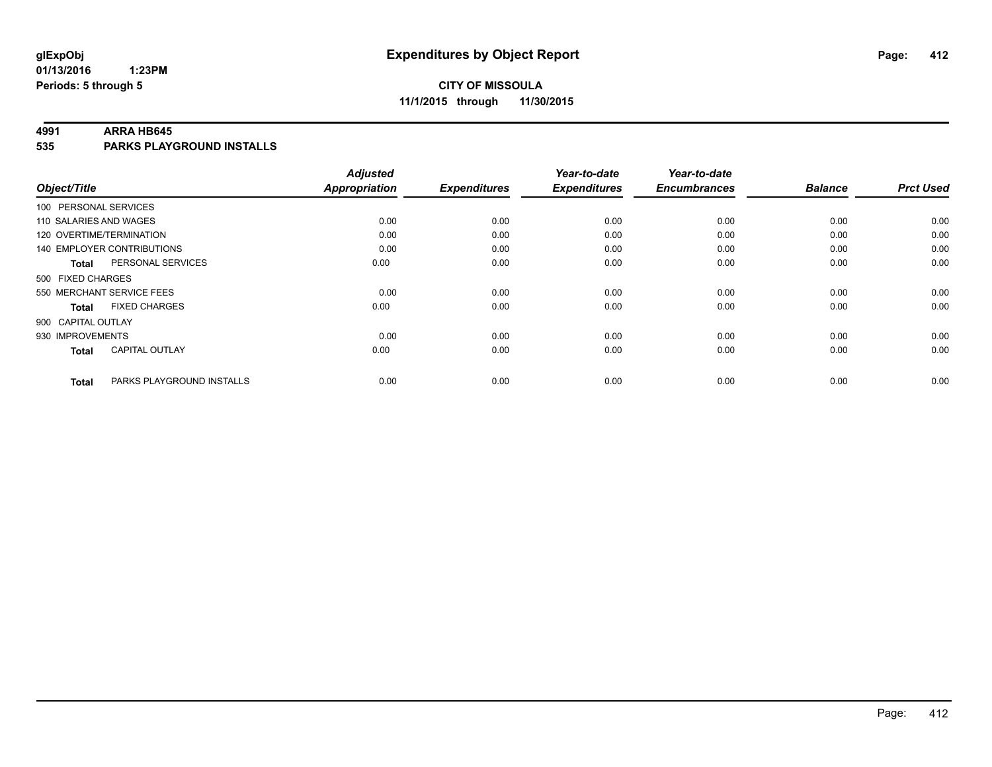### **CITY OF MISSOULA 11/1/2015 through 11/30/2015**

#### **4991 ARRA HB645**

**535 PARKS PLAYGROUND INSTALLS**

| Object/Title                              | <b>Adjusted</b><br><b>Appropriation</b> | <b>Expenditures</b> | Year-to-date<br><b>Expenditures</b> | Year-to-date<br><b>Encumbrances</b> | <b>Balance</b> | <b>Prct Used</b> |
|-------------------------------------------|-----------------------------------------|---------------------|-------------------------------------|-------------------------------------|----------------|------------------|
|                                           |                                         |                     |                                     |                                     |                |                  |
| 100 PERSONAL SERVICES                     |                                         |                     |                                     |                                     |                |                  |
| 110 SALARIES AND WAGES                    | 0.00                                    | 0.00                | 0.00                                | 0.00                                | 0.00           | 0.00             |
| 120 OVERTIME/TERMINATION                  | 0.00                                    | 0.00                | 0.00                                | 0.00                                | 0.00           | 0.00             |
| 140 EMPLOYER CONTRIBUTIONS                | 0.00                                    | 0.00                | 0.00                                | 0.00                                | 0.00           | 0.00             |
| PERSONAL SERVICES<br><b>Total</b>         | 0.00                                    | 0.00                | 0.00                                | 0.00                                | 0.00           | 0.00             |
| 500 FIXED CHARGES                         |                                         |                     |                                     |                                     |                |                  |
| 550 MERCHANT SERVICE FEES                 | 0.00                                    | 0.00                | 0.00                                | 0.00                                | 0.00           | 0.00             |
| <b>FIXED CHARGES</b><br><b>Total</b>      | 0.00                                    | 0.00                | 0.00                                | 0.00                                | 0.00           | 0.00             |
| 900 CAPITAL OUTLAY                        |                                         |                     |                                     |                                     |                |                  |
| 930 IMPROVEMENTS                          | 0.00                                    | 0.00                | 0.00                                | 0.00                                | 0.00           | 0.00             |
| <b>CAPITAL OUTLAY</b><br><b>Total</b>     | 0.00                                    | 0.00                | 0.00                                | 0.00                                | 0.00           | 0.00             |
| PARKS PLAYGROUND INSTALLS<br><b>Total</b> | 0.00                                    | 0.00                | 0.00                                | 0.00                                | 0.00           | 0.00             |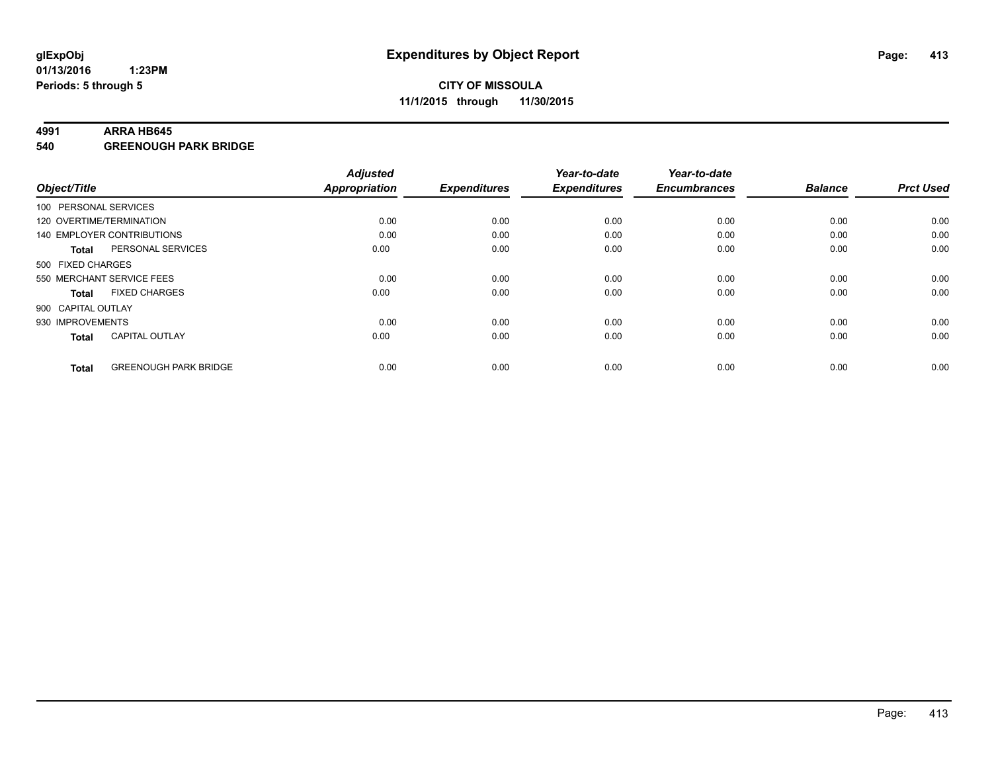#### **4991 ARRA HB645**

**540 GREENOUGH PARK BRIDGE**

| Object/Title             |                                   | <b>Adjusted</b>      | <b>Expenditures</b> | Year-to-date<br><b>Expenditures</b> | Year-to-date<br><b>Encumbrances</b> | <b>Balance</b> | <b>Prct Used</b> |
|--------------------------|-----------------------------------|----------------------|---------------------|-------------------------------------|-------------------------------------|----------------|------------------|
|                          |                                   | <b>Appropriation</b> |                     |                                     |                                     |                |                  |
| 100 PERSONAL SERVICES    |                                   |                      |                     |                                     |                                     |                |                  |
| 120 OVERTIME/TERMINATION |                                   | 0.00                 | 0.00                | 0.00                                | 0.00                                | 0.00           | 0.00             |
|                          | <b>140 EMPLOYER CONTRIBUTIONS</b> | 0.00                 | 0.00                | 0.00                                | 0.00                                | 0.00           | 0.00             |
| <b>Total</b>             | PERSONAL SERVICES                 | 0.00                 | 0.00                | 0.00                                | 0.00                                | 0.00           | 0.00             |
| 500 FIXED CHARGES        |                                   |                      |                     |                                     |                                     |                |                  |
|                          | 550 MERCHANT SERVICE FEES         | 0.00                 | 0.00                | 0.00                                | 0.00                                | 0.00           | 0.00             |
| <b>Total</b>             | <b>FIXED CHARGES</b>              | 0.00                 | 0.00                | 0.00                                | 0.00                                | 0.00           | 0.00             |
| 900 CAPITAL OUTLAY       |                                   |                      |                     |                                     |                                     |                |                  |
| 930 IMPROVEMENTS         |                                   | 0.00                 | 0.00                | 0.00                                | 0.00                                | 0.00           | 0.00             |
| <b>Total</b>             | <b>CAPITAL OUTLAY</b>             | 0.00                 | 0.00                | 0.00                                | 0.00                                | 0.00           | 0.00             |
|                          |                                   |                      |                     |                                     |                                     |                |                  |
| <b>Total</b>             | <b>GREENOUGH PARK BRIDGE</b>      | 0.00                 | 0.00                | 0.00                                | 0.00                                | 0.00           | 0.00             |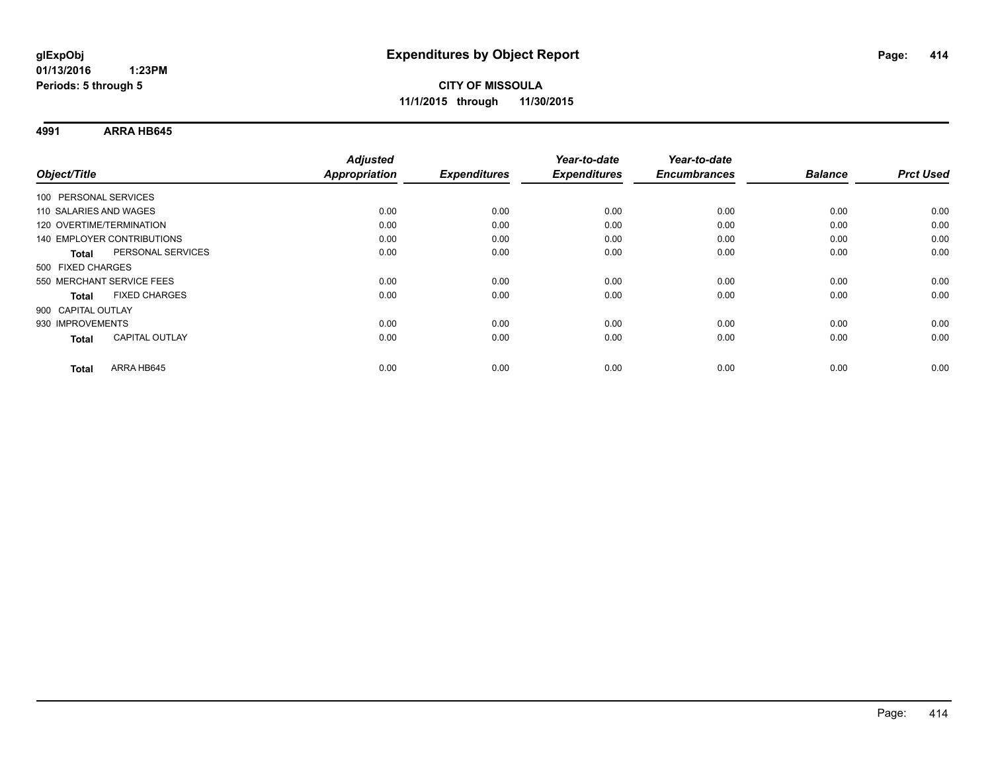### **CITY OF MISSOULA 11/1/2015 through 11/30/2015**

**4991 ARRA HB645**

| Object/Title                         | <b>Adjusted</b><br>Appropriation | <b>Expenditures</b> | Year-to-date<br><b>Expenditures</b> | Year-to-date<br><b>Encumbrances</b> | <b>Balance</b> | <b>Prct Used</b> |
|--------------------------------------|----------------------------------|---------------------|-------------------------------------|-------------------------------------|----------------|------------------|
| 100 PERSONAL SERVICES                |                                  |                     |                                     |                                     |                |                  |
|                                      |                                  |                     |                                     |                                     |                |                  |
| 110 SALARIES AND WAGES               | 0.00                             | 0.00                | 0.00                                | 0.00                                | 0.00           | 0.00             |
| 120 OVERTIME/TERMINATION             | 0.00                             | 0.00                | 0.00                                | 0.00                                | 0.00           | 0.00             |
| 140 EMPLOYER CONTRIBUTIONS           | 0.00                             | 0.00                | 0.00                                | 0.00                                | 0.00           | 0.00             |
| PERSONAL SERVICES<br><b>Total</b>    | 0.00                             | 0.00                | 0.00                                | 0.00                                | 0.00           | 0.00             |
| 500 FIXED CHARGES                    |                                  |                     |                                     |                                     |                |                  |
| 550 MERCHANT SERVICE FEES            | 0.00                             | 0.00                | 0.00                                | 0.00                                | 0.00           | 0.00             |
| <b>FIXED CHARGES</b><br><b>Total</b> | 0.00                             | 0.00                | 0.00                                | 0.00                                | 0.00           | 0.00             |
| 900 CAPITAL OUTLAY                   |                                  |                     |                                     |                                     |                |                  |
| 930 IMPROVEMENTS                     | 0.00                             | 0.00                | 0.00                                | 0.00                                | 0.00           | 0.00             |
| <b>CAPITAL OUTLAY</b><br>Total       | 0.00                             | 0.00                | 0.00                                | 0.00                                | 0.00           | 0.00             |
| ARRA HB645<br><b>Total</b>           | 0.00                             | 0.00                | 0.00                                | 0.00                                | 0.00           | 0.00             |
|                                      |                                  |                     |                                     |                                     |                |                  |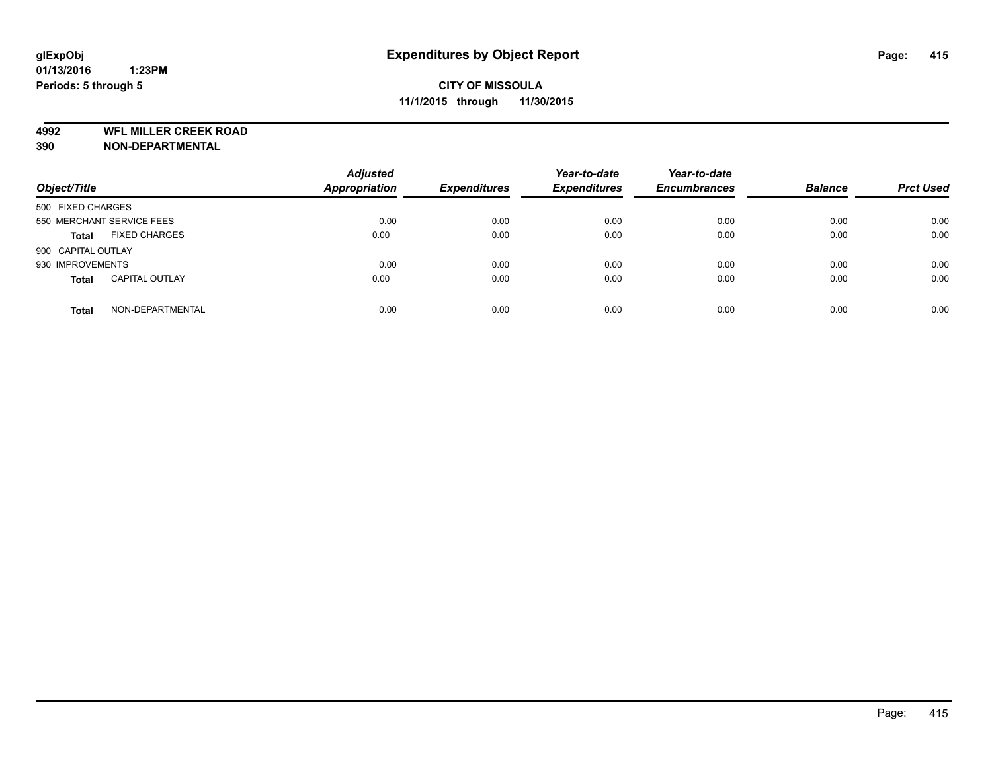**4992 WFL MILLER CREEK ROAD**

**390 NON-DEPARTMENTAL**

| Object/Title              |                       | <b>Adjusted</b><br><b>Appropriation</b> | <b>Expenditures</b> | Year-to-date<br><b>Expenditures</b> | Year-to-date<br><b>Encumbrances</b> | <b>Balance</b> | <b>Prct Used</b> |
|---------------------------|-----------------------|-----------------------------------------|---------------------|-------------------------------------|-------------------------------------|----------------|------------------|
| 500 FIXED CHARGES         |                       |                                         |                     |                                     |                                     |                |                  |
| 550 MERCHANT SERVICE FEES |                       | 0.00                                    | 0.00                | 0.00                                | 0.00                                | 0.00           | 0.00             |
| <b>Total</b>              | <b>FIXED CHARGES</b>  | 0.00                                    | 0.00                | 0.00                                | 0.00                                | 0.00           | 0.00             |
| 900 CAPITAL OUTLAY        |                       |                                         |                     |                                     |                                     |                |                  |
| 930 IMPROVEMENTS          |                       | 0.00                                    | 0.00                | 0.00                                | 0.00                                | 0.00           | 0.00             |
| <b>Total</b>              | <b>CAPITAL OUTLAY</b> | 0.00                                    | 0.00                | 0.00                                | 0.00                                | 0.00           | 0.00             |
| <b>Total</b>              | NON-DEPARTMENTAL      | 0.00                                    | 0.00                | 0.00                                | 0.00                                | 0.00           | 0.00             |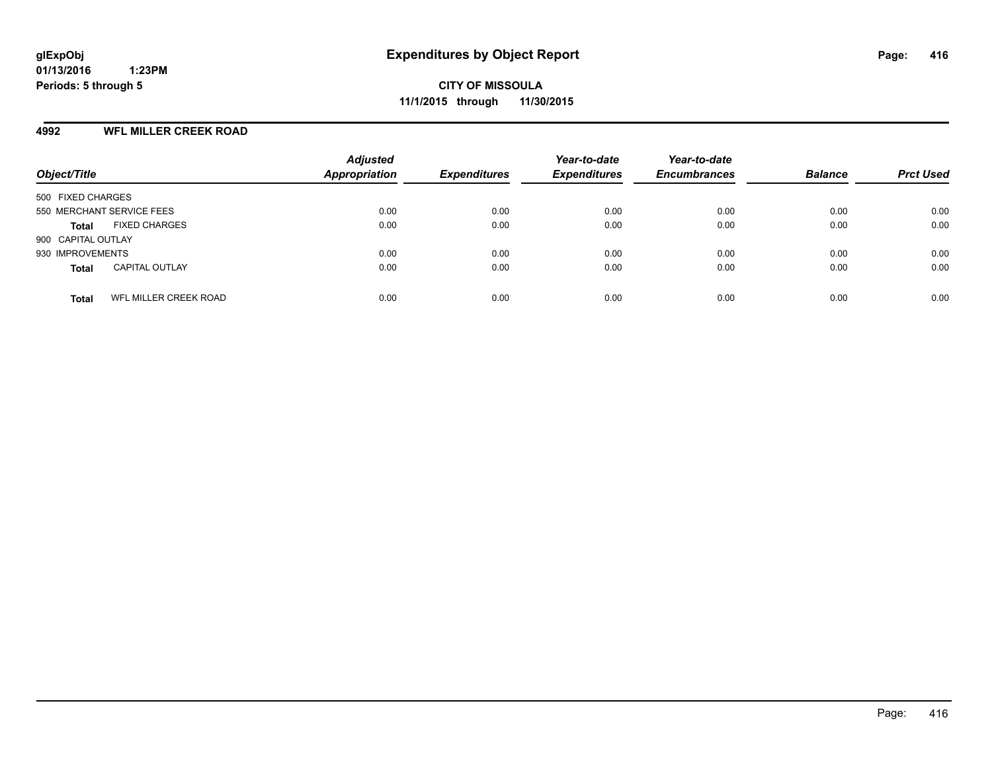#### **4992 WFL MILLER CREEK ROAD**

| Object/Title                                 | <b>Adjusted</b><br><b>Appropriation</b> | <b>Expenditures</b> | Year-to-date<br><b>Expenditures</b> | Year-to-date<br><b>Encumbrances</b> | <b>Balance</b> | <b>Prct Used</b> |
|----------------------------------------------|-----------------------------------------|---------------------|-------------------------------------|-------------------------------------|----------------|------------------|
| 500 FIXED CHARGES                            |                                         |                     |                                     |                                     |                |                  |
| 550 MERCHANT SERVICE FEES                    | 0.00                                    | 0.00                | 0.00                                | 0.00                                | 0.00           | 0.00             |
| <b>FIXED CHARGES</b><br><b>Total</b>         | 0.00                                    | 0.00                | 0.00                                | 0.00                                | 0.00           | 0.00             |
| 900 CAPITAL OUTLAY                           |                                         |                     |                                     |                                     |                |                  |
| 930 IMPROVEMENTS                             | 0.00                                    | 0.00                | 0.00                                | 0.00                                | 0.00           | 0.00             |
| <b>CAPITAL OUTLAY</b><br><b>Total</b>        | 0.00                                    | 0.00                | 0.00                                | 0.00                                | 0.00           | 0.00             |
| <b>WFL MILLER CREEK ROAD</b><br><b>Total</b> | 0.00                                    | 0.00                | 0.00                                | 0.00                                | 0.00           | 0.00             |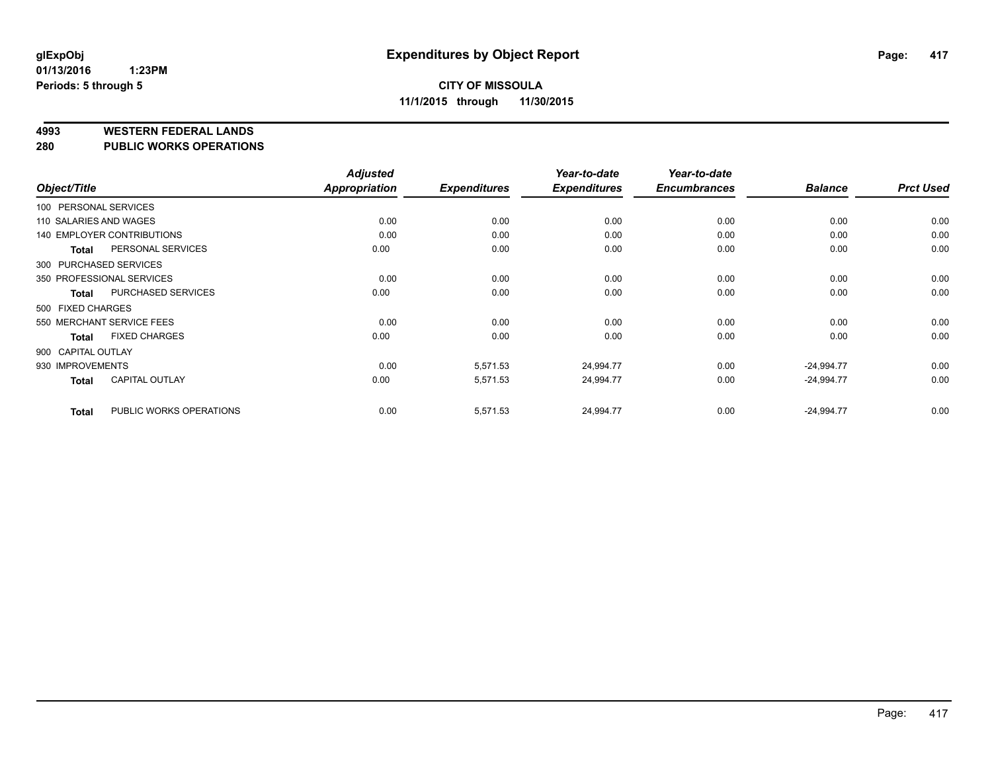#### **4993 WESTERN FEDERAL LANDS**

**280 PUBLIC WORKS OPERATIONS**

|                        |                                   | <b>Adjusted</b> |                     | Year-to-date        | Year-to-date        |                |                  |
|------------------------|-----------------------------------|-----------------|---------------------|---------------------|---------------------|----------------|------------------|
| Object/Title           |                                   | Appropriation   | <b>Expenditures</b> | <b>Expenditures</b> | <b>Encumbrances</b> | <b>Balance</b> | <b>Prct Used</b> |
| 100 PERSONAL SERVICES  |                                   |                 |                     |                     |                     |                |                  |
| 110 SALARIES AND WAGES |                                   | 0.00            | 0.00                | 0.00                | 0.00                | 0.00           | 0.00             |
|                        | <b>140 EMPLOYER CONTRIBUTIONS</b> | 0.00            | 0.00                | 0.00                | 0.00                | 0.00           | 0.00             |
| <b>Total</b>           | PERSONAL SERVICES                 | 0.00            | 0.00                | 0.00                | 0.00                | 0.00           | 0.00             |
|                        | 300 PURCHASED SERVICES            |                 |                     |                     |                     |                |                  |
|                        | 350 PROFESSIONAL SERVICES         | 0.00            | 0.00                | 0.00                | 0.00                | 0.00           | 0.00             |
| Total                  | PURCHASED SERVICES                | 0.00            | 0.00                | 0.00                | 0.00                | 0.00           | 0.00             |
| 500 FIXED CHARGES      |                                   |                 |                     |                     |                     |                |                  |
|                        | 550 MERCHANT SERVICE FEES         | 0.00            | 0.00                | 0.00                | 0.00                | 0.00           | 0.00             |
| <b>Total</b>           | <b>FIXED CHARGES</b>              | 0.00            | 0.00                | 0.00                | 0.00                | 0.00           | 0.00             |
| 900 CAPITAL OUTLAY     |                                   |                 |                     |                     |                     |                |                  |
| 930 IMPROVEMENTS       |                                   | 0.00            | 5,571.53            | 24,994.77           | 0.00                | $-24,994.77$   | 0.00             |
| <b>Total</b>           | <b>CAPITAL OUTLAY</b>             | 0.00            | 5,571.53            | 24,994.77           | 0.00                | $-24,994.77$   | 0.00             |
| <b>Total</b>           | PUBLIC WORKS OPERATIONS           | 0.00            | 5,571.53            | 24,994.77           | 0.00                | $-24,994.77$   | 0.00             |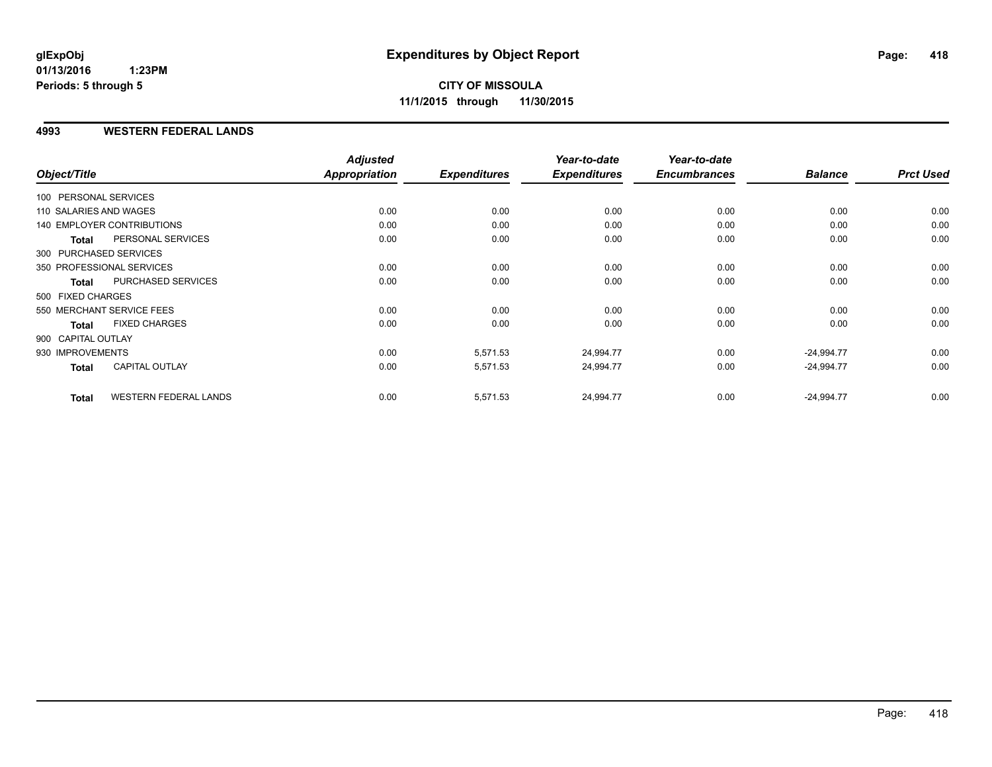#### **4993 WESTERN FEDERAL LANDS**

| Object/Title           |                              | <b>Adjusted</b><br><b>Appropriation</b> | <b>Expenditures</b> | Year-to-date<br><b>Expenditures</b> | Year-to-date<br><b>Encumbrances</b> | <b>Balance</b> | <b>Prct Used</b> |
|------------------------|------------------------------|-----------------------------------------|---------------------|-------------------------------------|-------------------------------------|----------------|------------------|
| 100 PERSONAL SERVICES  |                              |                                         |                     |                                     |                                     |                |                  |
| 110 SALARIES AND WAGES |                              | 0.00                                    | 0.00                | 0.00                                | 0.00                                | 0.00           | 0.00             |
|                        | 140 EMPLOYER CONTRIBUTIONS   | 0.00                                    | 0.00                | 0.00                                | 0.00                                | 0.00           | 0.00             |
| <b>Total</b>           | PERSONAL SERVICES            | 0.00                                    | 0.00                | 0.00                                | 0.00                                | 0.00           | 0.00             |
|                        | 300 PURCHASED SERVICES       |                                         |                     |                                     |                                     |                |                  |
|                        | 350 PROFESSIONAL SERVICES    | 0.00                                    | 0.00                | 0.00                                | 0.00                                | 0.00           | 0.00             |
| <b>Total</b>           | PURCHASED SERVICES           | 0.00                                    | 0.00                | 0.00                                | 0.00                                | 0.00           | 0.00             |
| 500 FIXED CHARGES      |                              |                                         |                     |                                     |                                     |                |                  |
|                        | 550 MERCHANT SERVICE FEES    | 0.00                                    | 0.00                | 0.00                                | 0.00                                | 0.00           | 0.00             |
| <b>Total</b>           | <b>FIXED CHARGES</b>         | 0.00                                    | 0.00                | 0.00                                | 0.00                                | 0.00           | 0.00             |
| 900 CAPITAL OUTLAY     |                              |                                         |                     |                                     |                                     |                |                  |
| 930 IMPROVEMENTS       |                              | 0.00                                    | 5,571.53            | 24,994.77                           | 0.00                                | $-24,994.77$   | 0.00             |
| Total                  | <b>CAPITAL OUTLAY</b>        | 0.00                                    | 5,571.53            | 24,994.77                           | 0.00                                | $-24,994.77$   | 0.00             |
| <b>Total</b>           | <b>WESTERN FEDERAL LANDS</b> | 0.00                                    | 5,571.53            | 24,994.77                           | 0.00                                | $-24,994.77$   | 0.00             |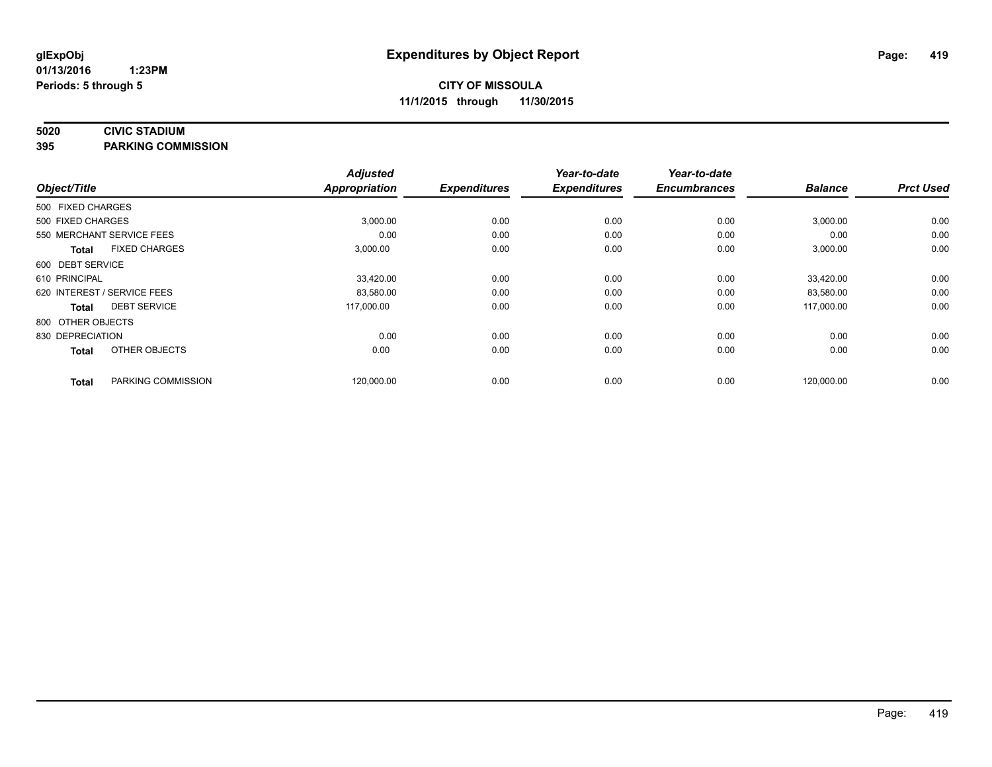#### **5020 CIVIC STADIUM**

**395 PARKING COMMISSION**

| Object/Title      |                             | <b>Adjusted</b><br><b>Appropriation</b> | <b>Expenditures</b> | Year-to-date<br><b>Expenditures</b> | Year-to-date<br><b>Encumbrances</b> | <b>Balance</b> | <b>Prct Used</b> |
|-------------------|-----------------------------|-----------------------------------------|---------------------|-------------------------------------|-------------------------------------|----------------|------------------|
| 500 FIXED CHARGES |                             |                                         |                     |                                     |                                     |                |                  |
| 500 FIXED CHARGES |                             | 3,000.00                                | 0.00                | 0.00                                | 0.00                                | 3,000.00       | 0.00             |
|                   | 550 MERCHANT SERVICE FEES   | 0.00                                    | 0.00                | 0.00                                | 0.00                                | 0.00           | 0.00             |
| <b>Total</b>      | <b>FIXED CHARGES</b>        | 3,000.00                                | 0.00                | 0.00                                | 0.00                                | 3,000.00       | 0.00             |
| 600 DEBT SERVICE  |                             |                                         |                     |                                     |                                     |                |                  |
| 610 PRINCIPAL     |                             | 33,420.00                               | 0.00                | 0.00                                | 0.00                                | 33,420.00      | 0.00             |
|                   | 620 INTEREST / SERVICE FEES | 83,580.00                               | 0.00                | 0.00                                | 0.00                                | 83,580.00      | 0.00             |
| <b>Total</b>      | <b>DEBT SERVICE</b>         | 117,000.00                              | 0.00                | 0.00                                | 0.00                                | 117,000.00     | 0.00             |
| 800 OTHER OBJECTS |                             |                                         |                     |                                     |                                     |                |                  |
| 830 DEPRECIATION  |                             | 0.00                                    | 0.00                | 0.00                                | 0.00                                | 0.00           | 0.00             |
| <b>Total</b>      | OTHER OBJECTS               | 0.00                                    | 0.00                | 0.00                                | 0.00                                | 0.00           | 0.00             |
| <b>Total</b>      | PARKING COMMISSION          | 120,000.00                              | 0.00                | 0.00                                | 0.00                                | 120,000.00     | 0.00             |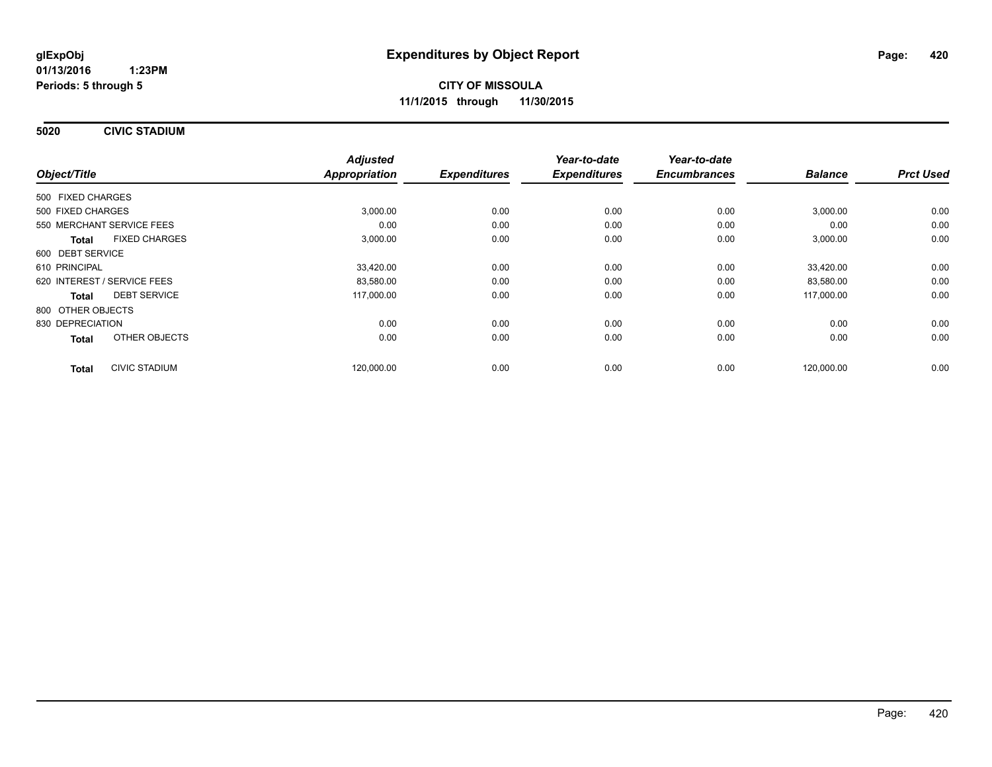**5020 CIVIC STADIUM**

|                                      | <b>Adjusted</b> |                     | Year-to-date        | Year-to-date        |                |                  |
|--------------------------------------|-----------------|---------------------|---------------------|---------------------|----------------|------------------|
| Object/Title                         | Appropriation   | <b>Expenditures</b> | <b>Expenditures</b> | <b>Encumbrances</b> | <b>Balance</b> | <b>Prct Used</b> |
| 500 FIXED CHARGES                    |                 |                     |                     |                     |                |                  |
| 500 FIXED CHARGES                    | 3,000.00        | 0.00                | 0.00                | 0.00                | 3,000.00       | 0.00             |
| 550 MERCHANT SERVICE FEES            | 0.00            | 0.00                | 0.00                | 0.00                | 0.00           | 0.00             |
| <b>FIXED CHARGES</b><br><b>Total</b> | 3,000.00        | 0.00                | 0.00                | 0.00                | 3,000.00       | 0.00             |
| 600 DEBT SERVICE                     |                 |                     |                     |                     |                |                  |
| 610 PRINCIPAL                        | 33,420.00       | 0.00                | 0.00                | 0.00                | 33.420.00      | 0.00             |
| 620 INTEREST / SERVICE FEES          | 83,580.00       | 0.00                | 0.00                | 0.00                | 83,580.00      | 0.00             |
| <b>DEBT SERVICE</b><br><b>Total</b>  | 117,000.00      | 0.00                | 0.00                | 0.00                | 117,000.00     | 0.00             |
| 800 OTHER OBJECTS                    |                 |                     |                     |                     |                |                  |
| 830 DEPRECIATION                     | 0.00            | 0.00                | 0.00                | 0.00                | 0.00           | 0.00             |
| OTHER OBJECTS<br><b>Total</b>        | 0.00            | 0.00                | 0.00                | 0.00                | 0.00           | 0.00             |
| <b>CIVIC STADIUM</b><br><b>Total</b> | 120,000.00      | 0.00                | 0.00                | 0.00                | 120,000.00     | 0.00             |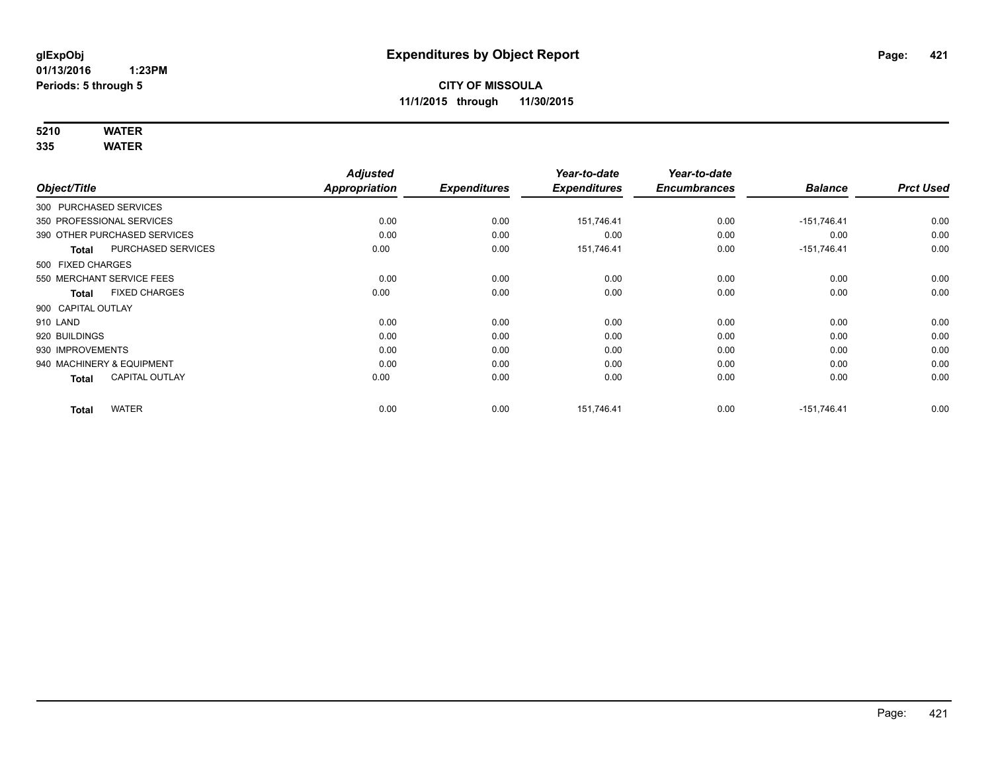# **5210 WATER**

|                        |                              | <b>Adjusted</b>      |                     | Year-to-date        | Year-to-date        |                |                  |
|------------------------|------------------------------|----------------------|---------------------|---------------------|---------------------|----------------|------------------|
| Object/Title           |                              | <b>Appropriation</b> | <b>Expenditures</b> | <b>Expenditures</b> | <b>Encumbrances</b> | <b>Balance</b> | <b>Prct Used</b> |
| 300 PURCHASED SERVICES |                              |                      |                     |                     |                     |                |                  |
|                        | 350 PROFESSIONAL SERVICES    | 0.00                 | 0.00                | 151,746.41          | 0.00                | $-151,746.41$  | 0.00             |
|                        | 390 OTHER PURCHASED SERVICES | 0.00                 | 0.00                | 0.00                | 0.00                | 0.00           | 0.00             |
| Total                  | PURCHASED SERVICES           | 0.00                 | 0.00                | 151,746.41          | 0.00                | $-151,746.41$  | 0.00             |
| 500 FIXED CHARGES      |                              |                      |                     |                     |                     |                |                  |
|                        | 550 MERCHANT SERVICE FEES    | 0.00                 | 0.00                | 0.00                | 0.00                | 0.00           | 0.00             |
| Total                  | <b>FIXED CHARGES</b>         | 0.00                 | 0.00                | 0.00                | 0.00                | 0.00           | 0.00             |
| 900 CAPITAL OUTLAY     |                              |                      |                     |                     |                     |                |                  |
| 910 LAND               |                              | 0.00                 | 0.00                | 0.00                | 0.00                | 0.00           | 0.00             |
| 920 BUILDINGS          |                              | 0.00                 | 0.00                | 0.00                | 0.00                | 0.00           | 0.00             |
| 930 IMPROVEMENTS       |                              | 0.00                 | 0.00                | 0.00                | 0.00                | 0.00           | 0.00             |
|                        | 940 MACHINERY & EQUIPMENT    | 0.00                 | 0.00                | 0.00                | 0.00                | 0.00           | 0.00             |
| <b>Total</b>           | <b>CAPITAL OUTLAY</b>        | 0.00                 | 0.00                | 0.00                | 0.00                | 0.00           | 0.00             |
| <b>Total</b>           | <b>WATER</b>                 | 0.00                 | 0.00                | 151.746.41          | 0.00                | $-151.746.41$  | 0.00             |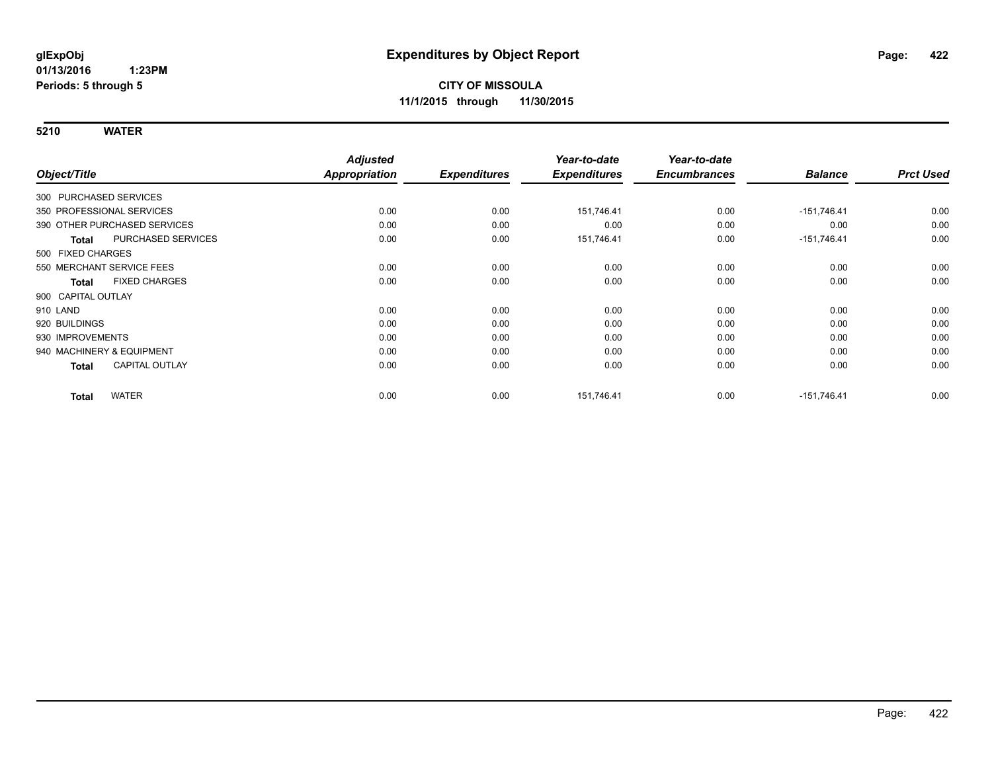| Object/Title                         | <b>Adjusted</b><br>Appropriation | <b>Expenditures</b> | Year-to-date<br><b>Expenditures</b> | Year-to-date<br><b>Encumbrances</b> | <b>Balance</b> | <b>Prct Used</b> |
|--------------------------------------|----------------------------------|---------------------|-------------------------------------|-------------------------------------|----------------|------------------|
| 300 PURCHASED SERVICES               |                                  |                     |                                     |                                     |                |                  |
| 350 PROFESSIONAL SERVICES            | 0.00                             | 0.00                | 151,746.41                          | 0.00                                | $-151,746.41$  | 0.00             |
| 390 OTHER PURCHASED SERVICES         | 0.00                             | 0.00                | 0.00                                | 0.00                                | 0.00           | 0.00             |
| PURCHASED SERVICES<br><b>Total</b>   | 0.00                             | 0.00                | 151,746.41                          | 0.00                                | $-151,746.41$  | 0.00             |
| 500 FIXED CHARGES                    |                                  |                     |                                     |                                     |                |                  |
| 550 MERCHANT SERVICE FEES            | 0.00                             | 0.00                | 0.00                                | 0.00                                | 0.00           | 0.00             |
| <b>FIXED CHARGES</b><br><b>Total</b> | 0.00                             | 0.00                | 0.00                                | 0.00                                | 0.00           | 0.00             |
| 900 CAPITAL OUTLAY                   |                                  |                     |                                     |                                     |                |                  |
| 910 LAND                             | 0.00                             | 0.00                | 0.00                                | 0.00                                | 0.00           | 0.00             |
| 920 BUILDINGS                        | 0.00                             | 0.00                | 0.00                                | 0.00                                | 0.00           | 0.00             |
| 930 IMPROVEMENTS                     | 0.00                             | 0.00                | 0.00                                | 0.00                                | 0.00           | 0.00             |
| 940 MACHINERY & EQUIPMENT            | 0.00                             | 0.00                | 0.00                                | 0.00                                | 0.00           | 0.00             |
| CAPITAL OUTLAY<br><b>Total</b>       | 0.00                             | 0.00                | 0.00                                | 0.00                                | 0.00           | 0.00             |
| <b>WATER</b><br><b>Total</b>         | 0.00                             | 0.00                | 151,746.41                          | 0.00                                | $-151,746.41$  | 0.00             |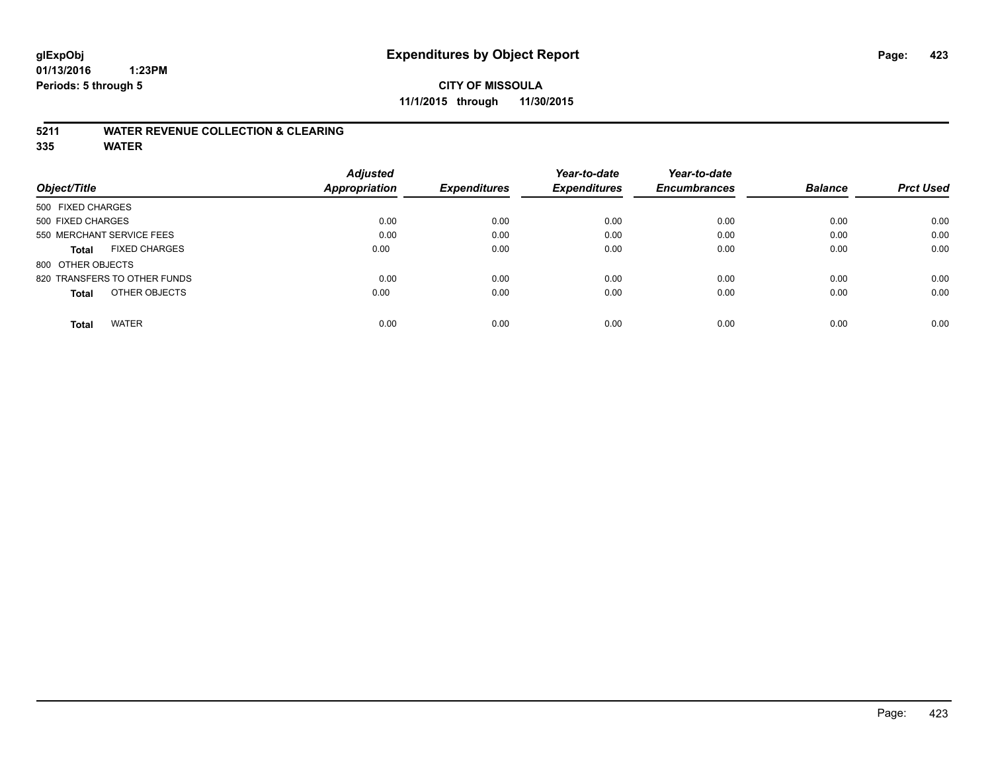### **CITY OF MISSOULA 11/1/2015 through 11/30/2015**

#### **5211 WATER REVENUE COLLECTION & CLEARING**

|                                      | <b>Adjusted</b> |                     | Year-to-date        | Year-to-date        |                |                  |
|--------------------------------------|-----------------|---------------------|---------------------|---------------------|----------------|------------------|
| Object/Title                         | Appropriation   | <b>Expenditures</b> | <b>Expenditures</b> | <b>Encumbrances</b> | <b>Balance</b> | <b>Prct Used</b> |
| 500 FIXED CHARGES                    |                 |                     |                     |                     |                |                  |
| 500 FIXED CHARGES                    | 0.00            | 0.00                | 0.00                | 0.00                | 0.00           | 0.00             |
| 550 MERCHANT SERVICE FEES            | 0.00            | 0.00                | 0.00                | 0.00                | 0.00           | 0.00             |
| <b>FIXED CHARGES</b><br><b>Total</b> | 0.00            | 0.00                | 0.00                | 0.00                | 0.00           | 0.00             |
| 800 OTHER OBJECTS                    |                 |                     |                     |                     |                |                  |
| 820 TRANSFERS TO OTHER FUNDS         | 0.00            | 0.00                | 0.00                | 0.00                | 0.00           | 0.00             |
| OTHER OBJECTS<br><b>Total</b>        | 0.00            | 0.00                | 0.00                | 0.00                | 0.00           | 0.00             |
| <b>WATER</b><br><b>Total</b>         | 0.00            | 0.00                | 0.00                | 0.00                | 0.00           | 0.00             |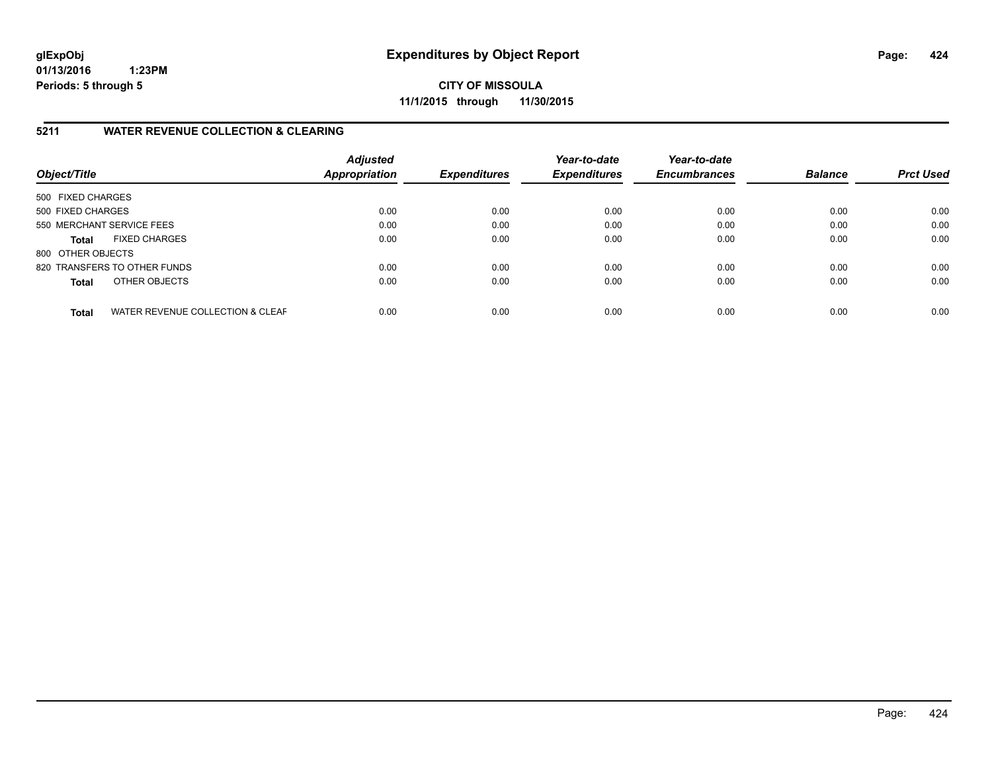**CITY OF MISSOULA 11/1/2015 through 11/30/2015**

### **5211 WATER REVENUE COLLECTION & CLEARING**

| Object/Title              |                                  | <b>Adjusted</b><br>Appropriation | <b>Expenditures</b> | Year-to-date<br><b>Expenditures</b> | Year-to-date<br><b>Encumbrances</b> | <b>Balance</b> | <b>Prct Used</b> |
|---------------------------|----------------------------------|----------------------------------|---------------------|-------------------------------------|-------------------------------------|----------------|------------------|
| 500 FIXED CHARGES         |                                  |                                  |                     |                                     |                                     |                |                  |
| 500 FIXED CHARGES         |                                  | 0.00                             | 0.00                | 0.00                                | 0.00                                | 0.00           | 0.00             |
| 550 MERCHANT SERVICE FEES |                                  | 0.00                             | 0.00                | 0.00                                | 0.00                                | 0.00           | 0.00             |
| <b>Total</b>              | <b>FIXED CHARGES</b>             | 0.00                             | 0.00                | 0.00                                | 0.00                                | 0.00           | 0.00             |
| 800 OTHER OBJECTS         |                                  |                                  |                     |                                     |                                     |                |                  |
|                           | 820 TRANSFERS TO OTHER FUNDS     | 0.00                             | 0.00                | 0.00                                | 0.00                                | 0.00           | 0.00             |
| <b>Total</b>              | OTHER OBJECTS                    | 0.00                             | 0.00                | 0.00                                | 0.00                                | 0.00           | 0.00             |
| <b>Total</b>              | WATER REVENUE COLLECTION & CLEAF | 0.00                             | 0.00                | 0.00                                | 0.00                                | 0.00           | 0.00             |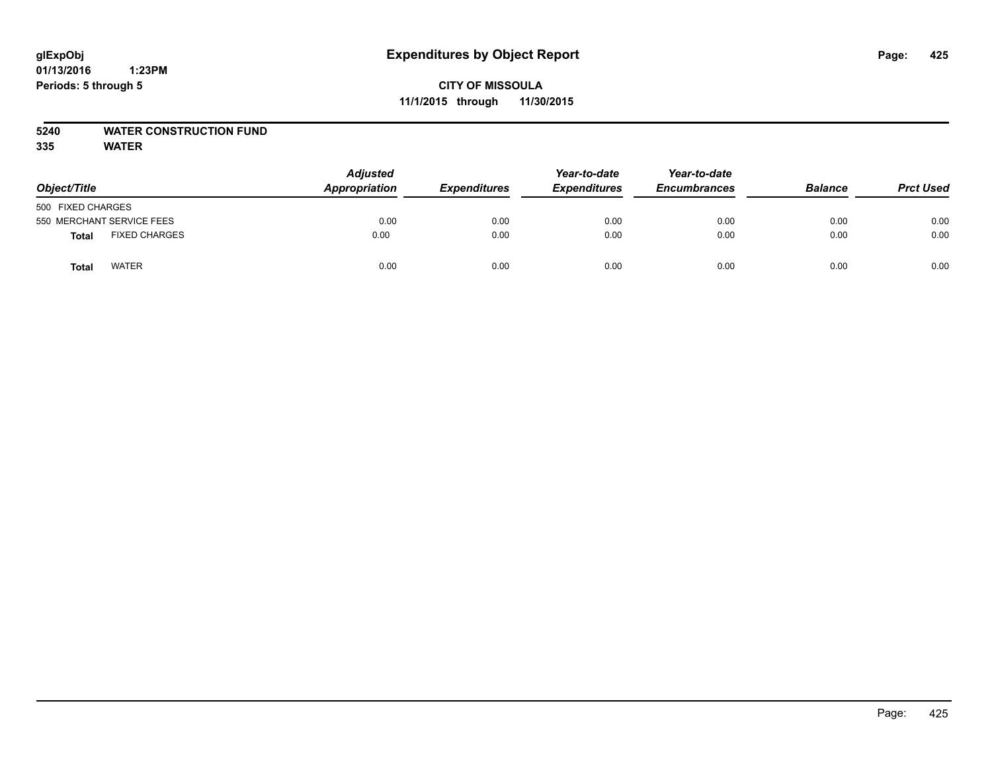# **glExpObj Expenditures by Object Report Page: 425**

**01/13/2016 1:23PM Periods: 5 through 5**

| Object/Title                  | <b>Adjusted</b><br><b>Appropriation</b> | <b>Expenditures</b> | Year-to-date<br><b>Expenditures</b> | Year-to-date<br><b>Encumbrances</b> | <b>Balance</b> | <b>Prct Used</b> |
|-------------------------------|-----------------------------------------|---------------------|-------------------------------------|-------------------------------------|----------------|------------------|
| 500 FIXED CHARGES             |                                         |                     |                                     |                                     |                |                  |
| 550 MERCHANT SERVICE FEES     | 0.00                                    | 0.00                | 0.00                                | 0.00                                | 0.00           | 0.00             |
| <b>FIXED CHARGES</b><br>Total | 0.00                                    | 0.00                | 0.00                                | 0.00                                | 0.00           | 0.00             |
| <b>WATER</b><br>Total         | 0.00                                    | 0.00                | 0.00                                | 0.00                                | 0.00           | 0.00             |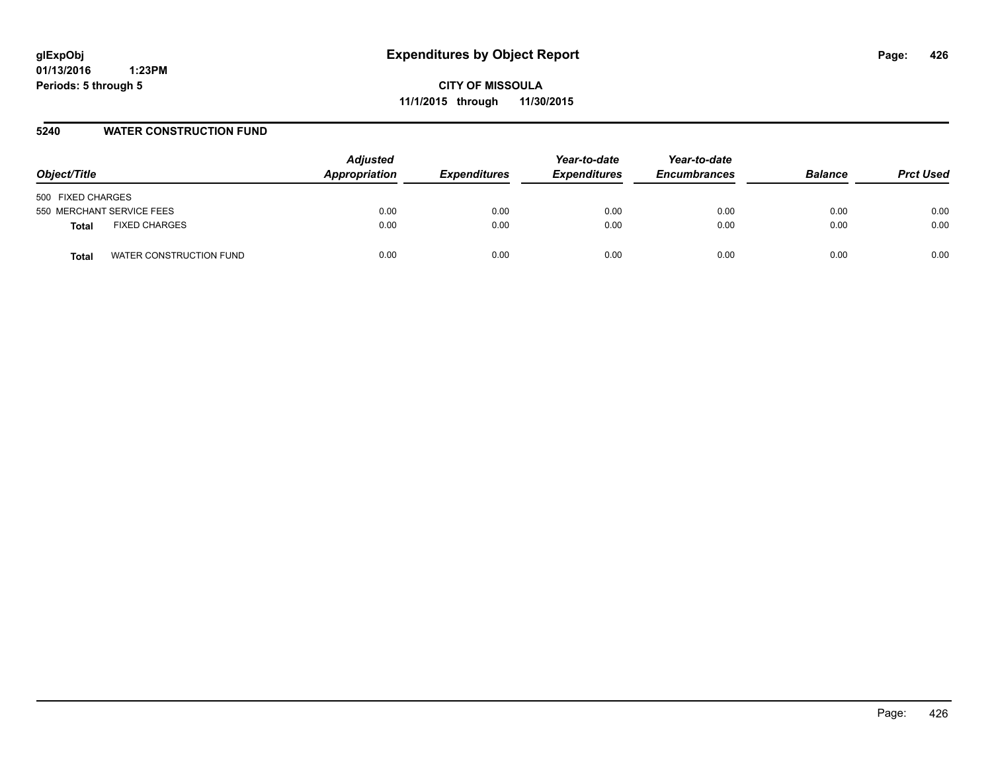**CITY OF MISSOULA 11/1/2015 through 11/30/2015**

#### **5240 WATER CONSTRUCTION FUND**

| Object/Title                     | <b>Adjusted</b><br>Appropriation | <b>Expenditures</b> | Year-to-date<br><b>Expenditures</b> | Year-to-date<br><b>Encumbrances</b> | <b>Balance</b> | <b>Prct Used</b> |
|----------------------------------|----------------------------------|---------------------|-------------------------------------|-------------------------------------|----------------|------------------|
| 500 FIXED CHARGES                |                                  |                     |                                     |                                     |                |                  |
| 550 MERCHANT SERVICE FEES        | 0.00                             | 0.00                | 0.00                                | 0.00                                | 0.00           | 0.00             |
| <b>FIXED CHARGES</b><br>Total    | 0.00                             | 0.00                | 0.00                                | 0.00                                | 0.00           | 0.00             |
| WATER CONSTRUCTION FUND<br>Total | 0.00                             | 0.00                | 0.00                                | 0.00                                | 0.00           | 0.00             |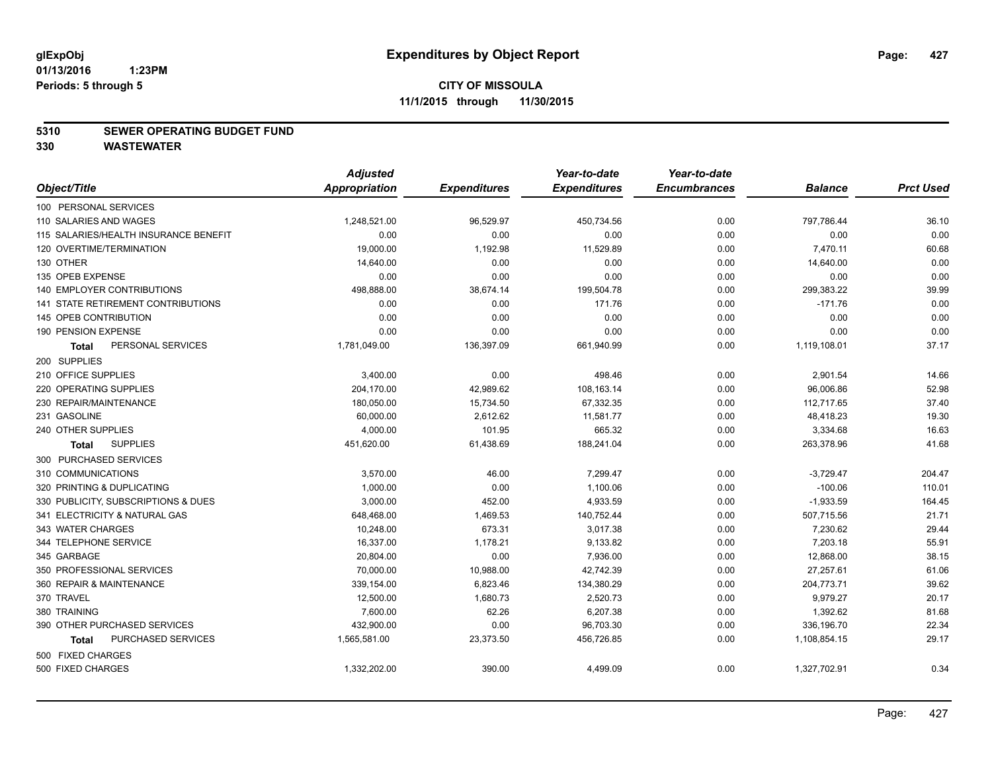#### **5310 SEWER OPERATING BUDGET FUND**

**330 WASTEWATER**

|                                       | <b>Adjusted</b>      |                     | Year-to-date        | Year-to-date        |                |                  |
|---------------------------------------|----------------------|---------------------|---------------------|---------------------|----------------|------------------|
| Object/Title                          | <b>Appropriation</b> | <b>Expenditures</b> | <b>Expenditures</b> | <b>Encumbrances</b> | <b>Balance</b> | <b>Prct Used</b> |
| 100 PERSONAL SERVICES                 |                      |                     |                     |                     |                |                  |
| 110 SALARIES AND WAGES                | 1,248,521.00         | 96,529.97           | 450,734.56          | 0.00                | 797,786.44     | 36.10            |
| 115 SALARIES/HEALTH INSURANCE BENEFIT | 0.00                 | 0.00                | 0.00                | 0.00                | 0.00           | 0.00             |
| 120 OVERTIME/TERMINATION              | 19,000.00            | 1,192.98            | 11,529.89           | 0.00                | 7,470.11       | 60.68            |
| 130 OTHER                             | 14,640.00            | 0.00                | 0.00                | 0.00                | 14,640.00      | 0.00             |
| 135 OPEB EXPENSE                      | 0.00                 | 0.00                | 0.00                | 0.00                | 0.00           | 0.00             |
| <b>140 EMPLOYER CONTRIBUTIONS</b>     | 498,888.00           | 38,674.14           | 199,504.78          | 0.00                | 299,383.22     | 39.99            |
| 141 STATE RETIREMENT CONTRIBUTIONS    | 0.00                 | 0.00                | 171.76              | 0.00                | $-171.76$      | 0.00             |
| 145 OPEB CONTRIBUTION                 | 0.00                 | 0.00                | 0.00                | 0.00                | 0.00           | 0.00             |
| 190 PENSION EXPENSE                   | 0.00                 | 0.00                | 0.00                | 0.00                | 0.00           | 0.00             |
| PERSONAL SERVICES<br><b>Total</b>     | 1,781,049.00         | 136,397.09          | 661,940.99          | 0.00                | 1,119,108.01   | 37.17            |
| 200 SUPPLIES                          |                      |                     |                     |                     |                |                  |
| 210 OFFICE SUPPLIES                   | 3,400.00             | 0.00                | 498.46              | 0.00                | 2,901.54       | 14.66            |
| 220 OPERATING SUPPLIES                | 204,170.00           | 42,989.62           | 108,163.14          | 0.00                | 96,006.86      | 52.98            |
| 230 REPAIR/MAINTENANCE                | 180,050.00           | 15,734.50           | 67,332.35           | 0.00                | 112,717.65     | 37.40            |
| 231 GASOLINE                          | 60,000.00            | 2,612.62            | 11,581.77           | 0.00                | 48,418.23      | 19.30            |
| 240 OTHER SUPPLIES                    | 4,000.00             | 101.95              | 665.32              | 0.00                | 3,334.68       | 16.63            |
| <b>SUPPLIES</b><br>Total              | 451,620.00           | 61,438.69           | 188,241.04          | 0.00                | 263,378.96     | 41.68            |
| 300 PURCHASED SERVICES                |                      |                     |                     |                     |                |                  |
| 310 COMMUNICATIONS                    | 3,570.00             | 46.00               | 7,299.47            | 0.00                | $-3,729.47$    | 204.47           |
| 320 PRINTING & DUPLICATING            | 1,000.00             | 0.00                | 1,100.06            | 0.00                | $-100.06$      | 110.01           |
| 330 PUBLICITY, SUBSCRIPTIONS & DUES   | 3,000.00             | 452.00              | 4,933.59            | 0.00                | $-1,933.59$    | 164.45           |
| 341 ELECTRICITY & NATURAL GAS         | 648,468.00           | 1,469.53            | 140,752.44          | 0.00                | 507,715.56     | 21.71            |
| 343 WATER CHARGES                     | 10,248.00            | 673.31              | 3,017.38            | 0.00                | 7,230.62       | 29.44            |
| 344 TELEPHONE SERVICE                 | 16,337.00            | 1,178.21            | 9,133.82            | 0.00                | 7,203.18       | 55.91            |
| 345 GARBAGE                           | 20,804.00            | 0.00                | 7,936.00            | 0.00                | 12,868.00      | 38.15            |
| 350 PROFESSIONAL SERVICES             | 70,000.00            | 10,988.00           | 42,742.39           | 0.00                | 27,257.61      | 61.06            |
| 360 REPAIR & MAINTENANCE              | 339,154.00           | 6,823.46            | 134,380.29          | 0.00                | 204,773.71     | 39.62            |
| 370 TRAVEL                            | 12,500.00            | 1,680.73            | 2,520.73            | 0.00                | 9,979.27       | 20.17            |
| 380 TRAINING                          | 7,600.00             | 62.26               | 6,207.38            | 0.00                | 1,392.62       | 81.68            |
| 390 OTHER PURCHASED SERVICES          | 432,900.00           | 0.00                | 96,703.30           | 0.00                | 336,196.70     | 22.34            |
| PURCHASED SERVICES<br><b>Total</b>    | 1,565,581.00         | 23,373.50           | 456,726.85          | 0.00                | 1,108,854.15   | 29.17            |
| 500 FIXED CHARGES                     |                      |                     |                     |                     |                |                  |
| 500 FIXED CHARGES                     | 1,332,202.00         | 390.00              | 4,499.09            | 0.00                | 1,327,702.91   | 0.34             |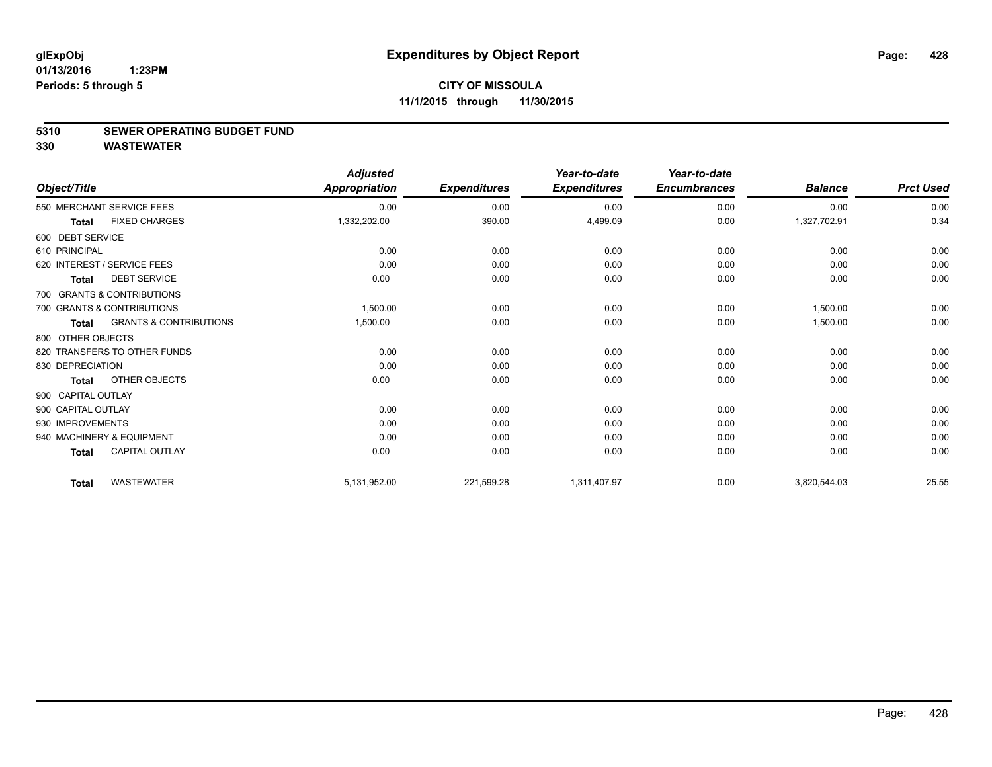#### **5310 SEWER OPERATING BUDGET FUND**

**330 WASTEWATER**

|                              |                                   | <b>Adjusted</b>      |                     | Year-to-date        | Year-to-date        |                |                  |
|------------------------------|-----------------------------------|----------------------|---------------------|---------------------|---------------------|----------------|------------------|
| Object/Title                 |                                   | <b>Appropriation</b> | <b>Expenditures</b> | <b>Expenditures</b> | <b>Encumbrances</b> | <b>Balance</b> | <b>Prct Used</b> |
| 550 MERCHANT SERVICE FEES    |                                   | 0.00                 | 0.00                | 0.00                | 0.00                | 0.00           | 0.00             |
| <b>Total</b>                 | <b>FIXED CHARGES</b>              | 1,332,202.00         | 390.00              | 4,499.09            | 0.00                | 1,327,702.91   | 0.34             |
| 600 DEBT SERVICE             |                                   |                      |                     |                     |                     |                |                  |
| 610 PRINCIPAL                |                                   | 0.00                 | 0.00                | 0.00                | 0.00                | 0.00           | 0.00             |
| 620 INTEREST / SERVICE FEES  |                                   | 0.00                 | 0.00                | 0.00                | 0.00                | 0.00           | 0.00             |
| <b>Total</b>                 | <b>DEBT SERVICE</b>               | 0.00                 | 0.00                | 0.00                | 0.00                | 0.00           | 0.00             |
| 700 GRANTS & CONTRIBUTIONS   |                                   |                      |                     |                     |                     |                |                  |
| 700 GRANTS & CONTRIBUTIONS   |                                   | 1,500.00             | 0.00                | 0.00                | 0.00                | 1,500.00       | 0.00             |
| <b>Total</b>                 | <b>GRANTS &amp; CONTRIBUTIONS</b> | 1,500.00             | 0.00                | 0.00                | 0.00                | 1,500.00       | 0.00             |
| 800 OTHER OBJECTS            |                                   |                      |                     |                     |                     |                |                  |
| 820 TRANSFERS TO OTHER FUNDS |                                   | 0.00                 | 0.00                | 0.00                | 0.00                | 0.00           | 0.00             |
| 830 DEPRECIATION             |                                   | 0.00                 | 0.00                | 0.00                | 0.00                | 0.00           | 0.00             |
| <b>Total</b>                 | OTHER OBJECTS                     | 0.00                 | 0.00                | 0.00                | 0.00                | 0.00           | 0.00             |
| 900 CAPITAL OUTLAY           |                                   |                      |                     |                     |                     |                |                  |
| 900 CAPITAL OUTLAY           |                                   | 0.00                 | 0.00                | 0.00                | 0.00                | 0.00           | 0.00             |
| 930 IMPROVEMENTS             |                                   | 0.00                 | 0.00                | 0.00                | 0.00                | 0.00           | 0.00             |
| 940 MACHINERY & EQUIPMENT    |                                   | 0.00                 | 0.00                | 0.00                | 0.00                | 0.00           | 0.00             |
| <b>Total</b>                 | <b>CAPITAL OUTLAY</b>             | 0.00                 | 0.00                | 0.00                | 0.00                | 0.00           | 0.00             |
| <b>Total</b>                 | <b>WASTEWATER</b>                 | 5,131,952.00         | 221,599.28          | 1,311,407.97        | 0.00                | 3,820,544.03   | 25.55            |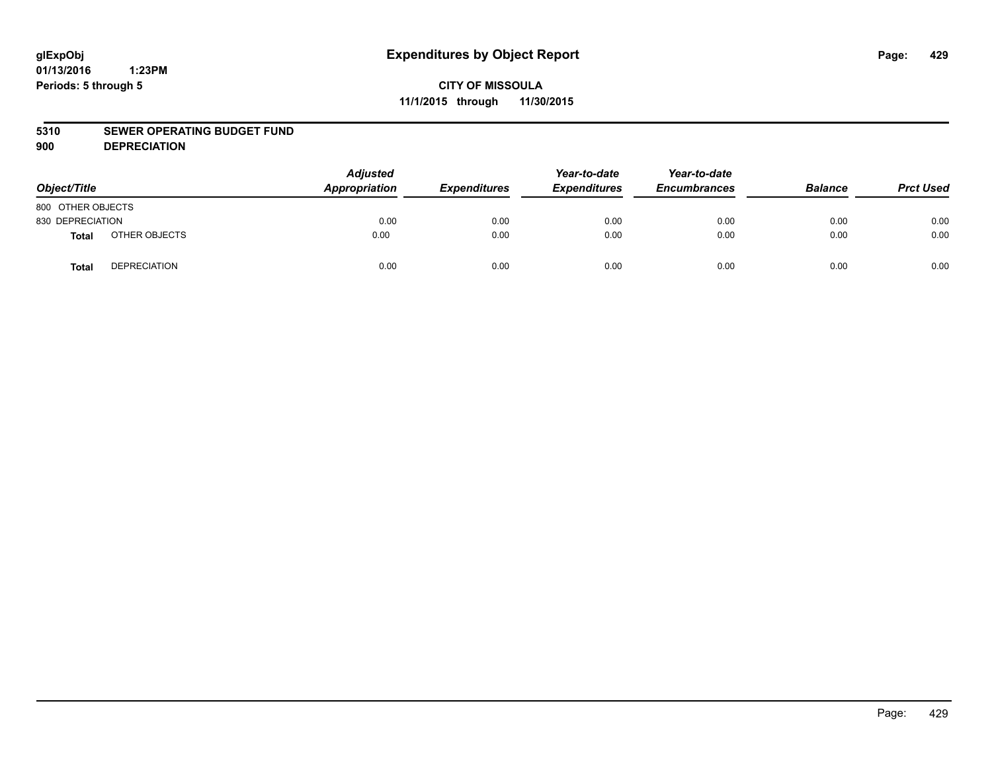#### **5310 SEWER OPERATING BUDGET FUND**

**900 DEPRECIATION**

| Object/Title      |                     | <b>Adjusted</b><br>Appropriation | <b>Expenditures</b> | Year-to-date<br><b>Expenditures</b> | Year-to-date<br><b>Encumbrances</b> | <b>Balance</b> | <b>Prct Used</b> |
|-------------------|---------------------|----------------------------------|---------------------|-------------------------------------|-------------------------------------|----------------|------------------|
| 800 OTHER OBJECTS |                     |                                  |                     |                                     |                                     |                |                  |
| 830 DEPRECIATION  |                     | 0.00                             | 0.00                | 0.00                                | 0.00                                | 0.00           | 0.00             |
| Total             | OTHER OBJECTS       | 0.00                             | 0.00                | 0.00                                | 0.00                                | 0.00           | 0.00             |
| <b>Total</b>      | <b>DEPRECIATION</b> | 0.00                             | 0.00                | 0.00                                | 0.00                                | 0.00           | 0.00             |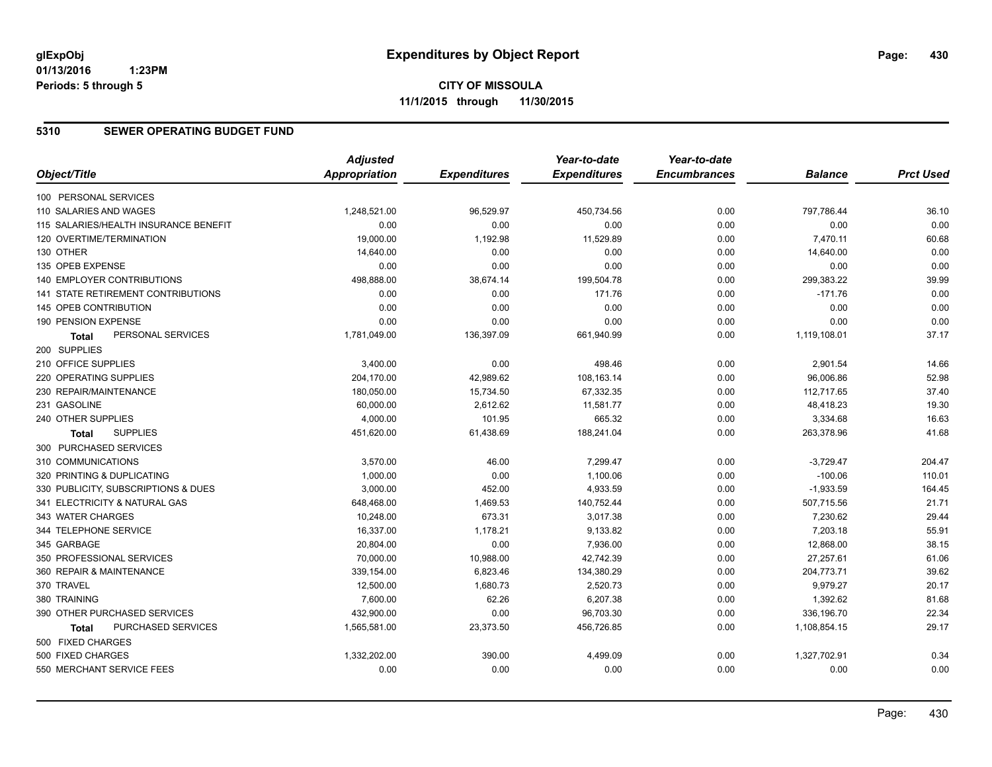#### **5310 SEWER OPERATING BUDGET FUND**

|                                       | <b>Adjusted</b>      |                     | Year-to-date        | Year-to-date        |                |                  |
|---------------------------------------|----------------------|---------------------|---------------------|---------------------|----------------|------------------|
| Object/Title                          | <b>Appropriation</b> | <b>Expenditures</b> | <b>Expenditures</b> | <b>Encumbrances</b> | <b>Balance</b> | <b>Prct Used</b> |
| 100 PERSONAL SERVICES                 |                      |                     |                     |                     |                |                  |
| 110 SALARIES AND WAGES                | 1,248,521.00         | 96,529.97           | 450,734.56          | 0.00                | 797,786.44     | 36.10            |
| 115 SALARIES/HEALTH INSURANCE BENEFIT | 0.00                 | 0.00                | 0.00                | 0.00                | 0.00           | 0.00             |
| 120 OVERTIME/TERMINATION              | 19,000.00            | 1,192.98            | 11,529.89           | 0.00                | 7,470.11       | 60.68            |
| 130 OTHER                             | 14,640.00            | 0.00                | 0.00                | 0.00                | 14,640.00      | 0.00             |
| 135 OPEB EXPENSE                      | 0.00                 | 0.00                | 0.00                | 0.00                | 0.00           | 0.00             |
| 140 EMPLOYER CONTRIBUTIONS            | 498,888.00           | 38,674.14           | 199,504.78          | 0.00                | 299,383.22     | 39.99            |
| 141 STATE RETIREMENT CONTRIBUTIONS    | 0.00                 | 0.00                | 171.76              | 0.00                | $-171.76$      | 0.00             |
| <b>145 OPEB CONTRIBUTION</b>          | 0.00                 | 0.00                | 0.00                | 0.00                | 0.00           | 0.00             |
| 190 PENSION EXPENSE                   | 0.00                 | 0.00                | 0.00                | 0.00                | 0.00           | 0.00             |
| PERSONAL SERVICES<br>Total            | 1,781,049.00         | 136,397.09          | 661,940.99          | 0.00                | 1,119,108.01   | 37.17            |
| 200 SUPPLIES                          |                      |                     |                     |                     |                |                  |
| 210 OFFICE SUPPLIES                   | 3,400.00             | 0.00                | 498.46              | 0.00                | 2,901.54       | 14.66            |
| 220 OPERATING SUPPLIES                | 204,170.00           | 42,989.62           | 108,163.14          | 0.00                | 96,006.86      | 52.98            |
| 230 REPAIR/MAINTENANCE                | 180,050.00           | 15,734.50           | 67,332.35           | 0.00                | 112,717.65     | 37.40            |
| 231 GASOLINE                          | 60,000.00            | 2,612.62            | 11,581.77           | 0.00                | 48,418.23      | 19.30            |
| 240 OTHER SUPPLIES                    | 4,000.00             | 101.95              | 665.32              | 0.00                | 3,334.68       | 16.63            |
| <b>SUPPLIES</b><br><b>Total</b>       | 451,620.00           | 61,438.69           | 188,241.04          | 0.00                | 263,378.96     | 41.68            |
| 300 PURCHASED SERVICES                |                      |                     |                     |                     |                |                  |
| 310 COMMUNICATIONS                    | 3,570.00             | 46.00               | 7,299.47            | 0.00                | $-3,729.47$    | 204.47           |
| 320 PRINTING & DUPLICATING            | 1,000.00             | 0.00                | 1,100.06            | 0.00                | $-100.06$      | 110.01           |
| 330 PUBLICITY, SUBSCRIPTIONS & DUES   | 3,000.00             | 452.00              | 4,933.59            | 0.00                | $-1,933.59$    | 164.45           |
| 341 ELECTRICITY & NATURAL GAS         | 648,468.00           | 1,469.53            | 140,752.44          | 0.00                | 507,715.56     | 21.71            |
| 343 WATER CHARGES                     | 10,248.00            | 673.31              | 3,017.38            | 0.00                | 7,230.62       | 29.44            |
| 344 TELEPHONE SERVICE                 | 16,337.00            | 1,178.21            | 9,133.82            | 0.00                | 7,203.18       | 55.91            |
| 345 GARBAGE                           | 20,804.00            | 0.00                | 7,936.00            | 0.00                | 12,868.00      | 38.15            |
| 350 PROFESSIONAL SERVICES             | 70,000.00            | 10,988.00           | 42,742.39           | 0.00                | 27,257.61      | 61.06            |
| 360 REPAIR & MAINTENANCE              | 339,154.00           | 6,823.46            | 134,380.29          | 0.00                | 204,773.71     | 39.62            |
| 370 TRAVEL                            | 12,500.00            | 1,680.73            | 2,520.73            | 0.00                | 9,979.27       | 20.17            |
| 380 TRAINING                          | 7,600.00             | 62.26               | 6,207.38            | 0.00                | 1,392.62       | 81.68            |
| 390 OTHER PURCHASED SERVICES          | 432,900.00           | 0.00                | 96,703.30           | 0.00                | 336,196.70     | 22.34            |
| PURCHASED SERVICES<br>Total           | 1,565,581.00         | 23,373.50           | 456,726.85          | 0.00                | 1,108,854.15   | 29.17            |
| 500 FIXED CHARGES                     |                      |                     |                     |                     |                |                  |
| 500 FIXED CHARGES                     | 1,332,202.00         | 390.00              | 4,499.09            | 0.00                | 1,327,702.91   | 0.34             |
| 550 MERCHANT SERVICE FEES             | 0.00                 | 0.00                | 0.00                | 0.00                | 0.00           | 0.00             |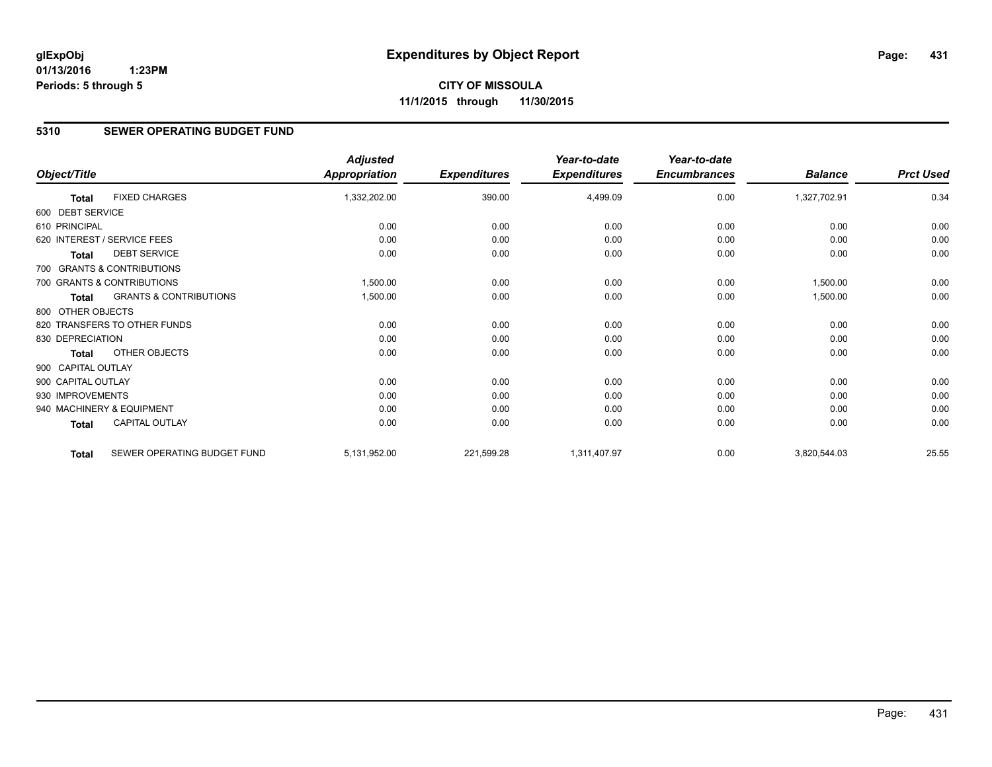### **5310 SEWER OPERATING BUDGET FUND**

| Object/Title       |                                   | <b>Adjusted</b><br><b>Appropriation</b> | <b>Expenditures</b> | Year-to-date<br><b>Expenditures</b> | Year-to-date<br><b>Encumbrances</b> | <b>Balance</b> | <b>Prct Used</b> |
|--------------------|-----------------------------------|-----------------------------------------|---------------------|-------------------------------------|-------------------------------------|----------------|------------------|
| Total              | <b>FIXED CHARGES</b>              | 1,332,202.00                            | 390.00              | 4,499.09                            | 0.00                                | 1,327,702.91   | 0.34             |
| 600 DEBT SERVICE   |                                   |                                         |                     |                                     |                                     |                |                  |
| 610 PRINCIPAL      |                                   | 0.00                                    | 0.00                | 0.00                                | 0.00                                | 0.00           | 0.00             |
|                    | 620 INTEREST / SERVICE FEES       | 0.00                                    | 0.00                | 0.00                                | 0.00                                | 0.00           | 0.00             |
| <b>Total</b>       | <b>DEBT SERVICE</b>               | 0.00                                    | 0.00                | 0.00                                | 0.00                                | 0.00           | 0.00             |
|                    | 700 GRANTS & CONTRIBUTIONS        |                                         |                     |                                     |                                     |                |                  |
|                    | 700 GRANTS & CONTRIBUTIONS        | 1,500.00                                | 0.00                | 0.00                                | 0.00                                | 1,500.00       | 0.00             |
| <b>Total</b>       | <b>GRANTS &amp; CONTRIBUTIONS</b> | 1,500.00                                | 0.00                | 0.00                                | 0.00                                | 1,500.00       | 0.00             |
| 800 OTHER OBJECTS  |                                   |                                         |                     |                                     |                                     |                |                  |
|                    | 820 TRANSFERS TO OTHER FUNDS      | 0.00                                    | 0.00                | 0.00                                | 0.00                                | 0.00           | 0.00             |
| 830 DEPRECIATION   |                                   | 0.00                                    | 0.00                | 0.00                                | 0.00                                | 0.00           | 0.00             |
| <b>Total</b>       | <b>OTHER OBJECTS</b>              | 0.00                                    | 0.00                | 0.00                                | 0.00                                | 0.00           | 0.00             |
| 900 CAPITAL OUTLAY |                                   |                                         |                     |                                     |                                     |                |                  |
| 900 CAPITAL OUTLAY |                                   | 0.00                                    | 0.00                | 0.00                                | 0.00                                | 0.00           | 0.00             |
| 930 IMPROVEMENTS   |                                   | 0.00                                    | 0.00                | 0.00                                | 0.00                                | 0.00           | 0.00             |
|                    | 940 MACHINERY & EQUIPMENT         | 0.00                                    | 0.00                | 0.00                                | 0.00                                | 0.00           | 0.00             |
| <b>Total</b>       | CAPITAL OUTLAY                    | 0.00                                    | 0.00                | 0.00                                | 0.00                                | 0.00           | 0.00             |
| <b>Total</b>       | SEWER OPERATING BUDGET FUND       | 5,131,952.00                            | 221,599.28          | 1,311,407.97                        | 0.00                                | 3,820,544.03   | 25.55            |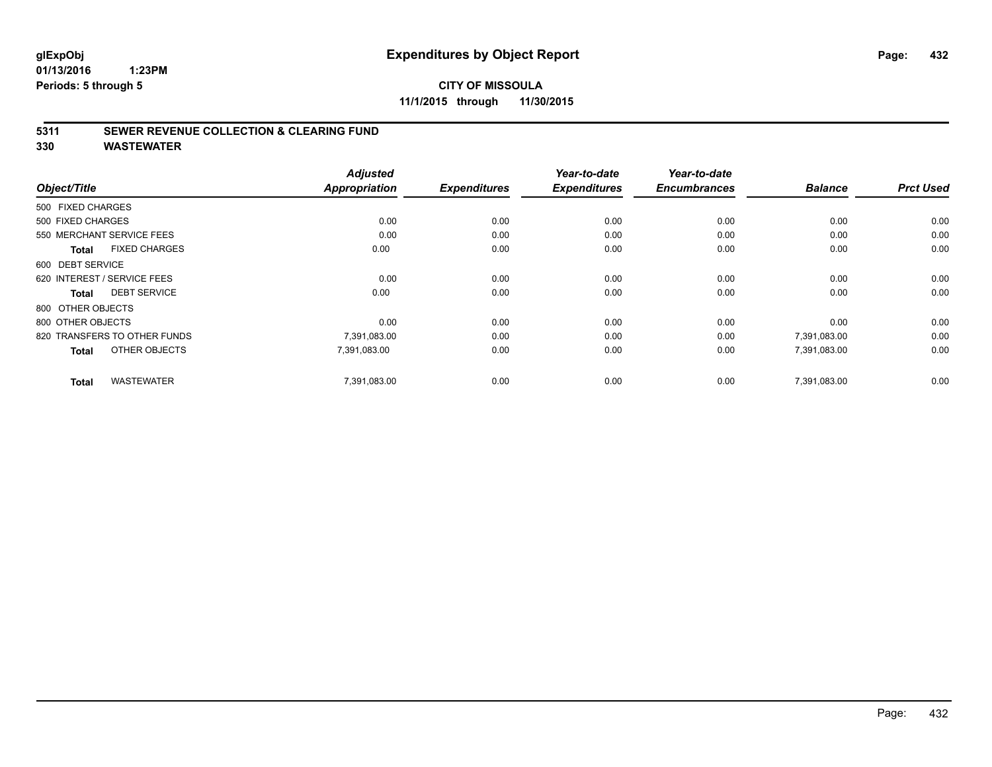### **CITY OF MISSOULA 11/1/2015 through 11/30/2015**

#### **5311 SEWER REVENUE COLLECTION & CLEARING FUND**

**330 WASTEWATER**

|                                      | <b>Adjusted</b>      |                     | Year-to-date        | Year-to-date        |                |                  |
|--------------------------------------|----------------------|---------------------|---------------------|---------------------|----------------|------------------|
| Object/Title                         | <b>Appropriation</b> | <b>Expenditures</b> | <b>Expenditures</b> | <b>Encumbrances</b> | <b>Balance</b> | <b>Prct Used</b> |
| 500 FIXED CHARGES                    |                      |                     |                     |                     |                |                  |
| 500 FIXED CHARGES                    | 0.00                 | 0.00                | 0.00                | 0.00                | 0.00           | 0.00             |
| 550 MERCHANT SERVICE FEES            | 0.00                 | 0.00                | 0.00                | 0.00                | 0.00           | 0.00             |
| <b>FIXED CHARGES</b><br><b>Total</b> | 0.00                 | 0.00                | 0.00                | 0.00                | 0.00           | 0.00             |
| 600 DEBT SERVICE                     |                      |                     |                     |                     |                |                  |
| 620 INTEREST / SERVICE FEES          | 0.00                 | 0.00                | 0.00                | 0.00                | 0.00           | 0.00             |
| <b>DEBT SERVICE</b><br><b>Total</b>  | 0.00                 | 0.00                | 0.00                | 0.00                | 0.00           | 0.00             |
| 800 OTHER OBJECTS                    |                      |                     |                     |                     |                |                  |
| 800 OTHER OBJECTS                    | 0.00                 | 0.00                | 0.00                | 0.00                | 0.00           | 0.00             |
| 820 TRANSFERS TO OTHER FUNDS         | 7,391,083.00         | 0.00                | 0.00                | 0.00                | 7,391,083.00   | 0.00             |
| OTHER OBJECTS<br><b>Total</b>        | 7,391,083.00         | 0.00                | 0.00                | 0.00                | 7,391,083.00   | 0.00             |
| <b>WASTEWATER</b><br><b>Total</b>    | 7,391,083.00         | 0.00                | 0.00                | 0.00                | 7.391.083.00   | 0.00             |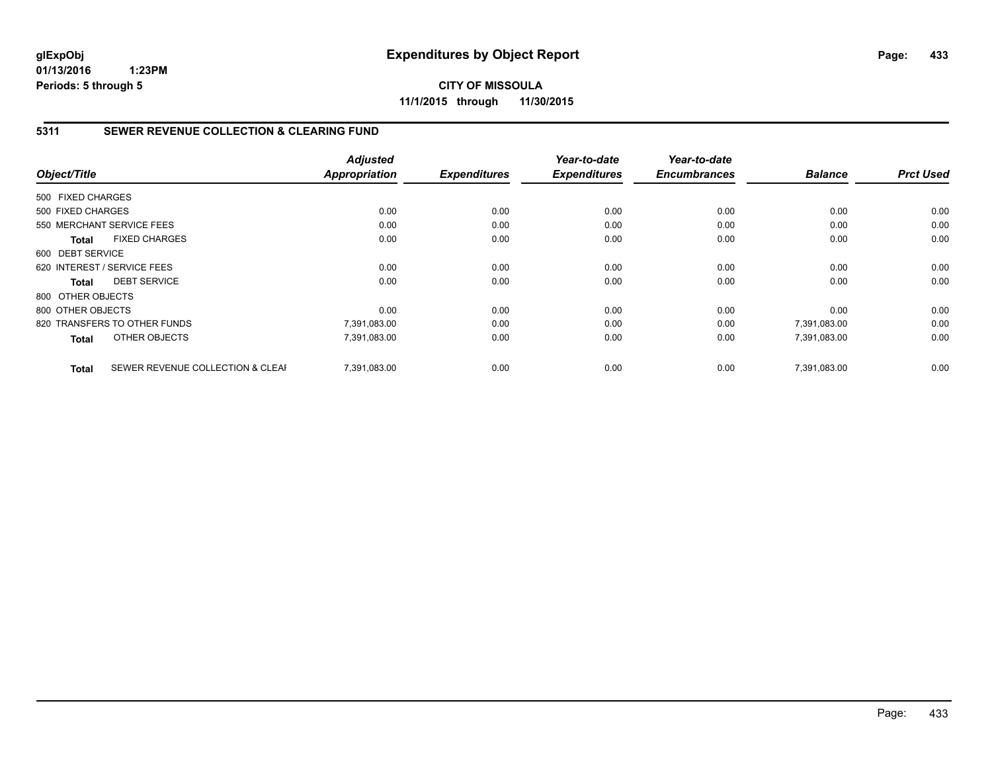**CITY OF MISSOULA 11/1/2015 through 11/30/2015**

## **5311 SEWER REVENUE COLLECTION & CLEARING FUND**

|                   |                                  | <b>Adjusted</b>      |                     | Year-to-date        | Year-to-date        |                |                  |
|-------------------|----------------------------------|----------------------|---------------------|---------------------|---------------------|----------------|------------------|
| Object/Title      |                                  | <b>Appropriation</b> | <b>Expenditures</b> | <b>Expenditures</b> | <b>Encumbrances</b> | <b>Balance</b> | <b>Prct Used</b> |
| 500 FIXED CHARGES |                                  |                      |                     |                     |                     |                |                  |
| 500 FIXED CHARGES |                                  | 0.00                 | 0.00                | 0.00                | 0.00                | 0.00           | 0.00             |
|                   | 550 MERCHANT SERVICE FEES        | 0.00                 | 0.00                | 0.00                | 0.00                | 0.00           | 0.00             |
| <b>Total</b>      | <b>FIXED CHARGES</b>             | 0.00                 | 0.00                | 0.00                | 0.00                | 0.00           | 0.00             |
| 600 DEBT SERVICE  |                                  |                      |                     |                     |                     |                |                  |
|                   | 620 INTEREST / SERVICE FEES      | 0.00                 | 0.00                | 0.00                | 0.00                | 0.00           | 0.00             |
| <b>Total</b>      | <b>DEBT SERVICE</b>              | 0.00                 | 0.00                | 0.00                | 0.00                | 0.00           | 0.00             |
| 800 OTHER OBJECTS |                                  |                      |                     |                     |                     |                |                  |
| 800 OTHER OBJECTS |                                  | 0.00                 | 0.00                | 0.00                | 0.00                | 0.00           | 0.00             |
|                   | 820 TRANSFERS TO OTHER FUNDS     | 7,391,083.00         | 0.00                | 0.00                | 0.00                | 7,391,083.00   | 0.00             |
| <b>Total</b>      | OTHER OBJECTS                    | 7,391,083.00         | 0.00                | 0.00                | 0.00                | 7,391,083.00   | 0.00             |
| <b>Total</b>      | SEWER REVENUE COLLECTION & CLEAF | 7.391.083.00         | 0.00                | 0.00                | 0.00                | 7.391.083.00   | 0.00             |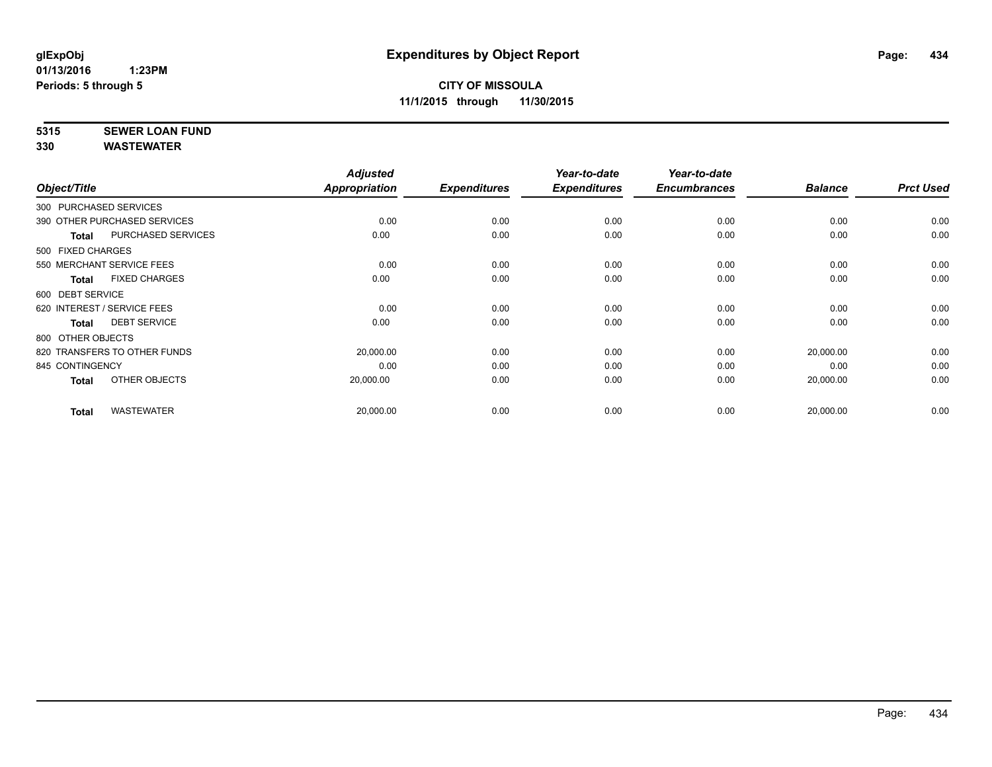# **5315 SEWER LOAN FUND**

|                        |                              | <b>Adjusted</b>      |                     | Year-to-date        | Year-to-date        |                |                  |
|------------------------|------------------------------|----------------------|---------------------|---------------------|---------------------|----------------|------------------|
| Object/Title           |                              | <b>Appropriation</b> | <b>Expenditures</b> | <b>Expenditures</b> | <b>Encumbrances</b> | <b>Balance</b> | <b>Prct Used</b> |
| 300 PURCHASED SERVICES |                              |                      |                     |                     |                     |                |                  |
|                        | 390 OTHER PURCHASED SERVICES | 0.00                 | 0.00                | 0.00                | 0.00                | 0.00           | 0.00             |
| <b>Total</b>           | <b>PURCHASED SERVICES</b>    | 0.00                 | 0.00                | 0.00                | 0.00                | 0.00           | 0.00             |
| 500 FIXED CHARGES      |                              |                      |                     |                     |                     |                |                  |
|                        | 550 MERCHANT SERVICE FEES    | 0.00                 | 0.00                | 0.00                | 0.00                | 0.00           | 0.00             |
| Total                  | <b>FIXED CHARGES</b>         | 0.00                 | 0.00                | 0.00                | 0.00                | 0.00           | 0.00             |
| 600 DEBT SERVICE       |                              |                      |                     |                     |                     |                |                  |
|                        | 620 INTEREST / SERVICE FEES  | 0.00                 | 0.00                | 0.00                | 0.00                | 0.00           | 0.00             |
| <b>Total</b>           | <b>DEBT SERVICE</b>          | 0.00                 | 0.00                | 0.00                | 0.00                | 0.00           | 0.00             |
| 800 OTHER OBJECTS      |                              |                      |                     |                     |                     |                |                  |
|                        | 820 TRANSFERS TO OTHER FUNDS | 20,000.00            | 0.00                | 0.00                | 0.00                | 20,000.00      | 0.00             |
| 845 CONTINGENCY        |                              | 0.00                 | 0.00                | 0.00                | 0.00                | 0.00           | 0.00             |
| <b>Total</b>           | OTHER OBJECTS                | 20,000.00            | 0.00                | 0.00                | 0.00                | 20,000.00      | 0.00             |
| <b>Total</b>           | <b>WASTEWATER</b>            | 20,000.00            | 0.00                | 0.00                | 0.00                | 20,000.00      | 0.00             |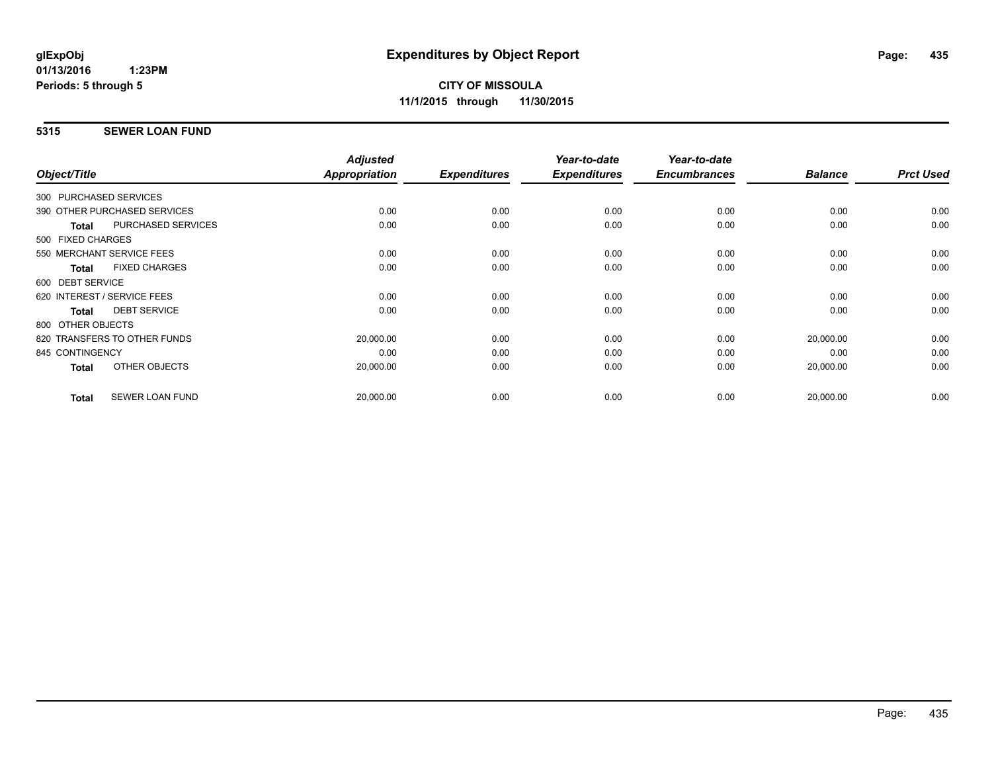# **5315 SEWER LOAN FUND**

| Object/Title     |                              | <b>Adjusted</b><br>Appropriation | <b>Expenditures</b> | Year-to-date<br><b>Expenditures</b> | Year-to-date<br><b>Encumbrances</b> | <b>Balance</b> | <b>Prct Used</b> |
|------------------|------------------------------|----------------------------------|---------------------|-------------------------------------|-------------------------------------|----------------|------------------|
|                  |                              |                                  |                     |                                     |                                     |                |                  |
|                  | 300 PURCHASED SERVICES       |                                  |                     |                                     |                                     |                |                  |
|                  | 390 OTHER PURCHASED SERVICES | 0.00                             | 0.00                | 0.00                                | 0.00                                | 0.00           | 0.00             |
| <b>Total</b>     | <b>PURCHASED SERVICES</b>    | 0.00                             | 0.00                | 0.00                                | 0.00                                | 0.00           | 0.00             |
|                  | 500 FIXED CHARGES            |                                  |                     |                                     |                                     |                |                  |
|                  | 550 MERCHANT SERVICE FEES    | 0.00                             | 0.00                | 0.00                                | 0.00                                | 0.00           | 0.00             |
| <b>Total</b>     | <b>FIXED CHARGES</b>         | 0.00                             | 0.00                | 0.00                                | 0.00                                | 0.00           | 0.00             |
| 600 DEBT SERVICE |                              |                                  |                     |                                     |                                     |                |                  |
|                  | 620 INTEREST / SERVICE FEES  | 0.00                             | 0.00                | 0.00                                | 0.00                                | 0.00           | 0.00             |
| <b>Total</b>     | <b>DEBT SERVICE</b>          | 0.00                             | 0.00                | 0.00                                | 0.00                                | 0.00           | 0.00             |
|                  | 800 OTHER OBJECTS            |                                  |                     |                                     |                                     |                |                  |
|                  | 820 TRANSFERS TO OTHER FUNDS | 20,000.00                        | 0.00                | 0.00                                | 0.00                                | 20,000.00      | 0.00             |
| 845 CONTINGENCY  |                              | 0.00                             | 0.00                | 0.00                                | 0.00                                | 0.00           | 0.00             |
| Total            | OTHER OBJECTS                | 20,000.00                        | 0.00                | 0.00                                | 0.00                                | 20,000.00      | 0.00             |
|                  |                              |                                  |                     |                                     |                                     |                |                  |
| <b>Total</b>     | <b>SEWER LOAN FUND</b>       | 20,000.00                        | 0.00                | 0.00                                | 0.00                                | 20,000.00      | 0.00             |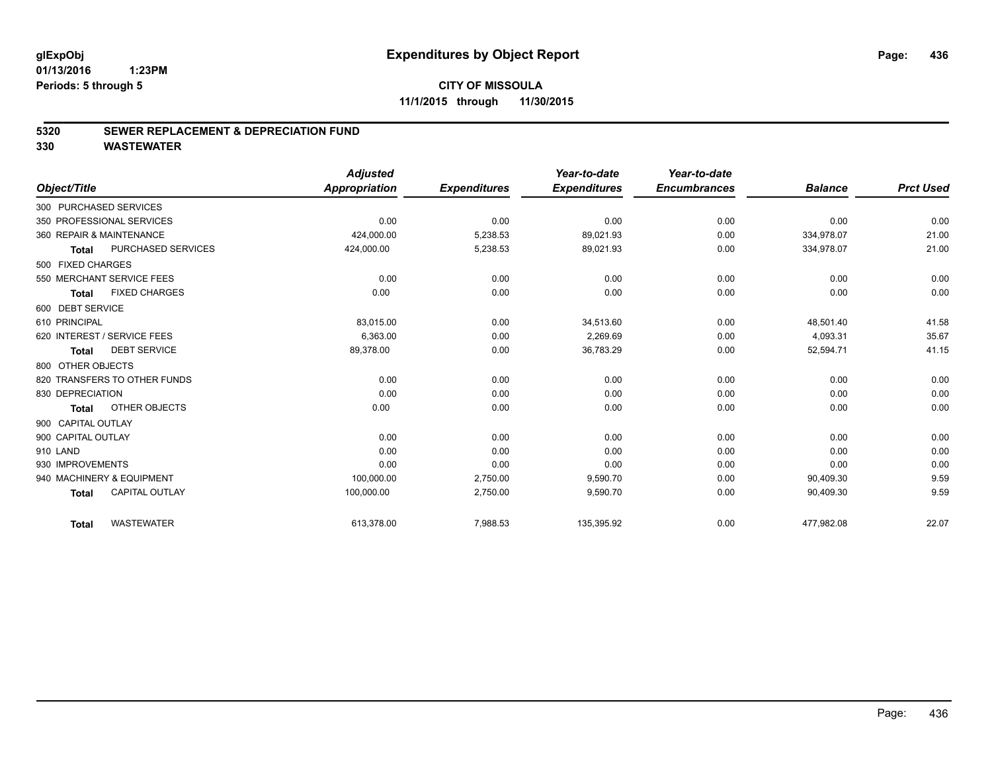# **CITY OF MISSOULA 11/1/2015 through 11/30/2015**

## **5320 SEWER REPLACEMENT & DEPRECIATION FUND**

|                              |                       | <b>Adjusted</b> |                     | Year-to-date        | Year-to-date        |                |                  |
|------------------------------|-----------------------|-----------------|---------------------|---------------------|---------------------|----------------|------------------|
| Object/Title                 |                       | Appropriation   | <b>Expenditures</b> | <b>Expenditures</b> | <b>Encumbrances</b> | <b>Balance</b> | <b>Prct Used</b> |
| 300 PURCHASED SERVICES       |                       |                 |                     |                     |                     |                |                  |
| 350 PROFESSIONAL SERVICES    |                       | 0.00            | 0.00                | 0.00                | 0.00                | 0.00           | 0.00             |
| 360 REPAIR & MAINTENANCE     |                       | 424,000.00      | 5,238.53            | 89,021.93           | 0.00                | 334,978.07     | 21.00            |
| Total                        | PURCHASED SERVICES    | 424,000.00      | 5,238.53            | 89,021.93           | 0.00                | 334,978.07     | 21.00            |
| 500 FIXED CHARGES            |                       |                 |                     |                     |                     |                |                  |
| 550 MERCHANT SERVICE FEES    |                       | 0.00            | 0.00                | 0.00                | 0.00                | 0.00           | 0.00             |
| <b>Total</b>                 | <b>FIXED CHARGES</b>  | 0.00            | 0.00                | 0.00                | 0.00                | 0.00           | 0.00             |
| 600 DEBT SERVICE             |                       |                 |                     |                     |                     |                |                  |
| 610 PRINCIPAL                |                       | 83,015.00       | 0.00                | 34,513.60           | 0.00                | 48,501.40      | 41.58            |
| 620 INTEREST / SERVICE FEES  |                       | 6,363.00        | 0.00                | 2,269.69            | 0.00                | 4,093.31       | 35.67            |
| <b>Total</b>                 | <b>DEBT SERVICE</b>   | 89,378.00       | 0.00                | 36,783.29           | 0.00                | 52,594.71      | 41.15            |
| 800 OTHER OBJECTS            |                       |                 |                     |                     |                     |                |                  |
| 820 TRANSFERS TO OTHER FUNDS |                       | 0.00            | 0.00                | 0.00                | 0.00                | 0.00           | 0.00             |
| 830 DEPRECIATION             |                       | 0.00            | 0.00                | 0.00                | 0.00                | 0.00           | 0.00             |
| <b>Total</b>                 | OTHER OBJECTS         | 0.00            | 0.00                | 0.00                | 0.00                | 0.00           | 0.00             |
| 900 CAPITAL OUTLAY           |                       |                 |                     |                     |                     |                |                  |
| 900 CAPITAL OUTLAY           |                       | 0.00            | 0.00                | 0.00                | 0.00                | 0.00           | 0.00             |
| 910 LAND                     |                       | 0.00            | 0.00                | 0.00                | 0.00                | 0.00           | 0.00             |
| 930 IMPROVEMENTS             |                       | 0.00            | 0.00                | 0.00                | 0.00                | 0.00           | 0.00             |
| 940 MACHINERY & EQUIPMENT    |                       | 100,000.00      | 2,750.00            | 9,590.70            | 0.00                | 90,409.30      | 9.59             |
| <b>Total</b>                 | <b>CAPITAL OUTLAY</b> | 100,000.00      | 2,750.00            | 9,590.70            | 0.00                | 90,409.30      | 9.59             |
| <b>Total</b>                 | <b>WASTEWATER</b>     | 613,378.00      | 7,988.53            | 135,395.92          | 0.00                | 477,982.08     | 22.07            |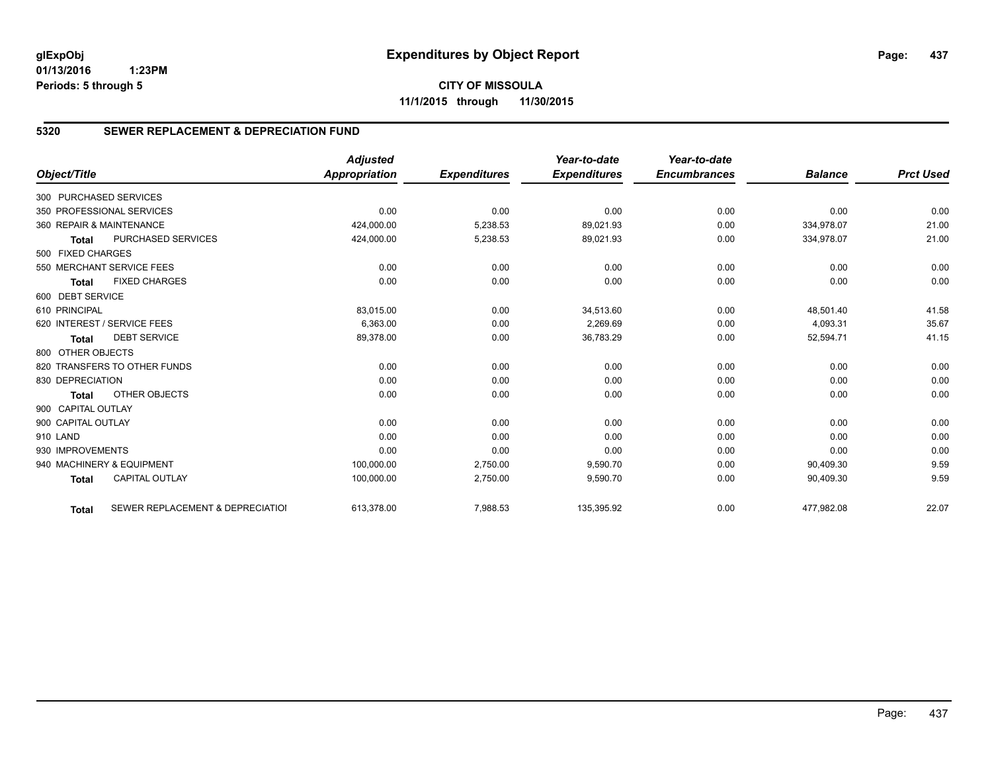**CITY OF MISSOULA 11/1/2015 through 11/30/2015**

# **5320 SEWER REPLACEMENT & DEPRECIATION FUND**

|                        |                                  | <b>Adjusted</b> |                     | Year-to-date        | Year-to-date        |                |                  |
|------------------------|----------------------------------|-----------------|---------------------|---------------------|---------------------|----------------|------------------|
| Object/Title           |                                  | Appropriation   | <b>Expenditures</b> | <b>Expenditures</b> | <b>Encumbrances</b> | <b>Balance</b> | <b>Prct Used</b> |
| 300 PURCHASED SERVICES |                                  |                 |                     |                     |                     |                |                  |
|                        | 350 PROFESSIONAL SERVICES        | 0.00            | 0.00                | 0.00                | 0.00                | 0.00           | 0.00             |
|                        | 360 REPAIR & MAINTENANCE         | 424,000.00      | 5,238.53            | 89,021.93           | 0.00                | 334,978.07     | 21.00            |
| <b>Total</b>           | PURCHASED SERVICES               | 424,000.00      | 5,238.53            | 89,021.93           | 0.00                | 334,978.07     | 21.00            |
| 500 FIXED CHARGES      |                                  |                 |                     |                     |                     |                |                  |
|                        | 550 MERCHANT SERVICE FEES        | 0.00            | 0.00                | 0.00                | 0.00                | 0.00           | 0.00             |
| <b>Total</b>           | <b>FIXED CHARGES</b>             | 0.00            | 0.00                | 0.00                | 0.00                | 0.00           | 0.00             |
| 600 DEBT SERVICE       |                                  |                 |                     |                     |                     |                |                  |
| 610 PRINCIPAL          |                                  | 83,015.00       | 0.00                | 34,513.60           | 0.00                | 48,501.40      | 41.58            |
|                        | 620 INTEREST / SERVICE FEES      | 6,363.00        | 0.00                | 2,269.69            | 0.00                | 4,093.31       | 35.67            |
| <b>Total</b>           | <b>DEBT SERVICE</b>              | 89,378.00       | 0.00                | 36,783.29           | 0.00                | 52,594.71      | 41.15            |
| 800 OTHER OBJECTS      |                                  |                 |                     |                     |                     |                |                  |
|                        | 820 TRANSFERS TO OTHER FUNDS     | 0.00            | 0.00                | 0.00                | 0.00                | 0.00           | 0.00             |
| 830 DEPRECIATION       |                                  | 0.00            | 0.00                | 0.00                | 0.00                | 0.00           | 0.00             |
| <b>Total</b>           | OTHER OBJECTS                    | 0.00            | 0.00                | 0.00                | 0.00                | 0.00           | 0.00             |
| 900 CAPITAL OUTLAY     |                                  |                 |                     |                     |                     |                |                  |
| 900 CAPITAL OUTLAY     |                                  | 0.00            | 0.00                | 0.00                | 0.00                | 0.00           | 0.00             |
| 910 LAND               |                                  | 0.00            | 0.00                | 0.00                | 0.00                | 0.00           | 0.00             |
| 930 IMPROVEMENTS       |                                  | 0.00            | 0.00                | 0.00                | 0.00                | 0.00           | 0.00             |
|                        | 940 MACHINERY & EQUIPMENT        | 100,000.00      | 2,750.00            | 9,590.70            | 0.00                | 90,409.30      | 9.59             |
| <b>Total</b>           | <b>CAPITAL OUTLAY</b>            | 100,000.00      | 2,750.00            | 9,590.70            | 0.00                | 90,409.30      | 9.59             |
| <b>Total</b>           | SEWER REPLACEMENT & DEPRECIATION | 613,378.00      | 7,988.53            | 135,395.92          | 0.00                | 477,982.08     | 22.07            |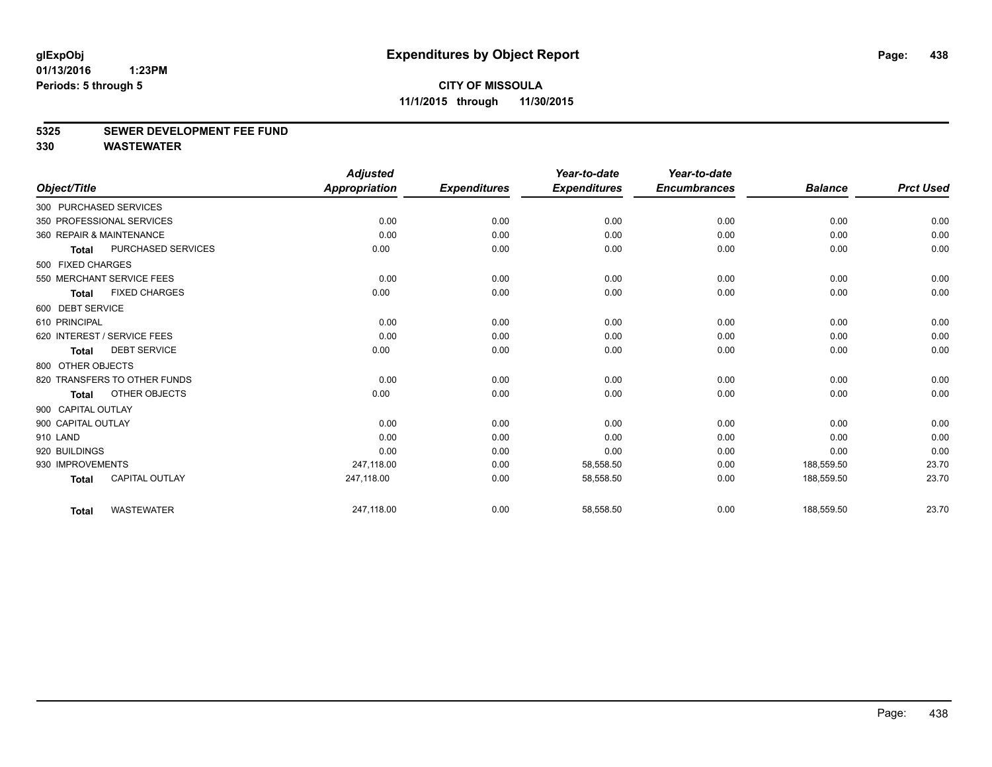#### **5325 SEWER DEVELOPMENT FEE FUND**

|                    |                              | <b>Adjusted</b>      |                     | Year-to-date        | Year-to-date        |                |                  |
|--------------------|------------------------------|----------------------|---------------------|---------------------|---------------------|----------------|------------------|
| Object/Title       |                              | <b>Appropriation</b> | <b>Expenditures</b> | <b>Expenditures</b> | <b>Encumbrances</b> | <b>Balance</b> | <b>Prct Used</b> |
|                    | 300 PURCHASED SERVICES       |                      |                     |                     |                     |                |                  |
|                    | 350 PROFESSIONAL SERVICES    | 0.00                 | 0.00                | 0.00                | 0.00                | 0.00           | 0.00             |
|                    | 360 REPAIR & MAINTENANCE     | 0.00                 | 0.00                | 0.00                | 0.00                | 0.00           | 0.00             |
| <b>Total</b>       | PURCHASED SERVICES           | 0.00                 | 0.00                | 0.00                | 0.00                | 0.00           | 0.00             |
| 500 FIXED CHARGES  |                              |                      |                     |                     |                     |                |                  |
|                    | 550 MERCHANT SERVICE FEES    | 0.00                 | 0.00                | 0.00                | 0.00                | 0.00           | 0.00             |
| <b>Total</b>       | <b>FIXED CHARGES</b>         | 0.00                 | 0.00                | 0.00                | 0.00                | 0.00           | 0.00             |
| 600 DEBT SERVICE   |                              |                      |                     |                     |                     |                |                  |
| 610 PRINCIPAL      |                              | 0.00                 | 0.00                | 0.00                | 0.00                | 0.00           | 0.00             |
|                    | 620 INTEREST / SERVICE FEES  | 0.00                 | 0.00                | 0.00                | 0.00                | 0.00           | 0.00             |
| <b>Total</b>       | <b>DEBT SERVICE</b>          | 0.00                 | 0.00                | 0.00                | 0.00                | 0.00           | 0.00             |
| 800 OTHER OBJECTS  |                              |                      |                     |                     |                     |                |                  |
|                    | 820 TRANSFERS TO OTHER FUNDS | 0.00                 | 0.00                | 0.00                | 0.00                | 0.00           | 0.00             |
| <b>Total</b>       | OTHER OBJECTS                | 0.00                 | 0.00                | 0.00                | 0.00                | 0.00           | 0.00             |
| 900 CAPITAL OUTLAY |                              |                      |                     |                     |                     |                |                  |
| 900 CAPITAL OUTLAY |                              | 0.00                 | 0.00                | 0.00                | 0.00                | 0.00           | 0.00             |
| 910 LAND           |                              | 0.00                 | 0.00                | 0.00                | 0.00                | 0.00           | 0.00             |
| 920 BUILDINGS      |                              | 0.00                 | 0.00                | 0.00                | 0.00                | 0.00           | 0.00             |
| 930 IMPROVEMENTS   |                              | 247,118.00           | 0.00                | 58,558.50           | 0.00                | 188,559.50     | 23.70            |
| <b>Total</b>       | <b>CAPITAL OUTLAY</b>        | 247,118.00           | 0.00                | 58,558.50           | 0.00                | 188,559.50     | 23.70            |
| <b>Total</b>       | <b>WASTEWATER</b>            | 247,118.00           | 0.00                | 58,558.50           | 0.00                | 188,559.50     | 23.70            |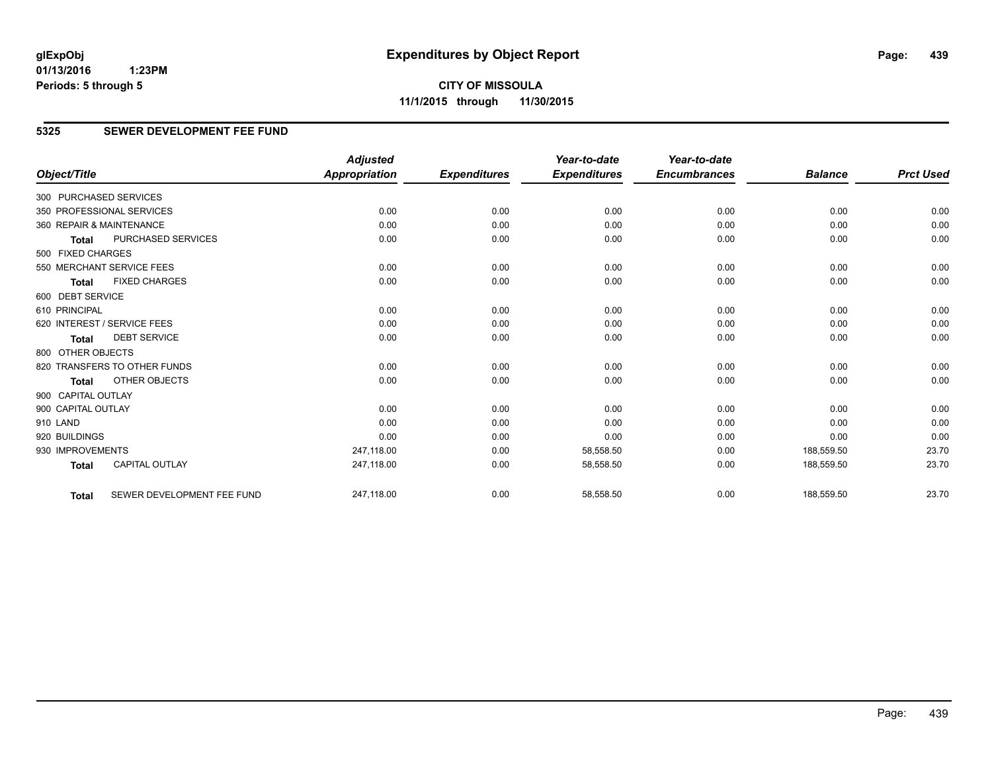**CITY OF MISSOULA 11/1/2015 through 11/30/2015**

# **5325 SEWER DEVELOPMENT FEE FUND**

|                          |                              | <b>Adjusted</b>      |                     | Year-to-date        | Year-to-date        |                |                  |
|--------------------------|------------------------------|----------------------|---------------------|---------------------|---------------------|----------------|------------------|
| Object/Title             |                              | <b>Appropriation</b> | <b>Expenditures</b> | <b>Expenditures</b> | <b>Encumbrances</b> | <b>Balance</b> | <b>Prct Used</b> |
| 300 PURCHASED SERVICES   |                              |                      |                     |                     |                     |                |                  |
|                          | 350 PROFESSIONAL SERVICES    | 0.00                 | 0.00                | 0.00                | 0.00                | 0.00           | 0.00             |
| 360 REPAIR & MAINTENANCE |                              | 0.00                 | 0.00                | 0.00                | 0.00                | 0.00           | 0.00             |
| <b>Total</b>             | PURCHASED SERVICES           | 0.00                 | 0.00                | 0.00                | 0.00                | 0.00           | 0.00             |
| 500 FIXED CHARGES        |                              |                      |                     |                     |                     |                |                  |
|                          | 550 MERCHANT SERVICE FEES    | 0.00                 | 0.00                | 0.00                | 0.00                | 0.00           | 0.00             |
| <b>Total</b>             | <b>FIXED CHARGES</b>         | 0.00                 | 0.00                | 0.00                | 0.00                | 0.00           | 0.00             |
| 600 DEBT SERVICE         |                              |                      |                     |                     |                     |                |                  |
| 610 PRINCIPAL            |                              | 0.00                 | 0.00                | 0.00                | 0.00                | 0.00           | 0.00             |
|                          | 620 INTEREST / SERVICE FEES  | 0.00                 | 0.00                | 0.00                | 0.00                | 0.00           | 0.00             |
| <b>Total</b>             | <b>DEBT SERVICE</b>          | 0.00                 | 0.00                | 0.00                | 0.00                | 0.00           | 0.00             |
| 800 OTHER OBJECTS        |                              |                      |                     |                     |                     |                |                  |
|                          | 820 TRANSFERS TO OTHER FUNDS | 0.00                 | 0.00                | 0.00                | 0.00                | 0.00           | 0.00             |
| <b>Total</b>             | OTHER OBJECTS                | 0.00                 | 0.00                | 0.00                | 0.00                | 0.00           | 0.00             |
| 900 CAPITAL OUTLAY       |                              |                      |                     |                     |                     |                |                  |
| 900 CAPITAL OUTLAY       |                              | 0.00                 | 0.00                | 0.00                | 0.00                | 0.00           | 0.00             |
| 910 LAND                 |                              | 0.00                 | 0.00                | 0.00                | 0.00                | 0.00           | 0.00             |
| 920 BUILDINGS            |                              | 0.00                 | 0.00                | 0.00                | 0.00                | 0.00           | 0.00             |
| 930 IMPROVEMENTS         |                              | 247,118.00           | 0.00                | 58,558.50           | 0.00                | 188,559.50     | 23.70            |
| <b>Total</b>             | CAPITAL OUTLAY               | 247,118.00           | 0.00                | 58,558.50           | 0.00                | 188,559.50     | 23.70            |
| <b>Total</b>             | SEWER DEVELOPMENT FEE FUND   | 247,118.00           | 0.00                | 58,558.50           | 0.00                | 188,559.50     | 23.70            |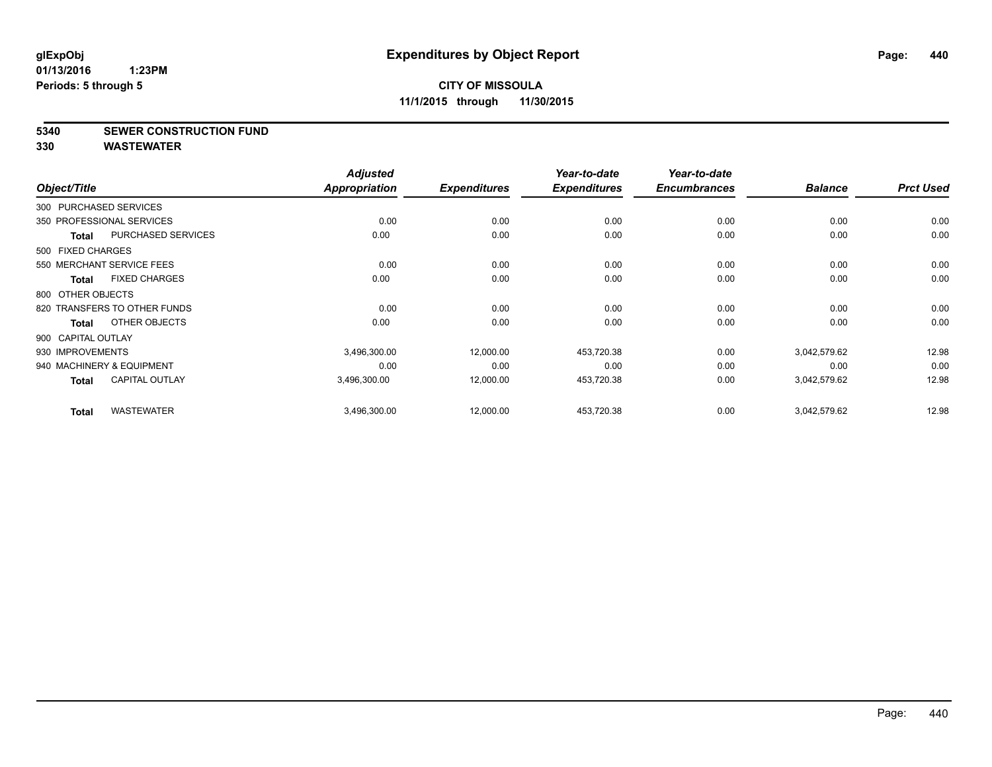## **5340 SEWER CONSTRUCTION FUND**

| Object/Title           |                              | <b>Adjusted</b><br><b>Appropriation</b> | <b>Expenditures</b> | Year-to-date<br><b>Expenditures</b> | Year-to-date<br><b>Encumbrances</b> | <b>Balance</b> | <b>Prct Used</b> |
|------------------------|------------------------------|-----------------------------------------|---------------------|-------------------------------------|-------------------------------------|----------------|------------------|
| 300 PURCHASED SERVICES |                              |                                         |                     |                                     |                                     |                |                  |
|                        | 350 PROFESSIONAL SERVICES    | 0.00                                    | 0.00                | 0.00                                | 0.00                                | 0.00           | 0.00             |
| <b>Total</b>           | PURCHASED SERVICES           | 0.00                                    | 0.00                | 0.00                                | 0.00                                | 0.00           | 0.00             |
| 500 FIXED CHARGES      |                              |                                         |                     |                                     |                                     |                |                  |
|                        | 550 MERCHANT SERVICE FEES    | 0.00                                    | 0.00                | 0.00                                | 0.00                                | 0.00           | 0.00             |
| Total                  | <b>FIXED CHARGES</b>         | 0.00                                    | 0.00                | 0.00                                | 0.00                                | 0.00           | 0.00             |
| 800 OTHER OBJECTS      |                              |                                         |                     |                                     |                                     |                |                  |
|                        | 820 TRANSFERS TO OTHER FUNDS | 0.00                                    | 0.00                | 0.00                                | 0.00                                | 0.00           | 0.00             |
| Total                  | OTHER OBJECTS                | 0.00                                    | 0.00                | 0.00                                | 0.00                                | 0.00           | 0.00             |
| 900 CAPITAL OUTLAY     |                              |                                         |                     |                                     |                                     |                |                  |
| 930 IMPROVEMENTS       |                              | 3,496,300.00                            | 12,000.00           | 453,720.38                          | 0.00                                | 3,042,579.62   | 12.98            |
|                        | 940 MACHINERY & EQUIPMENT    | 0.00                                    | 0.00                | 0.00                                | 0.00                                | 0.00           | 0.00             |
| Total                  | <b>CAPITAL OUTLAY</b>        | 3,496,300.00                            | 12,000.00           | 453,720.38                          | 0.00                                | 3,042,579.62   | 12.98            |
| <b>Total</b>           | <b>WASTEWATER</b>            | 3,496,300.00                            | 12,000.00           | 453,720.38                          | 0.00                                | 3,042,579.62   | 12.98            |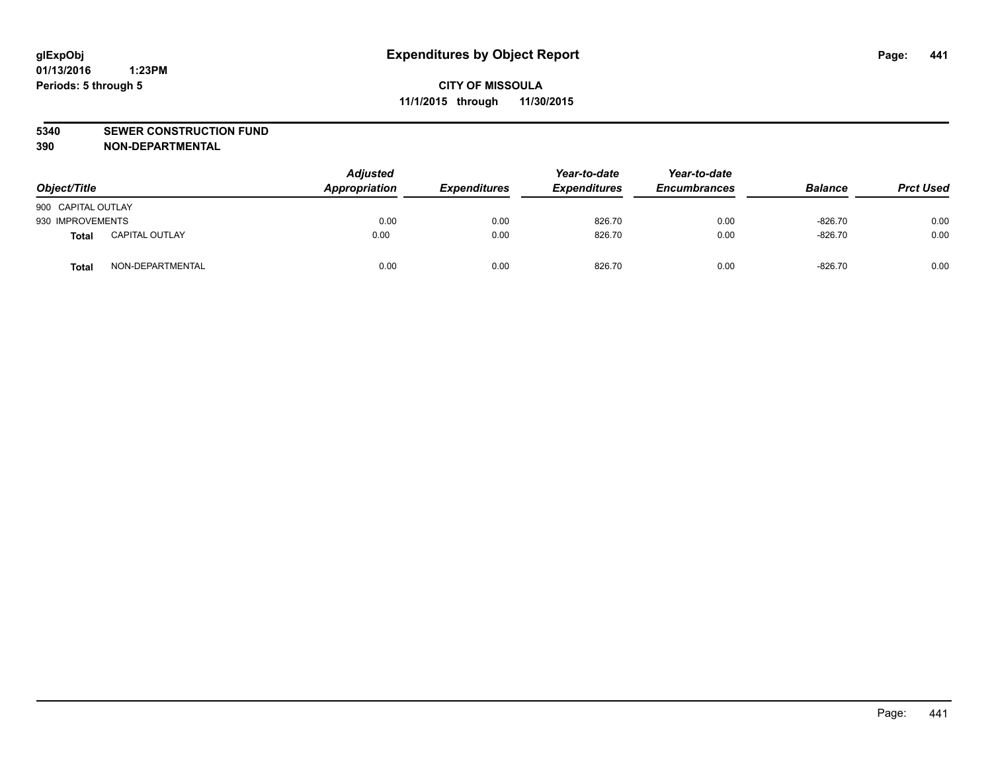#### **5340 SEWER CONSTRUCTION FUND**

**390 NON-DEPARTMENTAL**

| Object/Title       |                       | <b>Adjusted</b><br>Appropriation | <b>Expenditures</b> | Year-to-date<br><b>Expenditures</b> | Year-to-date<br><b>Encumbrances</b> | <b>Balance</b> | <b>Prct Used</b> |
|--------------------|-----------------------|----------------------------------|---------------------|-------------------------------------|-------------------------------------|----------------|------------------|
| 900 CAPITAL OUTLAY |                       |                                  |                     |                                     |                                     |                |                  |
| 930 IMPROVEMENTS   |                       | 0.00                             | 0.00                | 826.70                              | 0.00                                | $-826.70$      | 0.00             |
| Total              | <b>CAPITAL OUTLAY</b> | 0.00                             | 0.00                | 826.70                              | 0.00                                | $-826.70$      | 0.00             |
| <b>Total</b>       | NON-DEPARTMENTAL      | 0.00                             | 0.00                | 826.70                              | 0.00                                | $-826.70$      | 0.00             |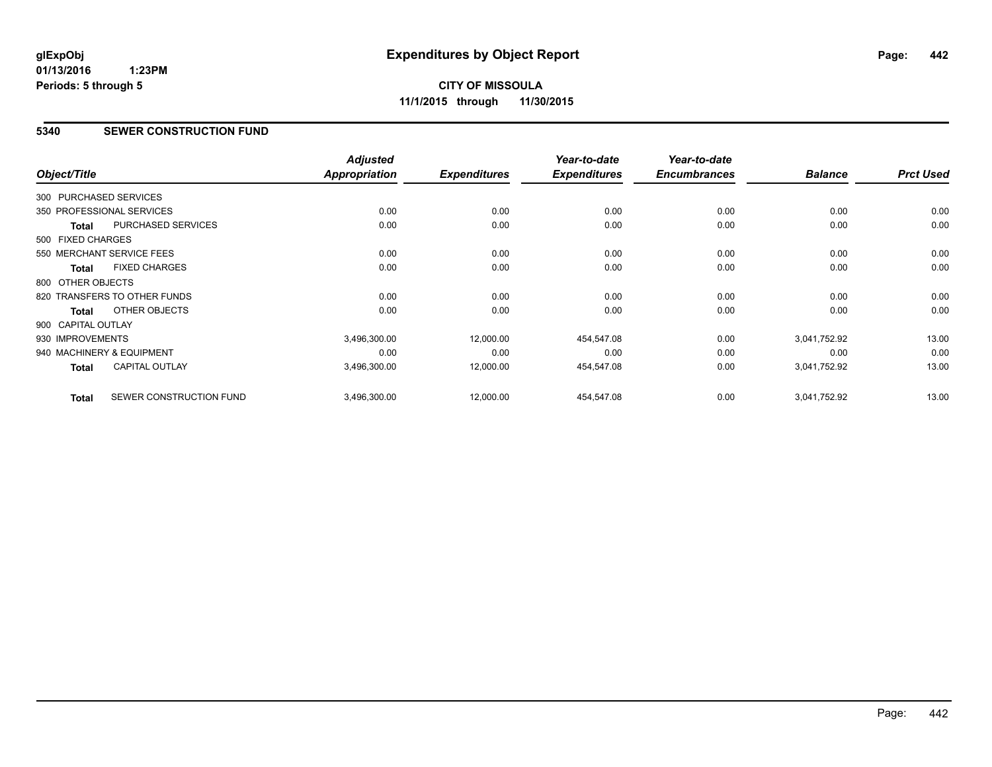# **5340 SEWER CONSTRUCTION FUND**

| Object/Title           |                              | <b>Adjusted</b><br>Appropriation | <b>Expenditures</b> | Year-to-date<br><b>Expenditures</b> | Year-to-date<br><b>Encumbrances</b> | <b>Balance</b> | <b>Prct Used</b> |
|------------------------|------------------------------|----------------------------------|---------------------|-------------------------------------|-------------------------------------|----------------|------------------|
|                        |                              |                                  |                     |                                     |                                     |                |                  |
| 300 PURCHASED SERVICES |                              |                                  |                     |                                     |                                     |                |                  |
|                        | 350 PROFESSIONAL SERVICES    | 0.00                             | 0.00                | 0.00                                | 0.00                                | 0.00           | 0.00             |
| <b>Total</b>           | PURCHASED SERVICES           | 0.00                             | 0.00                | 0.00                                | 0.00                                | 0.00           | 0.00             |
| 500 FIXED CHARGES      |                              |                                  |                     |                                     |                                     |                |                  |
|                        | 550 MERCHANT SERVICE FEES    | 0.00                             | 0.00                | 0.00                                | 0.00                                | 0.00           | 0.00             |
| <b>Total</b>           | <b>FIXED CHARGES</b>         | 0.00                             | 0.00                | 0.00                                | 0.00                                | 0.00           | 0.00             |
| 800 OTHER OBJECTS      |                              |                                  |                     |                                     |                                     |                |                  |
|                        | 820 TRANSFERS TO OTHER FUNDS | 0.00                             | 0.00                | 0.00                                | 0.00                                | 0.00           | 0.00             |
| Total                  | OTHER OBJECTS                | 0.00                             | 0.00                | 0.00                                | 0.00                                | 0.00           | 0.00             |
| 900 CAPITAL OUTLAY     |                              |                                  |                     |                                     |                                     |                |                  |
| 930 IMPROVEMENTS       |                              | 3,496,300.00                     | 12,000.00           | 454,547.08                          | 0.00                                | 3,041,752.92   | 13.00            |
|                        | 940 MACHINERY & EQUIPMENT    | 0.00                             | 0.00                | 0.00                                | 0.00                                | 0.00           | 0.00             |
| Total                  | <b>CAPITAL OUTLAY</b>        | 3,496,300.00                     | 12,000.00           | 454,547.08                          | 0.00                                | 3,041,752.92   | 13.00            |
| <b>Total</b>           | SEWER CONSTRUCTION FUND      | 3,496,300.00                     | 12,000.00           | 454,547.08                          | 0.00                                | 3,041,752.92   | 13.00            |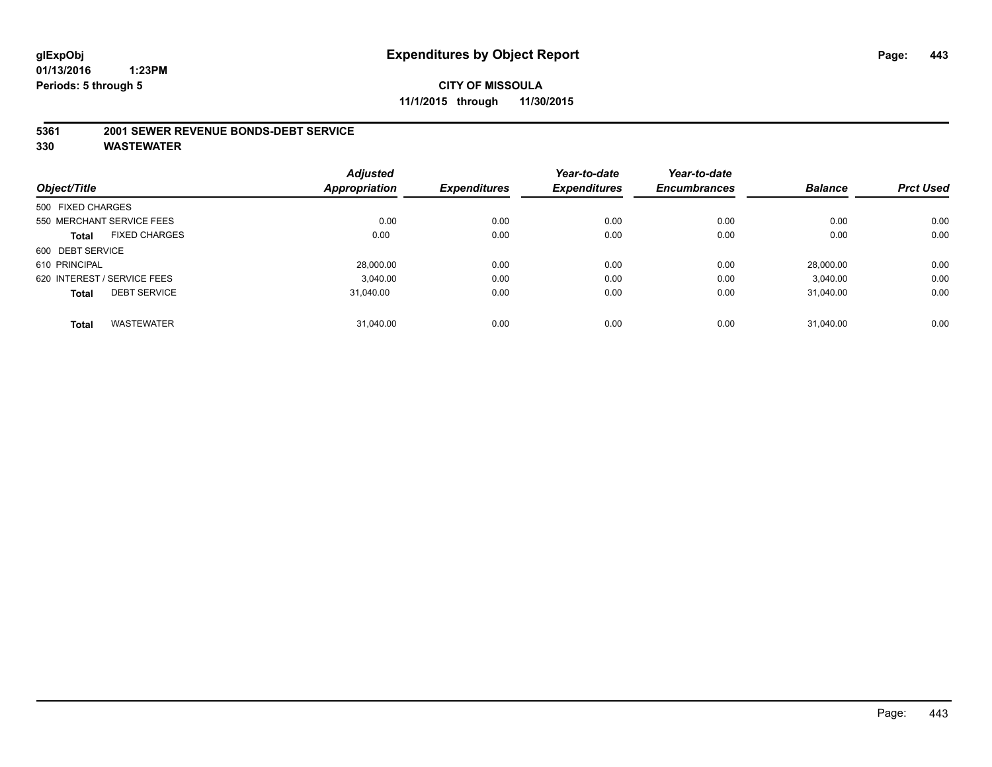#### **5361 2001 SEWER REVENUE BONDS-DEBT SERVICE**

|                   |                             | <b>Adjusted</b>      |                     | Year-to-date        | Year-to-date        |                |                  |
|-------------------|-----------------------------|----------------------|---------------------|---------------------|---------------------|----------------|------------------|
| Object/Title      |                             | <b>Appropriation</b> | <b>Expenditures</b> | <b>Expenditures</b> | <b>Encumbrances</b> | <b>Balance</b> | <b>Prct Used</b> |
| 500 FIXED CHARGES |                             |                      |                     |                     |                     |                |                  |
|                   | 550 MERCHANT SERVICE FEES   | 0.00                 | 0.00                | 0.00                | 0.00                | 0.00           | 0.00             |
| Total             | <b>FIXED CHARGES</b>        | 0.00                 | 0.00                | 0.00                | 0.00                | 0.00           | 0.00             |
| 600 DEBT SERVICE  |                             |                      |                     |                     |                     |                |                  |
| 610 PRINCIPAL     |                             | 28.000.00            | 0.00                | 0.00                | 0.00                | 28.000.00      | 0.00             |
|                   | 620 INTEREST / SERVICE FEES | 3.040.00             | 0.00                | 0.00                | 0.00                | 3.040.00       | 0.00             |
| <b>Total</b>      | <b>DEBT SERVICE</b>         | 31.040.00            | 0.00                | 0.00                | 0.00                | 31.040.00      | 0.00             |
|                   |                             |                      |                     |                     |                     |                |                  |
| <b>Total</b>      | <b>WASTEWATER</b>           | 31.040.00            | 0.00                | 0.00                | 0.00                | 31.040.00      | 0.00             |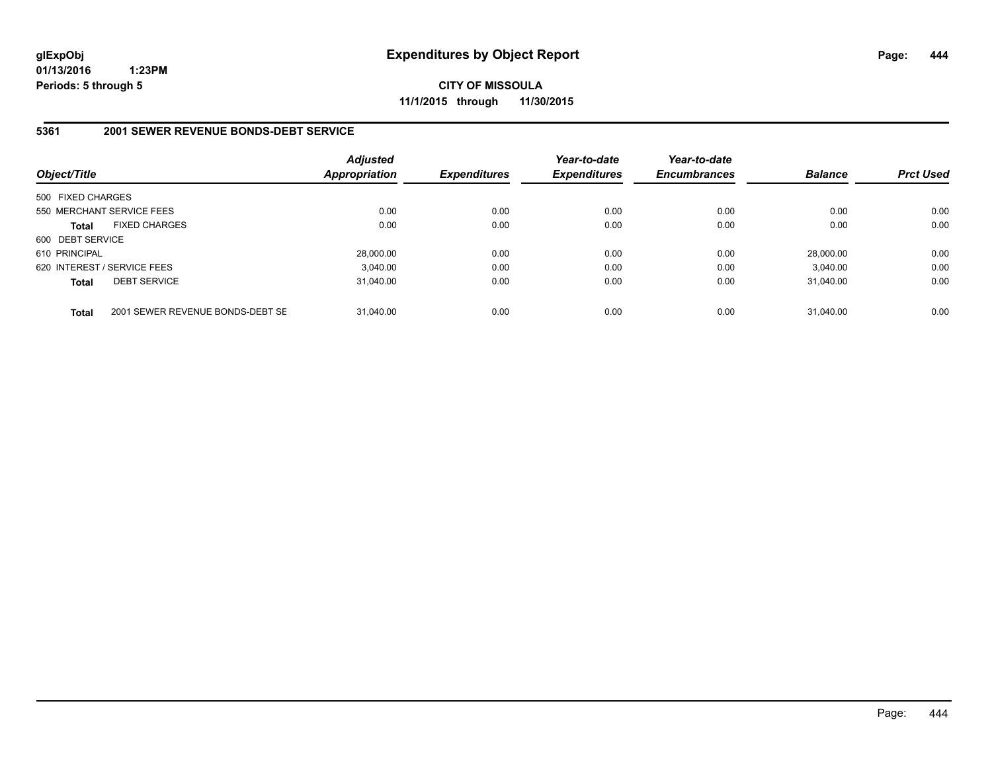**CITY OF MISSOULA 11/1/2015 through 11/30/2015**

### **5361 2001 SEWER REVENUE BONDS-DEBT SERVICE**

| Object/Title      |                                  | Adjusted<br><b>Appropriation</b> | <b>Expenditures</b> | Year-to-date<br><b>Expenditures</b> | Year-to-date<br><b>Encumbrances</b> | <b>Balance</b> | <b>Prct Used</b> |
|-------------------|----------------------------------|----------------------------------|---------------------|-------------------------------------|-------------------------------------|----------------|------------------|
| 500 FIXED CHARGES |                                  |                                  |                     |                                     |                                     |                |                  |
|                   | 550 MERCHANT SERVICE FEES        | 0.00                             | 0.00                | 0.00                                | 0.00                                | 0.00           | 0.00             |
| <b>Total</b>      | <b>FIXED CHARGES</b>             | 0.00                             | 0.00                | 0.00                                | 0.00                                | 0.00           | 0.00             |
| 600 DEBT SERVICE  |                                  |                                  |                     |                                     |                                     |                |                  |
| 610 PRINCIPAL     |                                  | 28.000.00                        | 0.00                | 0.00                                | 0.00                                | 28,000.00      | 0.00             |
|                   | 620 INTEREST / SERVICE FEES      | 3.040.00                         | 0.00                | 0.00                                | 0.00                                | 3.040.00       | 0.00             |
| <b>Total</b>      | <b>DEBT SERVICE</b>              | 31.040.00                        | 0.00                | 0.00                                | 0.00                                | 31.040.00      | 0.00             |
| <b>Total</b>      | 2001 SEWER REVENUE BONDS-DEBT SE | 31.040.00                        | 0.00                | 0.00                                | 0.00                                | 31.040.00      | 0.00             |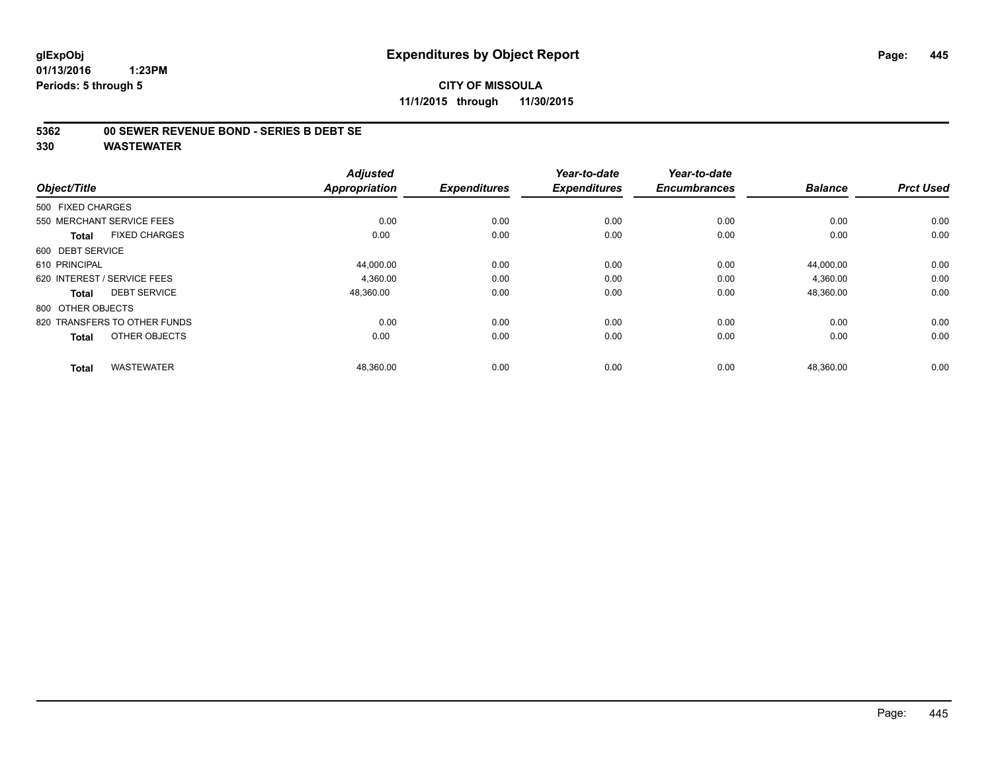# **CITY OF MISSOULA 11/1/2015 through 11/30/2015**

## **5362 00 SEWER REVENUE BOND - SERIES B DEBT SE**

| Object/Title                         | <b>Adjusted</b><br><b>Appropriation</b> | <b>Expenditures</b> | Year-to-date<br><b>Expenditures</b> | Year-to-date<br><b>Encumbrances</b> | <b>Balance</b> | <b>Prct Used</b> |
|--------------------------------------|-----------------------------------------|---------------------|-------------------------------------|-------------------------------------|----------------|------------------|
| 500 FIXED CHARGES                    |                                         |                     |                                     |                                     |                |                  |
| 550 MERCHANT SERVICE FEES            | 0.00                                    | 0.00                | 0.00                                | 0.00                                | 0.00           | 0.00             |
| <b>FIXED CHARGES</b><br><b>Total</b> | 0.00                                    | 0.00                | 0.00                                | 0.00                                | 0.00           | 0.00             |
| 600 DEBT SERVICE                     |                                         |                     |                                     |                                     |                |                  |
| 610 PRINCIPAL                        | 44,000.00                               | 0.00                | 0.00                                | 0.00                                | 44,000.00      | 0.00             |
| 620 INTEREST / SERVICE FEES          | 4,360.00                                | 0.00                | 0.00                                | 0.00                                | 4,360.00       | 0.00             |
| <b>DEBT SERVICE</b><br><b>Total</b>  | 48,360.00                               | 0.00                | 0.00                                | 0.00                                | 48,360.00      | 0.00             |
| 800 OTHER OBJECTS                    |                                         |                     |                                     |                                     |                |                  |
| 820 TRANSFERS TO OTHER FUNDS         | 0.00                                    | 0.00                | 0.00                                | 0.00                                | 0.00           | 0.00             |
| OTHER OBJECTS<br><b>Total</b>        | 0.00                                    | 0.00                | 0.00                                | 0.00                                | 0.00           | 0.00             |
| <b>WASTEWATER</b><br><b>Total</b>    | 48,360.00                               | 0.00                | 0.00                                | 0.00                                | 48,360.00      | 0.00             |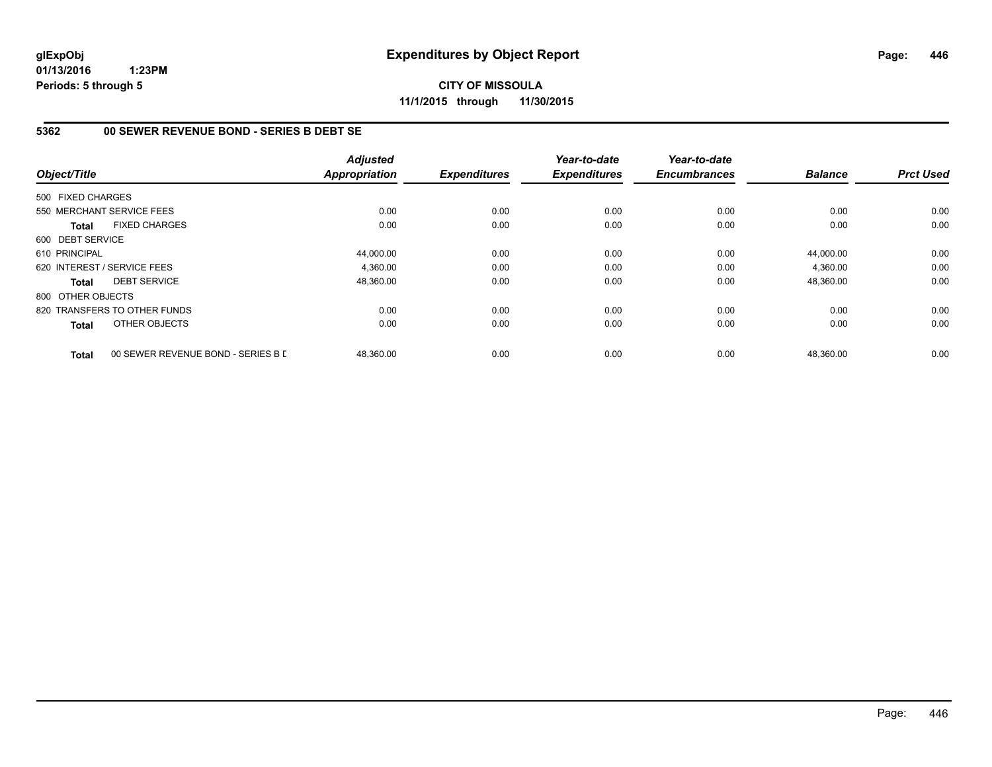**CITY OF MISSOULA 11/1/2015 through 11/30/2015**

## **5362 00 SEWER REVENUE BOND - SERIES B DEBT SE**

| Object/Title      |                                    | <b>Adjusted</b><br><b>Appropriation</b> | <b>Expenditures</b> | Year-to-date<br><b>Expenditures</b> | Year-to-date<br><b>Encumbrances</b> | <b>Balance</b> | <b>Prct Used</b> |
|-------------------|------------------------------------|-----------------------------------------|---------------------|-------------------------------------|-------------------------------------|----------------|------------------|
| 500 FIXED CHARGES |                                    |                                         |                     |                                     |                                     |                |                  |
|                   |                                    |                                         |                     |                                     |                                     |                |                  |
|                   | 550 MERCHANT SERVICE FEES          | 0.00                                    | 0.00                | 0.00                                | 0.00                                | 0.00           | 0.00             |
| Total             | <b>FIXED CHARGES</b>               | 0.00                                    | 0.00                | 0.00                                | 0.00                                | 0.00           | 0.00             |
| 600 DEBT SERVICE  |                                    |                                         |                     |                                     |                                     |                |                  |
| 610 PRINCIPAL     |                                    | 44,000.00                               | 0.00                | 0.00                                | 0.00                                | 44.000.00      | 0.00             |
|                   | 620 INTEREST / SERVICE FEES        | 4,360.00                                | 0.00                | 0.00                                | 0.00                                | 4,360.00       | 0.00             |
| Total             | <b>DEBT SERVICE</b>                | 48,360.00                               | 0.00                | 0.00                                | 0.00                                | 48,360.00      | 0.00             |
| 800 OTHER OBJECTS |                                    |                                         |                     |                                     |                                     |                |                  |
|                   | 820 TRANSFERS TO OTHER FUNDS       | 0.00                                    | 0.00                | 0.00                                | 0.00                                | 0.00           | 0.00             |
| <b>Total</b>      | OTHER OBJECTS                      | 0.00                                    | 0.00                | 0.00                                | 0.00                                | 0.00           | 0.00             |
| <b>Total</b>      | 00 SEWER REVENUE BOND - SERIES B D | 48,360.00                               | 0.00                | 0.00                                | 0.00                                | 48,360.00      | 0.00             |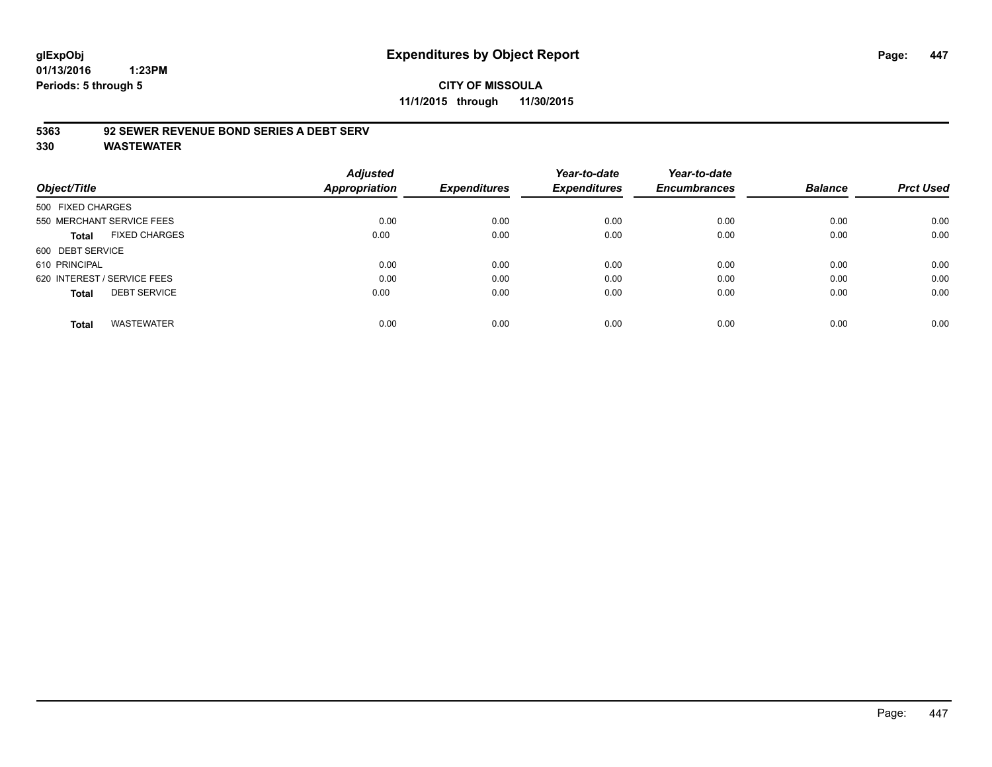# **glExpObj Expenditures by Object Report Page: 447**

**01/13/2016 1:23PM Periods: 5 through 5**

## **5363 92 SEWER REVENUE BOND SERIES A DEBT SERV**

| Object/Title      |                             | <b>Adjusted</b><br>Appropriation | <b>Expenditures</b> | Year-to-date<br><b>Expenditures</b> | Year-to-date<br><b>Encumbrances</b> | <b>Balance</b> | <b>Prct Used</b> |
|-------------------|-----------------------------|----------------------------------|---------------------|-------------------------------------|-------------------------------------|----------------|------------------|
| 500 FIXED CHARGES |                             |                                  |                     |                                     |                                     |                |                  |
|                   | 550 MERCHANT SERVICE FEES   | 0.00                             | 0.00                | 0.00                                | 0.00                                | 0.00           | 0.00             |
| <b>Total</b>      | <b>FIXED CHARGES</b>        | 0.00                             | 0.00                | 0.00                                | 0.00                                | 0.00           | 0.00             |
| 600 DEBT SERVICE  |                             |                                  |                     |                                     |                                     |                |                  |
| 610 PRINCIPAL     |                             | 0.00                             | 0.00                | 0.00                                | 0.00                                | 0.00           | 0.00             |
|                   | 620 INTEREST / SERVICE FEES | 0.00                             | 0.00                | 0.00                                | 0.00                                | 0.00           | 0.00             |
| <b>Total</b>      | <b>DEBT SERVICE</b>         | 0.00                             | 0.00                | 0.00                                | 0.00                                | 0.00           | 0.00             |
| <b>Total</b>      | <b>WASTEWATER</b>           | 0.00                             | 0.00                | 0.00                                | 0.00                                | 0.00           | 0.00             |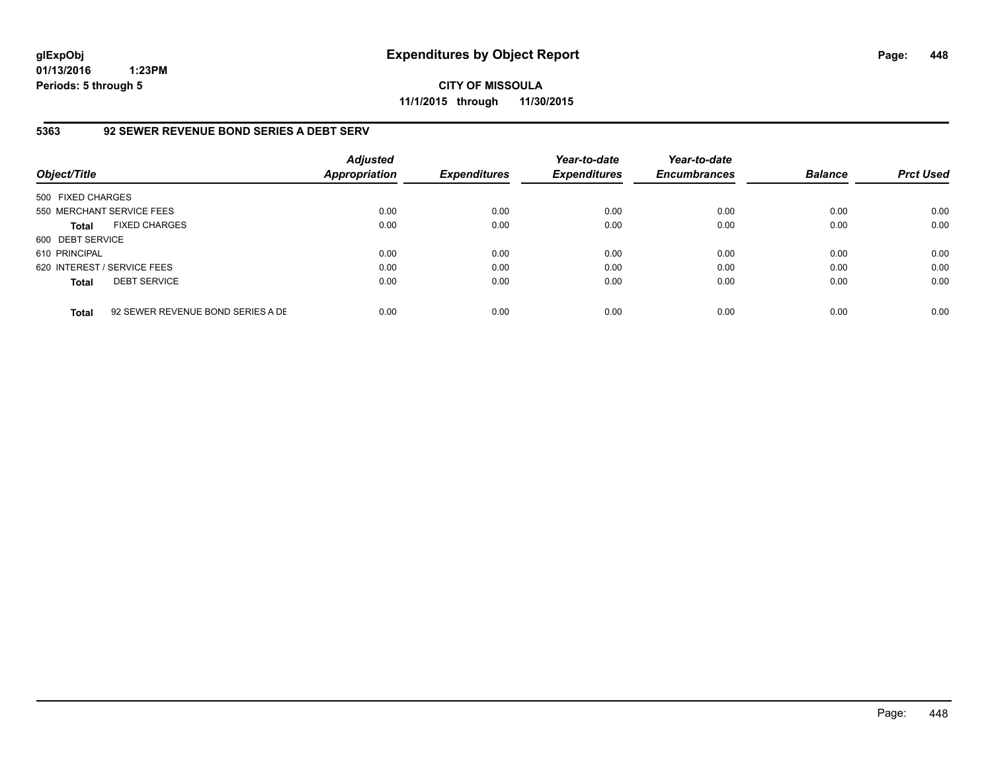**CITY OF MISSOULA 11/1/2015 through 11/30/2015**

## **5363 92 SEWER REVENUE BOND SERIES A DEBT SERV**

| Object/Title                |                                   | <b>Adjusted</b><br><b>Appropriation</b> | <b>Expenditures</b> | Year-to-date<br><b>Expenditures</b> | Year-to-date<br><b>Encumbrances</b> | <b>Balance</b> | <b>Prct Used</b> |
|-----------------------------|-----------------------------------|-----------------------------------------|---------------------|-------------------------------------|-------------------------------------|----------------|------------------|
| 500 FIXED CHARGES           |                                   |                                         |                     |                                     |                                     |                |                  |
| 550 MERCHANT SERVICE FEES   |                                   | 0.00                                    | 0.00                | 0.00                                | 0.00                                | 0.00           | 0.00             |
| <b>Total</b>                | <b>FIXED CHARGES</b>              | 0.00                                    | 0.00                | 0.00                                | 0.00                                | 0.00           | 0.00             |
| 600 DEBT SERVICE            |                                   |                                         |                     |                                     |                                     |                |                  |
| 610 PRINCIPAL               |                                   | 0.00                                    | 0.00                | 0.00                                | 0.00                                | 0.00           | 0.00             |
| 620 INTEREST / SERVICE FEES |                                   | 0.00                                    | 0.00                | 0.00                                | 0.00                                | 0.00           | 0.00             |
| <b>Total</b>                | <b>DEBT SERVICE</b>               | 0.00                                    | 0.00                | 0.00                                | 0.00                                | 0.00           | 0.00             |
| <b>Total</b>                | 92 SEWER REVENUE BOND SERIES A DE | 0.00                                    | 0.00                | 0.00                                | 0.00                                | 0.00           | 0.00             |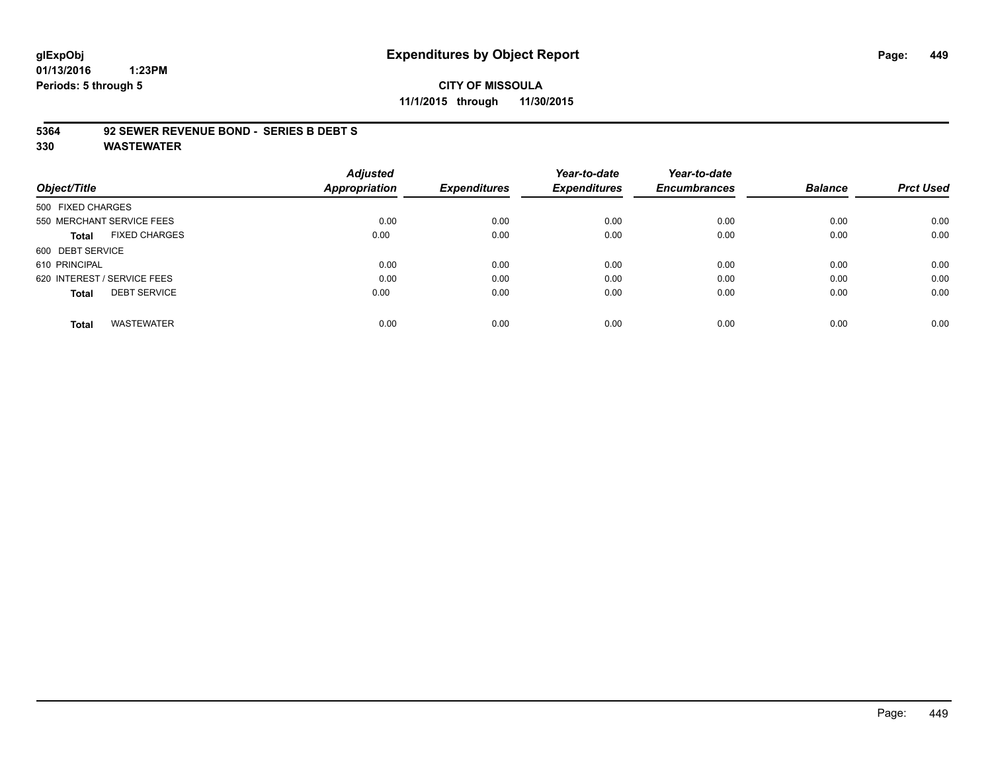# **glExpObj Expenditures by Object Report Page: 449**

**01/13/2016 1:23PM Periods: 5 through 5**

# **CITY OF MISSOULA 11/1/2015 through 11/30/2015**

#### **5364 92 SEWER REVENUE BOND - SERIES B DEBT S**

|                                      | <b>Adjusted</b>      |                     | Year-to-date        | Year-to-date        |                |                  |
|--------------------------------------|----------------------|---------------------|---------------------|---------------------|----------------|------------------|
| Object/Title                         | <b>Appropriation</b> | <b>Expenditures</b> | <b>Expenditures</b> | <b>Encumbrances</b> | <b>Balance</b> | <b>Prct Used</b> |
| 500 FIXED CHARGES                    |                      |                     |                     |                     |                |                  |
| 550 MERCHANT SERVICE FEES            | 0.00                 | 0.00                | 0.00                | 0.00                | 0.00           | 0.00             |
| <b>FIXED CHARGES</b><br><b>Total</b> | 0.00                 | 0.00                | 0.00                | 0.00                | 0.00           | 0.00             |
| 600 DEBT SERVICE                     |                      |                     |                     |                     |                |                  |
| 610 PRINCIPAL                        | 0.00                 | 0.00                | 0.00                | 0.00                | 0.00           | 0.00             |
| 620 INTEREST / SERVICE FEES          | 0.00                 | 0.00                | 0.00                | 0.00                | 0.00           | 0.00             |
| <b>DEBT SERVICE</b><br><b>Total</b>  | 0.00                 | 0.00                | 0.00                | 0.00                | 0.00           | 0.00             |
| <b>WASTEWATER</b><br><b>Total</b>    | 0.00                 | 0.00                | 0.00                | 0.00                | 0.00           | 0.00             |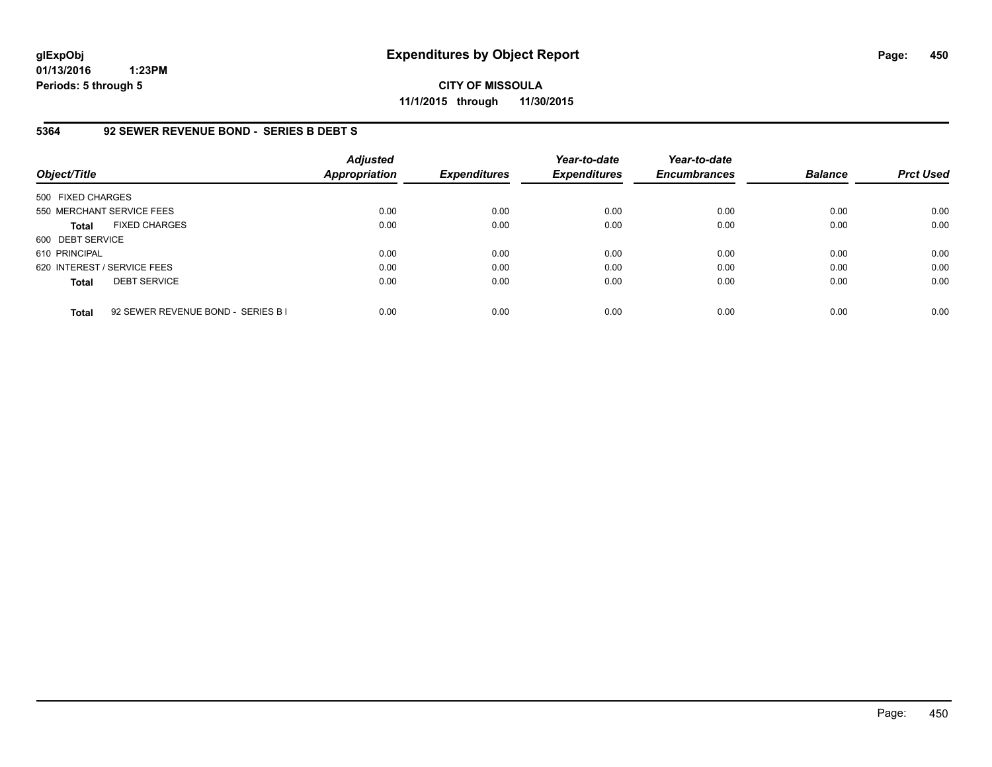**CITY OF MISSOULA 11/1/2015 through 11/30/2015**

## **5364 92 SEWER REVENUE BOND - SERIES B DEBT S**

| Object/Title                |                                    | <b>Adjusted</b><br>Appropriation | <b>Expenditures</b> | Year-to-date<br><b>Expenditures</b> | Year-to-date<br><b>Encumbrances</b> | <b>Balance</b> | <b>Prct Used</b> |
|-----------------------------|------------------------------------|----------------------------------|---------------------|-------------------------------------|-------------------------------------|----------------|------------------|
| 500 FIXED CHARGES           |                                    |                                  |                     |                                     |                                     |                |                  |
| 550 MERCHANT SERVICE FEES   |                                    | 0.00                             | 0.00                | 0.00                                | 0.00                                | 0.00           | 0.00             |
| <b>Total</b>                | <b>FIXED CHARGES</b>               | 0.00                             | 0.00                | 0.00                                | 0.00                                | 0.00           | 0.00             |
| 600 DEBT SERVICE            |                                    |                                  |                     |                                     |                                     |                |                  |
| 610 PRINCIPAL               |                                    | 0.00                             | 0.00                | 0.00                                | 0.00                                | 0.00           | 0.00             |
| 620 INTEREST / SERVICE FEES |                                    | 0.00                             | 0.00                | 0.00                                | 0.00                                | 0.00           | 0.00             |
| <b>Total</b>                | <b>DEBT SERVICE</b>                | 0.00                             | 0.00                | 0.00                                | 0.00                                | 0.00           | 0.00             |
| <b>Total</b>                | 92 SEWER REVENUE BOND - SERIES B I | 0.00                             | 0.00                | 0.00                                | 0.00                                | 0.00           | 0.00             |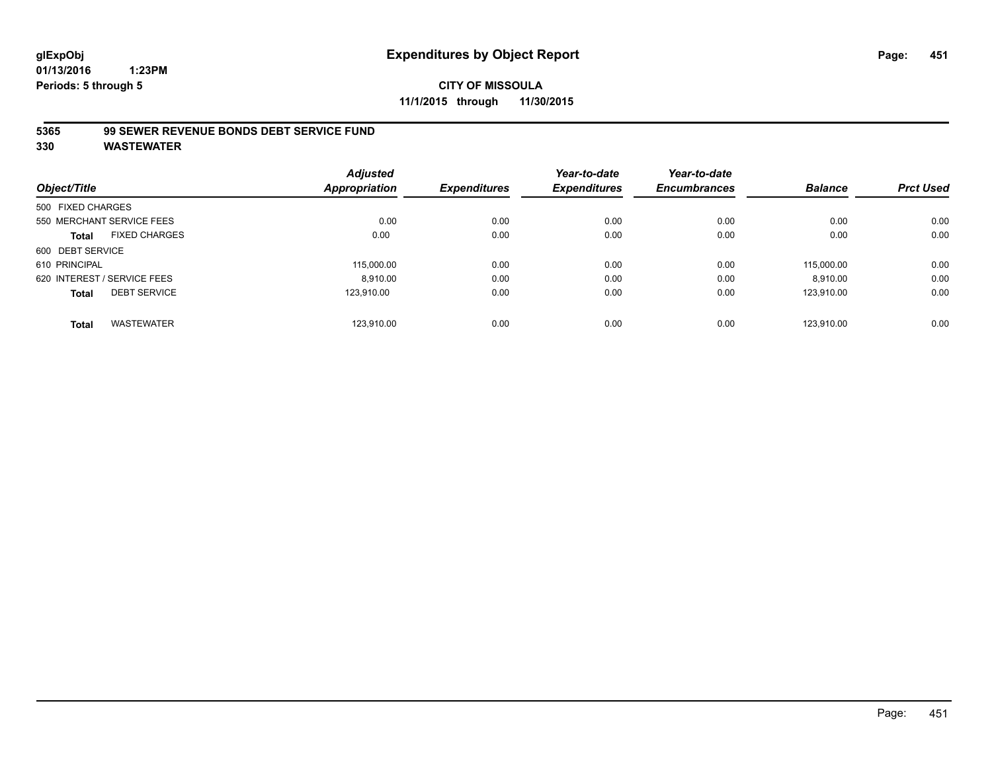# **CITY OF MISSOULA 11/1/2015 through 11/30/2015**

## **5365 99 SEWER REVENUE BONDS DEBT SERVICE FUND**

| Object/Title      |                             | <b>Adjusted</b><br>Appropriation | <b>Expenditures</b> | Year-to-date<br><b>Expenditures</b> | Year-to-date<br><b>Encumbrances</b> | <b>Balance</b> | <b>Prct Used</b> |
|-------------------|-----------------------------|----------------------------------|---------------------|-------------------------------------|-------------------------------------|----------------|------------------|
| 500 FIXED CHARGES |                             |                                  |                     |                                     |                                     |                |                  |
|                   | 550 MERCHANT SERVICE FEES   | 0.00                             | 0.00                | 0.00                                | 0.00                                | 0.00           | 0.00             |
| Total             | <b>FIXED CHARGES</b>        | 0.00                             | 0.00                | 0.00                                | 0.00                                | 0.00           | 0.00             |
| 600 DEBT SERVICE  |                             |                                  |                     |                                     |                                     |                |                  |
| 610 PRINCIPAL     |                             | 115.000.00                       | 0.00                | 0.00                                | 0.00                                | 115.000.00     | 0.00             |
|                   | 620 INTEREST / SERVICE FEES | 8.910.00                         | 0.00                | 0.00                                | 0.00                                | 8.910.00       | 0.00             |
| <b>Total</b>      | <b>DEBT SERVICE</b>         | 123.910.00                       | 0.00                | 0.00                                | 0.00                                | 123,910.00     | 0.00             |
| <b>Total</b>      | <b>WASTEWATER</b>           | 123.910.00                       | 0.00                | 0.00                                | 0.00                                | 123.910.00     | 0.00             |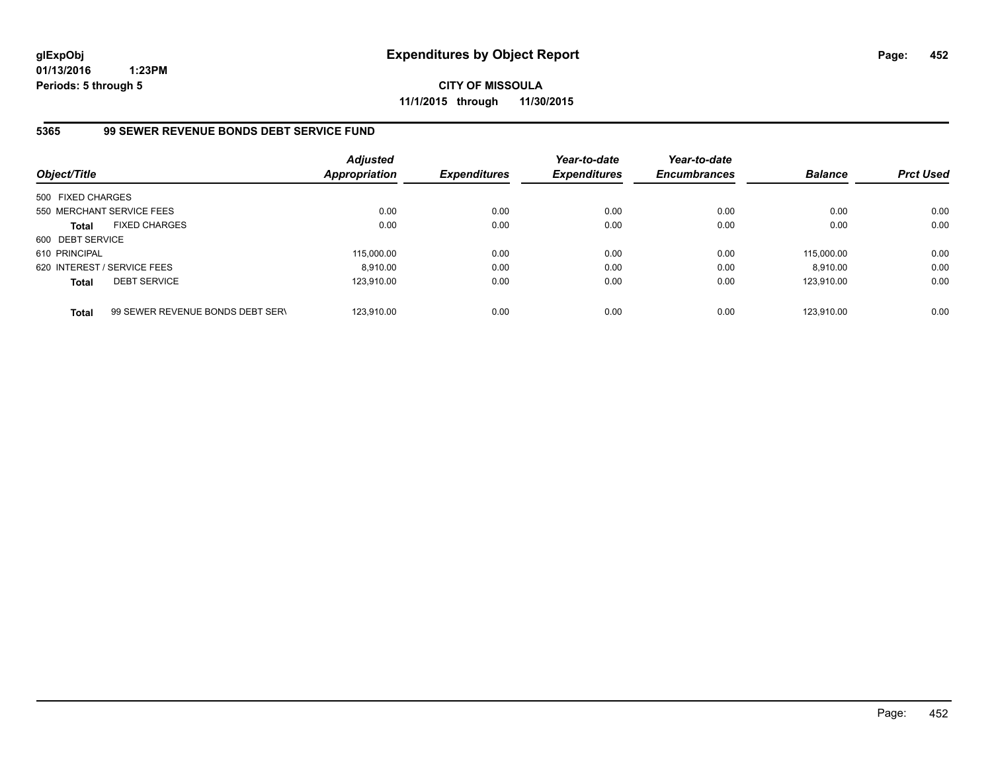**CITY OF MISSOULA 11/1/2015 through 11/30/2015**

# **5365 99 SEWER REVENUE BONDS DEBT SERVICE FUND**

| Object/Title      |                                  | <b>Adjusted</b><br><b>Appropriation</b> | <b>Expenditures</b> | Year-to-date<br><b>Expenditures</b> | Year-to-date<br><b>Encumbrances</b> | <b>Balance</b> | <b>Prct Used</b> |
|-------------------|----------------------------------|-----------------------------------------|---------------------|-------------------------------------|-------------------------------------|----------------|------------------|
| 500 FIXED CHARGES |                                  |                                         |                     |                                     |                                     |                |                  |
|                   | 550 MERCHANT SERVICE FEES        | 0.00                                    | 0.00                | 0.00                                | 0.00                                | 0.00           | 0.00             |
| <b>Total</b>      | <b>FIXED CHARGES</b>             | 0.00                                    | 0.00                | 0.00                                | 0.00                                | 0.00           | 0.00             |
| 600 DEBT SERVICE  |                                  |                                         |                     |                                     |                                     |                |                  |
| 610 PRINCIPAL     |                                  | 115,000.00                              | 0.00                | 0.00                                | 0.00                                | 115,000.00     | 0.00             |
|                   | 620 INTEREST / SERVICE FEES      | 8.910.00                                | 0.00                | 0.00                                | 0.00                                | 8.910.00       | 0.00             |
| <b>Total</b>      | <b>DEBT SERVICE</b>              | 123.910.00                              | 0.00                | 0.00                                | 0.00                                | 123.910.00     | 0.00             |
| <b>Total</b>      | 99 SEWER REVENUE BONDS DEBT SERV | 123.910.00                              | 0.00                | 0.00                                | 0.00                                | 123.910.00     | 0.00             |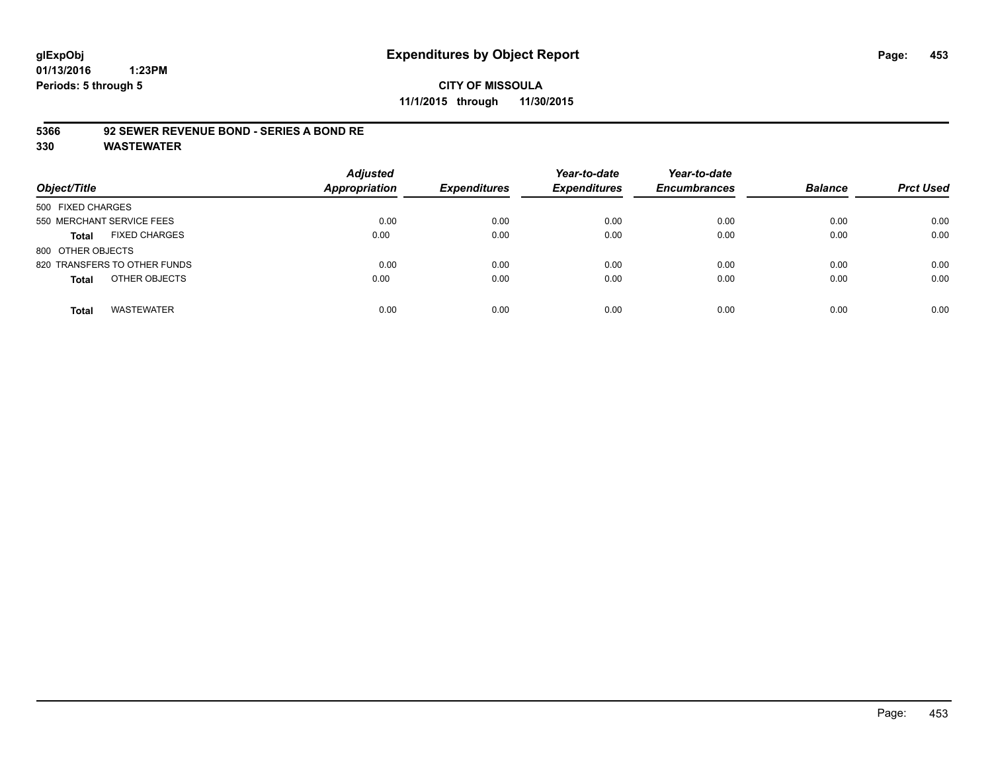# **CITY OF MISSOULA 11/1/2015 through 11/30/2015**

## **5366 92 SEWER REVENUE BOND - SERIES A BOND RE**

| Object/Title                         | <b>Adjusted</b><br>Appropriation | <b>Expenditures</b> | Year-to-date<br><b>Expenditures</b> | Year-to-date<br><b>Encumbrances</b> | <b>Balance</b> | <b>Prct Used</b> |
|--------------------------------------|----------------------------------|---------------------|-------------------------------------|-------------------------------------|----------------|------------------|
| 500 FIXED CHARGES                    |                                  |                     |                                     |                                     |                |                  |
| 550 MERCHANT SERVICE FEES            | 0.00                             | 0.00                | 0.00                                | 0.00                                | 0.00           | 0.00             |
| <b>FIXED CHARGES</b><br><b>Total</b> | 0.00                             | 0.00                | 0.00                                | 0.00                                | 0.00           | 0.00             |
| 800 OTHER OBJECTS                    |                                  |                     |                                     |                                     |                |                  |
| 820 TRANSFERS TO OTHER FUNDS         | 0.00                             | 0.00                | 0.00                                | 0.00                                | 0.00           | 0.00             |
| OTHER OBJECTS<br><b>Total</b>        | 0.00                             | 0.00                | 0.00                                | 0.00                                | 0.00           | 0.00             |
| <b>WASTEWATER</b><br><b>Total</b>    | 0.00                             | 0.00                | 0.00                                | 0.00                                | 0.00           | 0.00             |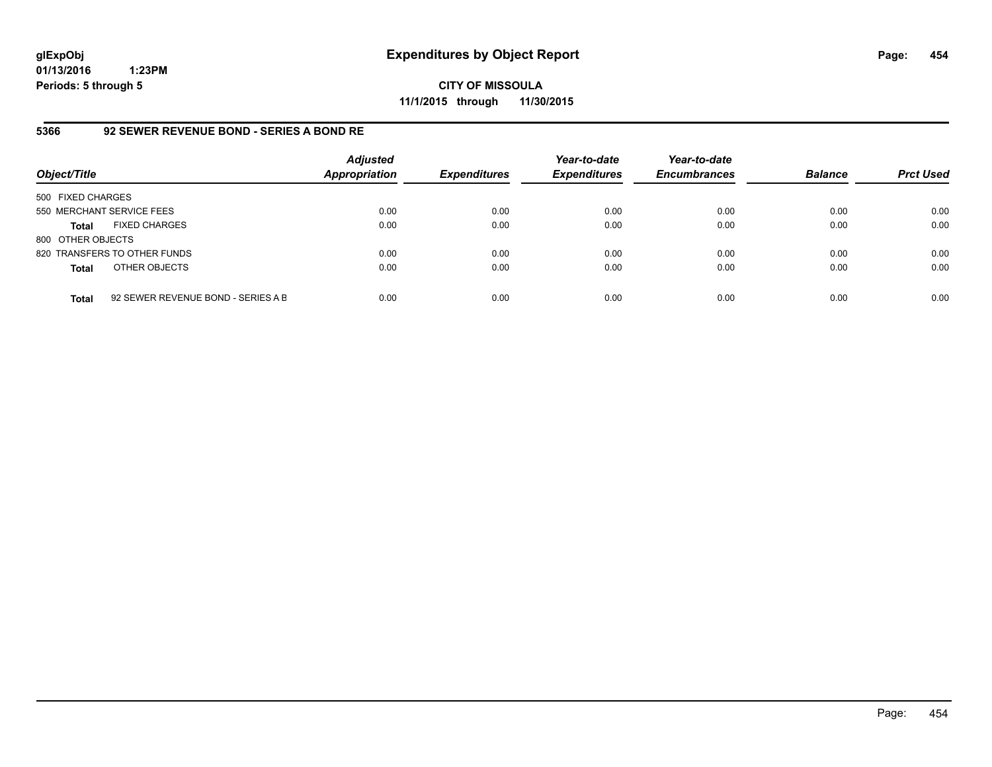**CITY OF MISSOULA 11/1/2015 through 11/30/2015**

## **5366 92 SEWER REVENUE BOND - SERIES A BOND RE**

| Object/Title              |                                    | <b>Adjusted</b><br>Appropriation | <b>Expenditures</b> | Year-to-date<br><b>Expenditures</b> | Year-to-date<br><b>Encumbrances</b> | <b>Balance</b> | <b>Prct Used</b> |
|---------------------------|------------------------------------|----------------------------------|---------------------|-------------------------------------|-------------------------------------|----------------|------------------|
| 500 FIXED CHARGES         |                                    |                                  |                     |                                     |                                     |                |                  |
| 550 MERCHANT SERVICE FEES |                                    | 0.00                             | 0.00                | 0.00                                | 0.00                                | 0.00           | 0.00             |
| <b>Total</b>              | <b>FIXED CHARGES</b>               | 0.00                             | 0.00                | 0.00                                | 0.00                                | 0.00           | 0.00             |
| 800 OTHER OBJECTS         |                                    |                                  |                     |                                     |                                     |                |                  |
|                           | 820 TRANSFERS TO OTHER FUNDS       | 0.00                             | 0.00                | 0.00                                | 0.00                                | 0.00           | 0.00             |
| <b>Total</b>              | OTHER OBJECTS                      | 0.00                             | 0.00                | 0.00                                | 0.00                                | 0.00           | 0.00             |
| <b>Total</b>              | 92 SEWER REVENUE BOND - SERIES A B | 0.00                             | 0.00                | 0.00                                | 0.00                                | 0.00           | 0.00             |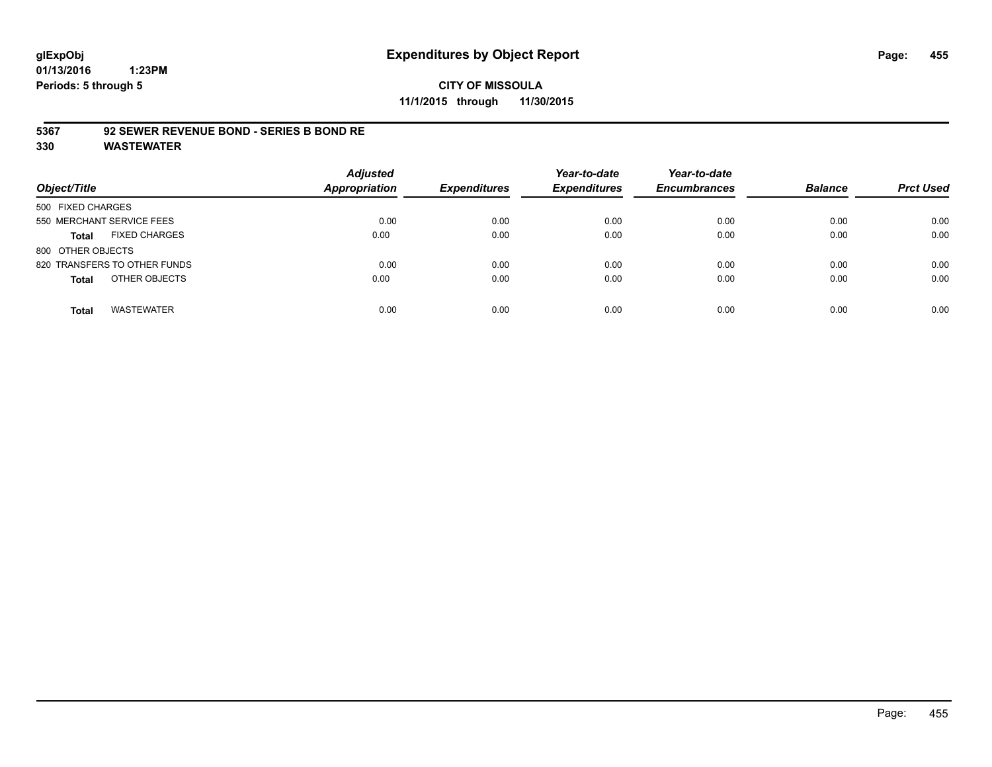# **CITY OF MISSOULA 11/1/2015 through 11/30/2015**

## **5367 92 SEWER REVENUE BOND - SERIES B BOND RE**

| Object/Title                         | <b>Adjusted</b><br><b>Appropriation</b> | <b>Expenditures</b> | Year-to-date<br><b>Expenditures</b> | Year-to-date<br><b>Encumbrances</b> | <b>Balance</b> | <b>Prct Used</b> |
|--------------------------------------|-----------------------------------------|---------------------|-------------------------------------|-------------------------------------|----------------|------------------|
| 500 FIXED CHARGES                    |                                         |                     |                                     |                                     |                |                  |
| 550 MERCHANT SERVICE FEES            | 0.00                                    | 0.00                | 0.00                                | 0.00                                | 0.00           | 0.00             |
| <b>FIXED CHARGES</b><br><b>Total</b> | 0.00                                    | 0.00                | 0.00                                | 0.00                                | 0.00           | 0.00             |
| 800 OTHER OBJECTS                    |                                         |                     |                                     |                                     |                |                  |
| 820 TRANSFERS TO OTHER FUNDS         | 0.00                                    | 0.00                | 0.00                                | 0.00                                | 0.00           | 0.00             |
| OTHER OBJECTS<br><b>Total</b>        | 0.00                                    | 0.00                | 0.00                                | 0.00                                | 0.00           | 0.00             |
| <b>WASTEWATER</b><br><b>Total</b>    | 0.00                                    | 0.00                | 0.00                                | 0.00                                | 0.00           | 0.00             |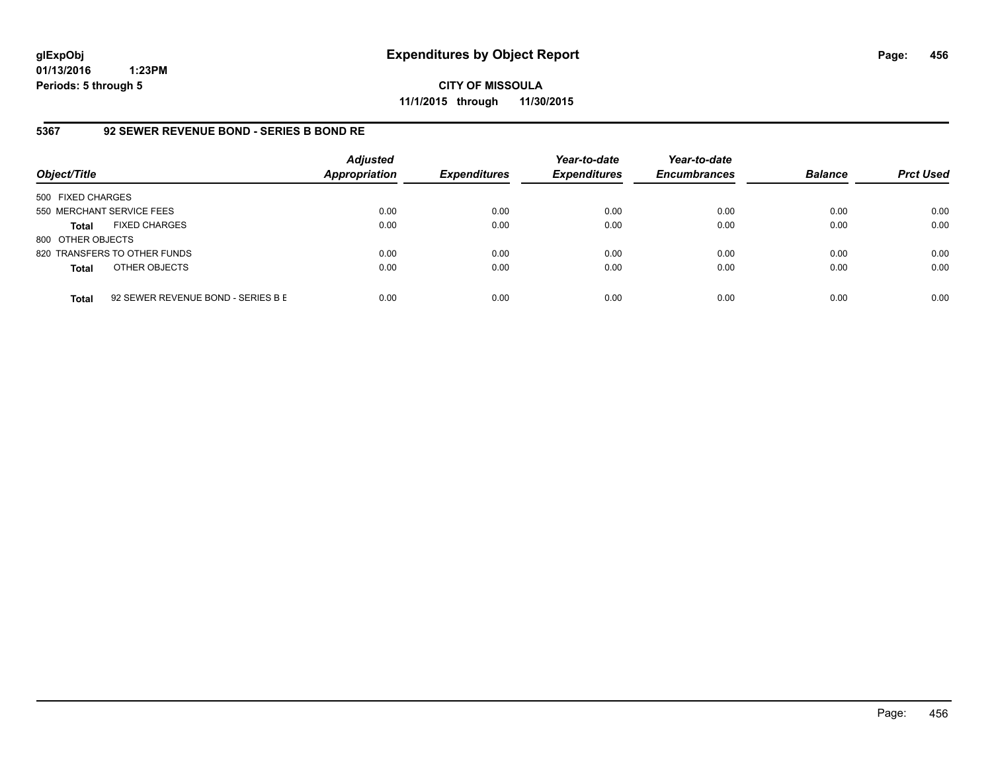**CITY OF MISSOULA 11/1/2015 through 11/30/2015**

## **5367 92 SEWER REVENUE BOND - SERIES B BOND RE**

| Object/Title              |                                    | <b>Adjusted</b><br>Appropriation | <b>Expenditures</b> | Year-to-date<br><b>Expenditures</b> | Year-to-date<br><b>Encumbrances</b> | <b>Balance</b> | <b>Prct Used</b> |
|---------------------------|------------------------------------|----------------------------------|---------------------|-------------------------------------|-------------------------------------|----------------|------------------|
| 500 FIXED CHARGES         |                                    |                                  |                     |                                     |                                     |                |                  |
| 550 MERCHANT SERVICE FEES |                                    | 0.00                             | 0.00                | 0.00                                | 0.00                                | 0.00           | 0.00             |
| Total                     | <b>FIXED CHARGES</b>               | 0.00                             | 0.00                | 0.00                                | 0.00                                | 0.00           | 0.00             |
| 800 OTHER OBJECTS         |                                    |                                  |                     |                                     |                                     |                |                  |
|                           | 820 TRANSFERS TO OTHER FUNDS       | 0.00                             | 0.00                | 0.00                                | 0.00                                | 0.00           | 0.00             |
| <b>Total</b>              | OTHER OBJECTS                      | 0.00                             | 0.00                | 0.00                                | 0.00                                | 0.00           | 0.00             |
| <b>Total</b>              | 92 SEWER REVENUE BOND - SERIES B E | 0.00                             | 0.00                | 0.00                                | 0.00                                | 0.00           | 0.00             |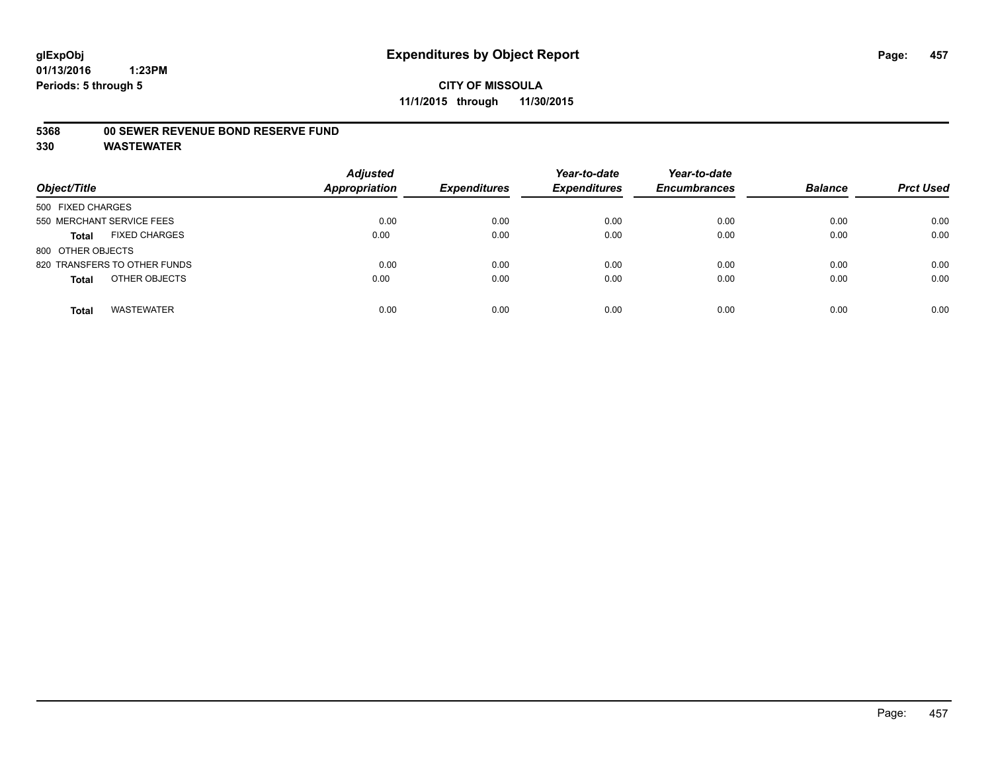## **5368 00 SEWER REVENUE BOND RESERVE FUND**

| Object/Title                         | <b>Adjusted</b><br>Appropriation | <b>Expenditures</b> | Year-to-date<br><b>Expenditures</b> | Year-to-date<br><b>Encumbrances</b> | <b>Balance</b> | <b>Prct Used</b> |
|--------------------------------------|----------------------------------|---------------------|-------------------------------------|-------------------------------------|----------------|------------------|
| 500 FIXED CHARGES                    |                                  |                     |                                     |                                     |                |                  |
| 550 MERCHANT SERVICE FEES            | 0.00                             | 0.00                | 0.00                                | 0.00                                | 0.00           | 0.00             |
| <b>FIXED CHARGES</b><br><b>Total</b> | 0.00                             | 0.00                | 0.00                                | 0.00                                | 0.00           | 0.00             |
| 800 OTHER OBJECTS                    |                                  |                     |                                     |                                     |                |                  |
| 820 TRANSFERS TO OTHER FUNDS         | 0.00                             | 0.00                | 0.00                                | 0.00                                | 0.00           | 0.00             |
| OTHER OBJECTS<br><b>Total</b>        | 0.00                             | 0.00                | 0.00                                | 0.00                                | 0.00           | 0.00             |
| <b>WASTEWATER</b><br><b>Total</b>    | 0.00                             | 0.00                | 0.00                                | 0.00                                | 0.00           | 0.00             |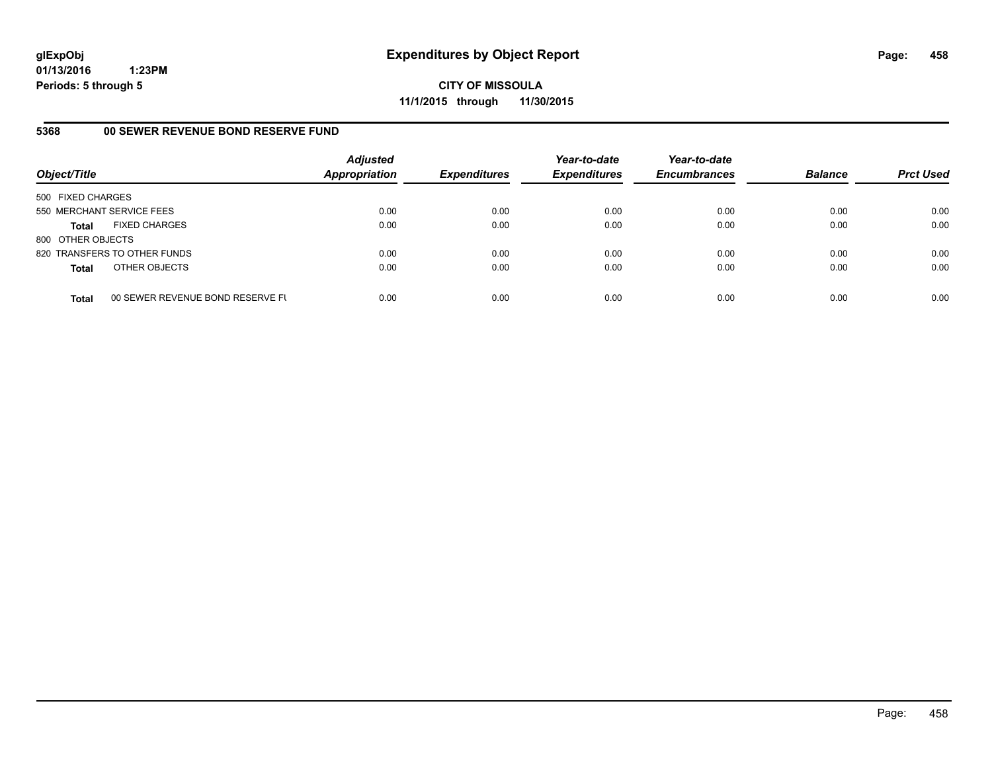**CITY OF MISSOULA 11/1/2015 through 11/30/2015**

# **5368 00 SEWER REVENUE BOND RESERVE FUND**

| Object/Title              |                                  | <b>Adjusted</b><br>Appropriation | <b>Expenditures</b> | Year-to-date<br><b>Expenditures</b> | Year-to-date<br><b>Encumbrances</b> | <b>Balance</b> | <b>Prct Used</b> |
|---------------------------|----------------------------------|----------------------------------|---------------------|-------------------------------------|-------------------------------------|----------------|------------------|
| 500 FIXED CHARGES         |                                  |                                  |                     |                                     |                                     |                |                  |
| 550 MERCHANT SERVICE FEES |                                  | 0.00                             | 0.00                | 0.00                                | 0.00                                | 0.00           | 0.00             |
| <b>Total</b>              | <b>FIXED CHARGES</b>             | 0.00                             | 0.00                | 0.00                                | 0.00                                | 0.00           | 0.00             |
| 800 OTHER OBJECTS         |                                  |                                  |                     |                                     |                                     |                |                  |
|                           | 820 TRANSFERS TO OTHER FUNDS     | 0.00                             | 0.00                | 0.00                                | 0.00                                | 0.00           | 0.00             |
| <b>Total</b>              | OTHER OBJECTS                    | 0.00                             | 0.00                | 0.00                                | 0.00                                | 0.00           | 0.00             |
| <b>Total</b>              | 00 SEWER REVENUE BOND RESERVE FL | 0.00                             | 0.00                | 0.00                                | 0.00                                | 0.00           | 0.00             |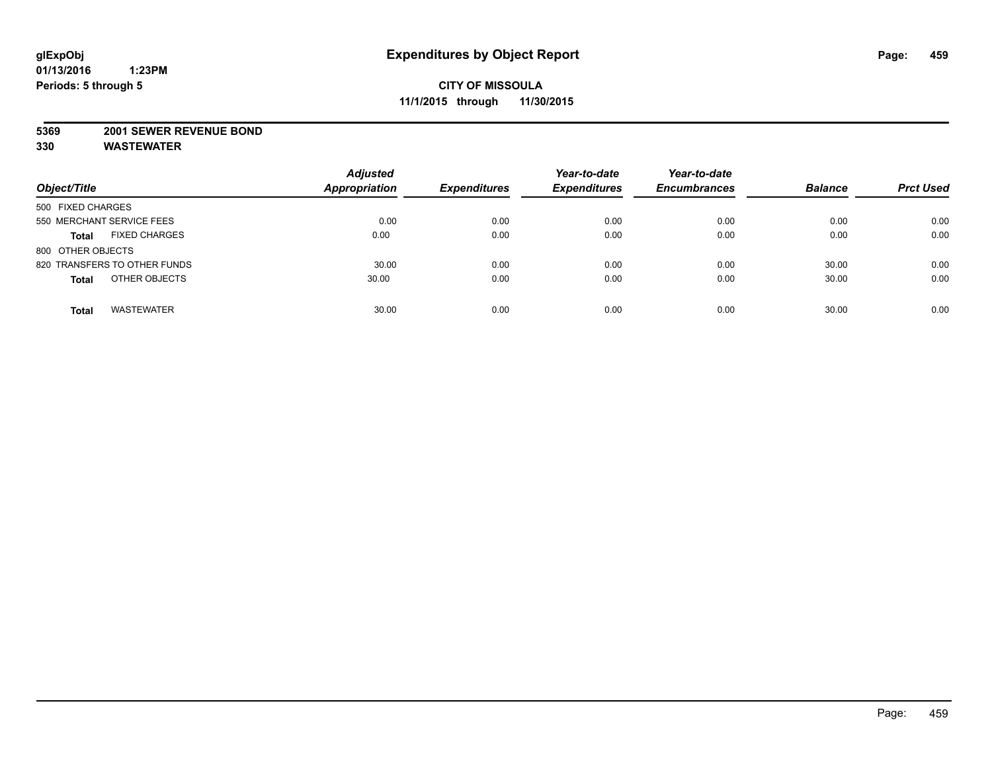#### **5369 2001 SEWER REVENUE BOND**

| Object/Title                         | <b>Adjusted</b><br><b>Appropriation</b> | <b>Expenditures</b> | Year-to-date<br><b>Expenditures</b> | Year-to-date<br><b>Encumbrances</b> | <b>Balance</b> | <b>Prct Used</b> |
|--------------------------------------|-----------------------------------------|---------------------|-------------------------------------|-------------------------------------|----------------|------------------|
| 500 FIXED CHARGES                    |                                         |                     |                                     |                                     |                |                  |
| 550 MERCHANT SERVICE FEES            | 0.00                                    | 0.00                | 0.00                                | 0.00                                | 0.00           | 0.00             |
| <b>FIXED CHARGES</b><br><b>Total</b> | 0.00                                    | 0.00                | 0.00                                | 0.00                                | 0.00           | 0.00             |
| 800 OTHER OBJECTS                    |                                         |                     |                                     |                                     |                |                  |
| 820 TRANSFERS TO OTHER FUNDS         | 30.00                                   | 0.00                | 0.00                                | 0.00                                | 30.00          | 0.00             |
| OTHER OBJECTS<br><b>Total</b>        | 30.00                                   | 0.00                | 0.00                                | 0.00                                | 30.00          | 0.00             |
| <b>WASTEWATER</b><br><b>Total</b>    | 30.00                                   | 0.00                | 0.00                                | 0.00                                | 30.00          | 0.00             |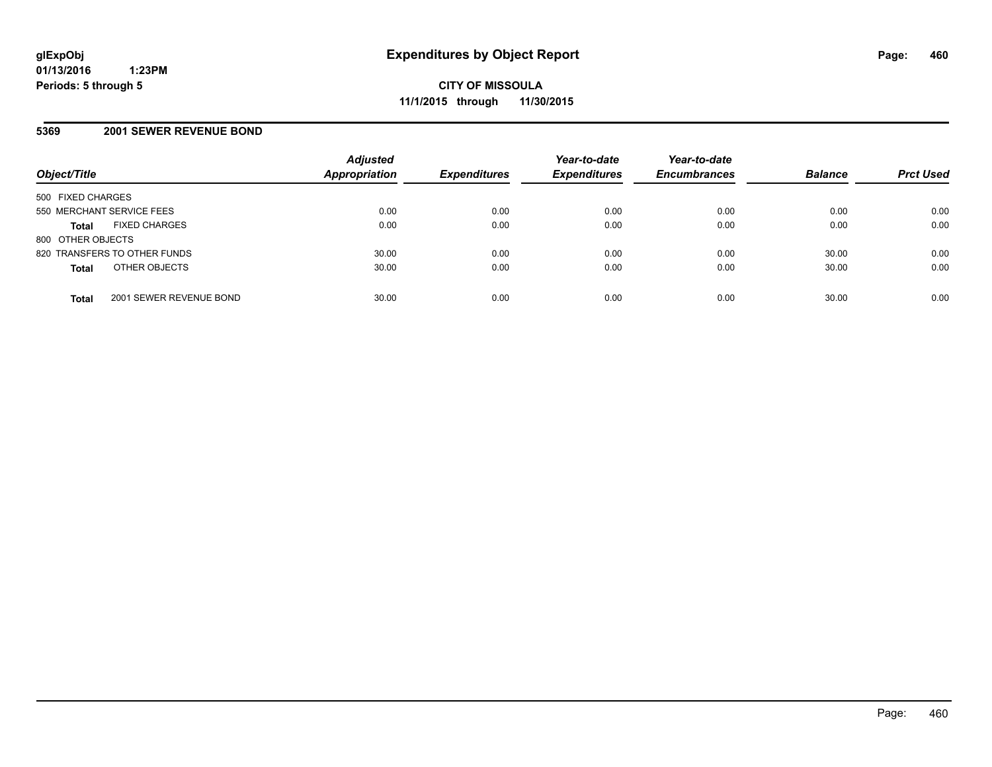#### **5369 2001 SEWER REVENUE BOND**

| Object/Title              |                              | <b>Adjusted</b><br><b>Appropriation</b> | <b>Expenditures</b> | Year-to-date<br><b>Expenditures</b> | Year-to-date<br><b>Encumbrances</b> | <b>Balance</b> | <b>Prct Used</b> |
|---------------------------|------------------------------|-----------------------------------------|---------------------|-------------------------------------|-------------------------------------|----------------|------------------|
| 500 FIXED CHARGES         |                              |                                         |                     |                                     |                                     |                |                  |
| 550 MERCHANT SERVICE FEES |                              | 0.00                                    | 0.00                | 0.00                                | 0.00                                | 0.00           | 0.00             |
| <b>Total</b>              | <b>FIXED CHARGES</b>         | 0.00                                    | 0.00                | 0.00                                | 0.00                                | 0.00           | 0.00             |
| 800 OTHER OBJECTS         |                              |                                         |                     |                                     |                                     |                |                  |
|                           | 820 TRANSFERS TO OTHER FUNDS | 30.00                                   | 0.00                | 0.00                                | 0.00                                | 30.00          | 0.00             |
| <b>Total</b>              | OTHER OBJECTS                | 30.00                                   | 0.00                | 0.00                                | 0.00                                | 30.00          | 0.00             |
| <b>Total</b>              | 2001 SEWER REVENUE BOND      | 30.00                                   | 0.00                | 0.00                                | 0.00                                | 30.00          | 0.00             |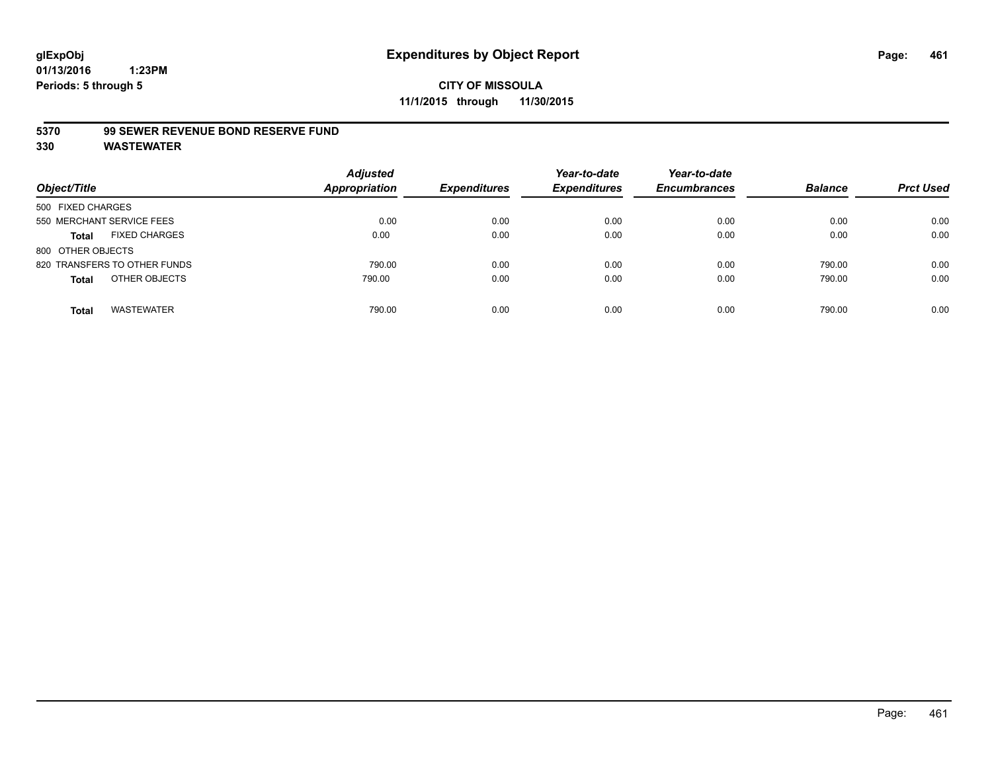#### **5370 99 SEWER REVENUE BOND RESERVE FUND**

| Object/Title                         | <b>Adjusted</b><br><b>Appropriation</b> | <b>Expenditures</b> | Year-to-date<br><b>Expenditures</b> | Year-to-date<br><b>Encumbrances</b> | <b>Balance</b> | <b>Prct Used</b> |
|--------------------------------------|-----------------------------------------|---------------------|-------------------------------------|-------------------------------------|----------------|------------------|
| 500 FIXED CHARGES                    |                                         |                     |                                     |                                     |                |                  |
| 550 MERCHANT SERVICE FEES            | 0.00                                    | 0.00                | 0.00                                | 0.00                                | 0.00           | 0.00             |
| <b>FIXED CHARGES</b><br><b>Total</b> | 0.00                                    | 0.00                | 0.00                                | 0.00                                | 0.00           | 0.00             |
| 800 OTHER OBJECTS                    |                                         |                     |                                     |                                     |                |                  |
| 820 TRANSFERS TO OTHER FUNDS         | 790.00                                  | 0.00                | 0.00                                | 0.00                                | 790.00         | 0.00             |
| OTHER OBJECTS<br><b>Total</b>        | 790.00                                  | 0.00                | 0.00                                | 0.00                                | 790.00         | 0.00             |
| <b>WASTEWATER</b><br>Total           | 790.00                                  | 0.00                | 0.00                                | 0.00                                | 790.00         | 0.00             |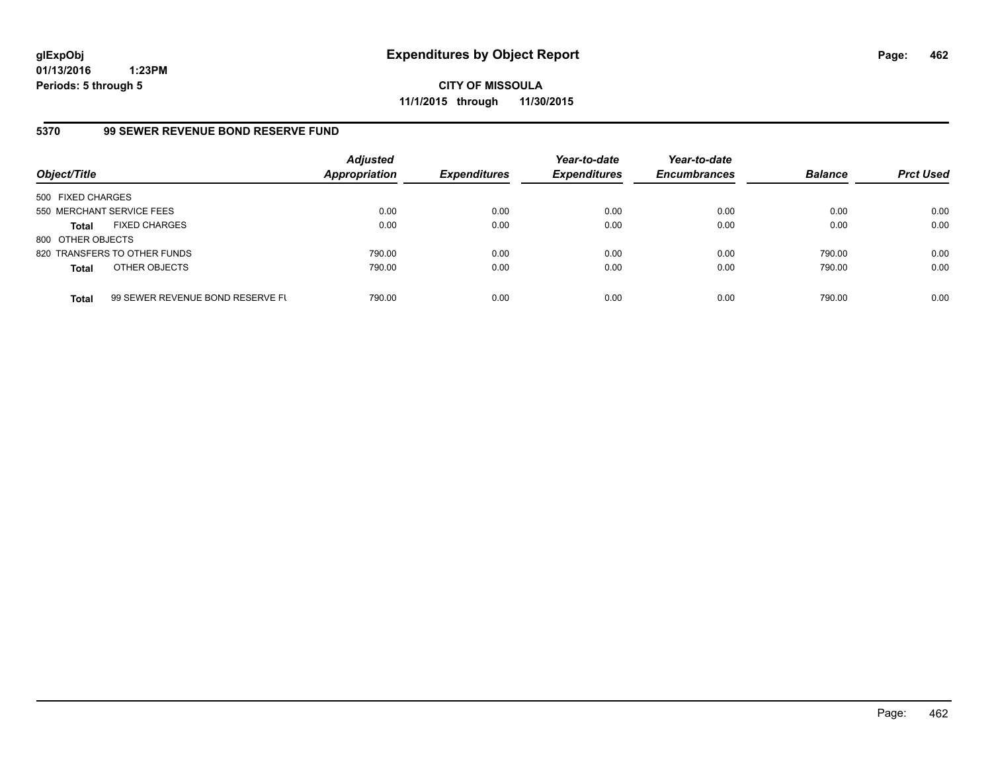**CITY OF MISSOULA 11/1/2015 through 11/30/2015**

# **5370 99 SEWER REVENUE BOND RESERVE FUND**

| Object/Title              |                                  | <b>Adjusted</b><br>Appropriation | <b>Expenditures</b> | Year-to-date<br><b>Expenditures</b> | Year-to-date<br><b>Encumbrances</b> | <b>Balance</b> | <b>Prct Used</b> |
|---------------------------|----------------------------------|----------------------------------|---------------------|-------------------------------------|-------------------------------------|----------------|------------------|
| 500 FIXED CHARGES         |                                  |                                  |                     |                                     |                                     |                |                  |
| 550 MERCHANT SERVICE FEES |                                  | 0.00                             | 0.00                | 0.00                                | 0.00                                | 0.00           | 0.00             |
| <b>Total</b>              | <b>FIXED CHARGES</b>             | 0.00                             | 0.00                | 0.00                                | 0.00                                | 0.00           | 0.00             |
| 800 OTHER OBJECTS         |                                  |                                  |                     |                                     |                                     |                |                  |
|                           | 820 TRANSFERS TO OTHER FUNDS     | 790.00                           | 0.00                | 0.00                                | 0.00                                | 790.00         | 0.00             |
| <b>Total</b>              | OTHER OBJECTS                    | 790.00                           | 0.00                | 0.00                                | 0.00                                | 790.00         | 0.00             |
| <b>Total</b>              | 99 SEWER REVENUE BOND RESERVE FL | 790.00                           | 0.00                | 0.00                                | 0.00                                | 790.00         | 0.00             |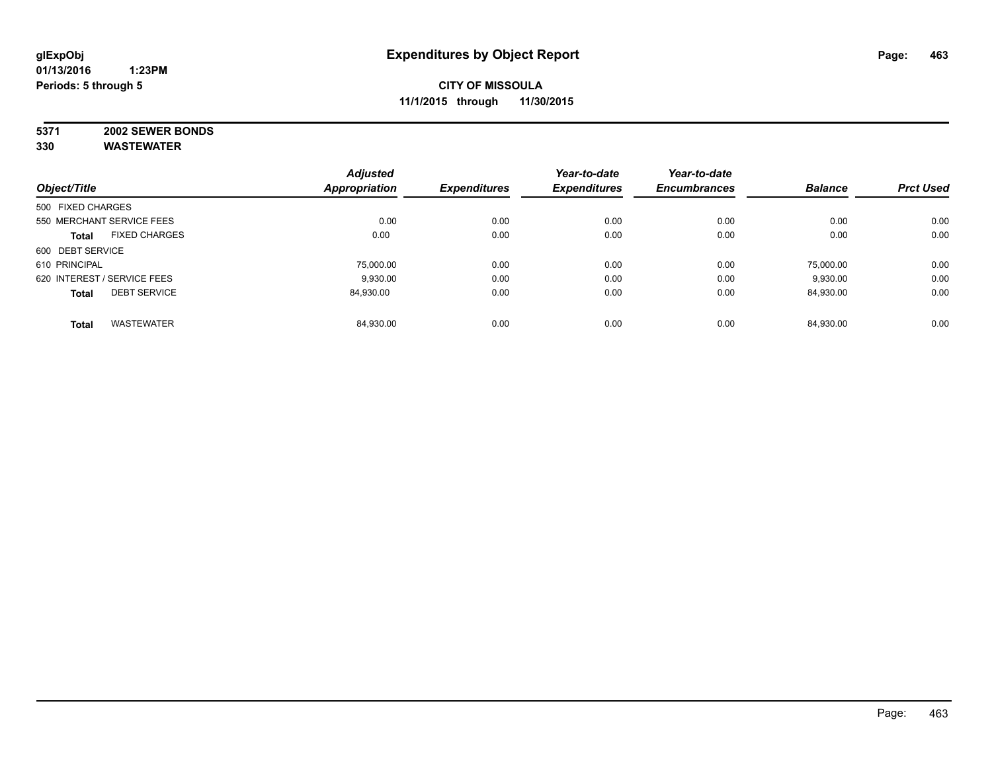# **5371 2002 SEWER BONDS**

|                   |                             | <b>Adjusted</b>      |                     | Year-to-date        | Year-to-date        |                |                  |
|-------------------|-----------------------------|----------------------|---------------------|---------------------|---------------------|----------------|------------------|
| Object/Title      |                             | <b>Appropriation</b> | <b>Expenditures</b> | <b>Expenditures</b> | <b>Encumbrances</b> | <b>Balance</b> | <b>Prct Used</b> |
| 500 FIXED CHARGES |                             |                      |                     |                     |                     |                |                  |
|                   | 550 MERCHANT SERVICE FEES   | 0.00                 | 0.00                | 0.00                | 0.00                | 0.00           | 0.00             |
| <b>Total</b>      | <b>FIXED CHARGES</b>        | 0.00                 | 0.00                | 0.00                | 0.00                | 0.00           | 0.00             |
| 600 DEBT SERVICE  |                             |                      |                     |                     |                     |                |                  |
| 610 PRINCIPAL     |                             | 75.000.00            | 0.00                | 0.00                | 0.00                | 75.000.00      | 0.00             |
|                   | 620 INTEREST / SERVICE FEES | 9.930.00             | 0.00                | 0.00                | 0.00                | 9,930.00       | 0.00             |
| <b>Total</b>      | <b>DEBT SERVICE</b>         | 84.930.00            | 0.00                | 0.00                | 0.00                | 84,930.00      | 0.00             |
| <b>Total</b>      | <b>WASTEWATER</b>           | 84,930.00            | 0.00                | 0.00                | 0.00                | 84.930.00      | 0.00             |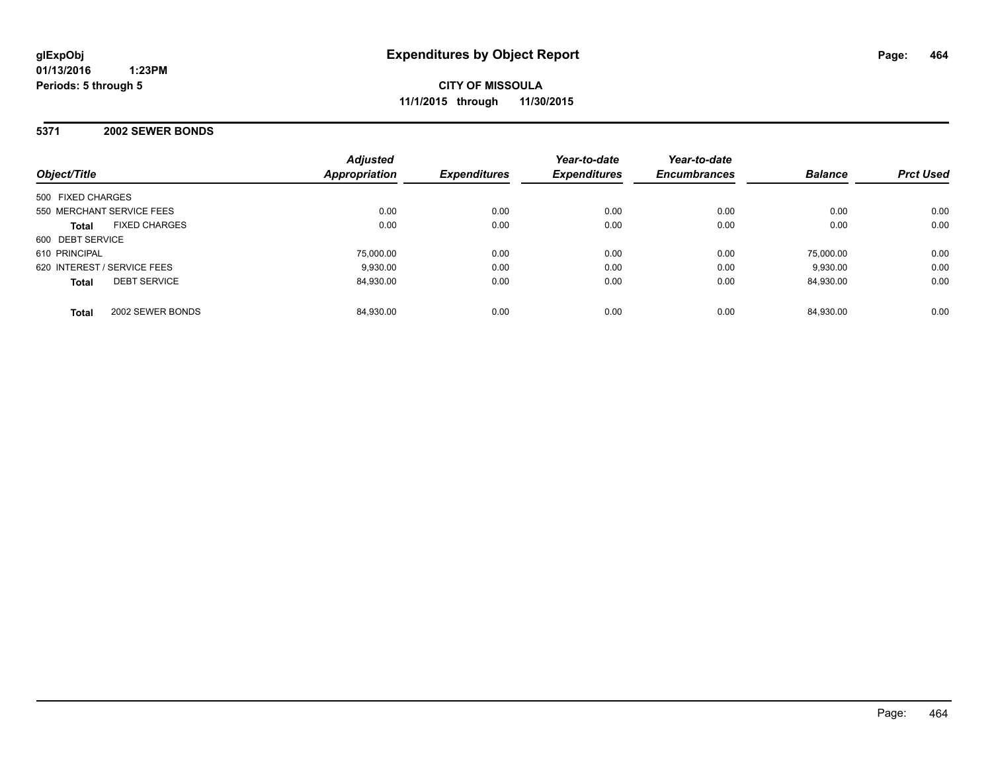**CITY OF MISSOULA 11/1/2015 through 11/30/2015**

## **5371 2002 SEWER BONDS**

| Object/Title                         | <b>Adjusted</b><br><b>Appropriation</b> | <b>Expenditures</b> | Year-to-date<br><b>Expenditures</b> | Year-to-date<br><b>Encumbrances</b> | <b>Balance</b> | <b>Prct Used</b> |
|--------------------------------------|-----------------------------------------|---------------------|-------------------------------------|-------------------------------------|----------------|------------------|
| 500 FIXED CHARGES                    |                                         |                     |                                     |                                     |                |                  |
| 550 MERCHANT SERVICE FEES            | 0.00                                    | 0.00                | 0.00                                | 0.00                                | 0.00           | 0.00             |
| <b>FIXED CHARGES</b><br><b>Total</b> | 0.00                                    | 0.00                | 0.00                                | 0.00                                | 0.00           | 0.00             |
| 600 DEBT SERVICE                     |                                         |                     |                                     |                                     |                |                  |
| 610 PRINCIPAL                        | 75,000.00                               | 0.00                | 0.00                                | 0.00                                | 75.000.00      | 0.00             |
| 620 INTEREST / SERVICE FEES          | 9.930.00                                | 0.00                | 0.00                                | 0.00                                | 9.930.00       | 0.00             |
| <b>DEBT SERVICE</b><br><b>Total</b>  | 84.930.00                               | 0.00                | 0.00                                | 0.00                                | 84.930.00      | 0.00             |
| 2002 SEWER BONDS<br><b>Total</b>     | 84.930.00                               | 0.00                | 0.00                                | 0.00                                | 84.930.00      | 0.00             |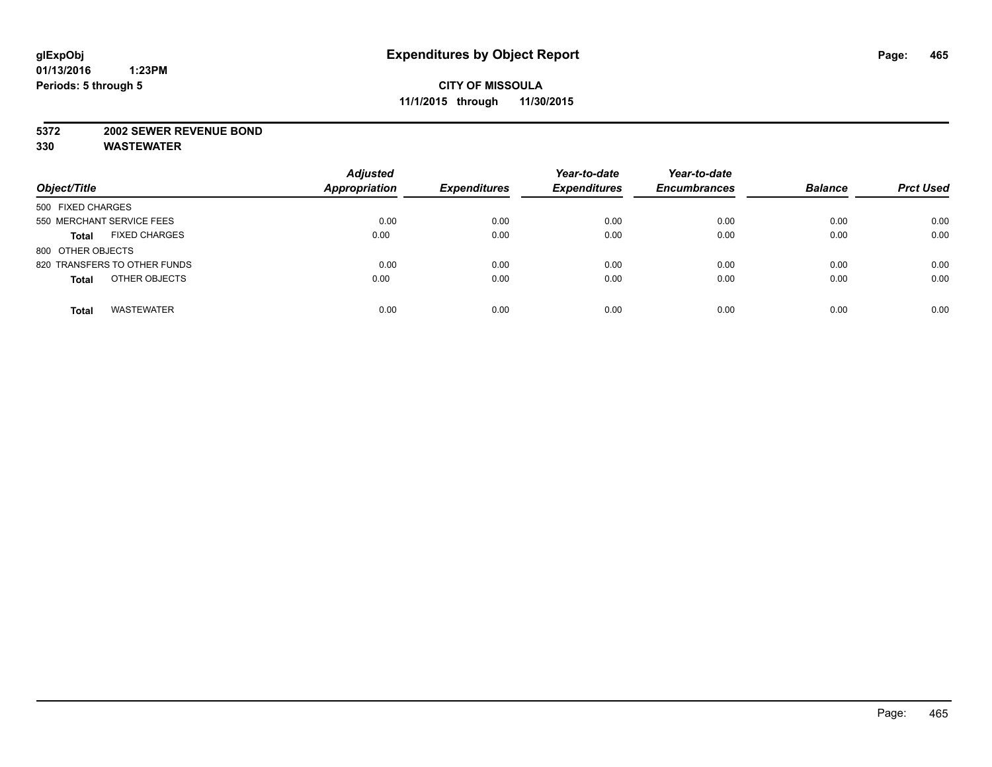#### **5372 2002 SEWER REVENUE BOND**

| Object/Title                         | <b>Adjusted</b><br><b>Appropriation</b> | <b>Expenditures</b> | Year-to-date<br><b>Expenditures</b> | Year-to-date<br><b>Encumbrances</b> | <b>Balance</b> | <b>Prct Used</b> |
|--------------------------------------|-----------------------------------------|---------------------|-------------------------------------|-------------------------------------|----------------|------------------|
| 500 FIXED CHARGES                    |                                         |                     |                                     |                                     |                |                  |
| 550 MERCHANT SERVICE FEES            | 0.00                                    | 0.00                | 0.00                                | 0.00                                | 0.00           | 0.00             |
| <b>FIXED CHARGES</b><br><b>Total</b> | 0.00                                    | 0.00                | 0.00                                | 0.00                                | 0.00           | 0.00             |
| 800 OTHER OBJECTS                    |                                         |                     |                                     |                                     |                |                  |
| 820 TRANSFERS TO OTHER FUNDS         | 0.00                                    | 0.00                | 0.00                                | 0.00                                | 0.00           | 0.00             |
| OTHER OBJECTS<br><b>Total</b>        | 0.00                                    | 0.00                | 0.00                                | 0.00                                | 0.00           | 0.00             |
| <b>WASTEWATER</b><br><b>Total</b>    | 0.00                                    | 0.00                | 0.00                                | 0.00                                | 0.00           | 0.00             |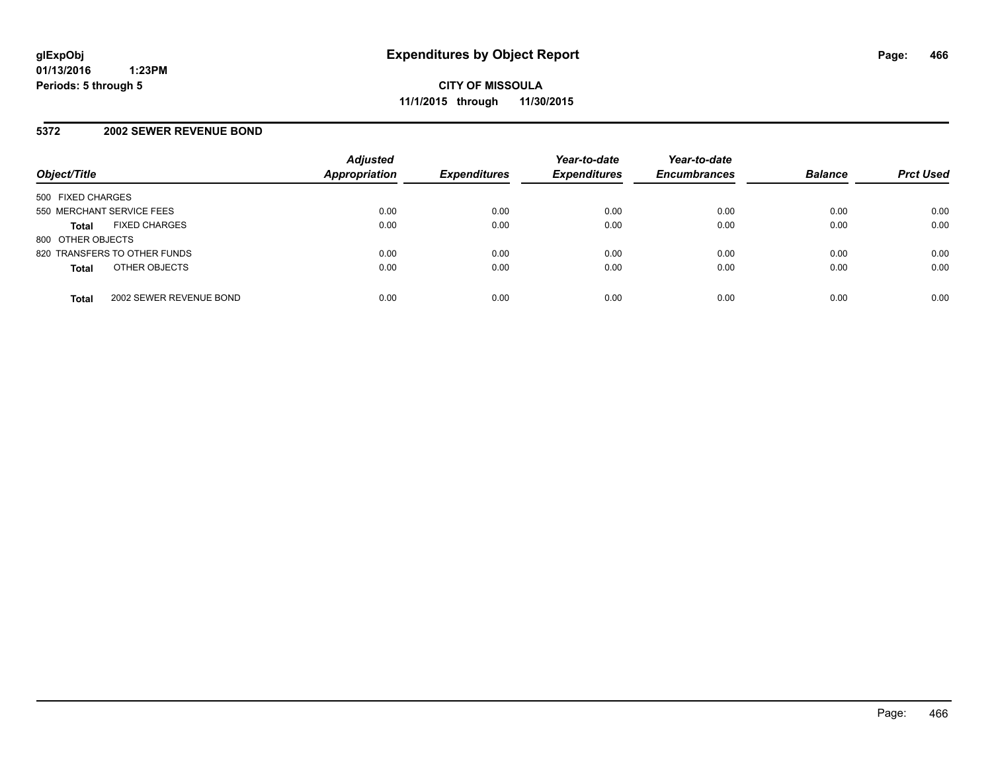## **5372 2002 SEWER REVENUE BOND**

| Object/Title              |                              | <b>Adjusted</b><br><b>Appropriation</b> | <b>Expenditures</b> | Year-to-date<br><b>Expenditures</b> | Year-to-date<br><b>Encumbrances</b> | <b>Balance</b> | <b>Prct Used</b> |
|---------------------------|------------------------------|-----------------------------------------|---------------------|-------------------------------------|-------------------------------------|----------------|------------------|
| 500 FIXED CHARGES         |                              |                                         |                     |                                     |                                     |                |                  |
| 550 MERCHANT SERVICE FEES |                              | 0.00                                    | 0.00                | 0.00                                | 0.00                                | 0.00           | 0.00             |
| <b>Total</b>              | <b>FIXED CHARGES</b>         | 0.00                                    | 0.00                | 0.00                                | 0.00                                | 0.00           | 0.00             |
| 800 OTHER OBJECTS         |                              |                                         |                     |                                     |                                     |                |                  |
|                           | 820 TRANSFERS TO OTHER FUNDS | 0.00                                    | 0.00                | 0.00                                | 0.00                                | 0.00           | 0.00             |
| <b>Total</b>              | OTHER OBJECTS                | 0.00                                    | 0.00                | 0.00                                | 0.00                                | 0.00           | 0.00             |
| <b>Total</b>              | 2002 SEWER REVENUE BOND      | 0.00                                    | 0.00                | 0.00                                | 0.00                                | 0.00           | 0.00             |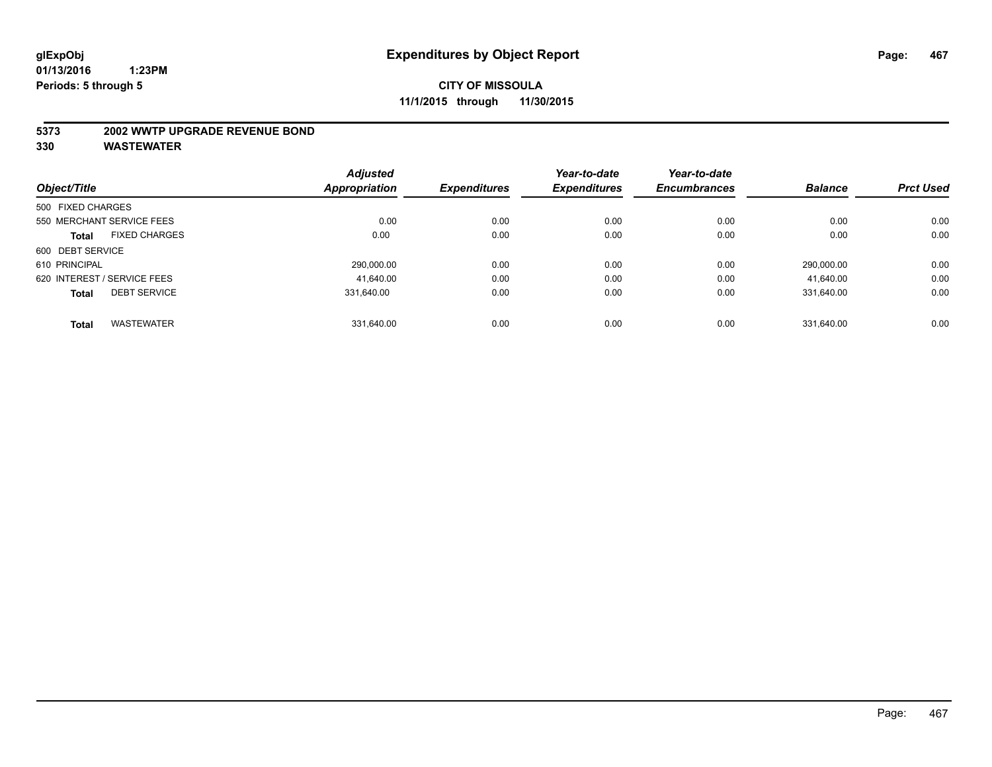#### **5373 2002 WWTP UPGRADE REVENUE BOND**

|                   |                             | <b>Adjusted</b> |                     | Year-to-date        | Year-to-date        |                |                  |
|-------------------|-----------------------------|-----------------|---------------------|---------------------|---------------------|----------------|------------------|
| Object/Title      |                             | Appropriation   | <b>Expenditures</b> | <b>Expenditures</b> | <b>Encumbrances</b> | <b>Balance</b> | <b>Prct Used</b> |
| 500 FIXED CHARGES |                             |                 |                     |                     |                     |                |                  |
|                   | 550 MERCHANT SERVICE FEES   | 0.00            | 0.00                | 0.00                | 0.00                | 0.00           | 0.00             |
| <b>Total</b>      | <b>FIXED CHARGES</b>        | 0.00            | 0.00                | 0.00                | 0.00                | 0.00           | 0.00             |
| 600 DEBT SERVICE  |                             |                 |                     |                     |                     |                |                  |
| 610 PRINCIPAL     |                             | 290.000.00      | 0.00                | 0.00                | 0.00                | 290.000.00     | 0.00             |
|                   | 620 INTEREST / SERVICE FEES | 41.640.00       | 0.00                | 0.00                | 0.00                | 41.640.00      | 0.00             |
| <b>Total</b>      | <b>DEBT SERVICE</b>         | 331.640.00      | 0.00                | 0.00                | 0.00                | 331.640.00     | 0.00             |
|                   |                             |                 |                     |                     |                     |                |                  |
| <b>Total</b>      | <b>WASTEWATER</b>           | 331.640.00      | 0.00                | 0.00                | 0.00                | 331.640.00     | 0.00             |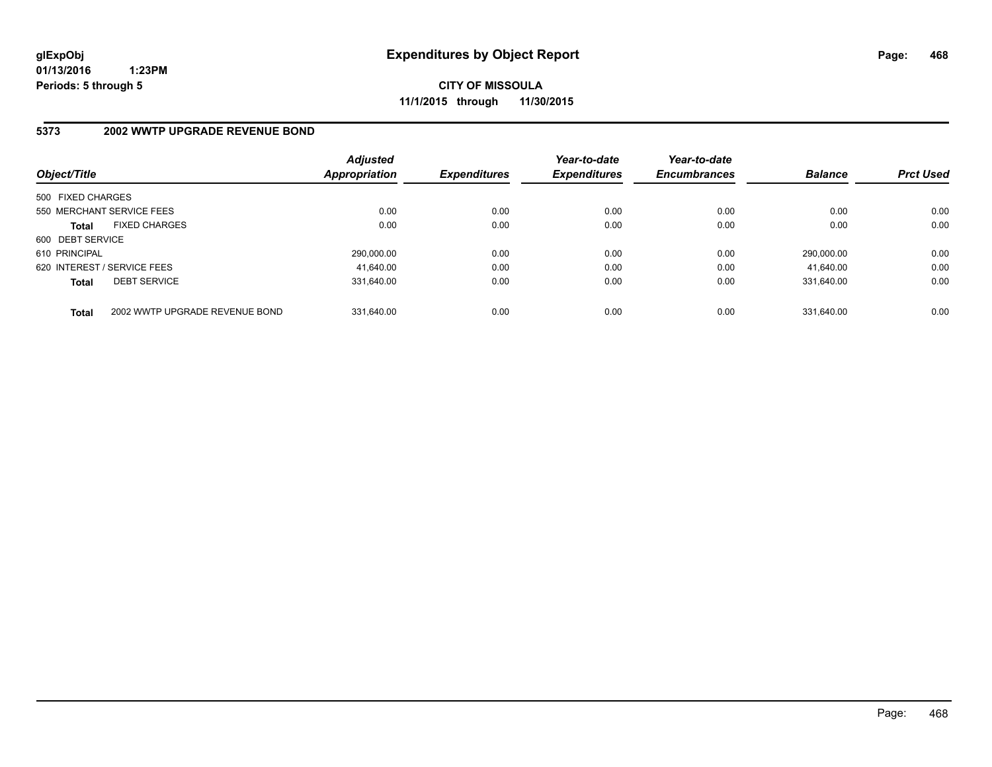**CITY OF MISSOULA 11/1/2015 through 11/30/2015**

# **5373 2002 WWTP UPGRADE REVENUE BOND**

| Object/Title      |                                | <b>Adjusted</b><br><b>Appropriation</b> | <b>Expenditures</b> | Year-to-date<br><b>Expenditures</b> | Year-to-date<br><b>Encumbrances</b> | <b>Balance</b> | <b>Prct Used</b> |
|-------------------|--------------------------------|-----------------------------------------|---------------------|-------------------------------------|-------------------------------------|----------------|------------------|
| 500 FIXED CHARGES |                                |                                         |                     |                                     |                                     |                |                  |
|                   | 550 MERCHANT SERVICE FEES      | 0.00                                    | 0.00                | 0.00                                | 0.00                                | 0.00           | 0.00             |
| <b>Total</b>      | <b>FIXED CHARGES</b>           | 0.00                                    | 0.00                | 0.00                                | 0.00                                | 0.00           | 0.00             |
| 600 DEBT SERVICE  |                                |                                         |                     |                                     |                                     |                |                  |
| 610 PRINCIPAL     |                                | 290,000.00                              | 0.00                | 0.00                                | 0.00                                | 290.000.00     | 0.00             |
|                   | 620 INTEREST / SERVICE FEES    | 41.640.00                               | 0.00                | 0.00                                | 0.00                                | 41.640.00      | 0.00             |
| <b>Total</b>      | <b>DEBT SERVICE</b>            | 331.640.00                              | 0.00                | 0.00                                | 0.00                                | 331.640.00     | 0.00             |
| <b>Total</b>      | 2002 WWTP UPGRADE REVENUE BOND | 331.640.00                              | 0.00                | 0.00                                | 0.00                                | 331.640.00     | 0.00             |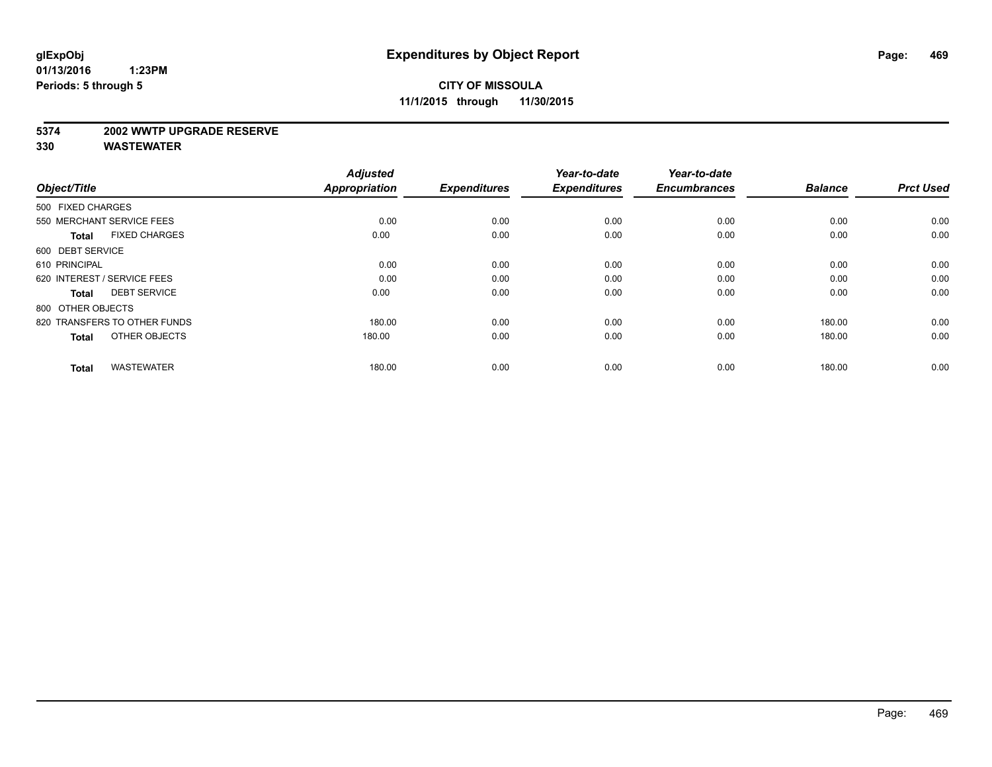#### **5374 2002 WWTP UPGRADE RESERVE**

| Object/Title                         | <b>Adjusted</b><br><b>Appropriation</b> | <b>Expenditures</b> | Year-to-date<br><b>Expenditures</b> | Year-to-date<br><b>Encumbrances</b> | <b>Balance</b> | <b>Prct Used</b> |
|--------------------------------------|-----------------------------------------|---------------------|-------------------------------------|-------------------------------------|----------------|------------------|
|                                      |                                         |                     |                                     |                                     |                |                  |
| 500 FIXED CHARGES                    |                                         |                     |                                     |                                     |                |                  |
| 550 MERCHANT SERVICE FEES            | 0.00                                    | 0.00                | 0.00                                | 0.00                                | 0.00           | 0.00             |
| <b>FIXED CHARGES</b><br><b>Total</b> | 0.00                                    | 0.00                | 0.00                                | 0.00                                | 0.00           | 0.00             |
| 600 DEBT SERVICE                     |                                         |                     |                                     |                                     |                |                  |
| 610 PRINCIPAL                        | 0.00                                    | 0.00                | 0.00                                | 0.00                                | 0.00           | 0.00             |
| 620 INTEREST / SERVICE FEES          | 0.00                                    | 0.00                | 0.00                                | 0.00                                | 0.00           | 0.00             |
| <b>DEBT SERVICE</b><br><b>Total</b>  | 0.00                                    | 0.00                | 0.00                                | 0.00                                | 0.00           | 0.00             |
| 800 OTHER OBJECTS                    |                                         |                     |                                     |                                     |                |                  |
| 820 TRANSFERS TO OTHER FUNDS         | 180.00                                  | 0.00                | 0.00                                | 0.00                                | 180.00         | 0.00             |
| OTHER OBJECTS<br><b>Total</b>        | 180.00                                  | 0.00                | 0.00                                | 0.00                                | 180.00         | 0.00             |
|                                      |                                         |                     |                                     |                                     |                |                  |
| <b>WASTEWATER</b><br><b>Total</b>    | 180.00                                  | 0.00                | 0.00                                | 0.00                                | 180.00         | 0.00             |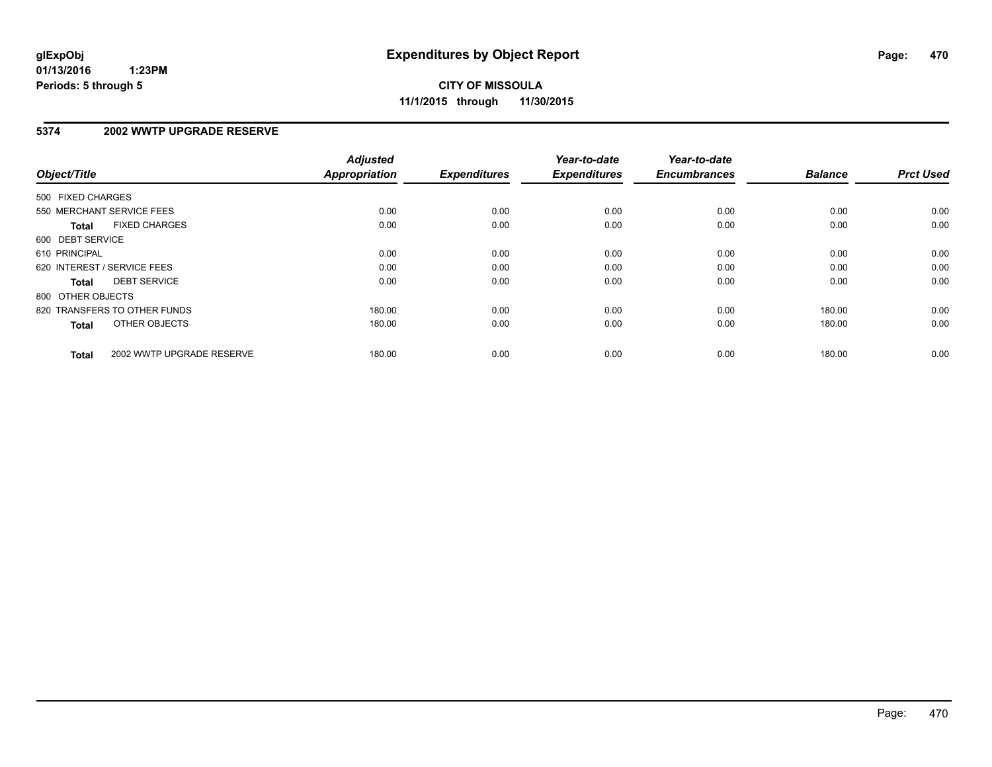### **5374 2002 WWTP UPGRADE RESERVE**

| Object/Title      |                              | <b>Adjusted</b><br><b>Appropriation</b> | <b>Expenditures</b> | Year-to-date<br><b>Expenditures</b> | Year-to-date<br><b>Encumbrances</b> | <b>Balance</b> | <b>Prct Used</b> |
|-------------------|------------------------------|-----------------------------------------|---------------------|-------------------------------------|-------------------------------------|----------------|------------------|
| 500 FIXED CHARGES |                              |                                         |                     |                                     |                                     |                |                  |
|                   | 550 MERCHANT SERVICE FEES    | 0.00                                    | 0.00                | 0.00                                | 0.00                                | 0.00           | 0.00             |
| <b>Total</b>      | <b>FIXED CHARGES</b>         | 0.00                                    | 0.00                | 0.00                                | 0.00                                | 0.00           | 0.00             |
| 600 DEBT SERVICE  |                              |                                         |                     |                                     |                                     |                |                  |
| 610 PRINCIPAL     |                              | 0.00                                    | 0.00                | 0.00                                | 0.00                                | 0.00           | 0.00             |
|                   | 620 INTEREST / SERVICE FEES  | 0.00                                    | 0.00                | 0.00                                | 0.00                                | 0.00           | 0.00             |
| Total             | <b>DEBT SERVICE</b>          | 0.00                                    | 0.00                | 0.00                                | 0.00                                | 0.00           | 0.00             |
| 800 OTHER OBJECTS |                              |                                         |                     |                                     |                                     |                |                  |
|                   | 820 TRANSFERS TO OTHER FUNDS | 180.00                                  | 0.00                | 0.00                                | 0.00                                | 180.00         | 0.00             |
| <b>Total</b>      | OTHER OBJECTS                | 180.00                                  | 0.00                | 0.00                                | 0.00                                | 180.00         | 0.00             |
| <b>Total</b>      | 2002 WWTP UPGRADE RESERVE    | 180.00                                  | 0.00                | 0.00                                | 0.00                                | 180.00         | 0.00             |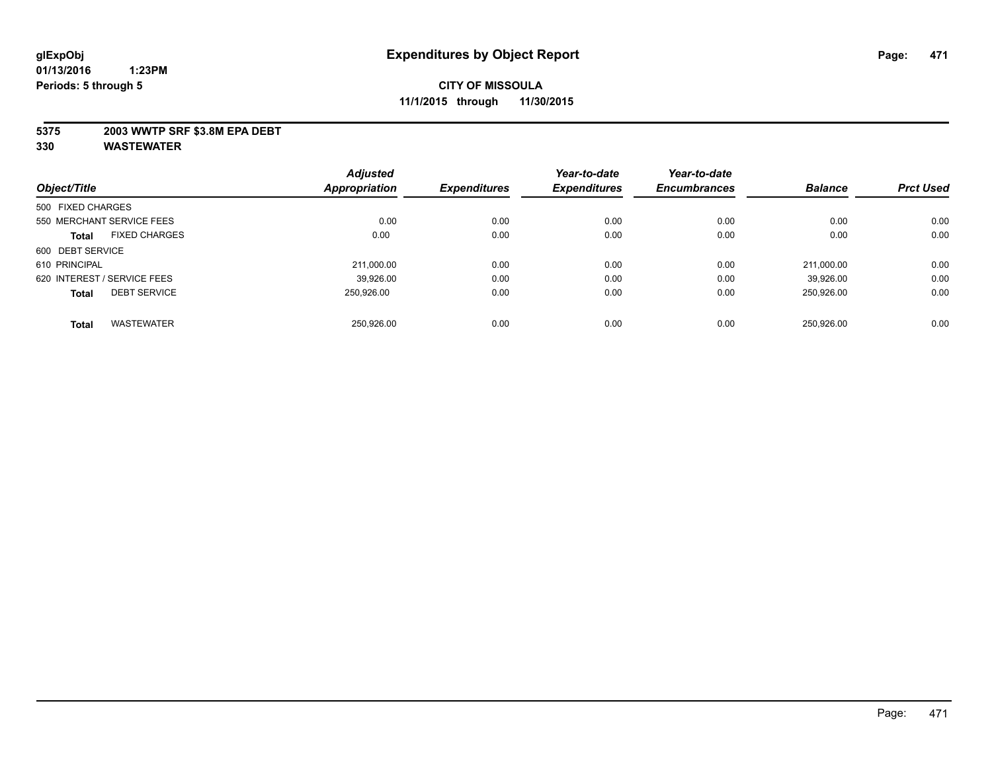### **5375 2003 WWTP SRF \$3.8M EPA DEBT**

|                                      | <b>Adjusted</b>      |                     | Year-to-date        | Year-to-date        |                |                  |
|--------------------------------------|----------------------|---------------------|---------------------|---------------------|----------------|------------------|
| Object/Title                         | <b>Appropriation</b> | <b>Expenditures</b> | <b>Expenditures</b> | <b>Encumbrances</b> | <b>Balance</b> | <b>Prct Used</b> |
| 500 FIXED CHARGES                    |                      |                     |                     |                     |                |                  |
| 550 MERCHANT SERVICE FEES            | 0.00                 | 0.00                | 0.00                | 0.00                | 0.00           | 0.00             |
| <b>FIXED CHARGES</b><br><b>Total</b> | 0.00                 | 0.00                | 0.00                | 0.00                | 0.00           | 0.00             |
| 600 DEBT SERVICE                     |                      |                     |                     |                     |                |                  |
| 610 PRINCIPAL                        | 211.000.00           | 0.00                | 0.00                | 0.00                | 211.000.00     | 0.00             |
| 620 INTEREST / SERVICE FEES          | 39.926.00            | 0.00                | 0.00                | 0.00                | 39.926.00      | 0.00             |
| <b>DEBT SERVICE</b><br><b>Total</b>  | 250.926.00           | 0.00                | 0.00                | 0.00                | 250.926.00     | 0.00             |
|                                      |                      |                     |                     |                     |                |                  |
| <b>WASTEWATER</b><br><b>Total</b>    | 250.926.00           | 0.00                | 0.00                | 0.00                | 250.926.00     | 0.00             |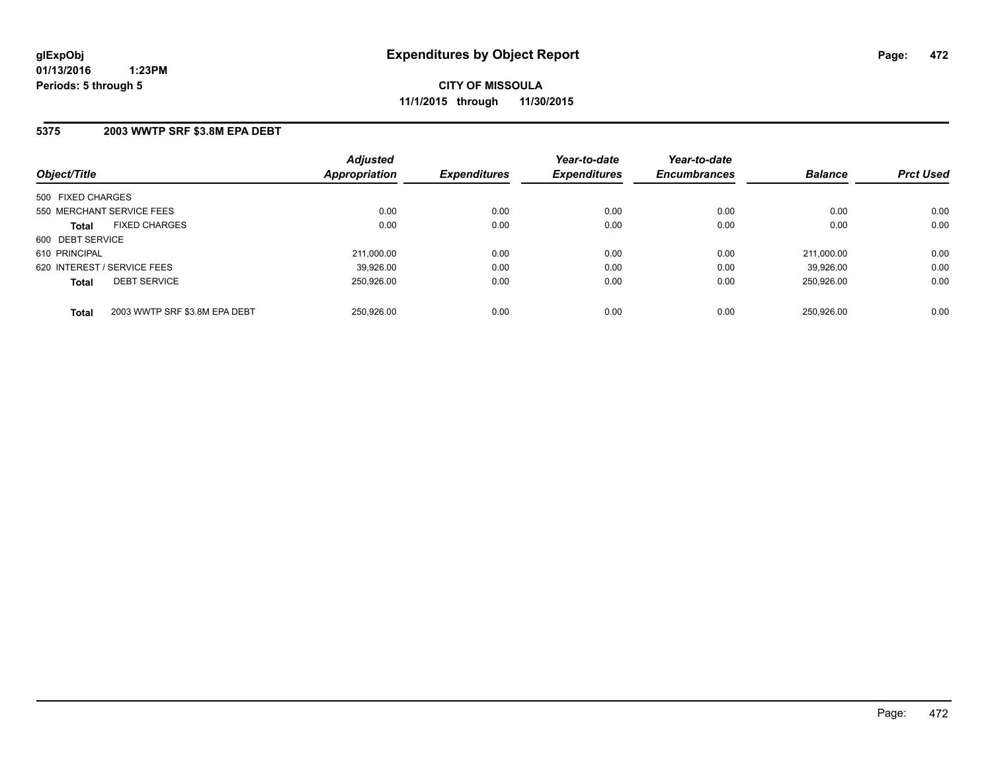### **5375 2003 WWTP SRF \$3.8M EPA DEBT**

| Object/Title                                  | <b>Adjusted</b><br><b>Appropriation</b> | <b>Expenditures</b> | Year-to-date<br><b>Expenditures</b> | Year-to-date<br><b>Encumbrances</b> | <b>Balance</b> | <b>Prct Used</b> |
|-----------------------------------------------|-----------------------------------------|---------------------|-------------------------------------|-------------------------------------|----------------|------------------|
| 500 FIXED CHARGES                             |                                         |                     |                                     |                                     |                |                  |
| 550 MERCHANT SERVICE FEES                     | 0.00                                    | 0.00                | 0.00                                | 0.00                                | 0.00           | 0.00             |
| <b>FIXED CHARGES</b><br><b>Total</b>          | 0.00                                    | 0.00                | 0.00                                | 0.00                                | 0.00           | 0.00             |
| 600 DEBT SERVICE                              |                                         |                     |                                     |                                     |                |                  |
| 610 PRINCIPAL                                 | 211.000.00                              | 0.00                | 0.00                                | 0.00                                | 211.000.00     | 0.00             |
| 620 INTEREST / SERVICE FEES                   | 39.926.00                               | 0.00                | 0.00                                | 0.00                                | 39.926.00      | 0.00             |
| <b>DEBT SERVICE</b><br><b>Total</b>           | 250.926.00                              | 0.00                | 0.00                                | 0.00                                | 250.926.00     | 0.00             |
| 2003 WWTP SRF \$3.8M EPA DEBT<br><b>Total</b> | 250.926.00                              | 0.00                | 0.00                                | 0.00                                | 250.926.00     | 0.00             |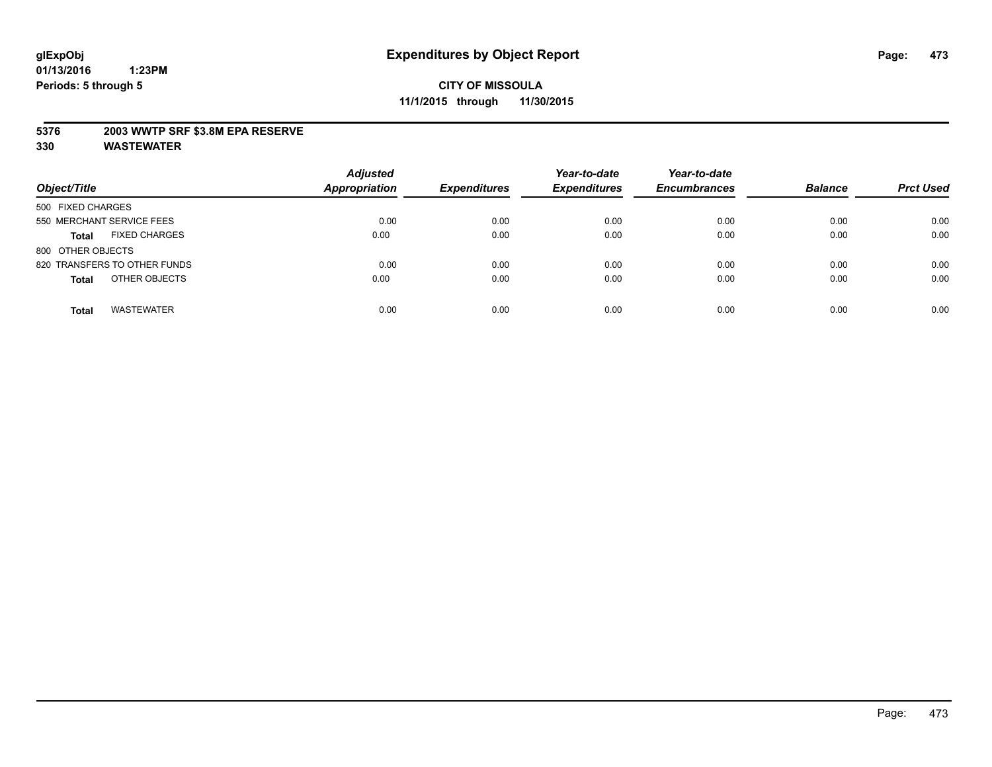### **5376 2003 WWTP SRF \$3.8M EPA RESERVE**

| Object/Title                         | <b>Adjusted</b><br><b>Appropriation</b> | <b>Expenditures</b> | Year-to-date<br><b>Expenditures</b> | Year-to-date<br><b>Encumbrances</b> | <b>Balance</b> | <b>Prct Used</b> |
|--------------------------------------|-----------------------------------------|---------------------|-------------------------------------|-------------------------------------|----------------|------------------|
| 500 FIXED CHARGES                    |                                         |                     |                                     |                                     |                |                  |
| 550 MERCHANT SERVICE FEES            | 0.00                                    | 0.00                | 0.00                                | 0.00                                | 0.00           | 0.00             |
| <b>FIXED CHARGES</b><br><b>Total</b> | 0.00                                    | 0.00                | 0.00                                | 0.00                                | 0.00           | 0.00             |
| 800 OTHER OBJECTS                    |                                         |                     |                                     |                                     |                |                  |
| 820 TRANSFERS TO OTHER FUNDS         | 0.00                                    | 0.00                | 0.00                                | 0.00                                | 0.00           | 0.00             |
| OTHER OBJECTS<br><b>Total</b>        | 0.00                                    | 0.00                | 0.00                                | 0.00                                | 0.00           | 0.00             |
| <b>WASTEWATER</b><br><b>Total</b>    | 0.00                                    | 0.00                | 0.00                                | 0.00                                | 0.00           | 0.00             |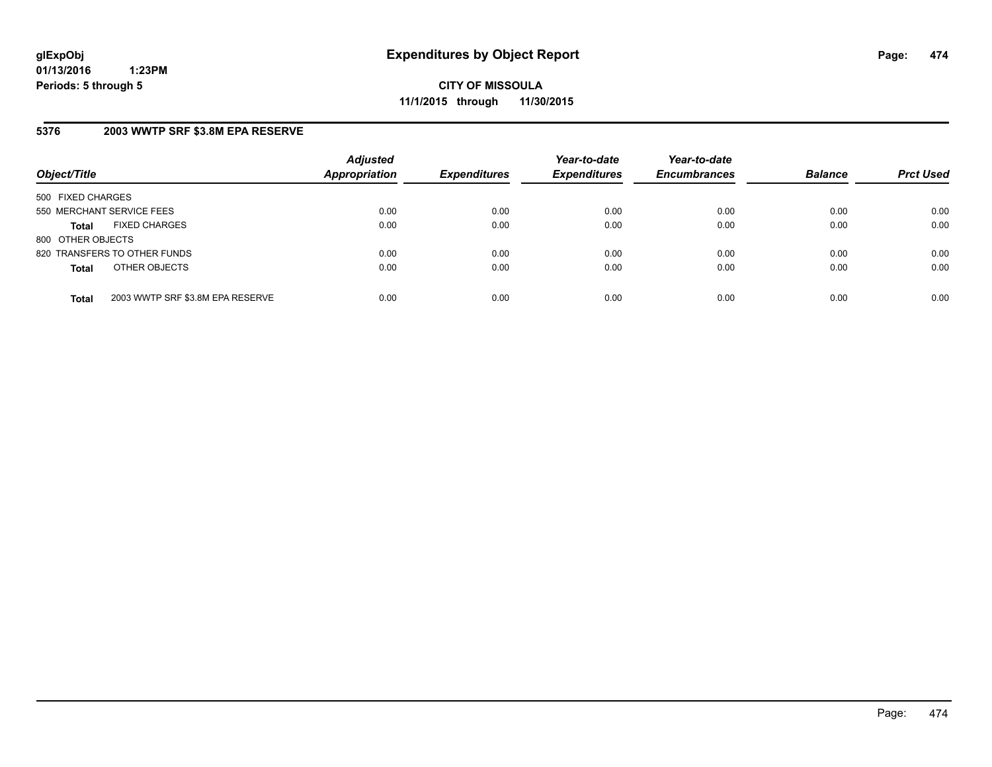**CITY OF MISSOULA 11/1/2015 through 11/30/2015**

# **5376 2003 WWTP SRF \$3.8M EPA RESERVE**

| Object/Title              |                                  | <b>Adjusted</b><br>Appropriation | <b>Expenditures</b> | Year-to-date<br><b>Expenditures</b> | Year-to-date<br><b>Encumbrances</b> | <b>Balance</b> | <b>Prct Used</b> |
|---------------------------|----------------------------------|----------------------------------|---------------------|-------------------------------------|-------------------------------------|----------------|------------------|
| 500 FIXED CHARGES         |                                  |                                  |                     |                                     |                                     |                |                  |
| 550 MERCHANT SERVICE FEES |                                  | 0.00                             | 0.00                | 0.00                                | 0.00                                | 0.00           | 0.00             |
| <b>Total</b>              | <b>FIXED CHARGES</b>             | 0.00                             | 0.00                | 0.00                                | 0.00                                | 0.00           | 0.00             |
| 800 OTHER OBJECTS         |                                  |                                  |                     |                                     |                                     |                |                  |
|                           | 820 TRANSFERS TO OTHER FUNDS     | 0.00                             | 0.00                | 0.00                                | 0.00                                | 0.00           | 0.00             |
| <b>Total</b>              | OTHER OBJECTS                    | 0.00                             | 0.00                | 0.00                                | 0.00                                | 0.00           | 0.00             |
| <b>Total</b>              | 2003 WWTP SRF \$3.8M EPA RESERVE | 0.00                             | 0.00                | 0.00                                | 0.00                                | 0.00           | 0.00             |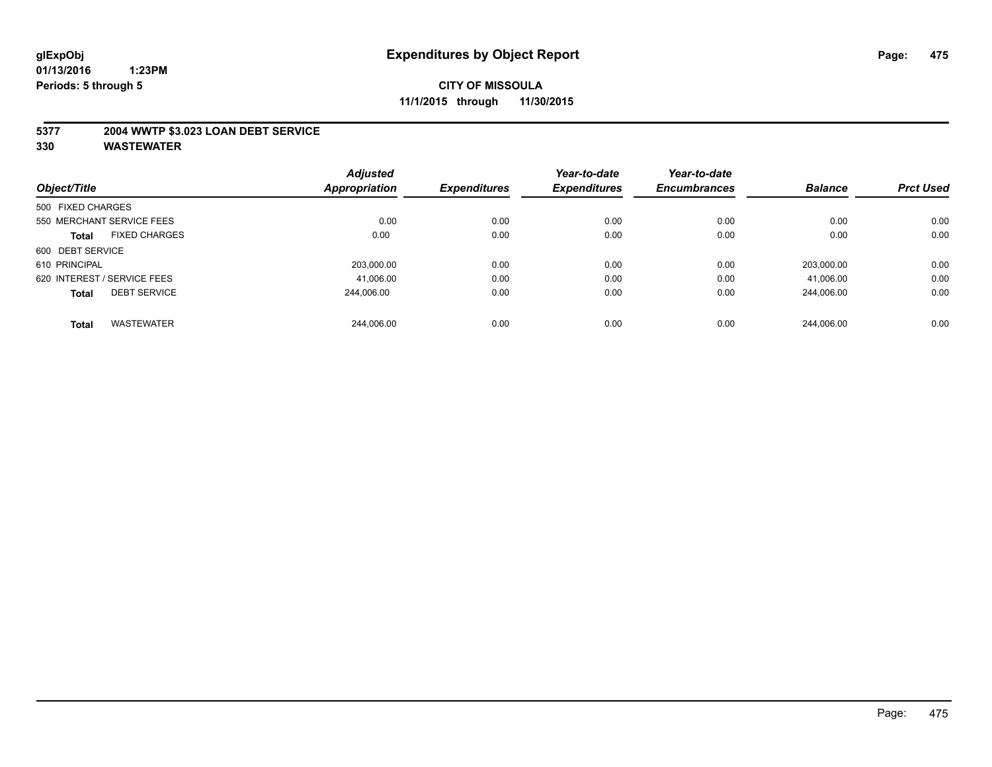### **5377 2004 WWTP \$3.023 LOAN DEBT SERVICE**

|                   |                             | <b>Adjusted</b> |                     | Year-to-date        | Year-to-date        |                |                  |
|-------------------|-----------------------------|-----------------|---------------------|---------------------|---------------------|----------------|------------------|
| Object/Title      |                             | Appropriation   | <b>Expenditures</b> | <b>Expenditures</b> | <b>Encumbrances</b> | <b>Balance</b> | <b>Prct Used</b> |
| 500 FIXED CHARGES |                             |                 |                     |                     |                     |                |                  |
|                   | 550 MERCHANT SERVICE FEES   | 0.00            | 0.00                | 0.00                | 0.00                | 0.00           | 0.00             |
| <b>Total</b>      | <b>FIXED CHARGES</b>        | 0.00            | 0.00                | 0.00                | 0.00                | 0.00           | 0.00             |
| 600 DEBT SERVICE  |                             |                 |                     |                     |                     |                |                  |
| 610 PRINCIPAL     |                             | 203.000.00      | 0.00                | 0.00                | 0.00                | 203.000.00     | 0.00             |
|                   | 620 INTEREST / SERVICE FEES | 41,006.00       | 0.00                | 0.00                | 0.00                | 41,006.00      | 0.00             |
| <b>Total</b>      | <b>DEBT SERVICE</b>         | 244.006.00      | 0.00                | 0.00                | 0.00                | 244.006.00     | 0.00             |
| <b>Total</b>      | <b>WASTEWATER</b>           | 244.006.00      | 0.00                | 0.00                | 0.00                | 244.006.00     | 0.00             |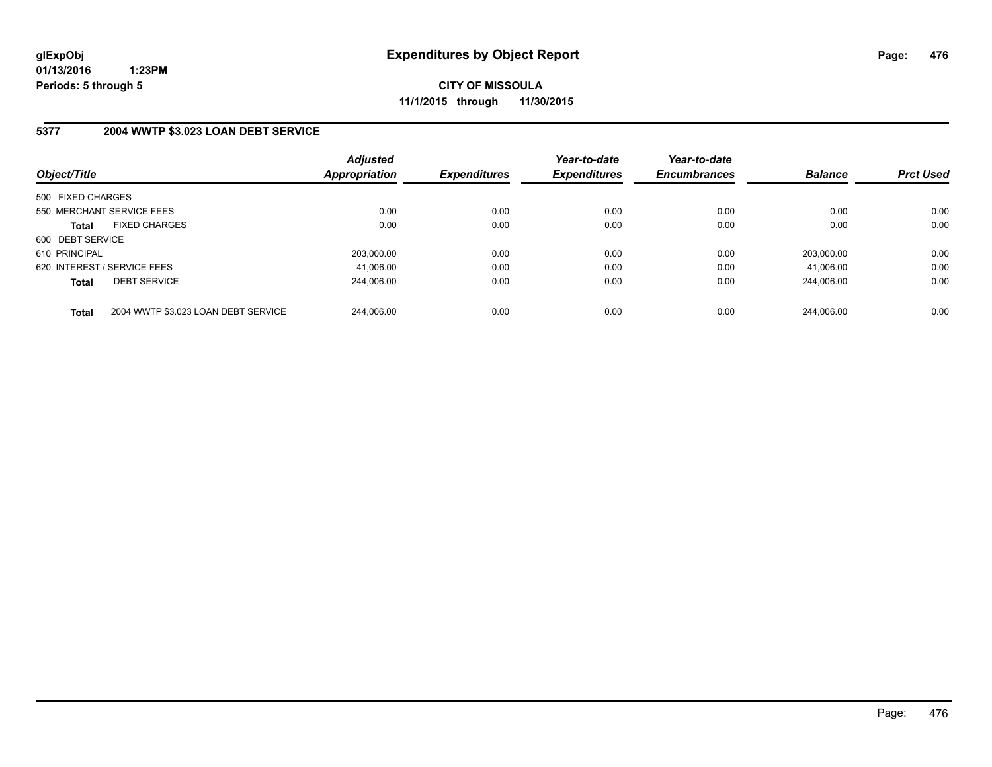**CITY OF MISSOULA 11/1/2015 through 11/30/2015**

# **5377 2004 WWTP \$3.023 LOAN DEBT SERVICE**

| Object/Title                |                                     | <b>Adjusted</b><br><b>Appropriation</b> | <b>Expenditures</b> | Year-to-date<br><b>Expenditures</b> | Year-to-date<br><b>Encumbrances</b> | <b>Balance</b> | <b>Prct Used</b> |
|-----------------------------|-------------------------------------|-----------------------------------------|---------------------|-------------------------------------|-------------------------------------|----------------|------------------|
| 500 FIXED CHARGES           |                                     |                                         |                     |                                     |                                     |                |                  |
| 550 MERCHANT SERVICE FEES   |                                     | 0.00                                    | 0.00                | 0.00                                | 0.00                                | 0.00           | 0.00             |
| <b>Total</b>                | <b>FIXED CHARGES</b>                | 0.00                                    | 0.00                | 0.00                                | 0.00                                | 0.00           | 0.00             |
| 600 DEBT SERVICE            |                                     |                                         |                     |                                     |                                     |                |                  |
| 610 PRINCIPAL               |                                     | 203.000.00                              | 0.00                | 0.00                                | 0.00                                | 203.000.00     | 0.00             |
| 620 INTEREST / SERVICE FEES |                                     | 41.006.00                               | 0.00                | 0.00                                | 0.00                                | 41.006.00      | 0.00             |
| <b>Total</b>                | <b>DEBT SERVICE</b>                 | 244.006.00                              | 0.00                | 0.00                                | 0.00                                | 244.006.00     | 0.00             |
| <b>Total</b>                | 2004 WWTP \$3.023 LOAN DEBT SERVICE | 244.006.00                              | 0.00                | 0.00                                | 0.00                                | 244.006.00     | 0.00             |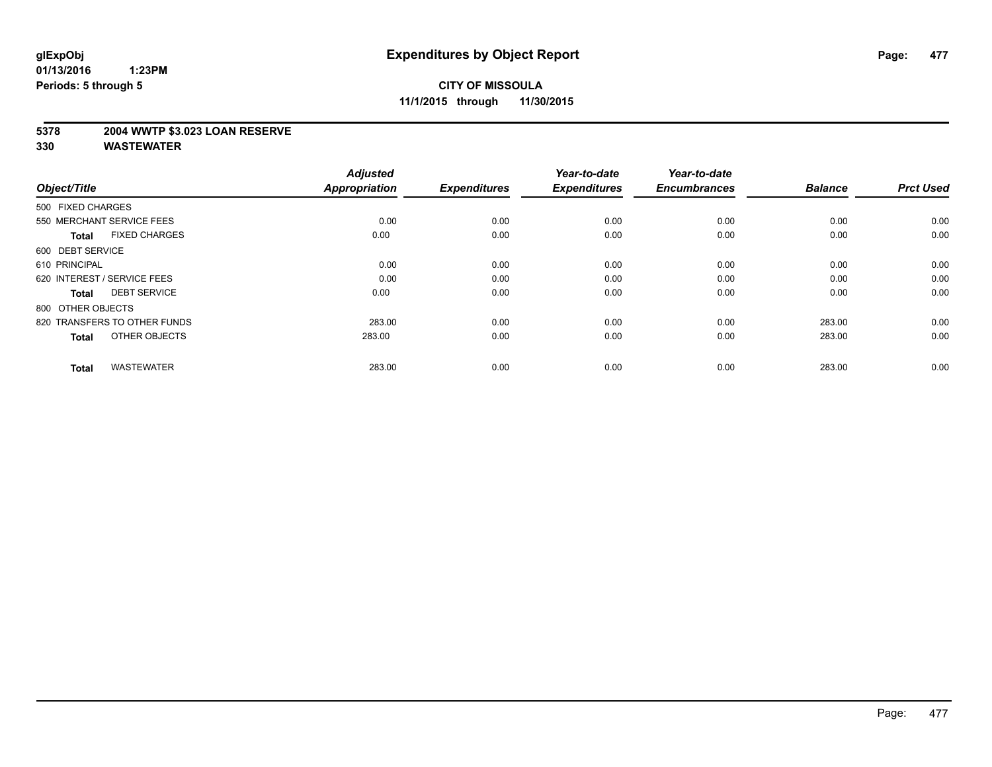### **5378 2004 WWTP \$3.023 LOAN RESERVE**

| Object/Title                         | <b>Adjusted</b><br><b>Appropriation</b> | <b>Expenditures</b> | Year-to-date<br><b>Expenditures</b> | Year-to-date<br><b>Encumbrances</b> | <b>Balance</b> | <b>Prct Used</b> |
|--------------------------------------|-----------------------------------------|---------------------|-------------------------------------|-------------------------------------|----------------|------------------|
| 500 FIXED CHARGES                    |                                         |                     |                                     |                                     |                |                  |
| 550 MERCHANT SERVICE FEES            | 0.00                                    | 0.00                | 0.00                                | 0.00                                | 0.00           | 0.00             |
| <b>FIXED CHARGES</b><br><b>Total</b> | 0.00                                    | 0.00                | 0.00                                | 0.00                                | 0.00           | 0.00             |
| 600 DEBT SERVICE                     |                                         |                     |                                     |                                     |                |                  |
| 610 PRINCIPAL                        | 0.00                                    | 0.00                | 0.00                                | 0.00                                | 0.00           | 0.00             |
| 620 INTEREST / SERVICE FEES          | 0.00                                    | 0.00                | 0.00                                | 0.00                                | 0.00           | 0.00             |
| <b>DEBT SERVICE</b><br><b>Total</b>  | 0.00                                    | 0.00                | 0.00                                | 0.00                                | 0.00           | 0.00             |
| 800 OTHER OBJECTS                    |                                         |                     |                                     |                                     |                |                  |
| 820 TRANSFERS TO OTHER FUNDS         | 283.00                                  | 0.00                | 0.00                                | 0.00                                | 283.00         | 0.00             |
| OTHER OBJECTS<br><b>Total</b>        | 283.00                                  | 0.00                | 0.00                                | 0.00                                | 283.00         | 0.00             |
|                                      |                                         |                     |                                     |                                     |                |                  |
| <b>WASTEWATER</b><br><b>Total</b>    | 283.00                                  | 0.00                | 0.00                                | 0.00                                | 283.00         | 0.00             |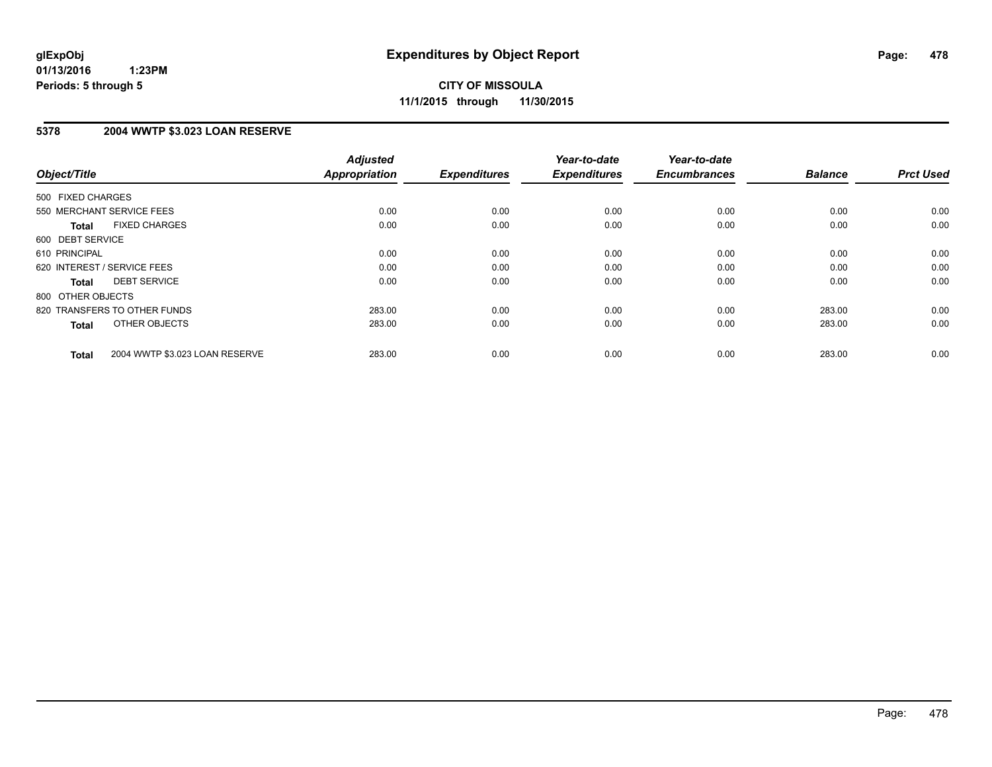# **5378 2004 WWTP \$3.023 LOAN RESERVE**

| Object/Title                 |                                | <b>Adjusted</b><br><b>Appropriation</b> | <b>Expenditures</b> | Year-to-date<br><b>Expenditures</b> | Year-to-date<br><b>Encumbrances</b> | <b>Balance</b> | <b>Prct Used</b> |
|------------------------------|--------------------------------|-----------------------------------------|---------------------|-------------------------------------|-------------------------------------|----------------|------------------|
| 500 FIXED CHARGES            |                                |                                         |                     |                                     |                                     |                |                  |
| 550 MERCHANT SERVICE FEES    |                                | 0.00                                    | 0.00                | 0.00                                | 0.00                                | 0.00           | 0.00             |
| <b>Total</b>                 | <b>FIXED CHARGES</b>           | 0.00                                    | 0.00                | 0.00                                | 0.00                                | 0.00           | 0.00             |
| 600 DEBT SERVICE             |                                |                                         |                     |                                     |                                     |                |                  |
| 610 PRINCIPAL                |                                | 0.00                                    | 0.00                | 0.00                                | 0.00                                | 0.00           | 0.00             |
| 620 INTEREST / SERVICE FEES  |                                | 0.00                                    | 0.00                | 0.00                                | 0.00                                | 0.00           | 0.00             |
| Total                        | <b>DEBT SERVICE</b>            | 0.00                                    | 0.00                | 0.00                                | 0.00                                | 0.00           | 0.00             |
| 800 OTHER OBJECTS            |                                |                                         |                     |                                     |                                     |                |                  |
| 820 TRANSFERS TO OTHER FUNDS |                                | 283.00                                  | 0.00                | 0.00                                | 0.00                                | 283.00         | 0.00             |
| <b>Total</b>                 | OTHER OBJECTS                  | 283.00                                  | 0.00                | 0.00                                | 0.00                                | 283.00         | 0.00             |
| <b>Total</b>                 | 2004 WWTP \$3.023 LOAN RESERVE | 283.00                                  | 0.00                | 0.00                                | 0.00                                | 283.00         | 0.00             |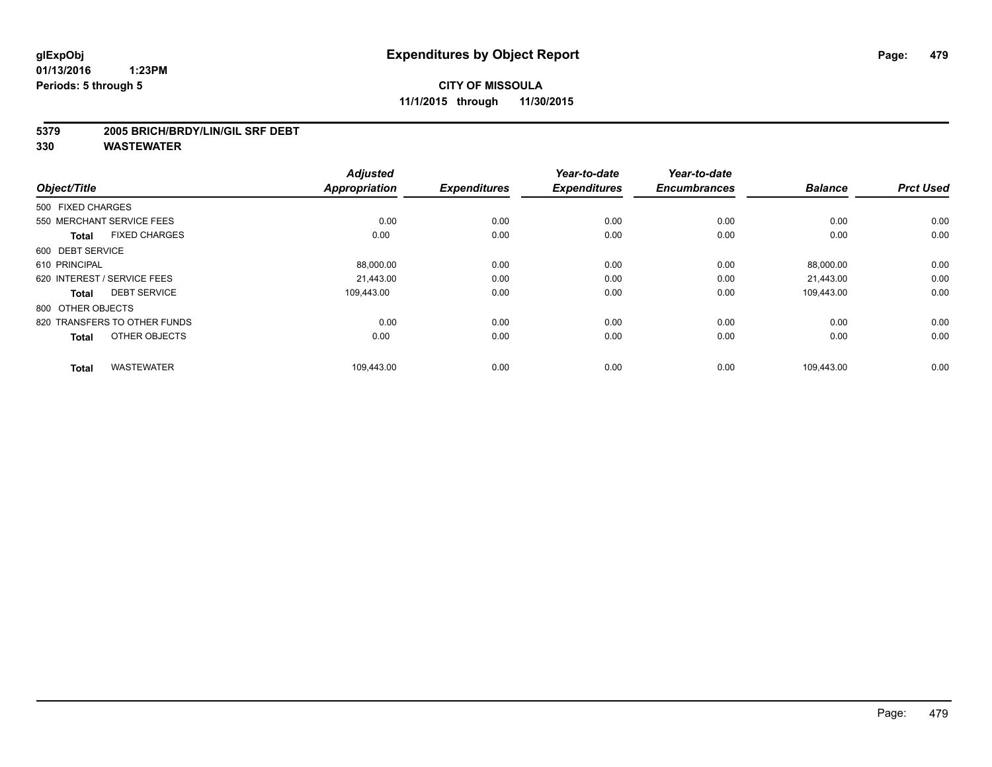#### **5379 2005 BRICH/BRDY/LIN/GIL SRF DEBT**

| Object/Title                         | <b>Adjusted</b><br>Appropriation | <b>Expenditures</b> | Year-to-date<br><b>Expenditures</b> | Year-to-date<br><b>Encumbrances</b> | <b>Balance</b> | <b>Prct Used</b> |
|--------------------------------------|----------------------------------|---------------------|-------------------------------------|-------------------------------------|----------------|------------------|
| 500 FIXED CHARGES                    |                                  |                     |                                     |                                     |                |                  |
| 550 MERCHANT SERVICE FEES            | 0.00                             | 0.00                | 0.00                                | 0.00                                | 0.00           | 0.00             |
| <b>FIXED CHARGES</b><br><b>Total</b> | 0.00                             | 0.00                | 0.00                                | 0.00                                | 0.00           | 0.00             |
| 600 DEBT SERVICE                     |                                  |                     |                                     |                                     |                |                  |
| 610 PRINCIPAL                        | 88,000.00                        | 0.00                | 0.00                                | 0.00                                | 88,000.00      | 0.00             |
| 620 INTEREST / SERVICE FEES          | 21.443.00                        | 0.00                | 0.00                                | 0.00                                | 21,443.00      | 0.00             |
| <b>DEBT SERVICE</b><br><b>Total</b>  | 109.443.00                       | 0.00                | 0.00                                | 0.00                                | 109,443.00     | 0.00             |
| 800 OTHER OBJECTS                    |                                  |                     |                                     |                                     |                |                  |
| 820 TRANSFERS TO OTHER FUNDS         | 0.00                             | 0.00                | 0.00                                | 0.00                                | 0.00           | 0.00             |
| OTHER OBJECTS<br><b>Total</b>        | 0.00                             | 0.00                | 0.00                                | 0.00                                | 0.00           | 0.00             |
| <b>WASTEWATER</b><br><b>Total</b>    | 109,443.00                       | 0.00                | 0.00                                | 0.00                                | 109,443.00     | 0.00             |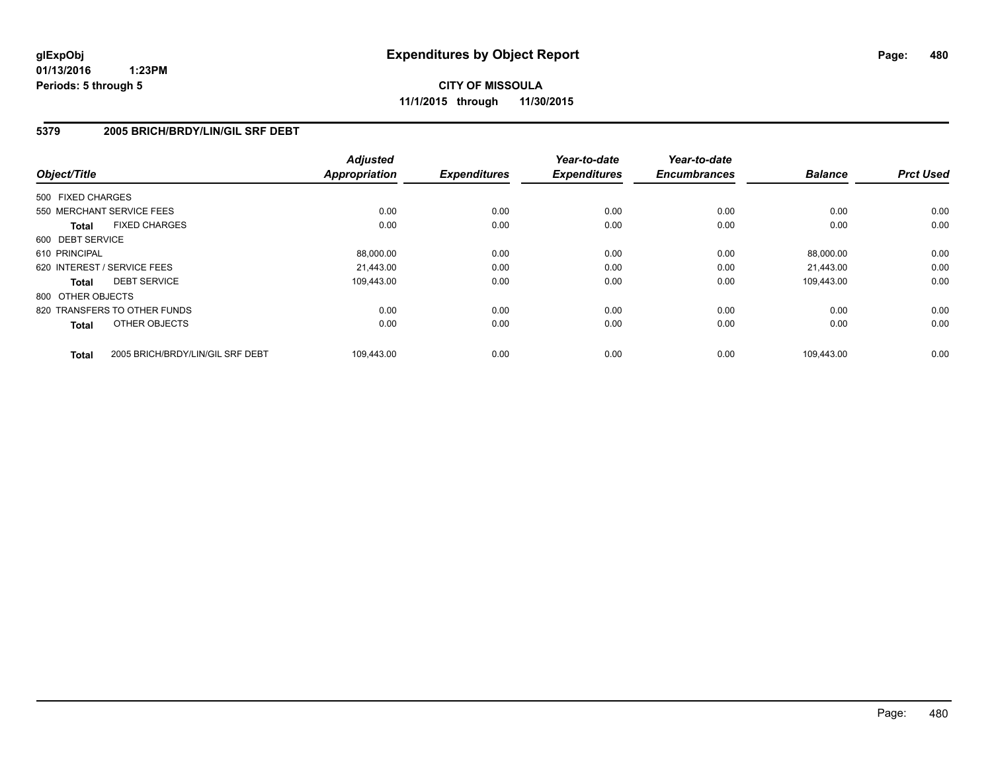**CITY OF MISSOULA 11/1/2015 through 11/30/2015**

### **5379 2005 BRICH/BRDY/LIN/GIL SRF DEBT**

| Object/Title      |                                  | <b>Adjusted</b><br><b>Appropriation</b> | <b>Expenditures</b> | Year-to-date<br><b>Expenditures</b> | Year-to-date<br><b>Encumbrances</b> | <b>Balance</b> | <b>Prct Used</b> |
|-------------------|----------------------------------|-----------------------------------------|---------------------|-------------------------------------|-------------------------------------|----------------|------------------|
| 500 FIXED CHARGES |                                  |                                         |                     |                                     |                                     |                |                  |
|                   | 550 MERCHANT SERVICE FEES        | 0.00                                    | 0.00                | 0.00                                | 0.00                                | 0.00           | 0.00             |
| <b>Total</b>      | <b>FIXED CHARGES</b>             | 0.00                                    | 0.00                | 0.00                                | 0.00                                | 0.00           | 0.00             |
| 600 DEBT SERVICE  |                                  |                                         |                     |                                     |                                     |                |                  |
| 610 PRINCIPAL     |                                  | 88,000.00                               | 0.00                | 0.00                                | 0.00                                | 88,000.00      | 0.00             |
|                   | 620 INTEREST / SERVICE FEES      | 21.443.00                               | 0.00                | 0.00                                | 0.00                                | 21,443.00      | 0.00             |
| <b>Total</b>      | <b>DEBT SERVICE</b>              | 109.443.00                              | 0.00                | 0.00                                | 0.00                                | 109.443.00     | 0.00             |
| 800 OTHER OBJECTS |                                  |                                         |                     |                                     |                                     |                |                  |
|                   | 820 TRANSFERS TO OTHER FUNDS     | 0.00                                    | 0.00                | 0.00                                | 0.00                                | 0.00           | 0.00             |
| <b>Total</b>      | OTHER OBJECTS                    | 0.00                                    | 0.00                | 0.00                                | 0.00                                | 0.00           | 0.00             |
| <b>Total</b>      | 2005 BRICH/BRDY/LIN/GIL SRF DEBT | 109,443.00                              | 0.00                | 0.00                                | 0.00                                | 109.443.00     | 0.00             |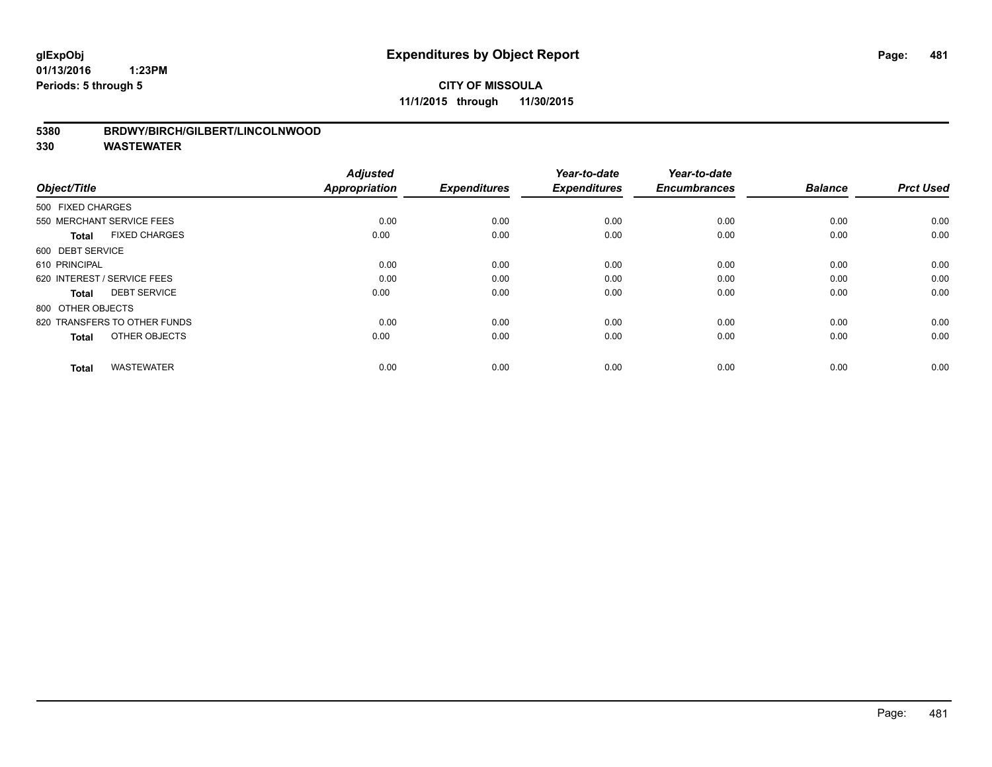# **CITY OF MISSOULA 11/1/2015 through 11/30/2015**

### **5380 BRDWY/BIRCH/GILBERT/LINCOLNWOOD**

| Object/Title                         | <b>Adjusted</b><br>Appropriation | <b>Expenditures</b> | Year-to-date<br><b>Expenditures</b> | Year-to-date<br><b>Encumbrances</b> | <b>Balance</b> | <b>Prct Used</b> |
|--------------------------------------|----------------------------------|---------------------|-------------------------------------|-------------------------------------|----------------|------------------|
| 500 FIXED CHARGES                    |                                  |                     |                                     |                                     |                |                  |
|                                      |                                  |                     |                                     |                                     |                |                  |
| 550 MERCHANT SERVICE FEES            | 0.00                             | 0.00                | 0.00                                | 0.00                                | 0.00           | 0.00             |
| <b>FIXED CHARGES</b><br><b>Total</b> | 0.00                             | 0.00                | 0.00                                | 0.00                                | 0.00           | 0.00             |
| 600 DEBT SERVICE                     |                                  |                     |                                     |                                     |                |                  |
| 610 PRINCIPAL                        | 0.00                             | 0.00                | 0.00                                | 0.00                                | 0.00           | 0.00             |
| 620 INTEREST / SERVICE FEES          | 0.00                             | 0.00                | 0.00                                | 0.00                                | 0.00           | 0.00             |
| <b>DEBT SERVICE</b><br><b>Total</b>  | 0.00                             | 0.00                | 0.00                                | 0.00                                | 0.00           | 0.00             |
| 800 OTHER OBJECTS                    |                                  |                     |                                     |                                     |                |                  |
| 820 TRANSFERS TO OTHER FUNDS         | 0.00                             | 0.00                | 0.00                                | 0.00                                | 0.00           | 0.00             |
| OTHER OBJECTS<br><b>Total</b>        | 0.00                             | 0.00                | 0.00                                | 0.00                                | 0.00           | 0.00             |
|                                      |                                  |                     |                                     |                                     |                |                  |
| <b>WASTEWATER</b><br><b>Total</b>    | 0.00                             | 0.00                | 0.00                                | 0.00                                | 0.00           | 0.00             |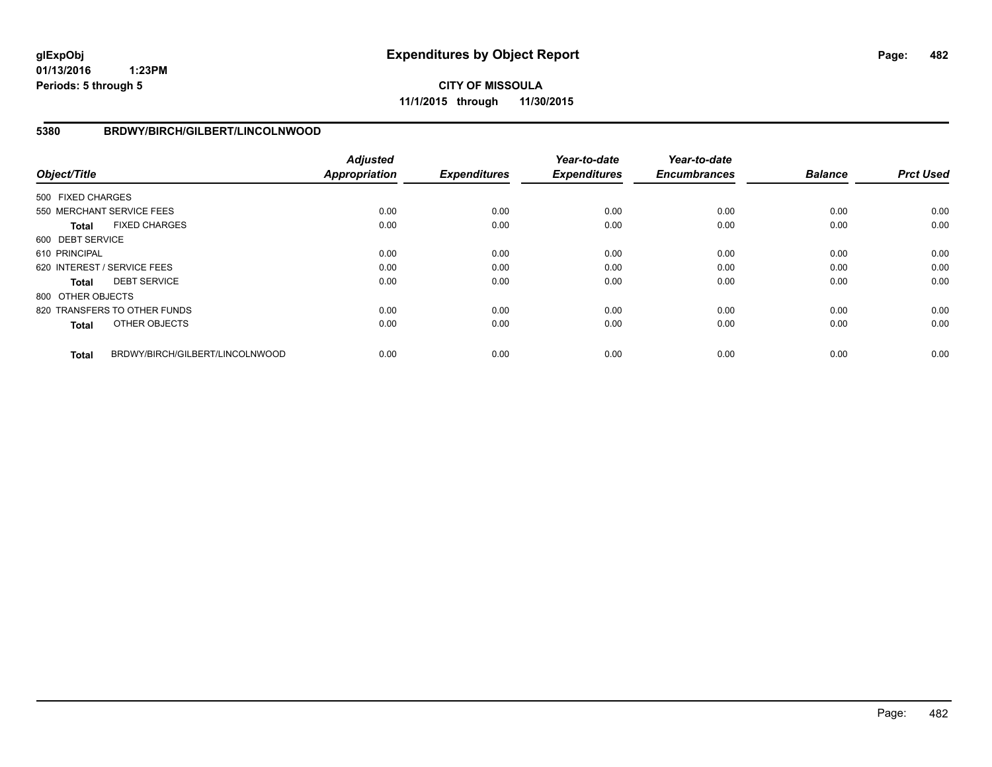**CITY OF MISSOULA 11/1/2015 through 11/30/2015**

### **5380 BRDWY/BIRCH/GILBERT/LINCOLNWOOD**

| Object/Title      |                                 | <b>Adjusted</b><br><b>Appropriation</b> | <b>Expenditures</b> | Year-to-date<br><b>Expenditures</b> | Year-to-date<br><b>Encumbrances</b> | <b>Balance</b> | <b>Prct Used</b> |
|-------------------|---------------------------------|-----------------------------------------|---------------------|-------------------------------------|-------------------------------------|----------------|------------------|
| 500 FIXED CHARGES |                                 |                                         |                     |                                     |                                     |                |                  |
|                   | 550 MERCHANT SERVICE FEES       | 0.00                                    | 0.00                | 0.00                                | 0.00                                | 0.00           | 0.00             |
| <b>Total</b>      | <b>FIXED CHARGES</b>            | 0.00                                    | 0.00                | 0.00                                | 0.00                                | 0.00           | 0.00             |
| 600 DEBT SERVICE  |                                 |                                         |                     |                                     |                                     |                |                  |
| 610 PRINCIPAL     |                                 | 0.00                                    | 0.00                | 0.00                                | 0.00                                | 0.00           | 0.00             |
|                   | 620 INTEREST / SERVICE FEES     | 0.00                                    | 0.00                | 0.00                                | 0.00                                | 0.00           | 0.00             |
| Total             | <b>DEBT SERVICE</b>             | 0.00                                    | 0.00                | 0.00                                | 0.00                                | 0.00           | 0.00             |
| 800 OTHER OBJECTS |                                 |                                         |                     |                                     |                                     |                |                  |
|                   | 820 TRANSFERS TO OTHER FUNDS    | 0.00                                    | 0.00                | 0.00                                | 0.00                                | 0.00           | 0.00             |
| <b>Total</b>      | OTHER OBJECTS                   | 0.00                                    | 0.00                | 0.00                                | 0.00                                | 0.00           | 0.00             |
| <b>Total</b>      | BRDWY/BIRCH/GILBERT/LINCOLNWOOD | 0.00                                    | 0.00                | 0.00                                | 0.00                                | 0.00           | 0.00             |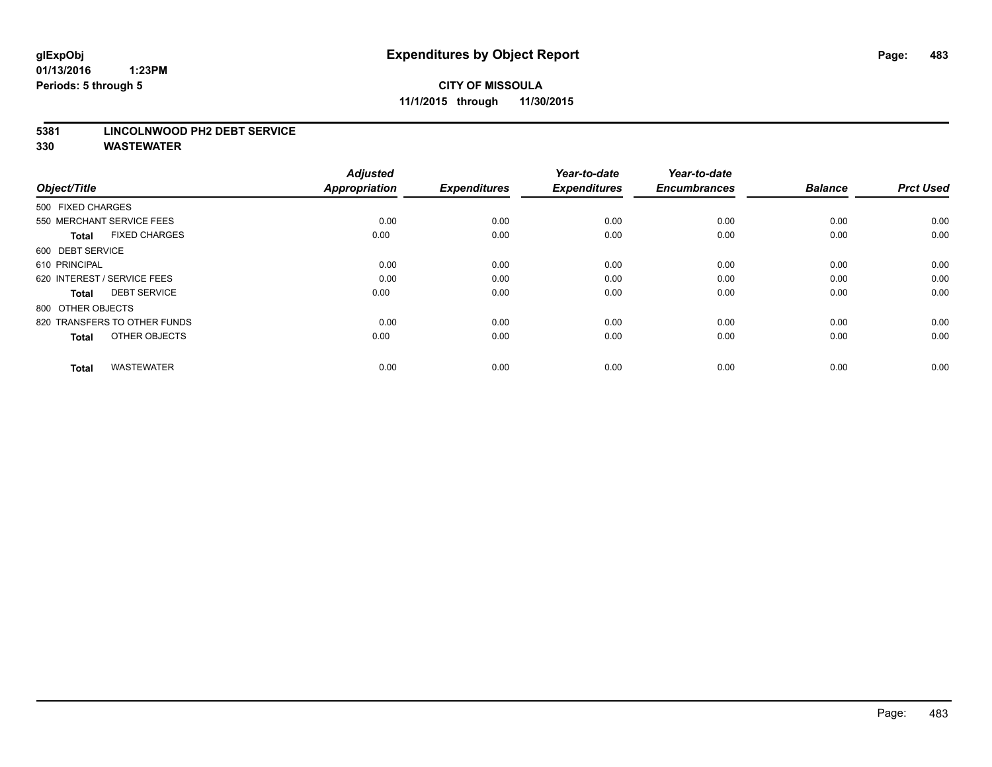# **CITY OF MISSOULA 11/1/2015 through 11/30/2015**

#### **5381 LINCOLNWOOD PH2 DEBT SERVICE**

| Object/Title                         | <b>Adjusted</b><br><b>Appropriation</b> | <b>Expenditures</b> | Year-to-date<br><b>Expenditures</b> | Year-to-date<br><b>Encumbrances</b> | <b>Balance</b> | <b>Prct Used</b> |
|--------------------------------------|-----------------------------------------|---------------------|-------------------------------------|-------------------------------------|----------------|------------------|
| 500 FIXED CHARGES                    |                                         |                     |                                     |                                     |                |                  |
| 550 MERCHANT SERVICE FEES            | 0.00                                    | 0.00                | 0.00                                | 0.00                                | 0.00           | 0.00             |
| <b>FIXED CHARGES</b><br><b>Total</b> | 0.00                                    | 0.00                | 0.00                                | 0.00                                | 0.00           | 0.00             |
| 600 DEBT SERVICE                     |                                         |                     |                                     |                                     |                |                  |
| 610 PRINCIPAL                        | 0.00                                    | 0.00                | 0.00                                | 0.00                                | 0.00           | 0.00             |
| 620 INTEREST / SERVICE FEES          | 0.00                                    | 0.00                | 0.00                                | 0.00                                | 0.00           | 0.00             |
| <b>DEBT SERVICE</b><br><b>Total</b>  | 0.00                                    | 0.00                | 0.00                                | 0.00                                | 0.00           | 0.00             |
| 800 OTHER OBJECTS                    |                                         |                     |                                     |                                     |                |                  |
| 820 TRANSFERS TO OTHER FUNDS         | 0.00                                    | 0.00                | 0.00                                | 0.00                                | 0.00           | 0.00             |
| OTHER OBJECTS<br><b>Total</b>        | 0.00                                    | 0.00                | 0.00                                | 0.00                                | 0.00           | 0.00             |
|                                      |                                         |                     |                                     |                                     |                |                  |
| <b>WASTEWATER</b><br><b>Total</b>    | 0.00                                    | 0.00                | 0.00                                | 0.00                                | 0.00           | 0.00             |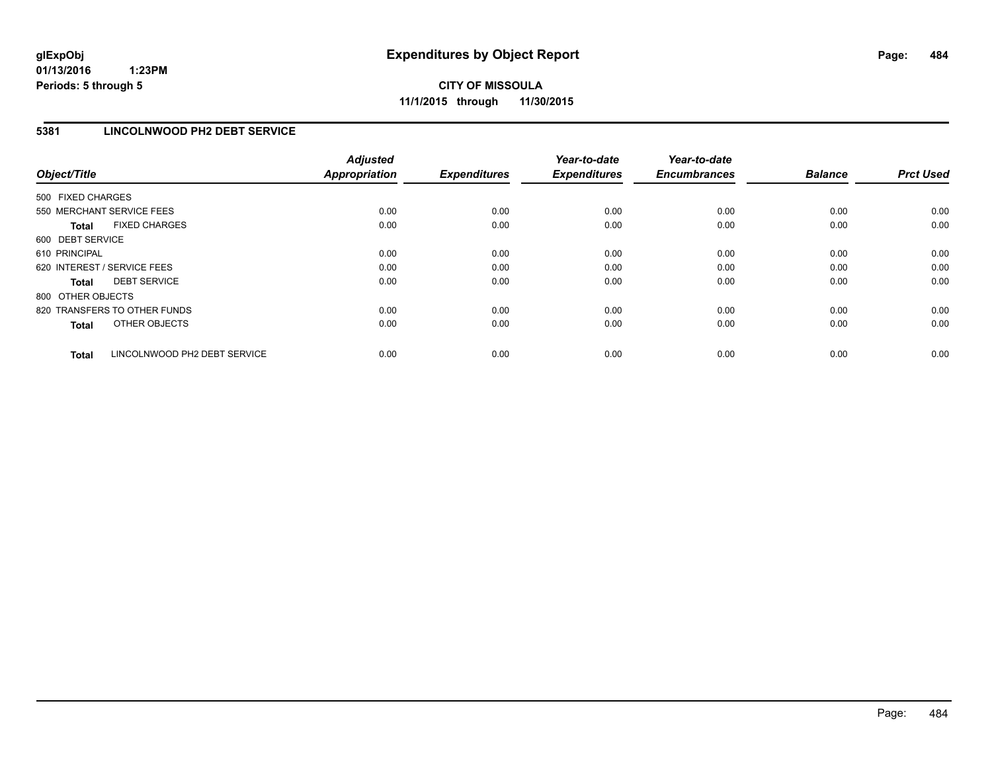# **5381 LINCOLNWOOD PH2 DEBT SERVICE**

| Object/Title      |                              | <b>Adjusted</b><br><b>Appropriation</b> | <b>Expenditures</b> | Year-to-date<br><b>Expenditures</b> | Year-to-date<br><b>Encumbrances</b> | <b>Balance</b> | <b>Prct Used</b> |
|-------------------|------------------------------|-----------------------------------------|---------------------|-------------------------------------|-------------------------------------|----------------|------------------|
| 500 FIXED CHARGES |                              |                                         |                     |                                     |                                     |                |                  |
|                   | 550 MERCHANT SERVICE FEES    | 0.00                                    | 0.00                | 0.00                                | 0.00                                | 0.00           | 0.00             |
| <b>Total</b>      | <b>FIXED CHARGES</b>         | 0.00                                    | 0.00                | 0.00                                | 0.00                                | 0.00           | 0.00             |
| 600 DEBT SERVICE  |                              |                                         |                     |                                     |                                     |                |                  |
| 610 PRINCIPAL     |                              | 0.00                                    | 0.00                | 0.00                                | 0.00                                | 0.00           | 0.00             |
|                   | 620 INTEREST / SERVICE FEES  | 0.00                                    | 0.00                | 0.00                                | 0.00                                | 0.00           | 0.00             |
| Total             | <b>DEBT SERVICE</b>          | 0.00                                    | 0.00                | 0.00                                | 0.00                                | 0.00           | 0.00             |
| 800 OTHER OBJECTS |                              |                                         |                     |                                     |                                     |                |                  |
|                   | 820 TRANSFERS TO OTHER FUNDS | 0.00                                    | 0.00                | 0.00                                | 0.00                                | 0.00           | 0.00             |
| <b>Total</b>      | OTHER OBJECTS                | 0.00                                    | 0.00                | 0.00                                | 0.00                                | 0.00           | 0.00             |
| <b>Total</b>      | LINCOLNWOOD PH2 DEBT SERVICE | 0.00                                    | 0.00                | 0.00                                | 0.00                                | 0.00           | 0.00             |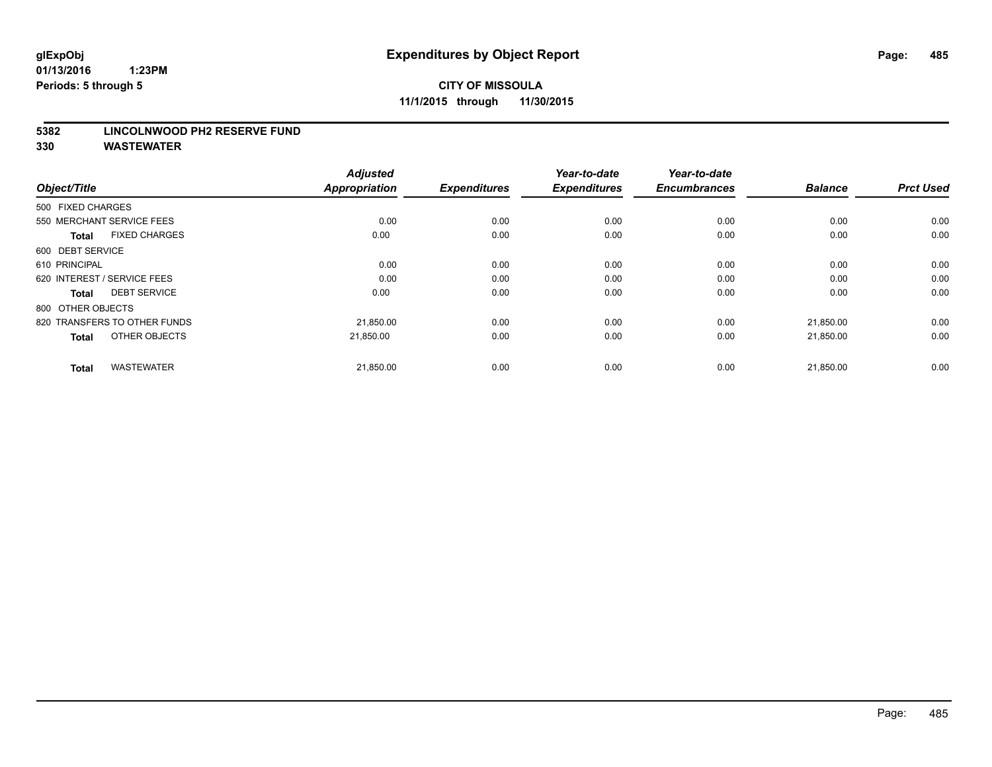#### **5382 LINCOLNWOOD PH2 RESERVE FUND**

| Object/Title                         | <b>Adjusted</b><br><b>Appropriation</b> | <b>Expenditures</b> | Year-to-date<br><b>Expenditures</b> | Year-to-date<br><b>Encumbrances</b> | <b>Balance</b> | <b>Prct Used</b> |
|--------------------------------------|-----------------------------------------|---------------------|-------------------------------------|-------------------------------------|----------------|------------------|
| 500 FIXED CHARGES                    |                                         |                     |                                     |                                     |                |                  |
| 550 MERCHANT SERVICE FEES            | 0.00                                    | 0.00                | 0.00                                | 0.00                                | 0.00           | 0.00             |
| <b>FIXED CHARGES</b><br><b>Total</b> | 0.00                                    | 0.00                | 0.00                                | 0.00                                | 0.00           | 0.00             |
| 600 DEBT SERVICE                     |                                         |                     |                                     |                                     |                |                  |
| 610 PRINCIPAL                        | 0.00                                    | 0.00                | 0.00                                | 0.00                                | 0.00           | 0.00             |
| 620 INTEREST / SERVICE FEES          | 0.00                                    | 0.00                | 0.00                                | 0.00                                | 0.00           | 0.00             |
| <b>DEBT SERVICE</b><br><b>Total</b>  | 0.00                                    | 0.00                | 0.00                                | 0.00                                | 0.00           | 0.00             |
| 800 OTHER OBJECTS                    |                                         |                     |                                     |                                     |                |                  |
| 820 TRANSFERS TO OTHER FUNDS         | 21,850.00                               | 0.00                | 0.00                                | 0.00                                | 21,850.00      | 0.00             |
| OTHER OBJECTS<br><b>Total</b>        | 21.850.00                               | 0.00                | 0.00                                | 0.00                                | 21,850.00      | 0.00             |
|                                      |                                         |                     |                                     |                                     |                |                  |
| <b>WASTEWATER</b><br><b>Total</b>    | 21,850.00                               | 0.00                | 0.00                                | 0.00                                | 21,850.00      | 0.00             |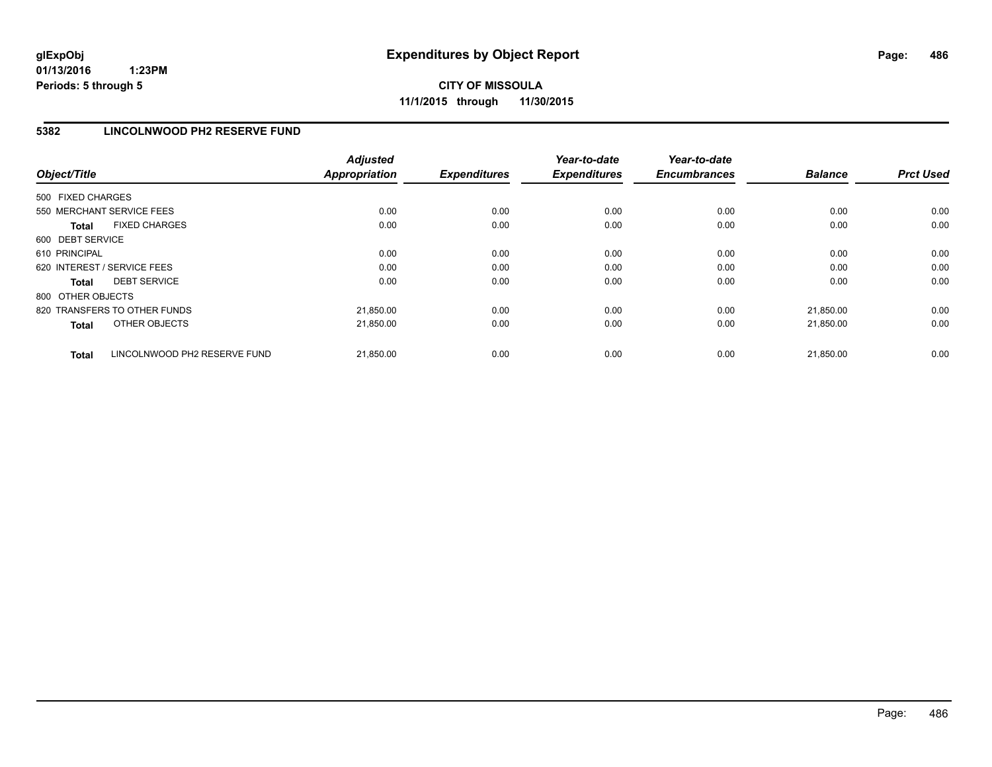**CITY OF MISSOULA 11/1/2015 through 11/30/2015**

# **5382 LINCOLNWOOD PH2 RESERVE FUND**

| Object/Title                                 | <b>Adjusted</b><br><b>Appropriation</b> | <b>Expenditures</b> | Year-to-date<br><b>Expenditures</b> | Year-to-date<br><b>Encumbrances</b> | <b>Balance</b> | <b>Prct Used</b> |
|----------------------------------------------|-----------------------------------------|---------------------|-------------------------------------|-------------------------------------|----------------|------------------|
| 500 FIXED CHARGES                            |                                         |                     |                                     |                                     |                |                  |
| 550 MERCHANT SERVICE FEES                    | 0.00                                    | 0.00                | 0.00                                | 0.00                                | 0.00           | 0.00             |
| <b>FIXED CHARGES</b><br><b>Total</b>         | 0.00                                    | 0.00                | 0.00                                | 0.00                                | 0.00           | 0.00             |
| 600 DEBT SERVICE                             |                                         |                     |                                     |                                     |                |                  |
| 610 PRINCIPAL                                | 0.00                                    | 0.00                | 0.00                                | 0.00                                | 0.00           | 0.00             |
| 620 INTEREST / SERVICE FEES                  | 0.00                                    | 0.00                | 0.00                                | 0.00                                | 0.00           | 0.00             |
| <b>DEBT SERVICE</b><br><b>Total</b>          | 0.00                                    | 0.00                | 0.00                                | 0.00                                | 0.00           | 0.00             |
| 800 OTHER OBJECTS                            |                                         |                     |                                     |                                     |                |                  |
| 820 TRANSFERS TO OTHER FUNDS                 | 21,850.00                               | 0.00                | 0.00                                | 0.00                                | 21,850.00      | 0.00             |
| OTHER OBJECTS<br><b>Total</b>                | 21,850.00                               | 0.00                | 0.00                                | 0.00                                | 21,850.00      | 0.00             |
| LINCOLNWOOD PH2 RESERVE FUND<br><b>Total</b> | 21,850.00                               | 0.00                | 0.00                                | 0.00                                | 21,850.00      | 0.00             |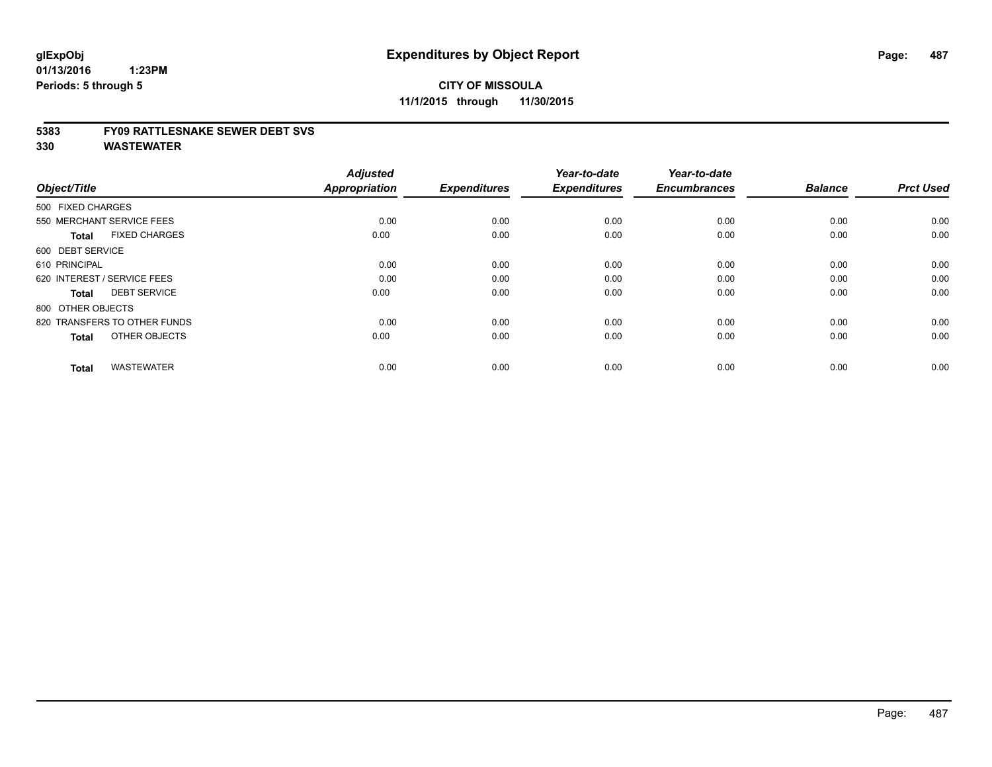#### **5383 FY09 RATTLESNAKE SEWER DEBT SVS**

| Object/Title                         | <b>Adjusted</b><br><b>Appropriation</b> | <b>Expenditures</b> | Year-to-date<br><b>Expenditures</b> | Year-to-date<br><b>Encumbrances</b> | <b>Balance</b> | <b>Prct Used</b> |
|--------------------------------------|-----------------------------------------|---------------------|-------------------------------------|-------------------------------------|----------------|------------------|
| 500 FIXED CHARGES                    |                                         |                     |                                     |                                     |                |                  |
| 550 MERCHANT SERVICE FEES            | 0.00                                    | 0.00                | 0.00                                | 0.00                                | 0.00           | 0.00             |
| <b>FIXED CHARGES</b><br><b>Total</b> | 0.00                                    | 0.00                | 0.00                                | 0.00                                | 0.00           | 0.00             |
| 600 DEBT SERVICE                     |                                         |                     |                                     |                                     |                |                  |
| 610 PRINCIPAL                        | 0.00                                    | 0.00                | 0.00                                | 0.00                                | 0.00           | 0.00             |
| 620 INTEREST / SERVICE FEES          | 0.00                                    | 0.00                | 0.00                                | 0.00                                | 0.00           | 0.00             |
| <b>DEBT SERVICE</b><br><b>Total</b>  | 0.00                                    | 0.00                | 0.00                                | 0.00                                | 0.00           | 0.00             |
| 800 OTHER OBJECTS                    |                                         |                     |                                     |                                     |                |                  |
| 820 TRANSFERS TO OTHER FUNDS         | 0.00                                    | 0.00                | 0.00                                | 0.00                                | 0.00           | 0.00             |
| OTHER OBJECTS<br><b>Total</b>        | 0.00                                    | 0.00                | 0.00                                | 0.00                                | 0.00           | 0.00             |
|                                      |                                         |                     |                                     |                                     |                |                  |
| <b>WASTEWATER</b><br><b>Total</b>    | 0.00                                    | 0.00                | 0.00                                | 0.00                                | 0.00           | 0.00             |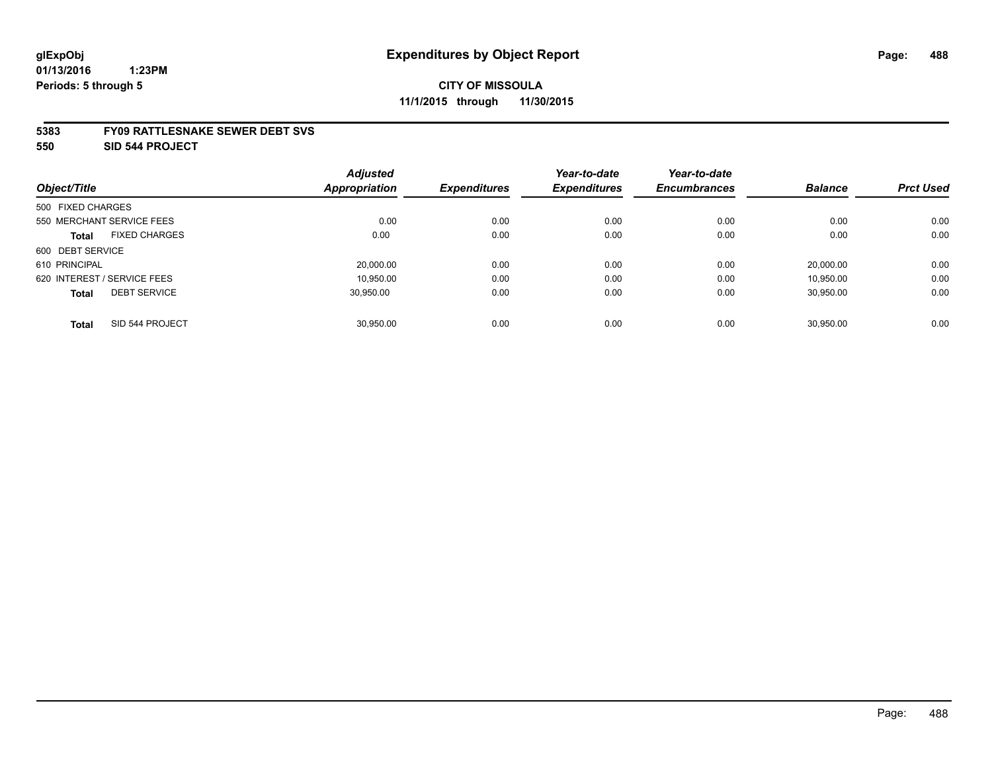#### **5383 FY09 RATTLESNAKE SEWER DEBT SVS**

**550 SID 544 PROJECT**

|                                      | <b>Adjusted</b>      |                     | Year-to-date        | Year-to-date        |                |                  |
|--------------------------------------|----------------------|---------------------|---------------------|---------------------|----------------|------------------|
| Object/Title                         | <b>Appropriation</b> | <b>Expenditures</b> | <b>Expenditures</b> | <b>Encumbrances</b> | <b>Balance</b> | <b>Prct Used</b> |
| 500 FIXED CHARGES                    |                      |                     |                     |                     |                |                  |
| 550 MERCHANT SERVICE FEES            | 0.00                 | 0.00                | 0.00                | 0.00                | 0.00           | 0.00             |
| <b>FIXED CHARGES</b><br><b>Total</b> | 0.00                 | 0.00                | 0.00                | 0.00                | 0.00           | 0.00             |
| 600 DEBT SERVICE                     |                      |                     |                     |                     |                |                  |
| 610 PRINCIPAL                        | 20,000.00            | 0.00                | 0.00                | 0.00                | 20.000.00      | 0.00             |
| 620 INTEREST / SERVICE FEES          | 10.950.00            | 0.00                | 0.00                | 0.00                | 10.950.00      | 0.00             |
| <b>DEBT SERVICE</b><br><b>Total</b>  | 30.950.00            | 0.00                | 0.00                | 0.00                | 30.950.00      | 0.00             |
|                                      |                      |                     |                     |                     |                |                  |
| SID 544 PROJECT<br><b>Total</b>      | 30.950.00            | 0.00                | 0.00                | 0.00                | 30.950.00      | 0.00             |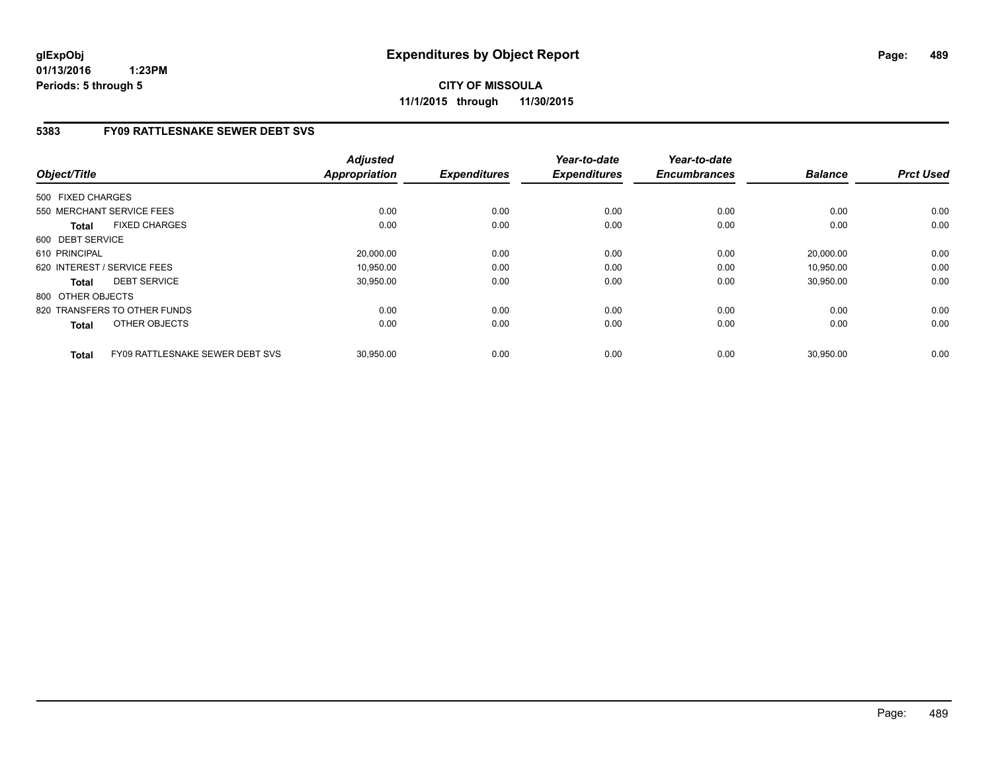**CITY OF MISSOULA 11/1/2015 through 11/30/2015**

# **5383 FY09 RATTLESNAKE SEWER DEBT SVS**

| Object/Title                                           | <b>Adjusted</b><br>Appropriation | <b>Expenditures</b> | Year-to-date<br><b>Expenditures</b> | Year-to-date<br><b>Encumbrances</b> | <b>Balance</b> | <b>Prct Used</b> |
|--------------------------------------------------------|----------------------------------|---------------------|-------------------------------------|-------------------------------------|----------------|------------------|
| 500 FIXED CHARGES                                      |                                  |                     |                                     |                                     |                |                  |
| 550 MERCHANT SERVICE FEES                              | 0.00                             | 0.00                | 0.00                                | 0.00                                | 0.00           | 0.00             |
| <b>FIXED CHARGES</b><br><b>Total</b>                   | 0.00                             | 0.00                | 0.00                                | 0.00                                | 0.00           | 0.00             |
| 600 DEBT SERVICE                                       |                                  |                     |                                     |                                     |                |                  |
| 610 PRINCIPAL                                          | 20,000.00                        | 0.00                | 0.00                                | 0.00                                | 20.000.00      | 0.00             |
| 620 INTEREST / SERVICE FEES                            | 10,950.00                        | 0.00                | 0.00                                | 0.00                                | 10,950.00      | 0.00             |
| <b>DEBT SERVICE</b><br><b>Total</b>                    | 30,950.00                        | 0.00                | 0.00                                | 0.00                                | 30,950.00      | 0.00             |
| 800 OTHER OBJECTS                                      |                                  |                     |                                     |                                     |                |                  |
| 820 TRANSFERS TO OTHER FUNDS                           | 0.00                             | 0.00                | 0.00                                | 0.00                                | 0.00           | 0.00             |
| OTHER OBJECTS<br><b>Total</b>                          | 0.00                             | 0.00                | 0.00                                | 0.00                                | 0.00           | 0.00             |
| <b>FY09 RATTLESNAKE SEWER DEBT SVS</b><br><b>Total</b> | 30,950.00                        | 0.00                | 0.00                                | 0.00                                | 30,950.00      | 0.00             |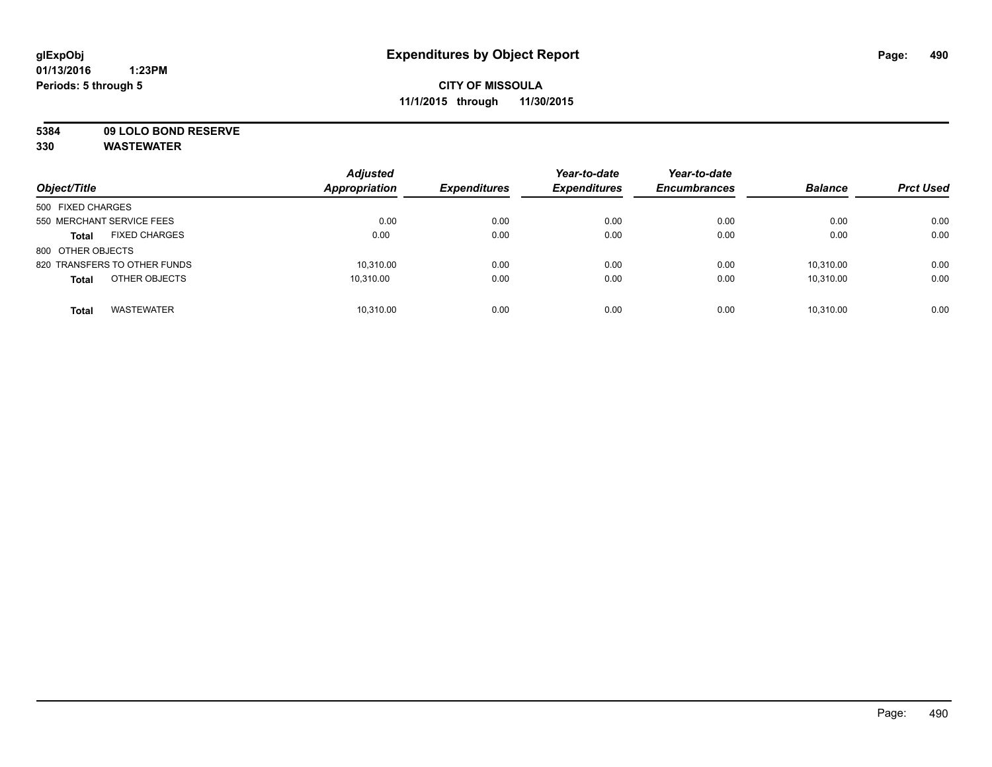**5384 09 LOLO BOND RESERVE**

| Object/Title                         | <b>Adjusted</b><br><b>Appropriation</b> | <b>Expenditures</b> | Year-to-date<br><b>Expenditures</b> | Year-to-date<br><b>Encumbrances</b> | <b>Balance</b> | <b>Prct Used</b> |
|--------------------------------------|-----------------------------------------|---------------------|-------------------------------------|-------------------------------------|----------------|------------------|
| 500 FIXED CHARGES                    |                                         |                     |                                     |                                     |                |                  |
| 550 MERCHANT SERVICE FEES            | 0.00                                    | 0.00                | 0.00                                | 0.00                                | 0.00           | 0.00             |
| <b>FIXED CHARGES</b><br><b>Total</b> | 0.00                                    | 0.00                | 0.00                                | 0.00                                | 0.00           | 0.00             |
| 800 OTHER OBJECTS                    |                                         |                     |                                     |                                     |                |                  |
| 820 TRANSFERS TO OTHER FUNDS         | 10,310.00                               | 0.00                | 0.00                                | 0.00                                | 10,310.00      | 0.00             |
| OTHER OBJECTS<br><b>Total</b>        | 10.310.00                               | 0.00                | 0.00                                | 0.00                                | 10,310.00      | 0.00             |
| <b>WASTEWATER</b><br><b>Total</b>    | 10.310.00                               | 0.00                | 0.00                                | 0.00                                | 10.310.00      | 0.00             |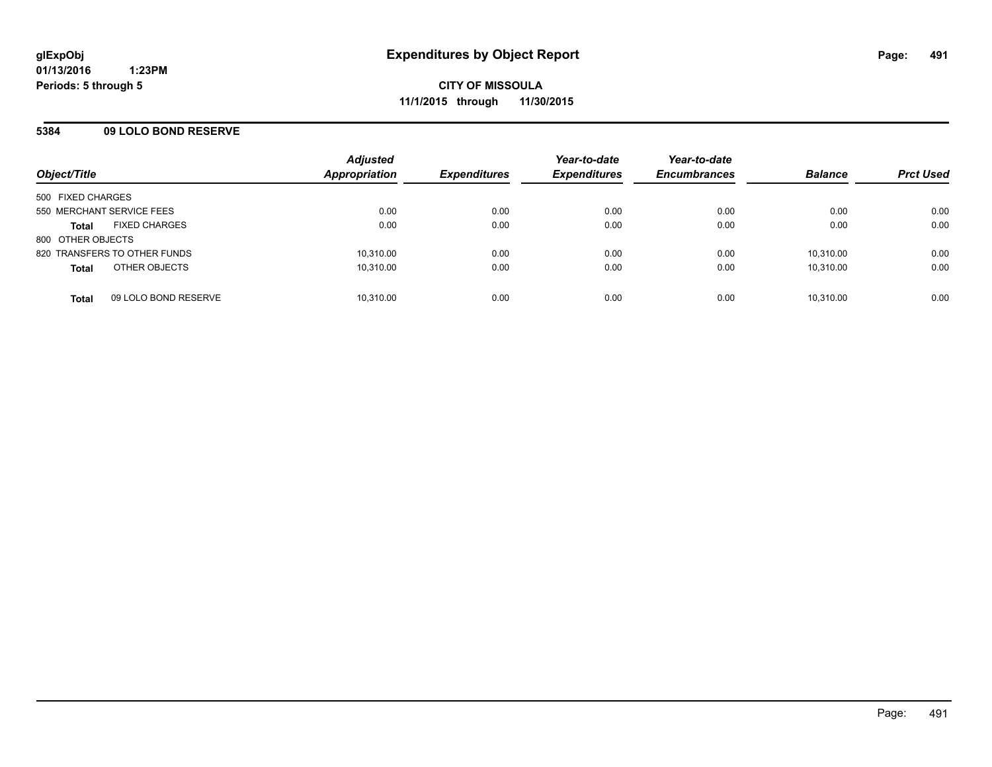### **5384 09 LOLO BOND RESERVE**

| Object/Title              |                              | <b>Adjusted</b><br>Appropriation | <b>Expenditures</b> | Year-to-date<br><b>Expenditures</b> | Year-to-date<br><b>Encumbrances</b> | <b>Balance</b> | <b>Prct Used</b> |
|---------------------------|------------------------------|----------------------------------|---------------------|-------------------------------------|-------------------------------------|----------------|------------------|
| 500 FIXED CHARGES         |                              |                                  |                     |                                     |                                     |                |                  |
| 550 MERCHANT SERVICE FEES |                              | 0.00                             | 0.00                | 0.00                                | 0.00                                | 0.00           | 0.00             |
| <b>Total</b>              | <b>FIXED CHARGES</b>         | 0.00                             | 0.00                | 0.00                                | 0.00                                | 0.00           | 0.00             |
| 800 OTHER OBJECTS         |                              |                                  |                     |                                     |                                     |                |                  |
|                           | 820 TRANSFERS TO OTHER FUNDS | 10,310.00                        | 0.00                | 0.00                                | 0.00                                | 10.310.00      | 0.00             |
| <b>Total</b>              | OTHER OBJECTS                | 10,310.00                        | 0.00                | 0.00                                | 0.00                                | 10,310.00      | 0.00             |
| <b>Total</b>              | 09 LOLO BOND RESERVE         | 10.310.00                        | 0.00                | 0.00                                | 0.00                                | 10.310.00      | 0.00             |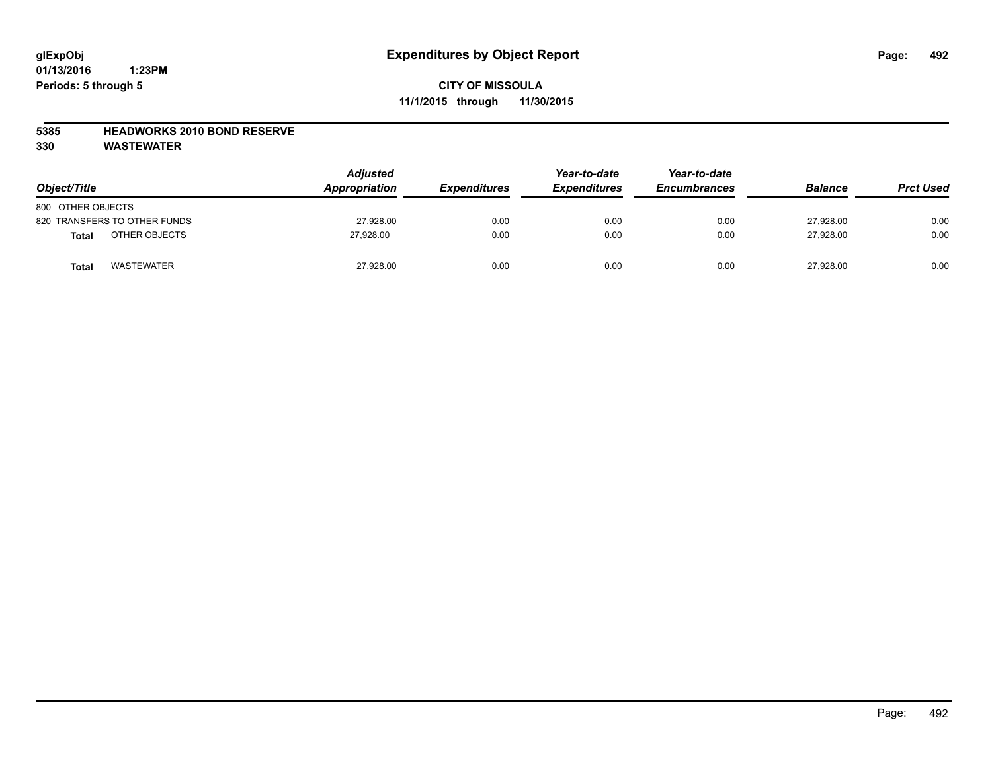### **5385 HEADWORKS 2010 BOND RESERVE**

| Object/Title                 | <b>Adjusted</b><br>Appropriation | <b>Expenditures</b> | Year-to-date<br><b>Expenditures</b> | Year-to-date<br><b>Encumbrances</b> | <b>Balance</b> | <b>Prct Used</b> |
|------------------------------|----------------------------------|---------------------|-------------------------------------|-------------------------------------|----------------|------------------|
| 800 OTHER OBJECTS            |                                  |                     |                                     |                                     |                |                  |
| 820 TRANSFERS TO OTHER FUNDS | 27,928.00                        | 0.00                | 0.00                                | 0.00                                | 27,928.00      | 0.00             |
| OTHER OBJECTS<br>Total       | 27.928.00                        | 0.00                | 0.00                                | 0.00                                | 27.928.00      | 0.00             |
| <b>WASTEWATER</b><br>Total   | 27,928.00                        | 0.00                | 0.00                                | 0.00                                | 27,928.00      | 0.00             |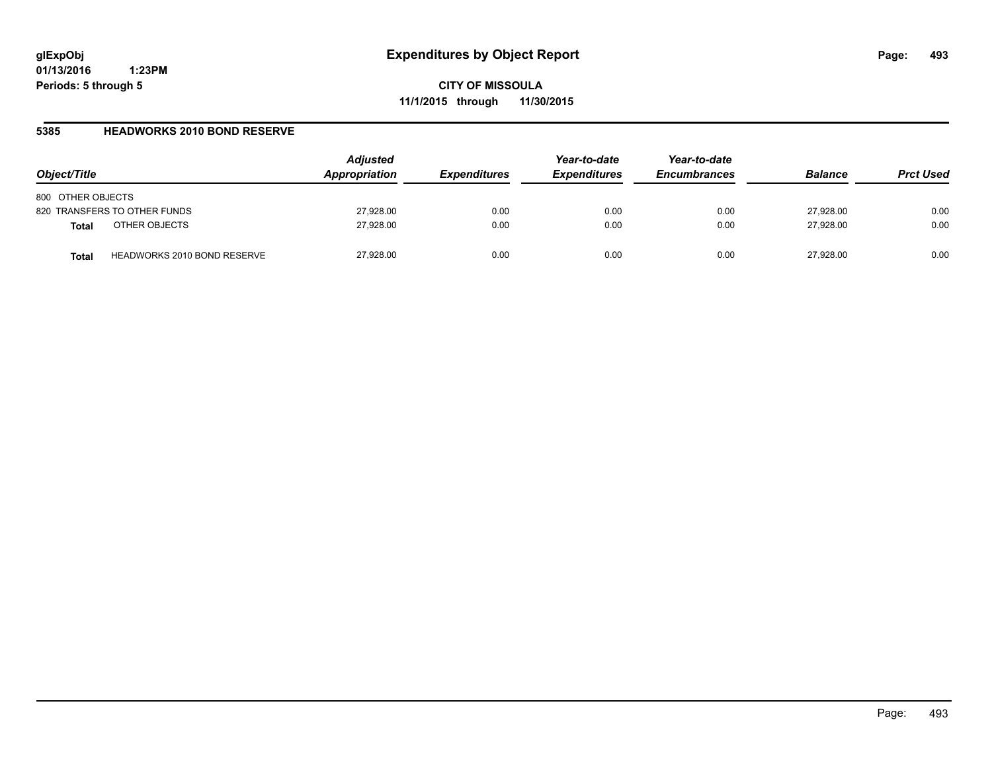**CITY OF MISSOULA 11/1/2015 through 11/30/2015**

### **5385 HEADWORKS 2010 BOND RESERVE**

| Object/Title                                | <b>Adjusted</b><br>Appropriation | <b>Expenditures</b> | Year-to-date<br><b>Expenditures</b> | Year-to-date<br><b>Encumbrances</b> | <b>Balance</b> | <b>Prct Used</b> |
|---------------------------------------------|----------------------------------|---------------------|-------------------------------------|-------------------------------------|----------------|------------------|
| 800 OTHER OBJECTS                           |                                  |                     |                                     |                                     |                |                  |
| 820 TRANSFERS TO OTHER FUNDS                | 27,928.00                        | 0.00                | 0.00                                | 0.00                                | 27,928.00      | 0.00             |
| OTHER OBJECTS<br><b>Total</b>               | 27,928.00                        | 0.00                | 0.00                                | 0.00                                | 27.928.00      | 0.00             |
| <b>HEADWORKS 2010 BOND RESERVE</b><br>Total | 27,928.00                        | 0.00                | 0.00                                | 0.00                                | 27.928.00      | 0.00             |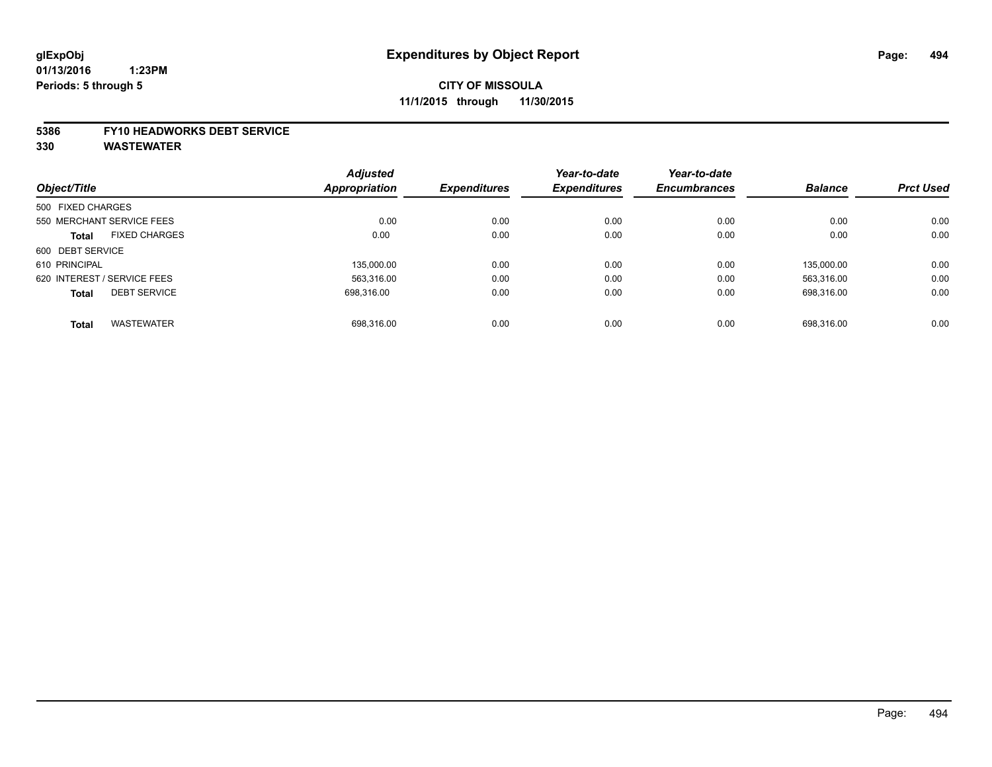# **CITY OF MISSOULA 11/1/2015 through 11/30/2015**

#### **5386 FY10 HEADWORKS DEBT SERVICE**

|                   |                             | <b>Adjusted</b>      |                     | Year-to-date        | Year-to-date        |                |                  |
|-------------------|-----------------------------|----------------------|---------------------|---------------------|---------------------|----------------|------------------|
| Object/Title      |                             | <b>Appropriation</b> | <b>Expenditures</b> | <b>Expenditures</b> | <b>Encumbrances</b> | <b>Balance</b> | <b>Prct Used</b> |
| 500 FIXED CHARGES |                             |                      |                     |                     |                     |                |                  |
|                   | 550 MERCHANT SERVICE FEES   | 0.00                 | 0.00                | 0.00                | 0.00                | 0.00           | 0.00             |
| Total             | <b>FIXED CHARGES</b>        | 0.00                 | 0.00                | 0.00                | 0.00                | 0.00           | 0.00             |
| 600 DEBT SERVICE  |                             |                      |                     |                     |                     |                |                  |
| 610 PRINCIPAL     |                             | 135.000.00           | 0.00                | 0.00                | 0.00                | 135.000.00     | 0.00             |
|                   | 620 INTEREST / SERVICE FEES | 563.316.00           | 0.00                | 0.00                | 0.00                | 563.316.00     | 0.00             |
| <b>Total</b>      | <b>DEBT SERVICE</b>         | 698.316.00           | 0.00                | 0.00                | 0.00                | 698.316.00     | 0.00             |
|                   |                             |                      |                     |                     |                     |                |                  |
| <b>Total</b>      | <b>WASTEWATER</b>           | 698.316.00           | 0.00                | 0.00                | 0.00                | 698.316.00     | 0.00             |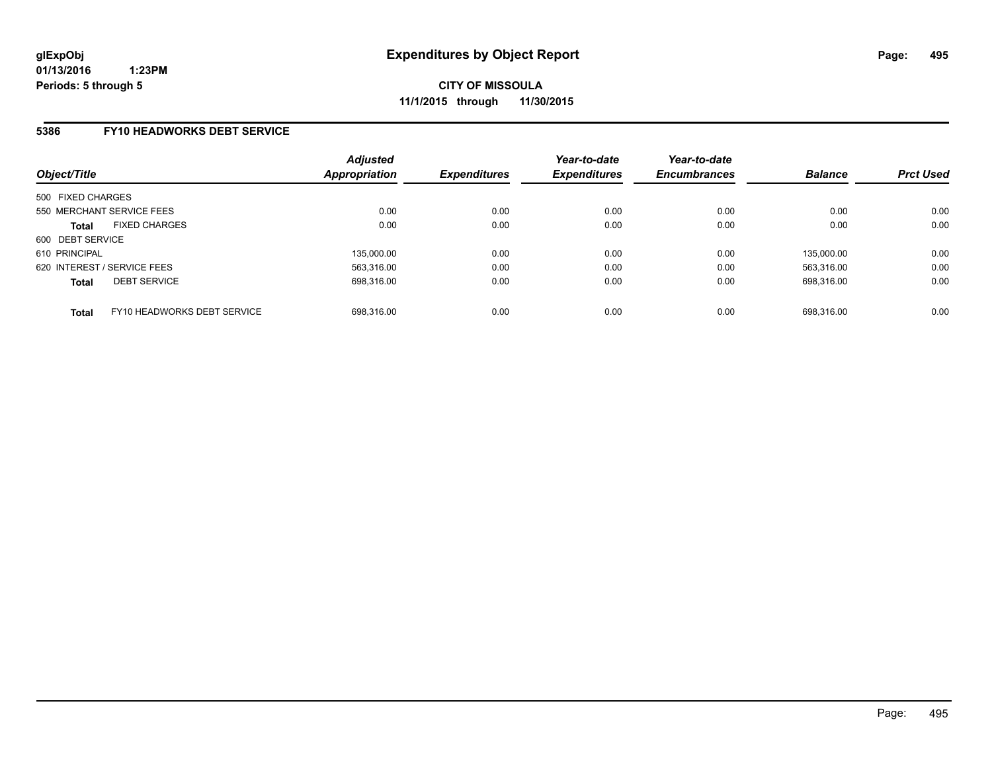### **5386 FY10 HEADWORKS DEBT SERVICE**

| Object/Title                                | <b>Adjusted</b><br>Appropriation | <b>Expenditures</b> | Year-to-date<br><b>Expenditures</b> | Year-to-date<br><b>Encumbrances</b> | <b>Balance</b> | <b>Prct Used</b> |
|---------------------------------------------|----------------------------------|---------------------|-------------------------------------|-------------------------------------|----------------|------------------|
| 500 FIXED CHARGES                           |                                  |                     |                                     |                                     |                |                  |
| 550 MERCHANT SERVICE FEES                   | 0.00                             | 0.00                | 0.00                                | 0.00                                | 0.00           | 0.00             |
| <b>FIXED CHARGES</b><br><b>Total</b>        | 0.00                             | 0.00                | 0.00                                | 0.00                                | 0.00           | 0.00             |
| 600 DEBT SERVICE                            |                                  |                     |                                     |                                     |                |                  |
| 610 PRINCIPAL                               | 135,000.00                       | 0.00                | 0.00                                | 0.00                                | 135.000.00     | 0.00             |
| 620 INTEREST / SERVICE FEES                 | 563,316.00                       | 0.00                | 0.00                                | 0.00                                | 563.316.00     | 0.00             |
| <b>DEBT SERVICE</b><br><b>Total</b>         | 698.316.00                       | 0.00                | 0.00                                | 0.00                                | 698.316.00     | 0.00             |
| FY10 HEADWORKS DEBT SERVICE<br><b>Total</b> | 698.316.00                       | 0.00                | 0.00                                | 0.00                                | 698.316.00     | 0.00             |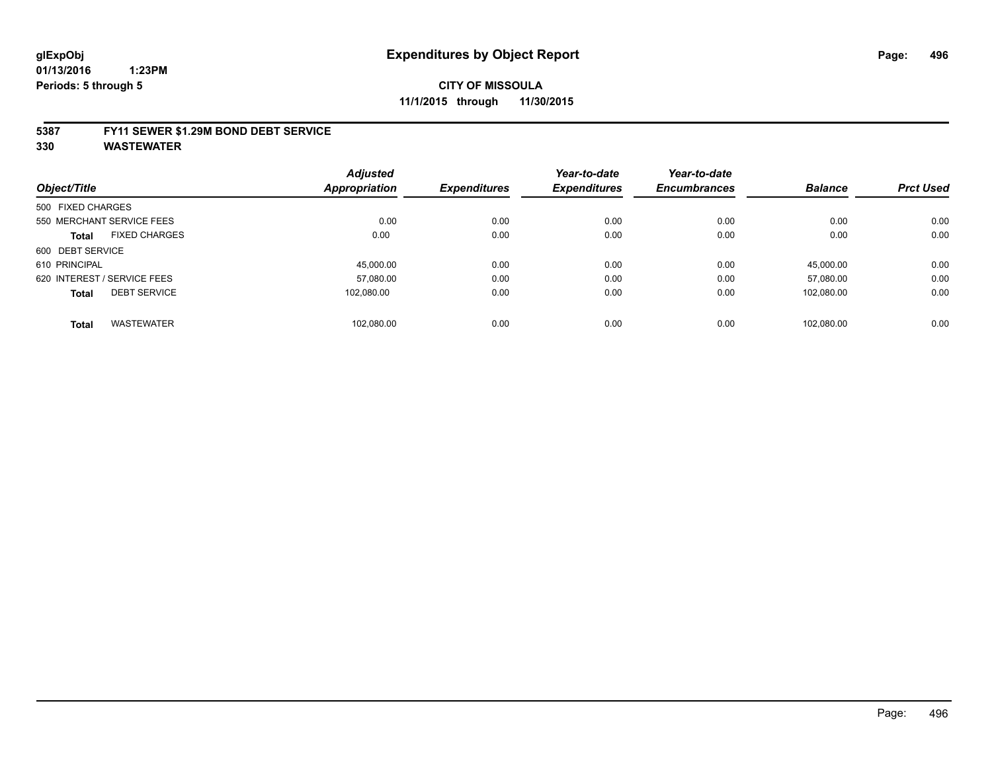#### **5387 FY11 SEWER \$1.29M BOND DEBT SERVICE**

|                   |                             | <b>Adjusted</b> |                     | Year-to-date        | Year-to-date        |                |                  |
|-------------------|-----------------------------|-----------------|---------------------|---------------------|---------------------|----------------|------------------|
| Object/Title      |                             | Appropriation   | <b>Expenditures</b> | <b>Expenditures</b> | <b>Encumbrances</b> | <b>Balance</b> | <b>Prct Used</b> |
| 500 FIXED CHARGES |                             |                 |                     |                     |                     |                |                  |
|                   | 550 MERCHANT SERVICE FEES   | 0.00            | 0.00                | 0.00                | 0.00                | 0.00           | 0.00             |
| <b>Total</b>      | <b>FIXED CHARGES</b>        | 0.00            | 0.00                | 0.00                | 0.00                | 0.00           | 0.00             |
| 600 DEBT SERVICE  |                             |                 |                     |                     |                     |                |                  |
| 610 PRINCIPAL     |                             | 45.000.00       | 0.00                | 0.00                | 0.00                | 45.000.00      | 0.00             |
|                   | 620 INTEREST / SERVICE FEES | 57,080.00       | 0.00                | 0.00                | 0.00                | 57.080.00      | 0.00             |
| <b>Total</b>      | <b>DEBT SERVICE</b>         | 102.080.00      | 0.00                | 0.00                | 0.00                | 102.080.00     | 0.00             |
| <b>Total</b>      | <b>WASTEWATER</b>           | 102.080.00      | 0.00                | 0.00                | 0.00                | 102.080.00     | 0.00             |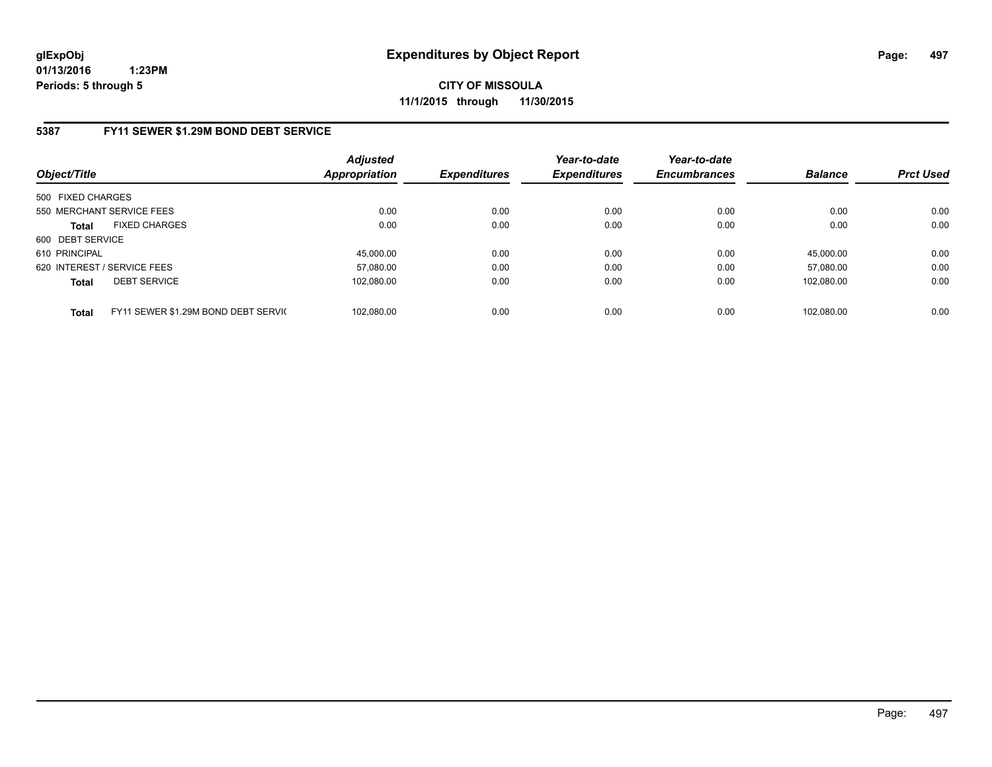**CITY OF MISSOULA 11/1/2015 through 11/30/2015**

# **5387 FY11 SEWER \$1.29M BOND DEBT SERVICE**

| Object/Title                                        | <b>Adjusted</b><br><b>Appropriation</b> | <b>Expenditures</b> | Year-to-date<br><b>Expenditures</b> | Year-to-date<br><b>Encumbrances</b> | <b>Balance</b> | <b>Prct Used</b> |
|-----------------------------------------------------|-----------------------------------------|---------------------|-------------------------------------|-------------------------------------|----------------|------------------|
| 500 FIXED CHARGES                                   |                                         |                     |                                     |                                     |                |                  |
| 550 MERCHANT SERVICE FEES                           | 0.00                                    | 0.00                | 0.00                                | 0.00                                | 0.00           | 0.00             |
| <b>FIXED CHARGES</b><br><b>Total</b>                | 0.00                                    | 0.00                | 0.00                                | 0.00                                | 0.00           | 0.00             |
| 600 DEBT SERVICE                                    |                                         |                     |                                     |                                     |                |                  |
| 610 PRINCIPAL                                       | 45.000.00                               | 0.00                | 0.00                                | 0.00                                | 45.000.00      | 0.00             |
| 620 INTEREST / SERVICE FEES                         | 57,080.00                               | 0.00                | 0.00                                | 0.00                                | 57.080.00      | 0.00             |
| <b>DEBT SERVICE</b><br><b>Total</b>                 | 102.080.00                              | 0.00                | 0.00                                | 0.00                                | 102.080.00     | 0.00             |
|                                                     |                                         |                     |                                     |                                     |                |                  |
| FY11 SEWER \$1.29M BOND DEBT SERVIC<br><b>Total</b> | 102.080.00                              | 0.00                | 0.00                                | 0.00                                | 102.080.00     | 0.00             |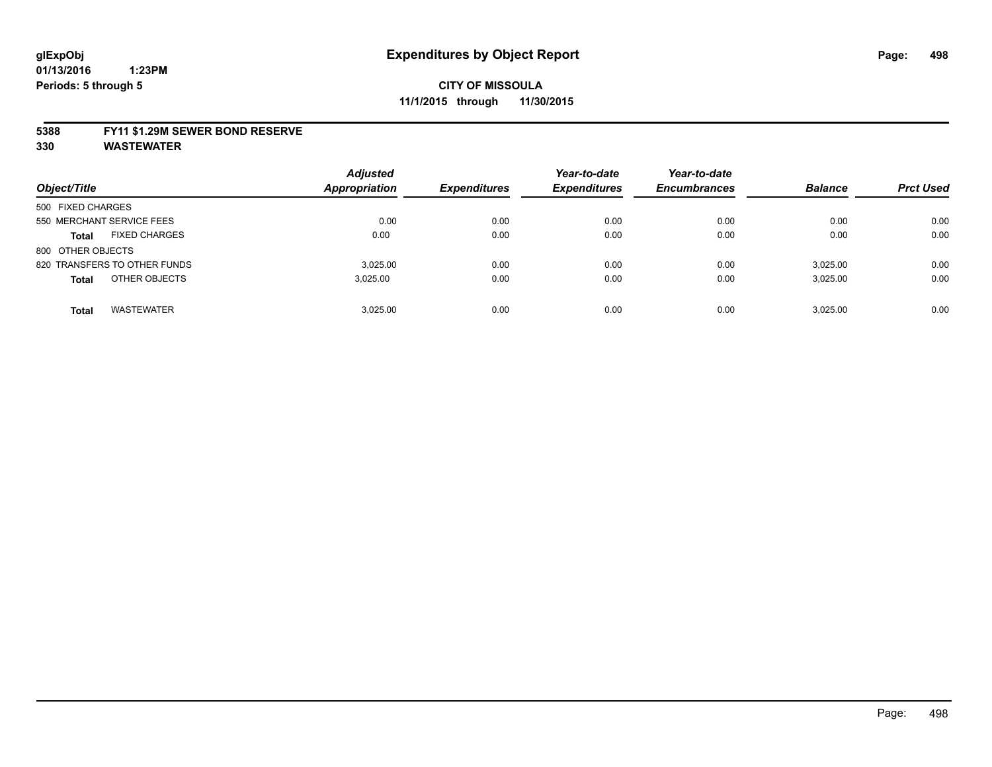#### **5388 FY11 \$1.29M SEWER BOND RESERVE**

| Object/Title                         | <b>Adjusted</b><br><b>Appropriation</b> | <b>Expenditures</b> | Year-to-date<br><b>Expenditures</b> | Year-to-date<br><b>Encumbrances</b> | <b>Balance</b> | <b>Prct Used</b> |
|--------------------------------------|-----------------------------------------|---------------------|-------------------------------------|-------------------------------------|----------------|------------------|
| 500 FIXED CHARGES                    |                                         |                     |                                     |                                     |                |                  |
| 550 MERCHANT SERVICE FEES            | 0.00                                    | 0.00                | 0.00                                | 0.00                                | 0.00           | 0.00             |
| <b>FIXED CHARGES</b><br><b>Total</b> | 0.00                                    | 0.00                | 0.00                                | 0.00                                | 0.00           | 0.00             |
| 800 OTHER OBJECTS                    |                                         |                     |                                     |                                     |                |                  |
| 820 TRANSFERS TO OTHER FUNDS         | 3.025.00                                | 0.00                | 0.00                                | 0.00                                | 3,025.00       | 0.00             |
| OTHER OBJECTS<br><b>Total</b>        | 3,025.00                                | 0.00                | 0.00                                | 0.00                                | 3,025.00       | 0.00             |
| <b>WASTEWATER</b><br><b>Total</b>    | 3.025.00                                | 0.00                | 0.00                                | 0.00                                | 3.025.00       | 0.00             |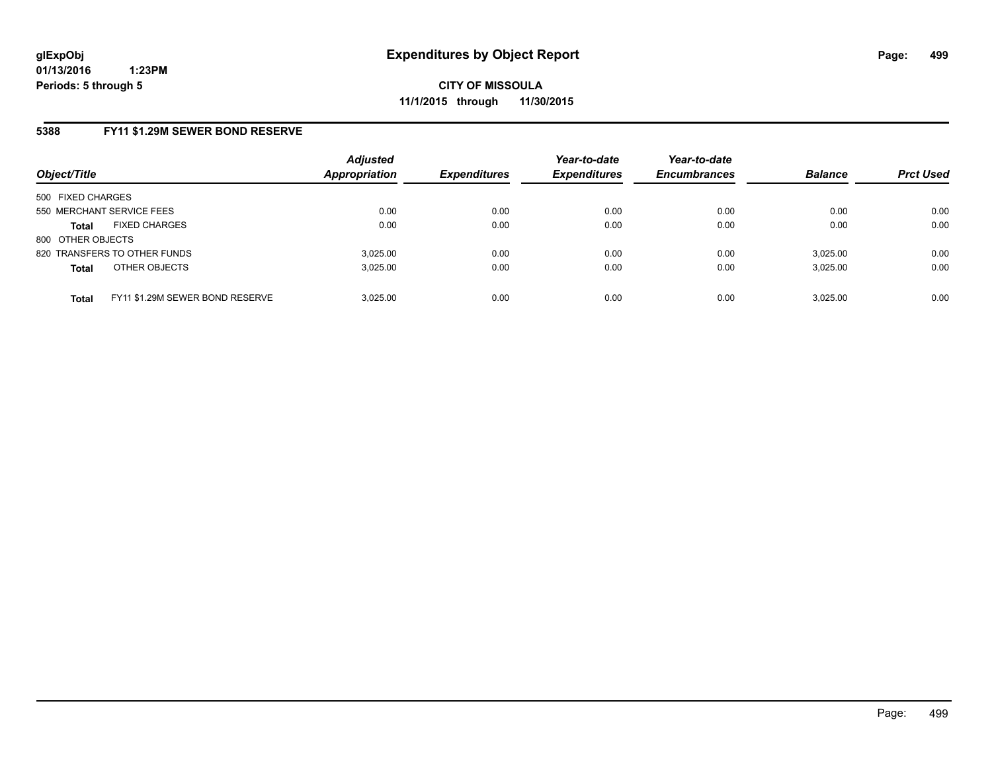# **5388 FY11 \$1.29M SEWER BOND RESERVE**

| Object/Title              |                                 | <b>Adjusted</b><br><b>Appropriation</b> | <b>Expenditures</b> | Year-to-date<br><b>Expenditures</b> | Year-to-date<br><b>Encumbrances</b> | <b>Balance</b> | <b>Prct Used</b> |
|---------------------------|---------------------------------|-----------------------------------------|---------------------|-------------------------------------|-------------------------------------|----------------|------------------|
| 500 FIXED CHARGES         |                                 |                                         |                     |                                     |                                     |                |                  |
| 550 MERCHANT SERVICE FEES |                                 | 0.00                                    | 0.00                | 0.00                                | 0.00                                | 0.00           | 0.00             |
| <b>Total</b>              | <b>FIXED CHARGES</b>            | 0.00                                    | 0.00                | 0.00                                | 0.00                                | 0.00           | 0.00             |
| 800 OTHER OBJECTS         |                                 |                                         |                     |                                     |                                     |                |                  |
|                           | 820 TRANSFERS TO OTHER FUNDS    | 3.025.00                                | 0.00                | 0.00                                | 0.00                                | 3.025.00       | 0.00             |
| <b>Total</b>              | OTHER OBJECTS                   | 3.025.00                                | 0.00                | 0.00                                | 0.00                                | 3,025.00       | 0.00             |
| <b>Total</b>              | FY11 \$1.29M SEWER BOND RESERVE | 3.025.00                                | 0.00                | 0.00                                | 0.00                                | 3.025.00       | 0.00             |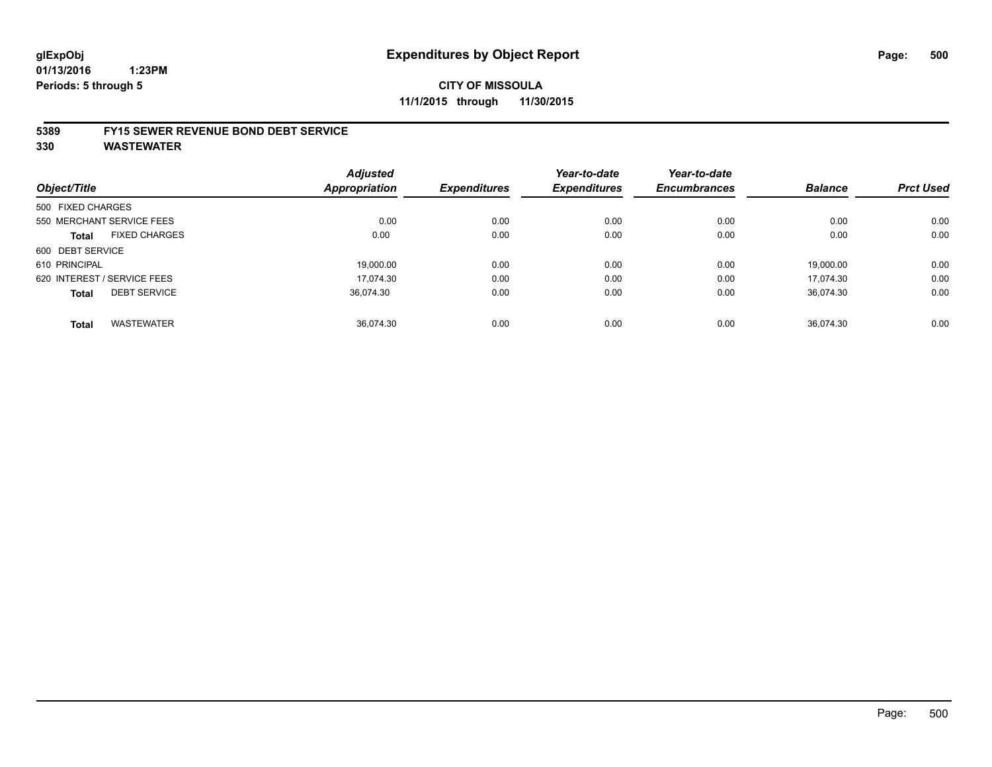#### **5389 FY15 SEWER REVENUE BOND DEBT SERVICE**

|                   |                             | <b>Adjusted</b> |                     | Year-to-date        | Year-to-date        |                |                  |
|-------------------|-----------------------------|-----------------|---------------------|---------------------|---------------------|----------------|------------------|
| Object/Title      |                             | Appropriation   | <b>Expenditures</b> | <b>Expenditures</b> | <b>Encumbrances</b> | <b>Balance</b> | <b>Prct Used</b> |
| 500 FIXED CHARGES |                             |                 |                     |                     |                     |                |                  |
|                   | 550 MERCHANT SERVICE FEES   | 0.00            | 0.00                | 0.00                | 0.00                | 0.00           | 0.00             |
| <b>Total</b>      | <b>FIXED CHARGES</b>        | 0.00            | 0.00                | 0.00                | 0.00                | 0.00           | 0.00             |
| 600 DEBT SERVICE  |                             |                 |                     |                     |                     |                |                  |
| 610 PRINCIPAL     |                             | 19.000.00       | 0.00                | 0.00                | 0.00                | 19.000.00      | 0.00             |
|                   | 620 INTEREST / SERVICE FEES | 17.074.30       | 0.00                | 0.00                | 0.00                | 17.074.30      | 0.00             |
| <b>Total</b>      | <b>DEBT SERVICE</b>         | 36.074.30       | 0.00                | 0.00                | 0.00                | 36.074.30      | 0.00             |
| <b>Total</b>      | <b>WASTEWATER</b>           | 36.074.30       | 0.00                | 0.00                | 0.00                | 36.074.30      | 0.00             |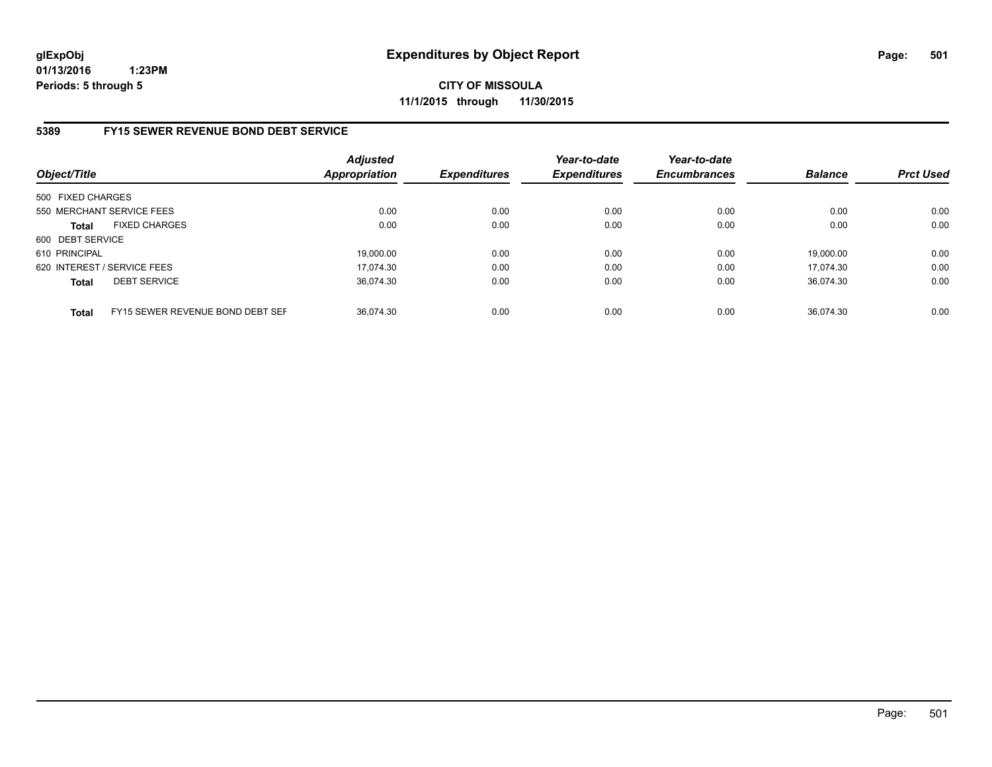**CITY OF MISSOULA 11/1/2015 through 11/30/2015**

### **5389 FY15 SEWER REVENUE BOND DEBT SERVICE**

| Object/Title      |                                  | Adjusted<br><b>Appropriation</b> | <b>Expenditures</b> | Year-to-date<br><b>Expenditures</b> | Year-to-date<br><b>Encumbrances</b> | <b>Balance</b> | <b>Prct Used</b> |
|-------------------|----------------------------------|----------------------------------|---------------------|-------------------------------------|-------------------------------------|----------------|------------------|
| 500 FIXED CHARGES |                                  |                                  |                     |                                     |                                     |                |                  |
|                   | 550 MERCHANT SERVICE FEES        | 0.00                             | 0.00                | 0.00                                | 0.00                                | 0.00           | 0.00             |
| <b>Total</b>      | <b>FIXED CHARGES</b>             | 0.00                             | 0.00                | 0.00                                | 0.00                                | 0.00           | 0.00             |
| 600 DEBT SERVICE  |                                  |                                  |                     |                                     |                                     |                |                  |
| 610 PRINCIPAL     |                                  | 19.000.00                        | 0.00                | 0.00                                | 0.00                                | 19.000.00      | 0.00             |
|                   | 620 INTEREST / SERVICE FEES      | 17.074.30                        | 0.00                | 0.00                                | 0.00                                | 17.074.30      | 0.00             |
| <b>Total</b>      | <b>DEBT SERVICE</b>              | 36.074.30                        | 0.00                | 0.00                                | 0.00                                | 36.074.30      | 0.00             |
| <b>Total</b>      | FY15 SEWER REVENUE BOND DEBT SEF | 36.074.30                        | 0.00                | 0.00                                | 0.00                                | 36.074.30      | 0.00             |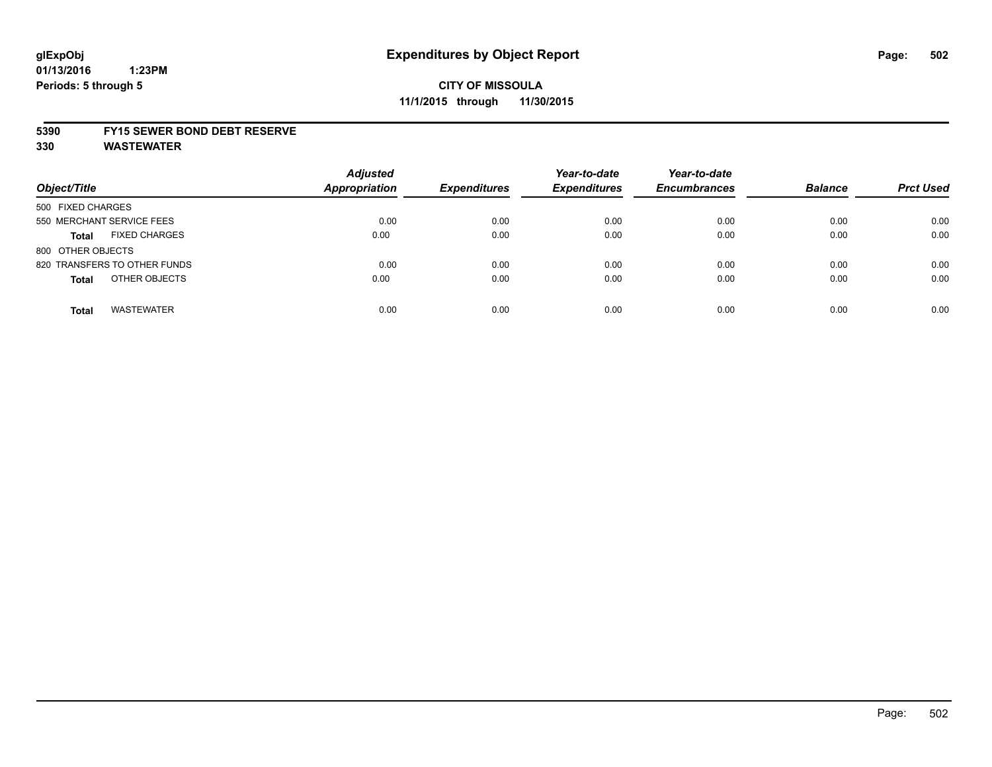# **CITY OF MISSOULA 11/1/2015 through 11/30/2015**

#### **5390 FY15 SEWER BOND DEBT RESERVE**

| Object/Title                         | <b>Adjusted</b><br><b>Appropriation</b> | <b>Expenditures</b> | Year-to-date<br><b>Expenditures</b> | Year-to-date<br><b>Encumbrances</b> | <b>Balance</b> | <b>Prct Used</b> |
|--------------------------------------|-----------------------------------------|---------------------|-------------------------------------|-------------------------------------|----------------|------------------|
| 500 FIXED CHARGES                    |                                         |                     |                                     |                                     |                |                  |
| 550 MERCHANT SERVICE FEES            | 0.00                                    | 0.00                | 0.00                                | 0.00                                | 0.00           | 0.00             |
| <b>FIXED CHARGES</b><br><b>Total</b> | 0.00                                    | 0.00                | 0.00                                | 0.00                                | 0.00           | 0.00             |
| 800 OTHER OBJECTS                    |                                         |                     |                                     |                                     |                |                  |
| 820 TRANSFERS TO OTHER FUNDS         | 0.00                                    | 0.00                | 0.00                                | 0.00                                | 0.00           | 0.00             |
| OTHER OBJECTS<br><b>Total</b>        | 0.00                                    | 0.00                | 0.00                                | 0.00                                | 0.00           | 0.00             |
| <b>WASTEWATER</b><br><b>Total</b>    | 0.00                                    | 0.00                | 0.00                                | 0.00                                | 0.00           | 0.00             |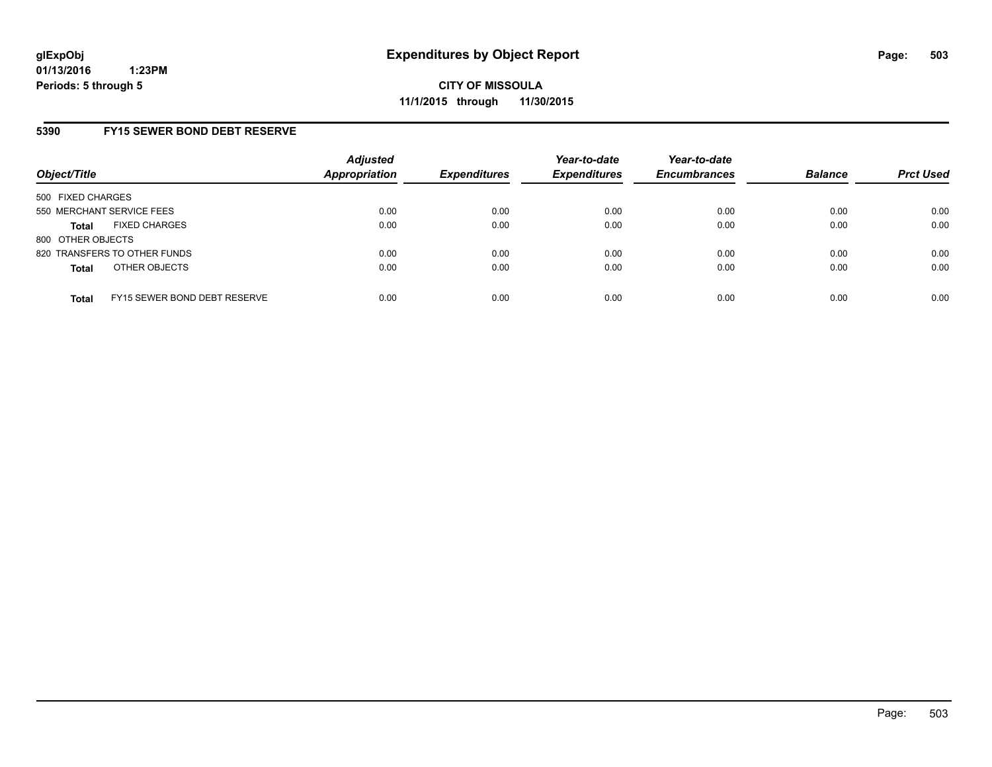# **5390 FY15 SEWER BOND DEBT RESERVE**

| Object/Title              |                              | <b>Adjusted</b><br>Appropriation | <b>Expenditures</b> | Year-to-date<br><b>Expenditures</b> | Year-to-date<br><b>Encumbrances</b> | <b>Balance</b> | <b>Prct Used</b> |
|---------------------------|------------------------------|----------------------------------|---------------------|-------------------------------------|-------------------------------------|----------------|------------------|
| 500 FIXED CHARGES         |                              |                                  |                     |                                     |                                     |                |                  |
| 550 MERCHANT SERVICE FEES |                              | 0.00                             | 0.00                | 0.00                                | 0.00                                | 0.00           | 0.00             |
| <b>Total</b>              | <b>FIXED CHARGES</b>         | 0.00                             | 0.00                | 0.00                                | 0.00                                | 0.00           | 0.00             |
| 800 OTHER OBJECTS         |                              |                                  |                     |                                     |                                     |                |                  |
|                           | 820 TRANSFERS TO OTHER FUNDS | 0.00                             | 0.00                | 0.00                                | 0.00                                | 0.00           | 0.00             |
| <b>Total</b>              | OTHER OBJECTS                | 0.00                             | 0.00                | 0.00                                | 0.00                                | 0.00           | 0.00             |
| <b>Total</b>              | FY15 SEWER BOND DEBT RESERVE | 0.00                             | 0.00                | 0.00                                | 0.00                                | 0.00           | 0.00             |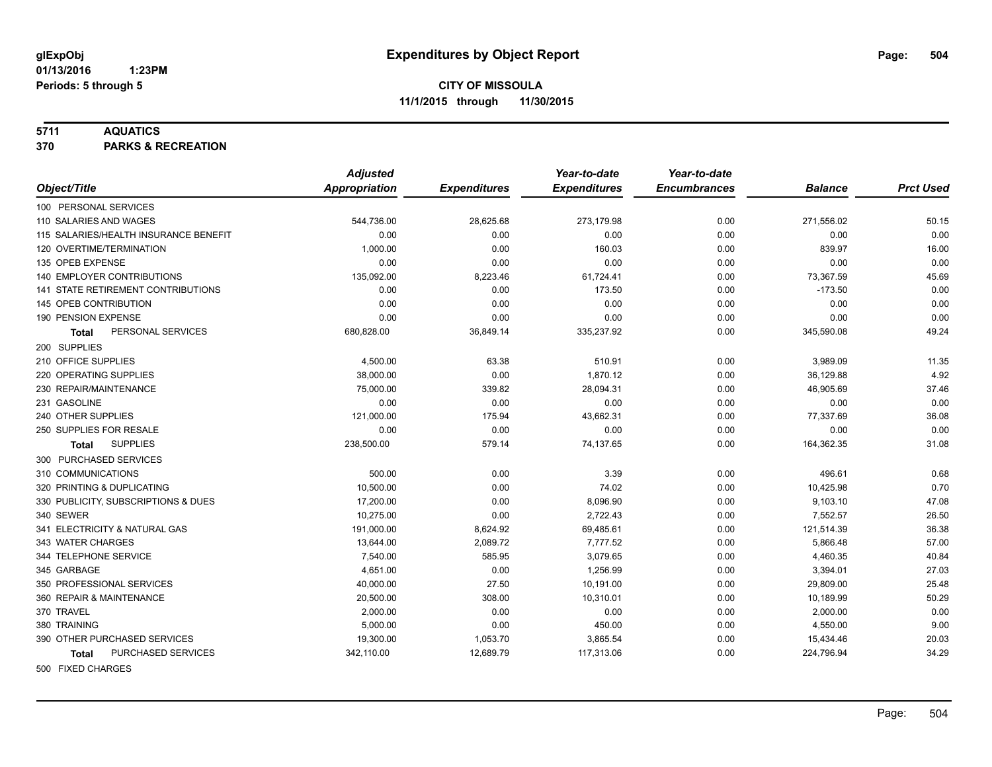#### **5711 AQUATICS**

**370 PARKS & RECREATION**

|                                           | <b>Adjusted</b>      |                     | Year-to-date        | Year-to-date        |                |                  |
|-------------------------------------------|----------------------|---------------------|---------------------|---------------------|----------------|------------------|
| Object/Title                              | <b>Appropriation</b> | <b>Expenditures</b> | <b>Expenditures</b> | <b>Encumbrances</b> | <b>Balance</b> | <b>Prct Used</b> |
| 100 PERSONAL SERVICES                     |                      |                     |                     |                     |                |                  |
| 110 SALARIES AND WAGES                    | 544,736.00           | 28,625.68           | 273,179.98          | 0.00                | 271,556.02     | 50.15            |
| 115 SALARIES/HEALTH INSURANCE BENEFIT     | 0.00                 | 0.00                | 0.00                | 0.00                | 0.00           | 0.00             |
| 120 OVERTIME/TERMINATION                  | 1,000.00             | 0.00                | 160.03              | 0.00                | 839.97         | 16.00            |
| 135 OPEB EXPENSE                          | 0.00                 | 0.00                | 0.00                | 0.00                | 0.00           | 0.00             |
| 140 EMPLOYER CONTRIBUTIONS                | 135,092.00           | 8,223.46            | 61,724.41           | 0.00                | 73,367.59      | 45.69            |
| <b>141 STATE RETIREMENT CONTRIBUTIONS</b> | 0.00                 | 0.00                | 173.50              | 0.00                | $-173.50$      | 0.00             |
| 145 OPEB CONTRIBUTION                     | 0.00                 | 0.00                | 0.00                | 0.00                | 0.00           | 0.00             |
| 190 PENSION EXPENSE                       | 0.00                 | 0.00                | 0.00                | 0.00                | 0.00           | 0.00             |
| PERSONAL SERVICES<br>Total                | 680,828.00           | 36,849.14           | 335,237.92          | 0.00                | 345,590.08     | 49.24            |
| 200 SUPPLIES                              |                      |                     |                     |                     |                |                  |
| 210 OFFICE SUPPLIES                       | 4,500.00             | 63.38               | 510.91              | 0.00                | 3,989.09       | 11.35            |
| 220 OPERATING SUPPLIES                    | 38,000.00            | 0.00                | 1,870.12            | 0.00                | 36,129.88      | 4.92             |
| 230 REPAIR/MAINTENANCE                    | 75,000.00            | 339.82              | 28,094.31           | 0.00                | 46,905.69      | 37.46            |
| 231 GASOLINE                              | 0.00                 | 0.00                | 0.00                | 0.00                | 0.00           | 0.00             |
| 240 OTHER SUPPLIES                        | 121,000.00           | 175.94              | 43,662.31           | 0.00                | 77,337.69      | 36.08            |
| 250 SUPPLIES FOR RESALE                   | 0.00                 | 0.00                | 0.00                | 0.00                | 0.00           | 0.00             |
| <b>SUPPLIES</b><br>Total                  | 238,500.00           | 579.14              | 74,137.65           | 0.00                | 164,362.35     | 31.08            |
| 300 PURCHASED SERVICES                    |                      |                     |                     |                     |                |                  |
| 310 COMMUNICATIONS                        | 500.00               | 0.00                | 3.39                | 0.00                | 496.61         | 0.68             |
| 320 PRINTING & DUPLICATING                | 10,500.00            | 0.00                | 74.02               | 0.00                | 10,425.98      | 0.70             |
| 330 PUBLICITY, SUBSCRIPTIONS & DUES       | 17,200.00            | 0.00                | 8,096.90            | 0.00                | 9,103.10       | 47.08            |
| 340 SEWER                                 | 10,275.00            | 0.00                | 2,722.43            | 0.00                | 7,552.57       | 26.50            |
| 341 ELECTRICITY & NATURAL GAS             | 191,000.00           | 8,624.92            | 69,485.61           | 0.00                | 121,514.39     | 36.38            |
| 343 WATER CHARGES                         | 13,644.00            | 2,089.72            | 7,777.52            | 0.00                | 5,866.48       | 57.00            |
| 344 TELEPHONE SERVICE                     | 7,540.00             | 585.95              | 3,079.65            | 0.00                | 4,460.35       | 40.84            |
| 345 GARBAGE                               | 4,651.00             | 0.00                | 1,256.99            | 0.00                | 3,394.01       | 27.03            |
| 350 PROFESSIONAL SERVICES                 | 40,000.00            | 27.50               | 10,191.00           | 0.00                | 29,809.00      | 25.48            |
| 360 REPAIR & MAINTENANCE                  | 20,500.00            | 308.00              | 10,310.01           | 0.00                | 10,189.99      | 50.29            |
| 370 TRAVEL                                | 2,000.00             | 0.00                | 0.00                | 0.00                | 2,000.00       | 0.00             |
| 380 TRAINING                              | 5,000.00             | 0.00                | 450.00              | 0.00                | 4,550.00       | 9.00             |
| 390 OTHER PURCHASED SERVICES              | 19,300.00            | 1,053.70            | 3,865.54            | 0.00                | 15,434.46      | 20.03            |
| PURCHASED SERVICES<br><b>Total</b>        | 342,110.00           | 12,689.79           | 117,313.06          | 0.00                | 224,796.94     | 34.29            |
| 500 FIXED CHARGES                         |                      |                     |                     |                     |                |                  |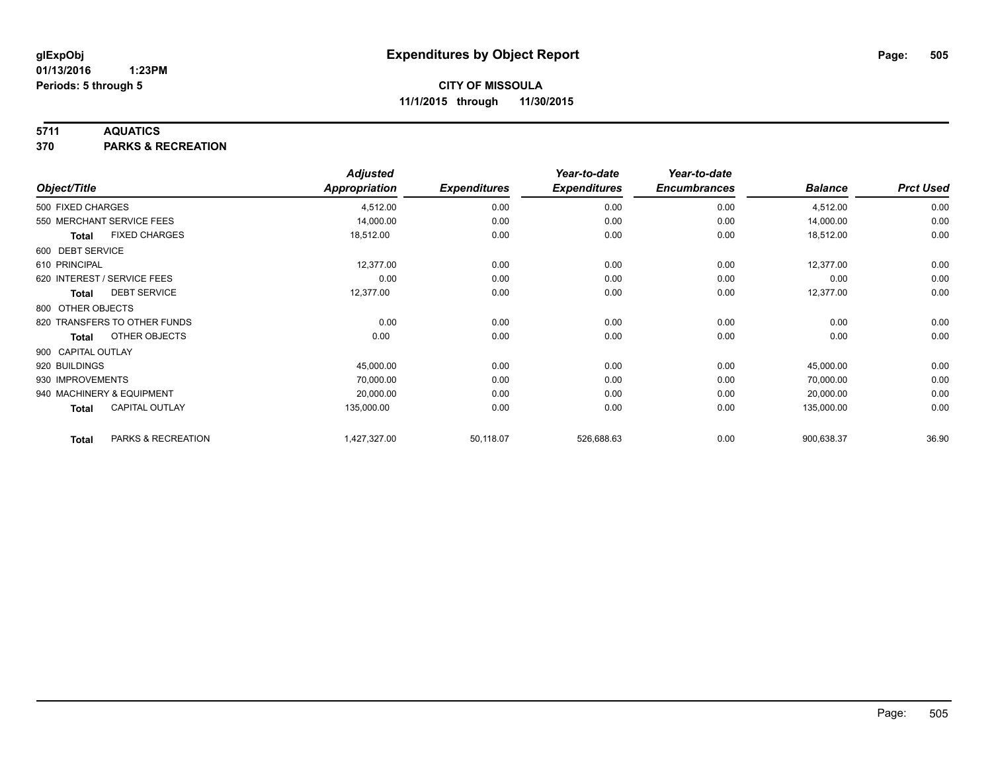### **5711 AQUATICS**

**370 PARKS & RECREATION**

|                    |                              | <b>Adjusted</b> |                     | Year-to-date        | Year-to-date        |                |                  |
|--------------------|------------------------------|-----------------|---------------------|---------------------|---------------------|----------------|------------------|
| Object/Title       |                              | Appropriation   | <b>Expenditures</b> | <b>Expenditures</b> | <b>Encumbrances</b> | <b>Balance</b> | <b>Prct Used</b> |
| 500 FIXED CHARGES  |                              | 4,512.00        | 0.00                | 0.00                | 0.00                | 4,512.00       | 0.00             |
|                    | 550 MERCHANT SERVICE FEES    | 14,000.00       | 0.00                | 0.00                | 0.00                | 14,000.00      | 0.00             |
| <b>Total</b>       | <b>FIXED CHARGES</b>         | 18,512.00       | 0.00                | 0.00                | 0.00                | 18,512.00      | 0.00             |
| 600 DEBT SERVICE   |                              |                 |                     |                     |                     |                |                  |
| 610 PRINCIPAL      |                              | 12,377.00       | 0.00                | 0.00                | 0.00                | 12,377.00      | 0.00             |
|                    | 620 INTEREST / SERVICE FEES  | 0.00            | 0.00                | 0.00                | 0.00                | 0.00           | 0.00             |
| Total              | <b>DEBT SERVICE</b>          | 12,377.00       | 0.00                | 0.00                | 0.00                | 12,377.00      | 0.00             |
| 800 OTHER OBJECTS  |                              |                 |                     |                     |                     |                |                  |
|                    | 820 TRANSFERS TO OTHER FUNDS | 0.00            | 0.00                | 0.00                | 0.00                | 0.00           | 0.00             |
| Total              | OTHER OBJECTS                | 0.00            | 0.00                | 0.00                | 0.00                | 0.00           | 0.00             |
| 900 CAPITAL OUTLAY |                              |                 |                     |                     |                     |                |                  |
| 920 BUILDINGS      |                              | 45,000.00       | 0.00                | 0.00                | 0.00                | 45,000.00      | 0.00             |
| 930 IMPROVEMENTS   |                              | 70,000.00       | 0.00                | 0.00                | 0.00                | 70,000.00      | 0.00             |
|                    | 940 MACHINERY & EQUIPMENT    | 20,000.00       | 0.00                | 0.00                | 0.00                | 20,000.00      | 0.00             |
| <b>Total</b>       | <b>CAPITAL OUTLAY</b>        | 135,000.00      | 0.00                | 0.00                | 0.00                | 135,000.00     | 0.00             |
| <b>Total</b>       | PARKS & RECREATION           | 1,427,327.00    | 50,118.07           | 526,688.63          | 0.00                | 900,638.37     | 36.90            |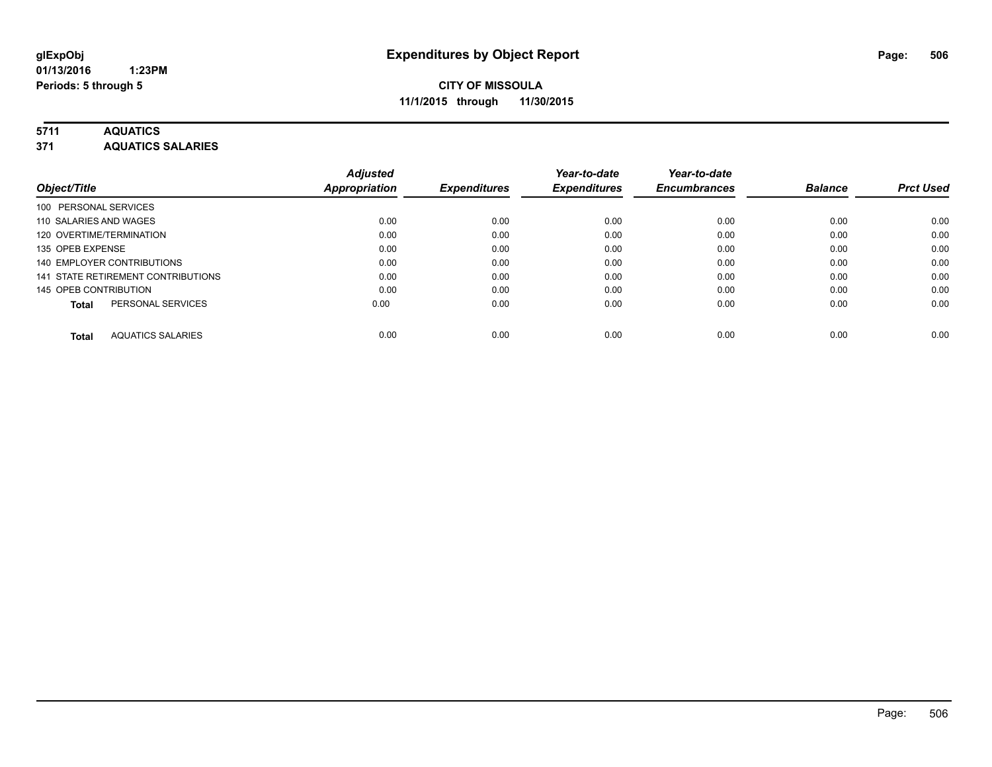# **5711 AQUATICS**

**371 AQUATICS SALARIES**

| Object/Title                             | <b>Adjusted</b><br><b>Appropriation</b> | <b>Expenditures</b> | Year-to-date<br><b>Expenditures</b> | Year-to-date<br><b>Encumbrances</b> | <b>Balance</b> | <b>Prct Used</b> |
|------------------------------------------|-----------------------------------------|---------------------|-------------------------------------|-------------------------------------|----------------|------------------|
| 100 PERSONAL SERVICES                    |                                         |                     |                                     |                                     |                |                  |
| 110 SALARIES AND WAGES                   | 0.00                                    | 0.00                | 0.00                                | 0.00                                | 0.00           | 0.00             |
| 120 OVERTIME/TERMINATION                 | 0.00                                    | 0.00                | 0.00                                | 0.00                                | 0.00           | 0.00             |
| 135 OPEB EXPENSE                         | 0.00                                    | 0.00                | 0.00                                | 0.00                                | 0.00           | 0.00             |
| 140 EMPLOYER CONTRIBUTIONS               | 0.00                                    | 0.00                | 0.00                                | 0.00                                | 0.00           | 0.00             |
| 141 STATE RETIREMENT CONTRIBUTIONS       | 0.00                                    | 0.00                | 0.00                                | 0.00                                | 0.00           | 0.00             |
| 145 OPEB CONTRIBUTION                    | 0.00                                    | 0.00                | 0.00                                | 0.00                                | 0.00           | 0.00             |
| PERSONAL SERVICES<br><b>Total</b>        | 0.00                                    | 0.00                | 0.00                                | 0.00                                | 0.00           | 0.00             |
| <b>AQUATICS SALARIES</b><br><b>Total</b> | 0.00                                    | 0.00                | 0.00                                | 0.00                                | 0.00           | 0.00             |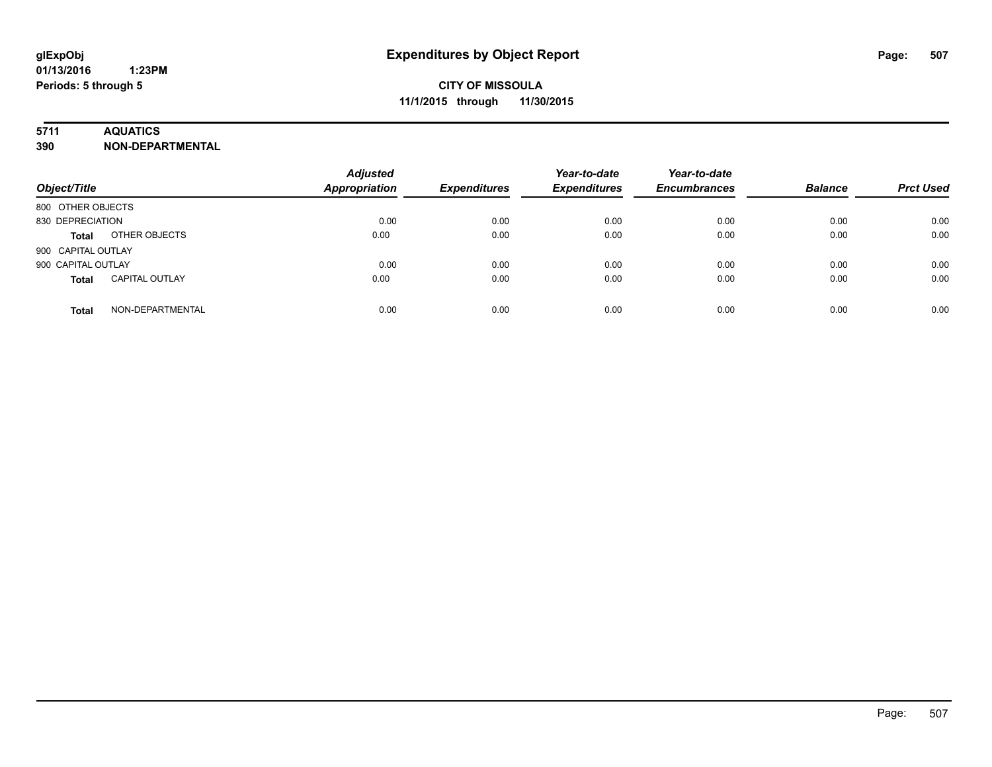# **5711 AQUATICS**

**390 NON-DEPARTMENTAL**

| Object/Title                          | <b>Adjusted</b><br><b>Appropriation</b> | <b>Expenditures</b> | Year-to-date<br><b>Expenditures</b> | Year-to-date<br><b>Encumbrances</b> | <b>Balance</b> | <b>Prct Used</b> |
|---------------------------------------|-----------------------------------------|---------------------|-------------------------------------|-------------------------------------|----------------|------------------|
| 800 OTHER OBJECTS                     |                                         |                     |                                     |                                     |                |                  |
| 830 DEPRECIATION                      | 0.00                                    | 0.00                | 0.00                                | 0.00                                | 0.00           | 0.00             |
| OTHER OBJECTS<br><b>Total</b>         | 0.00                                    | 0.00                | 0.00                                | 0.00                                | 0.00           | 0.00             |
| 900 CAPITAL OUTLAY                    |                                         |                     |                                     |                                     |                |                  |
| 900 CAPITAL OUTLAY                    | 0.00                                    | 0.00                | 0.00                                | 0.00                                | 0.00           | 0.00             |
| <b>CAPITAL OUTLAY</b><br><b>Total</b> | 0.00                                    | 0.00                | 0.00                                | 0.00                                | 0.00           | 0.00             |
| NON-DEPARTMENTAL<br><b>Total</b>      | 0.00                                    | 0.00                | 0.00                                | 0.00                                | 0.00           | 0.00             |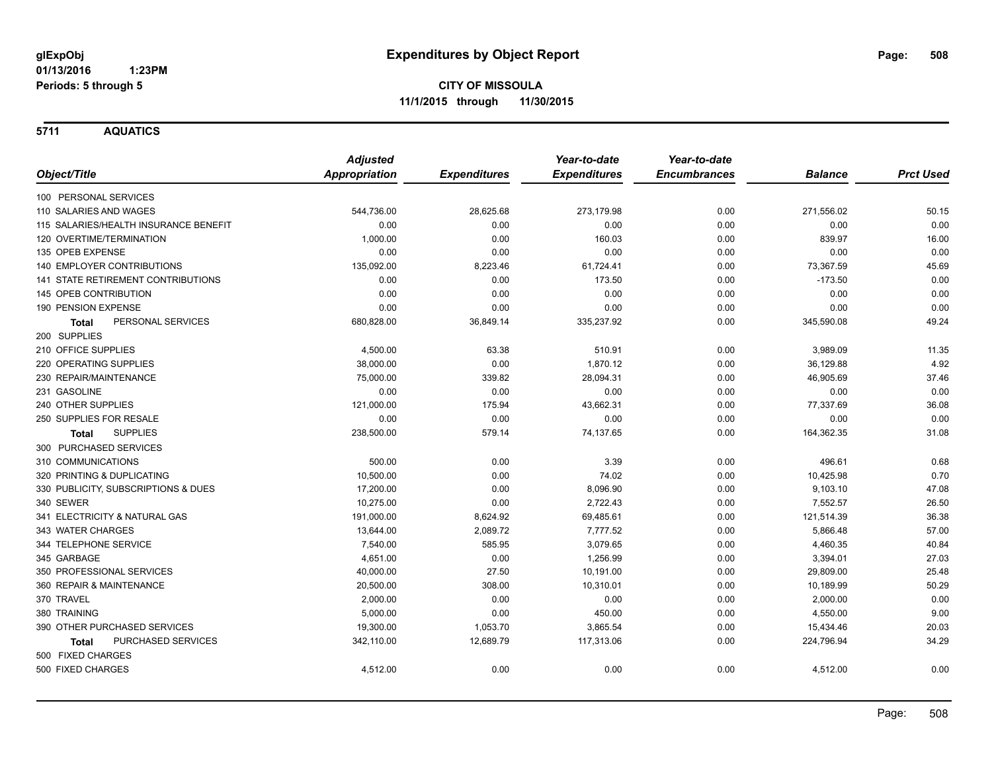**5711 AQUATICS**

|                                           | <b>Adjusted</b>      |                     | Year-to-date        | Year-to-date        |                |                  |
|-------------------------------------------|----------------------|---------------------|---------------------|---------------------|----------------|------------------|
| Object/Title                              | <b>Appropriation</b> | <b>Expenditures</b> | <b>Expenditures</b> | <b>Encumbrances</b> | <b>Balance</b> | <b>Prct Used</b> |
| 100 PERSONAL SERVICES                     |                      |                     |                     |                     |                |                  |
| 110 SALARIES AND WAGES                    | 544,736.00           | 28,625.68           | 273,179.98          | 0.00                | 271,556.02     | 50.15            |
| 115 SALARIES/HEALTH INSURANCE BENEFIT     | 0.00                 | 0.00                | 0.00                | 0.00                | 0.00           | 0.00             |
| 120 OVERTIME/TERMINATION                  | 1,000.00             | 0.00                | 160.03              | 0.00                | 839.97         | 16.00            |
| 135 OPEB EXPENSE                          | 0.00                 | 0.00                | 0.00                | 0.00                | 0.00           | 0.00             |
| 140 EMPLOYER CONTRIBUTIONS                | 135,092.00           | 8,223.46            | 61,724.41           | 0.00                | 73,367.59      | 45.69            |
| <b>141 STATE RETIREMENT CONTRIBUTIONS</b> | 0.00                 | 0.00                | 173.50              | 0.00                | $-173.50$      | 0.00             |
| 145 OPEB CONTRIBUTION                     | 0.00                 | 0.00                | 0.00                | 0.00                | 0.00           | 0.00             |
| 190 PENSION EXPENSE                       | 0.00                 | 0.00                | 0.00                | 0.00                | 0.00           | 0.00             |
| PERSONAL SERVICES<br>Total                | 680,828.00           | 36,849.14           | 335,237.92          | 0.00                | 345,590.08     | 49.24            |
| 200 SUPPLIES                              |                      |                     |                     |                     |                |                  |
| 210 OFFICE SUPPLIES                       | 4,500.00             | 63.38               | 510.91              | 0.00                | 3,989.09       | 11.35            |
| 220 OPERATING SUPPLIES                    | 38,000.00            | 0.00                | 1,870.12            | 0.00                | 36,129.88      | 4.92             |
| 230 REPAIR/MAINTENANCE                    | 75,000.00            | 339.82              | 28,094.31           | 0.00                | 46,905.69      | 37.46            |
| 231 GASOLINE                              | 0.00                 | 0.00                | 0.00                | 0.00                | 0.00           | 0.00             |
| 240 OTHER SUPPLIES                        | 121,000.00           | 175.94              | 43,662.31           | 0.00                | 77,337.69      | 36.08            |
| 250 SUPPLIES FOR RESALE                   | 0.00                 | 0.00                | 0.00                | 0.00                | 0.00           | 0.00             |
| <b>SUPPLIES</b><br>Total                  | 238,500.00           | 579.14              | 74,137.65           | 0.00                | 164,362.35     | 31.08            |
| 300 PURCHASED SERVICES                    |                      |                     |                     |                     |                |                  |
| 310 COMMUNICATIONS                        | 500.00               | 0.00                | 3.39                | 0.00                | 496.61         | 0.68             |
| 320 PRINTING & DUPLICATING                | 10,500.00            | 0.00                | 74.02               | 0.00                | 10,425.98      | 0.70             |
| 330 PUBLICITY, SUBSCRIPTIONS & DUES       | 17,200.00            | 0.00                | 8,096.90            | 0.00                | 9,103.10       | 47.08            |
| 340 SEWER                                 | 10,275.00            | 0.00                | 2,722.43            | 0.00                | 7,552.57       | 26.50            |
| 341 ELECTRICITY & NATURAL GAS             | 191,000.00           | 8,624.92            | 69,485.61           | 0.00                | 121,514.39     | 36.38            |
| 343 WATER CHARGES                         | 13,644.00            | 2,089.72            | 7,777.52            | 0.00                | 5,866.48       | 57.00            |
| 344 TELEPHONE SERVICE                     | 7,540.00             | 585.95              | 3,079.65            | 0.00                | 4,460.35       | 40.84            |
| 345 GARBAGE                               | 4,651.00             | 0.00                | 1,256.99            | 0.00                | 3,394.01       | 27.03            |
| 350 PROFESSIONAL SERVICES                 | 40,000.00            | 27.50               | 10,191.00           | 0.00                | 29,809.00      | 25.48            |
| 360 REPAIR & MAINTENANCE                  | 20,500.00            | 308.00              | 10,310.01           | 0.00                | 10,189.99      | 50.29            |
| 370 TRAVEL                                | 2,000.00             | 0.00                | 0.00                | 0.00                | 2,000.00       | 0.00             |
| 380 TRAINING                              | 5,000.00             | 0.00                | 450.00              | 0.00                | 4,550.00       | 9.00             |
| 390 OTHER PURCHASED SERVICES              | 19,300.00            | 1,053.70            | 3,865.54            | 0.00                | 15,434.46      | 20.03            |
| <b>PURCHASED SERVICES</b><br><b>Total</b> | 342,110.00           | 12,689.79           | 117,313.06          | 0.00                | 224,796.94     | 34.29            |
| 500 FIXED CHARGES                         |                      |                     |                     |                     |                |                  |
| 500 FIXED CHARGES                         | 4,512.00             | 0.00                | 0.00                | 0.00                | 4,512.00       | 0.00             |
|                                           |                      |                     |                     |                     |                |                  |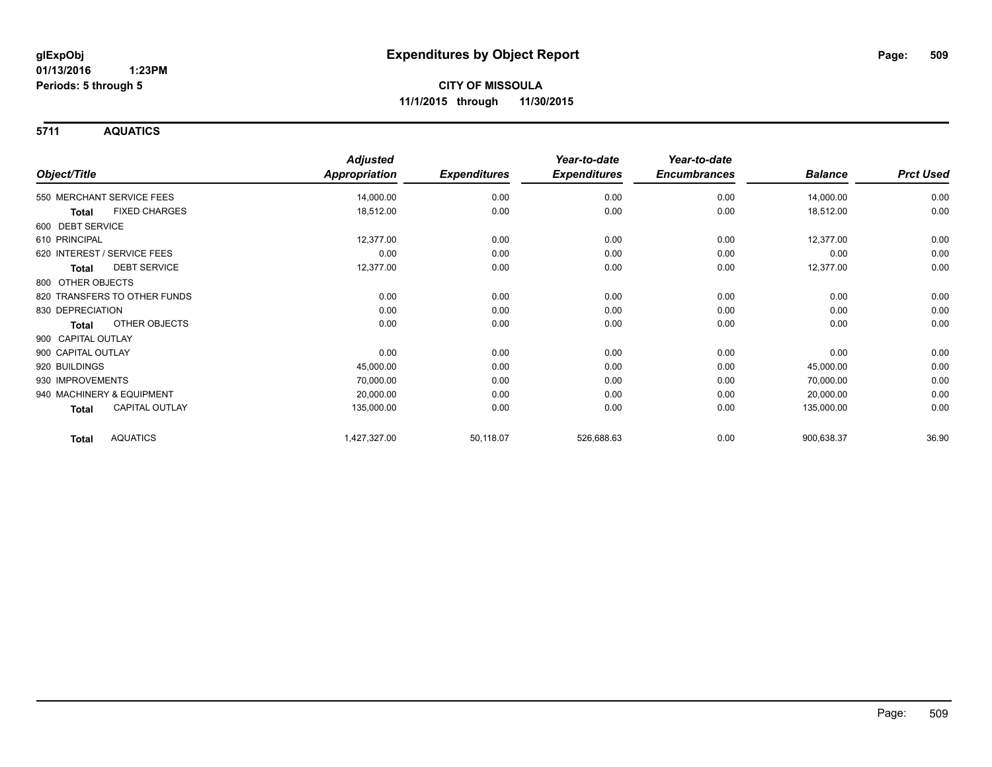**5711 AQUATICS**

|                                       | <b>Adjusted</b>      |                     | Year-to-date        | Year-to-date        |                |                  |
|---------------------------------------|----------------------|---------------------|---------------------|---------------------|----------------|------------------|
| Object/Title                          | <b>Appropriation</b> | <b>Expenditures</b> | <b>Expenditures</b> | <b>Encumbrances</b> | <b>Balance</b> | <b>Prct Used</b> |
| 550 MERCHANT SERVICE FEES             | 14,000.00            | 0.00                | 0.00                | 0.00                | 14,000.00      | 0.00             |
| <b>FIXED CHARGES</b><br><b>Total</b>  | 18,512.00            | 0.00                | 0.00                | 0.00                | 18,512.00      | 0.00             |
| 600 DEBT SERVICE                      |                      |                     |                     |                     |                |                  |
| 610 PRINCIPAL                         | 12,377.00            | 0.00                | 0.00                | 0.00                | 12,377.00      | 0.00             |
| 620 INTEREST / SERVICE FEES           | 0.00                 | 0.00                | 0.00                | 0.00                | 0.00           | 0.00             |
| <b>DEBT SERVICE</b><br>Total          | 12,377.00            | 0.00                | 0.00                | 0.00                | 12,377.00      | 0.00             |
| 800 OTHER OBJECTS                     |                      |                     |                     |                     |                |                  |
| 820 TRANSFERS TO OTHER FUNDS          | 0.00                 | 0.00                | 0.00                | 0.00                | 0.00           | 0.00             |
| 830 DEPRECIATION                      | 0.00                 | 0.00                | 0.00                | 0.00                | 0.00           | 0.00             |
| OTHER OBJECTS<br><b>Total</b>         | 0.00                 | 0.00                | 0.00                | 0.00                | 0.00           | 0.00             |
| 900 CAPITAL OUTLAY                    |                      |                     |                     |                     |                |                  |
| 900 CAPITAL OUTLAY                    | 0.00                 | 0.00                | 0.00                | 0.00                | 0.00           | 0.00             |
| 920 BUILDINGS                         | 45,000.00            | 0.00                | 0.00                | 0.00                | 45,000.00      | 0.00             |
| 930 IMPROVEMENTS                      | 70,000.00            | 0.00                | 0.00                | 0.00                | 70,000.00      | 0.00             |
| 940 MACHINERY & EQUIPMENT             | 20,000.00            | 0.00                | 0.00                | 0.00                | 20,000.00      | 0.00             |
| <b>CAPITAL OUTLAY</b><br><b>Total</b> | 135,000.00           | 0.00                | 0.00                | 0.00                | 135,000.00     | 0.00             |
| <b>AQUATICS</b><br><b>Total</b>       | 1,427,327.00         | 50,118.07           | 526,688.63          | 0.00                | 900,638.37     | 36.90            |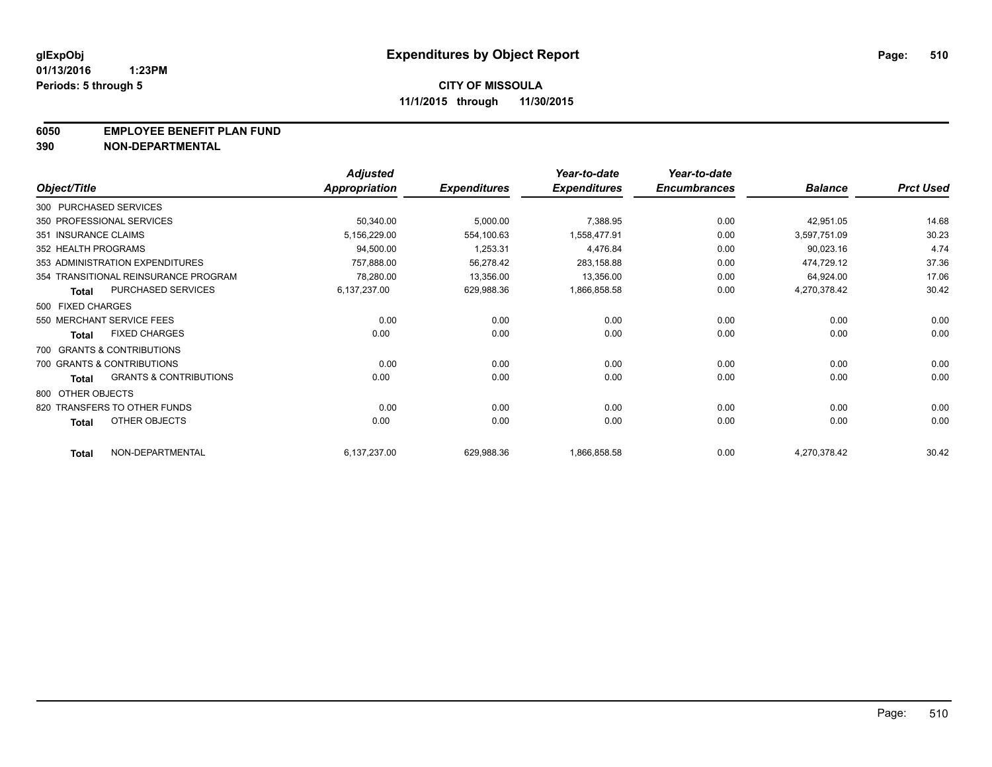### **6050 EMPLOYEE BENEFIT PLAN FUND**

**390 NON-DEPARTMENTAL**

|                      |                                      | <b>Adjusted</b> |                     | Year-to-date        | Year-to-date        |                |                  |
|----------------------|--------------------------------------|-----------------|---------------------|---------------------|---------------------|----------------|------------------|
| Object/Title         |                                      | Appropriation   | <b>Expenditures</b> | <b>Expenditures</b> | <b>Encumbrances</b> | <b>Balance</b> | <b>Prct Used</b> |
|                      | 300 PURCHASED SERVICES               |                 |                     |                     |                     |                |                  |
|                      | 350 PROFESSIONAL SERVICES            | 50,340.00       | 5,000.00            | 7,388.95            | 0.00                | 42,951.05      | 14.68            |
| 351 INSURANCE CLAIMS |                                      | 5,156,229.00    | 554,100.63          | 1,558,477.91        | 0.00                | 3,597,751.09   | 30.23            |
| 352 HEALTH PROGRAMS  |                                      | 94,500.00       | 1,253.31            | 4,476.84            | 0.00                | 90,023.16      | 4.74             |
|                      | 353 ADMINISTRATION EXPENDITURES      | 757,888.00      | 56,278.42           | 283,158.88          | 0.00                | 474,729.12     | 37.36            |
|                      | 354 TRANSITIONAL REINSURANCE PROGRAM | 78,280.00       | 13,356.00           | 13,356.00           | 0.00                | 64,924.00      | 17.06            |
| <b>Total</b>         | PURCHASED SERVICES                   | 6,137,237.00    | 629,988.36          | 1,866,858.58        | 0.00                | 4,270,378.42   | 30.42            |
| 500 FIXED CHARGES    |                                      |                 |                     |                     |                     |                |                  |
|                      | 550 MERCHANT SERVICE FEES            | 0.00            | 0.00                | 0.00                | 0.00                | 0.00           | 0.00             |
| <b>Total</b>         | <b>FIXED CHARGES</b>                 | 0.00            | 0.00                | 0.00                | 0.00                | 0.00           | 0.00             |
|                      | 700 GRANTS & CONTRIBUTIONS           |                 |                     |                     |                     |                |                  |
|                      | 700 GRANTS & CONTRIBUTIONS           | 0.00            | 0.00                | 0.00                | 0.00                | 0.00           | 0.00             |
| <b>Total</b>         | <b>GRANTS &amp; CONTRIBUTIONS</b>    | 0.00            | 0.00                | 0.00                | 0.00                | 0.00           | 0.00             |
| 800 OTHER OBJECTS    |                                      |                 |                     |                     |                     |                |                  |
|                      | 820 TRANSFERS TO OTHER FUNDS         | 0.00            | 0.00                | 0.00                | 0.00                | 0.00           | 0.00             |
| <b>Total</b>         | OTHER OBJECTS                        | 0.00            | 0.00                | 0.00                | 0.00                | 0.00           | 0.00             |
| <b>Total</b>         | NON-DEPARTMENTAL                     | 6,137,237.00    | 629,988.36          | 1,866,858.58        | 0.00                | 4,270,378.42   | 30.42            |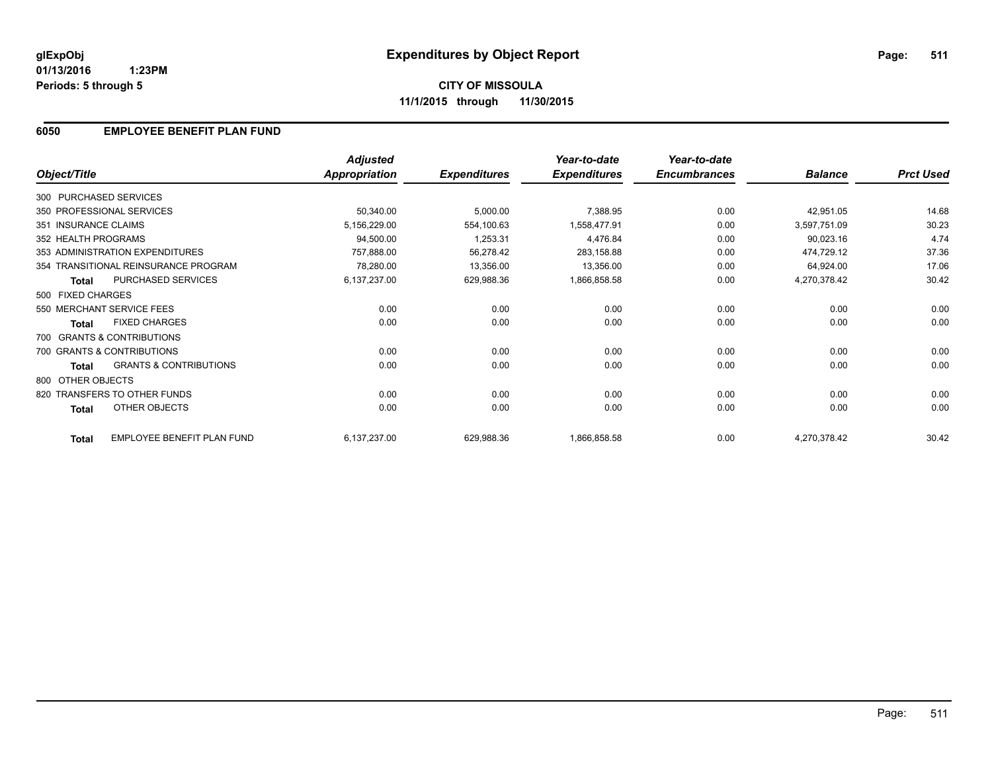### **6050 EMPLOYEE BENEFIT PLAN FUND**

|                        |                                      | <b>Adjusted</b>      |                     | Year-to-date        | Year-to-date        |                |                  |
|------------------------|--------------------------------------|----------------------|---------------------|---------------------|---------------------|----------------|------------------|
| Object/Title           |                                      | <b>Appropriation</b> | <b>Expenditures</b> | <b>Expenditures</b> | <b>Encumbrances</b> | <b>Balance</b> | <b>Prct Used</b> |
| 300 PURCHASED SERVICES |                                      |                      |                     |                     |                     |                |                  |
|                        | 350 PROFESSIONAL SERVICES            | 50,340.00            | 5,000.00            | 7,388.95            | 0.00                | 42,951.05      | 14.68            |
| 351 INSURANCE CLAIMS   |                                      | 5,156,229.00         | 554,100.63          | 1.558.477.91        | 0.00                | 3,597,751.09   | 30.23            |
| 352 HEALTH PROGRAMS    |                                      | 94,500.00            | 1,253.31            | 4,476.84            | 0.00                | 90,023.16      | 4.74             |
|                        | 353 ADMINISTRATION EXPENDITURES      | 757,888.00           | 56,278.42           | 283,158.88          | 0.00                | 474,729.12     | 37.36            |
|                        | 354 TRANSITIONAL REINSURANCE PROGRAM | 78,280.00            | 13,356.00           | 13,356.00           | 0.00                | 64,924.00      | 17.06            |
| <b>Total</b>           | <b>PURCHASED SERVICES</b>            | 6,137,237.00         | 629,988.36          | 1,866,858.58        | 0.00                | 4,270,378.42   | 30.42            |
| 500 FIXED CHARGES      |                                      |                      |                     |                     |                     |                |                  |
|                        | 550 MERCHANT SERVICE FEES            | 0.00                 | 0.00                | 0.00                | 0.00                | 0.00           | 0.00             |
| <b>Total</b>           | <b>FIXED CHARGES</b>                 | 0.00                 | 0.00                | 0.00                | 0.00                | 0.00           | 0.00             |
|                        | 700 GRANTS & CONTRIBUTIONS           |                      |                     |                     |                     |                |                  |
|                        | 700 GRANTS & CONTRIBUTIONS           | 0.00                 | 0.00                | 0.00                | 0.00                | 0.00           | 0.00             |
| <b>Total</b>           | <b>GRANTS &amp; CONTRIBUTIONS</b>    | 0.00                 | 0.00                | 0.00                | 0.00                | 0.00           | 0.00             |
| 800 OTHER OBJECTS      |                                      |                      |                     |                     |                     |                |                  |
|                        | 820 TRANSFERS TO OTHER FUNDS         | 0.00                 | 0.00                | 0.00                | 0.00                | 0.00           | 0.00             |
| <b>Total</b>           | OTHER OBJECTS                        | 0.00                 | 0.00                | 0.00                | 0.00                | 0.00           | 0.00             |
| <b>Total</b>           | EMPLOYEE BENEFIT PLAN FUND           | 6,137,237.00         | 629,988.36          | 1,866,858.58        | 0.00                | 4,270,378.42   | 30.42            |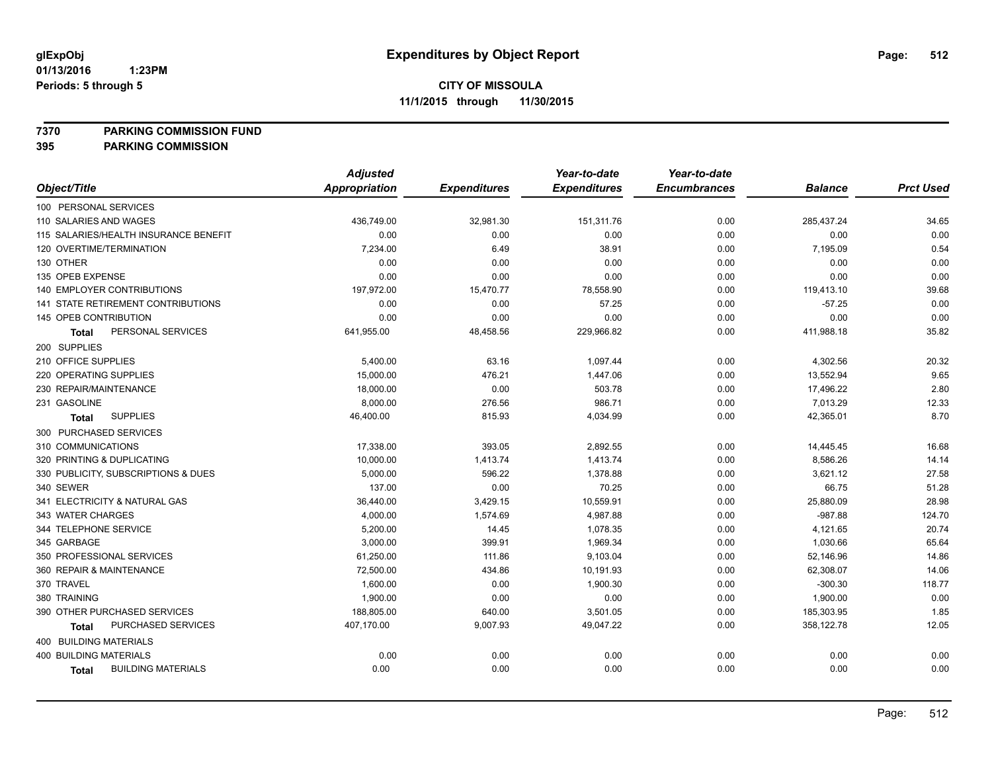**7370 PARKING COMMISSION FUND**

|                                           | <b>Adjusted</b>      |                     | Year-to-date        | Year-to-date        |                |                  |
|-------------------------------------------|----------------------|---------------------|---------------------|---------------------|----------------|------------------|
| Object/Title                              | <b>Appropriation</b> | <b>Expenditures</b> | <b>Expenditures</b> | <b>Encumbrances</b> | <b>Balance</b> | <b>Prct Used</b> |
| 100 PERSONAL SERVICES                     |                      |                     |                     |                     |                |                  |
| 110 SALARIES AND WAGES                    | 436,749.00           | 32,981.30           | 151,311.76          | 0.00                | 285,437.24     | 34.65            |
| 115 SALARIES/HEALTH INSURANCE BENEFIT     | 0.00                 | 0.00                | 0.00                | 0.00                | 0.00           | 0.00             |
| 120 OVERTIME/TERMINATION                  | 7,234.00             | 6.49                | 38.91               | 0.00                | 7,195.09       | 0.54             |
| 130 OTHER                                 | 0.00                 | 0.00                | 0.00                | 0.00                | 0.00           | 0.00             |
| 135 OPEB EXPENSE                          | 0.00                 | 0.00                | 0.00                | 0.00                | 0.00           | 0.00             |
| 140 EMPLOYER CONTRIBUTIONS                | 197,972.00           | 15,470.77           | 78,558.90           | 0.00                | 119,413.10     | 39.68            |
| <b>141 STATE RETIREMENT CONTRIBUTIONS</b> | 0.00                 | 0.00                | 57.25               | 0.00                | $-57.25$       | 0.00             |
| 145 OPEB CONTRIBUTION                     | 0.00                 | 0.00                | 0.00                | 0.00                | 0.00           | 0.00             |
| PERSONAL SERVICES<br>Total                | 641,955.00           | 48,458.56           | 229,966.82          | 0.00                | 411,988.18     | 35.82            |
| 200 SUPPLIES                              |                      |                     |                     |                     |                |                  |
| 210 OFFICE SUPPLIES                       | 5,400.00             | 63.16               | 1,097.44            | 0.00                | 4,302.56       | 20.32            |
| 220 OPERATING SUPPLIES                    | 15,000.00            | 476.21              | 1,447.06            | 0.00                | 13,552.94      | 9.65             |
| 230 REPAIR/MAINTENANCE                    | 18,000.00            | 0.00                | 503.78              | 0.00                | 17,496.22      | 2.80             |
| 231 GASOLINE                              | 8,000.00             | 276.56              | 986.71              | 0.00                | 7,013.29       | 12.33            |
| <b>SUPPLIES</b><br><b>Total</b>           | 46,400.00            | 815.93              | 4,034.99            | 0.00                | 42,365.01      | 8.70             |
| 300 PURCHASED SERVICES                    |                      |                     |                     |                     |                |                  |
| 310 COMMUNICATIONS                        | 17,338.00            | 393.05              | 2,892.55            | 0.00                | 14,445.45      | 16.68            |
| 320 PRINTING & DUPLICATING                | 10,000.00            | 1,413.74            | 1,413.74            | 0.00                | 8,586.26       | 14.14            |
| 330 PUBLICITY, SUBSCRIPTIONS & DUES       | 5,000.00             | 596.22              | 1,378.88            | 0.00                | 3,621.12       | 27.58            |
| 340 SEWER                                 | 137.00               | 0.00                | 70.25               | 0.00                | 66.75          | 51.28            |
| 341 ELECTRICITY & NATURAL GAS             | 36,440.00            | 3,429.15            | 10,559.91           | 0.00                | 25,880.09      | 28.98            |
| 343 WATER CHARGES                         | 4,000.00             | 1,574.69            | 4,987.88            | 0.00                | $-987.88$      | 124.70           |
| 344 TELEPHONE SERVICE                     | 5,200.00             | 14.45               | 1,078.35            | 0.00                | 4,121.65       | 20.74            |
| 345 GARBAGE                               | 3,000.00             | 399.91              | 1,969.34            | 0.00                | 1,030.66       | 65.64            |
| 350 PROFESSIONAL SERVICES                 | 61,250.00            | 111.86              | 9,103.04            | 0.00                | 52,146.96      | 14.86            |
| 360 REPAIR & MAINTENANCE                  | 72,500.00            | 434.86              | 10,191.93           | 0.00                | 62,308.07      | 14.06            |
| 370 TRAVEL                                | 1,600.00             | 0.00                | 1,900.30            | 0.00                | $-300.30$      | 118.77           |
| 380 TRAINING                              | 1,900.00             | 0.00                | 0.00                | 0.00                | 1,900.00       | 0.00             |
| 390 OTHER PURCHASED SERVICES              | 188,805.00           | 640.00              | 3,501.05            | 0.00                | 185,303.95     | 1.85             |
| PURCHASED SERVICES<br>Total               | 407,170.00           | 9,007.93            | 49,047.22           | 0.00                | 358,122.78     | 12.05            |
| 400 BUILDING MATERIALS                    |                      |                     |                     |                     |                |                  |
| <b>400 BUILDING MATERIALS</b>             | 0.00                 | 0.00                | 0.00                | 0.00                | 0.00           | 0.00             |
| <b>BUILDING MATERIALS</b><br><b>Total</b> | 0.00                 | 0.00                | 0.00                | 0.00                | 0.00           | 0.00             |
|                                           |                      |                     |                     |                     |                |                  |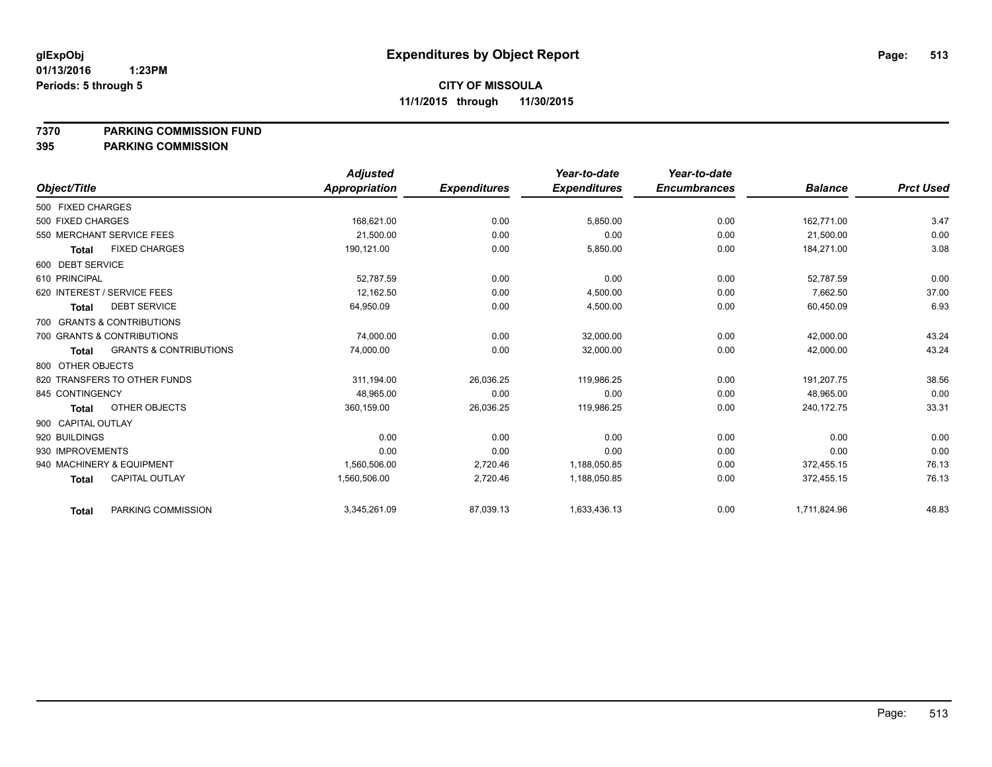**7370 PARKING COMMISSION FUND**

|                    |                                   | Adjusted      |                     | Year-to-date        | Year-to-date        |                |                  |
|--------------------|-----------------------------------|---------------|---------------------|---------------------|---------------------|----------------|------------------|
| Object/Title       |                                   | Appropriation | <b>Expenditures</b> | <b>Expenditures</b> | <b>Encumbrances</b> | <b>Balance</b> | <b>Prct Used</b> |
| 500 FIXED CHARGES  |                                   |               |                     |                     |                     |                |                  |
| 500 FIXED CHARGES  |                                   | 168,621.00    | 0.00                | 5,850.00            | 0.00                | 162,771.00     | 3.47             |
|                    | 550 MERCHANT SERVICE FEES         | 21,500.00     | 0.00                | 0.00                | 0.00                | 21,500.00      | 0.00             |
| Total              | <b>FIXED CHARGES</b>              | 190.121.00    | 0.00                | 5,850.00            | 0.00                | 184.271.00     | 3.08             |
| 600 DEBT SERVICE   |                                   |               |                     |                     |                     |                |                  |
| 610 PRINCIPAL      |                                   | 52.787.59     | 0.00                | 0.00                | 0.00                | 52.787.59      | 0.00             |
|                    | 620 INTEREST / SERVICE FEES       | 12,162.50     | 0.00                | 4,500.00            | 0.00                | 7.662.50       | 37.00            |
| <b>Total</b>       | <b>DEBT SERVICE</b>               | 64,950.09     | 0.00                | 4,500.00            | 0.00                | 60,450.09      | 6.93             |
|                    | 700 GRANTS & CONTRIBUTIONS        |               |                     |                     |                     |                |                  |
|                    | 700 GRANTS & CONTRIBUTIONS        | 74,000.00     | 0.00                | 32,000.00           | 0.00                | 42,000.00      | 43.24            |
| <b>Total</b>       | <b>GRANTS &amp; CONTRIBUTIONS</b> | 74,000.00     | 0.00                | 32,000.00           | 0.00                | 42,000.00      | 43.24            |
| 800 OTHER OBJECTS  |                                   |               |                     |                     |                     |                |                  |
|                    | 820 TRANSFERS TO OTHER FUNDS      | 311,194.00    | 26,036.25           | 119,986.25          | 0.00                | 191,207.75     | 38.56            |
| 845 CONTINGENCY    |                                   | 48,965.00     | 0.00                | 0.00                | 0.00                | 48,965.00      | 0.00             |
| <b>Total</b>       | OTHER OBJECTS                     | 360,159.00    | 26,036.25           | 119,986.25          | 0.00                | 240,172.75     | 33.31            |
| 900 CAPITAL OUTLAY |                                   |               |                     |                     |                     |                |                  |
| 920 BUILDINGS      |                                   | 0.00          | 0.00                | 0.00                | 0.00                | 0.00           | 0.00             |
| 930 IMPROVEMENTS   |                                   | 0.00          | 0.00                | 0.00                | 0.00                | 0.00           | 0.00             |
|                    | 940 MACHINERY & EQUIPMENT         | 1,560,506.00  | 2,720.46            | 1,188,050.85        | 0.00                | 372.455.15     | 76.13            |
| <b>Total</b>       | CAPITAL OUTLAY                    | 1,560,506.00  | 2,720.46            | 1,188,050.85        | 0.00                | 372,455.15     | 76.13            |
| <b>Total</b>       | PARKING COMMISSION                | 3,345,261.09  | 87,039.13           | 1,633,436.13        | 0.00                | 1,711,824.96   | 48.83            |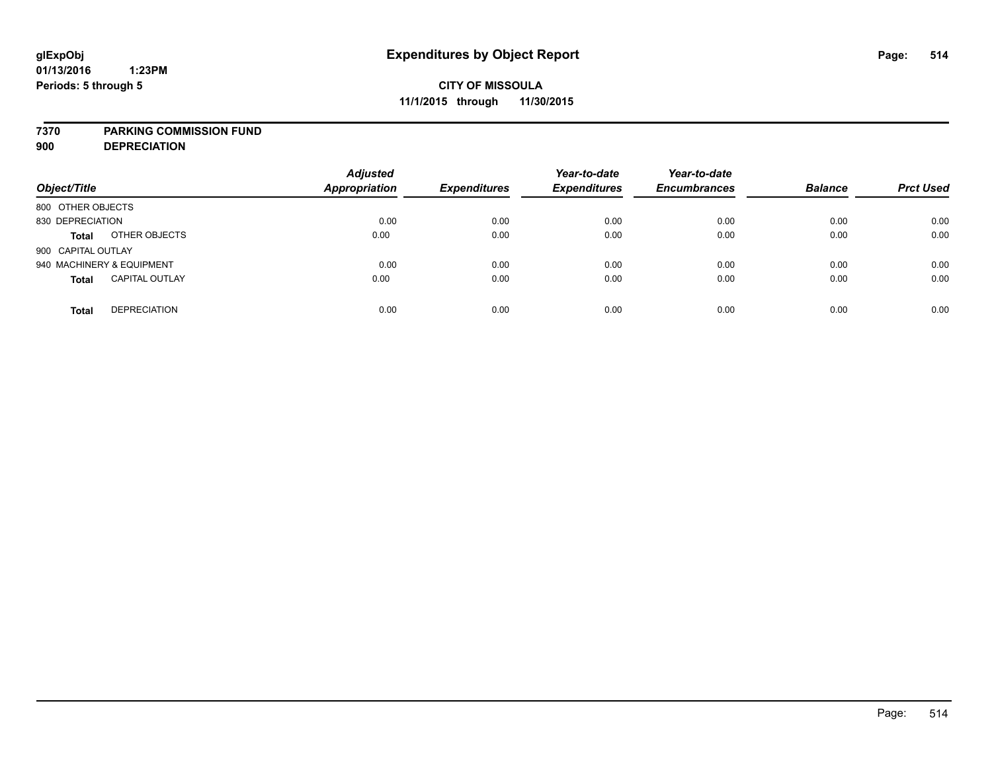### **7370 PARKING COMMISSION FUND**

**900 DEPRECIATION**

| Object/Title                          | <b>Adjusted</b><br><b>Appropriation</b> | <b>Expenditures</b> | Year-to-date<br><b>Expenditures</b> | Year-to-date<br><b>Encumbrances</b> | <b>Balance</b> | <b>Prct Used</b> |
|---------------------------------------|-----------------------------------------|---------------------|-------------------------------------|-------------------------------------|----------------|------------------|
| 800 OTHER OBJECTS                     |                                         |                     |                                     |                                     |                |                  |
| 830 DEPRECIATION                      | 0.00                                    | 0.00                | 0.00                                | 0.00                                | 0.00           | 0.00             |
| OTHER OBJECTS<br><b>Total</b>         | 0.00                                    | 0.00                | 0.00                                | 0.00                                | 0.00           | 0.00             |
| 900 CAPITAL OUTLAY                    |                                         |                     |                                     |                                     |                |                  |
| 940 MACHINERY & EQUIPMENT             | 0.00                                    | 0.00                | 0.00                                | 0.00                                | 0.00           | 0.00             |
| <b>CAPITAL OUTLAY</b><br><b>Total</b> | 0.00                                    | 0.00                | 0.00                                | 0.00                                | 0.00           | 0.00             |
| <b>DEPRECIATION</b><br><b>Total</b>   | 0.00                                    | 0.00                | 0.00                                | 0.00                                | 0.00           | 0.00             |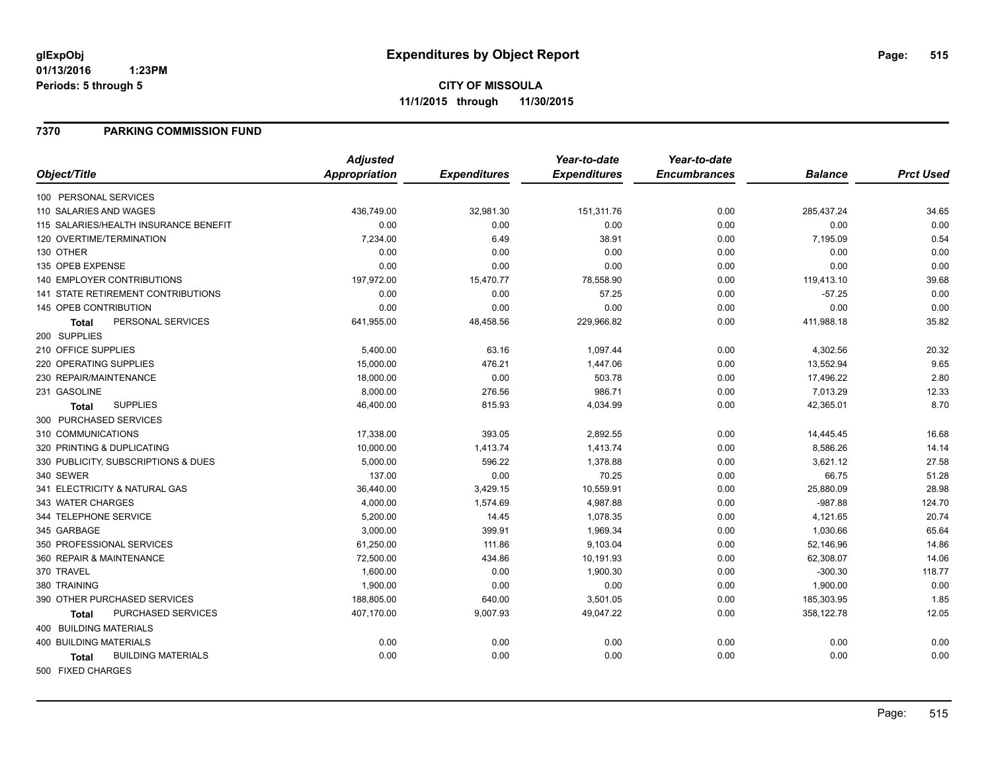### **7370 PARKING COMMISSION FUND**

|                                           | <b>Adjusted</b>      |                     | Year-to-date        | Year-to-date        |                |                  |
|-------------------------------------------|----------------------|---------------------|---------------------|---------------------|----------------|------------------|
| Object/Title                              | <b>Appropriation</b> | <b>Expenditures</b> | <b>Expenditures</b> | <b>Encumbrances</b> | <b>Balance</b> | <b>Prct Used</b> |
| 100 PERSONAL SERVICES                     |                      |                     |                     |                     |                |                  |
| 110 SALARIES AND WAGES                    | 436,749.00           | 32,981.30           | 151,311.76          | 0.00                | 285,437.24     | 34.65            |
| 115 SALARIES/HEALTH INSURANCE BENEFIT     | 0.00                 | 0.00                | 0.00                | 0.00                | 0.00           | 0.00             |
| 120 OVERTIME/TERMINATION                  | 7,234.00             | 6.49                | 38.91               | 0.00                | 7,195.09       | 0.54             |
| 130 OTHER                                 | 0.00                 | 0.00                | 0.00                | 0.00                | 0.00           | 0.00             |
| 135 OPEB EXPENSE                          | 0.00                 | 0.00                | 0.00                | 0.00                | 0.00           | 0.00             |
| <b>140 EMPLOYER CONTRIBUTIONS</b>         | 197,972.00           | 15,470.77           | 78,558.90           | 0.00                | 119,413.10     | 39.68            |
| 141 STATE RETIREMENT CONTRIBUTIONS        | 0.00                 | 0.00                | 57.25               | 0.00                | $-57.25$       | 0.00             |
| 145 OPEB CONTRIBUTION                     | 0.00                 | 0.00                | 0.00                | 0.00                | 0.00           | 0.00             |
| PERSONAL SERVICES<br><b>Total</b>         | 641,955.00           | 48,458.56           | 229,966.82          | 0.00                | 411,988.18     | 35.82            |
| 200 SUPPLIES                              |                      |                     |                     |                     |                |                  |
| 210 OFFICE SUPPLIES                       | 5,400.00             | 63.16               | 1,097.44            | 0.00                | 4,302.56       | 20.32            |
| 220 OPERATING SUPPLIES                    | 15,000.00            | 476.21              | 1,447.06            | 0.00                | 13,552.94      | 9.65             |
| 230 REPAIR/MAINTENANCE                    | 18,000.00            | 0.00                | 503.78              | 0.00                | 17,496.22      | 2.80             |
| 231 GASOLINE                              | 8,000.00             | 276.56              | 986.71              | 0.00                | 7,013.29       | 12.33            |
| <b>SUPPLIES</b><br>Total                  | 46,400.00            | 815.93              | 4,034.99            | 0.00                | 42,365.01      | 8.70             |
| 300 PURCHASED SERVICES                    |                      |                     |                     |                     |                |                  |
| 310 COMMUNICATIONS                        | 17,338.00            | 393.05              | 2,892.55            | 0.00                | 14,445.45      | 16.68            |
| 320 PRINTING & DUPLICATING                | 10,000.00            | 1,413.74            | 1,413.74            | 0.00                | 8,586.26       | 14.14            |
| 330 PUBLICITY, SUBSCRIPTIONS & DUES       | 5,000.00             | 596.22              | 1,378.88            | 0.00                | 3,621.12       | 27.58            |
| 340 SEWER                                 | 137.00               | 0.00                | 70.25               | 0.00                | 66.75          | 51.28            |
| 341 ELECTRICITY & NATURAL GAS             | 36,440.00            | 3,429.15            | 10,559.91           | 0.00                | 25,880.09      | 28.98            |
| 343 WATER CHARGES                         | 4,000.00             | 1,574.69            | 4,987.88            | 0.00                | -987.88        | 124.70           |
| 344 TELEPHONE SERVICE                     | 5,200.00             | 14.45               | 1,078.35            | 0.00                | 4,121.65       | 20.74            |
| 345 GARBAGE                               | 3,000.00             | 399.91              | 1,969.34            | 0.00                | 1,030.66       | 65.64            |
| 350 PROFESSIONAL SERVICES                 | 61,250.00            | 111.86              | 9,103.04            | 0.00                | 52,146.96      | 14.86            |
| 360 REPAIR & MAINTENANCE                  | 72,500.00            | 434.86              | 10,191.93           | 0.00                | 62,308.07      | 14.06            |
| 370 TRAVEL                                | 1,600.00             | 0.00                | 1,900.30            | 0.00                | $-300.30$      | 118.77           |
| 380 TRAINING                              | 1,900.00             | 0.00                | 0.00                | 0.00                | 1,900.00       | 0.00             |
| 390 OTHER PURCHASED SERVICES              | 188,805.00           | 640.00              | 3,501.05            | 0.00                | 185,303.95     | 1.85             |
| PURCHASED SERVICES<br><b>Total</b>        | 407,170.00           | 9,007.93            | 49,047.22           | 0.00                | 358,122.78     | 12.05            |
| <b>400 BUILDING MATERIALS</b>             |                      |                     |                     |                     |                |                  |
| <b>400 BUILDING MATERIALS</b>             | 0.00                 | 0.00                | 0.00                | 0.00                | 0.00           | 0.00             |
| <b>BUILDING MATERIALS</b><br><b>Total</b> | 0.00                 | 0.00                | 0.00                | 0.00                | 0.00           | 0.00             |
| 500 FIXED CHARGES                         |                      |                     |                     |                     |                |                  |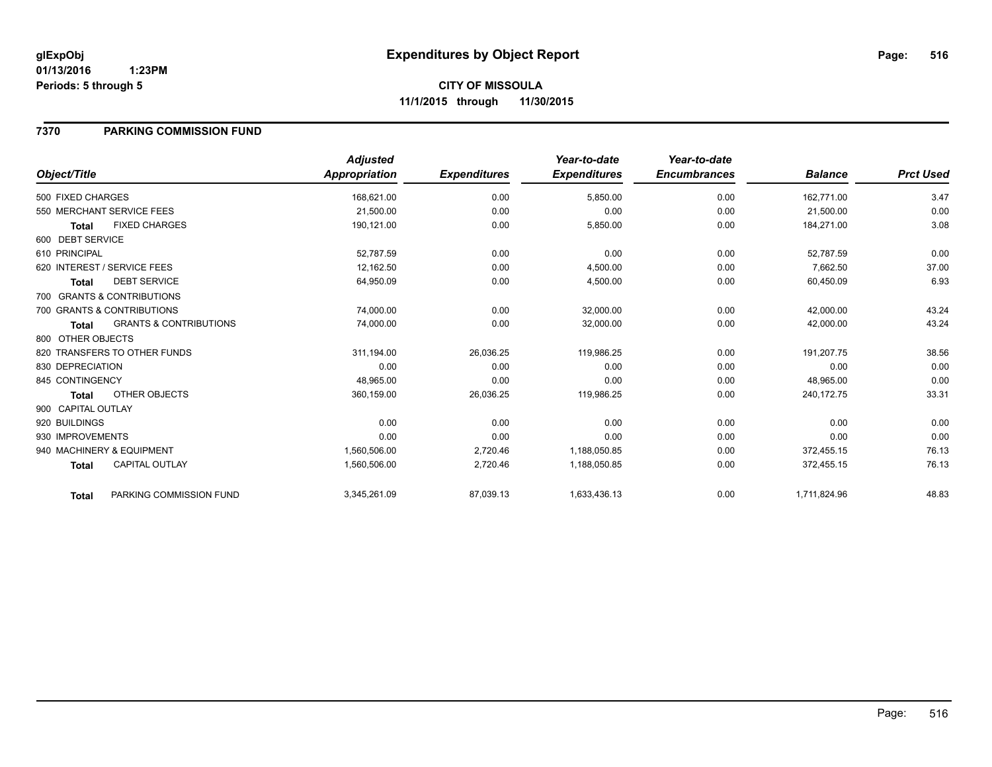### **7370 PARKING COMMISSION FUND**

|                    |                                   | <b>Adjusted</b> |                     | Year-to-date        | Year-to-date        |                |                  |
|--------------------|-----------------------------------|-----------------|---------------------|---------------------|---------------------|----------------|------------------|
| Object/Title       |                                   | Appropriation   | <b>Expenditures</b> | <b>Expenditures</b> | <b>Encumbrances</b> | <b>Balance</b> | <b>Prct Used</b> |
| 500 FIXED CHARGES  |                                   | 168,621.00      | 0.00                | 5,850.00            | 0.00                | 162,771.00     | 3.47             |
|                    | 550 MERCHANT SERVICE FEES         | 21,500.00       | 0.00                | 0.00                | 0.00                | 21,500.00      | 0.00             |
| <b>Total</b>       | <b>FIXED CHARGES</b>              | 190,121.00      | 0.00                | 5,850.00            | 0.00                | 184,271.00     | 3.08             |
| 600 DEBT SERVICE   |                                   |                 |                     |                     |                     |                |                  |
| 610 PRINCIPAL      |                                   | 52,787.59       | 0.00                | 0.00                | 0.00                | 52,787.59      | 0.00             |
|                    | 620 INTEREST / SERVICE FEES       | 12.162.50       | 0.00                | 4,500.00            | 0.00                | 7.662.50       | 37.00            |
| <b>Total</b>       | <b>DEBT SERVICE</b>               | 64,950.09       | 0.00                | 4,500.00            | 0.00                | 60,450.09      | 6.93             |
|                    | 700 GRANTS & CONTRIBUTIONS        |                 |                     |                     |                     |                |                  |
|                    | 700 GRANTS & CONTRIBUTIONS        | 74,000.00       | 0.00                | 32,000.00           | 0.00                | 42,000.00      | 43.24            |
| Total              | <b>GRANTS &amp; CONTRIBUTIONS</b> | 74,000.00       | 0.00                | 32,000.00           | 0.00                | 42,000.00      | 43.24            |
| 800 OTHER OBJECTS  |                                   |                 |                     |                     |                     |                |                  |
|                    | 820 TRANSFERS TO OTHER FUNDS      | 311,194.00      | 26,036.25           | 119,986.25          | 0.00                | 191,207.75     | 38.56            |
| 830 DEPRECIATION   |                                   | 0.00            | 0.00                | 0.00                | 0.00                | 0.00           | 0.00             |
| 845 CONTINGENCY    |                                   | 48,965.00       | 0.00                | 0.00                | 0.00                | 48,965.00      | 0.00             |
| Total              | <b>OTHER OBJECTS</b>              | 360,159.00      | 26,036.25           | 119,986.25          | 0.00                | 240,172.75     | 33.31            |
| 900 CAPITAL OUTLAY |                                   |                 |                     |                     |                     |                |                  |
| 920 BUILDINGS      |                                   | 0.00            | 0.00                | 0.00                | 0.00                | 0.00           | 0.00             |
| 930 IMPROVEMENTS   |                                   | 0.00            | 0.00                | 0.00                | 0.00                | 0.00           | 0.00             |
|                    | 940 MACHINERY & EQUIPMENT         | 1,560,506.00    | 2,720.46            | 1,188,050.85        | 0.00                | 372,455.15     | 76.13            |
| <b>Total</b>       | <b>CAPITAL OUTLAY</b>             | 1,560,506.00    | 2,720.46            | 1,188,050.85        | 0.00                | 372,455.15     | 76.13            |
| <b>Total</b>       | PARKING COMMISSION FUND           | 3,345,261.09    | 87,039.13           | 1,633,436.13        | 0.00                | 1,711,824.96   | 48.83            |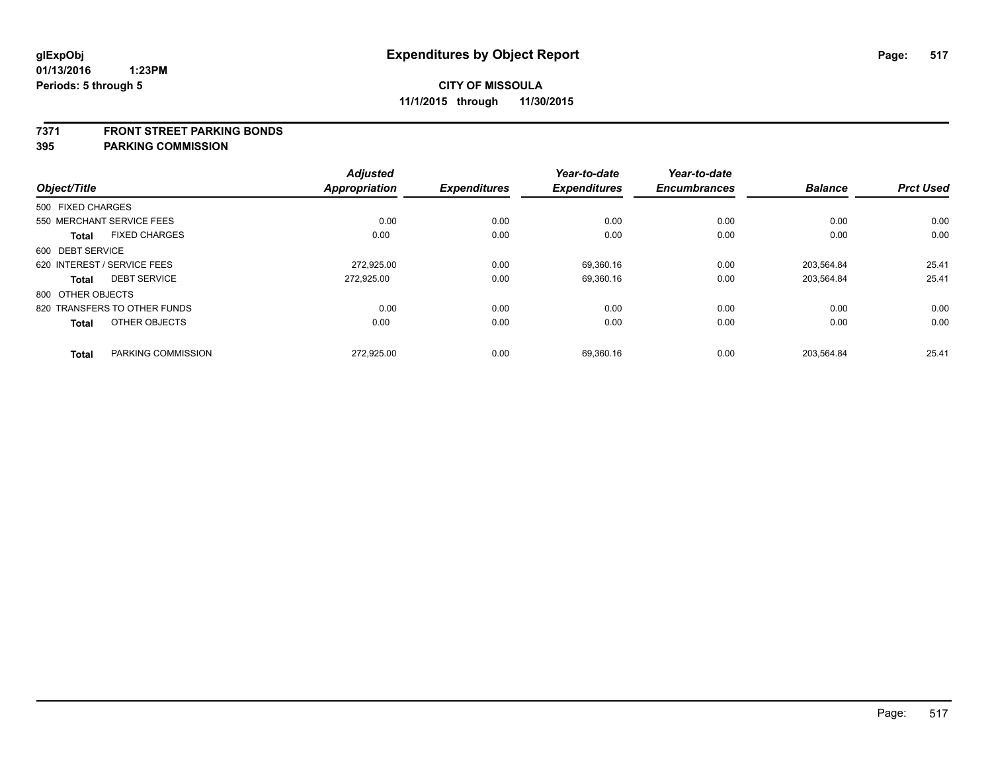### **7371 FRONT STREET PARKING BONDS**

| Object/Title      |                              | <b>Adjusted</b><br><b>Appropriation</b> | <b>Expenditures</b> | Year-to-date<br><b>Expenditures</b> | Year-to-date<br><b>Encumbrances</b> | <b>Balance</b> | <b>Prct Used</b> |
|-------------------|------------------------------|-----------------------------------------|---------------------|-------------------------------------|-------------------------------------|----------------|------------------|
| 500 FIXED CHARGES |                              |                                         |                     |                                     |                                     |                |                  |
|                   | 550 MERCHANT SERVICE FEES    | 0.00                                    | 0.00                | 0.00                                | 0.00                                | 0.00           | 0.00             |
| <b>Total</b>      | <b>FIXED CHARGES</b>         | 0.00                                    | 0.00                | 0.00                                | 0.00                                | 0.00           | 0.00             |
| 600 DEBT SERVICE  |                              |                                         |                     |                                     |                                     |                |                  |
|                   | 620 INTEREST / SERVICE FEES  | 272.925.00                              | 0.00                | 69.360.16                           | 0.00                                | 203.564.84     | 25.41            |
| <b>Total</b>      | <b>DEBT SERVICE</b>          | 272.925.00                              | 0.00                | 69,360.16                           | 0.00                                | 203,564.84     | 25.41            |
| 800 OTHER OBJECTS |                              |                                         |                     |                                     |                                     |                |                  |
|                   | 820 TRANSFERS TO OTHER FUNDS | 0.00                                    | 0.00                | 0.00                                | 0.00                                | 0.00           | 0.00             |
| <b>Total</b>      | OTHER OBJECTS                | 0.00                                    | 0.00                | 0.00                                | 0.00                                | 0.00           | 0.00             |
| <b>Total</b>      | PARKING COMMISSION           | 272,925.00                              | 0.00                | 69,360.16                           | 0.00                                | 203.564.84     | 25.41            |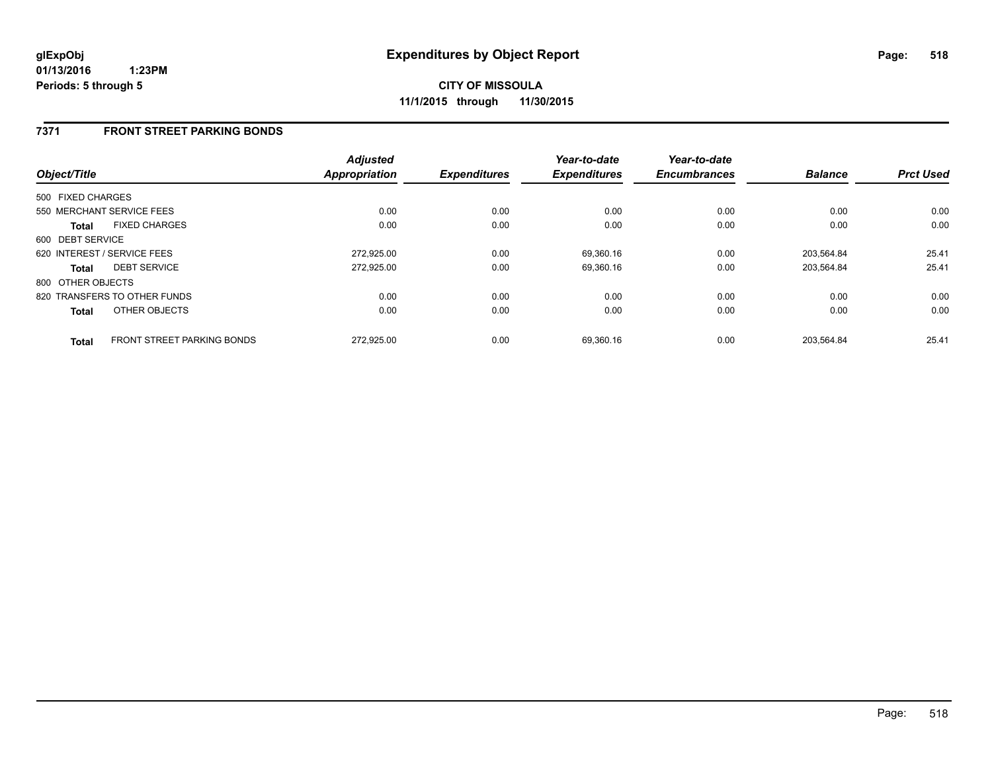### **7371 FRONT STREET PARKING BONDS**

| Object/Title      |                                   | <b>Adjusted</b><br><b>Appropriation</b> | <b>Expenditures</b> | Year-to-date<br><b>Expenditures</b> | Year-to-date<br><b>Encumbrances</b> | <b>Balance</b> | <b>Prct Used</b> |
|-------------------|-----------------------------------|-----------------------------------------|---------------------|-------------------------------------|-------------------------------------|----------------|------------------|
|                   |                                   |                                         |                     |                                     |                                     |                |                  |
| 500 FIXED CHARGES |                                   |                                         |                     |                                     |                                     |                |                  |
|                   | 550 MERCHANT SERVICE FEES         | 0.00                                    | 0.00                | 0.00                                | 0.00                                | 0.00           | 0.00             |
| <b>Total</b>      | <b>FIXED CHARGES</b>              | 0.00                                    | 0.00                | 0.00                                | 0.00                                | 0.00           | 0.00             |
| 600 DEBT SERVICE  |                                   |                                         |                     |                                     |                                     |                |                  |
|                   | 620 INTEREST / SERVICE FEES       | 272,925.00                              | 0.00                | 69,360.16                           | 0.00                                | 203.564.84     | 25.41            |
| Total             | <b>DEBT SERVICE</b>               | 272,925.00                              | 0.00                | 69,360.16                           | 0.00                                | 203.564.84     | 25.41            |
| 800 OTHER OBJECTS |                                   |                                         |                     |                                     |                                     |                |                  |
|                   | 820 TRANSFERS TO OTHER FUNDS      | 0.00                                    | 0.00                | 0.00                                | 0.00                                | 0.00           | 0.00             |
| <b>Total</b>      | OTHER OBJECTS                     | 0.00                                    | 0.00                | 0.00                                | 0.00                                | 0.00           | 0.00             |
| <b>Total</b>      | <b>FRONT STREET PARKING BONDS</b> | 272.925.00                              | 0.00                | 69.360.16                           | 0.00                                | 203.564.84     | 25.41            |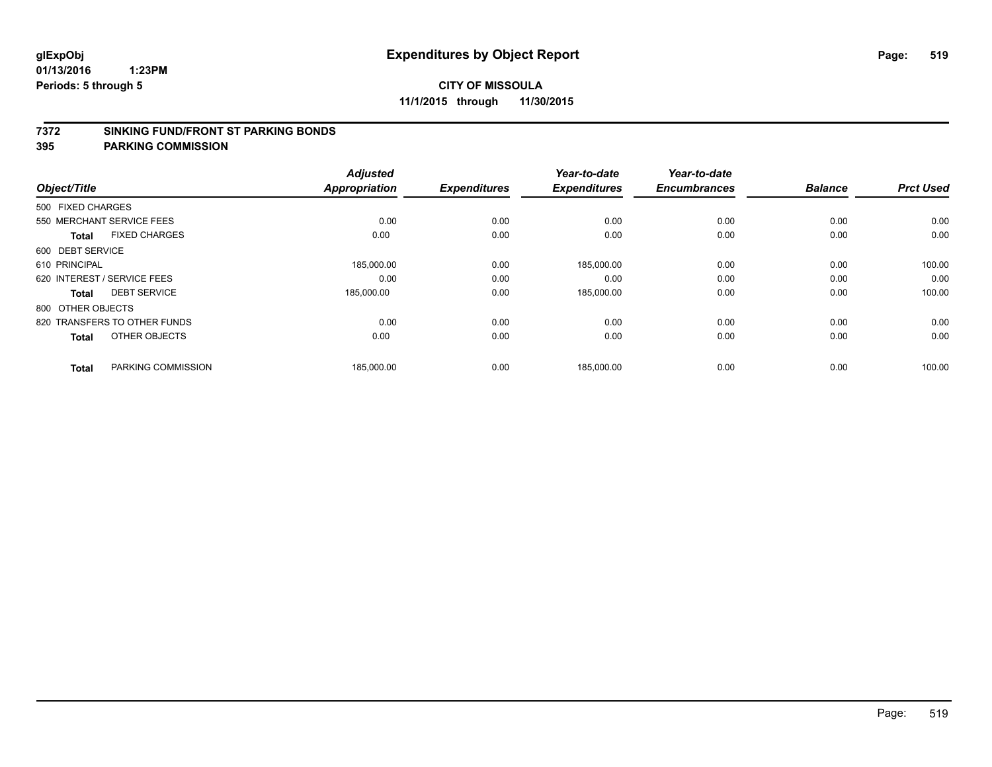### **7372 SINKING FUND/FRONT ST PARKING BONDS**

| Object/Title                |                              | <b>Adjusted</b><br><b>Appropriation</b> | <b>Expenditures</b> | Year-to-date<br><b>Expenditures</b> | Year-to-date<br><b>Encumbrances</b> | <b>Balance</b> | <b>Prct Used</b> |
|-----------------------------|------------------------------|-----------------------------------------|---------------------|-------------------------------------|-------------------------------------|----------------|------------------|
|                             |                              |                                         |                     |                                     |                                     |                |                  |
| 500 FIXED CHARGES           |                              |                                         |                     |                                     |                                     |                |                  |
| 550 MERCHANT SERVICE FEES   |                              | 0.00                                    | 0.00                | 0.00                                | 0.00                                | 0.00           | 0.00             |
| <b>Total</b>                | <b>FIXED CHARGES</b>         | 0.00                                    | 0.00                | 0.00                                | 0.00                                | 0.00           | 0.00             |
| 600 DEBT SERVICE            |                              |                                         |                     |                                     |                                     |                |                  |
| 610 PRINCIPAL               |                              | 185,000.00                              | 0.00                | 185,000.00                          | 0.00                                | 0.00           | 100.00           |
| 620 INTEREST / SERVICE FEES |                              | 0.00                                    | 0.00                | 0.00                                | 0.00                                | 0.00           | 0.00             |
| Total                       | <b>DEBT SERVICE</b>          | 185,000.00                              | 0.00                | 185,000.00                          | 0.00                                | 0.00           | 100.00           |
| 800 OTHER OBJECTS           |                              |                                         |                     |                                     |                                     |                |                  |
|                             | 820 TRANSFERS TO OTHER FUNDS | 0.00                                    | 0.00                | 0.00                                | 0.00                                | 0.00           | 0.00             |
| <b>Total</b>                | OTHER OBJECTS                | 0.00                                    | 0.00                | 0.00                                | 0.00                                | 0.00           | 0.00             |
|                             |                              |                                         |                     |                                     |                                     |                |                  |
| <b>Total</b>                | PARKING COMMISSION           | 185,000.00                              | 0.00                | 185,000.00                          | 0.00                                | 0.00           | 100.00           |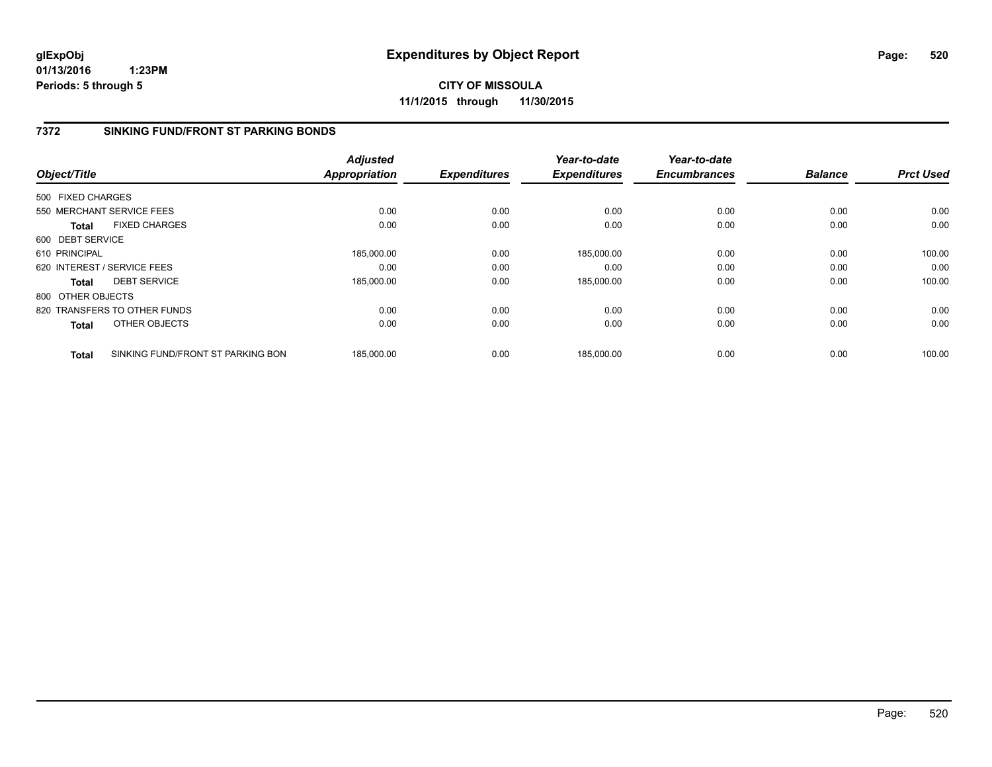**CITY OF MISSOULA 11/1/2015 through 11/30/2015**

### **7372 SINKING FUND/FRONT ST PARKING BONDS**

|                   |                                   | <b>Adjusted</b>      |                     | Year-to-date        | Year-to-date        |                |                  |
|-------------------|-----------------------------------|----------------------|---------------------|---------------------|---------------------|----------------|------------------|
| Object/Title      |                                   | <b>Appropriation</b> | <b>Expenditures</b> | <b>Expenditures</b> | <b>Encumbrances</b> | <b>Balance</b> | <b>Prct Used</b> |
| 500 FIXED CHARGES |                                   |                      |                     |                     |                     |                |                  |
|                   | 550 MERCHANT SERVICE FEES         | 0.00                 | 0.00                | 0.00                | 0.00                | 0.00           | 0.00             |
| <b>Total</b>      | <b>FIXED CHARGES</b>              | 0.00                 | 0.00                | 0.00                | 0.00                | 0.00           | 0.00             |
| 600 DEBT SERVICE  |                                   |                      |                     |                     |                     |                |                  |
| 610 PRINCIPAL     |                                   | 185,000.00           | 0.00                | 185,000.00          | 0.00                | 0.00           | 100.00           |
|                   | 620 INTEREST / SERVICE FEES       | 0.00                 | 0.00                | 0.00                | 0.00                | 0.00           | 0.00             |
| Total             | <b>DEBT SERVICE</b>               | 185,000.00           | 0.00                | 185,000.00          | 0.00                | 0.00           | 100.00           |
| 800 OTHER OBJECTS |                                   |                      |                     |                     |                     |                |                  |
|                   | 820 TRANSFERS TO OTHER FUNDS      | 0.00                 | 0.00                | 0.00                | 0.00                | 0.00           | 0.00             |
| Total             | OTHER OBJECTS                     | 0.00                 | 0.00                | 0.00                | 0.00                | 0.00           | 0.00             |
| <b>Total</b>      | SINKING FUND/FRONT ST PARKING BON | 185,000.00           | 0.00                | 185.000.00          | 0.00                | 0.00           | 100.00           |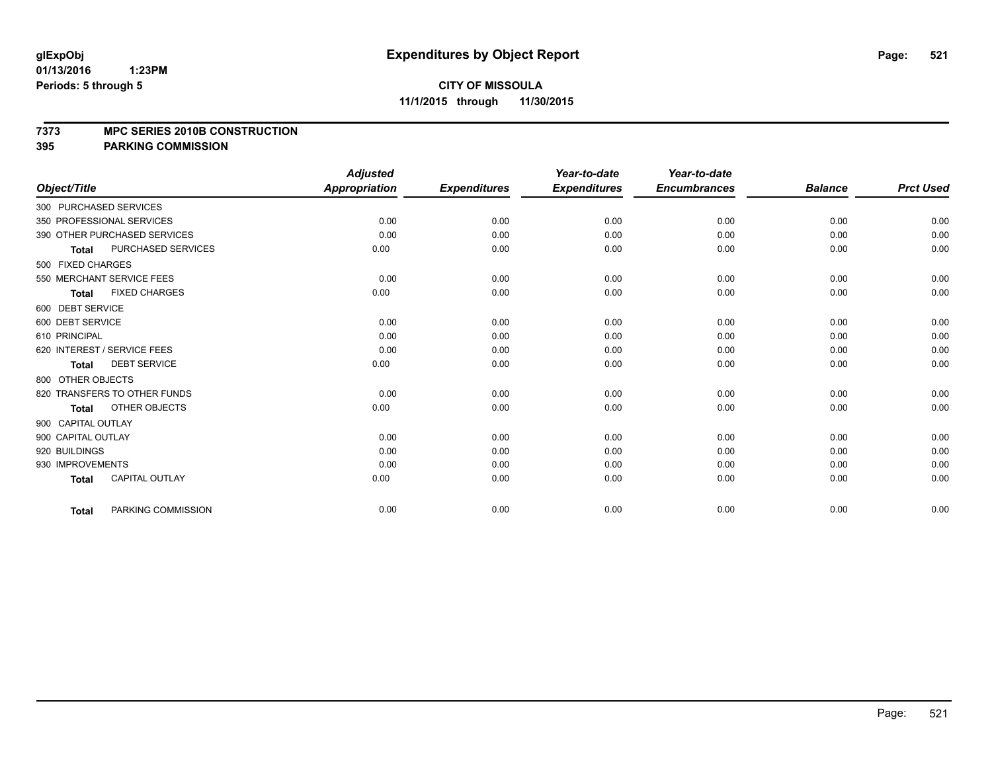### **7373 MPC SERIES 2010B CONSTRUCTION**

|                              |                       | <b>Adjusted</b> |                     | Year-to-date        | Year-to-date        |                |                  |
|------------------------------|-----------------------|-----------------|---------------------|---------------------|---------------------|----------------|------------------|
| Object/Title                 |                       | Appropriation   | <b>Expenditures</b> | <b>Expenditures</b> | <b>Encumbrances</b> | <b>Balance</b> | <b>Prct Used</b> |
| 300 PURCHASED SERVICES       |                       |                 |                     |                     |                     |                |                  |
| 350 PROFESSIONAL SERVICES    |                       | 0.00            | 0.00                | 0.00                | 0.00                | 0.00           | 0.00             |
| 390 OTHER PURCHASED SERVICES |                       | 0.00            | 0.00                | 0.00                | 0.00                | 0.00           | 0.00             |
| <b>Total</b>                 | PURCHASED SERVICES    | 0.00            | 0.00                | 0.00                | 0.00                | 0.00           | 0.00             |
| 500 FIXED CHARGES            |                       |                 |                     |                     |                     |                |                  |
| 550 MERCHANT SERVICE FEES    |                       | 0.00            | 0.00                | 0.00                | 0.00                | 0.00           | 0.00             |
| Total                        | <b>FIXED CHARGES</b>  | 0.00            | 0.00                | 0.00                | 0.00                | 0.00           | 0.00             |
| 600 DEBT SERVICE             |                       |                 |                     |                     |                     |                |                  |
| 600 DEBT SERVICE             |                       | 0.00            | 0.00                | 0.00                | 0.00                | 0.00           | 0.00             |
| 610 PRINCIPAL                |                       | 0.00            | 0.00                | 0.00                | 0.00                | 0.00           | 0.00             |
| 620 INTEREST / SERVICE FEES  |                       | 0.00            | 0.00                | 0.00                | 0.00                | 0.00           | 0.00             |
| <b>Total</b>                 | <b>DEBT SERVICE</b>   | 0.00            | 0.00                | 0.00                | 0.00                | 0.00           | 0.00             |
| 800 OTHER OBJECTS            |                       |                 |                     |                     |                     |                |                  |
| 820 TRANSFERS TO OTHER FUNDS |                       | 0.00            | 0.00                | 0.00                | 0.00                | 0.00           | 0.00             |
| <b>Total</b>                 | OTHER OBJECTS         | 0.00            | 0.00                | 0.00                | 0.00                | 0.00           | 0.00             |
| 900 CAPITAL OUTLAY           |                       |                 |                     |                     |                     |                |                  |
| 900 CAPITAL OUTLAY           |                       | 0.00            | 0.00                | 0.00                | 0.00                | 0.00           | 0.00             |
| 920 BUILDINGS                |                       | 0.00            | 0.00                | 0.00                | 0.00                | 0.00           | 0.00             |
| 930 IMPROVEMENTS             |                       | 0.00            | 0.00                | 0.00                | 0.00                | 0.00           | 0.00             |
| Total                        | <b>CAPITAL OUTLAY</b> | 0.00            | 0.00                | 0.00                | 0.00                | 0.00           | 0.00             |
| <b>Total</b>                 | PARKING COMMISSION    | 0.00            | 0.00                | 0.00                | 0.00                | 0.00           | 0.00             |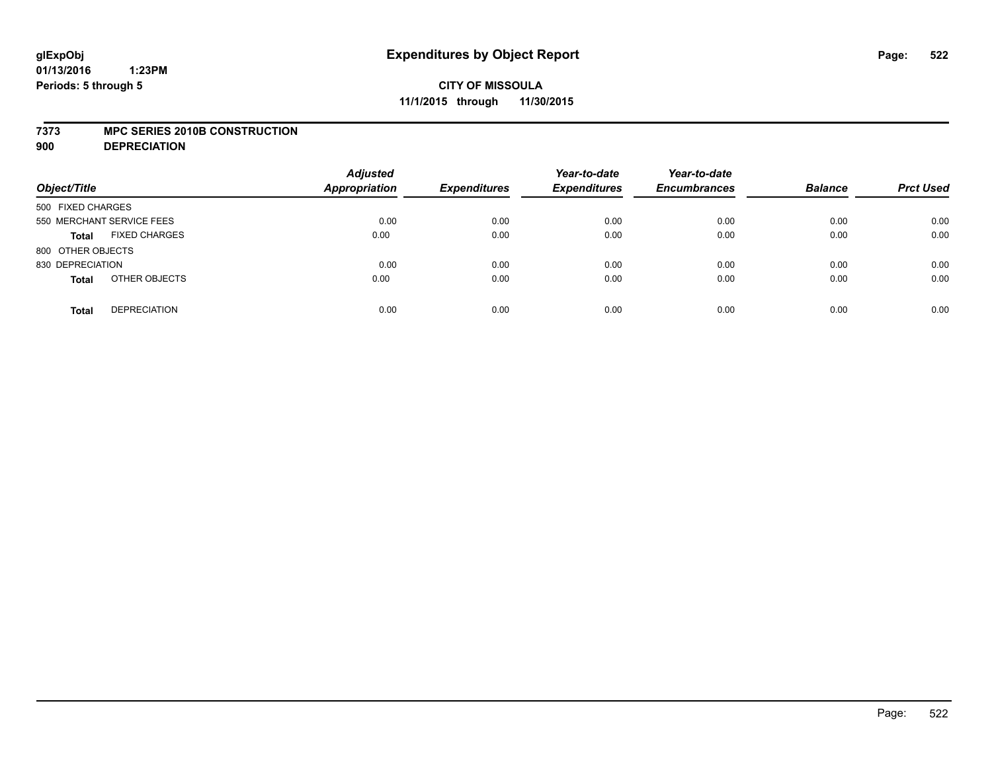### **7373 MPC SERIES 2010B CONSTRUCTION**

**900 DEPRECIATION**

| Object/Title                         | <b>Adjusted</b><br>Appropriation | <b>Expenditures</b> | Year-to-date<br><b>Expenditures</b> | Year-to-date<br><b>Encumbrances</b> | <b>Balance</b> | <b>Prct Used</b> |
|--------------------------------------|----------------------------------|---------------------|-------------------------------------|-------------------------------------|----------------|------------------|
| 500 FIXED CHARGES                    |                                  |                     |                                     |                                     |                |                  |
| 550 MERCHANT SERVICE FEES            | 0.00                             | 0.00                | 0.00                                | 0.00                                | 0.00           | 0.00             |
| <b>FIXED CHARGES</b><br><b>Total</b> | 0.00                             | 0.00                | 0.00                                | 0.00                                | 0.00           | 0.00             |
| 800 OTHER OBJECTS                    |                                  |                     |                                     |                                     |                |                  |
| 830 DEPRECIATION                     | 0.00                             | 0.00                | 0.00                                | 0.00                                | 0.00           | 0.00             |
| OTHER OBJECTS<br><b>Total</b>        | 0.00                             | 0.00                | 0.00                                | 0.00                                | 0.00           | 0.00             |
| <b>DEPRECIATION</b><br><b>Total</b>  | 0.00                             | 0.00                | 0.00                                | 0.00                                | 0.00           | 0.00             |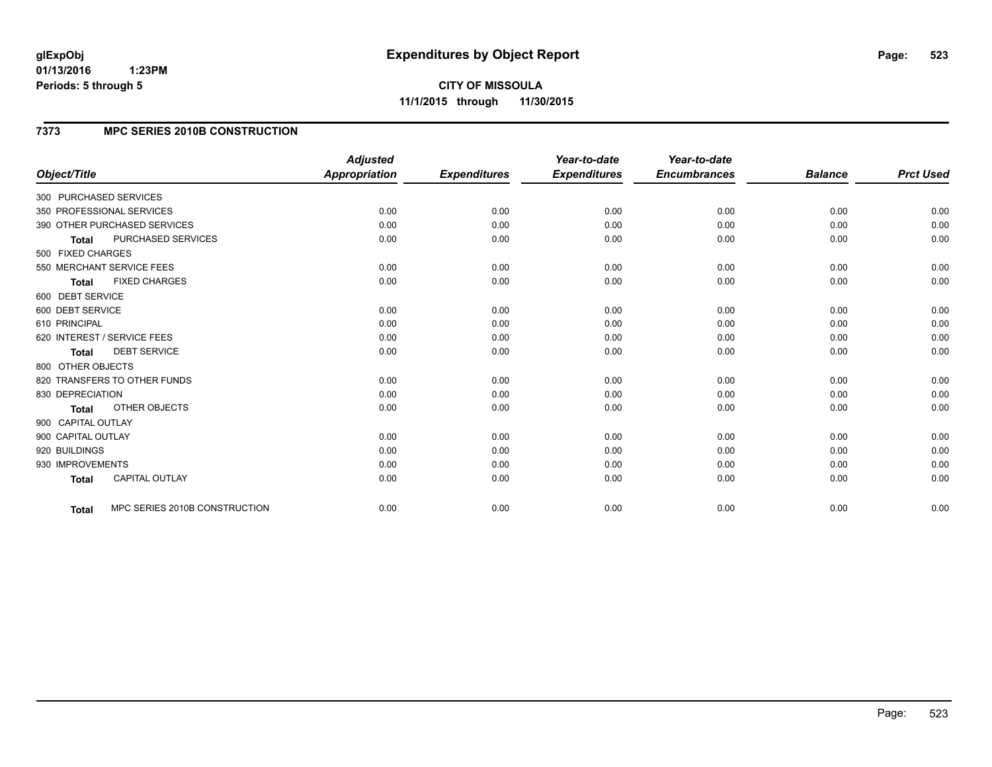**CITY OF MISSOULA 11/1/2015 through 11/30/2015**

# **7373 MPC SERIES 2010B CONSTRUCTION**

|                              |                               | <b>Adjusted</b>      |                     | Year-to-date        | Year-to-date        |                |                  |
|------------------------------|-------------------------------|----------------------|---------------------|---------------------|---------------------|----------------|------------------|
| Object/Title                 |                               | <b>Appropriation</b> | <b>Expenditures</b> | <b>Expenditures</b> | <b>Encumbrances</b> | <b>Balance</b> | <b>Prct Used</b> |
| 300 PURCHASED SERVICES       |                               |                      |                     |                     |                     |                |                  |
| 350 PROFESSIONAL SERVICES    |                               | 0.00                 | 0.00                | 0.00                | 0.00                | 0.00           | 0.00             |
| 390 OTHER PURCHASED SERVICES |                               | 0.00                 | 0.00                | 0.00                | 0.00                | 0.00           | 0.00             |
| <b>Total</b>                 | PURCHASED SERVICES            | 0.00                 | 0.00                | 0.00                | 0.00                | 0.00           | 0.00             |
| 500 FIXED CHARGES            |                               |                      |                     |                     |                     |                |                  |
| 550 MERCHANT SERVICE FEES    |                               | 0.00                 | 0.00                | 0.00                | 0.00                | 0.00           | 0.00             |
| <b>Total</b>                 | <b>FIXED CHARGES</b>          | 0.00                 | 0.00                | 0.00                | 0.00                | 0.00           | 0.00             |
| 600 DEBT SERVICE             |                               |                      |                     |                     |                     |                |                  |
| 600 DEBT SERVICE             |                               | 0.00                 | 0.00                | 0.00                | 0.00                | 0.00           | 0.00             |
| 610 PRINCIPAL                |                               | 0.00                 | 0.00                | 0.00                | 0.00                | 0.00           | 0.00             |
| 620 INTEREST / SERVICE FEES  |                               | 0.00                 | 0.00                | 0.00                | 0.00                | 0.00           | 0.00             |
| <b>Total</b>                 | <b>DEBT SERVICE</b>           | 0.00                 | 0.00                | 0.00                | 0.00                | 0.00           | 0.00             |
| 800 OTHER OBJECTS            |                               |                      |                     |                     |                     |                |                  |
| 820 TRANSFERS TO OTHER FUNDS |                               | 0.00                 | 0.00                | 0.00                | 0.00                | 0.00           | 0.00             |
| 830 DEPRECIATION             |                               | 0.00                 | 0.00                | 0.00                | 0.00                | 0.00           | 0.00             |
| <b>Total</b>                 | <b>OTHER OBJECTS</b>          | 0.00                 | 0.00                | 0.00                | 0.00                | 0.00           | 0.00             |
| 900 CAPITAL OUTLAY           |                               |                      |                     |                     |                     |                |                  |
| 900 CAPITAL OUTLAY           |                               | 0.00                 | 0.00                | 0.00                | 0.00                | 0.00           | 0.00             |
| 920 BUILDINGS                |                               | 0.00                 | 0.00                | 0.00                | 0.00                | 0.00           | 0.00             |
| 930 IMPROVEMENTS             |                               | 0.00                 | 0.00                | 0.00                | 0.00                | 0.00           | 0.00             |
| <b>Total</b>                 | <b>CAPITAL OUTLAY</b>         | 0.00                 | 0.00                | 0.00                | 0.00                | 0.00           | 0.00             |
|                              |                               |                      |                     |                     |                     |                |                  |
| <b>Total</b>                 | MPC SERIES 2010B CONSTRUCTION | 0.00                 | 0.00                | 0.00                | 0.00                | 0.00           | 0.00             |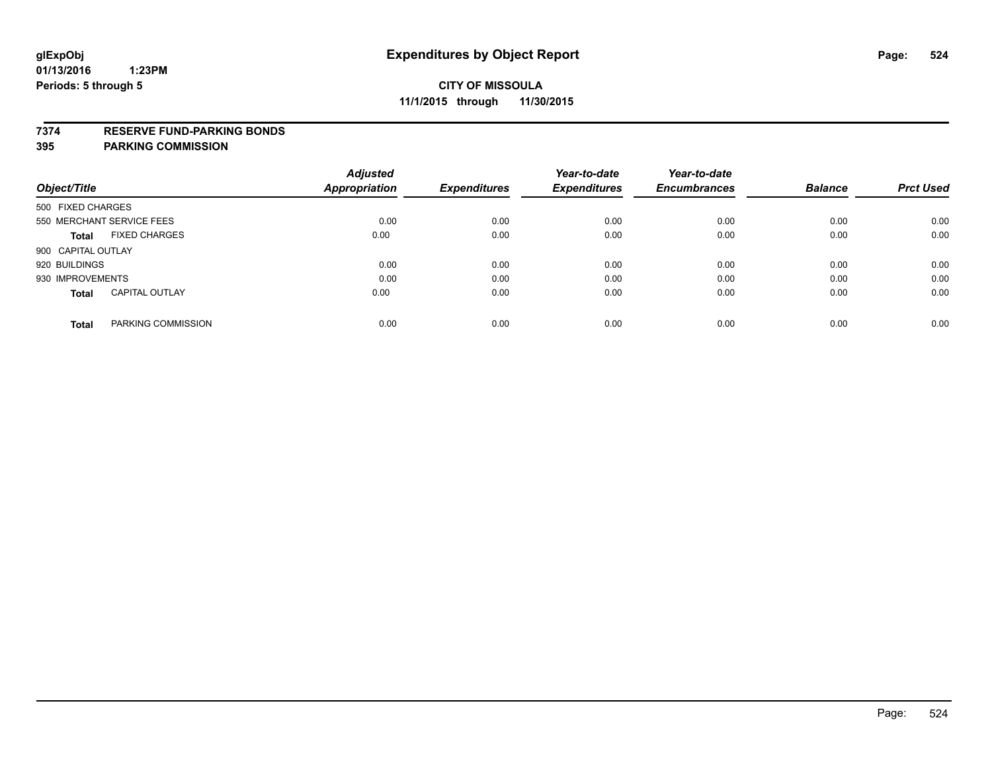### **7374 RESERVE FUND-PARKING BONDS**

| Object/Title              |                       | <b>Adjusted</b><br>Appropriation | <b>Expenditures</b> | Year-to-date<br><b>Expenditures</b> | Year-to-date<br><b>Encumbrances</b> | <b>Balance</b> | <b>Prct Used</b> |
|---------------------------|-----------------------|----------------------------------|---------------------|-------------------------------------|-------------------------------------|----------------|------------------|
| 500 FIXED CHARGES         |                       |                                  |                     |                                     |                                     |                |                  |
| 550 MERCHANT SERVICE FEES |                       | 0.00                             | 0.00                | 0.00                                | 0.00                                | 0.00           | 0.00             |
| Total                     | <b>FIXED CHARGES</b>  | 0.00                             | 0.00                | 0.00                                | 0.00                                | 0.00           | 0.00             |
| 900 CAPITAL OUTLAY        |                       |                                  |                     |                                     |                                     |                |                  |
| 920 BUILDINGS             |                       | 0.00                             | 0.00                | 0.00                                | 0.00                                | 0.00           | 0.00             |
| 930 IMPROVEMENTS          |                       | 0.00                             | 0.00                | 0.00                                | 0.00                                | 0.00           | 0.00             |
| <b>Total</b>              | <b>CAPITAL OUTLAY</b> | 0.00                             | 0.00                | 0.00                                | 0.00                                | 0.00           | 0.00             |
| <b>Total</b>              | PARKING COMMISSION    | 0.00                             | 0.00                | 0.00                                | 0.00                                | 0.00           | 0.00             |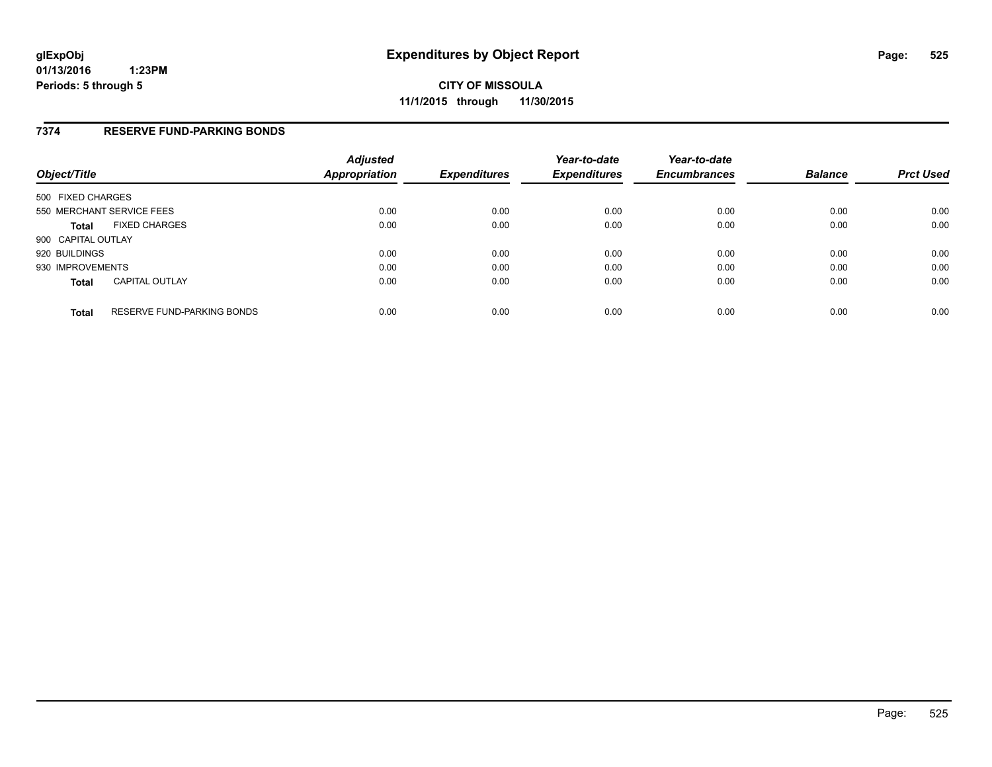### **7374 RESERVE FUND-PARKING BONDS**

| Object/Title              |                                   | <b>Adjusted</b><br>Appropriation | <b>Expenditures</b> | Year-to-date<br><b>Expenditures</b> | Year-to-date<br><b>Encumbrances</b> | <b>Balance</b> | <b>Prct Used</b> |
|---------------------------|-----------------------------------|----------------------------------|---------------------|-------------------------------------|-------------------------------------|----------------|------------------|
| 500 FIXED CHARGES         |                                   |                                  |                     |                                     |                                     |                |                  |
| 550 MERCHANT SERVICE FEES |                                   | 0.00                             | 0.00                | 0.00                                | 0.00                                | 0.00           | 0.00             |
| <b>Total</b>              | <b>FIXED CHARGES</b>              | 0.00                             | 0.00                | 0.00                                | 0.00                                | 0.00           | 0.00             |
| 900 CAPITAL OUTLAY        |                                   |                                  |                     |                                     |                                     |                |                  |
| 920 BUILDINGS             |                                   | 0.00                             | 0.00                | 0.00                                | 0.00                                | 0.00           | 0.00             |
| 930 IMPROVEMENTS          |                                   | 0.00                             | 0.00                | 0.00                                | 0.00                                | 0.00           | 0.00             |
| <b>Total</b>              | <b>CAPITAL OUTLAY</b>             | 0.00                             | 0.00                | 0.00                                | 0.00                                | 0.00           | 0.00             |
| <b>Total</b>              | <b>RESERVE FUND-PARKING BONDS</b> | 0.00                             | 0.00                | 0.00                                | 0.00                                | 0.00           | 0.00             |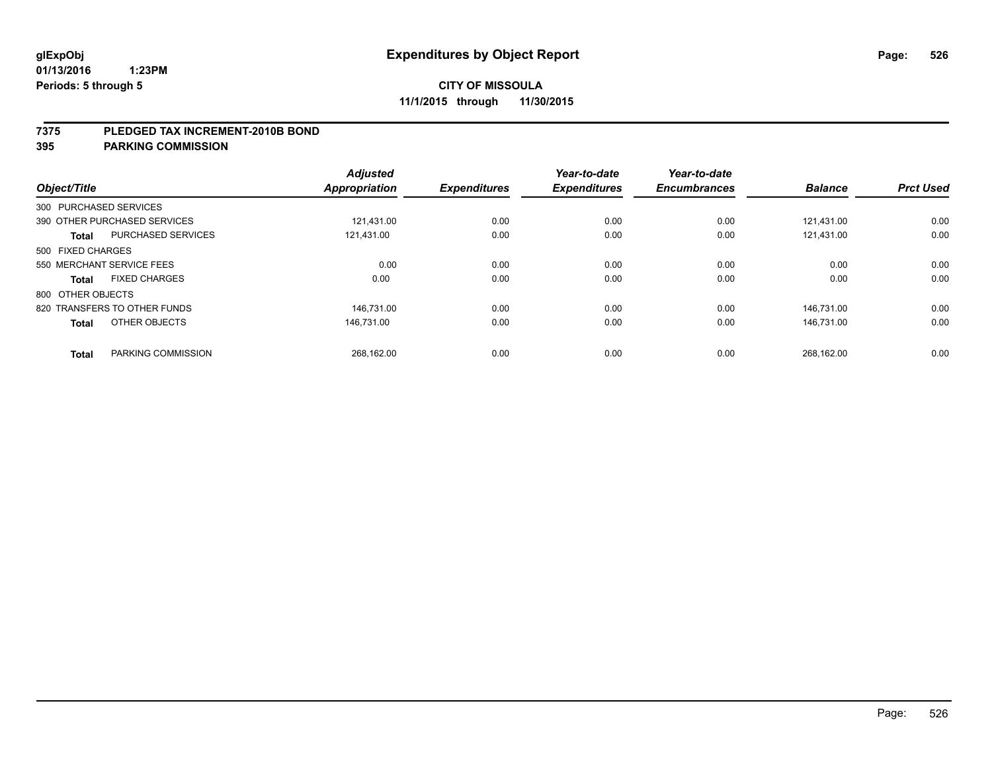### **7375 PLEDGED TAX INCREMENT-2010B BOND**

| Object/Title      |                              | <b>Adjusted</b><br>Appropriation | <b>Expenditures</b> | Year-to-date<br><b>Expenditures</b> | Year-to-date<br><b>Encumbrances</b> | <b>Balance</b> | <b>Prct Used</b> |
|-------------------|------------------------------|----------------------------------|---------------------|-------------------------------------|-------------------------------------|----------------|------------------|
|                   | 300 PURCHASED SERVICES       |                                  |                     |                                     |                                     |                |                  |
|                   | 390 OTHER PURCHASED SERVICES | 121.431.00                       | 0.00                | 0.00                                | 0.00                                | 121.431.00     | 0.00             |
| <b>Total</b>      | <b>PURCHASED SERVICES</b>    | 121.431.00                       | 0.00                | 0.00                                | 0.00                                | 121.431.00     | 0.00             |
| 500 FIXED CHARGES |                              |                                  |                     |                                     |                                     |                |                  |
|                   | 550 MERCHANT SERVICE FEES    | 0.00                             | 0.00                | 0.00                                | 0.00                                | 0.00           | 0.00             |
| <b>Total</b>      | <b>FIXED CHARGES</b>         | 0.00                             | 0.00                | 0.00                                | 0.00                                | 0.00           | 0.00             |
| 800 OTHER OBJECTS |                              |                                  |                     |                                     |                                     |                |                  |
|                   | 820 TRANSFERS TO OTHER FUNDS | 146.731.00                       | 0.00                | 0.00                                | 0.00                                | 146.731.00     | 0.00             |
| <b>Total</b>      | OTHER OBJECTS                | 146.731.00                       | 0.00                | 0.00                                | 0.00                                | 146.731.00     | 0.00             |
|                   |                              |                                  |                     |                                     |                                     |                |                  |
| <b>Total</b>      | PARKING COMMISSION           | 268.162.00                       | 0.00                | 0.00                                | 0.00                                | 268.162.00     | 0.00             |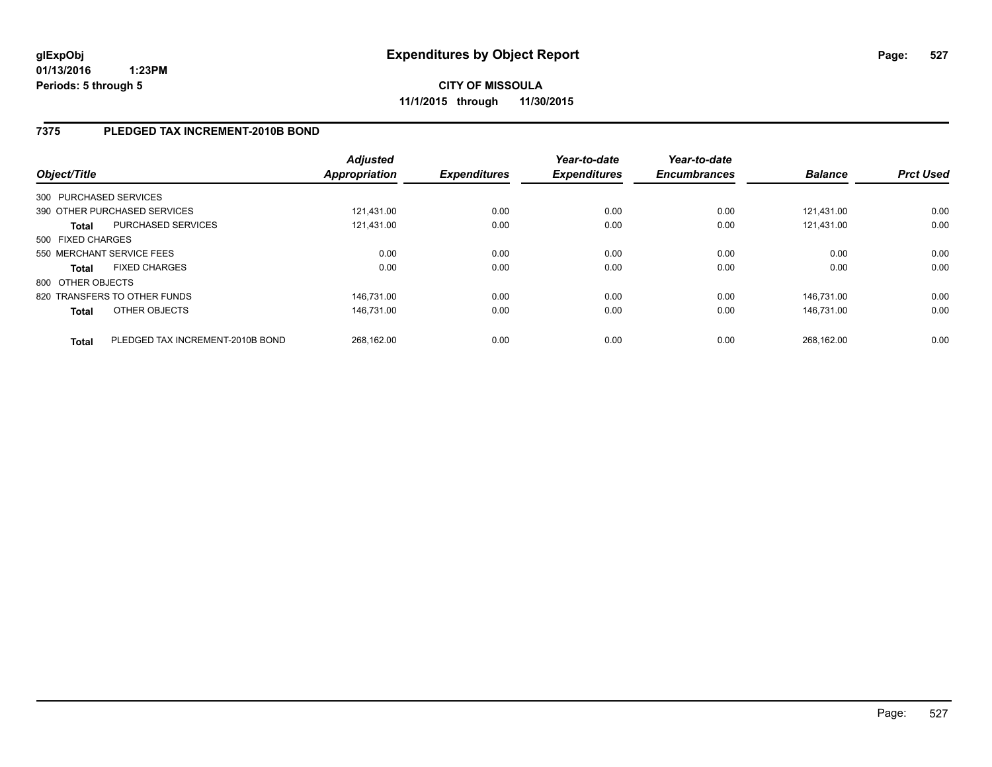# **7375 PLEDGED TAX INCREMENT-2010B BOND**

| Object/Title      |                                  | <b>Adjusted</b><br>Appropriation | <b>Expenditures</b> | Year-to-date<br><b>Expenditures</b> | Year-to-date<br><b>Encumbrances</b> | <b>Balance</b> | <b>Prct Used</b> |
|-------------------|----------------------------------|----------------------------------|---------------------|-------------------------------------|-------------------------------------|----------------|------------------|
|                   | 300 PURCHASED SERVICES           |                                  |                     |                                     |                                     |                |                  |
|                   | 390 OTHER PURCHASED SERVICES     | 121.431.00                       | 0.00                | 0.00                                | 0.00                                | 121.431.00     | 0.00             |
| Total             | PURCHASED SERVICES               | 121.431.00                       | 0.00                | 0.00                                | 0.00                                | 121.431.00     | 0.00             |
| 500 FIXED CHARGES |                                  |                                  |                     |                                     |                                     |                |                  |
|                   | 550 MERCHANT SERVICE FEES        | 0.00                             | 0.00                | 0.00                                | 0.00                                | 0.00           | 0.00             |
| Total             | <b>FIXED CHARGES</b>             | 0.00                             | 0.00                | 0.00                                | 0.00                                | 0.00           | 0.00             |
| 800 OTHER OBJECTS |                                  |                                  |                     |                                     |                                     |                |                  |
|                   | 820 TRANSFERS TO OTHER FUNDS     | 146.731.00                       | 0.00                | 0.00                                | 0.00                                | 146.731.00     | 0.00             |
| <b>Total</b>      | OTHER OBJECTS                    | 146.731.00                       | 0.00                | 0.00                                | 0.00                                | 146.731.00     | 0.00             |
| <b>Total</b>      | PLEDGED TAX INCREMENT-2010B BOND | 268.162.00                       | 0.00                | 0.00                                | 0.00                                | 268.162.00     | 0.00             |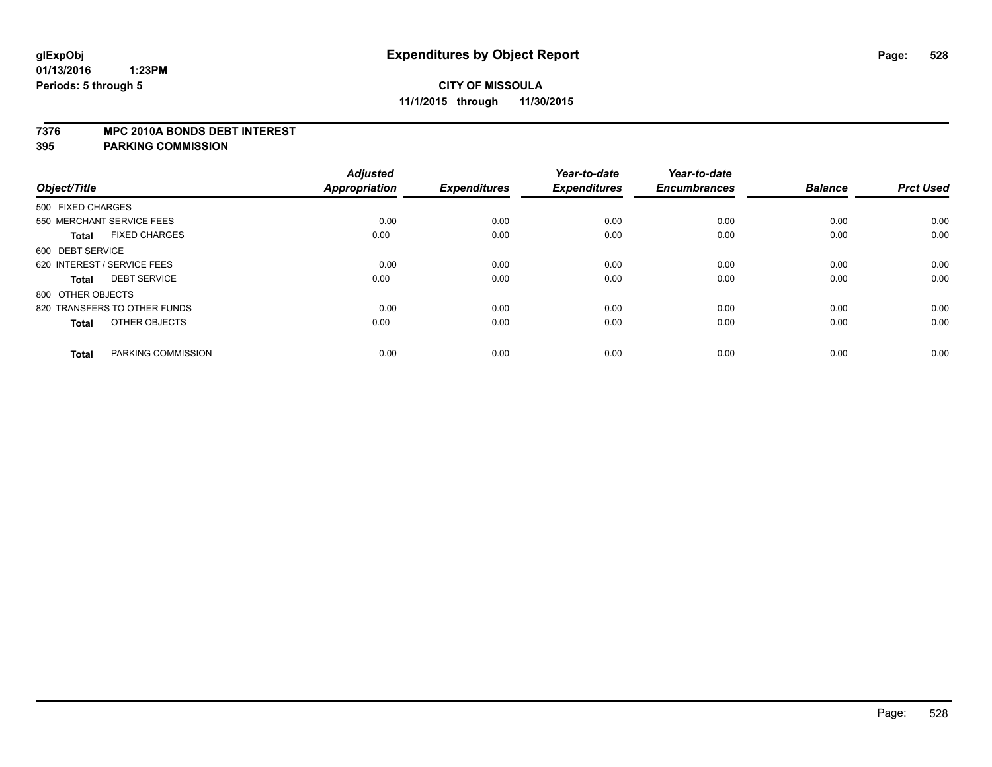### **7376 MPC 2010A BONDS DEBT INTEREST**

| Object/Title                         | <b>Adjusted</b><br><b>Appropriation</b> | <b>Expenditures</b> | Year-to-date<br><b>Expenditures</b> | Year-to-date<br><b>Encumbrances</b> | <b>Balance</b> | <b>Prct Used</b> |
|--------------------------------------|-----------------------------------------|---------------------|-------------------------------------|-------------------------------------|----------------|------------------|
|                                      |                                         |                     |                                     |                                     |                |                  |
| 500 FIXED CHARGES                    |                                         |                     |                                     |                                     |                |                  |
| 550 MERCHANT SERVICE FEES            | 0.00                                    | 0.00                | 0.00                                | 0.00                                | 0.00           | 0.00             |
| <b>FIXED CHARGES</b><br><b>Total</b> | 0.00                                    | 0.00                | 0.00                                | 0.00                                | 0.00           | 0.00             |
| 600 DEBT SERVICE                     |                                         |                     |                                     |                                     |                |                  |
| 620 INTEREST / SERVICE FEES          | 0.00                                    | 0.00                | 0.00                                | 0.00                                | 0.00           | 0.00             |
| <b>DEBT SERVICE</b><br><b>Total</b>  | 0.00                                    | 0.00                | 0.00                                | 0.00                                | 0.00           | 0.00             |
| 800 OTHER OBJECTS                    |                                         |                     |                                     |                                     |                |                  |
| 820 TRANSFERS TO OTHER FUNDS         | 0.00                                    | 0.00                | 0.00                                | 0.00                                | 0.00           | 0.00             |
| OTHER OBJECTS<br><b>Total</b>        | 0.00                                    | 0.00                | 0.00                                | 0.00                                | 0.00           | 0.00             |
| PARKING COMMISSION                   | 0.00                                    | 0.00                | 0.00                                | 0.00                                | 0.00           | 0.00             |
| <b>Total</b>                         |                                         |                     |                                     |                                     |                |                  |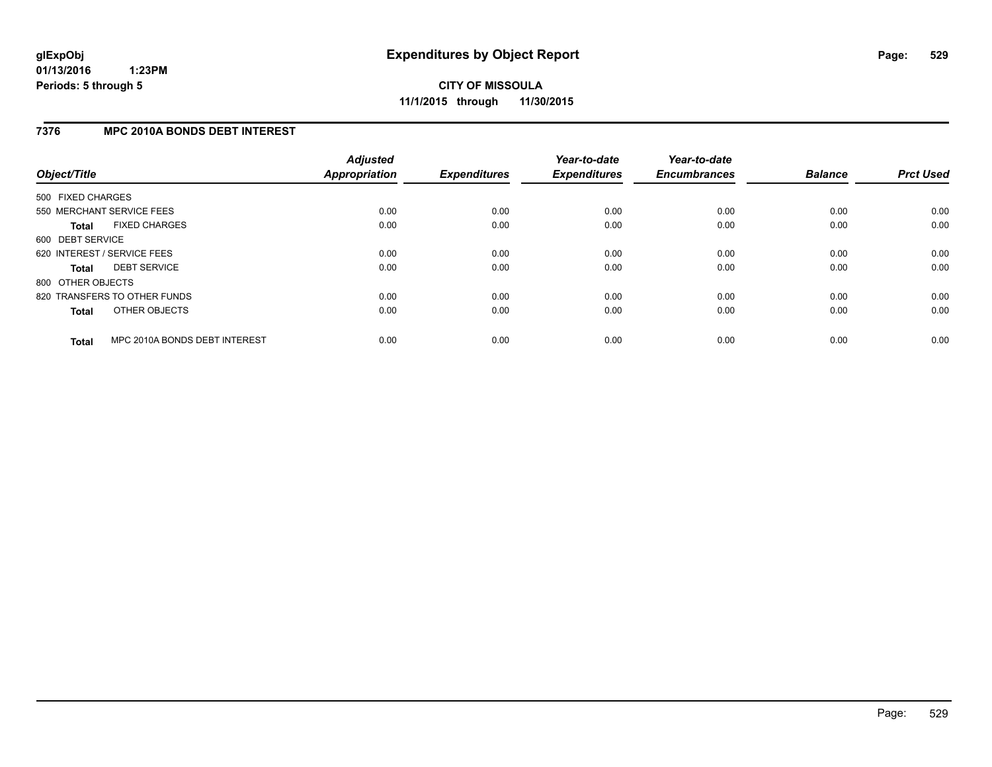# **7376 MPC 2010A BONDS DEBT INTEREST**

| Object/Title      |                               | <b>Adjusted</b><br><b>Appropriation</b> | <b>Expenditures</b> | Year-to-date<br><b>Expenditures</b> | Year-to-date<br><b>Encumbrances</b> | <b>Balance</b> | <b>Prct Used</b> |
|-------------------|-------------------------------|-----------------------------------------|---------------------|-------------------------------------|-------------------------------------|----------------|------------------|
| 500 FIXED CHARGES |                               |                                         |                     |                                     |                                     |                |                  |
|                   | 550 MERCHANT SERVICE FEES     | 0.00                                    | 0.00                | 0.00                                | 0.00                                | 0.00           | 0.00             |
| <b>Total</b>      | <b>FIXED CHARGES</b>          | 0.00                                    | 0.00                | 0.00                                | 0.00                                | 0.00           | 0.00             |
| 600 DEBT SERVICE  |                               |                                         |                     |                                     |                                     |                |                  |
|                   | 620 INTEREST / SERVICE FEES   | 0.00                                    | 0.00                | 0.00                                | 0.00                                | 0.00           | 0.00             |
| <b>Total</b>      | <b>DEBT SERVICE</b>           | 0.00                                    | 0.00                | 0.00                                | 0.00                                | 0.00           | 0.00             |
| 800 OTHER OBJECTS |                               |                                         |                     |                                     |                                     |                |                  |
|                   | 820 TRANSFERS TO OTHER FUNDS  | 0.00                                    | 0.00                | 0.00                                | 0.00                                | 0.00           | 0.00             |
| <b>Total</b>      | OTHER OBJECTS                 | 0.00                                    | 0.00                | 0.00                                | 0.00                                | 0.00           | 0.00             |
| <b>Total</b>      | MPC 2010A BONDS DEBT INTEREST | 0.00                                    | 0.00                | 0.00                                | 0.00                                | 0.00           | 0.00             |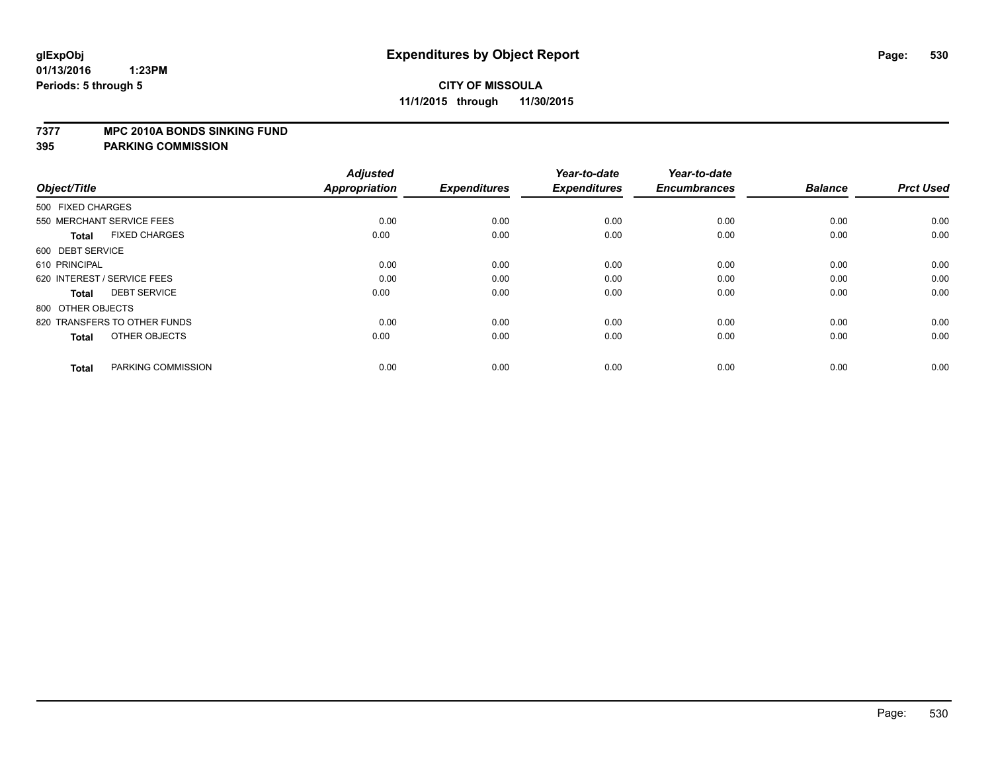### **7377 MPC 2010A BONDS SINKING FUND**

| Object/Title                         | <b>Adjusted</b><br><b>Appropriation</b> | <b>Expenditures</b> | Year-to-date<br><b>Expenditures</b> | Year-to-date<br><b>Encumbrances</b> | <b>Balance</b> | <b>Prct Used</b> |
|--------------------------------------|-----------------------------------------|---------------------|-------------------------------------|-------------------------------------|----------------|------------------|
| 500 FIXED CHARGES                    |                                         |                     |                                     |                                     |                |                  |
| 550 MERCHANT SERVICE FEES            | 0.00                                    | 0.00                | 0.00                                | 0.00                                | 0.00           | 0.00             |
| <b>FIXED CHARGES</b><br><b>Total</b> | 0.00                                    | 0.00                | 0.00                                | 0.00                                | 0.00           | 0.00             |
| 600 DEBT SERVICE                     |                                         |                     |                                     |                                     |                |                  |
| 610 PRINCIPAL                        | 0.00                                    | 0.00                | 0.00                                | 0.00                                | 0.00           | 0.00             |
| 620 INTEREST / SERVICE FEES          | 0.00                                    | 0.00                | 0.00                                | 0.00                                | 0.00           | 0.00             |
| <b>DEBT SERVICE</b><br><b>Total</b>  | 0.00                                    | 0.00                | 0.00                                | 0.00                                | 0.00           | 0.00             |
| 800 OTHER OBJECTS                    |                                         |                     |                                     |                                     |                |                  |
| 820 TRANSFERS TO OTHER FUNDS         | 0.00                                    | 0.00                | 0.00                                | 0.00                                | 0.00           | 0.00             |
| OTHER OBJECTS<br><b>Total</b>        | 0.00                                    | 0.00                | 0.00                                | 0.00                                | 0.00           | 0.00             |
|                                      |                                         |                     |                                     |                                     |                |                  |
| PARKING COMMISSION<br><b>Total</b>   | 0.00                                    | 0.00                | 0.00                                | 0.00                                | 0.00           | 0.00             |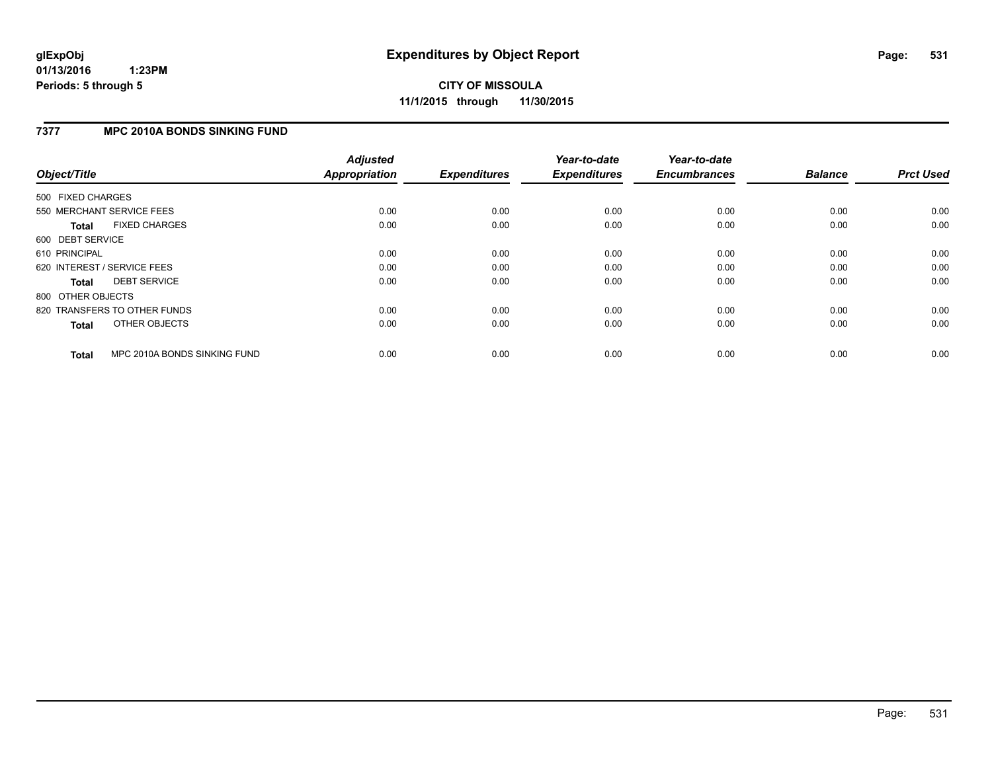# **7377 MPC 2010A BONDS SINKING FUND**

| Object/Title      |                              | <b>Adjusted</b><br><b>Appropriation</b> | <b>Expenditures</b> | Year-to-date<br><b>Expenditures</b> | Year-to-date<br><b>Encumbrances</b> | <b>Balance</b> | <b>Prct Used</b> |
|-------------------|------------------------------|-----------------------------------------|---------------------|-------------------------------------|-------------------------------------|----------------|------------------|
| 500 FIXED CHARGES |                              |                                         |                     |                                     |                                     |                |                  |
|                   | 550 MERCHANT SERVICE FEES    | 0.00                                    | 0.00                | 0.00                                | 0.00                                | 0.00           | 0.00             |
| <b>Total</b>      | <b>FIXED CHARGES</b>         | 0.00                                    | 0.00                | 0.00                                | 0.00                                | 0.00           | 0.00             |
| 600 DEBT SERVICE  |                              |                                         |                     |                                     |                                     |                |                  |
| 610 PRINCIPAL     |                              | 0.00                                    | 0.00                | 0.00                                | 0.00                                | 0.00           | 0.00             |
|                   | 620 INTEREST / SERVICE FEES  | 0.00                                    | 0.00                | 0.00                                | 0.00                                | 0.00           | 0.00             |
| <b>Total</b>      | <b>DEBT SERVICE</b>          | 0.00                                    | 0.00                | 0.00                                | 0.00                                | 0.00           | 0.00             |
| 800 OTHER OBJECTS |                              |                                         |                     |                                     |                                     |                |                  |
|                   | 820 TRANSFERS TO OTHER FUNDS | 0.00                                    | 0.00                | 0.00                                | 0.00                                | 0.00           | 0.00             |
| <b>Total</b>      | OTHER OBJECTS                | 0.00                                    | 0.00                | 0.00                                | 0.00                                | 0.00           | 0.00             |
| <b>Total</b>      | MPC 2010A BONDS SINKING FUND | 0.00                                    | 0.00                | 0.00                                | 0.00                                | 0.00           | 0.00             |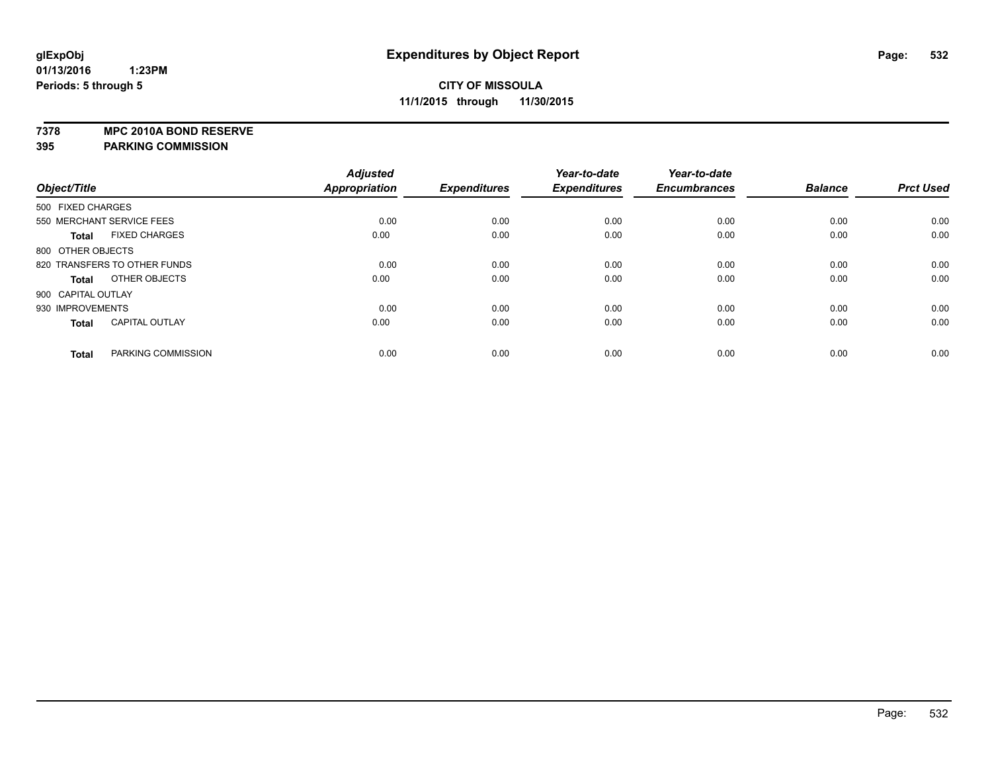**7378 MPC 2010A BOND RESERVE**

|                    |                              | <b>Adjusted</b> |                     | Year-to-date        | Year-to-date        |                |                  |
|--------------------|------------------------------|-----------------|---------------------|---------------------|---------------------|----------------|------------------|
| Object/Title       |                              | Appropriation   | <b>Expenditures</b> | <b>Expenditures</b> | <b>Encumbrances</b> | <b>Balance</b> | <b>Prct Used</b> |
| 500 FIXED CHARGES  |                              |                 |                     |                     |                     |                |                  |
|                    | 550 MERCHANT SERVICE FEES    | 0.00            | 0.00                | 0.00                | 0.00                | 0.00           | 0.00             |
| <b>Total</b>       | <b>FIXED CHARGES</b>         | 0.00            | 0.00                | 0.00                | 0.00                | 0.00           | 0.00             |
| 800 OTHER OBJECTS  |                              |                 |                     |                     |                     |                |                  |
|                    | 820 TRANSFERS TO OTHER FUNDS | 0.00            | 0.00                | 0.00                | 0.00                | 0.00           | 0.00             |
| <b>Total</b>       | OTHER OBJECTS                | 0.00            | 0.00                | 0.00                | 0.00                | 0.00           | 0.00             |
| 900 CAPITAL OUTLAY |                              |                 |                     |                     |                     |                |                  |
| 930 IMPROVEMENTS   |                              | 0.00            | 0.00                | 0.00                | 0.00                | 0.00           | 0.00             |
| <b>Total</b>       | <b>CAPITAL OUTLAY</b>        | 0.00            | 0.00                | 0.00                | 0.00                | 0.00           | 0.00             |
| <b>Total</b>       | PARKING COMMISSION           | 0.00            | 0.00                | 0.00                | 0.00                | 0.00           | 0.00             |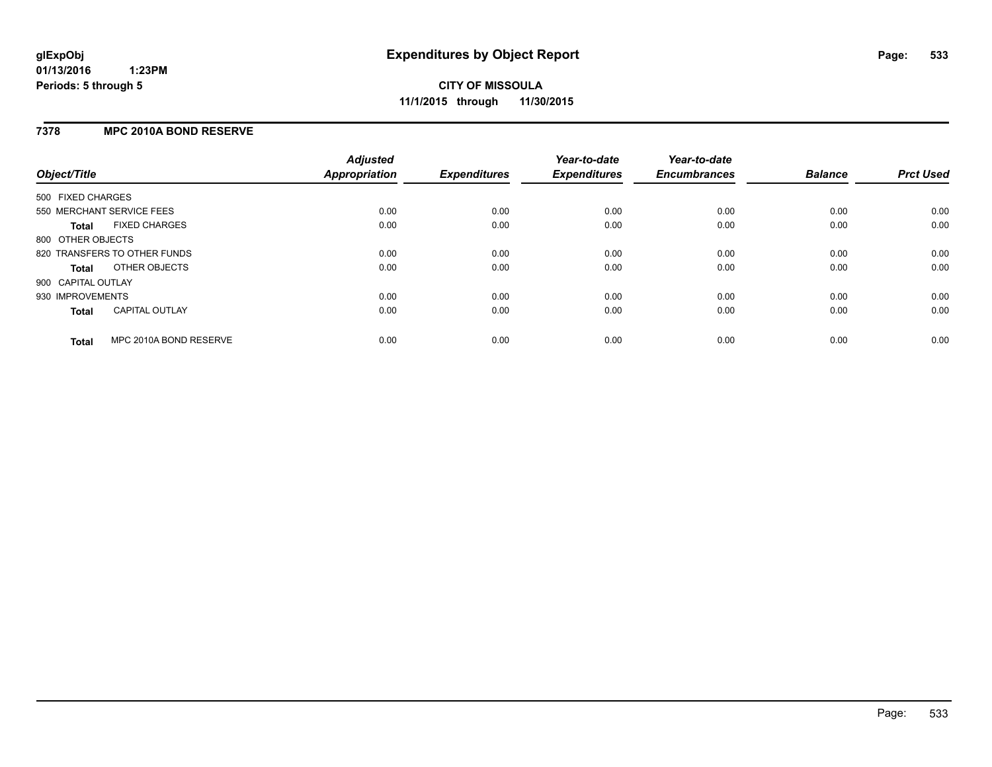## **7378 MPC 2010A BOND RESERVE**

| Object/Title              |                              | <b>Adjusted</b><br><b>Appropriation</b> | <b>Expenditures</b> | Year-to-date<br><b>Expenditures</b> | Year-to-date<br><b>Encumbrances</b> | <b>Balance</b> | <b>Prct Used</b> |
|---------------------------|------------------------------|-----------------------------------------|---------------------|-------------------------------------|-------------------------------------|----------------|------------------|
| 500 FIXED CHARGES         |                              |                                         |                     |                                     |                                     |                |                  |
| 550 MERCHANT SERVICE FEES |                              | 0.00                                    | 0.00                | 0.00                                | 0.00                                | 0.00           | 0.00             |
| Total                     | <b>FIXED CHARGES</b>         | 0.00                                    | 0.00                | 0.00                                | 0.00                                | 0.00           | 0.00             |
| 800 OTHER OBJECTS         |                              |                                         |                     |                                     |                                     |                |                  |
|                           | 820 TRANSFERS TO OTHER FUNDS | 0.00                                    | 0.00                | 0.00                                | 0.00                                | 0.00           | 0.00             |
| Total                     | OTHER OBJECTS                | 0.00                                    | 0.00                | 0.00                                | 0.00                                | 0.00           | 0.00             |
| 900 CAPITAL OUTLAY        |                              |                                         |                     |                                     |                                     |                |                  |
| 930 IMPROVEMENTS          |                              | 0.00                                    | 0.00                | 0.00                                | 0.00                                | 0.00           | 0.00             |
| Total                     | <b>CAPITAL OUTLAY</b>        | 0.00                                    | 0.00                | 0.00                                | 0.00                                | 0.00           | 0.00             |
| <b>Total</b>              | MPC 2010A BOND RESERVE       | 0.00                                    | 0.00                | 0.00                                | 0.00                                | 0.00           | 0.00             |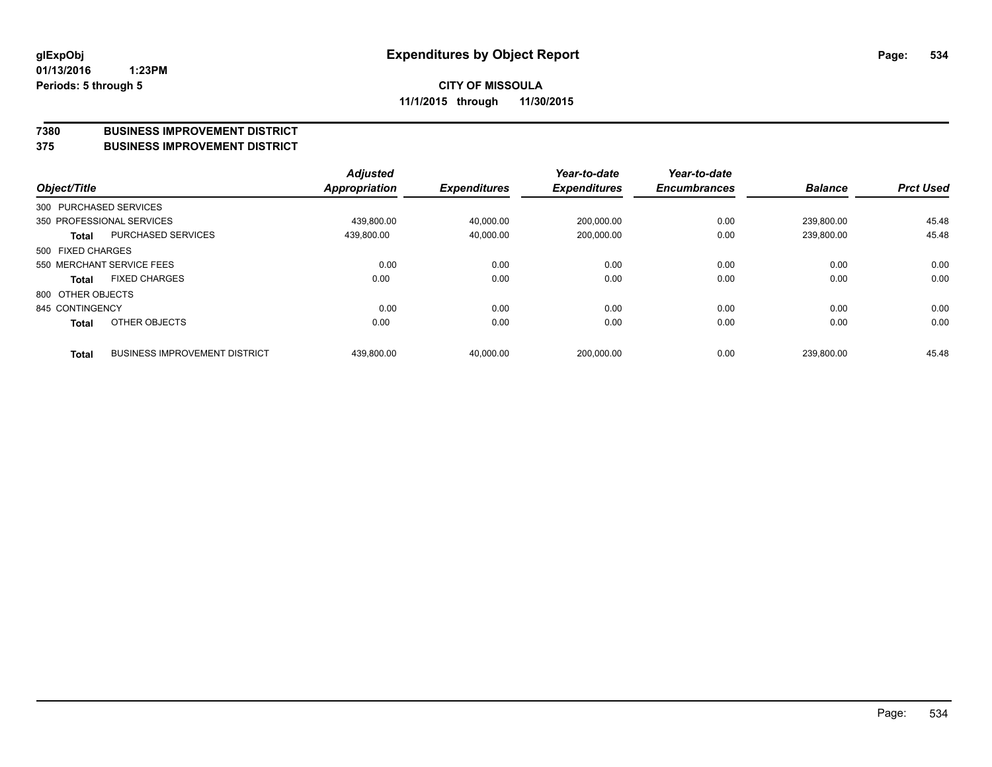### **7380 BUSINESS IMPROVEMENT DISTRICT**

**375 BUSINESS IMPROVEMENT DISTRICT**

| Object/Title      |                                      | <b>Adjusted</b><br><b>Appropriation</b> | <b>Expenditures</b> | Year-to-date<br><b>Expenditures</b> | Year-to-date<br><b>Encumbrances</b> | <b>Balance</b> | <b>Prct Used</b> |
|-------------------|--------------------------------------|-----------------------------------------|---------------------|-------------------------------------|-------------------------------------|----------------|------------------|
|                   | 300 PURCHASED SERVICES               |                                         |                     |                                     |                                     |                |                  |
|                   | 350 PROFESSIONAL SERVICES            | 439.800.00                              | 40.000.00           | 200,000.00                          | 0.00                                | 239.800.00     | 45.48            |
| Total             | PURCHASED SERVICES                   | 439,800.00                              | 40,000.00           | 200,000.00                          | 0.00                                | 239,800.00     | 45.48            |
| 500 FIXED CHARGES |                                      |                                         |                     |                                     |                                     |                |                  |
|                   | 550 MERCHANT SERVICE FEES            | 0.00                                    | 0.00                | 0.00                                | 0.00                                | 0.00           | 0.00             |
| <b>Total</b>      | <b>FIXED CHARGES</b>                 | 0.00                                    | 0.00                | 0.00                                | 0.00                                | 0.00           | 0.00             |
| 800 OTHER OBJECTS |                                      |                                         |                     |                                     |                                     |                |                  |
| 845 CONTINGENCY   |                                      | 0.00                                    | 0.00                | 0.00                                | 0.00                                | 0.00           | 0.00             |
| <b>Total</b>      | OTHER OBJECTS                        | 0.00                                    | 0.00                | 0.00                                | 0.00                                | 0.00           | 0.00             |
| <b>Total</b>      | <b>BUSINESS IMPROVEMENT DISTRICT</b> | 439.800.00                              | 40.000.00           | 200,000.00                          | 0.00                                | 239,800.00     | 45.48            |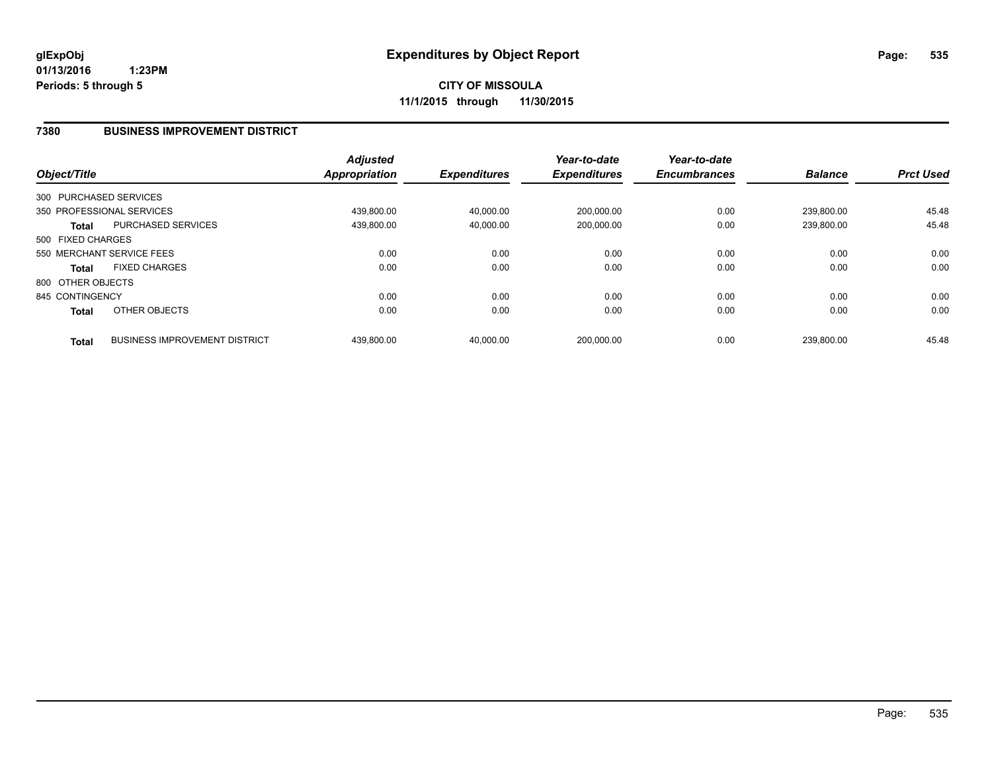**CITY OF MISSOULA 11/1/2015 through 11/30/2015**

### **7380 BUSINESS IMPROVEMENT DISTRICT**

| Object/Title      |                                      | <b>Adjusted</b><br><b>Appropriation</b> | <b>Expenditures</b> | Year-to-date<br><b>Expenditures</b> | Year-to-date<br><b>Encumbrances</b> | <b>Balance</b> | <b>Prct Used</b> |
|-------------------|--------------------------------------|-----------------------------------------|---------------------|-------------------------------------|-------------------------------------|----------------|------------------|
|                   | 300 PURCHASED SERVICES               |                                         |                     |                                     |                                     |                |                  |
|                   | 350 PROFESSIONAL SERVICES            | 439.800.00                              | 40,000.00           | 200,000.00                          | 0.00                                | 239.800.00     | 45.48            |
| <b>Total</b>      | PURCHASED SERVICES                   | 439,800.00                              | 40,000.00           | 200,000.00                          | 0.00                                | 239,800.00     | 45.48            |
| 500 FIXED CHARGES |                                      |                                         |                     |                                     |                                     |                |                  |
|                   | 550 MERCHANT SERVICE FEES            | 0.00                                    | 0.00                | 0.00                                | 0.00                                | 0.00           | 0.00             |
| <b>Total</b>      | <b>FIXED CHARGES</b>                 | 0.00                                    | 0.00                | 0.00                                | 0.00                                | 0.00           | 0.00             |
| 800 OTHER OBJECTS |                                      |                                         |                     |                                     |                                     |                |                  |
| 845 CONTINGENCY   |                                      | 0.00                                    | 0.00                | 0.00                                | 0.00                                | 0.00           | 0.00             |
| <b>Total</b>      | OTHER OBJECTS                        | 0.00                                    | 0.00                | 0.00                                | 0.00                                | 0.00           | 0.00             |
| <b>Total</b>      | <b>BUSINESS IMPROVEMENT DISTRICT</b> | 439.800.00                              | 40.000.00           | 200.000.00                          | 0.00                                | 239.800.00     | 45.48            |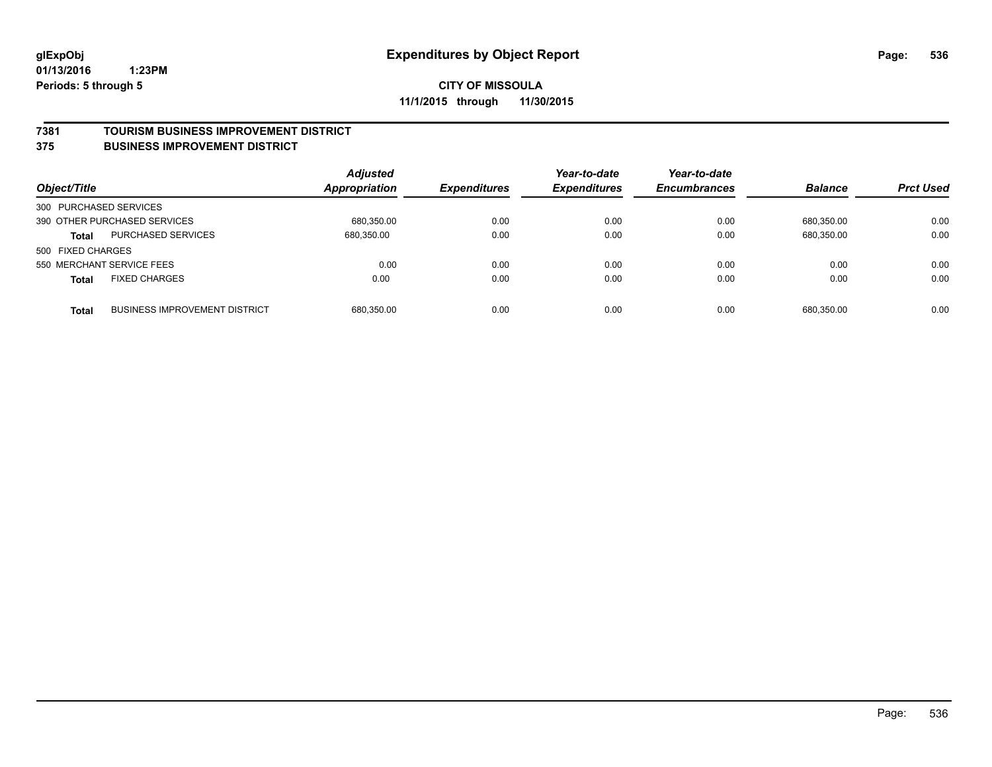### **7381 TOURISM BUSINESS IMPROVEMENT DISTRICT**

#### **375 BUSINESS IMPROVEMENT DISTRICT**

| Object/Title           |                                      | <b>Adjusted</b><br>Appropriation | <b>Expenditures</b> | Year-to-date<br><b>Expenditures</b> | Year-to-date<br><b>Encumbrances</b> | <b>Balance</b> | <b>Prct Used</b> |
|------------------------|--------------------------------------|----------------------------------|---------------------|-------------------------------------|-------------------------------------|----------------|------------------|
| 300 PURCHASED SERVICES |                                      |                                  |                     |                                     |                                     |                |                  |
|                        | 390 OTHER PURCHASED SERVICES         | 680.350.00                       | 0.00                | 0.00                                | 0.00                                | 680.350.00     | 0.00             |
| <b>Total</b>           | PURCHASED SERVICES                   | 680,350.00                       | 0.00                | 0.00                                | 0.00                                | 680,350.00     | 0.00             |
| 500 FIXED CHARGES      |                                      |                                  |                     |                                     |                                     |                |                  |
|                        | 550 MERCHANT SERVICE FEES            | 0.00                             | 0.00                | 0.00                                | 0.00                                | 0.00           | 0.00             |
| <b>Total</b>           | <b>FIXED CHARGES</b>                 | 0.00                             | 0.00                | 0.00                                | 0.00                                | 0.00           | 0.00             |
| <b>Total</b>           | <b>BUSINESS IMPROVEMENT DISTRICT</b> | 680,350.00                       | 0.00                | 0.00                                | 0.00                                | 680.350.00     | 0.00             |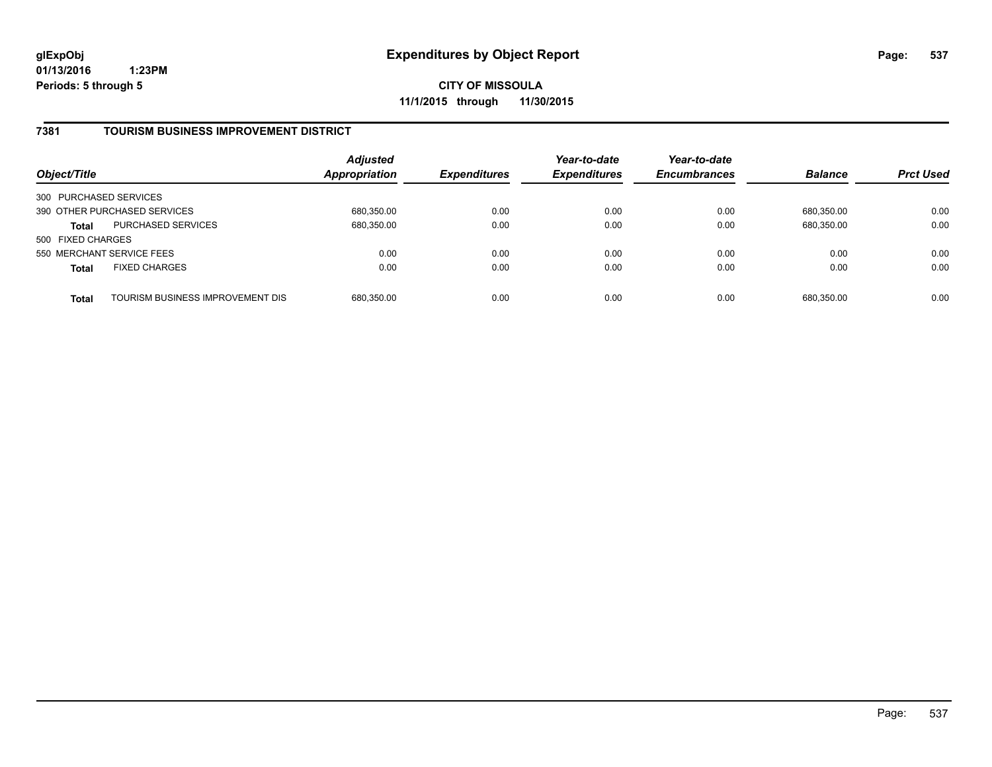**CITY OF MISSOULA 11/1/2015 through 11/30/2015**

### **7381 TOURISM BUSINESS IMPROVEMENT DISTRICT**

| Object/Title              |                                  | <b>Adjusted</b><br>Appropriation | <b>Expenditures</b> | Year-to-date<br><b>Expenditures</b> | Year-to-date<br><b>Encumbrances</b> | <b>Balance</b> | <b>Prct Used</b> |
|---------------------------|----------------------------------|----------------------------------|---------------------|-------------------------------------|-------------------------------------|----------------|------------------|
| 300 PURCHASED SERVICES    |                                  |                                  |                     |                                     |                                     |                |                  |
|                           | 390 OTHER PURCHASED SERVICES     | 680,350.00                       | 0.00                | 0.00                                | 0.00                                | 680.350.00     | 0.00             |
| <b>Total</b>              | <b>PURCHASED SERVICES</b>        | 680,350.00                       | 0.00                | 0.00                                | 0.00                                | 680,350.00     | 0.00             |
| 500 FIXED CHARGES         |                                  |                                  |                     |                                     |                                     |                |                  |
| 550 MERCHANT SERVICE FEES |                                  | 0.00                             | 0.00                | 0.00                                | 0.00                                | 0.00           | 0.00             |
| <b>Total</b>              | <b>FIXED CHARGES</b>             | 0.00                             | 0.00                | 0.00                                | 0.00                                | 0.00           | 0.00             |
| <b>Total</b>              | TOURISM BUSINESS IMPROVEMENT DIS | 680,350.00                       | 0.00                | 0.00                                | 0.00                                | 680,350.00     | 0.00             |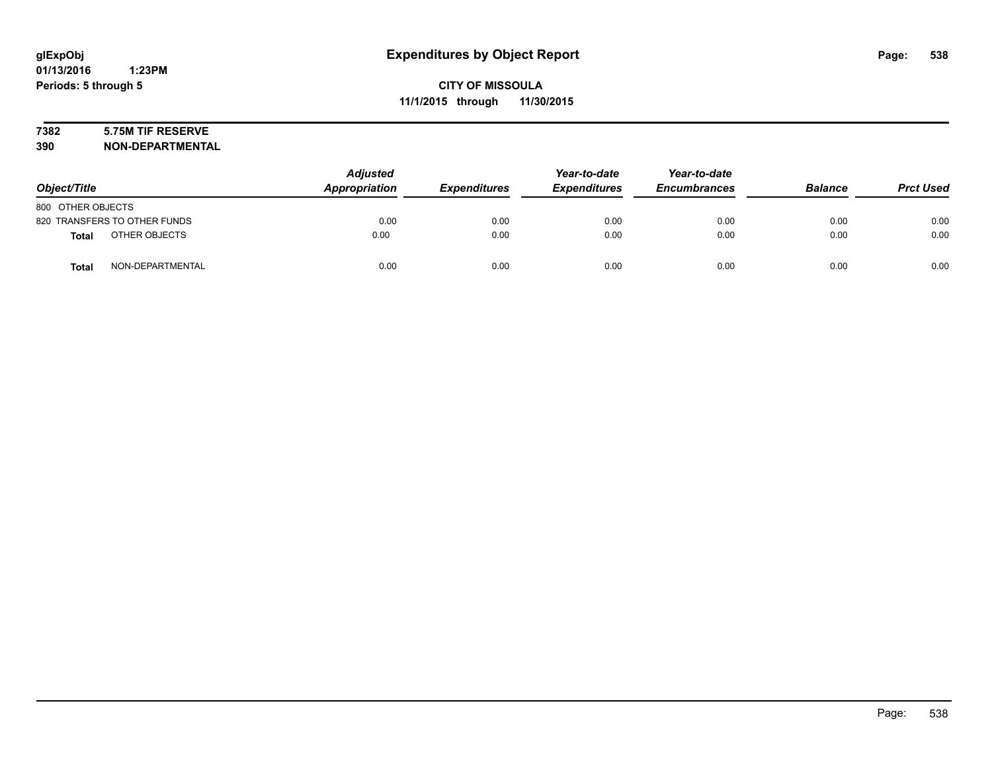# **7382 5.75M TIF RESERVE**

**390 NON-DEPARTMENTAL**

| Object/Title                  | <b>Adjusted</b><br><b>Appropriation</b> | <b>Expenditures</b> | Year-to-date<br><b>Expenditures</b> | Year-to-date<br><b>Encumbrances</b> | <b>Balance</b> | <b>Prct Used</b> |
|-------------------------------|-----------------------------------------|---------------------|-------------------------------------|-------------------------------------|----------------|------------------|
| 800 OTHER OBJECTS             |                                         |                     |                                     |                                     |                |                  |
| 820 TRANSFERS TO OTHER FUNDS  | 0.00                                    | 0.00                | 0.00                                | 0.00                                | 0.00           | 0.00             |
| OTHER OBJECTS<br><b>Total</b> | 0.00                                    | 0.00                | 0.00                                | 0.00                                | 0.00           | 0.00             |
| NON-DEPARTMENTAL<br>Total     | 0.00                                    | 0.00                | 0.00                                | 0.00                                | 0.00           | 0.00             |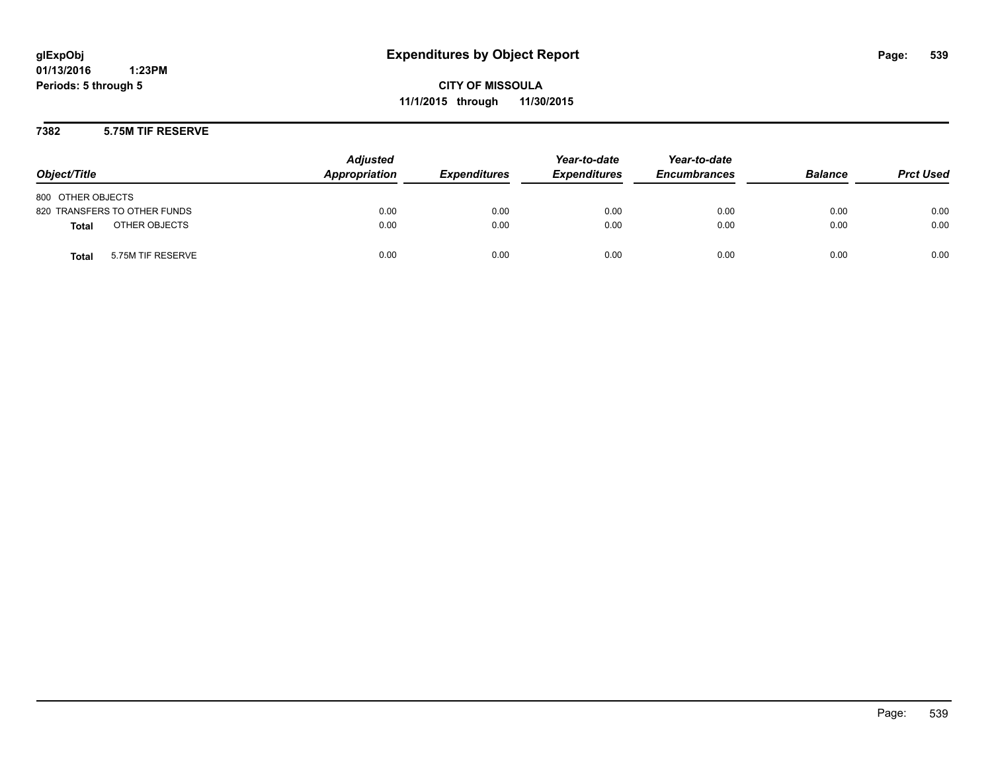**CITY OF MISSOULA 11/1/2015 through 11/30/2015**

### **7382 5.75M TIF RESERVE**

| Object/Title                      | <b>Adjusted</b><br>Appropriation | <b>Expenditures</b> | Year-to-date<br><b>Expenditures</b> | Year-to-date<br><b>Encumbrances</b> | <b>Balance</b> | <b>Prct Used</b> |
|-----------------------------------|----------------------------------|---------------------|-------------------------------------|-------------------------------------|----------------|------------------|
| 800 OTHER OBJECTS                 |                                  |                     |                                     |                                     |                |                  |
| 820 TRANSFERS TO OTHER FUNDS      | 0.00                             | 0.00                | 0.00                                | 0.00                                | 0.00           | 0.00             |
| OTHER OBJECTS<br>Total            | 0.00                             | 0.00                | 0.00                                | 0.00                                | 0.00           | 0.00             |
| 5.75M TIF RESERVE<br><b>Total</b> | 0.00                             | 0.00                | 0.00                                | 0.00                                | 0.00           | 0.00             |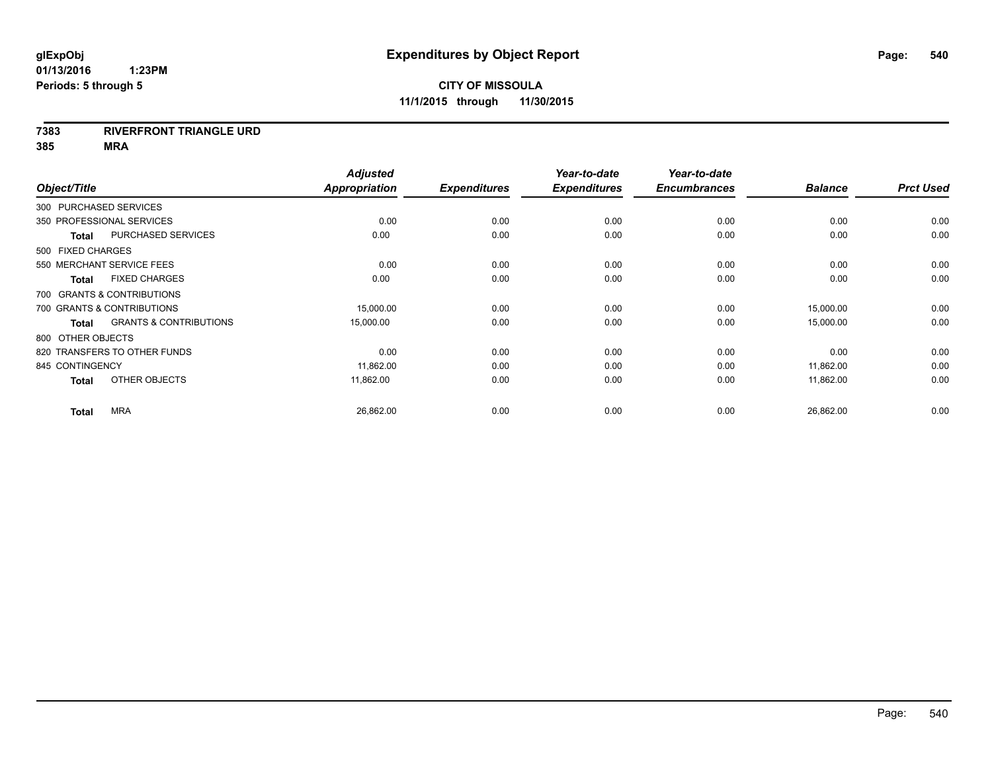### **7383 RIVERFRONT TRIANGLE URD**

**385 MRA**

|                   |                                   | <b>Adjusted</b>      |                     | Year-to-date        | Year-to-date        |                |                  |
|-------------------|-----------------------------------|----------------------|---------------------|---------------------|---------------------|----------------|------------------|
| Object/Title      |                                   | <b>Appropriation</b> | <b>Expenditures</b> | <b>Expenditures</b> | <b>Encumbrances</b> | <b>Balance</b> | <b>Prct Used</b> |
|                   | 300 PURCHASED SERVICES            |                      |                     |                     |                     |                |                  |
|                   | 350 PROFESSIONAL SERVICES         | 0.00                 | 0.00                | 0.00                | 0.00                | 0.00           | 0.00             |
| <b>Total</b>      | <b>PURCHASED SERVICES</b>         | 0.00                 | 0.00                | 0.00                | 0.00                | 0.00           | 0.00             |
| 500 FIXED CHARGES |                                   |                      |                     |                     |                     |                |                  |
|                   | 550 MERCHANT SERVICE FEES         | 0.00                 | 0.00                | 0.00                | 0.00                | 0.00           | 0.00             |
| <b>Total</b>      | <b>FIXED CHARGES</b>              | 0.00                 | 0.00                | 0.00                | 0.00                | 0.00           | 0.00             |
|                   | 700 GRANTS & CONTRIBUTIONS        |                      |                     |                     |                     |                |                  |
|                   | 700 GRANTS & CONTRIBUTIONS        | 15,000.00            | 0.00                | 0.00                | 0.00                | 15,000.00      | 0.00             |
| <b>Total</b>      | <b>GRANTS &amp; CONTRIBUTIONS</b> | 15,000.00            | 0.00                | 0.00                | 0.00                | 15,000.00      | 0.00             |
| 800 OTHER OBJECTS |                                   |                      |                     |                     |                     |                |                  |
|                   | 820 TRANSFERS TO OTHER FUNDS      | 0.00                 | 0.00                | 0.00                | 0.00                | 0.00           | 0.00             |
| 845 CONTINGENCY   |                                   | 11,862.00            | 0.00                | 0.00                | 0.00                | 11,862.00      | 0.00             |
| <b>Total</b>      | OTHER OBJECTS                     | 11,862.00            | 0.00                | 0.00                | 0.00                | 11,862.00      | 0.00             |
| <b>Total</b>      | <b>MRA</b>                        | 26,862.00            | 0.00                | 0.00                | 0.00                | 26,862.00      | 0.00             |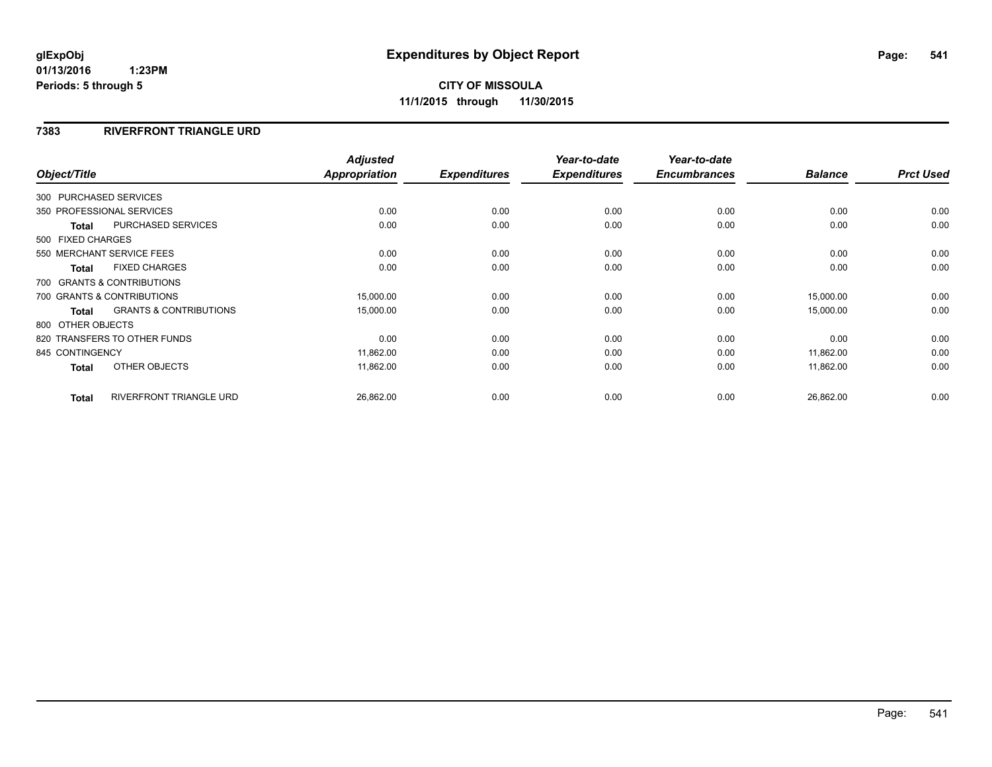#### **7383 RIVERFRONT TRIANGLE URD**

| Object/Title      |                                   | <b>Adjusted</b><br><b>Appropriation</b> | <b>Expenditures</b> | Year-to-date<br><b>Expenditures</b> | Year-to-date<br><b>Encumbrances</b> | <b>Balance</b> | <b>Prct Used</b> |
|-------------------|-----------------------------------|-----------------------------------------|---------------------|-------------------------------------|-------------------------------------|----------------|------------------|
|                   | 300 PURCHASED SERVICES            |                                         |                     |                                     |                                     |                |                  |
|                   | 350 PROFESSIONAL SERVICES         | 0.00                                    | 0.00                | 0.00                                | 0.00                                | 0.00           | 0.00             |
| Total             | <b>PURCHASED SERVICES</b>         | 0.00                                    | 0.00                | 0.00                                | 0.00                                | 0.00           | 0.00             |
| 500 FIXED CHARGES |                                   |                                         |                     |                                     |                                     |                |                  |
|                   | 550 MERCHANT SERVICE FEES         | 0.00                                    | 0.00                | 0.00                                | 0.00                                | 0.00           | 0.00             |
| <b>Total</b>      | <b>FIXED CHARGES</b>              | 0.00                                    | 0.00                | 0.00                                | 0.00                                | 0.00           | 0.00             |
|                   | 700 GRANTS & CONTRIBUTIONS        |                                         |                     |                                     |                                     |                |                  |
|                   | 700 GRANTS & CONTRIBUTIONS        | 15,000.00                               | 0.00                | 0.00                                | 0.00                                | 15,000.00      | 0.00             |
| Total             | <b>GRANTS &amp; CONTRIBUTIONS</b> | 15,000.00                               | 0.00                | 0.00                                | 0.00                                | 15,000.00      | 0.00             |
| 800 OTHER OBJECTS |                                   |                                         |                     |                                     |                                     |                |                  |
|                   | 820 TRANSFERS TO OTHER FUNDS      | 0.00                                    | 0.00                | 0.00                                | 0.00                                | 0.00           | 0.00             |
| 845 CONTINGENCY   |                                   | 11,862.00                               | 0.00                | 0.00                                | 0.00                                | 11,862.00      | 0.00             |
| Total             | OTHER OBJECTS                     | 11,862.00                               | 0.00                | 0.00                                | 0.00                                | 11,862.00      | 0.00             |
| <b>Total</b>      | <b>RIVERFRONT TRIANGLE URD</b>    | 26,862.00                               | 0.00                | 0.00                                | 0.00                                | 26,862.00      | 0.00             |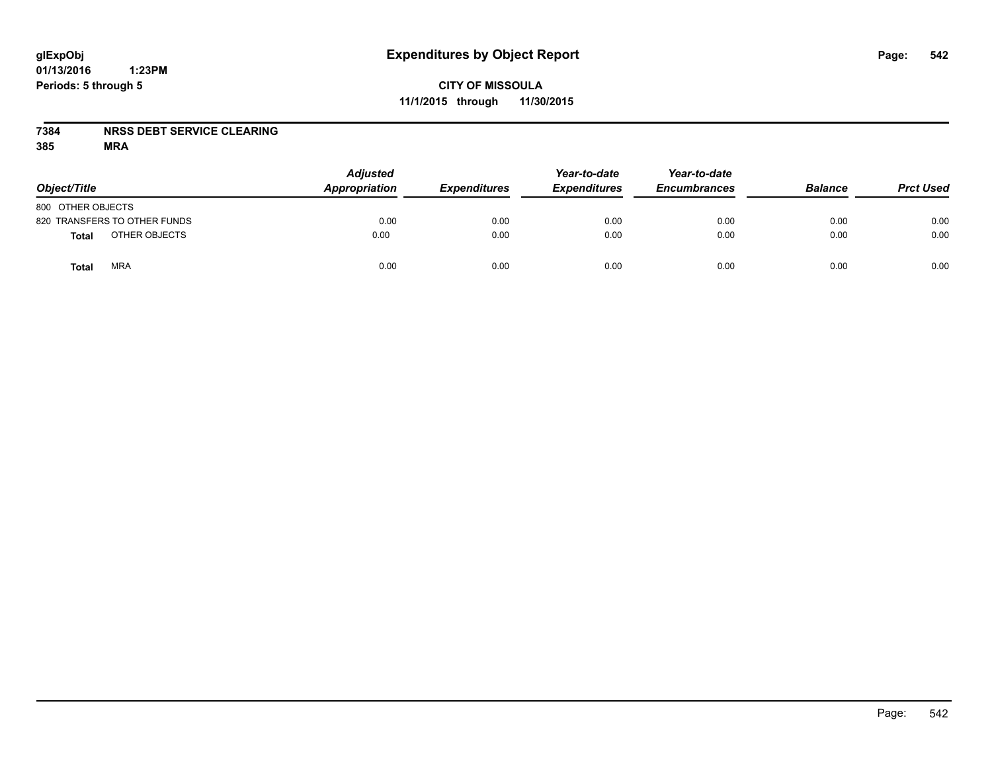### **CITY OF MISSOULA 11/1/2015 through 11/30/2015**

#### **7384 NRSS DEBT SERVICE CLEARING**

| Object/Title                 | <b>Adjusted</b><br>Appropriation | <b>Expenditures</b> | Year-to-date<br><b>Expenditures</b> | Year-to-date<br><b>Encumbrances</b> | <b>Balance</b> | <b>Prct Used</b> |
|------------------------------|----------------------------------|---------------------|-------------------------------------|-------------------------------------|----------------|------------------|
| 800 OTHER OBJECTS            |                                  |                     |                                     |                                     |                |                  |
| 820 TRANSFERS TO OTHER FUNDS | 0.00                             | 0.00                | 0.00                                | 0.00                                | 0.00           | 0.00             |
| OTHER OBJECTS<br>Total       | 0.00                             | 0.00                | 0.00                                | 0.00                                | 0.00           | 0.00             |
| <b>MRA</b><br>Total          | 0.00                             | 0.00                | 0.00                                | 0.00                                | 0.00           | 0.00             |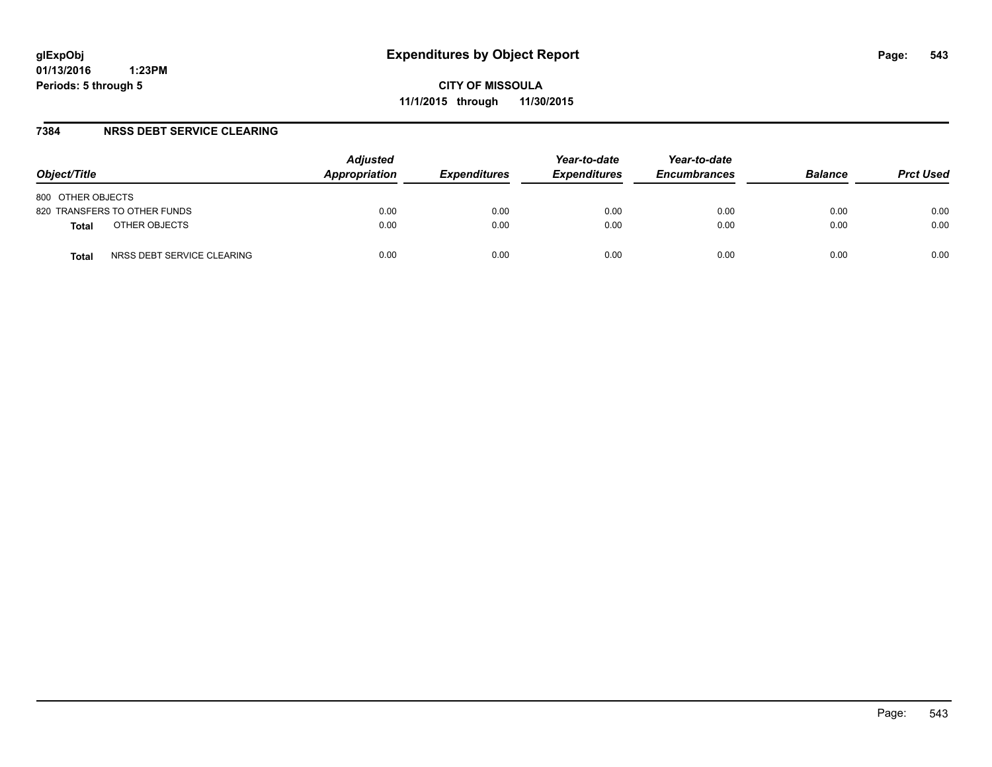#### **7384 NRSS DEBT SERVICE CLEARING**

| Object/Title                               | <b>Adjusted</b><br>Appropriation | <b>Expenditures</b> | Year-to-date<br><b>Expenditures</b> | Year-to-date<br><b>Encumbrances</b> | <b>Balance</b> | <b>Prct Used</b> |
|--------------------------------------------|----------------------------------|---------------------|-------------------------------------|-------------------------------------|----------------|------------------|
| 800 OTHER OBJECTS                          |                                  |                     |                                     |                                     |                |                  |
| 820 TRANSFERS TO OTHER FUNDS               | 0.00                             | 0.00                | 0.00                                | 0.00                                | 0.00           | 0.00             |
| OTHER OBJECTS<br><b>Total</b>              | 0.00                             | 0.00                | 0.00                                | 0.00                                | 0.00           | 0.00             |
| NRSS DEBT SERVICE CLEARING<br><b>Total</b> | 0.00                             | 0.00                | 0.00                                | 0.00                                | 0.00           | 0.00             |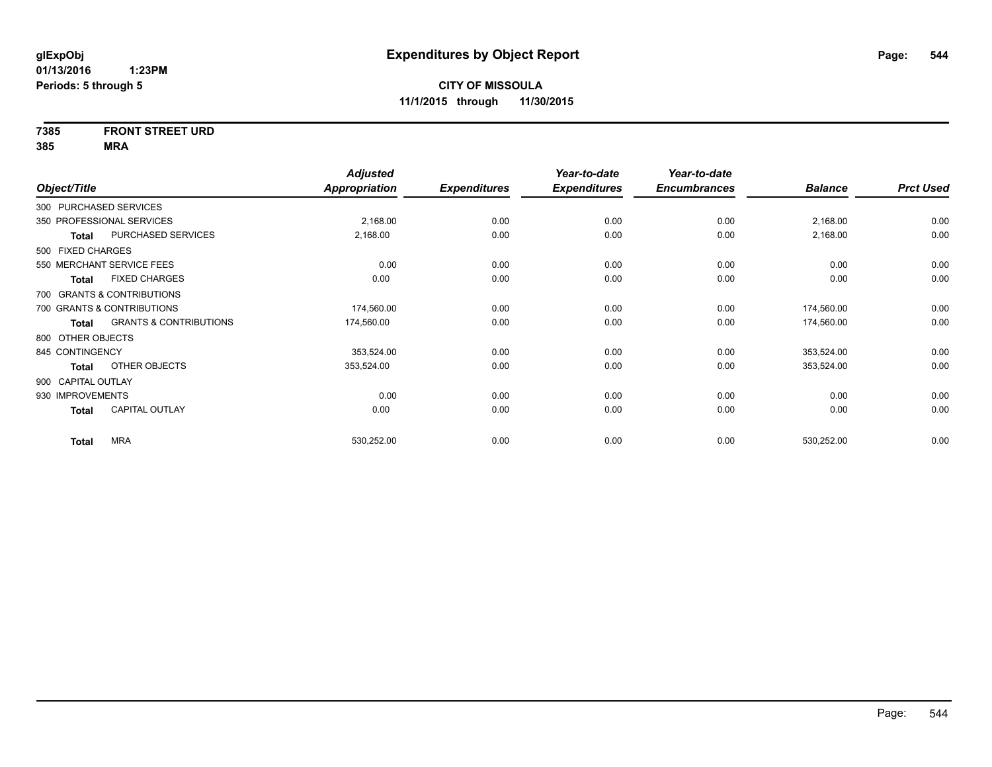# **7385 FRONT STREET URD**

|                                       | <b>Adjusted</b>                                                                                                                                                                                                                                                                   |                     | Year-to-date        | Year-to-date        |                |                  |
|---------------------------------------|-----------------------------------------------------------------------------------------------------------------------------------------------------------------------------------------------------------------------------------------------------------------------------------|---------------------|---------------------|---------------------|----------------|------------------|
|                                       | <b>Appropriation</b>                                                                                                                                                                                                                                                              | <b>Expenditures</b> | <b>Expenditures</b> | <b>Encumbrances</b> | <b>Balance</b> | <b>Prct Used</b> |
|                                       |                                                                                                                                                                                                                                                                                   |                     |                     |                     |                |                  |
|                                       | 2,168.00                                                                                                                                                                                                                                                                          | 0.00                | 0.00                | 0.00                | 2,168.00       | 0.00             |
| PURCHASED SERVICES                    | 2,168.00                                                                                                                                                                                                                                                                          | 0.00                | 0.00                | 0.00                | 2,168.00       | 0.00             |
|                                       |                                                                                                                                                                                                                                                                                   |                     |                     |                     |                |                  |
|                                       | 0.00                                                                                                                                                                                                                                                                              | 0.00                | 0.00                | 0.00                | 0.00           | 0.00             |
| <b>FIXED CHARGES</b>                  | 0.00                                                                                                                                                                                                                                                                              | 0.00                | 0.00                | 0.00                | 0.00           | 0.00             |
|                                       |                                                                                                                                                                                                                                                                                   |                     |                     |                     |                |                  |
|                                       | 174,560.00                                                                                                                                                                                                                                                                        | 0.00                | 0.00                | 0.00                | 174,560.00     | 0.00             |
| <b>GRANTS &amp; CONTRIBUTIONS</b>     | 174,560.00                                                                                                                                                                                                                                                                        | 0.00                | 0.00                | 0.00                | 174,560.00     | 0.00             |
|                                       |                                                                                                                                                                                                                                                                                   |                     |                     |                     |                |                  |
|                                       | 353,524.00                                                                                                                                                                                                                                                                        | 0.00                | 0.00                | 0.00                | 353,524.00     | 0.00             |
| OTHER OBJECTS                         | 353,524.00                                                                                                                                                                                                                                                                        | 0.00                | 0.00                | 0.00                | 353,524.00     | 0.00             |
|                                       |                                                                                                                                                                                                                                                                                   |                     |                     |                     |                |                  |
|                                       | 0.00                                                                                                                                                                                                                                                                              | 0.00                | 0.00                | 0.00                | 0.00           | 0.00             |
| <b>CAPITAL OUTLAY</b>                 | 0.00                                                                                                                                                                                                                                                                              | 0.00                | 0.00                | 0.00                | 0.00           | 0.00             |
|                                       |                                                                                                                                                                                                                                                                                   |                     |                     |                     |                | 0.00             |
| Total<br><b>Total</b><br><b>Total</b> | Object/Title<br>300 PURCHASED SERVICES<br>350 PROFESSIONAL SERVICES<br>500 FIXED CHARGES<br>550 MERCHANT SERVICE FEES<br>700 GRANTS & CONTRIBUTIONS<br>700 GRANTS & CONTRIBUTIONS<br>800 OTHER OBJECTS<br>845 CONTINGENCY<br>900 CAPITAL OUTLAY<br>930 IMPROVEMENTS<br><b>MRA</b> | 530,252.00          | 0.00                | 0.00                | 0.00           | 530,252.00       |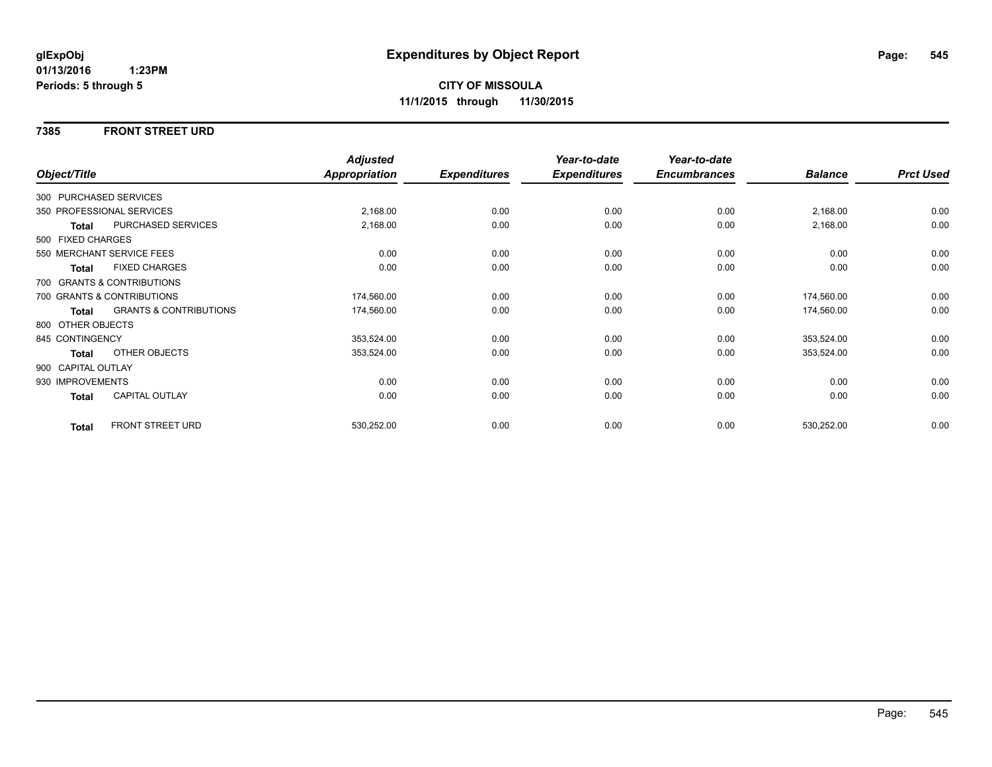#### **7385 FRONT STREET URD**

|                    |                                   | <b>Adjusted</b> |                     | Year-to-date        | Year-to-date        |                |                  |
|--------------------|-----------------------------------|-----------------|---------------------|---------------------|---------------------|----------------|------------------|
| Object/Title       |                                   | Appropriation   | <b>Expenditures</b> | <b>Expenditures</b> | <b>Encumbrances</b> | <b>Balance</b> | <b>Prct Used</b> |
|                    | 300 PURCHASED SERVICES            |                 |                     |                     |                     |                |                  |
|                    | 350 PROFESSIONAL SERVICES         | 2,168.00        | 0.00                | 0.00                | 0.00                | 2,168.00       | 0.00             |
| Total              | PURCHASED SERVICES                | 2,168.00        | 0.00                | 0.00                | 0.00                | 2,168.00       | 0.00             |
| 500 FIXED CHARGES  |                                   |                 |                     |                     |                     |                |                  |
|                    | 550 MERCHANT SERVICE FEES         | 0.00            | 0.00                | 0.00                | 0.00                | 0.00           | 0.00             |
| <b>Total</b>       | <b>FIXED CHARGES</b>              | 0.00            | 0.00                | 0.00                | 0.00                | 0.00           | 0.00             |
|                    | 700 GRANTS & CONTRIBUTIONS        |                 |                     |                     |                     |                |                  |
|                    | 700 GRANTS & CONTRIBUTIONS        | 174,560.00      | 0.00                | 0.00                | 0.00                | 174,560.00     | 0.00             |
| Total              | <b>GRANTS &amp; CONTRIBUTIONS</b> | 174,560.00      | 0.00                | 0.00                | 0.00                | 174,560.00     | 0.00             |
| 800 OTHER OBJECTS  |                                   |                 |                     |                     |                     |                |                  |
| 845 CONTINGENCY    |                                   | 353,524.00      | 0.00                | 0.00                | 0.00                | 353,524.00     | 0.00             |
| Total              | OTHER OBJECTS                     | 353,524.00      | 0.00                | 0.00                | 0.00                | 353,524.00     | 0.00             |
| 900 CAPITAL OUTLAY |                                   |                 |                     |                     |                     |                |                  |
| 930 IMPROVEMENTS   |                                   | 0.00            | 0.00                | 0.00                | 0.00                | 0.00           | 0.00             |
| <b>Total</b>       | CAPITAL OUTLAY                    | 0.00            | 0.00                | 0.00                | 0.00                | 0.00           | 0.00             |
| <b>Total</b>       | <b>FRONT STREET URD</b>           | 530,252.00      | 0.00                | 0.00                | 0.00                | 530,252.00     | 0.00             |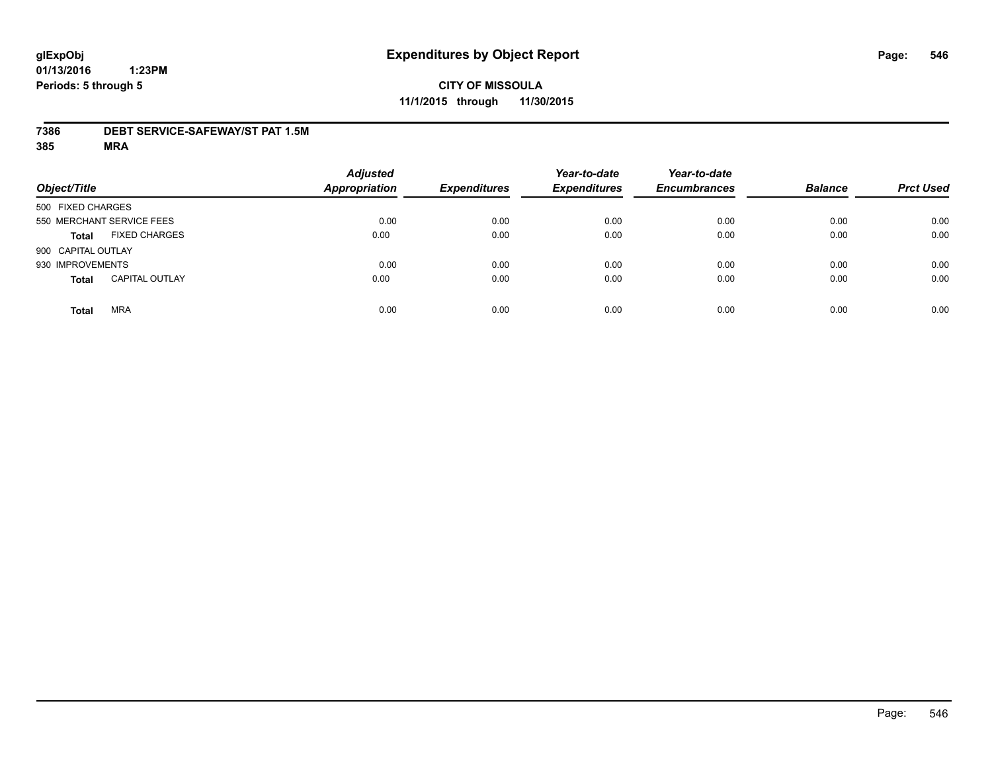#### **7386 DEBT SERVICE-SAFEWAY/ST PAT 1.5M**

| Object/Title                          | <b>Adjusted</b><br><b>Appropriation</b> | <b>Expenditures</b> | Year-to-date<br><b>Expenditures</b> | Year-to-date<br><b>Encumbrances</b> | <b>Balance</b> | <b>Prct Used</b> |
|---------------------------------------|-----------------------------------------|---------------------|-------------------------------------|-------------------------------------|----------------|------------------|
| 500 FIXED CHARGES                     |                                         |                     |                                     |                                     |                |                  |
| 550 MERCHANT SERVICE FEES             | 0.00                                    | 0.00                | 0.00                                | 0.00                                | 0.00           | 0.00             |
| <b>FIXED CHARGES</b><br><b>Total</b>  | 0.00                                    | 0.00                | 0.00                                | 0.00                                | 0.00           | 0.00             |
| 900 CAPITAL OUTLAY                    |                                         |                     |                                     |                                     |                |                  |
| 930 IMPROVEMENTS                      | 0.00                                    | 0.00                | 0.00                                | 0.00                                | 0.00           | 0.00             |
| <b>CAPITAL OUTLAY</b><br><b>Total</b> | 0.00                                    | 0.00                | 0.00                                | 0.00                                | 0.00           | 0.00             |
| <b>MRA</b><br><b>Total</b>            | 0.00                                    | 0.00                | 0.00                                | 0.00                                | 0.00           | 0.00             |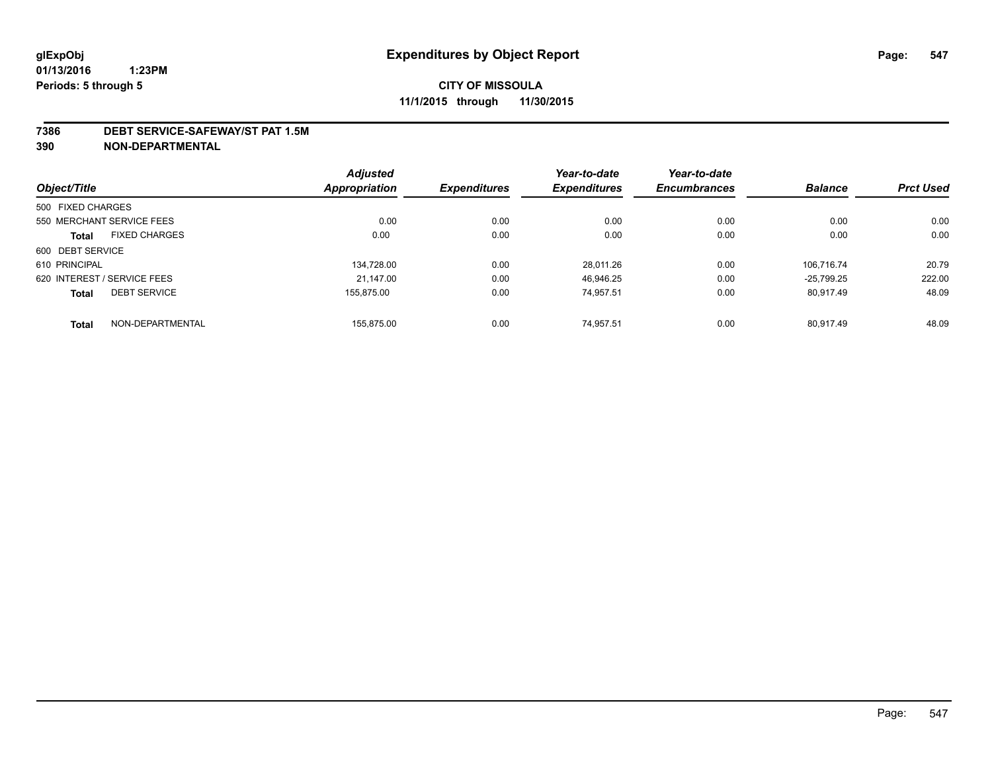#### **7386 DEBT SERVICE-SAFEWAY/ST PAT 1.5M**

**390 NON-DEPARTMENTAL**

|                   |                             | <b>Adjusted</b> |                     | Year-to-date        | Year-to-date        |                |                  |
|-------------------|-----------------------------|-----------------|---------------------|---------------------|---------------------|----------------|------------------|
| Object/Title      |                             | Appropriation   | <b>Expenditures</b> | <b>Expenditures</b> | <b>Encumbrances</b> | <b>Balance</b> | <b>Prct Used</b> |
| 500 FIXED CHARGES |                             |                 |                     |                     |                     |                |                  |
|                   | 550 MERCHANT SERVICE FEES   | 0.00            | 0.00                | 0.00                | 0.00                | 0.00           | 0.00             |
| <b>Total</b>      | <b>FIXED CHARGES</b>        | 0.00            | 0.00                | 0.00                | 0.00                | 0.00           | 0.00             |
| 600 DEBT SERVICE  |                             |                 |                     |                     |                     |                |                  |
| 610 PRINCIPAL     |                             | 134.728.00      | 0.00                | 28.011.26           | 0.00                | 106.716.74     | 20.79            |
|                   | 620 INTEREST / SERVICE FEES | 21.147.00       | 0.00                | 46,946.25           | 0.00                | $-25.799.25$   | 222.00           |
| <b>Total</b>      | <b>DEBT SERVICE</b>         | 155.875.00      | 0.00                | 74,957.51           | 0.00                | 80.917.49      | 48.09            |
| <b>Total</b>      | NON-DEPARTMENTAL            | 155.875.00      | 0.00                | 74.957.51           | 0.00                | 80.917.49      | 48.09            |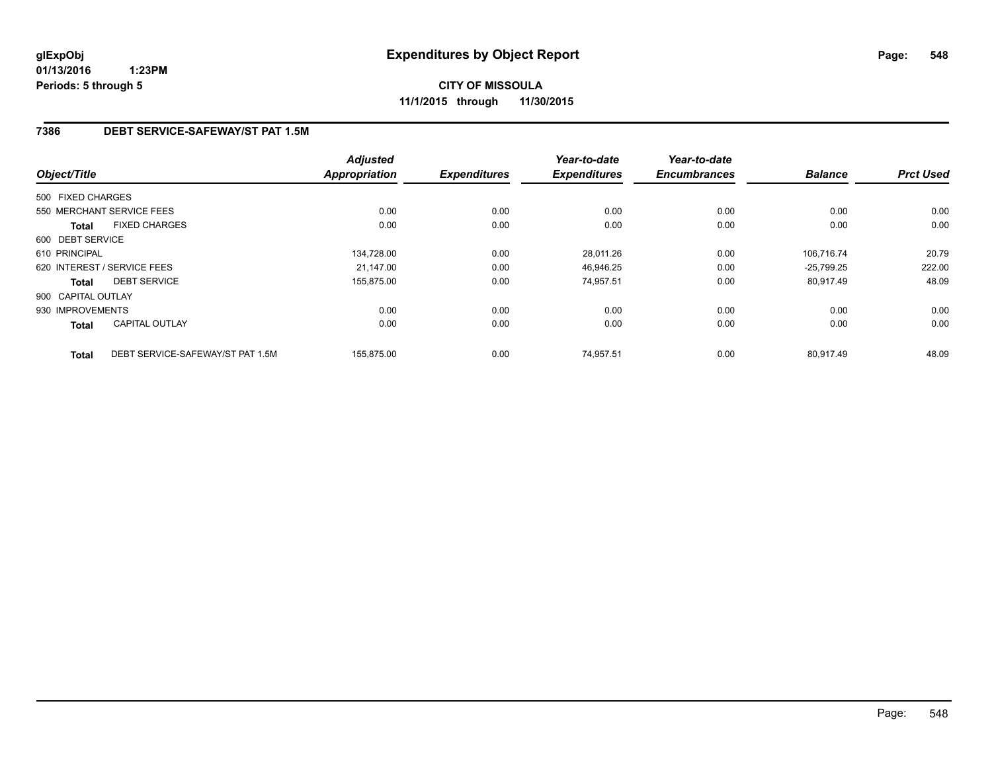**CITY OF MISSOULA 11/1/2015 through 11/30/2015**

## **7386 DEBT SERVICE-SAFEWAY/ST PAT 1.5M**

| Object/Title       |                                  | <b>Adjusted</b><br><b>Appropriation</b> | <b>Expenditures</b> | Year-to-date<br><b>Expenditures</b> | Year-to-date<br><b>Encumbrances</b> | <b>Balance</b> | <b>Prct Used</b> |
|--------------------|----------------------------------|-----------------------------------------|---------------------|-------------------------------------|-------------------------------------|----------------|------------------|
|                    |                                  |                                         |                     |                                     |                                     |                |                  |
| 500 FIXED CHARGES  |                                  |                                         |                     |                                     |                                     |                |                  |
|                    | 550 MERCHANT SERVICE FEES        | 0.00                                    | 0.00                | 0.00                                | 0.00                                | 0.00           | 0.00             |
| <b>Total</b>       | <b>FIXED CHARGES</b>             | 0.00                                    | 0.00                | 0.00                                | 0.00                                | 0.00           | 0.00             |
| 600 DEBT SERVICE   |                                  |                                         |                     |                                     |                                     |                |                  |
| 610 PRINCIPAL      |                                  | 134,728.00                              | 0.00                | 28,011.26                           | 0.00                                | 106,716.74     | 20.79            |
|                    | 620 INTEREST / SERVICE FEES      | 21.147.00                               | 0.00                | 46,946.25                           | 0.00                                | $-25,799.25$   | 222.00           |
| <b>Total</b>       | <b>DEBT SERVICE</b>              | 155,875.00                              | 0.00                | 74.957.51                           | 0.00                                | 80,917.49      | 48.09            |
| 900 CAPITAL OUTLAY |                                  |                                         |                     |                                     |                                     |                |                  |
| 930 IMPROVEMENTS   |                                  | 0.00                                    | 0.00                | 0.00                                | 0.00                                | 0.00           | 0.00             |
| Total              | <b>CAPITAL OUTLAY</b>            | 0.00                                    | 0.00                | 0.00                                | 0.00                                | 0.00           | 0.00             |
| <b>Total</b>       | DEBT SERVICE-SAFEWAY/ST PAT 1.5M | 155,875.00                              | 0.00                | 74,957.51                           | 0.00                                | 80.917.49      | 48.09            |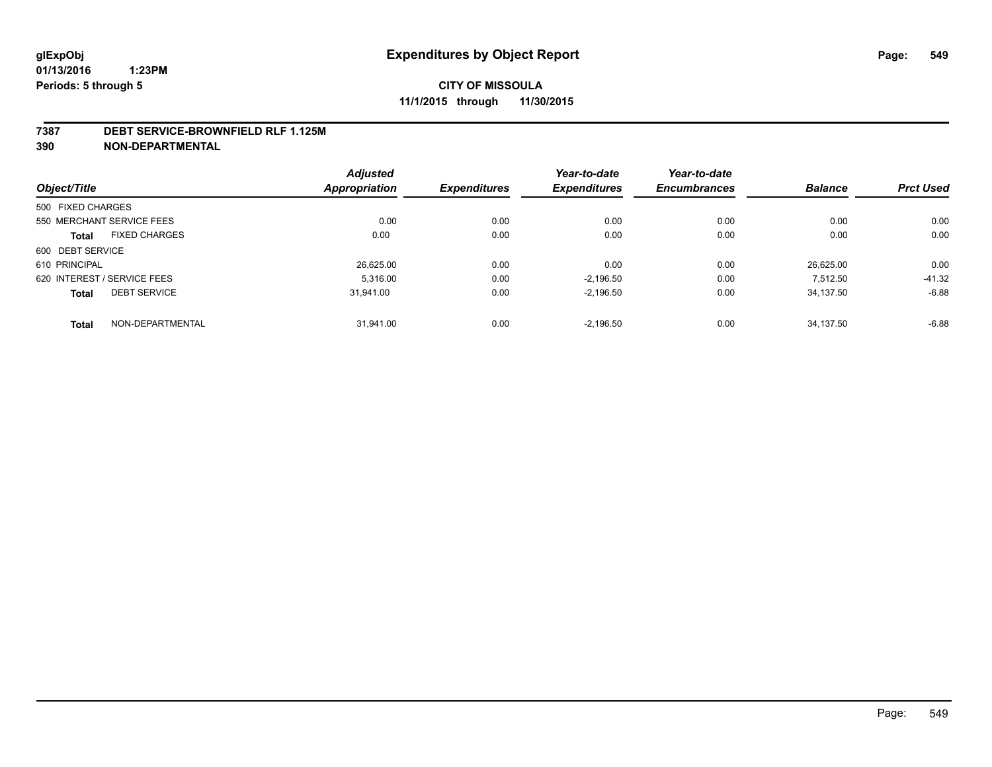#### **7387 DEBT SERVICE-BROWNFIELD RLF 1.125M**

**390 NON-DEPARTMENTAL**

| Object/Title                |                      | <b>Adjusted</b> | <b>Expenditures</b> | Year-to-date        | Year-to-date<br><b>Encumbrances</b> | <b>Balance</b> | <b>Prct Used</b> |
|-----------------------------|----------------------|-----------------|---------------------|---------------------|-------------------------------------|----------------|------------------|
|                             |                      | Appropriation   |                     | <b>Expenditures</b> |                                     |                |                  |
| 500 FIXED CHARGES           |                      |                 |                     |                     |                                     |                |                  |
| 550 MERCHANT SERVICE FEES   |                      | 0.00            | 0.00                | 0.00                | 0.00                                | 0.00           | 0.00             |
| <b>Total</b>                | <b>FIXED CHARGES</b> | 0.00            | 0.00                | 0.00                | 0.00                                | 0.00           | 0.00             |
| 600 DEBT SERVICE            |                      |                 |                     |                     |                                     |                |                  |
| 610 PRINCIPAL               |                      | 26,625.00       | 0.00                | 0.00                | 0.00                                | 26.625.00      | 0.00             |
| 620 INTEREST / SERVICE FEES |                      | 5.316.00        | 0.00                | $-2.196.50$         | 0.00                                | 7.512.50       | $-41.32$         |
| <b>Total</b>                | <b>DEBT SERVICE</b>  | 31.941.00       | 0.00                | $-2,196.50$         | 0.00                                | 34.137.50      | $-6.88$          |
| <b>Total</b>                | NON-DEPARTMENTAL     | 31.941.00       | 0.00                | $-2.196.50$         | 0.00                                | 34.137.50      | $-6.88$          |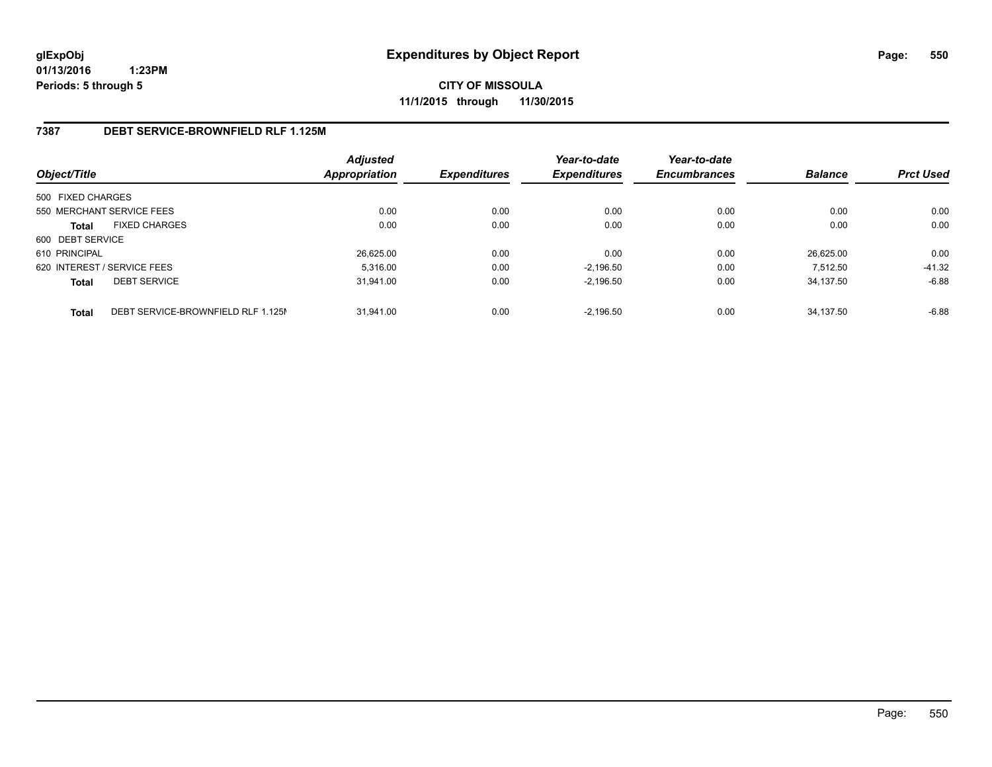**CITY OF MISSOULA 11/1/2015 through 11/30/2015**

#### **7387 DEBT SERVICE-BROWNFIELD RLF 1.125M**

| Object/Title      |                                    | <b>Adjusted</b><br><b>Appropriation</b> | <b>Expenditures</b> | Year-to-date<br><b>Expenditures</b> | Year-to-date<br><b>Encumbrances</b> | <b>Balance</b> | <b>Prct Used</b> |
|-------------------|------------------------------------|-----------------------------------------|---------------------|-------------------------------------|-------------------------------------|----------------|------------------|
| 500 FIXED CHARGES |                                    |                                         |                     |                                     |                                     |                |                  |
|                   | 550 MERCHANT SERVICE FEES          | 0.00                                    | 0.00                | 0.00                                | 0.00                                | 0.00           | 0.00             |
| <b>Total</b>      | <b>FIXED CHARGES</b>               | 0.00                                    | 0.00                | 0.00                                | 0.00                                | 0.00           | 0.00             |
| 600 DEBT SERVICE  |                                    |                                         |                     |                                     |                                     |                |                  |
| 610 PRINCIPAL     |                                    | 26,625.00                               | 0.00                | 0.00                                | 0.00                                | 26.625.00      | 0.00             |
|                   | 620 INTEREST / SERVICE FEES        | 5,316.00                                | 0.00                | $-2.196.50$                         | 0.00                                | 7.512.50       | $-41.32$         |
| <b>Total</b>      | <b>DEBT SERVICE</b>                | 31.941.00                               | 0.00                | $-2.196.50$                         | 0.00                                | 34.137.50      | $-6.88$          |
| <b>Total</b>      | DEBT SERVICE-BROWNFIELD RLF 1.125M | 31.941.00                               | 0.00                | $-2.196.50$                         | 0.00                                | 34.137.50      | $-6.88$          |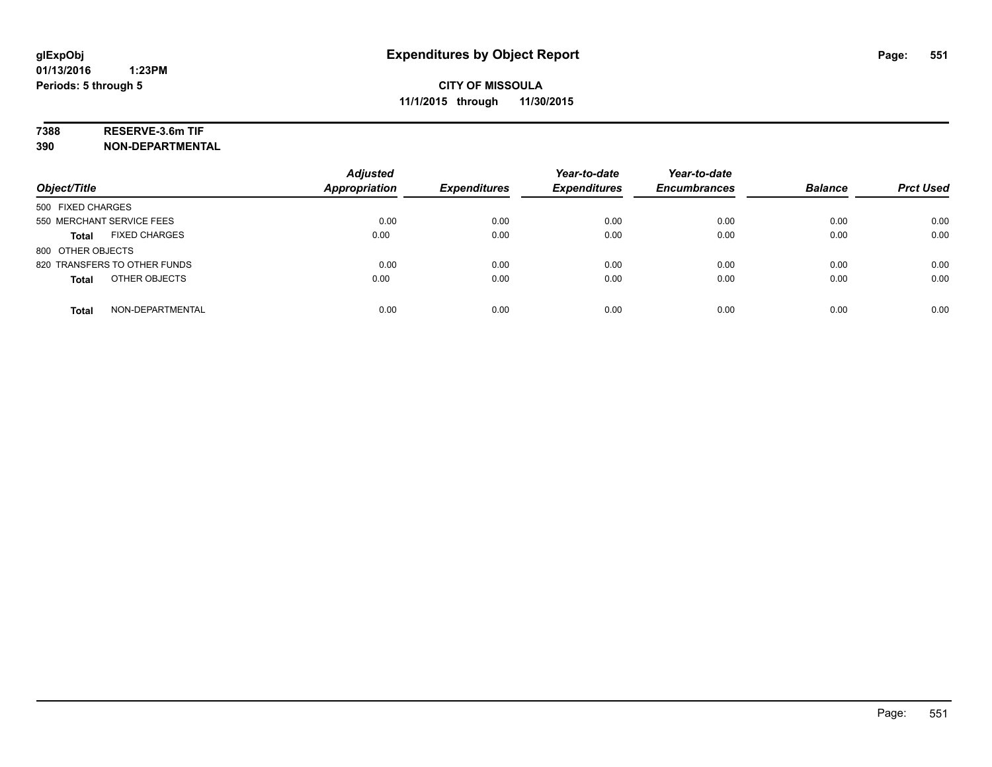# **7388 RESERVE-3.6m TIF**

**390 NON-DEPARTMENTAL**

| Object/Title                     | <b>Adjusted</b><br><b>Appropriation</b> | <b>Expenditures</b> | Year-to-date<br><b>Expenditures</b> | Year-to-date<br><b>Encumbrances</b> | <b>Balance</b> | <b>Prct Used</b> |
|----------------------------------|-----------------------------------------|---------------------|-------------------------------------|-------------------------------------|----------------|------------------|
| 500 FIXED CHARGES                |                                         |                     |                                     |                                     |                |                  |
| 550 MERCHANT SERVICE FEES        | 0.00                                    | 0.00                | 0.00                                | 0.00                                | 0.00           | 0.00             |
| <b>FIXED CHARGES</b><br>Total    | 0.00                                    | 0.00                | 0.00                                | 0.00                                | 0.00           | 0.00             |
| 800 OTHER OBJECTS                |                                         |                     |                                     |                                     |                |                  |
| 820 TRANSFERS TO OTHER FUNDS     | 0.00                                    | 0.00                | 0.00                                | 0.00                                | 0.00           | 0.00             |
| OTHER OBJECTS<br><b>Total</b>    | 0.00                                    | 0.00                | 0.00                                | 0.00                                | 0.00           | 0.00             |
| NON-DEPARTMENTAL<br><b>Total</b> | 0.00                                    | 0.00                | 0.00                                | 0.00                                | 0.00           | 0.00             |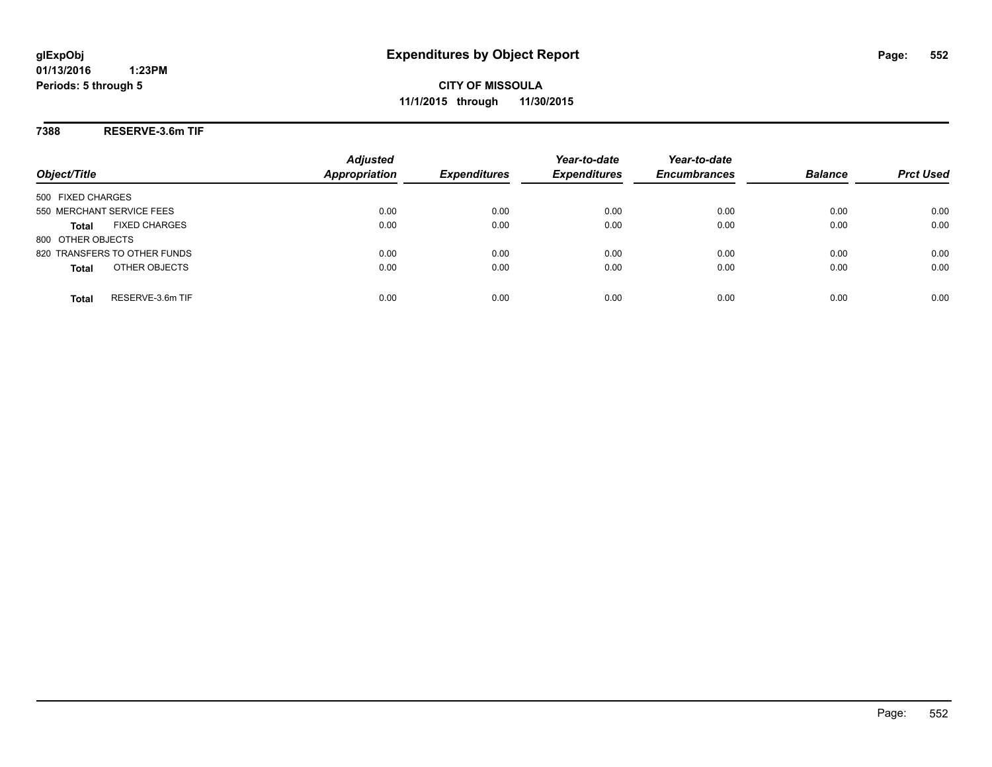**CITY OF MISSOULA 11/1/2015 through 11/30/2015**

**7388 RESERVE-3.6m TIF**

| Object/Title                         | <b>Adjusted</b><br><b>Appropriation</b> | <b>Expenditures</b> | Year-to-date<br><b>Expenditures</b> | Year-to-date<br><b>Encumbrances</b> | <b>Balance</b> | <b>Prct Used</b> |
|--------------------------------------|-----------------------------------------|---------------------|-------------------------------------|-------------------------------------|----------------|------------------|
| 500 FIXED CHARGES                    |                                         |                     |                                     |                                     |                |                  |
| 550 MERCHANT SERVICE FEES            | 0.00                                    | 0.00                | 0.00                                | 0.00                                | 0.00           | 0.00             |
| <b>FIXED CHARGES</b><br><b>Total</b> | 0.00                                    | 0.00                | 0.00                                | 0.00                                | 0.00           | 0.00             |
| 800 OTHER OBJECTS                    |                                         |                     |                                     |                                     |                |                  |
| 820 TRANSFERS TO OTHER FUNDS         | 0.00                                    | 0.00                | 0.00                                | 0.00                                | 0.00           | 0.00             |
| OTHER OBJECTS<br><b>Total</b>        | 0.00                                    | 0.00                | 0.00                                | 0.00                                | 0.00           | 0.00             |
| RESERVE-3.6m TIF<br>Total            | 0.00                                    | 0.00                | 0.00                                | 0.00                                | 0.00           | 0.00             |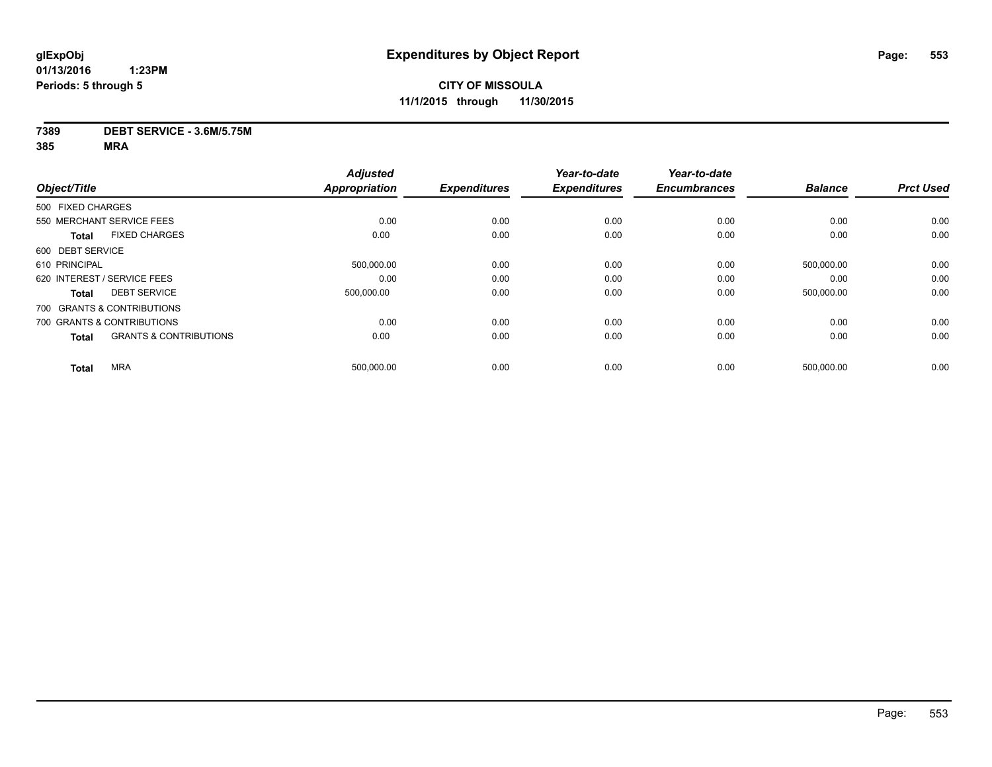#### **7389 DEBT SERVICE - 3.6M/5.75M**

|                                                   | <b>Adjusted</b> |                      | Year-to-date        | Year-to-date        |                     | <b>Prct Used</b> |
|---------------------------------------------------|-----------------|----------------------|---------------------|---------------------|---------------------|------------------|
|                                                   |                 |                      |                     |                     |                     |                  |
| 500 FIXED CHARGES                                 |                 |                      |                     |                     |                     |                  |
| 550 MERCHANT SERVICE FEES                         | 0.00            | 0.00                 | 0.00                | 0.00                | 0.00                | 0.00             |
| <b>FIXED CHARGES</b>                              | 0.00            | 0.00                 | 0.00                | 0.00                | 0.00                | 0.00             |
| 600 DEBT SERVICE                                  |                 |                      |                     |                     |                     |                  |
| 610 PRINCIPAL                                     | 500,000.00      | 0.00                 | 0.00                | 0.00                | 500,000.00          | 0.00             |
| 620 INTEREST / SERVICE FEES                       | 0.00            | 0.00                 | 0.00                | 0.00                | 0.00                | 0.00             |
| <b>DEBT SERVICE</b><br><b>Total</b>               | 500.000.00      | 0.00                 | 0.00                | 0.00                | 500,000.00          | 0.00             |
| 700 GRANTS & CONTRIBUTIONS                        |                 |                      |                     |                     |                     |                  |
| 700 GRANTS & CONTRIBUTIONS                        | 0.00            | 0.00                 | 0.00                | 0.00                | 0.00                | 0.00             |
| <b>GRANTS &amp; CONTRIBUTIONS</b><br><b>Total</b> | 0.00            | 0.00                 | 0.00                | 0.00                | 0.00                | 0.00             |
| <b>MRA</b>                                        | 500,000.00      | 0.00                 | 0.00                | 0.00                | 500,000.00          | 0.00             |
|                                                   | Object/Title    | <b>Appropriation</b> | <b>Expenditures</b> | <b>Expenditures</b> | <b>Encumbrances</b> | <b>Balance</b>   |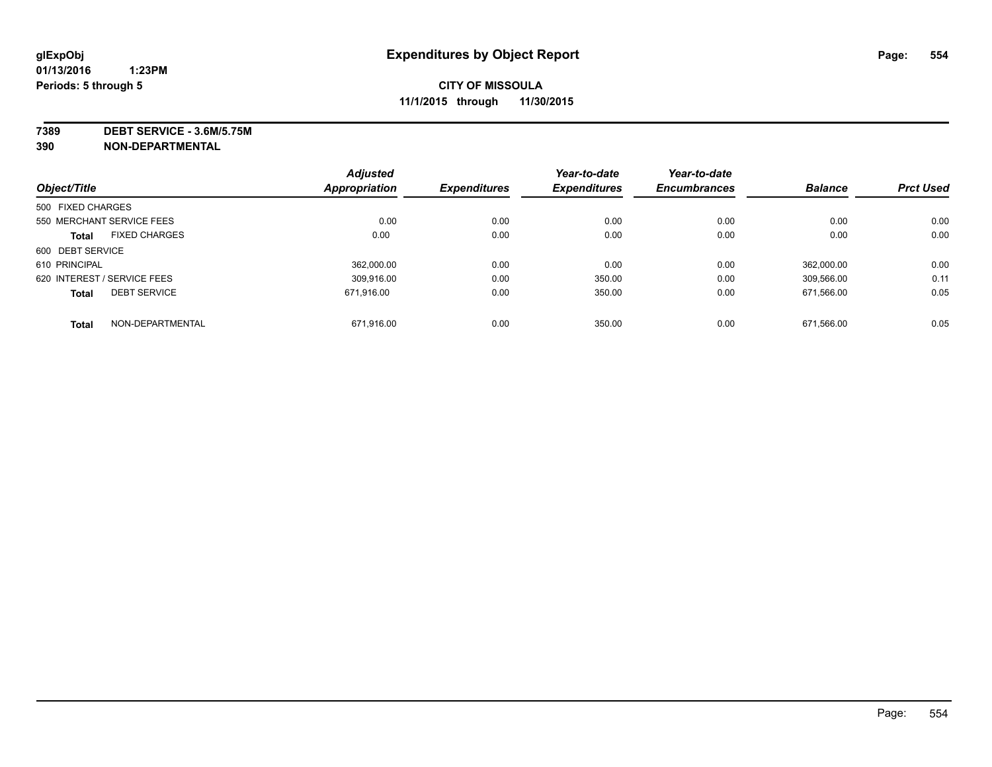**7389 DEBT SERVICE - 3.6M/5.75M**

**390 NON-DEPARTMENTAL**

|                   |                             | <b>Adjusted</b>      |                     | Year-to-date        | Year-to-date        |                |                  |
|-------------------|-----------------------------|----------------------|---------------------|---------------------|---------------------|----------------|------------------|
| Object/Title      |                             | <b>Appropriation</b> | <b>Expenditures</b> | <b>Expenditures</b> | <b>Encumbrances</b> | <b>Balance</b> | <b>Prct Used</b> |
| 500 FIXED CHARGES |                             |                      |                     |                     |                     |                |                  |
|                   | 550 MERCHANT SERVICE FEES   | 0.00                 | 0.00                | 0.00                | 0.00                | 0.00           | 0.00             |
| <b>Total</b>      | <b>FIXED CHARGES</b>        | 0.00                 | 0.00                | 0.00                | 0.00                | 0.00           | 0.00             |
| 600 DEBT SERVICE  |                             |                      |                     |                     |                     |                |                  |
| 610 PRINCIPAL     |                             | 362.000.00           | 0.00                | 0.00                | 0.00                | 362.000.00     | 0.00             |
|                   | 620 INTEREST / SERVICE FEES | 309.916.00           | 0.00                | 350.00              | 0.00                | 309.566.00     | 0.11             |
| <b>Total</b>      | <b>DEBT SERVICE</b>         | 671.916.00           | 0.00                | 350.00              | 0.00                | 671.566.00     | 0.05             |
| <b>Total</b>      | NON-DEPARTMENTAL            | 671.916.00           | 0.00                | 350.00              | 0.00                | 671.566.00     | 0.05             |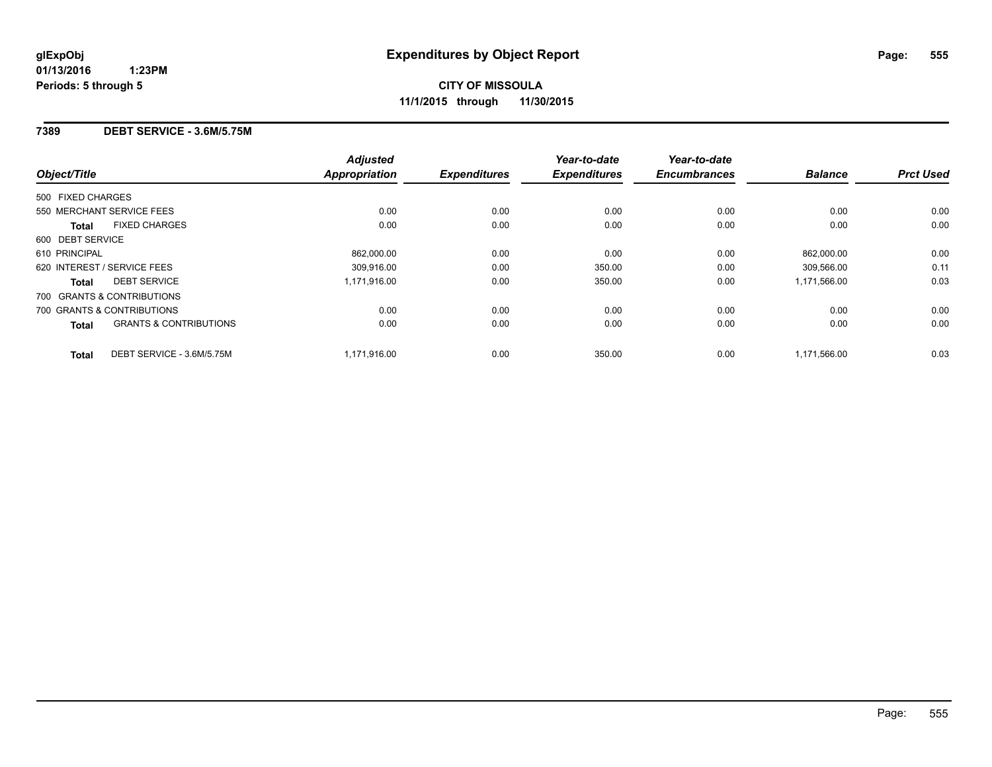#### **7389 DEBT SERVICE - 3.6M/5.75M**

|                                            | <b>Adjusted</b> |                     | Year-to-date        | Year-to-date        |                |                  |
|--------------------------------------------|-----------------|---------------------|---------------------|---------------------|----------------|------------------|
| Object/Title                               | Appropriation   | <b>Expenditures</b> | <b>Expenditures</b> | <b>Encumbrances</b> | <b>Balance</b> | <b>Prct Used</b> |
| 500 FIXED CHARGES                          |                 |                     |                     |                     |                |                  |
| 550 MERCHANT SERVICE FEES                  | 0.00            | 0.00                | 0.00                | 0.00                | 0.00           | 0.00             |
| <b>FIXED CHARGES</b><br>Total              | 0.00            | 0.00                | 0.00                | 0.00                | 0.00           | 0.00             |
| 600 DEBT SERVICE                           |                 |                     |                     |                     |                |                  |
| 610 PRINCIPAL                              | 862,000.00      | 0.00                | 0.00                | 0.00                | 862,000.00     | 0.00             |
| 620 INTEREST / SERVICE FEES                | 309.916.00      | 0.00                | 350.00              | 0.00                | 309.566.00     | 0.11             |
| <b>DEBT SERVICE</b><br>Total               | 1,171,916.00    | 0.00                | 350.00              | 0.00                | 1,171,566.00   | 0.03             |
| 700 GRANTS & CONTRIBUTIONS                 |                 |                     |                     |                     |                |                  |
| 700 GRANTS & CONTRIBUTIONS                 | 0.00            | 0.00                | 0.00                | 0.00                | 0.00           | 0.00             |
| <b>GRANTS &amp; CONTRIBUTIONS</b><br>Total | 0.00            | 0.00                | 0.00                | 0.00                | 0.00           | 0.00             |
| DEBT SERVICE - 3.6M/5.75M<br><b>Total</b>  | 1,171,916.00    | 0.00                | 350.00              | 0.00                | 1,171,566.00   | 0.03             |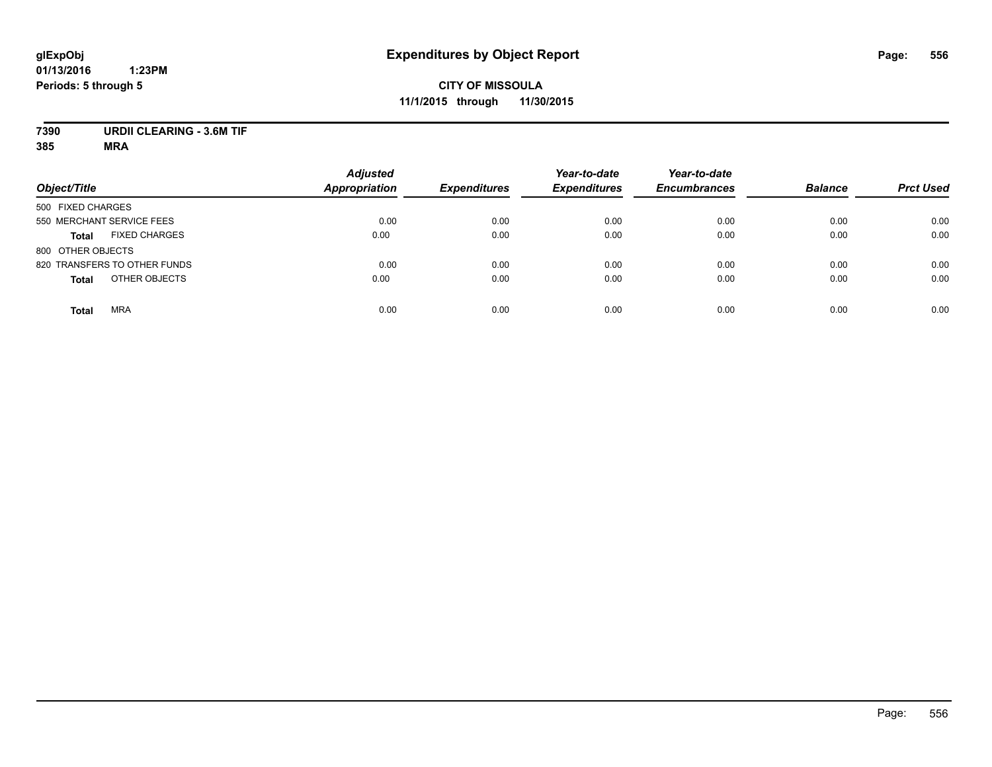### **CITY OF MISSOULA 11/1/2015 through 11/30/2015**

# **7390 URDII CLEARING - 3.6M TIF**

| Object/Title                         | <b>Adjusted</b><br><b>Appropriation</b> | <b>Expenditures</b> | Year-to-date<br><b>Expenditures</b> | Year-to-date<br><b>Encumbrances</b> | <b>Balance</b> | <b>Prct Used</b> |
|--------------------------------------|-----------------------------------------|---------------------|-------------------------------------|-------------------------------------|----------------|------------------|
| 500 FIXED CHARGES                    |                                         |                     |                                     |                                     |                |                  |
| 550 MERCHANT SERVICE FEES            | 0.00                                    | 0.00                | 0.00                                | 0.00                                | 0.00           | 0.00             |
| <b>FIXED CHARGES</b><br><b>Total</b> | 0.00                                    | 0.00                | 0.00                                | 0.00                                | 0.00           | 0.00             |
| 800 OTHER OBJECTS                    |                                         |                     |                                     |                                     |                |                  |
| 820 TRANSFERS TO OTHER FUNDS         | 0.00                                    | 0.00                | 0.00                                | 0.00                                | 0.00           | 0.00             |
| OTHER OBJECTS<br><b>Total</b>        | 0.00                                    | 0.00                | 0.00                                | 0.00                                | 0.00           | 0.00             |
| <b>MRA</b><br><b>Total</b>           | 0.00                                    | 0.00                | 0.00                                | 0.00                                | 0.00           | 0.00             |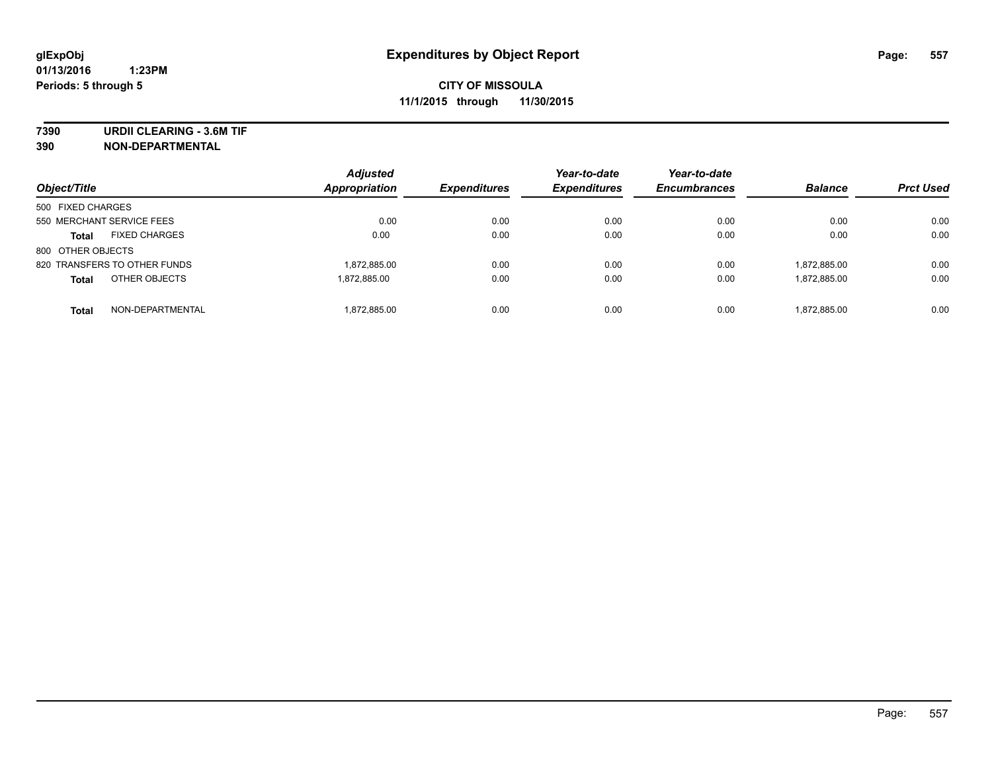**7390 URDII CLEARING - 3.6M TIF**

**390 NON-DEPARTMENTAL**

| Object/Title                         | <b>Adjusted</b><br>Appropriation | <b>Expenditures</b> | Year-to-date<br><b>Expenditures</b> | Year-to-date<br><b>Encumbrances</b> | <b>Balance</b> | <b>Prct Used</b> |
|--------------------------------------|----------------------------------|---------------------|-------------------------------------|-------------------------------------|----------------|------------------|
| 500 FIXED CHARGES                    |                                  |                     |                                     |                                     |                |                  |
| 550 MERCHANT SERVICE FEES            | 0.00                             | 0.00                | 0.00                                | 0.00                                | 0.00           | 0.00             |
| <b>FIXED CHARGES</b><br><b>Total</b> | 0.00                             | 0.00                | 0.00                                | 0.00                                | 0.00           | 0.00             |
| 800 OTHER OBJECTS                    |                                  |                     |                                     |                                     |                |                  |
| 820 TRANSFERS TO OTHER FUNDS         | 1,872,885.00                     | 0.00                | 0.00                                | 0.00                                | 1,872,885.00   | 0.00             |
| OTHER OBJECTS<br><b>Total</b>        | 1.872.885.00                     | 0.00                | 0.00                                | 0.00                                | 1,872,885.00   | 0.00             |
| NON-DEPARTMENTAL<br><b>Total</b>     | 1,872,885.00                     | 0.00                | 0.00                                | 0.00                                | 1,872,885.00   | 0.00             |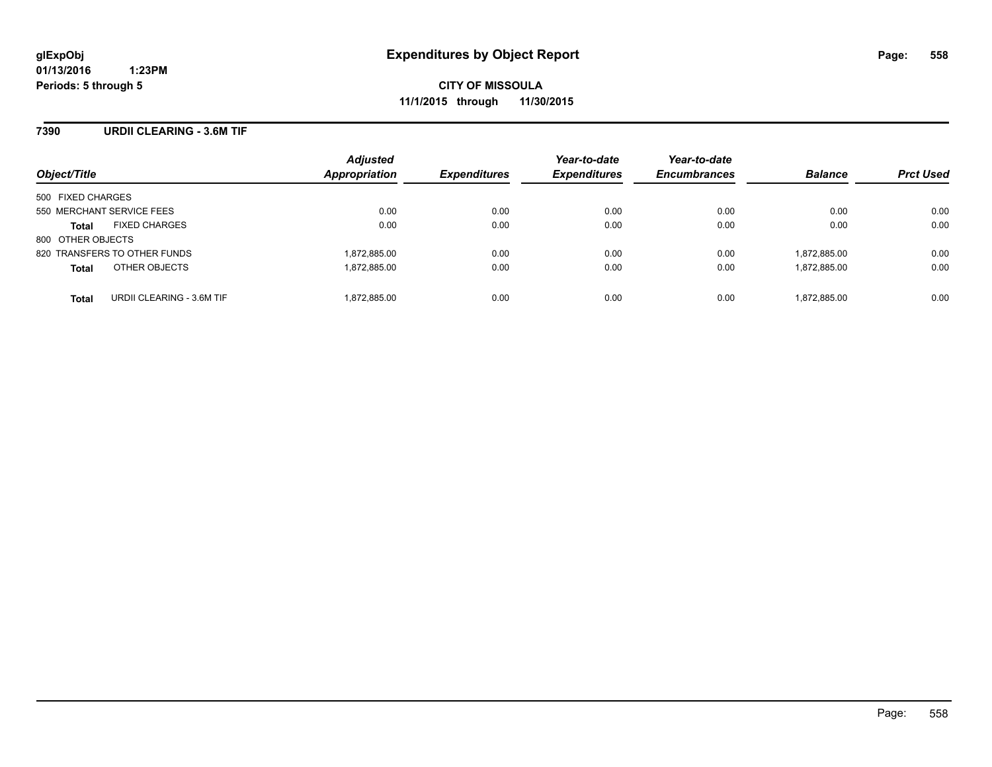#### **7390 URDII CLEARING - 3.6M TIF**

| Object/Title                              | <b>Adjusted</b><br>Appropriation | <b>Expenditures</b> | Year-to-date<br><b>Expenditures</b> | Year-to-date<br><b>Encumbrances</b> | <b>Balance</b> | <b>Prct Used</b> |
|-------------------------------------------|----------------------------------|---------------------|-------------------------------------|-------------------------------------|----------------|------------------|
| 500 FIXED CHARGES                         |                                  |                     |                                     |                                     |                |                  |
| 550 MERCHANT SERVICE FEES                 | 0.00                             | 0.00                | 0.00                                | 0.00                                | 0.00           | 0.00             |
| <b>FIXED CHARGES</b><br><b>Total</b>      | 0.00                             | 0.00                | 0.00                                | 0.00                                | 0.00           | 0.00             |
| 800 OTHER OBJECTS                         |                                  |                     |                                     |                                     |                |                  |
| 820 TRANSFERS TO OTHER FUNDS              | 1,872,885.00                     | 0.00                | 0.00                                | 0.00                                | 1,872,885.00   | 0.00             |
| OTHER OBJECTS<br><b>Total</b>             | 1,872,885.00                     | 0.00                | 0.00                                | 0.00                                | 1,872,885.00   | 0.00             |
| URDII CLEARING - 3.6M TIF<br><b>Total</b> | 1,872,885.00                     | 0.00                | 0.00                                | 0.00                                | 1,872,885.00   | 0.00             |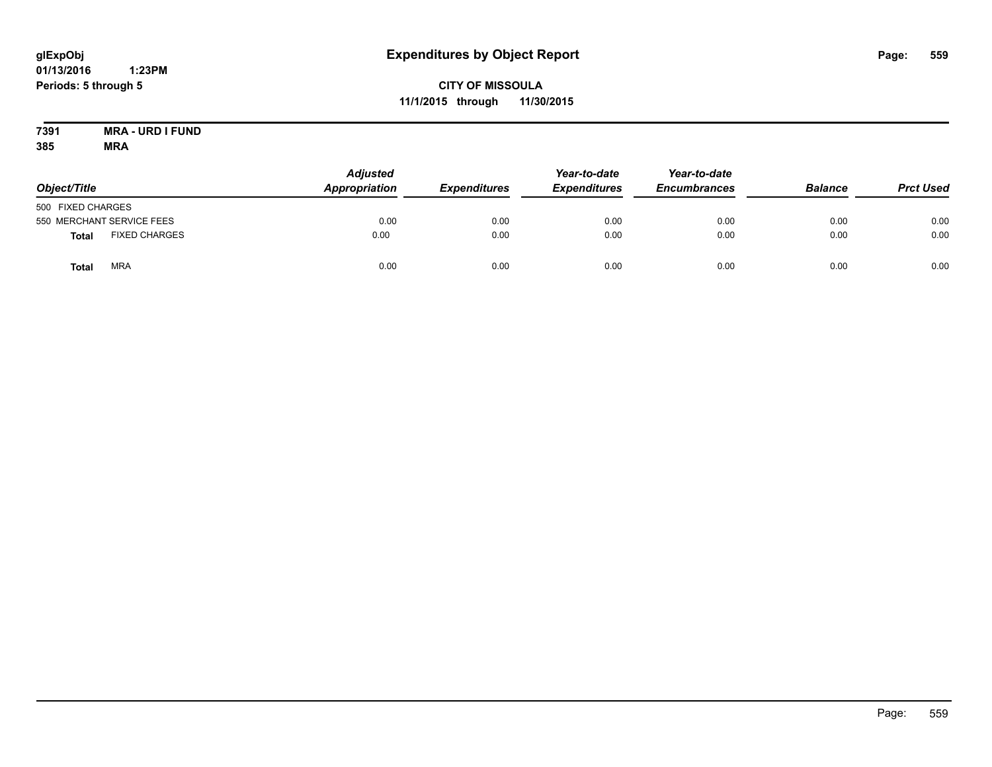### **CITY OF MISSOULA 11/1/2015 through 11/30/2015**

#### **7391 MRA - URD I FUND 385 MRA**

| Object/Title      |                           | <b>Adjusted</b><br>Appropriation | <b>Expenditures</b> | Year-to-date<br><b>Expenditures</b> | Year-to-date<br><b>Encumbrances</b> | <b>Balance</b> | <b>Prct Used</b> |
|-------------------|---------------------------|----------------------------------|---------------------|-------------------------------------|-------------------------------------|----------------|------------------|
| 500 FIXED CHARGES |                           |                                  |                     |                                     |                                     |                |                  |
|                   | 550 MERCHANT SERVICE FEES | 0.00                             | 0.00                | 0.00                                | 0.00                                | 0.00           | 0.00             |
| <b>Total</b>      | <b>FIXED CHARGES</b>      | 0.00                             | 0.00                | 0.00                                | 0.00                                | 0.00           | 0.00             |
| Total             | <b>MRA</b>                | 0.00                             | 0.00                | 0.00                                | 0.00                                | 0.00           | 0.00             |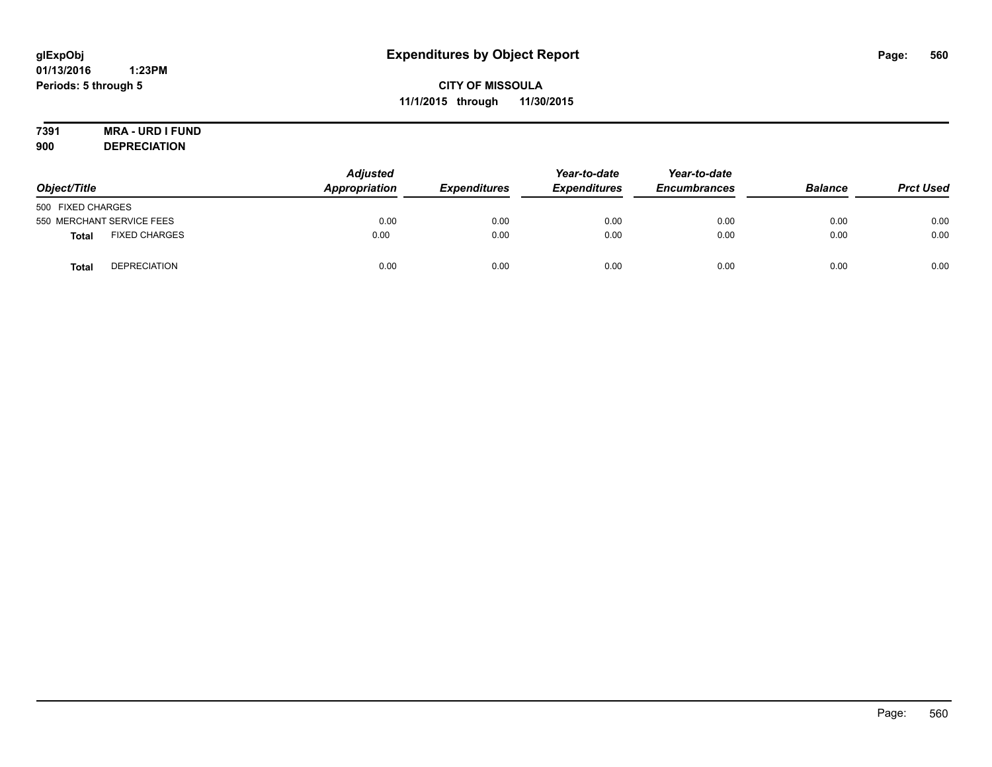# **7391 MRA - URD I FUND**

**900 DEPRECIATION**

| Object/Title                         | <b>Adjusted</b><br>Appropriation | <b>Expenditures</b> | Year-to-date<br><b>Expenditures</b> | Year-to-date<br><b>Encumbrances</b> | <b>Balance</b> | <b>Prct Used</b> |
|--------------------------------------|----------------------------------|---------------------|-------------------------------------|-------------------------------------|----------------|------------------|
| 500 FIXED CHARGES                    |                                  |                     |                                     |                                     |                |                  |
| 550 MERCHANT SERVICE FEES            | 0.00                             | 0.00                | 0.00                                | 0.00                                | 0.00           | 0.00             |
| <b>FIXED CHARGES</b><br><b>Total</b> | 0.00                             | 0.00                | 0.00                                | 0.00                                | 0.00           | 0.00             |
| <b>DEPRECIATION</b><br><b>Total</b>  | 0.00                             | 0.00                | 0.00                                | 0.00                                | 0.00           | 0.00             |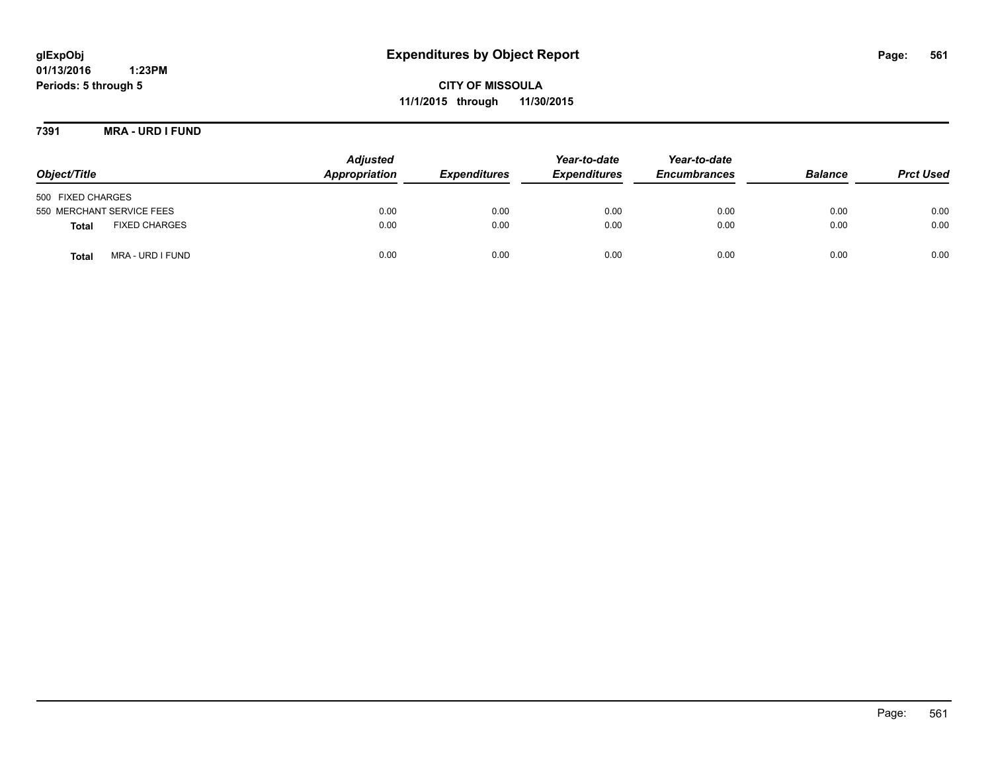**CITY OF MISSOULA 11/1/2015 through 11/30/2015**

**7391 MRA - URD I FUND**

| Object/Title                         | <b>Adjusted</b><br>Appropriation | <b>Expenditures</b> | Year-to-date<br><b>Expenditures</b> | Year-to-date<br><b>Encumbrances</b> | <b>Balance</b> | <b>Prct Used</b> |
|--------------------------------------|----------------------------------|---------------------|-------------------------------------|-------------------------------------|----------------|------------------|
| 500 FIXED CHARGES                    |                                  |                     |                                     |                                     |                |                  |
| 550 MERCHANT SERVICE FEES            | 0.00                             | 0.00                | 0.00                                | 0.00                                | 0.00           | 0.00             |
| <b>FIXED CHARGES</b><br><b>Total</b> | 0.00                             | 0.00                | 0.00                                | 0.00                                | 0.00           | 0.00             |
| MRA - URD I FUND<br>Total            | 0.00                             | 0.00                | 0.00                                | 0.00                                | 0.00           | 0.00             |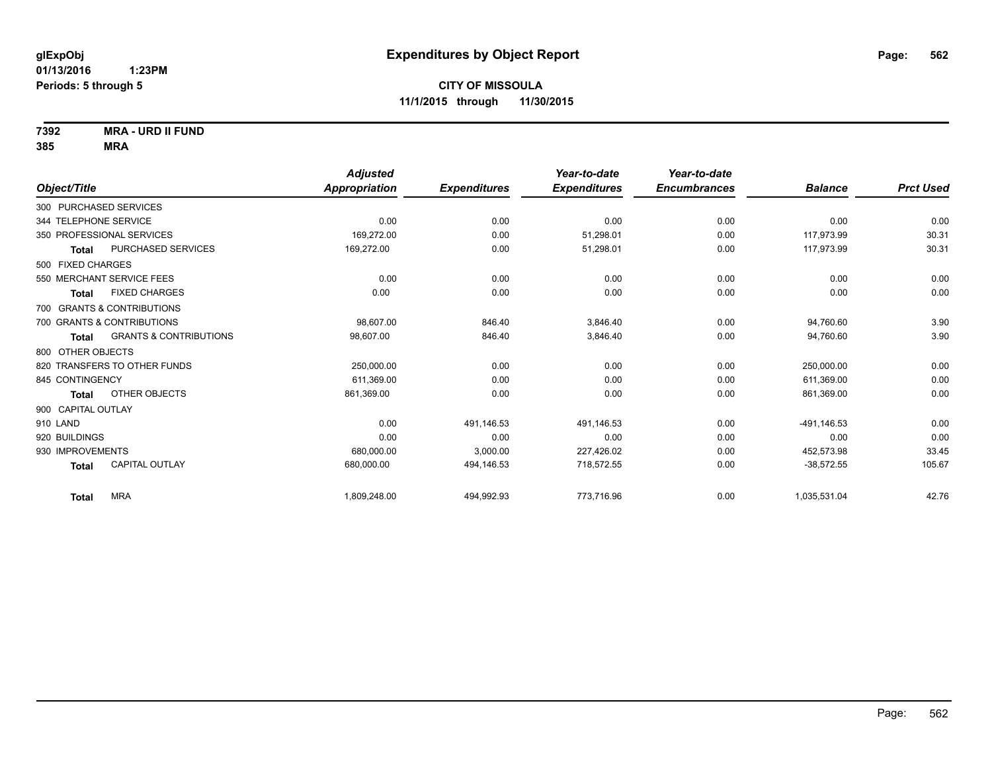**7392 MRA - URD II FUND**

|                                            | <b>Adjusted</b>      |                     | Year-to-date        | Year-to-date        |                |                  |
|--------------------------------------------|----------------------|---------------------|---------------------|---------------------|----------------|------------------|
| Object/Title                               | <b>Appropriation</b> | <b>Expenditures</b> | <b>Expenditures</b> | <b>Encumbrances</b> | <b>Balance</b> | <b>Prct Used</b> |
| 300 PURCHASED SERVICES                     |                      |                     |                     |                     |                |                  |
| 344 TELEPHONE SERVICE                      | 0.00                 | 0.00                | 0.00                | 0.00                | 0.00           | 0.00             |
| 350 PROFESSIONAL SERVICES                  | 169,272.00           | 0.00                | 51,298.01           | 0.00                | 117,973.99     | 30.31            |
| PURCHASED SERVICES<br>Total                | 169,272.00           | 0.00                | 51,298.01           | 0.00                | 117,973.99     | 30.31            |
| 500 FIXED CHARGES                          |                      |                     |                     |                     |                |                  |
| 550 MERCHANT SERVICE FEES                  | 0.00                 | 0.00                | 0.00                | 0.00                | 0.00           | 0.00             |
| <b>FIXED CHARGES</b><br>Total              | 0.00                 | 0.00                | 0.00                | 0.00                | 0.00           | 0.00             |
| 700 GRANTS & CONTRIBUTIONS                 |                      |                     |                     |                     |                |                  |
| 700 GRANTS & CONTRIBUTIONS                 | 98,607.00            | 846.40              | 3,846.40            | 0.00                | 94,760.60      | 3.90             |
| <b>GRANTS &amp; CONTRIBUTIONS</b><br>Total | 98,607.00            | 846.40              | 3,846.40            | 0.00                | 94,760.60      | 3.90             |
| 800 OTHER OBJECTS                          |                      |                     |                     |                     |                |                  |
| 820 TRANSFERS TO OTHER FUNDS               | 250,000.00           | 0.00                | 0.00                | 0.00                | 250.000.00     | 0.00             |
| 845 CONTINGENCY                            | 611,369.00           | 0.00                | 0.00                | 0.00                | 611,369.00     | 0.00             |
| OTHER OBJECTS<br>Total                     | 861,369.00           | 0.00                | 0.00                | 0.00                | 861,369.00     | 0.00             |
| 900 CAPITAL OUTLAY                         |                      |                     |                     |                     |                |                  |
| 910 LAND                                   | 0.00                 | 491,146.53          | 491,146.53          | 0.00                | $-491, 146.53$ | 0.00             |
| 920 BUILDINGS                              | 0.00                 | 0.00                | 0.00                | 0.00                | 0.00           | 0.00             |
| 930 IMPROVEMENTS                           | 680,000.00           | 3,000.00            | 227,426.02          | 0.00                | 452,573.98     | 33.45            |
| <b>CAPITAL OUTLAY</b><br><b>Total</b>      | 680,000.00           | 494,146.53          | 718,572.55          | 0.00                | $-38,572.55$   | 105.67           |
| <b>MRA</b><br><b>Total</b>                 | 1,809,248.00         | 494,992.93          | 773.716.96          | 0.00                | 1,035,531.04   | 42.76            |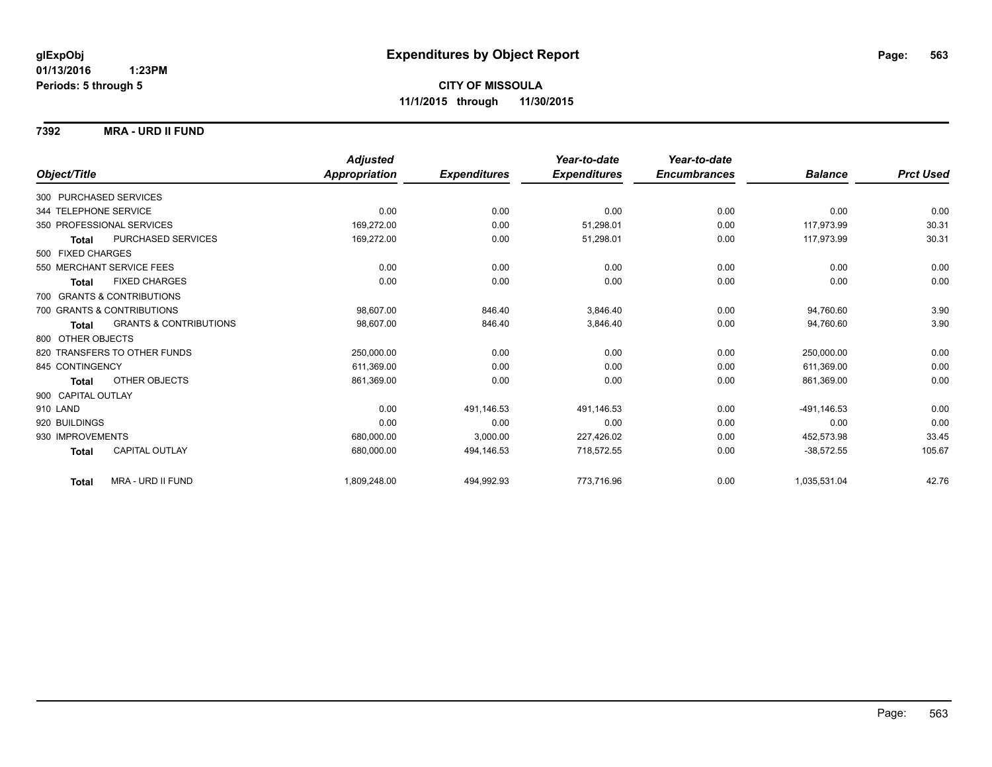#### **7392 MRA - URD II FUND**

|                                            | <b>Adjusted</b> |                     | Year-to-date        | Year-to-date        |                |                  |
|--------------------------------------------|-----------------|---------------------|---------------------|---------------------|----------------|------------------|
| Object/Title                               | Appropriation   | <b>Expenditures</b> | <b>Expenditures</b> | <b>Encumbrances</b> | <b>Balance</b> | <b>Prct Used</b> |
| 300 PURCHASED SERVICES                     |                 |                     |                     |                     |                |                  |
| 344 TELEPHONE SERVICE                      | 0.00            | 0.00                | 0.00                | 0.00                | 0.00           | 0.00             |
| 350 PROFESSIONAL SERVICES                  | 169.272.00      | 0.00                | 51.298.01           | 0.00                | 117.973.99     | 30.31            |
| PURCHASED SERVICES<br>Total                | 169,272.00      | 0.00                | 51,298.01           | 0.00                | 117,973.99     | 30.31            |
| 500 FIXED CHARGES                          |                 |                     |                     |                     |                |                  |
| 550 MERCHANT SERVICE FEES                  | 0.00            | 0.00                | 0.00                | 0.00                | 0.00           | 0.00             |
| <b>FIXED CHARGES</b><br><b>Total</b>       | 0.00            | 0.00                | 0.00                | 0.00                | 0.00           | 0.00             |
| 700 GRANTS & CONTRIBUTIONS                 |                 |                     |                     |                     |                |                  |
| 700 GRANTS & CONTRIBUTIONS                 | 98.607.00       | 846.40              | 3.846.40            | 0.00                | 94,760.60      | 3.90             |
| <b>GRANTS &amp; CONTRIBUTIONS</b><br>Total | 98,607.00       | 846.40              | 3,846.40            | 0.00                | 94,760.60      | 3.90             |
| 800 OTHER OBJECTS                          |                 |                     |                     |                     |                |                  |
| 820 TRANSFERS TO OTHER FUNDS               | 250,000.00      | 0.00                | 0.00                | 0.00                | 250,000.00     | 0.00             |
| 845 CONTINGENCY                            | 611,369.00      | 0.00                | 0.00                | 0.00                | 611,369.00     | 0.00             |
| OTHER OBJECTS<br>Total                     | 861,369.00      | 0.00                | 0.00                | 0.00                | 861,369.00     | 0.00             |
| 900 CAPITAL OUTLAY                         |                 |                     |                     |                     |                |                  |
| 910 LAND                                   | 0.00            | 491,146.53          | 491,146.53          | 0.00                | -491,146.53    | 0.00             |
| 920 BUILDINGS                              | 0.00            | 0.00                | 0.00                | 0.00                | 0.00           | 0.00             |
| 930 IMPROVEMENTS                           | 680,000.00      | 3,000.00            | 227,426.02          | 0.00                | 452,573.98     | 33.45            |
| CAPITAL OUTLAY<br><b>Total</b>             | 680,000.00      | 494,146.53          | 718,572.55          | 0.00                | $-38,572.55$   | 105.67           |
| MRA - URD II FUND<br><b>Total</b>          | 1,809,248.00    | 494,992.93          | 773,716.96          | 0.00                | 1,035,531.04   | 42.76            |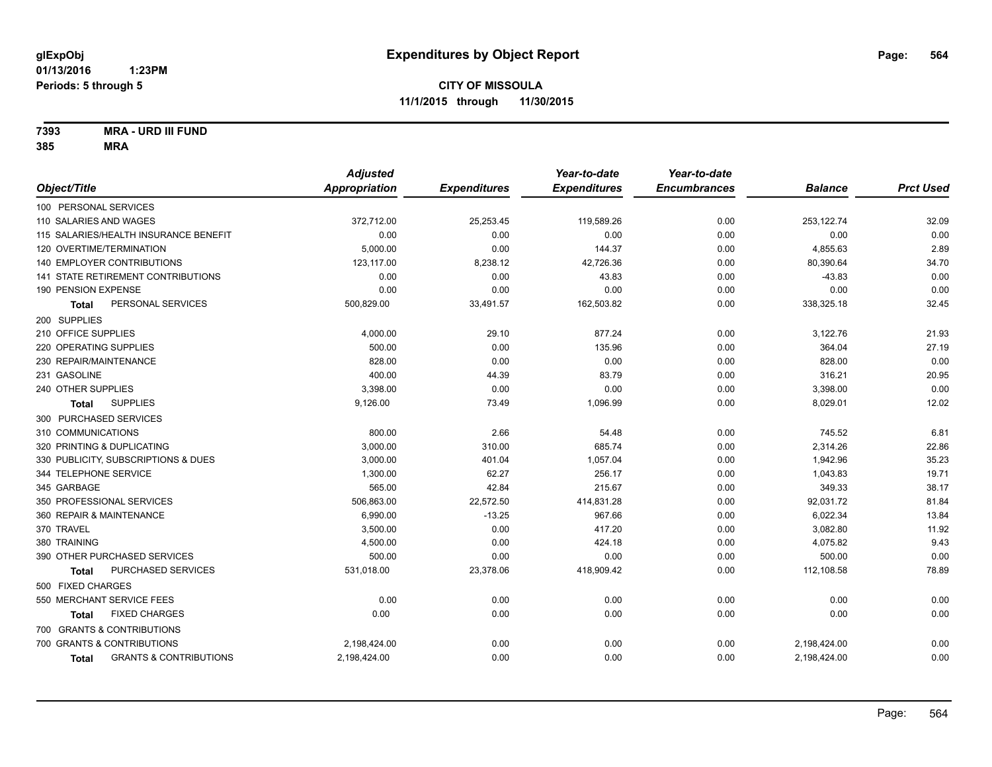**7393 MRA - URD III FUND**

|                                                   | <b>Adjusted</b> |                     | Year-to-date        | Year-to-date        |                |                  |
|---------------------------------------------------|-----------------|---------------------|---------------------|---------------------|----------------|------------------|
| Object/Title                                      | Appropriation   | <b>Expenditures</b> | <b>Expenditures</b> | <b>Encumbrances</b> | <b>Balance</b> | <b>Prct Used</b> |
| 100 PERSONAL SERVICES                             |                 |                     |                     |                     |                |                  |
| 110 SALARIES AND WAGES                            | 372,712.00      | 25,253.45           | 119,589.26          | 0.00                | 253,122.74     | 32.09            |
| 115 SALARIES/HEALTH INSURANCE BENEFIT             | 0.00            | 0.00                | 0.00                | 0.00                | 0.00           | 0.00             |
| 120 OVERTIME/TERMINATION                          | 5,000.00        | 0.00                | 144.37              | 0.00                | 4,855.63       | 2.89             |
| 140 EMPLOYER CONTRIBUTIONS                        | 123,117.00      | 8,238.12            | 42,726.36           | 0.00                | 80,390.64      | 34.70            |
| 141 STATE RETIREMENT CONTRIBUTIONS                | 0.00            | 0.00                | 43.83               | 0.00                | $-43.83$       | 0.00             |
| 190 PENSION EXPENSE                               | 0.00            | 0.00                | 0.00                | 0.00                | 0.00           | 0.00             |
| PERSONAL SERVICES<br><b>Total</b>                 | 500,829.00      | 33,491.57           | 162,503.82          | 0.00                | 338,325.18     | 32.45            |
| 200 SUPPLIES                                      |                 |                     |                     |                     |                |                  |
| 210 OFFICE SUPPLIES                               | 4,000.00        | 29.10               | 877.24              | 0.00                | 3,122.76       | 21.93            |
| 220 OPERATING SUPPLIES                            | 500.00          | 0.00                | 135.96              | 0.00                | 364.04         | 27.19            |
| 230 REPAIR/MAINTENANCE                            | 828.00          | 0.00                | 0.00                | 0.00                | 828.00         | 0.00             |
| 231 GASOLINE                                      | 400.00          | 44.39               | 83.79               | 0.00                | 316.21         | 20.95            |
| 240 OTHER SUPPLIES                                | 3,398.00        | 0.00                | 0.00                | 0.00                | 3,398.00       | 0.00             |
| <b>SUPPLIES</b><br>Total                          | 9,126.00        | 73.49               | 1,096.99            | 0.00                | 8,029.01       | 12.02            |
| 300 PURCHASED SERVICES                            |                 |                     |                     |                     |                |                  |
| 310 COMMUNICATIONS                                | 800.00          | 2.66                | 54.48               | 0.00                | 745.52         | 6.81             |
| 320 PRINTING & DUPLICATING                        | 3,000.00        | 310.00              | 685.74              | 0.00                | 2,314.26       | 22.86            |
| 330 PUBLICITY, SUBSCRIPTIONS & DUES               | 3,000.00        | 401.04              | 1,057.04            | 0.00                | 1,942.96       | 35.23            |
| 344 TELEPHONE SERVICE                             | 1,300.00        | 62.27               | 256.17              | 0.00                | 1,043.83       | 19.71            |
| 345 GARBAGE                                       | 565.00          | 42.84               | 215.67              | 0.00                | 349.33         | 38.17            |
| 350 PROFESSIONAL SERVICES                         | 506,863.00      | 22,572.50           | 414,831.28          | 0.00                | 92,031.72      | 81.84            |
| 360 REPAIR & MAINTENANCE                          | 6,990.00        | $-13.25$            | 967.66              | 0.00                | 6,022.34       | 13.84            |
| 370 TRAVEL                                        | 3,500.00        | 0.00                | 417.20              | 0.00                | 3,082.80       | 11.92            |
| 380 TRAINING                                      | 4,500.00        | 0.00                | 424.18              | 0.00                | 4,075.82       | 9.43             |
| 390 OTHER PURCHASED SERVICES                      | 500.00          | 0.00                | 0.00                | 0.00                | 500.00         | 0.00             |
| PURCHASED SERVICES<br><b>Total</b>                | 531,018.00      | 23,378.06           | 418,909.42          | 0.00                | 112,108.58     | 78.89            |
| 500 FIXED CHARGES                                 |                 |                     |                     |                     |                |                  |
| 550 MERCHANT SERVICE FEES                         | 0.00            | 0.00                | 0.00                | 0.00                | 0.00           | 0.00             |
| <b>FIXED CHARGES</b><br>Total                     | 0.00            | 0.00                | 0.00                | 0.00                | 0.00           | 0.00             |
| 700 GRANTS & CONTRIBUTIONS                        |                 |                     |                     |                     |                |                  |
| 700 GRANTS & CONTRIBUTIONS                        | 2,198,424.00    | 0.00                | 0.00                | 0.00                | 2,198,424.00   | 0.00             |
| <b>GRANTS &amp; CONTRIBUTIONS</b><br><b>Total</b> | 2,198,424.00    | 0.00                | 0.00                | 0.00                | 2,198,424.00   | 0.00             |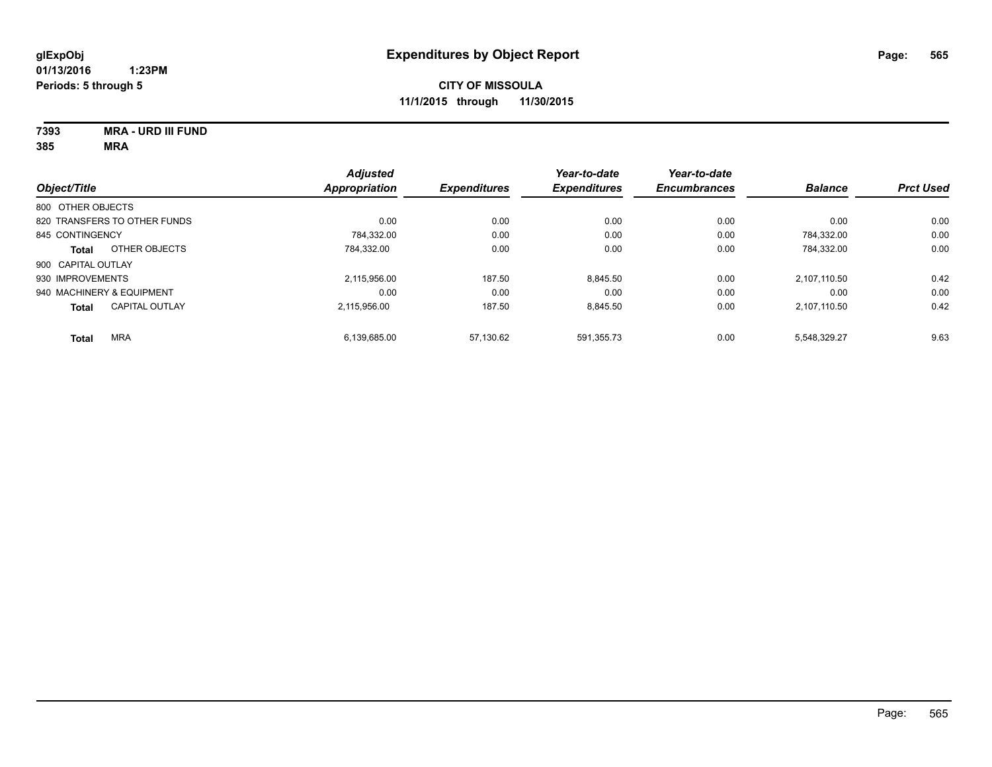**7393 MRA - URD III FUND**

| Object/Title              |                              | <b>Adjusted</b><br><b>Appropriation</b> | <b>Expenditures</b> | Year-to-date<br><b>Expenditures</b> | Year-to-date<br><b>Encumbrances</b> | <b>Balance</b> | <b>Prct Used</b> |
|---------------------------|------------------------------|-----------------------------------------|---------------------|-------------------------------------|-------------------------------------|----------------|------------------|
|                           |                              |                                         |                     |                                     |                                     |                |                  |
| 800 OTHER OBJECTS         |                              |                                         |                     |                                     |                                     |                |                  |
|                           | 820 TRANSFERS TO OTHER FUNDS | 0.00                                    | 0.00                | 0.00                                | 0.00                                | 0.00           | 0.00             |
| 845 CONTINGENCY           |                              | 784.332.00                              | 0.00                | 0.00                                | 0.00                                | 784.332.00     | 0.00             |
| <b>Total</b>              | OTHER OBJECTS                | 784,332.00                              | 0.00                | 0.00                                | 0.00                                | 784,332.00     | 0.00             |
| 900 CAPITAL OUTLAY        |                              |                                         |                     |                                     |                                     |                |                  |
| 930 IMPROVEMENTS          |                              | 2.115.956.00                            | 187.50              | 8,845.50                            | 0.00                                | 2.107.110.50   | 0.42             |
| 940 MACHINERY & EQUIPMENT |                              | 0.00                                    | 0.00                | 0.00                                | 0.00                                | 0.00           | 0.00             |
| <b>Total</b>              | <b>CAPITAL OUTLAY</b>        | 2.115.956.00                            | 187.50              | 8.845.50                            | 0.00                                | 2.107.110.50   | 0.42             |
| <b>Total</b>              | <b>MRA</b>                   | 6,139,685.00                            | 57.130.62           | 591,355.73                          | 0.00                                | 5.548.329.27   | 9.63             |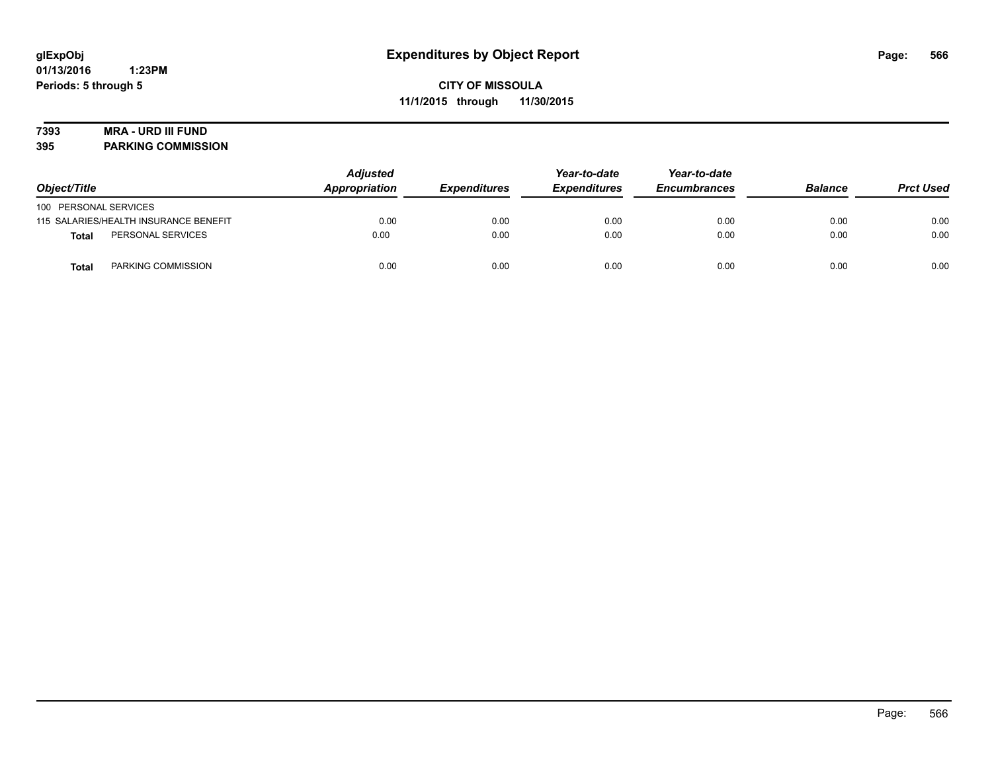## **7393 MRA - URD III FUND**

**395 PARKING COMMISSION**

| Object/Title          |                                       | <b>Adjusted</b><br>Appropriation | Year-to-date<br><b>Expenditures</b><br><b>Expenditures</b> | Year-to-date<br><b>Encumbrances</b> | <b>Balance</b> | <b>Prct Used</b> |      |
|-----------------------|---------------------------------------|----------------------------------|------------------------------------------------------------|-------------------------------------|----------------|------------------|------|
| 100 PERSONAL SERVICES |                                       |                                  |                                                            |                                     |                |                  |      |
|                       | 115 SALARIES/HEALTH INSURANCE BENEFIT | 0.00                             | 0.00                                                       | 0.00                                | 0.00           | 0.00             | 0.00 |
| Total                 | PERSONAL SERVICES                     | 0.00                             | 0.00                                                       | 0.00                                | 0.00           | 0.00             | 0.00 |
| Total                 | PARKING COMMISSION                    | 0.00                             | 0.00                                                       | 0.00                                | 0.00           | 0.00             | 0.00 |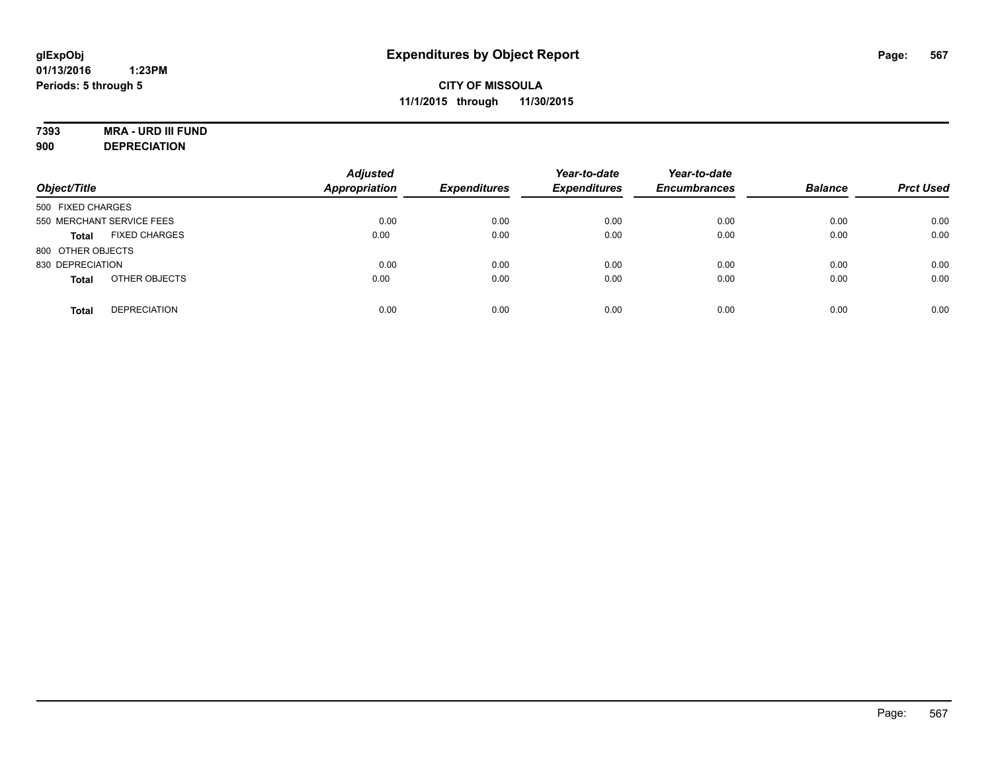# **7393 MRA - URD III FUND**

**900 DEPRECIATION**

| Object/Title                         | <b>Adjusted</b><br><b>Appropriation</b> | <b>Expenditures</b> | Year-to-date<br><b>Expenditures</b> | Year-to-date<br><b>Encumbrances</b> | <b>Balance</b> | <b>Prct Used</b> |
|--------------------------------------|-----------------------------------------|---------------------|-------------------------------------|-------------------------------------|----------------|------------------|
| 500 FIXED CHARGES                    |                                         |                     |                                     |                                     |                |                  |
| 550 MERCHANT SERVICE FEES            | 0.00                                    | 0.00                | 0.00                                | 0.00                                | 0.00           | 0.00             |
| <b>FIXED CHARGES</b><br><b>Total</b> | 0.00                                    | 0.00                | 0.00                                | 0.00                                | 0.00           | 0.00             |
| 800 OTHER OBJECTS                    |                                         |                     |                                     |                                     |                |                  |
| 830 DEPRECIATION                     | 0.00                                    | 0.00                | 0.00                                | 0.00                                | 0.00           | 0.00             |
| OTHER OBJECTS<br><b>Total</b>        | 0.00                                    | 0.00                | 0.00                                | 0.00                                | 0.00           | 0.00             |
| <b>DEPRECIATION</b><br><b>Total</b>  | 0.00                                    | 0.00                | 0.00                                | 0.00                                | 0.00           | 0.00             |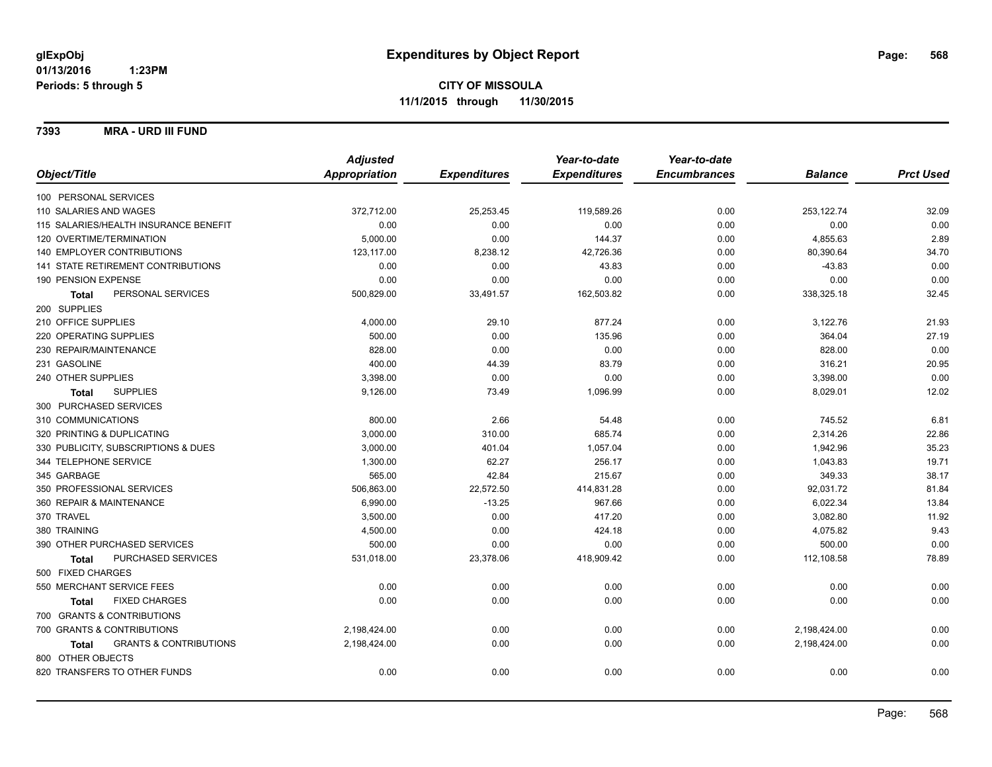#### **7393 MRA - URD III FUND**

|                                                   | <b>Adjusted</b>      |                     | Year-to-date        | Year-to-date        |                |                  |
|---------------------------------------------------|----------------------|---------------------|---------------------|---------------------|----------------|------------------|
| Object/Title                                      | <b>Appropriation</b> | <b>Expenditures</b> | <b>Expenditures</b> | <b>Encumbrances</b> | <b>Balance</b> | <b>Prct Used</b> |
| 100 PERSONAL SERVICES                             |                      |                     |                     |                     |                |                  |
| 110 SALARIES AND WAGES                            | 372,712.00           | 25,253.45           | 119,589.26          | 0.00                | 253,122.74     | 32.09            |
| 115 SALARIES/HEALTH INSURANCE BENEFIT             | 0.00                 | 0.00                | 0.00                | 0.00                | 0.00           | 0.00             |
| 120 OVERTIME/TERMINATION                          | 5,000.00             | 0.00                | 144.37              | 0.00                | 4,855.63       | 2.89             |
| 140 EMPLOYER CONTRIBUTIONS                        | 123,117.00           | 8,238.12            | 42,726.36           | 0.00                | 80,390.64      | 34.70            |
| <b>141 STATE RETIREMENT CONTRIBUTIONS</b>         | 0.00                 | 0.00                | 43.83               | 0.00                | $-43.83$       | 0.00             |
| 190 PENSION EXPENSE                               | 0.00                 | 0.00                | 0.00                | 0.00                | 0.00           | 0.00             |
| PERSONAL SERVICES<br><b>Total</b>                 | 500,829.00           | 33,491.57           | 162,503.82          | 0.00                | 338,325.18     | 32.45            |
| 200 SUPPLIES                                      |                      |                     |                     |                     |                |                  |
| 210 OFFICE SUPPLIES                               | 4,000.00             | 29.10               | 877.24              | 0.00                | 3,122.76       | 21.93            |
| 220 OPERATING SUPPLIES                            | 500.00               | 0.00                | 135.96              | 0.00                | 364.04         | 27.19            |
| 230 REPAIR/MAINTENANCE                            | 828.00               | 0.00                | 0.00                | 0.00                | 828.00         | 0.00             |
| 231 GASOLINE                                      | 400.00               | 44.39               | 83.79               | 0.00                | 316.21         | 20.95            |
| 240 OTHER SUPPLIES                                | 3,398.00             | 0.00                | 0.00                | 0.00                | 3,398.00       | 0.00             |
| <b>SUPPLIES</b><br><b>Total</b>                   | 9,126.00             | 73.49               | 1,096.99            | 0.00                | 8,029.01       | 12.02            |
| 300 PURCHASED SERVICES                            |                      |                     |                     |                     |                |                  |
| 310 COMMUNICATIONS                                | 800.00               | 2.66                | 54.48               | 0.00                | 745.52         | 6.81             |
| 320 PRINTING & DUPLICATING                        | 3,000.00             | 310.00              | 685.74              | 0.00                | 2,314.26       | 22.86            |
| 330 PUBLICITY, SUBSCRIPTIONS & DUES               | 3,000.00             | 401.04              | 1,057.04            | 0.00                | 1,942.96       | 35.23            |
| 344 TELEPHONE SERVICE                             | 1,300.00             | 62.27               | 256.17              | 0.00                | 1,043.83       | 19.71            |
| 345 GARBAGE                                       | 565.00               | 42.84               | 215.67              | 0.00                | 349.33         | 38.17            |
| 350 PROFESSIONAL SERVICES                         | 506,863.00           | 22,572.50           | 414,831.28          | 0.00                | 92,031.72      | 81.84            |
| 360 REPAIR & MAINTENANCE                          | 6,990.00             | $-13.25$            | 967.66              | 0.00                | 6,022.34       | 13.84            |
| 370 TRAVEL                                        | 3,500.00             | 0.00                | 417.20              | 0.00                | 3,082.80       | 11.92            |
| 380 TRAINING                                      | 4,500.00             | 0.00                | 424.18              | 0.00                | 4,075.82       | 9.43             |
| 390 OTHER PURCHASED SERVICES                      | 500.00               | 0.00                | 0.00                | 0.00                | 500.00         | 0.00             |
| PURCHASED SERVICES<br><b>Total</b>                | 531,018.00           | 23,378.06           | 418,909.42          | 0.00                | 112,108.58     | 78.89            |
| 500 FIXED CHARGES                                 |                      |                     |                     |                     |                |                  |
| 550 MERCHANT SERVICE FEES                         | 0.00                 | 0.00                | 0.00                | 0.00                | 0.00           | 0.00             |
| <b>FIXED CHARGES</b><br><b>Total</b>              | 0.00                 | 0.00                | 0.00                | 0.00                | 0.00           | 0.00             |
| 700 GRANTS & CONTRIBUTIONS                        |                      |                     |                     |                     |                |                  |
| 700 GRANTS & CONTRIBUTIONS                        | 2,198,424.00         | 0.00                | 0.00                | 0.00                | 2,198,424.00   | 0.00             |
| <b>GRANTS &amp; CONTRIBUTIONS</b><br><b>Total</b> | 2,198,424.00         | 0.00                | 0.00                | 0.00                | 2,198,424.00   | 0.00             |
| 800 OTHER OBJECTS                                 |                      |                     |                     |                     |                |                  |
| 820 TRANSFERS TO OTHER FUNDS                      | 0.00                 | 0.00                | 0.00                | 0.00                | 0.00           | 0.00             |
|                                                   |                      |                     |                     |                     |                |                  |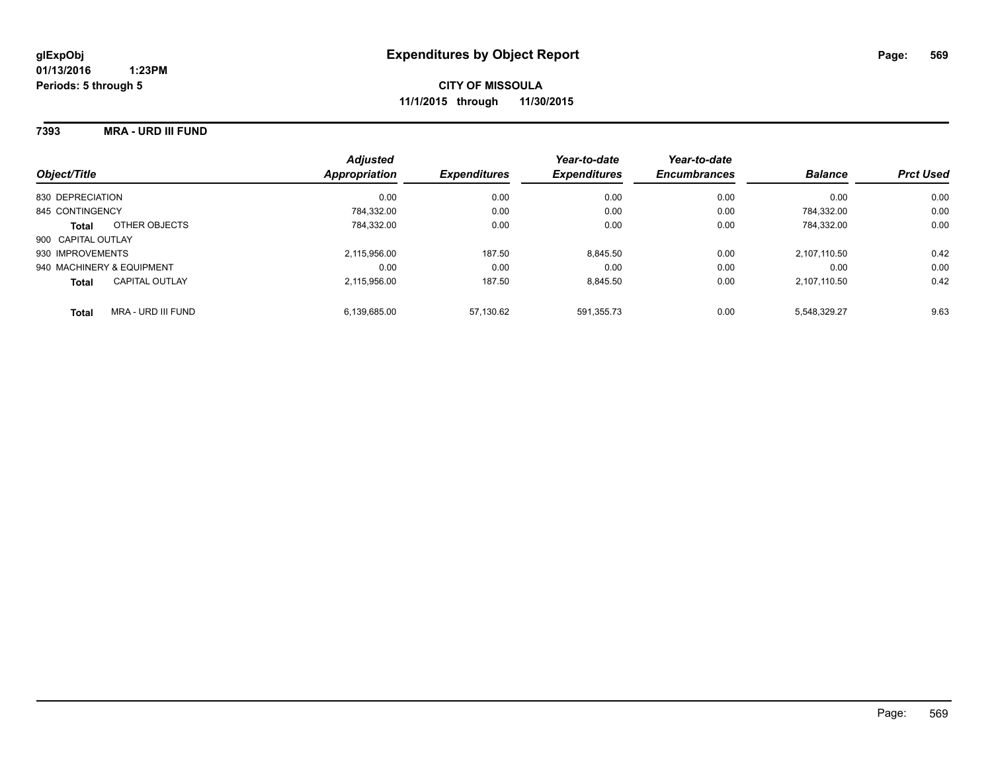#### **7393 MRA - URD III FUND**

| Object/Title                       | <b>Adjusted</b><br>Appropriation | <b>Expenditures</b> | Year-to-date<br><b>Expenditures</b> | Year-to-date<br><b>Encumbrances</b> | <b>Balance</b> | <b>Prct Used</b> |
|------------------------------------|----------------------------------|---------------------|-------------------------------------|-------------------------------------|----------------|------------------|
| 830 DEPRECIATION                   | 0.00                             | 0.00                | 0.00                                | 0.00                                | 0.00           | 0.00             |
| 845 CONTINGENCY                    | 784.332.00                       | 0.00                | 0.00                                | 0.00                                | 784.332.00     | 0.00             |
| OTHER OBJECTS<br><b>Total</b>      | 784.332.00                       | 0.00                | 0.00                                | 0.00                                | 784.332.00     | 0.00             |
| 900 CAPITAL OUTLAY                 |                                  |                     |                                     |                                     |                |                  |
| 930 IMPROVEMENTS                   | 2,115,956.00                     | 187.50              | 8,845.50                            | 0.00                                | 2.107.110.50   | 0.42             |
| 940 MACHINERY & EQUIPMENT          | 0.00                             | 0.00                | 0.00                                | 0.00                                | 0.00           | 0.00             |
| CAPITAL OUTLAY<br><b>Total</b>     | 2.115.956.00                     | 187.50              | 8.845.50                            | 0.00                                | 2.107.110.50   | 0.42             |
| MRA - URD III FUND<br><b>Total</b> | 6.139.685.00                     | 57.130.62           | 591.355.73                          | 0.00                                | 5.548.329.27   | 9.63             |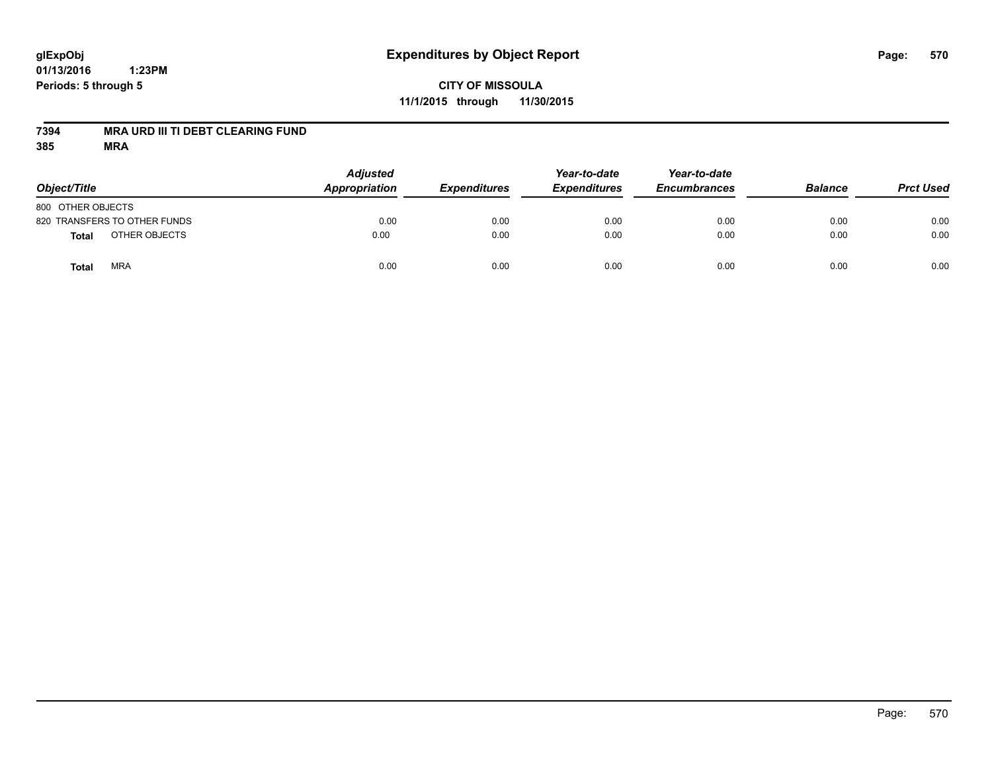# **glExpObj Expenditures by Object Report Page: 570**

**01/13/2016 1:23PM Periods: 5 through 5**

### **CITY OF MISSOULA 11/1/2015 through 11/30/2015**

#### **7394 MRA URD III TI DEBT CLEARING FUND**

| Object/Title                 | <b>Adjusted</b><br><b>Appropriation</b> | <b>Expenditures</b> | Year-to-date<br><b>Expenditures</b> | Year-to-date<br><b>Encumbrances</b> | <b>Balance</b> | <b>Prct Used</b> |
|------------------------------|-----------------------------------------|---------------------|-------------------------------------|-------------------------------------|----------------|------------------|
| 800 OTHER OBJECTS            |                                         |                     |                                     |                                     |                |                  |
| 820 TRANSFERS TO OTHER FUNDS | 0.00                                    | 0.00                | 0.00                                | 0.00                                | 0.00           | 0.00             |
| OTHER OBJECTS<br>Total       | 0.00                                    | 0.00                | 0.00                                | 0.00                                | 0.00           | 0.00             |
| <b>MRA</b><br><b>Total</b>   | 0.00                                    | 0.00                | 0.00                                | 0.00                                | 0.00           | 0.00             |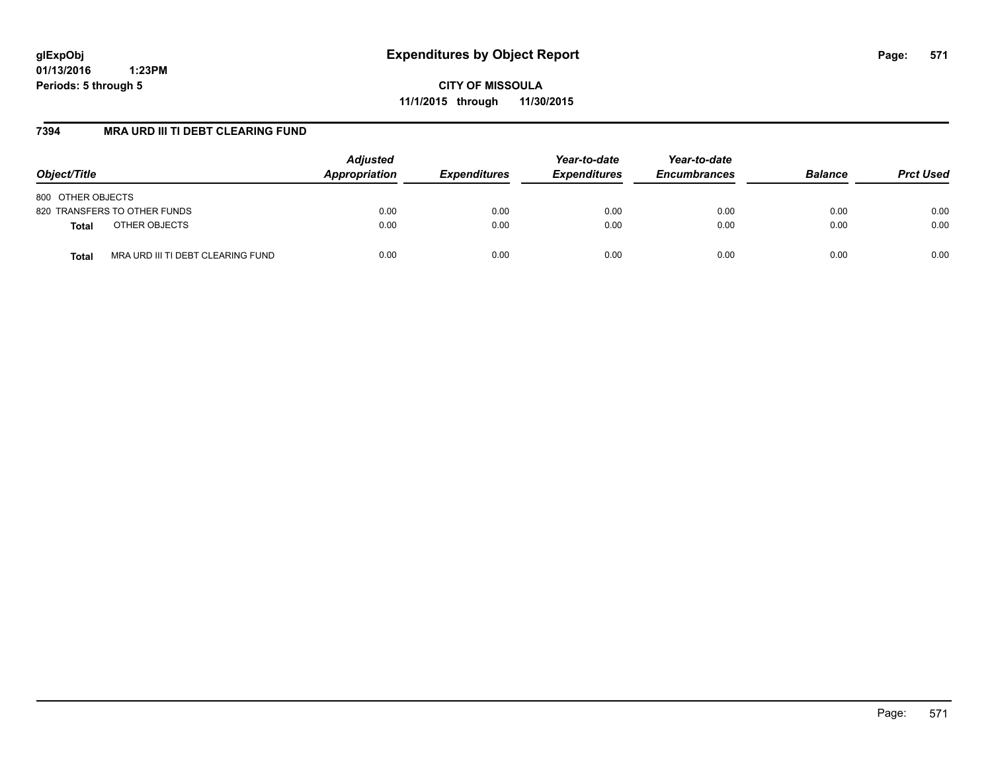**CITY OF MISSOULA 11/1/2015 through 11/30/2015**

#### **7394 MRA URD III TI DEBT CLEARING FUND**

| Object/Title                               | <b>Adjusted</b><br>Appropriation | <b>Expenditures</b> | Year-to-date<br><b>Expenditures</b> | Year-to-date<br><b>Encumbrances</b> | <b>Balance</b> | <b>Prct Used</b> |
|--------------------------------------------|----------------------------------|---------------------|-------------------------------------|-------------------------------------|----------------|------------------|
| 800 OTHER OBJECTS                          |                                  |                     |                                     |                                     |                |                  |
| 820 TRANSFERS TO OTHER FUNDS               | 0.00                             | 0.00                | 0.00                                | 0.00                                | 0.00           | 0.00             |
| OTHER OBJECTS<br><b>Total</b>              | 0.00                             | 0.00                | 0.00                                | 0.00                                | 0.00           | 0.00             |
| MRA URD III TI DEBT CLEARING FUND<br>Total | 0.00                             | 0.00                | 0.00                                | 0.00                                | 0.00           | 0.00             |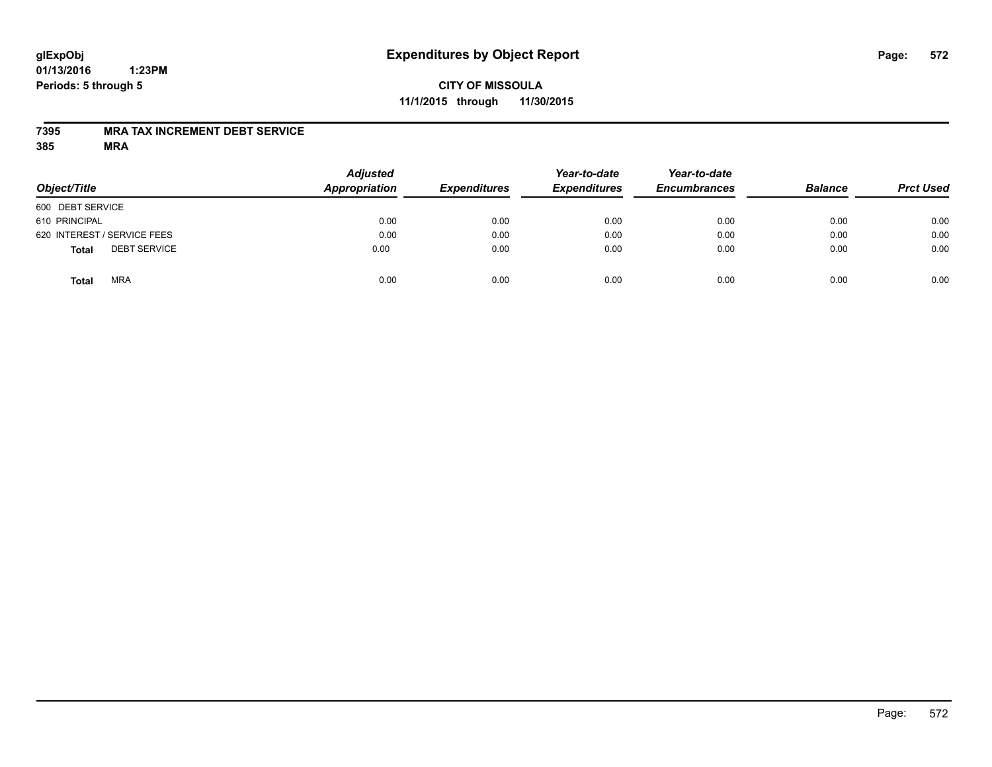### **CITY OF MISSOULA 11/1/2015 through 11/30/2015**

#### **7395 MRA TAX INCREMENT DEBT SERVICE**

| Object/Title                        | <b>Adjusted</b><br><b>Appropriation</b> | <b>Expenditures</b> | Year-to-date<br><b>Expenditures</b> | Year-to-date<br><b>Encumbrances</b> | <b>Balance</b> | <b>Prct Used</b> |
|-------------------------------------|-----------------------------------------|---------------------|-------------------------------------|-------------------------------------|----------------|------------------|
| 600 DEBT SERVICE                    |                                         |                     |                                     |                                     |                |                  |
| 610 PRINCIPAL                       | 0.00                                    | 0.00                | 0.00                                | 0.00                                | 0.00           | 0.00             |
| 620 INTEREST / SERVICE FEES         | 0.00                                    | 0.00                | 0.00                                | 0.00                                | 0.00           | 0.00             |
| <b>DEBT SERVICE</b><br><b>Total</b> | 0.00                                    | 0.00                | 0.00                                | 0.00                                | 0.00           | 0.00             |
| <b>MRA</b><br><b>Total</b>          | 0.00                                    | 0.00                | 0.00                                | 0.00                                | 0.00           | 0.00             |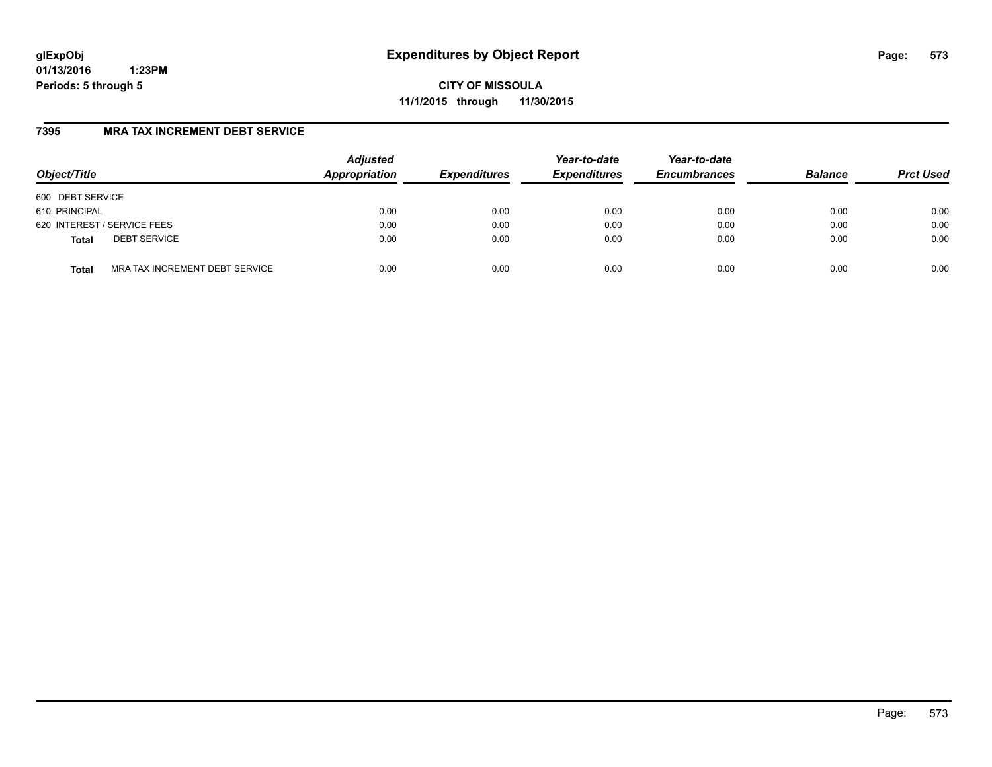**CITY OF MISSOULA 11/1/2015 through 11/30/2015**

### **7395 MRA TAX INCREMENT DEBT SERVICE**

| Object/Title     |                                | <b>Adjusted</b><br>Appropriation | <b>Expenditures</b> | Year-to-date<br><b>Expenditures</b> | Year-to-date<br><b>Encumbrances</b> | <b>Balance</b> | <b>Prct Used</b> |
|------------------|--------------------------------|----------------------------------|---------------------|-------------------------------------|-------------------------------------|----------------|------------------|
| 600 DEBT SERVICE |                                |                                  |                     |                                     |                                     |                |                  |
| 610 PRINCIPAL    |                                | 0.00                             | 0.00                | 0.00                                | 0.00                                | 0.00           | 0.00             |
|                  | 620 INTEREST / SERVICE FEES    | 0.00                             | 0.00                | 0.00                                | 0.00                                | 0.00           | 0.00             |
| <b>Total</b>     | <b>DEBT SERVICE</b>            | 0.00                             | 0.00                | 0.00                                | 0.00                                | 0.00           | 0.00             |
| <b>Total</b>     | MRA TAX INCREMENT DEBT SERVICE | 0.00                             | 0.00                | 0.00                                | 0.00                                | 0.00           | 0.00             |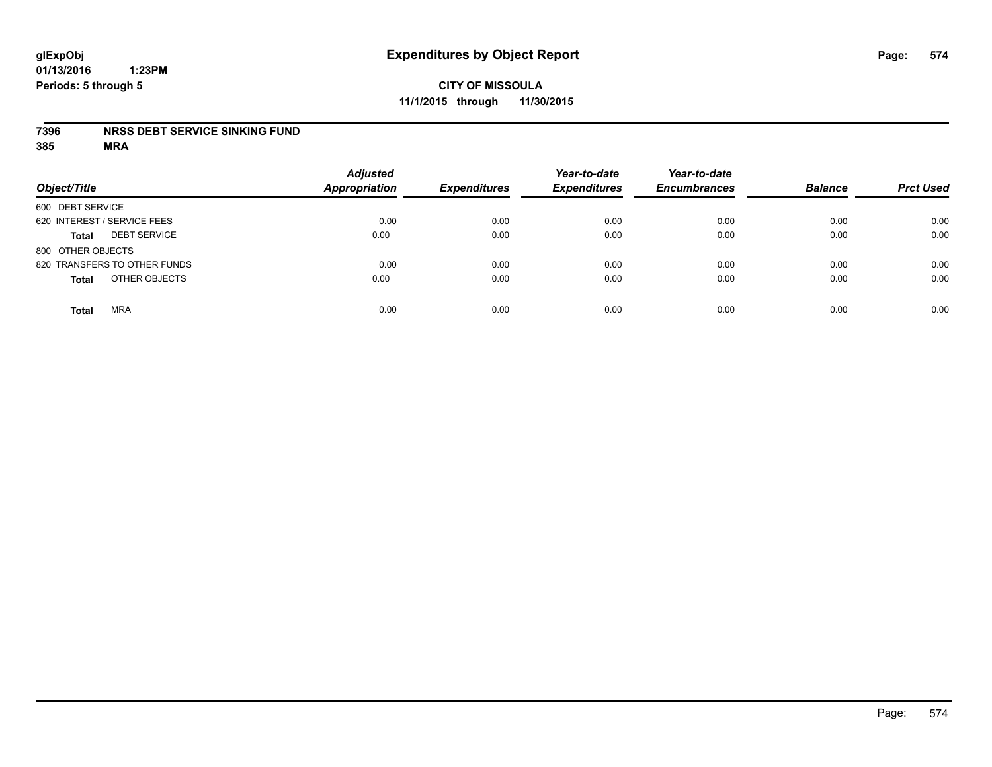### **CITY OF MISSOULA 11/1/2015 through 11/30/2015**

#### **7396 NRSS DEBT SERVICE SINKING FUND**

| Object/Title                        | <b>Adjusted</b><br><b>Appropriation</b> | <b>Expenditures</b> | Year-to-date<br><b>Expenditures</b> | Year-to-date<br><b>Encumbrances</b> | <b>Balance</b> | <b>Prct Used</b> |
|-------------------------------------|-----------------------------------------|---------------------|-------------------------------------|-------------------------------------|----------------|------------------|
| 600 DEBT SERVICE                    |                                         |                     |                                     |                                     |                |                  |
| 620 INTEREST / SERVICE FEES         | 0.00                                    | 0.00                | 0.00                                | 0.00                                | 0.00           | 0.00             |
| <b>DEBT SERVICE</b><br><b>Total</b> | 0.00                                    | 0.00                | 0.00                                | 0.00                                | 0.00           | 0.00             |
| 800 OTHER OBJECTS                   |                                         |                     |                                     |                                     |                |                  |
| 820 TRANSFERS TO OTHER FUNDS        | 0.00                                    | 0.00                | 0.00                                | 0.00                                | 0.00           | 0.00             |
| OTHER OBJECTS<br><b>Total</b>       | 0.00                                    | 0.00                | 0.00                                | 0.00                                | 0.00           | 0.00             |
| <b>MRA</b><br><b>Total</b>          | 0.00                                    | 0.00                | 0.00                                | 0.00                                | 0.00           | 0.00             |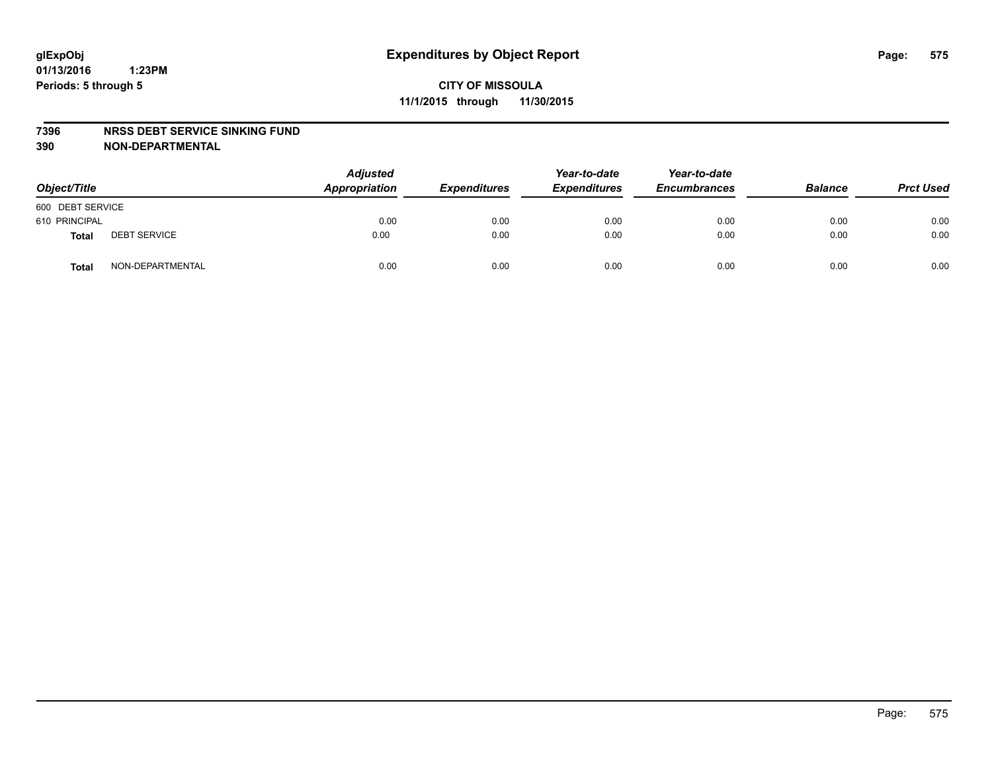#### **7396 NRSS DEBT SERVICE SINKING FUND**

**390 NON-DEPARTMENTAL**

| Object/Title     |                     | <b>Adjusted</b><br>Appropriation | <b>Expenditures</b> | Year-to-date<br><b>Expenditures</b> | Year-to-date<br><b>Encumbrances</b> | <b>Balance</b> | <b>Prct Used</b> |
|------------------|---------------------|----------------------------------|---------------------|-------------------------------------|-------------------------------------|----------------|------------------|
| 600 DEBT SERVICE |                     |                                  |                     |                                     |                                     |                |                  |
| 610 PRINCIPAL    |                     | 0.00                             | 0.00                | 0.00                                | 0.00                                | 0.00           | 0.00             |
| Total            | <b>DEBT SERVICE</b> | 0.00                             | 0.00                | 0.00                                | 0.00                                | 0.00           | 0.00             |
| <b>Total</b>     | NON-DEPARTMENTAL    | 0.00                             | 0.00                | 0.00                                | 0.00                                | 0.00           | 0.00             |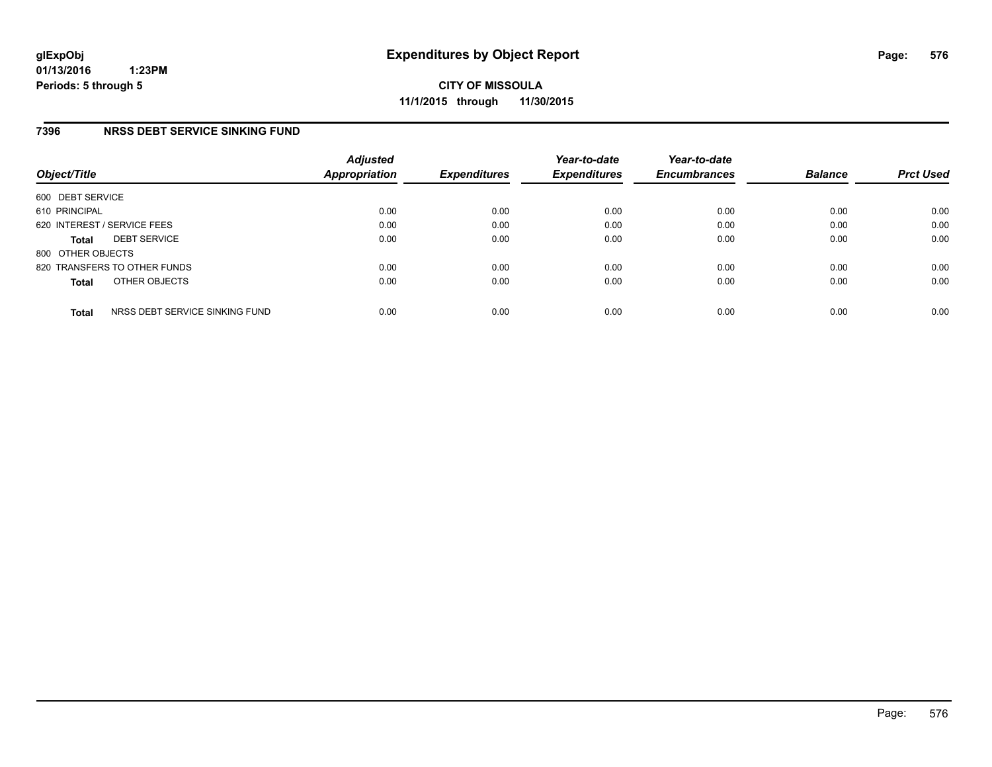**CITY OF MISSOULA 11/1/2015 through 11/30/2015**

### **7396 NRSS DEBT SERVICE SINKING FUND**

| Object/Title      |                                | <b>Adjusted</b><br><b>Appropriation</b> | <b>Expenditures</b> | Year-to-date<br><b>Expenditures</b> | Year-to-date<br><b>Encumbrances</b> | <b>Balance</b> | <b>Prct Used</b> |
|-------------------|--------------------------------|-----------------------------------------|---------------------|-------------------------------------|-------------------------------------|----------------|------------------|
| 600 DEBT SERVICE  |                                |                                         |                     |                                     |                                     |                |                  |
| 610 PRINCIPAL     |                                | 0.00                                    | 0.00                | 0.00                                | 0.00                                | 0.00           | 0.00             |
|                   | 620 INTEREST / SERVICE FEES    | 0.00                                    | 0.00                | 0.00                                | 0.00                                | 0.00           | 0.00             |
| <b>Total</b>      | <b>DEBT SERVICE</b>            | 0.00                                    | 0.00                | 0.00                                | 0.00                                | 0.00           | 0.00             |
| 800 OTHER OBJECTS |                                |                                         |                     |                                     |                                     |                |                  |
|                   | 820 TRANSFERS TO OTHER FUNDS   | 0.00                                    | 0.00                | 0.00                                | 0.00                                | 0.00           | 0.00             |
| <b>Total</b>      | OTHER OBJECTS                  | 0.00                                    | 0.00                | 0.00                                | 0.00                                | 0.00           | 0.00             |
| <b>Total</b>      | NRSS DEBT SERVICE SINKING FUND | 0.00                                    | 0.00                | 0.00                                | 0.00                                | 0.00           | 0.00             |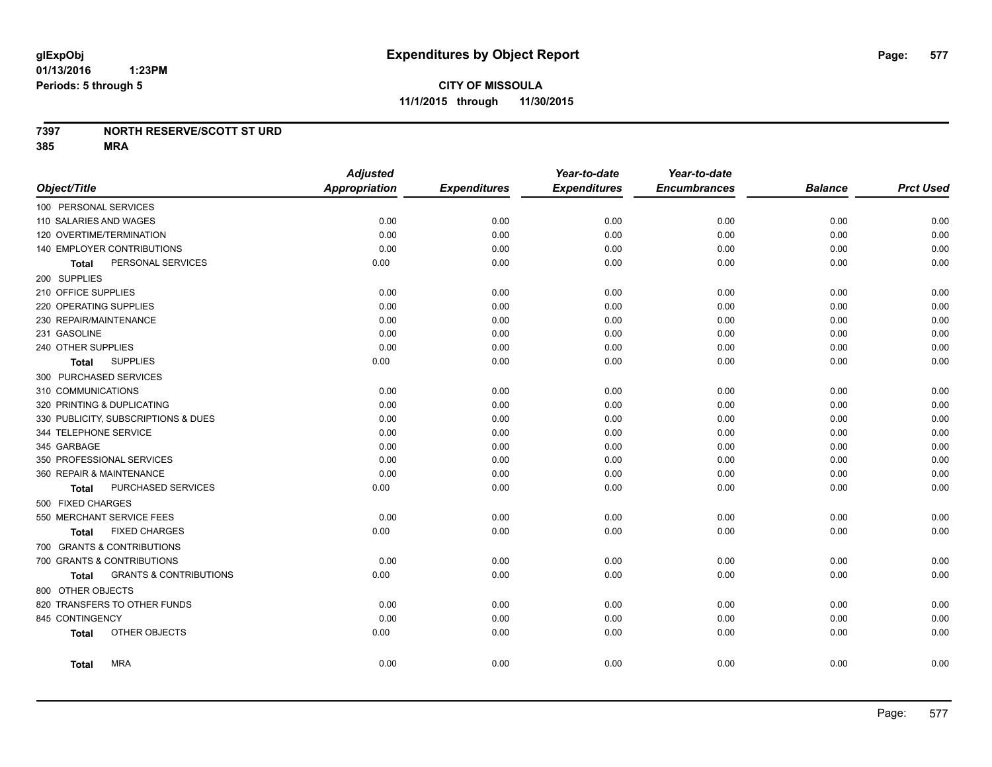#### **7397 NORTH RESERVE/SCOTT ST URD**

**385 MRA**

|                                            | <b>Adjusted</b>      |                     | Year-to-date        | Year-to-date        |                |                  |
|--------------------------------------------|----------------------|---------------------|---------------------|---------------------|----------------|------------------|
| Object/Title                               | <b>Appropriation</b> | <b>Expenditures</b> | <b>Expenditures</b> | <b>Encumbrances</b> | <b>Balance</b> | <b>Prct Used</b> |
| 100 PERSONAL SERVICES                      |                      |                     |                     |                     |                |                  |
| 110 SALARIES AND WAGES                     | 0.00                 | 0.00                | 0.00                | 0.00                | 0.00           | 0.00             |
| 120 OVERTIME/TERMINATION                   | 0.00                 | 0.00                | 0.00                | 0.00                | 0.00           | 0.00             |
| 140 EMPLOYER CONTRIBUTIONS                 | 0.00                 | 0.00                | 0.00                | 0.00                | 0.00           | 0.00             |
| PERSONAL SERVICES<br><b>Total</b>          | 0.00                 | 0.00                | 0.00                | 0.00                | 0.00           | 0.00             |
| 200 SUPPLIES                               |                      |                     |                     |                     |                |                  |
| 210 OFFICE SUPPLIES                        | 0.00                 | 0.00                | 0.00                | 0.00                | 0.00           | 0.00             |
| 220 OPERATING SUPPLIES                     | 0.00                 | 0.00                | 0.00                | 0.00                | 0.00           | 0.00             |
| 230 REPAIR/MAINTENANCE                     | 0.00                 | 0.00                | 0.00                | 0.00                | 0.00           | 0.00             |
| 231 GASOLINE                               | 0.00                 | 0.00                | 0.00                | 0.00                | 0.00           | 0.00             |
| 240 OTHER SUPPLIES                         | 0.00                 | 0.00                | 0.00                | 0.00                | 0.00           | 0.00             |
| <b>SUPPLIES</b><br>Total                   | 0.00                 | 0.00                | 0.00                | 0.00                | 0.00           | 0.00             |
| 300 PURCHASED SERVICES                     |                      |                     |                     |                     |                |                  |
| 310 COMMUNICATIONS                         | 0.00                 | 0.00                | 0.00                | 0.00                | 0.00           | 0.00             |
| 320 PRINTING & DUPLICATING                 | 0.00                 | 0.00                | 0.00                | 0.00                | 0.00           | 0.00             |
| 330 PUBLICITY, SUBSCRIPTIONS & DUES        | 0.00                 | 0.00                | 0.00                | 0.00                | 0.00           | 0.00             |
| 344 TELEPHONE SERVICE                      | 0.00                 | 0.00                | 0.00                | 0.00                | 0.00           | 0.00             |
| 345 GARBAGE                                | 0.00                 | 0.00                | 0.00                | 0.00                | 0.00           | 0.00             |
| 350 PROFESSIONAL SERVICES                  | 0.00                 | 0.00                | 0.00                | 0.00                | 0.00           | 0.00             |
| 360 REPAIR & MAINTENANCE                   | 0.00                 | 0.00                | 0.00                | 0.00                | 0.00           | 0.00             |
| PURCHASED SERVICES<br><b>Total</b>         | 0.00                 | 0.00                | 0.00                | 0.00                | 0.00           | 0.00             |
| 500 FIXED CHARGES                          |                      |                     |                     |                     |                |                  |
| 550 MERCHANT SERVICE FEES                  | 0.00                 | 0.00                | 0.00                | 0.00                | 0.00           | 0.00             |
| <b>FIXED CHARGES</b><br><b>Total</b>       | 0.00                 | 0.00                | 0.00                | 0.00                | 0.00           | 0.00             |
| 700 GRANTS & CONTRIBUTIONS                 |                      |                     |                     |                     |                |                  |
| 700 GRANTS & CONTRIBUTIONS                 | 0.00                 | 0.00                | 0.00                | 0.00                | 0.00           | 0.00             |
| <b>GRANTS &amp; CONTRIBUTIONS</b><br>Total | 0.00                 | 0.00                | 0.00                | 0.00                | 0.00           | 0.00             |
| 800 OTHER OBJECTS                          |                      |                     |                     |                     |                |                  |
| 820 TRANSFERS TO OTHER FUNDS               | 0.00                 | 0.00                | 0.00                | 0.00                | 0.00           | 0.00             |
| 845 CONTINGENCY                            | 0.00                 | 0.00                | 0.00                | 0.00                | 0.00           | 0.00             |
| OTHER OBJECTS<br><b>Total</b>              | 0.00                 | 0.00                | 0.00                | 0.00                | 0.00           | 0.00             |
| <b>MRA</b><br><b>Total</b>                 | 0.00                 | 0.00                | 0.00                | 0.00                | 0.00           | 0.00             |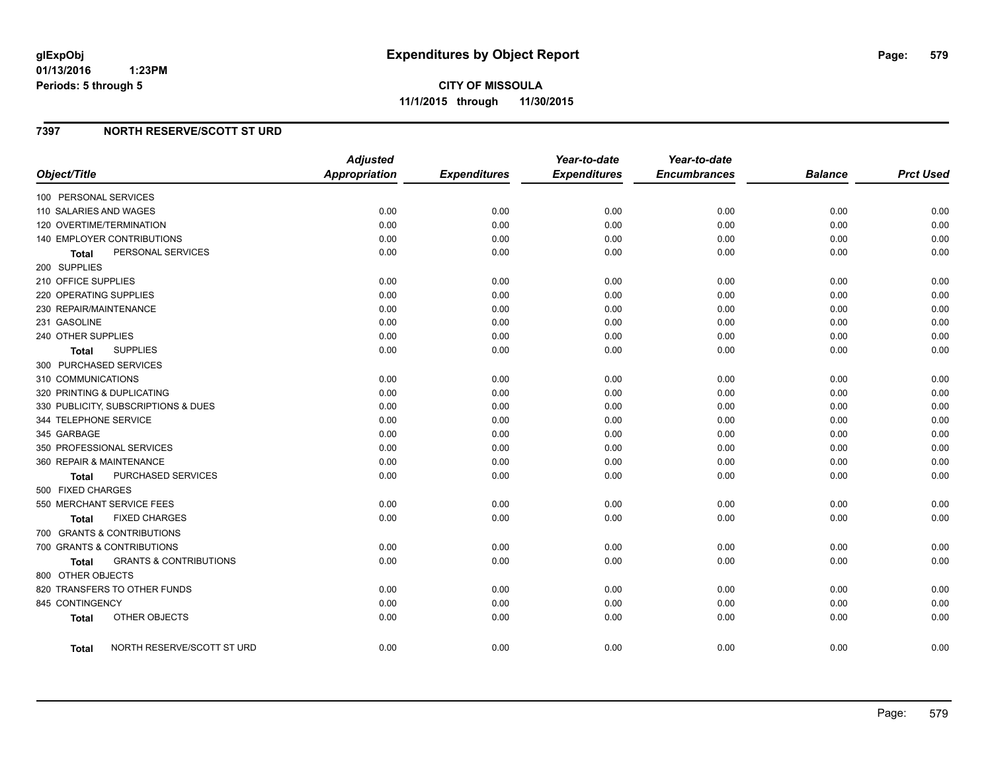## **7397 NORTH RESERVE/SCOTT ST URD**

| Object/Title                        |                                   | <b>Adjusted</b><br>Appropriation | <b>Expenditures</b> | Year-to-date<br><b>Expenditures</b> | Year-to-date<br><b>Encumbrances</b> | <b>Balance</b> | <b>Prct Used</b> |
|-------------------------------------|-----------------------------------|----------------------------------|---------------------|-------------------------------------|-------------------------------------|----------------|------------------|
| 100 PERSONAL SERVICES               |                                   |                                  |                     |                                     |                                     |                |                  |
| 110 SALARIES AND WAGES              |                                   | 0.00                             | 0.00                | 0.00                                | 0.00                                | 0.00           | 0.00             |
| 120 OVERTIME/TERMINATION            |                                   | 0.00                             | 0.00                | 0.00                                | 0.00                                | 0.00           | 0.00             |
| 140 EMPLOYER CONTRIBUTIONS          |                                   | 0.00                             | 0.00                | 0.00                                | 0.00                                | 0.00           | 0.00             |
| Total                               | PERSONAL SERVICES                 | 0.00                             | 0.00                | 0.00                                | 0.00                                | 0.00           | 0.00             |
| 200 SUPPLIES                        |                                   |                                  |                     |                                     |                                     |                |                  |
| 210 OFFICE SUPPLIES                 |                                   | 0.00                             | 0.00                | 0.00                                | 0.00                                | 0.00           | 0.00             |
| 220 OPERATING SUPPLIES              |                                   | 0.00                             | 0.00                | 0.00                                | 0.00                                | 0.00           | 0.00             |
| 230 REPAIR/MAINTENANCE              |                                   | 0.00                             | 0.00                | 0.00                                | 0.00                                | 0.00           | 0.00             |
| 231 GASOLINE                        |                                   | 0.00                             | 0.00                | 0.00                                | 0.00                                | 0.00           | 0.00             |
| 240 OTHER SUPPLIES                  |                                   | 0.00                             | 0.00                | 0.00                                | 0.00                                | 0.00           | 0.00             |
| <b>Total</b>                        | <b>SUPPLIES</b>                   | 0.00                             | 0.00                | 0.00                                | 0.00                                | 0.00           | 0.00             |
| 300 PURCHASED SERVICES              |                                   |                                  |                     |                                     |                                     |                |                  |
| 310 COMMUNICATIONS                  |                                   | 0.00                             | 0.00                | 0.00                                | 0.00                                | 0.00           | 0.00             |
| 320 PRINTING & DUPLICATING          |                                   | 0.00                             | 0.00                | 0.00                                | 0.00                                | 0.00           | 0.00             |
| 330 PUBLICITY, SUBSCRIPTIONS & DUES |                                   | 0.00                             | 0.00                | 0.00                                | 0.00                                | 0.00           | 0.00             |
| 344 TELEPHONE SERVICE               |                                   | 0.00                             | 0.00                | 0.00                                | 0.00                                | 0.00           | 0.00             |
| 345 GARBAGE                         |                                   | 0.00                             | 0.00                | 0.00                                | 0.00                                | 0.00           | 0.00             |
| 350 PROFESSIONAL SERVICES           |                                   | 0.00                             | 0.00                | 0.00                                | 0.00                                | 0.00           | 0.00             |
| 360 REPAIR & MAINTENANCE            |                                   | 0.00                             | 0.00                | 0.00                                | 0.00                                | 0.00           | 0.00             |
| Total                               | PURCHASED SERVICES                | 0.00                             | 0.00                | 0.00                                | 0.00                                | 0.00           | 0.00             |
| 500 FIXED CHARGES                   |                                   |                                  |                     |                                     |                                     |                |                  |
| 550 MERCHANT SERVICE FEES           |                                   | 0.00                             | 0.00                | 0.00                                | 0.00                                | 0.00           | 0.00             |
| Total                               | <b>FIXED CHARGES</b>              | 0.00                             | 0.00                | 0.00                                | 0.00                                | 0.00           | 0.00             |
| 700 GRANTS & CONTRIBUTIONS          |                                   |                                  |                     |                                     |                                     |                |                  |
| 700 GRANTS & CONTRIBUTIONS          |                                   | 0.00                             | 0.00                | 0.00                                | 0.00                                | 0.00           | 0.00             |
| Total                               | <b>GRANTS &amp; CONTRIBUTIONS</b> | 0.00                             | 0.00                | 0.00                                | 0.00                                | 0.00           | 0.00             |
| 800 OTHER OBJECTS                   |                                   |                                  |                     |                                     |                                     |                |                  |
| 820 TRANSFERS TO OTHER FUNDS        |                                   | 0.00                             | 0.00                | 0.00                                | 0.00                                | 0.00           | 0.00             |
| 845 CONTINGENCY                     |                                   | 0.00                             | 0.00                | 0.00                                | 0.00                                | 0.00           | 0.00             |
| <b>Total</b>                        | OTHER OBJECTS                     | 0.00                             | 0.00                | 0.00                                | 0.00                                | 0.00           | 0.00             |
|                                     |                                   |                                  |                     |                                     |                                     |                |                  |
| Total                               | NORTH RESERVE/SCOTT ST URD        | 0.00                             | 0.00                | 0.00                                | 0.00                                | 0.00           | 0.00             |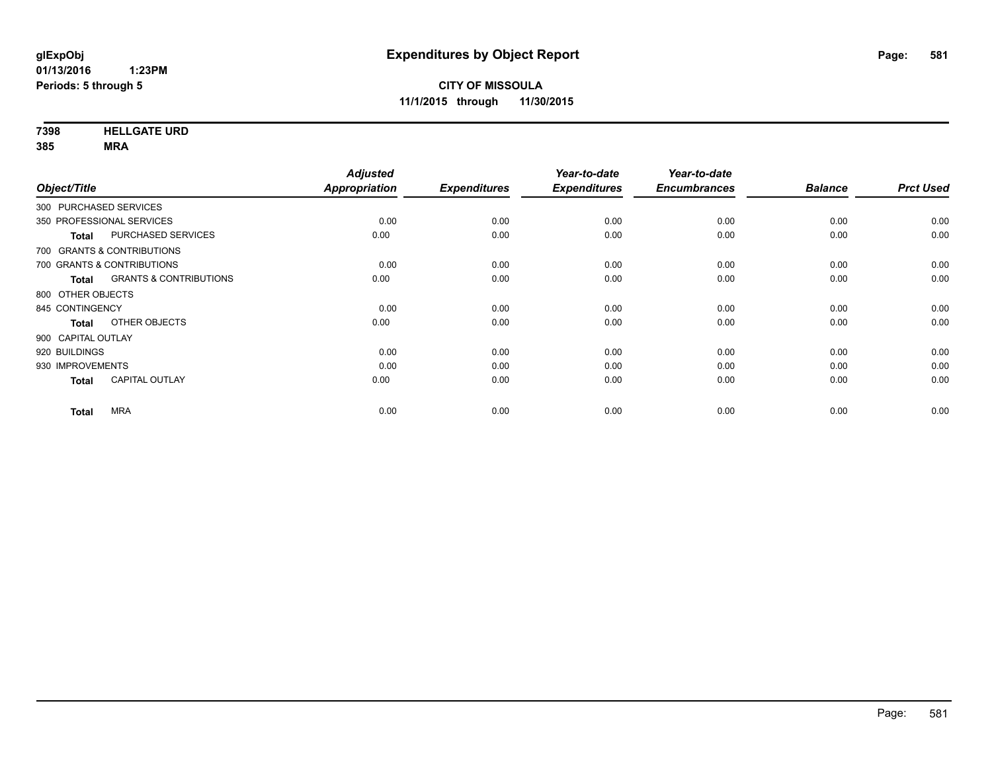**7398 HELLGATE URD**

**385 MRA**

| Object/Title           |                                   | <b>Adjusted</b><br>Appropriation | <b>Expenditures</b> | Year-to-date<br><b>Expenditures</b> | Year-to-date<br><b>Encumbrances</b> | <b>Balance</b> | <b>Prct Used</b> |
|------------------------|-----------------------------------|----------------------------------|---------------------|-------------------------------------|-------------------------------------|----------------|------------------|
| 300 PURCHASED SERVICES |                                   |                                  |                     |                                     |                                     |                |                  |
|                        |                                   |                                  |                     |                                     |                                     |                |                  |
|                        | 350 PROFESSIONAL SERVICES         | 0.00                             | 0.00                | 0.00                                | 0.00                                | 0.00           | 0.00             |
| <b>Total</b>           | PURCHASED SERVICES                | 0.00                             | 0.00                | 0.00                                | 0.00                                | 0.00           | 0.00             |
|                        | 700 GRANTS & CONTRIBUTIONS        |                                  |                     |                                     |                                     |                |                  |
|                        | 700 GRANTS & CONTRIBUTIONS        | 0.00                             | 0.00                | 0.00                                | 0.00                                | 0.00           | 0.00             |
| <b>Total</b>           | <b>GRANTS &amp; CONTRIBUTIONS</b> | 0.00                             | 0.00                | 0.00                                | 0.00                                | 0.00           | 0.00             |
| 800 OTHER OBJECTS      |                                   |                                  |                     |                                     |                                     |                |                  |
| 845 CONTINGENCY        |                                   | 0.00                             | 0.00                | 0.00                                | 0.00                                | 0.00           | 0.00             |
| <b>Total</b>           | OTHER OBJECTS                     | 0.00                             | 0.00                | 0.00                                | 0.00                                | 0.00           | 0.00             |
| 900 CAPITAL OUTLAY     |                                   |                                  |                     |                                     |                                     |                |                  |
| 920 BUILDINGS          |                                   | 0.00                             | 0.00                | 0.00                                | 0.00                                | 0.00           | 0.00             |
| 930 IMPROVEMENTS       |                                   | 0.00                             | 0.00                | 0.00                                | 0.00                                | 0.00           | 0.00             |
| <b>Total</b>           | CAPITAL OUTLAY                    | 0.00                             | 0.00                | 0.00                                | 0.00                                | 0.00           | 0.00             |
| <b>Total</b>           | <b>MRA</b>                        | 0.00                             | 0.00                | 0.00                                | 0.00                                | 0.00           | 0.00             |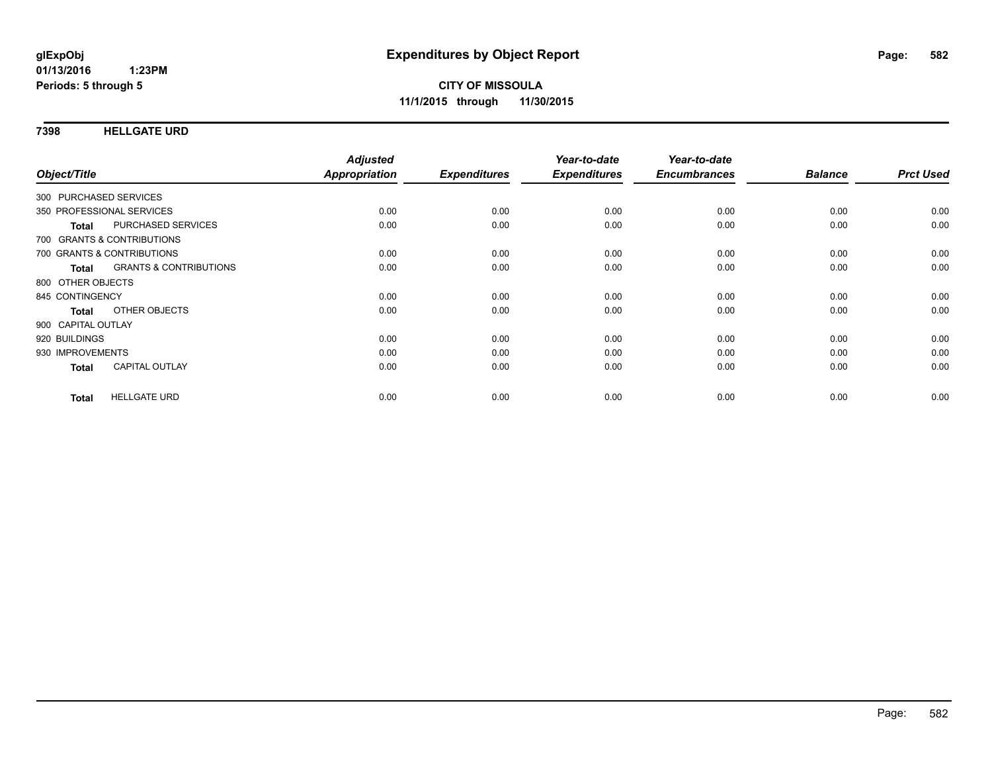**7398 HELLGATE URD**

|                        |                                   | <b>Adjusted</b><br>Appropriation |                     | Year-to-date        | Year-to-date<br><b>Encumbrances</b> | <b>Balance</b> | <b>Prct Used</b> |
|------------------------|-----------------------------------|----------------------------------|---------------------|---------------------|-------------------------------------|----------------|------------------|
| Object/Title           |                                   |                                  | <b>Expenditures</b> | <b>Expenditures</b> |                                     |                |                  |
| 300 PURCHASED SERVICES |                                   |                                  |                     |                     |                                     |                |                  |
|                        | 350 PROFESSIONAL SERVICES         | 0.00                             | 0.00                | 0.00                | 0.00                                | 0.00           | 0.00             |
| Total                  | <b>PURCHASED SERVICES</b>         | 0.00                             | 0.00                | 0.00                | 0.00                                | 0.00           | 0.00             |
|                        | 700 GRANTS & CONTRIBUTIONS        |                                  |                     |                     |                                     |                |                  |
|                        | 700 GRANTS & CONTRIBUTIONS        | 0.00                             | 0.00                | 0.00                | 0.00                                | 0.00           | 0.00             |
| Total                  | <b>GRANTS &amp; CONTRIBUTIONS</b> | 0.00                             | 0.00                | 0.00                | 0.00                                | 0.00           | 0.00             |
| 800 OTHER OBJECTS      |                                   |                                  |                     |                     |                                     |                |                  |
| 845 CONTINGENCY        |                                   | 0.00                             | 0.00                | 0.00                | 0.00                                | 0.00           | 0.00             |
| <b>Total</b>           | OTHER OBJECTS                     | 0.00                             | 0.00                | 0.00                | 0.00                                | 0.00           | 0.00             |
| 900 CAPITAL OUTLAY     |                                   |                                  |                     |                     |                                     |                |                  |
| 920 BUILDINGS          |                                   | 0.00                             | 0.00                | 0.00                | 0.00                                | 0.00           | 0.00             |
| 930 IMPROVEMENTS       |                                   | 0.00                             | 0.00                | 0.00                | 0.00                                | 0.00           | 0.00             |
| Total                  | <b>CAPITAL OUTLAY</b>             | 0.00                             | 0.00                | 0.00                | 0.00                                | 0.00           | 0.00             |
|                        |                                   |                                  |                     |                     |                                     |                |                  |
| <b>Total</b>           | <b>HELLGATE URD</b>               | 0.00                             | 0.00                | 0.00                | 0.00                                | 0.00           | 0.00             |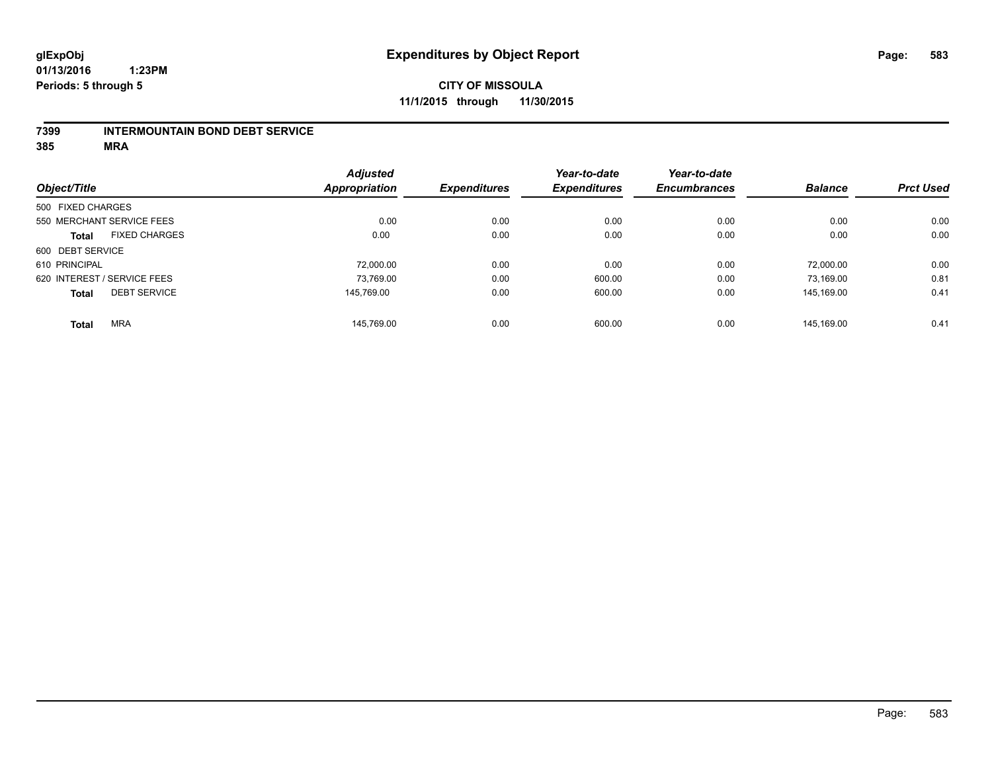# **CITY OF MISSOULA 11/1/2015 through 11/30/2015**

#### **7399 INTERMOUNTAIN BOND DEBT SERVICE**

**385 MRA**

|                   |                             | <b>Adjusted</b>      |                     | Year-to-date        | Year-to-date        |                |                  |
|-------------------|-----------------------------|----------------------|---------------------|---------------------|---------------------|----------------|------------------|
| Object/Title      |                             | <b>Appropriation</b> | <b>Expenditures</b> | <b>Expenditures</b> | <b>Encumbrances</b> | <b>Balance</b> | <b>Prct Used</b> |
| 500 FIXED CHARGES |                             |                      |                     |                     |                     |                |                  |
|                   | 550 MERCHANT SERVICE FEES   | 0.00                 | 0.00                | 0.00                | 0.00                | 0.00           | 0.00             |
| <b>Total</b>      | <b>FIXED CHARGES</b>        | 0.00                 | 0.00                | 0.00                | 0.00                | 0.00           | 0.00             |
| 600 DEBT SERVICE  |                             |                      |                     |                     |                     |                |                  |
| 610 PRINCIPAL     |                             | 72.000.00            | 0.00                | 0.00                | 0.00                | 72.000.00      | 0.00             |
|                   | 620 INTEREST / SERVICE FEES | 73,769.00            | 0.00                | 600.00              | 0.00                | 73,169.00      | 0.81             |
| <b>Total</b>      | <b>DEBT SERVICE</b>         | 145.769.00           | 0.00                | 600.00              | 0.00                | 145.169.00     | 0.41             |
| <b>Total</b>      | <b>MRA</b>                  | 145.769.00           | 0.00                | 600.00              | 0.00                | 145.169.00     | 0.41             |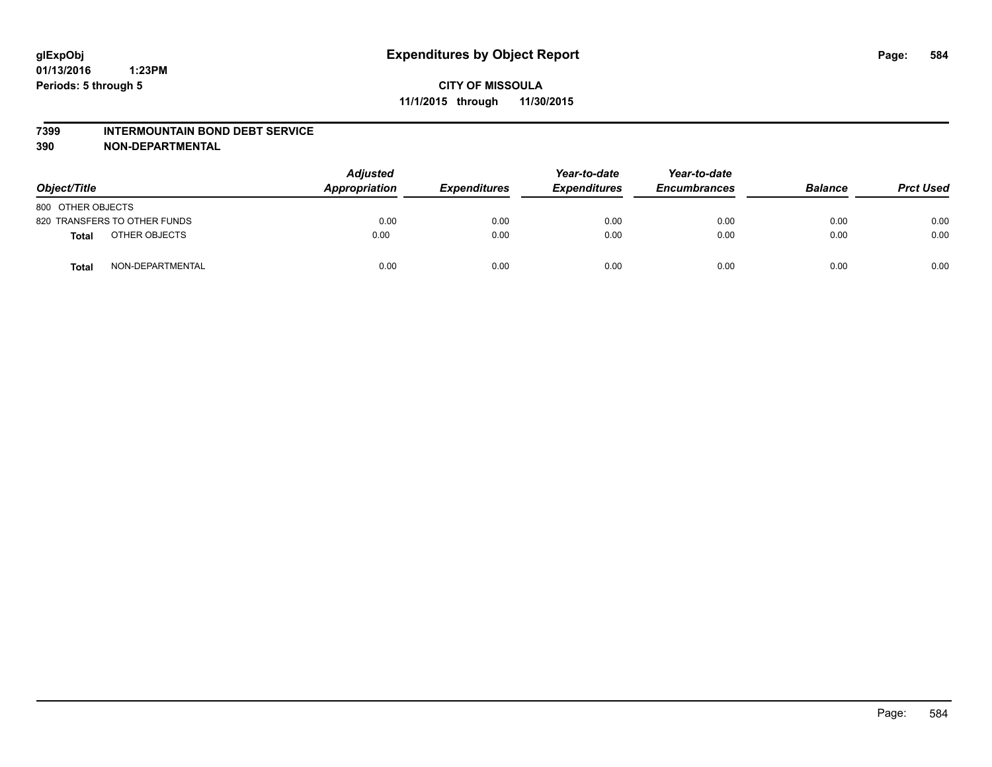#### **7399 INTERMOUNTAIN BOND DEBT SERVICE**

**390 NON-DEPARTMENTAL**

| Object/Title                     | <b>Adjusted</b><br>Appropriation |      | <b>Expenditures</b> | Year-to-date<br><b>Expenditures</b> | Year-to-date<br><b>Encumbrances</b> | <b>Balance</b> | <b>Prct Used</b> |
|----------------------------------|----------------------------------|------|---------------------|-------------------------------------|-------------------------------------|----------------|------------------|
| 800 OTHER OBJECTS                |                                  |      |                     |                                     |                                     |                |                  |
| 820 TRANSFERS TO OTHER FUNDS     |                                  | 0.00 | 0.00                | 0.00                                | 0.00                                | 0.00           | 0.00             |
| OTHER OBJECTS<br><b>Total</b>    |                                  | 0.00 | 0.00                | 0.00                                | 0.00                                | 0.00           | 0.00             |
| NON-DEPARTMENTAL<br><b>Total</b> |                                  | 0.00 | 0.00                | 0.00                                | 0.00                                | 0.00           | 0.00             |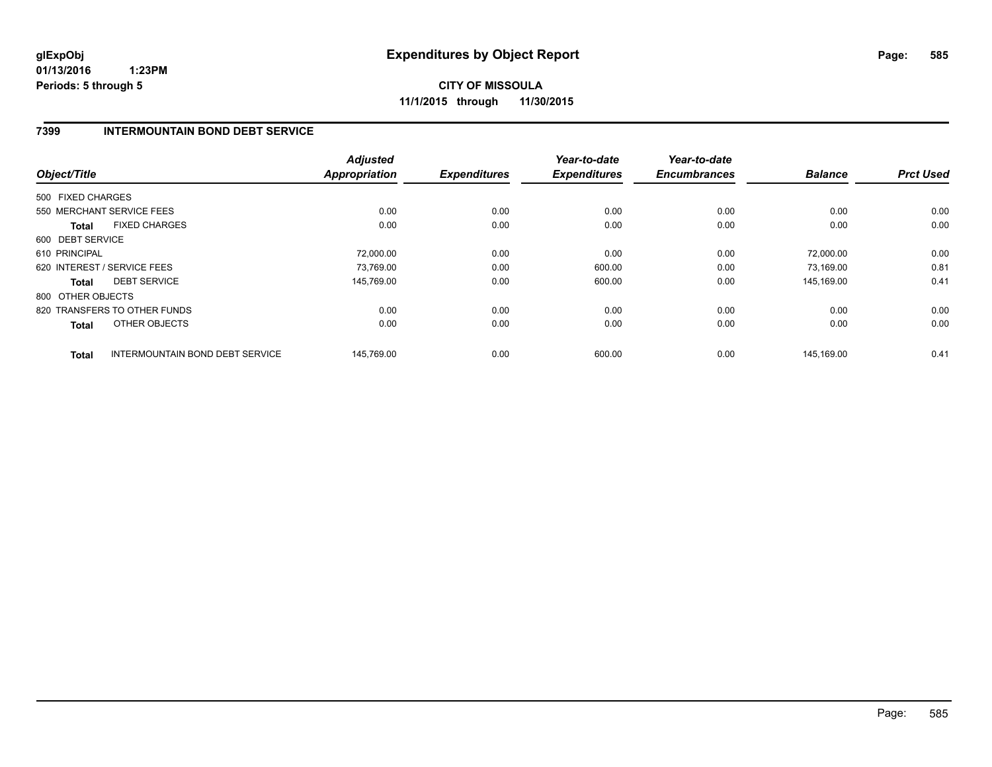**CITY OF MISSOULA 11/1/2015 through 11/30/2015**

### **7399 INTERMOUNTAIN BOND DEBT SERVICE**

| Object/Title                 |                                 | <b>Adjusted</b><br><b>Appropriation</b> | <b>Expenditures</b> | Year-to-date<br><b>Expenditures</b> | Year-to-date<br><b>Encumbrances</b> | <b>Balance</b> | <b>Prct Used</b> |
|------------------------------|---------------------------------|-----------------------------------------|---------------------|-------------------------------------|-------------------------------------|----------------|------------------|
| 500 FIXED CHARGES            |                                 |                                         |                     |                                     |                                     |                |                  |
| 550 MERCHANT SERVICE FEES    |                                 | 0.00                                    | 0.00                | 0.00                                | 0.00                                | 0.00           | 0.00             |
| <b>Total</b>                 | <b>FIXED CHARGES</b>            | 0.00                                    | 0.00                | 0.00                                | 0.00                                | 0.00           | 0.00             |
| 600 DEBT SERVICE             |                                 |                                         |                     |                                     |                                     |                |                  |
| 610 PRINCIPAL                |                                 | 72,000.00                               | 0.00                | 0.00                                | 0.00                                | 72,000.00      | 0.00             |
| 620 INTEREST / SERVICE FEES  |                                 | 73,769.00                               | 0.00                | 600.00                              | 0.00                                | 73,169.00      | 0.81             |
| Total                        | <b>DEBT SERVICE</b>             | 145.769.00                              | 0.00                | 600.00                              | 0.00                                | 145.169.00     | 0.41             |
| 800 OTHER OBJECTS            |                                 |                                         |                     |                                     |                                     |                |                  |
| 820 TRANSFERS TO OTHER FUNDS |                                 | 0.00                                    | 0.00                | 0.00                                | 0.00                                | 0.00           | 0.00             |
| Total                        | OTHER OBJECTS                   | 0.00                                    | 0.00                | 0.00                                | 0.00                                | 0.00           | 0.00             |
| <b>Total</b>                 | INTERMOUNTAIN BOND DEBT SERVICE | 145,769.00                              | 0.00                | 600.00                              | 0.00                                | 145,169.00     | 0.41             |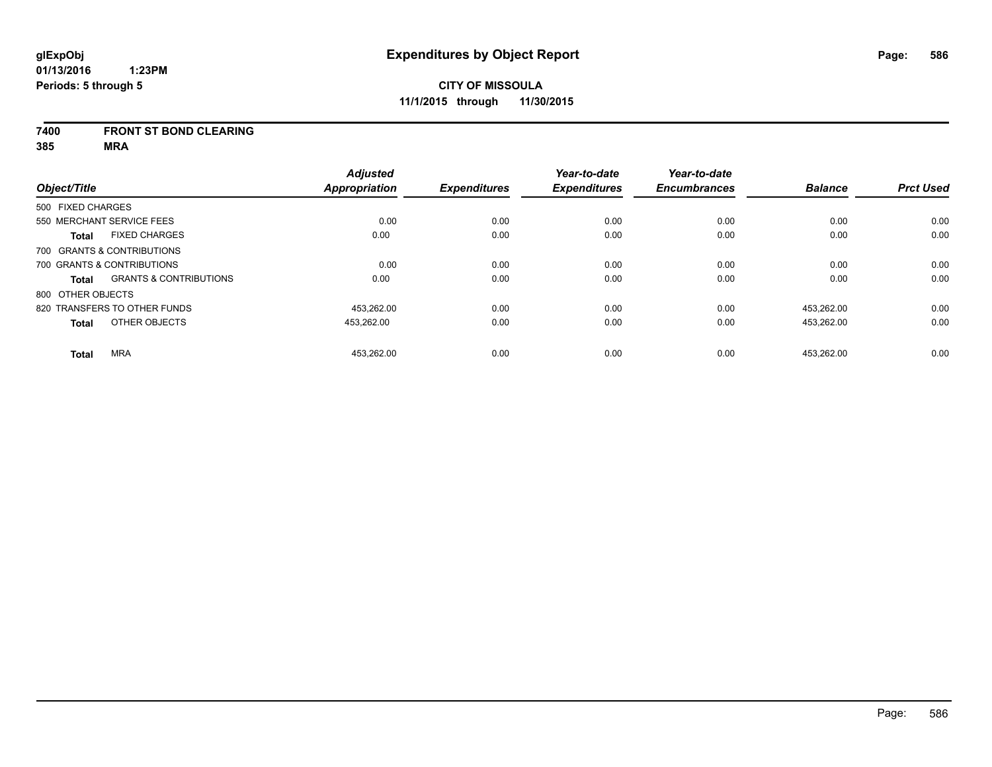#### **7400 FRONT ST BOND CLEARING**

**385 MRA**

|                   |                                   | <b>Adjusted</b>      |                     | Year-to-date        | Year-to-date        |                |                  |
|-------------------|-----------------------------------|----------------------|---------------------|---------------------|---------------------|----------------|------------------|
| Object/Title      |                                   | <b>Appropriation</b> | <b>Expenditures</b> | <b>Expenditures</b> | <b>Encumbrances</b> | <b>Balance</b> | <b>Prct Used</b> |
| 500 FIXED CHARGES |                                   |                      |                     |                     |                     |                |                  |
|                   | 550 MERCHANT SERVICE FEES         | 0.00                 | 0.00                | 0.00                | 0.00                | 0.00           | 0.00             |
| <b>Total</b>      | <b>FIXED CHARGES</b>              | 0.00                 | 0.00                | 0.00                | 0.00                | 0.00           | 0.00             |
|                   | 700 GRANTS & CONTRIBUTIONS        |                      |                     |                     |                     |                |                  |
|                   | 700 GRANTS & CONTRIBUTIONS        | 0.00                 | 0.00                | 0.00                | 0.00                | 0.00           | 0.00             |
| Total             | <b>GRANTS &amp; CONTRIBUTIONS</b> | 0.00                 | 0.00                | 0.00                | 0.00                | 0.00           | 0.00             |
| 800 OTHER OBJECTS |                                   |                      |                     |                     |                     |                |                  |
|                   | 820 TRANSFERS TO OTHER FUNDS      | 453.262.00           | 0.00                | 0.00                | 0.00                | 453.262.00     | 0.00             |
| <b>Total</b>      | OTHER OBJECTS                     | 453,262.00           | 0.00                | 0.00                | 0.00                | 453,262.00     | 0.00             |
| <b>Total</b>      | <b>MRA</b>                        | 453.262.00           | 0.00                | 0.00                | 0.00                | 453.262.00     | 0.00             |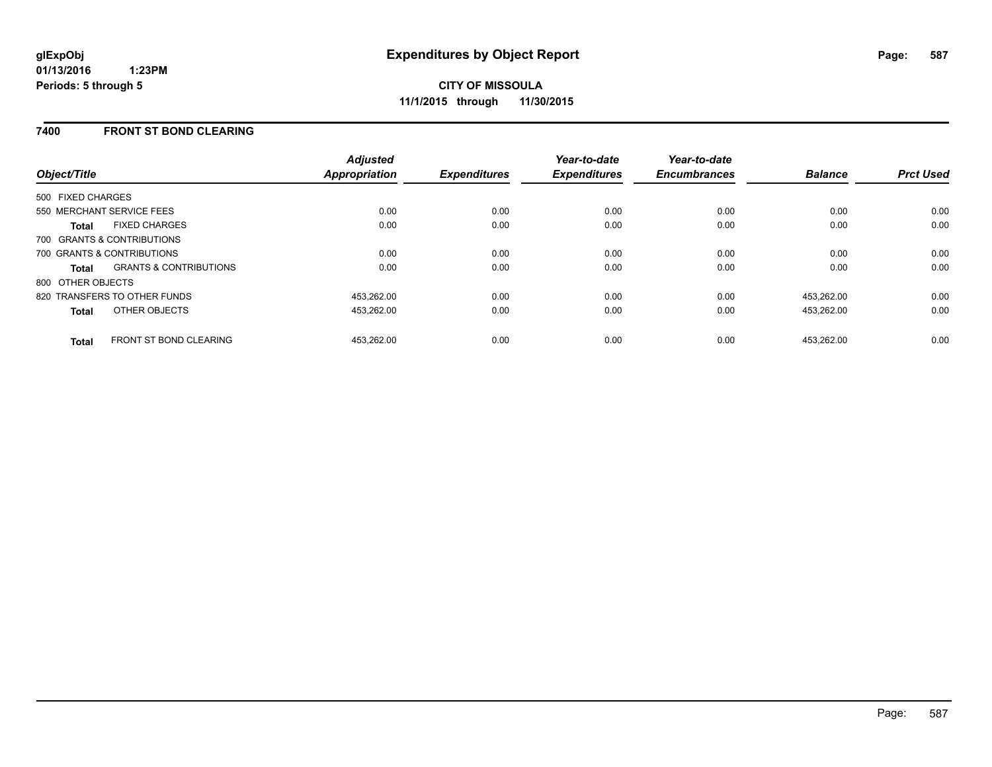### **7400 FRONT ST BOND CLEARING**

| Object/Title                 |                                   | <b>Adjusted</b><br><b>Appropriation</b> | <b>Expenditures</b> | Year-to-date<br><b>Expenditures</b> | Year-to-date<br><b>Encumbrances</b> | <b>Balance</b> | <b>Prct Used</b> |
|------------------------------|-----------------------------------|-----------------------------------------|---------------------|-------------------------------------|-------------------------------------|----------------|------------------|
| 500 FIXED CHARGES            |                                   |                                         |                     |                                     |                                     |                |                  |
| 550 MERCHANT SERVICE FEES    |                                   | 0.00                                    | 0.00                | 0.00                                | 0.00                                | 0.00           | 0.00             |
| <b>Total</b>                 | <b>FIXED CHARGES</b>              | 0.00                                    | 0.00                | 0.00                                | 0.00                                | 0.00           | 0.00             |
| 700 GRANTS & CONTRIBUTIONS   |                                   |                                         |                     |                                     |                                     |                |                  |
| 700 GRANTS & CONTRIBUTIONS   |                                   | 0.00                                    | 0.00                | 0.00                                | 0.00                                | 0.00           | 0.00             |
| <b>Total</b>                 | <b>GRANTS &amp; CONTRIBUTIONS</b> | 0.00                                    | 0.00                | 0.00                                | 0.00                                | 0.00           | 0.00             |
| 800 OTHER OBJECTS            |                                   |                                         |                     |                                     |                                     |                |                  |
| 820 TRANSFERS TO OTHER FUNDS |                                   | 453,262.00                              | 0.00                | 0.00                                | 0.00                                | 453.262.00     | 0.00             |
| <b>Total</b>                 | OTHER OBJECTS                     | 453,262.00                              | 0.00                | 0.00                                | 0.00                                | 453,262.00     | 0.00             |
| <b>Total</b>                 | <b>FRONT ST BOND CLEARING</b>     | 453.262.00                              | 0.00                | 0.00                                | 0.00                                | 453.262.00     | 0.00             |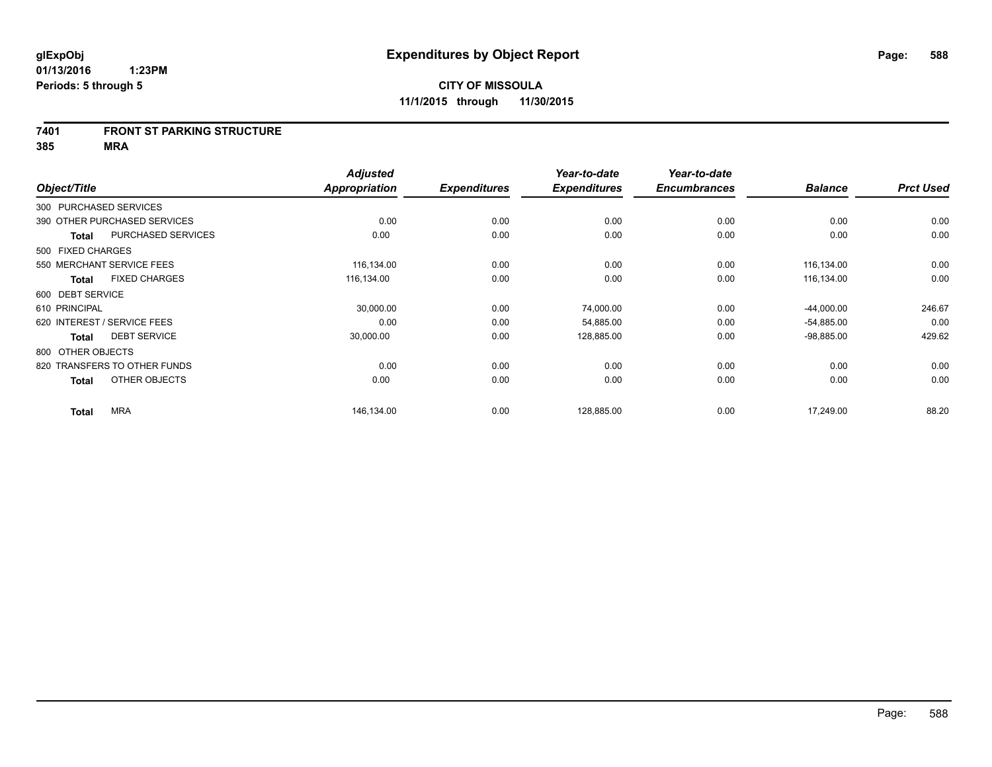#### **7401 FRONT ST PARKING STRUCTURE**

**385 MRA**

| Object/Title                |                              | <b>Adjusted</b><br><b>Appropriation</b> | <b>Expenditures</b> | Year-to-date<br><b>Expenditures</b> | Year-to-date<br><b>Encumbrances</b> | <b>Balance</b> | <b>Prct Used</b> |
|-----------------------------|------------------------------|-----------------------------------------|---------------------|-------------------------------------|-------------------------------------|----------------|------------------|
| 300 PURCHASED SERVICES      |                              |                                         |                     |                                     |                                     |                |                  |
|                             | 390 OTHER PURCHASED SERVICES | 0.00                                    | 0.00                | 0.00                                | 0.00                                | 0.00           | 0.00             |
| <b>Total</b>                | PURCHASED SERVICES           | 0.00                                    | 0.00                | 0.00                                | 0.00                                | 0.00           | 0.00             |
| 500 FIXED CHARGES           |                              |                                         |                     |                                     |                                     |                |                  |
| 550 MERCHANT SERVICE FEES   |                              | 116,134.00                              | 0.00                | 0.00                                | 0.00                                | 116,134.00     | 0.00             |
| <b>Total</b>                | <b>FIXED CHARGES</b>         | 116,134.00                              | 0.00                | 0.00                                | 0.00                                | 116,134.00     | 0.00             |
| 600 DEBT SERVICE            |                              |                                         |                     |                                     |                                     |                |                  |
| 610 PRINCIPAL               |                              | 30,000.00                               | 0.00                | 74,000.00                           | 0.00                                | $-44,000.00$   | 246.67           |
| 620 INTEREST / SERVICE FEES |                              | 0.00                                    | 0.00                | 54,885.00                           | 0.00                                | $-54,885.00$   | 0.00             |
| <b>Total</b>                | <b>DEBT SERVICE</b>          | 30,000.00                               | 0.00                | 128,885.00                          | 0.00                                | $-98,885.00$   | 429.62           |
| 800 OTHER OBJECTS           |                              |                                         |                     |                                     |                                     |                |                  |
|                             | 820 TRANSFERS TO OTHER FUNDS | 0.00                                    | 0.00                | 0.00                                | 0.00                                | 0.00           | 0.00             |
| <b>Total</b>                | OTHER OBJECTS                | 0.00                                    | 0.00                | 0.00                                | 0.00                                | 0.00           | 0.00             |
| <b>Total</b>                | <b>MRA</b>                   | 146,134.00                              | 0.00                | 128,885.00                          | 0.00                                | 17,249.00      | 88.20            |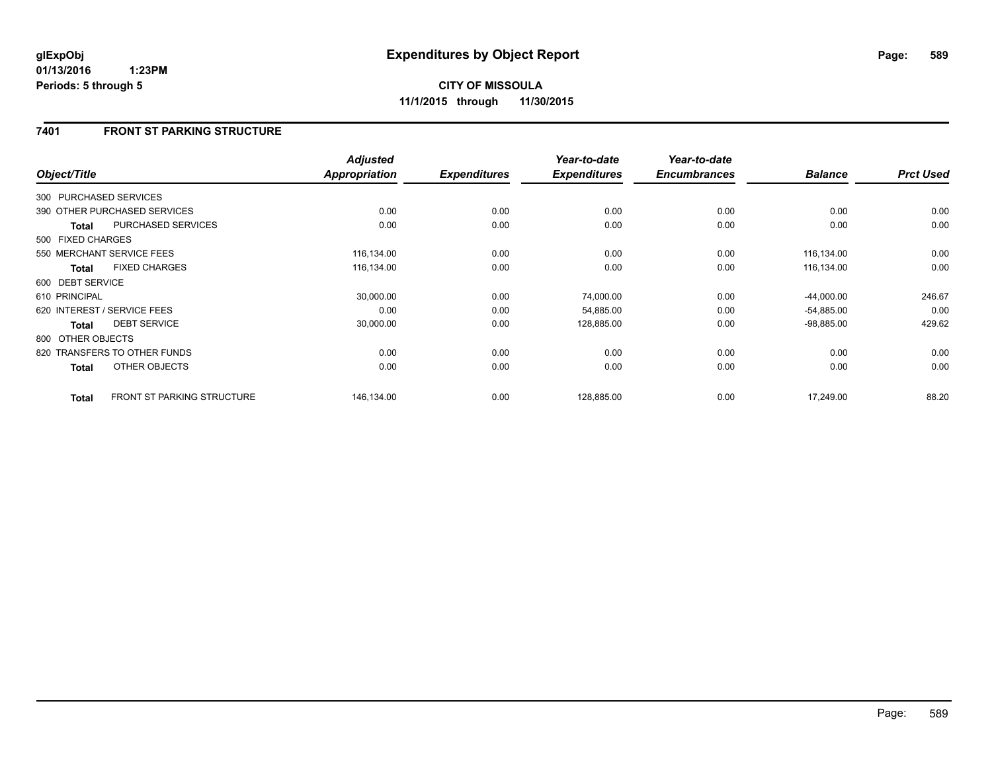# **7401 FRONT ST PARKING STRUCTURE**

| Object/Title           |                                   | <b>Adjusted</b><br>Appropriation | <b>Expenditures</b> | Year-to-date<br><b>Expenditures</b> | Year-to-date<br><b>Encumbrances</b> | <b>Balance</b> | <b>Prct Used</b> |
|------------------------|-----------------------------------|----------------------------------|---------------------|-------------------------------------|-------------------------------------|----------------|------------------|
| 300 PURCHASED SERVICES |                                   |                                  |                     |                                     |                                     |                |                  |
|                        | 390 OTHER PURCHASED SERVICES      | 0.00                             | 0.00                | 0.00                                | 0.00                                | 0.00           | 0.00             |
| <b>Total</b>           | PURCHASED SERVICES                | 0.00                             | 0.00                | 0.00                                | 0.00                                | 0.00           | 0.00             |
| 500 FIXED CHARGES      |                                   |                                  |                     |                                     |                                     |                |                  |
|                        | 550 MERCHANT SERVICE FEES         | 116,134.00                       | 0.00                | 0.00                                | 0.00                                | 116,134.00     | 0.00             |
| <b>Total</b>           | <b>FIXED CHARGES</b>              | 116,134.00                       | 0.00                | 0.00                                | 0.00                                | 116,134.00     | 0.00             |
| 600 DEBT SERVICE       |                                   |                                  |                     |                                     |                                     |                |                  |
| 610 PRINCIPAL          |                                   | 30,000.00                        | 0.00                | 74,000.00                           | 0.00                                | $-44,000.00$   | 246.67           |
|                        | 620 INTEREST / SERVICE FEES       | 0.00                             | 0.00                | 54,885.00                           | 0.00                                | $-54,885.00$   | 0.00             |
| <b>Total</b>           | <b>DEBT SERVICE</b>               | 30,000.00                        | 0.00                | 128,885.00                          | 0.00                                | $-98,885.00$   | 429.62           |
| 800 OTHER OBJECTS      |                                   |                                  |                     |                                     |                                     |                |                  |
|                        | 820 TRANSFERS TO OTHER FUNDS      | 0.00                             | 0.00                | 0.00                                | 0.00                                | 0.00           | 0.00             |
| <b>Total</b>           | OTHER OBJECTS                     | 0.00                             | 0.00                | 0.00                                | 0.00                                | 0.00           | 0.00             |
| <b>Total</b>           | <b>FRONT ST PARKING STRUCTURE</b> | 146,134.00                       | 0.00                | 128,885.00                          | 0.00                                | 17,249.00      | 88.20            |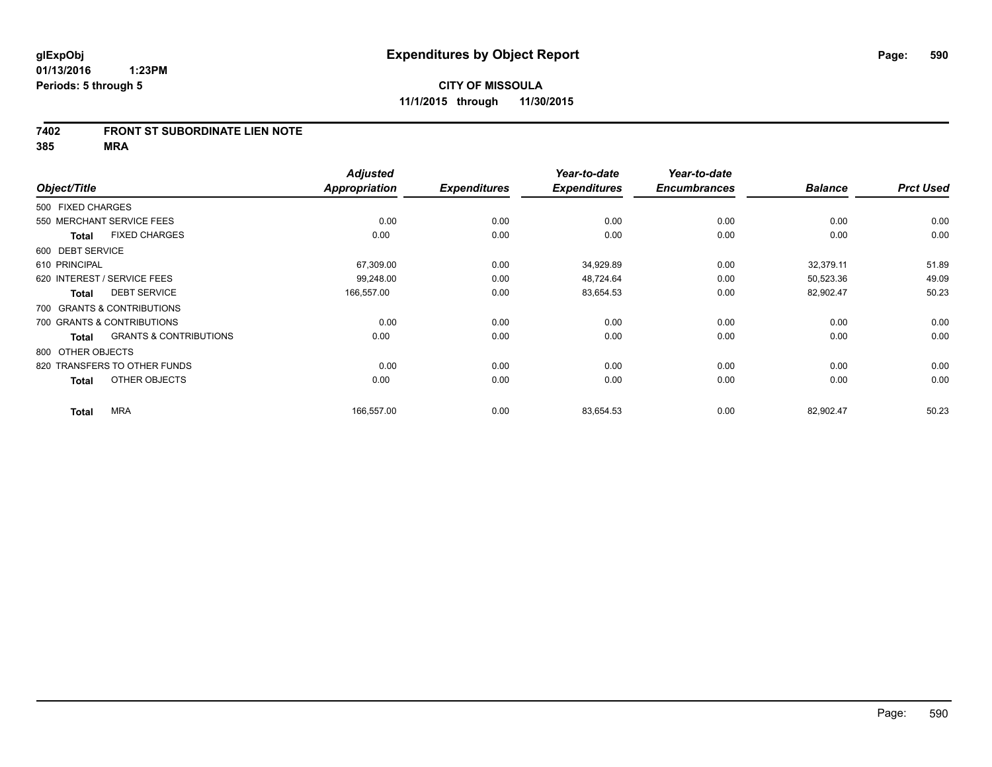#### **7402 FRONT ST SUBORDINATE LIEN NOTE**

**385 MRA**

|                  |                                                   | <b>Adjusted</b>      |                     | Year-to-date        | Year-to-date        |                |                  |
|------------------|---------------------------------------------------|----------------------|---------------------|---------------------|---------------------|----------------|------------------|
| Object/Title     |                                                   | <b>Appropriation</b> | <b>Expenditures</b> | <b>Expenditures</b> | <b>Encumbrances</b> | <b>Balance</b> | <b>Prct Used</b> |
|                  | 500 FIXED CHARGES                                 |                      |                     |                     |                     |                |                  |
|                  | 550 MERCHANT SERVICE FEES                         | 0.00                 | 0.00                | 0.00                | 0.00                | 0.00           | 0.00             |
|                  | <b>FIXED CHARGES</b><br><b>Total</b>              | 0.00                 | 0.00                | 0.00                | 0.00                | 0.00           | 0.00             |
| 600 DEBT SERVICE |                                                   |                      |                     |                     |                     |                |                  |
| 610 PRINCIPAL    |                                                   | 67,309.00            | 0.00                | 34,929.89           | 0.00                | 32,379.11      | 51.89            |
|                  | 620 INTEREST / SERVICE FEES                       | 99,248.00            | 0.00                | 48,724.64           | 0.00                | 50,523.36      | 49.09            |
|                  | <b>DEBT SERVICE</b><br><b>Total</b>               | 166,557.00           | 0.00                | 83,654.53           | 0.00                | 82,902.47      | 50.23            |
|                  | 700 GRANTS & CONTRIBUTIONS                        |                      |                     |                     |                     |                |                  |
|                  | 700 GRANTS & CONTRIBUTIONS                        | 0.00                 | 0.00                | 0.00                | 0.00                | 0.00           | 0.00             |
|                  | <b>GRANTS &amp; CONTRIBUTIONS</b><br><b>Total</b> | 0.00                 | 0.00                | 0.00                | 0.00                | 0.00           | 0.00             |
|                  | 800 OTHER OBJECTS                                 |                      |                     |                     |                     |                |                  |
|                  | 820 TRANSFERS TO OTHER FUNDS                      | 0.00                 | 0.00                | 0.00                | 0.00                | 0.00           | 0.00             |
|                  | OTHER OBJECTS<br><b>Total</b>                     | 0.00                 | 0.00                | 0.00                | 0.00                | 0.00           | 0.00             |
|                  | <b>MRA</b><br><b>Total</b>                        | 166,557.00           | 0.00                | 83,654.53           | 0.00                | 82,902.47      | 50.23            |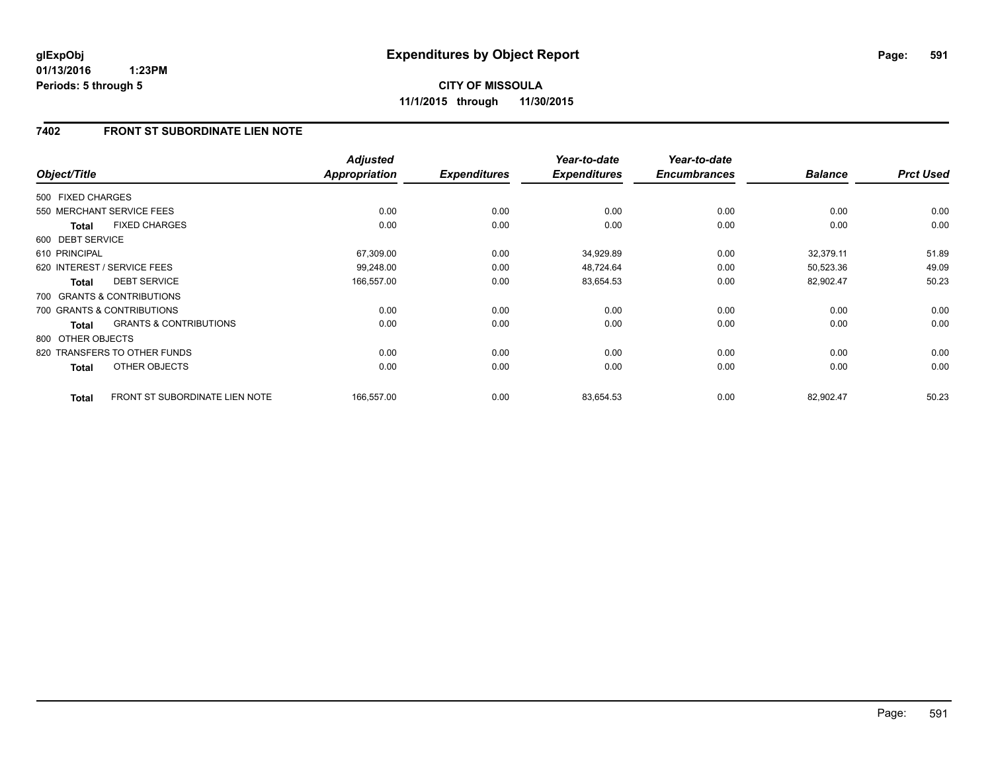# **7402 FRONT ST SUBORDINATE LIEN NOTE**

| Object/Title      |                                       | <b>Adjusted</b><br><b>Appropriation</b> | <b>Expenditures</b> | Year-to-date<br><b>Expenditures</b> | Year-to-date<br><b>Encumbrances</b> | <b>Balance</b> | <b>Prct Used</b> |
|-------------------|---------------------------------------|-----------------------------------------|---------------------|-------------------------------------|-------------------------------------|----------------|------------------|
| 500 FIXED CHARGES |                                       |                                         |                     |                                     |                                     |                |                  |
|                   | 550 MERCHANT SERVICE FEES             | 0.00                                    | 0.00                | 0.00                                | 0.00                                | 0.00           | 0.00             |
| <b>Total</b>      | <b>FIXED CHARGES</b>                  | 0.00                                    | 0.00                | 0.00                                | 0.00                                | 0.00           | 0.00             |
| 600 DEBT SERVICE  |                                       |                                         |                     |                                     |                                     |                |                  |
| 610 PRINCIPAL     |                                       | 67,309.00                               | 0.00                | 34,929.89                           | 0.00                                | 32,379.11      | 51.89            |
|                   | 620 INTEREST / SERVICE FEES           | 99.248.00                               | 0.00                | 48,724.64                           | 0.00                                | 50,523.36      | 49.09            |
| <b>Total</b>      | <b>DEBT SERVICE</b>                   | 166,557.00                              | 0.00                | 83,654.53                           | 0.00                                | 82,902.47      | 50.23            |
|                   | 700 GRANTS & CONTRIBUTIONS            |                                         |                     |                                     |                                     |                |                  |
|                   | 700 GRANTS & CONTRIBUTIONS            | 0.00                                    | 0.00                | 0.00                                | 0.00                                | 0.00           | 0.00             |
| <b>Total</b>      | <b>GRANTS &amp; CONTRIBUTIONS</b>     | 0.00                                    | 0.00                | 0.00                                | 0.00                                | 0.00           | 0.00             |
| 800 OTHER OBJECTS |                                       |                                         |                     |                                     |                                     |                |                  |
|                   | 820 TRANSFERS TO OTHER FUNDS          | 0.00                                    | 0.00                | 0.00                                | 0.00                                | 0.00           | 0.00             |
| <b>Total</b>      | OTHER OBJECTS                         | 0.00                                    | 0.00                | 0.00                                | 0.00                                | 0.00           | 0.00             |
| <b>Total</b>      | <b>FRONT ST SUBORDINATE LIEN NOTE</b> | 166,557.00                              | 0.00                | 83,654.53                           | 0.00                                | 82,902.47      | 50.23            |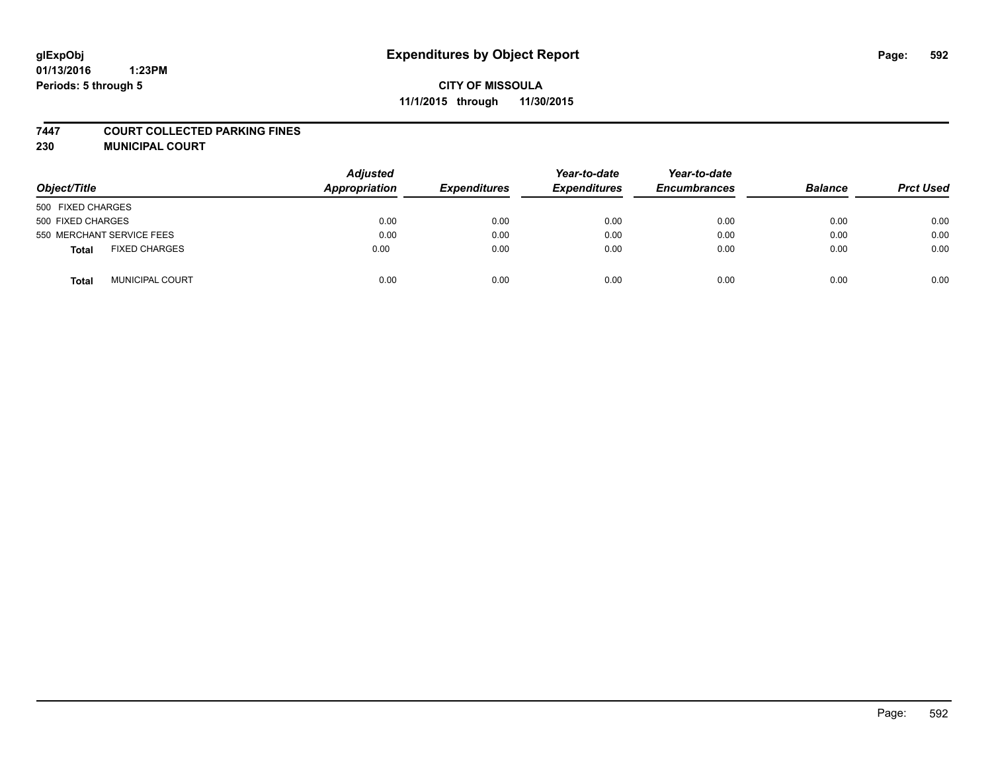# **glExpObj Expenditures by Object Report Page: 592**

# **CITY OF MISSOULA 11/1/2015 through 11/30/2015**

#### **7447 COURT COLLECTED PARKING FINES**

**230 MUNICIPAL COURT**

| Object/Title                         | <b>Adjusted</b><br>Appropriation | <b>Expenditures</b> | Year-to-date<br><b>Expenditures</b> | Year-to-date<br><b>Encumbrances</b> | <b>Balance</b> | <b>Prct Used</b> |
|--------------------------------------|----------------------------------|---------------------|-------------------------------------|-------------------------------------|----------------|------------------|
| 500 FIXED CHARGES                    |                                  |                     |                                     |                                     |                |                  |
| 500 FIXED CHARGES                    | 0.00                             | 0.00                | 0.00                                | 0.00                                | 0.00           | 0.00             |
| 550 MERCHANT SERVICE FEES            | 0.00                             | 0.00                | 0.00                                | 0.00                                | 0.00           | 0.00             |
| <b>FIXED CHARGES</b><br><b>Total</b> | 0.00                             | 0.00                | 0.00                                | 0.00                                | 0.00           | 0.00             |
| <b>MUNICIPAL COURT</b><br>Total      | 0.00                             | 0.00                | 0.00                                | 0.00                                | 0.00           | 0.00             |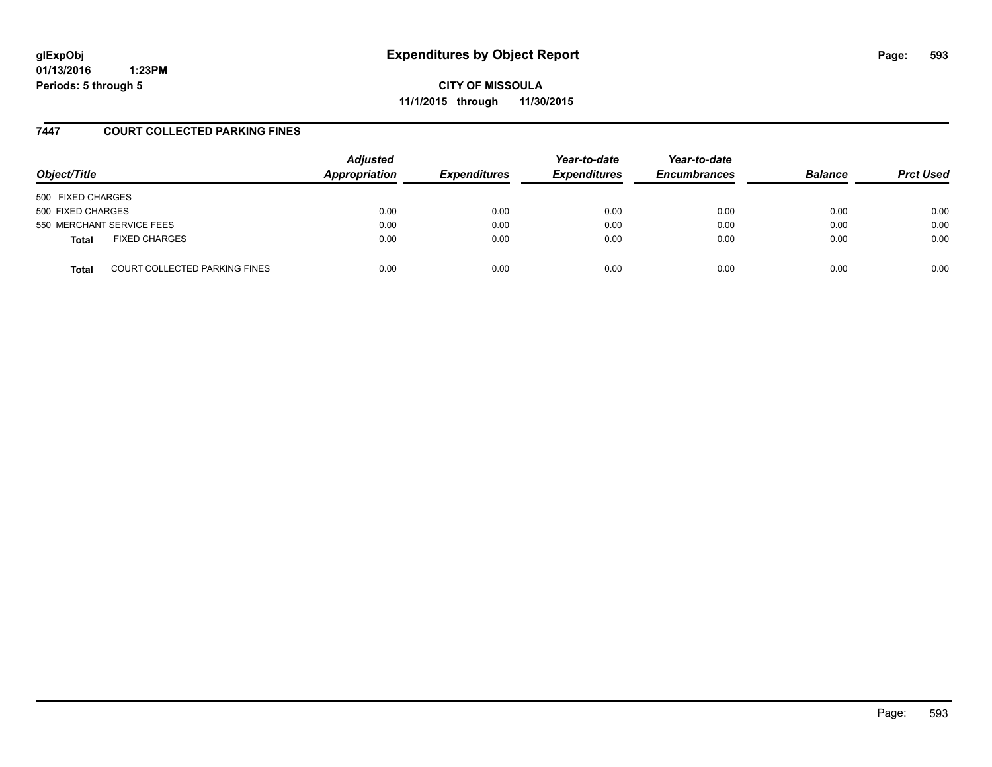# **glExpObj Expenditures by Object Report Page: 593**

**01/13/2016 1:23PM Periods: 5 through 5**

**CITY OF MISSOULA 11/1/2015 through 11/30/2015**

### **7447 COURT COLLECTED PARKING FINES**

| Object/Title      |                               | <b>Adjusted</b><br>Appropriation | <b>Expenditures</b> | Year-to-date<br><b>Expenditures</b> | Year-to-date<br><b>Encumbrances</b> | <b>Balance</b> | <b>Prct Used</b> |
|-------------------|-------------------------------|----------------------------------|---------------------|-------------------------------------|-------------------------------------|----------------|------------------|
| 500 FIXED CHARGES |                               |                                  |                     |                                     |                                     |                |                  |
| 500 FIXED CHARGES |                               | 0.00                             | 0.00                | 0.00                                | 0.00                                | 0.00           | 0.00             |
|                   | 550 MERCHANT SERVICE FEES     | 0.00                             | 0.00                | 0.00                                | 0.00                                | 0.00           | 0.00             |
| <b>Total</b>      | <b>FIXED CHARGES</b>          | 0.00                             | 0.00                | 0.00                                | 0.00                                | 0.00           | 0.00             |
| <b>Total</b>      | COURT COLLECTED PARKING FINES | 0.00                             | 0.00                | 0.00                                | 0.00                                | 0.00           | 0.00             |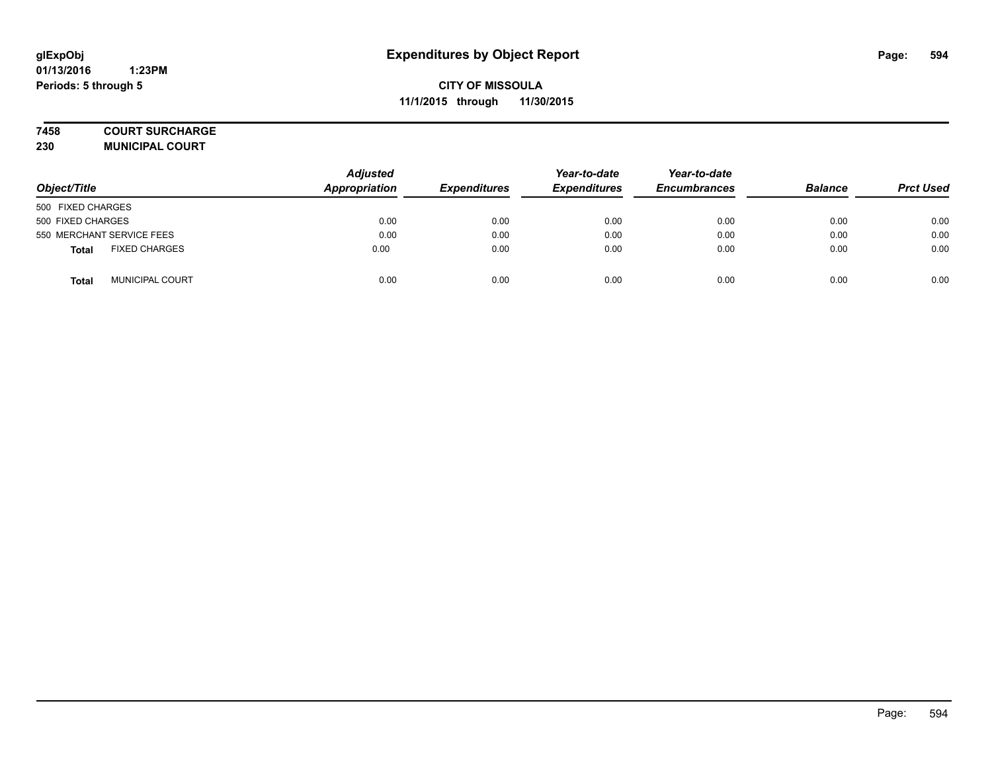#### **7458 COURT SURCHARGE**

**230 MUNICIPAL COURT**

| Object/Title                         | <b>Adjusted</b><br>Appropriation | <b>Expenditures</b> | Year-to-date<br><b>Expenditures</b> | Year-to-date<br><b>Encumbrances</b> | <b>Balance</b> | <b>Prct Used</b> |
|--------------------------------------|----------------------------------|---------------------|-------------------------------------|-------------------------------------|----------------|------------------|
| 500 FIXED CHARGES                    |                                  |                     |                                     |                                     |                |                  |
| 500 FIXED CHARGES                    | 0.00                             | 0.00                | 0.00                                | 0.00                                | 0.00           | 0.00             |
| 550 MERCHANT SERVICE FEES            | 0.00                             | 0.00                | 0.00                                | 0.00                                | 0.00           | 0.00             |
| <b>FIXED CHARGES</b><br><b>Total</b> | 0.00                             | 0.00                | 0.00                                | 0.00                                | 0.00           | 0.00             |
| <b>MUNICIPAL COURT</b><br>Total      | 0.00                             | 0.00                | 0.00                                | 0.00                                | 0.00           | 0.00             |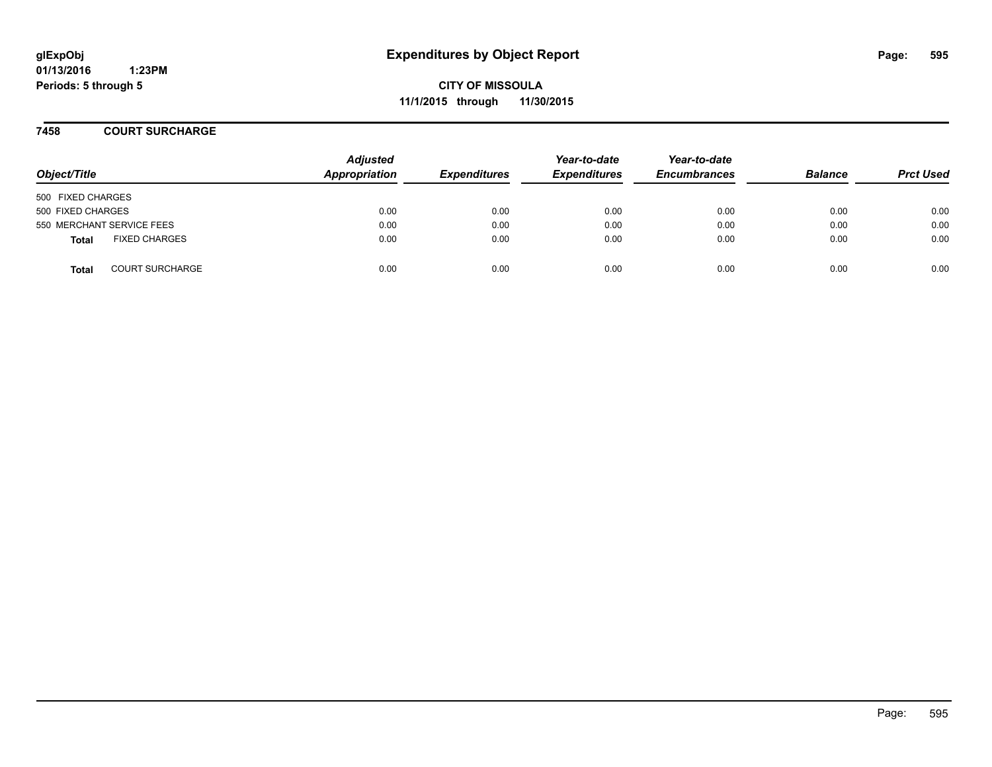**CITY OF MISSOULA 11/1/2015 through 11/30/2015**

**7458 COURT SURCHARGE**

| Object/Title      |                           | <b>Adjusted</b><br>Appropriation | <b>Expenditures</b> | Year-to-date<br><b>Expenditures</b> | Year-to-date<br><b>Encumbrances</b> | <b>Balance</b> | <b>Prct Used</b> |
|-------------------|---------------------------|----------------------------------|---------------------|-------------------------------------|-------------------------------------|----------------|------------------|
| 500 FIXED CHARGES |                           |                                  |                     |                                     |                                     |                |                  |
| 500 FIXED CHARGES |                           | 0.00                             | 0.00                | 0.00                                | 0.00                                | 0.00           | 0.00             |
|                   | 550 MERCHANT SERVICE FEES | 0.00                             | 0.00                | 0.00                                | 0.00                                | 0.00           | 0.00             |
| <b>Total</b>      | <b>FIXED CHARGES</b>      | 0.00                             | 0.00                | 0.00                                | 0.00                                | 0.00           | 0.00             |
| <b>Total</b>      | <b>COURT SURCHARGE</b>    | 0.00                             | 0.00                | 0.00                                | 0.00                                | 0.00           | 0.00             |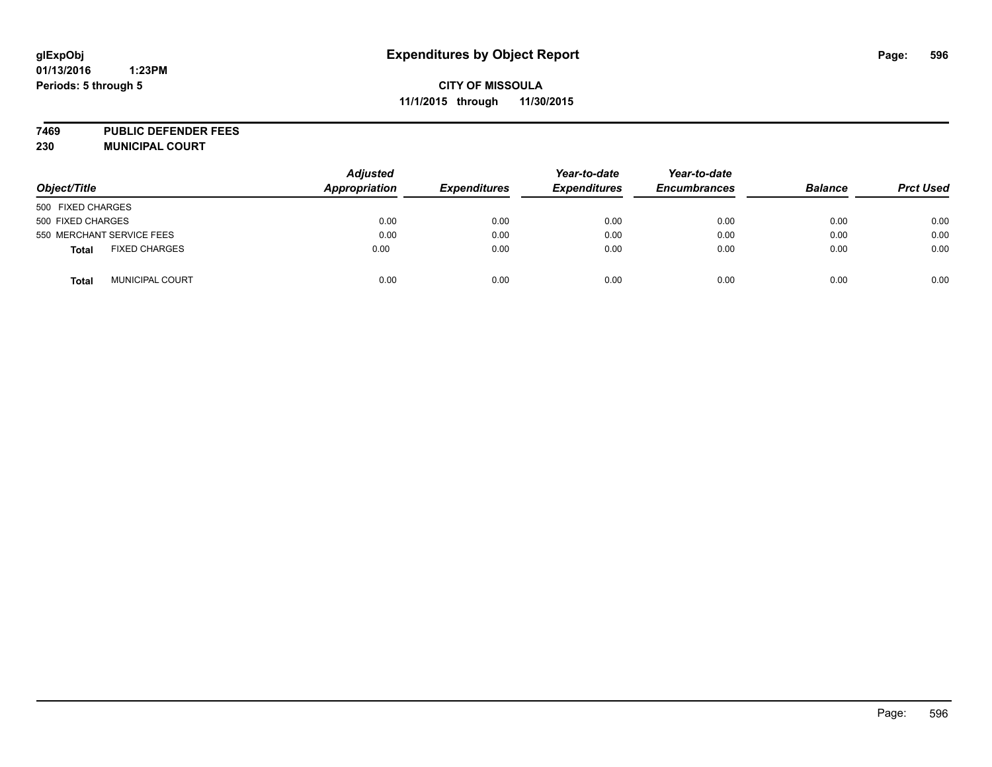# **glExpObj Expenditures by Object Report Page: 596**

# **CITY OF MISSOULA 11/1/2015 through 11/30/2015**

**7469 PUBLIC DEFENDER FEES 230 MUNICIPAL COURT**

| Object/Title      |                           | <b>Adjusted</b><br>Appropriation | <b>Expenditures</b> | Year-to-date<br><b>Expenditures</b> | Year-to-date<br><b>Encumbrances</b> | <b>Balance</b> | <b>Prct Used</b> |
|-------------------|---------------------------|----------------------------------|---------------------|-------------------------------------|-------------------------------------|----------------|------------------|
| 500 FIXED CHARGES |                           |                                  |                     |                                     |                                     |                |                  |
| 500 FIXED CHARGES |                           | 0.00                             | 0.00                | 0.00                                | 0.00                                | 0.00           | 0.00             |
|                   | 550 MERCHANT SERVICE FEES | 0.00                             | 0.00                | 0.00                                | 0.00                                | 0.00           | 0.00             |
| <b>Total</b>      | <b>FIXED CHARGES</b>      | 0.00                             | 0.00                | 0.00                                | 0.00                                | 0.00           | 0.00             |
| <b>Total</b>      | MUNICIPAL COURT           | 0.00                             | 0.00                | 0.00                                | 0.00                                | 0.00           | 0.00             |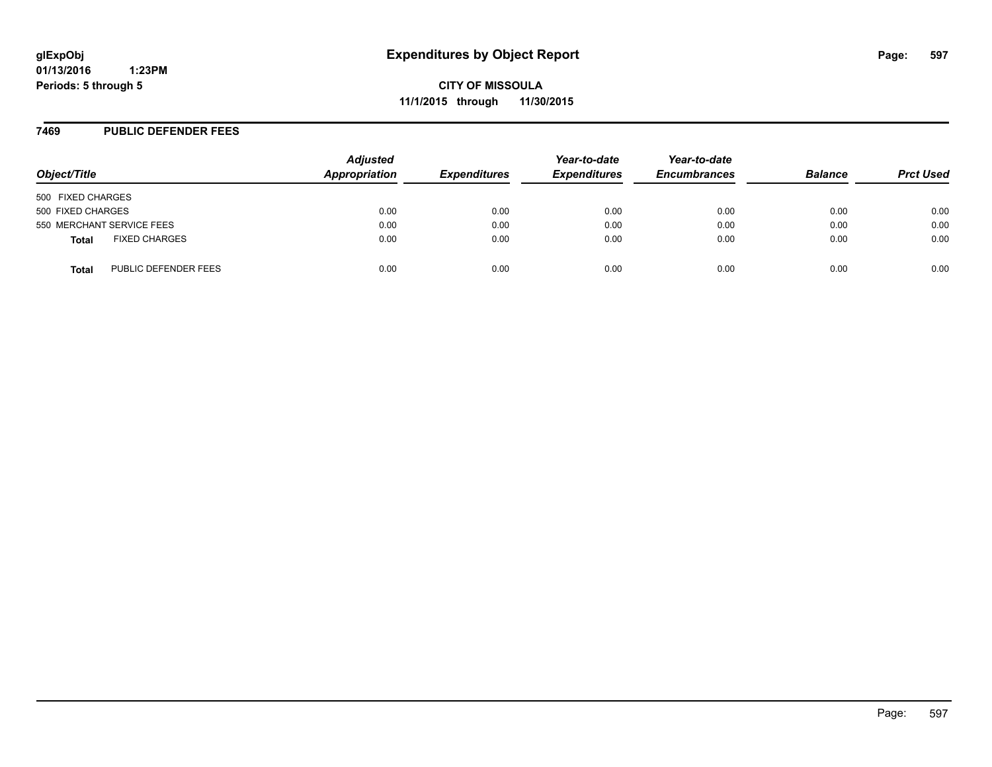#### **7469 PUBLIC DEFENDER FEES**

| Object/Title      |                           | <b>Adjusted</b><br>Appropriation | <b>Expenditures</b> | Year-to-date<br><b>Expenditures</b> | Year-to-date<br><b>Encumbrances</b> | <b>Balance</b> | <b>Prct Used</b> |
|-------------------|---------------------------|----------------------------------|---------------------|-------------------------------------|-------------------------------------|----------------|------------------|
| 500 FIXED CHARGES |                           |                                  |                     |                                     |                                     |                |                  |
| 500 FIXED CHARGES |                           | 0.00                             | 0.00                | 0.00                                | 0.00                                | 0.00           | 0.00             |
|                   | 550 MERCHANT SERVICE FEES | 0.00                             | 0.00                | 0.00                                | 0.00                                | 0.00           | 0.00             |
| <b>Total</b>      | <b>FIXED CHARGES</b>      | 0.00                             | 0.00                | 0.00                                | 0.00                                | 0.00           | 0.00             |
| <b>Total</b>      | PUBLIC DEFENDER FEES      | 0.00                             | 0.00                | 0.00                                | 0.00                                | 0.00           | 0.00             |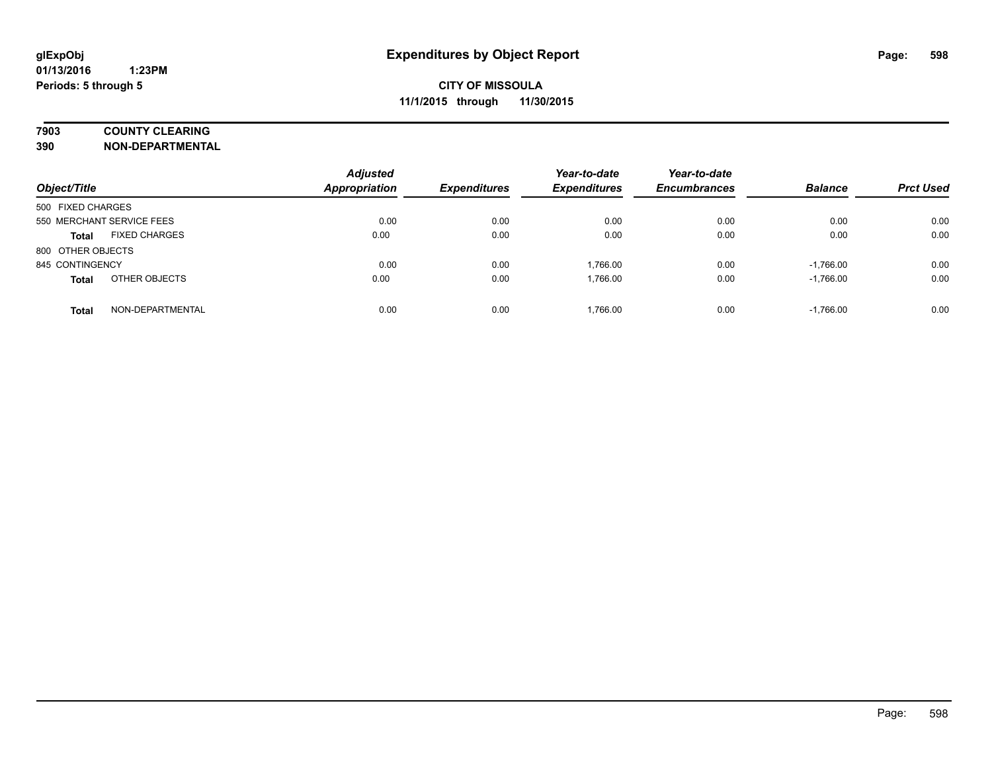# **7903 COUNTY CLEARING**

**390 NON-DEPARTMENTAL**

| Object/Title                         | <b>Adjusted</b><br>Appropriation | <b>Expenditures</b> | Year-to-date<br><b>Expenditures</b> | Year-to-date<br><b>Encumbrances</b> | <b>Balance</b> | <b>Prct Used</b> |
|--------------------------------------|----------------------------------|---------------------|-------------------------------------|-------------------------------------|----------------|------------------|
| 500 FIXED CHARGES                    |                                  |                     |                                     |                                     |                |                  |
| 550 MERCHANT SERVICE FEES            | 0.00                             | 0.00                | 0.00                                | 0.00                                | 0.00           | 0.00             |
| <b>FIXED CHARGES</b><br><b>Total</b> | 0.00                             | 0.00                | 0.00                                | 0.00                                | 0.00           | 0.00             |
| 800 OTHER OBJECTS                    |                                  |                     |                                     |                                     |                |                  |
| 845 CONTINGENCY                      | 0.00                             | 0.00                | 1.766.00                            | 0.00                                | $-1,766.00$    | 0.00             |
| OTHER OBJECTS<br><b>Total</b>        | 0.00                             | 0.00                | 1.766.00                            | 0.00                                | $-1,766.00$    | 0.00             |
| NON-DEPARTMENTAL<br><b>Total</b>     | 0.00                             | 0.00                | 1.766.00                            | 0.00                                | $-1.766.00$    | 0.00             |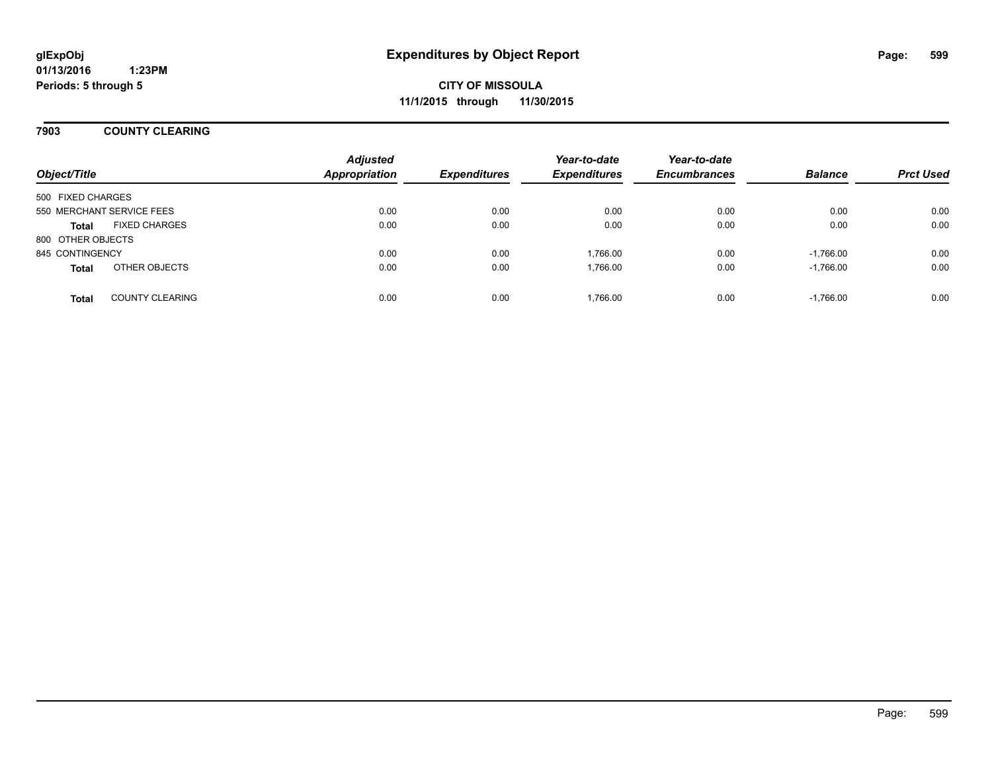**CITY OF MISSOULA 11/1/2015 through 11/30/2015**

#### **7903 COUNTY CLEARING**

| Object/Title              |                        | <b>Adjusted</b><br><b>Appropriation</b> | <b>Expenditures</b> | Year-to-date<br><b>Expenditures</b> | Year-to-date<br><b>Encumbrances</b> | <b>Balance</b> | <b>Prct Used</b> |
|---------------------------|------------------------|-----------------------------------------|---------------------|-------------------------------------|-------------------------------------|----------------|------------------|
| 500 FIXED CHARGES         |                        |                                         |                     |                                     |                                     |                |                  |
| 550 MERCHANT SERVICE FEES |                        | 0.00                                    | 0.00                | 0.00                                | 0.00                                | 0.00           | 0.00             |
| <b>Total</b>              | <b>FIXED CHARGES</b>   | 0.00                                    | 0.00                | 0.00                                | 0.00                                | 0.00           | 0.00             |
| 800 OTHER OBJECTS         |                        |                                         |                     |                                     |                                     |                |                  |
| 845 CONTINGENCY           |                        | 0.00                                    | 0.00                | 1.766.00                            | 0.00                                | $-1.766.00$    | 0.00             |
| <b>Total</b>              | OTHER OBJECTS          | 0.00                                    | 0.00                | 1,766.00                            | 0.00                                | $-1,766.00$    | 0.00             |
| <b>Total</b>              | <b>COUNTY CLEARING</b> | 0.00                                    | 0.00                | 1,766.00                            | 0.00                                | $-1,766.00$    | 0.00             |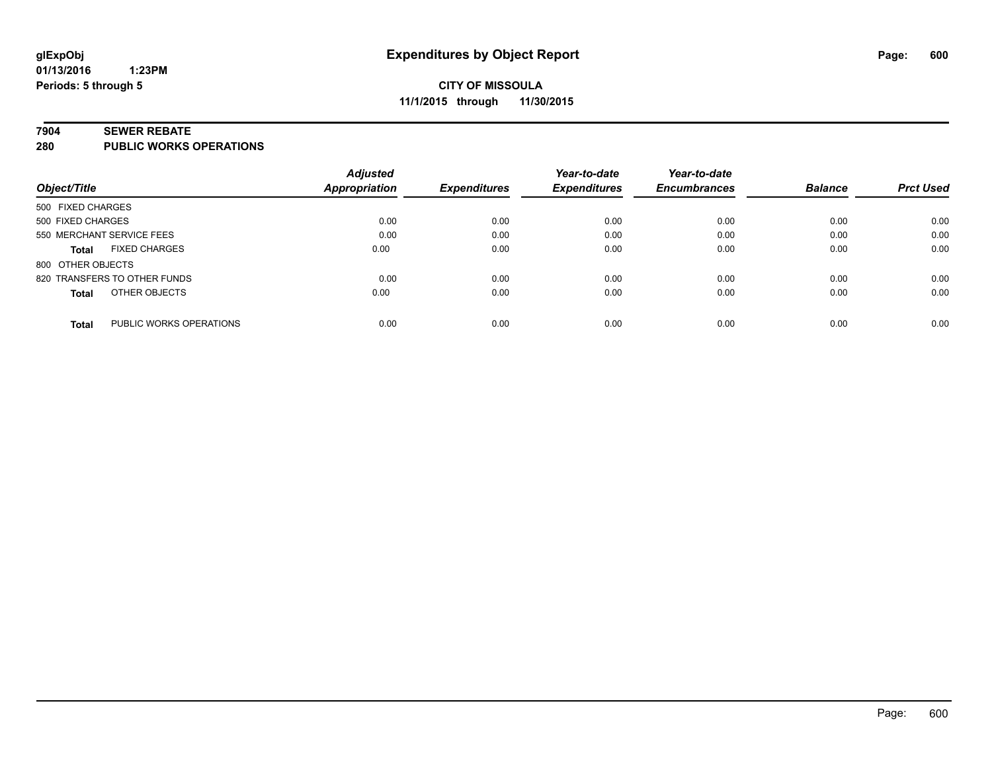# **CITY OF MISSOULA 11/1/2015 through 11/30/2015**

#### **7904 SEWER REBATE**

**280 PUBLIC WORKS OPERATIONS**

|                                         | <b>Adjusted</b>      |                     | Year-to-date        | Year-to-date        |                |                  |
|-----------------------------------------|----------------------|---------------------|---------------------|---------------------|----------------|------------------|
| Object/Title                            | <b>Appropriation</b> | <b>Expenditures</b> | <b>Expenditures</b> | <b>Encumbrances</b> | <b>Balance</b> | <b>Prct Used</b> |
| 500 FIXED CHARGES                       |                      |                     |                     |                     |                |                  |
| 500 FIXED CHARGES                       | 0.00                 | 0.00                | 0.00                | 0.00                | 0.00           | 0.00             |
| 550 MERCHANT SERVICE FEES               | 0.00                 | 0.00                | 0.00                | 0.00                | 0.00           | 0.00             |
| <b>FIXED CHARGES</b><br><b>Total</b>    | 0.00                 | 0.00                | 0.00                | 0.00                | 0.00           | 0.00             |
| 800 OTHER OBJECTS                       |                      |                     |                     |                     |                |                  |
| 820 TRANSFERS TO OTHER FUNDS            | 0.00                 | 0.00                | 0.00                | 0.00                | 0.00           | 0.00             |
| OTHER OBJECTS<br><b>Total</b>           | 0.00                 | 0.00                | 0.00                | 0.00                | 0.00           | 0.00             |
| PUBLIC WORKS OPERATIONS<br><b>Total</b> | 0.00                 | 0.00                | 0.00                | 0.00                | 0.00           | 0.00             |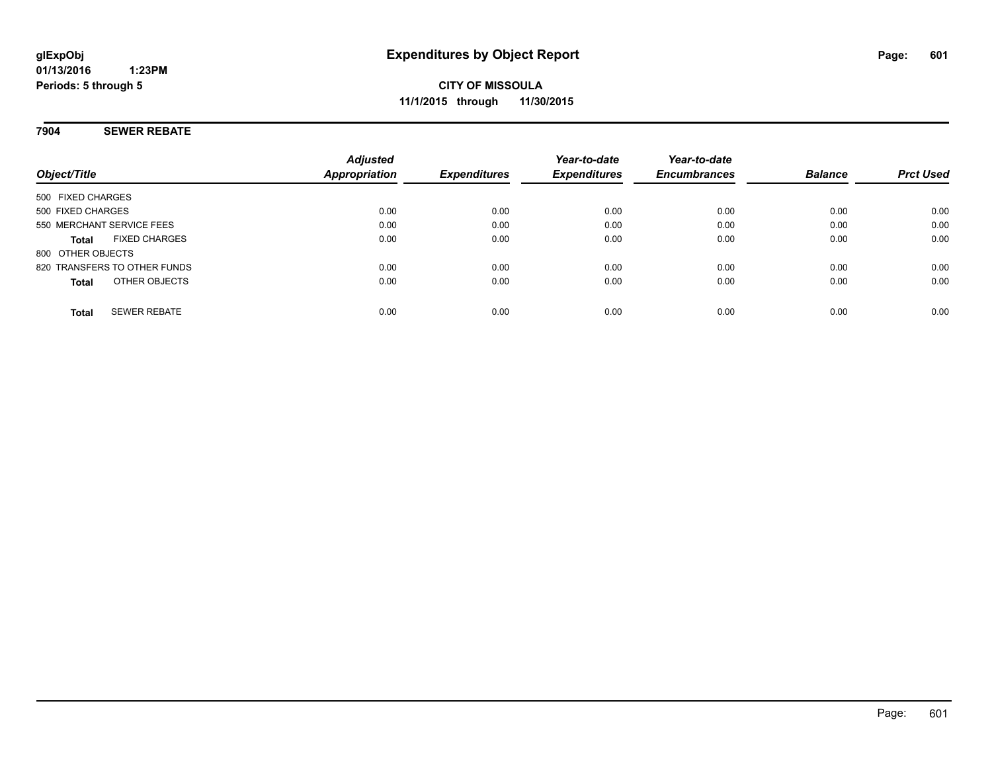**CITY OF MISSOULA 11/1/2015 through 11/30/2015**

#### **7904 SEWER REBATE**

| Object/Title                         | <b>Adjusted</b><br><b>Appropriation</b> | <b>Expenditures</b> | Year-to-date<br><b>Expenditures</b> | Year-to-date<br><b>Encumbrances</b> | <b>Balance</b> | <b>Prct Used</b> |
|--------------------------------------|-----------------------------------------|---------------------|-------------------------------------|-------------------------------------|----------------|------------------|
| 500 FIXED CHARGES                    |                                         |                     |                                     |                                     |                |                  |
| 500 FIXED CHARGES                    | 0.00                                    | 0.00                | 0.00                                | 0.00                                | 0.00           | 0.00             |
| 550 MERCHANT SERVICE FEES            | 0.00                                    | 0.00                | 0.00                                | 0.00                                | 0.00           | 0.00             |
| <b>FIXED CHARGES</b><br><b>Total</b> | 0.00                                    | 0.00                | 0.00                                | 0.00                                | 0.00           | 0.00             |
| 800 OTHER OBJECTS                    |                                         |                     |                                     |                                     |                |                  |
| 820 TRANSFERS TO OTHER FUNDS         | 0.00                                    | 0.00                | 0.00                                | 0.00                                | 0.00           | 0.00             |
| OTHER OBJECTS<br><b>Total</b>        | 0.00                                    | 0.00                | 0.00                                | 0.00                                | 0.00           | 0.00             |
| <b>SEWER REBATE</b><br><b>Total</b>  | 0.00                                    | 0.00                | 0.00                                | 0.00                                | 0.00           | 0.00             |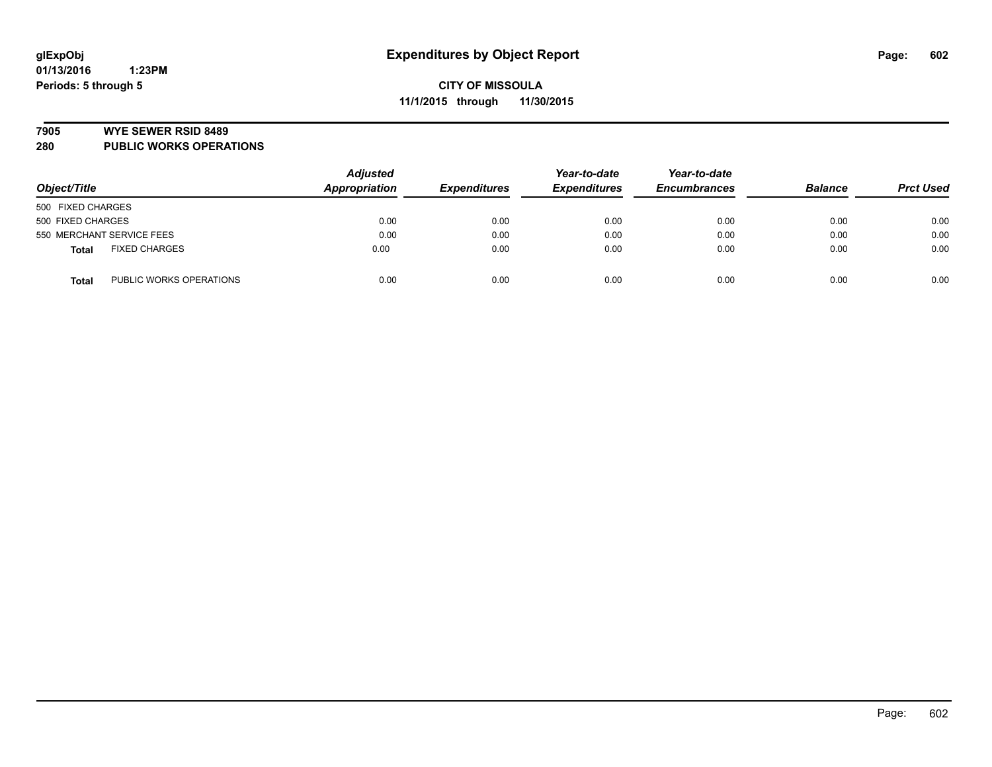#### **7905 WYE SEWER RSID 8489**

**280 PUBLIC WORKS OPERATIONS**

|                                         | <b>Adjusted</b> |                     | Year-to-date        | Year-to-date<br><b>Encumbrances</b> | <b>Balance</b> |                  |
|-----------------------------------------|-----------------|---------------------|---------------------|-------------------------------------|----------------|------------------|
| Object/Title                            | Appropriation   | <b>Expenditures</b> | <b>Expenditures</b> |                                     |                | <b>Prct Used</b> |
| 500 FIXED CHARGES                       |                 |                     |                     |                                     |                |                  |
| 500 FIXED CHARGES                       | 0.00            | 0.00                | 0.00                | 0.00                                | 0.00           | 0.00             |
| 550 MERCHANT SERVICE FEES               | 0.00            | 0.00                | 0.00                | 0.00                                | 0.00           | 0.00             |
| <b>FIXED CHARGES</b><br><b>Total</b>    | 0.00            | 0.00                | 0.00                | 0.00                                | 0.00           | 0.00             |
| PUBLIC WORKS OPERATIONS<br><b>Total</b> | 0.00            | 0.00                | 0.00                | 0.00                                | 0.00           | 0.00             |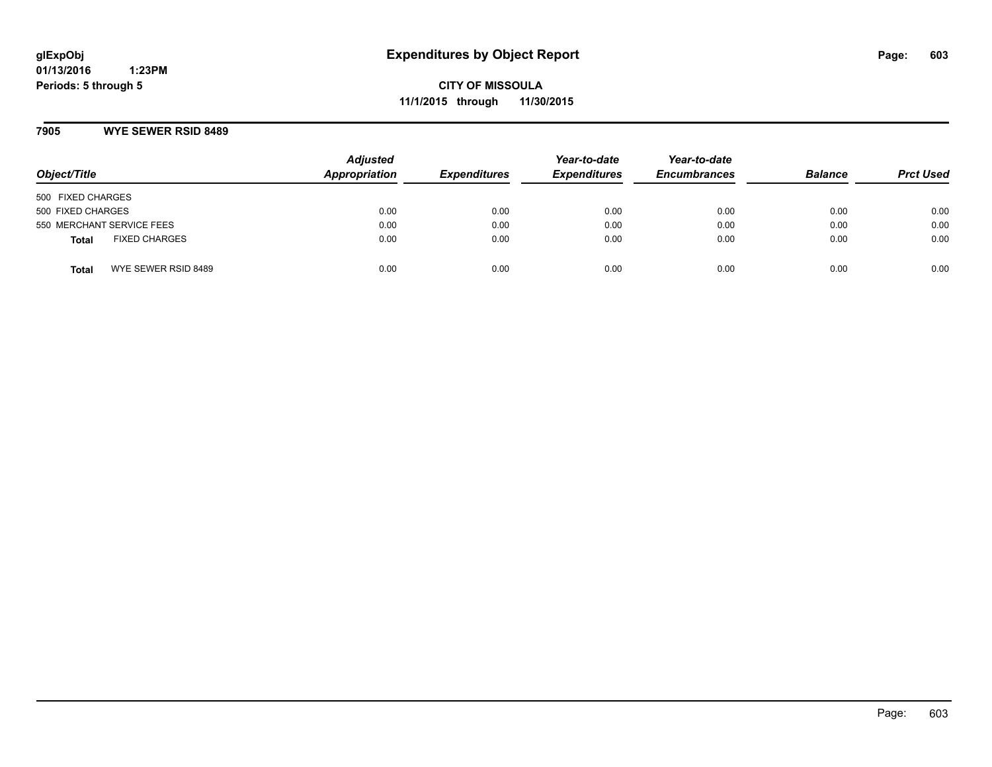**CITY OF MISSOULA 11/1/2015 through 11/30/2015**

#### **7905 WYE SEWER RSID 8489**

| Object/Title                         | <b>Adjusted</b><br>Appropriation | <b>Expenditures</b> | Year-to-date<br><b>Expenditures</b> | Year-to-date<br><b>Encumbrances</b> | <b>Balance</b> | <b>Prct Used</b> |
|--------------------------------------|----------------------------------|---------------------|-------------------------------------|-------------------------------------|----------------|------------------|
| 500 FIXED CHARGES                    |                                  |                     |                                     |                                     |                |                  |
| 500 FIXED CHARGES                    | 0.00                             | 0.00                | 0.00                                | 0.00                                | 0.00           | 0.00             |
| 550 MERCHANT SERVICE FEES            | 0.00                             | 0.00                | 0.00                                | 0.00                                | 0.00           | 0.00             |
| <b>FIXED CHARGES</b><br><b>Total</b> | 0.00                             | 0.00                | 0.00                                | 0.00                                | 0.00           | 0.00             |
| WYE SEWER RSID 8489<br>Total         | 0.00                             | 0.00                | 0.00                                | 0.00                                | 0.00           | 0.00             |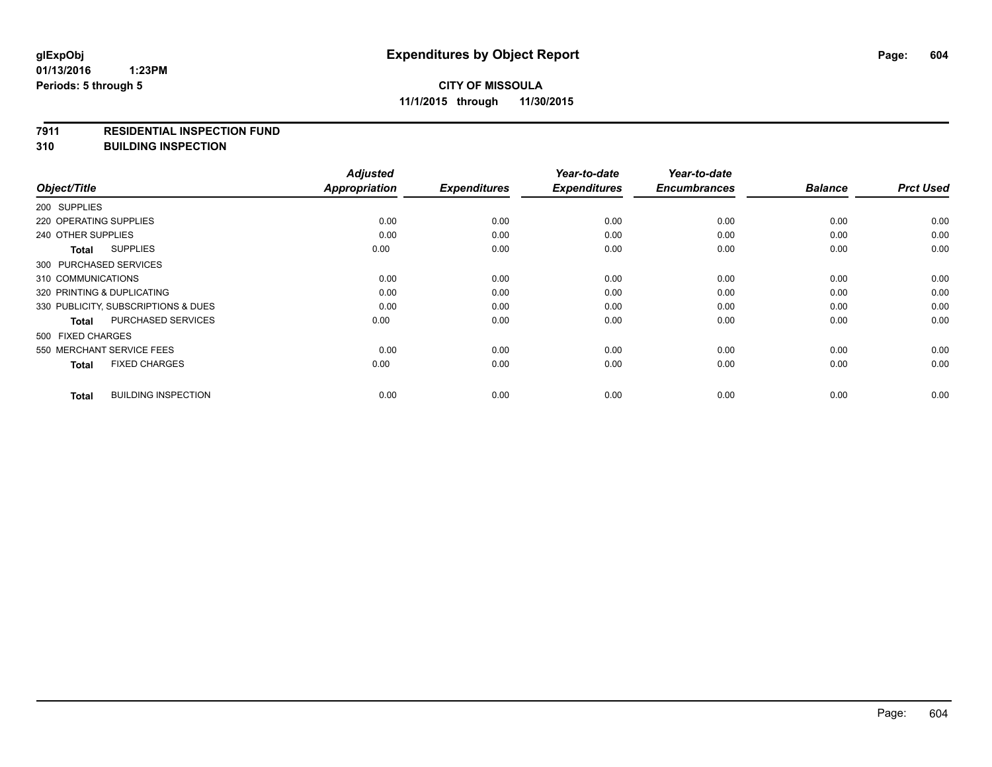#### **7911 RESIDENTIAL INSPECTION FUND**

**310 BUILDING INSPECTION**

|                            |                                     | <b>Adjusted</b>      |                     | Year-to-date        | Year-to-date        |                |                  |
|----------------------------|-------------------------------------|----------------------|---------------------|---------------------|---------------------|----------------|------------------|
| Object/Title               |                                     | <b>Appropriation</b> | <b>Expenditures</b> | <b>Expenditures</b> | <b>Encumbrances</b> | <b>Balance</b> | <b>Prct Used</b> |
| 200 SUPPLIES               |                                     |                      |                     |                     |                     |                |                  |
| 220 OPERATING SUPPLIES     |                                     | 0.00                 | 0.00                | 0.00                | 0.00                | 0.00           | 0.00             |
| 240 OTHER SUPPLIES         |                                     | 0.00                 | 0.00                | 0.00                | 0.00                | 0.00           | 0.00             |
| <b>Total</b>               | <b>SUPPLIES</b>                     | 0.00                 | 0.00                | 0.00                | 0.00                | 0.00           | 0.00             |
| 300 PURCHASED SERVICES     |                                     |                      |                     |                     |                     |                |                  |
| 310 COMMUNICATIONS         |                                     | 0.00                 | 0.00                | 0.00                | 0.00                | 0.00           | 0.00             |
| 320 PRINTING & DUPLICATING |                                     | 0.00                 | 0.00                | 0.00                | 0.00                | 0.00           | 0.00             |
|                            | 330 PUBLICITY, SUBSCRIPTIONS & DUES | 0.00                 | 0.00                | 0.00                | 0.00                | 0.00           | 0.00             |
| <b>Total</b>               | PURCHASED SERVICES                  | 0.00                 | 0.00                | 0.00                | 0.00                | 0.00           | 0.00             |
| 500 FIXED CHARGES          |                                     |                      |                     |                     |                     |                |                  |
| 550 MERCHANT SERVICE FEES  |                                     | 0.00                 | 0.00                | 0.00                | 0.00                | 0.00           | 0.00             |
| <b>Total</b>               | <b>FIXED CHARGES</b>                | 0.00                 | 0.00                | 0.00                | 0.00                | 0.00           | 0.00             |
| <b>Total</b>               | <b>BUILDING INSPECTION</b>          | 0.00                 | 0.00                | 0.00                | 0.00                | 0.00           | 0.00             |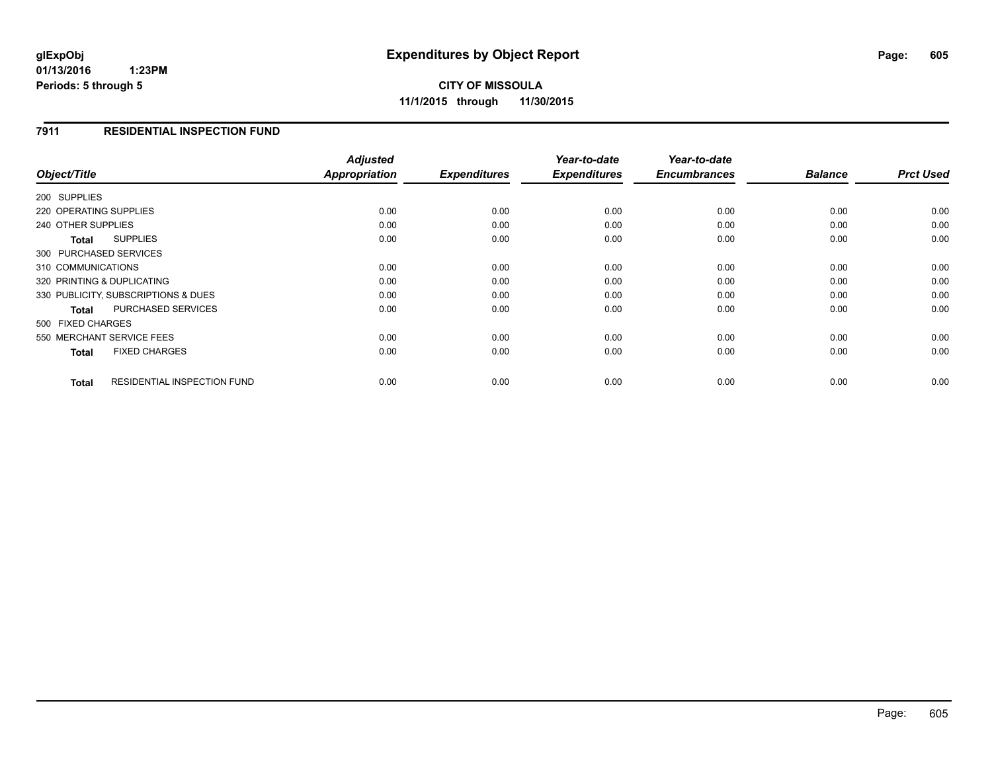**CITY OF MISSOULA 11/1/2015 through 11/30/2015**

#### **7911 RESIDENTIAL INSPECTION FUND**

| Object/Title                                | <b>Adjusted</b><br>Appropriation | <b>Expenditures</b> | Year-to-date<br><b>Expenditures</b> | Year-to-date<br><b>Encumbrances</b> | <b>Balance</b> | <b>Prct Used</b> |
|---------------------------------------------|----------------------------------|---------------------|-------------------------------------|-------------------------------------|----------------|------------------|
|                                             |                                  |                     |                                     |                                     |                |                  |
| 200 SUPPLIES                                |                                  |                     |                                     |                                     |                |                  |
| 220 OPERATING SUPPLIES                      | 0.00                             | 0.00                | 0.00                                | 0.00                                | 0.00           | 0.00             |
| 240 OTHER SUPPLIES                          | 0.00                             | 0.00                | 0.00                                | 0.00                                | 0.00           | 0.00             |
| <b>SUPPLIES</b><br>Total                    | 0.00                             | 0.00                | 0.00                                | 0.00                                | 0.00           | 0.00             |
| 300 PURCHASED SERVICES                      |                                  |                     |                                     |                                     |                |                  |
| 310 COMMUNICATIONS                          | 0.00                             | 0.00                | 0.00                                | 0.00                                | 0.00           | 0.00             |
| 320 PRINTING & DUPLICATING                  | 0.00                             | 0.00                | 0.00                                | 0.00                                | 0.00           | 0.00             |
| 330 PUBLICITY, SUBSCRIPTIONS & DUES         | 0.00                             | 0.00                | 0.00                                | 0.00                                | 0.00           | 0.00             |
| <b>PURCHASED SERVICES</b><br>Total          | 0.00                             | 0.00                | 0.00                                | 0.00                                | 0.00           | 0.00             |
| 500 FIXED CHARGES                           |                                  |                     |                                     |                                     |                |                  |
| 550 MERCHANT SERVICE FEES                   | 0.00                             | 0.00                | 0.00                                | 0.00                                | 0.00           | 0.00             |
| <b>FIXED CHARGES</b><br><b>Total</b>        | 0.00                             | 0.00                | 0.00                                | 0.00                                | 0.00           | 0.00             |
| <b>RESIDENTIAL INSPECTION FUND</b><br>Total | 0.00                             | 0.00                | 0.00                                | 0.00                                | 0.00           | 0.00             |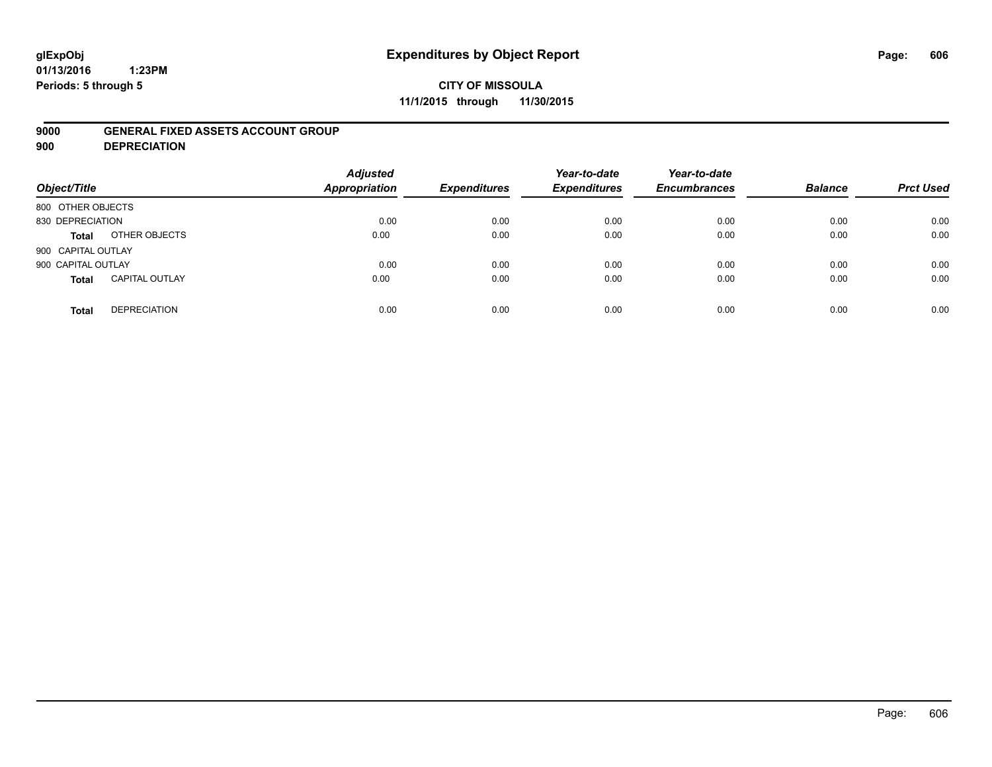# **glExpObj Expenditures by Object Report Page: 606**

**01/13/2016 1:23PM Periods: 5 through 5**

#### **9000 GENERAL FIXED ASSETS ACCOUNT GROUP**

**900 DEPRECIATION**

| Object/Title                          | <b>Adjusted</b><br><b>Appropriation</b> | <b>Expenditures</b> | Year-to-date<br><b>Expenditures</b> | Year-to-date<br><b>Encumbrances</b> | <b>Balance</b> | <b>Prct Used</b> |
|---------------------------------------|-----------------------------------------|---------------------|-------------------------------------|-------------------------------------|----------------|------------------|
| 800 OTHER OBJECTS                     |                                         |                     |                                     |                                     |                |                  |
| 830 DEPRECIATION                      | 0.00                                    | 0.00                | 0.00                                | 0.00                                | 0.00           | 0.00             |
| OTHER OBJECTS<br>Total                | 0.00                                    | 0.00                | 0.00                                | 0.00                                | 0.00           | 0.00             |
| 900 CAPITAL OUTLAY                    |                                         |                     |                                     |                                     |                |                  |
| 900 CAPITAL OUTLAY                    | 0.00                                    | 0.00                | 0.00                                | 0.00                                | 0.00           | 0.00             |
| <b>CAPITAL OUTLAY</b><br><b>Total</b> | 0.00                                    | 0.00                | 0.00                                | 0.00                                | 0.00           | 0.00             |
| <b>DEPRECIATION</b><br><b>Total</b>   | 0.00                                    | 0.00                | 0.00                                | 0.00                                | 0.00           | 0.00             |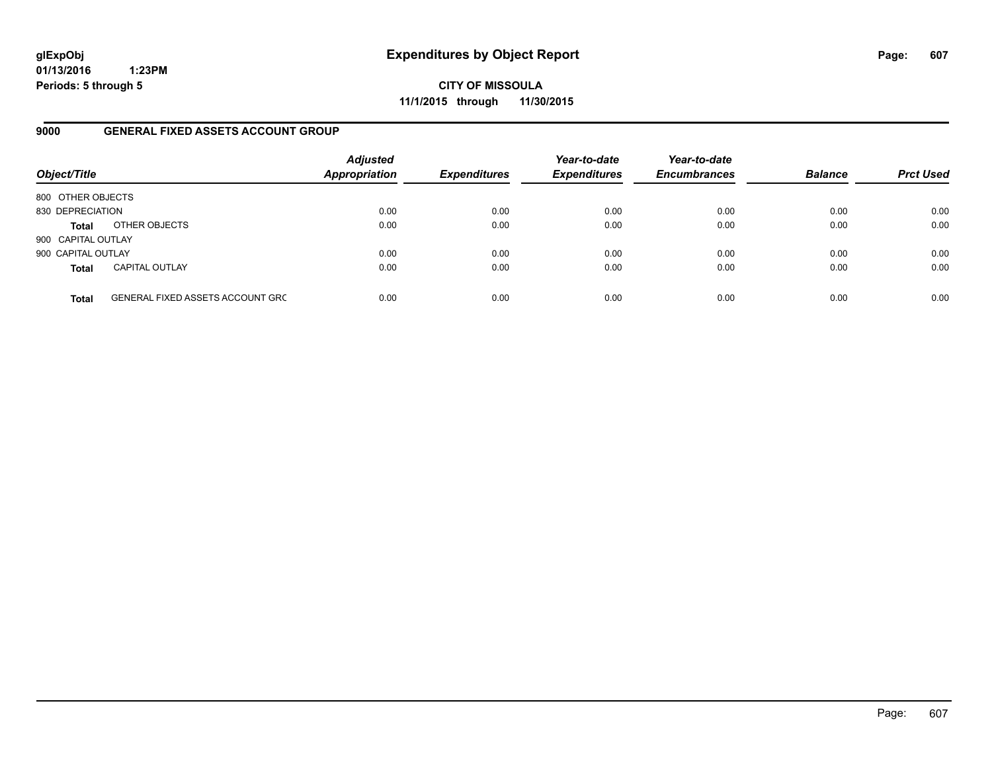**CITY OF MISSOULA 11/1/2015 through 11/30/2015**

#### **9000 GENERAL FIXED ASSETS ACCOUNT GROUP**

| Object/Title       |                                  | <b>Adjusted</b><br><b>Appropriation</b> | <b>Expenditures</b> | Year-to-date<br><b>Expenditures</b> | Year-to-date<br><b>Encumbrances</b> | <b>Balance</b> | <b>Prct Used</b> |
|--------------------|----------------------------------|-----------------------------------------|---------------------|-------------------------------------|-------------------------------------|----------------|------------------|
| 800 OTHER OBJECTS  |                                  |                                         |                     |                                     |                                     |                |                  |
| 830 DEPRECIATION   |                                  | 0.00                                    | 0.00                | 0.00                                | 0.00                                | 0.00           | 0.00             |
| <b>Total</b>       | OTHER OBJECTS                    | 0.00                                    | 0.00                | 0.00                                | 0.00                                | 0.00           | 0.00             |
| 900 CAPITAL OUTLAY |                                  |                                         |                     |                                     |                                     |                |                  |
| 900 CAPITAL OUTLAY |                                  | 0.00                                    | 0.00                | 0.00                                | 0.00                                | 0.00           | 0.00             |
| <b>Total</b>       | <b>CAPITAL OUTLAY</b>            | 0.00                                    | 0.00                | 0.00                                | 0.00                                | 0.00           | 0.00             |
| <b>Total</b>       | GENERAL FIXED ASSETS ACCOUNT GRC | 0.00                                    | 0.00                | 0.00                                | 0.00                                | 0.00           | 0.00             |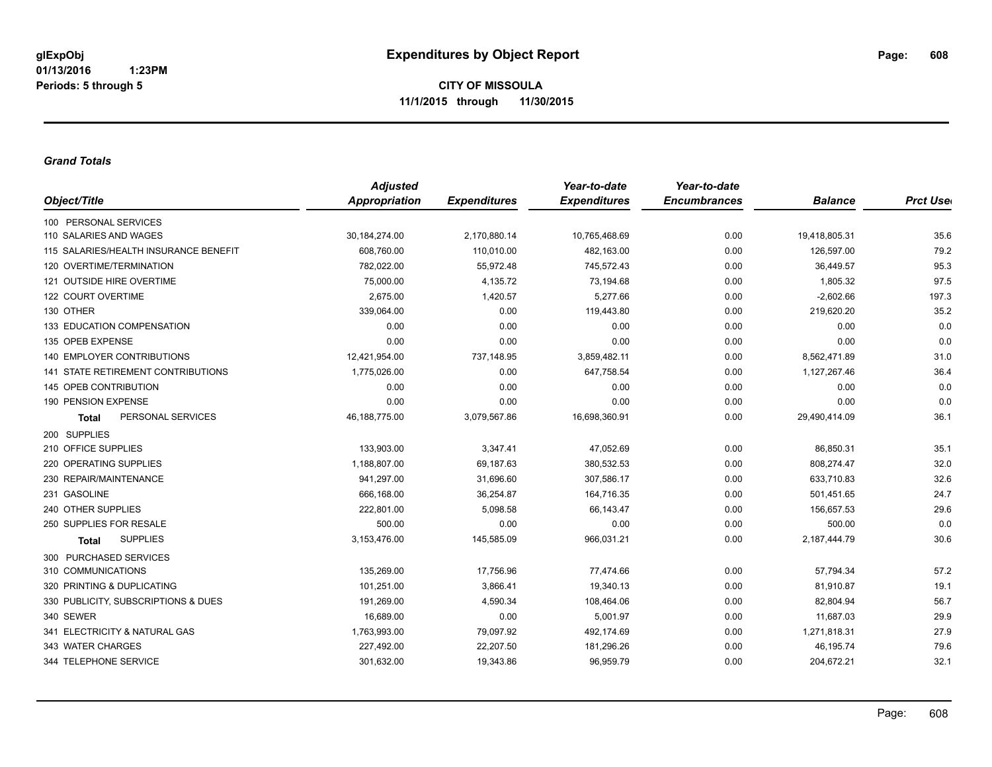#### *Grand Totals*

| Appropriation   | <b>Expenditures</b> | <b>Expenditures</b> | <b>Encumbrances</b> |                |                  |
|-----------------|---------------------|---------------------|---------------------|----------------|------------------|
|                 |                     |                     |                     | <b>Balance</b> | <b>Prct User</b> |
|                 |                     |                     |                     |                |                  |
| 30,184,274.00   | 2,170,880.14        | 10,765,468.69       | 0.00                | 19,418,805.31  | 35.6             |
| 608,760.00      | 110,010.00          | 482,163.00          | 0.00                | 126,597.00     | 79.2             |
| 782,022.00      | 55,972.48           | 745,572.43          | 0.00                | 36,449.57      | 95.3             |
| 75,000.00       | 4,135.72            | 73,194.68           | 0.00                | 1,805.32       | 97.5             |
| 2,675.00        | 1,420.57            | 5,277.66            | 0.00                | $-2,602.66$    | 197.3            |
| 339,064.00      | 0.00                | 119,443.80          | 0.00                | 219,620.20     | 35.2             |
| 0.00            | 0.00                | 0.00                | 0.00                | 0.00           | 0.0              |
| 0.00            | 0.00                | 0.00                | 0.00                | 0.00           | 0.0              |
| 12,421,954.00   | 737,148.95          | 3,859,482.11        | 0.00                | 8,562,471.89   | 31.0             |
| 1,775,026.00    | 0.00                | 647,758.54          | 0.00                | 1,127,267.46   | 36.4             |
| 0.00            | 0.00                | 0.00                | 0.00                | 0.00           | 0.0              |
| 0.00            | 0.00                | 0.00                | 0.00                | 0.00           | 0.0              |
| 46, 188, 775.00 | 3,079,567.86        | 16,698,360.91       | 0.00                | 29,490,414.09  | 36.1             |
|                 |                     |                     |                     |                |                  |
| 133,903.00      | 3,347.41            | 47,052.69           | 0.00                | 86,850.31      | 35.1             |
| 1,188,807.00    | 69,187.63           | 380,532.53          | 0.00                | 808,274.47     | 32.0             |
| 941,297.00      | 31,696.60           | 307,586.17          | 0.00                | 633,710.83     | 32.6             |
| 666,168.00      | 36,254.87           | 164,716.35          | 0.00                | 501,451.65     | 24.7             |
| 222,801.00      | 5,098.58            | 66,143.47           | 0.00                | 156,657.53     | 29.6             |
| 500.00          | 0.00                | 0.00                | 0.00                | 500.00         | 0.0              |
| 3,153,476.00    | 145,585.09          | 966,031.21          | 0.00                | 2,187,444.79   | 30.6             |
|                 |                     |                     |                     |                |                  |
| 135.269.00      | 17,756.96           | 77,474.66           | 0.00                | 57,794.34      | 57.2             |
| 101,251.00      | 3,866.41            | 19,340.13           | 0.00                | 81,910.87      | 19.1             |
| 191,269.00      | 4,590.34            | 108,464.06          | 0.00                | 82,804.94      | 56.7             |
| 16,689.00       | 0.00                | 5,001.97            | 0.00                | 11,687.03      | 29.9             |
| 1,763,993.00    | 79,097.92           | 492,174.69          | 0.00                | 1,271,818.31   | 27.9             |
| 227,492.00      | 22,207.50           | 181,296.26          | 0.00                | 46,195.74      | 79.6             |
| 301,632.00      | 19,343.86           | 96,959.79           | 0.00                | 204,672.21     | 32.1             |
|                 |                     |                     |                     |                |                  |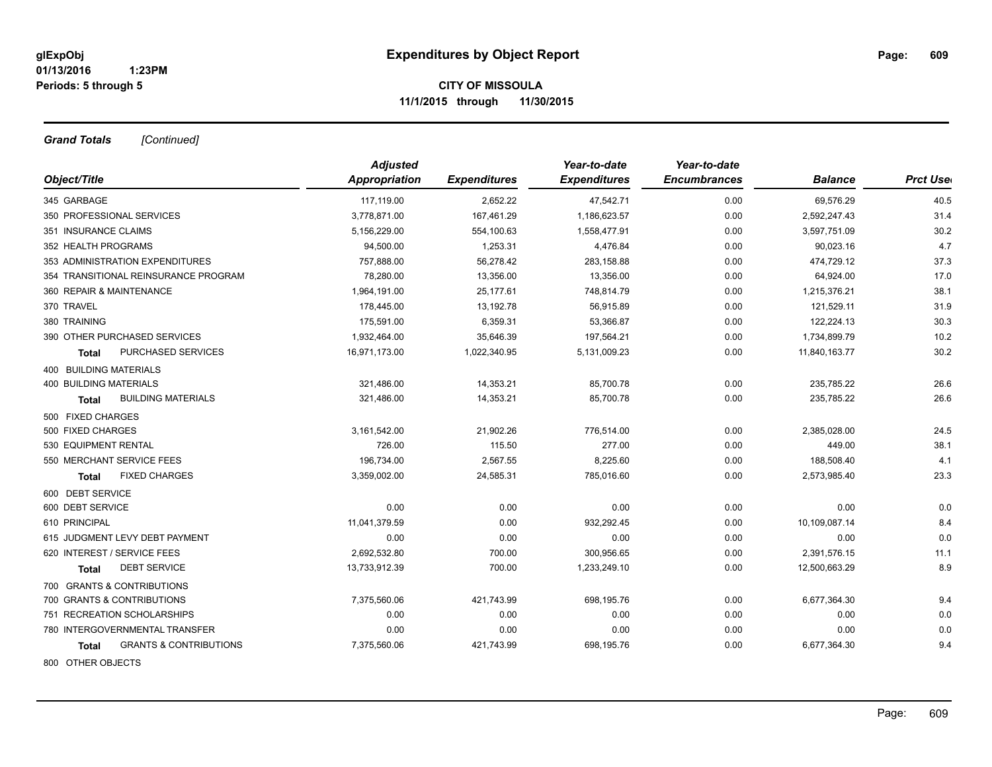*Grand Totals [Continued]*

|                                            | <b>Adjusted</b> |                     | Year-to-date        | Year-to-date        |                |                  |
|--------------------------------------------|-----------------|---------------------|---------------------|---------------------|----------------|------------------|
| Object/Title                               | Appropriation   | <b>Expenditures</b> | <b>Expenditures</b> | <b>Encumbrances</b> | <b>Balance</b> | <b>Prct Uset</b> |
| 345 GARBAGE                                | 117,119.00      | 2,652.22            | 47,542.71           | 0.00                | 69,576.29      | 40.5             |
| 350 PROFESSIONAL SERVICES                  | 3,778,871.00    | 167,461.29          | 1,186,623.57        | 0.00                | 2,592,247.43   | 31.4             |
| 351 INSURANCE CLAIMS                       | 5,156,229.00    | 554,100.63          | 1,558,477.91        | 0.00                | 3,597,751.09   | 30.2             |
| 352 HEALTH PROGRAMS                        | 94,500.00       | 1,253.31            | 4,476.84            | 0.00                | 90,023.16      | 4.7              |
| 353 ADMINISTRATION EXPENDITURES            | 757,888.00      | 56,278.42           | 283,158.88          | 0.00                | 474,729.12     | 37.3             |
| 354 TRANSITIONAL REINSURANCE PROGRAM       | 78,280.00       | 13,356.00           | 13,356.00           | 0.00                | 64,924.00      | 17.0             |
| 360 REPAIR & MAINTENANCE                   | 1,964,191.00    | 25,177.61           | 748,814.79          | 0.00                | 1,215,376.21   | 38.1             |
| 370 TRAVEL                                 | 178,445.00      | 13,192.78           | 56,915.89           | 0.00                | 121,529.11     | 31.9             |
| 380 TRAINING                               | 175,591.00      | 6,359.31            | 53,366.87           | 0.00                | 122,224.13     | 30.3             |
| 390 OTHER PURCHASED SERVICES               | 1,932,464.00    | 35,646.39           | 197,564.21          | 0.00                | 1,734,899.79   | 10.2             |
| PURCHASED SERVICES<br>Total                | 16,971,173.00   | 1,022,340.95        | 5,131,009.23        | 0.00                | 11,840,163.77  | 30.2             |
| 400 BUILDING MATERIALS                     |                 |                     |                     |                     |                |                  |
| <b>400 BUILDING MATERIALS</b>              | 321,486.00      | 14,353.21           | 85,700.78           | 0.00                | 235,785.22     | 26.6             |
| <b>BUILDING MATERIALS</b><br><b>Total</b>  | 321,486.00      | 14,353.21           | 85,700.78           | 0.00                | 235,785.22     | 26.6             |
| 500 FIXED CHARGES                          |                 |                     |                     |                     |                |                  |
| 500 FIXED CHARGES                          | 3,161,542.00    | 21,902.26           | 776,514.00          | 0.00                | 2,385,028.00   | 24.5             |
| 530 EQUIPMENT RENTAL                       | 726.00          | 115.50              | 277.00              | 0.00                | 449.00         | 38.1             |
| 550 MERCHANT SERVICE FEES                  | 196,734.00      | 2,567.55            | 8,225.60            | 0.00                | 188,508.40     | 4.1              |
| <b>FIXED CHARGES</b><br><b>Total</b>       | 3,359,002.00    | 24,585.31           | 785,016.60          | 0.00                | 2,573,985.40   | 23.3             |
| 600 DEBT SERVICE                           |                 |                     |                     |                     |                |                  |
| 600 DEBT SERVICE                           | 0.00            | 0.00                | 0.00                | 0.00                | 0.00           | 0.0              |
| 610 PRINCIPAL                              | 11,041,379.59   | 0.00                | 932,292.45          | 0.00                | 10,109,087.14  | 8.4              |
| 615 JUDGMENT LEVY DEBT PAYMENT             | 0.00            | 0.00                | 0.00                | 0.00                | 0.00           | 0.0              |
| 620 INTEREST / SERVICE FEES                | 2,692,532.80    | 700.00              | 300,956.65          | 0.00                | 2,391,576.15   | 11.1             |
| <b>DEBT SERVICE</b><br>Total               | 13,733,912.39   | 700.00              | 1,233,249.10        | 0.00                | 12,500,663.29  | 8.9              |
| 700 GRANTS & CONTRIBUTIONS                 |                 |                     |                     |                     |                |                  |
| 700 GRANTS & CONTRIBUTIONS                 | 7,375,560.06    | 421,743.99          | 698,195.76          | 0.00                | 6,677,364.30   | 9.4              |
| 751 RECREATION SCHOLARSHIPS                | 0.00            | 0.00                | 0.00                | 0.00                | 0.00           | 0.0              |
| 780 INTERGOVERNMENTAL TRANSFER             | 0.00            | 0.00                | 0.00                | 0.00                | 0.00           | 0.0              |
| <b>GRANTS &amp; CONTRIBUTIONS</b><br>Total | 7,375,560.06    | 421,743.99          | 698,195.76          | 0.00                | 6,677,364.30   | 9.4              |
| 800 OTHER OBJECTS                          |                 |                     |                     |                     |                |                  |